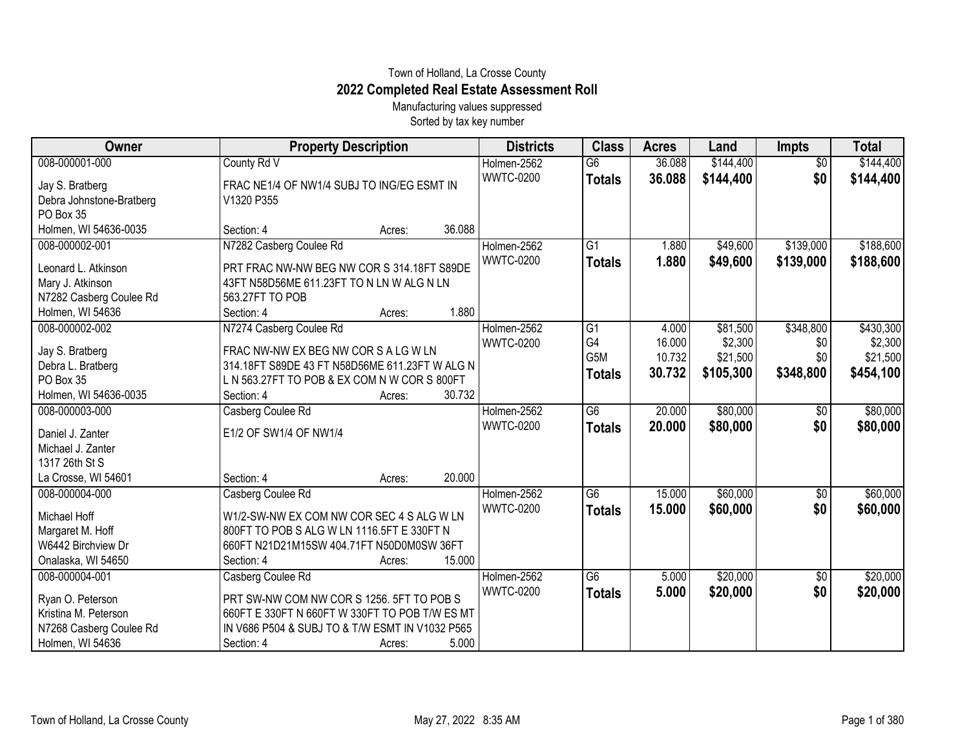## Town of Holland, La Crosse County **2022 Completed Real Estate Assessment Roll**

Manufacturing values suppressed Sorted by tax key number

| Owner                    | <b>Property Description</b>                     | <b>Districts</b> | <b>Class</b>     | <b>Acres</b> | Land      | <b>Impts</b>    | <b>Total</b> |
|--------------------------|-------------------------------------------------|------------------|------------------|--------------|-----------|-----------------|--------------|
| 008-000001-000           | County Rd V                                     | Holmen-2562      | $\overline{G6}$  | 36.088       | \$144,400 | $\overline{50}$ | \$144,400    |
| Jay S. Bratberg          | FRAC NE1/4 OF NW1/4 SUBJ TO ING/EG ESMT IN      | <b>WWTC-0200</b> | <b>Totals</b>    | 36.088       | \$144,400 | \$0             | \$144,400    |
| Debra Johnstone-Bratberg | V1320 P355                                      |                  |                  |              |           |                 |              |
| PO Box 35                |                                                 |                  |                  |              |           |                 |              |
| Holmen, WI 54636-0035    | 36.088<br>Section: 4<br>Acres:                  |                  |                  |              |           |                 |              |
| 008-000002-001           | N7282 Casberg Coulee Rd                         | Holmen-2562      | G1               | 1.880        | \$49,600  | \$139,000       | \$188,600    |
| Leonard L. Atkinson      | PRT FRAC NW-NW BEG NW COR S 314.18FT S89DE      | <b>WWTC-0200</b> | <b>Totals</b>    | 1.880        | \$49,600  | \$139,000       | \$188,600    |
| Mary J. Atkinson         | 43FT N58D56ME 611.23FT TO N LN W ALG N LN       |                  |                  |              |           |                 |              |
| N7282 Casberg Coulee Rd  | 563.27FT TO POB                                 |                  |                  |              |           |                 |              |
| Holmen, WI 54636         | 1.880<br>Section: 4<br>Acres:                   |                  |                  |              |           |                 |              |
| 008-000002-002           | N7274 Casberg Coulee Rd                         | Holmen-2562      | G1               | 4.000        | \$81,500  | \$348,800       | \$430,300    |
| Jay S. Bratberg          | FRAC NW-NW EX BEG NW COR S A LG W LN            | <b>WWTC-0200</b> | G4               | 16.000       | \$2,300   | \$0             | \$2,300      |
| Debra L. Bratberg        | 314.18FT S89DE 43 FT N58D56ME 611.23FT W ALG N  |                  | G <sub>5</sub> M | 10.732       | \$21,500  | \$0             | \$21,500     |
| PO Box 35                | L N 563.27FT TO POB & EX COM N W COR S 800FT    |                  | <b>Totals</b>    | 30.732       | \$105,300 | \$348,800       | \$454,100    |
| Holmen, WI 54636-0035    | 30.732<br>Section: 4<br>Acres:                  |                  |                  |              |           |                 |              |
| 008-000003-000           | Casberg Coulee Rd                               | Holmen-2562      | G6               | 20.000       | \$80,000  | \$0             | \$80,000     |
| Daniel J. Zanter         | E1/2 OF SW1/4 OF NW1/4                          | <b>WWTC-0200</b> | <b>Totals</b>    | 20.000       | \$80,000  | \$0             | \$80,000     |
| Michael J. Zanter        |                                                 |                  |                  |              |           |                 |              |
| 1317 26th St S           |                                                 |                  |                  |              |           |                 |              |
| La Crosse, WI 54601      | 20.000<br>Section: 4<br>Acres:                  |                  |                  |              |           |                 |              |
| 008-000004-000           | Casberg Coulee Rd                               | Holmen-2562      | G6               | 15.000       | \$60,000  | \$0             | \$60,000     |
|                          |                                                 | <b>WWTC-0200</b> | <b>Totals</b>    | 15.000       | \$60,000  | \$0             | \$60,000     |
| Michael Hoff             | W1/2-SW-NW EX COM NW COR SEC 4 S ALG W LN       |                  |                  |              |           |                 |              |
| Margaret M. Hoff         | 800FT TO POB S ALG W LN 1116.5FT E 330FT N      |                  |                  |              |           |                 |              |
| W6442 Birchview Dr       | 660FT N21D21M15SW 404.71FT N50D0M0SW 36FT       |                  |                  |              |           |                 |              |
| Onalaska, WI 54650       | 15.000<br>Section: 4<br>Acres:                  |                  |                  |              |           |                 |              |
| 008-000004-001           | Casberg Coulee Rd                               | Holmen-2562      | $\overline{G6}$  | 5.000        | \$20,000  | \$0             | \$20,000     |
| Ryan O. Peterson         | PRT SW-NW COM NW COR S 1256. 5FT TO POB S       | <b>WWTC-0200</b> | <b>Totals</b>    | 5.000        | \$20,000  | \$0             | \$20,000     |
| Kristina M. Peterson     | 660FT E 330FT N 660FT W 330FT TO POB T/W ES MT  |                  |                  |              |           |                 |              |
| N7268 Casberg Coulee Rd  | IN V686 P504 & SUBJ TO & T/W ESMT IN V1032 P565 |                  |                  |              |           |                 |              |
| Holmen, WI 54636         | 5.000<br>Section: 4<br>Acres:                   |                  |                  |              |           |                 |              |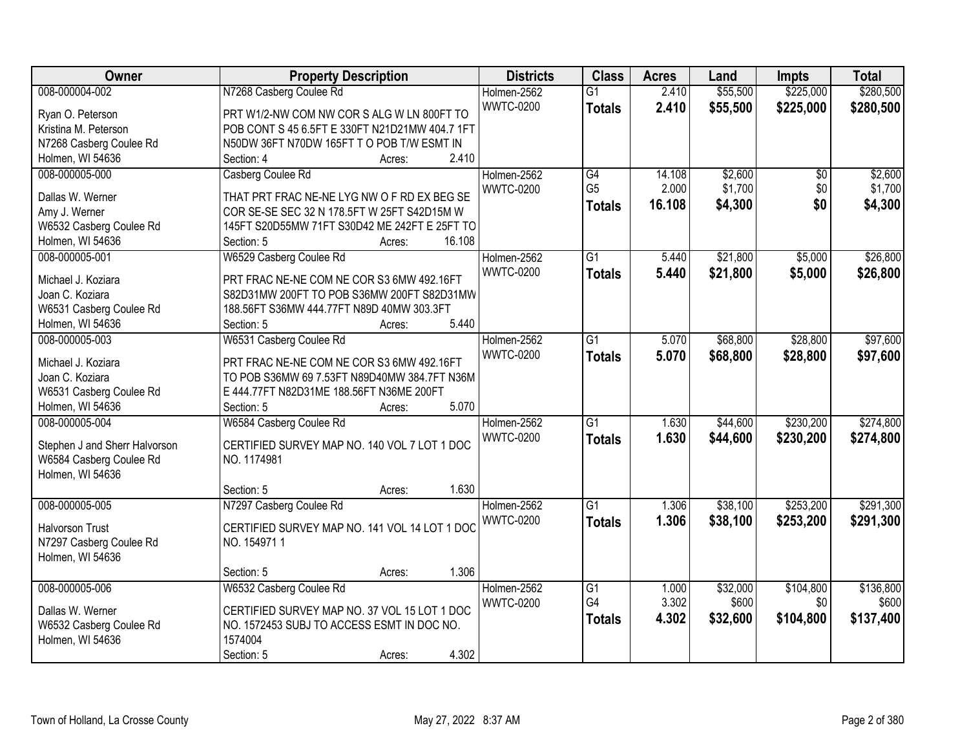| Owner                         | <b>Property Description</b>                    | <b>Districts</b> | <b>Class</b>    | <b>Acres</b> | Land     | <b>Impts</b>    | <b>Total</b> |
|-------------------------------|------------------------------------------------|------------------|-----------------|--------------|----------|-----------------|--------------|
| 008-000004-002                | N7268 Casberg Coulee Rd                        | Holmen-2562      | $\overline{G1}$ | 2.410        | \$55,500 | \$225,000       | \$280,500    |
| Ryan O. Peterson              | PRT W1/2-NW COM NW COR S ALG W LN 800FT TO     | <b>WWTC-0200</b> | <b>Totals</b>   | 2.410        | \$55,500 | \$225,000       | \$280,500    |
| Kristina M. Peterson          | POB CONT S 45 6.5FT E 330FT N21D21MW 404.7 1FT |                  |                 |              |          |                 |              |
| N7268 Casberg Coulee Rd       | N50DW 36FT N70DW 165FT T O POB T/W ESMT IN     |                  |                 |              |          |                 |              |
| Holmen, WI 54636              | 2.410<br>Section: 4<br>Acres:                  |                  |                 |              |          |                 |              |
| 008-000005-000                | Casberg Coulee Rd                              | Holmen-2562      | G4              | 14.108       | \$2,600  | $\overline{50}$ | \$2,600      |
|                               |                                                | <b>WWTC-0200</b> | G <sub>5</sub>  | 2.000        | \$1,700  | \$0             | \$1,700      |
| Dallas W. Werner              | THAT PRT FRAC NE-NE LYG NW O F RD EX BEG SE    |                  | Totals          | 16.108       | \$4,300  | \$0             | \$4,300      |
| Amy J. Werner                 | COR SE-SE SEC 32 N 178.5FT W 25FT S42D15M W    |                  |                 |              |          |                 |              |
| W6532 Casberg Coulee Rd       | 145FT S20D55MW 71FT S30D42 ME 242FT E 25FT TO  |                  |                 |              |          |                 |              |
| Holmen, WI 54636              | 16.108<br>Section: 5<br>Acres:                 |                  |                 |              |          |                 |              |
| 008-000005-001                | W6529 Casberg Coulee Rd                        | Holmen-2562      | G1              | 5.440        | \$21,800 | \$5,000         | \$26,800     |
| Michael J. Koziara            | PRT FRAC NE-NE COM NE COR S3 6MW 492.16FT      | <b>WWTC-0200</b> | <b>Totals</b>   | 5.440        | \$21,800 | \$5,000         | \$26,800     |
| Joan C. Koziara               | S82D31MW 200FT TO POB S36MW 200FT S82D31MW     |                  |                 |              |          |                 |              |
| W6531 Casberg Coulee Rd       | 188.56FT S36MW 444.77FT N89D 40MW 303.3FT      |                  |                 |              |          |                 |              |
| Holmen, WI 54636              | 5.440<br>Section: 5<br>Acres:                  |                  |                 |              |          |                 |              |
| 008-000005-003                | W6531 Casberg Coulee Rd                        | Holmen-2562      | $\overline{G1}$ | 5.070        | \$68,800 | \$28,800        | \$97,600     |
|                               |                                                | <b>WWTC-0200</b> | <b>Totals</b>   | 5.070        | \$68,800 | \$28,800        | \$97,600     |
| Michael J. Koziara            | PRT FRAC NE-NE COM NE COR S3 6MW 492.16FT      |                  |                 |              |          |                 |              |
| Joan C. Koziara               | TO POB S36MW 69 7.53FT N89D40MW 384.7FT N36M   |                  |                 |              |          |                 |              |
| W6531 Casberg Coulee Rd       | E 444.77FT N82D31ME 188.56FT N36ME 200FT       |                  |                 |              |          |                 |              |
| Holmen, WI 54636              | 5.070<br>Section: 5<br>Acres:                  |                  |                 |              |          |                 |              |
| 008-000005-004                | W6584 Casberg Coulee Rd                        | Holmen-2562      | $\overline{G1}$ | 1.630        | \$44,600 | \$230,200       | \$274,800    |
| Stephen J and Sherr Halvorson | CERTIFIED SURVEY MAP NO. 140 VOL 7 LOT 1 DOC   | <b>WWTC-0200</b> | <b>Totals</b>   | 1.630        | \$44,600 | \$230,200       | \$274,800    |
| W6584 Casberg Coulee Rd       | NO. 1174981                                    |                  |                 |              |          |                 |              |
| Holmen, WI 54636              |                                                |                  |                 |              |          |                 |              |
|                               | 1.630<br>Section: 5<br>Acres:                  |                  |                 |              |          |                 |              |
| 008-000005-005                | N7297 Casberg Coulee Rd                        | Holmen-2562      | $\overline{G1}$ | 1.306        | \$38,100 | \$253,200       | \$291,300    |
|                               |                                                | <b>WWTC-0200</b> | <b>Totals</b>   | 1.306        | \$38,100 | \$253,200       | \$291,300    |
| <b>Halvorson Trust</b>        | CERTIFIED SURVEY MAP NO. 141 VOL 14 LOT 1 DOC  |                  |                 |              |          |                 |              |
| N7297 Casberg Coulee Rd       | NO. 1549711                                    |                  |                 |              |          |                 |              |
| Holmen, WI 54636              |                                                |                  |                 |              |          |                 |              |
|                               | 1.306<br>Section: 5<br>Acres:                  |                  |                 |              |          |                 |              |
| 008-000005-006                | W6532 Casberg Coulee Rd                        | Holmen-2562      | $\overline{G1}$ | 1.000        | \$32,000 | \$104,800       | \$136,800    |
| Dallas W. Werner              | CERTIFIED SURVEY MAP NO. 37 VOL 15 LOT 1 DOC   | <b>WWTC-0200</b> | G4              | 3.302        | \$600    | \$0             | \$600        |
| W6532 Casberg Coulee Rd       | NO. 1572453 SUBJ TO ACCESS ESMT IN DOC NO.     |                  | <b>Totals</b>   | 4.302        | \$32,600 | \$104,800       | \$137,400    |
| Holmen, WI 54636              | 1574004                                        |                  |                 |              |          |                 |              |
|                               | 4.302<br>Section: 5<br>Acres:                  |                  |                 |              |          |                 |              |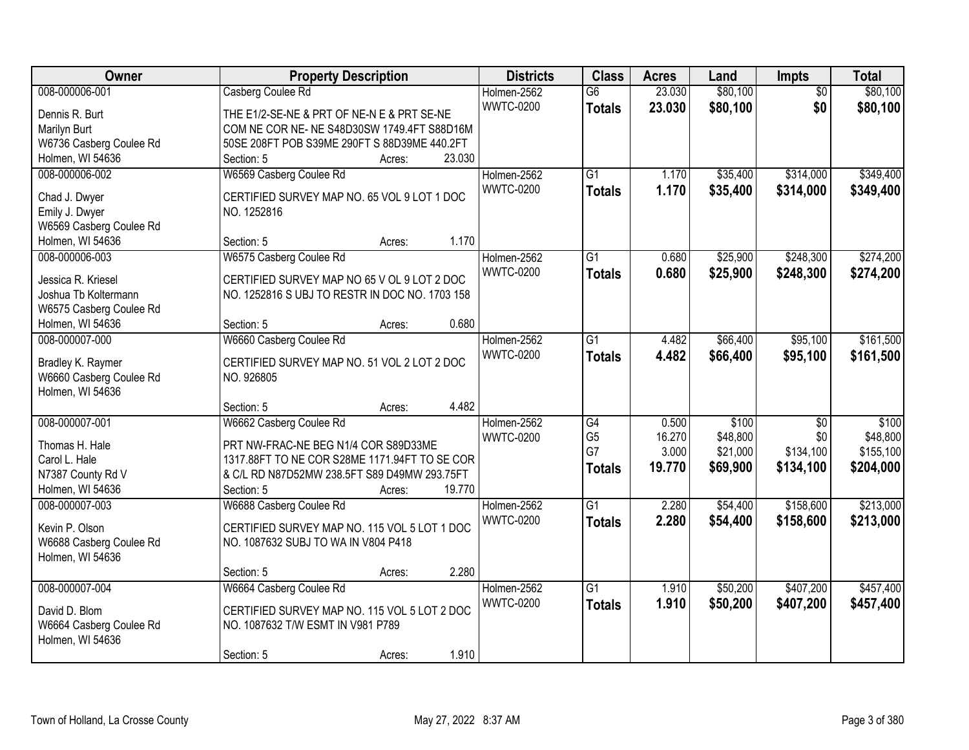| Owner                   | <b>Property Description</b>                    | <b>Districts</b> | <b>Class</b>    | <b>Acres</b> | Land     | Impts           | <b>Total</b> |
|-------------------------|------------------------------------------------|------------------|-----------------|--------------|----------|-----------------|--------------|
| 008-000006-001          | Casberg Coulee Rd                              | Holmen-2562      | $\overline{G6}$ | 23.030       | \$80,100 | $\overline{50}$ | \$80,100     |
| Dennis R. Burt          | THE E1/2-SE-NE & PRT OF NE-N E & PRT SE-NE     | <b>WWTC-0200</b> | <b>Totals</b>   | 23.030       | \$80,100 | \$0             | \$80,100     |
| Marilyn Burt            | COM NE COR NE- NE S48D30SW 1749.4FT S88D16M    |                  |                 |              |          |                 |              |
| W6736 Casberg Coulee Rd | 50SE 208FT POB S39ME 290FT S 88D39ME 440.2FT   |                  |                 |              |          |                 |              |
| Holmen, WI 54636        | 23.030<br>Section: 5<br>Acres:                 |                  |                 |              |          |                 |              |
| 008-000006-002          | W6569 Casberg Coulee Rd                        | Holmen-2562      | $\overline{G1}$ | 1.170        | \$35,400 | \$314,000       | \$349,400    |
|                         |                                                | <b>WWTC-0200</b> | <b>Totals</b>   | 1.170        | \$35,400 | \$314,000       | \$349,400    |
| Chad J. Dwyer           | CERTIFIED SURVEY MAP NO. 65 VOL 9 LOT 1 DOC    |                  |                 |              |          |                 |              |
| Emily J. Dwyer          | NO. 1252816                                    |                  |                 |              |          |                 |              |
| W6569 Casberg Coulee Rd |                                                |                  |                 |              |          |                 |              |
| Holmen, WI 54636        | 1.170<br>Section: 5<br>Acres:                  |                  |                 |              |          |                 |              |
| 008-000006-003          | W6575 Casberg Coulee Rd                        | Holmen-2562      | $\overline{G1}$ | 0.680        | \$25,900 | \$248,300       | \$274,200    |
| Jessica R. Kriesel      | CERTIFIED SURVEY MAP NO 65 V OL 9 LOT 2 DOC    | <b>WWTC-0200</b> | <b>Totals</b>   | 0.680        | \$25,900 | \$248,300       | \$274,200    |
| Joshua Tb Koltermann    | NO. 1252816 S UBJ TO RESTR IN DOC NO. 1703 158 |                  |                 |              |          |                 |              |
| W6575 Casberg Coulee Rd |                                                |                  |                 |              |          |                 |              |
| Holmen, WI 54636        | 0.680<br>Section: 5<br>Acres:                  |                  |                 |              |          |                 |              |
| 008-000007-000          | W6660 Casberg Coulee Rd                        | Holmen-2562      | $\overline{G1}$ | 4.482        | \$66,400 | \$95,100        | \$161,500    |
|                         |                                                | <b>WWTC-0200</b> | <b>Totals</b>   | 4.482        | \$66,400 | \$95,100        | \$161,500    |
| Bradley K. Raymer       | CERTIFIED SURVEY MAP NO. 51 VOL 2 LOT 2 DOC    |                  |                 |              |          |                 |              |
| W6660 Casberg Coulee Rd | NO. 926805                                     |                  |                 |              |          |                 |              |
| Holmen, WI 54636        |                                                |                  |                 |              |          |                 |              |
|                         | 4.482<br>Section: 5<br>Acres:                  |                  |                 |              |          |                 |              |
| 008-000007-001          | W6662 Casberg Coulee Rd                        | Holmen-2562      | $\overline{G4}$ | 0.500        | \$100    | $\overline{50}$ | \$100        |
| Thomas H. Hale          | PRT NW-FRAC-NE BEG N1/4 COR S89D33ME           | <b>WWTC-0200</b> | G <sub>5</sub>  | 16.270       | \$48,800 | \$0             | \$48,800     |
| Carol L. Hale           | 1317.88FT TO NE COR S28ME 1171.94FT TO SE COR  |                  | G7              | 3.000        | \$21,000 | \$134,100       | \$155,100    |
| N7387 County Rd V       | & C/L RD N87D52MW 238.5FT S89 D49MW 293.75FT   |                  | <b>Totals</b>   | 19.770       | \$69,900 | \$134,100       | \$204,000    |
| Holmen, WI 54636        | 19.770<br>Section: 5<br>Acres:                 |                  |                 |              |          |                 |              |
| 008-000007-003          | W6688 Casberg Coulee Rd                        | Holmen-2562      | $\overline{G1}$ | 2.280        | \$54,400 | \$158,600       | \$213,000    |
|                         |                                                | <b>WWTC-0200</b> | <b>Totals</b>   | 2.280        | \$54,400 | \$158,600       | \$213,000    |
| Kevin P. Olson          | CERTIFIED SURVEY MAP NO. 115 VOL 5 LOT 1 DOC   |                  |                 |              |          |                 |              |
| W6688 Casberg Coulee Rd | NO. 1087632 SUBJ TO WA IN V804 P418            |                  |                 |              |          |                 |              |
| Holmen, WI 54636        |                                                |                  |                 |              |          |                 |              |
|                         | 2.280<br>Section: 5<br>Acres:                  |                  |                 |              |          |                 |              |
| 008-000007-004          | W6664 Casberg Coulee Rd                        | Holmen-2562      | $\overline{G1}$ | 1.910        | \$50,200 | \$407,200       | \$457,400    |
| David D. Blom           | CERTIFIED SURVEY MAP NO. 115 VOL 5 LOT 2 DOC   | <b>WWTC-0200</b> | <b>Totals</b>   | 1.910        | \$50,200 | \$407,200       | \$457,400    |
| W6664 Casberg Coulee Rd | NO. 1087632 T/W ESMT IN V981 P789              |                  |                 |              |          |                 |              |
| Holmen, WI 54636        |                                                |                  |                 |              |          |                 |              |
|                         | 1.910<br>Section: 5<br>Acres:                  |                  |                 |              |          |                 |              |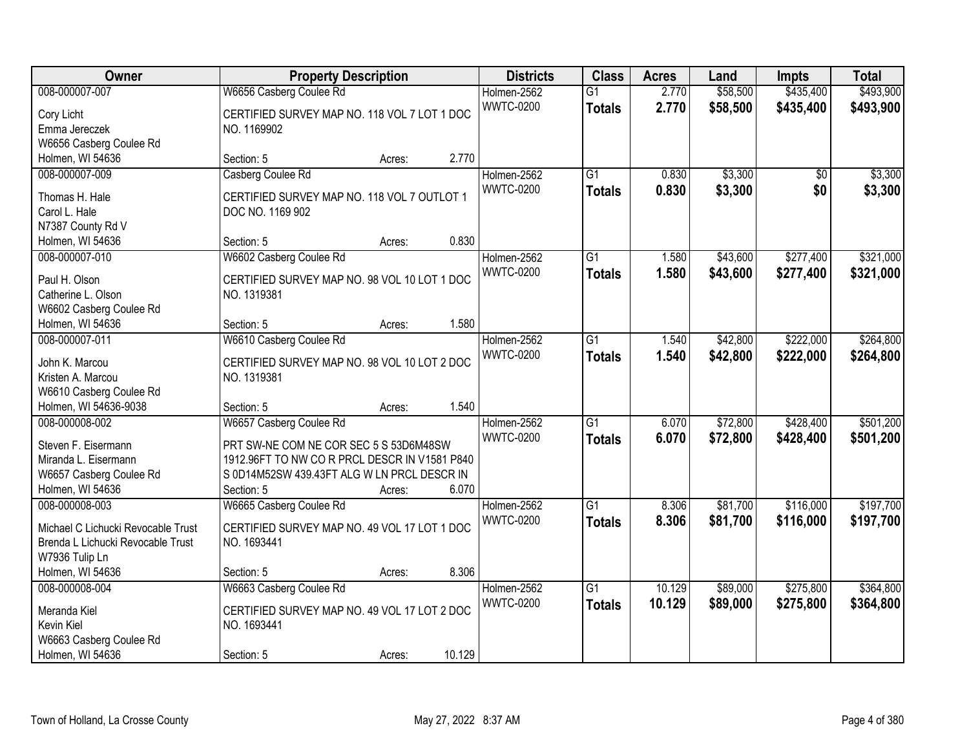| \$493,900<br>008-000007-007<br>W6656 Casberg Coulee Rd<br>\$58,500<br>\$435,400<br>Holmen-2562<br>$\overline{G1}$<br>2.770<br><b>WWTC-0200</b><br>2.770<br>\$58,500<br>\$435,400<br>\$493,900<br><b>Totals</b><br>CERTIFIED SURVEY MAP NO. 118 VOL 7 LOT 1 DOC<br>Cory Licht<br>Emma Jereczek<br>NO. 1169902<br>W6656 Casberg Coulee Rd |
|-----------------------------------------------------------------------------------------------------------------------------------------------------------------------------------------------------------------------------------------------------------------------------------------------------------------------------------------|
|                                                                                                                                                                                                                                                                                                                                         |
|                                                                                                                                                                                                                                                                                                                                         |
|                                                                                                                                                                                                                                                                                                                                         |
|                                                                                                                                                                                                                                                                                                                                         |
| 2.770<br>Holmen, WI 54636<br>Section: 5<br>Acres:                                                                                                                                                                                                                                                                                       |
| $\overline{G1}$<br>\$3,300<br>\$3,300<br>008-000007-009<br>Casberg Coulee Rd<br>Holmen-2562<br>0.830<br>\$0                                                                                                                                                                                                                             |
| <b>WWTC-0200</b><br>0.830<br>\$3,300<br>\$0<br>\$3,300<br><b>Totals</b>                                                                                                                                                                                                                                                                 |
| Thomas H. Hale<br>CERTIFIED SURVEY MAP NO. 118 VOL 7 OUTLOT 1                                                                                                                                                                                                                                                                           |
| Carol L. Hale<br>DOC NO. 1169 902                                                                                                                                                                                                                                                                                                       |
| N7387 County Rd V                                                                                                                                                                                                                                                                                                                       |
| 0.830<br>Holmen, WI 54636<br>Section: 5<br>Acres:                                                                                                                                                                                                                                                                                       |
| \$43,600<br>\$277,400<br>\$321,000<br>008-000007-010<br>W6602 Casberg Coulee Rd<br>Holmen-2562<br>G1<br>1.580                                                                                                                                                                                                                           |
| <b>WWTC-0200</b><br>\$43,600<br>\$321,000<br>1.580<br>\$277,400<br><b>Totals</b><br>Paul H. Olson<br>CERTIFIED SURVEY MAP NO. 98 VOL 10 LOT 1 DOC                                                                                                                                                                                       |
| Catherine L. Olson<br>NO. 1319381                                                                                                                                                                                                                                                                                                       |
| W6602 Casberg Coulee Rd                                                                                                                                                                                                                                                                                                                 |
| 1.580<br>Holmen, WI 54636<br>Section: 5<br>Acres:                                                                                                                                                                                                                                                                                       |
| Holmen-2562<br>\$42,800<br>\$222,000<br>\$264,800<br>008-000007-011<br>W6610 Casberg Coulee Rd<br>G1<br>1.540                                                                                                                                                                                                                           |
| <b>WWTC-0200</b><br>1.540<br>\$42,800<br>\$222,000<br>\$264,800<br><b>Totals</b>                                                                                                                                                                                                                                                        |
| John K. Marcou<br>CERTIFIED SURVEY MAP NO. 98 VOL 10 LOT 2 DOC                                                                                                                                                                                                                                                                          |
| Kristen A. Marcou<br>NO. 1319381                                                                                                                                                                                                                                                                                                        |
| W6610 Casberg Coulee Rd                                                                                                                                                                                                                                                                                                                 |
| 1.540<br>Holmen, WI 54636-9038<br>Section: 5<br>Acres:                                                                                                                                                                                                                                                                                  |
| \$428,400<br>\$501,200<br>008-000008-002<br>W6657 Casberg Coulee Rd<br>$\overline{G1}$<br>6.070<br>\$72,800<br>Holmen-2562                                                                                                                                                                                                              |
| 6.070<br><b>WWTC-0200</b><br>\$72,800<br>\$428,400<br>\$501,200<br><b>Totals</b><br>Steven F. Eisermann<br>PRT SW-NE COM NE COR SEC 5 S 53D6M48SW                                                                                                                                                                                       |
| Miranda L. Eisermann<br>1912.96FT TO NW CO R PRCL DESCR IN V1581 P840                                                                                                                                                                                                                                                                   |
| W6657 Casberg Coulee Rd<br>S 0D14M52SW 439.43FT ALG W LN PRCL DESCR IN                                                                                                                                                                                                                                                                  |
| Holmen, WI 54636<br>Section: 5<br>6.070<br>Acres:                                                                                                                                                                                                                                                                                       |
| 008-000008-003<br>W6665 Casberg Coulee Rd<br>$\overline{G1}$<br>\$81,700<br>\$116,000<br>\$197,700<br>Holmen-2562<br>8.306                                                                                                                                                                                                              |
| <b>WWTC-0200</b><br>8.306<br>\$81,700<br>\$116,000<br>\$197,700<br><b>Totals</b>                                                                                                                                                                                                                                                        |
| CERTIFIED SURVEY MAP NO. 49 VOL 17 LOT 1 DOC<br>Michael C Lichucki Revocable Trust                                                                                                                                                                                                                                                      |
| Brenda L Lichucki Revocable Trust<br>NO. 1693441                                                                                                                                                                                                                                                                                        |
| W7936 Tulip Ln                                                                                                                                                                                                                                                                                                                          |
| 8.306<br>Holmen, WI 54636<br>Section: 5<br>Acres:                                                                                                                                                                                                                                                                                       |
| $\overline{G1}$<br>10.129<br>\$89,000<br>\$275,800<br>\$364,800<br>008-000008-004<br>W6663 Casberg Coulee Rd<br>Holmen-2562                                                                                                                                                                                                             |
| <b>WWTC-0200</b><br>10.129<br>\$89,000<br>\$275,800<br>\$364,800<br><b>Totals</b><br>CERTIFIED SURVEY MAP NO. 49 VOL 17 LOT 2 DOC<br>Meranda Kiel                                                                                                                                                                                       |
| Kevin Kiel<br>NO. 1693441                                                                                                                                                                                                                                                                                                               |
| W6663 Casberg Coulee Rd                                                                                                                                                                                                                                                                                                                 |
| 10.129<br>Holmen, WI 54636<br>Section: 5<br>Acres:                                                                                                                                                                                                                                                                                      |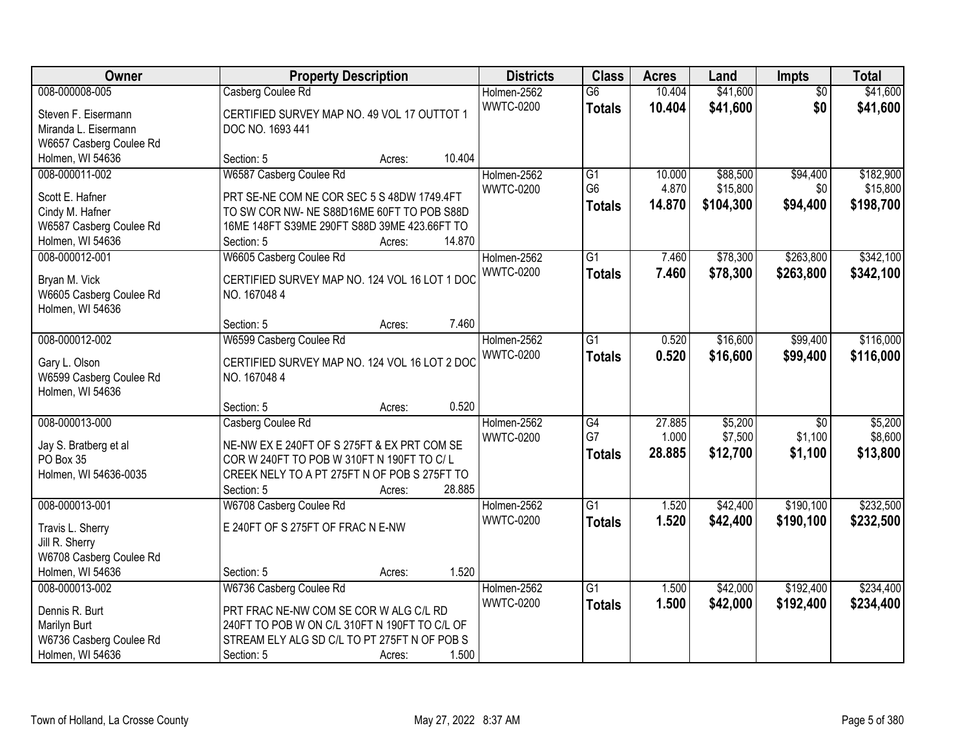| Owner                              |                                               | <b>Property Description</b> |        |                  | <b>Class</b>    | <b>Acres</b> | Land      | <b>Impts</b>    | <b>Total</b> |
|------------------------------------|-----------------------------------------------|-----------------------------|--------|------------------|-----------------|--------------|-----------|-----------------|--------------|
| 008-000008-005                     | Casberg Coulee Rd                             |                             |        | Holmen-2562      | $\overline{G6}$ | 10.404       | \$41,600  | $\overline{50}$ | \$41,600     |
| Steven F. Eisermann                | CERTIFIED SURVEY MAP NO. 49 VOL 17 OUTTOT 1   |                             |        | <b>WWTC-0200</b> | <b>Totals</b>   | 10.404       | \$41,600  | \$0             | \$41,600     |
| Miranda L. Eisermann               | DOC NO. 1693 441                              |                             |        |                  |                 |              |           |                 |              |
| W6657 Casberg Coulee Rd            |                                               |                             |        |                  |                 |              |           |                 |              |
| Holmen, WI 54636                   | Section: 5                                    | Acres:                      | 10.404 |                  |                 |              |           |                 |              |
| 008-000011-002                     | W6587 Casberg Coulee Rd                       |                             |        | Holmen-2562      | $\overline{G1}$ | 10.000       | \$88,500  | \$94,400        | \$182,900    |
|                                    |                                               |                             |        | <b>WWTC-0200</b> | G <sub>6</sub>  | 4.870        | \$15,800  | \$0             | \$15,800     |
| Scott E. Hafner                    | PRT SE-NE COM NE COR SEC 5 S 48DW 1749.4FT    |                             |        |                  | Totals          | 14.870       | \$104,300 | \$94,400        | \$198,700    |
| Cindy M. Hafner                    | TO SW COR NW- NE S88D16ME 60FT TO POB S88D    |                             |        |                  |                 |              |           |                 |              |
| W6587 Casberg Coulee Rd            | 16ME 148FT S39ME 290FT S88D 39ME 423.66FT TO  |                             | 14.870 |                  |                 |              |           |                 |              |
| Holmen, WI 54636<br>008-000012-001 | Section: 5                                    | Acres:                      |        |                  | $\overline{G1}$ | 7.460        | \$78,300  | \$263,800       | \$342,100    |
|                                    | W6605 Casberg Coulee Rd                       |                             |        | Holmen-2562      |                 |              |           |                 |              |
| Bryan M. Vick                      | CERTIFIED SURVEY MAP NO. 124 VOL 16 LOT 1 DOC |                             |        | <b>WWTC-0200</b> | <b>Totals</b>   | 7.460        | \$78,300  | \$263,800       | \$342,100    |
| W6605 Casberg Coulee Rd            | NO. 1670484                                   |                             |        |                  |                 |              |           |                 |              |
| Holmen, WI 54636                   |                                               |                             |        |                  |                 |              |           |                 |              |
|                                    | Section: 5                                    | Acres:                      | 7.460  |                  |                 |              |           |                 |              |
| 008-000012-002                     | W6599 Casberg Coulee Rd                       |                             |        | Holmen-2562      | $\overline{G1}$ | 0.520        | \$16,600  | \$99,400        | \$116,000    |
| Gary L. Olson                      | CERTIFIED SURVEY MAP NO. 124 VOL 16 LOT 2 DOC |                             |        | <b>WWTC-0200</b> | <b>Totals</b>   | 0.520        | \$16,600  | \$99,400        | \$116,000    |
| W6599 Casberg Coulee Rd            | NO. 1670484                                   |                             |        |                  |                 |              |           |                 |              |
| Holmen, WI 54636                   |                                               |                             |        |                  |                 |              |           |                 |              |
|                                    | Section: 5                                    | Acres:                      | 0.520  |                  |                 |              |           |                 |              |
| 008-000013-000                     | Casberg Coulee Rd                             |                             |        | Holmen-2562      | G4              | 27.885       | \$5,200   | $\overline{50}$ | \$5,200      |
|                                    |                                               |                             |        | <b>WWTC-0200</b> | G7              | 1.000        | \$7,500   | \$1,100         | \$8,600      |
| Jay S. Bratberg et al              | NE-NW EX E 240FT OF S 275FT & EX PRT COM SE   |                             |        |                  | <b>Totals</b>   | 28.885       | \$12,700  | \$1,100         | \$13,800     |
| PO Box 35                          | COR W 240FT TO POB W 310FT N 190FT TO C/L     |                             |        |                  |                 |              |           |                 |              |
| Holmen, WI 54636-0035              | CREEK NELY TO A PT 275FT N OF POB S 275FT TO  |                             |        |                  |                 |              |           |                 |              |
|                                    | Section: 5                                    | Acres:                      | 28.885 |                  |                 |              |           |                 |              |
| 008-000013-001                     | W6708 Casberg Coulee Rd                       |                             |        | Holmen-2562      | $\overline{G1}$ | 1.520        | \$42,400  | \$190,100       | \$232,500    |
| Travis L. Sherry                   | E 240FT OF S 275FT OF FRAC N E-NW             |                             |        | <b>WWTC-0200</b> | <b>Totals</b>   | 1.520        | \$42,400  | \$190,100       | \$232,500    |
| Jill R. Sherry                     |                                               |                             |        |                  |                 |              |           |                 |              |
| W6708 Casberg Coulee Rd            |                                               |                             |        |                  |                 |              |           |                 |              |
| Holmen, WI 54636                   | Section: 5                                    | Acres:                      | 1.520  |                  |                 |              |           |                 |              |
| 008-000013-002                     | W6736 Casberg Coulee Rd                       |                             |        | Holmen-2562      | $\overline{G1}$ | 1.500        | \$42,000  | \$192,400       | \$234,400    |
|                                    |                                               |                             |        | <b>WWTC-0200</b> | <b>Totals</b>   | 1.500        | \$42,000  | \$192,400       | \$234,400    |
| Dennis R. Burt                     | PRT FRAC NE-NW COM SE COR W ALG C/L RD        |                             |        |                  |                 |              |           |                 |              |
| Marilyn Burt                       | 240FT TO POB W ON C/L 310FT N 190FT TO C/L OF |                             |        |                  |                 |              |           |                 |              |
| W6736 Casberg Coulee Rd            | STREAM ELY ALG SD C/L TO PT 275FT N OF POB S  |                             |        |                  |                 |              |           |                 |              |
| Holmen, WI 54636                   | Section: 5                                    | Acres:                      | 1.500  |                  |                 |              |           |                 |              |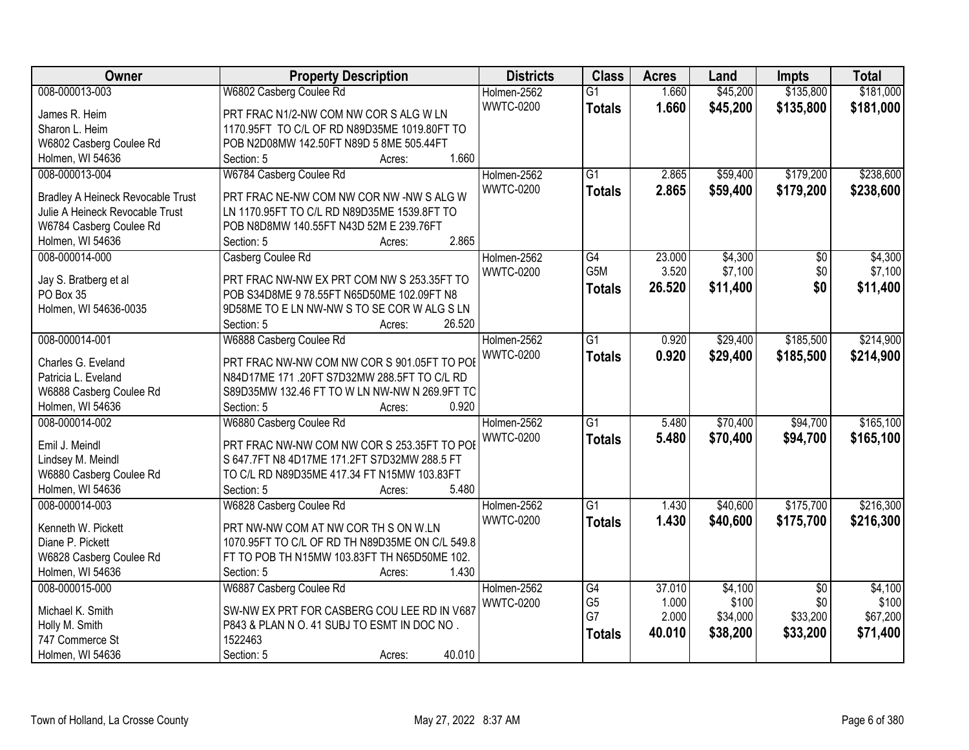| Owner                                    | <b>Property Description</b>                                                                 | <b>Districts</b>                | <b>Class</b>    | <b>Acres</b>   | Land                 | <b>Impts</b>           | <b>Total</b>           |
|------------------------------------------|---------------------------------------------------------------------------------------------|---------------------------------|-----------------|----------------|----------------------|------------------------|------------------------|
| 008-000013-003                           | W6802 Casberg Coulee Rd                                                                     | Holmen-2562                     | $\overline{G1}$ | 1.660          | \$45,200             | \$135,800              | \$181,000              |
| James R. Heim                            | PRT FRAC N1/2-NW COM NW COR S ALG W LN                                                      | <b>WWTC-0200</b>                | <b>Totals</b>   | 1.660          | \$45,200             | \$135,800              | \$181,000              |
| Sharon L. Heim                           | 1170.95FT TO C/L OF RD N89D35ME 1019.80FT TO                                                |                                 |                 |                |                      |                        |                        |
| W6802 Casberg Coulee Rd                  | POB N2D08MW 142.50FT N89D 5 8ME 505.44FT                                                    |                                 |                 |                |                      |                        |                        |
| Holmen, WI 54636                         | 1.660<br>Section: 5<br>Acres:                                                               |                                 |                 |                |                      |                        |                        |
| 008-000013-004                           | W6784 Casberg Coulee Rd                                                                     | Holmen-2562<br><b>WWTC-0200</b> | $\overline{G1}$ | 2.865<br>2.865 | \$59,400<br>\$59,400 | \$179,200<br>\$179,200 | \$238,600<br>\$238,600 |
| <b>Bradley A Heineck Revocable Trust</b> | PRT FRAC NE-NW COM NW COR NW -NW S ALG W                                                    |                                 | <b>Totals</b>   |                |                      |                        |                        |
| Julie A Heineck Revocable Trust          | LN 1170.95FT TO C/L RD N89D35ME 1539.8FT TO                                                 |                                 |                 |                |                      |                        |                        |
| W6784 Casberg Coulee Rd                  | POB N8D8MW 140.55FT N43D 52M E 239.76FT                                                     |                                 |                 |                |                      |                        |                        |
| Holmen, WI 54636                         | 2.865<br>Section: 5<br>Acres:                                                               |                                 |                 |                |                      |                        |                        |
| 008-000014-000                           | Casberg Coulee Rd                                                                           | Holmen-2562                     | G4              | 23.000         | \$4,300              | \$0                    | \$4,300                |
| Jay S. Bratberg et al                    | PRT FRAC NW-NW EX PRT COM NW S 253.35FT TO                                                  | <b>WWTC-0200</b>                | G5M             | 3.520          | \$7,100              | \$0                    | \$7,100                |
| PO Box 35                                | POB S34D8ME 9 78.55FT N65D50ME 102.09FT N8                                                  |                                 | <b>Totals</b>   | 26.520         | \$11,400             | \$0                    | \$11,400               |
| Holmen, WI 54636-0035                    | 9D58ME TO E LN NW-NW S TO SE COR W ALG S LN                                                 |                                 |                 |                |                      |                        |                        |
|                                          | 26.520<br>Section: 5<br>Acres:                                                              |                                 |                 |                |                      |                        |                        |
| 008-000014-001                           | W6888 Casberg Coulee Rd                                                                     | Holmen-2562                     | G1              | 0.920          | \$29,400             | \$185,500              | \$214,900              |
|                                          |                                                                                             | <b>WWTC-0200</b>                |                 |                |                      |                        |                        |
| Charles G. Eveland                       | PRT FRAC NW-NW COM NW COR S 901.05FT TO POE                                                 |                                 | <b>Totals</b>   | 0.920          | \$29,400             | \$185,500              | \$214,900              |
| Patricia L. Eveland                      | N84D17ME 171 .20FT S7D32MW 288.5FT TO C/L RD                                                |                                 |                 |                |                      |                        |                        |
| W6888 Casberg Coulee Rd                  | S89D35MW 132.46 FT TO W LN NW-NW N 269.9FT TO                                               |                                 |                 |                |                      |                        |                        |
| Holmen, WI 54636                         | 0.920<br>Section: 5<br>Acres:                                                               |                                 |                 |                |                      |                        |                        |
| 008-000014-002                           | W6880 Casberg Coulee Rd                                                                     | Holmen-2562                     | $\overline{G1}$ | 5.480          | \$70,400             | \$94,700               | \$165,100              |
|                                          |                                                                                             | <b>WWTC-0200</b>                | <b>Totals</b>   | 5.480          | \$70,400             | \$94,700               | \$165,100              |
| Emil J. Meindl                           | PRT FRAC NW-NW COM NW COR S 253.35FT TO POE                                                 |                                 |                 |                |                      |                        |                        |
| Lindsey M. Meindl                        | S 647.7FT N8 4D17ME 171.2FT S7D32MW 288.5 FT<br>TO C/L RD N89D35ME 417.34 FT N15MW 103.83FT |                                 |                 |                |                      |                        |                        |
| W6880 Casberg Coulee Rd                  | 5.480                                                                                       |                                 |                 |                |                      |                        |                        |
| Holmen, WI 54636                         | Section: 5<br>Acres:                                                                        |                                 | $\overline{G1}$ |                |                      |                        |                        |
| 008-000014-003                           | W6828 Casberg Coulee Rd                                                                     | Holmen-2562                     |                 | 1.430          | \$40,600             | \$175,700              | \$216,300              |
| Kenneth W. Pickett                       | PRT NW-NW COM AT NW COR TH S ON W.LN                                                        | <b>WWTC-0200</b>                | <b>Totals</b>   | 1.430          | \$40,600             | \$175,700              | \$216,300              |
| Diane P. Pickett                         | 1070.95FT TO C/L OF RD TH N89D35ME ON C/L 549.8                                             |                                 |                 |                |                      |                        |                        |
| W6828 Casberg Coulee Rd                  | FT TO POB TH N15MW 103.83FT TH N65D50ME 102.                                                |                                 |                 |                |                      |                        |                        |
| Holmen, WI 54636                         | 1.430<br>Section: 5<br>Acres:                                                               |                                 |                 |                |                      |                        |                        |
| 008-000015-000                           | W6887 Casberg Coulee Rd                                                                     | Holmen-2562                     | G4              | 37.010         | \$4,100              | $\overline{50}$        | \$4,100                |
|                                          |                                                                                             | <b>WWTC-0200</b>                | G <sub>5</sub>  | 1.000          | \$100                | \$0                    | \$100                  |
| Michael K. Smith                         | SW-NW EX PRT FOR CASBERG COU LEE RD IN V687                                                 |                                 | G7              | 2.000          | \$34,000             | \$33,200               | \$67,200               |
| Holly M. Smith                           | P843 & PLAN N O. 41 SUBJ TO ESMT IN DOC NO.<br>1522463                                      |                                 | <b>Totals</b>   | 40.010         | \$38,200             | \$33,200               | \$71,400               |
| 747 Commerce St                          |                                                                                             |                                 |                 |                |                      |                        |                        |
| Holmen, WI 54636                         | 40.010<br>Section: 5<br>Acres:                                                              |                                 |                 |                |                      |                        |                        |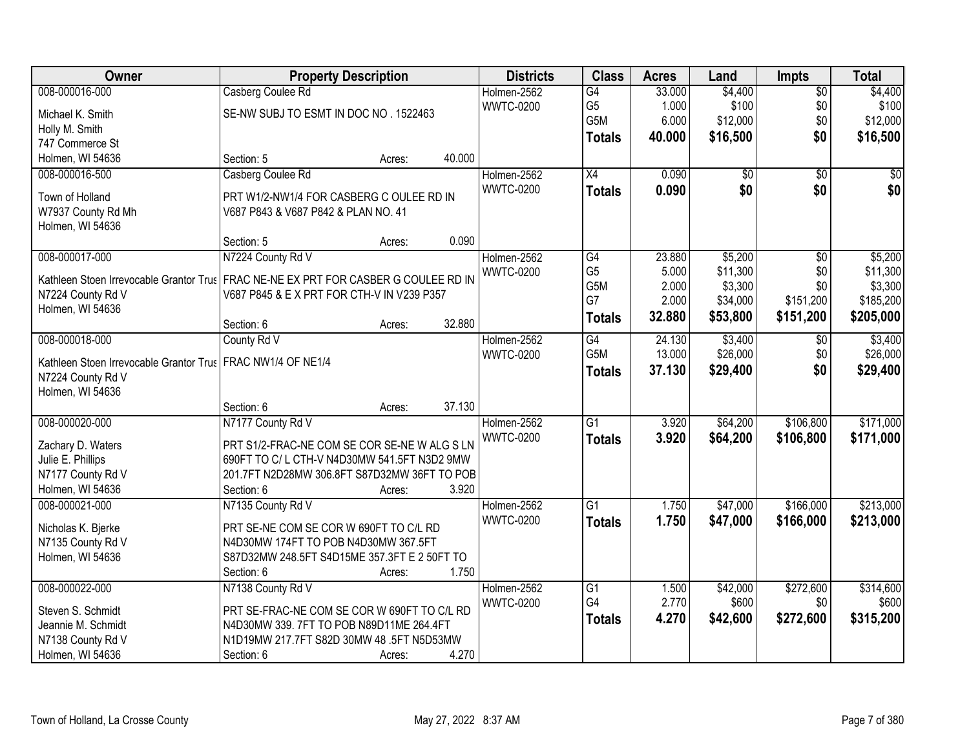| Owner                                                                               | <b>Property Description</b>                  |        |        | <b>Districts</b>                | <b>Class</b>                       | <b>Acres</b>   | Land                | Impts           | <b>Total</b>        |
|-------------------------------------------------------------------------------------|----------------------------------------------|--------|--------|---------------------------------|------------------------------------|----------------|---------------------|-----------------|---------------------|
| 008-000016-000                                                                      | Casberg Coulee Rd                            |        |        | Holmen-2562                     | G4                                 | 33.000         | \$4,400             | $\overline{50}$ | \$4,400             |
| Michael K. Smith                                                                    | SE-NW SUBJ TO ESMT IN DOC NO. 1522463        |        |        | <b>WWTC-0200</b>                | G <sub>5</sub>                     | 1.000          | \$100               | \$0             | \$100               |
| Holly M. Smith                                                                      |                                              |        |        |                                 | G5M                                | 6.000          | \$12,000            | \$0             | \$12,000            |
| 747 Commerce St                                                                     |                                              |        |        |                                 | <b>Totals</b>                      | 40.000         | \$16,500            | \$0             | \$16,500            |
| Holmen, WI 54636                                                                    | Section: 5                                   | Acres: | 40.000 |                                 |                                    |                |                     |                 |                     |
| 008-000016-500                                                                      | Casberg Coulee Rd                            |        |        | Holmen-2562                     | $\overline{X4}$                    | 0.090          | \$0                 | $\overline{30}$ | \$0                 |
|                                                                                     |                                              |        |        | <b>WWTC-0200</b>                | <b>Totals</b>                      | 0.090          | \$0                 | \$0             | \$0                 |
| Town of Holland                                                                     | PRT W1/2-NW1/4 FOR CASBERG C OULEE RD IN     |        |        |                                 |                                    |                |                     |                 |                     |
| W7937 County Rd Mh                                                                  | V687 P843 & V687 P842 & PLAN NO. 41          |        |        |                                 |                                    |                |                     |                 |                     |
| Holmen, WI 54636                                                                    |                                              |        |        |                                 |                                    |                |                     |                 |                     |
|                                                                                     | Section: 5                                   | Acres: | 0.090  |                                 |                                    |                |                     |                 |                     |
| 008-000017-000                                                                      | N7224 County Rd V                            |        |        | Holmen-2562                     | $\overline{G4}$                    | 23.880         | \$5,200             | $\overline{50}$ | \$5,200             |
| Kathleen Stoen Irrevocable Grantor Trus FRAC NE-NE EX PRT FOR CASBER G COULEE RD IN |                                              |        |        | <b>WWTC-0200</b>                | G <sub>5</sub><br>G <sub>5</sub> M | 5.000<br>2.000 | \$11,300<br>\$3,300 | \$0<br>\$0      | \$11,300<br>\$3,300 |
| N7224 County Rd V                                                                   | V687 P845 & E X PRT FOR CTH-V IN V239 P357   |        |        |                                 | G7                                 | 2.000          | \$34,000            | \$151,200       | \$185,200           |
| Holmen, WI 54636                                                                    |                                              |        |        |                                 |                                    |                |                     |                 |                     |
|                                                                                     | Section: 6                                   | Acres: | 32.880 |                                 | <b>Totals</b>                      | 32.880         | \$53,800            | \$151,200       | \$205,000           |
| 008-000018-000                                                                      | County Rd V                                  |        |        | Holmen-2562                     | $\overline{G4}$                    | 24.130         | \$3,400             | \$0             | \$3,400             |
|                                                                                     |                                              |        |        | <b>WWTC-0200</b>                | G5M                                | 13.000         | \$26,000            | \$0             | \$26,000            |
| Kathleen Stoen Irrevocable Grantor Trus   FRAC NW1/4 OF NE1/4                       |                                              |        |        |                                 | <b>Totals</b>                      | 37.130         | \$29,400            | \$0             | \$29,400            |
| N7224 County Rd V                                                                   |                                              |        |        |                                 |                                    |                |                     |                 |                     |
| Holmen, WI 54636                                                                    | Section: 6                                   |        | 37.130 |                                 |                                    |                |                     |                 |                     |
| 008-000020-000                                                                      | N7177 County Rd V                            | Acres: |        |                                 | $\overline{G1}$                    | 3.920          | \$64,200            | \$106,800       | \$171,000           |
|                                                                                     |                                              |        |        | Holmen-2562<br><b>WWTC-0200</b> |                                    |                |                     |                 |                     |
| Zachary D. Waters                                                                   | PRT S1/2-FRAC-NE COM SE COR SE-NE W ALG S LN |        |        |                                 | <b>Totals</b>                      | 3.920          | \$64,200            | \$106,800       | \$171,000           |
| Julie E. Phillips                                                                   | 690FT TO C/L CTH-V N4D30MW 541.5FT N3D2 9MW  |        |        |                                 |                                    |                |                     |                 |                     |
| N7177 County Rd V                                                                   | 201.7FT N2D28MW 306.8FT S87D32MW 36FT TO POB |        |        |                                 |                                    |                |                     |                 |                     |
| Holmen, WI 54636                                                                    | Section: 6                                   | Acres: | 3.920  |                                 |                                    |                |                     |                 |                     |
| 008-000021-000                                                                      | N7135 County Rd V                            |        |        | Holmen-2562                     | $\overline{G1}$                    | 1.750          | \$47,000            | \$166,000       | \$213,000           |
| Nicholas K. Bjerke                                                                  | PRT SE-NE COM SE COR W 690FT TO C/L RD       |        |        | <b>WWTC-0200</b>                | <b>Totals</b>                      | 1.750          | \$47,000            | \$166,000       | \$213,000           |
| N7135 County Rd V                                                                   | N4D30MW 174FT TO POB N4D30MW 367.5FT         |        |        |                                 |                                    |                |                     |                 |                     |
| Holmen, WI 54636                                                                    | S87D32MW 248.5FT S4D15ME 357.3FT E 2 50FT TO |        |        |                                 |                                    |                |                     |                 |                     |
|                                                                                     | Section: 6                                   | Acres: | 1.750  |                                 |                                    |                |                     |                 |                     |
| 008-000022-000                                                                      | N7138 County Rd V                            |        |        | Holmen-2562                     | $\overline{G1}$                    | 1.500          | \$42,000            | \$272,600       | \$314,600           |
|                                                                                     |                                              |        |        | <b>WWTC-0200</b>                | G4                                 | 2.770          | \$600               | \$0             | \$600               |
| Steven S. Schmidt                                                                   | PRT SE-FRAC-NE COM SE COR W 690FT TO C/L RD  |        |        |                                 | <b>Totals</b>                      | 4.270          | \$42,600            | \$272,600       | \$315,200           |
| Jeannie M. Schmidt                                                                  | N4D30MW 339. 7FT TO POB N89D11ME 264.4FT     |        |        |                                 |                                    |                |                     |                 |                     |
| N7138 County Rd V                                                                   | N1D19MW 217.7FT S82D 30MW 48 .5FT N5D53MW    |        |        |                                 |                                    |                |                     |                 |                     |
| Holmen, WI 54636                                                                    | Section: 6                                   | Acres: | 4.270  |                                 |                                    |                |                     |                 |                     |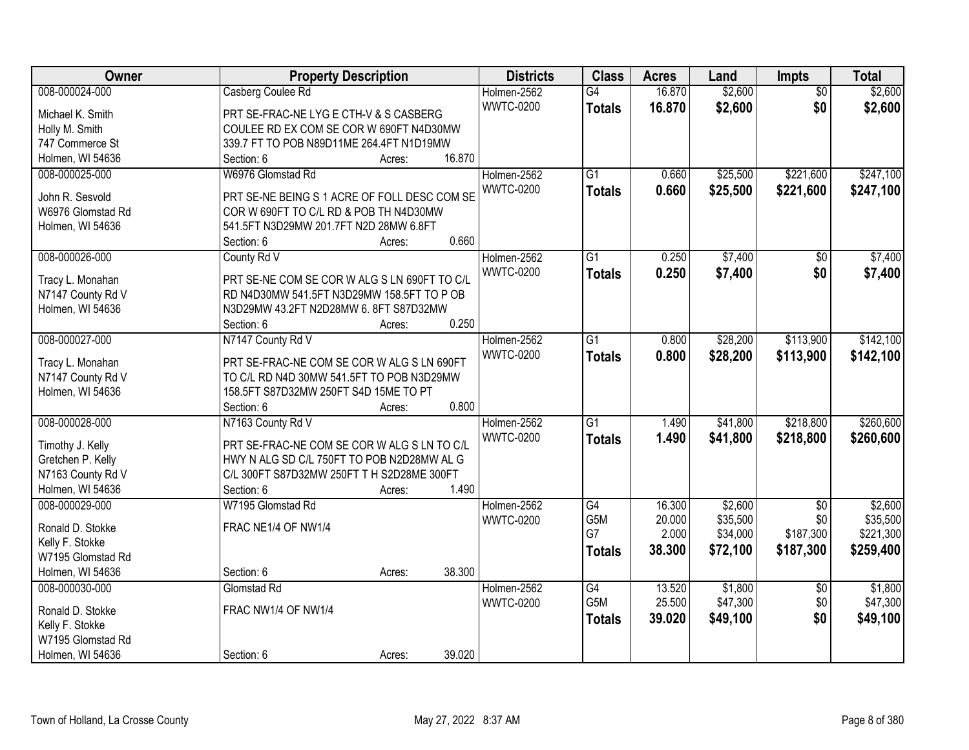| Owner             | <b>Property Description</b>                     | <b>Districts</b>                | <b>Class</b>    | <b>Acres</b> | Land     | <b>Impts</b>    | <b>Total</b> |
|-------------------|-------------------------------------------------|---------------------------------|-----------------|--------------|----------|-----------------|--------------|
| 008-000024-000    | Casberg Coulee Rd                               | Holmen-2562                     | $\overline{G4}$ | 16.870       | \$2,600  | $\overline{50}$ | \$2,600      |
| Michael K. Smith  | PRT SE-FRAC-NE LYG E CTH-V & S CASBERG          | <b>WWTC-0200</b>                | <b>Totals</b>   | 16.870       | \$2,600  | \$0             | \$2,600      |
| Holly M. Smith    | COULEE RD EX COM SE COR W 690FT N4D30MW         |                                 |                 |              |          |                 |              |
| 747 Commerce St   | 339.7 FT TO POB N89D11ME 264.4FT N1D19MW        |                                 |                 |              |          |                 |              |
| Holmen, WI 54636  | 16.870<br>Section: 6<br>Acres:                  |                                 |                 |              |          |                 |              |
| 008-000025-000    | W6976 Glomstad Rd                               | Holmen-2562                     | $\overline{G1}$ | 0.660        | \$25,500 | \$221,600       | \$247,100    |
|                   |                                                 | <b>WWTC-0200</b>                | <b>Totals</b>   | 0.660        | \$25,500 | \$221,600       | \$247,100    |
| John R. Sesvold   | PRT SE-NE BEING S 1 ACRE OF FOLL DESC COM SE    |                                 |                 |              |          |                 |              |
| W6976 Glomstad Rd | COR W 690FT TO C/L RD & POB TH N4D30MW          |                                 |                 |              |          |                 |              |
| Holmen, WI 54636  | 541.5FT N3D29MW 201.7FT N2D 28MW 6.8FT<br>0.660 |                                 |                 |              |          |                 |              |
|                   | Section: 6<br>Acres:                            |                                 |                 |              |          |                 |              |
| 008-000026-000    | County Rd V                                     | Holmen-2562<br><b>WWTC-0200</b> | G1              | 0.250        | \$7,400  | \$0             | \$7,400      |
| Tracy L. Monahan  | PRT SE-NE COM SE COR W ALG S LN 690FT TO C/L    |                                 | <b>Totals</b>   | 0.250        | \$7,400  | \$0             | \$7,400      |
| N7147 County Rd V | RD N4D30MW 541.5FT N3D29MW 158.5FT TO P OB      |                                 |                 |              |          |                 |              |
| Holmen, WI 54636  | N3D29MW 43.2FT N2D28MW 6.8FT S87D32MW           |                                 |                 |              |          |                 |              |
|                   | 0.250<br>Section: 6<br>Acres:                   |                                 |                 |              |          |                 |              |
| 008-000027-000    | N7147 County Rd V                               | Holmen-2562                     | $\overline{G1}$ | 0.800        | \$28,200 | \$113,900       | \$142,100    |
| Tracy L. Monahan  | PRT SE-FRAC-NE COM SE COR W ALG S LN 690FT      | <b>WWTC-0200</b>                | <b>Totals</b>   | 0.800        | \$28,200 | \$113,900       | \$142,100    |
| N7147 County Rd V | TO C/L RD N4D 30MW 541.5FT TO POB N3D29MW       |                                 |                 |              |          |                 |              |
| Holmen, WI 54636  | 158.5FT S87D32MW 250FT S4D 15ME TO PT           |                                 |                 |              |          |                 |              |
|                   | 0.800<br>Section: 6<br>Acres:                   |                                 |                 |              |          |                 |              |
| 008-000028-000    | N7163 County Rd V                               | Holmen-2562                     | $\overline{G1}$ | 1.490        | \$41,800 | \$218,800       | \$260,600    |
|                   |                                                 | <b>WWTC-0200</b>                |                 | 1.490        |          |                 |              |
| Timothy J. Kelly  | PRT SE-FRAC-NE COM SE COR W ALG S LN TO C/L     |                                 | <b>Totals</b>   |              | \$41,800 | \$218,800       | \$260,600    |
| Gretchen P. Kelly | HWY N ALG SD C/L 750FT TO POB N2D28MW AL G      |                                 |                 |              |          |                 |              |
| N7163 County Rd V | C/L 300FT S87D32MW 250FT T H S2D28ME 300FT      |                                 |                 |              |          |                 |              |
| Holmen, WI 54636  | 1.490<br>Section: 6<br>Acres:                   |                                 |                 |              |          |                 |              |
| 008-000029-000    | W7195 Glomstad Rd                               | Holmen-2562                     | G4              | 16.300       | \$2,600  | $\sqrt{$0}$     | \$2,600      |
| Ronald D. Stokke  | FRAC NE1/4 OF NW1/4                             | <b>WWTC-0200</b>                | G5M             | 20.000       | \$35,500 | \$0             | \$35,500     |
| Kelly F. Stokke   |                                                 |                                 | G7              | 2.000        | \$34,000 | \$187,300       | \$221,300    |
| W7195 Glomstad Rd |                                                 |                                 | <b>Totals</b>   | 38.300       | \$72,100 | \$187,300       | \$259,400    |
| Holmen, WI 54636  | 38.300<br>Section: 6<br>Acres:                  |                                 |                 |              |          |                 |              |
| 008-000030-000    | Glomstad Rd                                     | Holmen-2562                     | G4              | 13.520       | \$1,800  | $\overline{60}$ | \$1,800      |
|                   |                                                 | <b>WWTC-0200</b>                | G5M             | 25.500       | \$47,300 | \$0             | \$47,300     |
| Ronald D. Stokke  | FRAC NW1/4 OF NW1/4                             |                                 | <b>Totals</b>   | 39.020       | \$49,100 | \$0             | \$49,100     |
| Kelly F. Stokke   |                                                 |                                 |                 |              |          |                 |              |
| W7195 Glomstad Rd |                                                 |                                 |                 |              |          |                 |              |
| Holmen, WI 54636  | 39.020<br>Section: 6<br>Acres:                  |                                 |                 |              |          |                 |              |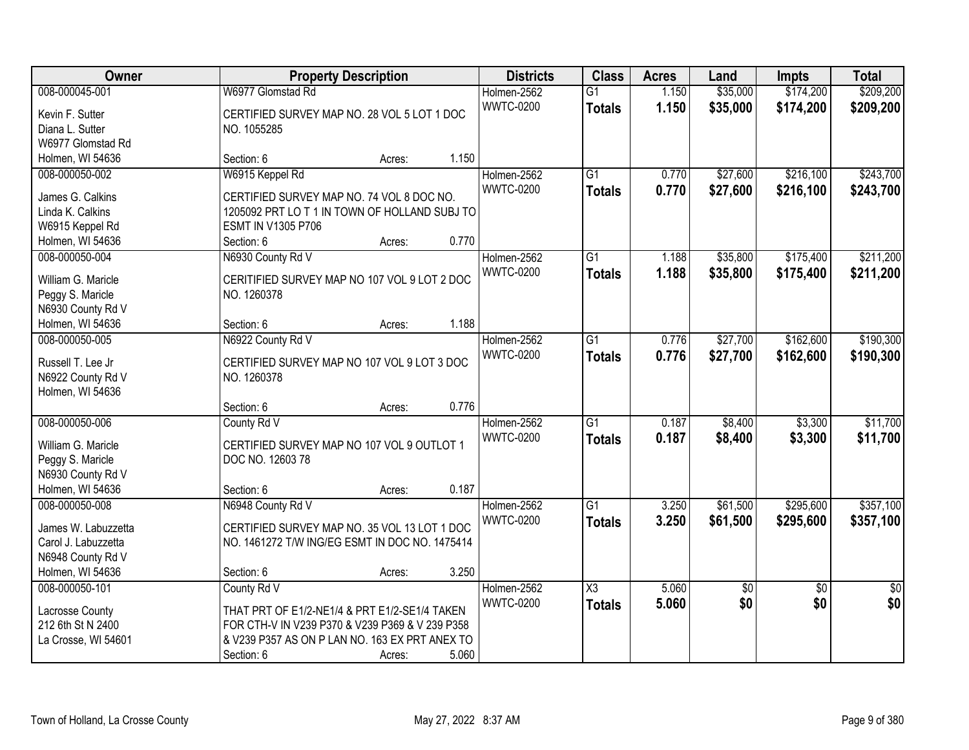| Owner               | <b>Property Description</b>                     |        |       | <b>Districts</b> | <b>Class</b>    | <b>Acres</b> | Land            | <b>Impts</b>    | <b>Total</b>    |
|---------------------|-------------------------------------------------|--------|-------|------------------|-----------------|--------------|-----------------|-----------------|-----------------|
| 008-000045-001      | W6977 Glomstad Rd                               |        |       | Holmen-2562      | $\overline{G1}$ | 1.150        | \$35,000        | \$174,200       | \$209,200       |
| Kevin F. Sutter     | CERTIFIED SURVEY MAP NO. 28 VOL 5 LOT 1 DOC     |        |       | <b>WWTC-0200</b> | <b>Totals</b>   | 1.150        | \$35,000        | \$174,200       | \$209,200       |
| Diana L. Sutter     | NO. 1055285                                     |        |       |                  |                 |              |                 |                 |                 |
| W6977 Glomstad Rd   |                                                 |        |       |                  |                 |              |                 |                 |                 |
| Holmen, WI 54636    | Section: 6                                      | Acres: | 1.150 |                  |                 |              |                 |                 |                 |
| 008-000050-002      | W6915 Keppel Rd                                 |        |       | Holmen-2562      | $\overline{G1}$ | 0.770        | \$27,600        | \$216,100       | \$243,700       |
|                     |                                                 |        |       | <b>WWTC-0200</b> | <b>Totals</b>   | 0.770        | \$27,600        | \$216,100       | \$243,700       |
| James G. Calkins    | CERTIFIED SURVEY MAP NO. 74 VOL 8 DOC NO.       |        |       |                  |                 |              |                 |                 |                 |
| Linda K. Calkins    | 1205092 PRT LO T 1 IN TOWN OF HOLLAND SUBJ TO   |        |       |                  |                 |              |                 |                 |                 |
| W6915 Keppel Rd     | ESMT IN V1305 P706                              |        |       |                  |                 |              |                 |                 |                 |
| Holmen, WI 54636    | Section: 6                                      | Acres: | 0.770 |                  |                 |              |                 |                 |                 |
| 008-000050-004      | N6930 County Rd V                               |        |       | Holmen-2562      | $\overline{G1}$ | 1.188        | \$35,800        | \$175,400       | \$211,200       |
| William G. Maricle  | CERITIFIED SURVEY MAP NO 107 VOL 9 LOT 2 DOC    |        |       | <b>WWTC-0200</b> | <b>Totals</b>   | 1.188        | \$35,800        | \$175,400       | \$211,200       |
| Peggy S. Maricle    | NO. 1260378                                     |        |       |                  |                 |              |                 |                 |                 |
| N6930 County Rd V   |                                                 |        |       |                  |                 |              |                 |                 |                 |
| Holmen, WI 54636    | Section: 6                                      | Acres: | 1.188 |                  |                 |              |                 |                 |                 |
| 008-000050-005      | N6922 County Rd V                               |        |       | Holmen-2562      | G1              | 0.776        | \$27,700        | \$162,600       | \$190,300       |
|                     |                                                 |        |       | <b>WWTC-0200</b> | <b>Totals</b>   | 0.776        | \$27,700        | \$162,600       | \$190,300       |
| Russell T. Lee Jr   | CERTIFIED SURVEY MAP NO 107 VOL 9 LOT 3 DOC     |        |       |                  |                 |              |                 |                 |                 |
| N6922 County Rd V   | NO. 1260378                                     |        |       |                  |                 |              |                 |                 |                 |
| Holmen, WI 54636    |                                                 |        |       |                  |                 |              |                 |                 |                 |
|                     | Section: 6                                      | Acres: | 0.776 |                  |                 |              |                 |                 |                 |
| 008-000050-006      | County Rd V                                     |        |       | Holmen-2562      | $\overline{G1}$ | 0.187        | \$8,400         | \$3,300         | \$11,700        |
| William G. Maricle  | CERTIFIED SURVEY MAP NO 107 VOL 9 OUTLOT 1      |        |       | <b>WWTC-0200</b> | <b>Totals</b>   | 0.187        | \$8,400         | \$3,300         | \$11,700        |
| Peggy S. Maricle    | DOC NO. 12603 78                                |        |       |                  |                 |              |                 |                 |                 |
| N6930 County Rd V   |                                                 |        |       |                  |                 |              |                 |                 |                 |
| Holmen, WI 54636    | Section: 6                                      | Acres: | 0.187 |                  |                 |              |                 |                 |                 |
| 008-000050-008      | N6948 County Rd V                               |        |       | Holmen-2562      | $\overline{G1}$ | 3.250        | \$61,500        | \$295,600       | \$357,100       |
|                     |                                                 |        |       | <b>WWTC-0200</b> | <b>Totals</b>   | 3.250        | \$61,500        | \$295,600       | \$357,100       |
| James W. Labuzzetta | CERTIFIED SURVEY MAP NO. 35 VOL 13 LOT 1 DOC    |        |       |                  |                 |              |                 |                 |                 |
| Carol J. Labuzzetta | NO. 1461272 T/W ING/EG ESMT IN DOC NO. 1475414  |        |       |                  |                 |              |                 |                 |                 |
| N6948 County Rd V   |                                                 |        |       |                  |                 |              |                 |                 |                 |
| Holmen, WI 54636    | Section: 6                                      | Acres: | 3.250 |                  |                 |              |                 |                 |                 |
| 008-000050-101      | County Rd V                                     |        |       | Holmen-2562      | X3              | 5.060        | $\overline{50}$ | $\overline{50}$ | $\overline{50}$ |
| Lacrosse County     | THAT PRT OF E1/2-NE1/4 & PRT E1/2-SE1/4 TAKEN   |        |       | <b>WWTC-0200</b> | <b>Totals</b>   | 5.060        | \$0             | \$0             | \$0             |
| 212 6th St N 2400   | FOR CTH-V IN V239 P370 & V239 P369 & V 239 P358 |        |       |                  |                 |              |                 |                 |                 |
| La Crosse, WI 54601 | & V239 P357 AS ON P LAN NO. 163 EX PRT ANEX TO  |        |       |                  |                 |              |                 |                 |                 |
|                     | Section: 6                                      | Acres: | 5.060 |                  |                 |              |                 |                 |                 |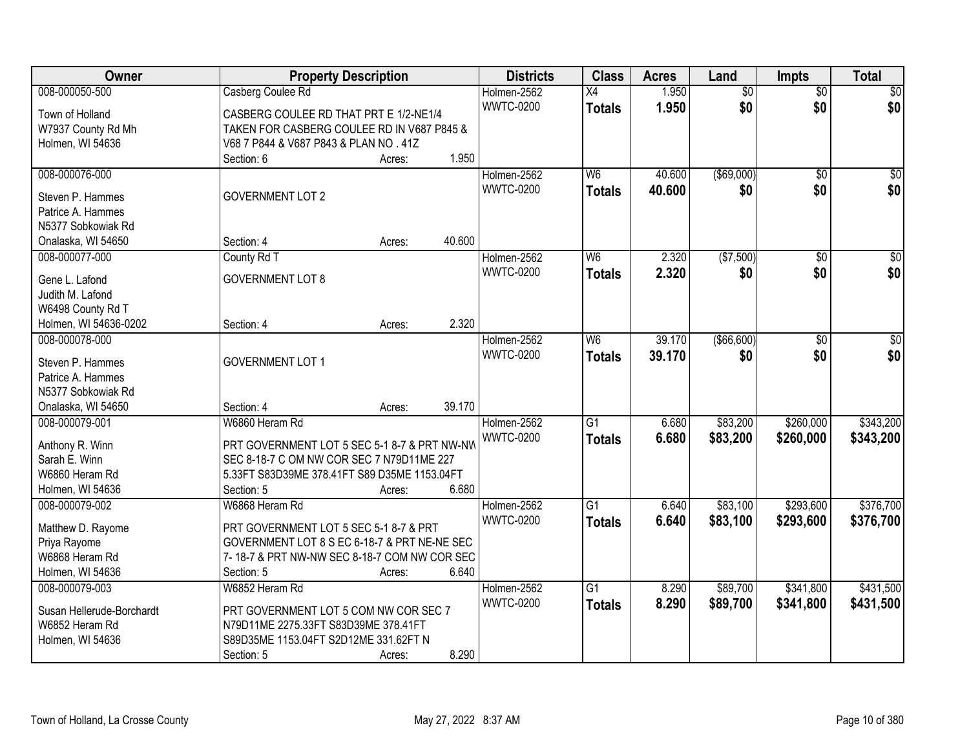| Owner                     | <b>Property Description</b>                  |        |        | <b>Districts</b> | <b>Class</b>    | <b>Acres</b> | Land            | Impts           | <b>Total</b>     |
|---------------------------|----------------------------------------------|--------|--------|------------------|-----------------|--------------|-----------------|-----------------|------------------|
| 008-000050-500            | Casberg Coulee Rd                            |        |        | Holmen-2562      | X4              | 1.950        | $\overline{50}$ | $\overline{50}$ | $\sqrt{50}$      |
| Town of Holland           | CASBERG COULEE RD THAT PRT E 1/2-NE1/4       |        |        | <b>WWTC-0200</b> | <b>Totals</b>   | 1.950        | \$0             | \$0             | \$0              |
| W7937 County Rd Mh        | TAKEN FOR CASBERG COULEE RD IN V687 P845 &   |        |        |                  |                 |              |                 |                 |                  |
| Holmen, WI 54636          | V68 7 P844 & V687 P843 & PLAN NO . 41Z       |        |        |                  |                 |              |                 |                 |                  |
|                           | Section: 6                                   | Acres: | 1.950  |                  |                 |              |                 |                 |                  |
| 008-000076-000            |                                              |        |        | Holmen-2562      | W6              | 40.600       | $($ \$69,000)   | $\overline{50}$ | $\sqrt{50}$      |
|                           |                                              |        |        | <b>WWTC-0200</b> | <b>Totals</b>   | 40.600       | \$0             | \$0             | \$0              |
| Steven P. Hammes          | <b>GOVERNMENT LOT 2</b>                      |        |        |                  |                 |              |                 |                 |                  |
| Patrice A. Hammes         |                                              |        |        |                  |                 |              |                 |                 |                  |
| N5377 Sobkowiak Rd        |                                              |        |        |                  |                 |              |                 |                 |                  |
| Onalaska, WI 54650        | Section: 4                                   | Acres: | 40.600 |                  |                 |              |                 |                 |                  |
| 008-000077-000            | County Rd T                                  |        |        | Holmen-2562      | W <sub>6</sub>  | 2.320        | (\$7,500)       | \$0             | $\overline{\$0}$ |
| Gene L. Lafond            | <b>GOVERNMENT LOT 8</b>                      |        |        | <b>WWTC-0200</b> | <b>Totals</b>   | 2.320        | \$0             | \$0             | \$0              |
| Judith M. Lafond          |                                              |        |        |                  |                 |              |                 |                 |                  |
| W6498 County Rd T         |                                              |        |        |                  |                 |              |                 |                 |                  |
| Holmen, WI 54636-0202     | Section: 4                                   | Acres: | 2.320  |                  |                 |              |                 |                 |                  |
| 008-000078-000            |                                              |        |        | Holmen-2562      | W6              | 39.170       | (\$66,600)      | \$0             | $\sqrt{50}$      |
|                           |                                              |        |        | <b>WWTC-0200</b> | <b>Totals</b>   | 39.170       | \$0             | \$0             | \$0              |
| Steven P. Hammes          | <b>GOVERNMENT LOT 1</b>                      |        |        |                  |                 |              |                 |                 |                  |
| Patrice A. Hammes         |                                              |        |        |                  |                 |              |                 |                 |                  |
| N5377 Sobkowiak Rd        |                                              |        |        |                  |                 |              |                 |                 |                  |
| Onalaska, WI 54650        | Section: 4                                   | Acres: | 39.170 |                  |                 |              |                 |                 |                  |
| 008-000079-001            | W6860 Heram Rd                               |        |        | Holmen-2562      | $\overline{G1}$ | 6.680        | \$83,200        | \$260,000       | \$343,200        |
| Anthony R. Winn           | PRT GOVERNMENT LOT 5 SEC 5-1 8-7 & PRT NW-NW |        |        | <b>WWTC-0200</b> | <b>Totals</b>   | 6.680        | \$83,200        | \$260,000       | \$343,200        |
| Sarah E. Winn             | SEC 8-18-7 C OM NW COR SEC 7 N79D11ME 227    |        |        |                  |                 |              |                 |                 |                  |
| W6860 Heram Rd            | 5.33FT S83D39ME 378.41FT S89 D35ME 1153.04FT |        |        |                  |                 |              |                 |                 |                  |
| Holmen, WI 54636          | Section: 5                                   | Acres: | 6.680  |                  |                 |              |                 |                 |                  |
| 008-000079-002            | W6868 Heram Rd                               |        |        | Holmen-2562      | $\overline{G1}$ | 6.640        | \$83,100        | \$293,600       | \$376,700        |
|                           |                                              |        |        | <b>WWTC-0200</b> | <b>Totals</b>   | 6.640        | \$83,100        | \$293,600       | \$376,700        |
| Matthew D. Rayome         | PRT GOVERNMENT LOT 5 SEC 5-1 8-7 & PRT       |        |        |                  |                 |              |                 |                 |                  |
| Priya Rayome              | GOVERNMENT LOT 8 S EC 6-18-7 & PRT NE-NE SEC |        |        |                  |                 |              |                 |                 |                  |
| W6868 Heram Rd            | 7-18-7 & PRT NW-NW SEC 8-18-7 COM NW COR SEC |        |        |                  |                 |              |                 |                 |                  |
| Holmen, WI 54636          | Section: 5                                   | Acres: | 6.640  |                  |                 |              |                 |                 |                  |
| 008-000079-003            | W6852 Heram Rd                               |        |        | Holmen-2562      | $\overline{G1}$ | 8.290        | \$89,700        | \$341,800       | \$431,500        |
| Susan Hellerude-Borchardt | PRT GOVERNMENT LOT 5 COM NW COR SEC 7        |        |        | <b>WWTC-0200</b> | <b>Totals</b>   | 8.290        | \$89,700        | \$341,800       | \$431,500        |
| W6852 Heram Rd            | N79D11ME 2275.33FT S83D39ME 378.41FT         |        |        |                  |                 |              |                 |                 |                  |
| Holmen, WI 54636          | S89D35ME 1153.04FT S2D12ME 331.62FT N        |        |        |                  |                 |              |                 |                 |                  |
|                           | Section: 5                                   | Acres: | 8.290  |                  |                 |              |                 |                 |                  |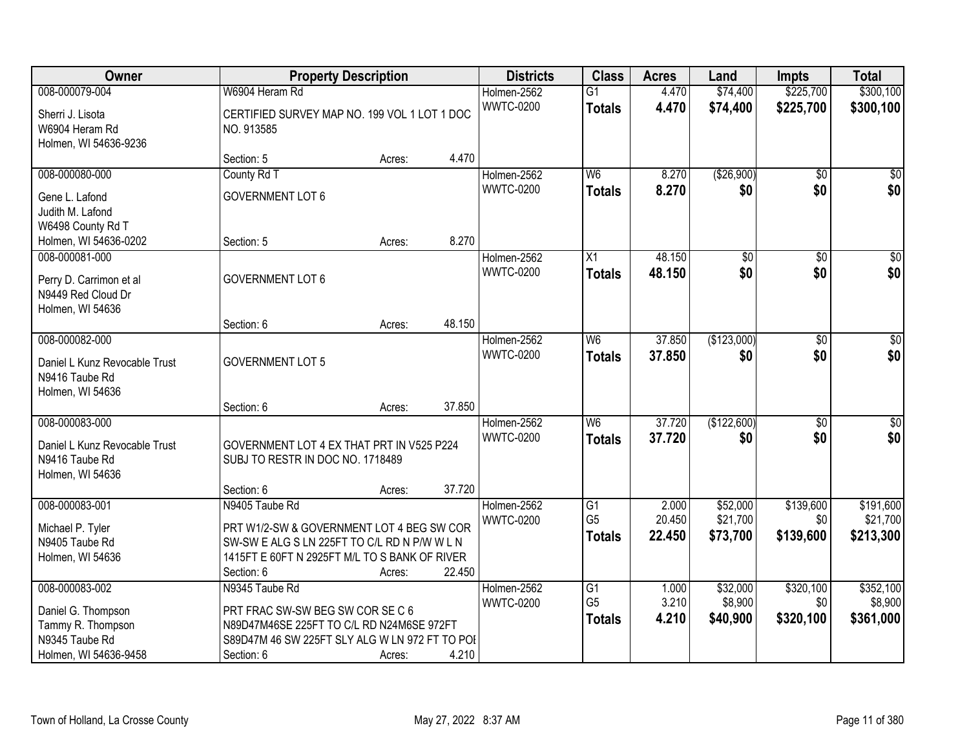| Owner                                                                                                | <b>Property Description</b>                                                                                                                                                |        |        | <b>Districts</b>                | <b>Class</b>                                       | <b>Acres</b>              | Land                             | <b>Impts</b>                  | <b>Total</b>                       |
|------------------------------------------------------------------------------------------------------|----------------------------------------------------------------------------------------------------------------------------------------------------------------------------|--------|--------|---------------------------------|----------------------------------------------------|---------------------------|----------------------------------|-------------------------------|------------------------------------|
| 008-000079-004                                                                                       | W6904 Heram Rd                                                                                                                                                             |        |        | Holmen-2562                     | $\overline{G1}$                                    | 4.470                     | \$74,400                         | \$225,700                     | \$300,100                          |
| Sherri J. Lisota<br>W6904 Heram Rd<br>Holmen, WI 54636-9236                                          | CERTIFIED SURVEY MAP NO. 199 VOL 1 LOT 1 DOC<br>NO. 913585                                                                                                                 |        |        | <b>WWTC-0200</b>                | <b>Totals</b>                                      | 4.470                     | \$74,400                         | \$225,700                     | \$300,100                          |
|                                                                                                      | Section: 5                                                                                                                                                                 | Acres: | 4.470  |                                 |                                                    |                           |                                  |                               |                                    |
| 008-000080-000                                                                                       | County Rd T                                                                                                                                                                |        |        | Holmen-2562                     | W <sub>6</sub>                                     | 8.270                     | (\$26,900)                       | \$0                           | \$0                                |
| Gene L. Lafond<br>Judith M. Lafond<br>W6498 County Rd T                                              | <b>GOVERNMENT LOT 6</b>                                                                                                                                                    |        |        | <b>WWTC-0200</b>                | <b>Totals</b>                                      | 8.270                     | \$0                              | \$0                           | \$0                                |
| Holmen, WI 54636-0202                                                                                | Section: 5                                                                                                                                                                 | Acres: | 8.270  |                                 |                                                    |                           |                                  |                               | $\overline{50}$                    |
| 008-000081-000<br>Perry D. Carrimon et al<br>N9449 Red Cloud Dr<br>Holmen, WI 54636                  | <b>GOVERNMENT LOT 6</b>                                                                                                                                                    |        |        | Holmen-2562<br><b>WWTC-0200</b> | $\overline{X}$<br><b>Totals</b>                    | 48.150<br>48.150          | \$0<br>\$0                       | \$0<br>\$0                    | \$0                                |
|                                                                                                      | Section: 6                                                                                                                                                                 | Acres: | 48.150 |                                 |                                                    |                           |                                  |                               |                                    |
| 008-000082-000<br>Daniel L Kunz Revocable Trust<br>N9416 Taube Rd<br>Holmen, WI 54636                | <b>GOVERNMENT LOT 5</b>                                                                                                                                                    |        |        | Holmen-2562<br><b>WWTC-0200</b> | W <sub>6</sub><br><b>Totals</b>                    | 37.850<br>37.850          | (\$123,000)<br>\$0               | \$0<br>\$0                    | $\sqrt{50}$<br>\$0                 |
|                                                                                                      | Section: 6                                                                                                                                                                 | Acres: | 37.850 |                                 |                                                    |                           |                                  |                               |                                    |
| 008-000083-000<br>Daniel L Kunz Revocable Trust<br>N9416 Taube Rd<br>Holmen, WI 54636                | GOVERNMENT LOT 4 EX THAT PRT IN V525 P224<br>SUBJ TO RESTR IN DOC NO. 1718489                                                                                              |        |        | Holmen-2562<br><b>WWTC-0200</b> | $\overline{W6}$<br><b>Totals</b>                   | 37.720<br>37.720          | (\$122,600)<br>\$0               | \$0<br>\$0                    | $\sqrt{50}$<br>\$0                 |
|                                                                                                      | Section: 6                                                                                                                                                                 | Acres: | 37.720 |                                 |                                                    |                           |                                  |                               |                                    |
| 008-000083-001<br>Michael P. Tyler<br>N9405 Taube Rd<br>Holmen, WI 54636                             | N9405 Taube Rd<br>PRT W1/2-SW & GOVERNMENT LOT 4 BEG SW COR<br>SW-SW E ALG S LN 225FT TO C/L RD N P/W W L N<br>1415FT E 60FT N 2925FT M/L TO S BANK OF RIVER<br>Section: 6 | Acres: | 22.450 | Holmen-2562<br><b>WWTC-0200</b> | $\overline{G1}$<br>G <sub>5</sub><br><b>Totals</b> | 2.000<br>20.450<br>22.450 | \$52,000<br>\$21,700<br>\$73,700 | \$139,600<br>\$0<br>\$139,600 | \$191,600<br>\$21,700<br>\$213,300 |
| 008-000083-002<br>Daniel G. Thompson<br>Tammy R. Thompson<br>N9345 Taube Rd<br>Holmen, WI 54636-9458 | N9345 Taube Rd<br>PRT FRAC SW-SW BEG SW COR SE C 6<br>N89D47M46SE 225FT TO C/L RD N24M6SE 972FT<br>S89D47M 46 SW 225FT SLY ALG W LN 972 FT TO POI<br>Section: 6            | Acres: | 4.210  | Holmen-2562<br><b>WWTC-0200</b> | G1<br>G <sub>5</sub><br><b>Totals</b>              | 1.000<br>3.210<br>4.210   | \$32,000<br>\$8,900<br>\$40,900  | \$320,100<br>\$0<br>\$320,100 | \$352,100<br>\$8,900<br>\$361,000  |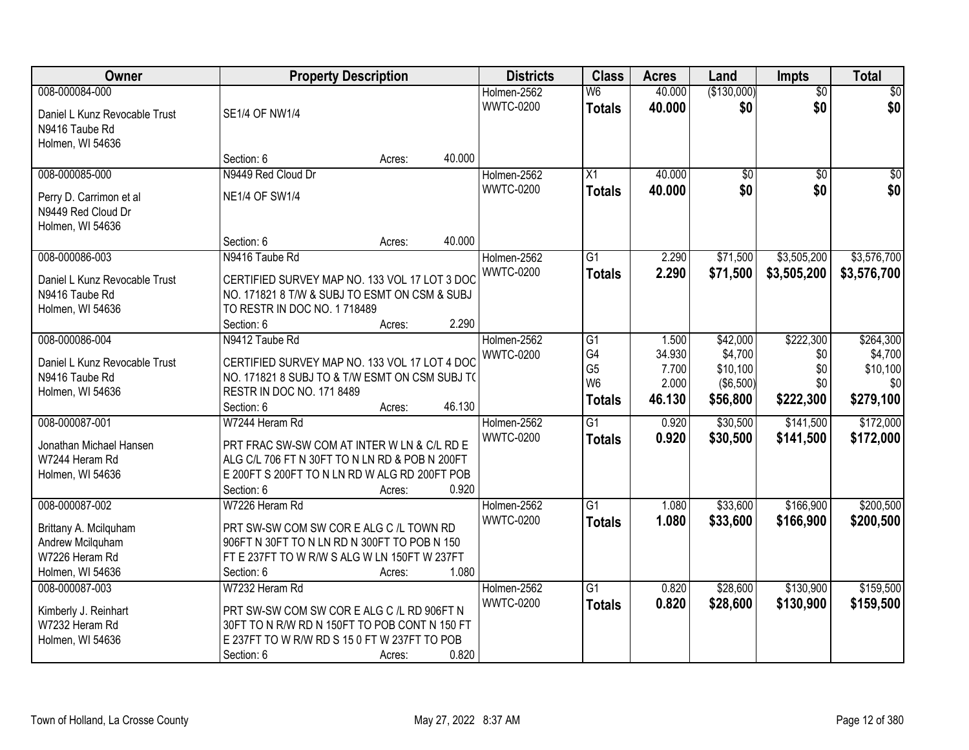| Owner                                                               |                                                                                                                                             | <b>Property Description</b> |        | <b>Districts</b>                | <b>Class</b>                              | <b>Acres</b>     | Land                | <b>Impts</b>           | <b>Total</b>        |
|---------------------------------------------------------------------|---------------------------------------------------------------------------------------------------------------------------------------------|-----------------------------|--------|---------------------------------|-------------------------------------------|------------------|---------------------|------------------------|---------------------|
| 008-000084-000<br>Daniel L Kunz Revocable Trust<br>N9416 Taube Rd   | <b>SE1/4 OF NW1/4</b>                                                                                                                       |                             |        | Holmen-2562<br><b>WWTC-0200</b> | $\overline{\mathsf{W6}}$<br><b>Totals</b> | 40.000<br>40.000 | (\$130,000)<br>\$0  | $\overline{50}$<br>\$0 | $\sqrt{50}$<br>\$0  |
| Holmen, WI 54636                                                    | Section: 6                                                                                                                                  | Acres:                      | 40.000 |                                 |                                           |                  |                     |                        |                     |
| 008-000085-000                                                      | N9449 Red Cloud Dr                                                                                                                          |                             |        | Holmen-2562                     | $\overline{X1}$                           | 40.000           | \$0                 | $\overline{50}$        | \$0                 |
| Perry D. Carrimon et al<br>N9449 Red Cloud Dr<br>Holmen, WI 54636   | <b>NE1/4 OF SW1/4</b>                                                                                                                       |                             |        | <b>WWTC-0200</b>                | <b>Totals</b>                             | 40.000           | \$0                 | \$0                    | \$0                 |
|                                                                     | Section: 6                                                                                                                                  | Acres:                      | 40.000 |                                 |                                           |                  |                     |                        |                     |
| 008-000086-003                                                      | N9416 Taube Rd                                                                                                                              |                             |        | Holmen-2562                     | $\overline{G1}$                           | 2.290            | \$71,500            | \$3,505,200            | \$3,576,700         |
| Daniel L Kunz Revocable Trust<br>N9416 Taube Rd<br>Holmen, WI 54636 | CERTIFIED SURVEY MAP NO. 133 VOL 17 LOT 3 DOC<br>NO. 171821 8 T/W & SUBJ TO ESMT ON CSM & SUBJ<br>TO RESTR IN DOC NO. 1718489<br>Section: 6 | Acres:                      | 2.290  | <b>WWTC-0200</b>                | <b>Totals</b>                             | 2.290            | \$71,500            | \$3,505,200            | \$3,576,700         |
| 008-000086-004                                                      | N9412 Taube Rd                                                                                                                              |                             |        | Holmen-2562                     | G1                                        | 1.500            | \$42,000            | \$222,300              | \$264,300           |
| Daniel L Kunz Revocable Trust                                       | CERTIFIED SURVEY MAP NO. 133 VOL 17 LOT 4 DOC                                                                                               |                             |        | <b>WWTC-0200</b>                | G4<br>G <sub>5</sub>                      | 34.930<br>7.700  | \$4,700<br>\$10,100 | \$0<br>\$0             | \$4,700<br>\$10,100 |
| N9416 Taube Rd                                                      | NO. 171821 8 SUBJ TO & T/W ESMT ON CSM SUBJ T(                                                                                              |                             |        |                                 | W <sub>6</sub>                            | 2.000            | ( \$6,500)          | \$0                    | \$0                 |
| Holmen, WI 54636                                                    | RESTR IN DOC NO. 171 8489<br>Section: 6                                                                                                     | Acres:                      | 46.130 |                                 | <b>Totals</b>                             | 46.130           | \$56,800            | \$222,300              | \$279,100           |
| 008-000087-001                                                      | W7244 Heram Rd                                                                                                                              |                             |        | Holmen-2562                     | $\overline{G1}$                           | 0.920            | \$30,500            | \$141,500              | \$172,000           |
| Jonathan Michael Hansen                                             | PRT FRAC SW-SW COM AT INTER W LN & C/L RD E                                                                                                 |                             |        | <b>WWTC-0200</b>                | <b>Totals</b>                             | 0.920            | \$30,500            | \$141,500              | \$172,000           |
| W7244 Heram Rd                                                      | ALG C/L 706 FT N 30FT TO N LN RD & POB N 200FT                                                                                              |                             |        |                                 |                                           |                  |                     |                        |                     |
| Holmen, WI 54636                                                    | E 200FT S 200FT TO N LN RD W ALG RD 200FT POB                                                                                               |                             |        |                                 |                                           |                  |                     |                        |                     |
|                                                                     | Section: 6                                                                                                                                  | Acres:                      | 0.920  |                                 |                                           |                  |                     |                        |                     |
| 008-000087-002                                                      | W7226 Heram Rd                                                                                                                              |                             |        | Holmen-2562                     | G1                                        | 1.080            | \$33,600            | \$166,900              | \$200,500           |
| Brittany A. Mcilquham                                               | PRT SW-SW COM SW COR E ALG C /L TOWN RD                                                                                                     |                             |        | <b>WWTC-0200</b>                | <b>Totals</b>                             | 1.080            | \$33,600            | \$166,900              | \$200,500           |
| Andrew Mcilquham                                                    | 906FT N 30FT TO N LN RD N 300FT TO POB N 150                                                                                                |                             |        |                                 |                                           |                  |                     |                        |                     |
| W7226 Heram Rd                                                      | FT E 237FT TO W R/W S ALG W LN 150FT W 237FT                                                                                                |                             |        |                                 |                                           |                  |                     |                        |                     |
| Holmen, WI 54636                                                    | Section: 6                                                                                                                                  | Acres:                      | 1.080  |                                 |                                           |                  |                     |                        |                     |
| 008-000087-003                                                      | W7232 Heram Rd                                                                                                                              |                             |        | Holmen-2562                     | $\overline{G1}$                           | 0.820            | \$28,600            | \$130,900              | \$159,500           |
| Kimberly J. Reinhart                                                | PRT SW-SW COM SW COR E ALG C /L RD 906FT N                                                                                                  |                             |        | <b>WWTC-0200</b>                | <b>Totals</b>                             | 0.820            | \$28,600            | \$130,900              | \$159,500           |
| W7232 Heram Rd                                                      | 30FT TO N R/W RD N 150FT TO POB CONT N 150 FT                                                                                               |                             |        |                                 |                                           |                  |                     |                        |                     |
| Holmen, WI 54636                                                    | E 237FT TO W R/W RD S 15 0 FT W 237FT TO POB                                                                                                |                             |        |                                 |                                           |                  |                     |                        |                     |
|                                                                     | Section: 6                                                                                                                                  | Acres:                      | 0.820  |                                 |                                           |                  |                     |                        |                     |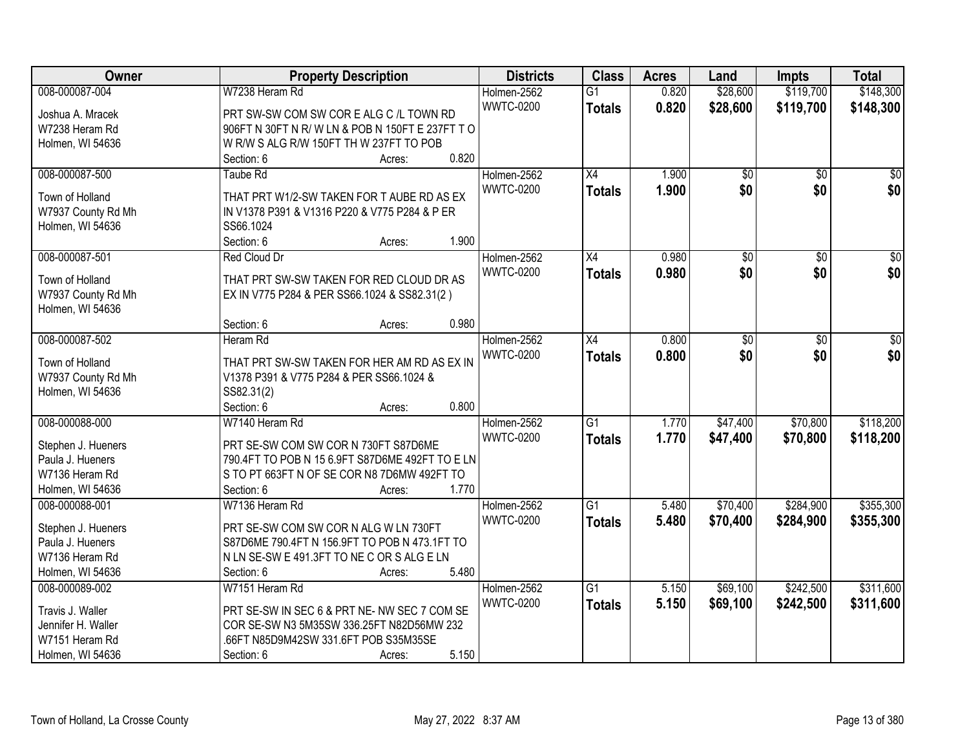| Owner              | <b>Property Description</b>                                | <b>Districts</b> | <b>Class</b>    | <b>Acres</b> | Land            | <b>Impts</b>    | <b>Total</b>    |
|--------------------|------------------------------------------------------------|------------------|-----------------|--------------|-----------------|-----------------|-----------------|
| 008-000087-004     | W7238 Heram Rd                                             | Holmen-2562      | $\overline{G1}$ | 0.820        | \$28,600        | \$119,700       | \$148,300       |
| Joshua A. Mracek   | PRT SW-SW COM SW COR E ALG C /L TOWN RD                    | <b>WWTC-0200</b> | <b>Totals</b>   | 0.820        | \$28,600        | \$119,700       | \$148,300       |
| W7238 Heram Rd     | 906FT N 30FT N R/W LN & POB N 150FT E 237FT TO             |                  |                 |              |                 |                 |                 |
| Holmen, WI 54636   | W R/W S ALG R/W 150FT TH W 237FT TO POB                    |                  |                 |              |                 |                 |                 |
|                    | 0.820<br>Section: 6<br>Acres:                              |                  |                 |              |                 |                 |                 |
| 008-000087-500     | <b>Taube Rd</b>                                            | Holmen-2562      | $\overline{X4}$ | 1.900        | $\overline{60}$ | $\overline{30}$ | $\overline{50}$ |
|                    |                                                            | <b>WWTC-0200</b> | <b>Totals</b>   | 1.900        | \$0             | \$0             | \$0             |
| Town of Holland    | THAT PRT W1/2-SW TAKEN FOR T AUBE RD AS EX                 |                  |                 |              |                 |                 |                 |
| W7937 County Rd Mh | IN V1378 P391 & V1316 P220 & V775 P284 & P ER<br>SS66.1024 |                  |                 |              |                 |                 |                 |
| Holmen, WI 54636   | 1.900<br>Section: 6                                        |                  |                 |              |                 |                 |                 |
| 008-000087-501     | Acres:<br>Red Cloud Dr                                     | Holmen-2562      | X4              | 0.980        | $\overline{60}$ | $\overline{50}$ | $\overline{50}$ |
|                    |                                                            | <b>WWTC-0200</b> |                 |              | \$0             |                 |                 |
| Town of Holland    | THAT PRT SW-SW TAKEN FOR RED CLOUD DR AS                   |                  | <b>Totals</b>   | 0.980        |                 | \$0             | \$0             |
| W7937 County Rd Mh | EX IN V775 P284 & PER SS66.1024 & SS82.31(2)               |                  |                 |              |                 |                 |                 |
| Holmen, WI 54636   |                                                            |                  |                 |              |                 |                 |                 |
|                    | 0.980<br>Section: 6<br>Acres:                              |                  |                 |              |                 |                 |                 |
| 008-000087-502     | Heram Rd                                                   | Holmen-2562      | X4              | 0.800        | \$0             | \$0             | \$0             |
| Town of Holland    | THAT PRT SW-SW TAKEN FOR HER AM RD AS EX IN                | <b>WWTC-0200</b> | <b>Totals</b>   | 0.800        | \$0             | \$0             | \$0             |
| W7937 County Rd Mh | V1378 P391 & V775 P284 & PER SS66.1024 &                   |                  |                 |              |                 |                 |                 |
| Holmen, WI 54636   | SS82.31(2)                                                 |                  |                 |              |                 |                 |                 |
|                    | 0.800<br>Section: 6<br>Acres:                              |                  |                 |              |                 |                 |                 |
| 008-000088-000     | W7140 Heram Rd                                             | Holmen-2562      | $\overline{G1}$ | 1.770        | \$47,400        | \$70,800        | \$118,200       |
|                    |                                                            | <b>WWTC-0200</b> | <b>Totals</b>   | 1.770        | \$47,400        | \$70,800        | \$118,200       |
| Stephen J. Hueners | PRT SE-SW COM SW COR N 730FT S87D6ME                       |                  |                 |              |                 |                 |                 |
| Paula J. Hueners   | 790.4FT TO POB N 15 6.9FT S87D6ME 492FT TO E LN            |                  |                 |              |                 |                 |                 |
| W7136 Heram Rd     | S TO PT 663FT N OF SE COR N8 7D6MW 492FT TO                |                  |                 |              |                 |                 |                 |
| Holmen, WI 54636   | 1.770<br>Section: 6<br>Acres:                              |                  |                 |              |                 |                 |                 |
| 008-000088-001     | W7136 Heram Rd                                             | Holmen-2562      | $\overline{G1}$ | 5.480        | \$70,400        | \$284,900       | \$355,300       |
| Stephen J. Hueners | PRT SE-SW COM SW COR N ALG W LN 730FT                      | <b>WWTC-0200</b> | <b>Totals</b>   | 5.480        | \$70,400        | \$284,900       | \$355,300       |
| Paula J. Hueners   | S87D6ME 790.4FT N 156.9FT TO POB N 473.1FT TO              |                  |                 |              |                 |                 |                 |
| W7136 Heram Rd     | N LN SE-SW E 491.3FT TO NE C OR S ALG E LN                 |                  |                 |              |                 |                 |                 |
| Holmen, WI 54636   | 5.480<br>Section: 6<br>Acres:                              |                  |                 |              |                 |                 |                 |
| 008-000089-002     | W7151 Heram Rd                                             | Holmen-2562      | $\overline{G1}$ | 5.150        | \$69,100        | \$242,500       | \$311,600       |
|                    |                                                            | <b>WWTC-0200</b> | <b>Totals</b>   | 5.150        | \$69,100        | \$242,500       | \$311,600       |
| Travis J. Waller   | PRT SE-SW IN SEC 6 & PRT NE- NW SEC 7 COM SE               |                  |                 |              |                 |                 |                 |
| Jennifer H. Waller | COR SE-SW N3 5M35SW 336.25FT N82D56MW 232                  |                  |                 |              |                 |                 |                 |
| W7151 Heram Rd     | .66FT N85D9M42SW 331.6FT POB S35M35SE                      |                  |                 |              |                 |                 |                 |
| Holmen, WI 54636   | 5.150<br>Section: 6<br>Acres:                              |                  |                 |              |                 |                 |                 |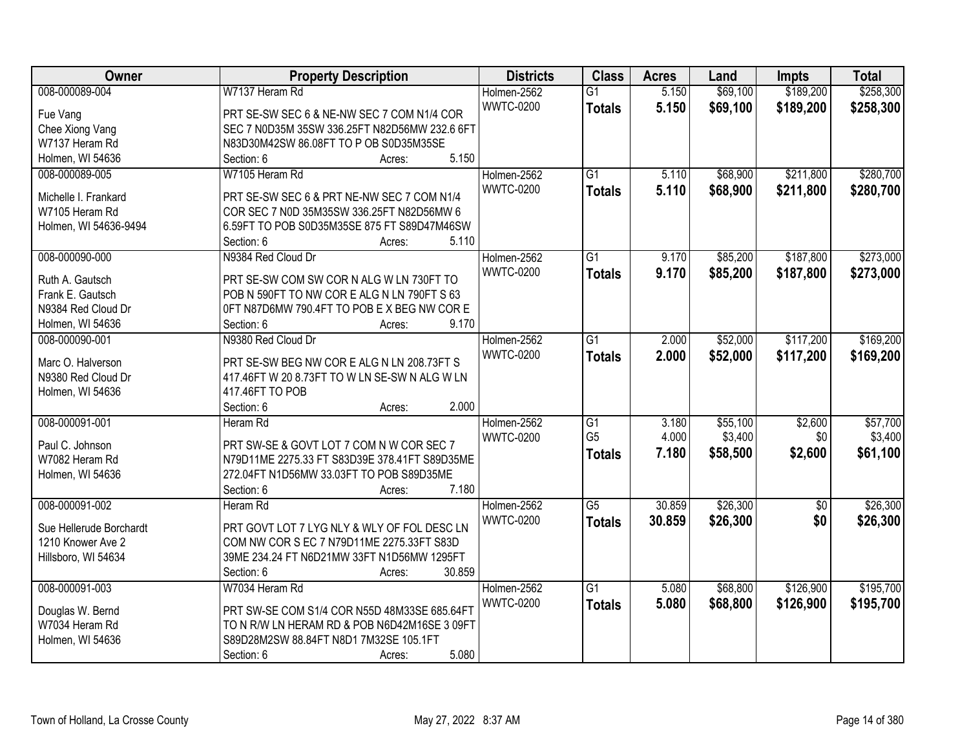| Owner                             | <b>Property Description</b>                                                               | <b>Districts</b> | <b>Class</b>    | <b>Acres</b> | Land     | <b>Impts</b>    | <b>Total</b> |
|-----------------------------------|-------------------------------------------------------------------------------------------|------------------|-----------------|--------------|----------|-----------------|--------------|
| 008-000089-004                    | W7137 Heram Rd                                                                            | Holmen-2562      | $\overline{G1}$ | 5.150        | \$69,100 | \$189,200       | \$258,300    |
| Fue Vang                          | PRT SE-SW SEC 6 & NE-NW SEC 7 COM N1/4 COR                                                | <b>WWTC-0200</b> | <b>Totals</b>   | 5.150        | \$69,100 | \$189,200       | \$258,300    |
| Chee Xiong Vang                   | SEC 7 N0D35M 35SW 336.25FT N82D56MW 232.6 6FT                                             |                  |                 |              |          |                 |              |
| W7137 Heram Rd                    | N83D30M42SW 86.08FT TO P OB S0D35M35SE                                                    |                  |                 |              |          |                 |              |
| Holmen, WI 54636                  | 5.150<br>Section: 6<br>Acres:                                                             |                  |                 |              |          |                 |              |
| 008-000089-005                    | W7105 Heram Rd                                                                            | Holmen-2562      | $\overline{G1}$ | 5.110        | \$68,900 | \$211,800       | \$280,700    |
|                                   |                                                                                           | <b>WWTC-0200</b> | <b>Totals</b>   | 5.110        | \$68,900 | \$211,800       | \$280,700    |
| Michelle I. Frankard              | PRT SE-SW SEC 6 & PRT NE-NW SEC 7 COM N1/4                                                |                  |                 |              |          |                 |              |
| W7105 Heram Rd                    | COR SEC 7 N0D 35M35SW 336.25FT N82D56MW 6                                                 |                  |                 |              |          |                 |              |
| Holmen, WI 54636-9494             | 6.59FT TO POB S0D35M35SE 875 FT S89D47M46SW                                               |                  |                 |              |          |                 |              |
|                                   | 5.110<br>Section: 6<br>Acres:                                                             |                  |                 |              |          |                 |              |
| 008-000090-000                    | N9384 Red Cloud Dr                                                                        | Holmen-2562      | G1              | 9.170        | \$85,200 | \$187,800       | \$273,000    |
| Ruth A. Gautsch                   | PRT SE-SW COM SW COR N ALG W LN 730FT TO                                                  | <b>WWTC-0200</b> | <b>Totals</b>   | 9.170        | \$85,200 | \$187,800       | \$273,000    |
| Frank E. Gautsch                  | POB N 590FT TO NW COR E ALG N LN 790FT S 63                                               |                  |                 |              |          |                 |              |
| N9384 Red Cloud Dr                | OFT N87D6MW 790.4FT TO POB E X BEG NW COR E                                               |                  |                 |              |          |                 |              |
| Holmen, WI 54636                  | 9.170<br>Section: 6<br>Acres:                                                             |                  |                 |              |          |                 |              |
| 008-000090-001                    | N9380 Red Cloud Dr                                                                        | Holmen-2562      | $\overline{G1}$ | 2.000        | \$52,000 | \$117,200       | \$169,200    |
|                                   |                                                                                           | <b>WWTC-0200</b> | <b>Totals</b>   | 2.000        | \$52,000 | \$117,200       | \$169,200    |
| Marc O. Halverson                 | PRT SE-SW BEG NW COR E ALG N LN 208.73FT S                                                |                  |                 |              |          |                 |              |
| N9380 Red Cloud Dr                | 417.46FT W 20 8.73FT TO W LN SE-SW N ALG W LN                                             |                  |                 |              |          |                 |              |
| Holmen, WI 54636                  | 417.46FT TO POB                                                                           |                  |                 |              |          |                 |              |
|                                   | 2.000<br>Section: 6<br>Acres:                                                             |                  |                 |              |          |                 |              |
| 008-000091-001                    | Heram Rd                                                                                  | Holmen-2562      | $\overline{G1}$ | 3.180        | \$55,100 | \$2,600         | \$57,700     |
|                                   |                                                                                           | <b>WWTC-0200</b> | G <sub>5</sub>  | 4.000        | \$3,400  | \$0             | \$3,400      |
| Paul C. Johnson<br>W7082 Heram Rd | PRT SW-SE & GOVT LOT 7 COM N W COR SEC 7<br>N79D11ME 2275.33 FT S83D39E 378.41FT S89D35ME |                  | <b>Totals</b>   | 7.180        | \$58,500 | \$2,600         | \$61,100     |
|                                   | 272.04FT N1D56MW 33.03FT TO POB S89D35ME                                                  |                  |                 |              |          |                 |              |
| Holmen, WI 54636                  | 7.180                                                                                     |                  |                 |              |          |                 |              |
|                                   | Section: 6<br>Acres:                                                                      |                  |                 |              |          |                 |              |
| 008-000091-002                    | Heram Rd                                                                                  | Holmen-2562      | $\overline{G5}$ | 30.859       | \$26,300 | $\overline{60}$ | \$26,300     |
| Sue Hellerude Borchardt           | PRT GOVT LOT 7 LYG NLY & WLY OF FOL DESC LN                                               | <b>WWTC-0200</b> | <b>Totals</b>   | 30.859       | \$26,300 | \$0             | \$26,300     |
| 1210 Knower Ave 2                 | COM NW COR S EC 7 N79D11ME 2275.33FT S83D                                                 |                  |                 |              |          |                 |              |
| Hillsboro, WI 54634               | 39ME 234.24 FT N6D21MW 33FT N1D56MW 1295FT                                                |                  |                 |              |          |                 |              |
|                                   | 30.859<br>Section: 6<br>Acres:                                                            |                  |                 |              |          |                 |              |
| 008-000091-003                    | W7034 Heram Rd                                                                            | Holmen-2562      | $\overline{G1}$ | 5.080        | \$68,800 | \$126,900       | \$195,700    |
|                                   |                                                                                           | <b>WWTC-0200</b> | <b>Totals</b>   | 5.080        | \$68,800 | \$126,900       | \$195,700    |
| Douglas W. Bernd                  | PRT SW-SE COM S1/4 COR N55D 48M33SE 685.64FT                                              |                  |                 |              |          |                 |              |
| W7034 Heram Rd                    | TO N R/W LN HERAM RD & POB N6D42M16SE 3 09FT                                              |                  |                 |              |          |                 |              |
| Holmen, WI 54636                  | S89D28M2SW 88.84FT N8D1 7M32SE 105.1FT                                                    |                  |                 |              |          |                 |              |
|                                   | 5.080<br>Section: 6<br>Acres:                                                             |                  |                 |              |          |                 |              |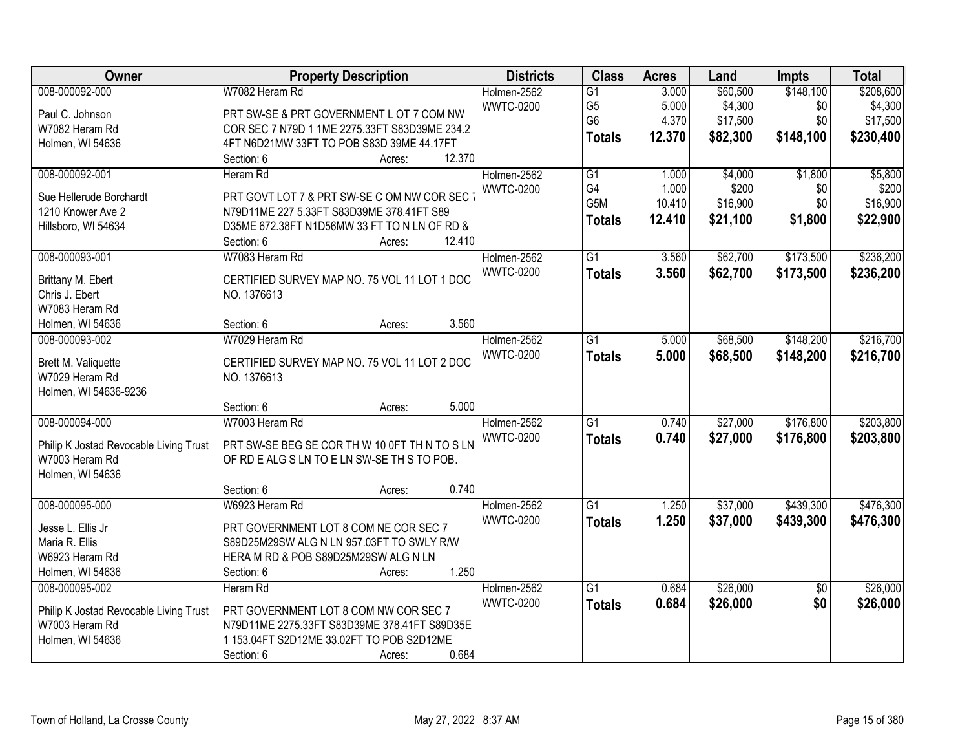| Owner                                  | <b>Property Description</b>                   | <b>Districts</b> | <b>Class</b>    | <b>Acres</b> | Land     | Impts           | <b>Total</b> |
|----------------------------------------|-----------------------------------------------|------------------|-----------------|--------------|----------|-----------------|--------------|
| 008-000092-000                         | W7082 Heram Rd                                | Holmen-2562      | $\overline{G1}$ | 3.000        | \$60,500 | \$148,100       | \$208,600    |
| Paul C. Johnson                        | PRT SW-SE & PRT GOVERNMENT L OT 7 COM NW      | <b>WWTC-0200</b> | G <sub>5</sub>  | 5.000        | \$4,300  | \$0             | \$4,300      |
| W7082 Heram Rd                         | COR SEC 7 N79D 1 1ME 2275.33FT S83D39ME 234.2 |                  | G <sub>6</sub>  | 4.370        | \$17,500 | \$0             | \$17,500     |
| Holmen, WI 54636                       | 4FT N6D21MW 33FT TO POB S83D 39ME 44.17FT     |                  | <b>Totals</b>   | 12.370       | \$82,300 | \$148,100       | \$230,400    |
|                                        | 12.370<br>Section: 6<br>Acres:                |                  |                 |              |          |                 |              |
| 008-000092-001                         | Heram Rd                                      | Holmen-2562      | G1              | 1.000        | \$4,000  | \$1,800         | \$5,800      |
|                                        |                                               | <b>WWTC-0200</b> | G4              | 1.000        | \$200    | \$0             | \$200        |
| Sue Hellerude Borchardt                | PRT GOVT LOT 7 & PRT SW-SE C OM NW COR SEC 1  |                  | G5M             | 10.410       | \$16,900 | \$0             | \$16,900     |
| 1210 Knower Ave 2                      | N79D11ME 227 5.33FT S83D39ME 378.41FT S89     |                  | <b>Totals</b>   | 12.410       | \$21,100 | \$1,800         | \$22,900     |
| Hillsboro, WI 54634                    | D35ME 672.38FT N1D56MW 33 FT TO N LN OF RD &  |                  |                 |              |          |                 |              |
|                                        | 12.410<br>Section: 6<br>Acres:                |                  |                 |              |          |                 |              |
| 008-000093-001                         | W7083 Heram Rd                                | Holmen-2562      | $\overline{G1}$ | 3.560        | \$62,700 | \$173,500       | \$236,200    |
| Brittany M. Ebert                      | CERTIFIED SURVEY MAP NO. 75 VOL 11 LOT 1 DOC  | <b>WWTC-0200</b> | <b>Totals</b>   | 3.560        | \$62,700 | \$173,500       | \$236,200    |
| Chris J. Ebert                         | NO. 1376613                                   |                  |                 |              |          |                 |              |
| W7083 Heram Rd                         |                                               |                  |                 |              |          |                 |              |
| Holmen, WI 54636                       | 3.560<br>Section: 6<br>Acres:                 |                  |                 |              |          |                 |              |
| 008-000093-002                         | W7029 Heram Rd                                | Holmen-2562      | G1              | 5.000        | \$68,500 | \$148,200       | \$216,700    |
|                                        |                                               | <b>WWTC-0200</b> | <b>Totals</b>   | 5.000        | \$68,500 | \$148,200       | \$216,700    |
| Brett M. Valiquette                    | CERTIFIED SURVEY MAP NO. 75 VOL 11 LOT 2 DOC  |                  |                 |              |          |                 |              |
| W7029 Heram Rd                         | NO. 1376613                                   |                  |                 |              |          |                 |              |
| Holmen, WI 54636-9236                  |                                               |                  |                 |              |          |                 |              |
|                                        | 5.000<br>Section: 6<br>Acres:                 |                  |                 |              |          |                 |              |
| 008-000094-000                         | W7003 Heram Rd                                | Holmen-2562      | $\overline{G1}$ | 0.740        | \$27,000 | \$176,800       | \$203,800    |
| Philip K Jostad Revocable Living Trust | PRT SW-SE BEG SE COR TH W 10 0FT TH N TO S LN | <b>WWTC-0200</b> | <b>Totals</b>   | 0.740        | \$27,000 | \$176,800       | \$203,800    |
| W7003 Heram Rd                         | OF RD E ALG S LN TO E LN SW-SE TH S TO POB.   |                  |                 |              |          |                 |              |
| Holmen, WI 54636                       |                                               |                  |                 |              |          |                 |              |
|                                        | 0.740<br>Section: 6<br>Acres:                 |                  |                 |              |          |                 |              |
| 008-000095-000                         | W6923 Heram Rd                                | Holmen-2562      | $\overline{G1}$ | 1.250        | \$37,000 | \$439,300       | \$476,300    |
| Jesse L. Ellis Jr                      | PRT GOVERNMENT LOT 8 COM NE COR SEC 7         | <b>WWTC-0200</b> | <b>Totals</b>   | 1.250        | \$37,000 | \$439,300       | \$476,300    |
| Maria R. Ellis                         | S89D25M29SW ALG N LN 957.03FT TO SWLY R/W     |                  |                 |              |          |                 |              |
| W6923 Heram Rd                         | HERA M RD & POB S89D25M29SW ALG N LN          |                  |                 |              |          |                 |              |
| Holmen, WI 54636                       | 1.250<br>Section: 6<br>Acres:                 |                  |                 |              |          |                 |              |
| 008-000095-002                         | Heram Rd                                      | Holmen-2562      | $\overline{G1}$ | 0.684        | \$26,000 | $\overline{50}$ | \$26,000     |
|                                        |                                               | <b>WWTC-0200</b> | <b>Totals</b>   | 0.684        | \$26,000 | \$0             | \$26,000     |
| Philip K Jostad Revocable Living Trust | PRT GOVERNMENT LOT 8 COM NW COR SEC 7         |                  |                 |              |          |                 |              |
| W7003 Heram Rd                         | N79D11ME 2275.33FT S83D39ME 378.41FT S89D35E  |                  |                 |              |          |                 |              |
| Holmen, WI 54636                       | 1 153.04FT S2D12ME 33.02FT TO POB S2D12ME     |                  |                 |              |          |                 |              |
|                                        | 0.684<br>Section: 6<br>Acres:                 |                  |                 |              |          |                 |              |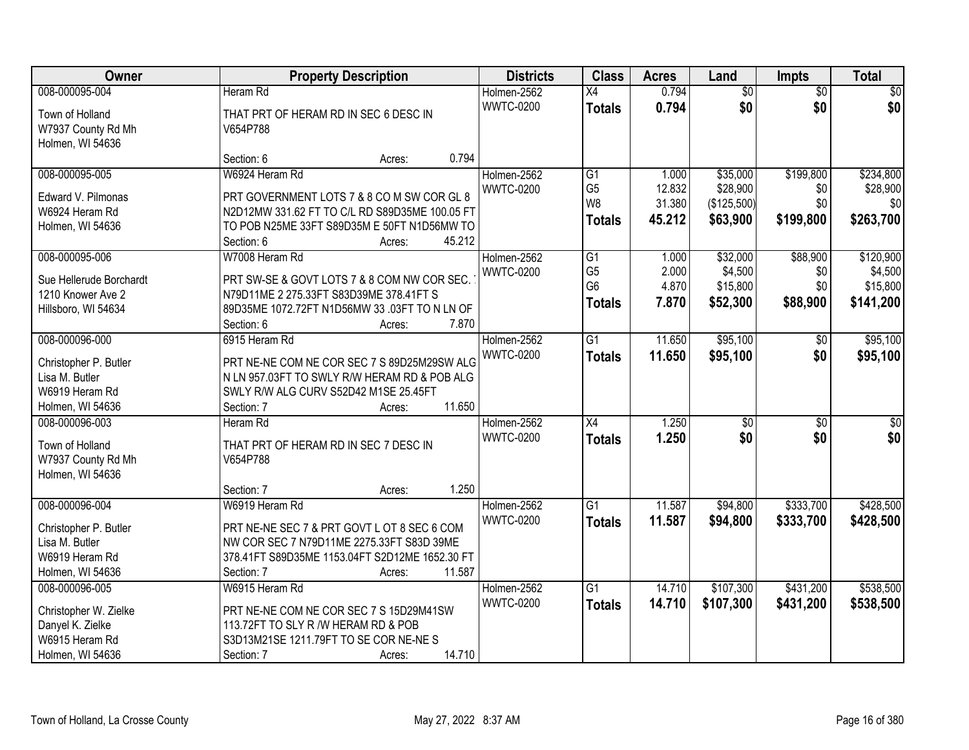| Owner                                                                                             | <b>Property Description</b>                                                                                                                                                                    | <b>Districts</b>                | <b>Class</b>                                            | <b>Acres</b>                     | Land                                        | <b>Impts</b>                       | <b>Total</b>                                  |
|---------------------------------------------------------------------------------------------------|------------------------------------------------------------------------------------------------------------------------------------------------------------------------------------------------|---------------------------------|---------------------------------------------------------|----------------------------------|---------------------------------------------|------------------------------------|-----------------------------------------------|
| 008-000095-004                                                                                    | Heram Rd                                                                                                                                                                                       | Holmen-2562                     | $\overline{X4}$                                         | 0.794                            | $\overline{50}$                             | $\overline{50}$                    | $\sqrt{30}$                                   |
| Town of Holland<br>W7937 County Rd Mh<br>Holmen, WI 54636                                         | THAT PRT OF HERAM RD IN SEC 6 DESC IN<br>V654P788                                                                                                                                              | <b>WWTC-0200</b>                | <b>Totals</b>                                           | 0.794                            | \$0                                         | \$0                                | \$0                                           |
|                                                                                                   | 0.794<br>Section: 6<br>Acres:                                                                                                                                                                  |                                 |                                                         |                                  |                                             |                                    |                                               |
| 008-000095-005<br>Edward V. Pilmonas                                                              | W6924 Heram Rd<br>PRT GOVERNMENT LOTS 7 & 8 CO M SW COR GL 8                                                                                                                                   | Holmen-2562<br><b>WWTC-0200</b> | G1<br>G <sub>5</sub><br>W <sub>8</sub>                  | 1.000<br>12.832<br>31.380        | \$35,000<br>\$28,900<br>(\$125,500)         | \$199,800<br>\$0<br>\$0            | \$234,800<br>\$28,900<br>\$0                  |
| W6924 Heram Rd<br>Holmen, WI 54636                                                                | N2D12MW 331.62 FT TO C/L RD S89D35ME 100.05 FT<br>TO POB N25ME 33FT S89D35M E 50FT N1D56MW TO<br>45.212<br>Section: 6<br>Acres:                                                                |                                 | <b>Totals</b>                                           | 45.212                           | \$63,900                                    | \$199,800                          | \$263,700                                     |
| 008-000095-006<br>Sue Hellerude Borchardt<br>1210 Knower Ave 2<br>Hillsboro, WI 54634             | W7008 Heram Rd<br>PRT SW-SE & GOVT LOTS 7 & 8 COM NW COR SEC.<br>N79D11ME 2 275.33FT S83D39ME 378.41FT S<br>89D35ME 1072.72FT N1D56MW 33 .03FT TO N LN OF<br>7.870<br>Section: 6<br>Acres:     | Holmen-2562<br><b>WWTC-0200</b> | G1<br>G <sub>5</sub><br>G <sub>6</sub><br><b>Totals</b> | 1.000<br>2.000<br>4.870<br>7.870 | \$32,000<br>\$4,500<br>\$15,800<br>\$52,300 | \$88,900<br>\$0<br>\$0<br>\$88,900 | \$120,900<br>\$4,500<br>\$15,800<br>\$141,200 |
| 008-000096-000<br>Christopher P. Butler<br>Lisa M. Butler<br>W6919 Heram Rd<br>Holmen, WI 54636   | 6915 Heram Rd<br>PRT NE-NE COM NE COR SEC 7 S 89D25M29SW ALG<br>N LN 957.03FT TO SWLY R/W HERAM RD & POB ALG<br>SWLY R/W ALG CURV S52D42 M1SE 25.45FT<br>11.650<br>Section: 7<br>Acres:        | Holmen-2562<br><b>WWTC-0200</b> | $\overline{G1}$<br><b>Totals</b>                        | 11.650<br>11.650                 | \$95,100<br>\$95,100                        | \$0<br>\$0                         | \$95,100<br>\$95,100                          |
| 008-000096-003<br>Town of Holland<br>W7937 County Rd Mh<br>Holmen, WI 54636                       | Heram Rd<br>THAT PRT OF HERAM RD IN SEC 7 DESC IN<br>V654P788<br>1.250<br>Section: 7<br>Acres:                                                                                                 | Holmen-2562<br><b>WWTC-0200</b> | $\overline{X4}$<br><b>Totals</b>                        | 1.250<br>1.250                   | $\overline{30}$<br>\$0                      | $\overline{50}$<br>\$0             | \$0<br>\$0                                    |
| 008-000096-004<br>Christopher P. Butler<br>Lisa M. Butler<br>W6919 Heram Rd<br>Holmen, WI 54636   | W6919 Heram Rd<br>PRT NE-NE SEC 7 & PRT GOVT L OT 8 SEC 6 COM<br>NW COR SEC 7 N79D11ME 2275.33FT S83D 39ME<br>378.41FT S89D35ME 1153.04FT S2D12ME 1652.30 FT<br>11.587<br>Section: 7<br>Acres: | Holmen-2562<br><b>WWTC-0200</b> | $\overline{G1}$<br><b>Totals</b>                        | 11.587<br>11.587                 | \$94,800<br>\$94,800                        | \$333,700<br>\$333,700             | \$428,500<br>\$428,500                        |
| 008-000096-005<br>Christopher W. Zielke<br>Danyel K. Zielke<br>W6915 Heram Rd<br>Holmen, WI 54636 | W6915 Heram Rd<br>PRT NE-NE COM NE COR SEC 7 S 15D29M41SW<br>113.72FT TO SLY R /W HERAM RD & POB<br>S3D13M21SE 1211.79FT TO SE COR NE-NE S<br>14.710<br>Section: 7<br>Acres:                   | Holmen-2562<br><b>WWTC-0200</b> | $\overline{G1}$<br><b>Totals</b>                        | 14.710<br>14.710                 | \$107,300<br>\$107,300                      | \$431,200<br>\$431,200             | \$538,500<br>\$538,500                        |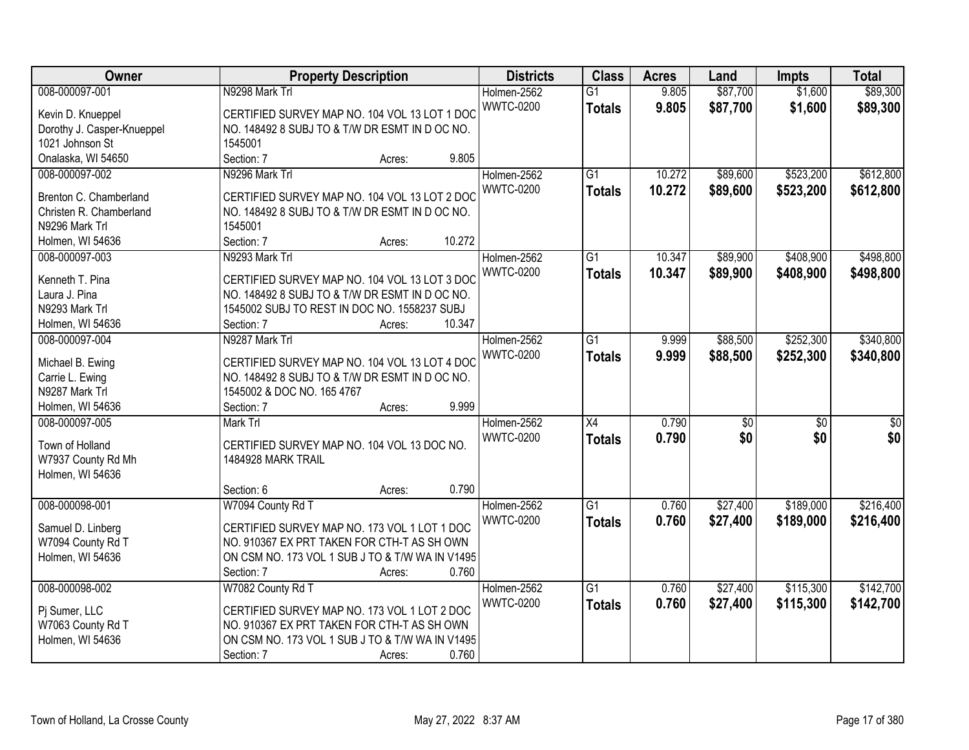| Owner                      | <b>Property Description</b>                     | <b>Districts</b> | <b>Class</b>    | <b>Acres</b> | Land     | <b>Impts</b>    | <b>Total</b> |
|----------------------------|-------------------------------------------------|------------------|-----------------|--------------|----------|-----------------|--------------|
| 008-000097-001             | N9298 Mark Trl                                  | Holmen-2562      | $\overline{G1}$ | 9.805        | \$87,700 | \$1,600         | \$89,300     |
| Kevin D. Knueppel          | CERTIFIED SURVEY MAP NO. 104 VOL 13 LOT 1 DOC   | <b>WWTC-0200</b> | <b>Totals</b>   | 9.805        | \$87,700 | \$1,600         | \$89,300     |
| Dorothy J. Casper-Knueppel | NO. 148492 8 SUBJ TO & T/W DR ESMT IN D OC NO.  |                  |                 |              |          |                 |              |
| 1021 Johnson St            | 1545001                                         |                  |                 |              |          |                 |              |
| Onalaska, WI 54650         | Section: 7<br>9.805<br>Acres:                   |                  |                 |              |          |                 |              |
| 008-000097-002             | N9296 Mark Trl                                  | Holmen-2562      | $\overline{G1}$ | 10.272       | \$89,600 | \$523,200       | \$612,800    |
|                            |                                                 | <b>WWTC-0200</b> | <b>Totals</b>   | 10.272       | \$89,600 | \$523,200       | \$612,800    |
| Brenton C. Chamberland     | CERTIFIED SURVEY MAP NO. 104 VOL 13 LOT 2 DOC   |                  |                 |              |          |                 |              |
| Christen R. Chamberland    | NO. 148492 8 SUBJ TO & T/W DR ESMT IN D OC NO.  |                  |                 |              |          |                 |              |
| N9296 Mark Trl             | 1545001                                         |                  |                 |              |          |                 |              |
| Holmen, WI 54636           | 10.272<br>Section: 7<br>Acres:                  |                  |                 |              |          |                 |              |
| 008-000097-003             | N9293 Mark Trl                                  | Holmen-2562      | G1              | 10.347       | \$89,900 | \$408,900       | \$498,800    |
| Kenneth T. Pina            | CERTIFIED SURVEY MAP NO. 104 VOL 13 LOT 3 DOC   | <b>WWTC-0200</b> | <b>Totals</b>   | 10.347       | \$89,900 | \$408,900       | \$498,800    |
| Laura J. Pina              | NO. 148492 8 SUBJ TO & T/W DR ESMT IN D OC NO.  |                  |                 |              |          |                 |              |
| N9293 Mark Trl             | 1545002 SUBJ TO REST IN DOC NO. 1558237 SUBJ    |                  |                 |              |          |                 |              |
| Holmen, WI 54636           | 10.347<br>Section: 7<br>Acres:                  |                  |                 |              |          |                 |              |
| 008-000097-004             | N9287 Mark Trl                                  | Holmen-2562      | $\overline{G1}$ | 9.999        | \$88,500 | \$252,300       | \$340,800    |
|                            |                                                 | <b>WWTC-0200</b> | <b>Totals</b>   | 9.999        | \$88,500 | \$252,300       | \$340,800    |
| Michael B. Ewing           | CERTIFIED SURVEY MAP NO. 104 VOL 13 LOT 4 DOC   |                  |                 |              |          |                 |              |
| Carrie L. Ewing            | NO. 148492 8 SUBJ TO & T/W DR ESMT IN D OC NO.  |                  |                 |              |          |                 |              |
| N9287 Mark Trl             | 1545002 & DOC NO. 165 4767                      |                  |                 |              |          |                 |              |
| Holmen, WI 54636           | 9.999<br>Section: 7<br>Acres:                   |                  |                 |              |          |                 |              |
| 008-000097-005             | Mark Trl                                        | Holmen-2562      | $\overline{X4}$ | 0.790        | \$0      | $\overline{50}$ | \$0          |
|                            |                                                 | <b>WWTC-0200</b> | <b>Totals</b>   | 0.790        | \$0      | \$0             | \$0          |
| Town of Holland            | CERTIFIED SURVEY MAP NO. 104 VOL 13 DOC NO.     |                  |                 |              |          |                 |              |
| W7937 County Rd Mh         | 1484928 MARK TRAIL                              |                  |                 |              |          |                 |              |
| Holmen, WI 54636           | 0.790                                           |                  |                 |              |          |                 |              |
|                            | Section: 6<br>Acres:                            |                  |                 |              |          |                 |              |
| 008-000098-001             | W7094 County Rd T                               | Holmen-2562      | $\overline{G1}$ | 0.760        | \$27,400 | \$189,000       | \$216,400    |
| Samuel D. Linberg          | CERTIFIED SURVEY MAP NO. 173 VOL 1 LOT 1 DOC    | <b>WWTC-0200</b> | <b>Totals</b>   | 0.760        | \$27,400 | \$189,000       | \$216,400    |
| W7094 County Rd T          | NO. 910367 EX PRT TAKEN FOR CTH-T AS SHOWN      |                  |                 |              |          |                 |              |
| Holmen, WI 54636           | ON CSM NO. 173 VOL 1 SUB J TO & T/W WA IN V1495 |                  |                 |              |          |                 |              |
|                            | 0.760<br>Section: 7<br>Acres:                   |                  |                 |              |          |                 |              |
| 008-000098-002             | W7082 County Rd T                               | Holmen-2562      | $\overline{G1}$ | 0.760        | \$27,400 | \$115,300       | \$142,700    |
|                            |                                                 | <b>WWTC-0200</b> | <b>Totals</b>   | 0.760        | \$27,400 | \$115,300       | \$142,700    |
| Pj Sumer, LLC              | CERTIFIED SURVEY MAP NO. 173 VOL 1 LOT 2 DOC    |                  |                 |              |          |                 |              |
| W7063 County Rd T          | NO. 910367 EX PRT TAKEN FOR CTH-T AS SHOWN      |                  |                 |              |          |                 |              |
| Holmen, WI 54636           | ON CSM NO. 173 VOL 1 SUB J TO & T/W WA IN V1495 |                  |                 |              |          |                 |              |
|                            | 0.760<br>Section: 7<br>Acres:                   |                  |                 |              |          |                 |              |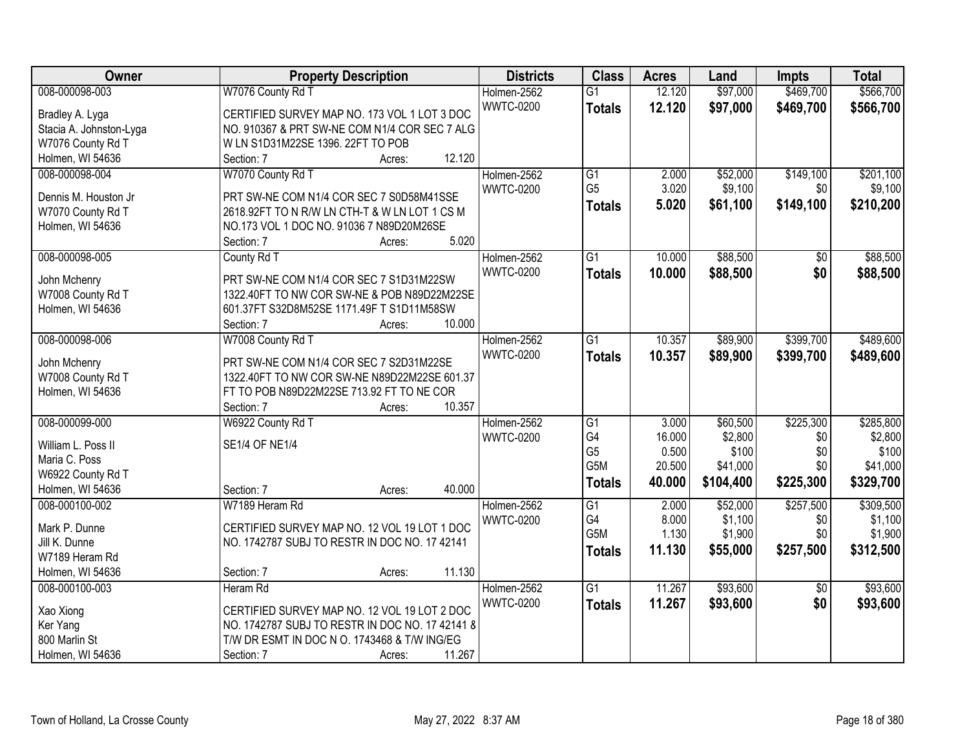| Owner                   | <b>Property Description</b>                     | <b>Districts</b> | <b>Class</b>          | <b>Acres</b> | Land      | <b>Impts</b>    | <b>Total</b> |
|-------------------------|-------------------------------------------------|------------------|-----------------------|--------------|-----------|-----------------|--------------|
| 008-000098-003          | W7076 County Rd T                               | Holmen-2562      | $\overline{G1}$       | 12.120       | \$97,000  | \$469,700       | \$566,700    |
| Bradley A. Lyga         | CERTIFIED SURVEY MAP NO. 173 VOL 1 LOT 3 DOC    | <b>WWTC-0200</b> | <b>Totals</b>         | 12.120       | \$97,000  | \$469,700       | \$566,700    |
| Stacia A. Johnston-Lyga | NO. 910367 & PRT SW-NE COM N1/4 COR SEC 7 ALG   |                  |                       |              |           |                 |              |
| W7076 County Rd T       | W LN S1D31M22SE 1396. 22FT TO POB               |                  |                       |              |           |                 |              |
| Holmen, WI 54636        | 12.120<br>Section: 7<br>Acres:                  |                  |                       |              |           |                 |              |
| 008-000098-004          | W7070 County Rd T                               | Holmen-2562      | $\overline{G1}$       | 2.000        | \$52,000  | \$149,100       | \$201,100    |
|                         |                                                 | <b>WWTC-0200</b> | G <sub>5</sub>        | 3.020        | \$9,100   | \$0             | \$9,100      |
| Dennis M. Houston Jr    | PRT SW-NE COM N1/4 COR SEC 7 S0D58M41SSE        |                  | <b>Totals</b>         | 5.020        | \$61,100  | \$149,100       | \$210,200    |
| W7070 County Rd T       | 2618.92FT TO N R/W LN CTH-T & W LN LOT 1 CS M   |                  |                       |              |           |                 |              |
| Holmen, WI 54636        | NO.173 VOL 1 DOC NO. 91036 7 N89D20M26SE        |                  |                       |              |           |                 |              |
|                         | 5.020<br>Section: 7<br>Acres:                   |                  |                       |              |           |                 |              |
| 008-000098-005          | County Rd T                                     | Holmen-2562      | G1                    | 10.000       | \$88,500  | \$0             | \$88,500     |
| John Mchenry            | PRT SW-NE COM N1/4 COR SEC 7 S1D31M22SW         | <b>WWTC-0200</b> | <b>Totals</b>         | 10.000       | \$88,500  | \$0             | \$88,500     |
| W7008 County Rd T       | 1322.40FT TO NW COR SW-NE & POB N89D22M22SE     |                  |                       |              |           |                 |              |
| Holmen, WI 54636        | 601.37FT S32D8M52SE 1171.49F T S1D11M58SW       |                  |                       |              |           |                 |              |
|                         | 10.000<br>Section: 7<br>Acres:                  |                  |                       |              |           |                 |              |
| 008-000098-006          | W7008 County Rd T                               | Holmen-2562      | $\overline{G1}$       | 10.357       | \$89,900  | \$399,700       | \$489,600    |
|                         |                                                 | <b>WWTC-0200</b> |                       | 10.357       |           |                 |              |
| John Mchenry            | PRT SW-NE COM N1/4 COR SEC 7 S2D31M22SE         |                  | <b>Totals</b>         |              | \$89,900  | \$399,700       | \$489,600    |
| W7008 County Rd T       | 1322.40FT TO NW COR SW-NE N89D22M22SE 601.37    |                  |                       |              |           |                 |              |
| Holmen, WI 54636        | FT TO POB N89D22M22SE 713.92 FT TO NE COR       |                  |                       |              |           |                 |              |
|                         | Section: 7<br>10.357<br>Acres:                  |                  |                       |              |           |                 |              |
| 008-000099-000          | W6922 County Rd T                               | Holmen-2562      | $\overline{G1}$       | 3.000        | \$60,500  | \$225,300       | \$285,800    |
|                         | <b>SE1/4 OF NE1/4</b>                           | <b>WWTC-0200</b> | G4                    | 16.000       | \$2,800   | \$0             | \$2,800      |
| William L. Poss II      |                                                 |                  | G <sub>5</sub>        | 0.500        | \$100     | \$0             | \$100        |
| Maria C. Poss           |                                                 |                  | G5M                   | 20.500       | \$41,000  | \$0             | \$41,000     |
| W6922 County Rd T       | 40.000                                          |                  | <b>Totals</b>         | 40.000       | \$104,400 | \$225,300       | \$329,700    |
| Holmen, WI 54636        | Section: 7<br>Acres:                            |                  |                       |              |           |                 |              |
| 008-000100-002          | W7189 Heram Rd                                  | Holmen-2562      | $\overline{G1}$<br>G4 | 2.000        | \$52,000  | \$257,500       | \$309,500    |
| Mark P. Dunne           | CERTIFIED SURVEY MAP NO. 12 VOL 19 LOT 1 DOC    | <b>WWTC-0200</b> |                       | 8.000        | \$1,100   | \$0             | \$1,100      |
| Jill K. Dunne           | NO. 1742787 SUBJ TO RESTR IN DOC NO. 17 42141   |                  | G5M                   | 1.130        | \$1,900   | \$0             | \$1,900      |
| W7189 Heram Rd          |                                                 |                  | <b>Totals</b>         | 11.130       | \$55,000  | \$257,500       | \$312,500    |
| Holmen, WI 54636        | 11.130<br>Section: 7<br>Acres:                  |                  |                       |              |           |                 |              |
| 008-000100-003          | Heram Rd                                        | Holmen-2562      | $\overline{G1}$       | 11.267       | \$93,600  | $\overline{50}$ | \$93,600     |
|                         |                                                 | <b>WWTC-0200</b> | <b>Totals</b>         | 11.267       | \$93,600  | \$0             | \$93,600     |
| Xao Xiong               | CERTIFIED SURVEY MAP NO. 12 VOL 19 LOT 2 DOC    |                  |                       |              |           |                 |              |
| Ker Yang                | NO. 1742787 SUBJ TO RESTR IN DOC NO. 17 42141 8 |                  |                       |              |           |                 |              |
| 800 Marlin St           | T/W DR ESMT IN DOC N O. 1743468 & T/W ING/EG    |                  |                       |              |           |                 |              |
| Holmen, WI 54636        | 11.267<br>Section: 7<br>Acres:                  |                  |                       |              |           |                 |              |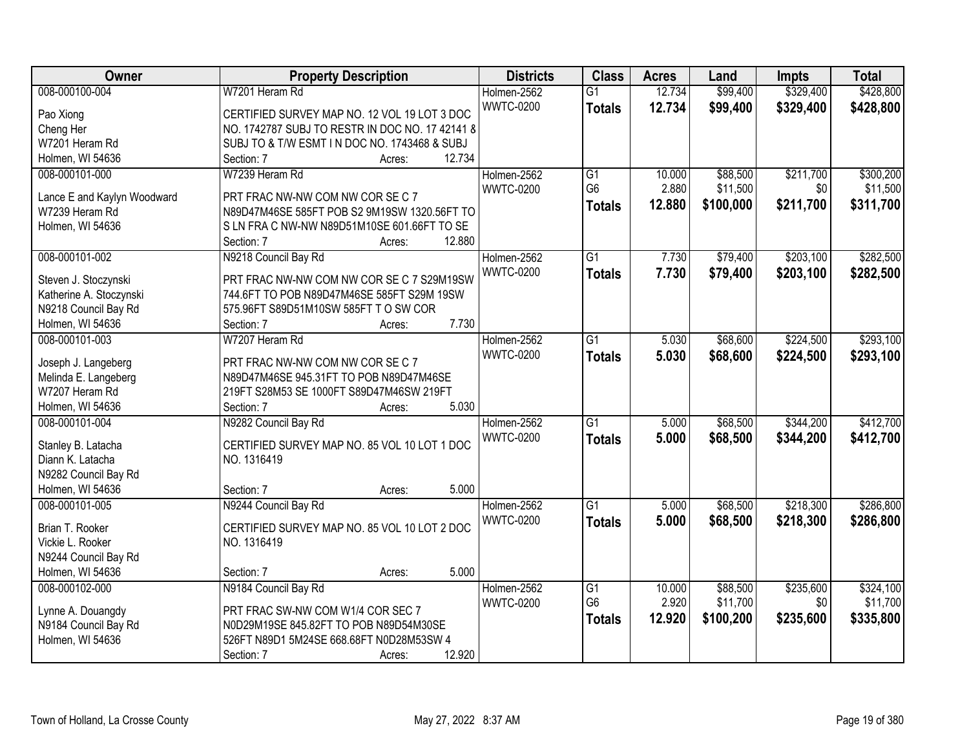| Owner                       | <b>Property Description</b>                     | <b>Districts</b> | <b>Class</b>    | <b>Acres</b> | Land      | Impts     | <b>Total</b> |
|-----------------------------|-------------------------------------------------|------------------|-----------------|--------------|-----------|-----------|--------------|
| 008-000100-004              | W7201 Heram Rd                                  | Holmen-2562      | $\overline{G1}$ | 12.734       | \$99,400  | \$329,400 | \$428,800    |
| Pao Xiong                   | CERTIFIED SURVEY MAP NO. 12 VOL 19 LOT 3 DOC    | <b>WWTC-0200</b> | <b>Totals</b>   | 12.734       | \$99,400  | \$329,400 | \$428,800    |
| Cheng Her                   | NO. 1742787 SUBJ TO RESTR IN DOC NO. 17 42141 8 |                  |                 |              |           |           |              |
| W7201 Heram Rd              | SUBJ TO & T/W ESMT IN DOC NO. 1743468 & SUBJ    |                  |                 |              |           |           |              |
| Holmen, WI 54636            | 12.734<br>Section: 7<br>Acres:                  |                  |                 |              |           |           |              |
| 008-000101-000              | W7239 Heram Rd                                  | Holmen-2562      | $\overline{G1}$ | 10.000       | \$88,500  | \$211,700 | \$300,200    |
|                             |                                                 | <b>WWTC-0200</b> | G <sub>6</sub>  | 2.880        | \$11,500  | \$0       | \$11,500     |
| Lance E and Kaylyn Woodward | PRT FRAC NW-NW COM NW COR SE C 7                |                  | <b>Totals</b>   | 12.880       | \$100,000 | \$211,700 | \$311,700    |
| W7239 Heram Rd              | N89D47M46SE 585FT POB S2 9M19SW 1320.56FT TO    |                  |                 |              |           |           |              |
| Holmen, WI 54636            | SLN FRA C NW-NW N89D51M10SE 601.66FT TO SE      |                  |                 |              |           |           |              |
|                             | 12.880<br>Section: 7<br>Acres:                  |                  |                 |              |           |           |              |
| 008-000101-002              | N9218 Council Bay Rd                            | Holmen-2562      | $\overline{G1}$ | 7.730        | \$79,400  | \$203,100 | \$282,500    |
| Steven J. Stoczynski        | PRT FRAC NW-NW COM NW COR SE C 7 S29M19SW       | <b>WWTC-0200</b> | <b>Totals</b>   | 7.730        | \$79,400  | \$203,100 | \$282,500    |
| Katherine A. Stoczynski     | 744.6FT TO POB N89D47M46SE 585FT S29M 19SW      |                  |                 |              |           |           |              |
| N9218 Council Bay Rd        | 575.96FT S89D51M10SW 585FT T O SW COR           |                  |                 |              |           |           |              |
| Holmen, WI 54636            | 7.730<br>Section: 7<br>Acres:                   |                  |                 |              |           |           |              |
| 008-000101-003              | W7207 Heram Rd                                  | Holmen-2562      | $\overline{G1}$ | 5.030        | \$68,600  | \$224,500 | \$293,100    |
|                             |                                                 | <b>WWTC-0200</b> | <b>Totals</b>   | 5.030        | \$68,600  | \$224,500 | \$293,100    |
| Joseph J. Langeberg         | PRT FRAC NW-NW COM NW COR SE C 7                |                  |                 |              |           |           |              |
| Melinda E. Langeberg        | N89D47M46SE 945.31FT TO POB N89D47M46SE         |                  |                 |              |           |           |              |
| W7207 Heram Rd              | 219FT S28M53 SE 1000FT S89D47M46SW 219FT        |                  |                 |              |           |           |              |
| Holmen, WI 54636            | 5.030<br>Section: 7<br>Acres:                   |                  |                 |              |           |           |              |
| 008-000101-004              | N9282 Council Bay Rd                            | Holmen-2562      | $\overline{G1}$ | 5.000        | \$68,500  | \$344,200 | \$412,700    |
| Stanley B. Latacha          | CERTIFIED SURVEY MAP NO. 85 VOL 10 LOT 1 DOC    | <b>WWTC-0200</b> | <b>Totals</b>   | 5.000        | \$68,500  | \$344,200 | \$412,700    |
| Diann K. Latacha            | NO. 1316419                                     |                  |                 |              |           |           |              |
| N9282 Council Bay Rd        |                                                 |                  |                 |              |           |           |              |
| Holmen, WI 54636            | 5.000<br>Section: 7<br>Acres:                   |                  |                 |              |           |           |              |
| 008-000101-005              | N9244 Council Bay Rd                            |                  | $\overline{G1}$ | 5.000        | \$68,500  | \$218,300 | \$286,800    |
|                             |                                                 | Holmen-2562      |                 |              |           |           |              |
| Brian T. Rooker             | CERTIFIED SURVEY MAP NO. 85 VOL 10 LOT 2 DOC    | <b>WWTC-0200</b> | <b>Totals</b>   | 5.000        | \$68,500  | \$218,300 | \$286,800    |
| Vickie L. Rooker            | NO. 1316419                                     |                  |                 |              |           |           |              |
| N9244 Council Bay Rd        |                                                 |                  |                 |              |           |           |              |
| Holmen, WI 54636            | 5.000<br>Section: 7<br>Acres:                   |                  |                 |              |           |           |              |
| 008-000102-000              | N9184 Council Bay Rd                            | Holmen-2562      | G1              | 10.000       | \$88,500  | \$235,600 | \$324,100    |
|                             |                                                 | <b>WWTC-0200</b> | G <sub>6</sub>  | 2.920        | \$11,700  | \$0       | \$11,700     |
| Lynne A. Douangdy           | PRT FRAC SW-NW COM W1/4 COR SEC 7               |                  | <b>Totals</b>   | 12.920       | \$100,200 | \$235,600 | \$335,800    |
| N9184 Council Bay Rd        | N0D29M19SE 845.82FT TO POB N89D54M30SE          |                  |                 |              |           |           |              |
| Holmen, WI 54636            | 526FT N89D1 5M24SE 668.68FT N0D28M53SW 4        |                  |                 |              |           |           |              |
|                             | 12.920<br>Section: 7<br>Acres:                  |                  |                 |              |           |           |              |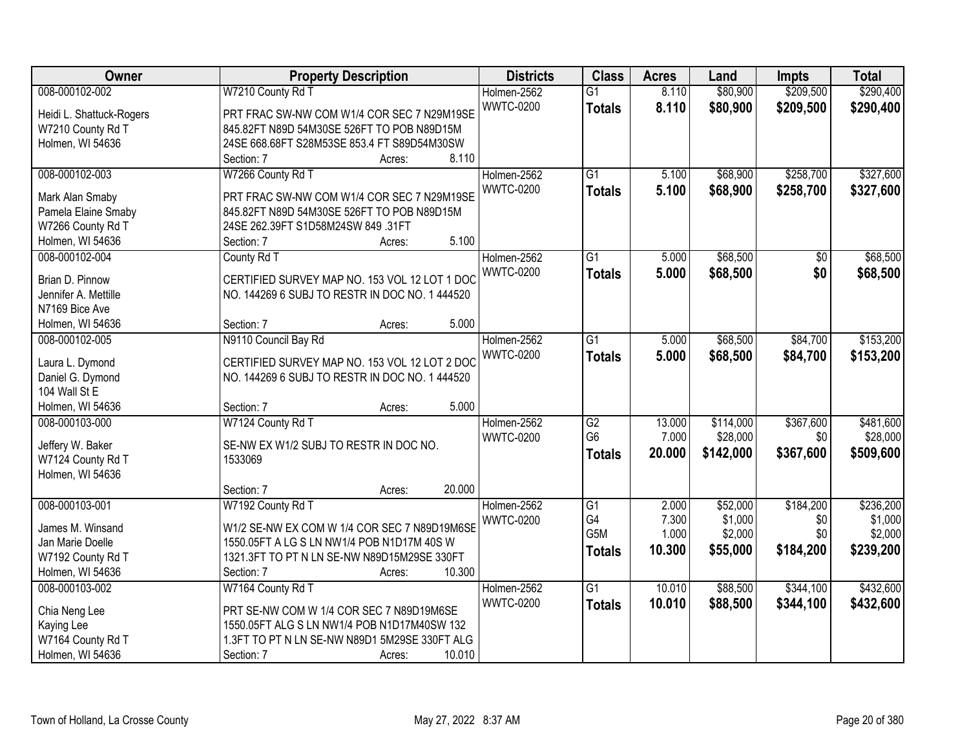| Owner                    | <b>Property Description</b>                    | <b>Districts</b> | <b>Class</b>     | <b>Acres</b> | Land      | <b>Impts</b> | <b>Total</b> |
|--------------------------|------------------------------------------------|------------------|------------------|--------------|-----------|--------------|--------------|
| 008-000102-002           | W7210 County Rd T                              | Holmen-2562      | $\overline{G1}$  | 8.110        | \$80,900  | \$209,500    | \$290,400    |
| Heidi L. Shattuck-Rogers | PRT FRAC SW-NW COM W1/4 COR SEC 7 N29M19SE     | <b>WWTC-0200</b> | <b>Totals</b>    | 8.110        | \$80,900  | \$209,500    | \$290,400    |
| W7210 County Rd T        | 845.82FT N89D 54M30SE 526FT TO POB N89D15M     |                  |                  |              |           |              |              |
| Holmen, WI 54636         | 24SE 668.68FT S28M53SE 853.4 FT S89D54M30SW    |                  |                  |              |           |              |              |
|                          | 8.110<br>Section: 7<br>Acres:                  |                  |                  |              |           |              |              |
| 008-000102-003           | W7266 County Rd T                              | Holmen-2562      | $\overline{G1}$  | 5.100        | \$68,900  | \$258,700    | \$327,600    |
|                          |                                                | <b>WWTC-0200</b> | <b>Totals</b>    | 5.100        | \$68,900  | \$258,700    | \$327,600    |
| Mark Alan Smaby          | PRT FRAC SW-NW COM W1/4 COR SEC 7 N29M19SE     |                  |                  |              |           |              |              |
| Pamela Elaine Smaby      | 845.82FT N89D 54M30SE 526FT TO POB N89D15M     |                  |                  |              |           |              |              |
| W7266 County Rd T        | 24SE 262.39FT S1D58M24SW 849 .31FT             |                  |                  |              |           |              |              |
| Holmen, WI 54636         | 5.100<br>Section: 7<br>Acres:                  |                  |                  |              |           |              |              |
| 008-000102-004           | County Rd T                                    | Holmen-2562      | $\overline{G1}$  | 5.000        | \$68,500  | \$0          | \$68,500     |
| Brian D. Pinnow          | CERTIFIED SURVEY MAP NO. 153 VOL 12 LOT 1 DOC  | <b>WWTC-0200</b> | <b>Totals</b>    | 5.000        | \$68,500  | \$0          | \$68,500     |
| Jennifer A. Mettille     | NO. 144269 6 SUBJ TO RESTR IN DOC NO. 1 444520 |                  |                  |              |           |              |              |
| N7169 Bice Ave           |                                                |                  |                  |              |           |              |              |
| Holmen, WI 54636         | 5.000<br>Section: 7<br>Acres:                  |                  |                  |              |           |              |              |
| 008-000102-005           | N9110 Council Bay Rd                           | Holmen-2562      | $\overline{G1}$  | 5.000        | \$68,500  | \$84,700     | \$153,200    |
|                          |                                                | <b>WWTC-0200</b> | <b>Totals</b>    | 5.000        | \$68,500  | \$84,700     | \$153,200    |
| Laura L. Dymond          | CERTIFIED SURVEY MAP NO. 153 VOL 12 LOT 2 DOC  |                  |                  |              |           |              |              |
| Daniel G. Dymond         | NO. 144269 6 SUBJ TO RESTR IN DOC NO. 1 444520 |                  |                  |              |           |              |              |
| 104 Wall St E            |                                                |                  |                  |              |           |              |              |
| Holmen, WI 54636         | 5.000<br>Section: 7<br>Acres:                  |                  |                  |              |           |              |              |
| 008-000103-000           | W7124 County Rd T                              | Holmen-2562      | $\overline{G2}$  | 13.000       | \$114,000 | \$367,600    | \$481,600    |
| Jeffery W. Baker         | SE-NW EX W1/2 SUBJ TO RESTR IN DOC NO.         | <b>WWTC-0200</b> | G <sub>6</sub>   | 7.000        | \$28,000  | \$0          | \$28,000     |
| W7124 County Rd T        | 1533069                                        |                  | <b>Totals</b>    | 20.000       | \$142,000 | \$367,600    | \$509,600    |
| Holmen, WI 54636         |                                                |                  |                  |              |           |              |              |
|                          | 20.000<br>Section: 7<br>Acres:                 |                  |                  |              |           |              |              |
| 008-000103-001           | W7192 County Rd T                              | Holmen-2562      | $\overline{G1}$  | 2.000        | \$52,000  | \$184,200    | \$236,200    |
| James M. Winsand         | W1/2 SE-NW EX COM W 1/4 COR SEC 7 N89D19M6SE   | <b>WWTC-0200</b> | G4               | 7.300        | \$1,000   | \$0          | \$1,000      |
| Jan Marie Doelle         | 1550.05FT A LG S LN NW1/4 POB N1D17M 40S W     |                  | G <sub>5</sub> M | 1.000        | \$2,000   | \$0          | \$2,000      |
| W7192 County Rd T        | 1321.3FT TO PT N LN SE-NW N89D15M29SE 330FT    |                  | <b>Totals</b>    | 10.300       | \$55,000  | \$184,200    | \$239,200    |
| Holmen, WI 54636         | 10.300<br>Section: 7                           |                  |                  |              |           |              |              |
| 008-000103-002           | Acres:                                         |                  | $\overline{G1}$  | 10.010       | \$88,500  | \$344,100    | \$432,600    |
|                          | W7164 County Rd T                              | Holmen-2562      |                  |              |           |              |              |
| Chia Neng Lee            | PRT SE-NW COM W 1/4 COR SEC 7 N89D19M6SE       | <b>WWTC-0200</b> | <b>Totals</b>    | 10.010       | \$88,500  | \$344,100    | \$432,600    |
| Kaying Lee               | 1550.05FT ALG S LN NW1/4 POB N1D17M40SW 132    |                  |                  |              |           |              |              |
| W7164 County Rd T        | 1.3FT TO PT N LN SE-NW N89D1 5M29SE 330FT ALG  |                  |                  |              |           |              |              |
| Holmen, WI 54636         | 10.010<br>Section: 7<br>Acres:                 |                  |                  |              |           |              |              |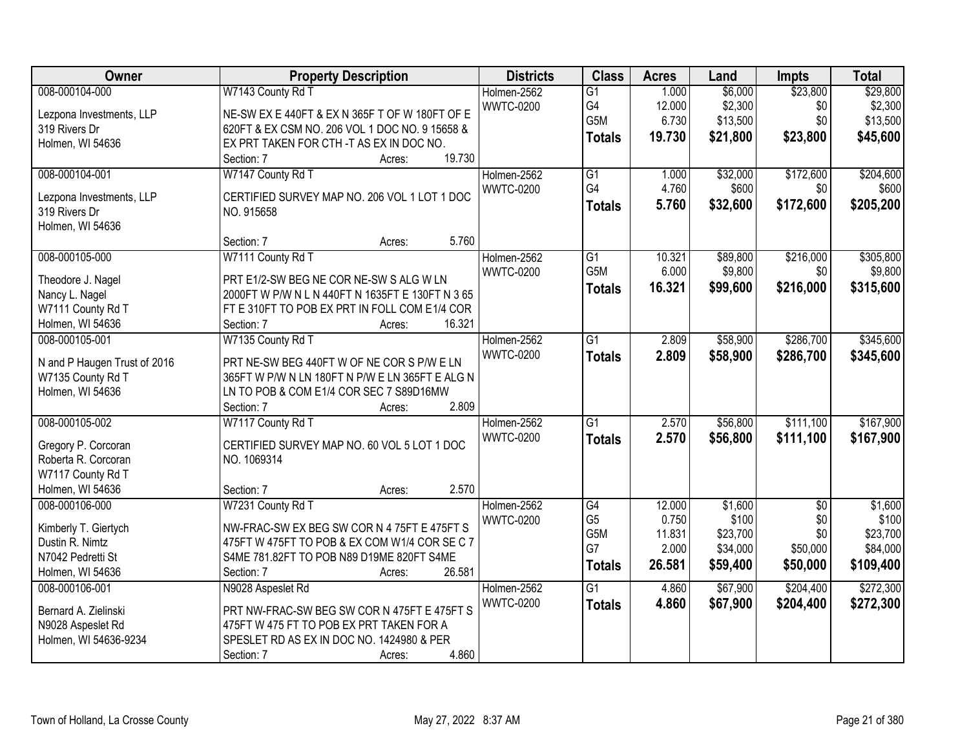| Owner                                   | <b>Property Description</b>                      | <b>Districts</b> | <b>Class</b>    | <b>Acres</b> | Land     | Impts           | <b>Total</b> |
|-----------------------------------------|--------------------------------------------------|------------------|-----------------|--------------|----------|-----------------|--------------|
| 008-000104-000                          | W7143 County Rd T                                | Holmen-2562      | $\overline{G1}$ | 1.000        | \$6,000  | \$23,800        | \$29,800     |
| Lezpona Investments, LLP                | NE-SW EX E 440FT & EX N 365F T OF W 180FT OF E   | <b>WWTC-0200</b> | G4              | 12.000       | \$2,300  | \$0             | \$2,300      |
| 319 Rivers Dr                           | 620FT & EX CSM NO. 206 VOL 1 DOC NO. 9 15658 &   |                  | G5M             | 6.730        | \$13,500 | \$0             | \$13,500     |
| Holmen, WI 54636                        | EX PRT TAKEN FOR CTH-T AS EX IN DOC NO.          |                  | <b>Totals</b>   | 19.730       | \$21,800 | \$23,800        | \$45,600     |
|                                         | 19.730<br>Section: 7<br>Acres:                   |                  |                 |              |          |                 |              |
| 008-000104-001                          | W7147 County Rd T                                | Holmen-2562      | $\overline{G1}$ | 1.000        | \$32,000 | \$172,600       | \$204,600    |
|                                         |                                                  | <b>WWTC-0200</b> | G4              | 4.760        | \$600    | \$0             | \$600        |
| Lezpona Investments, LLP                | CERTIFIED SURVEY MAP NO. 206 VOL 1 LOT 1 DOC     |                  | <b>Totals</b>   | 5.760        | \$32,600 | \$172,600       | \$205,200    |
| 319 Rivers Dr                           | NO. 915658                                       |                  |                 |              |          |                 |              |
| Holmen, WI 54636                        |                                                  |                  |                 |              |          |                 |              |
|                                         | 5.760<br>Section: 7<br>Acres:                    |                  |                 |              |          |                 |              |
| 008-000105-000                          | W7111 County Rd T                                | Holmen-2562      | $\overline{G1}$ | 10.321       | \$89,800 | \$216,000       | \$305,800    |
| Theodore J. Nagel                       | PRT E1/2-SW BEG NE COR NE-SW S ALG W LN          | <b>WWTC-0200</b> | G5M             | 6.000        | \$9,800  | \$0             | \$9,800      |
| Nancy L. Nagel                          | 2000FT W P/W N L N 440FT N 1635FT E 130FT N 3 65 |                  | <b>Totals</b>   | 16.321       | \$99,600 | \$216,000       | \$315,600    |
| W7111 County Rd T                       | FT E 310FT TO POB EX PRT IN FOLL COM E1/4 COR    |                  |                 |              |          |                 |              |
| Holmen, WI 54636                        | 16.321<br>Section: 7<br>Acres:                   |                  |                 |              |          |                 |              |
| 008-000105-001                          | W7135 County Rd T                                | Holmen-2562      | $\overline{G1}$ | 2.809        | \$58,900 | \$286,700       | \$345,600    |
|                                         |                                                  | <b>WWTC-0200</b> | <b>Totals</b>   | 2.809        | \$58,900 | \$286,700       | \$345,600    |
| N and P Haugen Trust of 2016            | PRT NE-SW BEG 440FT W OF NE COR S P/W E LN       |                  |                 |              |          |                 |              |
| W7135 County Rd T                       | 365FT W P/W N LN 180FT N P/W E LN 365FT E ALG N  |                  |                 |              |          |                 |              |
| Holmen, WI 54636                        | LN TO POB & COM E1/4 COR SEC 7 S89D16MW          |                  |                 |              |          |                 |              |
|                                         | 2.809<br>Section: 7<br>Acres:                    |                  |                 |              |          |                 |              |
| 008-000105-002                          | W7117 County Rd T                                | Holmen-2562      | $\overline{G1}$ | 2.570        | \$56,800 | \$111,100       | \$167,900    |
| Gregory P. Corcoran                     | CERTIFIED SURVEY MAP NO. 60 VOL 5 LOT 1 DOC      | <b>WWTC-0200</b> | <b>Totals</b>   | 2.570        | \$56,800 | \$111,100       | \$167,900    |
| Roberta R. Corcoran                     | NO. 1069314                                      |                  |                 |              |          |                 |              |
| W7117 County Rd T                       |                                                  |                  |                 |              |          |                 |              |
| Holmen, WI 54636                        | 2.570<br>Section: 7<br>Acres:                    |                  |                 |              |          |                 |              |
| 008-000106-000                          | W7231 County Rd T                                | Holmen-2562      | G4              | 12.000       | \$1,600  | $\overline{50}$ | \$1,600      |
|                                         | NW-FRAC-SW EX BEG SW COR N 4 75FT E 475FT S      | <b>WWTC-0200</b> | G <sub>5</sub>  | 0.750        | \$100    | \$0             | \$100        |
| Kimberly T. Giertych<br>Dustin R. Nimtz | 475FT W 475FT TO POB & EX COM W1/4 COR SE C 7    |                  | G5M             | 11.831       | \$23,700 | \$0             | \$23,700     |
| N7042 Pedretti St                       | S4ME 781.82FT TO POB N89 D19ME 820FT S4ME        |                  | G7              | 2.000        | \$34,000 | \$50,000        | \$84,000     |
| Holmen, WI 54636                        | 26.581<br>Section: 7<br>Acres:                   |                  | <b>Totals</b>   | 26.581       | \$59,400 | \$50,000        | \$109,400    |
| 008-000106-001                          | N9028 Aspeslet Rd                                | Holmen-2562      | $\overline{G1}$ | 4.860        | \$67,900 | \$204,400       | \$272,300    |
|                                         |                                                  | <b>WWTC-0200</b> |                 |              |          |                 |              |
| Bernard A. Zielinski                    | PRT NW-FRAC-SW BEG SW COR N 475FT E 475FT S      |                  | <b>Totals</b>   | 4.860        | \$67,900 | \$204,400       | \$272,300    |
| N9028 Aspeslet Rd                       | 475FT W 475 FT TO POB EX PRT TAKEN FOR A         |                  |                 |              |          |                 |              |
| Holmen, WI 54636-9234                   | SPESLET RD AS EX IN DOC NO. 1424980 & PER        |                  |                 |              |          |                 |              |
|                                         | 4.860<br>Section: 7<br>Acres:                    |                  |                 |              |          |                 |              |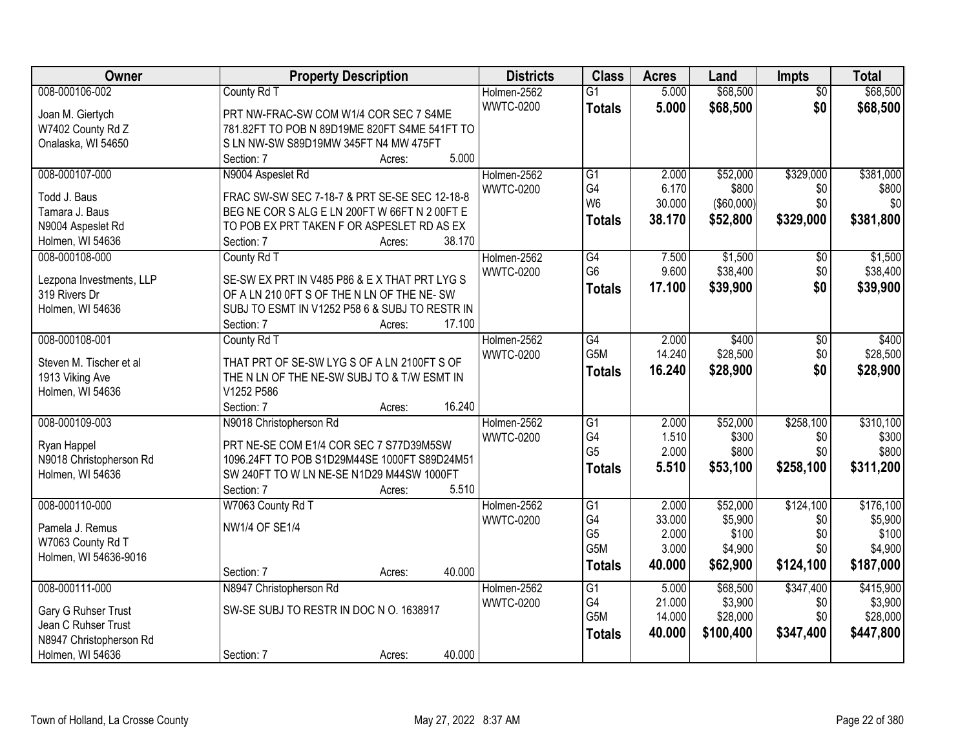| Owner                    | <b>Property Description</b>                    | <b>Districts</b> | <b>Class</b>     | <b>Acres</b> | Land       | <b>Impts</b>    | <b>Total</b> |
|--------------------------|------------------------------------------------|------------------|------------------|--------------|------------|-----------------|--------------|
| 008-000106-002           | County Rd T                                    | Holmen-2562      | $\overline{G1}$  | 5.000        | \$68,500   | $\overline{50}$ | \$68,500     |
| Joan M. Giertych         | PRT NW-FRAC-SW COM W1/4 COR SEC 7 S4ME         | <b>WWTC-0200</b> | <b>Totals</b>    | 5.000        | \$68,500   | \$0             | \$68,500     |
| W7402 County Rd Z        | 781.82FT TO POB N 89D19ME 820FT S4ME 541FT TO  |                  |                  |              |            |                 |              |
| Onalaska, WI 54650       | S LN NW-SW S89D19MW 345FT N4 MW 475FT          |                  |                  |              |            |                 |              |
|                          | 5.000<br>Section: 7<br>Acres:                  |                  |                  |              |            |                 |              |
| 008-000107-000           | N9004 Aspeslet Rd                              | Holmen-2562      | $\overline{G1}$  | 2.000        | \$52,000   | \$329,000       | \$381,000    |
|                          |                                                | <b>WWTC-0200</b> | G4               | 6.170        | \$800      | \$0             | \$800        |
| Todd J. Baus             | FRAC SW-SW SEC 7-18-7 & PRT SE-SE SEC 12-18-8  |                  | W <sub>6</sub>   | 30.000       | (\$60,000) | \$0             | \$0          |
| Tamara J. Baus           | BEG NE COR S ALG E LN 200FT W 66FT N 2 00FT E  |                  | <b>Totals</b>    | 38.170       | \$52,800   | \$329,000       | \$381,800    |
| N9004 Aspeslet Rd        | TO POB EX PRT TAKEN F OR ASPESLET RD AS EX     |                  |                  |              |            |                 |              |
| Holmen, WI 54636         | 38.170<br>Section: 7<br>Acres:                 |                  |                  |              |            |                 |              |
| 008-000108-000           | County Rd T                                    | Holmen-2562      | G4               | 7.500        | \$1,500    | \$0             | \$1,500      |
| Lezpona Investments, LLP | SE-SW EX PRT IN V485 P86 & EX THAT PRT LYG S   | <b>WWTC-0200</b> | G <sub>6</sub>   | 9.600        | \$38,400   | \$0             | \$38,400     |
| 319 Rivers Dr            | OF A LN 210 OFT S OF THE N LN OF THE NE-SW     |                  | <b>Totals</b>    | 17.100       | \$39,900   | \$0             | \$39,900     |
| Holmen, WI 54636         | SUBJ TO ESMT IN V1252 P58 6 & SUBJ TO RESTR IN |                  |                  |              |            |                 |              |
|                          | Section: 7<br>17.100<br>Acres:                 |                  |                  |              |            |                 |              |
| 008-000108-001           | County Rd T                                    | Holmen-2562      | G4               | 2.000        | \$400      | \$0             | \$400        |
|                          |                                                | <b>WWTC-0200</b> | G5M              | 14.240       | \$28,500   | \$0             | \$28,500     |
| Steven M. Tischer et al  | THAT PRT OF SE-SW LYG S OF A LN 2100FT S OF    |                  | <b>Totals</b>    | 16.240       | \$28,900   | \$0             | \$28,900     |
| 1913 Viking Ave          | THE N LN OF THE NE-SW SUBJ TO & T/W ESMT IN    |                  |                  |              |            |                 |              |
| Holmen, WI 54636         | V1252 P586                                     |                  |                  |              |            |                 |              |
|                          | 16.240<br>Section: 7<br>Acres:                 |                  |                  |              |            |                 |              |
| 008-000109-003           | N9018 Christopherson Rd                        | Holmen-2562      | $\overline{G1}$  | 2.000        | \$52,000   | \$258,100       | \$310,100    |
|                          |                                                | <b>WWTC-0200</b> | G4               | 1.510        | \$300      | \$0             | \$300        |
| Ryan Happel              | PRT NE-SE COM E1/4 COR SEC 7 S77D39M5SW        |                  | G <sub>5</sub>   | 2.000        | \$800      | \$0             | \$800        |
| N9018 Christopherson Rd  | 1096.24FT TO POB S1D29M44SE 1000FT S89D24M51   |                  | <b>Totals</b>    | 5.510        | \$53,100   | \$258,100       | \$311,200    |
| Holmen, WI 54636         | SW 240FT TO W LN NE-SE N1D29 M44SW 1000FT      |                  |                  |              |            |                 |              |
|                          | Section: 7<br>5.510<br>Acres:                  |                  |                  |              |            |                 |              |
| 008-000110-000           | W7063 County Rd T                              | Holmen-2562      | $\overline{G1}$  | 2.000        | \$52,000   | \$124,100       | \$176,100    |
| Pamela J. Remus          | NW1/4 OF SE1/4                                 | <b>WWTC-0200</b> | G4               | 33.000       | \$5,900    | \$0             | \$5,900      |
| W7063 County Rd T        |                                                |                  | G <sub>5</sub>   | 2.000        | \$100      | \$0             | \$100        |
| Holmen, WI 54636-9016    |                                                |                  | G <sub>5</sub> M | 3.000        | \$4,900    | \$0             | \$4,900      |
|                          | 40.000<br>Section: 7<br>Acres:                 |                  | <b>Totals</b>    | 40.000       | \$62,900   | \$124,100       | \$187,000    |
| 008-000111-000           | N8947 Christopherson Rd                        | Holmen-2562      | $\overline{G1}$  | 5.000        | \$68,500   | \$347,400       | \$415,900    |
|                          |                                                | <b>WWTC-0200</b> | G4               | 21.000       | \$3,900    | \$0             | \$3,900      |
| Gary G Ruhser Trust      | SW-SE SUBJ TO RESTR IN DOC N O. 1638917        |                  | G <sub>5</sub> M | 14.000       | \$28,000   | \$0             | \$28,000     |
| Jean C Ruhser Trust      |                                                |                  | <b>Totals</b>    | 40.000       | \$100,400  | \$347,400       | \$447,800    |
| N8947 Christopherson Rd  |                                                |                  |                  |              |            |                 |              |
| Holmen, WI 54636         | 40.000<br>Section: 7<br>Acres:                 |                  |                  |              |            |                 |              |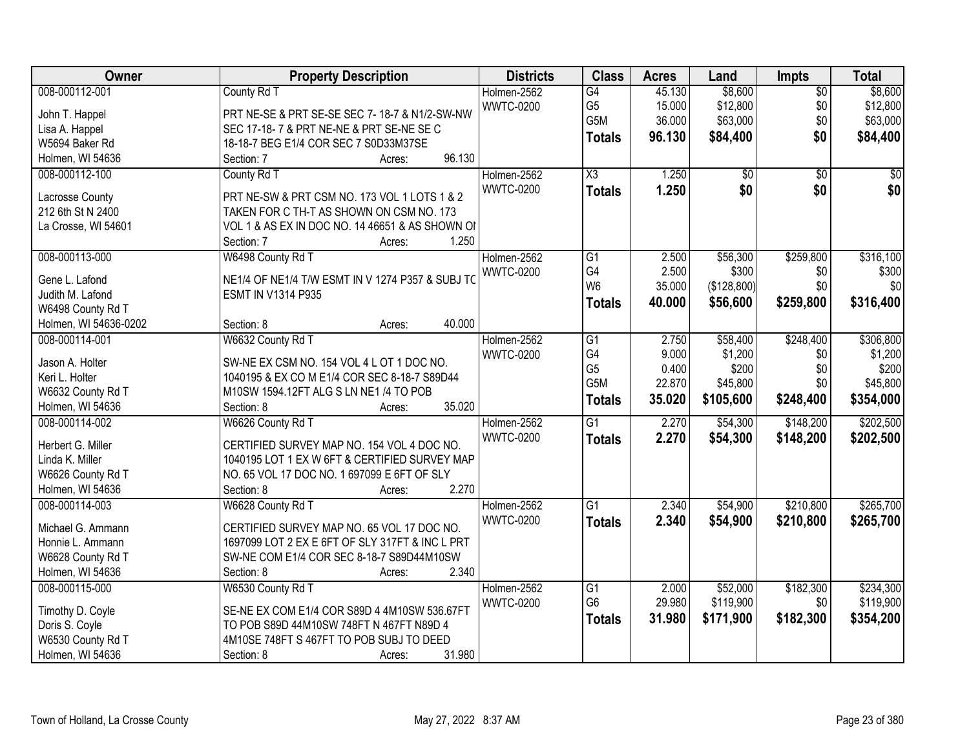| Owner                 | <b>Property Description</b>                      | <b>Districts</b> | <b>Class</b>           | <b>Acres</b> | Land        | <b>Impts</b>    | <b>Total</b> |
|-----------------------|--------------------------------------------------|------------------|------------------------|--------------|-------------|-----------------|--------------|
| 008-000112-001        | County Rd T                                      | Holmen-2562      | G4                     | 45.130       | \$8,600     | $\overline{50}$ | \$8,600      |
| John T. Happel        | PRT NE-SE & PRT SE-SE SEC 7-18-7 & N1/2-SW-NW    | <b>WWTC-0200</b> | G <sub>5</sub>         | 15.000       | \$12,800    | \$0             | \$12,800     |
| Lisa A. Happel        | SEC 17-18-7 & PRT NE-NE & PRT SE-NE SE C         |                  | G5M                    | 36.000       | \$63,000    | \$0             | \$63,000     |
| W5694 Baker Rd        | 18-18-7 BEG E1/4 COR SEC 7 S0D33M37SE            |                  | <b>Totals</b>          | 96.130       | \$84,400    | \$0             | \$84,400     |
| Holmen, WI 54636      | 96.130<br>Section: 7<br>Acres:                   |                  |                        |              |             |                 |              |
| 008-000112-100        | County Rd T                                      | Holmen-2562      | $\overline{\text{X3}}$ | 1.250        | \$0         | $\overline{50}$ | \$0          |
|                       |                                                  | <b>WWTC-0200</b> | <b>Totals</b>          | 1.250        | \$0         | \$0             | \$0          |
| Lacrosse County       | PRT NE-SW & PRT CSM NO. 173 VOL 1 LOTS 1 & 2     |                  |                        |              |             |                 |              |
| 212 6th St N 2400     | TAKEN FOR C TH-T AS SHOWN ON CSM NO. 173         |                  |                        |              |             |                 |              |
| La Crosse, WI 54601   | VOL 1 & AS EX IN DOC NO. 14 46651 & AS SHOWN OF  |                  |                        |              |             |                 |              |
|                       | 1.250<br>Section: 7<br>Acres:                    |                  |                        |              |             |                 |              |
| 008-000113-000        | W6498 County Rd T                                | Holmen-2562      | $\overline{G1}$        | 2.500        | \$56,300    | \$259,800       | \$316,100    |
| Gene L. Lafond        | NE1/4 OF NE1/4 T/W ESMT IN V 1274 P357 & SUBJ TO | <b>WWTC-0200</b> | G4                     | 2.500        | \$300       | \$0             | \$300        |
| Judith M. Lafond      | <b>ESMT IN V1314 P935</b>                        |                  | W <sub>6</sub>         | 35.000       | (\$128,800) | \$0             | \$0          |
| W6498 County Rd T     |                                                  |                  | <b>Totals</b>          | 40.000       | \$56,600    | \$259,800       | \$316,400    |
| Holmen, WI 54636-0202 | 40.000<br>Section: 8<br>Acres:                   |                  |                        |              |             |                 |              |
| 008-000114-001        | W6632 County Rd T                                | Holmen-2562      | G1                     | 2.750        | \$58,400    | \$248,400       | \$306,800    |
|                       |                                                  |                  | G4                     | 9.000        | \$1,200     |                 | \$1,200      |
| Jason A. Holter       | SW-NE EX CSM NO. 154 VOL 4 L OT 1 DOC NO.        | <b>WWTC-0200</b> | G <sub>5</sub>         | 0.400        | \$200       | \$0<br>\$0      | \$200        |
| Keri L. Holter        | 1040195 & EX CO M E1/4 COR SEC 8-18-7 S89D44     |                  | G5M                    | 22.870       | \$45,800    | \$0             | \$45,800     |
| W6632 County Rd T     | M10SW 1594.12FT ALG S LN NE1 /4 TO POB           |                  |                        |              |             |                 |              |
| Holmen, WI 54636      | 35.020<br>Section: 8<br>Acres:                   |                  | <b>Totals</b>          | 35.020       | \$105,600   | \$248,400       | \$354,000    |
| 008-000114-002        | W6626 County Rd T                                | Holmen-2562      | $\overline{G1}$        | 2.270        | \$54,300    | \$148,200       | \$202,500    |
|                       |                                                  | <b>WWTC-0200</b> | <b>Totals</b>          | 2.270        | \$54,300    | \$148,200       | \$202,500    |
| Herbert G. Miller     | CERTIFIED SURVEY MAP NO. 154 VOL 4 DOC NO.       |                  |                        |              |             |                 |              |
| Linda K. Miller       | 1040195 LOT 1 EX W 6FT & CERTIFIED SURVEY MAP    |                  |                        |              |             |                 |              |
| W6626 County Rd T     | NO. 65 VOL 17 DOC NO. 1 697099 E 6FT OF SLY      |                  |                        |              |             |                 |              |
| Holmen, WI 54636      | 2.270<br>Section: 8<br>Acres:                    |                  |                        |              |             |                 |              |
| 008-000114-003        | W6628 County Rd T                                | Holmen-2562      | $\overline{G1}$        | 2.340        | \$54,900    | \$210,800       | \$265,700    |
| Michael G. Ammann     | CERTIFIED SURVEY MAP NO. 65 VOL 17 DOC NO.       | <b>WWTC-0200</b> | <b>Totals</b>          | 2.340        | \$54,900    | \$210,800       | \$265,700    |
| Honnie L. Ammann      | 1697099 LOT 2 EX E 6FT OF SLY 317FT & INC L PRT  |                  |                        |              |             |                 |              |
| W6628 County Rd T     | SW-NE COM E1/4 COR SEC 8-18-7 S89D44M10SW        |                  |                        |              |             |                 |              |
| Holmen, WI 54636      | 2.340<br>Section: 8<br>Acres:                    |                  |                        |              |             |                 |              |
| 008-000115-000        | W6530 County Rd T                                | Holmen-2562      | $\overline{G1}$        | 2.000        | \$52,000    | \$182,300       | \$234,300    |
|                       |                                                  | <b>WWTC-0200</b> | G <sub>6</sub>         | 29.980       | \$119,900   | \$0             | \$119,900    |
| Timothy D. Coyle      | SE-NE EX COM E1/4 COR S89D 4 4M10SW 536.67FT     |                  | <b>Totals</b>          | 31.980       | \$171,900   | \$182,300       | \$354,200    |
| Doris S. Coyle        | TO POB S89D 44M10SW 748FT N 467FT N89D 4         |                  |                        |              |             |                 |              |
| W6530 County Rd T     | 4M10SE 748FT S 467FT TO POB SUBJ TO DEED         |                  |                        |              |             |                 |              |
| Holmen, WI 54636      | 31.980<br>Section: 8<br>Acres:                   |                  |                        |              |             |                 |              |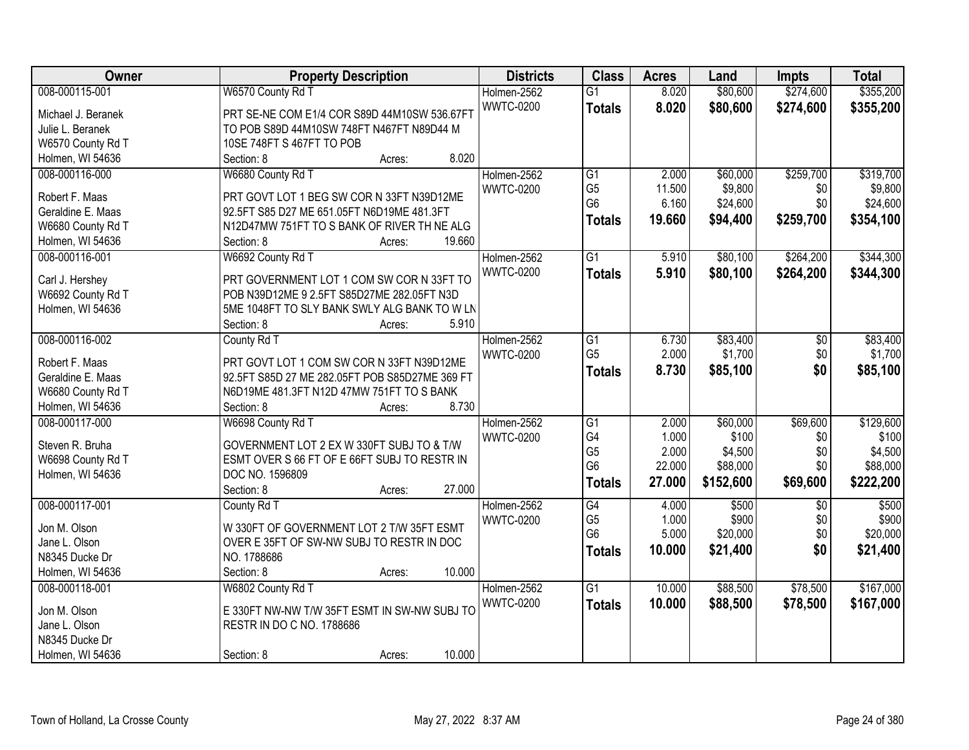| Owner              | <b>Property Description</b>                    | <b>Districts</b> | <b>Class</b>                     | <b>Acres</b>   | Land              | Impts      | <b>Total</b>      |
|--------------------|------------------------------------------------|------------------|----------------------------------|----------------|-------------------|------------|-------------------|
| 008-000115-001     | W6570 County Rd T                              | Holmen-2562      | $\overline{G1}$                  | 8.020          | \$80,600          | \$274,600  | \$355,200         |
| Michael J. Beranek | PRT SE-NE COM E1/4 COR S89D 44M10SW 536.67FT   | <b>WWTC-0200</b> | <b>Totals</b>                    | 8.020          | \$80,600          | \$274,600  | \$355,200         |
| Julie L. Beranek   | TO POB S89D 44M10SW 748FT N467FT N89D44 M      |                  |                                  |                |                   |            |                   |
| W6570 County Rd T  | 10SE 748FT S 467FT TO POB                      |                  |                                  |                |                   |            |                   |
| Holmen, WI 54636   | 8.020<br>Section: 8<br>Acres:                  |                  |                                  |                |                   |            |                   |
| 008-000116-000     | W6680 County Rd T                              | Holmen-2562      | $\overline{G1}$                  | 2.000          | \$60,000          | \$259,700  | \$319,700         |
| Robert F. Maas     | PRT GOVT LOT 1 BEG SW COR N 33FT N39D12ME      | <b>WWTC-0200</b> | G <sub>5</sub>                   | 11.500         | \$9,800           | \$0        | \$9,800           |
| Geraldine E. Maas  | 92.5FT S85 D27 ME 651.05FT N6D19ME 481.3FT     |                  | G <sub>6</sub>                   | 6.160          | \$24,600          | \$0        | \$24,600          |
| W6680 County Rd T  | N12D47MW 751FT TO S BANK OF RIVER TH NE ALG    |                  | <b>Totals</b>                    | 19.660         | \$94,400          | \$259,700  | \$354,100         |
| Holmen, WI 54636   | 19.660<br>Section: 8<br>Acres:                 |                  |                                  |                |                   |            |                   |
| 008-000116-001     | W6692 County Rd T                              | Holmen-2562      | G1                               | 5.910          | \$80,100          | \$264,200  | \$344,300         |
|                    |                                                | <b>WWTC-0200</b> | <b>Totals</b>                    | 5.910          | \$80,100          | \$264,200  | \$344,300         |
| Carl J. Hershey    | PRT GOVERNMENT LOT 1 COM SW COR N 33FT TO      |                  |                                  |                |                   |            |                   |
| W6692 County Rd T  | POB N39D12ME 9 2.5FT S85D27ME 282.05FT N3D     |                  |                                  |                |                   |            |                   |
| Holmen, WI 54636   | 5ME 1048FT TO SLY BANK SWLY ALG BANK TO W LN   |                  |                                  |                |                   |            |                   |
|                    | 5.910<br>Section: 8<br>Acres:                  |                  |                                  |                |                   |            |                   |
| 008-000116-002     | County Rd T                                    | Holmen-2562      | $\overline{G1}$                  | 6.730          | \$83,400          | \$0        | \$83,400          |
| Robert F. Maas     | PRT GOVT LOT 1 COM SW COR N 33FT N39D12ME      | <b>WWTC-0200</b> | G <sub>5</sub>                   | 2.000          | \$1,700           | \$0        | \$1,700           |
| Geraldine E. Maas  | 92.5FT S85D 27 ME 282.05FT POB S85D27ME 369 FT |                  | <b>Totals</b>                    | 8.730          | \$85,100          | \$0        | \$85,100          |
| W6680 County Rd T  | N6D19ME 481.3FT N12D 47MW 751FT TO S BANK      |                  |                                  |                |                   |            |                   |
| Holmen, WI 54636   | 8.730<br>Section: 8<br>Acres:                  |                  |                                  |                |                   |            |                   |
| 008-000117-000     | W6698 County Rd T                              | Holmen-2562      | $\overline{G1}$                  | 2.000          | \$60,000          | \$69,600   | \$129,600         |
|                    |                                                | <b>WWTC-0200</b> | G4                               | 1.000          | \$100             | \$0        | \$100             |
| Steven R. Bruha    | GOVERNMENT LOT 2 EX W 330FT SUBJ TO & T/W      |                  | G <sub>5</sub>                   | 2.000          | \$4,500           | \$0        | \$4,500           |
| W6698 County Rd T  | ESMT OVER S 66 FT OF E 66FT SUBJ TO RESTR IN   |                  | G <sub>6</sub>                   | 22.000         | \$88,000          | \$0        | \$88,000          |
| Holmen, WI 54636   | DOC NO. 1596809                                |                  | <b>Totals</b>                    | 27.000         | \$152,600         | \$69,600   | \$222,200         |
|                    | 27.000<br>Section: 8<br>Acres:                 |                  |                                  |                |                   |            |                   |
| 008-000117-001     | County Rd T                                    | Holmen-2562      | G4                               | 4.000          | \$500             | \$0        | \$500             |
| Jon M. Olson       | W 330FT OF GOVERNMENT LOT 2 T/W 35FT ESMT      | <b>WWTC-0200</b> | G <sub>5</sub><br>G <sub>6</sub> | 1.000<br>5.000 | \$900<br>\$20,000 | \$0<br>\$0 | \$900<br>\$20,000 |
| Jane L. Olson      | OVER E 35FT OF SW-NW SUBJ TO RESTR IN DOC      |                  |                                  |                |                   |            |                   |
| N8345 Ducke Dr     | NO. 1788686                                    |                  | <b>Totals</b>                    | 10.000         | \$21,400          | \$0        | \$21,400          |
| Holmen, WI 54636   | 10.000<br>Section: 8<br>Acres:                 |                  |                                  |                |                   |            |                   |
| 008-000118-001     | W6802 County Rd T                              | Holmen-2562      | $\overline{G1}$                  | 10.000         | \$88,500          | \$78,500   | \$167,000         |
| Jon M. Olson       | E 330FT NW-NW T/W 35FT ESMT IN SW-NW SUBJ TO   | <b>WWTC-0200</b> | <b>Totals</b>                    | 10.000         | \$88,500          | \$78,500   | \$167,000         |
| Jane L. Olson      | RESTR IN DO C NO. 1788686                      |                  |                                  |                |                   |            |                   |
| N8345 Ducke Dr     |                                                |                  |                                  |                |                   |            |                   |
| Holmen, WI 54636   | 10.000<br>Section: 8<br>Acres:                 |                  |                                  |                |                   |            |                   |
|                    |                                                |                  |                                  |                |                   |            |                   |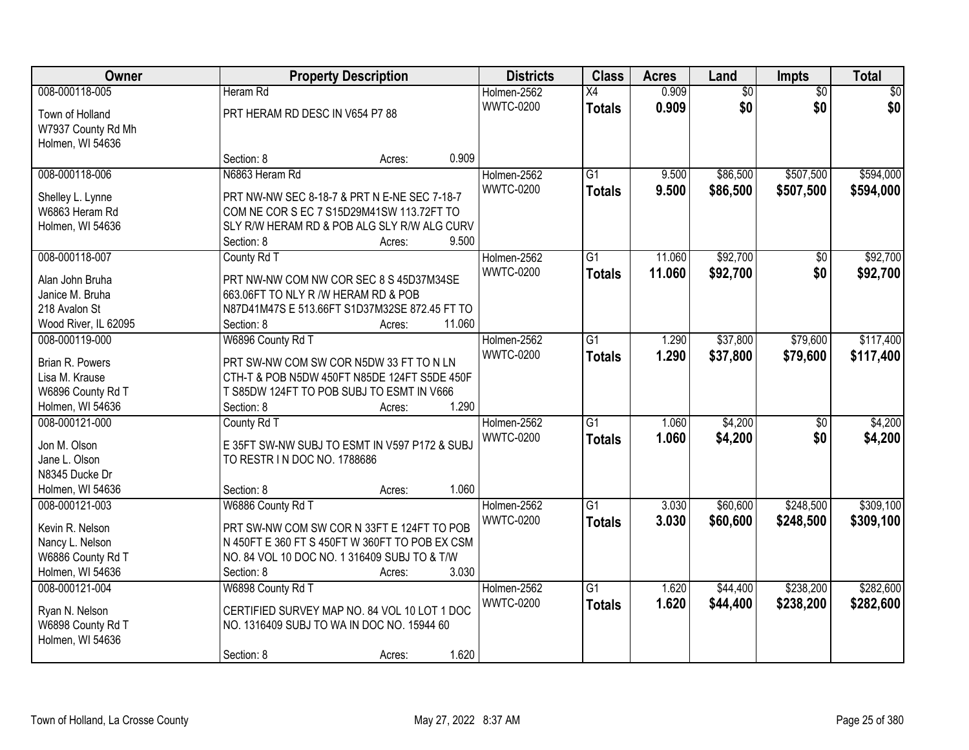| Owner                |                                                | <b>Property Description</b> | <b>Districts</b> | <b>Class</b>    | <b>Acres</b> | Land            | Impts           | <b>Total</b>    |
|----------------------|------------------------------------------------|-----------------------------|------------------|-----------------|--------------|-----------------|-----------------|-----------------|
| 008-000118-005       | Heram Rd                                       |                             | Holmen-2562      | $\overline{X4}$ | 0.909        | $\overline{60}$ | $\overline{30}$ | $\overline{50}$ |
| Town of Holland      | PRT HERAM RD DESC IN V654 P7 88                |                             | <b>WWTC-0200</b> | <b>Totals</b>   | 0.909        | \$0             | \$0             | \$0             |
| W7937 County Rd Mh   |                                                |                             |                  |                 |              |                 |                 |                 |
| Holmen, WI 54636     |                                                |                             |                  |                 |              |                 |                 |                 |
|                      | Section: 8                                     | Acres:                      | 0.909            |                 |              |                 |                 |                 |
| 008-000118-006       | N6863 Heram Rd                                 |                             | Holmen-2562      | $\overline{G1}$ | 9.500        | \$86,500        | \$507,500       | \$594,000       |
|                      |                                                |                             | <b>WWTC-0200</b> | <b>Totals</b>   | 9.500        | \$86,500        | \$507,500       | \$594,000       |
| Shelley L. Lynne     | PRT NW-NW SEC 8-18-7 & PRT N E-NE SEC 7-18-7   |                             |                  |                 |              |                 |                 |                 |
| W6863 Heram Rd       | COM NE COR S EC 7 S15D29M41SW 113.72FT TO      |                             |                  |                 |              |                 |                 |                 |
| Holmen, WI 54636     | SLY R/W HERAM RD & POB ALG SLY R/W ALG CURV    |                             |                  |                 |              |                 |                 |                 |
|                      | Section: 8                                     | Acres:                      | 9.500            |                 |              |                 |                 |                 |
| 008-000118-007       | County Rd T                                    |                             | Holmen-2562      | $\overline{G1}$ | 11.060       | \$92,700        | $\overline{50}$ | \$92,700        |
| Alan John Bruha      | PRT NW-NW COM NW COR SEC 8 S 45D37M34SE        |                             | <b>WWTC-0200</b> | <b>Totals</b>   | 11.060       | \$92,700        | \$0             | \$92,700        |
| Janice M. Bruha      | 663.06FT TO NLY R /W HERAM RD & POB            |                             |                  |                 |              |                 |                 |                 |
| 218 Avalon St        | N87D41M47S E 513.66FT S1D37M32SE 872.45 FT TO  |                             |                  |                 |              |                 |                 |                 |
| Wood River, IL 62095 | Section: 8                                     | Acres:                      | 11.060           |                 |              |                 |                 |                 |
| 008-000119-000       | W6896 County Rd T                              |                             | Holmen-2562      | $\overline{G1}$ | 1.290        | \$37,800        | \$79,600        | \$117,400       |
|                      |                                                |                             | <b>WWTC-0200</b> | <b>Totals</b>   | 1.290        | \$37,800        | \$79,600        | \$117,400       |
| Brian R. Powers      | PRT SW-NW COM SW COR N5DW 33 FT TO N LN        |                             |                  |                 |              |                 |                 |                 |
| Lisa M. Krause       | CTH-T & POB N5DW 450FT N85DE 124FT S5DE 450F   |                             |                  |                 |              |                 |                 |                 |
| W6896 County Rd T    | T S85DW 124FT TO POB SUBJ TO ESMT IN V666      |                             |                  |                 |              |                 |                 |                 |
| Holmen, WI 54636     | Section: 8                                     | Acres:                      | 1.290            |                 |              |                 |                 |                 |
| 008-000121-000       | County Rd T                                    |                             | Holmen-2562      | $\overline{G1}$ | 1.060        | \$4,200         | $\overline{50}$ | \$4,200         |
| Jon M. Olson         | E 35FT SW-NW SUBJ TO ESMT IN V597 P172 & SUBJ  |                             | <b>WWTC-0200</b> | <b>Totals</b>   | 1.060        | \$4,200         | \$0             | \$4,200         |
| Jane L. Olson        | TO RESTR IN DOC NO. 1788686                    |                             |                  |                 |              |                 |                 |                 |
| N8345 Ducke Dr       |                                                |                             |                  |                 |              |                 |                 |                 |
| Holmen, WI 54636     | Section: 8                                     | Acres:                      | 1.060            |                 |              |                 |                 |                 |
| 008-000121-003       | W6886 County Rd T                              |                             | Holmen-2562      | $\overline{G1}$ | 3.030        | \$60,600        | \$248,500       | \$309,100       |
|                      |                                                |                             | <b>WWTC-0200</b> | <b>Totals</b>   | 3.030        | \$60,600        | \$248,500       | \$309,100       |
| Kevin R. Nelson      | PRT SW-NW COM SW COR N 33FT E 124FT TO POB     |                             |                  |                 |              |                 |                 |                 |
| Nancy L. Nelson      | N 450FT E 360 FT S 450FT W 360FT TO POB EX CSM |                             |                  |                 |              |                 |                 |                 |
| W6886 County Rd T    | NO. 84 VOL 10 DOC NO. 1 316409 SUBJ TO & T/W   |                             |                  |                 |              |                 |                 |                 |
| Holmen, WI 54636     | Section: 8                                     | Acres:                      | 3.030            |                 |              |                 |                 |                 |
| 008-000121-004       | W6898 County Rd T                              |                             | Holmen-2562      | $\overline{G1}$ | 1.620        | \$44,400        | \$238,200       | \$282,600       |
| Ryan N. Nelson       | CERTIFIED SURVEY MAP NO. 84 VOL 10 LOT 1 DOC   |                             | <b>WWTC-0200</b> | <b>Totals</b>   | 1.620        | \$44,400        | \$238,200       | \$282,600       |
| W6898 County Rd T    | NO. 1316409 SUBJ TO WA IN DOC NO. 15944 60     |                             |                  |                 |              |                 |                 |                 |
| Holmen, WI 54636     |                                                |                             |                  |                 |              |                 |                 |                 |
|                      | Section: 8                                     |                             | 1.620            |                 |              |                 |                 |                 |
|                      |                                                | Acres:                      |                  |                 |              |                 |                 |                 |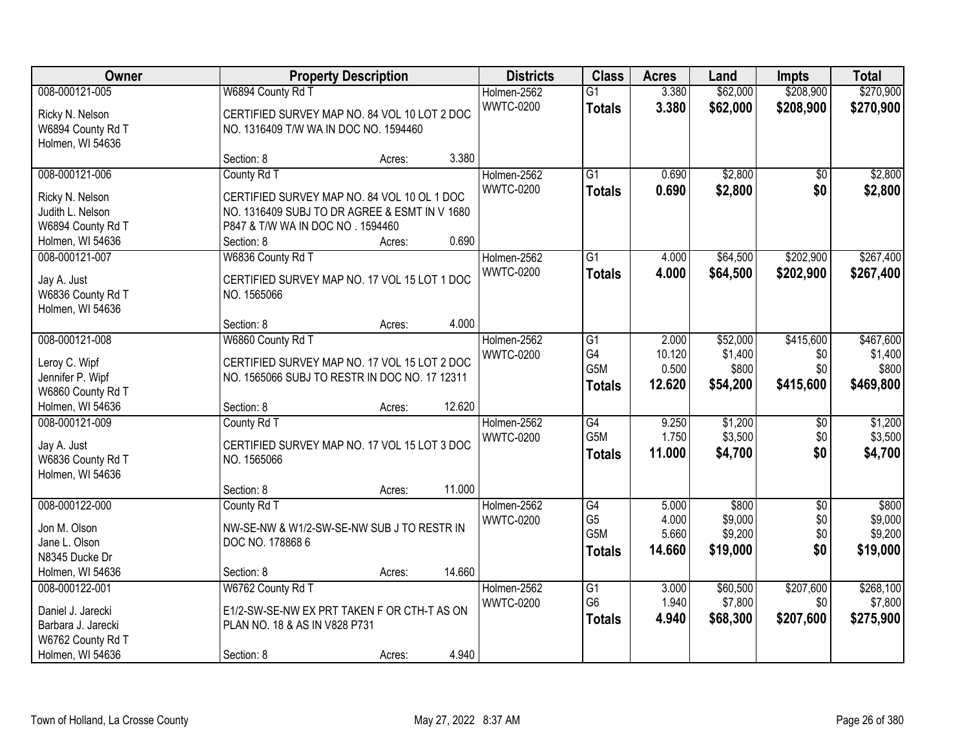| Owner              |                                               | <b>Property Description</b> |        | <b>Districts</b>                | <b>Class</b>                       | <b>Acres</b>   | Land                 | <b>Impts</b>           | <b>Total</b>           |
|--------------------|-----------------------------------------------|-----------------------------|--------|---------------------------------|------------------------------------|----------------|----------------------|------------------------|------------------------|
| 008-000121-005     | W6894 County Rd T                             |                             |        | Holmen-2562<br><b>WWTC-0200</b> | $\overline{G1}$<br><b>Totals</b>   | 3.380<br>3.380 | \$62,000<br>\$62,000 | \$208,900<br>\$208,900 | \$270,900<br>\$270,900 |
| Ricky N. Nelson    | CERTIFIED SURVEY MAP NO. 84 VOL 10 LOT 2 DOC  |                             |        |                                 |                                    |                |                      |                        |                        |
| W6894 County Rd T  | NO. 1316409 T/W WA IN DOC NO. 1594460         |                             |        |                                 |                                    |                |                      |                        |                        |
| Holmen, WI 54636   | Section: 8                                    | Acres:                      | 3.380  |                                 |                                    |                |                      |                        |                        |
| 008-000121-006     | County Rd T                                   |                             |        | Holmen-2562                     | $\overline{G1}$                    | 0.690          | \$2,800              | $\overline{50}$        | \$2,800                |
|                    |                                               |                             |        | <b>WWTC-0200</b>                | <b>Totals</b>                      | 0.690          | \$2,800              | \$0                    | \$2,800                |
| Ricky N. Nelson    | CERTIFIED SURVEY MAP NO. 84 VOL 10 OL 1 DOC   |                             |        |                                 |                                    |                |                      |                        |                        |
| Judith L. Nelson   | NO. 1316409 SUBJ TO DR AGREE & ESMT IN V 1680 |                             |        |                                 |                                    |                |                      |                        |                        |
| W6894 County Rd T  | P847 & T/W WA IN DOC NO . 1594460             |                             |        |                                 |                                    |                |                      |                        |                        |
| Holmen, WI 54636   | Section: 8                                    | Acres:                      | 0.690  |                                 |                                    |                |                      |                        |                        |
| 008-000121-007     | W6836 County Rd T                             |                             |        | Holmen-2562                     | G1                                 | 4.000          | \$64,500             | \$202,900              | \$267,400              |
| Jay A. Just        | CERTIFIED SURVEY MAP NO. 17 VOL 15 LOT 1 DOC  |                             |        | <b>WWTC-0200</b>                | <b>Totals</b>                      | 4.000          | \$64,500             | \$202,900              | \$267,400              |
| W6836 County Rd T  | NO. 1565066                                   |                             |        |                                 |                                    |                |                      |                        |                        |
| Holmen, WI 54636   |                                               |                             |        |                                 |                                    |                |                      |                        |                        |
|                    | Section: 8                                    | Acres:                      | 4.000  |                                 |                                    |                |                      |                        |                        |
| 008-000121-008     | W6860 County Rd T                             |                             |        | Holmen-2562                     | $\overline{G1}$                    | 2.000          | \$52,000             | \$415,600              | \$467,600              |
| Leroy C. Wipf      | CERTIFIED SURVEY MAP NO. 17 VOL 15 LOT 2 DOC  |                             |        | <b>WWTC-0200</b>                | G4                                 | 10.120         | \$1,400              | \$0                    | \$1,400                |
| Jennifer P. Wipf   | NO. 1565066 SUBJ TO RESTR IN DOC NO. 17 12311 |                             |        |                                 | G5M                                | 0.500          | \$800                | \$0                    | \$800                  |
| W6860 County Rd T  |                                               |                             |        |                                 | <b>Totals</b>                      | 12.620         | \$54,200             | \$415,600              | \$469,800              |
| Holmen, WI 54636   | Section: 8                                    | Acres:                      | 12.620 |                                 |                                    |                |                      |                        |                        |
| 008-000121-009     | County Rd T                                   |                             |        | Holmen-2562                     | $\overline{G4}$                    | 9.250          | \$1,200              | \$0                    | \$1,200                |
|                    |                                               |                             |        | <b>WWTC-0200</b>                | G <sub>5</sub> M                   | 1.750          | \$3,500              | \$0                    | \$3,500                |
| Jay A. Just        | CERTIFIED SURVEY MAP NO. 17 VOL 15 LOT 3 DOC  |                             |        |                                 | <b>Totals</b>                      | 11.000         | \$4,700              | \$0                    | \$4,700                |
| W6836 County Rd T  | NO. 1565066                                   |                             |        |                                 |                                    |                |                      |                        |                        |
| Holmen, WI 54636   |                                               |                             |        |                                 |                                    |                |                      |                        |                        |
|                    | Section: 8                                    | Acres:                      | 11.000 |                                 |                                    |                |                      |                        |                        |
| 008-000122-000     | County Rd T                                   |                             |        | Holmen-2562                     | G4                                 | 5.000          | \$800                | $\sqrt{6}$             | \$800                  |
| Jon M. Olson       | NW-SE-NW & W1/2-SW-SE-NW SUB J TO RESTR IN    |                             |        | <b>WWTC-0200</b>                | G <sub>5</sub><br>G <sub>5</sub> M | 4.000          | \$9,000              | \$0                    | \$9,000                |
| Jane L. Olson      | DOC NO. 178868 6                              |                             |        |                                 |                                    | 5.660          | \$9,200              | \$0                    | \$9,200                |
| N8345 Ducke Dr     |                                               |                             |        |                                 | <b>Totals</b>                      | 14.660         | \$19,000             | \$0                    | \$19,000               |
| Holmen, WI 54636   | Section: 8                                    | Acres:                      | 14.660 |                                 |                                    |                |                      |                        |                        |
| 008-000122-001     | W6762 County Rd T                             |                             |        | Holmen-2562                     | $\overline{G1}$                    | 3.000          | \$60,500             | \$207,600              | \$268,100              |
| Daniel J. Jarecki  | E1/2-SW-SE-NW EX PRT TAKEN F OR CTH-T AS ON   |                             |        | <b>WWTC-0200</b>                | G <sub>6</sub>                     | 1.940          | \$7,800              | \$0                    | \$7,800                |
| Barbara J. Jarecki | PLAN NO. 18 & AS IN V828 P731                 |                             |        |                                 | <b>Totals</b>                      | 4.940          | \$68,300             | \$207,600              | \$275,900              |
| W6762 County Rd T  |                                               |                             |        |                                 |                                    |                |                      |                        |                        |
| Holmen, WI 54636   | Section: 8                                    | Acres:                      | 4.940  |                                 |                                    |                |                      |                        |                        |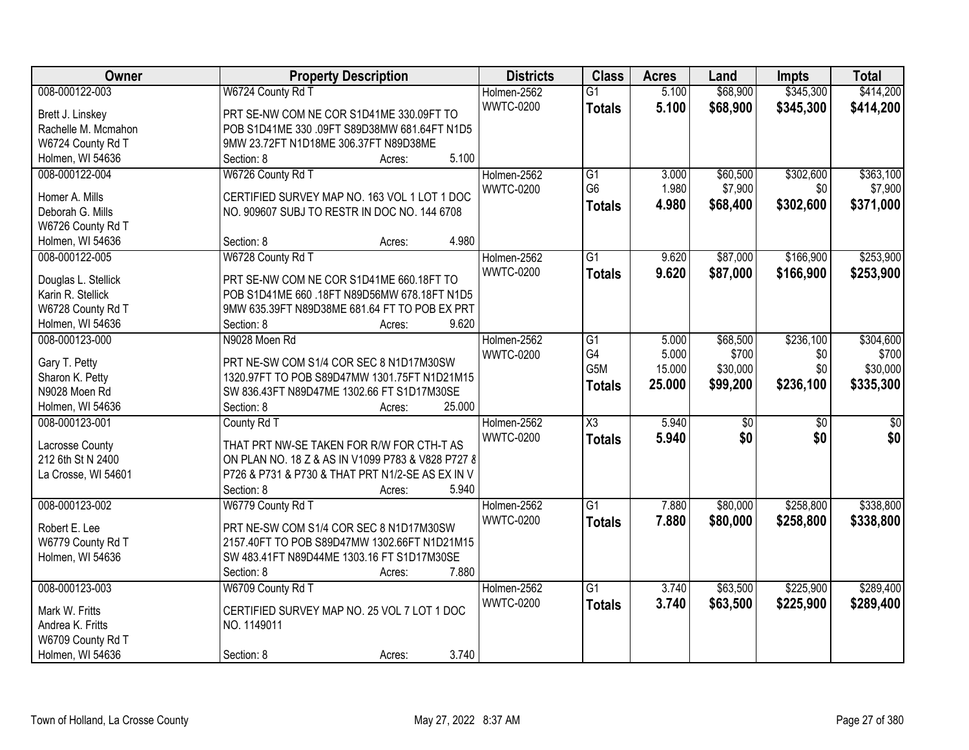| Owner               | <b>Property Description</b>                       | <b>Districts</b> | <b>Class</b>           | <b>Acres</b> | Land     | <b>Impts</b>    | <b>Total</b> |
|---------------------|---------------------------------------------------|------------------|------------------------|--------------|----------|-----------------|--------------|
| 008-000122-003      | W6724 County Rd T                                 | Holmen-2562      | $\overline{G1}$        | 5.100        | \$68,900 | \$345,300       | \$414,200    |
| Brett J. Linskey    | PRT SE-NW COM NE COR S1D41ME 330.09FT TO          | <b>WWTC-0200</b> | <b>Totals</b>          | 5.100        | \$68,900 | \$345,300       | \$414,200    |
| Rachelle M. Mcmahon | POB S1D41ME 330 .09FT S89D38MW 681.64FT N1D5      |                  |                        |              |          |                 |              |
| W6724 County Rd T   | 9MW 23.72FT N1D18ME 306.37FT N89D38ME             |                  |                        |              |          |                 |              |
| Holmen, WI 54636    | 5.100<br>Section: 8<br>Acres:                     |                  |                        |              |          |                 |              |
| 008-000122-004      | W6726 County Rd T                                 | Holmen-2562      | $\overline{G1}$        | 3.000        | \$60,500 | \$302,600       | \$363,100    |
| Homer A. Mills      | CERTIFIED SURVEY MAP NO. 163 VOL 1 LOT 1 DOC      | <b>WWTC-0200</b> | G <sub>6</sub>         | 1.980        | \$7,900  | \$0             | \$7,900      |
| Deborah G. Mills    | NO. 909607 SUBJ TO RESTR IN DOC NO. 144 6708      |                  | <b>Totals</b>          | 4.980        | \$68,400 | \$302,600       | \$371,000    |
| W6726 County Rd T   |                                                   |                  |                        |              |          |                 |              |
| Holmen, WI 54636    | 4.980<br>Section: 8<br>Acres:                     |                  |                        |              |          |                 |              |
| 008-000122-005      | W6728 County Rd T                                 | Holmen-2562      | G1                     | 9.620        | \$87,000 | \$166,900       | \$253,900    |
|                     |                                                   | <b>WWTC-0200</b> | <b>Totals</b>          | 9.620        | \$87,000 | \$166,900       | \$253,900    |
| Douglas L. Stellick | PRT SE-NW COM NE COR S1D41ME 660.18FT TO          |                  |                        |              |          |                 |              |
| Karin R. Stellick   | POB S1D41ME 660 .18FT N89D56MW 678.18FT N1D5      |                  |                        |              |          |                 |              |
| W6728 County Rd T   | 9MW 635.39FT N89D38ME 681.64 FT TO POB EX PRT     |                  |                        |              |          |                 |              |
| Holmen, WI 54636    | Section: 8<br>9.620<br>Acres:                     |                  |                        |              |          |                 |              |
| 008-000123-000      | N9028 Moen Rd                                     | Holmen-2562      | $\overline{G1}$        | 5.000        | \$68,500 | \$236,100       | \$304,600    |
| Gary T. Petty       | PRT NE-SW COM S1/4 COR SEC 8 N1D17M30SW           | <b>WWTC-0200</b> | G4                     | 5.000        | \$700    | \$0             | \$700        |
| Sharon K. Petty     | 1320.97FT TO POB S89D47MW 1301.75FT N1D21M15      |                  | G5M                    | 15.000       | \$30,000 | \$0             | \$30,000     |
| N9028 Moen Rd       | SW 836.43FT N89D47ME 1302.66 FT S1D17M30SE        |                  | <b>Totals</b>          | 25.000       | \$99,200 | \$236,100       | \$335,300    |
| Holmen, WI 54636    | 25.000<br>Section: 8<br>Acres:                    |                  |                        |              |          |                 |              |
| 008-000123-001      | County Rd T                                       | Holmen-2562      | $\overline{\text{X3}}$ | 5.940        | \$0      | $\overline{50}$ | \$0          |
|                     |                                                   | <b>WWTC-0200</b> | <b>Totals</b>          | 5.940        | \$0      | \$0             | \$0          |
| Lacrosse County     | THAT PRT NW-SE TAKEN FOR R/W FOR CTH-T AS         |                  |                        |              |          |                 |              |
| 212 6th St N 2400   | ON PLAN NO. 18 Z & AS IN V1099 P783 & V828 P727 8 |                  |                        |              |          |                 |              |
| La Crosse, WI 54601 | P726 & P731 & P730 & THAT PRT N1/2-SE AS EX IN V  |                  |                        |              |          |                 |              |
|                     | 5.940<br>Section: 8<br>Acres:                     |                  |                        |              |          |                 |              |
| 008-000123-002      | W6779 County Rd T                                 | Holmen-2562      | $\overline{G1}$        | 7.880        | \$80,000 | \$258,800       | \$338,800    |
| Robert E. Lee       | PRT NE-SW COM S1/4 COR SEC 8 N1D17M30SW           | <b>WWTC-0200</b> | <b>Totals</b>          | 7.880        | \$80,000 | \$258,800       | \$338,800    |
| W6779 County Rd T   | 2157.40FT TO POB S89D47MW 1302.66FT N1D21M15      |                  |                        |              |          |                 |              |
| Holmen, WI 54636    | SW 483.41FT N89D44ME 1303.16 FT S1D17M30SE        |                  |                        |              |          |                 |              |
|                     | 7.880<br>Section: 8<br>Acres:                     |                  |                        |              |          |                 |              |
| 008-000123-003      | W6709 County Rd T                                 | Holmen-2562      | $\overline{G1}$        | 3.740        | \$63,500 | \$225,900       | \$289,400    |
|                     |                                                   | <b>WWTC-0200</b> | <b>Totals</b>          | 3.740        | \$63,500 | \$225,900       | \$289,400    |
| Mark W. Fritts      | CERTIFIED SURVEY MAP NO. 25 VOL 7 LOT 1 DOC       |                  |                        |              |          |                 |              |
| Andrea K. Fritts    | NO. 1149011                                       |                  |                        |              |          |                 |              |
| W6709 County Rd T   |                                                   |                  |                        |              |          |                 |              |
| Holmen, WI 54636    | 3.740<br>Section: 8<br>Acres:                     |                  |                        |              |          |                 |              |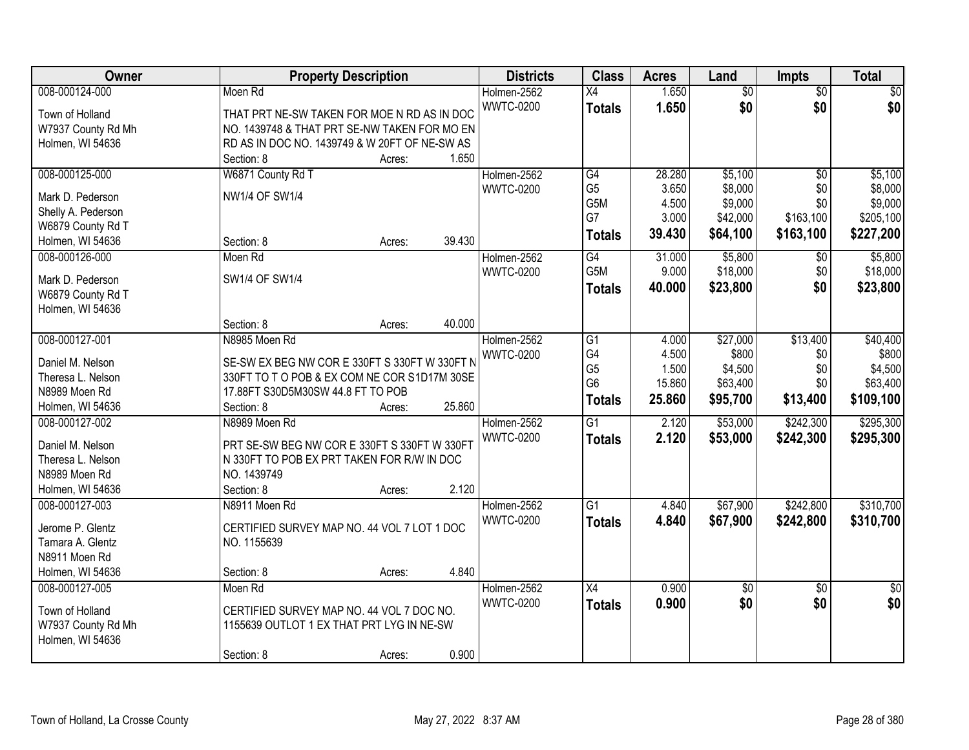| Owner                                 | <b>Property Description</b>                   |        |        | <b>Districts</b> | <b>Class</b>    | <b>Acres</b> | Land            | <b>Impts</b>    | <b>Total</b>    |
|---------------------------------------|-----------------------------------------------|--------|--------|------------------|-----------------|--------------|-----------------|-----------------|-----------------|
| 008-000124-000                        | Moen Rd                                       |        |        | Holmen-2562      | $\overline{X4}$ | 1.650        | $\overline{50}$ | $\overline{50}$ | \$0             |
| Town of Holland                       | THAT PRT NE-SW TAKEN FOR MOE N RD AS IN DOC   |        |        | <b>WWTC-0200</b> | <b>Totals</b>   | 1.650        | \$0             | \$0             | \$0             |
| W7937 County Rd Mh                    | NO. 1439748 & THAT PRT SE-NW TAKEN FOR MO EN  |        |        |                  |                 |              |                 |                 |                 |
| Holmen, WI 54636                      | RD AS IN DOC NO. 1439749 & W 20FT OF NE-SW AS |        |        |                  |                 |              |                 |                 |                 |
|                                       | Section: 8                                    | Acres: | 1.650  |                  |                 |              |                 |                 |                 |
| 008-000125-000                        | W6871 County Rd T                             |        |        | Holmen-2562      | G4              | 28.280       | \$5,100         | $\overline{50}$ | \$5,100         |
|                                       | <b>NW1/4 OF SW1/4</b>                         |        |        | <b>WWTC-0200</b> | G <sub>5</sub>  | 3.650        | \$8,000         | \$0             | \$8,000         |
| Mark D. Pederson                      |                                               |        |        |                  | G5M             | 4.500        | \$9,000         | \$0             | \$9,000         |
| Shelly A. Pederson                    |                                               |        |        |                  | G7              | 3.000        | \$42,000        | \$163,100       | \$205,100       |
| W6879 County Rd T<br>Holmen, WI 54636 | Section: 8                                    | Acres: | 39.430 |                  | <b>Totals</b>   | 39.430       | \$64,100        | \$163,100       | \$227,200       |
| 008-000126-000                        | Moen Rd                                       |        |        | Holmen-2562      | G4              | 31.000       | \$5,800         |                 | \$5,800         |
|                                       |                                               |        |        | <b>WWTC-0200</b> | G5M             | 9.000        | \$18,000        | \$0<br>\$0      | \$18,000        |
| Mark D. Pederson                      | SW1/4 OF SW1/4                                |        |        |                  |                 | 40.000       |                 | \$0             |                 |
| W6879 County Rd T                     |                                               |        |        |                  | <b>Totals</b>   |              | \$23,800        |                 | \$23,800        |
| Holmen, WI 54636                      |                                               |        |        |                  |                 |              |                 |                 |                 |
|                                       | Section: 8                                    | Acres: | 40.000 |                  |                 |              |                 |                 |                 |
| 008-000127-001                        | N8985 Moen Rd                                 |        |        | Holmen-2562      | G1              | 4.000        | \$27,000        | \$13,400        | \$40,400        |
| Daniel M. Nelson                      | SE-SW EX BEG NW COR E 330FT S 330FT W 330FT N |        |        | <b>WWTC-0200</b> | G4              | 4.500        | \$800           | \$0             | \$800           |
| Theresa L. Nelson                     | 330FT TO T O POB & EX COM NE COR S1D17M 30SE  |        |        |                  | G <sub>5</sub>  | 1.500        | \$4,500         | \$0             | \$4,500         |
| N8989 Moen Rd                         | 17.88FT S30D5M30SW 44.8 FT TO POB             |        |        |                  | G <sub>6</sub>  | 15.860       | \$63,400        | \$0             | \$63,400        |
| Holmen, WI 54636                      | Section: 8                                    | Acres: | 25.860 |                  | <b>Totals</b>   | 25.860       | \$95,700        | \$13,400        | \$109,100       |
| 008-000127-002                        | N8989 Moen Rd                                 |        |        | Holmen-2562      | $\overline{G1}$ | 2.120        | \$53,000        | \$242,300       | \$295,300       |
|                                       |                                               |        |        | <b>WWTC-0200</b> | <b>Totals</b>   | 2.120        | \$53,000        | \$242,300       | \$295,300       |
| Daniel M. Nelson                      | PRT SE-SW BEG NW COR E 330FT S 330FT W 330FT  |        |        |                  |                 |              |                 |                 |                 |
| Theresa L. Nelson                     | N 330FT TO POB EX PRT TAKEN FOR R/W IN DOC    |        |        |                  |                 |              |                 |                 |                 |
| N8989 Moen Rd                         | NO. 1439749                                   |        |        |                  |                 |              |                 |                 |                 |
| Holmen, WI 54636                      | Section: 8                                    | Acres: | 2.120  |                  |                 |              |                 |                 |                 |
| 008-000127-003                        | N8911 Moen Rd                                 |        |        | Holmen-2562      | G1              | 4.840        | \$67,900        | \$242,800       | \$310,700       |
| Jerome P. Glentz                      | CERTIFIED SURVEY MAP NO. 44 VOL 7 LOT 1 DOC   |        |        | <b>WWTC-0200</b> | <b>Totals</b>   | 4.840        | \$67,900        | \$242,800       | \$310,700       |
| Tamara A. Glentz                      | NO. 1155639                                   |        |        |                  |                 |              |                 |                 |                 |
| N8911 Moen Rd                         |                                               |        |        |                  |                 |              |                 |                 |                 |
| Holmen, WI 54636                      | Section: 8                                    | Acres: | 4.840  |                  |                 |              |                 |                 |                 |
| 008-000127-005                        | Moen Rd                                       |        |        | Holmen-2562      | $\overline{X4}$ | 0.900        | $\overline{50}$ | $\overline{30}$ | $\overline{30}$ |
|                                       |                                               |        |        | <b>WWTC-0200</b> | <b>Totals</b>   | 0.900        | \$0             | \$0             | \$0             |
| Town of Holland                       | CERTIFIED SURVEY MAP NO. 44 VOL 7 DOC NO.     |        |        |                  |                 |              |                 |                 |                 |
| W7937 County Rd Mh                    | 1155639 OUTLOT 1 EX THAT PRT LYG IN NE-SW     |        |        |                  |                 |              |                 |                 |                 |
| Holmen, WI 54636                      |                                               |        |        |                  |                 |              |                 |                 |                 |
|                                       | Section: 8                                    | Acres: | 0.900  |                  |                 |              |                 |                 |                 |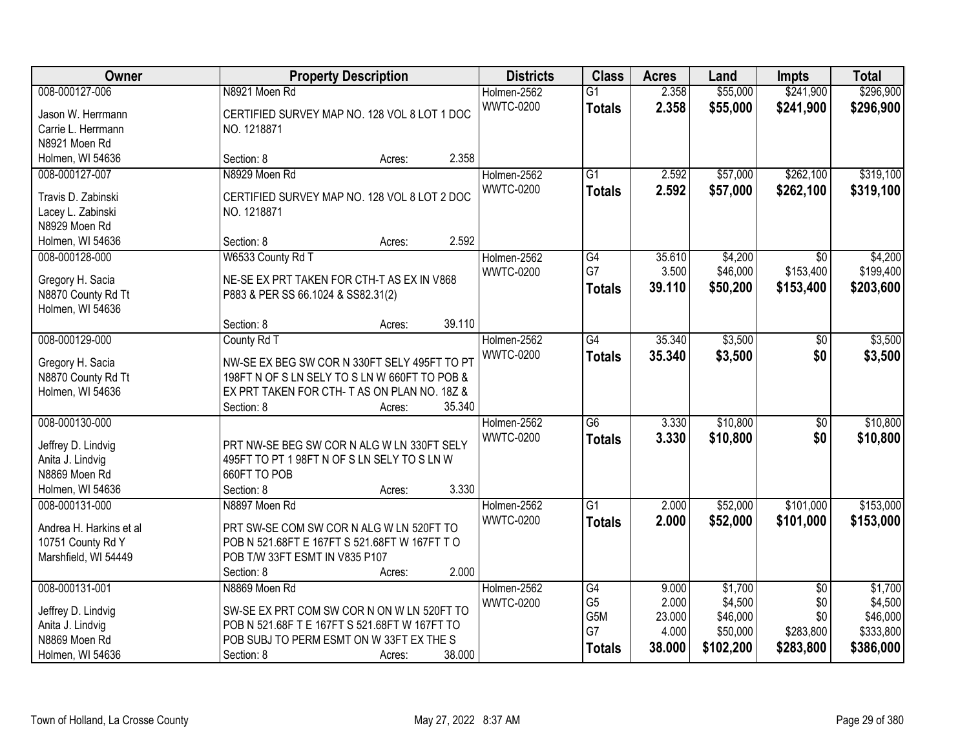| Owner                   | <b>Property Description</b>                   | <b>Districts</b>                | <b>Class</b>         | <b>Acres</b>   | Land               | <b>Impts</b>           | <b>Total</b>       |
|-------------------------|-----------------------------------------------|---------------------------------|----------------------|----------------|--------------------|------------------------|--------------------|
| 008-000127-006          | N8921 Moen Rd                                 | Holmen-2562                     | $\overline{G1}$      | 2.358          | \$55,000           | \$241,900              | \$296,900          |
| Jason W. Herrmann       | CERTIFIED SURVEY MAP NO. 128 VOL 8 LOT 1 DOC  | <b>WWTC-0200</b>                | <b>Totals</b>        | 2.358          | \$55,000           | \$241,900              | \$296,900          |
| Carrie L. Herrmann      | NO. 1218871                                   |                                 |                      |                |                    |                        |                    |
| N8921 Moen Rd           |                                               |                                 |                      |                |                    |                        |                    |
| Holmen, WI 54636        | 2.358<br>Section: 8<br>Acres:                 |                                 |                      |                |                    |                        |                    |
| 008-000127-007          | N8929 Moen Rd                                 | Holmen-2562                     | $\overline{G1}$      | 2.592          | \$57,000           | \$262,100              | \$319,100          |
| Travis D. Zabinski      | CERTIFIED SURVEY MAP NO. 128 VOL 8 LOT 2 DOC  | <b>WWTC-0200</b>                | <b>Totals</b>        | 2.592          | \$57,000           | \$262,100              | \$319,100          |
| Lacey L. Zabinski       | NO. 1218871                                   |                                 |                      |                |                    |                        |                    |
| N8929 Moen Rd           |                                               |                                 |                      |                |                    |                        |                    |
| Holmen, WI 54636        | 2.592<br>Section: 8<br>Acres:                 |                                 |                      |                |                    |                        |                    |
| 008-000128-000          | W6533 County Rd T                             | Holmen-2562                     | $\overline{G4}$      | 35.610         | \$4,200            | $\overline{30}$        | \$4,200            |
|                         |                                               | <b>WWTC-0200</b>                | G7                   | 3.500          | \$46,000           | \$153,400              | \$199,400          |
| Gregory H. Sacia        | NE-SE EX PRT TAKEN FOR CTH-T AS EX IN V868    |                                 | <b>Totals</b>        | 39.110         | \$50,200           | \$153,400              | \$203,600          |
| N8870 County Rd Tt      | P883 & PER SS 66.1024 & SS82.31(2)            |                                 |                      |                |                    |                        |                    |
| Holmen, WI 54636        |                                               |                                 |                      |                |                    |                        |                    |
|                         | 39.110<br>Section: 8<br>Acres:                |                                 |                      |                |                    |                        |                    |
| 008-000129-000          | County Rd T                                   | Holmen-2562                     | $\overline{G4}$      | 35.340         | \$3,500            | \$0                    | \$3,500            |
| Gregory H. Sacia        | NW-SE EX BEG SW COR N 330FT SELY 495FT TO PT  | <b>WWTC-0200</b>                | <b>Totals</b>        | 35.340         | \$3,500            | \$0                    | \$3,500            |
| N8870 County Rd Tt      | 198FT N OF S LN SELY TO S LN W 660FT TO POB & |                                 |                      |                |                    |                        |                    |
| Holmen, WI 54636        | EX PRT TAKEN FOR CTH- T AS ON PLAN NO. 18Z &  |                                 |                      |                |                    |                        |                    |
|                         | 35.340<br>Section: 8<br>Acres:                |                                 |                      |                |                    |                        |                    |
| 008-000130-000          |                                               | Holmen-2562                     | $\overline{G6}$      | 3.330          | \$10,800           | $\overline{50}$        | \$10,800           |
| Jeffrey D. Lindvig      | PRT NW-SE BEG SW COR N ALG W LN 330FT SELY    | <b>WWTC-0200</b>                | <b>Totals</b>        | 3.330          | \$10,800           | \$0                    | \$10,800           |
| Anita J. Lindvig        | 495FT TO PT 1 98FT N OF S LN SELY TO S LN W   |                                 |                      |                |                    |                        |                    |
| N8869 Moen Rd           | 660FT TO POB                                  |                                 |                      |                |                    |                        |                    |
| Holmen, WI 54636        | 3.330<br>Section: 8<br>Acres:                 |                                 |                      |                |                    |                        |                    |
| 008-000131-000          | N8897 Moen Rd                                 | Holmen-2562                     | $\overline{G1}$      | 2.000          | \$52,000           | \$101,000              | \$153,000          |
|                         |                                               | <b>WWTC-0200</b>                | <b>Totals</b>        | 2.000          | \$52,000           | \$101,000              | \$153,000          |
| Andrea H. Harkins et al | PRT SW-SE COM SW COR N ALG W LN 520FT TO      |                                 |                      |                |                    |                        |                    |
| 10751 County Rd Y       | POB N 521.68FT E 167FT S 521.68FT W 167FT T O |                                 |                      |                |                    |                        |                    |
| Marshfield, WI 54449    | POB T/W 33FT ESMT IN V835 P107<br>2.000       |                                 |                      |                |                    |                        |                    |
| 008-000131-001          | Section: 8<br>Acres:<br>N8869 Moen Rd         |                                 |                      |                |                    |                        |                    |
|                         |                                               | Holmen-2562<br><b>WWTC-0200</b> | G4<br>G <sub>5</sub> | 9.000<br>2.000 | \$1,700<br>\$4,500 | $\overline{50}$<br>\$0 | \$1,700<br>\$4,500 |
| Jeffrey D. Lindvig      | SW-SE EX PRT COM SW COR N ON W LN 520FT TO    |                                 | G5M                  | 23.000         | \$46,000           | \$0                    | \$46,000           |
| Anita J. Lindvig        | POB N 521.68F T E 167FT S 521.68FT W 167FT TO |                                 | G7                   | 4.000          | \$50,000           | \$283,800              | \$333,800          |
| N8869 Moen Rd           | POB SUBJ TO PERM ESMT ON W 33FT EX THE S      |                                 | <b>Totals</b>        | 38.000         | \$102,200          | \$283,800              | \$386,000          |
| Holmen, WI 54636        | 38.000<br>Section: 8<br>Acres:                |                                 |                      |                |                    |                        |                    |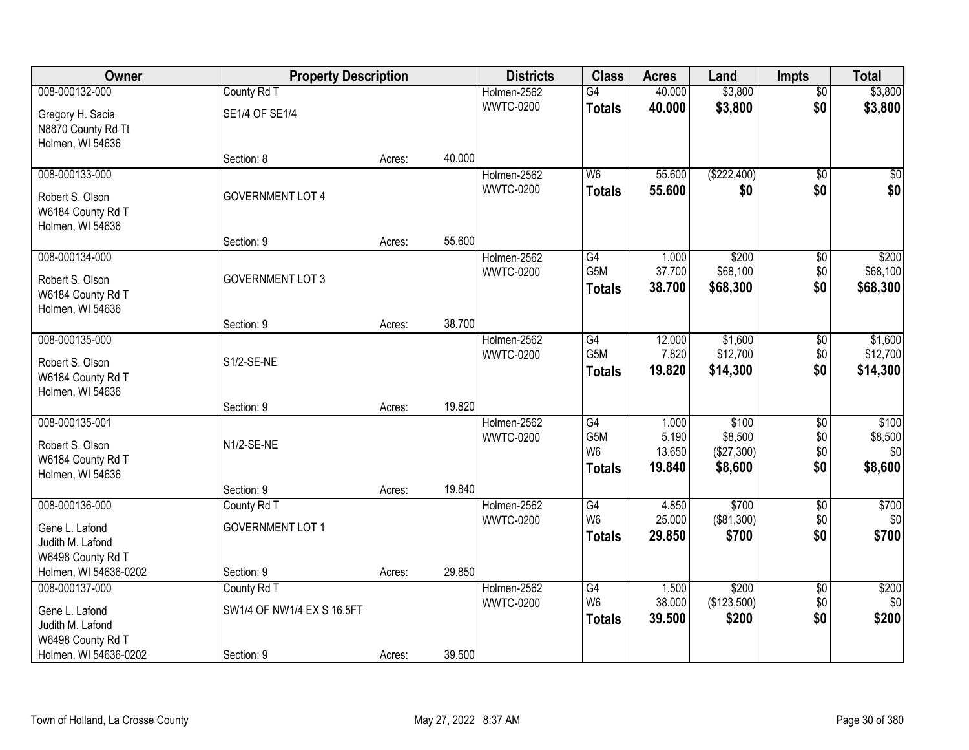| Owner                                                                                              | <b>Property Description</b>                             |        |        | <b>Districts</b>                | <b>Class</b>                                              | <b>Acres</b>                       | Land                                      | <b>Impts</b>                  | <b>Total</b>                       |
|----------------------------------------------------------------------------------------------------|---------------------------------------------------------|--------|--------|---------------------------------|-----------------------------------------------------------|------------------------------------|-------------------------------------------|-------------------------------|------------------------------------|
| 008-000132-000                                                                                     | County Rd T                                             |        |        | Holmen-2562                     | $\overline{G4}$                                           | 40.000                             | \$3,800                                   | $\overline{50}$               | \$3,800                            |
| Gregory H. Sacia<br>N8870 County Rd Tt<br>Holmen, WI 54636                                         | SE1/4 OF SE1/4                                          |        |        | <b>WWTC-0200</b>                | <b>Totals</b>                                             | 40.000                             | \$3,800                                   | \$0                           | \$3,800                            |
|                                                                                                    | Section: 8                                              | Acres: | 40.000 |                                 |                                                           |                                    |                                           |                               |                                    |
| 008-000133-000<br>Robert S. Olson<br>W6184 County Rd T<br>Holmen, WI 54636                         | <b>GOVERNMENT LOT 4</b>                                 |        |        | Holmen-2562<br><b>WWTC-0200</b> | W <sub>6</sub><br><b>Totals</b>                           | 55.600<br>55.600                   | (\$222,400)<br>\$0                        | $\overline{50}$<br>\$0        | \$0<br>\$0                         |
| 008-000134-000                                                                                     | Section: 9                                              | Acres: | 55.600 | Holmen-2562                     | G4                                                        | 1.000                              | \$200                                     | \$0                           | \$200                              |
| Robert S. Olson<br>W6184 County Rd T<br>Holmen, WI 54636                                           | <b>GOVERNMENT LOT 3</b>                                 |        |        | <b>WWTC-0200</b>                | G5M<br><b>Totals</b>                                      | 37.700<br>38.700                   | \$68,100<br>\$68,300                      | \$0<br>\$0                    | \$68,100<br>\$68,300               |
|                                                                                                    | Section: 9                                              | Acres: | 38.700 |                                 |                                                           |                                    |                                           |                               |                                    |
| 008-000135-000<br>Robert S. Olson<br>W6184 County Rd T<br>Holmen, WI 54636                         | S1/2-SE-NE                                              |        |        | Holmen-2562<br><b>WWTC-0200</b> | $\overline{G4}$<br>G5M<br><b>Totals</b>                   | 12.000<br>7.820<br>19.820          | \$1,600<br>\$12,700<br>\$14,300           | \$0<br>\$0<br>\$0             | \$1,600<br>\$12,700<br>\$14,300    |
|                                                                                                    | Section: 9                                              | Acres: | 19.820 |                                 |                                                           |                                    |                                           |                               |                                    |
| 008-000135-001<br>Robert S. Olson<br>W6184 County Rd T<br>Holmen, WI 54636                         | N1/2-SE-NE                                              |        |        | Holmen-2562<br><b>WWTC-0200</b> | $\overline{G4}$<br>G5M<br>W <sub>6</sub><br><b>Totals</b> | 1.000<br>5.190<br>13.650<br>19.840 | \$100<br>\$8,500<br>(\$27,300)<br>\$8,600 | \$0<br>\$0<br>\$0<br>\$0      | \$100<br>\$8,500<br>\$0<br>\$8,600 |
|                                                                                                    | Section: 9                                              | Acres: | 19.840 |                                 |                                                           |                                    |                                           |                               |                                    |
| 008-000136-000<br>Gene L. Lafond<br>Judith M. Lafond<br>W6498 County Rd T                          | County Rd T<br><b>GOVERNMENT LOT 1</b>                  |        |        | Holmen-2562<br><b>WWTC-0200</b> | G4<br>W <sub>6</sub><br><b>Totals</b>                     | 4.850<br>25.000<br>29,850          | \$700<br>(\$81,300)<br>\$700              | $\sqrt{$0}$<br>\$0<br>\$0     | \$700<br>\$0 <sub>1</sub><br>\$700 |
| Holmen, WI 54636-0202                                                                              | Section: 9                                              | Acres: | 29.850 |                                 |                                                           |                                    |                                           |                               |                                    |
| 008-000137-000<br>Gene L. Lafond<br>Judith M. Lafond<br>W6498 County Rd T<br>Holmen, WI 54636-0202 | County Rd T<br>SW1/4 OF NW1/4 EX S 16.5FT<br>Section: 9 | Acres: | 39.500 | Holmen-2562<br><b>WWTC-0200</b> | G4<br>W <sub>6</sub><br><b>Totals</b>                     | 1.500<br>38.000<br>39.500          | \$200<br>(\$123,500)<br>\$200             | $\overline{50}$<br>\$0<br>\$0 | \$200<br>\$0<br>\$200              |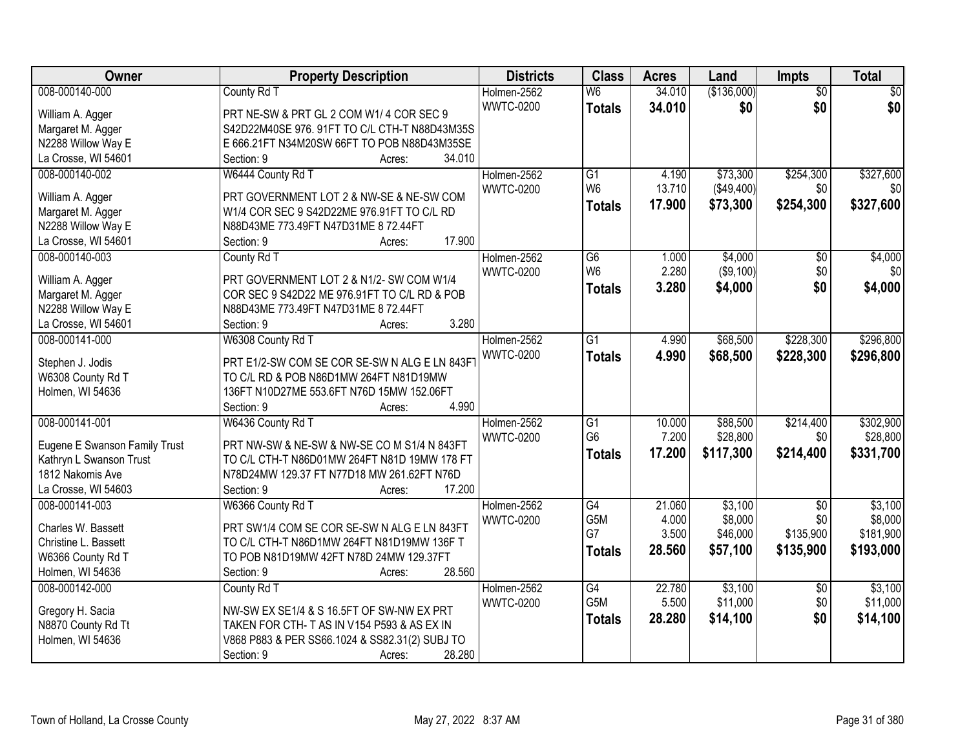| Owner                         | <b>Property Description</b>                    | <b>Districts</b> | <b>Class</b>    | <b>Acres</b> | Land        | <b>Impts</b>    | <b>Total</b> |
|-------------------------------|------------------------------------------------|------------------|-----------------|--------------|-------------|-----------------|--------------|
| 008-000140-000                | County Rd T                                    | Holmen-2562      | W <sub>6</sub>  | 34.010       | (\$136,000) | $\overline{50}$ | $\sqrt{30}$  |
| William A. Agger              | PRT NE-SW & PRT GL 2 COM W1/4 COR SEC 9        | <b>WWTC-0200</b> | <b>Totals</b>   | 34.010       | \$0         | \$0             | \$0          |
| Margaret M. Agger             | S42D22M40SE 976. 91FT TO C/L CTH-T N88D43M35S  |                  |                 |              |             |                 |              |
| N2288 Willow Way E            | E 666.21FT N34M20SW 66FT TO POB N88D43M35SE    |                  |                 |              |             |                 |              |
| La Crosse, WI 54601           | 34.010<br>Section: 9<br>Acres:                 |                  |                 |              |             |                 |              |
| 008-000140-002                | W6444 County Rd T                              | Holmen-2562      | G1              | 4.190        | \$73,300    | \$254,300       | \$327,600    |
|                               |                                                | <b>WWTC-0200</b> | W <sub>6</sub>  | 13.710       | (\$49,400)  | \$0             | \$0          |
| William A. Agger              | PRT GOVERNMENT LOT 2 & NW-SE & NE-SW COM       |                  | <b>Totals</b>   | 17.900       | \$73,300    | \$254,300       | \$327,600    |
| Margaret M. Agger             | W1/4 COR SEC 9 S42D22ME 976.91FT TO C/L RD     |                  |                 |              |             |                 |              |
| N2288 Willow Way E            | N88D43ME 773.49FT N47D31ME 8 72.44FT           |                  |                 |              |             |                 |              |
| La Crosse, WI 54601           | 17.900<br>Section: 9<br>Acres:                 |                  |                 |              |             |                 |              |
| 008-000140-003                | County Rd T                                    | Holmen-2562      | $\overline{G6}$ | 1.000        | \$4,000     | \$0             | \$4,000      |
| William A. Agger              | PRT GOVERNMENT LOT 2 & N1/2- SW COM W1/4       | <b>WWTC-0200</b> | W <sub>6</sub>  | 2.280        | (\$9,100)   | \$0             | \$0          |
| Margaret M. Agger             | COR SEC 9 S42D22 ME 976.91FT TO C/L RD & POB   |                  | <b>Totals</b>   | 3.280        | \$4,000     | \$0             | \$4,000      |
| N2288 Willow Way E            | N88D43ME 773.49FT N47D31ME 8 72.44FT           |                  |                 |              |             |                 |              |
| La Crosse, WI 54601           | 3.280<br>Section: 9<br>Acres:                  |                  |                 |              |             |                 |              |
| 008-000141-000                | W6308 County Rd T                              | Holmen-2562      | G1              | 4.990        | \$68,500    | \$228,300       | \$296,800    |
|                               |                                                | <b>WWTC-0200</b> | <b>Totals</b>   | 4.990        | \$68,500    | \$228,300       | \$296,800    |
| Stephen J. Jodis              | PRT E1/2-SW COM SE COR SE-SW N ALG E LN 843F   |                  |                 |              |             |                 |              |
| W6308 County Rd T             | TO C/L RD & POB N86D1MW 264FT N81D19MW         |                  |                 |              |             |                 |              |
| Holmen, WI 54636              | 136FT N10D27ME 553.6FT N76D 15MW 152.06FT      |                  |                 |              |             |                 |              |
|                               | 4.990<br>Section: 9<br>Acres:                  |                  |                 |              |             |                 |              |
| 008-000141-001                | W6436 County Rd T                              | Holmen-2562      | $\overline{G1}$ | 10.000       | \$88,500    | \$214,400       | \$302,900    |
| Eugene E Swanson Family Trust | PRT NW-SW & NE-SW & NW-SE CO M S1/4 N 843FT    | <b>WWTC-0200</b> | G <sub>6</sub>  | 7.200        | \$28,800    | \$0             | \$28,800     |
| Kathryn L Swanson Trust       | TO C/L CTH-T N86D01MW 264FT N81D 19MW 178 FT   |                  | <b>Totals</b>   | 17.200       | \$117,300   | \$214,400       | \$331,700    |
| 1812 Nakomis Ave              | N78D24MW 129.37 FT N77D18 MW 261.62FT N76D     |                  |                 |              |             |                 |              |
| La Crosse, WI 54603           | 17.200<br>Section: 9<br>Acres:                 |                  |                 |              |             |                 |              |
| 008-000141-003                | W6366 County Rd T                              | Holmen-2562      | G4              | 21.060       | \$3,100     | $\overline{50}$ | \$3,100      |
|                               |                                                | <b>WWTC-0200</b> | G5M             | 4.000        | \$8,000     | \$0             | \$8,000      |
| Charles W. Bassett            | PRT SW1/4 COM SE COR SE-SW N ALG E LN 843FT    |                  | G7              | 3.500        | \$46,000    | \$135,900       | \$181,900    |
| Christine L. Bassett          | TO C/L CTH-T N86D1MW 264FT N81D19MW 136F T     |                  | <b>Totals</b>   | 28.560       | \$57,100    | \$135,900       | \$193,000    |
| W6366 County Rd T             | TO POB N81D19MW 42FT N78D 24MW 129.37FT        |                  |                 |              |             |                 |              |
| Holmen, WI 54636              | 28.560<br>Section: 9<br>Acres:                 |                  |                 |              |             |                 |              |
| 008-000142-000                | County Rd T                                    | Holmen-2562      | G4              | 22.780       | \$3,100     | $\overline{50}$ | \$3,100      |
| Gregory H. Sacia              | NW-SW EX SE1/4 & S 16.5FT OF SW-NW EX PRT      | <b>WWTC-0200</b> | G5M             | 5.500        | \$11,000    | \$0             | \$11,000     |
| N8870 County Rd Tt            | TAKEN FOR CTH- T AS IN V154 P593 & AS EX IN    |                  | <b>Totals</b>   | 28.280       | \$14,100    | \$0             | \$14,100     |
| Holmen, WI 54636              | V868 P883 & PER SS66.1024 & SS82.31(2) SUBJ TO |                  |                 |              |             |                 |              |
|                               | 28.280<br>Section: 9<br>Acres:                 |                  |                 |              |             |                 |              |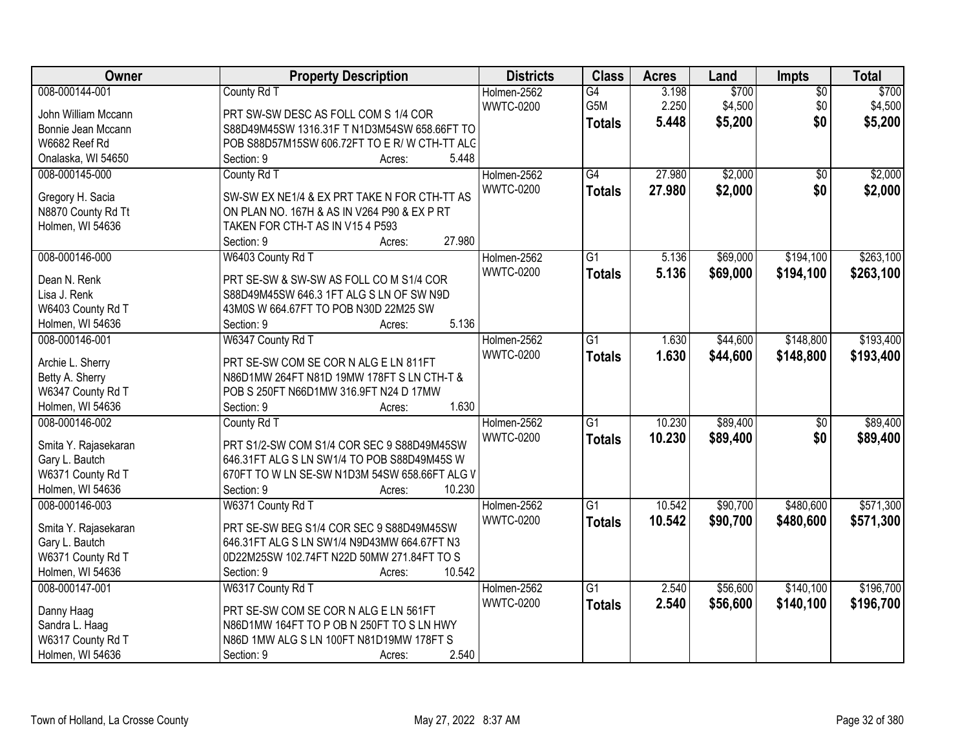| Owner                | <b>Property Description</b>                   | <b>Districts</b> | <b>Class</b>    | <b>Acres</b> | Land     | Impts           | <b>Total</b> |
|----------------------|-----------------------------------------------|------------------|-----------------|--------------|----------|-----------------|--------------|
| 008-000144-001       | County Rd T                                   | Holmen-2562      | $\overline{G4}$ | 3.198        | \$700    | $\overline{50}$ | \$700        |
| John William Mccann  | PRT SW-SW DESC AS FOLL COM S 1/4 COR          | <b>WWTC-0200</b> | G5M             | 2.250        | \$4,500  | \$0             | \$4,500      |
| Bonnie Jean Mccann   | S88D49M45SW 1316.31F T N1D3M54SW 658.66FT TO  |                  | <b>Totals</b>   | 5.448        | \$5,200  | \$0             | \$5,200      |
| W6682 Reef Rd        | POB S88D57M15SW 606.72FT TO E R/W CTH-TT ALC  |                  |                 |              |          |                 |              |
| Onalaska, WI 54650   | 5.448<br>Section: 9<br>Acres:                 |                  |                 |              |          |                 |              |
| 008-000145-000       | County Rd T                                   | Holmen-2562      | $\overline{G4}$ | 27,980       | \$2,000  | $\overline{50}$ | \$2,000      |
|                      |                                               | <b>WWTC-0200</b> | <b>Totals</b>   | 27.980       | \$2,000  | \$0             | \$2,000      |
| Gregory H. Sacia     | SW-SW EX NE1/4 & EX PRT TAKE N FOR CTH-TT AS  |                  |                 |              |          |                 |              |
| N8870 County Rd Tt   | ON PLAN NO. 167H & AS IN V264 P90 & EX P RT   |                  |                 |              |          |                 |              |
| Holmen, WI 54636     | TAKEN FOR CTH-T AS IN V15 4 P593              |                  |                 |              |          |                 |              |
|                      | 27.980<br>Section: 9<br>Acres:                |                  |                 |              |          |                 |              |
| 008-000146-000       | W6403 County Rd T                             | Holmen-2562      | $\overline{G1}$ | 5.136        | \$69,000 | \$194,100       | \$263,100    |
| Dean N. Renk         | PRT SE-SW & SW-SW AS FOLL CO M S1/4 COR       | <b>WWTC-0200</b> | <b>Totals</b>   | 5.136        | \$69,000 | \$194,100       | \$263,100    |
| Lisa J. Renk         | S88D49M45SW 646.3 1FT ALG S LN OF SW N9D      |                  |                 |              |          |                 |              |
| W6403 County Rd T    | 43M0S W 664.67FT TO POB N30D 22M25 SW         |                  |                 |              |          |                 |              |
| Holmen, WI 54636     | 5.136<br>Section: 9<br>Acres:                 |                  |                 |              |          |                 |              |
| 008-000146-001       | W6347 County Rd T                             | Holmen-2562      | G1              | 1.630        | \$44,600 | \$148,800       | \$193,400    |
|                      |                                               | <b>WWTC-0200</b> | <b>Totals</b>   | 1.630        | \$44,600 | \$148,800       | \$193,400    |
| Archie L. Sherry     | PRT SE-SW COM SE COR N ALG E LN 811FT         |                  |                 |              |          |                 |              |
| Betty A. Sherry      | N86D1MW 264FT N81D 19MW 178FT S LN CTH-T &    |                  |                 |              |          |                 |              |
| W6347 County Rd T    | POB S 250FT N66D1MW 316.9FT N24 D 17MW        |                  |                 |              |          |                 |              |
| Holmen, WI 54636     | 1.630<br>Section: 9<br>Acres:                 |                  |                 |              |          |                 |              |
| 008-000146-002       | County Rd T                                   | Holmen-2562      | $\overline{G1}$ | 10.230       | \$89,400 | $\overline{50}$ | \$89,400     |
| Smita Y. Rajasekaran | PRT S1/2-SW COM S1/4 COR SEC 9 S88D49M45SW    | <b>WWTC-0200</b> | <b>Totals</b>   | 10.230       | \$89,400 | \$0             | \$89,400     |
| Gary L. Bautch       | 646.31FT ALG S LN SW1/4 TO POB S88D49M45S W   |                  |                 |              |          |                 |              |
| W6371 County Rd T    | 670FT TO W LN SE-SW N1D3M 54SW 658.66FT ALG V |                  |                 |              |          |                 |              |
| Holmen, WI 54636     | 10.230<br>Section: 9<br>Acres:                |                  |                 |              |          |                 |              |
| 008-000146-003       | W6371 County Rd T                             | Holmen-2562      | $\overline{G1}$ | 10.542       | \$90,700 | \$480,600       | \$571,300    |
|                      |                                               | <b>WWTC-0200</b> | <b>Totals</b>   | 10.542       | \$90,700 | \$480,600       | \$571,300    |
| Smita Y. Rajasekaran | PRT SE-SW BEG S1/4 COR SEC 9 S88D49M45SW      |                  |                 |              |          |                 |              |
| Gary L. Bautch       | 646.31FT ALG S LN SW1/4 N9D43MW 664.67FT N3   |                  |                 |              |          |                 |              |
| W6371 County Rd T    | 0D22M25SW 102.74FT N22D 50MW 271.84FT TO S    |                  |                 |              |          |                 |              |
| Holmen, WI 54636     | 10.542<br>Section: 9<br>Acres:                |                  |                 |              |          |                 |              |
| 008-000147-001       | W6317 County Rd T                             | Holmen-2562      | $\overline{G1}$ | 2.540        | \$56,600 | \$140,100       | \$196,700    |
| Danny Haag           | PRT SE-SW COM SE COR N ALG E LN 561FT         | <b>WWTC-0200</b> | <b>Totals</b>   | 2.540        | \$56,600 | \$140,100       | \$196,700    |
| Sandra L. Haag       | N86D1MW 164FT TO P OB N 250FT TO S LN HWY     |                  |                 |              |          |                 |              |
| W6317 County Rd T    | N86D 1MW ALG S LN 100FT N81D19MW 178FT S      |                  |                 |              |          |                 |              |
| Holmen, WI 54636     | 2.540<br>Section: 9<br>Acres:                 |                  |                 |              |          |                 |              |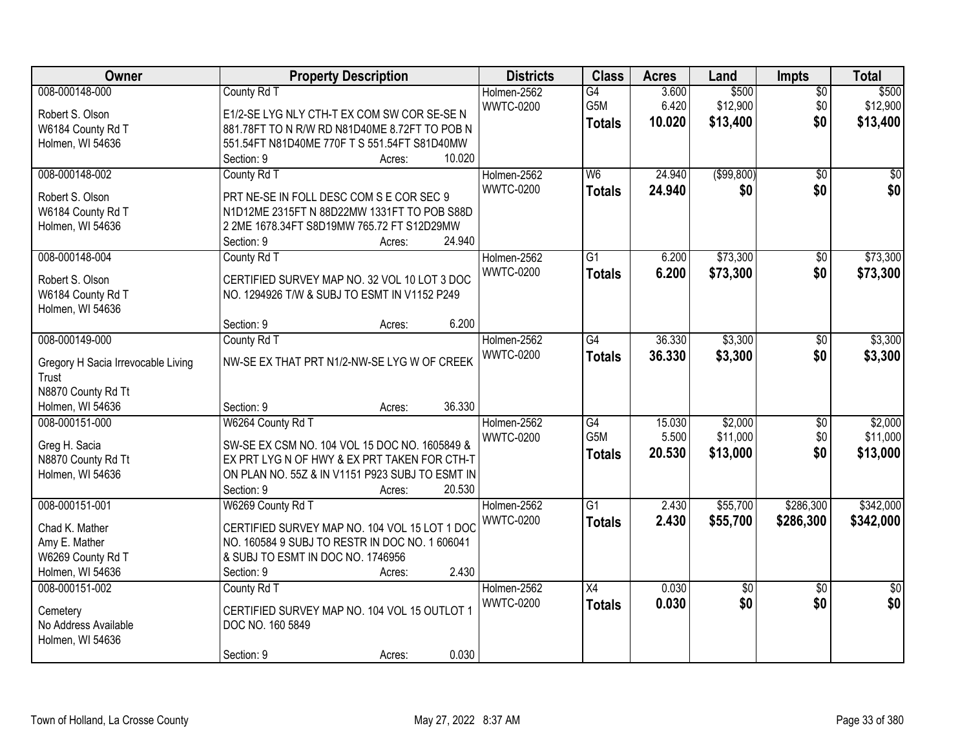| Owner                              | <b>Property Description</b>                                                               | <b>Districts</b> | <b>Class</b>             | <b>Acres</b> | Land            | Impts           | <b>Total</b>    |
|------------------------------------|-------------------------------------------------------------------------------------------|------------------|--------------------------|--------------|-----------------|-----------------|-----------------|
| 008-000148-000                     | County Rd T                                                                               | Holmen-2562      | G4                       | 3.600        | \$500           | $\overline{50}$ | \$500           |
| Robert S. Olson                    | E1/2-SE LYG NLY CTH-T EX COM SW COR SE-SE N                                               | <b>WWTC-0200</b> | G5M                      | 6.420        | \$12,900        | \$0             | \$12,900        |
| W6184 County Rd T                  | 881.78FT TO N R/W RD N81D40ME 8.72FT TO POB N                                             |                  | <b>Totals</b>            | 10.020       | \$13,400        | \$0             | \$13,400        |
| Holmen, WI 54636                   | 551.54FT N81D40ME 770F T S 551.54FT S81D40MW                                              |                  |                          |              |                 |                 |                 |
|                                    | 10.020<br>Section: 9<br>Acres:                                                            |                  |                          |              |                 |                 |                 |
| 008-000148-002                     | County Rd T                                                                               | Holmen-2562      | $\overline{\mathsf{W6}}$ | 24.940       | (\$99,800)      | $\overline{30}$ | $\overline{50}$ |
|                                    |                                                                                           | <b>WWTC-0200</b> | <b>Totals</b>            | 24.940       | \$0             | \$0             | \$0             |
| Robert S. Olson                    | PRT NE-SE IN FOLL DESC COM S E COR SEC 9                                                  |                  |                          |              |                 |                 |                 |
| W6184 County Rd T                  | N1D12ME 2315FT N 88D22MW 1331FT TO POB S88D<br>2 2ME 1678.34FT S8D19MW 765.72 FT S12D29MW |                  |                          |              |                 |                 |                 |
| Holmen, WI 54636                   | 24.940<br>Section: 9                                                                      |                  |                          |              |                 |                 |                 |
| 008-000148-004                     | Acres:<br>County Rd T                                                                     | Holmen-2562      | G1                       | 6.200        | \$73,300        | \$0             | \$73,300        |
|                                    |                                                                                           | <b>WWTC-0200</b> |                          |              |                 |                 |                 |
| Robert S. Olson                    | CERTIFIED SURVEY MAP NO. 32 VOL 10 LOT 3 DOC                                              |                  | <b>Totals</b>            | 6.200        | \$73,300        | \$0             | \$73,300        |
| W6184 County Rd T                  | NO. 1294926 T/W & SUBJ TO ESMT IN V1152 P249                                              |                  |                          |              |                 |                 |                 |
| Holmen, WI 54636                   |                                                                                           |                  |                          |              |                 |                 |                 |
|                                    | 6.200<br>Section: 9<br>Acres:                                                             |                  |                          |              |                 |                 |                 |
| 008-000149-000                     | County Rd T                                                                               | Holmen-2562      | $\overline{G4}$          | 36.330       | \$3,300         | \$0             | \$3,300         |
| Gregory H Sacia Irrevocable Living | NW-SE EX THAT PRT N1/2-NW-SE LYG W OF CREEK                                               | <b>WWTC-0200</b> | <b>Totals</b>            | 36.330       | \$3,300         | \$0             | \$3,300         |
| Trust                              |                                                                                           |                  |                          |              |                 |                 |                 |
| N8870 County Rd Tt                 |                                                                                           |                  |                          |              |                 |                 |                 |
| Holmen, WI 54636                   | 36.330<br>Section: 9<br>Acres:                                                            |                  |                          |              |                 |                 |                 |
| 008-000151-000                     | W6264 County Rd T                                                                         | Holmen-2562      | $\overline{G4}$          | 15.030       | \$2,000         | \$0             | \$2,000         |
|                                    |                                                                                           | <b>WWTC-0200</b> | G <sub>5</sub> M         | 5.500        | \$11,000        | \$0             | \$11,000        |
| Greg H. Sacia                      | SW-SE EX CSM NO. 104 VOL 15 DOC NO. 1605849 &                                             |                  | <b>Totals</b>            | 20.530       | \$13,000        | \$0             | \$13,000        |
| N8870 County Rd Tt                 | EX PRT LYG N OF HWY & EX PRT TAKEN FOR CTH-T                                              |                  |                          |              |                 |                 |                 |
| Holmen, WI 54636                   | ON PLAN NO. 55Z & IN V1151 P923 SUBJ TO ESMT IN                                           |                  |                          |              |                 |                 |                 |
|                                    | Section: 9<br>20.530<br>Acres:                                                            |                  |                          |              |                 |                 |                 |
| 008-000151-001                     | W6269 County Rd T                                                                         | Holmen-2562      | $\overline{G1}$          | 2.430        | \$55,700        | \$286,300       | \$342,000       |
| Chad K. Mather                     | CERTIFIED SURVEY MAP NO. 104 VOL 15 LOT 1 DOC                                             | <b>WWTC-0200</b> | <b>Totals</b>            | 2.430        | \$55,700        | \$286,300       | \$342,000       |
| Amy E. Mather                      | NO. 160584 9 SUBJ TO RESTR IN DOC NO. 1 606041                                            |                  |                          |              |                 |                 |                 |
| W6269 County Rd T                  | & SUBJ TO ESMT IN DOC NO. 1746956                                                         |                  |                          |              |                 |                 |                 |
| Holmen, WI 54636                   | 2.430<br>Section: 9<br>Acres:                                                             |                  |                          |              |                 |                 |                 |
| 008-000151-002                     | County Rd T                                                                               | Holmen-2562      | $\overline{X4}$          | 0.030        | $\overline{50}$ | $\overline{50}$ | $\overline{50}$ |
|                                    |                                                                                           | <b>WWTC-0200</b> | <b>Totals</b>            | 0.030        | \$0             | \$0             | \$0             |
| Cemetery                           | CERTIFIED SURVEY MAP NO. 104 VOL 15 OUTLOT 1                                              |                  |                          |              |                 |                 |                 |
| No Address Available               | DOC NO. 160 5849                                                                          |                  |                          |              |                 |                 |                 |
| Holmen, WI 54636                   | 0.030                                                                                     |                  |                          |              |                 |                 |                 |
|                                    | Section: 9<br>Acres:                                                                      |                  |                          |              |                 |                 |                 |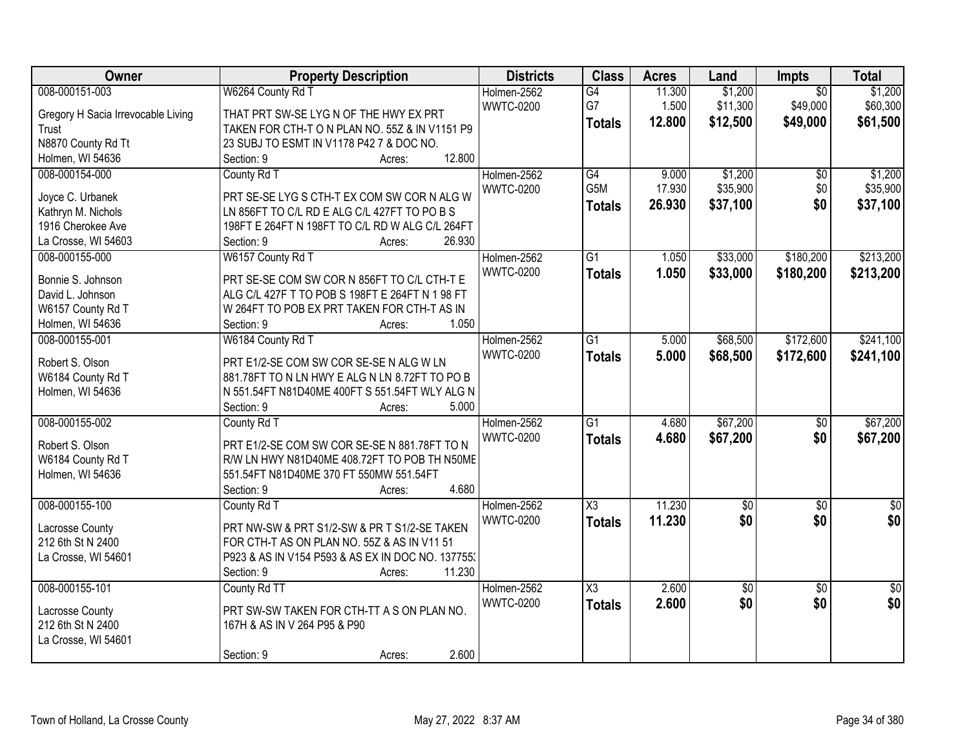| Owner                                | <b>Property Description</b>                       | <b>Districts</b> | <b>Class</b>           | <b>Acres</b> | Land            | <b>Impts</b>    | <b>Total</b>    |
|--------------------------------------|---------------------------------------------------|------------------|------------------------|--------------|-----------------|-----------------|-----------------|
| 008-000151-003                       | W6264 County Rd T                                 | Holmen-2562      | G4                     | 11.300       | \$1,200         | $\overline{50}$ | \$1,200         |
| Gregory H Sacia Irrevocable Living   | THAT PRT SW-SE LYG N OF THE HWY EX PRT            | <b>WWTC-0200</b> | G7                     | 1.500        | \$11,300        | \$49,000        | \$60,300        |
| Trust                                | TAKEN FOR CTH-T O N PLAN NO. 55Z & IN V1151 P9    |                  | <b>Totals</b>          | 12.800       | \$12,500        | \$49,000        | \$61,500        |
| N8870 County Rd Tt                   | 23 SUBJ TO ESMT IN V1178 P42 7 & DOC NO.          |                  |                        |              |                 |                 |                 |
| Holmen, WI 54636                     | 12.800<br>Section: 9<br>Acres:                    |                  |                        |              |                 |                 |                 |
| 008-000154-000                       | County Rd T                                       | Holmen-2562      | G4                     | 9.000        | \$1,200         | \$0             | \$1,200         |
|                                      |                                                   | <b>WWTC-0200</b> | G5M                    | 17.930       | \$35,900        | \$0             | \$35,900        |
| Joyce C. Urbanek                     | PRT SE-SE LYG S CTH-T EX COM SW COR N ALG W       |                  | <b>Totals</b>          | 26.930       | \$37,100        | \$0             | \$37,100        |
| Kathryn M. Nichols                   | LN 856FT TO C/L RD E ALG C/L 427FT TO PO B S      |                  |                        |              |                 |                 |                 |
| 1916 Cherokee Ave                    | 198FT E 264FT N 198FT TO C/L RD W ALG C/L 264FT   |                  |                        |              |                 |                 |                 |
| La Crosse, WI 54603                  | 26.930<br>Section: 9<br>Acres:                    |                  |                        |              |                 |                 |                 |
| 008-000155-000                       | W6157 County Rd T                                 | Holmen-2562      | $\overline{G1}$        | 1.050        | \$33,000        | \$180,200       | \$213,200       |
| Bonnie S. Johnson                    | PRT SE-SE COM SW COR N 856FT TO C/L CTH-T E       | <b>WWTC-0200</b> | <b>Totals</b>          | 1.050        | \$33,000        | \$180,200       | \$213,200       |
| David L. Johnson                     | ALG C/L 427F T TO POB S 198FT E 264FT N 1 98 FT   |                  |                        |              |                 |                 |                 |
| W6157 County Rd T                    | W 264FT TO POB EX PRT TAKEN FOR CTH-T AS IN       |                  |                        |              |                 |                 |                 |
| Holmen, WI 54636                     | 1.050<br>Section: 9<br>Acres:                     |                  |                        |              |                 |                 |                 |
| 008-000155-001                       | W6184 County Rd T                                 | Holmen-2562      | $\overline{G1}$        | 5.000        | \$68,500        | \$172,600       | \$241,100       |
|                                      |                                                   | <b>WWTC-0200</b> | <b>Totals</b>          | 5.000        | \$68,500        | \$172,600       | \$241,100       |
| Robert S. Olson                      | PRT E1/2-SE COM SW COR SE-SE N ALG W LN           |                  |                        |              |                 |                 |                 |
| W6184 County Rd T                    | 881.78FT TO N LN HWY E ALG N LN 8.72FT TO PO B    |                  |                        |              |                 |                 |                 |
| Holmen, WI 54636                     | N 551.54FT N81D40ME 400FT S 551.54FT WLY ALG N    |                  |                        |              |                 |                 |                 |
|                                      | 5.000<br>Section: 9<br>Acres:                     |                  |                        |              |                 |                 |                 |
| 008-000155-002                       | County Rd T                                       | Holmen-2562      | $\overline{G1}$        | 4.680        | \$67,200        | $\overline{50}$ | \$67,200        |
| Robert S. Olson                      | PRT E1/2-SE COM SW COR SE-SE N 881.78FT TO N      | <b>WWTC-0200</b> | <b>Totals</b>          | 4.680        | \$67,200        | \$0             | \$67,200        |
| W6184 County Rd T                    | R/W LN HWY N81D40ME 408.72FT TO POB TH N50ME      |                  |                        |              |                 |                 |                 |
| Holmen, WI 54636                     | 551.54FT N81D40ME 370 FT 550MW 551.54FT           |                  |                        |              |                 |                 |                 |
|                                      | 4.680<br>Section: 9<br>Acres:                     |                  |                        |              |                 |                 |                 |
| 008-000155-100                       | County Rd T                                       | Holmen-2562      | $\overline{\text{X3}}$ | 11.230       | \$0             | $\sqrt{$0}$     | $\frac{1}{6}$   |
|                                      |                                                   | <b>WWTC-0200</b> |                        | 11.230       | \$0             | \$0             | \$0             |
| Lacrosse County                      | PRT NW-SW & PRT S1/2-SW & PR T S1/2-SE TAKEN      |                  | <b>Totals</b>          |              |                 |                 |                 |
| 212 6th St N 2400                    | FOR CTH-T AS ON PLAN NO. 55Z & AS IN V11 51       |                  |                        |              |                 |                 |                 |
| La Crosse, WI 54601                  | P923 & AS IN V154 P593 & AS EX IN DOC NO. 137755. |                  |                        |              |                 |                 |                 |
|                                      | 11.230<br>Section: 9<br>Acres:                    |                  |                        |              |                 |                 |                 |
| 008-000155-101                       | County Rd TT                                      | Holmen-2562      | X3                     | 2.600        | $\overline{50}$ | $\overline{50}$ | $\overline{50}$ |
|                                      | PRT SW-SW TAKEN FOR CTH-TT A S ON PLAN NO.        | <b>WWTC-0200</b> | <b>Totals</b>          | 2.600        | \$0             | \$0             | \$0             |
| Lacrosse County<br>212 6th St N 2400 |                                                   |                  |                        |              |                 |                 |                 |
|                                      | 167H & AS IN V 264 P95 & P90                      |                  |                        |              |                 |                 |                 |
| La Crosse, WI 54601                  | 2.600                                             |                  |                        |              |                 |                 |                 |
|                                      | Section: 9<br>Acres:                              |                  |                        |              |                 |                 |                 |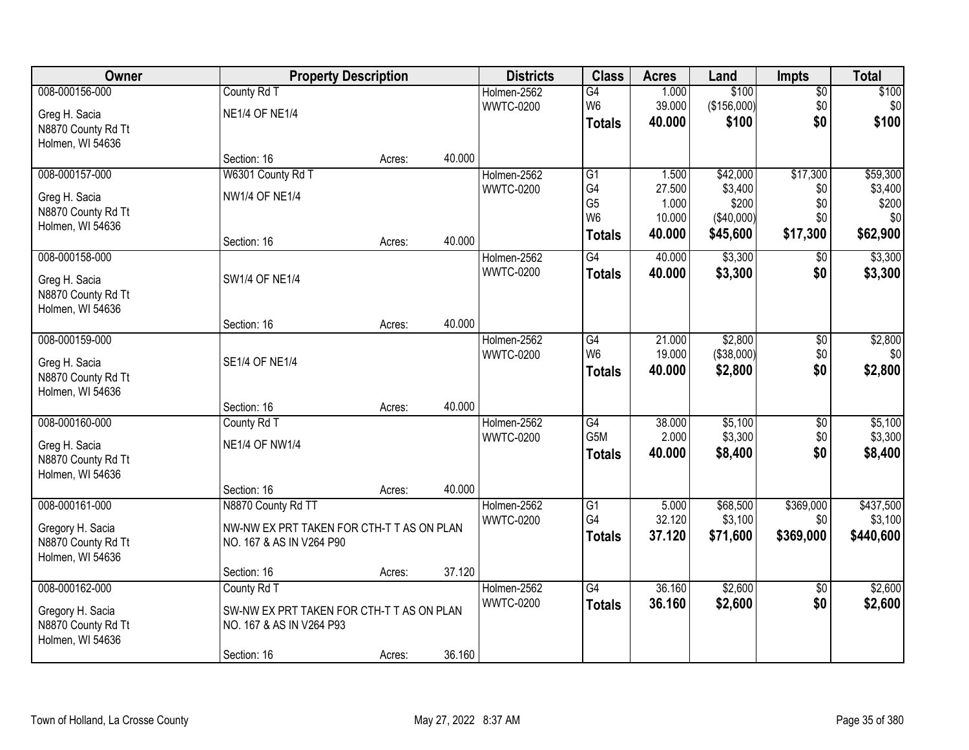| Owner              |                                           | <b>Property Description</b> |        | <b>Districts</b> | <b>Class</b>                     | <b>Acres</b>    | Land                | <b>Impts</b>    | <b>Total</b>     |
|--------------------|-------------------------------------------|-----------------------------|--------|------------------|----------------------------------|-----------------|---------------------|-----------------|------------------|
| 008-000156-000     | County Rd T                               |                             |        | Holmen-2562      | G4                               | 1.000           | \$100               | $\sqrt{$0}$     | \$100            |
| Greg H. Sacia      | <b>NE1/4 OF NE1/4</b>                     |                             |        | <b>WWTC-0200</b> | W <sub>6</sub>                   | 39.000          | (\$156,000)         | \$0             | \$0 <sub>1</sub> |
| N8870 County Rd Tt |                                           |                             |        |                  | <b>Totals</b>                    | 40.000          | \$100               | \$0             | \$100            |
| Holmen, WI 54636   |                                           |                             |        |                  |                                  |                 |                     |                 |                  |
|                    | Section: 16                               | Acres:                      | 40.000 |                  |                                  |                 |                     |                 |                  |
| 008-000157-000     | W6301 County Rd T                         |                             |        | Holmen-2562      | $\overline{G1}$                  | 1.500           | \$42,000            | \$17,300        | \$59,300         |
| Greg H. Sacia      | <b>NW1/4 OF NE1/4</b>                     |                             |        | <b>WWTC-0200</b> | G4                               | 27.500          | \$3,400             | \$0             | \$3,400          |
| N8870 County Rd Tt |                                           |                             |        |                  | G <sub>5</sub><br>W <sub>6</sub> | 1.000<br>10.000 | \$200<br>(\$40,000) | \$0<br>\$0      | \$200<br>\$0     |
| Holmen, WI 54636   |                                           |                             |        |                  |                                  | 40.000          | \$45,600            | \$17,300        | \$62,900         |
|                    | Section: 16                               | Acres:                      | 40.000 |                  | <b>Totals</b>                    |                 |                     |                 |                  |
| 008-000158-000     |                                           |                             |        | Holmen-2562      | G4                               | 40.000          | \$3,300             | \$0             | \$3,300          |
| Greg H. Sacia      | <b>SW1/4 OF NE1/4</b>                     |                             |        | <b>WWTC-0200</b> | <b>Totals</b>                    | 40.000          | \$3,300             | \$0             | \$3,300          |
| N8870 County Rd Tt |                                           |                             |        |                  |                                  |                 |                     |                 |                  |
| Holmen, WI 54636   |                                           |                             |        |                  |                                  |                 |                     |                 |                  |
|                    | Section: 16                               | Acres:                      | 40.000 |                  |                                  |                 |                     |                 |                  |
| 008-000159-000     |                                           |                             |        | Holmen-2562      | G4                               | 21.000          | \$2,800             | $\sqrt[6]{3}$   | \$2,800          |
| Greg H. Sacia      | <b>SE1/4 OF NE1/4</b>                     |                             |        | <b>WWTC-0200</b> | W <sub>6</sub>                   | 19.000          | (\$38,000)          | \$0             | \$0              |
| N8870 County Rd Tt |                                           |                             |        |                  | <b>Totals</b>                    | 40.000          | \$2,800             | \$0             | \$2,800          |
| Holmen, WI 54636   |                                           |                             |        |                  |                                  |                 |                     |                 |                  |
|                    | Section: 16                               | Acres:                      | 40.000 |                  |                                  |                 |                     |                 |                  |
| 008-000160-000     | County Rd T                               |                             |        | Holmen-2562      | $\overline{G4}$                  | 38.000          | \$5,100             | $\overline{50}$ | \$5,100          |
| Greg H. Sacia      | <b>NE1/4 OF NW1/4</b>                     |                             |        | <b>WWTC-0200</b> | G <sub>5</sub> M                 | 2.000           | \$3,300             | \$0             | \$3,300          |
| N8870 County Rd Tt |                                           |                             |        |                  | <b>Totals</b>                    | 40.000          | \$8,400             | \$0             | \$8,400          |
| Holmen, WI 54636   |                                           |                             |        |                  |                                  |                 |                     |                 |                  |
|                    | Section: 16                               | Acres:                      | 40.000 |                  |                                  |                 |                     |                 |                  |
| 008-000161-000     | N8870 County Rd TT                        |                             |        | Holmen-2562      | G1                               | 5.000           | \$68,500            | \$369,000       | \$437,500        |
| Gregory H. Sacia   | NW-NW EX PRT TAKEN FOR CTH-T T AS ON PLAN |                             |        | <b>WWTC-0200</b> | G4                               | 32.120          | \$3,100             | \$0             | \$3,100          |
| N8870 County Rd Tt | NO. 167 & AS IN V264 P90                  |                             |        |                  | <b>Totals</b>                    | 37.120          | \$71,600            | \$369,000       | \$440,600        |
| Holmen, WI 54636   |                                           |                             |        |                  |                                  |                 |                     |                 |                  |
|                    | Section: 16                               | Acres:                      | 37.120 |                  |                                  |                 |                     |                 |                  |
| 008-000162-000     | County Rd T                               |                             |        | Holmen-2562      | $\overline{G4}$                  | 36.160          | \$2,600             | $\overline{50}$ | \$2,600          |
| Gregory H. Sacia   | SW-NW EX PRT TAKEN FOR CTH-T T AS ON PLAN |                             |        | <b>WWTC-0200</b> | <b>Totals</b>                    | 36.160          | \$2,600             | \$0             | \$2,600          |
| N8870 County Rd Tt | NO. 167 & AS IN V264 P93                  |                             |        |                  |                                  |                 |                     |                 |                  |
| Holmen, WI 54636   |                                           |                             |        |                  |                                  |                 |                     |                 |                  |
|                    | Section: 16                               | Acres:                      | 36.160 |                  |                                  |                 |                     |                 |                  |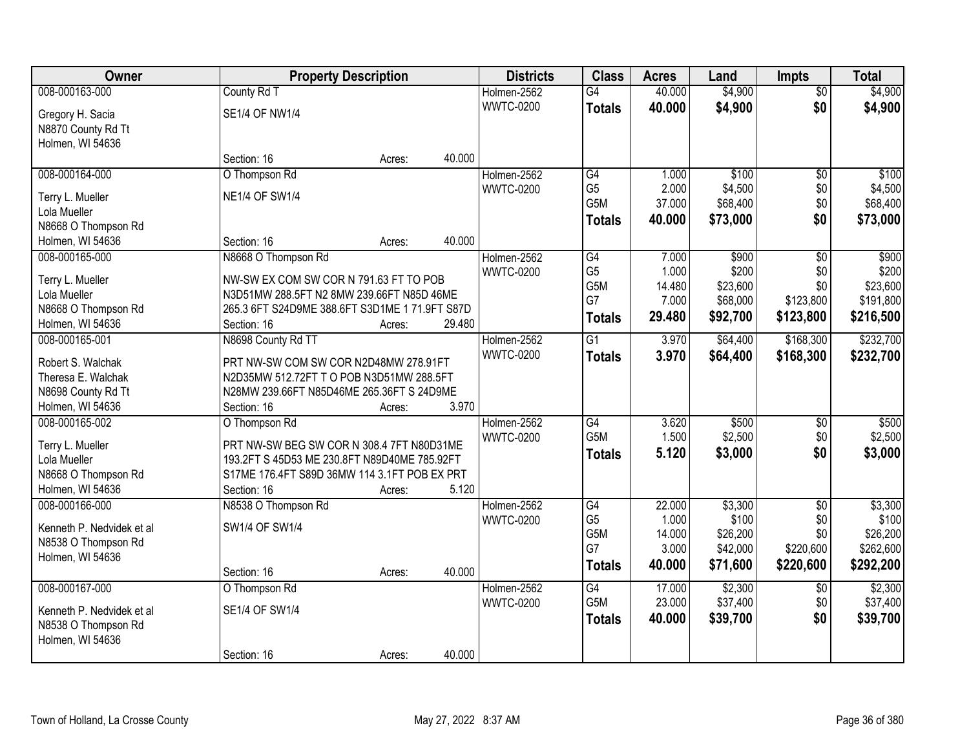| Owner                            |                                                                                     | <b>Property Description</b> |        | <b>Districts</b> | <b>Class</b>     | <b>Acres</b> | Land     | <b>Impts</b>    | <b>Total</b> |
|----------------------------------|-------------------------------------------------------------------------------------|-----------------------------|--------|------------------|------------------|--------------|----------|-----------------|--------------|
| 008-000163-000                   | County Rd T                                                                         |                             |        | Holmen-2562      | $\overline{G4}$  | 40.000       | \$4,900  | $\overline{50}$ | \$4,900      |
| Gregory H. Sacia                 | <b>SE1/4 OF NW1/4</b>                                                               |                             |        | <b>WWTC-0200</b> | <b>Totals</b>    | 40.000       | \$4,900  | \$0             | \$4,900      |
| N8870 County Rd Tt               |                                                                                     |                             |        |                  |                  |              |          |                 |              |
| Holmen, WI 54636                 |                                                                                     |                             |        |                  |                  |              |          |                 |              |
|                                  | Section: 16                                                                         | Acres:                      | 40.000 |                  |                  |              |          |                 |              |
| 008-000164-000                   | O Thompson Rd                                                                       |                             |        | Holmen-2562      | G4               | 1.000        | \$100    | $\overline{50}$ | \$100        |
| Terry L. Mueller                 | <b>NE1/4 OF SW1/4</b>                                                               |                             |        | <b>WWTC-0200</b> | G <sub>5</sub>   | 2.000        | \$4,500  | \$0             | \$4,500      |
| Lola Mueller                     |                                                                                     |                             |        |                  | G5M              | 37.000       | \$68,400 | \$0             | \$68,400     |
| N8668 O Thompson Rd              |                                                                                     |                             |        |                  | <b>Totals</b>    | 40.000       | \$73,000 | \$0             | \$73,000     |
| Holmen, WI 54636                 | Section: 16                                                                         | Acres:                      | 40.000 |                  |                  |              |          |                 |              |
| 008-000165-000                   | N8668 O Thompson Rd                                                                 |                             |        | Holmen-2562      | G4               | 7.000        | \$900    | \$0             | \$900        |
|                                  |                                                                                     |                             |        | <b>WWTC-0200</b> | G <sub>5</sub>   | 1.000        | \$200    | \$0             | \$200        |
| Terry L. Mueller<br>Lola Mueller | NW-SW EX COM SW COR N 791.63 FT TO POB<br>N3D51MW 288.5FT N2 8MW 239.66FT N85D 46ME |                             |        |                  | G5M              | 14.480       | \$23,600 | \$0             | \$23,600     |
| N8668 O Thompson Rd              | 265.3 6FT S24D9ME 388.6FT S3D1ME 1 71.9FT S87D                                      |                             |        |                  | G7               | 7.000        | \$68,000 | \$123,800       | \$191,800    |
| Holmen, WI 54636                 | Section: 16                                                                         | Acres:                      | 29.480 |                  | <b>Totals</b>    | 29.480       | \$92,700 | \$123,800       | \$216,500    |
| 008-000165-001                   | N8698 County Rd TT                                                                  |                             |        | Holmen-2562      | $\overline{G1}$  | 3.970        | \$64,400 | \$168,300       | \$232,700    |
|                                  |                                                                                     |                             |        | <b>WWTC-0200</b> | <b>Totals</b>    | 3.970        | \$64,400 | \$168,300       | \$232,700    |
| Robert S. Walchak                | PRT NW-SW COM SW COR N2D48MW 278.91FT                                               |                             |        |                  |                  |              |          |                 |              |
| Theresa E. Walchak               | N2D35MW 512.72FT T O POB N3D51MW 288.5FT                                            |                             |        |                  |                  |              |          |                 |              |
| N8698 County Rd Tt               | N28MW 239.66FT N85D46ME 265.36FT S 24D9ME                                           |                             |        |                  |                  |              |          |                 |              |
| Holmen, WI 54636                 | Section: 16                                                                         | Acres:                      | 3.970  |                  |                  |              |          |                 |              |
| 008-000165-002                   | O Thompson Rd                                                                       |                             |        | Holmen-2562      | $\overline{G4}$  | 3.620        | \$500    | \$0             | \$500        |
| Terry L. Mueller                 | PRT NW-SW BEG SW COR N 308.4 7FT N80D31ME                                           |                             |        | <b>WWTC-0200</b> | G <sub>5</sub> M | 1.500        | \$2,500  | \$0             | \$2,500      |
| Lola Mueller                     | 193.2FT S 45D53 ME 230.8FT N89D40ME 785.92FT                                        |                             |        |                  | <b>Totals</b>    | 5.120        | \$3,000  | \$0             | \$3,000      |
| N8668 O Thompson Rd              | S17ME 176.4FT S89D 36MW 114 3.1FT POB EX PRT                                        |                             |        |                  |                  |              |          |                 |              |
| Holmen, WI 54636                 | Section: 16                                                                         | Acres:                      | 5.120  |                  |                  |              |          |                 |              |
| 008-000166-000                   | N8538 O Thompson Rd                                                                 |                             |        | Holmen-2562      | G4               | 22.000       | \$3,300  | $\overline{50}$ | \$3,300      |
| Kenneth P. Nedvidek et al        | SW1/4 OF SW1/4                                                                      |                             |        | <b>WWTC-0200</b> | G <sub>5</sub>   | 1.000        | \$100    | \$0             | \$100        |
| N8538 O Thompson Rd              |                                                                                     |                             |        |                  | G5M              | 14.000       | \$26,200 | \$0             | \$26,200     |
| Holmen, WI 54636                 |                                                                                     |                             |        |                  | G7               | 3.000        | \$42,000 | \$220,600       | \$262,600    |
|                                  | Section: 16                                                                         | Acres:                      | 40.000 |                  | <b>Totals</b>    | 40.000       | \$71,600 | \$220,600       | \$292,200    |
| 008-000167-000                   | O Thompson Rd                                                                       |                             |        | Holmen-2562      | G4               | 17.000       | \$2,300  | $\overline{50}$ | \$2,300      |
|                                  |                                                                                     |                             |        | <b>WWTC-0200</b> | G5M              | 23.000       | \$37,400 | \$0             | \$37,400     |
| Kenneth P. Nedvidek et al        | SE1/4 OF SW1/4                                                                      |                             |        |                  | <b>Totals</b>    | 40.000       | \$39,700 | \$0             | \$39,700     |
| N8538 O Thompson Rd              |                                                                                     |                             |        |                  |                  |              |          |                 |              |
| Holmen, WI 54636                 |                                                                                     |                             |        |                  |                  |              |          |                 |              |
|                                  | Section: 16                                                                         | Acres:                      | 40.000 |                  |                  |              |          |                 |              |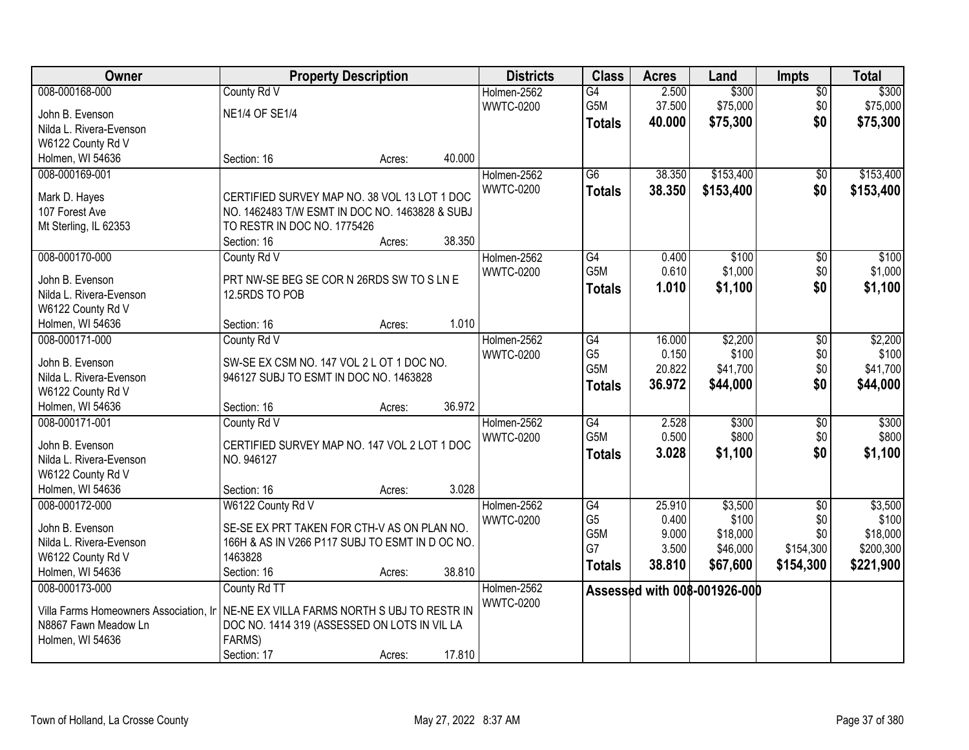| Owner                                      | <b>Property Description</b>                                                   |        |        | <b>Districts</b> | <b>Class</b>    | <b>Acres</b> | Land                         | <b>Impts</b>    | <b>Total</b> |
|--------------------------------------------|-------------------------------------------------------------------------------|--------|--------|------------------|-----------------|--------------|------------------------------|-----------------|--------------|
| 008-000168-000                             | County Rd V                                                                   |        |        | Holmen-2562      | $\overline{G4}$ | 2.500        | \$300                        | $\overline{50}$ | \$300        |
| John B. Evenson                            | <b>NE1/4 OF SE1/4</b>                                                         |        |        | <b>WWTC-0200</b> | G5M             | 37.500       | \$75,000                     | \$0             | \$75,000     |
| Nilda L. Rivera-Evenson                    |                                                                               |        |        |                  | <b>Totals</b>   | 40.000       | \$75,300                     | \$0             | \$75,300     |
| W6122 County Rd V                          |                                                                               |        |        |                  |                 |              |                              |                 |              |
| Holmen, WI 54636                           | Section: 16                                                                   | Acres: | 40.000 |                  |                 |              |                              |                 |              |
| 008-000169-001                             |                                                                               |        |        | Holmen-2562      | $\overline{G6}$ | 38.350       | \$153,400                    | \$0             | \$153,400    |
|                                            |                                                                               |        |        | <b>WWTC-0200</b> | <b>Totals</b>   | 38.350       | \$153,400                    | \$0             | \$153,400    |
| Mark D. Hayes                              | CERTIFIED SURVEY MAP NO. 38 VOL 13 LOT 1 DOC                                  |        |        |                  |                 |              |                              |                 |              |
| 107 Forest Ave                             | NO. 1462483 T/W ESMT IN DOC NO. 1463828 & SUBJ<br>TO RESTR IN DOC NO. 1775426 |        |        |                  |                 |              |                              |                 |              |
| Mt Sterling, IL 62353                      | Section: 16                                                                   | Acres: | 38.350 |                  |                 |              |                              |                 |              |
| 008-000170-000                             | County Rd V                                                                   |        |        | Holmen-2562      | G4              | 0.400        | \$100                        | \$0             | \$100        |
|                                            |                                                                               |        |        | <b>WWTC-0200</b> | G5M             | 0.610        | \$1,000                      | \$0\$           | \$1,000      |
| John B. Evenson                            | PRT NW-SE BEG SE COR N 26RDS SW TO S LN E                                     |        |        |                  | <b>Totals</b>   | 1.010        | \$1,100                      | \$0             | \$1,100      |
| Nilda L. Rivera-Evenson                    | 12.5RDS TO POB                                                                |        |        |                  |                 |              |                              |                 |              |
| W6122 County Rd V                          |                                                                               |        |        |                  |                 |              |                              |                 |              |
| Holmen, WI 54636                           | Section: 16                                                                   | Acres: | 1.010  |                  |                 |              |                              |                 |              |
| 008-000171-000                             | County Rd V                                                                   |        |        | Holmen-2562      | G4              | 16.000       | \$2,200                      | \$0             | \$2,200      |
| John B. Evenson                            | SW-SE EX CSM NO. 147 VOL 2 L OT 1 DOC NO.                                     |        |        | <b>WWTC-0200</b> | G <sub>5</sub>  | 0.150        | \$100                        | \$0             | \$100        |
| Nilda L. Rivera-Evenson                    | 946127 SUBJ TO ESMT IN DOC NO. 1463828                                        |        |        |                  | G5M             | 20.822       | \$41,700                     | \$0             | \$41,700     |
| W6122 County Rd V                          |                                                                               |        |        |                  | <b>Totals</b>   | 36.972       | \$44,000                     | \$0             | \$44,000     |
| Holmen, WI 54636                           | Section: 16                                                                   | Acres: | 36.972 |                  |                 |              |                              |                 |              |
| 008-000171-001                             | County Rd V                                                                   |        |        | Holmen-2562      | $\overline{G4}$ | 2.528        | \$300                        | $\overline{50}$ | \$300        |
|                                            |                                                                               |        |        | <b>WWTC-0200</b> | G5M             | 0.500        | \$800                        | \$0             | \$800        |
| John B. Evenson<br>Nilda L. Rivera-Evenson | CERTIFIED SURVEY MAP NO. 147 VOL 2 LOT 1 DOC<br>NO. 946127                    |        |        |                  | <b>Totals</b>   | 3.028        | \$1,100                      | \$0             | \$1,100      |
| W6122 County Rd V                          |                                                                               |        |        |                  |                 |              |                              |                 |              |
| Holmen, WI 54636                           | Section: 16                                                                   | Acres: | 3.028  |                  |                 |              |                              |                 |              |
| 008-000172-000                             | W6122 County Rd V                                                             |        |        | Holmen-2562      | G4              | 25.910       | \$3,500                      | $\overline{50}$ | \$3,500      |
|                                            |                                                                               |        |        | <b>WWTC-0200</b> | G <sub>5</sub>  | 0.400        | \$100                        | \$0\$           | \$100        |
| John B. Evenson                            | SE-SE EX PRT TAKEN FOR CTH-V AS ON PLAN NO.                                   |        |        |                  | G5M             | 9.000        | \$18,000                     | \$0             | \$18,000     |
| Nilda L. Rivera-Evenson                    | 166H & AS IN V266 P117 SUBJ TO ESMT IN D OC NO.                               |        |        |                  | G7              | 3.500        | \$46,000                     | \$154,300       | \$200,300    |
| W6122 County Rd V                          | 1463828                                                                       |        |        |                  | <b>Totals</b>   | 38.810       | \$67,600                     | \$154,300       | \$221,900    |
| Holmen, WI 54636                           | Section: 16                                                                   | Acres: | 38.810 |                  |                 |              |                              |                 |              |
| 008-000173-000                             | County Rd TT                                                                  |        |        | Holmen-2562      |                 |              | Assessed with 008-001926-000 |                 |              |
| Villa Farms Homeowners Association, Ir     | NE-NE EX VILLA FARMS NORTH S UBJ TO RESTR IN                                  |        |        | <b>WWTC-0200</b> |                 |              |                              |                 |              |
| N8867 Fawn Meadow Ln                       | DOC NO. 1414 319 (ASSESSED ON LOTS IN VIL LA                                  |        |        |                  |                 |              |                              |                 |              |
| Holmen, WI 54636                           | FARMS)                                                                        |        |        |                  |                 |              |                              |                 |              |
|                                            | Section: 17                                                                   | Acres: | 17.810 |                  |                 |              |                              |                 |              |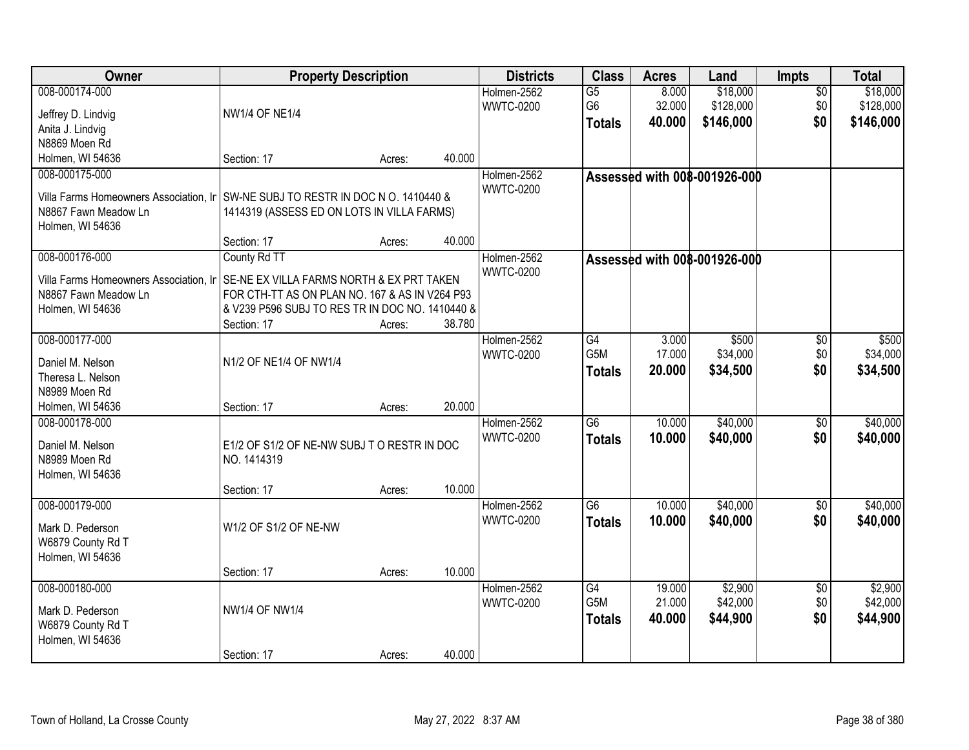| Owner                                                                                                                                          | <b>Property Description</b>                                                                                                                                                   |        |        | <b>Districts</b>                | <b>Class</b>                            | <b>Acres</b>               | Land                               | Impts                         | <b>Total</b>                       |
|------------------------------------------------------------------------------------------------------------------------------------------------|-------------------------------------------------------------------------------------------------------------------------------------------------------------------------------|--------|--------|---------------------------------|-----------------------------------------|----------------------------|------------------------------------|-------------------------------|------------------------------------|
| 008-000174-000<br>Jeffrey D. Lindvig<br>Anita J. Lindvig<br>N8869 Moen Rd                                                                      | <b>NW1/4 OF NE1/4</b>                                                                                                                                                         |        |        | Holmen-2562<br><b>WWTC-0200</b> | $\overline{G5}$<br>G6<br><b>Totals</b>  | 8.000<br>32.000<br>40.000  | \$18,000<br>\$128,000<br>\$146,000 | $\overline{50}$<br>\$0<br>\$0 | \$18,000<br>\$128,000<br>\$146,000 |
| Holmen, WI 54636                                                                                                                               | Section: 17                                                                                                                                                                   | Acres: | 40.000 |                                 |                                         |                            |                                    |                               |                                    |
| 008-000175-000<br>Villa Farms Homeowners Association, Ir SW-NE SUBJ TO RESTR IN DOC N O. 1410440 &<br>N8867 Fawn Meadow Ln<br>Holmen, WI 54636 | 1414319 (ASSESS ED ON LOTS IN VILLA FARMS)<br>Section: 17                                                                                                                     | Acres: | 40.000 | Holmen-2562<br><b>WWTC-0200</b> |                                         |                            | Assessed with 008-001926-000       |                               |                                    |
| 008-000176-000<br>Villa Farms Homeowners Association, Ir<br>N8867 Fawn Meadow Ln<br>Holmen, WI 54636                                           | County Rd TT<br>SE-NE EX VILLA FARMS NORTH & EX PRT TAKEN<br>FOR CTH-TT AS ON PLAN NO. 167 & AS IN V264 P93<br>& V239 P596 SUBJ TO RES TR IN DOC NO. 1410440 &<br>Section: 17 | Acres: | 38.780 | Holmen-2562<br><b>WWTC-0200</b> |                                         |                            | Assessed with 008-001926-000       |                               |                                    |
| 008-000177-000<br>Daniel M. Nelson<br>Theresa L. Nelson<br>N8989 Moen Rd<br>Holmen, WI 54636                                                   | N1/2 OF NE1/4 OF NW1/4<br>Section: 17                                                                                                                                         | Acres: | 20.000 | Holmen-2562<br><b>WWTC-0200</b> | G4<br>G5M<br><b>Totals</b>              | 3.000<br>17.000<br>20.000  | \$500<br>\$34,000<br>\$34,500      | $\sqrt[6]{}$<br>\$0<br>\$0    | \$500<br>\$34,000<br>\$34,500      |
| 008-000178-000<br>Daniel M. Nelson<br>N8989 Moen Rd<br>Holmen, WI 54636                                                                        | E1/2 OF S1/2 OF NE-NW SUBJ TO RESTR IN DOC<br>NO. 1414319<br>Section: 17                                                                                                      | Acres: | 10.000 | Holmen-2562<br><b>WWTC-0200</b> | $\overline{G6}$<br><b>Totals</b>        | 10.000<br>10.000           | \$40,000<br>\$40,000               | $\overline{50}$<br>\$0        | \$40,000<br>\$40,000               |
| 008-000179-000<br>Mark D. Pederson<br>W6879 County Rd T<br>Holmen, WI 54636                                                                    | W1/2 OF S1/2 OF NE-NW<br>Section: 17                                                                                                                                          | Acres: | 10.000 | Holmen-2562<br><b>WWTC-0200</b> | $\overline{G6}$<br><b>Totals</b>        | 10.000<br>10.000           | \$40,000<br>\$40,000               | $\overline{50}$<br>\$0        | \$40,000<br>\$40,000               |
| 008-000180-000<br>Mark D. Pederson<br>W6879 County Rd T<br>Holmen, WI 54636                                                                    | <b>NW1/4 OF NW1/4</b><br>Section: 17                                                                                                                                          | Acres: | 40.000 | Holmen-2562<br><b>WWTC-0200</b> | G4<br>G <sub>5</sub> M<br><b>Totals</b> | 19.000<br>21.000<br>40.000 | \$2,900<br>\$42,000<br>\$44,900    | $\overline{50}$<br>\$0<br>\$0 | \$2,900<br>\$42,000<br>\$44,900    |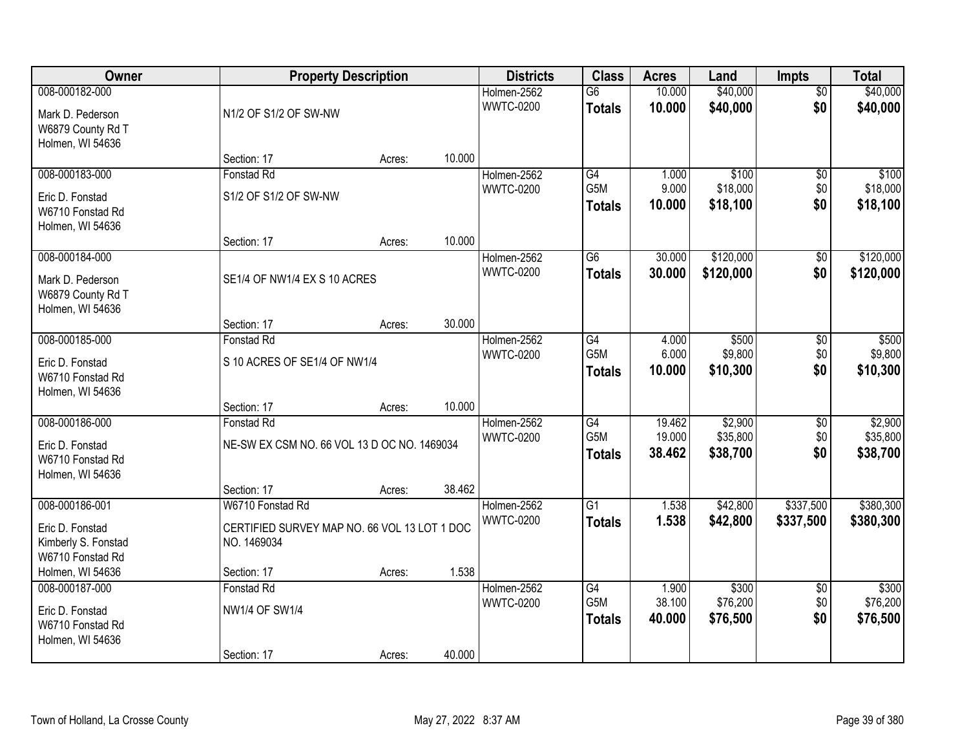| Owner                                 |                                              | <b>Property Description</b> |        | <b>Districts</b>                | <b>Class</b>                     | <b>Acres</b>     | Land                 | <b>Impts</b>           | <b>Total</b>         |
|---------------------------------------|----------------------------------------------|-----------------------------|--------|---------------------------------|----------------------------------|------------------|----------------------|------------------------|----------------------|
| 008-000182-000<br>Mark D. Pederson    | N1/2 OF S1/2 OF SW-NW                        |                             |        | Holmen-2562<br><b>WWTC-0200</b> | $\overline{G6}$<br><b>Totals</b> | 10.000<br>10.000 | \$40,000<br>\$40,000 | $\overline{50}$<br>\$0 | \$40,000<br>\$40,000 |
| W6879 County Rd T<br>Holmen, WI 54636 |                                              |                             |        |                                 |                                  |                  |                      |                        |                      |
|                                       | Section: 17                                  | Acres:                      | 10.000 |                                 | G4                               |                  |                      |                        |                      |
| 008-000183-000                        | Fonstad Rd                                   |                             |        | Holmen-2562<br><b>WWTC-0200</b> | G <sub>5</sub> M                 | 1.000<br>9.000   | \$100<br>\$18,000    | $\overline{50}$<br>\$0 | \$100<br>\$18,000    |
| Eric D. Fonstad                       | S1/2 OF S1/2 OF SW-NW                        |                             |        |                                 |                                  | 10.000           | \$18,100             | \$0                    | \$18,100             |
| W6710 Fonstad Rd<br>Holmen, WI 54636  |                                              |                             |        |                                 | Totals                           |                  |                      |                        |                      |
|                                       | Section: 17                                  | Acres:                      | 10.000 |                                 |                                  |                  |                      |                        |                      |
| 008-000184-000                        |                                              |                             |        | Holmen-2562                     | $\overline{G6}$                  | 30.000           | \$120,000            | \$0                    | \$120,000            |
| Mark D. Pederson                      | SE1/4 OF NW1/4 EX S 10 ACRES                 |                             |        | <b>WWTC-0200</b>                | <b>Totals</b>                    | 30.000           | \$120,000            | \$0                    | \$120,000            |
| W6879 County Rd T                     |                                              |                             |        |                                 |                                  |                  |                      |                        |                      |
| Holmen, WI 54636                      |                                              |                             |        |                                 |                                  |                  |                      |                        |                      |
|                                       | Section: 17                                  | Acres:                      | 30.000 |                                 |                                  |                  |                      |                        |                      |
| 008-000185-000                        | Fonstad Rd                                   |                             |        | Holmen-2562                     | $\overline{G4}$                  | 4.000            | \$500                | \$0                    | \$500                |
| Eric D. Fonstad                       | S 10 ACRES OF SE1/4 OF NW1/4                 |                             |        | <b>WWTC-0200</b>                | G5M                              | 6.000            | \$9,800              | \$0<br>\$0             | \$9,800              |
| W6710 Fonstad Rd                      |                                              |                             |        |                                 | <b>Totals</b>                    | 10.000           | \$10,300             |                        | \$10,300             |
| Holmen, WI 54636                      |                                              |                             |        |                                 |                                  |                  |                      |                        |                      |
|                                       | Section: 17                                  | Acres:                      | 10.000 |                                 |                                  |                  |                      |                        |                      |
| 008-000186-000                        | <b>Fonstad Rd</b>                            |                             |        | Holmen-2562                     | G4                               | 19.462           | \$2,900              | $\overline{50}$        | \$2,900              |
| Eric D. Fonstad                       | NE-SW EX CSM NO. 66 VOL 13 D OC NO. 1469034  |                             |        | <b>WWTC-0200</b>                | G <sub>5</sub> M                 | 19.000           | \$35,800             | \$0                    | \$35,800             |
| W6710 Fonstad Rd                      |                                              |                             |        |                                 | <b>Totals</b>                    | 38.462           | \$38,700             | \$0                    | \$38,700             |
| Holmen, WI 54636                      |                                              |                             |        |                                 |                                  |                  |                      |                        |                      |
|                                       | Section: 17                                  | Acres:                      | 38.462 |                                 |                                  |                  |                      |                        |                      |
| 008-000186-001                        | W6710 Fonstad Rd                             |                             |        | Holmen-2562                     | $\overline{G1}$                  | 1.538            | \$42,800             | \$337,500              | \$380,300            |
| Eric D. Fonstad                       | CERTIFIED SURVEY MAP NO. 66 VOL 13 LOT 1 DOC |                             |        | <b>WWTC-0200</b>                | <b>Totals</b>                    | 1.538            | \$42,800             | \$337,500              | \$380,300            |
| Kimberly S. Fonstad                   | NO. 1469034                                  |                             |        |                                 |                                  |                  |                      |                        |                      |
| W6710 Fonstad Rd                      |                                              |                             |        |                                 |                                  |                  |                      |                        |                      |
| Holmen, WI 54636                      | Section: 17                                  | Acres:                      | 1.538  |                                 |                                  |                  |                      |                        |                      |
| 008-000187-000                        | Fonstad Rd                                   |                             |        | Holmen-2562                     | G4                               | 1.900            | \$300                | $\overline{30}$        | \$300                |
| Eric D. Fonstad                       | <b>NW1/4 OF SW1/4</b>                        |                             |        | <b>WWTC-0200</b>                | G5M                              | 38.100           | \$76,200             | \$0                    | \$76,200             |
| W6710 Fonstad Rd                      |                                              |                             |        |                                 | <b>Totals</b>                    | 40.000           | \$76,500             | \$0                    | \$76,500             |
| Holmen, WI 54636                      |                                              |                             |        |                                 |                                  |                  |                      |                        |                      |
|                                       | Section: 17                                  | Acres:                      | 40.000 |                                 |                                  |                  |                      |                        |                      |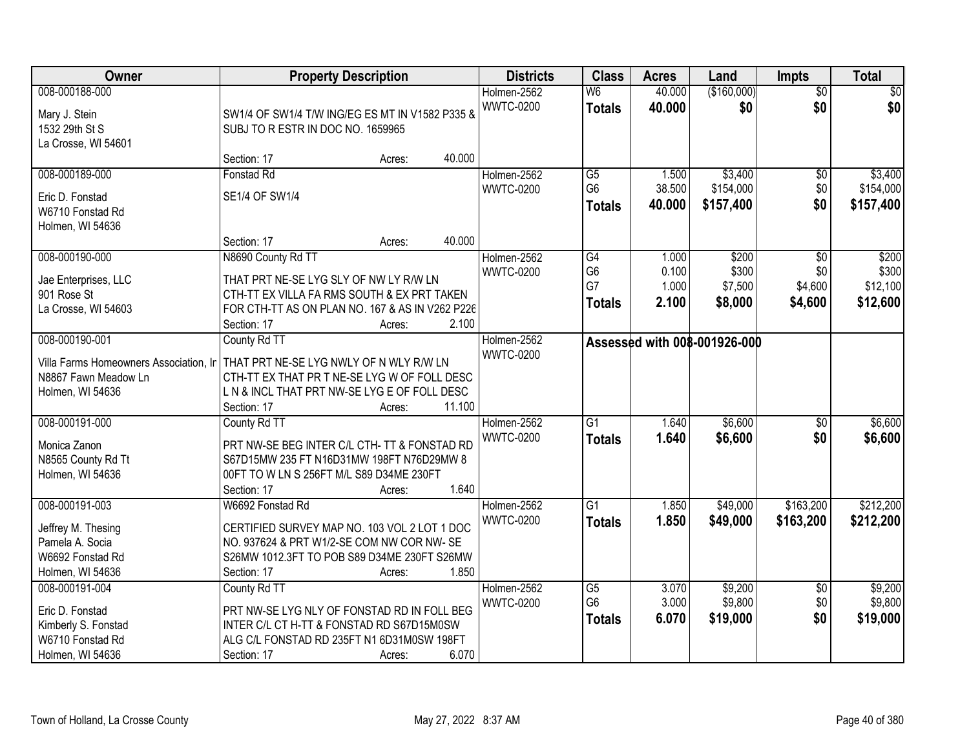| <b>Owner</b>                           | <b>Property Description</b>                                                           |        |        | <b>Districts</b> | <b>Class</b>    | <b>Acres</b> | Land                         | <b>Impts</b>    | <b>Total</b> |
|----------------------------------------|---------------------------------------------------------------------------------------|--------|--------|------------------|-----------------|--------------|------------------------------|-----------------|--------------|
| 008-000188-000                         |                                                                                       |        |        | Holmen-2562      | W <sub>6</sub>  | 40.000       | (\$160,000)                  | $\overline{30}$ | \$0          |
| Mary J. Stein                          | SW1/4 OF SW1/4 T/W ING/EG ES MT IN V1582 P335 &                                       |        |        | <b>WWTC-0200</b> | <b>Totals</b>   | 40.000       | \$0                          | \$0             | \$0          |
| 1532 29th St S                         | SUBJ TO R ESTR IN DOC NO. 1659965                                                     |        |        |                  |                 |              |                              |                 |              |
| La Crosse, WI 54601                    |                                                                                       |        |        |                  |                 |              |                              |                 |              |
|                                        | Section: 17                                                                           | Acres: | 40.000 |                  |                 |              |                              |                 |              |
| 008-000189-000                         | Fonstad Rd                                                                            |        |        | Holmen-2562      | $\overline{G5}$ | 1.500        | \$3,400                      | \$0             | \$3,400      |
| Eric D. Fonstad                        | SE1/4 OF SW1/4                                                                        |        |        | <b>WWTC-0200</b> | G <sub>6</sub>  | 38.500       | \$154,000                    | \$0             | \$154,000    |
| W6710 Fonstad Rd                       |                                                                                       |        |        |                  | <b>Totals</b>   | 40.000       | \$157,400                    | \$0             | \$157,400    |
| Holmen, WI 54636                       |                                                                                       |        |        |                  |                 |              |                              |                 |              |
|                                        | Section: 17                                                                           | Acres: | 40.000 |                  |                 |              |                              |                 |              |
| 008-000190-000                         | N8690 County Rd TT                                                                    |        |        | Holmen-2562      | G4              | 1.000        | \$200                        | \$0             | \$200        |
| Jae Enterprises, LLC                   | THAT PRT NE-SE LYG SLY OF NW LY R/W LN                                                |        |        | <b>WWTC-0200</b> | G <sub>6</sub>  | 0.100        | \$300                        | \$0             | \$300        |
| 901 Rose St                            | CTH-TT EX VILLA FA RMS SOUTH & EX PRT TAKEN                                           |        |        |                  | G7              | 1.000        | \$7,500                      | \$4,600         | \$12,100     |
| La Crosse, WI 54603                    | FOR CTH-TT AS ON PLAN NO. 167 & AS IN V262 P226                                       |        |        |                  | <b>Totals</b>   | 2.100        | \$8,000                      | \$4,600         | \$12,600     |
|                                        | Section: 17                                                                           | Acres: | 2.100  |                  |                 |              |                              |                 |              |
| 008-000190-001                         | County Rd TT                                                                          |        |        | Holmen-2562      |                 |              | Assessed with 008-001926-000 |                 |              |
| Villa Farms Homeowners Association, Ir | THAT PRT NE-SE LYG NWLY OF N WLY R/W LN                                               |        |        | <b>WWTC-0200</b> |                 |              |                              |                 |              |
| N8867 Fawn Meadow Ln                   | CTH-TT EX THAT PR T NE-SE LYG W OF FOLL DESC                                          |        |        |                  |                 |              |                              |                 |              |
| Holmen, WI 54636                       | L N & INCL THAT PRT NW-SE LYG E OF FOLL DESC                                          |        |        |                  |                 |              |                              |                 |              |
|                                        | Section: 17                                                                           | Acres: | 11.100 |                  |                 |              |                              |                 |              |
| 008-000191-000                         | County Rd TT                                                                          |        |        | Holmen-2562      | $\overline{G1}$ | 1.640        | \$6,600                      | \$0             | \$6,600      |
|                                        |                                                                                       |        |        | <b>WWTC-0200</b> | <b>Totals</b>   | 1.640        | \$6,600                      | \$0             | \$6,600      |
| Monica Zanon                           | PRT NW-SE BEG INTER C/L CTH- TT & FONSTAD RD                                          |        |        |                  |                 |              |                              |                 |              |
| N8565 County Rd Tt<br>Holmen, WI 54636 | S67D15MW 235 FT N16D31MW 198FT N76D29MW 8<br>00FT TO W LN S 256FT M/L S89 D34ME 230FT |        |        |                  |                 |              |                              |                 |              |
|                                        | Section: 17                                                                           | Acres: | 1.640  |                  |                 |              |                              |                 |              |
| 008-000191-003                         | W6692 Fonstad Rd                                                                      |        |        | Holmen-2562      | $\overline{G1}$ | 1.850        | \$49,000                     | \$163,200       | \$212,200    |
|                                        |                                                                                       |        |        | <b>WWTC-0200</b> | <b>Totals</b>   | 1.850        | \$49,000                     | \$163,200       | \$212,200    |
| Jeffrey M. Thesing                     | CERTIFIED SURVEY MAP NO. 103 VOL 2 LOT 1 DOC                                          |        |        |                  |                 |              |                              |                 |              |
| Pamela A. Socia                        | NO. 937624 & PRT W1/2-SE COM NW COR NW-SE                                             |        |        |                  |                 |              |                              |                 |              |
| W6692 Fonstad Rd                       | S26MW 1012.3FT TO POB S89 D34ME 230FT S26MW<br>Section: 17                            |        | 1.850  |                  |                 |              |                              |                 |              |
| Holmen, WI 54636<br>008-000191-004     | County Rd TT                                                                          | Acres: |        | Holmen-2562      | G5              | 3.070        | \$9,200                      | $\overline{60}$ | \$9,200      |
|                                        |                                                                                       |        |        | <b>WWTC-0200</b> | G <sub>6</sub>  | 3.000        | \$9,800                      | \$0             | \$9,800      |
| Eric D. Fonstad                        | PRT NW-SE LYG NLY OF FONSTAD RD IN FOLL BEG                                           |        |        |                  | <b>Totals</b>   | 6.070        | \$19,000                     | \$0             | \$19,000     |
| Kimberly S. Fonstad                    | INTER C/L CT H-TT & FONSTAD RD S67D15M0SW                                             |        |        |                  |                 |              |                              |                 |              |
| W6710 Fonstad Rd                       | ALG C/L FONSTAD RD 235FT N1 6D31M0SW 198FT                                            |        |        |                  |                 |              |                              |                 |              |
| Holmen, WI 54636                       | Section: 17                                                                           | Acres: | 6.070  |                  |                 |              |                              |                 |              |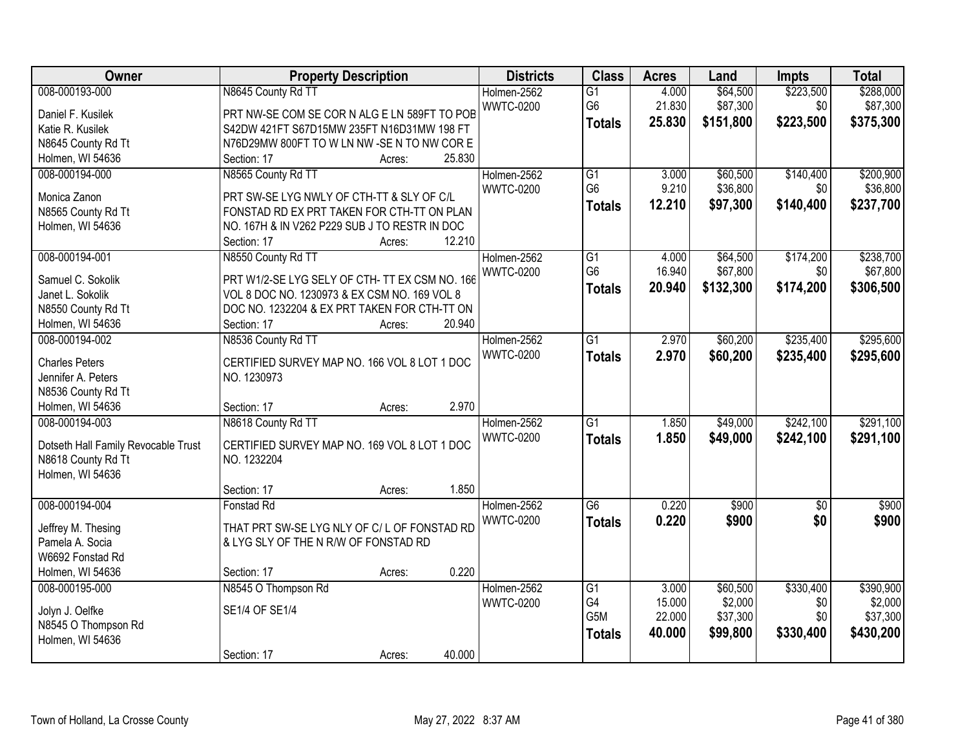| Owner                               | <b>Property Description</b>                            | <b>Districts</b> | <b>Class</b>    | <b>Acres</b> | Land      | Impts           | <b>Total</b> |
|-------------------------------------|--------------------------------------------------------|------------------|-----------------|--------------|-----------|-----------------|--------------|
| 008-000193-000                      | N8645 County Rd TT                                     | Holmen-2562      | $\overline{G1}$ | 4.000        | \$64,500  | \$223,500       | \$288,000    |
| Daniel F. Kusilek                   | PRT NW-SE COM SE COR N ALG E LN 589FT TO POB           | <b>WWTC-0200</b> | G <sub>6</sub>  | 21.830       | \$87,300  | \$0             | \$87,300     |
| Katie R. Kusilek                    | S42DW 421FT S67D15MW 235FT N16D31MW 198 FT             |                  | <b>Totals</b>   | 25.830       | \$151,800 | \$223,500       | \$375,300    |
| N8645 County Rd Tt                  | N76D29MW 800FT TO W LN NW -SE N TO NW COR E            |                  |                 |              |           |                 |              |
| Holmen, WI 54636                    | 25.830<br>Section: 17<br>Acres:                        |                  |                 |              |           |                 |              |
| 008-000194-000                      | N8565 County Rd TT                                     | Holmen-2562      | $\overline{G1}$ | 3.000        | \$60,500  | \$140,400       | \$200,900    |
|                                     |                                                        | <b>WWTC-0200</b> | G <sub>6</sub>  | 9.210        | \$36,800  | \$0             | \$36,800     |
| Monica Zanon                        | PRT SW-SE LYG NWLY OF CTH-TT & SLY OF C/L              |                  |                 | 12.210       | \$97,300  | \$140,400       |              |
| N8565 County Rd Tt                  | FONSTAD RD EX PRT TAKEN FOR CTH-TT ON PLAN             |                  | <b>Totals</b>   |              |           |                 | \$237,700    |
| Holmen, WI 54636                    | NO. 167H & IN V262 P229 SUB J TO RESTR IN DOC          |                  |                 |              |           |                 |              |
|                                     | 12.210<br>Section: 17<br>Acres:                        |                  |                 |              |           |                 |              |
| 008-000194-001                      | N8550 County Rd TT                                     | Holmen-2562      | G1              | 4.000        | \$64,500  | \$174,200       | \$238,700    |
|                                     |                                                        | <b>WWTC-0200</b> | G <sub>6</sub>  | 16.940       | \$67,800  | \$0             | \$67,800     |
| Samuel C. Sokolik                   | PRT W1/2-SE LYG SELY OF CTH- TT EX CSM NO. 166         |                  | <b>Totals</b>   | 20.940       | \$132,300 | \$174,200       | \$306,500    |
| Janet L. Sokolik                    | VOL 8 DOC NO. 1230973 & EX CSM NO. 169 VOL 8           |                  |                 |              |           |                 |              |
| N8550 County Rd Tt                  | DOC NO. 1232204 & EX PRT TAKEN FOR CTH-TT ON<br>20.940 |                  |                 |              |           |                 |              |
| Holmen, WI 54636                    | Section: 17<br>Acres:                                  |                  |                 |              |           |                 |              |
| 008-000194-002                      | N8536 County Rd TT                                     | Holmen-2562      | $\overline{G1}$ | 2.970        | \$60,200  | \$235,400       | \$295,600    |
| <b>Charles Peters</b>               | CERTIFIED SURVEY MAP NO. 166 VOL 8 LOT 1 DOC           | <b>WWTC-0200</b> | <b>Totals</b>   | 2.970        | \$60,200  | \$235,400       | \$295,600    |
| Jennifer A. Peters                  | NO. 1230973                                            |                  |                 |              |           |                 |              |
| N8536 County Rd Tt                  |                                                        |                  |                 |              |           |                 |              |
| Holmen, WI 54636                    | 2.970<br>Section: 17<br>Acres:                         |                  |                 |              |           |                 |              |
| 008-000194-003                      | N8618 County Rd TT                                     | Holmen-2562      | $\overline{G1}$ | 1.850        | \$49,000  | \$242,100       | \$291,100    |
|                                     |                                                        | <b>WWTC-0200</b> | <b>Totals</b>   | 1.850        | \$49,000  | \$242,100       | \$291,100    |
| Dotseth Hall Family Revocable Trust | CERTIFIED SURVEY MAP NO. 169 VOL 8 LOT 1 DOC           |                  |                 |              |           |                 |              |
| N8618 County Rd Tt                  | NO. 1232204                                            |                  |                 |              |           |                 |              |
| Holmen, WI 54636                    |                                                        |                  |                 |              |           |                 |              |
|                                     | 1.850<br>Section: 17<br>Acres:                         |                  |                 |              |           |                 |              |
| 008-000194-004                      | Fonstad Rd                                             | Holmen-2562      | $\overline{G6}$ | 0.220        | \$900     | $\overline{50}$ | \$900        |
| Jeffrey M. Thesing                  | THAT PRT SW-SE LYG NLY OF C/L OF FONSTAD RD            | <b>WWTC-0200</b> | <b>Totals</b>   | 0.220        | \$900     | \$0             | \$900        |
| Pamela A. Socia                     | & LYG SLY OF THE N R/W OF FONSTAD RD                   |                  |                 |              |           |                 |              |
| W6692 Fonstad Rd                    |                                                        |                  |                 |              |           |                 |              |
| Holmen, WI 54636                    | 0.220<br>Section: 17<br>Acres:                         |                  |                 |              |           |                 |              |
| 008-000195-000                      | N8545 O Thompson Rd                                    | Holmen-2562      | $\overline{G1}$ | 3.000        | \$60,500  | \$330,400       | \$390,900    |
|                                     |                                                        | <b>WWTC-0200</b> | G4              | 15.000       | \$2,000   | \$0             | \$2,000      |
| Jolyn J. Oelfke                     | SE1/4 OF SE1/4                                         |                  | G5M             | 22.000       | \$37,300  | \$0             | \$37,300     |
| N8545 O Thompson Rd                 |                                                        |                  | <b>Totals</b>   | 40.000       | \$99,800  | \$330,400       | \$430,200    |
| Holmen, WI 54636                    |                                                        |                  |                 |              |           |                 |              |
|                                     | 40.000<br>Section: 17<br>Acres:                        |                  |                 |              |           |                 |              |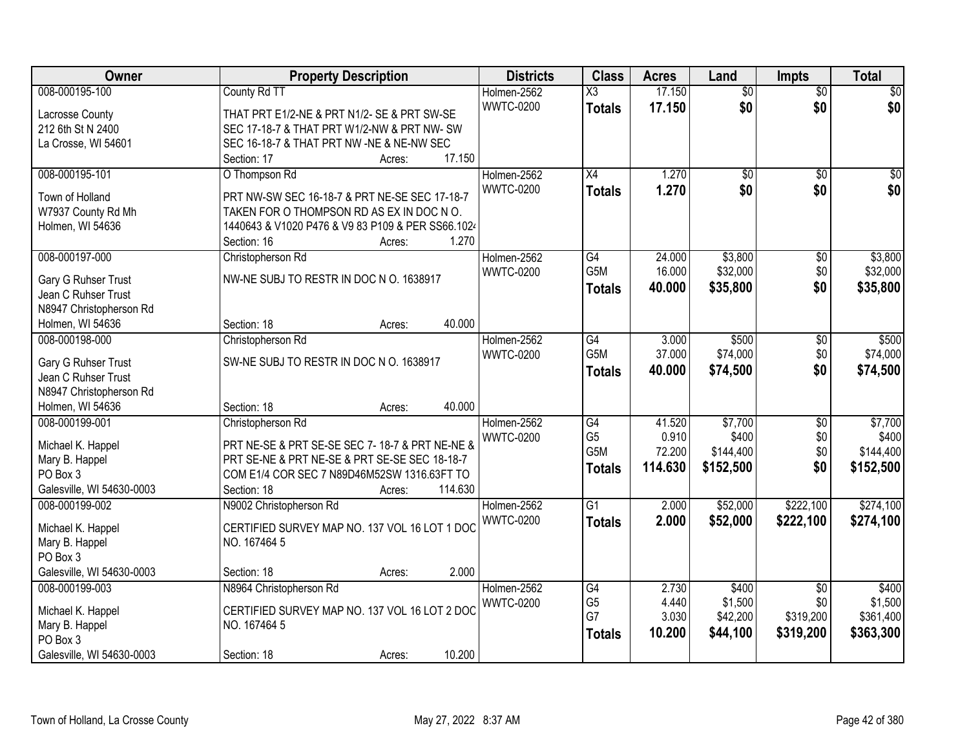| Owner                                 | <b>Property Description</b>                                                               | <b>Districts</b> | <b>Class</b>                      | <b>Acres</b>   | Land             | <b>Impts</b>           | <b>Total</b>     |
|---------------------------------------|-------------------------------------------------------------------------------------------|------------------|-----------------------------------|----------------|------------------|------------------------|------------------|
| 008-000195-100                        | County Rd TT                                                                              | Holmen-2562      | X3                                | 17.150         | $\overline{50}$  | $\overline{50}$        | $\sqrt{50}$      |
| Lacrosse County                       | THAT PRT E1/2-NE & PRT N1/2- SE & PRT SW-SE                                               | <b>WWTC-0200</b> | <b>Totals</b>                     | 17.150         | \$0              | \$0                    | \$0              |
| 212 6th St N 2400                     | SEC 17-18-7 & THAT PRT W1/2-NW & PRT NW- SW                                               |                  |                                   |                |                  |                        |                  |
| La Crosse, WI 54601                   | SEC 16-18-7 & THAT PRT NW -NE & NE-NW SEC                                                 |                  |                                   |                |                  |                        |                  |
|                                       | Section: 17<br>17.150<br>Acres:                                                           |                  |                                   |                |                  |                        |                  |
| 008-000195-101                        | O Thompson Rd                                                                             | Holmen-2562      | $\overline{X4}$                   | 1.270          | \$0              | $\overline{50}$        | \$0              |
|                                       |                                                                                           | <b>WWTC-0200</b> | <b>Totals</b>                     | 1.270          | \$0              | \$0                    | \$0              |
| Town of Holland<br>W7937 County Rd Mh | PRT NW-SW SEC 16-18-7 & PRT NE-SE SEC 17-18-7<br>TAKEN FOR O THOMPSON RD AS EX IN DOC NO. |                  |                                   |                |                  |                        |                  |
| Holmen, WI 54636                      | 1440643 & V1020 P476 & V9 83 P109 & PER SS66.1024                                         |                  |                                   |                |                  |                        |                  |
|                                       | 1.270<br>Section: 16<br>Acres:                                                            |                  |                                   |                |                  |                        |                  |
| 008-000197-000                        | Christopherson Rd                                                                         | Holmen-2562      | G4                                | 24.000         | \$3,800          | \$0                    | \$3,800          |
|                                       |                                                                                           | <b>WWTC-0200</b> | G5M                               | 16.000         | \$32,000         | \$0                    | \$32,000         |
| Gary G Ruhser Trust                   | NW-NE SUBJ TO RESTR IN DOC N O. 1638917                                                   |                  | <b>Totals</b>                     | 40.000         | \$35,800         | \$0                    | \$35,800         |
| Jean C Ruhser Trust                   |                                                                                           |                  |                                   |                |                  |                        |                  |
| N8947 Christopherson Rd               |                                                                                           |                  |                                   |                |                  |                        |                  |
| Holmen, WI 54636                      | 40.000<br>Section: 18<br>Acres:                                                           |                  |                                   |                |                  |                        |                  |
| 008-000198-000                        | Christopherson Rd                                                                         | Holmen-2562      | G4                                | 3.000          | \$500            | \$0                    | \$500            |
| Gary G Ruhser Trust                   | SW-NE SUBJ TO RESTR IN DOC N O. 1638917                                                   | <b>WWTC-0200</b> | G5M                               | 37.000         | \$74,000         | \$0                    | \$74,000         |
| Jean C Ruhser Trust                   |                                                                                           |                  | <b>Totals</b>                     | 40.000         | \$74,500         | \$0                    | \$74,500         |
| N8947 Christopherson Rd               |                                                                                           |                  |                                   |                |                  |                        |                  |
| Holmen, WI 54636                      | 40.000<br>Section: 18<br>Acres:                                                           |                  |                                   |                |                  |                        |                  |
| 008-000199-001                        | Christopherson Rd                                                                         | Holmen-2562      | G4                                | 41.520         | \$7,700          | $\overline{30}$        | \$7,700          |
| Michael K. Happel                     | PRT NE-SE & PRT SE-SE SEC 7-18-7 & PRT NE-NE &                                            | <b>WWTC-0200</b> | G <sub>5</sub>                    | 0.910          | \$400            | \$0                    | \$400            |
| Mary B. Happel                        | PRT SE-NE & PRT NE-SE & PRT SE-SE SEC 18-18-7                                             |                  | G5M                               | 72.200         | \$144,400        | \$0                    | \$144,400        |
| PO Box 3                              | COM E1/4 COR SEC 7 N89D46M52SW 1316.63FT TO                                               |                  | <b>Totals</b>                     | 114.630        | \$152,500        | \$0                    | \$152,500        |
| Galesville, WI 54630-0003             | 114.630<br>Section: 18<br>Acres:                                                          |                  |                                   |                |                  |                        |                  |
| 008-000199-002                        | N9002 Christopherson Rd                                                                   | Holmen-2562      | $\overline{G1}$                   | 2.000          | \$52,000         | \$222,100              | \$274,100        |
|                                       |                                                                                           | <b>WWTC-0200</b> | <b>Totals</b>                     | 2.000          | \$52,000         | \$222,100              | \$274,100        |
| Michael K. Happel                     | CERTIFIED SURVEY MAP NO. 137 VOL 16 LOT 1 DOC                                             |                  |                                   |                |                  |                        |                  |
| Mary B. Happel                        | NO. 167464 5                                                                              |                  |                                   |                |                  |                        |                  |
| PO Box 3                              |                                                                                           |                  |                                   |                |                  |                        |                  |
| Galesville, WI 54630-0003             | 2.000<br>Section: 18<br>Acres:                                                            |                  |                                   |                |                  |                        |                  |
| 008-000199-003                        | N8964 Christopherson Rd                                                                   | Holmen-2562      | $\overline{G4}$<br>G <sub>5</sub> | 2.730<br>4.440 | \$400<br>\$1,500 | $\overline{30}$<br>\$0 | \$400<br>\$1,500 |
| Michael K. Happel                     | CERTIFIED SURVEY MAP NO. 137 VOL 16 LOT 2 DOC                                             | <b>WWTC-0200</b> | G7                                | 3.030          | \$42,200         | \$319,200              | \$361,400        |
| Mary B. Happel                        | NO. 167464 5                                                                              |                  |                                   | 10.200         |                  |                        |                  |
| PO Box 3                              |                                                                                           |                  | <b>Totals</b>                     |                | \$44,100         | \$319,200              | \$363,300        |
| Galesville, WI 54630-0003             | 10.200<br>Section: 18<br>Acres:                                                           |                  |                                   |                |                  |                        |                  |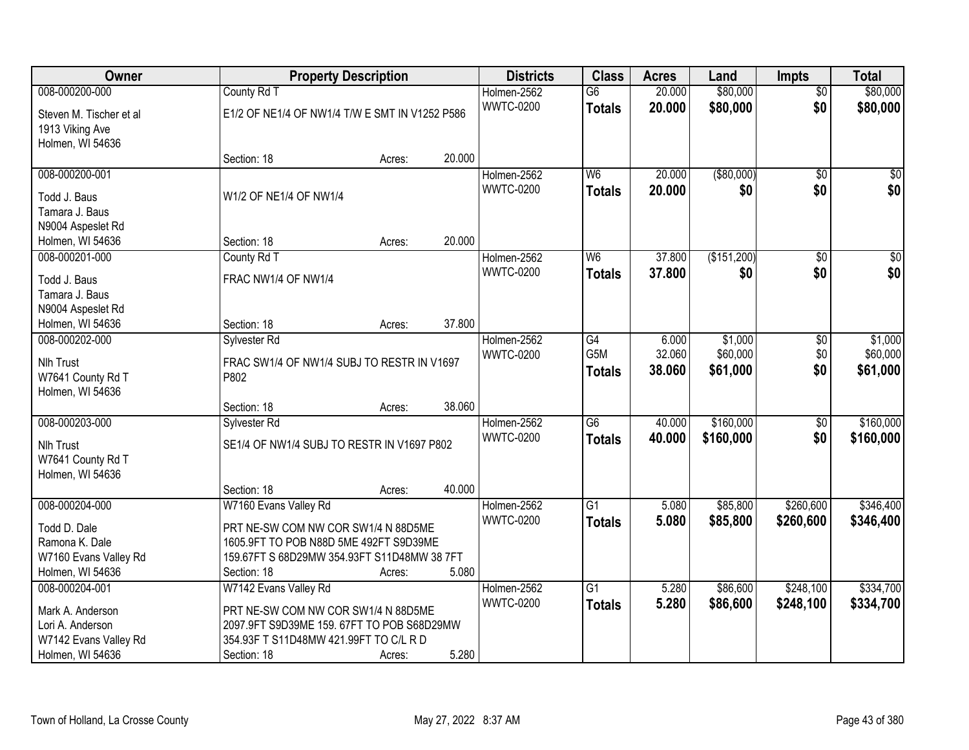| Owner                          |                                                | <b>Property Description</b> |        | <b>Districts</b> | <b>Class</b>    | <b>Acres</b> | Land        | <b>Impts</b>    | <b>Total</b>     |
|--------------------------------|------------------------------------------------|-----------------------------|--------|------------------|-----------------|--------------|-------------|-----------------|------------------|
| 008-000200-000                 | County Rd T                                    |                             |        | Holmen-2562      | $\overline{G6}$ | 20.000       | \$80,000    | $\overline{50}$ | \$80,000         |
| Steven M. Tischer et al        | E1/2 OF NE1/4 OF NW1/4 T/W E SMT IN V1252 P586 |                             |        | <b>WWTC-0200</b> | <b>Totals</b>   | 20.000       | \$80,000    | \$0             | \$80,000         |
| 1913 Viking Ave                |                                                |                             |        |                  |                 |              |             |                 |                  |
| Holmen, WI 54636               |                                                |                             |        |                  |                 |              |             |                 |                  |
|                                | Section: 18                                    | Acres:                      | 20.000 |                  |                 |              |             |                 |                  |
| 008-000200-001                 |                                                |                             |        | Holmen-2562      | W <sub>6</sub>  | 20.000       | ( \$80,000) | $\overline{50}$ | \$0              |
|                                | W1/2 OF NE1/4 OF NW1/4                         |                             |        | <b>WWTC-0200</b> | <b>Totals</b>   | 20.000       | \$0         | \$0             | \$0              |
| Todd J. Baus<br>Tamara J. Baus |                                                |                             |        |                  |                 |              |             |                 |                  |
| N9004 Aspeslet Rd              |                                                |                             |        |                  |                 |              |             |                 |                  |
| Holmen, WI 54636               | Section: 18                                    | Acres:                      | 20.000 |                  |                 |              |             |                 |                  |
| 008-000201-000                 | County Rd T                                    |                             |        | Holmen-2562      | W <sub>6</sub>  | 37.800       | (\$151,200) | \$0             | $\overline{\$0}$ |
|                                |                                                |                             |        | <b>WWTC-0200</b> |                 | 37.800       | \$0         | \$0             | \$0              |
| Todd J. Baus                   | FRAC NW1/4 OF NW1/4                            |                             |        |                  | <b>Totals</b>   |              |             |                 |                  |
| Tamara J. Baus                 |                                                |                             |        |                  |                 |              |             |                 |                  |
| N9004 Aspeslet Rd              |                                                |                             |        |                  |                 |              |             |                 |                  |
| Holmen, WI 54636               | Section: 18                                    | Acres:                      | 37.800 |                  |                 |              |             |                 |                  |
| 008-000202-000                 | Sylvester Rd                                   |                             |        | Holmen-2562      | G4              | 6.000        | \$1,000     | \$0             | \$1,000          |
| <b>Nlh Trust</b>               | FRAC SW1/4 OF NW1/4 SUBJ TO RESTR IN V1697     |                             |        | <b>WWTC-0200</b> | G5M             | 32.060       | \$60,000    | \$0             | \$60,000         |
| W7641 County Rd T              | P802                                           |                             |        |                  | <b>Totals</b>   | 38.060       | \$61,000    | \$0             | \$61,000         |
| Holmen, WI 54636               |                                                |                             |        |                  |                 |              |             |                 |                  |
|                                | Section: 18                                    | Acres:                      | 38.060 |                  |                 |              |             |                 |                  |
| 008-000203-000                 | Sylvester Rd                                   |                             |        | Holmen-2562      | $\overline{G6}$ | 40.000       | \$160,000   | $\overline{$0}$ | \$160,000        |
|                                |                                                |                             |        | <b>WWTC-0200</b> |                 | 40.000       |             | \$0             |                  |
| Nlh Trust                      | SE1/4 OF NW1/4 SUBJ TO RESTR IN V1697 P802     |                             |        |                  | <b>Totals</b>   |              | \$160,000   |                 | \$160,000        |
| W7641 County Rd T              |                                                |                             |        |                  |                 |              |             |                 |                  |
| Holmen, WI 54636               |                                                |                             |        |                  |                 |              |             |                 |                  |
|                                | Section: 18                                    | Acres:                      | 40.000 |                  |                 |              |             |                 |                  |
| 008-000204-000                 | W7160 Evans Valley Rd                          |                             |        | Holmen-2562      | $\overline{G1}$ | 5.080        | \$85,800    | \$260,600       | \$346,400        |
| Todd D. Dale                   | PRT NE-SW COM NW COR SW1/4 N 88D5ME            |                             |        | <b>WWTC-0200</b> | <b>Totals</b>   | 5.080        | \$85,800    | \$260,600       | \$346,400        |
| Ramona K. Dale                 | 1605.9FT TO POB N88D 5ME 492FT S9D39ME         |                             |        |                  |                 |              |             |                 |                  |
| W7160 Evans Valley Rd          | 159.67FT S 68D29MW 354.93FT S11D48MW 38 7FT    |                             |        |                  |                 |              |             |                 |                  |
| Holmen, WI 54636               | Section: 18                                    | Acres:                      | 5.080  |                  |                 |              |             |                 |                  |
| 008-000204-001                 | W7142 Evans Valley Rd                          |                             |        | Holmen-2562      | $\overline{G1}$ | 5.280        | \$86,600    | \$248,100       | \$334,700        |
|                                |                                                |                             |        | <b>WWTC-0200</b> | <b>Totals</b>   | 5.280        | \$86,600    | \$248,100       | \$334,700        |
| Mark A. Anderson               | PRT NE-SW COM NW COR SW1/4 N 88D5ME            |                             |        |                  |                 |              |             |                 |                  |
| Lori A. Anderson               | 2097.9FT S9D39ME 159.67FT TO POB S68D29MW      |                             |        |                  |                 |              |             |                 |                  |
| W7142 Evans Valley Rd          | 354.93F T S11D48MW 421.99FT TO C/L R D         |                             |        |                  |                 |              |             |                 |                  |
| Holmen, WI 54636               | Section: 18                                    | Acres:                      | 5.280  |                  |                 |              |             |                 |                  |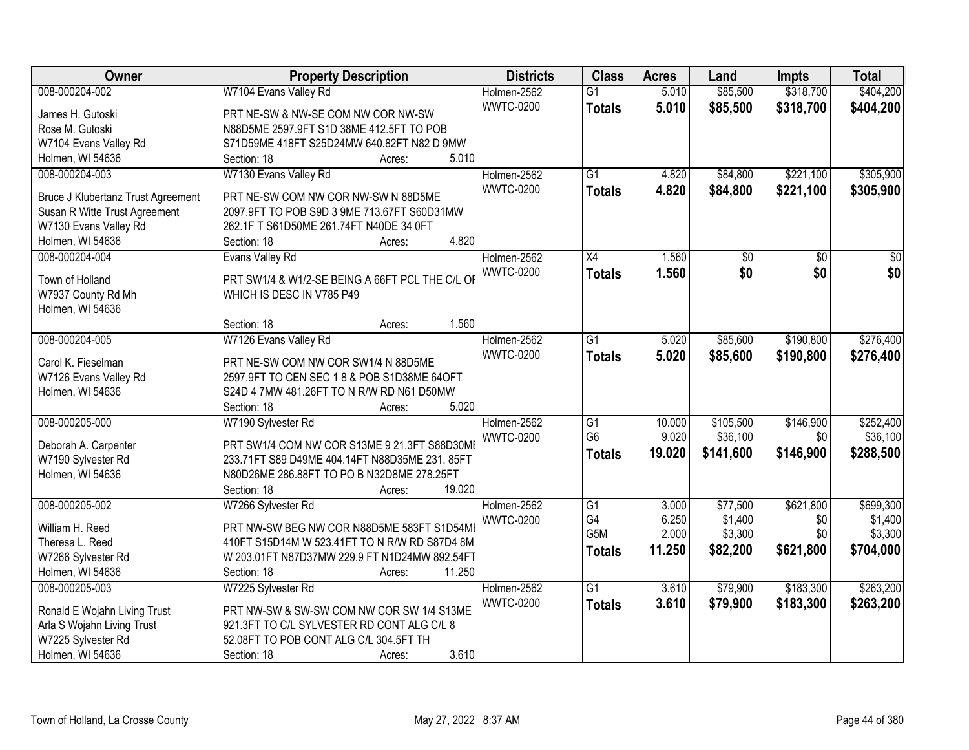| Owner                                                      | <b>Property Description</b>                     | <b>Districts</b> | <b>Class</b>     | <b>Acres</b> | Land            | Impts           | <b>Total</b>    |
|------------------------------------------------------------|-------------------------------------------------|------------------|------------------|--------------|-----------------|-----------------|-----------------|
| 008-000204-002                                             | W7104 Evans Valley Rd                           | Holmen-2562      | $\overline{G1}$  | 5.010        | \$85,500        | \$318,700       | \$404,200       |
| James H. Gutoski                                           | PRT NE-SW & NW-SE COM NW COR NW-SW              | <b>WWTC-0200</b> | <b>Totals</b>    | 5.010        | \$85,500        | \$318,700       | \$404,200       |
| Rose M. Gutoski                                            | N88D5ME 2597.9FT S1D 38ME 412.5FT TO POB        |                  |                  |              |                 |                 |                 |
| W7104 Evans Valley Rd                                      | S71D59ME 418FT S25D24MW 640.82FT N82 D 9MW      |                  |                  |              |                 |                 |                 |
| Holmen, WI 54636                                           | 5.010<br>Section: 18<br>Acres:                  |                  |                  |              |                 |                 |                 |
| 008-000204-003                                             | W7130 Evans Valley Rd                           | Holmen-2562      | $\overline{G1}$  | 4.820        | \$84,800        | \$221,100       | \$305,900       |
|                                                            |                                                 | <b>WWTC-0200</b> | <b>Totals</b>    | 4.820        | \$84,800        | \$221,100       | \$305,900       |
| Bruce J Klubertanz Trust Agreement                         | PRT NE-SW COM NW COR NW-SW N 88D5ME             |                  |                  |              |                 |                 |                 |
| Susan R Witte Trust Agreement                              | 2097.9FT TO POB S9D 3 9ME 713.67FT S60D31MW     |                  |                  |              |                 |                 |                 |
| W7130 Evans Valley Rd                                      | 262.1F T S61D50ME 261.74FT N40DE 34 0FT         |                  |                  |              |                 |                 |                 |
| Holmen, WI 54636                                           | 4.820<br>Section: 18<br>Acres:                  |                  |                  |              |                 |                 |                 |
| 008-000204-004                                             | Evans Valley Rd                                 | Holmen-2562      | $\overline{X4}$  | 1.560        | $\overline{50}$ | $\overline{50}$ | $\overline{50}$ |
| Town of Holland                                            | PRT SW1/4 & W1/2-SE BEING A 66FT PCL THE C/L OF | <b>WWTC-0200</b> | <b>Totals</b>    | 1.560        | \$0             | \$0             | \$0             |
| W7937 County Rd Mh                                         | WHICH IS DESC IN V785 P49                       |                  |                  |              |                 |                 |                 |
| Holmen, WI 54636                                           |                                                 |                  |                  |              |                 |                 |                 |
|                                                            | 1.560<br>Section: 18<br>Acres:                  |                  |                  |              |                 |                 |                 |
| 008-000204-005                                             | W7126 Evans Valley Rd                           | Holmen-2562      | $\overline{G1}$  | 5.020        | \$85,600        | \$190,800       | \$276,400       |
|                                                            |                                                 | <b>WWTC-0200</b> | <b>Totals</b>    | 5.020        | \$85,600        | \$190,800       | \$276,400       |
| Carol K. Fieselman                                         | PRT NE-SW COM NW COR SW1/4 N 88D5ME             |                  |                  |              |                 |                 |                 |
| W7126 Evans Valley Rd                                      | 2597.9FT TO CEN SEC 1 8 & POB S1D38ME 64OFT     |                  |                  |              |                 |                 |                 |
| Holmen, WI 54636                                           | S24D 4 7MW 481.26FT TO N R/W RD N61 D50MW       |                  |                  |              |                 |                 |                 |
|                                                            | 5.020<br>Section: 18<br>Acres:                  |                  |                  |              |                 |                 |                 |
| 008-000205-000                                             | W7190 Sylvester Rd                              | Holmen-2562      | $\overline{G1}$  | 10.000       | \$105,500       | \$146,900       | \$252,400       |
| Deborah A. Carpenter                                       | PRT SW1/4 COM NW COR S13ME 9 21.3FT S88D30MI    | <b>WWTC-0200</b> | G <sub>6</sub>   | 9.020        | \$36,100        | \$0             | \$36,100        |
| W7190 Sylvester Rd                                         | 233.71FT S89 D49ME 404.14FT N88D35ME 231.85FT   |                  | <b>Totals</b>    | 19.020       | \$141,600       | \$146,900       | \$288,500       |
| Holmen, WI 54636                                           | N80D26ME 286.88FT TO PO B N32D8ME 278.25FT      |                  |                  |              |                 |                 |                 |
|                                                            | 19.020<br>Section: 18<br>Acres:                 |                  |                  |              |                 |                 |                 |
| 008-000205-002                                             | W7266 Sylvester Rd                              | Holmen-2562      | $\overline{G1}$  | 3.000        | \$77,500        | \$621,800       | \$699,300       |
|                                                            |                                                 | <b>WWTC-0200</b> | G4               | 6.250        | \$1,400         | \$0             | \$1,400         |
| William H. Reed                                            | PRT NW-SW BEG NW COR N88D5ME 583FT S1D54ME      |                  | G <sub>5</sub> M | 2.000        | \$3,300         | \$0             | \$3,300         |
| Theresa L. Reed                                            | 410FT S15D14M W 523.41FT TO N R/W RD S87D4 8M   |                  | <b>Totals</b>    | 11.250       | \$82,200        | \$621,800       | \$704,000       |
| W7266 Sylvester Rd                                         | W 203.01FT N87D37MW 229.9 FT N1D24MW 892.54FT   |                  |                  |              |                 |                 |                 |
| Holmen, WI 54636                                           | Section: 18<br>11.250<br>Acres:                 |                  |                  |              |                 |                 |                 |
| 008-000205-003                                             | W7225 Sylvester Rd                              | Holmen-2562      | $\overline{G1}$  | 3.610        | \$79,900        | \$183,300       | \$263,200       |
|                                                            | PRT NW-SW & SW-SW COM NW COR SW 1/4 S13ME       | <b>WWTC-0200</b> | <b>Totals</b>    | 3.610        | \$79,900        | \$183,300       | \$263,200       |
| Ronald E Wojahn Living Trust<br>Arla S Wojahn Living Trust | 921.3FT TO C/L SYLVESTER RD CONT ALG C/L 8      |                  |                  |              |                 |                 |                 |
| W7225 Sylvester Rd                                         | 52.08FT TO POB CONT ALG C/L 304.5FT TH          |                  |                  |              |                 |                 |                 |
| Holmen, WI 54636                                           | 3.610<br>Section: 18<br>Acres:                  |                  |                  |              |                 |                 |                 |
|                                                            |                                                 |                  |                  |              |                 |                 |                 |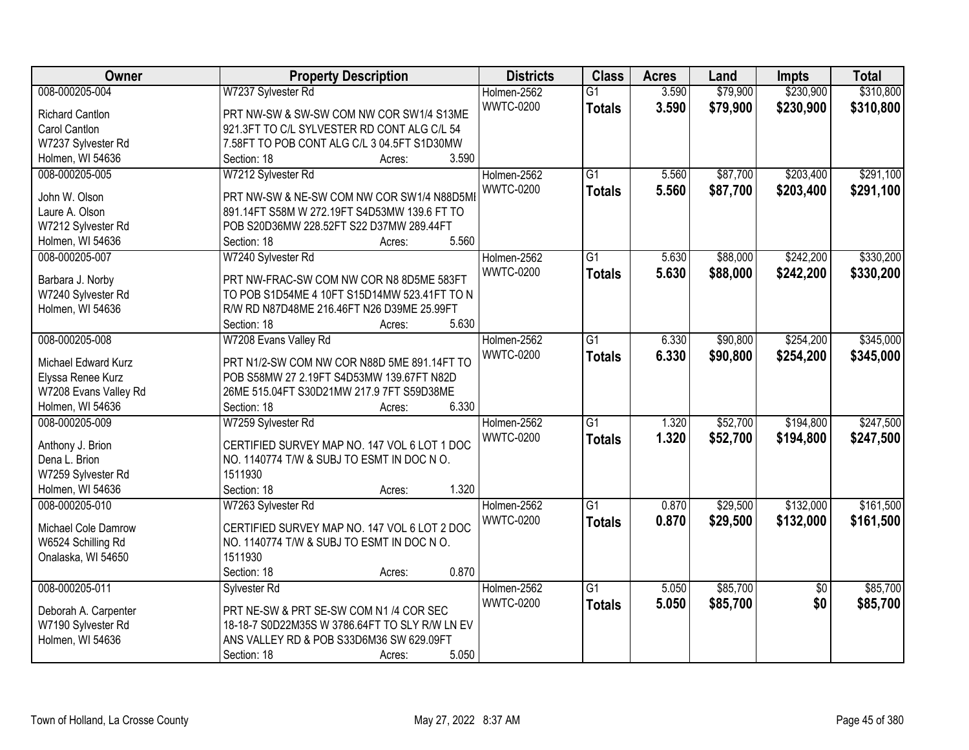| Owner                  | <b>Property Description</b>                    | <b>Districts</b> | <b>Class</b>    | <b>Acres</b> | Land     | <b>Impts</b>    | <b>Total</b> |
|------------------------|------------------------------------------------|------------------|-----------------|--------------|----------|-----------------|--------------|
| 008-000205-004         | W7237 Sylvester Rd                             | Holmen-2562      | $\overline{G1}$ | 3.590        | \$79,900 | \$230,900       | \$310,800    |
| <b>Richard Cantlon</b> | PRT NW-SW & SW-SW COM NW COR SW1/4 S13ME       | <b>WWTC-0200</b> | <b>Totals</b>   | 3.590        | \$79,900 | \$230,900       | \$310,800    |
| Carol Cantlon          | 921.3FT TO C/L SYLVESTER RD CONT ALG C/L 54    |                  |                 |              |          |                 |              |
| W7237 Sylvester Rd     | 7.58FT TO POB CONT ALG C/L 3 04.5FT S1D30MW    |                  |                 |              |          |                 |              |
| Holmen, WI 54636       | 3.590<br>Section: 18<br>Acres:                 |                  |                 |              |          |                 |              |
| 008-000205-005         | W7212 Sylvester Rd                             | Holmen-2562      | $\overline{G1}$ | 5.560        | \$87,700 | \$203,400       | \$291,100    |
|                        |                                                | <b>WWTC-0200</b> | <b>Totals</b>   | 5.560        | \$87,700 | \$203,400       | \$291,100    |
| John W. Olson          | PRT NW-SW & NE-SW COM NW COR SW1/4 N88D5MI     |                  |                 |              |          |                 |              |
| Laure A. Olson         | 891.14FT S58M W 272.19FT S4D53MW 139.6 FT TO   |                  |                 |              |          |                 |              |
| W7212 Sylvester Rd     | POB S20D36MW 228.52FT S22 D37MW 289.44FT       |                  |                 |              |          |                 |              |
| Holmen, WI 54636       | 5.560<br>Section: 18<br>Acres:                 |                  |                 |              |          |                 |              |
| 008-000205-007         | W7240 Sylvester Rd                             | Holmen-2562      | $\overline{G1}$ | 5.630        | \$88,000 | \$242,200       | \$330,200    |
| Barbara J. Norby       | PRT NW-FRAC-SW COM NW COR N8 8D5ME 583FT       | <b>WWTC-0200</b> | <b>Totals</b>   | 5.630        | \$88,000 | \$242,200       | \$330,200    |
| W7240 Sylvester Rd     | TO POB S1D54ME 4 10FT S15D14MW 523.41FT TO N   |                  |                 |              |          |                 |              |
| Holmen, WI 54636       | R/W RD N87D48ME 216.46FT N26 D39ME 25.99FT     |                  |                 |              |          |                 |              |
|                        | 5.630<br>Section: 18<br>Acres:                 |                  |                 |              |          |                 |              |
| 008-000205-008         | W7208 Evans Valley Rd                          | Holmen-2562      | $\overline{G1}$ | 6.330        | \$90,800 | \$254,200       | \$345,000    |
|                        |                                                | <b>WWTC-0200</b> | <b>Totals</b>   | 6.330        | \$90,800 | \$254,200       | \$345,000    |
| Michael Edward Kurz    | PRT N1/2-SW COM NW COR N88D 5ME 891.14FT TO    |                  |                 |              |          |                 |              |
| Elyssa Renee Kurz      | POB S58MW 27 2.19FT S4D53MW 139.67FT N82D      |                  |                 |              |          |                 |              |
| W7208 Evans Valley Rd  | 26ME 515.04FT S30D21MW 217.9 7FT S59D38ME      |                  |                 |              |          |                 |              |
| Holmen, WI 54636       | 6.330<br>Section: 18<br>Acres:                 |                  |                 |              |          |                 |              |
| 008-000205-009         | W7259 Sylvester Rd                             | Holmen-2562      | $\overline{G1}$ | 1.320        | \$52,700 | \$194,800       | \$247,500    |
| Anthony J. Brion       | CERTIFIED SURVEY MAP NO. 147 VOL 6 LOT 1 DOC   | <b>WWTC-0200</b> | <b>Totals</b>   | 1.320        | \$52,700 | \$194,800       | \$247,500    |
| Dena L. Brion          | NO. 1140774 T/W & SUBJ TO ESMT IN DOC NO.      |                  |                 |              |          |                 |              |
| W7259 Sylvester Rd     | 1511930                                        |                  |                 |              |          |                 |              |
| Holmen, WI 54636       | 1.320<br>Section: 18<br>Acres:                 |                  |                 |              |          |                 |              |
| 008-000205-010         |                                                | Holmen-2562      | $\overline{G1}$ | 0.870        | \$29,500 | \$132,000       | \$161,500    |
|                        | W7263 Sylvester Rd                             |                  |                 |              |          |                 |              |
| Michael Cole Damrow    | CERTIFIED SURVEY MAP NO. 147 VOL 6 LOT 2 DOC   | <b>WWTC-0200</b> | <b>Totals</b>   | 0.870        | \$29,500 | \$132,000       | \$161,500    |
| W6524 Schilling Rd     | NO. 1140774 T/W & SUBJ TO ESMT IN DOC NO.      |                  |                 |              |          |                 |              |
| Onalaska, WI 54650     | 1511930                                        |                  |                 |              |          |                 |              |
|                        | 0.870<br>Section: 18<br>Acres:                 |                  |                 |              |          |                 |              |
| 008-000205-011         | Sylvester Rd                                   | Holmen-2562      | $\overline{G1}$ | 5.050        | \$85,700 | $\overline{50}$ | \$85,700     |
|                        |                                                | <b>WWTC-0200</b> | <b>Totals</b>   | 5.050        | \$85,700 | \$0             | \$85,700     |
| Deborah A. Carpenter   | PRT NE-SW & PRT SE-SW COM N1 /4 COR SEC        |                  |                 |              |          |                 |              |
| W7190 Sylvester Rd     | 18-18-7 S0D22M35S W 3786.64FT TO SLY R/W LN EV |                  |                 |              |          |                 |              |
| Holmen, WI 54636       | ANS VALLEY RD & POB S33D6M36 SW 629.09FT       |                  |                 |              |          |                 |              |
|                        | 5.050<br>Section: 18<br>Acres:                 |                  |                 |              |          |                 |              |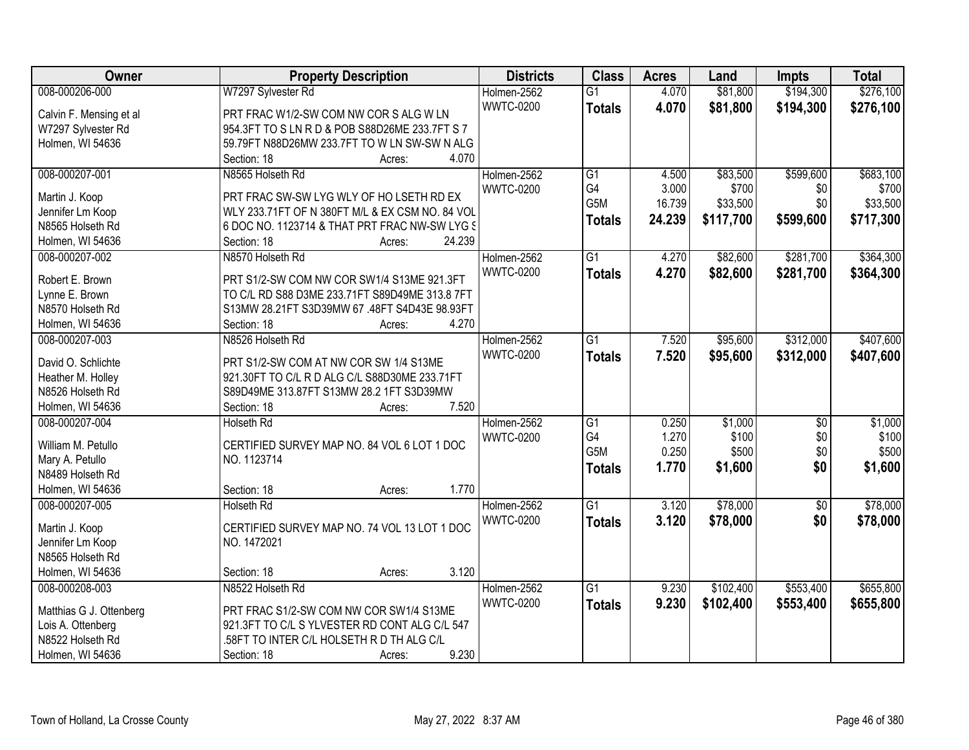| Owner                               | <b>Property Description</b>                     | <b>Districts</b> | <b>Class</b>    | <b>Acres</b> | Land      | <b>Impts</b> | <b>Total</b> |
|-------------------------------------|-------------------------------------------------|------------------|-----------------|--------------|-----------|--------------|--------------|
| 008-000206-000                      | W7297 Sylvester Rd                              | Holmen-2562      | $\overline{G1}$ | 4.070        | \$81,800  | \$194,300    | \$276,100    |
| Calvin F. Mensing et al             | PRT FRAC W1/2-SW COM NW COR S ALG W LN          | <b>WWTC-0200</b> | <b>Totals</b>   | 4.070        | \$81,800  | \$194,300    | \$276,100    |
| W7297 Sylvester Rd                  | 954.3FT TO S LN R D & POB S88D26ME 233.7FT S 7  |                  |                 |              |           |              |              |
| Holmen, WI 54636                    | 59.79FT N88D26MW 233.7FT TO W LN SW-SW N ALG    |                  |                 |              |           |              |              |
|                                     | 4.070<br>Section: 18<br>Acres:                  |                  |                 |              |           |              |              |
| 008-000207-001                      | N8565 Holseth Rd                                | Holmen-2562      | $\overline{G1}$ | 4.500        | \$83,500  | \$599,600    | \$683,100    |
|                                     |                                                 | <b>WWTC-0200</b> | G4              | 3.000        | \$700     | \$0          | \$700        |
| Martin J. Koop                      | PRT FRAC SW-SW LYG WLY OF HO LSETH RD EX        |                  | G5M             | 16.739       | \$33,500  | \$0          | \$33,500     |
| Jennifer Lm Koop                    | WLY 233.71FT OF N 380FT M/L & EX CSM NO. 84 VOL |                  | <b>Totals</b>   | 24.239       | \$117,700 | \$599,600    | \$717,300    |
| N8565 Holseth Rd                    | 6 DOC NO. 1123714 & THAT PRT FRAC NW-SW LYG S   |                  |                 |              |           |              |              |
| Holmen, WI 54636                    | 24.239<br>Section: 18<br>Acres:                 |                  |                 |              |           |              |              |
| 008-000207-002                      | N8570 Holseth Rd                                | Holmen-2562      | G1              | 4.270        | \$82,600  | \$281,700    | \$364,300    |
| Robert E. Brown                     | PRT S1/2-SW COM NW COR SW1/4 S13ME 921.3FT      | <b>WWTC-0200</b> | <b>Totals</b>   | 4.270        | \$82,600  | \$281,700    | \$364,300    |
| Lynne E. Brown                      | TO C/L RD S88 D3ME 233.71FT S89D49ME 313.8 7FT  |                  |                 |              |           |              |              |
| N8570 Holseth Rd                    | S13MW 28.21FT S3D39MW 67 .48FT S4D43E 98.93FT   |                  |                 |              |           |              |              |
| Holmen, WI 54636                    | Section: 18<br>4.270<br>Acres:                  |                  |                 |              |           |              |              |
| 008-000207-003                      | N8526 Holseth Rd                                | Holmen-2562      | $\overline{G1}$ | 7.520        | \$95,600  | \$312,000    | \$407,600    |
|                                     |                                                 | <b>WWTC-0200</b> | <b>Totals</b>   | 7.520        | \$95,600  | \$312,000    | \$407,600    |
| David O. Schlichte                  | PRT S1/2-SW COM AT NW COR SW 1/4 S13ME          |                  |                 |              |           |              |              |
| Heather M. Holley                   | 921.30FT TO C/L R D ALG C/L S88D30ME 233.71FT   |                  |                 |              |           |              |              |
| N8526 Holseth Rd                    | S89D49ME 313.87FT S13MW 28.2 1FT S3D39MW        |                  |                 |              |           |              |              |
| Holmen, WI 54636                    | 7.520<br>Section: 18<br>Acres:                  |                  |                 |              |           |              |              |
| 008-000207-004                      | <b>Holseth Rd</b>                               | Holmen-2562      | $\overline{G1}$ | 0.250        | \$1,000   | \$0          | \$1,000      |
| William M. Petullo                  | CERTIFIED SURVEY MAP NO. 84 VOL 6 LOT 1 DOC     | <b>WWTC-0200</b> | G4              | 1.270        | \$100     | \$0          | \$100        |
|                                     | NO. 1123714                                     |                  | G5M             | 0.250        | \$500     | \$0          | \$500        |
| Mary A. Petullo<br>N8489 Holseth Rd |                                                 |                  | <b>Totals</b>   | 1.770        | \$1,600   | \$0          | \$1,600      |
|                                     | 1.770                                           |                  |                 |              |           |              |              |
| Holmen, WI 54636                    | Section: 18<br>Acres:                           |                  |                 |              |           |              |              |
| 008-000207-005                      | <b>Holseth Rd</b>                               | Holmen-2562      | $\overline{G1}$ | 3.120        | \$78,000  | $\sqrt{6}$   | \$78,000     |
| Martin J. Koop                      | CERTIFIED SURVEY MAP NO. 74 VOL 13 LOT 1 DOC    | <b>WWTC-0200</b> | <b>Totals</b>   | 3.120        | \$78,000  | \$0          | \$78,000     |
| Jennifer Lm Koop                    | NO. 1472021                                     |                  |                 |              |           |              |              |
| N8565 Holseth Rd                    |                                                 |                  |                 |              |           |              |              |
| Holmen, WI 54636                    | 3.120<br>Section: 18<br>Acres:                  |                  |                 |              |           |              |              |
| 008-000208-003                      | N8522 Holseth Rd                                | Holmen-2562      | $\overline{G1}$ | 9.230        | \$102,400 | \$553,400    | \$655,800    |
|                                     |                                                 | <b>WWTC-0200</b> | <b>Totals</b>   | 9.230        | \$102,400 | \$553,400    | \$655,800    |
| Matthias G J. Ottenberg             | PRT FRAC S1/2-SW COM NW COR SW1/4 S13ME         |                  |                 |              |           |              |              |
| Lois A. Ottenberg                   | 921.3FT TO C/L S YLVESTER RD CONT ALG C/L 547   |                  |                 |              |           |              |              |
| N8522 Holseth Rd                    | .58FT TO INTER C/L HOLSETH R D TH ALG C/L       |                  |                 |              |           |              |              |
| Holmen, WI 54636                    | 9.230<br>Section: 18<br>Acres:                  |                  |                 |              |           |              |              |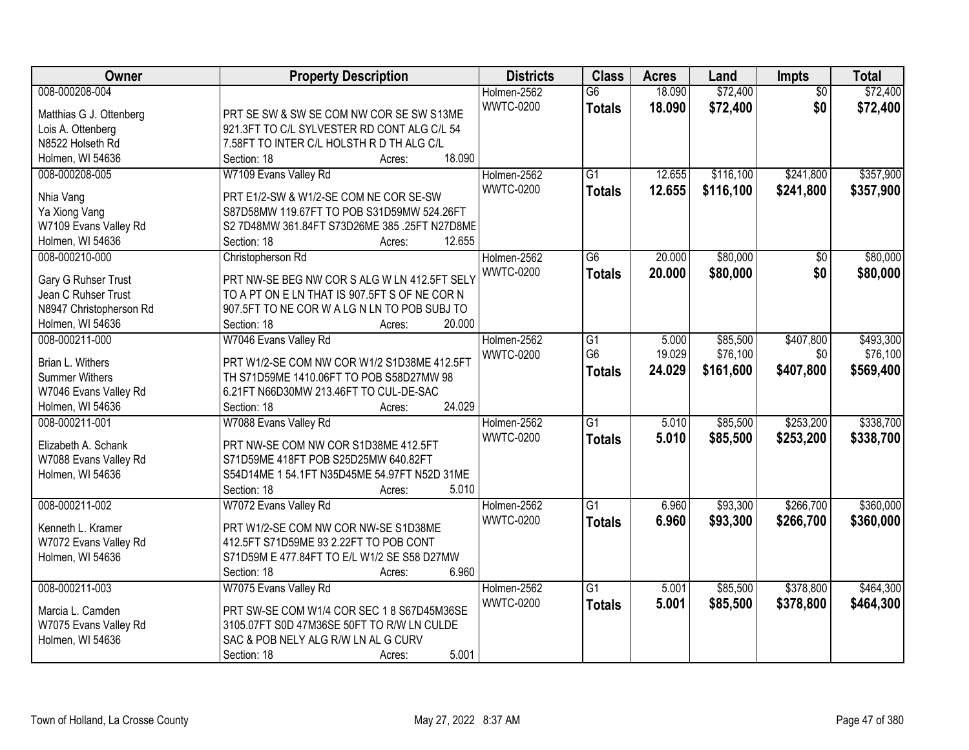| Owner                   | <b>Property Description</b>                   | <b>Districts</b> | <b>Class</b>    | <b>Acres</b> | Land      | Impts           | <b>Total</b> |
|-------------------------|-----------------------------------------------|------------------|-----------------|--------------|-----------|-----------------|--------------|
| 008-000208-004          |                                               | Holmen-2562      | $\overline{G6}$ | 18.090       | \$72,400  | $\overline{50}$ | \$72,400     |
| Matthias G J. Ottenberg | PRT SE SW & SW SE COM NW COR SE SW S13ME      | <b>WWTC-0200</b> | <b>Totals</b>   | 18.090       | \$72,400  | \$0             | \$72,400     |
| Lois A. Ottenberg       | 921.3FT TO C/L SYLVESTER RD CONT ALG C/L 54   |                  |                 |              |           |                 |              |
| N8522 Holseth Rd        | 7.58FT TO INTER C/L HOLSTH R D TH ALG C/L     |                  |                 |              |           |                 |              |
| Holmen, WI 54636        | 18.090<br>Section: 18<br>Acres:               |                  |                 |              |           |                 |              |
| 008-000208-005          | W7109 Evans Valley Rd                         | Holmen-2562      | $\overline{G1}$ | 12.655       | \$116,100 | \$241,800       | \$357,900    |
|                         |                                               | <b>WWTC-0200</b> | <b>Totals</b>   | 12.655       | \$116,100 | \$241,800       | \$357,900    |
| Nhia Vang               | PRT E1/2-SW & W1/2-SE COM NE COR SE-SW        |                  |                 |              |           |                 |              |
| Ya Xiong Vang           | S87D58MW 119.67FT TO POB S31D59MW 524.26FT    |                  |                 |              |           |                 |              |
| W7109 Evans Valley Rd   | S2 7D48MW 361.84FT S73D26ME 385 .25FT N27D8ME |                  |                 |              |           |                 |              |
| Holmen, WI 54636        | 12.655<br>Section: 18<br>Acres:               |                  |                 |              |           |                 |              |
| 008-000210-000          | Christopherson Rd                             | Holmen-2562      | G <sub>6</sub>  | 20.000       | \$80,000  | \$0             | \$80,000     |
| Gary G Ruhser Trust     | PRT NW-SE BEG NW COR S ALG W LN 412.5FT SELY  | <b>WWTC-0200</b> | <b>Totals</b>   | 20.000       | \$80,000  | \$0             | \$80,000     |
| Jean C Ruhser Trust     | TO A PT ON E LN THAT IS 907.5FT S OF NE COR N |                  |                 |              |           |                 |              |
| N8947 Christopherson Rd | 907.5FT TO NE COR W A LG N LN TO POB SUBJ TO  |                  |                 |              |           |                 |              |
| Holmen, WI 54636        | 20.000<br>Section: 18<br>Acres:               |                  |                 |              |           |                 |              |
| 008-000211-000          | W7046 Evans Valley Rd                         | Holmen-2562      | $\overline{G1}$ | 5.000        | \$85,500  | \$407,800       | \$493,300    |
|                         |                                               | <b>WWTC-0200</b> | G <sub>6</sub>  | 19.029       | \$76,100  | \$0             | \$76,100     |
| Brian L. Withers        | PRT W1/2-SE COM NW COR W1/2 S1D38ME 412.5FT   |                  | <b>Totals</b>   | 24.029       | \$161,600 | \$407,800       | \$569,400    |
| <b>Summer Withers</b>   | TH S71D59ME 1410.06FT TO POB S58D27MW 98      |                  |                 |              |           |                 |              |
| W7046 Evans Valley Rd   | 6.21FT N66D30MW 213.46FT TO CUL-DE-SAC        |                  |                 |              |           |                 |              |
| Holmen, WI 54636        | 24.029<br>Section: 18<br>Acres:               |                  |                 |              |           |                 |              |
| 008-000211-001          | W7088 Evans Valley Rd                         | Holmen-2562      | $\overline{G1}$ | 5.010        | \$85,500  | \$253,200       | \$338,700    |
| Elizabeth A. Schank     | PRT NW-SE COM NW COR S1D38ME 412.5FT          | <b>WWTC-0200</b> | <b>Totals</b>   | 5.010        | \$85,500  | \$253,200       | \$338,700    |
| W7088 Evans Valley Rd   | S71D59ME 418FT POB S25D25MW 640.82FT          |                  |                 |              |           |                 |              |
| Holmen, WI 54636        | S54D14ME 1 54.1FT N35D45ME 54.97FT N52D 31ME  |                  |                 |              |           |                 |              |
|                         | 5.010<br>Section: 18<br>Acres:                |                  |                 |              |           |                 |              |
| 008-000211-002          | W7072 Evans Valley Rd                         | Holmen-2562      | $\overline{G1}$ | 6.960        | \$93,300  | \$266,700       | \$360,000    |
|                         |                                               | <b>WWTC-0200</b> | <b>Totals</b>   | 6.960        | \$93,300  | \$266,700       | \$360,000    |
| Kenneth L. Kramer       | PRT W1/2-SE COM NW COR NW-SE S1D38ME          |                  |                 |              |           |                 |              |
| W7072 Evans Valley Rd   | 412.5FT S71D59ME 93 2.22FT TO POB CONT        |                  |                 |              |           |                 |              |
| Holmen, WI 54636        | S71D59M E 477.84FT TO E/L W1/2 SE S58 D27MW   |                  |                 |              |           |                 |              |
|                         | 6.960<br>Section: 18<br>Acres:                |                  |                 |              |           |                 |              |
| 008-000211-003          | W7075 Evans Valley Rd                         | Holmen-2562      | $\overline{G1}$ | 5.001        | \$85,500  | \$378,800       | \$464,300    |
| Marcia L. Camden        | PRT SW-SE COM W1/4 COR SEC 1 8 S67D45M36SE    | <b>WWTC-0200</b> | <b>Totals</b>   | 5.001        | \$85,500  | \$378,800       | \$464,300    |
| W7075 Evans Valley Rd   | 3105.07FT S0D 47M36SE 50FT TO R/W LN CULDE    |                  |                 |              |           |                 |              |
| Holmen, WI 54636        | SAC & POB NELY ALG R/W LN AL G CURV           |                  |                 |              |           |                 |              |
|                         | 5.001<br>Section: 18<br>Acres:                |                  |                 |              |           |                 |              |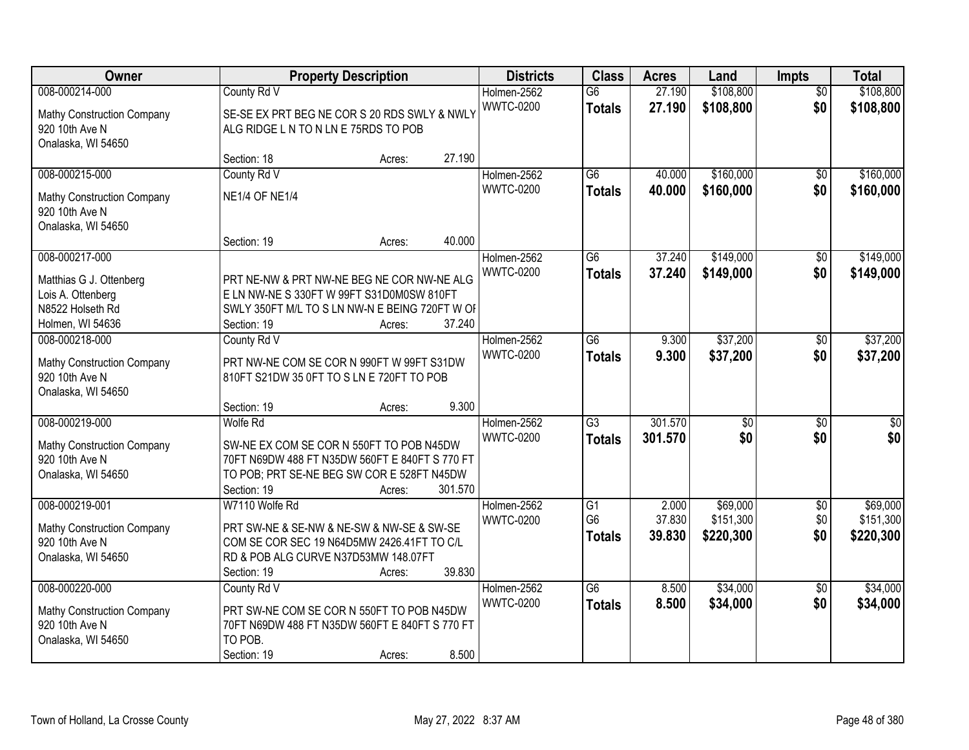| Owner                      |                                                | <b>Property Description</b> |         | <b>Districts</b> | <b>Class</b>    | <b>Acres</b> | Land            | <b>Impts</b>    | <b>Total</b> |
|----------------------------|------------------------------------------------|-----------------------------|---------|------------------|-----------------|--------------|-----------------|-----------------|--------------|
| 008-000214-000             | County Rd V                                    |                             |         | Holmen-2562      | $\overline{G6}$ | 27.190       | \$108,800       | $\overline{30}$ | \$108,800    |
| Mathy Construction Company | SE-SE EX PRT BEG NE COR S 20 RDS SWLY & NWLY   |                             |         | <b>WWTC-0200</b> | <b>Totals</b>   | 27.190       | \$108,800       | \$0             | \$108,800    |
| 920 10th Ave N             | ALG RIDGE L N TO N LN E 75RDS TO POB           |                             |         |                  |                 |              |                 |                 |              |
| Onalaska, WI 54650         |                                                |                             |         |                  |                 |              |                 |                 |              |
|                            | Section: 18                                    | Acres:                      | 27.190  |                  |                 |              |                 |                 |              |
| 008-000215-000             | County Rd V                                    |                             |         | Holmen-2562      | $\overline{G6}$ | 40.000       | \$160,000       | $\overline{50}$ | \$160,000    |
| Mathy Construction Company | <b>NE1/4 OF NE1/4</b>                          |                             |         | <b>WWTC-0200</b> | <b>Totals</b>   | 40.000       | \$160,000       | \$0             | \$160,000    |
| 920 10th Ave N             |                                                |                             |         |                  |                 |              |                 |                 |              |
| Onalaska, WI 54650         |                                                |                             |         |                  |                 |              |                 |                 |              |
|                            | Section: 19                                    | Acres:                      | 40.000  |                  |                 |              |                 |                 |              |
| 008-000217-000             |                                                |                             |         | Holmen-2562      | G6              | 37.240       | \$149,000       | \$0             | \$149,000    |
| Matthias G J. Ottenberg    | PRT NE-NW & PRT NW-NE BEG NE COR NW-NE ALG     |                             |         | <b>WWTC-0200</b> | <b>Totals</b>   | 37.240       | \$149,000       | \$0             | \$149,000    |
| Lois A. Ottenberg          | E LN NW-NE S 330FT W 99FT S31D0M0SW 810FT      |                             |         |                  |                 |              |                 |                 |              |
| N8522 Holseth Rd           | SWLY 350FT M/L TO S LN NW-N E BEING 720FT W OF |                             |         |                  |                 |              |                 |                 |              |
| Holmen, WI 54636           | Section: 19                                    | Acres:                      | 37.240  |                  |                 |              |                 |                 |              |
| 008-000218-000             | County Rd V                                    |                             |         | Holmen-2562      | $\overline{G6}$ | 9.300        | \$37,200        | \$0             | \$37,200     |
| Mathy Construction Company | PRT NW-NE COM SE COR N 990FT W 99FT S31DW      |                             |         | <b>WWTC-0200</b> | <b>Totals</b>   | 9.300        | \$37,200        | \$0             | \$37,200     |
| 920 10th Ave N             | 810FT S21DW 35 0FT TO S LN E 720FT TO POB      |                             |         |                  |                 |              |                 |                 |              |
| Onalaska, WI 54650         |                                                |                             |         |                  |                 |              |                 |                 |              |
|                            | Section: 19                                    | Acres:                      | 9.300   |                  |                 |              |                 |                 |              |
| 008-000219-000             | <b>Wolfe Rd</b>                                |                             |         | Holmen-2562      | $\overline{G3}$ | 301.570      | $\overline{30}$ | $\overline{50}$ | \$0          |
| Mathy Construction Company | SW-NE EX COM SE COR N 550FT TO POB N45DW       |                             |         | <b>WWTC-0200</b> | <b>Totals</b>   | 301.570      | \$0             | \$0             | \$0          |
| 920 10th Ave N             | 70FT N69DW 488 FT N35DW 560FT E 840FT S 770 FT |                             |         |                  |                 |              |                 |                 |              |
| Onalaska, WI 54650         | TO POB; PRT SE-NE BEG SW COR E 528FT N45DW     |                             |         |                  |                 |              |                 |                 |              |
|                            | Section: 19                                    | Acres:                      | 301.570 |                  |                 |              |                 |                 |              |
| 008-000219-001             | W7110 Wolfe Rd                                 |                             |         | Holmen-2562      | $\overline{G1}$ | 2.000        | \$69,000        | $\sqrt{6}$      | \$69,000     |
| Mathy Construction Company | PRT SW-NE & SE-NW & NE-SW & NW-SE & SW-SE      |                             |         | <b>WWTC-0200</b> | G <sub>6</sub>  | 37.830       | \$151,300       | \$0             | \$151,300    |
| 920 10th Ave N             | COM SE COR SEC 19 N64D5MW 2426.41FT TO C/L     |                             |         |                  | <b>Totals</b>   | 39.830       | \$220,300       | \$0             | \$220,300    |
| Onalaska, WI 54650         | RD & POB ALG CURVE N37D53MW 148.07FT           |                             |         |                  |                 |              |                 |                 |              |
|                            | Section: 19                                    | Acres:                      | 39.830  |                  |                 |              |                 |                 |              |
| 008-000220-000             | County Rd V                                    |                             |         | Holmen-2562      | $\overline{G6}$ | 8.500        | \$34,000        | $\overline{50}$ | \$34,000     |
| Mathy Construction Company | PRT SW-NE COM SE COR N 550FT TO POB N45DW      |                             |         | <b>WWTC-0200</b> | <b>Totals</b>   | 8.500        | \$34,000        | \$0             | \$34,000     |
| 920 10th Ave N             | 70FT N69DW 488 FT N35DW 560FT E 840FT S 770 FT |                             |         |                  |                 |              |                 |                 |              |
| Onalaska, WI 54650         | TO POB.                                        |                             |         |                  |                 |              |                 |                 |              |
|                            | Section: 19                                    | Acres:                      | 8.500   |                  |                 |              |                 |                 |              |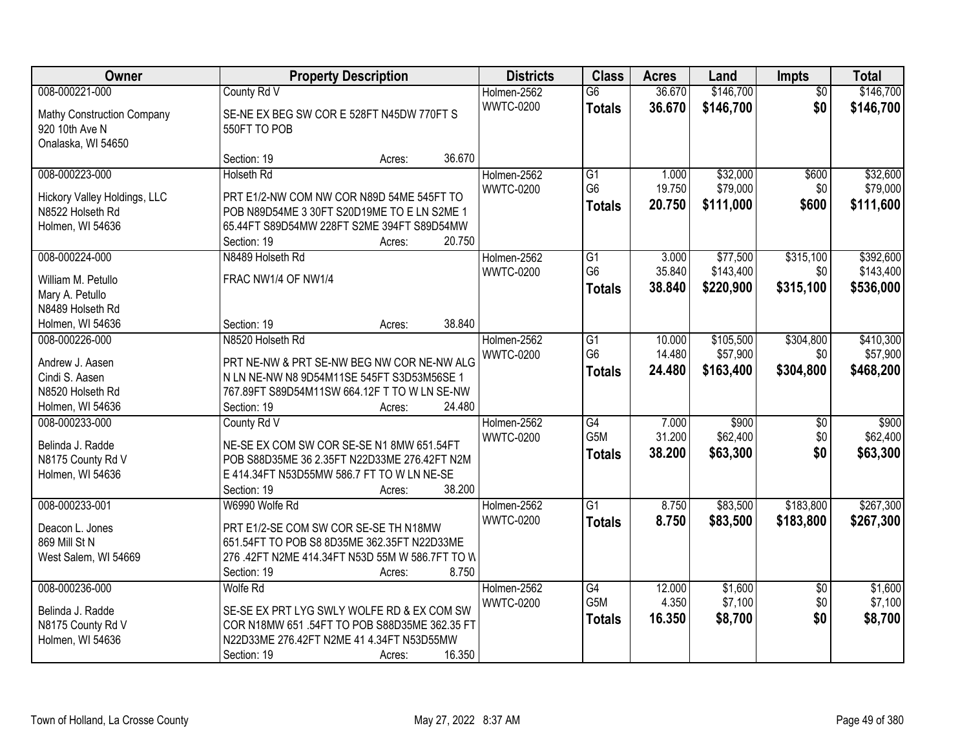| Owner                                 |                                                 | <b>Property Description</b> |        | <b>Districts</b> | <b>Class</b>     | <b>Acres</b> | Land      | <b>Impts</b>    | <b>Total</b> |
|---------------------------------------|-------------------------------------------------|-----------------------------|--------|------------------|------------------|--------------|-----------|-----------------|--------------|
| 008-000221-000                        | County Rd V                                     |                             |        | Holmen-2562      | $\overline{G6}$  | 36.670       | \$146,700 | $\overline{50}$ | \$146,700    |
| Mathy Construction Company            | SE-NE EX BEG SW COR E 528FT N45DW 770FT S       |                             |        | <b>WWTC-0200</b> | <b>Totals</b>    | 36.670       | \$146,700 | \$0             | \$146,700    |
| 920 10th Ave N                        | 550FT TO POB                                    |                             |        |                  |                  |              |           |                 |              |
| Onalaska, WI 54650                    |                                                 |                             |        |                  |                  |              |           |                 |              |
|                                       | Section: 19                                     | Acres:                      | 36.670 |                  |                  |              |           |                 |              |
| 008-000223-000                        | <b>Holseth Rd</b>                               |                             |        | Holmen-2562      | $\overline{G1}$  | 1.000        | \$32,000  | \$600           | \$32,600     |
| Hickory Valley Holdings, LLC          | PRT E1/2-NW COM NW COR N89D 54ME 545FT TO       |                             |        | <b>WWTC-0200</b> | G <sub>6</sub>   | 19.750       | \$79,000  | \$0             | \$79,000     |
| N8522 Holseth Rd                      | POB N89D54ME 3 30FT S20D19ME TO E LN S2ME 1     |                             |        |                  | <b>Totals</b>    | 20.750       | \$111,000 | \$600           | \$111,600    |
| Holmen, WI 54636                      | 65.44FT S89D54MW 228FT S2ME 394FT S89D54MW      |                             |        |                  |                  |              |           |                 |              |
|                                       | Section: 19                                     | Acres:                      | 20.750 |                  |                  |              |           |                 |              |
| 008-000224-000                        | N8489 Holseth Rd                                |                             |        | Holmen-2562      | $\overline{G1}$  | 3.000        | \$77,500  | \$315,100       | \$392,600    |
| William M. Petullo                    | FRAC NW1/4 OF NW1/4                             |                             |        | <b>WWTC-0200</b> | G <sub>6</sub>   | 35.840       | \$143,400 | \$0             | \$143,400    |
| Mary A. Petullo                       |                                                 |                             |        |                  | <b>Totals</b>    | 38.840       | \$220,900 | \$315,100       | \$536,000    |
| N8489 Holseth Rd                      |                                                 |                             |        |                  |                  |              |           |                 |              |
| Holmen, WI 54636                      | Section: 19                                     | Acres:                      | 38.840 |                  |                  |              |           |                 |              |
| 008-000226-000                        | N8520 Holseth Rd                                |                             |        | Holmen-2562      | G1               | 10.000       | \$105,500 | \$304,800       | \$410,300    |
|                                       |                                                 |                             |        | <b>WWTC-0200</b> | G <sub>6</sub>   | 14.480       | \$57,900  | \$0             | \$57,900     |
| Andrew J. Aasen                       | PRT NE-NW & PRT SE-NW BEG NW COR NE-NW ALG      |                             |        |                  | <b>Totals</b>    | 24.480       | \$163,400 | \$304,800       | \$468,200    |
| Cindi S. Aasen                        | N LN NE-NW N8 9D54M11SE 545FT S3D53M56SE 1      |                             |        |                  |                  |              |           |                 |              |
| N8520 Holseth Rd                      | 767.89FT S89D54M11SW 664.12F T TO W LN SE-NW    |                             |        |                  |                  |              |           |                 |              |
| Holmen, WI 54636                      | Section: 19                                     | Acres:                      | 24.480 |                  |                  |              |           |                 |              |
| 008-000233-000                        | County Rd V                                     |                             |        | Holmen-2562      | $\overline{G4}$  | 7.000        | \$900     | \$0             | \$900        |
| Belinda J. Radde                      | NE-SE EX COM SW COR SE-SE N1 8MW 651.54FT       |                             |        | <b>WWTC-0200</b> | G <sub>5</sub> M | 31.200       | \$62,400  | \$0             | \$62,400     |
| N8175 County Rd V                     | POB S88D35ME 36 2.35FT N22D33ME 276.42FT N2M    |                             |        |                  | <b>Totals</b>    | 38.200       | \$63,300  | \$0             | \$63,300     |
| Holmen, WI 54636                      | E 414.34FT N53D55MW 586.7 FT TO W LN NE-SE      |                             |        |                  |                  |              |           |                 |              |
|                                       | Section: 19                                     | Acres:                      | 38.200 |                  |                  |              |           |                 |              |
| 008-000233-001                        | W6990 Wolfe Rd                                  |                             |        | Holmen-2562      | $\overline{G1}$  | 8.750        | \$83,500  | \$183,800       | \$267,300    |
| Deacon L. Jones                       | PRT E1/2-SE COM SW COR SE-SE TH N18MW           |                             |        | <b>WWTC-0200</b> | <b>Totals</b>    | 8.750        | \$83,500  | \$183,800       | \$267,300    |
| 869 Mill St N                         | 651.54FT TO POB S8 8D35ME 362.35FT N22D33ME     |                             |        |                  |                  |              |           |                 |              |
| West Salem, WI 54669                  | 276 .42FT N2ME 414.34FT N53D 55M W 586.7FT TO W |                             |        |                  |                  |              |           |                 |              |
|                                       | Section: 19                                     | Acres:                      | 8.750  |                  |                  |              |           |                 |              |
| 008-000236-000                        | <b>Wolfe Rd</b>                                 |                             |        | Holmen-2562      | G4               | 12.000       | \$1,600   | $\overline{30}$ | \$1,600      |
| Belinda J. Radde                      | SE-SE EX PRT LYG SWLY WOLFE RD & EX COM SW      |                             |        | <b>WWTC-0200</b> | G5M              | 4.350        | \$7,100   | \$0             | \$7,100      |
|                                       | COR N18MW 651 .54FT TO POB S88D35ME 362.35 FT   |                             |        |                  | <b>Totals</b>    | 16.350       | \$8,700   | \$0             | \$8,700      |
| N8175 County Rd V<br>Holmen, WI 54636 | N22D33ME 276.42FT N2ME 41 4.34FT N53D55MW       |                             |        |                  |                  |              |           |                 |              |
|                                       | Section: 19                                     | Acres:                      | 16.350 |                  |                  |              |           |                 |              |
|                                       |                                                 |                             |        |                  |                  |              |           |                 |              |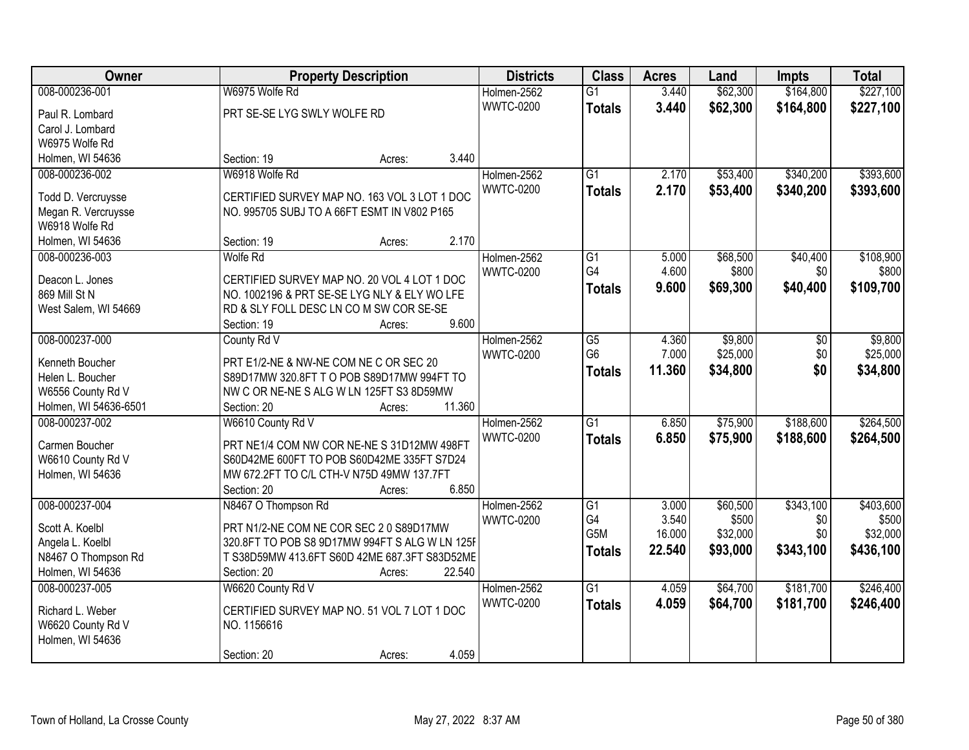| Owner                 | <b>Property Description</b>                    | <b>Districts</b> | <b>Class</b>          | <b>Acres</b>   | Land              | Impts           | <b>Total</b> |
|-----------------------|------------------------------------------------|------------------|-----------------------|----------------|-------------------|-----------------|--------------|
| 008-000236-001        | W6975 Wolfe Rd                                 | Holmen-2562      | $\overline{G1}$       | 3.440          | \$62,300          | \$164,800       | \$227,100    |
| Paul R. Lombard       | PRT SE-SE LYG SWLY WOLFE RD                    | <b>WWTC-0200</b> | <b>Totals</b>         | 3.440          | \$62,300          | \$164,800       | \$227,100    |
| Carol J. Lombard      |                                                |                  |                       |                |                   |                 |              |
| W6975 Wolfe Rd        |                                                |                  |                       |                |                   |                 |              |
| Holmen, WI 54636      | 3.440<br>Section: 19<br>Acres:                 |                  |                       |                |                   |                 |              |
| 008-000236-002        | W6918 Wolfe Rd                                 | Holmen-2562      | $\overline{G1}$       | 2.170          | \$53,400          | \$340,200       | \$393,600    |
|                       |                                                | <b>WWTC-0200</b> | <b>Totals</b>         | 2.170          | \$53,400          | \$340,200       | \$393,600    |
| Todd D. Vercruysse    | CERTIFIED SURVEY MAP NO. 163 VOL 3 LOT 1 DOC   |                  |                       |                |                   |                 |              |
| Megan R. Vercruysse   | NO. 995705 SUBJ TO A 66FT ESMT IN V802 P165    |                  |                       |                |                   |                 |              |
| W6918 Wolfe Rd        | 2.170<br>Section: 19                           |                  |                       |                |                   |                 |              |
| Holmen, WI 54636      | Acres:                                         |                  |                       |                |                   |                 |              |
| 008-000236-003        | Wolfe Rd                                       | Holmen-2562      | $\overline{G1}$<br>G4 | 5.000<br>4.600 | \$68,500<br>\$800 | \$40,400<br>\$0 | \$108,900    |
| Deacon L. Jones       | CERTIFIED SURVEY MAP NO. 20 VOL 4 LOT 1 DOC    | <b>WWTC-0200</b> |                       |                |                   |                 | \$800        |
| 869 Mill St N         | NO. 1002196 & PRT SE-SE LYG NLY & ELY WO LFE   |                  | <b>Totals</b>         | 9.600          | \$69,300          | \$40,400        | \$109,700    |
| West Salem, WI 54669  | RD & SLY FOLL DESC LN COM SW COR SE-SE         |                  |                       |                |                   |                 |              |
|                       | 9.600<br>Section: 19<br>Acres:                 |                  |                       |                |                   |                 |              |
| 008-000237-000        | County Rd V                                    | Holmen-2562      | $\overline{G5}$       | 4.360          | \$9,800           | \$0             | \$9,800      |
| Kenneth Boucher       | PRT E1/2-NE & NW-NE COM NE C OR SEC 20         | <b>WWTC-0200</b> | G <sub>6</sub>        | 7.000          | \$25,000          | \$0             | \$25,000     |
| Helen L. Boucher      | S89D17MW 320.8FT T O POB S89D17MW 994FT TO     |                  | <b>Totals</b>         | 11.360         | \$34,800          | \$0             | \$34,800     |
| W6556 County Rd V     | NW C OR NE-NE S ALG W LN 125FT S3 8D59MW       |                  |                       |                |                   |                 |              |
| Holmen, WI 54636-6501 | 11.360<br>Section: 20<br>Acres:                |                  |                       |                |                   |                 |              |
| 008-000237-002        | W6610 County Rd V                              | Holmen-2562      | $\overline{G1}$       | 6.850          | \$75,900          | \$188,600       | \$264,500    |
|                       |                                                | <b>WWTC-0200</b> | <b>Totals</b>         | 6.850          | \$75,900          | \$188,600       | \$264,500    |
| Carmen Boucher        | PRT NE1/4 COM NW COR NE-NE S 31D12MW 498FT     |                  |                       |                |                   |                 |              |
| W6610 County Rd V     | S60D42ME 600FT TO POB S60D42ME 335FT S7D24     |                  |                       |                |                   |                 |              |
| Holmen, WI 54636      | MW 672.2FT TO C/L CTH-V N75D 49MW 137.7FT      |                  |                       |                |                   |                 |              |
|                       | 6.850<br>Section: 20<br>Acres:                 |                  |                       |                |                   |                 |              |
| 008-000237-004        | N8467 O Thompson Rd                            | Holmen-2562      | $\overline{G1}$       | 3.000          | \$60,500          | \$343,100       | \$403,600    |
| Scott A. Koelbl       | PRT N1/2-NE COM NE COR SEC 2 0 S89D17MW        | <b>WWTC-0200</b> | G4                    | 3.540          | \$500             | \$0             | \$500        |
| Angela L. Koelbl      | 320.8FT TO POB S8 9D17MW 994FT S ALG W LN 125F |                  | G <sub>5</sub> M      | 16.000         | \$32,000          | \$0             | \$32,000     |
| N8467 O Thompson Rd   | T S38D59MW 413.6FT S60D 42ME 687.3FT S83D52ME  |                  | <b>Totals</b>         | 22.540         | \$93,000          | \$343,100       | \$436,100    |
| Holmen, WI 54636      | 22.540<br>Section: 20<br>Acres:                |                  |                       |                |                   |                 |              |
| 008-000237-005        | W6620 County Rd V                              | Holmen-2562      | $\overline{G1}$       | 4.059          | \$64,700          | \$181,700       | \$246,400    |
|                       |                                                | <b>WWTC-0200</b> | <b>Totals</b>         | 4.059          | \$64,700          | \$181,700       | \$246,400    |
| Richard L. Weber      | CERTIFIED SURVEY MAP NO. 51 VOL 7 LOT 1 DOC    |                  |                       |                |                   |                 |              |
| W6620 County Rd V     | NO. 1156616                                    |                  |                       |                |                   |                 |              |
| Holmen, WI 54636      |                                                |                  |                       |                |                   |                 |              |
|                       | 4.059<br>Section: 20<br>Acres:                 |                  |                       |                |                   |                 |              |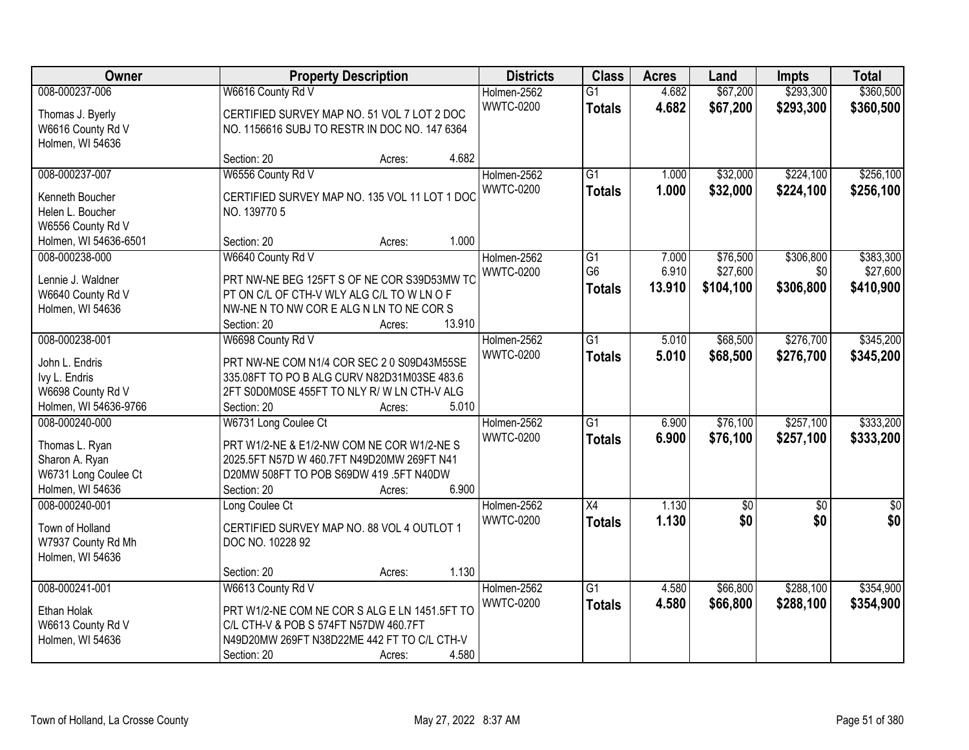| Owner                                   |                                               | <b>Property Description</b> | <b>Districts</b>                | <b>Class</b>    | <b>Acres</b> | Land            | Impts           | <b>Total</b>    |
|-----------------------------------------|-----------------------------------------------|-----------------------------|---------------------------------|-----------------|--------------|-----------------|-----------------|-----------------|
| 008-000237-006                          | W6616 County Rd V                             |                             | Holmen-2562                     | $\overline{G1}$ | 4.682        | \$67,200        | \$293,300       | \$360,500       |
| Thomas J. Byerly                        | CERTIFIED SURVEY MAP NO. 51 VOL 7 LOT 2 DOC   |                             | <b>WWTC-0200</b>                | <b>Totals</b>   | 4.682        | \$67,200        | \$293,300       | \$360,500       |
| W6616 County Rd V                       | NO. 1156616 SUBJ TO RESTR IN DOC NO. 147 6364 |                             |                                 |                 |              |                 |                 |                 |
| Holmen, WI 54636                        |                                               |                             |                                 |                 |              |                 |                 |                 |
|                                         | Section: 20                                   | 4.682<br>Acres:             |                                 |                 |              |                 |                 |                 |
| 008-000237-007                          | W6556 County Rd V                             |                             | Holmen-2562                     | $\overline{G1}$ | 1.000        | \$32,000        | \$224,100       | \$256,100       |
| Kenneth Boucher                         | CERTIFIED SURVEY MAP NO. 135 VOL 11 LOT 1 DOC |                             | <b>WWTC-0200</b>                | <b>Totals</b>   | 1.000        | \$32,000        | \$224,100       | \$256,100       |
| Helen L. Boucher                        | NO. 139770 5                                  |                             |                                 |                 |              |                 |                 |                 |
| W6556 County Rd V                       |                                               |                             |                                 |                 |              |                 |                 |                 |
| Holmen, WI 54636-6501                   | Section: 20                                   | 1.000<br>Acres:             |                                 |                 |              |                 |                 |                 |
| 008-000238-000                          | W6640 County Rd V                             |                             | Holmen-2562                     | G1              | 7.000        | \$76,500        | \$306,800       | \$383,300       |
| Lennie J. Waldner                       | PRT NW-NE BEG 125FT S OF NE COR S39D53MW TO   |                             | <b>WWTC-0200</b>                | G <sub>6</sub>  | 6.910        | \$27,600        | \$0             | \$27,600        |
| W6640 County Rd V                       | PT ON C/L OF CTH-V WLY ALG C/L TO W LN O F    |                             |                                 | <b>Totals</b>   | 13.910       | \$104,100       | \$306,800       | \$410,900       |
| Holmen, WI 54636                        | NW-NEN TO NW COREALGN LN TO NE CORS           |                             |                                 |                 |              |                 |                 |                 |
|                                         | Section: 20                                   | 13.910<br>Acres:            |                                 |                 |              |                 |                 |                 |
| 008-000238-001                          | W6698 County Rd V                             |                             | Holmen-2562                     | $\overline{G1}$ | 5.010        | \$68,500        | \$276,700       | \$345,200       |
|                                         |                                               |                             | <b>WWTC-0200</b>                | <b>Totals</b>   | 5.010        | \$68,500        | \$276,700       | \$345,200       |
| John L. Endris                          | PRT NW-NE COM N1/4 COR SEC 2 0 S09D43M55SE    |                             |                                 |                 |              |                 |                 |                 |
| Ivy L. Endris                           | 335.08FT TO PO B ALG CURV N82D31M03SE 483.6   |                             |                                 |                 |              |                 |                 |                 |
| W6698 County Rd V                       | 2FT S0D0M0SE 455FT TO NLY R/W LN CTH-V ALG    | 5.010                       |                                 |                 |              |                 |                 |                 |
| Holmen, WI 54636-9766<br>008-000240-000 | Section: 20                                   | Acres:                      |                                 | $\overline{G1}$ | 6.900        | \$76,100        | \$257,100       | \$333,200       |
|                                         | W6731 Long Coulee Ct                          |                             | Holmen-2562<br><b>WWTC-0200</b> |                 | 6.900        |                 |                 |                 |
| Thomas L. Ryan                          | PRT W1/2-NE & E1/2-NW COM NE COR W1/2-NE S    |                             |                                 | <b>Totals</b>   |              | \$76,100        | \$257,100       | \$333,200       |
| Sharon A. Ryan                          | 2025.5FT N57D W 460.7FT N49D20MW 269FT N41    |                             |                                 |                 |              |                 |                 |                 |
| W6731 Long Coulee Ct                    | D20MW 508FT TO POB S69DW 419 .5FT N40DW       |                             |                                 |                 |              |                 |                 |                 |
| Holmen, WI 54636                        | Section: 20                                   | 6.900<br>Acres:             |                                 |                 |              |                 |                 |                 |
| 008-000240-001                          | Long Coulee Ct                                |                             | Holmen-2562                     | $\overline{X4}$ | 1.130        | $\overline{50}$ | $\overline{50}$ | $\overline{50}$ |
| Town of Holland                         | CERTIFIED SURVEY MAP NO. 88 VOL 4 OUTLOT 1    |                             | <b>WWTC-0200</b>                | <b>Totals</b>   | 1.130        | \$0             | \$0             | \$0             |
| W7937 County Rd Mh                      | DOC NO. 10228 92                              |                             |                                 |                 |              |                 |                 |                 |
| Holmen, WI 54636                        |                                               |                             |                                 |                 |              |                 |                 |                 |
|                                         | Section: 20                                   | Acres:                      | 1.130                           |                 |              |                 |                 |                 |
| 008-000241-001                          | W6613 County Rd V                             |                             | Holmen-2562                     | $\overline{G1}$ | 4.580        | \$66,800        | \$288,100       | \$354,900       |
| Ethan Holak                             | PRT W1/2-NE COM NE COR S ALG E LN 1451.5FT TO |                             | <b>WWTC-0200</b>                | <b>Totals</b>   | 4.580        | \$66,800        | \$288,100       | \$354,900       |
| W6613 County Rd V                       | C/L CTH-V & POB S 574FT N57DW 460.7FT         |                             |                                 |                 |              |                 |                 |                 |
| Holmen, WI 54636                        | N49D20MW 269FT N38D22ME 442 FT TO C/L CTH-V   |                             |                                 |                 |              |                 |                 |                 |
|                                         | Section: 20                                   | 4.580<br>Acres:             |                                 |                 |              |                 |                 |                 |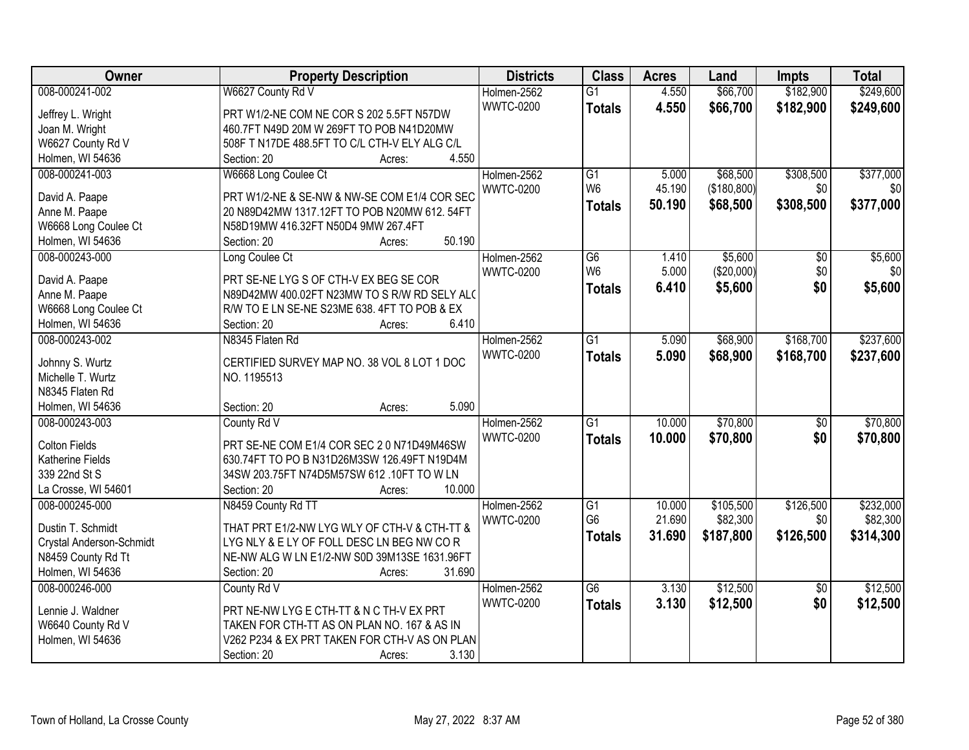| Owner                    | <b>Property Description</b>                   | <b>Districts</b> | <b>Class</b>         | <b>Acres</b>     | Land                  | <b>Impts</b>    | <b>Total</b>          |
|--------------------------|-----------------------------------------------|------------------|----------------------|------------------|-----------------------|-----------------|-----------------------|
| 008-000241-002           | W6627 County Rd V                             | Holmen-2562      | $\overline{G1}$      | 4.550            | \$66,700              | \$182,900       | \$249,600             |
| Jeffrey L. Wright        | PRT W1/2-NE COM NE COR S 202 5.5FT N57DW      | <b>WWTC-0200</b> | <b>Totals</b>        | 4.550            | \$66,700              | \$182,900       | \$249,600             |
| Joan M. Wright           | 460.7FT N49D 20M W 269FT TO POB N41D20MW      |                  |                      |                  |                       |                 |                       |
| W6627 County Rd V        | 508F T N17DE 488.5FT TO C/L CTH-V ELY ALG C/L |                  |                      |                  |                       |                 |                       |
| Holmen, WI 54636         | 4.550<br>Section: 20<br>Acres:                |                  |                      |                  |                       |                 |                       |
| 008-000241-003           | W6668 Long Coulee Ct                          | Holmen-2562      | G1                   | 5.000            | \$68,500              | \$308,500       | \$377,000             |
|                          |                                               | <b>WWTC-0200</b> | W <sub>6</sub>       | 45.190           | (\$180,800)           | \$0             | \$0                   |
| David A. Paape           | PRT W1/2-NE & SE-NW & NW-SE COM E1/4 COR SEC  |                  | <b>Totals</b>        | 50.190           | \$68,500              | \$308,500       | \$377,000             |
| Anne M. Paape            | 20 N89D42MW 1317.12FT TO POB N20MW 612.54FT   |                  |                      |                  |                       |                 |                       |
| W6668 Long Coulee Ct     | N58D19MW 416.32FT N50D4 9MW 267.4FT           |                  |                      |                  |                       |                 |                       |
| Holmen, WI 54636         | 50.190<br>Section: 20<br>Acres:               |                  |                      |                  |                       |                 |                       |
| 008-000243-000           | Long Coulee Ct                                | Holmen-2562      | $\overline{G6}$      | 1.410            | \$5,600               | \$0             | \$5,600               |
| David A. Paape           | PRT SE-NE LYG S OF CTH-V EX BEG SE COR        | <b>WWTC-0200</b> | W <sub>6</sub>       | 5.000            | (\$20,000)            | \$0             | \$0                   |
| Anne M. Paape            | N89D42MW 400.02FT N23MW TO S R/W RD SELY ALC  |                  | <b>Totals</b>        | 6.410            | \$5,600               | \$0             | \$5,600               |
| W6668 Long Coulee Ct     | R/W TO E LN SE-NE S23ME 638. 4FT TO POB & EX  |                  |                      |                  |                       |                 |                       |
| Holmen, WI 54636         | 6.410<br>Section: 20<br>Acres:                |                  |                      |                  |                       |                 |                       |
| 008-000243-002           | N8345 Flaten Rd                               | Holmen-2562      | $\overline{G1}$      | 5.090            | \$68,900              | \$168,700       | \$237,600             |
|                          |                                               | <b>WWTC-0200</b> | <b>Totals</b>        | 5.090            | \$68,900              | \$168,700       | \$237,600             |
| Johnny S. Wurtz          | CERTIFIED SURVEY MAP NO. 38 VOL 8 LOT 1 DOC   |                  |                      |                  |                       |                 |                       |
| Michelle T. Wurtz        | NO. 1195513                                   |                  |                      |                  |                       |                 |                       |
| N8345 Flaten Rd          |                                               |                  |                      |                  |                       |                 |                       |
| Holmen, WI 54636         | 5.090<br>Section: 20<br>Acres:                |                  |                      |                  |                       |                 |                       |
| 008-000243-003           | County Rd V                                   | Holmen-2562      | $\overline{G1}$      | 10.000           | \$70,800              | $\overline{50}$ | \$70,800              |
| Colton Fields            | PRT SE-NE COM E1/4 COR SEC 2 0 N71D49M46SW    | <b>WWTC-0200</b> | <b>Totals</b>        | 10,000           | \$70,800              | \$0             | \$70,800              |
| Katherine Fields         | 630.74FT TO PO B N31D26M3SW 126.49FT N19D4M   |                  |                      |                  |                       |                 |                       |
| 339 22nd St S            | 34SW 203.75FT N74D5M57SW 612 .10FT TO W LN    |                  |                      |                  |                       |                 |                       |
| La Crosse, WI 54601      | 10.000<br>Section: 20                         |                  |                      |                  |                       |                 |                       |
|                          | Acres:                                        |                  |                      |                  |                       |                 |                       |
| 008-000245-000           | N8459 County Rd TT                            | Holmen-2562      | G1<br>G <sub>6</sub> | 10.000<br>21.690 | \$105,500<br>\$82,300 | \$126,500       | \$232,000<br>\$82,300 |
| Dustin T. Schmidt        | THAT PRT E1/2-NW LYG WLY OF CTH-V & CTH-TT &  | <b>WWTC-0200</b> |                      |                  |                       | \$0             |                       |
| Crystal Anderson-Schmidt | LYG NLY & E LY OF FOLL DESC LN BEG NW COR     |                  | <b>Totals</b>        | 31.690           | \$187,800             | \$126,500       | \$314,300             |
| N8459 County Rd Tt       | NE-NW ALG W LN E1/2-NW S0D 39M13SE 1631.96FT  |                  |                      |                  |                       |                 |                       |
| Holmen, WI 54636         | 31.690<br>Section: 20<br>Acres:               |                  |                      |                  |                       |                 |                       |
| 008-000246-000           | County Rd V                                   | Holmen-2562      | $\overline{G6}$      | 3.130            | \$12,500              | $\overline{30}$ | \$12,500              |
|                          |                                               | <b>WWTC-0200</b> | <b>Totals</b>        | 3.130            | \$12,500              | \$0             | \$12,500              |
| Lennie J. Waldner        | PRT NE-NW LYG E CTH-TT & N C TH-V EX PRT      |                  |                      |                  |                       |                 |                       |
| W6640 County Rd V        | TAKEN FOR CTH-TT AS ON PLAN NO. 167 & AS IN   |                  |                      |                  |                       |                 |                       |
| Holmen, WI 54636         | V262 P234 & EX PRT TAKEN FOR CTH-V AS ON PLAN |                  |                      |                  |                       |                 |                       |
|                          | 3.130<br>Section: 20<br>Acres:                |                  |                      |                  |                       |                 |                       |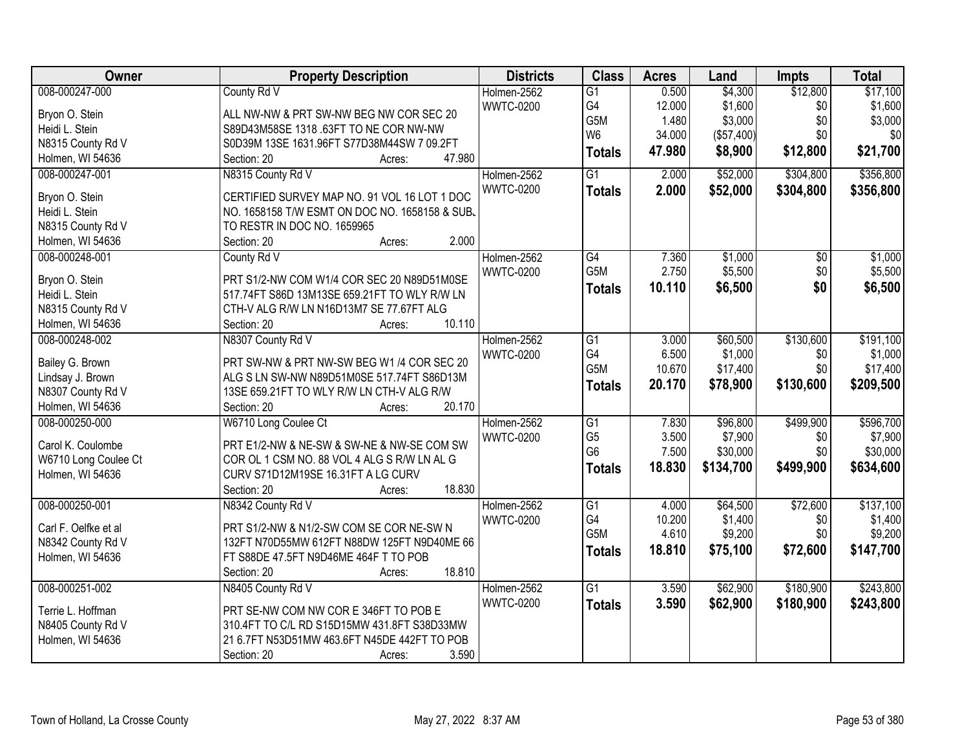| Owner                | <b>Property Description</b>                    | <b>Districts</b> | <b>Class</b>                     | <b>Acres</b> | Land       | <b>Impts</b>    | <b>Total</b> |
|----------------------|------------------------------------------------|------------------|----------------------------------|--------------|------------|-----------------|--------------|
| 008-000247-000       | County Rd V                                    | Holmen-2562      | $\overline{G1}$                  | 0.500        | \$4,300    | \$12,800        | \$17,100     |
| Bryon O. Stein       | ALL NW-NW & PRT SW-NW BEG NW COR SEC 20        | <b>WWTC-0200</b> | G4                               | 12.000       | \$1,600    | \$0             | \$1,600      |
| Heidi L. Stein       | S89D43M58SE 1318 .63FT TO NE COR NW-NW         |                  | G5M                              | 1.480        | \$3,000    | \$0             | \$3,000      |
| N8315 County Rd V    | S0D39M 13SE 1631.96FT S77D38M44SW 7 09.2FT     |                  | W <sub>6</sub>                   | 34.000       | (\$57,400) | \$0             | \$0          |
| Holmen, WI 54636     | 47.980<br>Section: 20<br>Acres:                |                  | <b>Totals</b>                    | 47.980       | \$8,900    | \$12,800        | \$21,700     |
| 008-000247-001       | N8315 County Rd V                              | Holmen-2562      | $\overline{G1}$                  | 2.000        | \$52,000   | \$304,800       | \$356,800    |
|                      |                                                | <b>WWTC-0200</b> | <b>Totals</b>                    | 2.000        | \$52,000   | \$304,800       | \$356,800    |
| Bryon O. Stein       | CERTIFIED SURVEY MAP NO. 91 VOL 16 LOT 1 DOC   |                  |                                  |              |            |                 |              |
| Heidi L. Stein       | NO. 1658158 T/W ESMT ON DOC NO. 1658158 & SUB. |                  |                                  |              |            |                 |              |
| N8315 County Rd V    | TO RESTR IN DOC NO. 1659965                    |                  |                                  |              |            |                 |              |
| Holmen, WI 54636     | 2.000<br>Section: 20<br>Acres:                 |                  |                                  |              |            |                 |              |
| 008-000248-001       | County Rd V                                    | Holmen-2562      | G4                               | 7.360        | \$1,000    | $\overline{50}$ | \$1,000      |
| Bryon O. Stein       | PRT S1/2-NW COM W1/4 COR SEC 20 N89D51M0SE     | <b>WWTC-0200</b> | G5M                              | 2.750        | \$5,500    | \$0             | \$5,500      |
| Heidi L. Stein       | 517.74FT S86D 13M13SE 659.21FT TO WLY R/W LN   |                  | <b>Totals</b>                    | 10.110       | \$6,500    | \$0             | \$6,500      |
| N8315 County Rd V    | CTH-V ALG R/W LN N16D13M7 SE 77.67FT ALG       |                  |                                  |              |            |                 |              |
| Holmen, WI 54636     | 10.110<br>Section: 20<br>Acres:                |                  |                                  |              |            |                 |              |
| 008-000248-002       | N8307 County Rd V                              | Holmen-2562      | $\overline{G1}$                  | 3.000        | \$60,500   | \$130,600       | \$191,100    |
|                      |                                                | <b>WWTC-0200</b> | G4                               | 6.500        | \$1,000    | \$0             | \$1,000      |
| Bailey G. Brown      | PRT SW-NW & PRT NW-SW BEG W1 /4 COR SEC 20     |                  | G5M                              | 10.670       | \$17,400   | \$0             | \$17,400     |
| Lindsay J. Brown     | ALG S LN SW-NW N89D51M0SE 517.74FT S86D13M     |                  | <b>Totals</b>                    | 20.170       | \$78,900   | \$130,600       | \$209,500    |
| N8307 County Rd V    | 13SE 659.21FT TO WLY R/W LN CTH-V ALG R/W      |                  |                                  |              |            |                 |              |
| Holmen, WI 54636     | Section: 20<br>20.170<br>Acres:                |                  |                                  |              |            |                 |              |
| 008-000250-000       | W6710 Long Coulee Ct                           | Holmen-2562      | $\overline{G1}$                  | 7.830        | \$96,800   | \$499,900       | \$596,700    |
| Carol K. Coulombe    | PRT E1/2-NW & NE-SW & SW-NE & NW-SE COM SW     | <b>WWTC-0200</b> | G <sub>5</sub><br>G <sub>6</sub> | 3.500        | \$7,900    | \$0             | \$7,900      |
| W6710 Long Coulee Ct | COR OL 1 CSM NO. 88 VOL 4 ALG S R/W LN AL G    |                  |                                  | 7.500        | \$30,000   | \$0             | \$30,000     |
| Holmen, WI 54636     | CURV S71D12M19SE 16.31FT A LG CURV             |                  | <b>Totals</b>                    | 18.830       | \$134,700  | \$499,900       | \$634,600    |
|                      | 18.830<br>Section: 20<br>Acres:                |                  |                                  |              |            |                 |              |
| 008-000250-001       | N8342 County Rd V                              | Holmen-2562      | $\overline{G1}$                  | 4.000        | \$64,500   | \$72,600        | \$137,100    |
| Carl F. Oelfke et al | PRT S1/2-NW & N1/2-SW COM SE COR NE-SW N       | <b>WWTC-0200</b> | G4                               | 10.200       | \$1,400    | \$0             | \$1,400      |
| N8342 County Rd V    | 132FT N70D55MW 612FT N88DW 125FT N9D40ME 66    |                  | G5M                              | 4.610        | \$9,200    | \$0             | \$9,200      |
| Holmen, WI 54636     | FT S88DE 47.5FT N9D46ME 464F T TO POB          |                  | <b>Totals</b>                    | 18.810       | \$75,100   | \$72,600        | \$147,700    |
|                      | 18.810<br>Section: 20                          |                  |                                  |              |            |                 |              |
| 008-000251-002       | Acres:<br>N8405 County Rd V                    | Holmen-2562      | $\overline{G1}$                  | 3.590        | \$62,900   | \$180,900       | \$243,800    |
|                      |                                                | <b>WWTC-0200</b> |                                  |              |            |                 |              |
| Terrie L. Hoffman    | PRT SE-NW COM NW COR E 346FT TO POB E          |                  | <b>Totals</b>                    | 3.590        | \$62,900   | \$180,900       | \$243,800    |
| N8405 County Rd V    | 310.4FT TO C/L RD S15D15MW 431.8FT S38D33MW    |                  |                                  |              |            |                 |              |
| Holmen, WI 54636     | 21 6.7FT N53D51MW 463.6FT N45DE 442FT TO POB   |                  |                                  |              |            |                 |              |
|                      | 3.590<br>Section: 20<br>Acres:                 |                  |                                  |              |            |                 |              |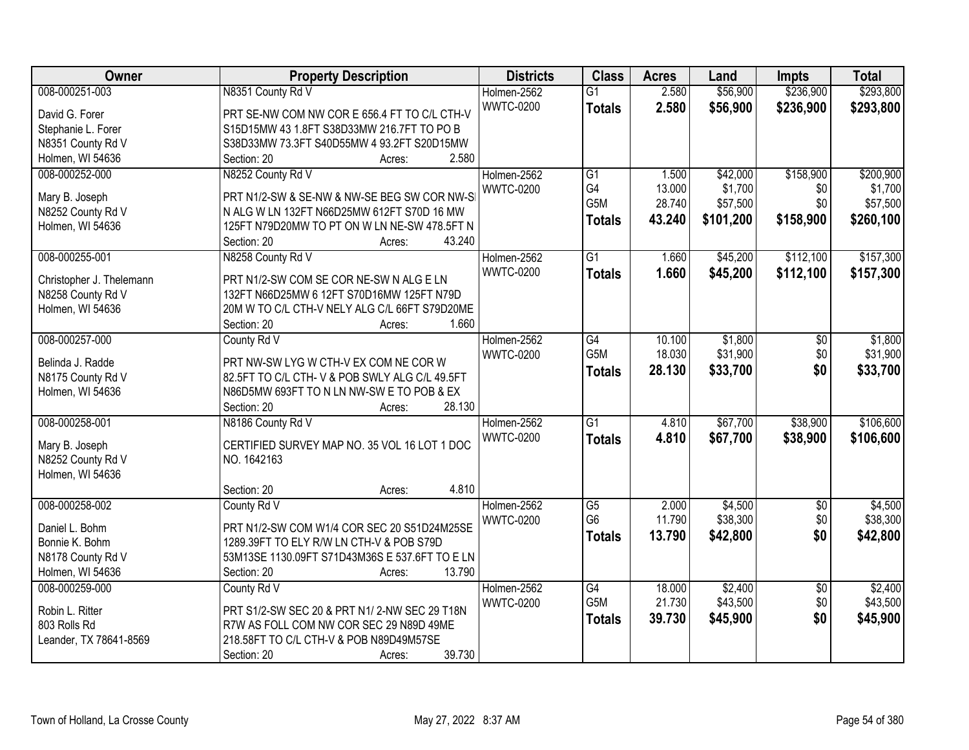| Owner                    | <b>Property Description</b>                    | <b>Districts</b> | <b>Class</b>    | <b>Acres</b>     | Land                | <b>Impts</b>    | <b>Total</b> |
|--------------------------|------------------------------------------------|------------------|-----------------|------------------|---------------------|-----------------|--------------|
| 008-000251-003           | N8351 County Rd V                              | Holmen-2562      | $\overline{G1}$ | 2.580            | \$56,900            | \$236,900       | \$293,800    |
| David G. Forer           | PRT SE-NW COM NW COR E 656.4 FT TO C/L CTH-V   | <b>WWTC-0200</b> | <b>Totals</b>   | 2.580            | \$56,900            | \$236,900       | \$293,800    |
| Stephanie L. Forer       | S15D15MW 43 1.8FT S38D33MW 216.7FT TO PO B     |                  |                 |                  |                     |                 |              |
| N8351 County Rd V        | S38D33MW 73.3FT S40D55MW 4 93.2FT S20D15MW     |                  |                 |                  |                     |                 |              |
| Holmen, WI 54636         | 2.580<br>Section: 20<br>Acres:                 |                  |                 |                  |                     |                 |              |
| 008-000252-000           | N8252 County Rd V                              | Holmen-2562      | $\overline{G1}$ | 1.500            | \$42,000            | \$158,900       | \$200,900    |
|                          |                                                | <b>WWTC-0200</b> | G4              | 13.000           | \$1,700             | \$0             | \$1,700      |
| Mary B. Joseph           | PRT N1/2-SW & SE-NW & NW-SE BEG SW COR NW-S    |                  | G5M             | 28.740           | \$57,500            | \$0             | \$57,500     |
| N8252 County Rd V        | N ALG W LN 132FT N66D25MW 612FT S70D 16 MW     |                  | <b>Totals</b>   | 43.240           | \$101,200           | \$158,900       | \$260,100    |
| Holmen, WI 54636         | 125FT N79D20MW TO PT ON W LN NE-SW 478.5FT N   |                  |                 |                  |                     |                 |              |
|                          | 43.240<br>Section: 20<br>Acres:                |                  |                 |                  |                     |                 |              |
| 008-000255-001           | N8258 County Rd V                              | Holmen-2562      | $\overline{G1}$ | 1.660            | \$45,200            | \$112,100       | \$157,300    |
| Christopher J. Thelemann | PRT N1/2-SW COM SE COR NE-SW N ALG E LN        | <b>WWTC-0200</b> | <b>Totals</b>   | 1.660            | \$45,200            | \$112,100       | \$157,300    |
| N8258 County Rd V        | 132FT N66D25MW 6 12FT S70D16MW 125FT N79D      |                  |                 |                  |                     |                 |              |
| Holmen, WI 54636         | 20M W TO C/L CTH-V NELY ALG C/L 66FT S79D20ME  |                  |                 |                  |                     |                 |              |
|                          | 1.660<br>Section: 20                           |                  |                 |                  |                     |                 |              |
| 008-000257-000           | Acres:                                         | Holmen-2562      |                 |                  |                     |                 |              |
|                          | County Rd V                                    |                  | G4<br>G5M       | 10.100<br>18.030 | \$1,800<br>\$31,900 | \$0<br>\$0      | \$1,800      |
| Belinda J. Radde         | PRT NW-SW LYG W CTH-V EX COM NE COR W          | <b>WWTC-0200</b> |                 |                  |                     |                 | \$31,900     |
| N8175 County Rd V        | 82.5FT TO C/L CTH-V & POB SWLY ALG C/L 49.5FT  |                  | <b>Totals</b>   | 28.130           | \$33,700            | \$0             | \$33,700     |
| Holmen, WI 54636         | N86D5MW 693FT TO N LN NW-SW E TO POB & EX      |                  |                 |                  |                     |                 |              |
|                          | 28.130<br>Section: 20<br>Acres:                |                  |                 |                  |                     |                 |              |
| 008-000258-001           | N8186 County Rd V                              | Holmen-2562      | $\overline{G1}$ | 4.810            | \$67,700            | \$38,900        | \$106,600    |
|                          |                                                | <b>WWTC-0200</b> | <b>Totals</b>   | 4.810            | \$67,700            | \$38,900        | \$106,600    |
| Mary B. Joseph           | CERTIFIED SURVEY MAP NO. 35 VOL 16 LOT 1 DOC   |                  |                 |                  |                     |                 |              |
| N8252 County Rd V        | NO. 1642163                                    |                  |                 |                  |                     |                 |              |
| Holmen, WI 54636         |                                                |                  |                 |                  |                     |                 |              |
|                          | 4.810<br>Section: 20<br>Acres:                 |                  |                 |                  |                     |                 |              |
| 008-000258-002           | County Rd V                                    | Holmen-2562      | $\overline{G5}$ | 2.000            | \$4,500             | $\sqrt{6}$      | \$4,500      |
| Daniel L. Bohm           | PRT N1/2-SW COM W1/4 COR SEC 20 S51D24M25SE    | <b>WWTC-0200</b> | G <sub>6</sub>  | 11.790           | \$38,300            | \$0             | \$38,300     |
| Bonnie K. Bohm           | 1289.39FT TO ELY R/W LN CTH-V & POB S79D       |                  | <b>Totals</b>   | 13.790           | \$42,800            | \$0             | \$42,800     |
| N8178 County Rd V        | 53M13SE 1130.09FT S71D43M36S E 537.6FT TO E LN |                  |                 |                  |                     |                 |              |
| Holmen, WI 54636         | 13.790<br>Section: 20<br>Acres:                |                  |                 |                  |                     |                 |              |
| 008-000259-000           | County Rd V                                    | Holmen-2562      | G4              | 18.000           | \$2,400             | $\overline{30}$ | \$2,400      |
|                          |                                                | <b>WWTC-0200</b> | G5M             | 21.730           | \$43,500            | \$0             | \$43,500     |
| Robin L. Ritter          | PRT S1/2-SW SEC 20 & PRT N1/2-NW SEC 29 T18N   |                  | <b>Totals</b>   | 39.730           | \$45,900            | \$0             | \$45,900     |
| 803 Rolls Rd             | R7W AS FOLL COM NW COR SEC 29 N89D 49ME        |                  |                 |                  |                     |                 |              |
| Leander, TX 78641-8569   | 218.58FT TO C/L CTH-V & POB N89D49M57SE        |                  |                 |                  |                     |                 |              |
|                          | 39.730<br>Section: 20<br>Acres:                |                  |                 |                  |                     |                 |              |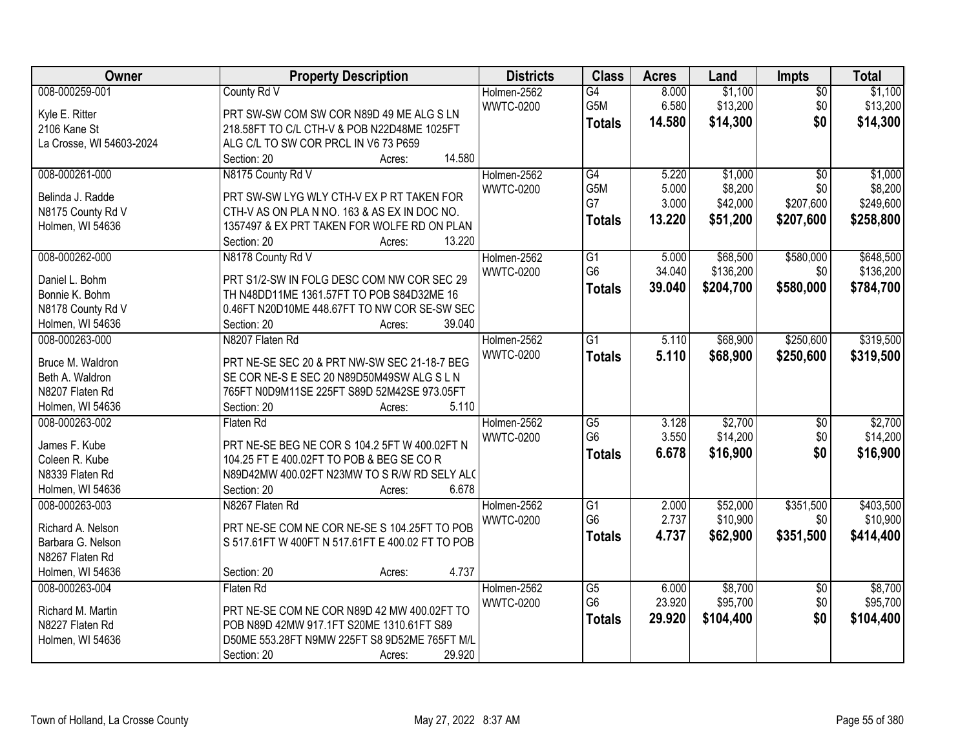| <b>Owner</b>                        | <b>Property Description</b>                                                                | <b>Districts</b> | <b>Class</b>         | <b>Acres</b> | Land      | Impts                  | <b>Total</b> |
|-------------------------------------|--------------------------------------------------------------------------------------------|------------------|----------------------|--------------|-----------|------------------------|--------------|
| 008-000259-001                      | County Rd V                                                                                | Holmen-2562      | G4                   | 8.000        | \$1,100   | $\overline{50}$        | \$1,100      |
| Kyle E. Ritter                      | PRT SW-SW COM SW COR N89D 49 ME ALG S LN                                                   | <b>WWTC-0200</b> | G5M                  | 6.580        | \$13,200  | \$0                    | \$13,200     |
| 2106 Kane St                        | 218.58FT TO C/L CTH-V & POB N22D48ME 1025FT                                                |                  | <b>Totals</b>        | 14.580       | \$14,300  | \$0                    | \$14,300     |
| La Crosse, WI 54603-2024            | ALG C/L TO SW COR PRCL IN V6 73 P659                                                       |                  |                      |              |           |                        |              |
|                                     | 14.580<br>Section: 20<br>Acres:                                                            |                  |                      |              |           |                        |              |
| 008-000261-000                      | N8175 County Rd V                                                                          | Holmen-2562      | $\overline{G4}$      | 5.220        | \$1,000   | $\overline{50}$        | \$1,000      |
|                                     |                                                                                            | <b>WWTC-0200</b> | G5M                  | 5.000        | \$8,200   | \$0                    | \$8,200      |
| Belinda J. Radde                    | PRT SW-SW LYG WLY CTH-V EX P RT TAKEN FOR                                                  |                  | G7                   | 3.000        | \$42,000  | \$207,600              | \$249,600    |
| N8175 County Rd V                   | CTH-V AS ON PLA N NO. 163 & AS EX IN DOC NO.                                               |                  | <b>Totals</b>        | 13.220       | \$51,200  | \$207,600              | \$258,800    |
| Holmen, WI 54636                    | 1357497 & EX PRT TAKEN FOR WOLFE RD ON PLAN<br>13.220                                      |                  |                      |              |           |                        |              |
| 008-000262-000                      | Section: 20<br>Acres:                                                                      |                  |                      |              |           | \$580,000              | \$648,500    |
|                                     | N8178 County Rd V                                                                          | Holmen-2562      | G1<br>G <sub>6</sub> | 5.000        | \$68,500  |                        |              |
| Daniel L. Bohm                      | PRT S1/2-SW IN FOLG DESC COM NW COR SEC 29                                                 | <b>WWTC-0200</b> |                      | 34.040       | \$136,200 | \$0                    | \$136,200    |
| Bonnie K. Bohm                      | TH N48DD11ME 1361.57FT TO POB S84D32ME 16                                                  |                  | <b>Totals</b>        | 39,040       | \$204,700 | \$580,000              | \$784,700    |
| N8178 County Rd V                   | 0.46FT N20D10ME 448.67FT TO NW COR SE-SW SEC                                               |                  |                      |              |           |                        |              |
| Holmen, WI 54636                    | 39.040<br>Section: 20<br>Acres:                                                            |                  |                      |              |           |                        |              |
| 008-000263-000                      | N8207 Flaten Rd                                                                            | Holmen-2562      | G1                   | 5.110        | \$68,900  | \$250,600              | \$319,500    |
|                                     |                                                                                            | <b>WWTC-0200</b> | <b>Totals</b>        | 5.110        | \$68,900  | \$250,600              | \$319,500    |
| Bruce M. Waldron<br>Beth A. Waldron | PRT NE-SE SEC 20 & PRT NW-SW SEC 21-18-7 BEG<br>SE COR NE-S E SEC 20 N89D50M49SW ALG S L N |                  |                      |              |           |                        |              |
| N8207 Flaten Rd                     | 765FT N0D9M11SE 225FT S89D 52M42SE 973.05FT                                                |                  |                      |              |           |                        |              |
| Holmen, WI 54636                    | 5.110<br>Section: 20                                                                       |                  |                      |              |           |                        |              |
| 008-000263-002                      | Acres:<br>Flaten Rd                                                                        | Holmen-2562      | $\overline{G5}$      | 3.128        | \$2,700   | $\overline{50}$        | \$2,700      |
|                                     |                                                                                            | <b>WWTC-0200</b> | G <sub>6</sub>       | 3.550        | \$14,200  | \$0                    | \$14,200     |
| James F. Kube                       | PRT NE-SE BEG NE COR S 104.2 5FT W 400.02FT N                                              |                  |                      | 6.678        | \$16,900  | \$0                    |              |
| Coleen R. Kube                      | 104.25 FT E 400.02FT TO POB & BEG SE COR                                                   |                  | <b>Totals</b>        |              |           |                        | \$16,900     |
| N8339 Flaten Rd                     | N89D42MW 400.02FT N23MW TO S R/W RD SELY ALC                                               |                  |                      |              |           |                        |              |
| Holmen, WI 54636                    | 6.678<br>Section: 20<br>Acres:                                                             |                  |                      |              |           |                        |              |
| 008-000263-003                      | N8267 Flaten Rd                                                                            | Holmen-2562      | $\overline{G1}$      | 2.000        | \$52,000  | \$351,500              | \$403,500    |
| Richard A. Nelson                   | PRT NE-SE COM NE COR NE-SE S 104.25FT TO POB                                               | <b>WWTC-0200</b> | G <sub>6</sub>       | 2.737        | \$10,900  | \$0                    | \$10,900     |
| Barbara G. Nelson                   | S 517.61FT W 400FT N 517.61FT E 400.02 FT TO POB                                           |                  | <b>Totals</b>        | 4.737        | \$62,900  | \$351,500              | \$414,400    |
| N8267 Flaten Rd                     |                                                                                            |                  |                      |              |           |                        |              |
| Holmen, WI 54636                    | 4.737<br>Section: 20<br>Acres:                                                             |                  |                      |              |           |                        |              |
| 008-000263-004                      | Flaten Rd                                                                                  | Holmen-2562      | $\overline{G5}$      | 6.000        | \$8,700   |                        | \$8,700      |
|                                     |                                                                                            | <b>WWTC-0200</b> | G <sub>6</sub>       | 23.920       | \$95,700  | $\overline{60}$<br>\$0 | \$95,700     |
| Richard M. Martin                   | PRT NE-SE COM NE COR N89D 42 MW 400.02FT TO                                                |                  |                      | 29.920       | \$104,400 | \$0                    | \$104,400    |
| N8227 Flaten Rd                     | POB N89D 42MW 917.1FT S20ME 1310.61FT S89                                                  |                  | <b>Totals</b>        |              |           |                        |              |
| Holmen, WI 54636                    | D50ME 553.28FT N9MW 225FT S8 9D52ME 765FT M/L                                              |                  |                      |              |           |                        |              |
|                                     | 29.920<br>Section: 20<br>Acres:                                                            |                  |                      |              |           |                        |              |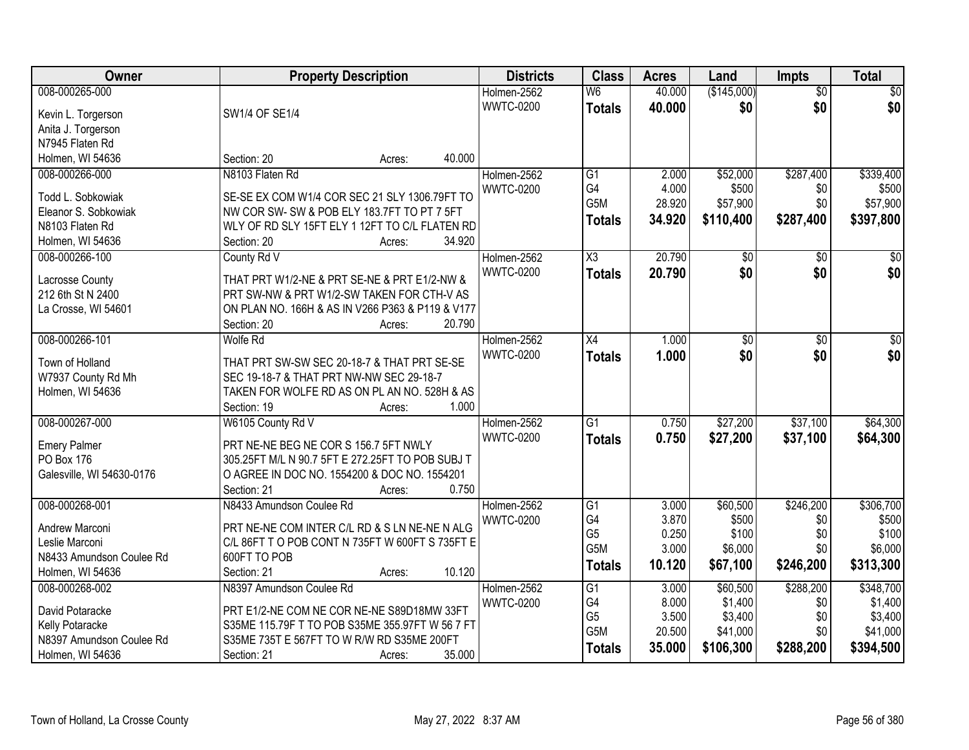| Owner                             | <b>Property Description</b>                      | <b>Districts</b> | <b>Class</b>     | <b>Acres</b>   | Land              | Impts           | <b>Total</b>       |
|-----------------------------------|--------------------------------------------------|------------------|------------------|----------------|-------------------|-----------------|--------------------|
| 008-000265-000                    |                                                  | Holmen-2562      | W <sub>6</sub>   | 40.000         | (\$145,000)       | $\overline{50}$ | \$0                |
| Kevin L. Torgerson                | SW1/4 OF SE1/4                                   | <b>WWTC-0200</b> | <b>Totals</b>    | 40.000         | \$0               | \$0             | \$0                |
| Anita J. Torgerson                |                                                  |                  |                  |                |                   |                 |                    |
| N7945 Flaten Rd                   |                                                  |                  |                  |                |                   |                 |                    |
| Holmen, WI 54636                  | 40.000<br>Section: 20<br>Acres:                  |                  |                  |                |                   |                 |                    |
| 008-000266-000                    | N8103 Flaten Rd                                  | Holmen-2562      | $\overline{G1}$  | 2.000          | \$52,000          | \$287,400       | \$339,400          |
|                                   |                                                  | <b>WWTC-0200</b> | G4               | 4.000          | \$500             | \$0             | \$500              |
| Todd L. Sobkowiak                 | SE-SE EX COM W1/4 COR SEC 21 SLY 1306.79FT TO    |                  | G5M              | 28.920         | \$57,900          | \$0             | \$57,900           |
| Eleanor S. Sobkowiak              | NW COR SW-SW & POB ELY 183.7FT TO PT 7 5FT       |                  | <b>Totals</b>    | 34.920         | \$110,400         | \$287,400       | \$397,800          |
| N8103 Flaten Rd                   | WLY OF RD SLY 15FT ELY 1 12FT TO C/L FLATEN RD   |                  |                  |                |                   |                 |                    |
| Holmen, WI 54636                  | 34.920<br>Section: 20<br>Acres:                  |                  |                  |                |                   |                 |                    |
| 008-000266-100                    | County Rd V                                      | Holmen-2562      | X3               | 20.790         | \$0               | \$0             | $\sqrt{50}$        |
| Lacrosse County                   | THAT PRT W1/2-NE & PRT SE-NE & PRT E1/2-NW &     | <b>WWTC-0200</b> | <b>Totals</b>    | 20.790         | \$0               | \$0             | \$0                |
| 212 6th St N 2400                 | PRT SW-NW & PRT W1/2-SW TAKEN FOR CTH-V AS       |                  |                  |                |                   |                 |                    |
| La Crosse, WI 54601               | ON PLAN NO. 166H & AS IN V266 P363 & P119 & V177 |                  |                  |                |                   |                 |                    |
|                                   | 20.790<br>Section: 20<br>Acres:                  |                  |                  |                |                   |                 |                    |
| 008-000266-101                    | Wolfe Rd                                         | Holmen-2562      | X4               | 1.000          | $\overline{50}$   | \$0             | $\sqrt{50}$        |
|                                   |                                                  | <b>WWTC-0200</b> |                  |                |                   |                 |                    |
| Town of Holland                   | THAT PRT SW-SW SEC 20-18-7 & THAT PRT SE-SE      |                  | <b>Totals</b>    | 1.000          | \$0               | \$0             | \$0                |
| W7937 County Rd Mh                | SEC 19-18-7 & THAT PRT NW-NW SEC 29-18-7         |                  |                  |                |                   |                 |                    |
| Holmen, WI 54636                  | TAKEN FOR WOLFE RD AS ON PL AN NO. 528H & AS     |                  |                  |                |                   |                 |                    |
|                                   | Section: 19<br>1.000<br>Acres:                   |                  |                  |                |                   |                 |                    |
| 008-000267-000                    | W6105 County Rd V                                | Holmen-2562      | $\overline{G1}$  | 0.750          | \$27,200          | \$37,100        | \$64,300           |
|                                   | PRT NE-NE BEG NE COR S 156.7 5FT NWLY            | <b>WWTC-0200</b> | <b>Totals</b>    | 0.750          | \$27,200          | \$37,100        | \$64,300           |
| <b>Emery Palmer</b><br>PO Box 176 | 305.25FT M/L N 90.7 5FT E 272.25FT TO POB SUBJ T |                  |                  |                |                   |                 |                    |
|                                   | O AGREE IN DOC NO. 1554200 & DOC NO. 1554201     |                  |                  |                |                   |                 |                    |
| Galesville, WI 54630-0176         | 0.750<br>Section: 21                             |                  |                  |                |                   |                 |                    |
| 008-000268-001                    | Acres:<br>N8433 Amundson Coulee Rd               |                  |                  |                |                   |                 |                    |
|                                   |                                                  | Holmen-2562      | G1<br>G4         | 3.000<br>3.870 | \$60,500<br>\$500 | \$246,200       | \$306,700<br>\$500 |
| Andrew Marconi                    | PRT NE-NE COM INTER C/L RD & S LN NE-NE N ALG    | <b>WWTC-0200</b> | G <sub>5</sub>   | 0.250          | \$100             | \$0<br>\$0      | \$100              |
| Leslie Marconi                    | C/L 86FT T O POB CONT N 735FT W 600FT S 735FT E  |                  | G <sub>5</sub> M | 3.000          | \$6,000           | \$0             | \$6,000            |
| N8433 Amundson Coulee Rd          | 600FT TO POB                                     |                  |                  |                |                   |                 |                    |
| Holmen, WI 54636                  | 10.120<br>Section: 21<br>Acres:                  |                  | <b>Totals</b>    | 10.120         | \$67,100          | \$246,200       | \$313,300          |
| 008-000268-002                    | N8397 Amundson Coulee Rd                         | Holmen-2562      | G1               | 3.000          | \$60,500          | \$288,200       | \$348,700          |
|                                   |                                                  | <b>WWTC-0200</b> | G4               | 8.000          | \$1,400           | \$0             | \$1,400            |
| David Potaracke                   | PRT E1/2-NE COM NE COR NE-NE S89D18MW 33FT       |                  | G <sub>5</sub>   | 3.500          | \$3,400           | \$0             | \$3,400            |
| Kelly Potaracke                   | S35ME 115.79F T TO POB S35ME 355.97FT W 56 7 FT  |                  | G5M              | 20.500         | \$41,000          | \$0             | \$41,000           |
| N8397 Amundson Coulee Rd          | S35ME 735T E 567FT TO W R/W RD S35ME 200FT       |                  | <b>Totals</b>    | 35.000         | \$106,300         | \$288,200       | \$394,500          |
| Holmen, WI 54636                  | 35.000<br>Section: 21<br>Acres:                  |                  |                  |                |                   |                 |                    |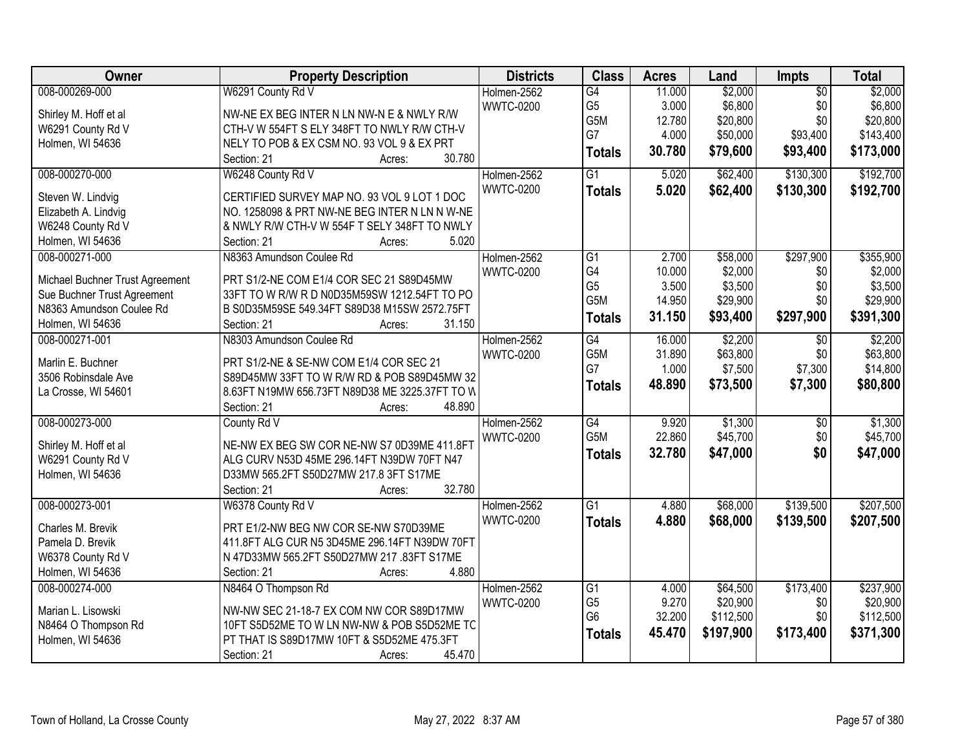| <b>Districts</b><br><b>Class</b><br>Owner<br><b>Property Description</b><br><b>Acres</b><br>Impts<br>Land                                    | <b>Total</b>               |
|----------------------------------------------------------------------------------------------------------------------------------------------|----------------------------|
| \$2,000<br>008-000269-000<br>W6291 County Rd V<br>Holmen-2562<br>11.000<br>G4                                                                | \$2,000<br>$\overline{50}$ |
| G <sub>5</sub><br>3.000<br>\$6,800<br><b>WWTC-0200</b><br>Shirley M. Hoff et al<br>NW-NE EX BEG INTER N LN NW-N E & NWLY R/W                 | \$6,800<br>\$0             |
| G5M<br>\$20,800<br>12.780<br>W6291 County Rd V<br>CTH-V W 554FT S ELY 348FT TO NWLY R/W CTH-V                                                | \$0<br>\$20,800            |
| G7<br>4.000<br>\$50,000<br>Holmen, WI 54636<br>NELY TO POB & EX CSM NO. 93 VOL 9 & EX PRT                                                    | \$93,400<br>\$143,400      |
| 30.780<br>\$79,600<br><b>Totals</b><br>30.780<br>Section: 21<br>Acres:                                                                       | \$93,400<br>\$173,000      |
| 008-000270-000<br>$\overline{G1}$<br>\$62,400<br>W6248 County Rd V<br>Holmen-2562<br>5.020                                                   | \$192,700<br>\$130,300     |
| <b>WWTC-0200</b><br>5.020<br>\$62,400<br><b>Totals</b>                                                                                       | \$130,300<br>\$192,700     |
| CERTIFIED SURVEY MAP NO. 93 VOL 9 LOT 1 DOC<br>Steven W. Lindvig                                                                             |                            |
| Elizabeth A. Lindvig<br>NO. 1258098 & PRT NW-NE BEG INTER N LN N W-NE                                                                        |                            |
| W6248 County Rd V<br>& NWLY R/W CTH-V W 554F T SELY 348FT TO NWLY<br>5.020                                                                   |                            |
| Holmen, WI 54636<br>Section: 21<br>Acres:                                                                                                    |                            |
| 008-000271-000<br>Holmen-2562<br>\$58,000<br>N8363 Amundson Coulee Rd<br>G1<br>2.700                                                         | \$297,900<br>\$355,900     |
| G4<br>\$2,000<br>10.000<br><b>WWTC-0200</b><br>PRT S1/2-NE COM E1/4 COR SEC 21 S89D45MW<br>Michael Buchner Trust Agreement<br>G <sub>5</sub> | \$0<br>\$2,000             |
| 3.500<br>\$3,500<br>Sue Buchner Trust Agreement<br>33FT TO W R/W R D N0D35M59SW 1212.54FT TO PO                                              | \$0<br>\$3,500             |
| G5M<br>14.950<br>\$29,900<br>N8363 Amundson Coulee Rd<br>B S0D35M59SE 549.34FT S89D38 M15SW 2572.75FT                                        | \$0<br>\$29,900            |
| 31.150<br>\$93,400<br><b>Totals</b><br>31.150<br>Holmen, WI 54636<br>Section: 21<br>Acres:                                                   | \$297,900<br>\$391,300     |
| 008-000271-001<br>N8303 Amundson Coulee Rd<br>Holmen-2562<br>G4<br>16.000<br>\$2,200                                                         | \$2,200<br>$\overline{50}$ |
| G5M<br>\$63,800<br><b>WWTC-0200</b><br>31.890                                                                                                | \$0<br>\$63,800            |
| Marlin E. Buchner<br>PRT S1/2-NE & SE-NW COM E1/4 COR SEC 21<br>G7<br>1.000<br>\$7,500                                                       | \$7,300<br>\$14,800        |
| 3506 Robinsdale Ave<br>S89D45MW 33FT TO W R/W RD & POB S89D45MW 32<br>48.890<br>\$73,500<br><b>Totals</b>                                    | \$7,300<br>\$80,800        |
| La Crosse, WI 54601<br>8.63FT N19MW 656.73FT N89D38 ME 3225.37FT TO W                                                                        |                            |
| Section: 21<br>48.890<br>Acres:                                                                                                              |                            |
| G4<br>\$1,300<br>008-000273-000<br>9.920<br>County Rd V<br>Holmen-2562                                                                       | \$1,300<br>$\overline{30}$ |
| G <sub>5</sub> M<br>22.860<br>\$45,700<br><b>WWTC-0200</b><br>Shirley M. Hoff et al<br>NE-NW EX BEG SW COR NE-NW S7 0D39ME 411.8FT           | \$0<br>\$45,700            |
| 32.780<br>\$47,000<br><b>Totals</b><br>W6291 County Rd V<br>ALG CURV N53D 45ME 296.14FT N39DW 70FT N47                                       | \$0<br>\$47,000            |
| Holmen, WI 54636<br>D33MW 565.2FT S50D27MW 217.8 3FT S17ME                                                                                   |                            |
| 32.780<br>Section: 21<br>Acres:                                                                                                              |                            |
| 008-000273-001<br>$\overline{G1}$<br>\$68,000<br>W6378 County Rd V<br>Holmen-2562<br>4.880                                                   | \$139,500<br>\$207,500     |
| <b>WWTC-0200</b><br>4.880<br>\$68,000<br><b>Totals</b>                                                                                       | \$139,500<br>\$207,500     |
| PRT E1/2-NW BEG NW COR SE-NW S70D39ME<br>Charles M. Brevik                                                                                   |                            |
| 411.8FT ALG CUR N5 3D45ME 296.14FT N39DW 70FT<br>Pamela D. Brevik                                                                            |                            |
| W6378 County Rd V<br>N 47D33MW 565.2FT S50D27MW 217 .83FT S17ME                                                                              |                            |
| 4.880<br>Holmen, WI 54636<br>Section: 21<br>Acres:                                                                                           |                            |
| 008-000274-000<br>N8464 O Thompson Rd<br>Holmen-2562<br>$\overline{G1}$<br>\$64,500<br>4.000                                                 | \$173,400<br>\$237,900     |
| G <sub>5</sub><br>9.270<br>\$20,900<br><b>WWTC-0200</b><br>Marian L. Lisowski<br>NW-NW SEC 21-18-7 EX COM NW COR S89D17MW                    | \$20,900<br>\$0            |
| G <sub>6</sub><br>32.200<br>\$112,500<br>N8464 O Thompson Rd<br>10FT S5D52ME TO W LN NW-NW & POB S5D52ME TC                                  | \$112,500<br>\$0           |
| 45.470<br>\$197,900<br><b>Totals</b><br>Holmen, WI 54636<br>PT THAT IS S89D17MW 10FT & S5D52ME 475.3FT                                       | \$371,300<br>\$173,400     |
| 45.470<br>Section: 21<br>Acres:                                                                                                              |                            |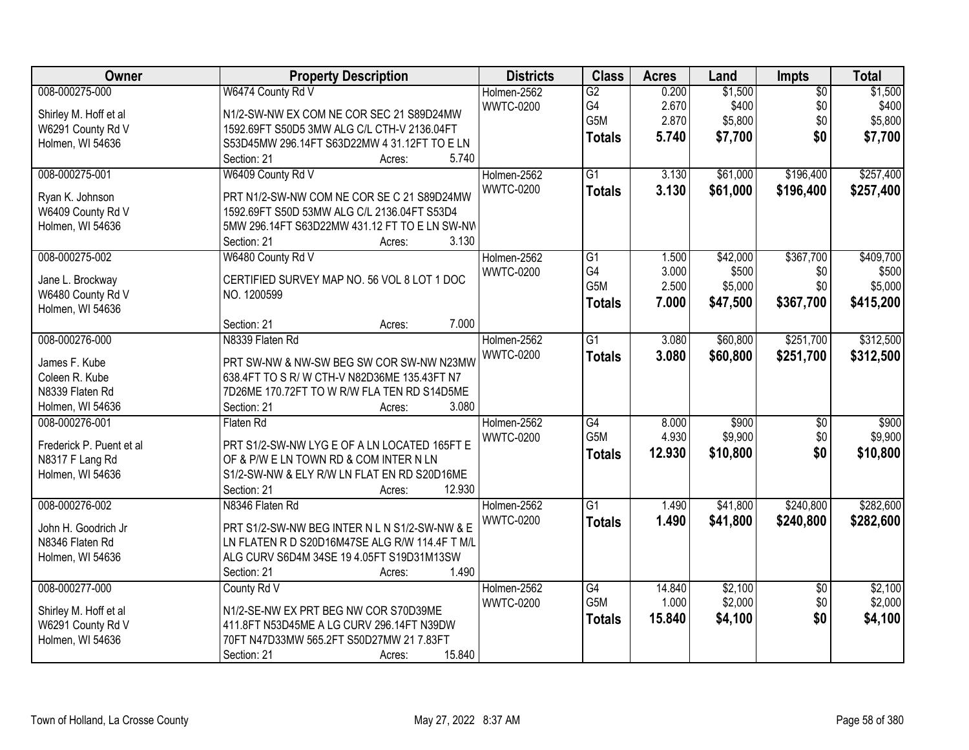| Owner                    | <b>Property Description</b>                    | <b>Districts</b> | <b>Class</b>     | <b>Acres</b> | Land     | Impts           | <b>Total</b> |
|--------------------------|------------------------------------------------|------------------|------------------|--------------|----------|-----------------|--------------|
| 008-000275-000           | W6474 County Rd V                              | Holmen-2562      | $\overline{G2}$  | 0.200        | \$1,500  | $\overline{50}$ | \$1,500      |
| Shirley M. Hoff et al    | N1/2-SW-NW EX COM NE COR SEC 21 S89D24MW       | <b>WWTC-0200</b> | G4               | 2.670        | \$400    | \$0             | \$400        |
| W6291 County Rd V        | 1592.69FT S50D5 3MW ALG C/L CTH-V 2136.04FT    |                  | G5M              | 2.870        | \$5,800  | \$0             | \$5,800      |
| Holmen, WI 54636         | S53D45MW 296.14FT S63D22MW 4 31.12FT TO E LN   |                  | <b>Totals</b>    | 5.740        | \$7,700  | \$0             | \$7,700      |
|                          | 5.740<br>Section: 21<br>Acres:                 |                  |                  |              |          |                 |              |
| 008-000275-001           | W6409 County Rd V                              | Holmen-2562      | $\overline{G1}$  | 3.130        | \$61,000 | \$196,400       | \$257,400    |
|                          |                                                | <b>WWTC-0200</b> | <b>Totals</b>    | 3.130        | \$61,000 | \$196,400       | \$257,400    |
| Ryan K. Johnson          | PRT N1/2-SW-NW COM NE COR SE C 21 S89D24MW     |                  |                  |              |          |                 |              |
| W6409 County Rd V        | 1592.69FT S50D 53MW ALG C/L 2136.04FT S53D4    |                  |                  |              |          |                 |              |
| Holmen, WI 54636         | 5MW 296.14FT S63D22MW 431.12 FT TO E LN SW-NW  |                  |                  |              |          |                 |              |
|                          | 3.130<br>Section: 21<br>Acres:                 |                  |                  |              |          |                 |              |
| 008-000275-002           | W6480 County Rd V                              | Holmen-2562      | G1               | 1.500        | \$42,000 | \$367,700       | \$409,700    |
| Jane L. Brockway         | CERTIFIED SURVEY MAP NO. 56 VOL 8 LOT 1 DOC    | <b>WWTC-0200</b> | G4               | 3.000        | \$500    | \$0             | \$500        |
| W6480 County Rd V        | NO. 1200599                                    |                  | G <sub>5</sub> M | 2.500        | \$5,000  | \$0             | \$5,000      |
| Holmen, WI 54636         |                                                |                  | <b>Totals</b>    | 7.000        | \$47,500 | \$367,700       | \$415,200    |
|                          | 7.000<br>Section: 21<br>Acres:                 |                  |                  |              |          |                 |              |
| 008-000276-000           | N8339 Flaten Rd                                | Holmen-2562      | $\overline{G1}$  | 3.080        | \$60,800 | \$251,700       | \$312,500    |
|                          |                                                |                  |                  |              |          |                 |              |
| James F. Kube            | PRT SW-NW & NW-SW BEG SW COR SW-NW N23MW       | <b>WWTC-0200</b> | <b>Totals</b>    | 3.080        | \$60,800 | \$251,700       | \$312,500    |
| Coleen R. Kube           | 638.4FT TO S R/ W CTH-V N82D36ME 135.43FT N7   |                  |                  |              |          |                 |              |
| N8339 Flaten Rd          | 7D26ME 170.72FT TO W R/W FLA TEN RD S14D5ME    |                  |                  |              |          |                 |              |
| Holmen, WI 54636         | 3.080<br>Section: 21<br>Acres:                 |                  |                  |              |          |                 |              |
| 008-000276-001           | Flaten Rd                                      | Holmen-2562      | G4               | 8.000        | \$900    | $\overline{60}$ | \$900        |
|                          |                                                | <b>WWTC-0200</b> | G <sub>5</sub> M | 4.930        | \$9,900  | \$0             | \$9,900      |
| Frederick P. Puent et al | PRT S1/2-SW-NW LYG E OF A LN LOCATED 165FT E   |                  | <b>Totals</b>    | 12.930       | \$10,800 | \$0             | \$10,800     |
| N8317 F Lang Rd          | OF & P/W E LN TOWN RD & COM INTER N LN         |                  |                  |              |          |                 |              |
| Holmen, WI 54636         | S1/2-SW-NW & ELY R/W LN FLAT EN RD S20D16ME    |                  |                  |              |          |                 |              |
|                          | 12.930<br>Section: 21<br>Acres:                |                  |                  |              |          |                 |              |
| 008-000276-002           | N8346 Flaten Rd                                | Holmen-2562      | $\overline{G1}$  | 1.490        | \$41,800 | \$240,800       | \$282,600    |
| John H. Goodrich Jr      | PRT S1/2-SW-NW BEG INTER N L N S1/2-SW-NW & E  | <b>WWTC-0200</b> | <b>Totals</b>    | 1.490        | \$41,800 | \$240,800       | \$282,600    |
| N8346 Flaten Rd          | LN FLATEN R D S20D16M47SE ALG R/W 114.4F T M/L |                  |                  |              |          |                 |              |
| Holmen, WI 54636         | ALG CURV S6D4M 34SE 19 4.05FT S19D31M13SW      |                  |                  |              |          |                 |              |
|                          | 1.490<br>Section: 21<br>Acres:                 |                  |                  |              |          |                 |              |
| 008-000277-000           | County Rd V                                    | Holmen-2562      | G4               | 14.840       | \$2,100  | $\overline{30}$ | \$2,100      |
|                          |                                                | <b>WWTC-0200</b> | G5M              | 1.000        | \$2,000  | \$0             | \$2,000      |
| Shirley M. Hoff et al    | N1/2-SE-NW EX PRT BEG NW COR S70D39ME          |                  |                  | 15.840       | \$4,100  | \$0             | \$4,100      |
| W6291 County Rd V        | 411.8FT N53D45ME A LG CURV 296.14FT N39DW      |                  | <b>Totals</b>    |              |          |                 |              |
| Holmen, WI 54636         | 70FT N47D33MW 565.2FT S50D27MW 21 7.83FT       |                  |                  |              |          |                 |              |
|                          | 15.840<br>Section: 21<br>Acres:                |                  |                  |              |          |                 |              |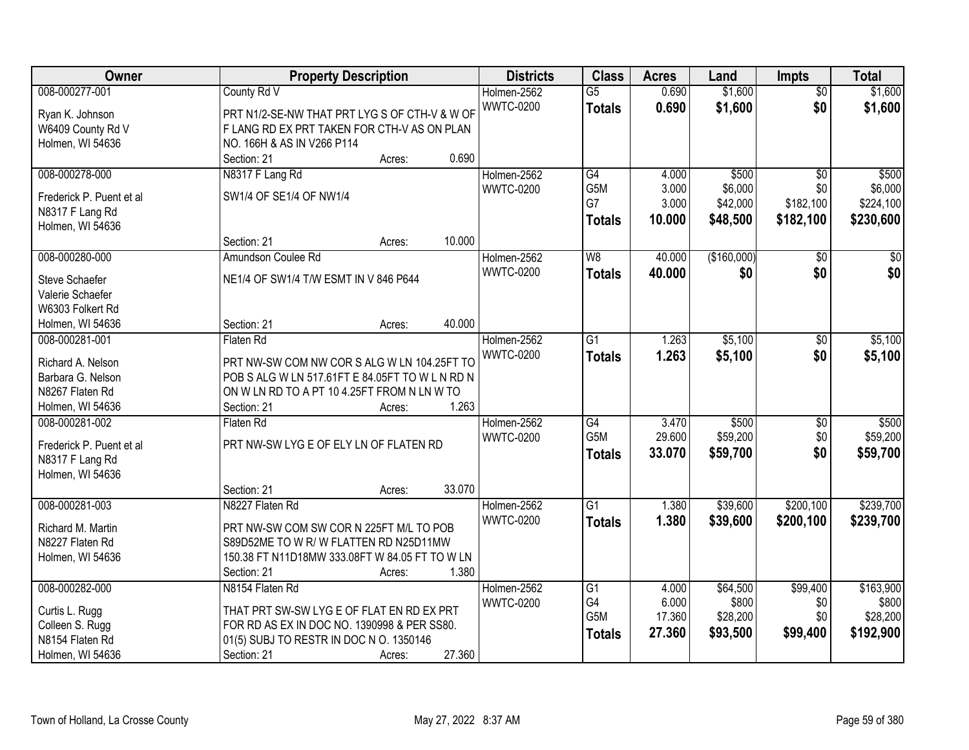| Owner                               | <b>Property Description</b>                     | <b>Districts</b> | <b>Class</b>     | <b>Acres</b> | Land        | <b>Impts</b>    | <b>Total</b>    |
|-------------------------------------|-------------------------------------------------|------------------|------------------|--------------|-------------|-----------------|-----------------|
| 008-000277-001                      | County Rd V                                     | Holmen-2562      | $\overline{G5}$  | 0.690        | \$1,600     | $\overline{50}$ | \$1,600         |
| Ryan K. Johnson                     | PRT N1/2-SE-NW THAT PRT LYG S OF CTH-V & W OF   | <b>WWTC-0200</b> | <b>Totals</b>    | 0.690        | \$1,600     | \$0             | \$1,600         |
| W6409 County Rd V                   | F LANG RD EX PRT TAKEN FOR CTH-V AS ON PLAN     |                  |                  |              |             |                 |                 |
| Holmen, WI 54636                    | NO. 166H & AS IN V266 P114                      |                  |                  |              |             |                 |                 |
|                                     | 0.690<br>Section: 21<br>Acres:                  |                  |                  |              |             |                 |                 |
| 008-000278-000                      | N8317 F Lang Rd                                 | Holmen-2562      | G4               | 4.000        | \$500       | $\overline{50}$ | \$500           |
| Frederick P. Puent et al            | SW1/4 OF SE1/4 OF NW1/4                         | <b>WWTC-0200</b> | G <sub>5</sub> M | 3.000        | \$6,000     | \$0             | \$6,000         |
|                                     |                                                 |                  | G7               | 3.000        | \$42,000    | \$182,100       | \$224,100       |
| N8317 F Lang Rd<br>Holmen, WI 54636 |                                                 |                  | <b>Totals</b>    | 10.000       | \$48,500    | \$182,100       | \$230,600       |
|                                     | 10.000<br>Section: 21<br>Acres:                 |                  |                  |              |             |                 |                 |
| 008-000280-000                      | Amundson Coulee Rd                              | Holmen-2562      | W <sub>8</sub>   | 40.000       | (\$160,000) | \$0             | $\overline{30}$ |
|                                     |                                                 | <b>WWTC-0200</b> |                  | 40.000       | \$0         | \$0             | \$0             |
| Steve Schaefer                      | NE1/4 OF SW1/4 T/W ESMT IN V 846 P644           |                  | <b>Totals</b>    |              |             |                 |                 |
| Valerie Schaefer                    |                                                 |                  |                  |              |             |                 |                 |
| W6303 Folkert Rd                    |                                                 |                  |                  |              |             |                 |                 |
| Holmen, WI 54636                    | 40.000<br>Section: 21<br>Acres:                 |                  |                  |              |             |                 |                 |
| 008-000281-001                      | Flaten Rd                                       | Holmen-2562      | G1               | 1.263        | \$5,100     | \$0             | \$5,100         |
| Richard A. Nelson                   | PRT NW-SW COM NW COR S ALG W LN 104.25FT TO     | <b>WWTC-0200</b> | <b>Totals</b>    | 1.263        | \$5,100     | \$0             | \$5,100         |
| Barbara G. Nelson                   | POB S ALG W LN 517.61FT E 84.05FT TO W L N RD N |                  |                  |              |             |                 |                 |
| N8267 Flaten Rd                     | ON W LN RD TO A PT 10 4.25FT FROM N LN W TO     |                  |                  |              |             |                 |                 |
| Holmen, WI 54636                    | 1.263<br>Section: 21<br>Acres:                  |                  |                  |              |             |                 |                 |
| 008-000281-002                      | Flaten Rd                                       | Holmen-2562      | $\overline{G4}$  | 3.470        | \$500       | \$0             | \$500           |
|                                     |                                                 | <b>WWTC-0200</b> | G <sub>5</sub> M | 29.600       | \$59,200    | \$0             | \$59,200        |
| Frederick P. Puent et al            | PRT NW-SW LYG E OF ELY LN OF FLATEN RD          |                  | <b>Totals</b>    | 33.070       | \$59,700    | \$0             | \$59,700        |
| N8317 F Lang Rd                     |                                                 |                  |                  |              |             |                 |                 |
| Holmen, WI 54636                    |                                                 |                  |                  |              |             |                 |                 |
|                                     | 33.070<br>Section: 21<br>Acres:                 |                  |                  |              |             |                 |                 |
| 008-000281-003                      | N8227 Flaten Rd                                 | Holmen-2562      | $\overline{G1}$  | 1.380        | \$39,600    | \$200,100       | \$239,700       |
| Richard M. Martin                   | PRT NW-SW COM SW COR N 225FT M/L TO POB         | <b>WWTC-0200</b> | <b>Totals</b>    | 1.380        | \$39,600    | \$200,100       | \$239,700       |
| N8227 Flaten Rd                     | S89D52ME TO W R/ W FLATTEN RD N25D11MW          |                  |                  |              |             |                 |                 |
| Holmen, WI 54636                    | 150.38 FT N11D18MW 333.08FT W 84.05 FT TO W LN  |                  |                  |              |             |                 |                 |
|                                     | 1.380<br>Section: 21<br>Acres:                  |                  |                  |              |             |                 |                 |
| 008-000282-000                      | N8154 Flaten Rd                                 | Holmen-2562      | G1               | 4.000        | \$64,500    | \$99,400        | \$163,900       |
| Curtis L. Rugg                      | THAT PRT SW-SW LYG E OF FLAT EN RD EX PRT       | <b>WWTC-0200</b> | G4               | 6.000        | \$800       | \$0             | \$800           |
| Colleen S. Rugg                     | FOR RD AS EX IN DOC NO. 1390998 & PER SS80.     |                  | G <sub>5</sub> M | 17.360       | \$28,200    | \$0             | \$28,200        |
| N8154 Flaten Rd                     | 01(5) SUBJ TO RESTR IN DOC N O. 1350146         |                  | <b>Totals</b>    | 27.360       | \$93,500    | \$99,400        | \$192,900       |
|                                     |                                                 |                  |                  |              |             |                 |                 |
| Holmen, WI 54636                    | 27.360<br>Section: 21<br>Acres:                 |                  |                  |              |             |                 |                 |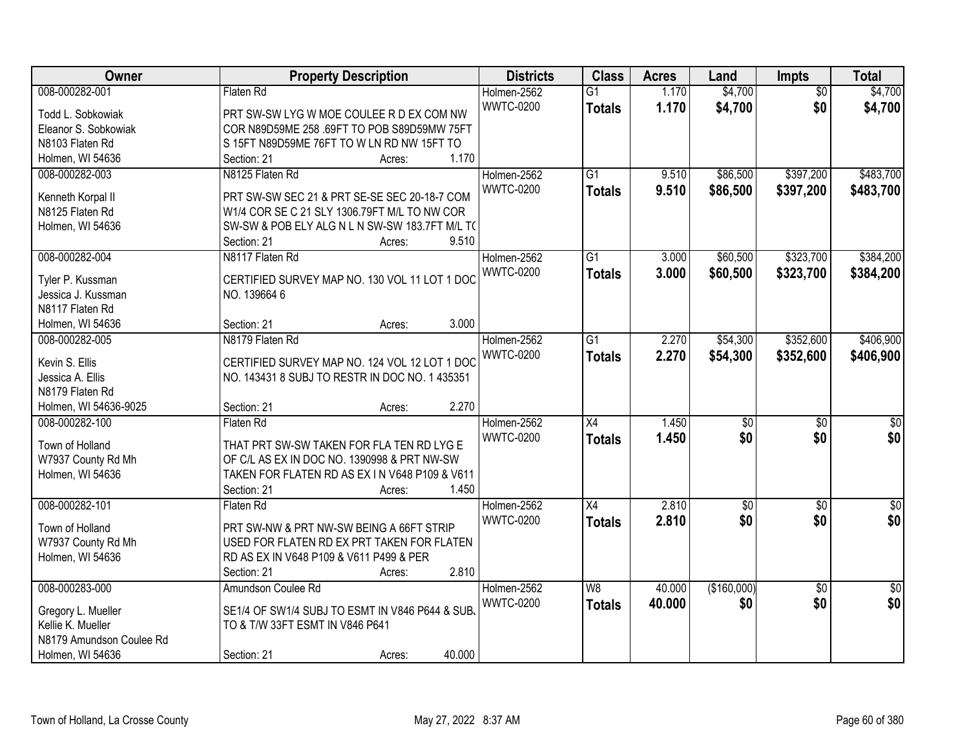| Owner                    | <b>Property Description</b>                    | <b>Districts</b> | <b>Class</b>    | <b>Acres</b> | Land            | Impts           | <b>Total</b>     |
|--------------------------|------------------------------------------------|------------------|-----------------|--------------|-----------------|-----------------|------------------|
| 008-000282-001           | <b>Flaten Rd</b>                               | Holmen-2562      | $\overline{G1}$ | 1.170        | \$4,700         | $\overline{50}$ | \$4,700          |
| Todd L. Sobkowiak        | PRT SW-SW LYG W MOE COULEE R D EX COM NW       | <b>WWTC-0200</b> | <b>Totals</b>   | 1.170        | \$4,700         | \$0             | \$4,700          |
| Eleanor S. Sobkowiak     | COR N89D59ME 258 .69FT TO POB S89D59MW 75FT    |                  |                 |              |                 |                 |                  |
| N8103 Flaten Rd          | S 15FT N89D59ME 76FT TO W LN RD NW 15FT TO     |                  |                 |              |                 |                 |                  |
| Holmen, WI 54636         | 1.170<br>Section: 21<br>Acres:                 |                  |                 |              |                 |                 |                  |
| 008-000282-003           | N8125 Flaten Rd                                | Holmen-2562      | $\overline{G1}$ | 9.510        | \$86,500        | \$397,200       | \$483,700        |
|                          |                                                | <b>WWTC-0200</b> | <b>Totals</b>   | 9.510        | \$86,500        | \$397,200       | \$483,700        |
| Kenneth Korpal II        | PRT SW-SW SEC 21 & PRT SE-SE SEC 20-18-7 COM   |                  |                 |              |                 |                 |                  |
| N8125 Flaten Rd          | W1/4 COR SE C 21 SLY 1306.79FT M/L TO NW COR   |                  |                 |              |                 |                 |                  |
| Holmen, WI 54636         | SW-SW & POB ELY ALG N L N SW-SW 183.7FT M/L TO |                  |                 |              |                 |                 |                  |
|                          | 9.510<br>Section: 21<br>Acres:                 |                  |                 |              |                 |                 |                  |
| 008-000282-004           | N8117 Flaten Rd                                | Holmen-2562      | $\overline{G1}$ | 3.000        | \$60,500        | \$323,700       | \$384,200        |
| Tyler P. Kussman         | CERTIFIED SURVEY MAP NO. 130 VOL 11 LOT 1 DOC  | <b>WWTC-0200</b> | <b>Totals</b>   | 3.000        | \$60,500        | \$323,700       | \$384,200        |
| Jessica J. Kussman       | NO. 139664 6                                   |                  |                 |              |                 |                 |                  |
| N8117 Flaten Rd          |                                                |                  |                 |              |                 |                 |                  |
| Holmen, WI 54636         | 3.000<br>Section: 21<br>Acres:                 |                  |                 |              |                 |                 |                  |
| 008-000282-005           | N8179 Flaten Rd                                | Holmen-2562      | G1              | 2.270        | \$54,300        | \$352,600       | \$406,900        |
|                          |                                                | <b>WWTC-0200</b> | <b>Totals</b>   | 2.270        | \$54,300        | \$352,600       | \$406,900        |
| Kevin S. Ellis           | CERTIFIED SURVEY MAP NO. 124 VOL 12 LOT 1 DOC  |                  |                 |              |                 |                 |                  |
| Jessica A. Ellis         | NO. 143431 8 SUBJ TO RESTR IN DOC NO. 1 435351 |                  |                 |              |                 |                 |                  |
| N8179 Flaten Rd          |                                                |                  |                 |              |                 |                 |                  |
| Holmen, WI 54636-9025    | 2.270<br>Section: 21<br>Acres:                 |                  |                 |              |                 |                 |                  |
| 008-000282-100           | Flaten Rd                                      | Holmen-2562      | $\overline{X4}$ | 1.450        | $\overline{50}$ | $\overline{50}$ | $\overline{\$0}$ |
| Town of Holland          | THAT PRT SW-SW TAKEN FOR FLA TEN RD LYG E      | <b>WWTC-0200</b> | <b>Totals</b>   | 1.450        | \$0             | \$0             | \$0              |
| W7937 County Rd Mh       | OF C/L AS EX IN DOC NO. 1390998 & PRT NW-SW    |                  |                 |              |                 |                 |                  |
| Holmen, WI 54636         | TAKEN FOR FLATEN RD AS EX IN V648 P109 & V611  |                  |                 |              |                 |                 |                  |
|                          | 1.450<br>Section: 21<br>Acres:                 |                  |                 |              |                 |                 |                  |
| 008-000282-101           | Flaten Rd                                      | Holmen-2562      | $\overline{X4}$ | 2.810        | $\sqrt{6}$      | $\sqrt{6}$      | $\frac{6}{3}$    |
|                          |                                                | <b>WWTC-0200</b> | <b>Totals</b>   | 2.810        | \$0             | \$0             | \$0              |
| Town of Holland          | PRT SW-NW & PRT NW-SW BEING A 66FT STRIP       |                  |                 |              |                 |                 |                  |
| W7937 County Rd Mh       | USED FOR FLATEN RD EX PRT TAKEN FOR FLATEN     |                  |                 |              |                 |                 |                  |
| Holmen, WI 54636         | RD AS EX IN V648 P109 & V611 P499 & PER        |                  |                 |              |                 |                 |                  |
|                          | 2.810<br>Section: 21<br>Acres:                 |                  |                 |              |                 |                 |                  |
| 008-000283-000           | Amundson Coulee Rd                             | Holmen-2562      | W8              | 40.000       | (\$160,000)     | $\overline{50}$ | $\overline{50}$  |
| Gregory L. Mueller       | SE1/4 OF SW1/4 SUBJ TO ESMT IN V846 P644 & SUB | <b>WWTC-0200</b> | <b>Totals</b>   | 40.000       | \$0             | \$0             | \$0              |
| Kellie K. Mueller        | TO & T/W 33FT ESMT IN V846 P641                |                  |                 |              |                 |                 |                  |
| N8179 Amundson Coulee Rd |                                                |                  |                 |              |                 |                 |                  |
| Holmen, WI 54636         | 40.000<br>Section: 21<br>Acres:                |                  |                 |              |                 |                 |                  |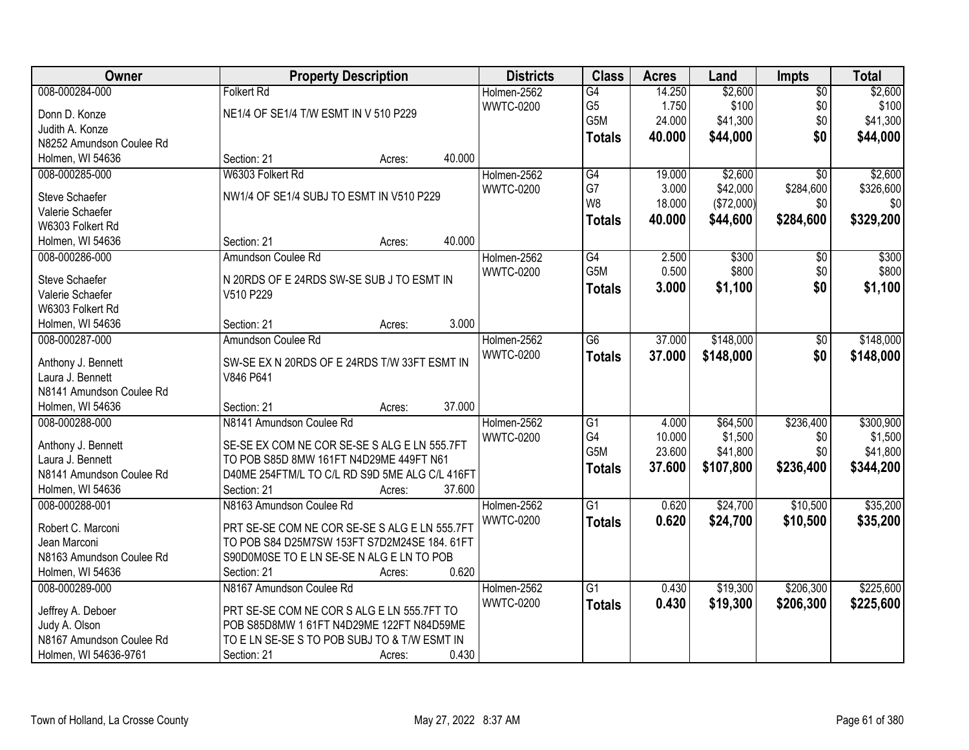| Owner                    | <b>Property Description</b>                    | <b>Districts</b> | <b>Class</b>     | <b>Acres</b> | Land       | <b>Impts</b>    | <b>Total</b> |
|--------------------------|------------------------------------------------|------------------|------------------|--------------|------------|-----------------|--------------|
| 008-000284-000           | <b>Folkert Rd</b>                              | Holmen-2562      | G4               | 14.250       | \$2,600    | $\overline{50}$ | \$2,600      |
| Donn D. Konze            | NE1/4 OF SE1/4 T/W ESMT IN V 510 P229          | <b>WWTC-0200</b> | G <sub>5</sub>   | 1.750        | \$100      | \$0             | \$100        |
| Judith A. Konze          |                                                |                  | G5M              | 24.000       | \$41,300   | \$0             | \$41,300     |
| N8252 Amundson Coulee Rd |                                                |                  | <b>Totals</b>    | 40.000       | \$44,000   | \$0             | \$44,000     |
| Holmen, WI 54636         | 40.000<br>Section: 21<br>Acres:                |                  |                  |              |            |                 |              |
| 008-000285-000           | W6303 Folkert Rd                               | Holmen-2562      | G4               | 19.000       | \$2,600    | $\overline{50}$ | \$2,600      |
|                          |                                                | <b>WWTC-0200</b> | G7               | 3.000        | \$42,000   | \$284,600       | \$326,600    |
| <b>Steve Schaefer</b>    | NW1/4 OF SE1/4 SUBJ TO ESMT IN V510 P229       |                  | W8               | 18.000       | (\$72,000) | \$0             | \$0          |
| Valerie Schaefer         |                                                |                  | <b>Totals</b>    | 40.000       | \$44,600   | \$284,600       | \$329,200    |
| W6303 Folkert Rd         |                                                |                  |                  |              |            |                 |              |
| Holmen, WI 54636         | 40.000<br>Section: 21<br>Acres:                |                  |                  |              |            |                 |              |
| 008-000286-000           | Amundson Coulee Rd                             | Holmen-2562      | G4               | 2.500        | \$300      | \$0             | \$300        |
| Steve Schaefer           | N 20RDS OF E 24RDS SW-SE SUB J TO ESMT IN      | <b>WWTC-0200</b> | G5M              | 0.500        | \$800      | \$0             | \$800        |
| Valerie Schaefer         | V510 P229                                      |                  | <b>Totals</b>    | 3.000        | \$1,100    | \$0             | \$1,100      |
| W6303 Folkert Rd         |                                                |                  |                  |              |            |                 |              |
| Holmen, WI 54636         | 3.000<br>Section: 21<br>Acres:                 |                  |                  |              |            |                 |              |
| 008-000287-000           | Amundson Coulee Rd                             | Holmen-2562      | G <sub>6</sub>   | 37.000       | \$148,000  | \$0             | \$148,000    |
|                          |                                                | <b>WWTC-0200</b> | <b>Totals</b>    | 37.000       | \$148,000  | \$0             | \$148,000    |
| Anthony J. Bennett       | SW-SE EX N 20RDS OF E 24RDS T/W 33FT ESMT IN   |                  |                  |              |            |                 |              |
| Laura J. Bennett         | V846 P641                                      |                  |                  |              |            |                 |              |
| N8141 Amundson Coulee Rd |                                                |                  |                  |              |            |                 |              |
| Holmen, WI 54636         | 37.000<br>Section: 21<br>Acres:                |                  |                  |              |            |                 |              |
| 008-000288-000           | N8141 Amundson Coulee Rd                       | Holmen-2562      | $\overline{G1}$  | 4.000        | \$64,500   | \$236,400       | \$300,900    |
| Anthony J. Bennett       | SE-SE EX COM NE COR SE-SE S ALG E LN 555.7FT   | <b>WWTC-0200</b> | G4               | 10.000       | \$1,500    | \$0             | \$1,500      |
| Laura J. Bennett         | TO POB S85D 8MW 161FT N4D29ME 449FT N61        |                  | G <sub>5</sub> M | 23.600       | \$41,800   | \$0             | \$41,800     |
| N8141 Amundson Coulee Rd | D40ME 254FTM/L TO C/L RD S9D 5ME ALG C/L 416FT |                  | <b>Totals</b>    | 37.600       | \$107,800  | \$236,400       | \$344,200    |
| Holmen, WI 54636         | Section: 21<br>37.600<br>Acres:                |                  |                  |              |            |                 |              |
| 008-000288-001           | N8163 Amundson Coulee Rd                       | Holmen-2562      | G1               | 0.620        | \$24,700   | \$10,500        | \$35,200     |
|                          |                                                | <b>WWTC-0200</b> | <b>Totals</b>    | 0.620        | \$24,700   | \$10,500        | \$35,200     |
| Robert C. Marconi        | PRT SE-SE COM NE COR SE-SE S ALG E LN 555.7FT  |                  |                  |              |            |                 |              |
| Jean Marconi             | TO POB S84 D25M7SW 153FT S7D2M24SE 184. 61FT   |                  |                  |              |            |                 |              |
| N8163 Amundson Coulee Rd | S90D0M0SE TO E LN SE-SE N ALG E LN TO POB      |                  |                  |              |            |                 |              |
| Holmen, WI 54636         | 0.620<br>Section: 21<br>Acres:                 |                  |                  |              |            |                 |              |
| 008-000289-000           | N8167 Amundson Coulee Rd                       | Holmen-2562      | G1               | 0.430        | \$19,300   | \$206,300       | \$225,600    |
| Jeffrey A. Deboer        | PRT SE-SE COM NE COR S ALG E LN 555.7FT TO     | <b>WWTC-0200</b> | <b>Totals</b>    | 0.430        | \$19,300   | \$206,300       | \$225,600    |
| Judy A. Olson            | POB S85D8MW 1 61FT N4D29ME 122FT N84D59ME      |                  |                  |              |            |                 |              |
| N8167 Amundson Coulee Rd | TO E LN SE-SE S TO POB SUBJ TO & T/W ESMT IN   |                  |                  |              |            |                 |              |
| Holmen, WI 54636-9761    | 0.430<br>Section: 21<br>Acres:                 |                  |                  |              |            |                 |              |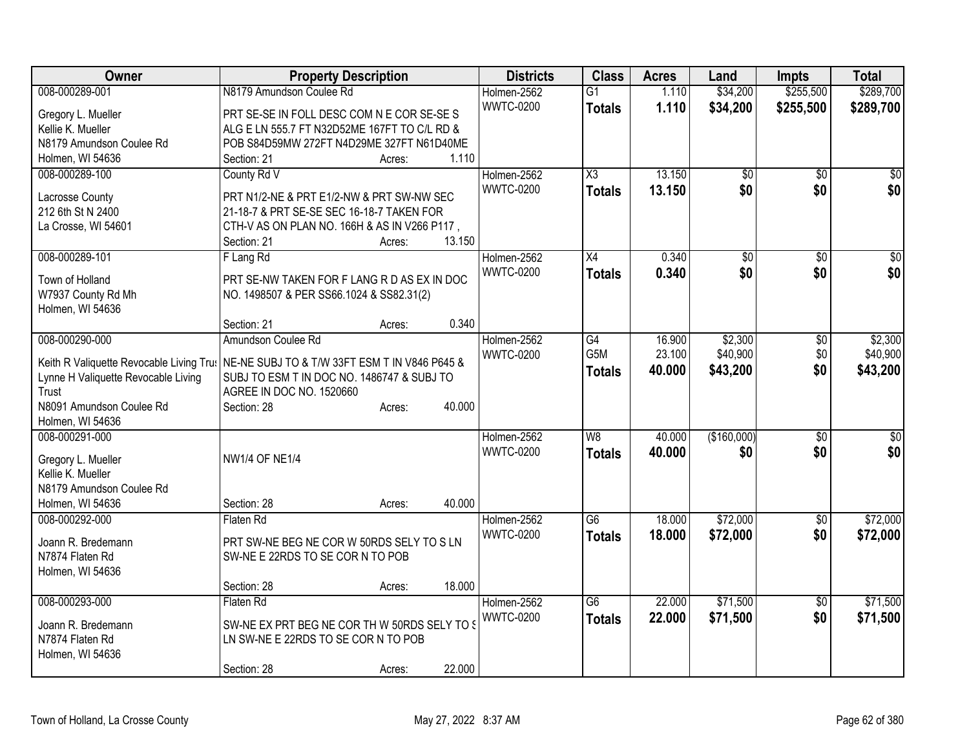| Owner                                    | <b>Property Description</b>                   | <b>Districts</b> | <b>Class</b>           | <b>Acres</b> | Land            | <b>Impts</b>    | <b>Total</b>    |
|------------------------------------------|-----------------------------------------------|------------------|------------------------|--------------|-----------------|-----------------|-----------------|
| 008-000289-001                           | N8179 Amundson Coulee Rd                      | Holmen-2562      | $\overline{G1}$        | 1.110        | \$34,200        | \$255,500       | \$289,700       |
| Gregory L. Mueller                       | PRT SE-SE IN FOLL DESC COM N E COR SE-SE S    | <b>WWTC-0200</b> | <b>Totals</b>          | 1.110        | \$34,200        | \$255,500       | \$289,700       |
| Kellie K. Mueller                        | ALG E LN 555.7 FT N32D52ME 167FT TO C/L RD &  |                  |                        |              |                 |                 |                 |
| N8179 Amundson Coulee Rd                 | POB S84D59MW 272FT N4D29ME 327FT N61D40ME     |                  |                        |              |                 |                 |                 |
| Holmen, WI 54636                         | 1.110<br>Section: 21<br>Acres:                |                  |                        |              |                 |                 |                 |
| 008-000289-100                           | County Rd V                                   | Holmen-2562      | $\overline{\text{X3}}$ | 13.150       | \$0             | $\sqrt{6}$      | \$0             |
|                                          |                                               | <b>WWTC-0200</b> | <b>Totals</b>          | 13.150       | \$0             | \$0             | \$0             |
| Lacrosse County                          | PRT N1/2-NE & PRT E1/2-NW & PRT SW-NW SEC     |                  |                        |              |                 |                 |                 |
| 212 6th St N 2400                        | 21-18-7 & PRT SE-SE SEC 16-18-7 TAKEN FOR     |                  |                        |              |                 |                 |                 |
| La Crosse, WI 54601                      | CTH-V AS ON PLAN NO. 166H & AS IN V266 P117,  |                  |                        |              |                 |                 |                 |
|                                          | 13.150<br>Section: 21<br>Acres:               |                  |                        |              |                 |                 |                 |
| 008-000289-101                           | F Lang Rd                                     | Holmen-2562      | X4                     | 0.340        | $\overline{50}$ | $\sqrt{6}$      | $\sqrt{50}$     |
| Town of Holland                          | PRT SE-NW TAKEN FOR F LANG R D AS EX IN DOC   | <b>WWTC-0200</b> | <b>Totals</b>          | 0.340        | \$0             | \$0             | \$0             |
| W7937 County Rd Mh                       | NO. 1498507 & PER SS66.1024 & SS82.31(2)      |                  |                        |              |                 |                 |                 |
| Holmen, WI 54636                         |                                               |                  |                        |              |                 |                 |                 |
|                                          | 0.340<br>Section: 21<br>Acres:                |                  |                        |              |                 |                 |                 |
| 008-000290-000                           | Amundson Coulee Rd                            | Holmen-2562      | G4                     | 16.900       | \$2,300         | \$0             | \$2,300         |
|                                          |                                               | <b>WWTC-0200</b> | G5M                    | 23.100       | \$40,900        | \$0             | \$40,900        |
| Keith R Valiquette Revocable Living Trus | NE-NE SUBJ TO & T/W 33FT ESM T IN V846 P645 & |                  | <b>Totals</b>          | 40.000       | \$43,200        | \$0             | \$43,200        |
| Lynne H Valiquette Revocable Living      | SUBJ TO ESM T IN DOC NO. 1486747 & SUBJ TO    |                  |                        |              |                 |                 |                 |
| Trust                                    | AGREE IN DOC NO. 1520660                      |                  |                        |              |                 |                 |                 |
| N8091 Amundson Coulee Rd                 | 40.000<br>Section: 28<br>Acres:               |                  |                        |              |                 |                 |                 |
| Holmen, WI 54636                         |                                               |                  |                        |              |                 |                 |                 |
| 008-000291-000                           |                                               | Holmen-2562      | W <sub>8</sub>         | 40.000       | (\$160,000)     | $\frac{1}{20}$  | $\overline{50}$ |
| Gregory L. Mueller                       | <b>NW1/4 OF NE1/4</b>                         | <b>WWTC-0200</b> | <b>Totals</b>          | 40.000       | \$0             | \$0             | \$0             |
| Kellie K. Mueller                        |                                               |                  |                        |              |                 |                 |                 |
| N8179 Amundson Coulee Rd                 |                                               |                  |                        |              |                 |                 |                 |
| Holmen, WI 54636                         | 40.000<br>Section: 28<br>Acres:               |                  |                        |              |                 |                 |                 |
| 008-000292-000                           | Flaten Rd                                     | Holmen-2562      | $\overline{G6}$        | 18.000       | \$72,000        | $\overline{50}$ | \$72,000        |
|                                          |                                               | <b>WWTC-0200</b> |                        | 18.000       | \$72,000        | \$0             | \$72,000        |
| Joann R. Bredemann                       | PRT SW-NE BEG NE COR W 50RDS SELY TO S LN     |                  | <b>Totals</b>          |              |                 |                 |                 |
| N7874 Flaten Rd                          | SW-NE E 22RDS TO SE COR N TO POB              |                  |                        |              |                 |                 |                 |
| Holmen, WI 54636                         |                                               |                  |                        |              |                 |                 |                 |
|                                          | 18.000<br>Section: 28<br>Acres:               |                  |                        |              |                 |                 |                 |
| 008-000293-000                           | Flaten Rd                                     | Holmen-2562      | $\overline{G6}$        | 22.000       | \$71,500        | $\overline{30}$ | \$71,500        |
| Joann R. Bredemann                       | SW-NE EX PRT BEG NE COR TH W 50RDS SELY TO \$ | <b>WWTC-0200</b> | <b>Totals</b>          | 22.000       | \$71,500        | \$0             | \$71,500        |
| N7874 Flaten Rd                          | LN SW-NE E 22RDS TO SE COR N TO POB           |                  |                        |              |                 |                 |                 |
| Holmen, WI 54636                         |                                               |                  |                        |              |                 |                 |                 |
|                                          | 22.000                                        |                  |                        |              |                 |                 |                 |
|                                          | Section: 28<br>Acres:                         |                  |                        |              |                 |                 |                 |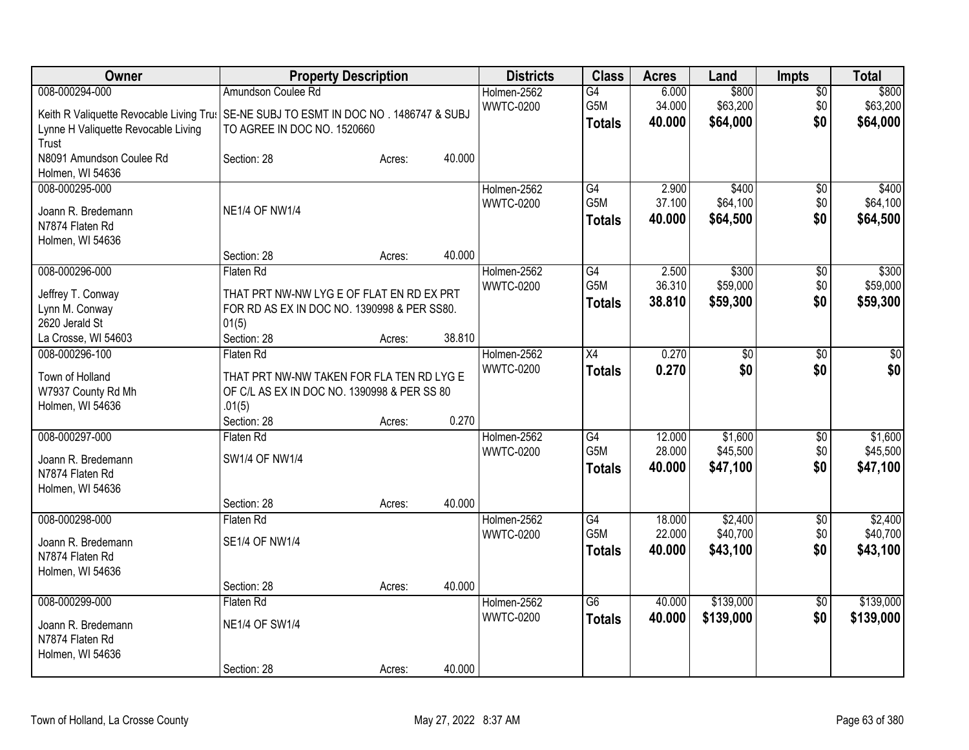| Owner                                                                                                                                                   |                                                                                                                                | <b>Property Description</b> |        | <b>Districts</b>                | <b>Class</b>                                         | <b>Acres</b>               | Land                            | Impts                         | <b>Total</b>                    |
|---------------------------------------------------------------------------------------------------------------------------------------------------------|--------------------------------------------------------------------------------------------------------------------------------|-----------------------------|--------|---------------------------------|------------------------------------------------------|----------------------------|---------------------------------|-------------------------------|---------------------------------|
| 008-000294-000<br>Keith R Valiquette Revocable Living Tru: SE-NE SUBJ TO ESMT IN DOC NO. 1486747 & SUBJ<br>Lynne H Valiquette Revocable Living<br>Trust | Amundson Coulee Rd<br>TO AGREE IN DOC NO. 1520660                                                                              |                             |        | Holmen-2562<br><b>WWTC-0200</b> | G4<br>G5M<br><b>Totals</b>                           | 6.000<br>34.000<br>40.000  | \$800<br>\$63,200<br>\$64,000   | $\overline{50}$<br>\$0<br>\$0 | \$800<br>\$63,200<br>\$64,000   |
| N8091 Amundson Coulee Rd<br>Holmen, WI 54636                                                                                                            | Section: 28                                                                                                                    | Acres:                      | 40.000 |                                 |                                                      |                            |                                 |                               |                                 |
| 008-000295-000<br>Joann R. Bredemann<br>N7874 Flaten Rd<br>Holmen, WI 54636                                                                             | <b>NE1/4 OF NW1/4</b>                                                                                                          |                             |        | Holmen-2562<br><b>WWTC-0200</b> | G4<br>G5M<br><b>Totals</b>                           | 2.900<br>37.100<br>40.000  | \$400<br>\$64,100<br>\$64,500   | \$0<br>\$0<br>\$0             | \$400<br>\$64,100<br>\$64,500   |
|                                                                                                                                                         | Section: 28                                                                                                                    | Acres:                      | 40.000 |                                 |                                                      |                            |                                 |                               |                                 |
| 008-000296-000<br>Jeffrey T. Conway<br>Lynn M. Conway<br>2620 Jerald St                                                                                 | Flaten Rd<br>THAT PRT NW-NW LYG E OF FLAT EN RD EX PRT<br>FOR RD AS EX IN DOC NO. 1390998 & PER SS80.<br>01(5)                 |                             |        | Holmen-2562<br><b>WWTC-0200</b> | $\overline{G4}$<br>G <sub>5</sub> M<br><b>Totals</b> | 2.500<br>36.310<br>38.810  | \$300<br>\$59,000<br>\$59,300   | \$0<br>\$0<br>\$0             | \$300<br>\$59,000<br>\$59,300   |
| La Crosse, WI 54603                                                                                                                                     | Section: 28                                                                                                                    | Acres:                      | 38.810 |                                 |                                                      |                            |                                 |                               |                                 |
| 008-000296-100<br>Town of Holland<br>W7937 County Rd Mh<br>Holmen, WI 54636                                                                             | Flaten Rd<br>THAT PRT NW-NW TAKEN FOR FLA TEN RD LYG E<br>OF C/L AS EX IN DOC NO. 1390998 & PER SS 80<br>.01(5)<br>Section: 28 | Acres:                      | 0.270  | Holmen-2562<br><b>WWTC-0200</b> | $\overline{X4}$<br><b>Totals</b>                     | 0.270<br>0.270             | \$0<br>\$0                      | \$0<br>\$0                    | \$0<br>\$0                      |
| 008-000297-000<br>Joann R. Bredemann<br>N7874 Flaten Rd<br>Holmen, WI 54636                                                                             | Flaten Rd<br>SW1/4 OF NW1/4<br>Section: 28                                                                                     | Acres:                      | 40.000 | Holmen-2562<br><b>WWTC-0200</b> | $\overline{G4}$<br>G <sub>5</sub> M<br><b>Totals</b> | 12.000<br>28.000<br>40.000 | \$1,600<br>\$45,500<br>\$47,100 | $\overline{30}$<br>\$0<br>\$0 | \$1,600<br>\$45,500<br>\$47,100 |
| 008-000298-000<br>Joann R. Bredemann<br>N7874 Flaten Rd<br>Holmen, WI 54636                                                                             | Flaten Rd<br><b>SE1/4 OF NW1/4</b><br>Section: 28                                                                              | Acres:                      | 40.000 | Holmen-2562<br><b>WWTC-0200</b> | $\overline{G4}$<br>G <sub>5</sub> M<br><b>Totals</b> | 18.000<br>22.000<br>40.000 | \$2,400<br>\$40,700<br>\$43,100 | $\sqrt{6}$<br>\$0<br>\$0      | \$2,400<br>\$40,700<br>\$43,100 |
| 008-000299-000<br>Joann R. Bredemann<br>N7874 Flaten Rd<br>Holmen, WI 54636                                                                             | Flaten Rd<br><b>NE1/4 OF SW1/4</b><br>Section: 28                                                                              | Acres:                      | 40.000 | Holmen-2562<br><b>WWTC-0200</b> | $\overline{G6}$<br><b>Totals</b>                     | 40.000<br>40.000           | \$139,000<br>\$139,000          | $\overline{50}$<br>\$0        | \$139,000<br>\$139,000          |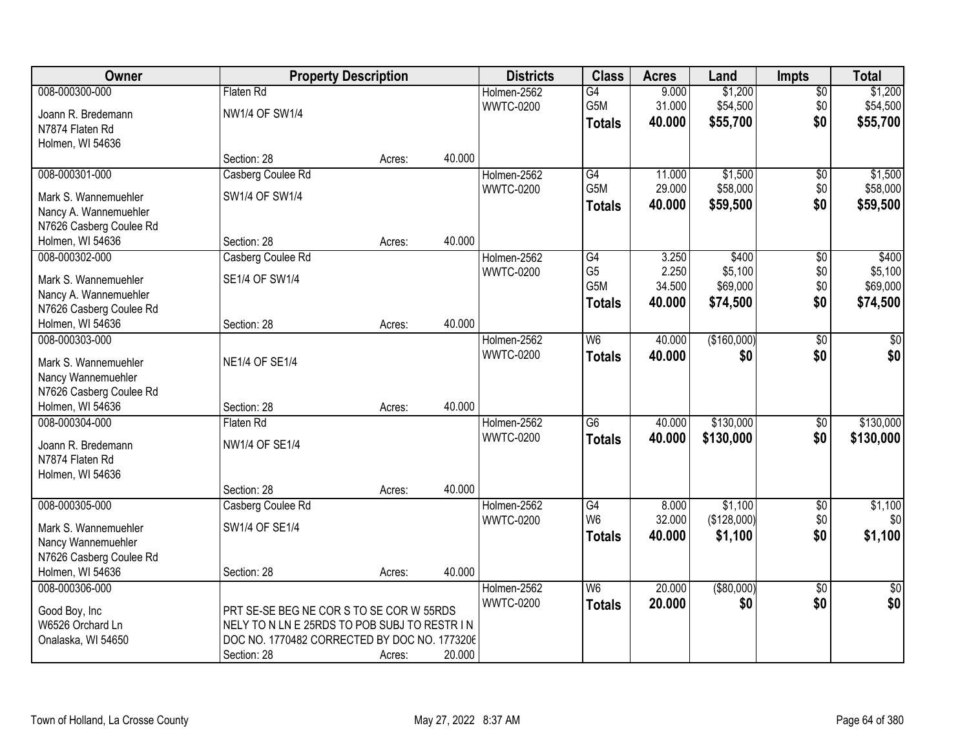| Owner                                                                                      |                                                                                                                                                         | <b>Property Description</b> |        | <b>Districts</b>                | <b>Class</b>                                                           | <b>Acres</b>                       | Land                                     | <b>Impts</b>                         | <b>Total</b>                             |
|--------------------------------------------------------------------------------------------|---------------------------------------------------------------------------------------------------------------------------------------------------------|-----------------------------|--------|---------------------------------|------------------------------------------------------------------------|------------------------------------|------------------------------------------|--------------------------------------|------------------------------------------|
| 008-000300-000<br>Joann R. Bredemann<br>N7874 Flaten Rd                                    | Flaten Rd<br><b>NW1/4 OF SW1/4</b>                                                                                                                      |                             |        | Holmen-2562<br><b>WWTC-0200</b> | G4<br>G5M<br><b>Totals</b>                                             | 9.000<br>31.000<br>40.000          | \$1,200<br>\$54,500<br>\$55,700          | $\overline{50}$<br>\$0<br>\$0        | \$1,200<br>\$54,500<br>\$55,700          |
| Holmen, WI 54636                                                                           | Section: 28                                                                                                                                             | Acres:                      | 40.000 |                                 |                                                                        |                                    |                                          |                                      |                                          |
| 008-000301-000<br>Mark S. Wannemuehler<br>Nancy A. Wannemuehler<br>N7626 Casberg Coulee Rd | Casberg Coulee Rd<br>SW1/4 OF SW1/4                                                                                                                     |                             |        | Holmen-2562<br><b>WWTC-0200</b> | G4<br>G <sub>5</sub> M<br><b>Totals</b>                                | 11.000<br>29.000<br>40.000         | \$1,500<br>\$58,000<br>\$59,500          | $\overline{50}$<br>\$0<br>\$0        | \$1,500<br>\$58,000<br>\$59,500          |
| Holmen, WI 54636                                                                           | Section: 28                                                                                                                                             | Acres:                      | 40.000 |                                 |                                                                        |                                    |                                          |                                      |                                          |
| 008-000302-000<br>Mark S. Wannemuehler<br>Nancy A. Wannemuehler<br>N7626 Casberg Coulee Rd | Casberg Coulee Rd<br>SE1/4 OF SW1/4                                                                                                                     |                             |        | Holmen-2562<br><b>WWTC-0200</b> | $\overline{G4}$<br>G <sub>5</sub><br>G <sub>5</sub> M<br><b>Totals</b> | 3.250<br>2.250<br>34.500<br>40.000 | \$400<br>\$5,100<br>\$69,000<br>\$74,500 | $\overline{50}$<br>\$0<br>\$0<br>\$0 | \$400<br>\$5,100<br>\$69,000<br>\$74,500 |
| Holmen, WI 54636                                                                           | Section: 28                                                                                                                                             | Acres:                      | 40.000 |                                 |                                                                        |                                    |                                          |                                      |                                          |
| 008-000303-000<br>Mark S. Wannemuehler<br>Nancy Wannemuehler<br>N7626 Casberg Coulee Rd    | <b>NE1/4 OF SE1/4</b>                                                                                                                                   |                             |        | Holmen-2562<br><b>WWTC-0200</b> | W <sub>6</sub><br><b>Totals</b>                                        | 40.000<br>40.000                   | (\$160,000)<br>\$0                       | \$0<br>\$0                           | \$0<br>\$0                               |
| Holmen, WI 54636                                                                           | Section: 28                                                                                                                                             | Acres:                      | 40.000 |                                 |                                                                        |                                    |                                          |                                      |                                          |
| 008-000304-000<br>Joann R. Bredemann<br>N7874 Flaten Rd<br>Holmen, WI 54636                | Flaten Rd<br>NW1/4 OF SE1/4                                                                                                                             |                             | 40.000 | Holmen-2562<br><b>WWTC-0200</b> | $\overline{G6}$<br><b>Totals</b>                                       | 40.000<br>40.000                   | \$130,000<br>\$130,000                   | $\overline{50}$<br>\$0               | \$130,000<br>\$130,000                   |
| 008-000305-000                                                                             | Section: 28<br>Casberg Coulee Rd                                                                                                                        | Acres:                      |        | Holmen-2562                     | G4                                                                     | 8.000                              | \$1,100                                  | $\overline{60}$                      | \$1,100                                  |
| Mark S. Wannemuehler<br>Nancy Wannemuehler<br>N7626 Casberg Coulee Rd                      | SW1/4 OF SE1/4                                                                                                                                          |                             |        | <b>WWTC-0200</b>                | W <sub>6</sub><br><b>Totals</b>                                        | 32.000<br>40.000                   | (\$128,000)<br>\$1,100                   | \$0<br>\$0                           | \$0<br>\$1,100                           |
| Holmen, WI 54636                                                                           | Section: 28                                                                                                                                             | Acres:                      | 40.000 |                                 |                                                                        |                                    |                                          |                                      |                                          |
| 008-000306-000<br>Good Boy, Inc<br>W6526 Orchard Ln<br>Onalaska, WI 54650                  | PRT SE-SE BEG NE COR S TO SE COR W 55RDS<br>NELY TO N LN E 25RDS TO POB SUBJ TO RESTR IN<br>DOC NO. 1770482 CORRECTED BY DOC NO. 1773206<br>Section: 28 | Acres:                      | 20.000 | Holmen-2562<br><b>WWTC-0200</b> | $\overline{\mathsf{W6}}$<br><b>Totals</b>                              | 20.000<br>20.000                   | ( \$80,000)<br>\$0                       | $\overline{50}$<br>\$0               | $\overline{50}$<br>\$0                   |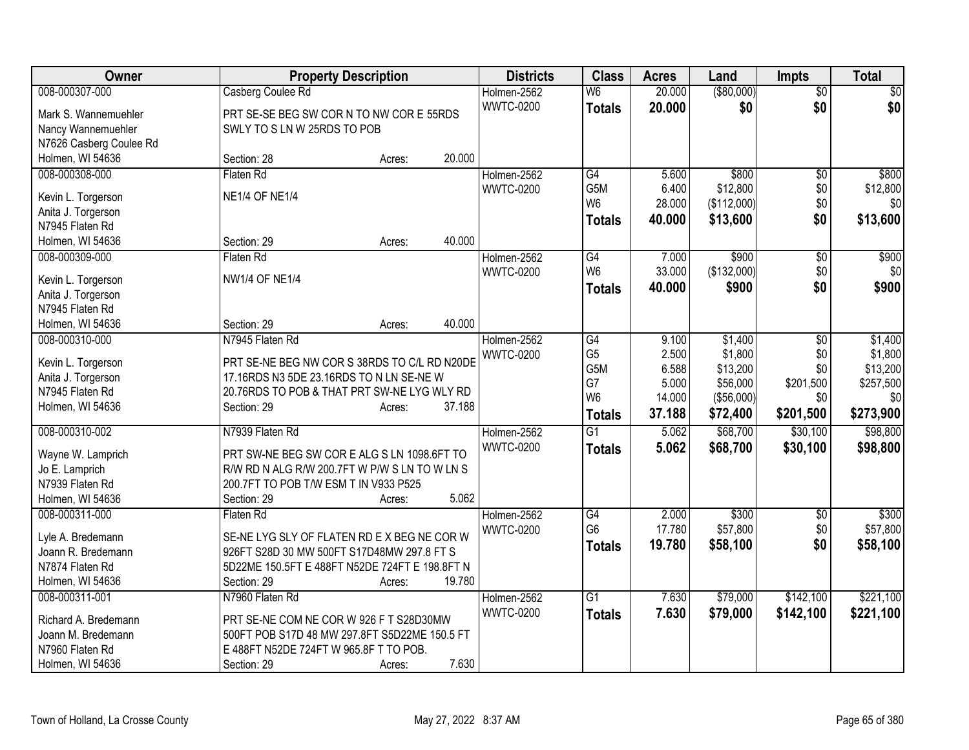| Owner                                 | <b>Property Description</b>                    |        |        | <b>Districts</b> | <b>Class</b>     | <b>Acres</b> | Land        | <b>Impts</b>    | <b>Total</b> |
|---------------------------------------|------------------------------------------------|--------|--------|------------------|------------------|--------------|-------------|-----------------|--------------|
| 008-000307-000                        | Casberg Coulee Rd                              |        |        | Holmen-2562      | W <sub>6</sub>   | 20.000       | ( \$80,000) | $\overline{50}$ | $\sqrt{50}$  |
| Mark S. Wannemuehler                  | PRT SE-SE BEG SW COR N TO NW COR E 55RDS       |        |        | <b>WWTC-0200</b> | <b>Totals</b>    | 20,000       | \$0         | \$0             | \$0          |
| Nancy Wannemuehler                    | SWLY TO S LN W 25RDS TO POB                    |        |        |                  |                  |              |             |                 |              |
| N7626 Casberg Coulee Rd               |                                                |        |        |                  |                  |              |             |                 |              |
| Holmen, WI 54636                      | Section: 28                                    | Acres: | 20.000 |                  |                  |              |             |                 |              |
| 008-000308-000                        | Flaten Rd                                      |        |        | Holmen-2562      | G4               | 5.600        | \$800       | \$0             | \$800        |
|                                       |                                                |        |        | <b>WWTC-0200</b> | G <sub>5</sub> M | 6.400        | \$12,800    | \$0             | \$12,800     |
| Kevin L. Torgerson                    | <b>NE1/4 OF NE1/4</b>                          |        |        |                  | W <sub>6</sub>   | 28.000       | (\$112,000) | \$0             | \$0          |
| Anita J. Torgerson<br>N7945 Flaten Rd |                                                |        |        |                  | <b>Totals</b>    | 40.000       | \$13,600    | \$0             | \$13,600     |
| Holmen, WI 54636                      | Section: 29                                    | Acres: | 40.000 |                  |                  |              |             |                 |              |
| 008-000309-000                        | <b>Flaten Rd</b>                               |        |        | Holmen-2562      | G4               | 7.000        | \$900       | $\overline{50}$ | \$900        |
|                                       |                                                |        |        | <b>WWTC-0200</b> | W <sub>6</sub>   | 33.000       | (\$132,000) | \$0             | \$0          |
| Kevin L. Torgerson                    | <b>NW1/4 OF NE1/4</b>                          |        |        |                  |                  | 40.000       |             | \$0             | \$900        |
| Anita J. Torgerson                    |                                                |        |        |                  | <b>Totals</b>    |              | \$900       |                 |              |
| N7945 Flaten Rd                       |                                                |        |        |                  |                  |              |             |                 |              |
| Holmen, WI 54636                      | Section: 29                                    | Acres: | 40.000 |                  |                  |              |             |                 |              |
| 008-000310-000                        | N7945 Flaten Rd                                |        |        | Holmen-2562      | G4               | 9.100        | \$1,400     | \$0             | \$1,400      |
| Kevin L. Torgerson                    | PRT SE-NE BEG NW COR S 38RDS TO C/L RD N20DE   |        |        | <b>WWTC-0200</b> | G <sub>5</sub>   | 2.500        | \$1,800     | \$0             | \$1,800      |
| Anita J. Torgerson                    | 17.16RDS N3 5DE 23.16RDS TO N LN SE-NEW        |        |        |                  | G5M              | 6.588        | \$13,200    | \$0             | \$13,200     |
| N7945 Flaten Rd                       | 20.76RDS TO POB & THAT PRT SW-NE LYG WLY RD    |        |        |                  | G7               | 5.000        | \$56,000    | \$201,500       | \$257,500    |
| Holmen, WI 54636                      | Section: 29                                    | Acres: | 37.188 |                  | W <sub>6</sub>   | 14.000       | (\$56,000)  | \$0             | \$0          |
|                                       |                                                |        |        |                  | <b>Totals</b>    | 37.188       | \$72,400    | \$201,500       | \$273,900    |
| 008-000310-002                        | N7939 Flaten Rd                                |        |        | Holmen-2562      | $\overline{G1}$  | 5.062        | \$68,700    | \$30,100        | \$98,800     |
| Wayne W. Lamprich                     | PRT SW-NE BEG SW COR E ALG S LN 1098.6FT TO    |        |        | <b>WWTC-0200</b> | <b>Totals</b>    | 5.062        | \$68,700    | \$30,100        | \$98,800     |
| Jo E. Lamprich                        | R/W RD N ALG R/W 200.7FT W P/W S LN TO W LN S  |        |        |                  |                  |              |             |                 |              |
| N7939 Flaten Rd                       | 200.7FT TO POB T/W ESM T IN V933 P525          |        |        |                  |                  |              |             |                 |              |
| Holmen, WI 54636                      | Section: 29                                    | Acres: | 5.062  |                  |                  |              |             |                 |              |
| 008-000311-000                        | Flaten Rd                                      |        |        | Holmen-2562      | G4               | 2.000        | \$300       | $\sqrt[6]{}$    | \$300        |
|                                       |                                                |        |        | <b>WWTC-0200</b> | G <sub>6</sub>   | 17.780       | \$57,800    | \$0             | \$57,800     |
| Lyle A. Bredemann                     | SE-NE LYG SLY OF FLATEN RD EX BEG NE COR W     |        |        |                  | <b>Totals</b>    | 19.780       | \$58,100    | \$0             | \$58,100     |
| Joann R. Bredemann                    | 926FT S28D 30 MW 500FT S17D48MW 297.8 FT S     |        |        |                  |                  |              |             |                 |              |
| N7874 Flaten Rd                       | 5D22ME 150.5FT E 488FT N52DE 724FT E 198.8FT N |        |        |                  |                  |              |             |                 |              |
| Holmen, WI 54636                      | Section: 29                                    | Acres: | 19.780 |                  |                  |              |             |                 |              |
| 008-000311-001                        | N7960 Flaten Rd                                |        |        | Holmen-2562      | $\overline{G1}$  | 7.630        | \$79,000    | \$142,100       | \$221,100    |
| Richard A. Bredemann                  | PRT SE-NE COM NE COR W 926 F T S28D30MW        |        |        | <b>WWTC-0200</b> | <b>Totals</b>    | 7.630        | \$79,000    | \$142,100       | \$221,100    |
| Joann M. Bredemann                    | 500FT POB S17D 48 MW 297.8FT S5D22ME 150.5 FT  |        |        |                  |                  |              |             |                 |              |
| N7960 Flaten Rd                       | E 488FT N52DE 724FT W 965.8F T TO POB.         |        |        |                  |                  |              |             |                 |              |
| Holmen, WI 54636                      | Section: 29                                    | Acres: | 7.630  |                  |                  |              |             |                 |              |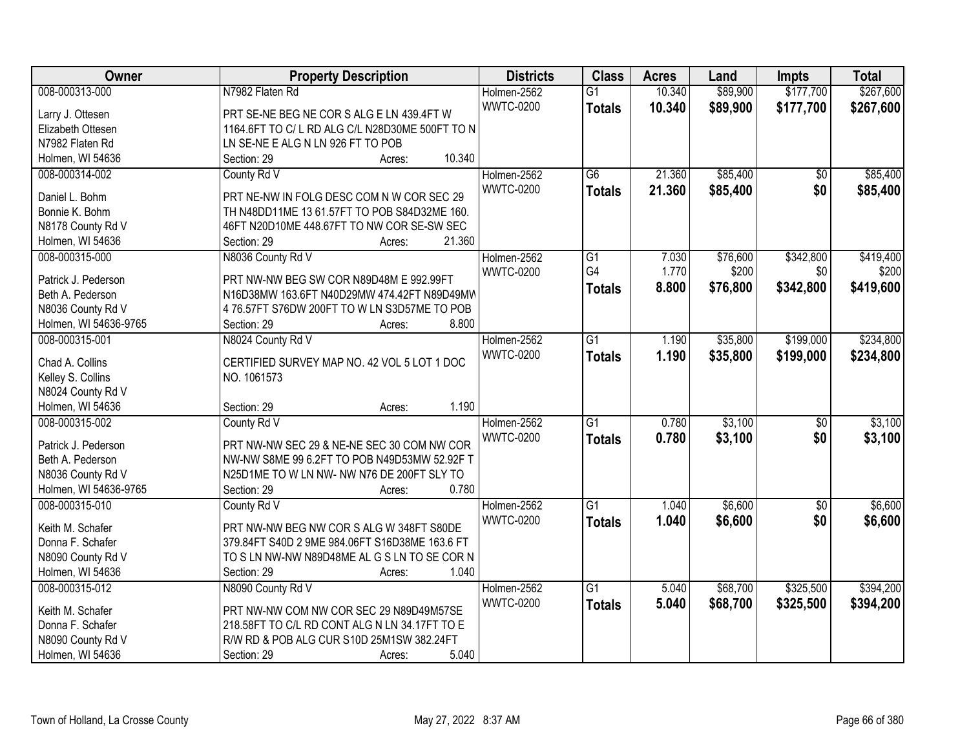| Owner                 | <b>Property Description</b>                           | <b>Districts</b>                | <b>Class</b>    | <b>Acres</b>     | Land     | Impts                  | <b>Total</b> |
|-----------------------|-------------------------------------------------------|---------------------------------|-----------------|------------------|----------|------------------------|--------------|
| 008-000313-000        | N7982 Flaten Rd                                       | Holmen-2562                     | $\overline{G1}$ | 10.340           | \$89,900 | \$177,700              | \$267,600    |
| Larry J. Ottesen      | PRT SE-NE BEG NE COR S ALG E LN 439.4FT W             | <b>WWTC-0200</b>                | <b>Totals</b>   | 10.340           | \$89,900 | \$177,700              | \$267,600    |
| Elizabeth Ottesen     | 1164.6FT TO C/L RD ALG C/L N28D30ME 500FT TO N        |                                 |                 |                  |          |                        |              |
| N7982 Flaten Rd       | LN SE-NE E ALG N LN 926 FT TO POB                     |                                 |                 |                  |          |                        |              |
| Holmen, WI 54636      | 10.340<br>Section: 29<br>Acres:                       |                                 |                 |                  |          |                        |              |
| 008-000314-002        | County Rd V                                           | Holmen-2562<br><b>WWTC-0200</b> | $\overline{G6}$ | 21.360<br>21.360 | \$85,400 | $\overline{50}$<br>\$0 | \$85,400     |
| Daniel L. Bohm        | PRT NE-NW IN FOLG DESC COM N W COR SEC 29             |                                 | <b>Totals</b>   |                  | \$85,400 |                        | \$85,400     |
| Bonnie K. Bohm        | TH N48DD11ME 13 61.57FT TO POB S84D32ME 160.          |                                 |                 |                  |          |                        |              |
| N8178 County Rd V     | 46FT N20D10ME 448.67FT TO NW COR SE-SW SEC            |                                 |                 |                  |          |                        |              |
| Holmen, WI 54636      | 21.360<br>Section: 29<br>Acres:                       |                                 |                 |                  |          |                        |              |
| 008-000315-000        | N8036 County Rd V                                     | Holmen-2562                     | G1              | 7.030            | \$76,600 | \$342,800              | \$419,400    |
| Patrick J. Pederson   | PRT NW-NW BEG SW COR N89D48M E 992.99FT               | <b>WWTC-0200</b>                | G4              | 1.770            | \$200    | \$0                    | \$200        |
| Beth A. Pederson      | N16D38MW 163.6FT N40D29MW 474.42FT N89D49MW           |                                 | <b>Totals</b>   | 8.800            | \$76,800 | \$342,800              | \$419,600    |
|                       |                                                       |                                 |                 |                  |          |                        |              |
| N8036 County Rd V     | 4 76.57FT S76DW 200FT TO W LN S3D57ME TO POB<br>8.800 |                                 |                 |                  |          |                        |              |
| Holmen, WI 54636-9765 | Section: 29<br>Acres:                                 |                                 |                 |                  |          |                        |              |
| 008-000315-001        | N8024 County Rd V                                     | Holmen-2562                     | $\overline{G1}$ | 1.190            | \$35,800 | \$199,000              | \$234,800    |
| Chad A. Collins       | CERTIFIED SURVEY MAP NO. 42 VOL 5 LOT 1 DOC           | <b>WWTC-0200</b>                | <b>Totals</b>   | 1.190            | \$35,800 | \$199,000              | \$234,800    |
| Kelley S. Collins     | NO. 1061573                                           |                                 |                 |                  |          |                        |              |
| N8024 County Rd V     |                                                       |                                 |                 |                  |          |                        |              |
| Holmen, WI 54636      | 1.190<br>Section: 29<br>Acres:                        |                                 |                 |                  |          |                        |              |
| 008-000315-002        | County Rd V                                           | Holmen-2562                     | $\overline{G1}$ | 0.780            | \$3,100  | $\overline{50}$        | \$3,100      |
|                       |                                                       | <b>WWTC-0200</b>                | <b>Totals</b>   | 0.780            | \$3,100  | \$0                    | \$3,100      |
| Patrick J. Pederson   | PRT NW-NW SEC 29 & NE-NE SEC 30 COM NW COR            |                                 |                 |                  |          |                        |              |
| Beth A. Pederson      | NW-NW S8ME 99 6.2FT TO POB N49D53MW 52.92F T          |                                 |                 |                  |          |                        |              |
| N8036 County Rd V     | N25D1ME TO W LN NW- NW N76 DE 200FT SLY TO            |                                 |                 |                  |          |                        |              |
| Holmen, WI 54636-9765 | 0.780<br>Section: 29<br>Acres:                        |                                 |                 |                  |          |                        |              |
| 008-000315-010        | County Rd V                                           | Holmen-2562                     | $\overline{G1}$ | 1.040            | \$6,600  | $\sqrt{6}$             | \$6,600      |
| Keith M. Schafer      | PRT NW-NW BEG NW COR S ALG W 348FT S80DE              | <b>WWTC-0200</b>                | <b>Totals</b>   | 1.040            | \$6,600  | \$0                    | \$6,600      |
| Donna F. Schafer      | 379.84FT S40D 2 9ME 984.06FT S16D38ME 163.6 FT        |                                 |                 |                  |          |                        |              |
| N8090 County Rd V     | TO S LN NW-NW N89D48ME AL G S LN TO SE COR N          |                                 |                 |                  |          |                        |              |
| Holmen, WI 54636      | 1.040<br>Section: 29<br>Acres:                        |                                 |                 |                  |          |                        |              |
| 008-000315-012        | N8090 County Rd V                                     | Holmen-2562                     | $\overline{G1}$ | 5.040            | \$68,700 | \$325,500              | \$394,200    |
|                       |                                                       | <b>WWTC-0200</b>                | <b>Totals</b>   | 5.040            | \$68,700 | \$325,500              | \$394,200    |
| Keith M. Schafer      | PRT NW-NW COM NW COR SEC 29 N89D49M57SE               |                                 |                 |                  |          |                        |              |
| Donna F. Schafer      | 218.58FT TO C/L RD CONT ALG N LN 34.17FT TO E         |                                 |                 |                  |          |                        |              |
| N8090 County Rd V     | R/W RD & POB ALG CUR S10D 25M1SW 382.24FT             |                                 |                 |                  |          |                        |              |
| Holmen, WI 54636      | 5.040<br>Section: 29<br>Acres:                        |                                 |                 |                  |          |                        |              |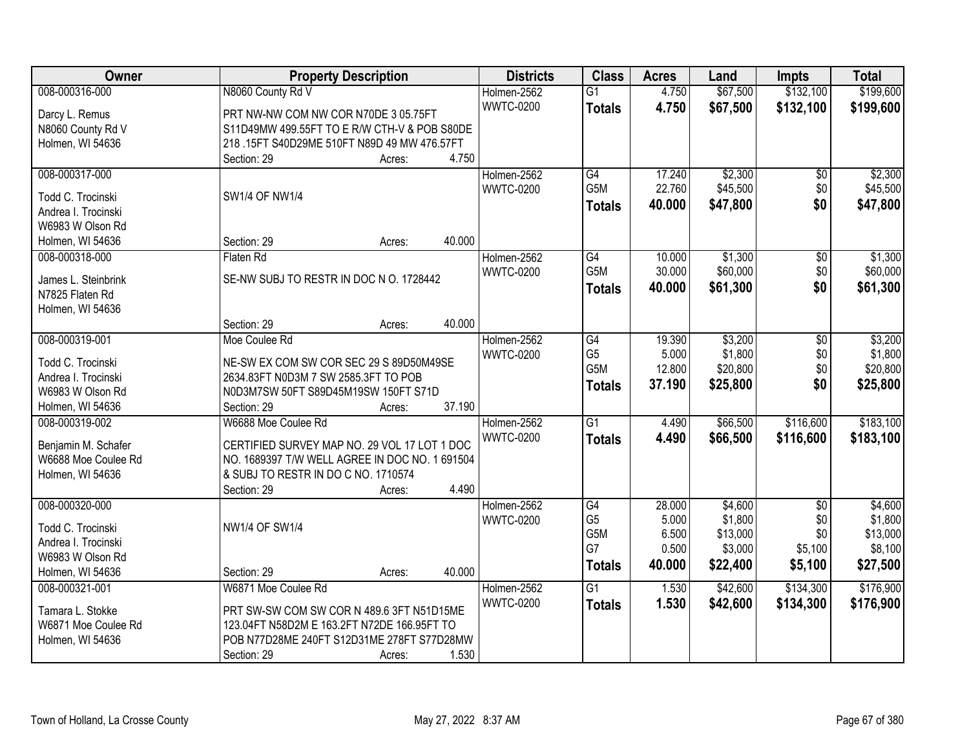| Owner               | <b>Property Description</b>                                                     | <b>Districts</b> | <b>Class</b>     | <b>Acres</b> | Land     | <b>Impts</b>  | <b>Total</b> |
|---------------------|---------------------------------------------------------------------------------|------------------|------------------|--------------|----------|---------------|--------------|
| 008-000316-000      | N8060 County Rd V                                                               | Holmen-2562      | $\overline{G1}$  | 4.750        | \$67,500 | \$132,100     | \$199,600    |
| Darcy L. Remus      | PRT NW-NW COM NW COR N70DE 3 05.75FT                                            | <b>WWTC-0200</b> | <b>Totals</b>    | 4.750        | \$67,500 | \$132,100     | \$199,600    |
| N8060 County Rd V   | S11D49MW 499.55FT TO E R/W CTH-V & POB S80DE                                    |                  |                  |              |          |               |              |
| Holmen, WI 54636    | 218.15FT S40D29ME 510FT N89D 49 MW 476.57FT                                     |                  |                  |              |          |               |              |
|                     | 4.750<br>Section: 29<br>Acres:                                                  |                  |                  |              |          |               |              |
| 008-000317-000      |                                                                                 | Holmen-2562      | G4               | 17.240       | \$2,300  | \$0           | \$2,300      |
|                     |                                                                                 | <b>WWTC-0200</b> | G <sub>5</sub> M | 22.760       | \$45,500 | \$0           | \$45,500     |
| Todd C. Trocinski   | SW1/4 OF NW1/4                                                                  |                  | <b>Totals</b>    | 40.000       | \$47,800 | \$0           | \$47,800     |
| Andrea I. Trocinski |                                                                                 |                  |                  |              |          |               |              |
| W6983 W Olson Rd    | 40.000                                                                          |                  |                  |              |          |               |              |
| Holmen, WI 54636    | Section: 29<br>Acres:                                                           |                  |                  |              |          |               |              |
| 008-000318-000      | Flaten Rd                                                                       | Holmen-2562      | G4               | 10.000       | \$1,300  | \$0           | \$1,300      |
| James L. Steinbrink | SE-NW SUBJ TO RESTR IN DOC N O. 1728442                                         | <b>WWTC-0200</b> | G5M              | 30.000       | \$60,000 | \$0           | \$60,000     |
| N7825 Flaten Rd     |                                                                                 |                  | <b>Totals</b>    | 40.000       | \$61,300 | \$0           | \$61,300     |
| Holmen, WI 54636    |                                                                                 |                  |                  |              |          |               |              |
|                     | 40.000<br>Section: 29<br>Acres:                                                 |                  |                  |              |          |               |              |
| 008-000319-001      | Moe Coulee Rd                                                                   | Holmen-2562      | G4               | 19.390       | \$3,200  | $\sqrt[6]{3}$ | \$3,200      |
| Todd C. Trocinski   |                                                                                 | <b>WWTC-0200</b> | G <sub>5</sub>   | 5.000        | \$1,800  | \$0           | \$1,800      |
| Andrea I. Trocinski | NE-SW EX COM SW COR SEC 29 S 89D50M49SE<br>2634.83FT N0D3M 7 SW 2585.3FT TO POB |                  | G5M              | 12.800       | \$20,800 | \$0           | \$20,800     |
| W6983 W Olson Rd    | N0D3M7SW 50FT S89D45M19SW 150FT S71D                                            |                  | <b>Totals</b>    | 37.190       | \$25,800 | \$0           | \$25,800     |
| Holmen, WI 54636    | 37.190<br>Section: 29<br>Acres:                                                 |                  |                  |              |          |               |              |
| 008-000319-002      | W6688 Moe Coulee Rd                                                             | Holmen-2562      | $\overline{G1}$  | 4.490        | \$66,500 | \$116,600     | \$183,100    |
|                     |                                                                                 | <b>WWTC-0200</b> | <b>Totals</b>    | 4.490        | \$66,500 | \$116,600     | \$183,100    |
| Benjamin M. Schafer | CERTIFIED SURVEY MAP NO. 29 VOL 17 LOT 1 DOC                                    |                  |                  |              |          |               |              |
| W6688 Moe Coulee Rd | NO. 1689397 T/W WELL AGREE IN DOC NO. 1 691504                                  |                  |                  |              |          |               |              |
| Holmen, WI 54636    | & SUBJ TO RESTR IN DO C NO. 1710574                                             |                  |                  |              |          |               |              |
|                     | 4.490<br>Section: 29<br>Acres:                                                  |                  |                  |              |          |               |              |
| 008-000320-000      |                                                                                 | Holmen-2562      | G4               | 28.000       | \$4,600  | $\sqrt{6}$    | \$4,600      |
| Todd C. Trocinski   | <b>NW1/4 OF SW1/4</b>                                                           | <b>WWTC-0200</b> | G <sub>5</sub>   | 5.000        | \$1,800  | \$0           | \$1,800      |
| Andrea I. Trocinski |                                                                                 |                  | G5M              | 6.500        | \$13,000 | \$0           | \$13,000     |
| W6983 W Olson Rd    |                                                                                 |                  | G7               | 0.500        | \$3,000  | \$5,100       | \$8,100      |
| Holmen, WI 54636    | 40.000<br>Section: 29<br>Acres:                                                 |                  | <b>Totals</b>    | 40.000       | \$22,400 | \$5,100       | \$27,500     |
| 008-000321-001      | W6871 Moe Coulee Rd                                                             | Holmen-2562      | $\overline{G1}$  | 1.530        | \$42,600 | \$134,300     | \$176,900    |
|                     |                                                                                 | <b>WWTC-0200</b> | <b>Totals</b>    | 1.530        | \$42,600 | \$134,300     | \$176,900    |
| Tamara L. Stokke    | PRT SW-SW COM SW COR N 489.6 3FT N51D15ME                                       |                  |                  |              |          |               |              |
| W6871 Moe Coulee Rd | 123.04FT N58D2M E 163.2FT N72DE 166.95FT TO                                     |                  |                  |              |          |               |              |
| Holmen, WI 54636    | POB N77D28ME 240FT S12D31ME 278FT S77D28MW                                      |                  |                  |              |          |               |              |
|                     | 1.530<br>Section: 29<br>Acres:                                                  |                  |                  |              |          |               |              |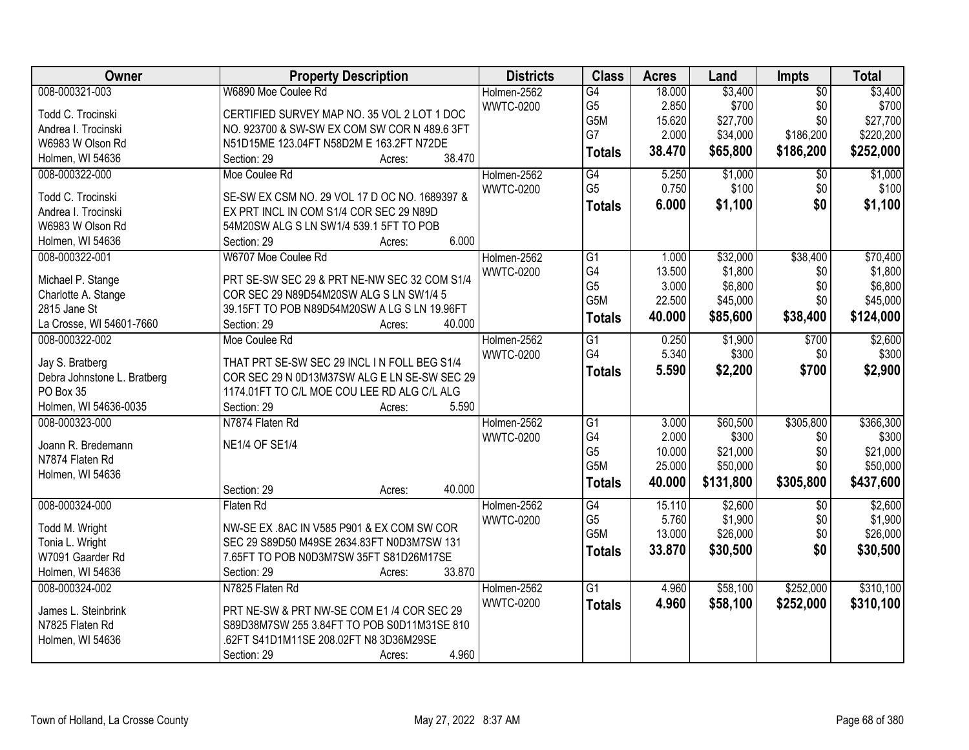| Owner                       | <b>Property Description</b>                            | <b>Districts</b> | <b>Class</b>     | <b>Acres</b> | Land      | Impts           | <b>Total</b> |
|-----------------------------|--------------------------------------------------------|------------------|------------------|--------------|-----------|-----------------|--------------|
| 008-000321-003              | W6890 Moe Coulee Rd                                    | Holmen-2562      | G4               | 18.000       | \$3,400   | $\overline{50}$ | \$3,400      |
| Todd C. Trocinski           | CERTIFIED SURVEY MAP NO. 35 VOL 2 LOT 1 DOC            | <b>WWTC-0200</b> | G <sub>5</sub>   | 2.850        | \$700     | \$0             | \$700        |
| Andrea I. Trocinski         | NO. 923700 & SW-SW EX COM SW COR N 489.6 3FT           |                  | G5M              | 15.620       | \$27,700  | \$0             | \$27,700     |
| W6983 W Olson Rd            | N51D15ME 123.04FT N58D2M E 163.2FT N72DE               |                  | G7               | 2.000        | \$34,000  | \$186,200       | \$220,200    |
| Holmen, WI 54636            | 38.470<br>Section: 29<br>Acres:                        |                  | <b>Totals</b>    | 38.470       | \$65,800  | \$186,200       | \$252,000    |
| 008-000322-000              | Moe Coulee Rd                                          | Holmen-2562      | G4               | 5.250        | \$1,000   | $\overline{30}$ | \$1,000      |
|                             |                                                        | <b>WWTC-0200</b> | G <sub>5</sub>   | 0.750        | \$100     | \$0             | \$100        |
| Todd C. Trocinski           | SE-SW EX CSM NO. 29 VOL 17 D OC NO. 1689397 &          |                  |                  | 6.000        | \$1,100   | \$0             | \$1,100      |
| Andrea I. Trocinski         | EX PRT INCL IN COM S1/4 COR SEC 29 N89D                |                  | <b>Totals</b>    |              |           |                 |              |
| W6983 W Olson Rd            | 54M20SW ALG S LN SW1/4 539.1 5FT TO POB                |                  |                  |              |           |                 |              |
| Holmen, WI 54636            | 6.000<br>Section: 29<br>Acres:                         |                  |                  |              |           |                 |              |
| 008-000322-001              | W6707 Moe Coulee Rd                                    | Holmen-2562      | G1               | 1.000        | \$32,000  | \$38,400        | \$70,400     |
|                             |                                                        | <b>WWTC-0200</b> | G4               | 13.500       | \$1,800   | \$0             | \$1,800      |
| Michael P. Stange           | PRT SE-SW SEC 29 & PRT NE-NW SEC 32 COM S1/4           |                  | G <sub>5</sub>   | 3.000        | \$6,800   | \$0             | \$6,800      |
| Charlotte A. Stange         | COR SEC 29 N89D54M20SW ALG S LN SW1/4 5                |                  | G <sub>5</sub> M | 22.500       | \$45,000  | \$0             | \$45,000     |
| 2815 Jane St                | 39.15FT TO POB N89D54M20SW A LG S LN 19.96FT<br>40.000 |                  | <b>Totals</b>    | 40.000       | \$85,600  | \$38,400        | \$124,000    |
| La Crosse, WI 54601-7660    | Section: 29<br>Acres:                                  |                  |                  |              |           |                 |              |
| 008-000322-002              | Moe Coulee Rd                                          | Holmen-2562      | G1               | 0.250        | \$1,900   | \$700           | \$2,600      |
| Jay S. Bratberg             | THAT PRT SE-SW SEC 29 INCL IN FOLL BEG S1/4            | <b>WWTC-0200</b> | G4               | 5.340        | \$300     | \$0             | \$300        |
| Debra Johnstone L. Bratberg | COR SEC 29 N 0D13M37SW ALG E LN SE-SW SEC 29           |                  | <b>Totals</b>    | 5.590        | \$2,200   | \$700           | \$2,900      |
| PO Box 35                   | 1174.01FT TO C/L MOE COU LEE RD ALG C/L ALG            |                  |                  |              |           |                 |              |
| Holmen, WI 54636-0035       | 5.590<br>Section: 29<br>Acres:                         |                  |                  |              |           |                 |              |
| 008-000323-000              | N7874 Flaten Rd                                        | Holmen-2562      | $\overline{G1}$  | 3.000        | \$60,500  | \$305,800       | \$366,300    |
|                             |                                                        | <b>WWTC-0200</b> | G4               | 2.000        | \$300     | \$0             | \$300        |
| Joann R. Bredemann          | <b>NE1/4 OF SE1/4</b>                                  |                  | G <sub>5</sub>   | 10.000       | \$21,000  | \$0             | \$21,000     |
| N7874 Flaten Rd             |                                                        |                  | G5M              | 25.000       | \$50,000  | \$0             | \$50,000     |
| Holmen, WI 54636            |                                                        |                  | <b>Totals</b>    | 40.000       | \$131,800 | \$305,800       | \$437,600    |
|                             | 40.000<br>Section: 29<br>Acres:                        |                  |                  |              |           |                 |              |
| 008-000324-000              | Flaten Rd                                              | Holmen-2562      | G4               | 15.110       | \$2,600   | $\sqrt{6}$      | \$2,600      |
| Todd M. Wright              | NW-SE EX .8AC IN V585 P901 & EX COM SW COR             | <b>WWTC-0200</b> | G <sub>5</sub>   | 5.760        | \$1,900   | \$0             | \$1,900      |
| Tonia L. Wright             | SEC 29 S89D50 M49SE 2634.83FT N0D3M7SW 131             |                  | G5M              | 13.000       | \$26,000  | \$0             | \$26,000     |
| W7091 Gaarder Rd            | 7.65FT TO POB N0D3M7SW 35FT S81D26M17SE                |                  | <b>Totals</b>    | 33.870       | \$30,500  | \$0             | \$30,500     |
| Holmen, WI 54636            | 33.870<br>Section: 29<br>Acres:                        |                  |                  |              |           |                 |              |
| 008-000324-002              | N7825 Flaten Rd                                        | Holmen-2562      | $\overline{G1}$  | 4.960        | \$58,100  | \$252,000       | \$310,100    |
|                             |                                                        | <b>WWTC-0200</b> | <b>Totals</b>    | 4.960        | \$58,100  | \$252,000       | \$310,100    |
| James L. Steinbrink         | PRT NE-SW & PRT NW-SE COM E1 /4 COR SEC 29             |                  |                  |              |           |                 |              |
| N7825 Flaten Rd             | S89D38M7SW 255 3.84FT TO POB S0D11M31SE 810            |                  |                  |              |           |                 |              |
| Holmen, WI 54636            | .62FT S41D1M11SE 208.02FT N8 3D36M29SE                 |                  |                  |              |           |                 |              |
|                             | 4.960<br>Section: 29<br>Acres:                         |                  |                  |              |           |                 |              |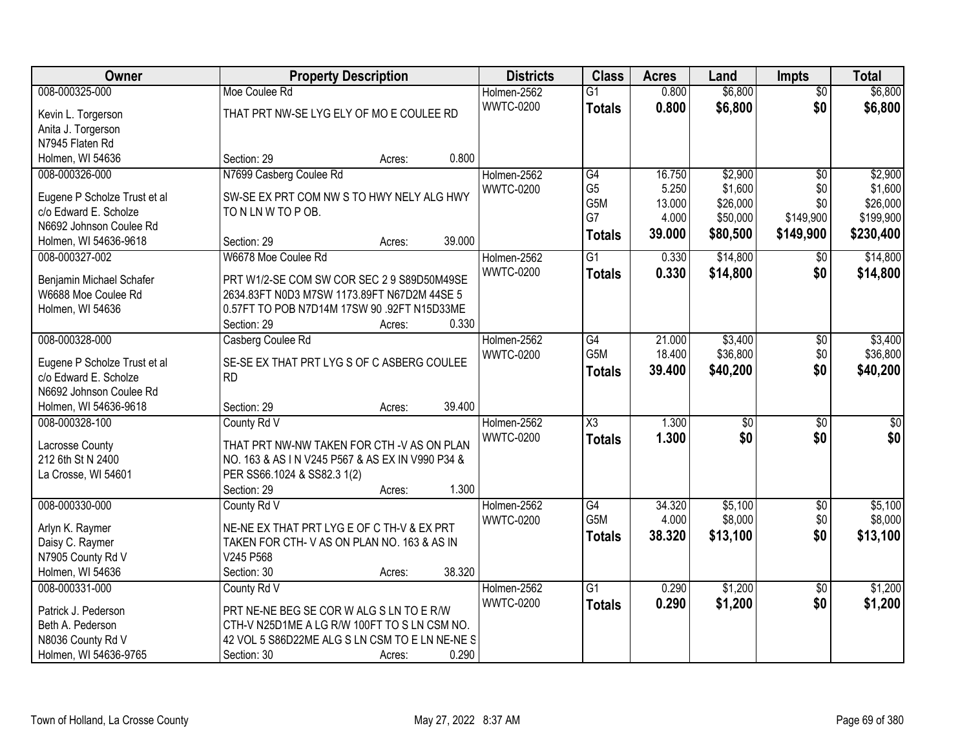| <b>Owner</b>                 | <b>Property Description</b>                     | <b>Districts</b> | <b>Class</b>           | <b>Acres</b> | Land            | <b>Impts</b>    | <b>Total</b>    |
|------------------------------|-------------------------------------------------|------------------|------------------------|--------------|-----------------|-----------------|-----------------|
| 008-000325-000               | Moe Coulee Rd                                   | Holmen-2562      | $\overline{G1}$        | 0.800        | \$6,800         | $\overline{50}$ | \$6,800         |
| Kevin L. Torgerson           | THAT PRT NW-SE LYG ELY OF MO E COULEE RD        | <b>WWTC-0200</b> | <b>Totals</b>          | 0.800        | \$6,800         | \$0             | \$6,800         |
| Anita J. Torgerson           |                                                 |                  |                        |              |                 |                 |                 |
| N7945 Flaten Rd              |                                                 |                  |                        |              |                 |                 |                 |
| Holmen, WI 54636             | 0.800<br>Section: 29<br>Acres:                  |                  |                        |              |                 |                 |                 |
| 008-000326-000               | N7699 Casberg Coulee Rd                         | Holmen-2562      | $\overline{G4}$        | 16.750       | \$2,900         | \$0             | \$2,900         |
|                              |                                                 | <b>WWTC-0200</b> | G <sub>5</sub>         | 5.250        | \$1,600         | \$0             | \$1,600         |
| Eugene P Scholze Trust et al | SW-SE EX PRT COM NW S TO HWY NELY ALG HWY       |                  | G5M                    | 13.000       | \$26,000        | \$0             | \$26,000        |
| c/o Edward E. Scholze        | TO N LN W TO P OB.                              |                  | G7                     | 4.000        | \$50,000        | \$149,900       | \$199,900       |
| N6692 Johnson Coulee Rd      |                                                 |                  | <b>Totals</b>          | 39.000       | \$80,500        | \$149,900       | \$230,400       |
| Holmen, WI 54636-9618        | 39.000<br>Section: 29<br>Acres:                 |                  |                        |              |                 |                 |                 |
| 008-000327-002               | W6678 Moe Coulee Rd                             | Holmen-2562      | G1                     | 0.330        | \$14,800        | $\sqrt[6]{}$    | \$14,800        |
| Benjamin Michael Schafer     | PRT W1/2-SE COM SW COR SEC 2 9 S89D50M49SE      | <b>WWTC-0200</b> | <b>Totals</b>          | 0.330        | \$14,800        | \$0             | \$14,800        |
| W6688 Moe Coulee Rd          | 2634.83FT N0D3 M7SW 1173.89FT N67D2M 44SE 5     |                  |                        |              |                 |                 |                 |
| Holmen, WI 54636             | 0.57FT TO POB N7D14M 17SW 90 .92FT N15D33ME     |                  |                        |              |                 |                 |                 |
|                              | 0.330<br>Section: 29<br>Acres:                  |                  |                        |              |                 |                 |                 |
| 008-000328-000               | Casberg Coulee Rd                               | Holmen-2562      | G4                     | 21.000       | \$3,400         | $\sqrt[6]{3}$   | \$3,400         |
|                              |                                                 | <b>WWTC-0200</b> | G5M                    | 18.400       | \$36,800        | \$0             | \$36,800        |
| Eugene P Scholze Trust et al | SE-SE EX THAT PRT LYG S OF C ASBERG COULEE      |                  | <b>Totals</b>          | 39.400       | \$40,200        | \$0             | \$40,200        |
| c/o Edward E. Scholze        | <b>RD</b>                                       |                  |                        |              |                 |                 |                 |
| N6692 Johnson Coulee Rd      |                                                 |                  |                        |              |                 |                 |                 |
| Holmen, WI 54636-9618        | 39.400<br>Section: 29<br>Acres:                 |                  |                        |              |                 |                 |                 |
| 008-000328-100               | County Rd V                                     | Holmen-2562      | $\overline{\text{X3}}$ | 1.300        | $\overline{50}$ | $\overline{50}$ | $\overline{50}$ |
| Lacrosse County              | THAT PRT NW-NW TAKEN FOR CTH -V AS ON PLAN      | <b>WWTC-0200</b> | <b>Totals</b>          | 1.300        | \$0             | \$0             | \$0             |
| 212 6th St N 2400            | NO. 163 & AS IN V245 P567 & AS EX IN V990 P34 & |                  |                        |              |                 |                 |                 |
| La Crosse, WI 54601          | PER SS66.1024 & SS82.3 1(2)                     |                  |                        |              |                 |                 |                 |
|                              | 1.300<br>Section: 29<br>Acres:                  |                  |                        |              |                 |                 |                 |
| 008-000330-000               | County Rd V                                     | Holmen-2562      | $\overline{G4}$        | 34.320       | \$5,100         | $\sqrt{$0}$     | \$5,100         |
| Arlyn K. Raymer              | NE-NE EX THAT PRT LYG E OF C TH-V & EX PRT      | <b>WWTC-0200</b> | G5M                    | 4.000        | \$8,000         | \$0             | \$8,000         |
| Daisy C. Raymer              | TAKEN FOR CTH-V AS ON PLAN NO. 163 & AS IN      |                  | <b>Totals</b>          | 38.320       | \$13,100        | \$0             | \$13,100        |
| N7905 County Rd V            | V245 P568                                       |                  |                        |              |                 |                 |                 |
| Holmen, WI 54636             | 38.320<br>Section: 30<br>Acres:                 |                  |                        |              |                 |                 |                 |
| 008-000331-000               | County Rd V                                     | Holmen-2562      | $\overline{G1}$        | 0.290        | \$1,200         | $\overline{50}$ | \$1,200         |
|                              |                                                 | <b>WWTC-0200</b> | <b>Totals</b>          | 0.290        | \$1,200         | \$0             | \$1,200         |
| Patrick J. Pederson          | PRT NE-NE BEG SE COR W ALG S LN TO E R/W        |                  |                        |              |                 |                 |                 |
| Beth A. Pederson             | CTH-V N25D1ME A LG R/W 100FT TO S LN CSM NO.    |                  |                        |              |                 |                 |                 |
| N8036 County Rd V            | 42 VOL 5 S86D22ME ALG S LN CSM TO E LN NE-NE S  |                  |                        |              |                 |                 |                 |
| Holmen, WI 54636-9765        | 0.290<br>Section: 30<br>Acres:                  |                  |                        |              |                 |                 |                 |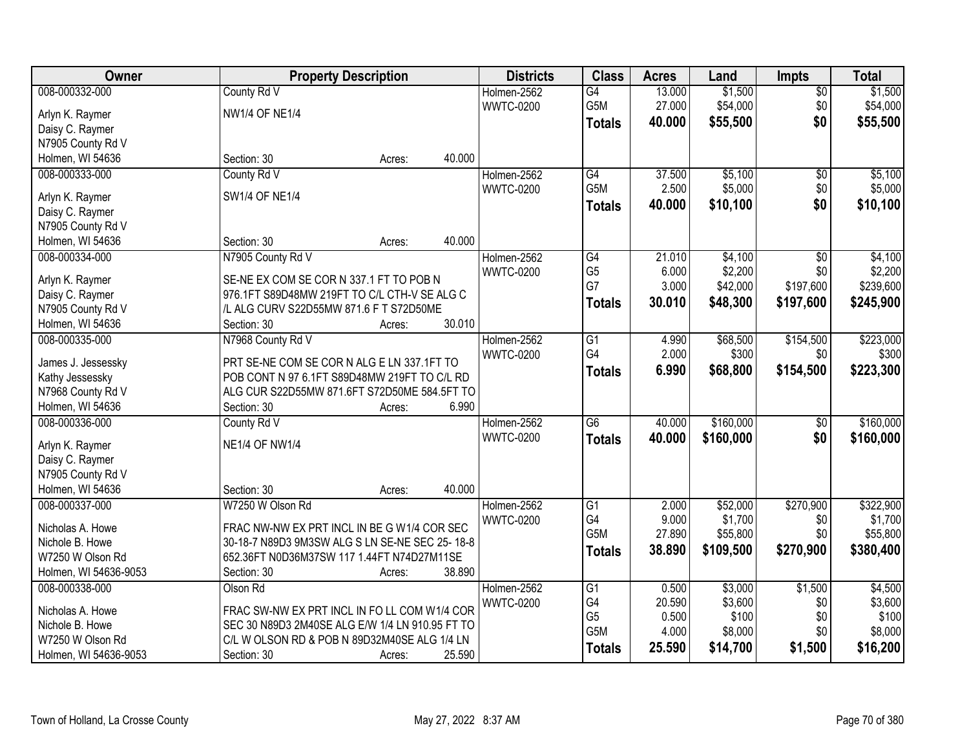| Owner                 | <b>Property Description</b>                     |        |        | <b>Districts</b> | <b>Class</b>     | <b>Acres</b> | Land      | <b>Impts</b>    | <b>Total</b> |
|-----------------------|-------------------------------------------------|--------|--------|------------------|------------------|--------------|-----------|-----------------|--------------|
| 008-000332-000        | County Rd V                                     |        |        | Holmen-2562      | $\overline{G4}$  | 13.000       | \$1,500   | $\overline{50}$ | \$1,500      |
| Arlyn K. Raymer       | <b>NW1/4 OF NE1/4</b>                           |        |        | <b>WWTC-0200</b> | G5M              | 27.000       | \$54,000  | \$0             | \$54,000     |
| Daisy C. Raymer       |                                                 |        |        |                  | <b>Totals</b>    | 40.000       | \$55,500  | \$0             | \$55,500     |
| N7905 County Rd V     |                                                 |        |        |                  |                  |              |           |                 |              |
| Holmen, WI 54636      | Section: 30                                     | Acres: | 40.000 |                  |                  |              |           |                 |              |
| 008-000333-000        | County Rd V                                     |        |        | Holmen-2562      | $\overline{G4}$  | 37.500       | \$5,100   | \$0             | \$5,100      |
|                       |                                                 |        |        | <b>WWTC-0200</b> | G <sub>5</sub> M | 2.500        | \$5,000   | \$0             | \$5,000      |
| Arlyn K. Raymer       | <b>SW1/4 OF NE1/4</b>                           |        |        |                  | <b>Totals</b>    | 40.000       | \$10,100  | \$0             | \$10,100     |
| Daisy C. Raymer       |                                                 |        |        |                  |                  |              |           |                 |              |
| N7905 County Rd V     |                                                 |        |        |                  |                  |              |           |                 |              |
| Holmen, WI 54636      | Section: 30                                     | Acres: | 40.000 |                  |                  |              |           |                 |              |
| 008-000334-000        | N7905 County Rd V                               |        |        | Holmen-2562      | G4               | 21.010       | \$4,100   | \$0             | \$4,100      |
| Arlyn K. Raymer       | SE-NE EX COM SE COR N 337.1 FT TO POB N         |        |        | <b>WWTC-0200</b> | G <sub>5</sub>   | 6.000        | \$2,200   | \$0             | \$2,200      |
| Daisy C. Raymer       | 976.1FT S89D48MW 219FT TO C/L CTH-V SE ALG C    |        |        |                  | G7               | 3.000        | \$42,000  | \$197,600       | \$239,600    |
| N7905 County Rd V     | /L ALG CURV S22D55MW 871.6 F T S72D50ME         |        |        |                  | <b>Totals</b>    | 30.010       | \$48,300  | \$197,600       | \$245,900    |
| Holmen, WI 54636      | Section: 30                                     | Acres: | 30.010 |                  |                  |              |           |                 |              |
| 008-000335-000        | N7968 County Rd V                               |        |        | Holmen-2562      | $\overline{G1}$  | 4.990        | \$68,500  | \$154,500       | \$223,000    |
|                       |                                                 |        |        | <b>WWTC-0200</b> | G4               | 2.000        | \$300     | \$0             | \$300        |
| James J. Jessessky    | PRT SE-NE COM SE COR N ALG E LN 337.1FT TO      |        |        |                  | <b>Totals</b>    | 6.990        | \$68,800  | \$154,500       | \$223,300    |
| Kathy Jessessky       | POB CONT N 97 6.1FT S89D48MW 219FT TO C/L RD    |        |        |                  |                  |              |           |                 |              |
| N7968 County Rd V     | ALG CUR S22D55MW 871.6FT S72D50ME 584.5FT TO    |        |        |                  |                  |              |           |                 |              |
| Holmen, WI 54636      | Section: 30                                     | Acres: | 6.990  |                  |                  |              |           |                 |              |
| 008-000336-000        | County Rd V                                     |        |        | Holmen-2562      | $\overline{G6}$  | 40.000       | \$160,000 | $\overline{50}$ | \$160,000    |
| Arlyn K. Raymer       | <b>NE1/4 OF NW1/4</b>                           |        |        | <b>WWTC-0200</b> | <b>Totals</b>    | 40.000       | \$160,000 | \$0             | \$160,000    |
| Daisy C. Raymer       |                                                 |        |        |                  |                  |              |           |                 |              |
| N7905 County Rd V     |                                                 |        |        |                  |                  |              |           |                 |              |
| Holmen, WI 54636      | Section: 30                                     | Acres: | 40.000 |                  |                  |              |           |                 |              |
| 008-000337-000        | W7250 W Olson Rd                                |        |        | Holmen-2562      | $\overline{G1}$  | 2.000        | \$52,000  | \$270,900       | \$322,900    |
|                       |                                                 |        |        | <b>WWTC-0200</b> | G4               | 9.000        | \$1,700   | \$0             | \$1,700      |
| Nicholas A. Howe      | FRAC NW-NW EX PRT INCL IN BE G W1/4 COR SEC     |        |        |                  | G <sub>5</sub> M | 27.890       | \$55,800  | \$0             | \$55,800     |
| Nichole B. Howe       | 30-18-7 N89D3 9M3SW ALG S LN SE-NE SEC 25-18-8  |        |        |                  | <b>Totals</b>    | 38.890       | \$109,500 | \$270,900       | \$380,400    |
| W7250 W Olson Rd      | 652.36FT N0D36M37SW 117 1.44FT N74D27M11SE      |        |        |                  |                  |              |           |                 |              |
| Holmen, WI 54636-9053 | Section: 30                                     | Acres: | 38.890 |                  |                  |              |           |                 |              |
| 008-000338-000        | Olson Rd                                        |        |        | Holmen-2562      | $\overline{G1}$  | 0.500        | \$3,000   | \$1,500         | \$4,500      |
| Nicholas A. Howe      | FRAC SW-NW EX PRT INCL IN FO LL COM W1/4 COR    |        |        | <b>WWTC-0200</b> | G4               | 20.590       | \$3,600   | \$0             | \$3,600      |
| Nichole B. Howe       | SEC 30 N89D3 2M40SE ALG E/W 1/4 LN 910.95 FT TO |        |        |                  | G <sub>5</sub>   | 0.500        | \$100     | \$0             | \$100        |
| W7250 W Olson Rd      | C/L W OLSON RD & POB N 89D32M40SE ALG 1/4 LN    |        |        |                  | G5M              | 4.000        | \$8,000   | \$0             | \$8,000      |
| Holmen, WI 54636-9053 | Section: 30                                     | Acres: | 25.590 |                  | <b>Totals</b>    | 25.590       | \$14,700  | \$1,500         | \$16,200     |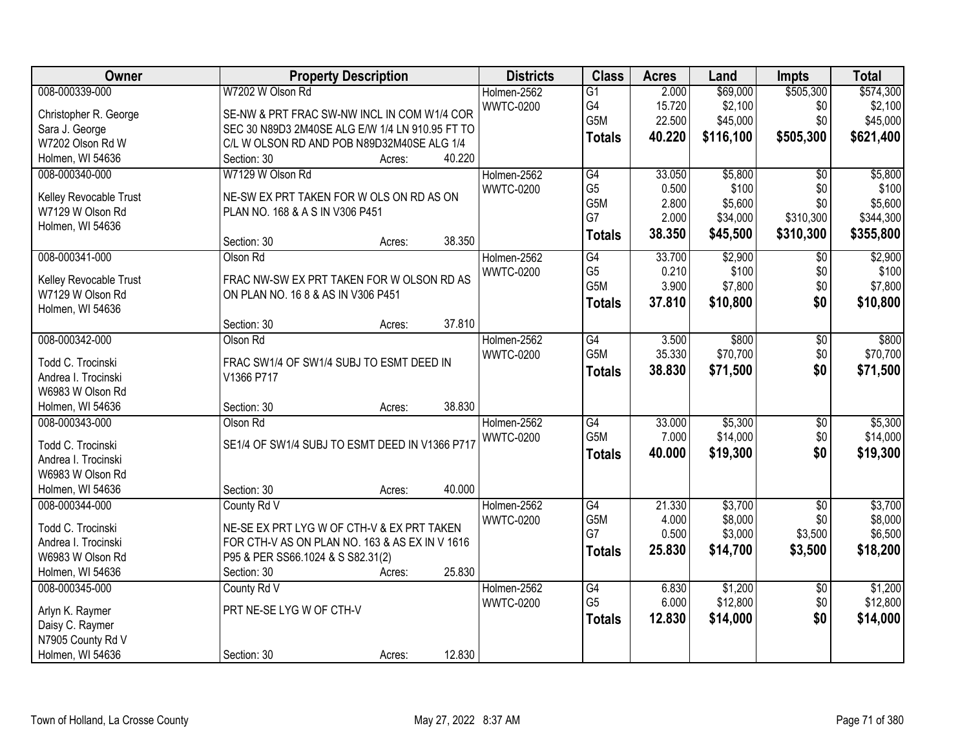| Owner                  | <b>Property Description</b>                     | <b>Districts</b> | <b>Class</b>     | <b>Acres</b> | Land      | Impts           | <b>Total</b> |
|------------------------|-------------------------------------------------|------------------|------------------|--------------|-----------|-----------------|--------------|
| 008-000339-000         | W7202 W Olson Rd                                | Holmen-2562      | $\overline{G1}$  | 2.000        | \$69,000  | \$505,300       | \$574,300    |
| Christopher R. George  | SE-NW & PRT FRAC SW-NW INCL IN COM W1/4 COR     | <b>WWTC-0200</b> | G4               | 15.720       | \$2,100   | \$0             | \$2,100      |
| Sara J. George         | SEC 30 N89D3 2M40SE ALG E/W 1/4 LN 910.95 FT TO |                  | G5M              | 22.500       | \$45,000  | \$0             | \$45,000     |
| W7202 Olson Rd W       | C/L W OLSON RD AND POB N89D32M40SE ALG 1/4      |                  | <b>Totals</b>    | 40.220       | \$116,100 | \$505,300       | \$621,400    |
| Holmen, WI 54636       | 40.220<br>Section: 30<br>Acres:                 |                  |                  |              |           |                 |              |
| 008-000340-000         | W7129 W Olson Rd                                | Holmen-2562      | G4               | 33.050       | \$5,800   | $\overline{50}$ | \$5,800      |
|                        |                                                 | <b>WWTC-0200</b> | G <sub>5</sub>   | 0.500        | \$100     | \$0             | \$100        |
| Kelley Revocable Trust | NE-SW EX PRT TAKEN FOR W OLS ON RD AS ON        |                  | G5M              | 2.800        | \$5,600   | \$0             | \$5,600      |
| W7129 W Olson Rd       | PLAN NO. 168 & A S IN V306 P451                 |                  | G7               | 2.000        | \$34,000  | \$310,300       | \$344,300    |
| Holmen, WI 54636       |                                                 |                  | <b>Totals</b>    | 38.350       | \$45,500  | \$310,300       | \$355,800    |
|                        | 38.350<br>Section: 30<br>Acres:                 |                  |                  |              |           |                 |              |
| 008-000341-000         | Olson Rd                                        | Holmen-2562      | G4               | 33.700       | \$2,900   | \$0             | \$2,900      |
| Kelley Revocable Trust | FRAC NW-SW EX PRT TAKEN FOR W OLSON RD AS       | <b>WWTC-0200</b> | G <sub>5</sub>   | 0.210        | \$100     | \$0             | \$100        |
| W7129 W Olson Rd       | ON PLAN NO. 16 8 & AS IN V306 P451              |                  | G5M              | 3.900        | \$7,800   | \$0             | \$7,800      |
| Holmen, WI 54636       |                                                 |                  | <b>Totals</b>    | 37.810       | \$10,800  | \$0             | \$10,800     |
|                        | 37.810<br>Section: 30<br>Acres:                 |                  |                  |              |           |                 |              |
| 008-000342-000         | Olson Rd                                        | Holmen-2562      | G4               | 3.500        | \$800     | \$0             | \$800        |
|                        |                                                 | <b>WWTC-0200</b> | G5M              | 35.330       | \$70,700  | \$0             | \$70,700     |
| Todd C. Trocinski      | FRAC SW1/4 OF SW1/4 SUBJ TO ESMT DEED IN        |                  | <b>Totals</b>    | 38.830       | \$71,500  | \$0             | \$71,500     |
| Andrea I. Trocinski    | V1366 P717                                      |                  |                  |              |           |                 |              |
| W6983 W Olson Rd       |                                                 |                  |                  |              |           |                 |              |
| Holmen, WI 54636       | 38.830<br>Section: 30<br>Acres:                 |                  |                  |              |           |                 |              |
| 008-000343-000         | Olson Rd                                        | Holmen-2562      | $\overline{G4}$  | 33.000       | \$5,300   | $\overline{30}$ | \$5,300      |
| Todd C. Trocinski      | SE1/4 OF SW1/4 SUBJ TO ESMT DEED IN V1366 P717  | <b>WWTC-0200</b> | G <sub>5</sub> M | 7.000        | \$14,000  | \$0             | \$14,000     |
| Andrea I. Trocinski    |                                                 |                  | <b>Totals</b>    | 40.000       | \$19,300  | \$0             | \$19,300     |
| W6983 W Olson Rd       |                                                 |                  |                  |              |           |                 |              |
| Holmen, WI 54636       | 40.000<br>Section: 30<br>Acres:                 |                  |                  |              |           |                 |              |
| 008-000344-000         | County Rd V                                     | Holmen-2562      | G4               | 21.330       | \$3,700   | $\overline{50}$ | \$3,700      |
| Todd C. Trocinski      | NE-SE EX PRT LYG W OF CTH-V & EX PRT TAKEN      | <b>WWTC-0200</b> | G5M              | 4.000        | \$8,000   | \$0             | \$8,000      |
| Andrea I. Trocinski    | FOR CTH-V AS ON PLAN NO. 163 & AS EX IN V 1616  |                  | G7               | 0.500        | \$3,000   | \$3,500         | \$6,500      |
| W6983 W Olson Rd       | P95 & PER SS66.1024 & S S82.31(2)               |                  | <b>Totals</b>    | 25.830       | \$14,700  | \$3,500         | \$18,200     |
| Holmen, WI 54636       | 25.830<br>Section: 30<br>Acres:                 |                  |                  |              |           |                 |              |
| 008-000345-000         | County Rd V                                     | Holmen-2562      | G4               | 6.830        | \$1,200   | $\overline{50}$ | \$1,200      |
|                        |                                                 | <b>WWTC-0200</b> | G <sub>5</sub>   | 6.000        | \$12,800  | \$0             | \$12,800     |
| Arlyn K. Raymer        | PRT NE-SE LYG W OF CTH-V                        |                  |                  |              |           |                 |              |
| Daisy C. Raymer        |                                                 |                  | <b>Totals</b>    | 12.830       | \$14,000  | \$0             | \$14,000     |
| N7905 County Rd V      |                                                 |                  |                  |              |           |                 |              |
| Holmen, WI 54636       | 12.830<br>Section: 30<br>Acres:                 |                  |                  |              |           |                 |              |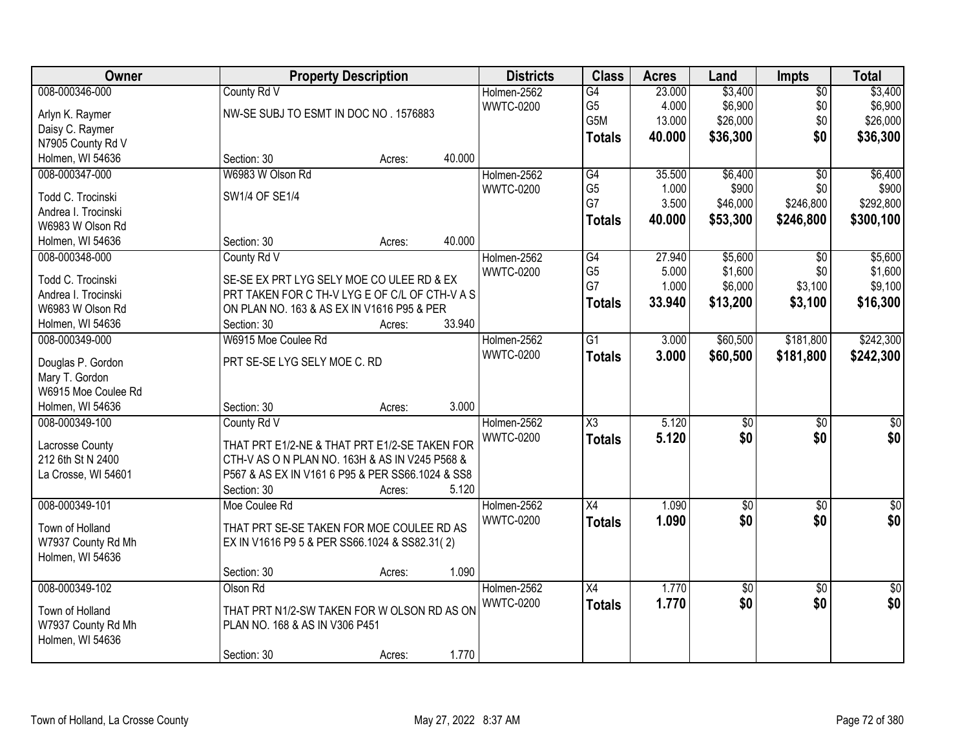| Owner               | <b>Property Description</b>                      |        |        | <b>Districts</b> | <b>Class</b>        | <b>Acres</b> | Land            | <b>Impts</b>    | <b>Total</b>     |
|---------------------|--------------------------------------------------|--------|--------|------------------|---------------------|--------------|-----------------|-----------------|------------------|
| 008-000346-000      | County Rd V                                      |        |        | Holmen-2562      | G4                  | 23.000       | \$3,400         | $\overline{50}$ | \$3,400          |
| Arlyn K. Raymer     | NW-SE SUBJ TO ESMT IN DOC NO. 1576883            |        |        | <b>WWTC-0200</b> | G5                  | 4.000        | \$6,900         | \$0             | \$6,900          |
| Daisy C. Raymer     |                                                  |        |        |                  | G5M                 | 13.000       | \$26,000        | \$0             | \$26,000         |
| N7905 County Rd V   |                                                  |        |        |                  | <b>Totals</b>       | 40.000       | \$36,300        | \$0             | \$36,300         |
| Holmen, WI 54636    | Section: 30                                      | Acres: | 40.000 |                  |                     |              |                 |                 |                  |
| 008-000347-000      | W6983 W Olson Rd                                 |        |        | Holmen-2562      | $\overline{G4}$     | 35.500       | \$6,400         | $\overline{30}$ | \$6,400          |
|                     |                                                  |        |        | <b>WWTC-0200</b> | G <sub>5</sub>      | 1.000        | \$900           | \$0             | \$900            |
| Todd C. Trocinski   | SW1/4 OF SE1/4                                   |        |        |                  | G7                  | 3.500        | \$46,000        | \$246,800       | \$292,800        |
| Andrea I. Trocinski |                                                  |        |        |                  | <b>Totals</b>       | 40.000       | \$53,300        | \$246,800       | \$300,100        |
| W6983 W Olson Rd    |                                                  |        |        |                  |                     |              |                 |                 |                  |
| Holmen, WI 54636    | Section: 30                                      | Acres: | 40.000 |                  |                     |              |                 |                 |                  |
| 008-000348-000      | County Rd V                                      |        |        | Holmen-2562      | G4                  | 27.940       | \$5,600         | \$0             | \$5,600          |
| Todd C. Trocinski   | SE-SE EX PRT LYG SELY MOE CO ULEE RD & EX        |        |        | <b>WWTC-0200</b> | G <sub>5</sub>      | 5.000        | \$1,600         | \$0             | \$1,600          |
| Andrea I. Trocinski | PRT TAKEN FOR C TH-V LYG E OF C/L OF CTH-V A S   |        |        |                  | G7                  | 1.000        | \$6,000         | \$3,100         | \$9,100          |
| W6983 W Olson Rd    | ON PLAN NO. 163 & AS EX IN V1616 P95 & PER       |        |        |                  | <b>Totals</b>       | 33.940       | \$13,200        | \$3,100         | \$16,300         |
| Holmen, WI 54636    | Section: 30                                      | Acres: | 33.940 |                  |                     |              |                 |                 |                  |
| 008-000349-000      | W6915 Moe Coulee Rd                              |        |        | Holmen-2562      | G1                  | 3.000        | \$60,500        | \$181,800       | \$242,300        |
|                     |                                                  |        |        | <b>WWTC-0200</b> | <b>Totals</b>       | 3.000        | \$60,500        | \$181,800       | \$242,300        |
| Douglas P. Gordon   | PRT SE-SE LYG SELY MOE C. RD                     |        |        |                  |                     |              |                 |                 |                  |
| Mary T. Gordon      |                                                  |        |        |                  |                     |              |                 |                 |                  |
| W6915 Moe Coulee Rd |                                                  |        |        |                  |                     |              |                 |                 |                  |
| Holmen, WI 54636    | Section: 30                                      | Acres: | 3.000  |                  |                     |              |                 |                 |                  |
| 008-000349-100      | County Rd V                                      |        |        | Holmen-2562      | $\overline{\chi_3}$ | 5.120        | $\overline{50}$ | $\overline{30}$ | $\overline{30}$  |
| Lacrosse County     | THAT PRT E1/2-NE & THAT PRT E1/2-SE TAKEN FOR    |        |        | <b>WWTC-0200</b> | <b>Totals</b>       | 5.120        | \$0             | \$0             | \$0              |
| 212 6th St N 2400   | CTH-V AS O N PLAN NO. 163H & AS IN V245 P568 &   |        |        |                  |                     |              |                 |                 |                  |
| La Crosse, WI 54601 | P567 & AS EX IN V161 6 P95 & PER SS66.1024 & SS8 |        |        |                  |                     |              |                 |                 |                  |
|                     | Section: 30                                      | Acres: | 5.120  |                  |                     |              |                 |                 |                  |
| 008-000349-101      | Moe Coulee Rd                                    |        |        | Holmen-2562      | $\overline{X4}$     | 1.090        | $\overline{50}$ | $\overline{30}$ | $\overline{\$0}$ |
|                     |                                                  |        |        | <b>WWTC-0200</b> | <b>Totals</b>       | 1.090        | \$0             | \$0             | \$0              |
| Town of Holland     | THAT PRT SE-SE TAKEN FOR MOE COULEE RD AS        |        |        |                  |                     |              |                 |                 |                  |
| W7937 County Rd Mh  | EX IN V1616 P9 5 & PER SS66.1024 & SS82.31(2)    |        |        |                  |                     |              |                 |                 |                  |
| Holmen, WI 54636    |                                                  |        |        |                  |                     |              |                 |                 |                  |
|                     | Section: 30                                      | Acres: | 1.090  |                  |                     |              |                 |                 |                  |
| 008-000349-102      | Olson Rd                                         |        |        | Holmen-2562      | $\overline{X4}$     | 1.770        | $\overline{50}$ | $\overline{50}$ | $\frac{1}{30}$   |
| Town of Holland     | THAT PRT N1/2-SW TAKEN FOR W OLSON RD AS ON      |        |        | <b>WWTC-0200</b> | <b>Totals</b>       | 1.770        | \$0             | \$0             | \$0              |
| W7937 County Rd Mh  | PLAN NO. 168 & AS IN V306 P451                   |        |        |                  |                     |              |                 |                 |                  |
| Holmen, WI 54636    |                                                  |        |        |                  |                     |              |                 |                 |                  |
|                     | Section: 30                                      | Acres: | 1.770  |                  |                     |              |                 |                 |                  |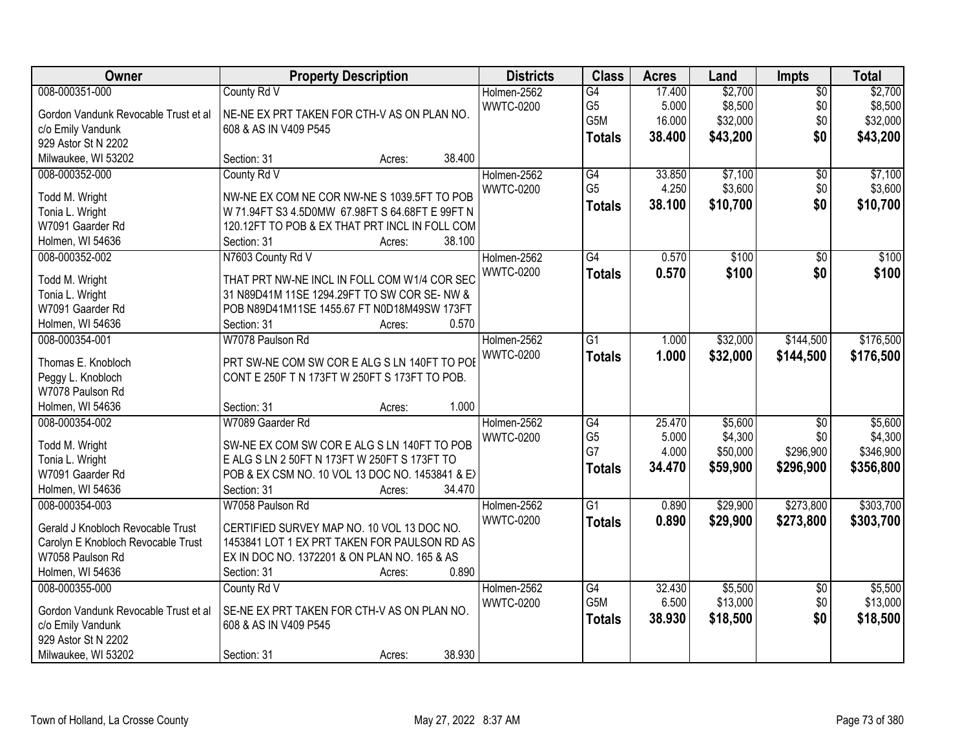| Owner                                | <b>Property Description</b>                     | <b>Districts</b> | <b>Class</b>                      | <b>Acres</b> | Land                | Impts                  | <b>Total</b>         |
|--------------------------------------|-------------------------------------------------|------------------|-----------------------------------|--------------|---------------------|------------------------|----------------------|
| 008-000351-000                       | County Rd V                                     | Holmen-2562      | $\overline{G4}$                   | 17.400       | \$2,700             | $\overline{50}$        | \$2,700              |
| Gordon Vandunk Revocable Trust et al | NE-NE EX PRT TAKEN FOR CTH-V AS ON PLAN NO.     | <b>WWTC-0200</b> | G <sub>5</sub>                    | 5.000        | \$8,500             | \$0                    | \$8,500              |
| c/o Emily Vandunk                    | 608 & AS IN V409 P545                           |                  | G5M                               | 16.000       | \$32,000            | \$0                    | \$32,000             |
| 929 Astor St N 2202                  |                                                 |                  | <b>Totals</b>                     | 38.400       | \$43,200            | \$0                    | \$43,200             |
| Milwaukee, WI 53202                  | 38.400<br>Section: 31<br>Acres:                 |                  |                                   |              |                     |                        |                      |
| 008-000352-000                       | County Rd V                                     | Holmen-2562      | $\overline{G4}$                   | 33.850       | \$7,100             | \$0                    | \$7,100              |
|                                      |                                                 | <b>WWTC-0200</b> | G <sub>5</sub>                    | 4.250        | \$3,600             | \$0                    | \$3,600              |
| Todd M. Wright                       | NW-NE EX COM NE COR NW-NE S 1039.5FT TO POB     |                  | <b>Totals</b>                     | 38.100       | \$10,700            | \$0                    | \$10,700             |
| Tonia L. Wright                      | W 71.94FT S3 4.5D0MW 67.98FT S 64.68FT E 99FT N |                  |                                   |              |                     |                        |                      |
| W7091 Gaarder Rd                     | 120.12FT TO POB & EX THAT PRT INCL IN FOLL COM  |                  |                                   |              |                     |                        |                      |
| Holmen, WI 54636                     | 38.100<br>Section: 31<br>Acres:                 |                  |                                   |              |                     |                        |                      |
| 008-000352-002                       | N7603 County Rd V                               | Holmen-2562      | G4                                | 0.570        | \$100               | \$0                    | \$100                |
| Todd M. Wright                       | THAT PRT NW-NE INCL IN FOLL COM W1/4 COR SEC    | <b>WWTC-0200</b> | <b>Totals</b>                     | 0.570        | \$100               | \$0                    | \$100                |
| Tonia L. Wright                      | 31 N89D41M 11SE 1294.29FT TO SW COR SE- NW &    |                  |                                   |              |                     |                        |                      |
| W7091 Gaarder Rd                     | POB N89D41M11SE 1455.67 FT N0D18M49SW 173FT     |                  |                                   |              |                     |                        |                      |
| Holmen, WI 54636                     | 0.570<br>Section: 31<br>Acres:                  |                  |                                   |              |                     |                        |                      |
| 008-000354-001                       | W7078 Paulson Rd                                | Holmen-2562      | G1                                | 1.000        | \$32,000            | \$144,500              | \$176,500            |
|                                      |                                                 | <b>WWTC-0200</b> | <b>Totals</b>                     | 1.000        | \$32,000            | \$144,500              | \$176,500            |
| Thomas E. Knobloch                   | PRT SW-NE COM SW COR E ALG S LN 140FT TO POE    |                  |                                   |              |                     |                        |                      |
| Peggy L. Knobloch                    | CONT E 250F T N 173FT W 250FT S 173FT TO POB.   |                  |                                   |              |                     |                        |                      |
| W7078 Paulson Rd                     | 1.000                                           |                  |                                   |              |                     |                        |                      |
| Holmen, WI 54636                     | Section: 31<br>Acres:<br>W7089 Gaarder Rd       |                  |                                   | 25.470       |                     |                        |                      |
| 008-000354-002                       |                                                 | Holmen-2562      | $\overline{G4}$<br>G <sub>5</sub> | 5.000        | \$5,600             | $\overline{50}$<br>\$0 | \$5,600              |
| Todd M. Wright                       | SW-NE EX COM SW COR E ALG S LN 140FT TO POB     | <b>WWTC-0200</b> | G7                                | 4.000        | \$4,300<br>\$50,000 | \$296,900              | \$4,300<br>\$346,900 |
| Tonia L. Wright                      | E ALG S LN 2 50FT N 173FT W 250FT S 173FT TO    |                  |                                   | 34.470       |                     |                        |                      |
| W7091 Gaarder Rd                     | POB & EX CSM NO. 10 VOL 13 DOC NO. 1453841 & E> |                  | <b>Totals</b>                     |              | \$59,900            | \$296,900              | \$356,800            |
| Holmen, WI 54636                     | 34.470<br>Section: 31<br>Acres:                 |                  |                                   |              |                     |                        |                      |
| 008-000354-003                       | W7058 Paulson Rd                                | Holmen-2562      | $\overline{G1}$                   | 0.890        | \$29,900            | \$273,800              | \$303,700            |
| Gerald J Knobloch Revocable Trust    | CERTIFIED SURVEY MAP NO. 10 VOL 13 DOC NO.      | <b>WWTC-0200</b> | <b>Totals</b>                     | 0.890        | \$29,900            | \$273,800              | \$303,700            |
| Carolyn E Knobloch Revocable Trust   | 1453841 LOT 1 EX PRT TAKEN FOR PAULSON RD AS    |                  |                                   |              |                     |                        |                      |
| W7058 Paulson Rd                     | EX IN DOC NO. 1372201 & ON PLAN NO. 165 & AS    |                  |                                   |              |                     |                        |                      |
| Holmen, WI 54636                     | 0.890<br>Section: 31<br>Acres:                  |                  |                                   |              |                     |                        |                      |
| 008-000355-000                       | County Rd V                                     | Holmen-2562      | $\overline{G4}$                   | 32.430       | \$5,500             | $\sqrt{6}$             | \$5,500              |
|                                      |                                                 | <b>WWTC-0200</b> | G5M                               | 6.500        | \$13,000            | \$0                    | \$13,000             |
| Gordon Vandunk Revocable Trust et al | SE-NE EX PRT TAKEN FOR CTH-V AS ON PLAN NO.     |                  | <b>Totals</b>                     | 38.930       | \$18,500            | \$0                    | \$18,500             |
| c/o Emily Vandunk                    | 608 & AS IN V409 P545                           |                  |                                   |              |                     |                        |                      |
| 929 Astor St N 2202                  |                                                 |                  |                                   |              |                     |                        |                      |
| Milwaukee, WI 53202                  | 38.930<br>Section: 31<br>Acres:                 |                  |                                   |              |                     |                        |                      |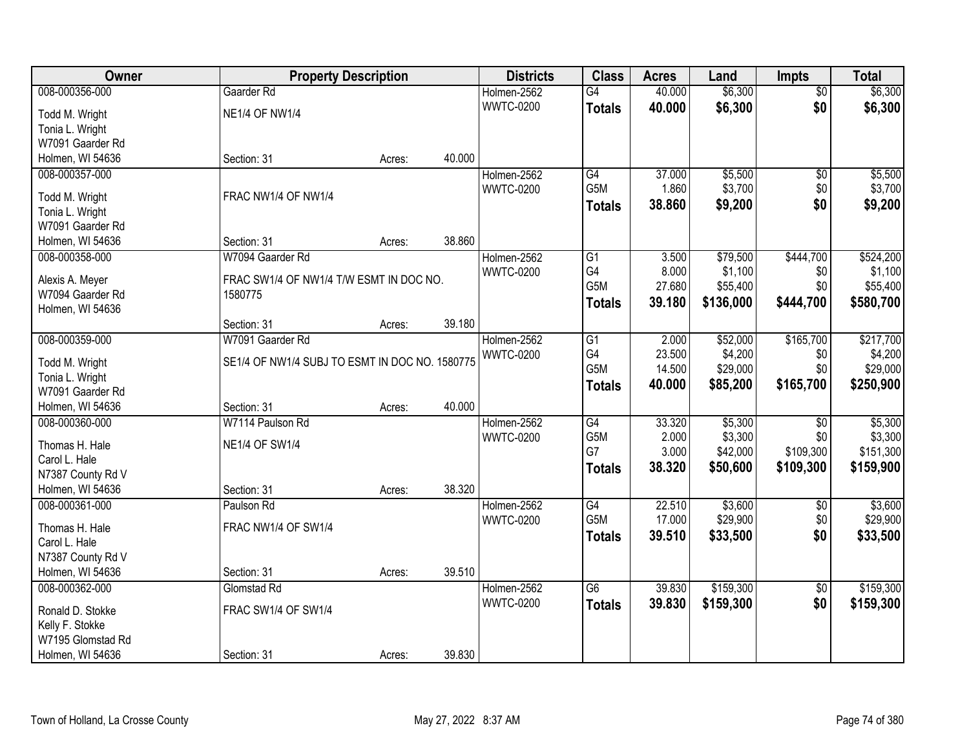| Owner                                | <b>Property Description</b>                    |        |        | <b>Districts</b>                | <b>Class</b>     | <b>Acres</b> | Land      | <b>Impts</b>    | <b>Total</b> |
|--------------------------------------|------------------------------------------------|--------|--------|---------------------------------|------------------|--------------|-----------|-----------------|--------------|
| 008-000356-000                       | Gaarder Rd                                     |        |        | Holmen-2562                     | G4               | 40.000       | \$6,300   | \$0             | \$6,300      |
| Todd M. Wright                       | <b>NE1/4 OF NW1/4</b>                          |        |        | <b>WWTC-0200</b>                | <b>Totals</b>    | 40.000       | \$6,300   | \$0             | \$6,300      |
| Tonia L. Wright                      |                                                |        |        |                                 |                  |              |           |                 |              |
| W7091 Gaarder Rd                     |                                                |        |        |                                 |                  |              |           |                 |              |
| Holmen, WI 54636                     | Section: 31                                    | Acres: | 40.000 |                                 |                  |              |           |                 |              |
| 008-000357-000                       |                                                |        |        | Holmen-2562                     | G4               | 37.000       | \$5,500   | $\overline{50}$ | \$5,500      |
|                                      |                                                |        |        | <b>WWTC-0200</b>                | G <sub>5</sub> M | 1.860        | \$3,700   | \$0             | \$3,700      |
| Todd M. Wright                       | FRAC NW1/4 OF NW1/4                            |        |        |                                 | <b>Totals</b>    | 38.860       | \$9,200   | \$0             | \$9,200      |
| Tonia L. Wright<br>W7091 Gaarder Rd  |                                                |        |        |                                 |                  |              |           |                 |              |
| Holmen, WI 54636                     | Section: 31                                    |        | 38.860 |                                 |                  |              |           |                 |              |
| 008-000358-000                       | W7094 Gaarder Rd                               | Acres: |        |                                 | G1               | 3.500        | \$79,500  | \$444,700       | \$524,200    |
|                                      |                                                |        |        | Holmen-2562<br><b>WWTC-0200</b> | G4               | 8.000        | \$1,100   | \$0             | \$1,100      |
| Alexis A. Meyer                      | FRAC SW1/4 OF NW1/4 T/W ESMT IN DOC NO.        |        |        |                                 | G <sub>5</sub> M | 27.680       | \$55,400  | \$0             | \$55,400     |
| W7094 Gaarder Rd                     | 1580775                                        |        |        |                                 |                  | 39.180       | \$136,000 | \$444,700       | \$580,700    |
| Holmen, WI 54636                     |                                                |        |        |                                 | <b>Totals</b>    |              |           |                 |              |
|                                      | Section: 31                                    | Acres: | 39.180 |                                 |                  |              |           |                 |              |
| 008-000359-000                       | W7091 Gaarder Rd                               |        |        | Holmen-2562                     | G1               | 2.000        | \$52,000  | \$165,700       | \$217,700    |
| Todd M. Wright                       | SE1/4 OF NW1/4 SUBJ TO ESMT IN DOC NO. 1580775 |        |        | <b>WWTC-0200</b>                | G4               | 23.500       | \$4,200   | \$0             | \$4,200      |
| Tonia L. Wright                      |                                                |        |        |                                 | G5M              | 14.500       | \$29,000  | \$0             | \$29,000     |
| W7091 Gaarder Rd                     |                                                |        |        |                                 | <b>Totals</b>    | 40.000       | \$85,200  | \$165,700       | \$250,900    |
| Holmen, WI 54636                     | Section: 31                                    | Acres: | 40.000 |                                 |                  |              |           |                 |              |
| 008-000360-000                       | W7114 Paulson Rd                               |        |        | Holmen-2562                     | $\overline{G4}$  | 33.320       | \$5,300   | $\overline{50}$ | \$5,300      |
|                                      |                                                |        |        | <b>WWTC-0200</b>                | G <sub>5</sub> M | 2.000        | \$3,300   | \$0             | \$3,300      |
| Thomas H. Hale                       | <b>NE1/4 OF SW1/4</b>                          |        |        |                                 | G7               | 3.000        | \$42,000  | \$109,300       | \$151,300    |
| Carol L. Hale                        |                                                |        |        |                                 | <b>Totals</b>    | 38.320       | \$50,600  | \$109,300       | \$159,900    |
| N7387 County Rd V                    |                                                |        |        |                                 |                  |              |           |                 |              |
| Holmen, WI 54636                     | Section: 31                                    | Acres: | 38.320 |                                 |                  |              |           |                 |              |
| 008-000361-000                       | Paulson Rd                                     |        |        | Holmen-2562                     | G4               | 22.510       | \$3,600   | $\overline{50}$ | \$3,600      |
| Thomas H. Hale                       | FRAC NW1/4 OF SW1/4                            |        |        | <b>WWTC-0200</b>                | G5M              | 17.000       | \$29,900  | \$0             | \$29,900     |
| Carol L. Hale                        |                                                |        |        |                                 | <b>Totals</b>    | 39.510       | \$33,500  | \$0             | \$33,500     |
| N7387 County Rd V                    |                                                |        |        |                                 |                  |              |           |                 |              |
| Holmen, WI 54636                     | Section: 31                                    | Acres: | 39.510 |                                 |                  |              |           |                 |              |
| 008-000362-000                       | Glomstad Rd                                    |        |        | Holmen-2562                     | $\overline{G6}$  | 39.830       | \$159,300 | $\sqrt{6}$      | \$159,300    |
|                                      |                                                |        |        | <b>WWTC-0200</b>                | <b>Totals</b>    | 39.830       | \$159,300 | \$0             | \$159,300    |
| Ronald D. Stokke                     | FRAC SW1/4 OF SW1/4                            |        |        |                                 |                  |              |           |                 |              |
| Kelly F. Stokke<br>W7195 Glomstad Rd |                                                |        |        |                                 |                  |              |           |                 |              |
|                                      |                                                |        | 39.830 |                                 |                  |              |           |                 |              |
| Holmen, WI 54636                     | Section: 31                                    | Acres: |        |                                 |                  |              |           |                 |              |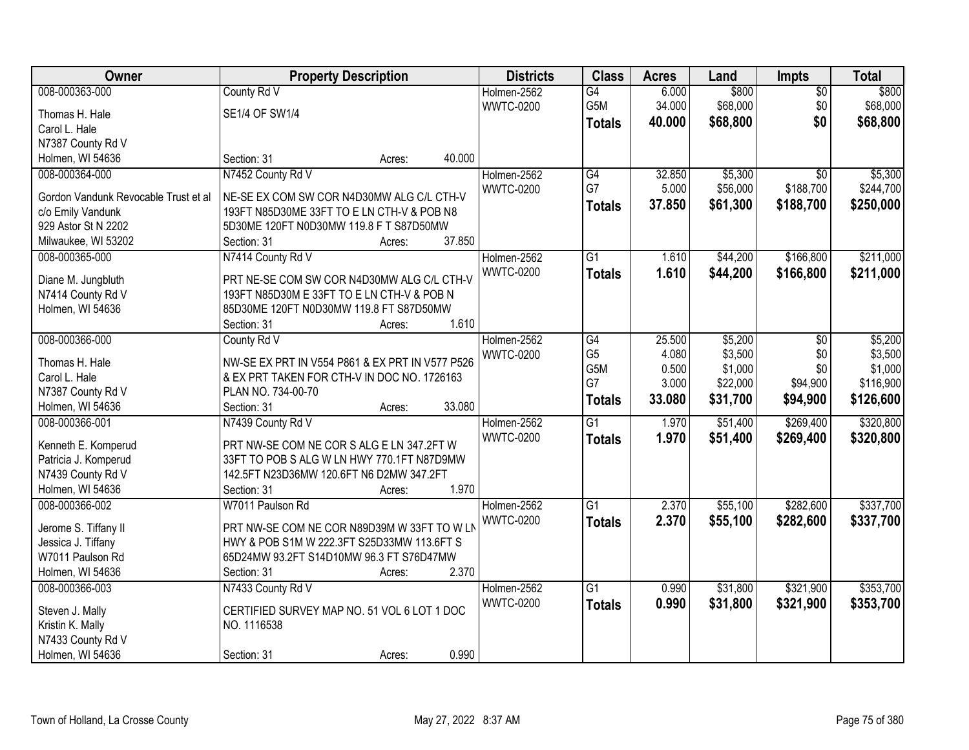| Owner                                | <b>Property Description</b>                       | <b>Districts</b> | <b>Class</b>    | <b>Acres</b> | Land     | Impts           | <b>Total</b> |
|--------------------------------------|---------------------------------------------------|------------------|-----------------|--------------|----------|-----------------|--------------|
| 008-000363-000                       | County Rd V                                       | Holmen-2562      | G4              | 6.000        | \$800    | $\overline{50}$ | \$800        |
| Thomas H. Hale                       | SE1/4 OF SW1/4                                    | <b>WWTC-0200</b> | G5M             | 34.000       | \$68,000 | \$0             | \$68,000     |
| Carol L. Hale                        |                                                   |                  | <b>Totals</b>   | 40.000       | \$68,800 | \$0             | \$68,800     |
| N7387 County Rd V                    |                                                   |                  |                 |              |          |                 |              |
| Holmen, WI 54636                     | 40.000<br>Section: 31<br>Acres:                   |                  |                 |              |          |                 |              |
| 008-000364-000                       | N7452 County Rd V                                 | Holmen-2562      | $\overline{G4}$ | 32.850       | \$5,300  | $\overline{50}$ | \$5,300      |
|                                      |                                                   | <b>WWTC-0200</b> | G7              | 5.000        | \$56,000 | \$188,700       | \$244,700    |
| Gordon Vandunk Revocable Trust et al | NE-SE EX COM SW COR N4D30MW ALG C/L CTH-V         |                  | <b>Totals</b>   | 37.850       | \$61,300 | \$188,700       | \$250,000    |
| c/o Emily Vandunk                    | 193FT N85D30ME 33FT TO E LN CTH-V & POB N8        |                  |                 |              |          |                 |              |
| 929 Astor St N 2202                  | 5D30ME 120FT N0D30MW 119.8 F T S87D50MW<br>37.850 |                  |                 |              |          |                 |              |
| Milwaukee, WI 53202                  | Section: 31<br>Acres:                             |                  | $\overline{G1}$ | 1.610        | \$44,200 | \$166,800       | \$211,000    |
| 008-000365-000                       | N7414 County Rd V                                 | Holmen-2562      |                 |              |          |                 |              |
| Diane M. Jungbluth                   | PRT NE-SE COM SW COR N4D30MW ALG C/L CTH-V        | <b>WWTC-0200</b> | <b>Totals</b>   | 1.610        | \$44,200 | \$166,800       | \$211,000    |
| N7414 County Rd V                    | 193FT N85D30M E 33FT TO E LN CTH-V & POB N        |                  |                 |              |          |                 |              |
| Holmen, WI 54636                     | 85D30ME 120FT N0D30MW 119.8 FT S87D50MW           |                  |                 |              |          |                 |              |
|                                      | 1.610<br>Section: 31<br>Acres:                    |                  |                 |              |          |                 |              |
| 008-000366-000                       | County Rd V                                       | Holmen-2562      | G4              | 25.500       | \$5,200  | $\overline{50}$ | \$5,200      |
| Thomas H. Hale                       | NW-SE EX PRT IN V554 P861 & EX PRT IN V577 P526   | <b>WWTC-0200</b> | G <sub>5</sub>  | 4.080        | \$3,500  | \$0             | \$3,500      |
| Carol L. Hale                        | & EX PRT TAKEN FOR CTH-V IN DOC NO. 1726163       |                  | G5M             | 0.500        | \$1,000  | \$0             | \$1,000      |
| N7387 County Rd V                    | PLAN NO. 734-00-70                                |                  | G7              | 3.000        | \$22,000 | \$94,900        | \$116,900    |
| Holmen, WI 54636                     | Section: 31<br>33.080<br>Acres:                   |                  | <b>Totals</b>   | 33.080       | \$31,700 | \$94,900        | \$126,600    |
| 008-000366-001                       | N7439 County Rd V                                 | Holmen-2562      | $\overline{G1}$ | 1.970        | \$51,400 | \$269,400       | \$320,800    |
|                                      |                                                   | <b>WWTC-0200</b> | <b>Totals</b>   | 1.970        | \$51,400 | \$269,400       | \$320,800    |
| Kenneth E. Komperud                  | PRT NW-SE COM NE COR S ALG E LN 347.2FT W         |                  |                 |              |          |                 |              |
| Patricia J. Komperud                 | 33FT TO POB S ALG W LN HWY 770.1FT N87D9MW        |                  |                 |              |          |                 |              |
| N7439 County Rd V                    | 142.5FT N23D36MW 120.6FT N6 D2MW 347.2FT          |                  |                 |              |          |                 |              |
| Holmen, WI 54636                     | 1.970<br>Section: 31<br>Acres:                    |                  |                 |              |          |                 |              |
| 008-000366-002                       | W7011 Paulson Rd                                  | Holmen-2562      | $\overline{G1}$ | 2.370        | \$55,100 | \$282,600       | \$337,700    |
| Jerome S. Tiffany II                 | PRT NW-SE COM NE COR N89D39M W 33FT TO W LN       | <b>WWTC-0200</b> | <b>Totals</b>   | 2.370        | \$55,100 | \$282,600       | \$337,700    |
| Jessica J. Tiffany                   | HWY & POB S1M W 222.3FT S25D33MW 113.6FT S        |                  |                 |              |          |                 |              |
| W7011 Paulson Rd                     | 65D24MW 93.2FT S14D10MW 96.3 FT S76D47MW          |                  |                 |              |          |                 |              |
| Holmen, WI 54636                     | 2.370<br>Section: 31<br>Acres:                    |                  |                 |              |          |                 |              |
| 008-000366-003                       | N7433 County Rd V                                 | Holmen-2562      | $\overline{G1}$ | 0.990        | \$31,800 | \$321,900       | \$353,700    |
|                                      |                                                   | <b>WWTC-0200</b> | <b>Totals</b>   | 0.990        | \$31,800 | \$321,900       | \$353,700    |
| Steven J. Mally                      | CERTIFIED SURVEY MAP NO. 51 VOL 6 LOT 1 DOC       |                  |                 |              |          |                 |              |
| Kristin K. Mally                     | NO. 1116538                                       |                  |                 |              |          |                 |              |
| N7433 County Rd V                    | 0.990                                             |                  |                 |              |          |                 |              |
| Holmen, WI 54636                     | Section: 31<br>Acres:                             |                  |                 |              |          |                 |              |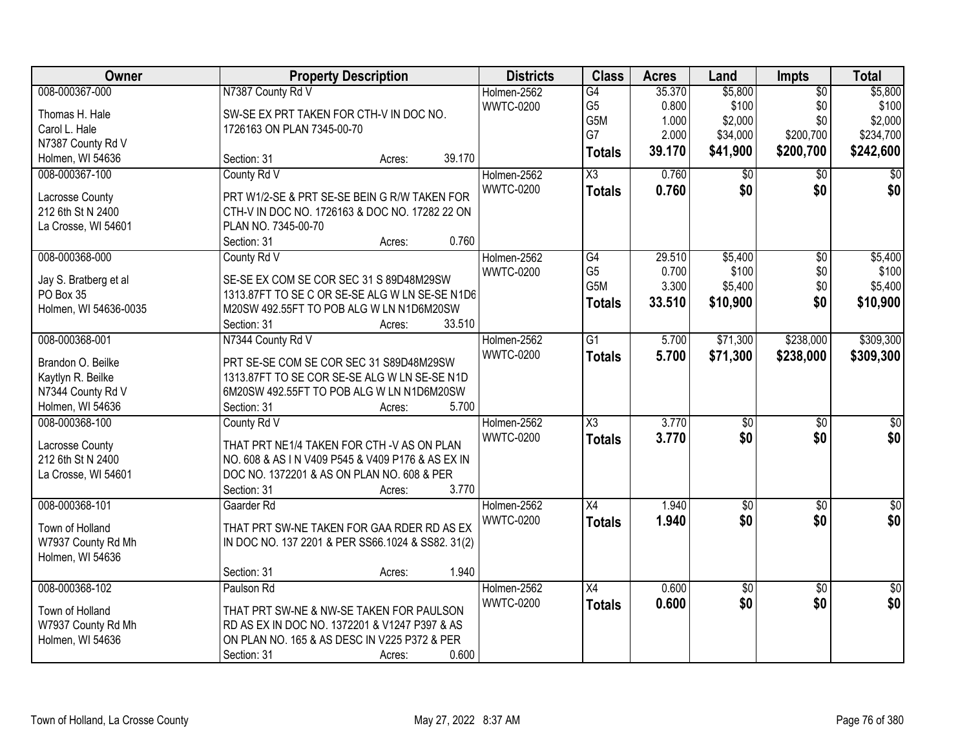| Owner                 |                                                   | <b>Property Description</b> |        | <b>Districts</b> | <b>Class</b>           | <b>Acres</b> | Land            | <b>Impts</b>    | <b>Total</b>     |
|-----------------------|---------------------------------------------------|-----------------------------|--------|------------------|------------------------|--------------|-----------------|-----------------|------------------|
| 008-000367-000        | N7387 County Rd V                                 |                             |        | Holmen-2562      | G4                     | 35.370       | \$5,800         | $\overline{50}$ | \$5,800          |
| Thomas H. Hale        | SW-SE EX PRT TAKEN FOR CTH-V IN DOC NO.           |                             |        | <b>WWTC-0200</b> | G <sub>5</sub>         | 0.800        | \$100           | \$0             | \$100            |
| Carol L. Hale         | 1726163 ON PLAN 7345-00-70                        |                             |        |                  | G5M                    | 1.000        | \$2,000         | \$0             | \$2,000          |
| N7387 County Rd V     |                                                   |                             |        |                  | G7                     | 2.000        | \$34,000        | \$200,700       | \$234,700        |
| Holmen, WI 54636      | Section: 31                                       | Acres:                      | 39.170 |                  | <b>Totals</b>          | 39.170       | \$41,900        | \$200,700       | \$242,600        |
| 008-000367-100        | County Rd V                                       |                             |        | Holmen-2562      | $\overline{\chi_3}$    | 0.760        | \$0             | \$0             | $\overline{50}$  |
|                       |                                                   |                             |        | <b>WWTC-0200</b> | <b>Totals</b>          | 0.760        | \$0             | \$0             | \$0              |
| Lacrosse County       | PRT W1/2-SE & PRT SE-SE BEIN G R/W TAKEN FOR      |                             |        |                  |                        |              |                 |                 |                  |
| 212 6th St N 2400     | CTH-V IN DOC NO. 1726163 & DOC NO. 17282 22 ON    |                             |        |                  |                        |              |                 |                 |                  |
| La Crosse, WI 54601   | PLAN NO. 7345-00-70                               |                             |        |                  |                        |              |                 |                 |                  |
|                       | Section: 31                                       | Acres:                      | 0.760  |                  |                        |              |                 |                 |                  |
| 008-000368-000        | County Rd V                                       |                             |        | Holmen-2562      | $\overline{G4}$        | 29.510       | \$5,400         | $\overline{50}$ | \$5,400          |
| Jay S. Bratberg et al | SE-SE EX COM SE COR SEC 31 S 89D48M29SW           |                             |        | <b>WWTC-0200</b> | G <sub>5</sub>         | 0.700        | \$100           | \$0             | \$100            |
| PO Box 35             | 1313.87FT TO SE C OR SE-SE ALG W LN SE-SE N1D6    |                             |        |                  | G <sub>5</sub> M       | 3.300        | \$5,400         | \$0             | \$5,400          |
| Holmen, WI 54636-0035 | M20SW 492.55FT TO POB ALG W LN N1D6M20SW          |                             |        |                  | <b>Totals</b>          | 33.510       | \$10,900        | \$0             | \$10,900         |
|                       | Section: 31                                       | Acres:                      | 33.510 |                  |                        |              |                 |                 |                  |
| 008-000368-001        | N7344 County Rd V                                 |                             |        | Holmen-2562      | G1                     | 5.700        | \$71,300        | \$238,000       | \$309,300        |
|                       |                                                   |                             |        | <b>WWTC-0200</b> | <b>Totals</b>          | 5.700        | \$71,300        | \$238,000       | \$309,300        |
| Brandon O. Beilke     | PRT SE-SE COM SE COR SEC 31 S89D48M29SW           |                             |        |                  |                        |              |                 |                 |                  |
| Kaytlyn R. Beilke     | 1313.87FT TO SE COR SE-SE ALG W LN SE-SE N1D      |                             |        |                  |                        |              |                 |                 |                  |
| N7344 County Rd V     | 6M20SW 492.55FT TO POB ALG W LN N1D6M20SW         |                             |        |                  |                        |              |                 |                 |                  |
| Holmen, WI 54636      | Section: 31                                       | Acres:                      | 5.700  |                  |                        |              |                 |                 |                  |
| 008-000368-100        | County Rd V                                       |                             |        | Holmen-2562      | $\overline{\text{X3}}$ | 3.770        | $\overline{50}$ | $\overline{50}$ | $\overline{\$0}$ |
| Lacrosse County       | THAT PRT NE1/4 TAKEN FOR CTH -V AS ON PLAN        |                             |        | <b>WWTC-0200</b> | <b>Totals</b>          | 3.770        | \$0             | \$0             | \$0              |
| 212 6th St N 2400     | NO. 608 & AS IN V409 P545 & V409 P176 & AS EX IN  |                             |        |                  |                        |              |                 |                 |                  |
| La Crosse, WI 54601   | DOC NO. 1372201 & AS ON PLAN NO. 608 & PER        |                             |        |                  |                        |              |                 |                 |                  |
|                       | Section: 31                                       | Acres:                      | 3.770  |                  |                        |              |                 |                 |                  |
| 008-000368-101        | Gaarder Rd                                        |                             |        | Holmen-2562      | $\overline{X4}$        | 1.940        | $\sqrt{6}$      | $\sqrt{6}$      | $\frac{6}{3}$    |
|                       |                                                   |                             |        | <b>WWTC-0200</b> | <b>Totals</b>          | 1.940        | \$0             | \$0             | \$0              |
| Town of Holland       | THAT PRT SW-NE TAKEN FOR GAA RDER RD AS EX        |                             |        |                  |                        |              |                 |                 |                  |
| W7937 County Rd Mh    | IN DOC NO. 137 2201 & PER SS66.1024 & SS82. 31(2) |                             |        |                  |                        |              |                 |                 |                  |
| Holmen, WI 54636      |                                                   |                             |        |                  |                        |              |                 |                 |                  |
|                       | Section: 31                                       | Acres:                      | 1.940  |                  |                        |              |                 |                 |                  |
| 008-000368-102        | Paulson Rd                                        |                             |        | Holmen-2562      | $\overline{X4}$        | 0.600        | $\overline{60}$ | $\overline{50}$ | $\overline{50}$  |
| Town of Holland       | THAT PRT SW-NE & NW-SE TAKEN FOR PAULSON          |                             |        | <b>WWTC-0200</b> | <b>Totals</b>          | 0.600        | \$0             | \$0             | \$0              |
| W7937 County Rd Mh    | RD AS EX IN DOC NO. 1372201 & V1247 P397 & AS     |                             |        |                  |                        |              |                 |                 |                  |
| Holmen, WI 54636      | ON PLAN NO. 165 & AS DESC IN V225 P372 & PER      |                             |        |                  |                        |              |                 |                 |                  |
|                       | Section: 31                                       | Acres:                      | 0.600  |                  |                        |              |                 |                 |                  |
|                       |                                                   |                             |        |                  |                        |              |                 |                 |                  |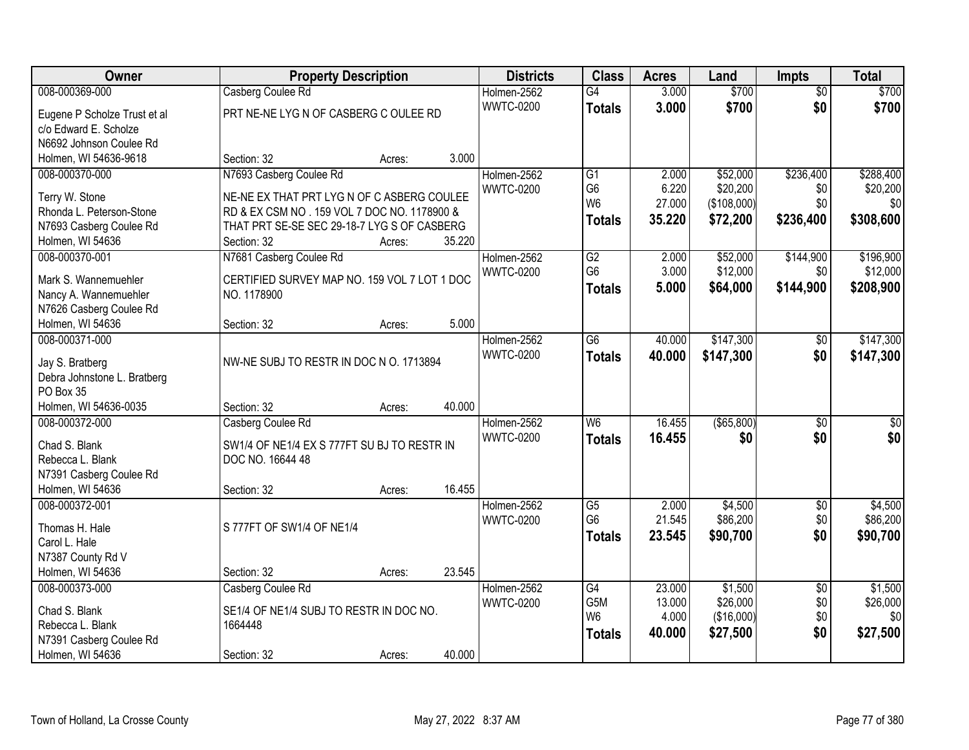| Owner                        | <b>Property Description</b>                  |                  | <b>Districts</b> | <b>Class</b>    | <b>Acres</b>     | Land                | <b>Impts</b>           | <b>Total</b>        |
|------------------------------|----------------------------------------------|------------------|------------------|-----------------|------------------|---------------------|------------------------|---------------------|
| 008-000369-000               | Casberg Coulee Rd                            |                  | Holmen-2562      | $\overline{G4}$ | 3.000            | \$700               | $\overline{50}$        | \$700               |
| Eugene P Scholze Trust et al | PRT NE-NE LYG N OF CASBERG C OULEE RD        |                  | <b>WWTC-0200</b> | <b>Totals</b>   | 3.000            | \$700               | \$0                    | \$700               |
| c/o Edward E. Scholze        |                                              |                  |                  |                 |                  |                     |                        |                     |
| N6692 Johnson Coulee Rd      |                                              |                  |                  |                 |                  |                     |                        |                     |
| Holmen, WI 54636-9618        | Section: 32                                  | 3.000<br>Acres:  |                  |                 |                  |                     |                        |                     |
| 008-000370-000               | N7693 Casberg Coulee Rd                      |                  | Holmen-2562      | G1              | 2.000            | \$52,000            | \$236,400              | \$288,400           |
| Terry W. Stone               | NE-NE EX THAT PRT LYG N OF C ASBERG COULEE   |                  | <b>WWTC-0200</b> | G <sub>6</sub>  | 6.220            | \$20,200            | \$0                    | \$20,200            |
| Rhonda L. Peterson-Stone     | RD & EX CSM NO . 159 VOL 7 DOC NO. 1178900 & |                  |                  | W <sub>6</sub>  | 27.000           | (\$108,000)         | \$0                    | \$0                 |
| N7693 Casberg Coulee Rd      | THAT PRT SE-SE SEC 29-18-7 LYG S OF CASBERG  |                  |                  | <b>Totals</b>   | 35.220           | \$72,200            | \$236,400              | \$308,600           |
| Holmen, WI 54636             | Section: 32                                  | 35.220<br>Acres: |                  |                 |                  |                     |                        |                     |
| 008-000370-001               | N7681 Casberg Coulee Rd                      |                  | Holmen-2562      | $\overline{G2}$ | 2.000            | \$52,000            | \$144,900              | \$196,900           |
|                              |                                              |                  | <b>WWTC-0200</b> | G <sub>6</sub>  | 3.000            | \$12,000            | \$0                    | \$12,000            |
| Mark S. Wannemuehler         | CERTIFIED SURVEY MAP NO. 159 VOL 7 LOT 1 DOC |                  |                  | <b>Totals</b>   | 5.000            | \$64,000            | \$144,900              | \$208,900           |
| Nancy A. Wannemuehler        | NO. 1178900                                  |                  |                  |                 |                  |                     |                        |                     |
| N7626 Casberg Coulee Rd      |                                              |                  |                  |                 |                  |                     |                        |                     |
| Holmen, WI 54636             | Section: 32                                  | 5.000<br>Acres:  |                  |                 |                  |                     |                        |                     |
| 008-000371-000               |                                              |                  | Holmen-2562      | G6              | 40.000           | \$147,300           | $\sqrt[6]{3}$          | \$147,300           |
| Jay S. Bratberg              | NW-NE SUBJ TO RESTR IN DOC N O. 1713894      |                  | <b>WWTC-0200</b> | <b>Totals</b>   | 40.000           | \$147,300           | \$0                    | \$147,300           |
| Debra Johnstone L. Bratberg  |                                              |                  |                  |                 |                  |                     |                        |                     |
| PO Box 35                    |                                              |                  |                  |                 |                  |                     |                        |                     |
| Holmen, WI 54636-0035        | Section: 32                                  | 40.000<br>Acres: |                  |                 |                  |                     |                        |                     |
| 008-000372-000               | Casberg Coulee Rd                            |                  | Holmen-2562      | W6              | 16.455           | ( \$65, 800)        | $\overline{50}$        | $\sqrt{50}$         |
| Chad S. Blank                | SW1/4 OF NE1/4 EX S 777FT SU BJ TO RESTR IN  |                  | <b>WWTC-0200</b> | <b>Totals</b>   | 16.455           | \$0                 | \$0                    | \$0                 |
| Rebecca L. Blank             | DOC NO. 16644 48                             |                  |                  |                 |                  |                     |                        |                     |
| N7391 Casberg Coulee Rd      |                                              |                  |                  |                 |                  |                     |                        |                     |
| Holmen, WI 54636             | Section: 32                                  | 16.455<br>Acres: |                  |                 |                  |                     |                        |                     |
| 008-000372-001               |                                              |                  | Holmen-2562      | $\overline{G5}$ | 2.000            | \$4,500             | $\sqrt{6}$             | \$4,500             |
|                              |                                              |                  | <b>WWTC-0200</b> | G <sub>6</sub>  | 21.545           | \$86,200            | \$0                    | \$86,200            |
| Thomas H. Hale               | S 777FT OF SW1/4 OF NE1/4                    |                  |                  | <b>Totals</b>   | 23.545           | \$90,700            | \$0                    | \$90,700            |
| Carol L. Hale                |                                              |                  |                  |                 |                  |                     |                        |                     |
| N7387 County Rd V            |                                              |                  |                  |                 |                  |                     |                        |                     |
| Holmen, WI 54636             | Section: 32                                  | 23.545<br>Acres: |                  |                 |                  |                     |                        |                     |
| 008-000373-000               | Casberg Coulee Rd                            |                  | Holmen-2562      | G4<br>G5M       | 23.000<br>13.000 | \$1,500<br>\$26,000 | $\overline{50}$<br>\$0 | \$1,500<br>\$26,000 |
| Chad S. Blank                | SE1/4 OF NE1/4 SUBJ TO RESTR IN DOC NO.      |                  | <b>WWTC-0200</b> | W <sub>6</sub>  | 4.000            | (\$16,000)          | \$0                    | \$0                 |
| Rebecca L. Blank             | 1664448                                      |                  |                  |                 | 40.000           | \$27,500            | \$0                    | \$27,500            |
| N7391 Casberg Coulee Rd      |                                              |                  |                  | <b>Totals</b>   |                  |                     |                        |                     |
| Holmen, WI 54636             | Section: 32                                  | 40.000<br>Acres: |                  |                 |                  |                     |                        |                     |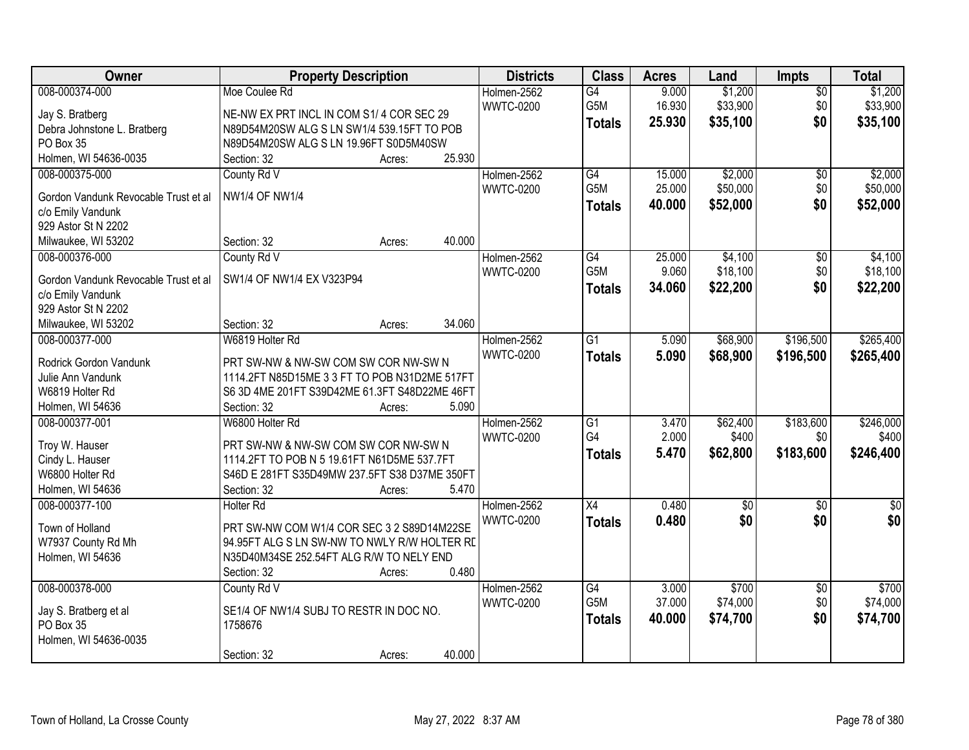| Owner                                | <b>Property Description</b>                       | <b>Districts</b> | <b>Class</b>           | <b>Acres</b>    | Land              | Impts           | <b>Total</b>      |
|--------------------------------------|---------------------------------------------------|------------------|------------------------|-----------------|-------------------|-----------------|-------------------|
| 008-000374-000                       | Moe Coulee Rd                                     | Holmen-2562      | $\overline{G4}$        | 9.000           | \$1,200           | $\overline{50}$ | \$1,200           |
| Jay S. Bratberg                      | NE-NW EX PRT INCL IN COM S1/4 COR SEC 29          | <b>WWTC-0200</b> | G5M                    | 16.930          | \$33,900          | \$0             | \$33,900          |
| Debra Johnstone L. Bratberg          | N89D54M20SW ALG S LN SW1/4 539.15FT TO POB        |                  | <b>Totals</b>          | 25.930          | \$35,100          | \$0             | \$35,100          |
| PO Box 35                            | N89D54M20SW ALG S LN 19.96FT S0D5M40SW            |                  |                        |                 |                   |                 |                   |
| Holmen, WI 54636-0035                | 25.930<br>Section: 32<br>Acres:                   |                  |                        |                 |                   |                 |                   |
| 008-000375-000                       | County Rd V                                       | Holmen-2562      | $\overline{G4}$        | 15.000          | \$2,000           | $\overline{50}$ | \$2,000           |
|                                      |                                                   | <b>WWTC-0200</b> | G5M                    | 25.000          | \$50,000          | \$0             | \$50,000          |
| Gordon Vandunk Revocable Trust et al | <b>NW1/4 OF NW1/4</b>                             |                  | <b>Totals</b>          | 40.000          | \$52,000          | \$0             | \$52,000          |
| c/o Emily Vandunk                    |                                                   |                  |                        |                 |                   |                 |                   |
| 929 Astor St N 2202                  |                                                   |                  |                        |                 |                   |                 |                   |
| Milwaukee, WI 53202                  | 40.000<br>Section: 32<br>Acres:                   |                  |                        |                 |                   |                 |                   |
| 008-000376-000                       | County Rd V                                       | Holmen-2562      | G4                     | 25.000          | \$4,100           | \$0             | \$4,100           |
| Gordon Vandunk Revocable Trust et al | SW1/4 OF NW1/4 EX V323P94                         | <b>WWTC-0200</b> | G <sub>5</sub> M       | 9.060           | \$18,100          | \$0             | \$18,100          |
| c/o Emily Vandunk                    |                                                   |                  | <b>Totals</b>          | 34.060          | \$22,200          | \$0             | \$22,200          |
| 929 Astor St N 2202                  |                                                   |                  |                        |                 |                   |                 |                   |
| Milwaukee, WI 53202                  | 34.060<br>Section: 32<br>Acres:                   |                  |                        |                 |                   |                 |                   |
| 008-000377-000                       | W6819 Holter Rd                                   | Holmen-2562      | $\overline{G1}$        | 5.090           | \$68,900          | \$196,500       | \$265,400         |
|                                      |                                                   | <b>WWTC-0200</b> | <b>Totals</b>          | 5.090           | \$68,900          | \$196,500       | \$265,400         |
| <b>Rodrick Gordon Vandunk</b>        | PRT SW-NW & NW-SW COM SW COR NW-SW N              |                  |                        |                 |                   |                 |                   |
| Julie Ann Vandunk                    | 1114.2FT N85D15ME 3 3 FT TO POB N31D2ME 517FT     |                  |                        |                 |                   |                 |                   |
| W6819 Holter Rd                      | S6 3D 4ME 201FT S39D42ME 61.3FT S48D22ME 46FT     |                  |                        |                 |                   |                 |                   |
| Holmen, WI 54636                     | 5.090<br>Section: 32<br>Acres:                    |                  |                        |                 |                   |                 |                   |
| 008-000377-001                       | W6800 Holter Rd                                   | Holmen-2562      | $\overline{G1}$        | 3.470           | \$62,400          | \$183,600       | \$246,000         |
| Troy W. Hauser                       | PRT SW-NW & NW-SW COM SW COR NW-SW N              | <b>WWTC-0200</b> | G4                     | 2.000           | \$400             | \$0             | \$400             |
| Cindy L. Hauser                      | 1114.2FT TO POB N 5 19.61FT N61D5ME 537.7FT       |                  | <b>Totals</b>          | 5.470           | \$62,800          | \$183,600       | \$246,400         |
| W6800 Holter Rd                      | S46D E 281FT S35D49MW 237.5FT S38 D37ME 350FT     |                  |                        |                 |                   |                 |                   |
| Holmen, WI 54636                     | 5.470<br>Section: 32<br>Acres:                    |                  |                        |                 |                   |                 |                   |
| 008-000377-100                       | <b>Holter Rd</b>                                  | Holmen-2562      | $\overline{X4}$        | 0.480           | $\overline{60}$   | $\overline{50}$ | $\sqrt{50}$       |
|                                      |                                                   | <b>WWTC-0200</b> | <b>Totals</b>          | 0.480           | \$0               | \$0             | \$0               |
| Town of Holland                      | PRT SW-NW COM W1/4 COR SEC 3 2 S89D14M22SE        |                  |                        |                 |                   |                 |                   |
| W7937 County Rd Mh                   | 94.95FT ALG S LN SW-NW TO NWLY R/W HOLTER RE      |                  |                        |                 |                   |                 |                   |
| Holmen, WI 54636                     | N35D40M34SE 252.54FT ALG R/W TO NELY END<br>0.480 |                  |                        |                 |                   |                 |                   |
|                                      | Section: 32<br>Acres:                             |                  |                        |                 |                   |                 |                   |
| 008-000378-000                       | County Rd V                                       | Holmen-2562      | $\overline{G4}$<br>G5M | 3.000<br>37.000 | \$700<br>\$74,000 | $\overline{30}$ | \$700<br>\$74,000 |
| Jay S. Bratberg et al                | SE1/4 OF NW1/4 SUBJ TO RESTR IN DOC NO.           | <b>WWTC-0200</b> |                        |                 |                   | \$0             |                   |
| PO Box 35                            | 1758676                                           |                  | <b>Totals</b>          | 40.000          | \$74,700          | \$0             | \$74,700          |
| Holmen, WI 54636-0035                |                                                   |                  |                        |                 |                   |                 |                   |
|                                      | 40.000<br>Section: 32<br>Acres:                   |                  |                        |                 |                   |                 |                   |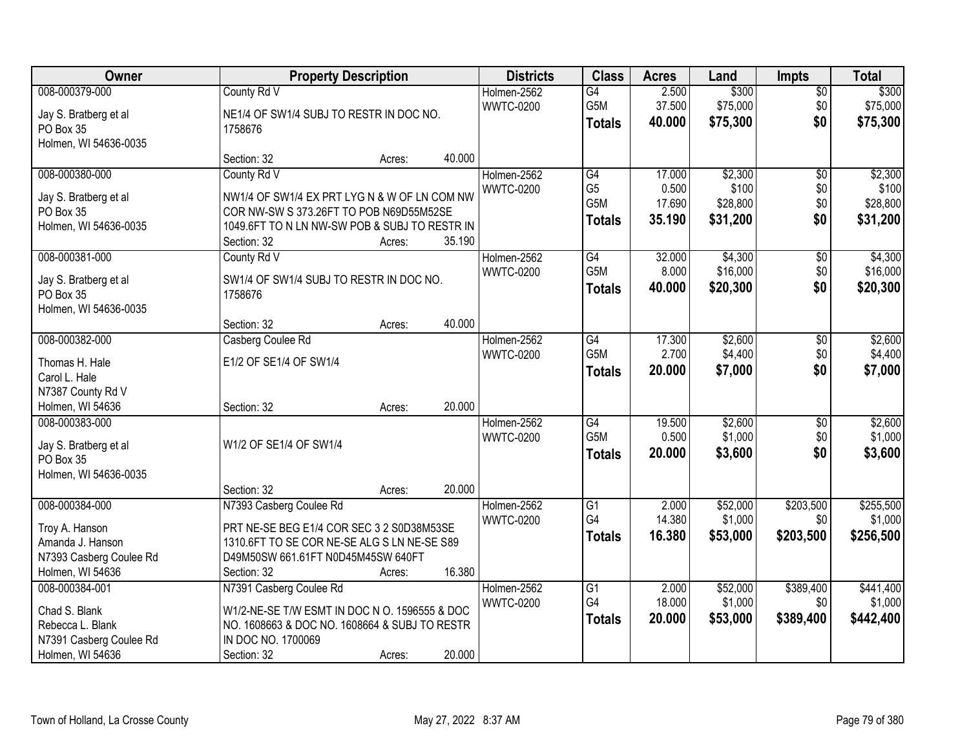| Owner                   |                                               | <b>Property Description</b> |        | <b>Districts</b> | <b>Class</b>     | <b>Acres</b> | Land     | <b>Impts</b>    | <b>Total</b> |
|-------------------------|-----------------------------------------------|-----------------------------|--------|------------------|------------------|--------------|----------|-----------------|--------------|
| 008-000379-000          | County Rd V                                   |                             |        | Holmen-2562      | $\overline{G4}$  | 2.500        | \$300    | \$0             | \$300        |
| Jay S. Bratberg et al   | NE1/4 OF SW1/4 SUBJ TO RESTR IN DOC NO.       |                             |        | <b>WWTC-0200</b> | G5M              | 37.500       | \$75,000 | \$0             | \$75,000     |
| PO Box 35               | 1758676                                       |                             |        |                  | <b>Totals</b>    | 40.000       | \$75,300 | \$0             | \$75,300     |
| Holmen, WI 54636-0035   |                                               |                             |        |                  |                  |              |          |                 |              |
|                         | Section: 32                                   | Acres:                      | 40.000 |                  |                  |              |          |                 |              |
| 008-000380-000          | County Rd V                                   |                             |        | Holmen-2562      | G4               | 17.000       | \$2,300  | $\overline{50}$ | \$2,300      |
| Jay S. Bratberg et al   | NW1/4 OF SW1/4 EX PRT LYG N & W OF LN COM NW  |                             |        | <b>WWTC-0200</b> | G <sub>5</sub>   | 0.500        | \$100    | \$0             | \$100        |
| PO Box 35               | COR NW-SW S 373.26FT TO POB N69D55M52SE       |                             |        |                  | G5M              | 17.690       | \$28,800 | \$0             | \$28,800     |
| Holmen, WI 54636-0035   | 1049.6FT TO N LN NW-SW POB & SUBJ TO RESTR IN |                             |        |                  | <b>Totals</b>    | 35.190       | \$31,200 | \$0             | \$31,200     |
|                         | Section: 32                                   | Acres:                      | 35.190 |                  |                  |              |          |                 |              |
| 008-000381-000          | County Rd V                                   |                             |        | Holmen-2562      | G4               | 32.000       | \$4,300  | \$0             | \$4,300      |
| Jay S. Bratberg et al   | SW1/4 OF SW1/4 SUBJ TO RESTR IN DOC NO.       |                             |        | <b>WWTC-0200</b> | G5M              | 8.000        | \$16,000 | \$0             | \$16,000     |
| PO Box 35               | 1758676                                       |                             |        |                  | <b>Totals</b>    | 40.000       | \$20,300 | \$0             | \$20,300     |
| Holmen, WI 54636-0035   |                                               |                             |        |                  |                  |              |          |                 |              |
|                         | Section: 32                                   | Acres:                      | 40.000 |                  |                  |              |          |                 |              |
| 008-000382-000          | Casberg Coulee Rd                             |                             |        | Holmen-2562      | G4               | 17.300       | \$2,600  | $\sqrt[6]{3}$   | \$2,600      |
| Thomas H. Hale          | E1/2 OF SE1/4 OF SW1/4                        |                             |        | <b>WWTC-0200</b> | G5M              | 2.700        | \$4,400  | \$0             | \$4,400      |
| Carol L. Hale           |                                               |                             |        |                  | <b>Totals</b>    | 20.000       | \$7,000  | \$0             | \$7,000      |
| N7387 County Rd V       |                                               |                             |        |                  |                  |              |          |                 |              |
| Holmen, WI 54636        | Section: 32                                   | Acres:                      | 20.000 |                  |                  |              |          |                 |              |
| 008-000383-000          |                                               |                             |        | Holmen-2562      | $\overline{G4}$  | 19.500       | \$2,600  | $\overline{50}$ | \$2,600      |
| Jay S. Bratberg et al   | W1/2 OF SE1/4 OF SW1/4                        |                             |        | <b>WWTC-0200</b> | G <sub>5</sub> M | 0.500        | \$1,000  | \$0             | \$1,000      |
| PO Box 35               |                                               |                             |        |                  | <b>Totals</b>    | 20.000       | \$3,600  | \$0             | \$3,600      |
| Holmen, WI 54636-0035   |                                               |                             |        |                  |                  |              |          |                 |              |
|                         | Section: 32                                   | Acres:                      | 20.000 |                  |                  |              |          |                 |              |
| 008-000384-000          | N7393 Casberg Coulee Rd                       |                             |        | Holmen-2562      | G1               | 2.000        | \$52,000 | \$203,500       | \$255,500    |
| Troy A. Hanson          | PRT NE-SE BEG E1/4 COR SEC 3 2 S0D38M53SE     |                             |        | <b>WWTC-0200</b> | G4               | 14.380       | \$1,000  | \$0             | \$1,000      |
| Amanda J. Hanson        | 1310.6FT TO SE COR NE-SE ALG S LN NE-SE S89   |                             |        |                  | <b>Totals</b>    | 16.380       | \$53,000 | \$203,500       | \$256,500    |
| N7393 Casberg Coulee Rd | D49M50SW 661.61FT N0D45M45SW 640FT            |                             |        |                  |                  |              |          |                 |              |
| Holmen, WI 54636        | Section: 32                                   | Acres:                      | 16.380 |                  |                  |              |          |                 |              |
| 008-000384-001          | N7391 Casberg Coulee Rd                       |                             |        | Holmen-2562      | $\overline{G1}$  | 2.000        | \$52,000 | \$389,400       | \$441,400    |
| Chad S. Blank           | W1/2-NE-SE T/W ESMT IN DOC N O. 1596555 & DOC |                             |        | <b>WWTC-0200</b> | G4               | 18.000       | \$1,000  | \$0             | \$1,000      |
| Rebecca L. Blank        | NO. 1608663 & DOC NO. 1608664 & SUBJ TO RESTR |                             |        |                  | <b>Totals</b>    | 20.000       | \$53,000 | \$389,400       | \$442,400    |
| N7391 Casberg Coulee Rd | IN DOC NO. 1700069                            |                             |        |                  |                  |              |          |                 |              |
| Holmen, WI 54636        | Section: 32                                   | Acres:                      | 20.000 |                  |                  |              |          |                 |              |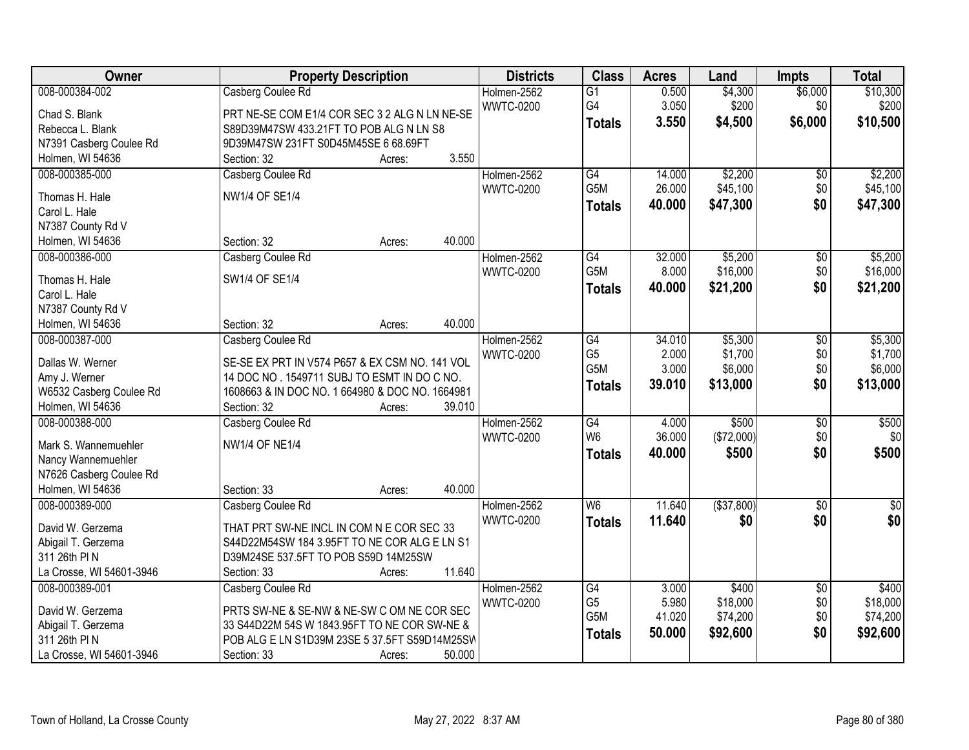| Owner                                    | <b>Property Description</b>                                                                   | <b>Districts</b> | <b>Class</b>     | <b>Acres</b> | Land         | <b>Impts</b>    | <b>Total</b>    |
|------------------------------------------|-----------------------------------------------------------------------------------------------|------------------|------------------|--------------|--------------|-----------------|-----------------|
| 008-000384-002                           | Casberg Coulee Rd                                                                             | Holmen-2562      | $\overline{G1}$  | 0.500        | \$4,300      | \$6,000         | \$10,300        |
| Chad S. Blank                            | PRT NE-SE COM E1/4 COR SEC 3 2 ALG N LN NE-SE                                                 | <b>WWTC-0200</b> | G4               | 3.050        | \$200        | \$0             | \$200           |
| Rebecca L. Blank                         | S89D39M47SW 433.21FT TO POB ALG N LN S8                                                       |                  | <b>Totals</b>    | 3.550        | \$4,500      | \$6,000         | \$10,500        |
| N7391 Casberg Coulee Rd                  | 9D39M47SW 231FT S0D45M45SE 6 68.69FT                                                          |                  |                  |              |              |                 |                 |
| Holmen, WI 54636                         | 3.550<br>Section: 32<br>Acres:                                                                |                  |                  |              |              |                 |                 |
| 008-000385-000                           | Casberg Coulee Rd                                                                             | Holmen-2562      | G4               | 14.000       | \$2,200      | \$0             | \$2,200         |
|                                          |                                                                                               | <b>WWTC-0200</b> | G5M              | 26.000       | \$45,100     | \$0             | \$45,100        |
| Thomas H. Hale                           | <b>NW1/4 OF SE1/4</b>                                                                         |                  | <b>Totals</b>    | 40.000       | \$47,300     | \$0             | \$47,300        |
| Carol L. Hale                            |                                                                                               |                  |                  |              |              |                 |                 |
| N7387 County Rd V                        |                                                                                               |                  |                  |              |              |                 |                 |
| Holmen, WI 54636                         | 40.000<br>Section: 32<br>Acres:                                                               |                  |                  |              |              |                 |                 |
| 008-000386-000                           | Casberg Coulee Rd                                                                             | Holmen-2562      | G4               | 32.000       | \$5,200      | \$0             | \$5,200         |
| Thomas H. Hale                           | SW1/4 OF SE1/4                                                                                | <b>WWTC-0200</b> | G <sub>5</sub> M | 8.000        | \$16,000     | \$0             | \$16,000        |
| Carol L. Hale                            |                                                                                               |                  | Totals           | 40.000       | \$21,200     | \$0             | \$21,200        |
| N7387 County Rd V                        |                                                                                               |                  |                  |              |              |                 |                 |
| Holmen, WI 54636                         | 40.000<br>Section: 32<br>Acres:                                                               |                  |                  |              |              |                 |                 |
| 008-000387-000                           | Casberg Coulee Rd                                                                             | Holmen-2562      | G4               | 34.010       | \$5,300      | \$0             | \$5,300         |
|                                          |                                                                                               | <b>WWTC-0200</b> | G <sub>5</sub>   | 2.000        | \$1,700      | \$0             | \$1,700         |
| Dallas W. Werner                         | SE-SE EX PRT IN V574 P657 & EX CSM NO. 141 VOL                                                |                  | G5M              | 3.000        | \$6,000      | \$0             | \$6,000         |
| Amy J. Werner<br>W6532 Casberg Coulee Rd | 14 DOC NO. 1549711 SUBJ TO ESMT IN DOC NO.<br>1608663 & IN DOC NO. 1 664980 & DOC NO. 1664981 |                  | <b>Totals</b>    | 39.010       | \$13,000     | \$0             | \$13,000        |
| Holmen, WI 54636                         | 39.010<br>Section: 32<br>Acres:                                                               |                  |                  |              |              |                 |                 |
| 008-000388-000                           | Casberg Coulee Rd                                                                             | Holmen-2562      | $\overline{G4}$  | 4.000        | \$500        | $\overline{50}$ | \$500           |
|                                          |                                                                                               | <b>WWTC-0200</b> | W <sub>6</sub>   | 36.000       | (\$72,000)   | \$0             | \$0             |
| Mark S. Wannemuehler                     | <b>NW1/4 OF NE1/4</b>                                                                         |                  |                  | 40.000       | \$500        | \$0             | \$500           |
| Nancy Wannemuehler                       |                                                                                               |                  | <b>Totals</b>    |              |              |                 |                 |
| N7626 Casberg Coulee Rd                  |                                                                                               |                  |                  |              |              |                 |                 |
| Holmen, WI 54636                         | 40.000<br>Section: 33<br>Acres:                                                               |                  |                  |              |              |                 |                 |
| 008-000389-000                           | Casberg Coulee Rd                                                                             | Holmen-2562      | W <sub>6</sub>   | 11.640       | ( \$37, 800) | $\overline{50}$ | $\overline{30}$ |
| David W. Gerzema                         | THAT PRT SW-NE INCL IN COM N E COR SEC 33                                                     | <b>WWTC-0200</b> | <b>Totals</b>    | 11.640       | \$0          | \$0             | \$0             |
| Abigail T. Gerzema                       | S44D22M54SW 184 3.95FT TO NE COR ALG E LN S1                                                  |                  |                  |              |              |                 |                 |
| 311 26th PIN                             | D39M24SE 537.5FT TO POB S59D 14M25SW                                                          |                  |                  |              |              |                 |                 |
| La Crosse, WI 54601-3946                 | 11.640<br>Section: 33<br>Acres:                                                               |                  |                  |              |              |                 |                 |
| 008-000389-001                           | Casberg Coulee Rd                                                                             | Holmen-2562      | G4               | 3.000        | \$400        | $\overline{60}$ | \$400           |
|                                          |                                                                                               | <b>WWTC-0200</b> | G <sub>5</sub>   | 5.980        | \$18,000     | \$0             | \$18,000        |
| David W. Gerzema                         | PRTS SW-NE & SE-NW & NE-SW C OM NE COR SEC                                                    |                  | G5M              | 41.020       | \$74,200     | \$0             | \$74,200        |
| Abigail T. Gerzema                       | 33 S44D22M 54S W 1843.95FT TO NE COR SW-NE &                                                  |                  | <b>Totals</b>    | 50.000       | \$92,600     | \$0             | \$92,600        |
| 311 26th PIN                             | POB ALG E LN S1D39M 23SE 5 37.5FT S59D14M25SW                                                 |                  |                  |              |              |                 |                 |
| La Crosse, WI 54601-3946                 | 50.000<br>Section: 33<br>Acres:                                                               |                  |                  |              |              |                 |                 |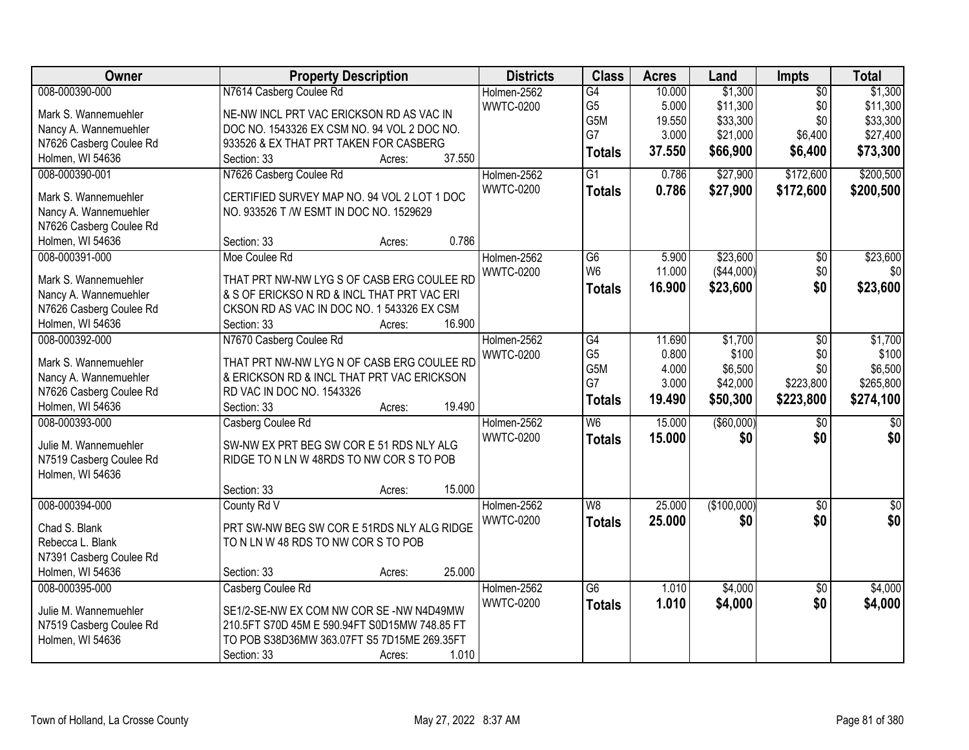| Owner                   | <b>Property Description</b>                          | <b>Districts</b> | <b>Class</b>    | <b>Acres</b>   | Land                | <b>Impts</b>     | <b>Total</b>    |
|-------------------------|------------------------------------------------------|------------------|-----------------|----------------|---------------------|------------------|-----------------|
| 008-000390-000          | N7614 Casberg Coulee Rd                              | Holmen-2562      | $\overline{G4}$ | 10.000         | \$1,300             | $\overline{50}$  | \$1,300         |
| Mark S. Wannemuehler    | NE-NW INCL PRT VAC ERICKSON RD AS VAC IN             | <b>WWTC-0200</b> | G <sub>5</sub>  | 5.000          | \$11,300            | \$0              | \$11,300        |
| Nancy A. Wannemuehler   | DOC NO. 1543326 EX CSM NO. 94 VOL 2 DOC NO.          |                  | G5M             | 19.550         | \$33,300            | \$0              | \$33,300        |
| N7626 Casberg Coulee Rd | 933526 & EX THAT PRT TAKEN FOR CASBERG               |                  | G7              | 3.000          | \$21,000            | \$6,400          | \$27,400        |
| Holmen, WI 54636        | 37.550<br>Section: 33<br>Acres:                      |                  | <b>Totals</b>   | 37.550         | \$66,900            | \$6,400          | \$73,300        |
| 008-000390-001          | N7626 Casberg Coulee Rd                              | Holmen-2562      | $\overline{G1}$ | 0.786          | \$27,900            | \$172,600        | \$200,500       |
|                         |                                                      | <b>WWTC-0200</b> |                 | 0.786          |                     |                  |                 |
| Mark S. Wannemuehler    | CERTIFIED SURVEY MAP NO. 94 VOL 2 LOT 1 DOC          |                  | <b>Totals</b>   |                | \$27,900            | \$172,600        | \$200,500       |
| Nancy A. Wannemuehler   | NO. 933526 T /W ESMT IN DOC NO. 1529629              |                  |                 |                |                     |                  |                 |
| N7626 Casberg Coulee Rd |                                                      |                  |                 |                |                     |                  |                 |
| Holmen, WI 54636        | 0.786<br>Section: 33<br>Acres:                       |                  |                 |                |                     |                  |                 |
| 008-000391-000          | Moe Coulee Rd                                        | Holmen-2562      | $\overline{G6}$ | 5.900          | \$23,600            | $\overline{50}$  | \$23,600        |
| Mark S. Wannemuehler    | THAT PRT NW-NW LYG S OF CASB ERG COULEE RD           | <b>WWTC-0200</b> | W <sub>6</sub>  | 11.000         | (\$44,000)          | \$0              | \$0             |
|                         | & S OF ERICKSO N RD & INCL THAT PRT VAC ERI          |                  | Totals          | 16.900         | \$23,600            | \$0              | \$23,600        |
| Nancy A. Wannemuehler   |                                                      |                  |                 |                |                     |                  |                 |
| N7626 Casberg Coulee Rd | CKSON RD AS VAC IN DOC NO. 1 543326 EX CSM<br>16.900 |                  |                 |                |                     |                  |                 |
| Holmen, WI 54636        | Section: 33<br>Acres:                                |                  |                 |                |                     |                  |                 |
| 008-000392-000          | N7670 Casberg Coulee Rd                              | Holmen-2562      | $\overline{G4}$ | 11.690         | \$1,700             | \$0              | \$1,700         |
| Mark S. Wannemuehler    | THAT PRT NW-NW LYG N OF CASB ERG COULEE RD           | <b>WWTC-0200</b> | G <sub>5</sub>  | 0.800          | \$100               | \$0              | \$100           |
| Nancy A. Wannemuehler   | & ERICKSON RD & INCL THAT PRT VAC ERICKSON           |                  | G5M<br>G7       | 4.000<br>3.000 | \$6,500<br>\$42,000 | \$0<br>\$223,800 | \$6,500         |
| N7626 Casberg Coulee Rd | RD VAC IN DOC NO. 1543326                            |                  |                 |                |                     |                  | \$265,800       |
| Holmen, WI 54636        | 19.490<br>Section: 33<br>Acres:                      |                  | <b>Totals</b>   | 19.490         | \$50,300            | \$223,800        | \$274,100       |
| 008-000393-000          | Casberg Coulee Rd                                    | Holmen-2562      | $\overline{W6}$ | 15.000         | ( \$60,000)         | $\overline{50}$  | $\overline{50}$ |
|                         |                                                      | <b>WWTC-0200</b> | <b>Totals</b>   | 15.000         | \$0                 | \$0              | \$0             |
| Julie M. Wannemuehler   | SW-NW EX PRT BEG SW COR E 51 RDS NLY ALG             |                  |                 |                |                     |                  |                 |
| N7519 Casberg Coulee Rd | RIDGE TO N LN W 48RDS TO NW COR S TO POB             |                  |                 |                |                     |                  |                 |
| Holmen, WI 54636        |                                                      |                  |                 |                |                     |                  |                 |
|                         | 15.000<br>Section: 33<br>Acres:                      |                  |                 |                |                     |                  |                 |
| 008-000394-000          | County Rd V                                          | Holmen-2562      | W8              | 25.000         | (\$100,000)         | $\overline{30}$  | $\overline{30}$ |
| Chad S. Blank           | PRT SW-NW BEG SW COR E 51RDS NLY ALG RIDGE           | <b>WWTC-0200</b> | <b>Totals</b>   | 25.000         | \$0                 | \$0              | \$0             |
| Rebecca L. Blank        | TO N LN W 48 RDS TO NW COR S TO POB                  |                  |                 |                |                     |                  |                 |
| N7391 Casberg Coulee Rd |                                                      |                  |                 |                |                     |                  |                 |
| Holmen, WI 54636        | 25.000<br>Section: 33<br>Acres:                      |                  |                 |                |                     |                  |                 |
| 008-000395-000          | Casberg Coulee Rd                                    | Holmen-2562      | $\overline{G6}$ | 1.010          | \$4,000             | \$0              | \$4,000         |
|                         |                                                      | <b>WWTC-0200</b> | <b>Totals</b>   | 1.010          | \$4,000             | \$0              | \$4,000         |
| Julie M. Wannemuehler   | SE1/2-SE-NW EX COM NW COR SE-NW N4D49MW              |                  |                 |                |                     |                  |                 |
| N7519 Casberg Coulee Rd | 210.5FT S70D 45M E 590.94FT S0D15MW 748.85 FT        |                  |                 |                |                     |                  |                 |
| Holmen, WI 54636        | TO POB S38D36MW 363.07FT S5 7D15ME 269.35FT          |                  |                 |                |                     |                  |                 |
|                         | 1.010<br>Section: 33<br>Acres:                       |                  |                 |                |                     |                  |                 |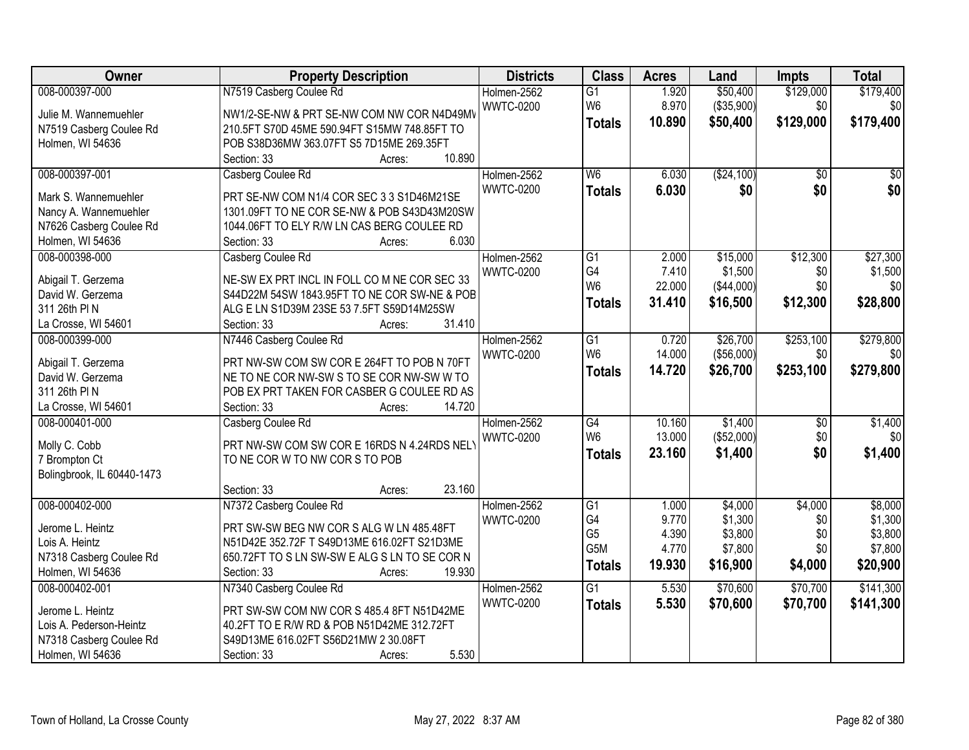| Owner                      | <b>Property Description</b>                   | <b>Districts</b> | <b>Class</b>     | <b>Acres</b> | Land       | <b>Impts</b>    | <b>Total</b>    |
|----------------------------|-----------------------------------------------|------------------|------------------|--------------|------------|-----------------|-----------------|
| 008-000397-000             | N7519 Casberg Coulee Rd                       | Holmen-2562      | $\overline{G1}$  | 1.920        | \$50,400   | \$129,000       | \$179,400       |
| Julie M. Wannemuehler      | NW1/2-SE-NW & PRT SE-NW COM NW COR N4D49MV    | <b>WWTC-0200</b> | W <sub>6</sub>   | 8.970        | (\$35,900) | \$0             | \$0             |
| N7519 Casberg Coulee Rd    | 210.5FT S70D 45ME 590.94FT S15MW 748.85FT TO  |                  | <b>Totals</b>    | 10.890       | \$50,400   | \$129,000       | \$179,400       |
| Holmen, WI 54636           | POB S38D36MW 363.07FT S5 7D15ME 269.35FT      |                  |                  |              |            |                 |                 |
|                            | 10.890<br>Section: 33<br>Acres:               |                  |                  |              |            |                 |                 |
| 008-000397-001             | Casberg Coulee Rd                             | Holmen-2562      | W6               | 6.030        | (\$24,100) | $\overline{50}$ | $\overline{50}$ |
|                            |                                               | <b>WWTC-0200</b> | <b>Totals</b>    | 6.030        | \$0        | \$0             | \$0             |
| Mark S. Wannemuehler       | PRT SE-NW COM N1/4 COR SEC 3 3 S1D46M21SE     |                  |                  |              |            |                 |                 |
| Nancy A. Wannemuehler      | 1301.09FT TO NE COR SE-NW & POB S43D43M20SW   |                  |                  |              |            |                 |                 |
| N7626 Casberg Coulee Rd    | 1044.06FT TO ELY R/W LN CAS BERG COULEE RD    |                  |                  |              |            |                 |                 |
| Holmen, WI 54636           | 6.030<br>Section: 33<br>Acres:                |                  |                  |              |            |                 |                 |
| 008-000398-000             | Casberg Coulee Rd                             | Holmen-2562      | $\overline{G1}$  | 2.000        | \$15,000   | \$12,300        | \$27,300        |
| Abigail T. Gerzema         | NE-SW EX PRT INCL IN FOLL CO M NE COR SEC 33  | <b>WWTC-0200</b> | G4               | 7.410        | \$1,500    | \$0             | \$1,500         |
| David W. Gerzema           | S44D22M 54SW 1843.95FT TO NE COR SW-NE & POB  |                  | W <sub>6</sub>   | 22.000       | (\$44,000) | \$0             | \$0             |
| 311 26th PIN               | ALG E LN S1D39M 23SE 53 7.5FT S59D14M25SW     |                  | <b>Totals</b>    | 31.410       | \$16,500   | \$12,300        | \$28,800        |
| La Crosse, WI 54601        | 31.410<br>Section: 33<br>Acres:               |                  |                  |              |            |                 |                 |
| 008-000399-000             | N7446 Casberg Coulee Rd                       | Holmen-2562      | G1               | 0.720        | \$26,700   | \$253,100       | \$279,800       |
|                            |                                               | <b>WWTC-0200</b> | W <sub>6</sub>   | 14.000       | (\$56,000) | \$0             | \$0             |
| Abigail T. Gerzema         | PRT NW-SW COM SW COR E 264FT TO POB N 70FT    |                  |                  | 14.720       | \$26,700   | \$253,100       | \$279,800       |
| David W. Gerzema           | NE TO NE COR NW-SW S TO SE COR NW-SW W TO     |                  | <b>Totals</b>    |              |            |                 |                 |
| 311 26th PIN               | POB EX PRT TAKEN FOR CASBER G COULEE RD AS    |                  |                  |              |            |                 |                 |
| La Crosse, WI 54601        | 14.720<br>Section: 33<br>Acres:               |                  |                  |              |            |                 |                 |
| 008-000401-000             | Casberg Coulee Rd                             | Holmen-2562      | $\overline{G4}$  | 10.160       | \$1,400    | \$0             | \$1,400         |
| Molly C. Cobb              | PRT NW-SW COM SW COR E 16RDS N 4.24RDS NEL'   | <b>WWTC-0200</b> | W <sub>6</sub>   | 13.000       | (\$52,000) | \$0             | \$0             |
| 7 Brompton Ct              | TO NE COR W TO NW COR S TO POB                |                  | <b>Totals</b>    | 23.160       | \$1,400    | \$0             | \$1,400         |
| Bolingbrook, IL 60440-1473 |                                               |                  |                  |              |            |                 |                 |
|                            | 23.160<br>Section: 33                         |                  |                  |              |            |                 |                 |
| 008-000402-000             | Acres:<br>N7372 Casberg Coulee Rd             | Holmen-2562      | $\overline{G1}$  | 1.000        | \$4,000    | \$4,000         | \$8,000         |
|                            |                                               | <b>WWTC-0200</b> | G4               | 9.770        | \$1,300    | \$0             | \$1,300         |
| Jerome L. Heintz           | PRT SW-SW BEG NW COR S ALG W LN 485.48FT      |                  | G <sub>5</sub>   | 4.390        | \$3,800    | \$0             | \$3,800         |
| Lois A. Heintz             | N51D42E 352.72F T S49D13ME 616.02FT S21D3ME   |                  | G <sub>5</sub> M | 4.770        | \$7,800    | \$0             | \$7,800         |
| N7318 Casberg Coulee Rd    | 650.72FT TO S LN SW-SW E ALG S LN TO SE COR N |                  |                  | 19.930       |            |                 |                 |
| Holmen, WI 54636           | 19.930<br>Section: 33<br>Acres:               |                  | <b>Totals</b>    |              | \$16,900   | \$4,000         | \$20,900        |
| 008-000402-001             | N7340 Casberg Coulee Rd                       | Holmen-2562      | $\overline{G1}$  | 5.530        | \$70,600   | \$70,700        | \$141,300       |
|                            |                                               | <b>WWTC-0200</b> | <b>Totals</b>    | 5.530        | \$70,600   | \$70,700        | \$141,300       |
| Jerome L. Heintz           | PRT SW-SW COM NW COR S 485.4 8FT N51D42ME     |                  |                  |              |            |                 |                 |
| Lois A. Pederson-Heintz    | 40.2FT TO E R/W RD & POB N51D42ME 312.72FT    |                  |                  |              |            |                 |                 |
| N7318 Casberg Coulee Rd    | S49D13ME 616.02FT S56D21MW 2 30.08FT          |                  |                  |              |            |                 |                 |
| Holmen, WI 54636           | 5.530<br>Section: 33<br>Acres:                |                  |                  |              |            |                 |                 |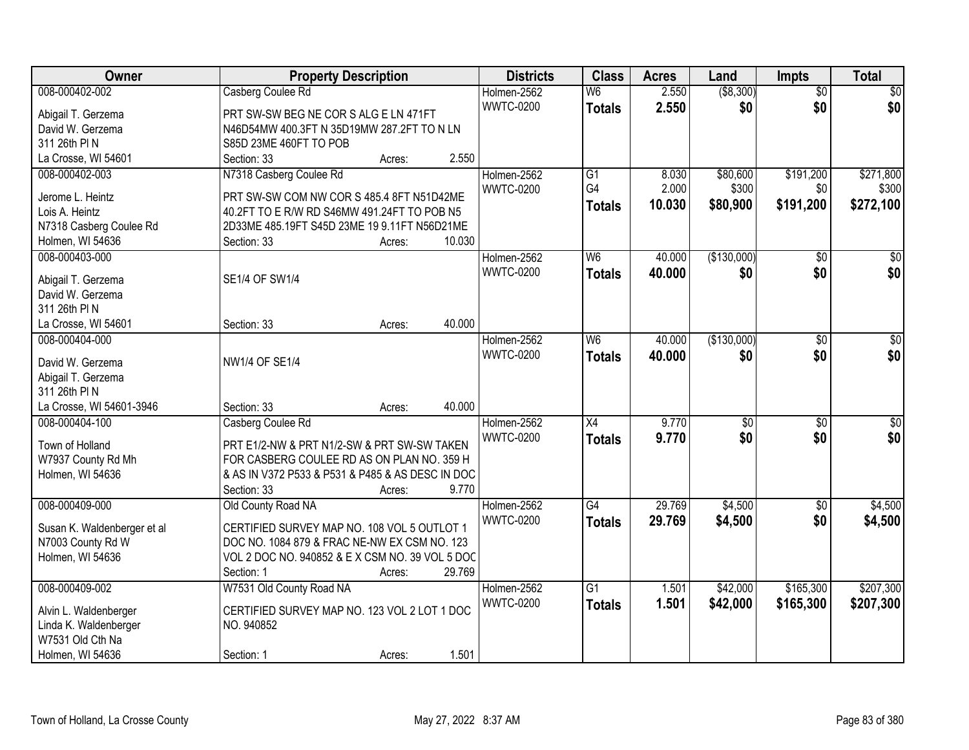| <b>Owner</b>                                     | <b>Property Description</b>                      | <b>Districts</b> | <b>Class</b>    | <b>Acres</b> | Land            | Impts           | <b>Total</b> |
|--------------------------------------------------|--------------------------------------------------|------------------|-----------------|--------------|-----------------|-----------------|--------------|
| 008-000402-002                                   | Casberg Coulee Rd                                | Holmen-2562      | W <sub>6</sub>  | 2.550        | ( \$8,300)      | $\overline{50}$ | \$0          |
| Abigail T. Gerzema                               | PRT SW-SW BEG NE COR S ALG E LN 471FT            | <b>WWTC-0200</b> | <b>Totals</b>   | 2.550        | \$0             | \$0             | \$0          |
| David W. Gerzema                                 | N46D54MW 400.3FT N 35D19MW 287.2FT TO N LN       |                  |                 |              |                 |                 |              |
| 311 26th PIN                                     | S85D 23ME 460FT TO POB                           |                  |                 |              |                 |                 |              |
| La Crosse, WI 54601                              | 2.550<br>Section: 33<br>Acres:                   |                  |                 |              |                 |                 |              |
| 008-000402-003                                   | N7318 Casberg Coulee Rd                          | Holmen-2562      | G1              | 8.030        | \$80,600        | \$191,200       | \$271,800    |
|                                                  |                                                  | <b>WWTC-0200</b> | G4              | 2.000        | \$300           | \$0             | \$300        |
| Jerome L. Heintz                                 | PRT SW-SW COM NW COR S 485.4 8FT N51D42ME        |                  | <b>Totals</b>   | 10.030       | \$80,900        | \$191,200       | \$272,100    |
| Lois A. Heintz                                   | 40.2FT TO E R/W RD S46MW 491.24FT TO POB N5      |                  |                 |              |                 |                 |              |
| N7318 Casberg Coulee Rd                          | 2D33ME 485.19FT S45D 23ME 19 9.11FT N56D21ME     |                  |                 |              |                 |                 |              |
| Holmen, WI 54636                                 | 10.030<br>Section: 33<br>Acres:                  |                  |                 |              |                 |                 |              |
| 008-000403-000                                   |                                                  | Holmen-2562      | W <sub>6</sub>  | 40.000       | (\$130,000)     | \$0             | $\sqrt{50}$  |
| Abigail T. Gerzema                               | SE1/4 OF SW1/4                                   | <b>WWTC-0200</b> | <b>Totals</b>   | 40,000       | \$0             | \$0             | \$0          |
| David W. Gerzema                                 |                                                  |                  |                 |              |                 |                 |              |
| 311 26th PIN                                     |                                                  |                  |                 |              |                 |                 |              |
| La Crosse, WI 54601                              | 40.000<br>Section: 33<br>Acres:                  |                  |                 |              |                 |                 |              |
| 008-000404-000                                   |                                                  | Holmen-2562      | W <sub>6</sub>  | 40.000       | (\$130,000)     | $\sqrt[6]{3}$   | $\sqrt{50}$  |
|                                                  |                                                  | <b>WWTC-0200</b> | <b>Totals</b>   | 40.000       | \$0             | \$0             | \$0          |
| David W. Gerzema                                 | <b>NW1/4 OF SE1/4</b>                            |                  |                 |              |                 |                 |              |
| Abigail T. Gerzema                               |                                                  |                  |                 |              |                 |                 |              |
| 311 26th PIN                                     |                                                  |                  |                 |              |                 |                 |              |
| La Crosse, WI 54601-3946                         | 40.000<br>Section: 33<br>Acres:                  |                  |                 |              |                 |                 |              |
| 008-000404-100                                   | Casberg Coulee Rd                                | Holmen-2562      | $\overline{X4}$ | 9.770        | $\overline{50}$ | \$0             | $\sqrt{50}$  |
| Town of Holland                                  | PRT E1/2-NW & PRT N1/2-SW & PRT SW-SW TAKEN      | <b>WWTC-0200</b> | <b>Totals</b>   | 9.770        | \$0             | \$0             | \$0          |
| W7937 County Rd Mh                               | FOR CASBERG COULEE RD AS ON PLAN NO. 359 H       |                  |                 |              |                 |                 |              |
| Holmen, WI 54636                                 | & AS IN V372 P533 & P531 & P485 & AS DESC IN DOC |                  |                 |              |                 |                 |              |
|                                                  | 9.770<br>Section: 33<br>Acres:                   |                  |                 |              |                 |                 |              |
| 008-000409-000                                   | Old County Road NA                               | Holmen-2562      | $\overline{G4}$ | 29.769       | \$4,500         | $\overline{30}$ | \$4,500      |
|                                                  | CERTIFIED SURVEY MAP NO. 108 VOL 5 OUTLOT 1      | <b>WWTC-0200</b> | <b>Totals</b>   | 29.769       | \$4,500         | \$0             | \$4,500      |
| Susan K. Waldenberger et al<br>N7003 County Rd W | DOC NO. 1084 879 & FRAC NE-NW EX CSM NO. 123     |                  |                 |              |                 |                 |              |
| Holmen, WI 54636                                 | VOL 2 DOC NO. 940852 & EX CSM NO. 39 VOL 5 DOC   |                  |                 |              |                 |                 |              |
|                                                  | 29.769<br>Section: 1<br>Acres:                   |                  |                 |              |                 |                 |              |
| 008-000409-002                                   | W7531 Old County Road NA                         | Holmen-2562      | $\overline{G1}$ | 1.501        | \$42,000        | \$165,300       | \$207,300    |
|                                                  |                                                  | <b>WWTC-0200</b> |                 | 1.501        |                 |                 |              |
| Alvin L. Waldenberger                            | CERTIFIED SURVEY MAP NO. 123 VOL 2 LOT 1 DOC     |                  | <b>Totals</b>   |              | \$42,000        | \$165,300       | \$207,300    |
| Linda K. Waldenberger                            | NO. 940852                                       |                  |                 |              |                 |                 |              |
| W7531 Old Cth Na                                 |                                                  |                  |                 |              |                 |                 |              |
| Holmen, WI 54636                                 | 1.501<br>Section: 1<br>Acres:                    |                  |                 |              |                 |                 |              |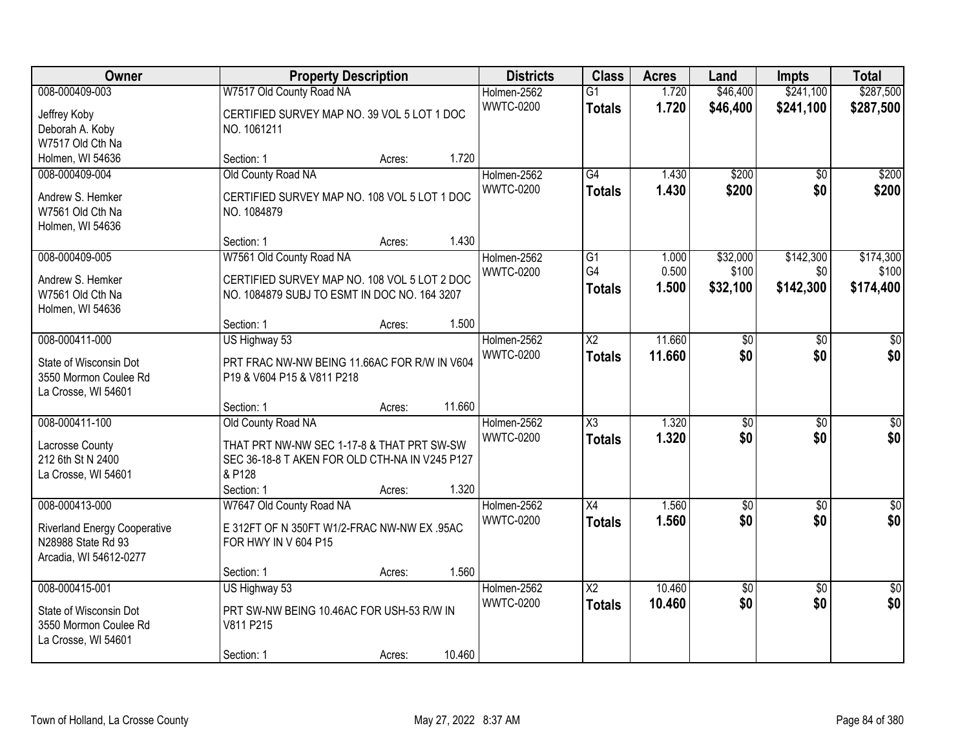| Owner                                           |                                                                            | <b>Property Description</b> |        | <b>Districts</b>                | <b>Class</b>                     | <b>Acres</b>   | Land                 | <b>Impts</b>           | <b>Total</b>           |
|-------------------------------------------------|----------------------------------------------------------------------------|-----------------------------|--------|---------------------------------|----------------------------------|----------------|----------------------|------------------------|------------------------|
| 008-000409-003<br>Jeffrey Koby                  | W7517 Old County Road NA<br>CERTIFIED SURVEY MAP NO. 39 VOL 5 LOT 1 DOC    |                             |        | Holmen-2562<br><b>WWTC-0200</b> | $\overline{G1}$<br><b>Totals</b> | 1.720<br>1.720 | \$46,400<br>\$46,400 | \$241,100<br>\$241,100 | \$287,500<br>\$287,500 |
| Deborah A. Koby                                 | NO. 1061211                                                                |                             |        |                                 |                                  |                |                      |                        |                        |
| W7517 Old Cth Na                                |                                                                            |                             |        |                                 |                                  |                |                      |                        |                        |
| Holmen, WI 54636                                | Section: 1                                                                 | Acres:                      | 1.720  |                                 |                                  |                |                      |                        |                        |
| 008-000409-004                                  | Old County Road NA                                                         |                             |        | Holmen-2562                     | G4                               | 1.430          | \$200                | $\overline{50}$        | \$200                  |
| Andrew S. Hemker                                | CERTIFIED SURVEY MAP NO. 108 VOL 5 LOT 1 DOC                               |                             |        | <b>WWTC-0200</b>                | <b>Totals</b>                    | 1.430          | \$200                | \$0                    | \$200                  |
| W7561 Old Cth Na                                | NO. 1084879                                                                |                             |        |                                 |                                  |                |                      |                        |                        |
| Holmen, WI 54636                                |                                                                            |                             |        |                                 |                                  |                |                      |                        |                        |
| 008-000409-005                                  | Section: 1                                                                 | Acres:                      | 1.430  | Holmen-2562                     | G1                               | 1.000          | \$32,000             | \$142,300              | \$174,300              |
|                                                 | W7561 Old County Road NA                                                   |                             |        | <b>WWTC-0200</b>                | G4                               | 0.500          | \$100                | \$0                    | \$100                  |
| Andrew S. Hemker                                | CERTIFIED SURVEY MAP NO. 108 VOL 5 LOT 2 DOC                               |                             |        |                                 | <b>Totals</b>                    | 1.500          | \$32,100             | \$142,300              | \$174,400              |
| W7561 Old Cth Na                                | NO. 1084879 SUBJ TO ESMT IN DOC NO. 164 3207                               |                             |        |                                 |                                  |                |                      |                        |                        |
| Holmen, WI 54636                                | Section: 1                                                                 | Acres:                      | 1.500  |                                 |                                  |                |                      |                        |                        |
| 008-000411-000                                  | US Highway 53                                                              |                             |        | Holmen-2562                     | $\overline{\text{X2}}$           | 11.660         | \$0                  | $\sqrt{6}$             | \$0                    |
|                                                 |                                                                            |                             |        | <b>WWTC-0200</b>                | <b>Totals</b>                    | 11.660         | \$0                  | \$0                    | \$0                    |
| State of Wisconsin Dot<br>3550 Mormon Coulee Rd | PRT FRAC NW-NW BEING 11.66AC FOR R/W IN V604<br>P19 & V604 P15 & V811 P218 |                             |        |                                 |                                  |                |                      |                        |                        |
| La Crosse, WI 54601                             |                                                                            |                             |        |                                 |                                  |                |                      |                        |                        |
|                                                 | Section: 1                                                                 | Acres:                      | 11.660 |                                 |                                  |                |                      |                        |                        |
| 008-000411-100                                  | Old County Road NA                                                         |                             |        | Holmen-2562                     | $\overline{\chi_3}$              | 1.320          | $\overline{30}$      | $\overline{30}$        | $\overline{30}$        |
| Lacrosse County                                 | THAT PRT NW-NW SEC 1-17-8 & THAT PRT SW-SW                                 |                             |        | <b>WWTC-0200</b>                | <b>Totals</b>                    | 1.320          | \$0                  | \$0                    | \$0                    |
| 212 6th St N 2400                               | SEC 36-18-8 T AKEN FOR OLD CTH-NA IN V245 P127                             |                             |        |                                 |                                  |                |                      |                        |                        |
| La Crosse, WI 54601                             | & P128                                                                     |                             |        |                                 |                                  |                |                      |                        |                        |
|                                                 | Section: 1                                                                 | Acres:                      | 1.320  |                                 |                                  |                |                      |                        |                        |
| 008-000413-000                                  | W7647 Old County Road NA                                                   |                             |        | Holmen-2562                     | $\overline{X4}$                  | 1.560          | $\overline{50}$      | $\overline{30}$        | $\overline{\$0}$       |
| <b>Riverland Energy Cooperative</b>             | E 312FT OF N 350FT W1/2-FRAC NW-NW EX .95AC                                |                             |        | <b>WWTC-0200</b>                | <b>Totals</b>                    | 1.560          | \$0                  | \$0                    | \$0                    |
| N28988 State Rd 93                              | FOR HWY IN V 604 P15                                                       |                             |        |                                 |                                  |                |                      |                        |                        |
| Arcadia, WI 54612-0277                          |                                                                            |                             |        |                                 |                                  |                |                      |                        |                        |
|                                                 | Section: 1                                                                 | Acres:                      | 1.560  |                                 |                                  |                |                      |                        |                        |
| 008-000415-001                                  | US Highway 53                                                              |                             |        | Holmen-2562                     | $\overline{\text{X2}}$           | 10.460         | $\overline{50}$      | $\overline{50}$        | $\overline{50}$        |
| State of Wisconsin Dot                          | PRT SW-NW BEING 10.46AC FOR USH-53 R/W IN                                  |                             |        | <b>WWTC-0200</b>                | <b>Totals</b>                    | 10.460         | \$0                  | \$0                    | \$0                    |
| 3550 Mormon Coulee Rd                           | V811 P215                                                                  |                             |        |                                 |                                  |                |                      |                        |                        |
| La Crosse, WI 54601                             |                                                                            |                             |        |                                 |                                  |                |                      |                        |                        |
|                                                 | Section: 1                                                                 | Acres:                      | 10.460 |                                 |                                  |                |                      |                        |                        |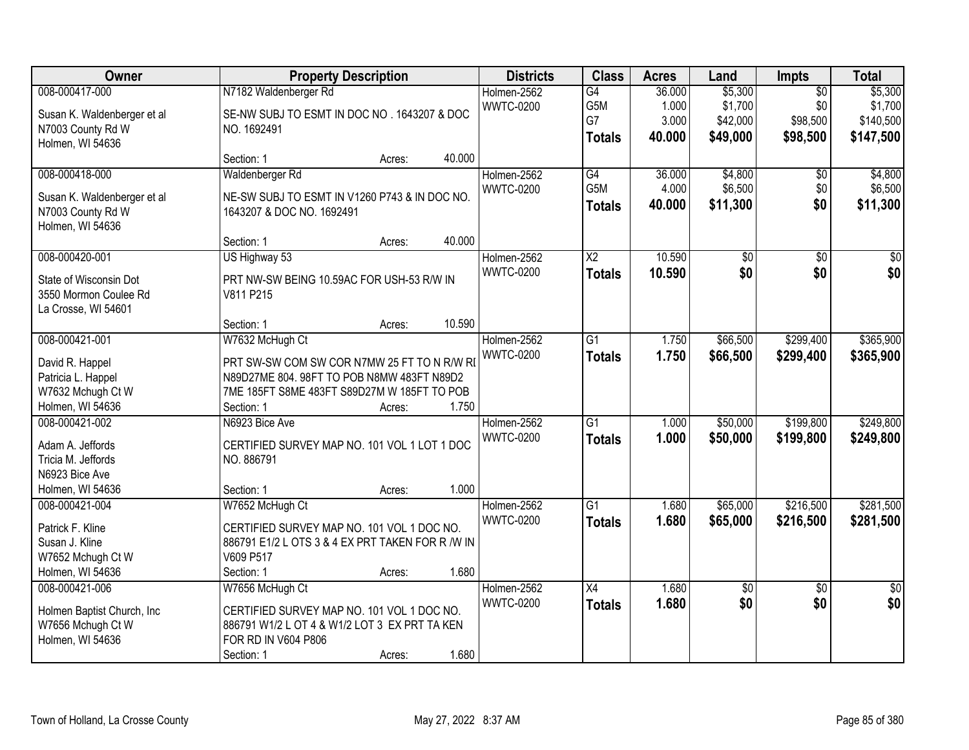| Owner                                                                                            |                                                                                                                                                                          | <b>Property Description</b> |        | <b>Districts</b>                | <b>Class</b>                            | <b>Acres</b>                       | Land                                       | Impts                                          | <b>Total</b>                                 |
|--------------------------------------------------------------------------------------------------|--------------------------------------------------------------------------------------------------------------------------------------------------------------------------|-----------------------------|--------|---------------------------------|-----------------------------------------|------------------------------------|--------------------------------------------|------------------------------------------------|----------------------------------------------|
| 008-000417-000<br>Susan K. Waldenberger et al<br>N7003 County Rd W<br>Holmen, WI 54636           | N7182 Waldenberger Rd<br>SE-NW SUBJ TO ESMT IN DOC NO . 1643207 & DOC<br>NO. 1692491                                                                                     |                             |        | Holmen-2562<br><b>WWTC-0200</b> | G4<br>G5M<br>G7<br><b>Totals</b>        | 36.000<br>1.000<br>3.000<br>40.000 | \$5,300<br>\$1,700<br>\$42,000<br>\$49,000 | $\overline{50}$<br>\$0<br>\$98,500<br>\$98,500 | \$5,300<br>\$1,700<br>\$140,500<br>\$147,500 |
|                                                                                                  | Section: 1                                                                                                                                                               | Acres:                      | 40.000 |                                 |                                         |                                    |                                            |                                                |                                              |
| 008-000418-000<br>Susan K. Waldenberger et al<br>N7003 County Rd W<br>Holmen, WI 54636           | Waldenberger Rd<br>NE-SW SUBJ TO ESMT IN V1260 P743 & IN DOC NO.<br>1643207 & DOC NO. 1692491<br>Section: 1                                                              | Acres:                      | 40.000 | Holmen-2562<br><b>WWTC-0200</b> | G4<br>G <sub>5</sub> M<br><b>Totals</b> | 36.000<br>4.000<br>40.000          | \$4,800<br>\$6,500<br>\$11,300             | \$0<br>\$0<br>\$0                              | \$4,800<br>\$6,500<br>\$11,300               |
| 008-000420-001                                                                                   | US Highway 53                                                                                                                                                            |                             |        | Holmen-2562                     | $\overline{\text{X2}}$                  | 10.590                             | $\overline{50}$                            | $\overline{50}$                                | $\overline{50}$                              |
| State of Wisconsin Dot<br>3550 Mormon Coulee Rd<br>La Crosse, WI 54601                           | PRT NW-SW BEING 10.59AC FOR USH-53 R/W IN<br>V811 P215                                                                                                                   |                             |        | <b>WWTC-0200</b>                | <b>Totals</b>                           | 10.590                             | \$0                                        | \$0                                            | \$0                                          |
|                                                                                                  | Section: 1                                                                                                                                                               | Acres:                      | 10.590 |                                 |                                         |                                    |                                            |                                                |                                              |
| 008-000421-001<br>David R. Happel<br>Patricia L. Happel<br>W7632 Mchugh Ct W<br>Holmen, WI 54636 | W7632 McHugh Ct<br>PRT SW-SW COM SW COR N7MW 25 FT TO N R/W RI<br>N89D27ME 804.98FT TO POB N8MW 483FT N89D2<br>7ME 185FT S8ME 483FT S89D27M W 185FT TO POB<br>Section: 1 | Acres:                      | 1.750  | Holmen-2562<br><b>WWTC-0200</b> | $\overline{G1}$<br><b>Totals</b>        | 1.750<br>1.750                     | \$66,500<br>\$66,500                       | \$299,400<br>\$299,400                         | \$365,900<br>\$365,900                       |
| 008-000421-002<br>Adam A. Jeffords<br>Tricia M. Jeffords<br>N6923 Bice Ave<br>Holmen, WI 54636   | N6923 Bice Ave<br>CERTIFIED SURVEY MAP NO. 101 VOL 1 LOT 1 DOC<br>NO. 886791<br>Section: 1                                                                               | Acres:                      | 1.000  | Holmen-2562<br><b>WWTC-0200</b> | $\overline{G1}$<br><b>Totals</b>        | 1.000<br>1.000                     | \$50,000<br>\$50,000                       | \$199,800<br>\$199,800                         | \$249,800<br>\$249,800                       |
| 008-000421-004<br>Patrick F. Kline<br>Susan J. Kline<br>W7652 Mchugh Ct W<br>Holmen, WI 54636    | W7652 McHugh Ct<br>CERTIFIED SURVEY MAP NO. 101 VOL 1 DOC NO.<br>886791 E1/2 L OTS 3 & 4 EX PRT TAKEN FOR R /W IN<br>V609 P517<br>Section: 1                             | Acres:                      | 1.680  | Holmen-2562<br><b>WWTC-0200</b> | G1<br><b>Totals</b>                     | 1.680<br>1.680                     | \$65,000<br>\$65,000                       | \$216,500<br>\$216,500                         | \$281,500<br>\$281,500                       |
| 008-000421-006<br>Holmen Baptist Church, Inc<br>W7656 Mchugh Ct W<br>Holmen, WI 54636            | W7656 McHugh Ct<br>CERTIFIED SURVEY MAP NO. 101 VOL 1 DOC NO.<br>886791 W1/2 L OT 4 & W1/2 LOT 3 EX PRT TA KEN<br>FOR RD IN V604 P806<br>Section: 1                      | Acres:                      | 1.680  | Holmen-2562<br><b>WWTC-0200</b> | $\overline{X4}$<br><b>Totals</b>        | 1.680<br>1.680                     | \$0<br>\$0                                 | $\overline{50}$<br>\$0                         | $\overline{50}$<br>\$0                       |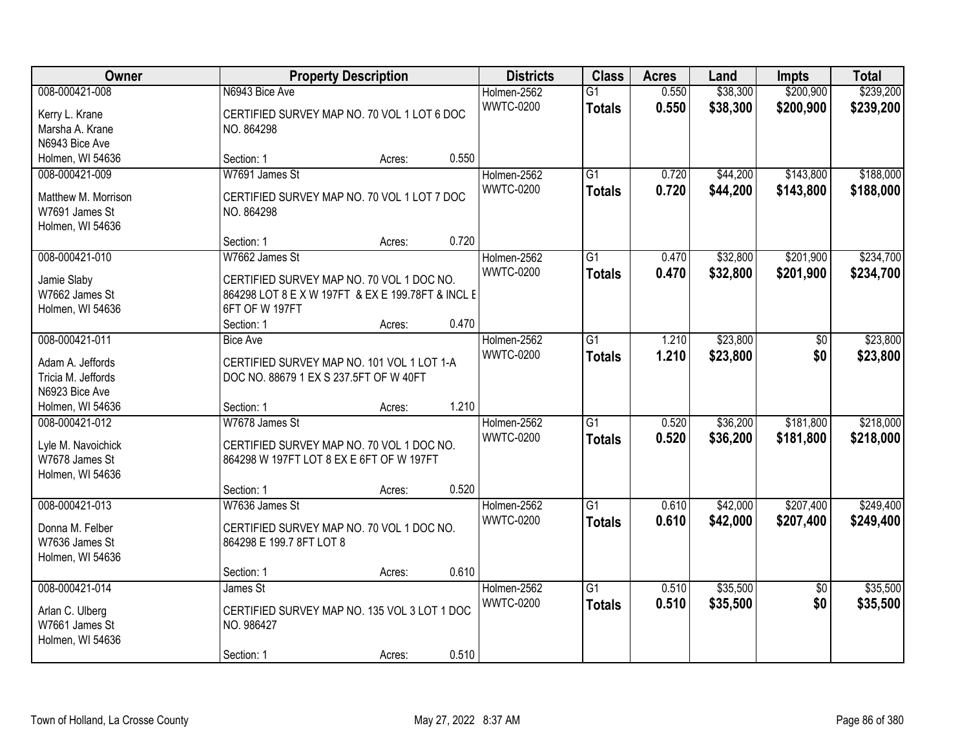| Owner                                                                       | <b>Property Description</b>                                                                                                                                         | <b>Districts</b>                | <b>Class</b>                     | <b>Acres</b>   | Land                 | <b>Impts</b>           | <b>Total</b>           |
|-----------------------------------------------------------------------------|---------------------------------------------------------------------------------------------------------------------------------------------------------------------|---------------------------------|----------------------------------|----------------|----------------------|------------------------|------------------------|
| 008-000421-008<br>Kerry L. Krane<br>Marsha A. Krane<br>N6943 Bice Ave       | N6943 Bice Ave<br>CERTIFIED SURVEY MAP NO. 70 VOL 1 LOT 6 DOC<br>NO. 864298                                                                                         | Holmen-2562<br><b>WWTC-0200</b> | $\overline{G1}$<br><b>Totals</b> | 0.550<br>0.550 | \$38,300<br>\$38,300 | \$200,900<br>\$200,900 | \$239,200<br>\$239,200 |
| Holmen, WI 54636                                                            | 0.550<br>Section: 1<br>Acres:                                                                                                                                       |                                 |                                  |                |                      |                        |                        |
| 008-000421-009<br>Matthew M. Morrison<br>W7691 James St<br>Holmen, WI 54636 | W7691 James St<br>CERTIFIED SURVEY MAP NO. 70 VOL 1 LOT 7 DOC<br>NO. 864298                                                                                         | Holmen-2562<br><b>WWTC-0200</b> | $\overline{G1}$<br><b>Totals</b> | 0.720<br>0.720 | \$44,200<br>\$44,200 | \$143,800<br>\$143,800 | \$188,000<br>\$188,000 |
|                                                                             | 0.720<br>Section: 1<br>Acres:                                                                                                                                       |                                 |                                  |                |                      |                        |                        |
| 008-000421-010<br>Jamie Slaby<br>W7662 James St<br>Holmen, WI 54636         | W7662 James St<br>CERTIFIED SURVEY MAP NO. 70 VOL 1 DOC NO.<br>864298 LOT 8 E X W 197FT & EX E 199.78FT & INCL E<br>6FT OF W 197FT<br>0.470<br>Section: 1<br>Acres: | Holmen-2562<br><b>WWTC-0200</b> | G1<br><b>Totals</b>              | 0.470<br>0.470 | \$32,800<br>\$32,800 | \$201,900<br>\$201,900 | \$234,700<br>\$234,700 |
| 008-000421-011                                                              | <b>Bice Ave</b>                                                                                                                                                     | Holmen-2562                     | G1                               | 1.210          | \$23,800             | \$0                    | \$23,800               |
| Adam A. Jeffords<br>Tricia M. Jeffords<br>N6923 Bice Ave                    | CERTIFIED SURVEY MAP NO. 101 VOL 1 LOT 1-A<br>DOC NO. 88679 1 EX S 237.5FT OF W 40FT                                                                                | <b>WWTC-0200</b>                | <b>Totals</b>                    | 1.210          | \$23,800             | \$0                    | \$23,800               |
| Holmen, WI 54636                                                            | 1.210<br>Section: 1<br>Acres:                                                                                                                                       |                                 |                                  |                |                      |                        |                        |
| 008-000421-012<br>Lyle M. Navoichick<br>W7678 James St<br>Holmen, WI 54636  | W7678 James St<br>CERTIFIED SURVEY MAP NO. 70 VOL 1 DOC NO.<br>864298 W 197FT LOT 8 EX E 6FT OF W 197FT<br>0.520<br>Section: 1<br>Acres:                            | Holmen-2562<br><b>WWTC-0200</b> | $\overline{G1}$<br><b>Totals</b> | 0.520<br>0.520 | \$36,200<br>\$36,200 | \$181,800<br>\$181,800 | \$218,000<br>\$218,000 |
| 008-000421-013                                                              | W7636 James St                                                                                                                                                      | Holmen-2562                     | $\overline{G1}$                  | 0.610          | \$42,000             | \$207,400              | \$249,400              |
| Donna M. Felber<br>W7636 James St<br>Holmen, WI 54636                       | CERTIFIED SURVEY MAP NO. 70 VOL 1 DOC NO.<br>864298 E 199.7 8FT LOT 8                                                                                               | <b>WWTC-0200</b>                | <b>Totals</b>                    | 0.610          | \$42,000             | \$207,400              | \$249,400              |
|                                                                             | 0.610<br>Section: 1<br>Acres:                                                                                                                                       |                                 |                                  |                |                      |                        |                        |
| 008-000421-014<br>Arlan C. Ulberg<br>W7661 James St<br>Holmen, WI 54636     | James St<br>CERTIFIED SURVEY MAP NO. 135 VOL 3 LOT 1 DOC<br>NO. 986427<br>0.510<br>Section: 1<br>Acres:                                                             | Holmen-2562<br><b>WWTC-0200</b> | $\overline{G1}$<br><b>Totals</b> | 0.510<br>0.510 | \$35,500<br>\$35,500 | $\overline{50}$<br>\$0 | \$35,500<br>\$35,500   |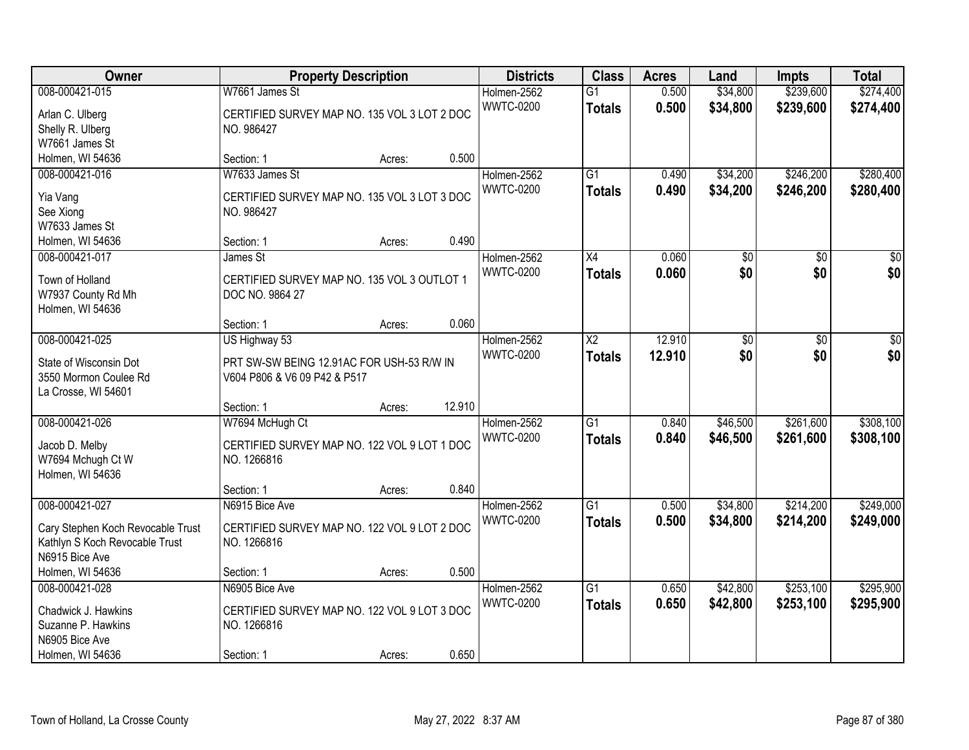| Owner                                            |                                              | <b>Property Description</b> |        | <b>Districts</b> | <b>Class</b>    | <b>Acres</b> | Land            | <b>Impts</b>    | <b>Total</b>    |
|--------------------------------------------------|----------------------------------------------|-----------------------------|--------|------------------|-----------------|--------------|-----------------|-----------------|-----------------|
| 008-000421-015                                   | W7661 James St                               |                             |        | Holmen-2562      | $\overline{G1}$ | 0.500        | \$34,800        | \$239,600       | \$274,400       |
| Arlan C. Ulberg                                  | CERTIFIED SURVEY MAP NO. 135 VOL 3 LOT 2 DOC |                             |        | <b>WWTC-0200</b> | <b>Totals</b>   | 0.500        | \$34,800        | \$239,600       | \$274,400       |
| Shelly R. Ulberg                                 | NO. 986427                                   |                             |        |                  |                 |              |                 |                 |                 |
| W7661 James St                                   |                                              |                             |        |                  |                 |              |                 |                 |                 |
| Holmen, WI 54636                                 | Section: 1                                   | Acres:                      | 0.500  |                  |                 |              |                 |                 |                 |
| 008-000421-016                                   | W7633 James St                               |                             |        | Holmen-2562      | $\overline{G1}$ | 0.490        | \$34,200        | \$246,200       | \$280,400       |
|                                                  |                                              |                             |        | <b>WWTC-0200</b> | <b>Totals</b>   | 0.490        | \$34,200        | \$246,200       | \$280,400       |
| Yia Vang                                         | CERTIFIED SURVEY MAP NO. 135 VOL 3 LOT 3 DOC |                             |        |                  |                 |              |                 |                 |                 |
| See Xiong                                        | NO. 986427                                   |                             |        |                  |                 |              |                 |                 |                 |
| W7633 James St                                   |                                              |                             | 0.490  |                  |                 |              |                 |                 |                 |
| Holmen, WI 54636                                 | Section: 1                                   | Acres:                      |        |                  |                 |              |                 |                 |                 |
| 008-000421-017                                   | James St                                     |                             |        | Holmen-2562      | X4              | 0.060        | $\overline{50}$ | $\overline{50}$ | $\overline{30}$ |
| Town of Holland                                  | CERTIFIED SURVEY MAP NO. 135 VOL 3 OUTLOT 1  |                             |        | <b>WWTC-0200</b> | <b>Totals</b>   | 0.060        | \$0             | \$0             | \$0             |
| W7937 County Rd Mh                               | DOC NO. 9864 27                              |                             |        |                  |                 |              |                 |                 |                 |
| Holmen, WI 54636                                 |                                              |                             |        |                  |                 |              |                 |                 |                 |
|                                                  | Section: 1                                   | Acres:                      | 0.060  |                  |                 |              |                 |                 |                 |
| 008-000421-025                                   | US Highway 53                                |                             |        | Holmen-2562      | $\overline{X2}$ | 12.910       | \$0             | \$0             | \$0             |
|                                                  |                                              |                             |        | <b>WWTC-0200</b> | <b>Totals</b>   | 12.910       | \$0             | \$0             | \$0             |
| State of Wisconsin Dot                           | PRT SW-SW BEING 12.91AC FOR USH-53 R/W IN    |                             |        |                  |                 |              |                 |                 |                 |
| 3550 Mormon Coulee Rd                            | V604 P806 & V6 09 P42 & P517                 |                             |        |                  |                 |              |                 |                 |                 |
| La Crosse, WI 54601                              |                                              |                             |        |                  |                 |              |                 |                 |                 |
|                                                  | Section: 1                                   | Acres:                      | 12.910 |                  |                 |              |                 |                 |                 |
| 008-000421-026                                   | W7694 McHugh Ct                              |                             |        | Holmen-2562      | $\overline{G1}$ | 0.840        | \$46,500        | \$261,600       | \$308,100       |
| Jacob D. Melby                                   | CERTIFIED SURVEY MAP NO. 122 VOL 9 LOT 1 DOC |                             |        | <b>WWTC-0200</b> | <b>Totals</b>   | 0.840        | \$46,500        | \$261,600       | \$308,100       |
| W7694 Mchugh Ct W                                | NO. 1266816                                  |                             |        |                  |                 |              |                 |                 |                 |
| Holmen, WI 54636                                 |                                              |                             |        |                  |                 |              |                 |                 |                 |
|                                                  | Section: 1                                   | Acres:                      | 0.840  |                  |                 |              |                 |                 |                 |
| 008-000421-027                                   | N6915 Bice Ave                               |                             |        | Holmen-2562      | $\overline{G1}$ | 0.500        | \$34,800        | \$214,200       | \$249,000       |
|                                                  | CERTIFIED SURVEY MAP NO. 122 VOL 9 LOT 2 DOC |                             |        | <b>WWTC-0200</b> | <b>Totals</b>   | 0.500        | \$34,800        | \$214,200       | \$249,000       |
| Cary Stephen Koch Revocable Trust                | NO. 1266816                                  |                             |        |                  |                 |              |                 |                 |                 |
| Kathlyn S Koch Revocable Trust<br>N6915 Bice Ave |                                              |                             |        |                  |                 |              |                 |                 |                 |
| Holmen, WI 54636                                 | Section: 1                                   |                             | 0.500  |                  |                 |              |                 |                 |                 |
| 008-000421-028                                   | N6905 Bice Ave                               | Acres:                      |        | Holmen-2562      | $\overline{G1}$ | 0.650        | \$42,800        | \$253,100       | \$295,900       |
|                                                  |                                              |                             |        | <b>WWTC-0200</b> |                 |              |                 |                 |                 |
| Chadwick J. Hawkins                              | CERTIFIED SURVEY MAP NO. 122 VOL 9 LOT 3 DOC |                             |        |                  | <b>Totals</b>   | 0.650        | \$42,800        | \$253,100       | \$295,900       |
| Suzanne P. Hawkins                               | NO. 1266816                                  |                             |        |                  |                 |              |                 |                 |                 |
| N6905 Bice Ave                                   |                                              |                             |        |                  |                 |              |                 |                 |                 |
| Holmen, WI 54636                                 | Section: 1                                   | Acres:                      | 0.650  |                  |                 |              |                 |                 |                 |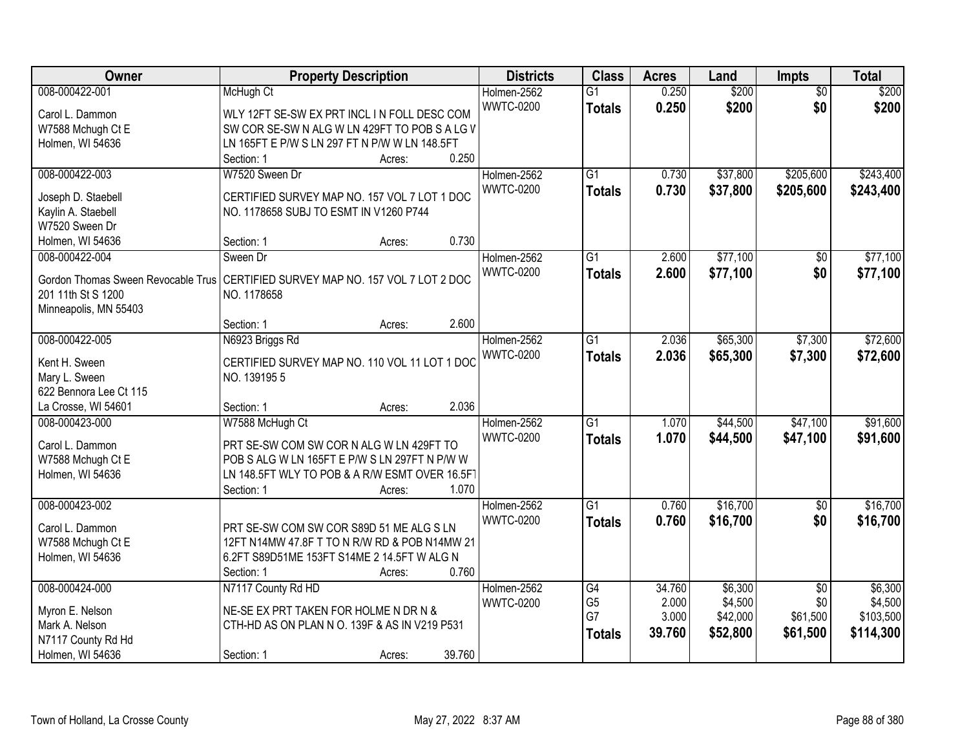| Owner                              | <b>Property Description</b>                    | <b>Districts</b> | <b>Class</b>    | <b>Acres</b> | Land     | <b>Impts</b>    | <b>Total</b> |
|------------------------------------|------------------------------------------------|------------------|-----------------|--------------|----------|-----------------|--------------|
| 008-000422-001                     | McHugh Ct                                      | Holmen-2562      | $\overline{G1}$ | 0.250        | \$200    | $\overline{50}$ | \$200        |
| Carol L. Dammon                    | WLY 12FT SE-SW EX PRT INCL IN FOLL DESC COM    | <b>WWTC-0200</b> | <b>Totals</b>   | 0.250        | \$200    | \$0             | \$200        |
| W7588 Mchugh Ct E                  | SW COR SE-SW N ALG W LN 429FT TO POB S A LG V  |                  |                 |              |          |                 |              |
| Holmen, WI 54636                   | LN 165FT E P/W S LN 297 FT N P/W W LN 148.5FT  |                  |                 |              |          |                 |              |
|                                    | 0.250<br>Section: 1<br>Acres:                  |                  |                 |              |          |                 |              |
| 008-000422-003                     | W7520 Sween Dr                                 | Holmen-2562      | $\overline{G1}$ | 0.730        | \$37,800 | \$205,600       | \$243,400    |
|                                    |                                                | <b>WWTC-0200</b> | <b>Totals</b>   | 0.730        | \$37,800 | \$205,600       | \$243,400    |
| Joseph D. Staebell                 | CERTIFIED SURVEY MAP NO. 157 VOL 7 LOT 1 DOC   |                  |                 |              |          |                 |              |
| Kaylin A. Staebell                 | NO. 1178658 SUBJ TO ESMT IN V1260 P744         |                  |                 |              |          |                 |              |
| W7520 Sween Dr                     |                                                |                  |                 |              |          |                 |              |
| Holmen, WI 54636                   | 0.730<br>Section: 1<br>Acres:                  |                  |                 |              |          |                 |              |
| 008-000422-004                     | Sween Dr                                       | Holmen-2562      | $\overline{G1}$ | 2.600        | \$77,100 | \$0             | \$77,100     |
| Gordon Thomas Sween Revocable Trus | CERTIFIED SURVEY MAP NO. 157 VOL 7 LOT 2 DOC   | <b>WWTC-0200</b> | <b>Totals</b>   | 2.600        | \$77,100 | \$0             | \$77,100     |
| 201 11th St S 1200                 | NO. 1178658                                    |                  |                 |              |          |                 |              |
| Minneapolis, MN 55403              |                                                |                  |                 |              |          |                 |              |
|                                    | 2.600<br>Section: 1<br>Acres:                  |                  |                 |              |          |                 |              |
| 008-000422-005                     | N6923 Briggs Rd                                | Holmen-2562      | $\overline{G1}$ | 2.036        | \$65,300 | \$7,300         | \$72,600     |
|                                    |                                                | <b>WWTC-0200</b> | <b>Totals</b>   | 2.036        | \$65,300 | \$7,300         | \$72,600     |
| Kent H. Sween                      | CERTIFIED SURVEY MAP NO. 110 VOL 11 LOT 1 DOC  |                  |                 |              |          |                 |              |
| Mary L. Sween                      | NO. 1391955                                    |                  |                 |              |          |                 |              |
| 622 Bennora Lee Ct 115             |                                                |                  |                 |              |          |                 |              |
| La Crosse, WI 54601                | 2.036<br>Section: 1<br>Acres:                  |                  |                 |              |          |                 |              |
| 008-000423-000                     | W7588 McHugh Ct                                | Holmen-2562      | $\overline{G1}$ | 1.070        | \$44,500 | \$47,100        | \$91,600     |
| Carol L. Dammon                    | PRT SE-SW COM SW COR N ALG W LN 429FT TO       | <b>WWTC-0200</b> | <b>Totals</b>   | 1.070        | \$44,500 | \$47,100        | \$91,600     |
| W7588 Mchugh Ct E                  | POB S ALG W LN 165FT E P/W S LN 297FT N P/W W  |                  |                 |              |          |                 |              |
| Holmen, WI 54636                   | LN 148.5FT WLY TO POB & A R/W ESMT OVER 16.5FT |                  |                 |              |          |                 |              |
|                                    | 1.070<br>Section: 1<br>Acres:                  |                  |                 |              |          |                 |              |
| 008-000423-002                     |                                                | Holmen-2562      | $\overline{G1}$ | 0.760        | \$16,700 | $\sqrt{$0}$     | \$16,700     |
|                                    |                                                | <b>WWTC-0200</b> | <b>Totals</b>   | 0.760        | \$16,700 | \$0             | \$16,700     |
| Carol L. Dammon                    | PRT SE-SW COM SW COR S89D 51 ME ALG S LN       |                  |                 |              |          |                 |              |
| W7588 Mchugh Ct E                  | 12FT N14MW 47.8F T TO N R/W RD & POB N14MW 21  |                  |                 |              |          |                 |              |
| Holmen, WI 54636                   | 6.2FT S89D51ME 153FT S14ME 2 14.5FT W ALG N    |                  |                 |              |          |                 |              |
|                                    | 0.760<br>Section: 1<br>Acres:                  |                  |                 |              |          |                 |              |
| 008-000424-000                     | N7117 County Rd HD                             | Holmen-2562      | G4              | 34.760       | \$6,300  | $\overline{50}$ | \$6,300      |
| Myron E. Nelson                    | NE-SE EX PRT TAKEN FOR HOLME N DR N &          | <b>WWTC-0200</b> | G <sub>5</sub>  | 2.000        | \$4,500  | \$0             | \$4,500      |
| Mark A. Nelson                     | CTH-HD AS ON PLAN N O. 139F & AS IN V219 P531  |                  | G7              | 3.000        | \$42,000 | \$61,500        | \$103,500    |
| N7117 County Rd Hd                 |                                                |                  | <b>Totals</b>   | 39.760       | \$52,800 | \$61,500        | \$114,300    |
|                                    |                                                |                  |                 |              |          |                 |              |
| Holmen, WI 54636                   | 39.760<br>Section: 1<br>Acres:                 |                  |                 |              |          |                 |              |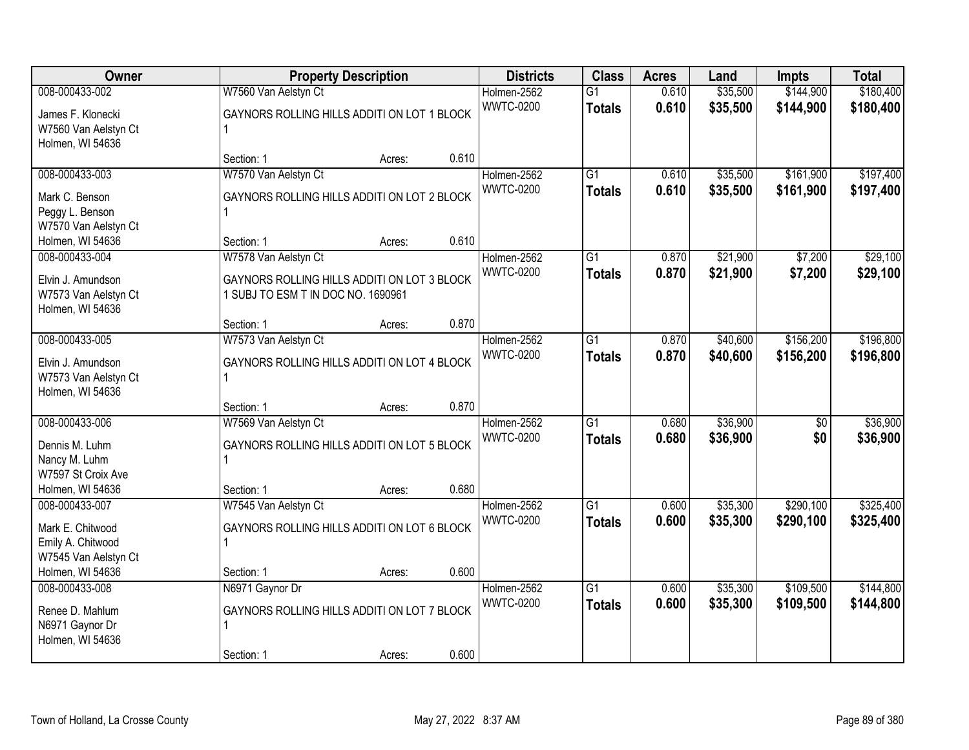| <b>Owner</b>                       |                                             | <b>Property Description</b> |       | <b>Districts</b>                | <b>Class</b>    | <b>Acres</b>   | Land                 | <b>Impts</b>    | <b>Total</b> |
|------------------------------------|---------------------------------------------|-----------------------------|-------|---------------------------------|-----------------|----------------|----------------------|-----------------|--------------|
| 008-000433-002                     | W7560 Van Aelstyn Ct                        |                             |       | Holmen-2562                     | $\overline{G1}$ | 0.610          | \$35,500             | \$144,900       | \$180,400    |
| James F. Klonecki                  | GAYNORS ROLLING HILLS ADDITI ON LOT 1 BLOCK |                             |       | <b>WWTC-0200</b>                | <b>Totals</b>   | 0.610          | \$35,500             | \$144,900       | \$180,400    |
| W7560 Van Aelstyn Ct               |                                             |                             |       |                                 |                 |                |                      |                 |              |
| Holmen, WI 54636                   |                                             |                             |       |                                 |                 |                |                      |                 |              |
|                                    | Section: 1                                  | Acres:                      | 0.610 |                                 |                 |                |                      |                 |              |
| 008-000433-003                     | W7570 Van Aelstyn Ct                        |                             |       | Holmen-2562<br><b>WWTC-0200</b> | $\overline{G1}$ | 0.610<br>0.610 | \$35,500             | \$161,900       | \$197,400    |
| Mark C. Benson                     | GAYNORS ROLLING HILLS ADDITI ON LOT 2 BLOCK |                             |       |                                 | <b>Totals</b>   |                | \$35,500             | \$161,900       | \$197,400    |
| Peggy L. Benson                    |                                             |                             |       |                                 |                 |                |                      |                 |              |
| W7570 Van Aelstyn Ct               |                                             |                             |       |                                 |                 |                |                      |                 |              |
| Holmen, WI 54636                   | Section: 1                                  | Acres:                      | 0.610 |                                 |                 |                |                      |                 | \$29,100     |
| 008-000433-004                     | W7578 Van Aelstyn Ct                        |                             |       | Holmen-2562<br><b>WWTC-0200</b> | G1              | 0.870<br>0.870 | \$21,900<br>\$21,900 | \$7,200         |              |
| Elvin J. Amundson                  | GAYNORS ROLLING HILLS ADDITI ON LOT 3 BLOCK |                             |       |                                 | <b>Totals</b>   |                |                      | \$7,200         | \$29,100     |
| W7573 Van Aelstyn Ct               | 1 SUBJ TO ESM T IN DOC NO. 1690961          |                             |       |                                 |                 |                |                      |                 |              |
| Holmen, WI 54636                   |                                             |                             |       |                                 |                 |                |                      |                 |              |
| 008-000433-005                     | Section: 1                                  | Acres:                      | 0.870 | Holmen-2562                     | G1              | 0.870          | \$40,600             | \$156,200       | \$196,800    |
|                                    | W7573 Van Aelstyn Ct                        |                             |       | <b>WWTC-0200</b>                |                 | 0.870          | \$40,600             |                 |              |
| Elvin J. Amundson                  | GAYNORS ROLLING HILLS ADDITI ON LOT 4 BLOCK |                             |       |                                 | <b>Totals</b>   |                |                      | \$156,200       | \$196,800    |
| W7573 Van Aelstyn Ct               |                                             |                             |       |                                 |                 |                |                      |                 |              |
| Holmen, WI 54636                   |                                             |                             | 0.870 |                                 |                 |                |                      |                 |              |
| 008-000433-006                     | Section: 1<br>W7569 Van Aelstyn Ct          | Acres:                      |       | Holmen-2562                     | $\overline{G1}$ | 0.680          | \$36,900             | $\overline{50}$ | \$36,900     |
|                                    |                                             |                             |       | <b>WWTC-0200</b>                |                 | 0.680          | \$36,900             | \$0             | \$36,900     |
| Dennis M. Luhm                     | GAYNORS ROLLING HILLS ADDITI ON LOT 5 BLOCK |                             |       |                                 | <b>Totals</b>   |                |                      |                 |              |
| Nancy M. Luhm                      |                                             |                             |       |                                 |                 |                |                      |                 |              |
| W7597 St Croix Ave                 |                                             |                             |       |                                 |                 |                |                      |                 |              |
| Holmen, WI 54636<br>008-000433-007 | Section: 1<br>W7545 Van Aelstyn Ct          | Acres:                      | 0.680 | Holmen-2562                     | $\overline{G1}$ | 0.600          | \$35,300             | \$290,100       | \$325,400    |
|                                    |                                             |                             |       | <b>WWTC-0200</b>                | <b>Totals</b>   | 0.600          | \$35,300             | \$290,100       | \$325,400    |
| Mark E. Chitwood                   | GAYNORS ROLLING HILLS ADDITI ON LOT 6 BLOCK |                             |       |                                 |                 |                |                      |                 |              |
| Emily A. Chitwood                  |                                             |                             |       |                                 |                 |                |                      |                 |              |
| W7545 Van Aelstyn Ct               |                                             |                             |       |                                 |                 |                |                      |                 |              |
| Holmen, WI 54636<br>008-000433-008 | Section: 1<br>N6971 Gaynor Dr               | Acres:                      | 0.600 | Holmen-2562                     | $\overline{G1}$ | 0.600          | \$35,300             | \$109,500       | \$144,800    |
|                                    |                                             |                             |       | <b>WWTC-0200</b>                |                 | 0.600          | \$35,300             | \$109,500       | \$144,800    |
| Renee D. Mahlum                    | GAYNORS ROLLING HILLS ADDITI ON LOT 7 BLOCK |                             |       |                                 | <b>Totals</b>   |                |                      |                 |              |
| N6971 Gaynor Dr                    |                                             |                             |       |                                 |                 |                |                      |                 |              |
| Holmen, WI 54636                   |                                             |                             |       |                                 |                 |                |                      |                 |              |
|                                    | Section: 1                                  | Acres:                      | 0.600 |                                 |                 |                |                      |                 |              |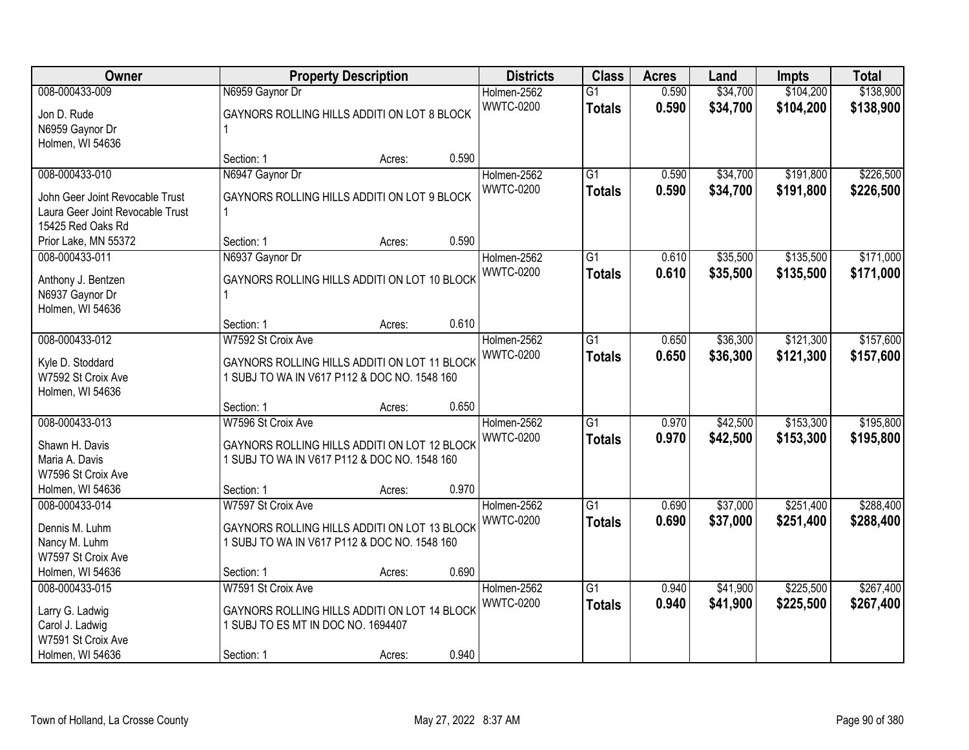| Owner                                                                                                      |                                                                                                                                  | <b>Property Description</b> |       | <b>Districts</b>                | <b>Class</b>                     | <b>Acres</b>   | Land                 | <b>Impts</b>           | <b>Total</b>           |
|------------------------------------------------------------------------------------------------------------|----------------------------------------------------------------------------------------------------------------------------------|-----------------------------|-------|---------------------------------|----------------------------------|----------------|----------------------|------------------------|------------------------|
| 008-000433-009<br>Jon D. Rude<br>N6959 Gaynor Dr                                                           | N6959 Gaynor Dr<br>GAYNORS ROLLING HILLS ADDITI ON LOT 8 BLOCK                                                                   |                             |       | Holmen-2562<br><b>WWTC-0200</b> | $\overline{G1}$<br><b>Totals</b> | 0.590<br>0.590 | \$34,700<br>\$34,700 | \$104,200<br>\$104,200 | \$138,900<br>\$138,900 |
| Holmen, WI 54636                                                                                           | Section: 1                                                                                                                       | Acres:                      | 0.590 |                                 |                                  |                |                      |                        |                        |
| 008-000433-010<br>John Geer Joint Revocable Trust<br>Laura Geer Joint Revocable Trust<br>15425 Red Oaks Rd | N6947 Gaynor Dr<br>GAYNORS ROLLING HILLS ADDITI ON LOT 9 BLOCK<br>$\mathbf{1}$                                                   |                             |       | Holmen-2562<br><b>WWTC-0200</b> | $\overline{G1}$<br><b>Totals</b> | 0.590<br>0.590 | \$34,700<br>\$34,700 | \$191,800<br>\$191,800 | \$226,500<br>\$226,500 |
| Prior Lake, MN 55372                                                                                       | Section: 1                                                                                                                       | Acres:                      | 0.590 |                                 |                                  |                |                      |                        |                        |
| 008-000433-011<br>Anthony J. Bentzen<br>N6937 Gaynor Dr<br>Holmen, WI 54636                                | N6937 Gaynor Dr<br>GAYNORS ROLLING HILLS ADDITI ON LOT 10 BLOCK                                                                  |                             |       | Holmen-2562<br><b>WWTC-0200</b> | G <sub>1</sub><br><b>Totals</b>  | 0.610<br>0.610 | \$35,500<br>\$35,500 | \$135,500<br>\$135,500 | \$171,000<br>\$171,000 |
|                                                                                                            | Section: 1                                                                                                                       | Acres:                      | 0.610 |                                 |                                  |                |                      |                        |                        |
| 008-000433-012<br>Kyle D. Stoddard<br>W7592 St Croix Ave<br>Holmen, WI 54636                               | W7592 St Croix Ave<br>GAYNORS ROLLING HILLS ADDITI ON LOT 11 BLOCK<br>1 SUBJ TO WA IN V617 P112 & DOC NO. 1548 160               |                             |       | Holmen-2562<br><b>WWTC-0200</b> | $\overline{G1}$<br><b>Totals</b> | 0.650<br>0.650 | \$36,300<br>\$36,300 | \$121,300<br>\$121,300 | \$157,600<br>\$157,600 |
|                                                                                                            | Section: 1                                                                                                                       | Acres:                      | 0.650 |                                 |                                  |                |                      |                        |                        |
| 008-000433-013<br>Shawn H. Davis<br>Maria A. Davis<br>W7596 St Croix Ave<br>Holmen, WI 54636               | W7596 St Croix Ave<br>GAYNORS ROLLING HILLS ADDITI ON LOT 12 BLOCK<br>1 SUBJ TO WA IN V617 P112 & DOC NO. 1548 160<br>Section: 1 | Acres:                      | 0.970 | Holmen-2562<br><b>WWTC-0200</b> | $\overline{G1}$<br><b>Totals</b> | 0.970<br>0.970 | \$42,500<br>\$42,500 | \$153,300<br>\$153,300 | \$195,800<br>\$195,800 |
| 008-000433-014<br>Dennis M. Luhm<br>Nancy M. Luhm<br>W7597 St Croix Ave                                    | W7597 St Croix Ave<br>GAYNORS ROLLING HILLS ADDITI ON LOT 13 BLOCK<br>1 SUBJ TO WA IN V617 P112 & DOC NO. 1548 160               |                             |       | Holmen-2562<br><b>WWTC-0200</b> | $\overline{G1}$<br><b>Totals</b> | 0.690<br>0.690 | \$37,000<br>\$37,000 | \$251,400<br>\$251,400 | \$288,400<br>\$288,400 |
| Holmen, WI 54636                                                                                           | Section: 1                                                                                                                       | Acres:                      | 0.690 |                                 |                                  |                |                      |                        |                        |
| 008-000433-015<br>Larry G. Ladwig<br>Carol J. Ladwig<br>W7591 St Croix Ave<br>Holmen, WI 54636             | W7591 St Croix Ave<br>GAYNORS ROLLING HILLS ADDITI ON LOT 14 BLOCK<br>1 SUBJ TO ES MT IN DOC NO. 1694407<br>Section: 1           | Acres:                      | 0.940 | Holmen-2562<br><b>WWTC-0200</b> | $\overline{G1}$<br><b>Totals</b> | 0.940<br>0.940 | \$41,900<br>\$41,900 | \$225,500<br>\$225,500 | \$267,400<br>\$267,400 |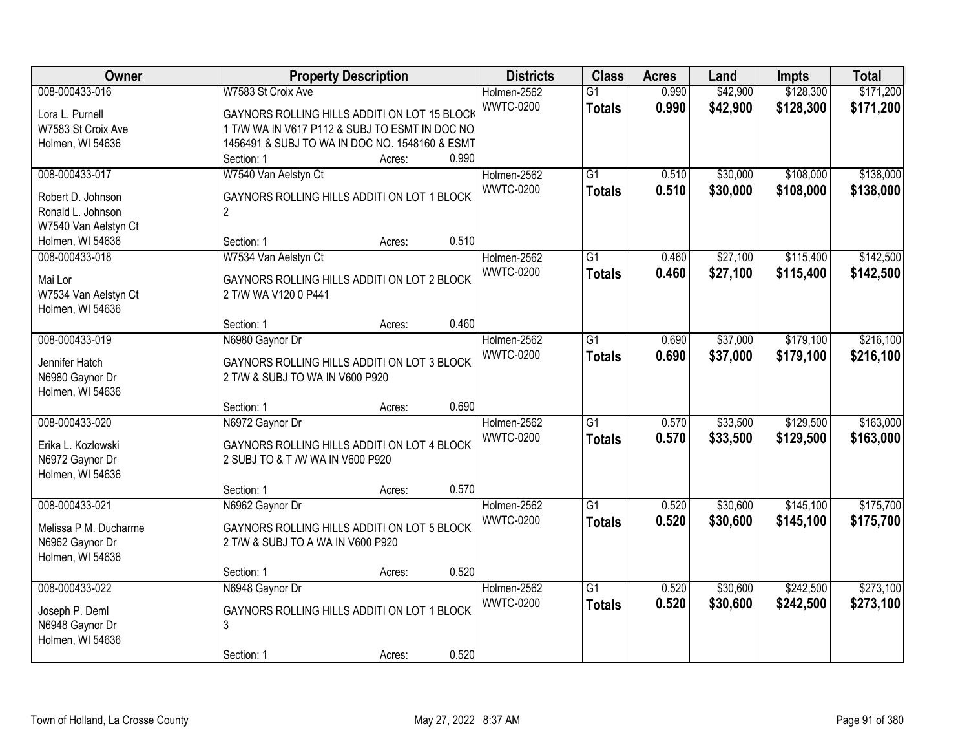| <b>Owner</b>          | <b>Property Description</b>                    | <b>Districts</b>                | <b>Class</b>                     | <b>Acres</b>   | Land                 | <b>Impts</b>           | <b>Total</b>           |
|-----------------------|------------------------------------------------|---------------------------------|----------------------------------|----------------|----------------------|------------------------|------------------------|
| 008-000433-016        | W7583 St Croix Ave                             | Holmen-2562<br><b>WWTC-0200</b> | $\overline{G1}$<br><b>Totals</b> | 0.990<br>0.990 | \$42,900<br>\$42,900 | \$128,300<br>\$128,300 | \$171,200<br>\$171,200 |
| Lora L. Purnell       | GAYNORS ROLLING HILLS ADDITI ON LOT 15 BLOCK   |                                 |                                  |                |                      |                        |                        |
| W7583 St Croix Ave    | 1 T/W WA IN V617 P112 & SUBJ TO ESMT IN DOC NO |                                 |                                  |                |                      |                        |                        |
| Holmen, WI 54636      | 1456491 & SUBJ TO WA IN DOC NO. 1548160 & ESMT |                                 |                                  |                |                      |                        |                        |
|                       | 0.990<br>Section: 1<br>Acres:                  |                                 |                                  |                |                      |                        |                        |
| 008-000433-017        | W7540 Van Aelstyn Ct                           | Holmen-2562                     | $\overline{G1}$                  | 0.510          | \$30,000             | \$108,000              | \$138,000              |
| Robert D. Johnson     | GAYNORS ROLLING HILLS ADDITI ON LOT 1 BLOCK    | <b>WWTC-0200</b>                | <b>Totals</b>                    | 0.510          | \$30,000             | \$108,000              | \$138,000              |
| Ronald L. Johnson     | $\overline{2}$                                 |                                 |                                  |                |                      |                        |                        |
| W7540 Van Aelstyn Ct  |                                                |                                 |                                  |                |                      |                        |                        |
| Holmen, WI 54636      | 0.510<br>Section: 1<br>Acres:                  |                                 |                                  |                |                      |                        |                        |
| 008-000433-018        | W7534 Van Aelstyn Ct                           | Holmen-2562                     | G1                               | 0.460          | \$27,100             | \$115,400              | \$142,500              |
| Mai Lor               | GAYNORS ROLLING HILLS ADDITI ON LOT 2 BLOCK    | <b>WWTC-0200</b>                | <b>Totals</b>                    | 0.460          | \$27,100             | \$115,400              | \$142,500              |
| W7534 Van Aelstyn Ct  | 2 T/W WA V120 0 P441                           |                                 |                                  |                |                      |                        |                        |
| Holmen, WI 54636      |                                                |                                 |                                  |                |                      |                        |                        |
|                       | 0.460<br>Section: 1<br>Acres:                  |                                 |                                  |                |                      |                        |                        |
| 008-000433-019        | N6980 Gaynor Dr                                | Holmen-2562                     | G1                               | 0.690          | \$37,000             | \$179,100              | \$216,100              |
|                       |                                                | <b>WWTC-0200</b>                | <b>Totals</b>                    | 0.690          | \$37,000             | \$179,100              | \$216,100              |
| Jennifer Hatch        | GAYNORS ROLLING HILLS ADDITI ON LOT 3 BLOCK    |                                 |                                  |                |                      |                        |                        |
| N6980 Gaynor Dr       | 2 T/W & SUBJ TO WA IN V600 P920                |                                 |                                  |                |                      |                        |                        |
| Holmen, WI 54636      |                                                |                                 |                                  |                |                      |                        |                        |
|                       | 0.690<br>Section: 1<br>Acres:                  |                                 |                                  |                |                      |                        |                        |
| 008-000433-020        | N6972 Gaynor Dr                                | Holmen-2562                     | $\overline{G1}$                  | 0.570          | \$33,500             | \$129,500              | \$163,000              |
| Erika L. Kozlowski    | GAYNORS ROLLING HILLS ADDITI ON LOT 4 BLOCK    | <b>WWTC-0200</b>                | <b>Totals</b>                    | 0.570          | \$33,500             | \$129,500              | \$163,000              |
| N6972 Gaynor Dr       | 2 SUBJ TO & T /W WA IN V600 P920               |                                 |                                  |                |                      |                        |                        |
| Holmen, WI 54636      |                                                |                                 |                                  |                |                      |                        |                        |
|                       | 0.570<br>Section: 1<br>Acres:                  |                                 |                                  |                |                      |                        |                        |
| 008-000433-021        | N6962 Gaynor Dr                                | Holmen-2562                     | $\overline{G1}$                  | 0.520          | \$30,600             | \$145,100              | \$175,700              |
|                       |                                                | <b>WWTC-0200</b>                | <b>Totals</b>                    | 0.520          | \$30,600             | \$145,100              | \$175,700              |
| Melissa P M. Ducharme | GAYNORS ROLLING HILLS ADDITI ON LOT 5 BLOCK    |                                 |                                  |                |                      |                        |                        |
| N6962 Gaynor Dr       | 2 T/W & SUBJ TO A WA IN V600 P920              |                                 |                                  |                |                      |                        |                        |
| Holmen, WI 54636      |                                                |                                 |                                  |                |                      |                        |                        |
|                       | 0.520<br>Section: 1<br>Acres:                  |                                 |                                  |                |                      |                        |                        |
| 008-000433-022        | N6948 Gaynor Dr                                | Holmen-2562                     | $\overline{G1}$                  | 0.520          | \$30,600             | \$242,500              | \$273,100              |
| Joseph P. Deml        | GAYNORS ROLLING HILLS ADDITI ON LOT 1 BLOCK    | <b>WWTC-0200</b>                | <b>Totals</b>                    | 0.520          | \$30,600             | \$242,500              | \$273,100              |
| N6948 Gaynor Dr       | 3                                              |                                 |                                  |                |                      |                        |                        |
| Holmen, WI 54636      |                                                |                                 |                                  |                |                      |                        |                        |
|                       | 0.520<br>Section: 1<br>Acres:                  |                                 |                                  |                |                      |                        |                        |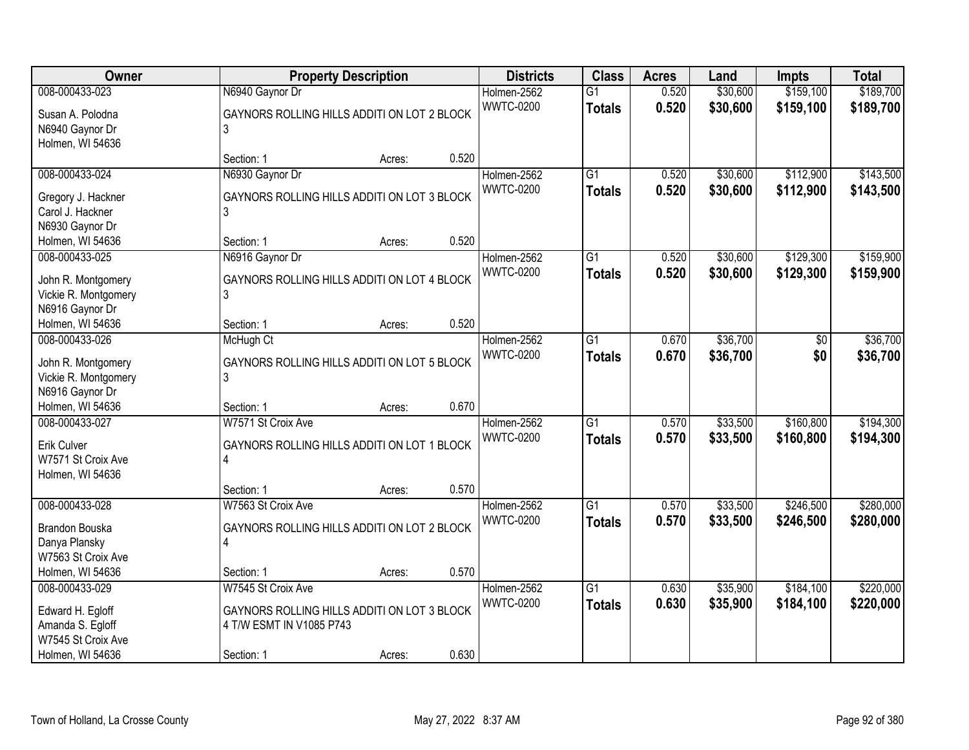| Owner                               |                                                  | <b>Property Description</b> |       | <b>Districts</b> | <b>Class</b>    | <b>Acres</b> | Land     | <b>Impts</b> | <b>Total</b> |
|-------------------------------------|--------------------------------------------------|-----------------------------|-------|------------------|-----------------|--------------|----------|--------------|--------------|
| 008-000433-023                      | N6940 Gaynor Dr                                  |                             |       | Holmen-2562      | $\overline{G1}$ | 0.520        | \$30,600 | \$159,100    | \$189,700    |
| Susan A. Polodna                    | GAYNORS ROLLING HILLS ADDITI ON LOT 2 BLOCK      |                             |       | <b>WWTC-0200</b> | <b>Totals</b>   | 0.520        | \$30,600 | \$159,100    | \$189,700    |
| N6940 Gaynor Dr                     | 3                                                |                             |       |                  |                 |              |          |              |              |
| Holmen, WI 54636                    |                                                  |                             |       |                  |                 |              |          |              |              |
|                                     | Section: 1                                       | Acres:                      | 0.520 |                  |                 |              |          |              |              |
| 008-000433-024                      | N6930 Gaynor Dr                                  |                             |       | Holmen-2562      | $\overline{G1}$ | 0.520        | \$30,600 | \$112,900    | \$143,500    |
| Gregory J. Hackner                  | GAYNORS ROLLING HILLS ADDITI ON LOT 3 BLOCK      |                             |       | <b>WWTC-0200</b> | <b>Totals</b>   | 0.520        | \$30,600 | \$112,900    | \$143,500    |
| Carol J. Hackner                    | 3                                                |                             |       |                  |                 |              |          |              |              |
| N6930 Gaynor Dr                     |                                                  |                             |       |                  |                 |              |          |              |              |
| Holmen, WI 54636                    | Section: 1                                       | Acres:                      | 0.520 |                  |                 |              |          |              |              |
| 008-000433-025                      | N6916 Gaynor Dr                                  |                             |       | Holmen-2562      | $\overline{G1}$ | 0.520        | \$30,600 | \$129,300    | \$159,900    |
|                                     |                                                  |                             |       | <b>WWTC-0200</b> | <b>Totals</b>   | 0.520        | \$30,600 | \$129,300    | \$159,900    |
| John R. Montgomery                  | GAYNORS ROLLING HILLS ADDITI ON LOT 4 BLOCK      |                             |       |                  |                 |              |          |              |              |
| Vickie R. Montgomery                | 3                                                |                             |       |                  |                 |              |          |              |              |
| N6916 Gaynor Dr                     |                                                  |                             |       |                  |                 |              |          |              |              |
| Holmen, WI 54636                    | Section: 1                                       | Acres:                      | 0.520 |                  |                 |              |          |              |              |
| 008-000433-026                      | McHugh Ct                                        |                             |       | Holmen-2562      | $\overline{G1}$ | 0.670        | \$36,700 | \$0          | \$36,700     |
| John R. Montgomery                  | GAYNORS ROLLING HILLS ADDITI ON LOT 5 BLOCK      |                             |       | <b>WWTC-0200</b> | <b>Totals</b>   | 0.670        | \$36,700 | \$0          | \$36,700     |
| Vickie R. Montgomery                | 3                                                |                             |       |                  |                 |              |          |              |              |
| N6916 Gaynor Dr                     |                                                  |                             |       |                  |                 |              |          |              |              |
| Holmen, WI 54636                    | Section: 1                                       | Acres:                      | 0.670 |                  |                 |              |          |              |              |
| 008-000433-027                      | W7571 St Croix Ave                               |                             |       | Holmen-2562      | $\overline{G1}$ | 0.570        | \$33,500 | \$160,800    | \$194,300    |
| <b>Erik Culver</b>                  | GAYNORS ROLLING HILLS ADDITI ON LOT 1 BLOCK      |                             |       | <b>WWTC-0200</b> | <b>Totals</b>   | 0.570        | \$33,500 | \$160,800    | \$194,300    |
| W7571 St Croix Ave                  | 4                                                |                             |       |                  |                 |              |          |              |              |
| Holmen, WI 54636                    |                                                  |                             |       |                  |                 |              |          |              |              |
|                                     | Section: 1                                       | Acres:                      | 0.570 |                  |                 |              |          |              |              |
| 008-000433-028                      | W7563 St Croix Ave                               |                             |       | Holmen-2562      | G1              | 0.570        | \$33,500 | \$246,500    | \$280,000    |
|                                     |                                                  |                             |       | <b>WWTC-0200</b> | <b>Totals</b>   | 0.570        | \$33,500 | \$246,500    | \$280,000    |
| Brandon Bouska                      | GAYNORS ROLLING HILLS ADDITI ON LOT 2 BLOCK<br>4 |                             |       |                  |                 |              |          |              |              |
| Danya Plansky<br>W7563 St Croix Ave |                                                  |                             |       |                  |                 |              |          |              |              |
| Holmen, WI 54636                    | Section: 1                                       | Acres:                      | 0.570 |                  |                 |              |          |              |              |
| 008-000433-029                      | W7545 St Croix Ave                               |                             |       | Holmen-2562      | G1              | 0.630        | \$35,900 | \$184,100    | \$220,000    |
|                                     |                                                  |                             |       | <b>WWTC-0200</b> |                 | 0.630        | \$35,900 | \$184,100    |              |
| Edward H. Egloff                    | GAYNORS ROLLING HILLS ADDITI ON LOT 3 BLOCK      |                             |       |                  | <b>Totals</b>   |              |          |              | \$220,000    |
| Amanda S. Egloff                    | 4 T/W ESMT IN V1085 P743                         |                             |       |                  |                 |              |          |              |              |
| W7545 St Croix Ave                  |                                                  |                             |       |                  |                 |              |          |              |              |
| Holmen, WI 54636                    | Section: 1                                       | Acres:                      | 0.630 |                  |                 |              |          |              |              |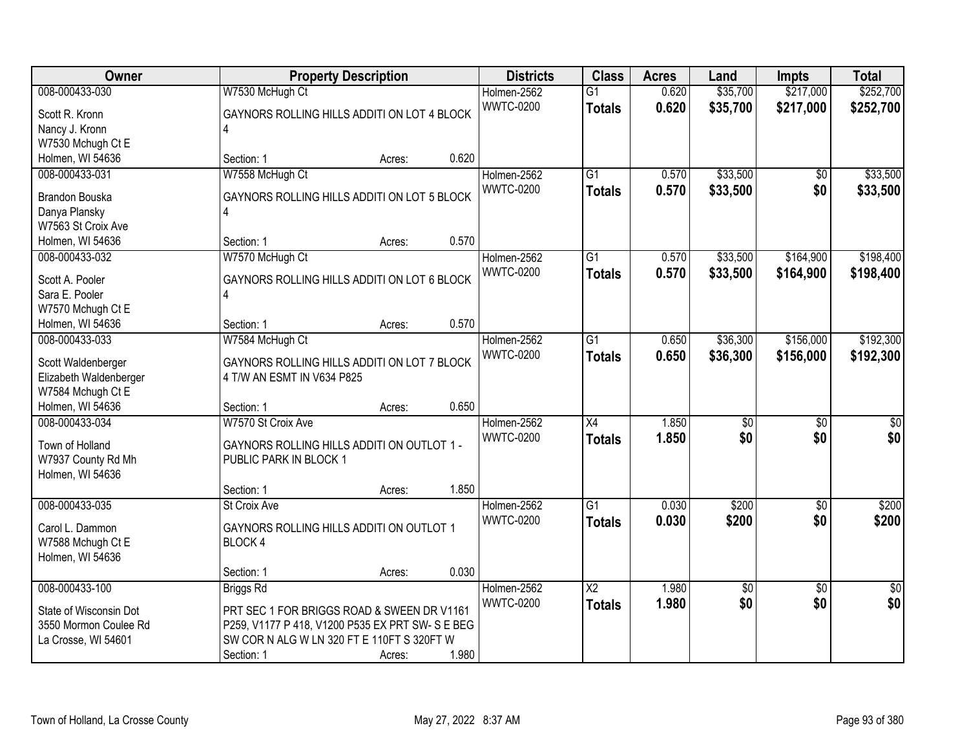| Owner                               |                                                | <b>Property Description</b> |       | <b>Districts</b>                | <b>Class</b>           | <b>Acres</b> | Land            | Impts           | <b>Total</b>    |
|-------------------------------------|------------------------------------------------|-----------------------------|-------|---------------------------------|------------------------|--------------|-----------------|-----------------|-----------------|
| 008-000433-030                      | W7530 McHugh Ct                                |                             |       | Holmen-2562                     | $\overline{G1}$        | 0.620        | \$35,700        | \$217,000       | \$252,700       |
| Scott R. Kronn                      | GAYNORS ROLLING HILLS ADDITI ON LOT 4 BLOCK    |                             |       | <b>WWTC-0200</b>                | <b>Totals</b>          | 0.620        | \$35,700        | \$217,000       | \$252,700       |
| Nancy J. Kronn                      | 4                                              |                             |       |                                 |                        |              |                 |                 |                 |
| W7530 Mchugh Ct E                   |                                                |                             |       |                                 |                        |              |                 |                 |                 |
| Holmen, WI 54636                    | Section: 1                                     | Acres:                      | 0.620 |                                 |                        |              |                 |                 |                 |
| 008-000433-031                      | W7558 McHugh Ct                                |                             |       | Holmen-2562                     | $\overline{G1}$        | 0.570        | \$33,500        | \$0             | \$33,500        |
|                                     |                                                |                             |       | <b>WWTC-0200</b>                | <b>Totals</b>          | 0.570        | \$33,500        | \$0             | \$33,500        |
| <b>Brandon Bouska</b>               | GAYNORS ROLLING HILLS ADDITI ON LOT 5 BLOCK    |                             |       |                                 |                        |              |                 |                 |                 |
| Danya Plansky<br>W7563 St Croix Ave | 4                                              |                             |       |                                 |                        |              |                 |                 |                 |
|                                     | Section: 1                                     |                             | 0.570 |                                 |                        |              |                 |                 |                 |
| Holmen, WI 54636<br>008-000433-032  |                                                | Acres:                      |       |                                 | G1                     | 0.570        | \$33,500        | \$164,900       | \$198,400       |
|                                     | W7570 McHugh Ct                                |                             |       | Holmen-2562<br><b>WWTC-0200</b> |                        |              |                 |                 |                 |
| Scott A. Pooler                     | GAYNORS ROLLING HILLS ADDITI ON LOT 6 BLOCK    |                             |       |                                 | <b>Totals</b>          | 0.570        | \$33,500        | \$164,900       | \$198,400       |
| Sara E. Pooler                      | $\overline{4}$                                 |                             |       |                                 |                        |              |                 |                 |                 |
| W7570 Mchugh Ct E                   |                                                |                             |       |                                 |                        |              |                 |                 |                 |
| Holmen, WI 54636                    | Section: 1                                     | Acres:                      | 0.570 |                                 |                        |              |                 |                 |                 |
| 008-000433-033                      | W7584 McHugh Ct                                |                             |       | Holmen-2562                     | $\overline{G1}$        | 0.650        | \$36,300        | \$156,000       | \$192,300       |
| Scott Waldenberger                  | GAYNORS ROLLING HILLS ADDITI ON LOT 7 BLOCK    |                             |       | <b>WWTC-0200</b>                | <b>Totals</b>          | 0.650        | \$36,300        | \$156,000       | \$192,300       |
| Elizabeth Waldenberger              | 4 T/W AN ESMT IN V634 P825                     |                             |       |                                 |                        |              |                 |                 |                 |
| W7584 Mchugh Ct E                   |                                                |                             |       |                                 |                        |              |                 |                 |                 |
| Holmen, WI 54636                    | Section: 1                                     | Acres:                      | 0.650 |                                 |                        |              |                 |                 |                 |
| 008-000433-034                      | W7570 St Croix Ave                             |                             |       | Holmen-2562                     | $\overline{X4}$        | 1.850        | $\overline{50}$ | $\overline{50}$ | $\overline{50}$ |
|                                     |                                                |                             |       | <b>WWTC-0200</b>                | <b>Totals</b>          | 1.850        | \$0             | \$0             | \$0             |
| Town of Holland                     | GAYNORS ROLLING HILLS ADDITI ON OUTLOT 1 -     |                             |       |                                 |                        |              |                 |                 |                 |
| W7937 County Rd Mh                  | PUBLIC PARK IN BLOCK 1                         |                             |       |                                 |                        |              |                 |                 |                 |
| Holmen, WI 54636                    |                                                |                             |       |                                 |                        |              |                 |                 |                 |
|                                     | Section: 1                                     | Acres:                      | 1.850 |                                 |                        |              |                 |                 |                 |
| 008-000433-035                      | St Croix Ave                                   |                             |       | Holmen-2562                     | $\overline{G1}$        | 0.030        | \$200           | $\overline{50}$ | \$200           |
| Carol L. Dammon                     | GAYNORS ROLLING HILLS ADDITI ON OUTLOT 1       |                             |       | <b>WWTC-0200</b>                | <b>Totals</b>          | 0.030        | \$200           | \$0             | \$200           |
| W7588 Mchugh Ct E                   | <b>BLOCK4</b>                                  |                             |       |                                 |                        |              |                 |                 |                 |
| Holmen, WI 54636                    |                                                |                             |       |                                 |                        |              |                 |                 |                 |
|                                     | Section: 1                                     | Acres:                      | 0.030 |                                 |                        |              |                 |                 |                 |
| 008-000433-100                      | Briggs Rd                                      |                             |       | Holmen-2562                     | $\overline{\text{X2}}$ | 1.980        | \$0             | $\overline{50}$ | $\overline{50}$ |
|                                     |                                                |                             |       | <b>WWTC-0200</b>                | <b>Totals</b>          | 1.980        | \$0             | \$0             | \$0             |
| State of Wisconsin Dot              | PRT SEC 1 FOR BRIGGS ROAD & SWEEN DR V1161     |                             |       |                                 |                        |              |                 |                 |                 |
| 3550 Mormon Coulee Rd               | P259, V1177 P 418, V1200 P535 EX PRT SW-SE BEG |                             |       |                                 |                        |              |                 |                 |                 |
| La Crosse, WI 54601                 | SW COR N ALG W LN 320 FT E 110FT S 320FT W     |                             |       |                                 |                        |              |                 |                 |                 |
|                                     | Section: 1                                     | Acres:                      | 1.980 |                                 |                        |              |                 |                 |                 |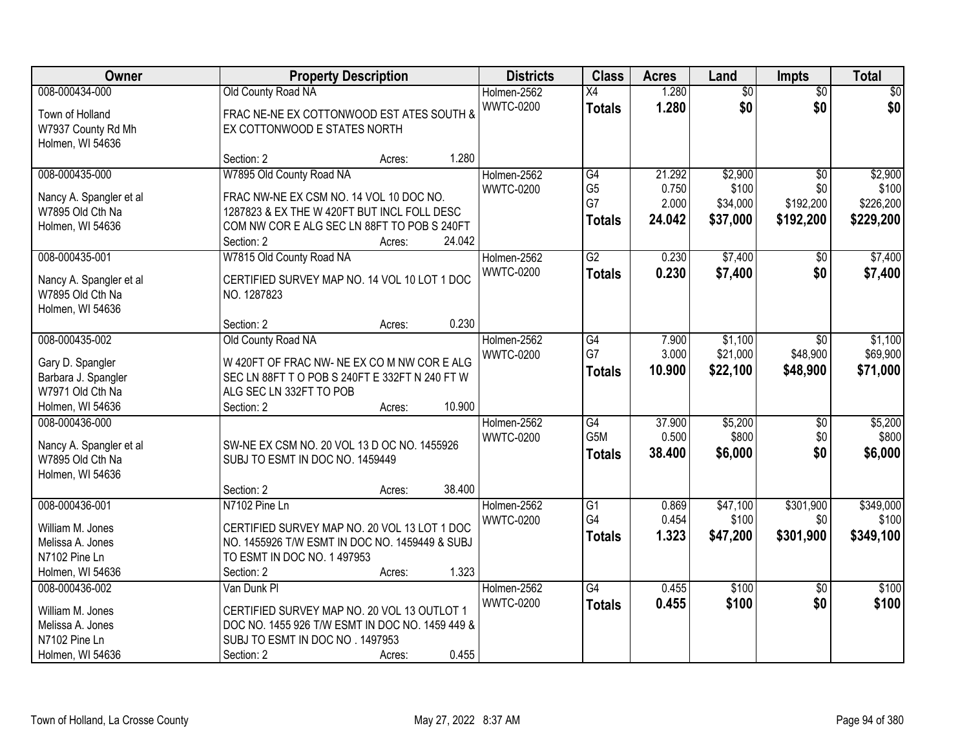| <b>Owner</b>            | <b>Property Description</b>                     | <b>Districts</b> | <b>Class</b>         | <b>Acres</b>   | Land              | Impts            | <b>Total</b>       |
|-------------------------|-------------------------------------------------|------------------|----------------------|----------------|-------------------|------------------|--------------------|
| 008-000434-000          | Old County Road NA                              | Holmen-2562      | X4                   | 1.280          | $\overline{60}$   | $\overline{50}$  | \$0                |
| Town of Holland         | FRAC NE-NE EX COTTONWOOD EST ATES SOUTH &       | <b>WWTC-0200</b> | <b>Totals</b>        | 1.280          | \$0               | \$0              | \$0                |
| W7937 County Rd Mh      | EX COTTONWOOD E STATES NORTH                    |                  |                      |                |                   |                  |                    |
| Holmen, WI 54636        |                                                 |                  |                      |                |                   |                  |                    |
|                         | 1.280<br>Section: 2<br>Acres:                   |                  |                      |                |                   |                  |                    |
| 008-000435-000          | W7895 Old County Road NA                        | Holmen-2562      | G4                   | 21.292         | \$2,900           | $\overline{50}$  | \$2,900            |
| Nancy A. Spangler et al | FRAC NW-NE EX CSM NO. 14 VOL 10 DOC NO.         | <b>WWTC-0200</b> | G <sub>5</sub><br>G7 | 0.750<br>2.000 | \$100<br>\$34,000 | \$0<br>\$192,200 | \$100<br>\$226,200 |
| W7895 Old Cth Na        | 1287823 & EX THE W 420FT BUT INCL FOLL DESC     |                  |                      |                |                   |                  |                    |
| Holmen, WI 54636        | COM NW COR E ALG SEC LN 88FT TO POB S 240FT     |                  | <b>Totals</b>        | 24.042         | \$37,000          | \$192,200        | \$229,200          |
|                         | 24.042<br>Section: 2<br>Acres:                  |                  |                      |                |                   |                  |                    |
| 008-000435-001          | W7815 Old County Road NA                        | Holmen-2562      | $\overline{G2}$      | 0.230          | \$7,400           | $\overline{50}$  | \$7,400            |
| Nancy A. Spangler et al | CERTIFIED SURVEY MAP NO. 14 VOL 10 LOT 1 DOC    | <b>WWTC-0200</b> | <b>Totals</b>        | 0.230          | \$7,400           | \$0              | \$7,400            |
| W7895 Old Cth Na        | NO. 1287823                                     |                  |                      |                |                   |                  |                    |
| Holmen, WI 54636        |                                                 |                  |                      |                |                   |                  |                    |
|                         | 0.230<br>Section: 2<br>Acres:                   |                  |                      |                |                   |                  |                    |
| 008-000435-002          | Old County Road NA                              | Holmen-2562      | G4                   | 7.900          | \$1,100           | $\sqrt{6}$       | \$1,100            |
| Gary D. Spangler        | W 420FT OF FRAC NW- NE EX CO M NW COR E ALG     | <b>WWTC-0200</b> | G7                   | 3.000          | \$21,000          | \$48,900         | \$69,900           |
| Barbara J. Spangler     | SEC LN 88FT T O POB S 240FT E 332FT N 240 FT W  |                  | <b>Totals</b>        | 10.900         | \$22,100          | \$48,900         | \$71,000           |
| W7971 Old Cth Na        | ALG SEC LN 332FT TO POB                         |                  |                      |                |                   |                  |                    |
| Holmen, WI 54636        | 10.900<br>Section: 2<br>Acres:                  |                  |                      |                |                   |                  |                    |
| 008-000436-000          |                                                 | Holmen-2562      | $\overline{G4}$      | 37.900         | \$5,200           | $\overline{50}$  | \$5,200            |
| Nancy A. Spangler et al | SW-NE EX CSM NO. 20 VOL 13 D OC NO. 1455926     | <b>WWTC-0200</b> | G <sub>5</sub> M     | 0.500          | \$800             | \$0              | \$800              |
| W7895 Old Cth Na        | SUBJ TO ESMT IN DOC NO. 1459449                 |                  | <b>Totals</b>        | 38.400         | \$6,000           | \$0              | \$6,000            |
| Holmen, WI 54636        |                                                 |                  |                      |                |                   |                  |                    |
|                         | 38.400<br>Section: 2<br>Acres:                  |                  |                      |                |                   |                  |                    |
| 008-000436-001          | N7102 Pine Ln                                   | Holmen-2562      | $\overline{G1}$      | 0.869          | \$47,100          | \$301,900        | \$349,000          |
| William M. Jones        | CERTIFIED SURVEY MAP NO. 20 VOL 13 LOT 1 DOC    | <b>WWTC-0200</b> | G4                   | 0.454          | \$100             | \$0              | \$100              |
| Melissa A. Jones        | NO. 1455926 T/W ESMT IN DOC NO. 1459449 & SUBJ  |                  | <b>Totals</b>        | 1.323          | \$47,200          | \$301,900        | \$349,100          |
| N7102 Pine Ln           | TO ESMT IN DOC NO. 1 497953                     |                  |                      |                |                   |                  |                    |
| Holmen, WI 54636        | 1.323<br>Section: 2<br>Acres:                   |                  |                      |                |                   |                  |                    |
| 008-000436-002          | Van Dunk Pl                                     | Holmen-2562      | $\overline{G4}$      | 0.455          | \$100             | $\overline{30}$  | \$100              |
| William M. Jones        | CERTIFIED SURVEY MAP NO. 20 VOL 13 OUTLOT 1     | <b>WWTC-0200</b> | <b>Totals</b>        | 0.455          | \$100             | \$0              | \$100              |
| Melissa A. Jones        | DOC NO. 1455 926 T/W ESMT IN DOC NO. 1459 449 & |                  |                      |                |                   |                  |                    |
| N7102 Pine Ln           | SUBJ TO ESMT IN DOC NO . 1497953                |                  |                      |                |                   |                  |                    |
| Holmen, WI 54636        | 0.455<br>Section: 2<br>Acres:                   |                  |                      |                |                   |                  |                    |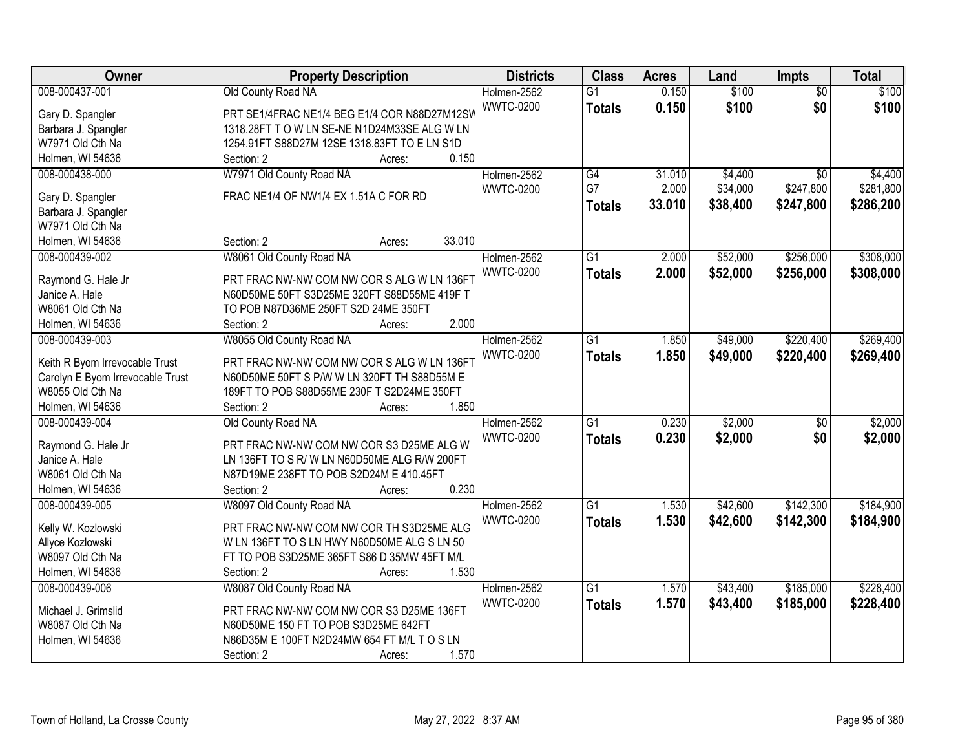| Owner                            | <b>Property Description</b>                                                         | <b>Districts</b> | <b>Class</b>    | <b>Acres</b> | Land     | Impts           | <b>Total</b> |
|----------------------------------|-------------------------------------------------------------------------------------|------------------|-----------------|--------------|----------|-----------------|--------------|
| 008-000437-001                   | Old County Road NA                                                                  | Holmen-2562      | $\overline{G1}$ | 0.150        | \$100    | $\overline{50}$ | \$100        |
| Gary D. Spangler                 | PRT SE1/4FRAC NE1/4 BEG E1/4 COR N88D27M12SW                                        | <b>WWTC-0200</b> | <b>Totals</b>   | 0.150        | \$100    | \$0             | \$100        |
| Barbara J. Spangler              | 1318.28FT TO W LN SE-NE N1D24M33SE ALG W LN                                         |                  |                 |              |          |                 |              |
| W7971 Old Cth Na                 | 1254.91FT S88D27M 12SE 1318.83FT TO E LN S1D                                        |                  |                 |              |          |                 |              |
| Holmen, WI 54636                 | 0.150<br>Section: 2<br>Acres:                                                       |                  |                 |              |          |                 |              |
| 008-000438-000                   | W7971 Old County Road NA                                                            | Holmen-2562      | $\overline{G4}$ | 31.010       | \$4,400  | $\overline{30}$ | \$4,400      |
|                                  |                                                                                     | <b>WWTC-0200</b> | G7              | 2.000        | \$34,000 | \$247,800       | \$281,800    |
| Gary D. Spangler                 | FRAC NE1/4 OF NW1/4 EX 1.51A C FOR RD                                               |                  | <b>Totals</b>   | 33.010       | \$38,400 | \$247,800       | \$286,200    |
| Barbara J. Spangler              |                                                                                     |                  |                 |              |          |                 |              |
| W7971 Old Cth Na                 |                                                                                     |                  |                 |              |          |                 |              |
| Holmen, WI 54636                 | 33.010<br>Section: 2<br>Acres:                                                      |                  |                 |              |          |                 |              |
| 008-000439-002                   | W8061 Old County Road NA                                                            | Holmen-2562      | G1              | 2.000        | \$52,000 | \$256,000       | \$308,000    |
| Raymond G. Hale Jr               | PRT FRAC NW-NW COM NW COR S ALG W LN 136FT                                          | <b>WWTC-0200</b> | <b>Totals</b>   | 2.000        | \$52,000 | \$256,000       | \$308,000    |
| Janice A. Hale                   | N60D50ME 50FT S3D25ME 320FT S88D55ME 419F T                                         |                  |                 |              |          |                 |              |
| W8061 Old Cth Na                 | TO POB N87D36ME 250FT S2D 24ME 350FT                                                |                  |                 |              |          |                 |              |
| Holmen, WI 54636                 | 2.000<br>Section: 2<br>Acres:                                                       |                  |                 |              |          |                 |              |
| 008-000439-003                   | W8055 Old County Road NA                                                            | Holmen-2562      | $\overline{G1}$ | 1.850        | \$49,000 | \$220,400       | \$269,400    |
|                                  |                                                                                     | <b>WWTC-0200</b> | <b>Totals</b>   | 1.850        | \$49,000 | \$220,400       | \$269,400    |
| Keith R Byom Irrevocable Trust   | PRT FRAC NW-NW COM NW COR S ALG W LN 136FT                                          |                  |                 |              |          |                 |              |
| Carolyn E Byom Irrevocable Trust | N60D50ME 50FT S P/W W LN 320FT TH S88D55M E                                         |                  |                 |              |          |                 |              |
| W8055 Old Cth Na                 | 189FT TO POB S88D55ME 230F T S2D24ME 350FT                                          |                  |                 |              |          |                 |              |
| Holmen, WI 54636                 | 1.850<br>Section: 2<br>Acres:                                                       |                  |                 |              |          |                 |              |
| 008-000439-004                   | Old County Road NA                                                                  | Holmen-2562      | $\overline{G1}$ | 0.230        | \$2,000  | $\overline{50}$ | \$2,000      |
| Raymond G. Hale Jr               | PRT FRAC NW-NW COM NW COR S3 D25ME ALG W                                            | <b>WWTC-0200</b> | <b>Totals</b>   | 0.230        | \$2,000  | \$0             | \$2,000      |
| Janice A. Hale                   | LN 136FT TO S R/W LN N60D50ME ALG R/W 200FT                                         |                  |                 |              |          |                 |              |
| W8061 Old Cth Na                 | N87D19ME 238FT TO POB S2D24M E 410.45FT                                             |                  |                 |              |          |                 |              |
| Holmen, WI 54636                 | 0.230<br>Section: 2<br>Acres:                                                       |                  |                 |              |          |                 |              |
| 008-000439-005                   | W8097 Old County Road NA                                                            | Holmen-2562      | $\overline{G1}$ | 1.530        | \$42,600 | \$142,300       | \$184,900    |
|                                  |                                                                                     | <b>WWTC-0200</b> |                 |              |          |                 |              |
| Kelly W. Kozlowski               | PRT FRAC NW-NW COM NW COR TH S3D25ME ALG                                            |                  | <b>Totals</b>   | 1.530        | \$42,600 | \$142,300       | \$184,900    |
| Allyce Kozlowski                 | W LN 136FT TO S LN HWY N60D50ME ALG S LN 50                                         |                  |                 |              |          |                 |              |
| W8097 Old Cth Na                 | FT TO POB S3D25ME 365FT S86 D 35MW 45FT M/L                                         |                  |                 |              |          |                 |              |
| Holmen, WI 54636                 | 1.530<br>Section: 2<br>Acres:                                                       |                  |                 |              |          |                 |              |
| 008-000439-006                   | W8087 Old County Road NA                                                            | Holmen-2562      | $\overline{G1}$ | 1.570        | \$43,400 | \$185,000       | \$228,400    |
|                                  | PRT FRAC NW-NW COM NW COR S3 D25ME 136FT                                            | <b>WWTC-0200</b> | <b>Totals</b>   | 1.570        | \$43,400 | \$185,000       | \$228,400    |
| Michael J. Grimslid              |                                                                                     |                  |                 |              |          |                 |              |
| W8087 Old Cth Na                 | N60D50ME 150 FT TO POB S3D25ME 642FT<br>N86D35M E 100FT N2D24MW 654 FT M/L T O S LN |                  |                 |              |          |                 |              |
| Holmen, WI 54636                 |                                                                                     |                  |                 |              |          |                 |              |
|                                  | 1.570<br>Section: 2<br>Acres:                                                       |                  |                 |              |          |                 |              |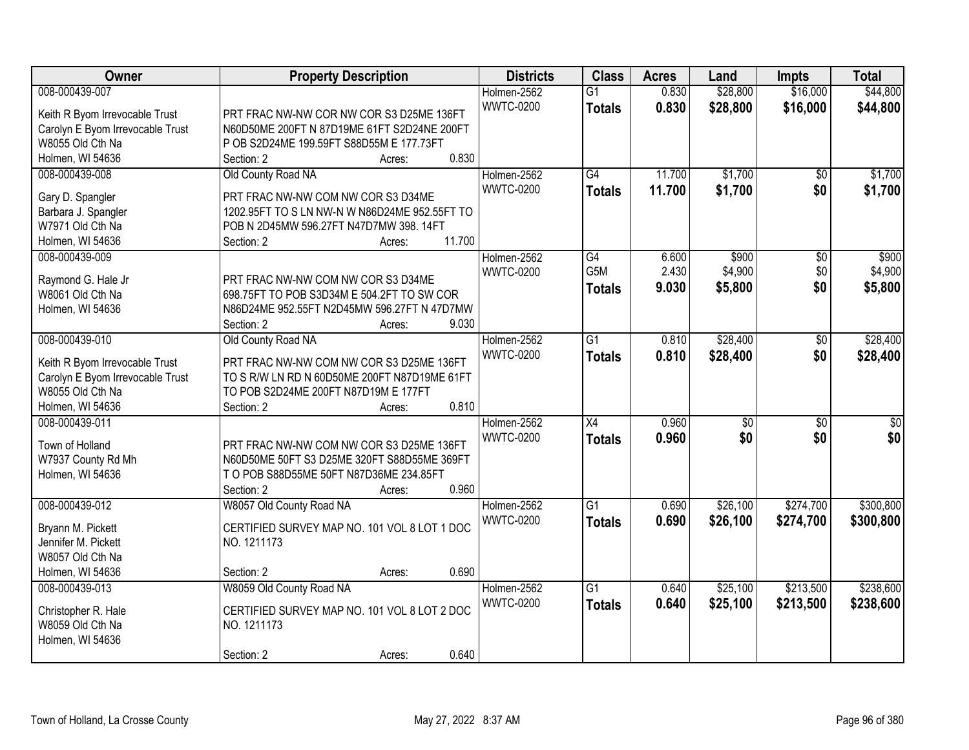| Owner                            | <b>Property Description</b>                          | <b>Districts</b> | <b>Class</b>    | <b>Acres</b> | Land            | Impts           | <b>Total</b>    |
|----------------------------------|------------------------------------------------------|------------------|-----------------|--------------|-----------------|-----------------|-----------------|
| 008-000439-007                   |                                                      | Holmen-2562      | $\overline{G1}$ | 0.830        | \$28,800        | \$16,000        | \$44,800        |
| Keith R Byom Irrevocable Trust   | PRT FRAC NW-NW COR NW COR S3 D25ME 136FT             | <b>WWTC-0200</b> | <b>Totals</b>   | 0.830        | \$28,800        | \$16,000        | \$44,800        |
| Carolyn E Byom Irrevocable Trust | N60D50ME 200FT N 87D19ME 61FT S2D24NE 200FT          |                  |                 |              |                 |                 |                 |
| W8055 Old Cth Na                 | P OB S2D24ME 199.59FT S88D55M E 177.73FT             |                  |                 |              |                 |                 |                 |
| Holmen, WI 54636                 | 0.830<br>Section: 2<br>Acres:                        |                  |                 |              |                 |                 |                 |
| 008-000439-008                   | Old County Road NA                                   | Holmen-2562      | $\overline{G4}$ | 11.700       | \$1,700         | $\overline{50}$ | \$1,700         |
|                                  |                                                      | <b>WWTC-0200</b> |                 | 11.700       |                 |                 |                 |
| Gary D. Spangler                 | PRT FRAC NW-NW COM NW COR S3 D34ME                   |                  | <b>Totals</b>   |              | \$1,700         | \$0             | \$1,700         |
| Barbara J. Spangler              | 1202.95FT TO S LN NW-N W N86D24ME 952.55FT TO        |                  |                 |              |                 |                 |                 |
| W7971 Old Cth Na                 | POB N 2D45MW 596.27FT N47D7MW 398.14FT               |                  |                 |              |                 |                 |                 |
| Holmen, WI 54636                 | 11.700<br>Section: 2<br>Acres:                       |                  |                 |              |                 |                 |                 |
| 008-000439-009                   |                                                      | Holmen-2562      | G4              | 6.600        | \$900           | \$0             | \$900           |
|                                  |                                                      | <b>WWTC-0200</b> | G5M             | 2.430        | \$4,900         | \$0             | \$4,900         |
| Raymond G. Hale Jr               | PRT FRAC NW-NW COM NW COR S3 D34ME                   |                  | Totals          | 9.030        | \$5,800         | \$0             | \$5,800         |
| W8061 Old Cth Na                 | 698.75FT TO POB S3D34M E 504.2FT TO SW COR           |                  |                 |              |                 |                 |                 |
| Holmen, WI 54636                 | N86D24ME 952.55FT N2D45MW 596.27FT N 47D7MW<br>9.030 |                  |                 |              |                 |                 |                 |
|                                  | Section: 2<br>Acres:                                 |                  |                 |              |                 |                 |                 |
| 008-000439-010                   | Old County Road NA                                   | Holmen-2562      | $\overline{G1}$ | 0.810        | \$28,400        | \$0             | \$28,400        |
| Keith R Byom Irrevocable Trust   | PRT FRAC NW-NW COM NW COR S3 D25ME 136FT             | <b>WWTC-0200</b> | <b>Totals</b>   | 0.810        | \$28,400        | \$0             | \$28,400        |
| Carolyn E Byom Irrevocable Trust | TO S R/W LN RD N 60D50ME 200FT N87D19ME 61FT         |                  |                 |              |                 |                 |                 |
| W8055 Old Cth Na                 | TO POB S2D24ME 200FT N87D19M E 177FT                 |                  |                 |              |                 |                 |                 |
| Holmen, WI 54636                 | 0.810<br>Section: 2<br>Acres:                        |                  |                 |              |                 |                 |                 |
| 008-000439-011                   |                                                      | Holmen-2562      | $\overline{X4}$ | 0.960        | $\overline{30}$ | $\overline{30}$ | $\overline{30}$ |
|                                  |                                                      | <b>WWTC-0200</b> | <b>Totals</b>   | 0.960        | \$0             | \$0             | \$0             |
| Town of Holland                  | PRT FRAC NW-NW COM NW COR S3 D25ME 136FT             |                  |                 |              |                 |                 |                 |
| W7937 County Rd Mh               | N60D50ME 50FT S3 D25ME 320FT S88D55ME 369FT          |                  |                 |              |                 |                 |                 |
| Holmen, WI 54636                 | T O POB S88D55ME 50FT N87D36ME 234.85FT              |                  |                 |              |                 |                 |                 |
|                                  | Section: 2<br>0.960<br>Acres:                        |                  |                 |              |                 |                 |                 |
| 008-000439-012                   | W8057 Old County Road NA                             | Holmen-2562      | $\overline{G1}$ | 0.690        | \$26,100        | \$274,700       | \$300,800       |
| Bryann M. Pickett                | CERTIFIED SURVEY MAP NO. 101 VOL 8 LOT 1 DOC         | <b>WWTC-0200</b> | <b>Totals</b>   | 0.690        | \$26,100        | \$274,700       | \$300,800       |
| Jennifer M. Pickett              | NO. 1211173                                          |                  |                 |              |                 |                 |                 |
| W8057 Old Cth Na                 |                                                      |                  |                 |              |                 |                 |                 |
| Holmen, WI 54636                 | 0.690<br>Section: 2<br>Acres:                        |                  |                 |              |                 |                 |                 |
| 008-000439-013                   | W8059 Old County Road NA                             | Holmen-2562      | $\overline{G1}$ | 0.640        | \$25,100        | \$213,500       | \$238,600       |
|                                  |                                                      | <b>WWTC-0200</b> | <b>Totals</b>   | 0.640        | \$25,100        | \$213,500       | \$238,600       |
| Christopher R. Hale              | CERTIFIED SURVEY MAP NO. 101 VOL 8 LOT 2 DOC         |                  |                 |              |                 |                 |                 |
| W8059 Old Cth Na                 | NO. 1211173                                          |                  |                 |              |                 |                 |                 |
| Holmen, WI 54636                 |                                                      |                  |                 |              |                 |                 |                 |
|                                  | 0.640<br>Section: 2<br>Acres:                        |                  |                 |              |                 |                 |                 |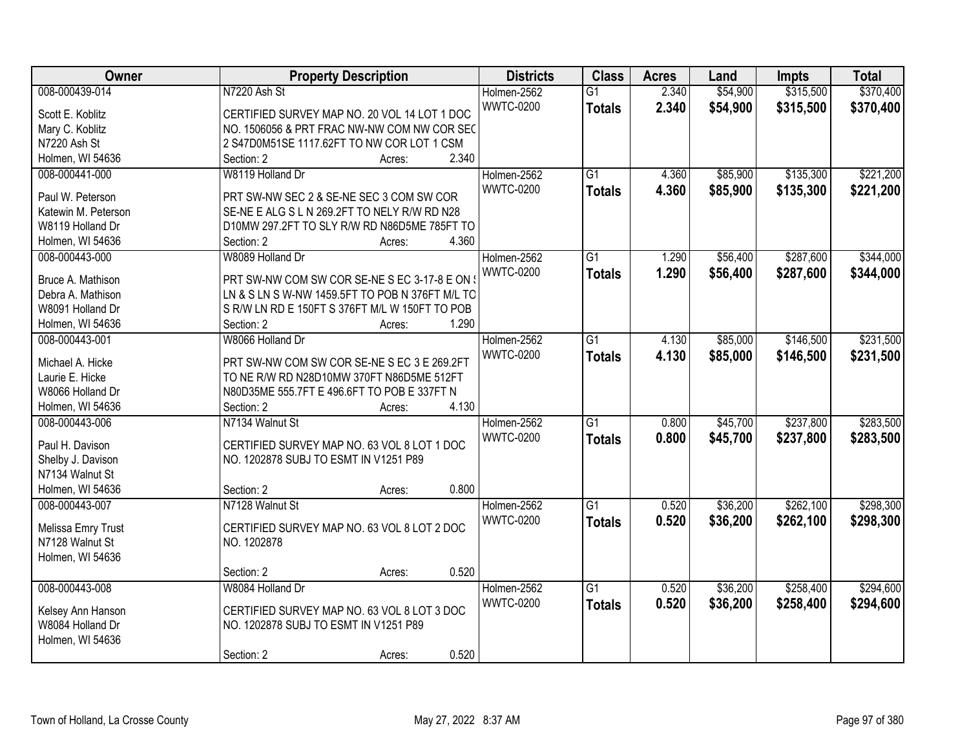| <b>Owner</b>                         | <b>Property Description</b>                     | <b>Districts</b> | <b>Class</b>    | <b>Acres</b> | Land     | <b>Impts</b> | <b>Total</b> |
|--------------------------------------|-------------------------------------------------|------------------|-----------------|--------------|----------|--------------|--------------|
| 008-000439-014                       | N7220 Ash St                                    | Holmen-2562      | $\overline{G1}$ | 2.340        | \$54,900 | \$315,500    | \$370,400    |
| Scott E. Koblitz                     | CERTIFIED SURVEY MAP NO. 20 VOL 14 LOT 1 DOC    | <b>WWTC-0200</b> | <b>Totals</b>   | 2.340        | \$54,900 | \$315,500    | \$370,400    |
| Mary C. Koblitz                      | NO. 1506056 & PRT FRAC NW-NW COM NW COR SEC     |                  |                 |              |          |              |              |
| N7220 Ash St                         | 2 S47D0M51SE 1117.62FT TO NW COR LOT 1 CSM      |                  |                 |              |          |              |              |
| Holmen, WI 54636                     | 2.340<br>Section: 2<br>Acres:                   |                  |                 |              |          |              |              |
| 008-000441-000                       | W8119 Holland Dr                                | Holmen-2562      | $\overline{G1}$ | 4.360        | \$85,900 | \$135,300    | \$221,200    |
|                                      |                                                 | <b>WWTC-0200</b> | <b>Totals</b>   | 4.360        | \$85,900 | \$135,300    | \$221,200    |
| Paul W. Peterson                     | PRT SW-NW SEC 2 & SE-NE SEC 3 COM SW COR        |                  |                 |              |          |              |              |
| Katewin M. Peterson                  | SE-NE E ALG S L N 269.2FT TO NELY R/W RD N28    |                  |                 |              |          |              |              |
| W8119 Holland Dr                     | D10MW 297.2FT TO SLY R/W RD N86D5ME 785FT TO    |                  |                 |              |          |              |              |
| Holmen, WI 54636                     | 4.360<br>Section: 2<br>Acres:                   |                  |                 |              |          |              |              |
| 008-000443-000                       | W8089 Holland Dr                                | Holmen-2562      | $\overline{G1}$ | 1.290        | \$56,400 | \$287,600    | \$344,000    |
| Bruce A. Mathison                    | PRT SW-NW COM SW COR SE-NE S EC 3-17-8 E ON     | <b>WWTC-0200</b> | <b>Totals</b>   | 1.290        | \$56,400 | \$287,600    | \$344,000    |
| Debra A. Mathison                    | LN & S LN S W-NW 1459.5FT TO POB N 376FT M/L TO |                  |                 |              |          |              |              |
| W8091 Holland Dr                     | S R/W LN RD E 150FT S 376FT M/L W 150FT TO POB  |                  |                 |              |          |              |              |
| Holmen, WI 54636                     | 1.290<br>Section: 2<br>Acres:                   |                  |                 |              |          |              |              |
| 008-000443-001                       | W8066 Holland Dr                                | Holmen-2562      | $\overline{G1}$ | 4.130        | \$85,000 | \$146,500    | \$231,500    |
|                                      |                                                 | <b>WWTC-0200</b> |                 | 4.130        | \$85,000 | \$146,500    |              |
| Michael A. Hicke                     | PRT SW-NW COM SW COR SE-NE S EC 3 E 269.2FT     |                  | <b>Totals</b>   |              |          |              | \$231,500    |
| Laurie E. Hicke                      | TO NE R/W RD N28D10MW 370FT N86D5ME 512FT       |                  |                 |              |          |              |              |
| W8066 Holland Dr                     | N80D35ME 555.7FT E 496.6FT TO POB E 337FT N     |                  |                 |              |          |              |              |
| Holmen, WI 54636                     | 4.130<br>Section: 2<br>Acres:                   |                  |                 |              |          |              |              |
| 008-000443-006                       | N7134 Walnut St                                 | Holmen-2562      | $\overline{G1}$ | 0.800        | \$45,700 | \$237,800    | \$283,500    |
| Paul H. Davison                      |                                                 | <b>WWTC-0200</b> | <b>Totals</b>   | 0.800        | \$45,700 | \$237,800    | \$283,500    |
|                                      | CERTIFIED SURVEY MAP NO. 63 VOL 8 LOT 1 DOC     |                  |                 |              |          |              |              |
| Shelby J. Davison<br>N7134 Walnut St | NO. 1202878 SUBJ TO ESMT IN V1251 P89           |                  |                 |              |          |              |              |
|                                      | 0.800                                           |                  |                 |              |          |              |              |
| Holmen, WI 54636                     | Section: 2<br>Acres:                            |                  |                 |              |          |              |              |
| 008-000443-007                       | N7128 Walnut St                                 | Holmen-2562      | $\overline{G1}$ | 0.520        | \$36,200 | \$262,100    | \$298,300    |
| Melissa Emry Trust                   | CERTIFIED SURVEY MAP NO. 63 VOL 8 LOT 2 DOC     | <b>WWTC-0200</b> | <b>Totals</b>   | 0.520        | \$36,200 | \$262,100    | \$298,300    |
| N7128 Walnut St                      | NO. 1202878                                     |                  |                 |              |          |              |              |
| Holmen, WI 54636                     |                                                 |                  |                 |              |          |              |              |
|                                      | 0.520<br>Section: 2<br>Acres:                   |                  |                 |              |          |              |              |
| 008-000443-008                       | W8084 Holland Dr                                | Holmen-2562      | $\overline{G1}$ | 0.520        | \$36,200 | \$258,400    | \$294,600    |
|                                      |                                                 | <b>WWTC-0200</b> | <b>Totals</b>   | 0.520        | \$36,200 | \$258,400    | \$294,600    |
| Kelsey Ann Hanson                    | CERTIFIED SURVEY MAP NO. 63 VOL 8 LOT 3 DOC     |                  |                 |              |          |              |              |
| W8084 Holland Dr                     | NO. 1202878 SUBJ TO ESMT IN V1251 P89           |                  |                 |              |          |              |              |
| Holmen, WI 54636                     |                                                 |                  |                 |              |          |              |              |
|                                      | 0.520<br>Section: 2<br>Acres:                   |                  |                 |              |          |              |              |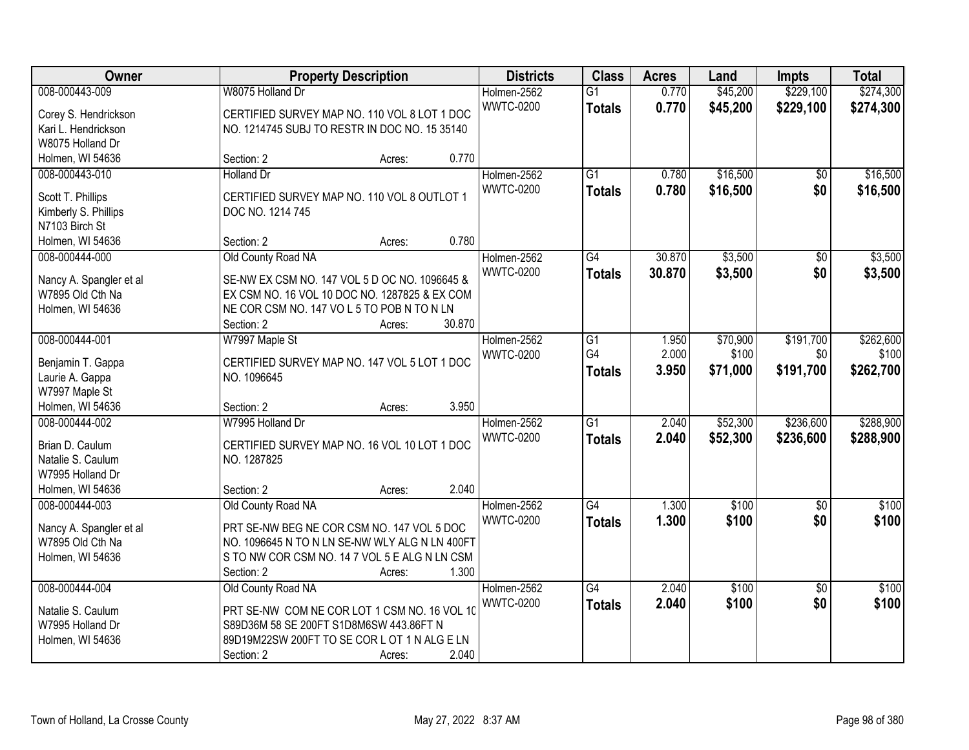| Owner                                  | <b>Property Description</b>                    | <b>Districts</b> | <b>Class</b>     | <b>Acres</b>    | Land   | <b>Impts</b> | <b>Total</b>    |           |
|----------------------------------------|------------------------------------------------|------------------|------------------|-----------------|--------|--------------|-----------------|-----------|
| 008-000443-009                         | W8075 Holland Dr                               |                  | Holmen-2562      | $\overline{G1}$ | 0.770  | \$45,200     | \$229,100       | \$274,300 |
| Corey S. Hendrickson                   | CERTIFIED SURVEY MAP NO. 110 VOL 8 LOT 1 DOC   |                  | <b>WWTC-0200</b> | <b>Totals</b>   | 0.770  | \$45,200     | \$229,100       | \$274,300 |
| Kari L. Hendrickson                    | NO. 1214745 SUBJ TO RESTR IN DOC NO. 15 35140  |                  |                  |                 |        |              |                 |           |
| W8075 Holland Dr                       |                                                |                  |                  |                 |        |              |                 |           |
| Holmen, WI 54636                       | Section: 2                                     | Acres:           | 0.770            |                 |        |              |                 |           |
| 008-000443-010                         | <b>Holland Dr</b>                              |                  | Holmen-2562      | $\overline{G1}$ | 0.780  | \$16,500     | \$0             | \$16,500  |
|                                        | CERTIFIED SURVEY MAP NO. 110 VOL 8 OUTLOT 1    |                  | <b>WWTC-0200</b> | <b>Totals</b>   | 0.780  | \$16,500     | \$0             | \$16,500  |
| Scott T. Phillips                      | DOC NO. 1214 745                               |                  |                  |                 |        |              |                 |           |
| Kimberly S. Phillips<br>N7103 Birch St |                                                |                  |                  |                 |        |              |                 |           |
| Holmen, WI 54636                       | Section: 2                                     | Acres:           | 0.780            |                 |        |              |                 |           |
| 008-000444-000                         | Old County Road NA                             |                  | Holmen-2562      | G4              | 30.870 | \$3,500      | \$0             | \$3,500   |
|                                        |                                                |                  | <b>WWTC-0200</b> | <b>Totals</b>   | 30.870 | \$3,500      | \$0             | \$3,500   |
| Nancy A. Spangler et al                | SE-NW EX CSM NO. 147 VOL 5 D OC NO. 1096645 &  |                  |                  |                 |        |              |                 |           |
| W7895 Old Cth Na                       | EX CSM NO. 16 VOL 10 DOC NO. 1287825 & EX COM  |                  |                  |                 |        |              |                 |           |
| Holmen, WI 54636                       | NE COR CSM NO. 147 VOL 5 TO POB N TO N LN      |                  |                  |                 |        |              |                 |           |
|                                        | Section: 2                                     | Acres:           | 30.870           |                 |        |              |                 |           |
| 008-000444-001                         | W7997 Maple St                                 |                  | Holmen-2562      | G1              | 1.950  | \$70,900     | \$191,700       | \$262,600 |
| Benjamin T. Gappa                      | CERTIFIED SURVEY MAP NO. 147 VOL 5 LOT 1 DOC   |                  | <b>WWTC-0200</b> | G4              | 2.000  | \$100        | \$0             | \$100     |
| Laurie A. Gappa                        | NO. 1096645                                    |                  |                  | <b>Totals</b>   | 3.950  | \$71,000     | \$191,700       | \$262,700 |
| W7997 Maple St                         |                                                |                  |                  |                 |        |              |                 |           |
| Holmen, WI 54636                       | Section: 2                                     | Acres:           | 3.950            |                 |        |              |                 |           |
| 008-000444-002                         | W7995 Holland Dr                               |                  | Holmen-2562      | $\overline{G1}$ | 2.040  | \$52,300     | \$236,600       | \$288,900 |
|                                        |                                                |                  | <b>WWTC-0200</b> | <b>Totals</b>   | 2.040  | \$52,300     | \$236,600       | \$288,900 |
| Brian D. Caulum                        | CERTIFIED SURVEY MAP NO. 16 VOL 10 LOT 1 DOC   |                  |                  |                 |        |              |                 |           |
| Natalie S. Caulum<br>W7995 Holland Dr  | NO. 1287825                                    |                  |                  |                 |        |              |                 |           |
| Holmen, WI 54636                       | Section: 2                                     |                  | 2.040            |                 |        |              |                 |           |
| 008-000444-003                         | Old County Road NA                             | Acres:           | Holmen-2562      | $\overline{G4}$ | 1.300  | \$100        | $\overline{50}$ | \$100     |
|                                        |                                                |                  | <b>WWTC-0200</b> |                 | 1.300  |              | \$0             | \$100     |
| Nancy A. Spangler et al                | PRT SE-NW BEG NE COR CSM NO. 147 VOL 5 DOC     |                  |                  | <b>Totals</b>   |        | \$100        |                 |           |
| W7895 Old Cth Na                       | NO. 1096645 N TO N LN SE-NW WLY ALG N LN 400FT |                  |                  |                 |        |              |                 |           |
| Holmen, WI 54636                       | S TO NW COR CSM NO. 14 7 VOL 5 E ALG N LN CSM  |                  |                  |                 |        |              |                 |           |
|                                        | Section: 2                                     | Acres:           | 1.300            |                 |        |              |                 |           |
| 008-000444-004                         | Old County Road NA                             |                  | Holmen-2562      | $\overline{G4}$ | 2.040  | \$100        | $\overline{50}$ | \$100     |
| Natalie S. Caulum                      | PRT SE-NW COM NE COR LOT 1 CSM NO. 16 VOL 10   |                  | <b>WWTC-0200</b> | <b>Totals</b>   | 2.040  | \$100        | \$0             | \$100     |
| W7995 Holland Dr                       | S89D36M 58 SE 200FT S1D8M6SW 443.86FT N        |                  |                  |                 |        |              |                 |           |
| Holmen, WI 54636                       | 89D19M22SW 200FT TO SE COR L OT 1 N ALG E LN   |                  |                  |                 |        |              |                 |           |
|                                        | Section: 2                                     | Acres:           | 2.040            |                 |        |              |                 |           |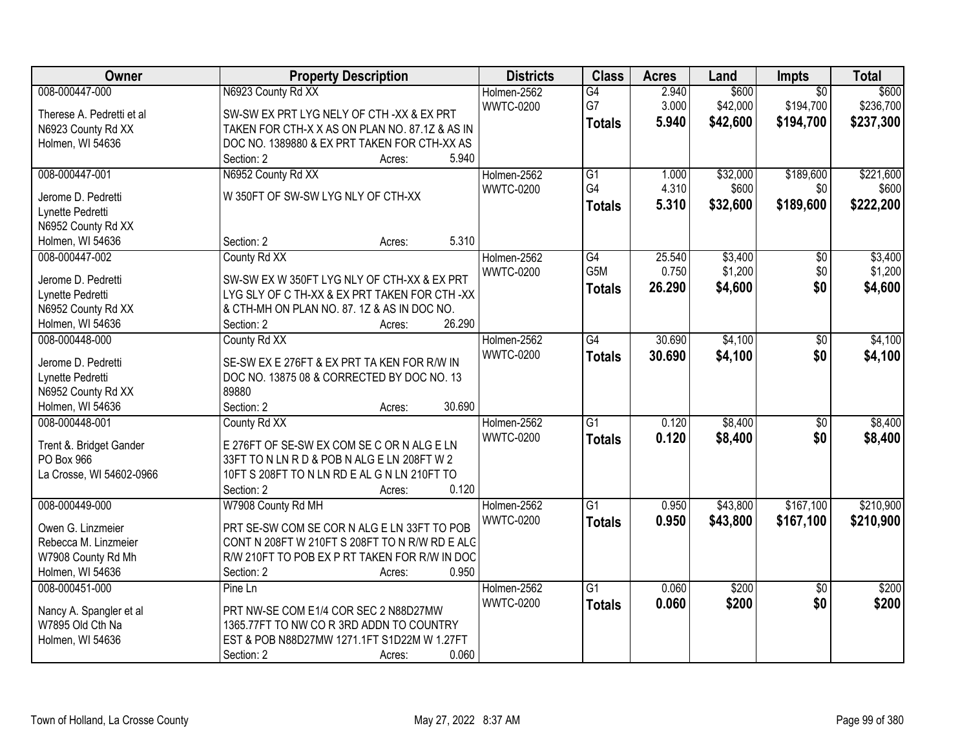| Owner                              | <b>Property Description</b>                    | <b>Districts</b> | <b>Class</b>    | <b>Acres</b> | Land     | Impts                  | <b>Total</b> |
|------------------------------------|------------------------------------------------|------------------|-----------------|--------------|----------|------------------------|--------------|
| 008-000447-000                     | N6923 County Rd XX                             | Holmen-2562      | G4              | 2.940        | \$600    | $\overline{50}$        | \$600        |
| Therese A. Pedretti et al          | SW-SW EX PRT LYG NELY OF CTH -XX & EX PRT      | <b>WWTC-0200</b> | G7              | 3.000        | \$42,000 | \$194,700              | \$236,700    |
| N6923 County Rd XX                 | TAKEN FOR CTH-X X AS ON PLAN NO. 87.1Z & AS IN |                  | <b>Totals</b>   | 5.940        | \$42,600 | \$194,700              | \$237,300    |
| Holmen, WI 54636                   | DOC NO. 1389880 & EX PRT TAKEN FOR CTH-XX AS   |                  |                 |              |          |                        |              |
|                                    | 5.940<br>Section: 2<br>Acres:                  |                  |                 |              |          |                        |              |
| 008-000447-001                     | N6952 County Rd XX                             | Holmen-2562      | G1              | 1.000        | \$32,000 | \$189,600              | \$221,600    |
|                                    |                                                | <b>WWTC-0200</b> | G4              | 4.310        | \$600    | \$0                    | \$600        |
| Jerome D. Pedretti                 | W 350FT OF SW-SW LYG NLY OF CTH-XX             |                  | <b>Totals</b>   | 5.310        | \$32,600 | \$189,600              | \$222,200    |
| Lynette Pedretti                   |                                                |                  |                 |              |          |                        |              |
| N6952 County Rd XX                 | 5.310<br>Section: 2                            |                  |                 |              |          |                        |              |
| Holmen, WI 54636<br>008-000447-002 | Acres:                                         |                  | $\overline{G4}$ | 25.540       | \$3,400  |                        | \$3,400      |
|                                    | County Rd XX                                   | Holmen-2562      | G5M             | 0.750        | \$1,200  | $\overline{50}$<br>\$0 |              |
| Jerome D. Pedretti                 | SW-SW EX W 350FT LYG NLY OF CTH-XX & EX PRT    | <b>WWTC-0200</b> |                 |              |          |                        | \$1,200      |
| Lynette Pedretti                   | LYG SLY OF C TH-XX & EX PRT TAKEN FOR CTH -XX  |                  | <b>Totals</b>   | 26.290       | \$4,600  | \$0                    | \$4,600      |
| N6952 County Rd XX                 | & CTH-MH ON PLAN NO. 87. 1Z & AS IN DOC NO.    |                  |                 |              |          |                        |              |
| Holmen, WI 54636                   | 26.290<br>Section: 2<br>Acres:                 |                  |                 |              |          |                        |              |
| 008-000448-000                     | County Rd XX                                   | Holmen-2562      | $\overline{G4}$ | 30.690       | \$4,100  | \$0                    | \$4,100      |
| Jerome D. Pedretti                 | SE-SW EX E 276FT & EX PRT TA KEN FOR R/W IN    | <b>WWTC-0200</b> | <b>Totals</b>   | 30.690       | \$4,100  | \$0                    | \$4,100      |
| Lynette Pedretti                   | DOC NO. 13875 08 & CORRECTED BY DOC NO. 13     |                  |                 |              |          |                        |              |
| N6952 County Rd XX                 | 89880                                          |                  |                 |              |          |                        |              |
| Holmen, WI 54636                   | 30.690<br>Section: 2<br>Acres:                 |                  |                 |              |          |                        |              |
| 008-000448-001                     | County Rd XX                                   | Holmen-2562      | $\overline{G1}$ | 0.120        | \$8,400  | $\overline{50}$        | \$8,400      |
|                                    |                                                | <b>WWTC-0200</b> | <b>Totals</b>   | 0.120        | \$8,400  | \$0                    | \$8,400      |
| Trent &. Bridget Gander            | E 276FT OF SE-SW EX COM SE C OR N ALG E LN     |                  |                 |              |          |                        |              |
| PO Box 966                         | 33FT TO N LN R D & POB N ALG E LN 208FT W 2    |                  |                 |              |          |                        |              |
| La Crosse, WI 54602-0966           | 10FT S 208FT TO N LN RD E AL G N LN 210FT TO   |                  |                 |              |          |                        |              |
|                                    | 0.120<br>Section: 2<br>Acres:                  |                  |                 |              |          |                        |              |
| 008-000449-000                     | W7908 County Rd MH                             | Holmen-2562      | G1              | 0.950        | \$43,800 | \$167,100              | \$210,900    |
| Owen G. Linzmeier                  | PRT SE-SW COM SE COR N ALG E LN 33FT TO POB    | <b>WWTC-0200</b> | <b>Totals</b>   | 0.950        | \$43,800 | \$167,100              | \$210,900    |
| Rebecca M. Linzmeier               | CONT N 208FT W 210FT S 208FT TO N R/W RD E ALC |                  |                 |              |          |                        |              |
| W7908 County Rd Mh                 | R/W 210FT TO POB EX P RT TAKEN FOR R/W IN DOC  |                  |                 |              |          |                        |              |
| Holmen, WI 54636                   | 0.950<br>Section: 2<br>Acres:                  |                  |                 |              |          |                        |              |
| 008-000451-000                     | Pine Ln                                        | Holmen-2562      | $\overline{G1}$ | 0.060        | \$200    | $\overline{50}$        | \$200        |
|                                    |                                                | <b>WWTC-0200</b> | <b>Totals</b>   | 0.060        | \$200    | \$0                    | \$200        |
| Nancy A. Spangler et al            | PRT NW-SE COM E1/4 COR SEC 2 N88D27MW          |                  |                 |              |          |                        |              |
| W7895 Old Cth Na                   | 1365.77FT TO NW CO R 3RD ADDN TO COUNTRY       |                  |                 |              |          |                        |              |
| Holmen, WI 54636                   | EST & POB N88D27MW 1271.1FT S1D22M W 1.27FT    |                  |                 |              |          |                        |              |
|                                    | 0.060<br>Section: 2<br>Acres:                  |                  |                 |              |          |                        |              |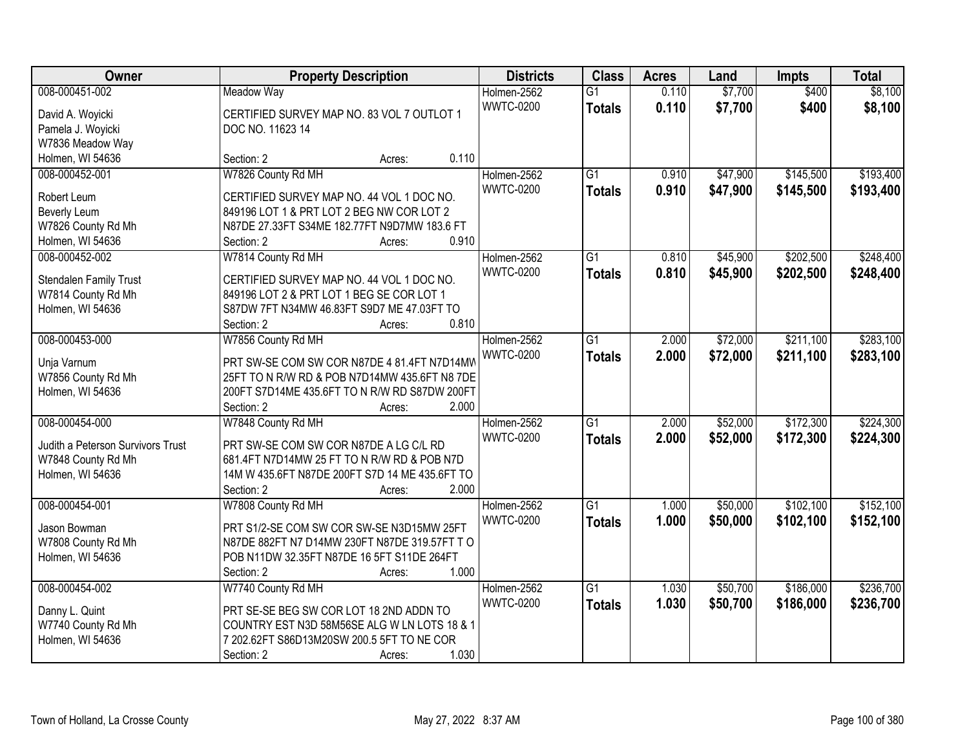| Owner                             | <b>Property Description</b>                           | <b>Districts</b> | <b>Class</b>    | <b>Acres</b> | Land     | <b>Impts</b> | <b>Total</b> |
|-----------------------------------|-------------------------------------------------------|------------------|-----------------|--------------|----------|--------------|--------------|
| 008-000451-002                    | <b>Meadow Way</b>                                     | Holmen-2562      | $\overline{G1}$ | 0.110        | \$7,700  | \$400        | \$8,100      |
| David A. Woyicki                  | CERTIFIED SURVEY MAP NO. 83 VOL 7 OUTLOT 1            | <b>WWTC-0200</b> | <b>Totals</b>   | 0.110        | \$7,700  | \$400        | \$8,100      |
| Pamela J. Woyicki                 | DOC NO. 11623 14                                      |                  |                 |              |          |              |              |
| W7836 Meadow Way                  |                                                       |                  |                 |              |          |              |              |
| Holmen, WI 54636                  | 0.110<br>Section: 2<br>Acres:                         |                  |                 |              |          |              |              |
| 008-000452-001                    | W7826 County Rd MH                                    | Holmen-2562      | $\overline{G1}$ | 0.910        | \$47,900 | \$145,500    | \$193,400    |
|                                   |                                                       | <b>WWTC-0200</b> | <b>Totals</b>   | 0.910        | \$47,900 | \$145,500    | \$193,400    |
| Robert Leum                       | CERTIFIED SURVEY MAP NO. 44 VOL 1 DOC NO.             |                  |                 |              |          |              |              |
| Beverly Leum                      | 849196 LOT 1 & PRT LOT 2 BEG NW COR LOT 2             |                  |                 |              |          |              |              |
| W7826 County Rd Mh                | N87DE 27.33FT S34ME 182.77FT N9D7MW 183.6 FT<br>0.910 |                  |                 |              |          |              |              |
| Holmen, WI 54636                  | Section: 2<br>Acres:                                  |                  |                 |              |          |              |              |
| 008-000452-002                    | W7814 County Rd MH                                    | Holmen-2562      | G1              | 0.810        | \$45,900 | \$202,500    | \$248,400    |
| Stendalen Family Trust            | CERTIFIED SURVEY MAP NO. 44 VOL 1 DOC NO.             | <b>WWTC-0200</b> | <b>Totals</b>   | 0.810        | \$45,900 | \$202,500    | \$248,400    |
| W7814 County Rd Mh                | 849196 LOT 2 & PRT LOT 1 BEG SE COR LOT 1             |                  |                 |              |          |              |              |
| Holmen, WI 54636                  | S87DW 7FT N34MW 46.83FT S9D7 ME 47.03FT TO            |                  |                 |              |          |              |              |
|                                   | 0.810<br>Section: 2<br>Acres:                         |                  |                 |              |          |              |              |
| 008-000453-000                    | W7856 County Rd MH                                    | Holmen-2562      | $\overline{G1}$ | 2.000        | \$72,000 | \$211,100    | \$283,100    |
| Unja Varnum                       | PRT SW-SE COM SW COR N87DE 4 81.4FT N7D14MW           | <b>WWTC-0200</b> | <b>Totals</b>   | 2.000        | \$72,000 | \$211,100    | \$283,100    |
| W7856 County Rd Mh                | 25FT TO N R/W RD & POB N7D14MW 435.6FT N8 7DE         |                  |                 |              |          |              |              |
| Holmen, WI 54636                  | 200FT S7D14ME 435.6FT TO N R/W RD S87DW 200FT         |                  |                 |              |          |              |              |
|                                   | 2.000<br>Section: 2<br>Acres:                         |                  |                 |              |          |              |              |
| 008-000454-000                    | W7848 County Rd MH                                    | Holmen-2562      | $\overline{G1}$ | 2.000        | \$52,000 | \$172,300    | \$224,300    |
|                                   |                                                       | <b>WWTC-0200</b> | <b>Totals</b>   | 2.000        | \$52,000 | \$172,300    | \$224,300    |
| Judith a Peterson Survivors Trust | PRT SW-SE COM SW COR N87DE A LG C/L RD                |                  |                 |              |          |              |              |
| W7848 County Rd Mh                | 681.4FT N7D14MW 25 FT TO N R/W RD & POB N7D           |                  |                 |              |          |              |              |
| Holmen, WI 54636                  | 14M W 435.6FT N87DE 200FT S7D 14 ME 435.6FT TO        |                  |                 |              |          |              |              |
|                                   | 2.000<br>Section: 2<br>Acres:                         |                  |                 |              |          |              |              |
| 008-000454-001                    | W7808 County Rd MH                                    | Holmen-2562      | $\overline{G1}$ | 1.000        | \$50,000 | \$102,100    | \$152,100    |
| Jason Bowman                      | PRT S1/2-SE COM SW COR SW-SE N3D15MW 25FT             | <b>WWTC-0200</b> | <b>Totals</b>   | 1.000        | \$50,000 | \$102,100    | \$152,100    |
| W7808 County Rd Mh                | N87DE 882FT N7 D14MW 230FT N87DE 319.57FT TO          |                  |                 |              |          |              |              |
| Holmen, WI 54636                  | POB N11DW 32.35FT N87DE 16 5FT S11DE 264FT            |                  |                 |              |          |              |              |
|                                   | 1.000<br>Section: 2<br>Acres:                         |                  |                 |              |          |              |              |
| 008-000454-002                    | W7740 County Rd MH                                    | Holmen-2562      | $\overline{G1}$ | 1.030        | \$50,700 | \$186,000    | \$236,700    |
|                                   |                                                       | <b>WWTC-0200</b> | <b>Totals</b>   | 1.030        | \$50,700 | \$186,000    | \$236,700    |
| Danny L. Quint                    | PRT SE-SE BEG SW COR LOT 18 2ND ADDN TO               |                  |                 |              |          |              |              |
| W7740 County Rd Mh                | COUNTRY EST N3D 58M56SE ALG W LN LOTS 18 & 1          |                  |                 |              |          |              |              |
| Holmen, WI 54636                  | 7 202.62FT S86D13M20SW 200.5 5FT TO NE COR            |                  |                 |              |          |              |              |
|                                   | 1.030<br>Section: 2<br>Acres:                         |                  |                 |              |          |              |              |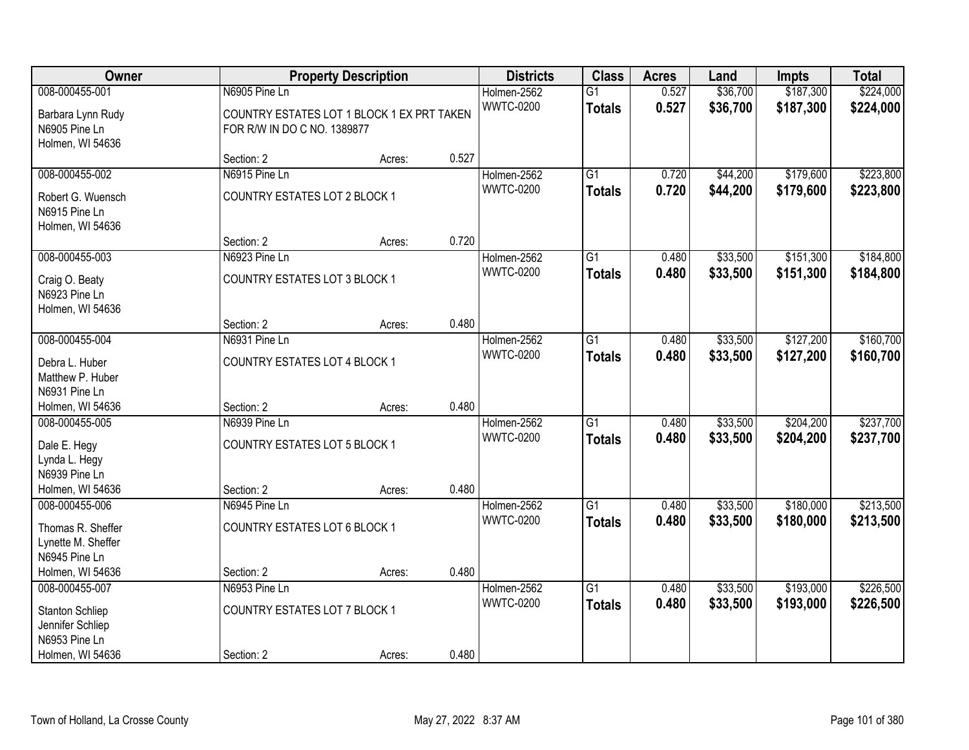| Owner                                                                                |                                                                           | <b>Property Description</b> |       | <b>Districts</b>                | <b>Class</b>                     | <b>Acres</b>   | Land                 | <b>Impts</b>           | <b>Total</b>           |
|--------------------------------------------------------------------------------------|---------------------------------------------------------------------------|-----------------------------|-------|---------------------------------|----------------------------------|----------------|----------------------|------------------------|------------------------|
| 008-000455-001                                                                       | N6905 Pine Ln                                                             |                             |       | Holmen-2562                     | $\overline{G1}$                  | 0.527          | \$36,700             | \$187,300              | \$224,000              |
| Barbara Lynn Rudy<br>N6905 Pine Ln<br>Holmen, WI 54636                               | COUNTRY ESTATES LOT 1 BLOCK 1 EX PRT TAKEN<br>FOR R/W IN DO C NO. 1389877 |                             |       | <b>WWTC-0200</b>                | <b>Totals</b>                    | 0.527          | \$36,700             | \$187,300              | \$224,000              |
|                                                                                      | Section: 2                                                                | Acres:                      | 0.527 |                                 |                                  |                |                      |                        |                        |
| 008-000455-002                                                                       | N6915 Pine Ln                                                             |                             |       | Holmen-2562                     | G1                               | 0.720          | \$44,200             | \$179,600              | \$223,800              |
| Robert G. Wuensch<br>N6915 Pine Ln<br>Holmen, WI 54636                               | COUNTRY ESTATES LOT 2 BLOCK 1                                             |                             |       | <b>WWTC-0200</b>                | <b>Totals</b>                    | 0.720          | \$44,200             | \$179,600              | \$223,800              |
|                                                                                      | Section: 2                                                                | Acres:                      | 0.720 |                                 |                                  |                |                      |                        |                        |
| 008-000455-003<br>Craig O. Beaty<br>N6923 Pine Ln<br>Holmen, WI 54636                | N6923 Pine Ln<br>COUNTRY ESTATES LOT 3 BLOCK 1                            |                             |       | Holmen-2562<br><b>WWTC-0200</b> | G1<br><b>Totals</b>              | 0.480<br>0.480 | \$33,500<br>\$33,500 | \$151,300<br>\$151,300 | \$184,800<br>\$184,800 |
|                                                                                      | Section: 2                                                                | Acres:                      | 0.480 |                                 |                                  |                |                      |                        |                        |
| 008-000455-004                                                                       | N6931 Pine Ln                                                             |                             |       | Holmen-2562                     | $\overline{G1}$                  | 0.480          | \$33,500             | \$127,200              | \$160,700              |
| Debra L. Huber<br>Matthew P. Huber<br>N6931 Pine Ln                                  | COUNTRY ESTATES LOT 4 BLOCK 1                                             |                             |       | <b>WWTC-0200</b>                | <b>Totals</b>                    | 0.480          | \$33,500             | \$127,200              | \$160,700              |
| Holmen, WI 54636                                                                     | Section: 2                                                                | Acres:                      | 0.480 |                                 |                                  |                |                      |                        |                        |
| 008-000455-005<br>Dale E. Hegy<br>Lynda L. Hegy<br>N6939 Pine Ln<br>Holmen, WI 54636 | N6939 Pine Ln<br><b>COUNTRY ESTATES LOT 5 BLOCK 1</b><br>Section: 2       | Acres:                      | 0.480 | Holmen-2562<br><b>WWTC-0200</b> | $\overline{G1}$<br><b>Totals</b> | 0.480<br>0.480 | \$33,500<br>\$33,500 | \$204,200<br>\$204,200 | \$237,700<br>\$237,700 |
| 008-000455-006                                                                       | N6945 Pine Ln                                                             |                             |       | Holmen-2562                     | $\overline{G1}$                  | 0.480          | \$33,500             | \$180,000              | \$213,500              |
| Thomas R. Sheffer<br>Lynette M. Sheffer<br>N6945 Pine Ln                             | COUNTRY ESTATES LOT 6 BLOCK 1                                             |                             |       | <b>WWTC-0200</b>                | <b>Totals</b>                    | 0.480          | \$33,500             | \$180,000              | \$213,500              |
| Holmen, WI 54636                                                                     | Section: 2                                                                | Acres:                      | 0.480 |                                 |                                  |                |                      |                        |                        |
| 008-000455-007<br><b>Stanton Schliep</b><br>Jennifer Schliep<br>N6953 Pine Ln        | N6953 Pine Ln<br><b>COUNTRY ESTATES LOT 7 BLOCK 1</b>                     |                             |       | Holmen-2562<br><b>WWTC-0200</b> | $\overline{G1}$<br><b>Totals</b> | 0.480<br>0.480 | \$33,500<br>\$33,500 | \$193,000<br>\$193,000 | \$226,500<br>\$226,500 |
| Holmen, WI 54636                                                                     | Section: 2                                                                | Acres:                      | 0.480 |                                 |                                  |                |                      |                        |                        |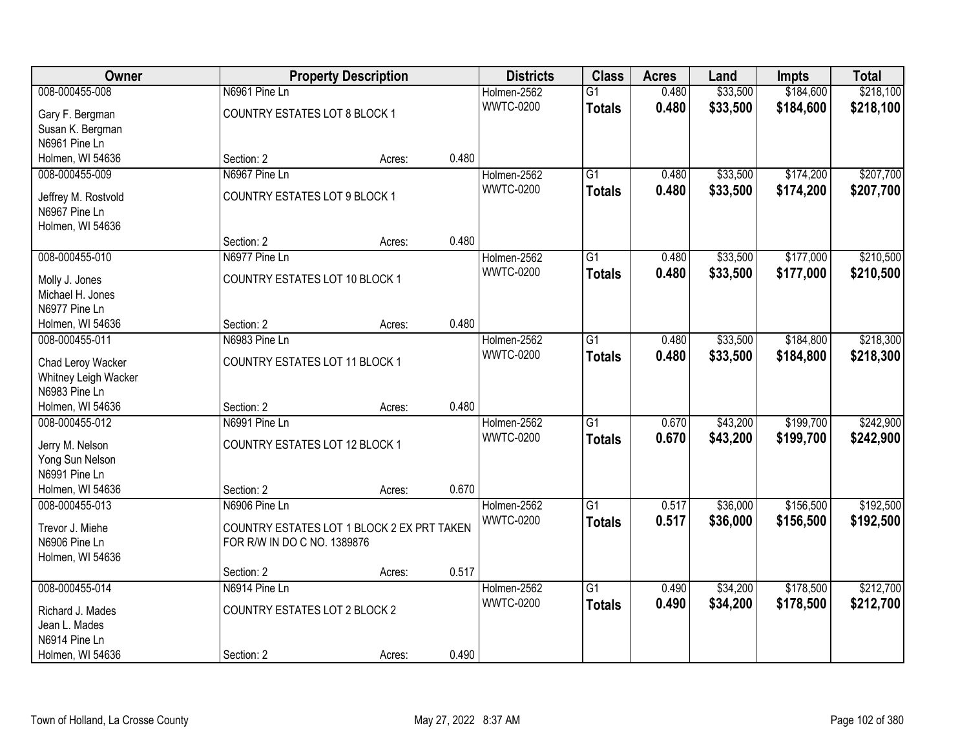| Owner                              |                                            | <b>Property Description</b> |       | <b>Districts</b> | <b>Class</b>    | <b>Acres</b> | Land     | <b>Impts</b> | <b>Total</b> |
|------------------------------------|--------------------------------------------|-----------------------------|-------|------------------|-----------------|--------------|----------|--------------|--------------|
| 008-000455-008                     | N6961 Pine Ln                              |                             |       | Holmen-2562      | $\overline{G1}$ | 0.480        | \$33,500 | \$184,600    | \$218,100    |
| Gary F. Bergman                    | COUNTRY ESTATES LOT 8 BLOCK 1              |                             |       | <b>WWTC-0200</b> | <b>Totals</b>   | 0.480        | \$33,500 | \$184,600    | \$218,100    |
| Susan K. Bergman                   |                                            |                             |       |                  |                 |              |          |              |              |
| N6961 Pine Ln                      |                                            |                             |       |                  |                 |              |          |              |              |
| Holmen, WI 54636                   | Section: 2                                 | Acres:                      | 0.480 |                  |                 |              |          |              |              |
| 008-000455-009                     | N6967 Pine Ln                              |                             |       | Holmen-2562      | $\overline{G1}$ | 0.480        | \$33,500 | \$174,200    | \$207,700    |
| Jeffrey M. Rostvold                | COUNTRY ESTATES LOT 9 BLOCK 1              |                             |       | <b>WWTC-0200</b> | <b>Totals</b>   | 0.480        | \$33,500 | \$174,200    | \$207,700    |
| N6967 Pine Ln                      |                                            |                             |       |                  |                 |              |          |              |              |
| Holmen, WI 54636                   |                                            |                             |       |                  |                 |              |          |              |              |
|                                    | Section: 2                                 | Acres:                      | 0.480 |                  |                 |              |          |              |              |
| 008-000455-010                     | N6977 Pine Ln                              |                             |       | Holmen-2562      | $\overline{G1}$ | 0.480        | \$33,500 | \$177,000    | \$210,500    |
|                                    |                                            |                             |       | <b>WWTC-0200</b> | <b>Totals</b>   | 0.480        | \$33,500 | \$177,000    | \$210,500    |
| Molly J. Jones<br>Michael H. Jones | COUNTRY ESTATES LOT 10 BLOCK 1             |                             |       |                  |                 |              |          |              |              |
| N6977 Pine Ln                      |                                            |                             |       |                  |                 |              |          |              |              |
| Holmen, WI 54636                   | Section: 2                                 | Acres:                      | 0.480 |                  |                 |              |          |              |              |
| 008-000455-011                     | N6983 Pine Ln                              |                             |       | Holmen-2562      | $\overline{G1}$ | 0.480        | \$33,500 | \$184,800    | \$218,300    |
|                                    |                                            |                             |       | <b>WWTC-0200</b> | <b>Totals</b>   | 0.480        | \$33,500 | \$184,800    | \$218,300    |
| Chad Leroy Wacker                  | COUNTRY ESTATES LOT 11 BLOCK 1             |                             |       |                  |                 |              |          |              |              |
| Whitney Leigh Wacker               |                                            |                             |       |                  |                 |              |          |              |              |
| N6983 Pine Ln                      |                                            |                             |       |                  |                 |              |          |              |              |
| Holmen, WI 54636                   | Section: 2                                 | Acres:                      | 0.480 |                  |                 |              |          |              |              |
| 008-000455-012                     | N6991 Pine Ln                              |                             |       | Holmen-2562      | $\overline{G1}$ | 0.670        | \$43,200 | \$199,700    | \$242,900    |
| Jerry M. Nelson                    | COUNTRY ESTATES LOT 12 BLOCK 1             |                             |       | <b>WWTC-0200</b> | <b>Totals</b>   | 0.670        | \$43,200 | \$199,700    | \$242,900    |
| Yong Sun Nelson                    |                                            |                             |       |                  |                 |              |          |              |              |
| N6991 Pine Ln                      |                                            |                             |       |                  |                 |              |          |              |              |
| Holmen, WI 54636                   | Section: 2                                 | Acres:                      | 0.670 |                  |                 |              |          |              |              |
| 008-000455-013                     | N6906 Pine Ln                              |                             |       | Holmen-2562      | $\overline{G1}$ | 0.517        | \$36,000 | \$156,500    | \$192,500    |
| Trevor J. Miehe                    | COUNTRY ESTATES LOT 1 BLOCK 2 EX PRT TAKEN |                             |       | <b>WWTC-0200</b> | <b>Totals</b>   | 0.517        | \$36,000 | \$156,500    | \$192,500    |
| N6906 Pine Ln                      | FOR R/W IN DO C NO. 1389876                |                             |       |                  |                 |              |          |              |              |
| Holmen, WI 54636                   |                                            |                             |       |                  |                 |              |          |              |              |
|                                    | Section: 2                                 | Acres:                      | 0.517 |                  |                 |              |          |              |              |
| 008-000455-014                     | N6914 Pine Ln                              |                             |       | Holmen-2562      | $\overline{G1}$ | 0.490        | \$34,200 | \$178,500    | \$212,700    |
| Richard J. Mades                   | COUNTRY ESTATES LOT 2 BLOCK 2              |                             |       | <b>WWTC-0200</b> | <b>Totals</b>   | 0.490        | \$34,200 | \$178,500    | \$212,700    |
| Jean L. Mades                      |                                            |                             |       |                  |                 |              |          |              |              |
| N6914 Pine Ln                      |                                            |                             |       |                  |                 |              |          |              |              |
| Holmen, WI 54636                   | Section: 2                                 | Acres:                      | 0.490 |                  |                 |              |          |              |              |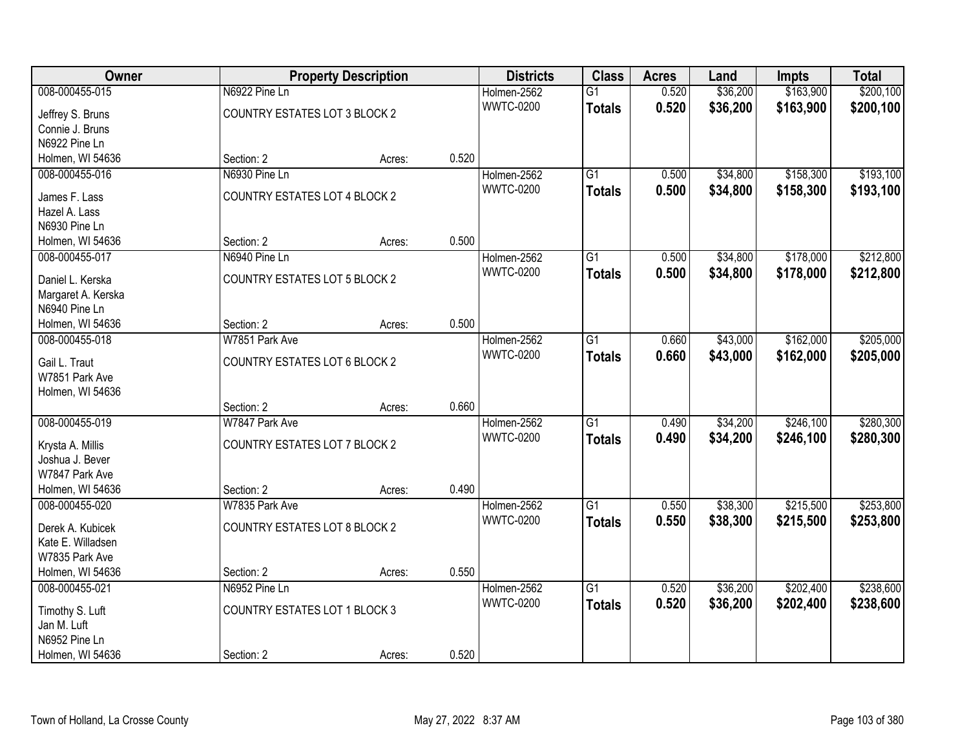| Owner                               |                                      | <b>Property Description</b> |       | <b>Districts</b> | <b>Class</b>    | <b>Acres</b> | Land     | <b>Impts</b> | <b>Total</b> |
|-------------------------------------|--------------------------------------|-----------------------------|-------|------------------|-----------------|--------------|----------|--------------|--------------|
| 008-000455-015                      | N6922 Pine Ln                        |                             |       | Holmen-2562      | $\overline{G1}$ | 0.520        | \$36,200 | \$163,900    | \$200,100    |
| Jeffrey S. Bruns                    | COUNTRY ESTATES LOT 3 BLOCK 2        |                             |       | <b>WWTC-0200</b> | <b>Totals</b>   | 0.520        | \$36,200 | \$163,900    | \$200,100    |
| Connie J. Bruns                     |                                      |                             |       |                  |                 |              |          |              |              |
| N6922 Pine Ln                       |                                      |                             |       |                  |                 |              |          |              |              |
| Holmen, WI 54636                    | Section: 2                           | Acres:                      | 0.520 |                  |                 |              |          |              |              |
| 008-000455-016                      | N6930 Pine Ln                        |                             |       | Holmen-2562      | $\overline{G1}$ | 0.500        | \$34,800 | \$158,300    | \$193,100    |
| James F. Lass                       | COUNTRY ESTATES LOT 4 BLOCK 2        |                             |       | <b>WWTC-0200</b> | <b>Totals</b>   | 0.500        | \$34,800 | \$158,300    | \$193,100    |
| Hazel A. Lass                       |                                      |                             |       |                  |                 |              |          |              |              |
| N6930 Pine Ln                       |                                      |                             |       |                  |                 |              |          |              |              |
| Holmen, WI 54636                    | Section: 2                           | Acres:                      | 0.500 |                  |                 |              |          |              |              |
| 008-000455-017                      | N6940 Pine Ln                        |                             |       | Holmen-2562      | $\overline{G1}$ | 0.500        | \$34,800 | \$178,000    | \$212,800    |
|                                     |                                      |                             |       | <b>WWTC-0200</b> | <b>Totals</b>   | 0.500        | \$34,800 | \$178,000    | \$212,800    |
| Daniel L. Kerska                    | COUNTRY ESTATES LOT 5 BLOCK 2        |                             |       |                  |                 |              |          |              |              |
| Margaret A. Kerska                  |                                      |                             |       |                  |                 |              |          |              |              |
| N6940 Pine Ln                       |                                      |                             |       |                  |                 |              |          |              |              |
| Holmen, WI 54636                    | Section: 2                           | Acres:                      | 0.500 |                  |                 |              |          |              |              |
| 008-000455-018                      | W7851 Park Ave                       |                             |       | Holmen-2562      | G1              | 0.660        | \$43,000 | \$162,000    | \$205,000    |
| Gail L. Traut                       | <b>COUNTRY ESTATES LOT 6 BLOCK 2</b> |                             |       | <b>WWTC-0200</b> | <b>Totals</b>   | 0.660        | \$43,000 | \$162,000    | \$205,000    |
| W7851 Park Ave                      |                                      |                             |       |                  |                 |              |          |              |              |
| Holmen, WI 54636                    |                                      |                             |       |                  |                 |              |          |              |              |
|                                     | Section: 2                           | Acres:                      | 0.660 |                  |                 |              |          |              |              |
| 008-000455-019                      | W7847 Park Ave                       |                             |       | Holmen-2562      | $\overline{G1}$ | 0.490        | \$34,200 | \$246,100    | \$280,300    |
|                                     | COUNTRY ESTATES LOT 7 BLOCK 2        |                             |       | <b>WWTC-0200</b> | <b>Totals</b>   | 0.490        | \$34,200 | \$246,100    | \$280,300    |
| Krysta A. Millis<br>Joshua J. Bever |                                      |                             |       |                  |                 |              |          |              |              |
| W7847 Park Ave                      |                                      |                             |       |                  |                 |              |          |              |              |
| Holmen, WI 54636                    | Section: 2                           | Acres:                      | 0.490 |                  |                 |              |          |              |              |
| 008-000455-020                      | W7835 Park Ave                       |                             |       | Holmen-2562      | $\overline{G1}$ | 0.550        | \$38,300 | \$215,500    | \$253,800    |
|                                     |                                      |                             |       | <b>WWTC-0200</b> |                 | 0.550        | \$38,300 | \$215,500    |              |
| Derek A. Kubicek                    | <b>COUNTRY ESTATES LOT 8 BLOCK 2</b> |                             |       |                  | <b>Totals</b>   |              |          |              | \$253,800    |
| Kate E. Willadsen                   |                                      |                             |       |                  |                 |              |          |              |              |
| W7835 Park Ave                      |                                      |                             |       |                  |                 |              |          |              |              |
| Holmen, WI 54636                    | Section: 2                           | Acres:                      | 0.550 |                  |                 |              |          |              |              |
| 008-000455-021                      | N6952 Pine Ln                        |                             |       | Holmen-2562      | $\overline{G1}$ | 0.520        | \$36,200 | \$202,400    | \$238,600    |
| Timothy S. Luft                     | <b>COUNTRY ESTATES LOT 1 BLOCK 3</b> |                             |       | <b>WWTC-0200</b> | <b>Totals</b>   | 0.520        | \$36,200 | \$202,400    | \$238,600    |
| Jan M. Luft                         |                                      |                             |       |                  |                 |              |          |              |              |
| N6952 Pine Ln                       |                                      |                             |       |                  |                 |              |          |              |              |
| Holmen, WI 54636                    | Section: 2                           | Acres:                      | 0.520 |                  |                 |              |          |              |              |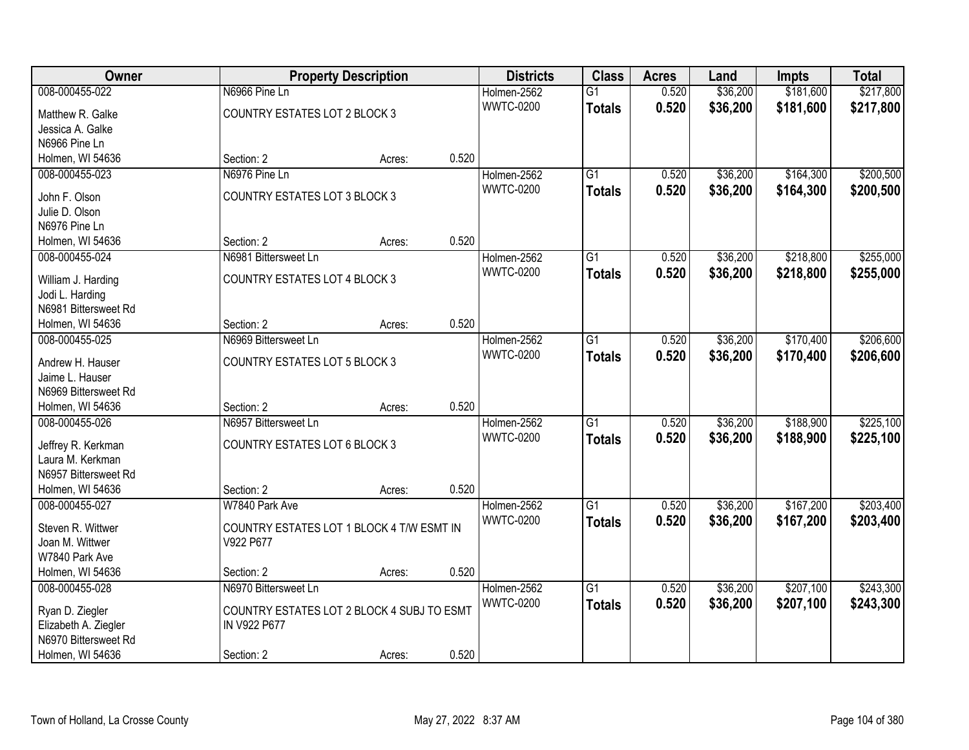| \$217,800<br>008-000455-022<br>N6966 Pine Ln<br>0.520<br>\$36,200<br>\$181,600<br>Holmen-2562<br>$\overline{G1}$<br><b>WWTC-0200</b><br>0.520<br>\$36,200<br>\$181,600<br>\$217,800<br><b>Totals</b><br><b>COUNTRY ESTATES LOT 2 BLOCK 3</b><br>Matthew R. Galke<br>Jessica A. Galke<br>N6966 Pine Ln<br>0.520<br>Holmen, WI 54636<br>Section: 2<br>Acres:<br>N6976 Pine Ln<br>$\overline{G1}$<br>\$36,200<br>\$164,300<br>008-000455-023<br>Holmen-2562<br>0.520<br>0.520<br><b>WWTC-0200</b><br>\$36,200<br>\$164,300<br>\$200,500<br><b>Totals</b><br><b>COUNTRY ESTATES LOT 3 BLOCK 3</b><br>John F. Olson<br>Julie D. Olson<br>N6976 Pine Ln<br>0.520<br>Section: 2<br>Holmen, WI 54636<br>Acres:<br>\$218,800<br>008-000455-024<br>N6981 Bittersweet Ln<br>G1<br>0.520<br>\$36,200<br>Holmen-2562<br><b>WWTC-0200</b><br>0.520<br>\$36,200<br>\$218,800<br><b>Totals</b><br><b>COUNTRY ESTATES LOT 4 BLOCK 3</b><br>William J. Harding<br>Jodi L. Harding<br>N6981 Bittersweet Rd<br>0.520<br>Section: 2<br>Holmen, WI 54636<br>Acres:<br>N6969 Bittersweet Ln<br>\$36,200<br>\$170,400<br>008-000455-025<br>Holmen-2562<br>G1<br>0.520<br><b>WWTC-0200</b><br>0.520<br>\$36,200<br>\$170,400<br>\$206,600<br><b>Totals</b><br><b>COUNTRY ESTATES LOT 5 BLOCK 3</b><br>Andrew H. Hauser<br>Jaime L. Hauser<br>N6969 Bittersweet Rd<br>0.520<br>Holmen, WI 54636<br>Section: 2<br>Acres:<br>N6957 Bittersweet Ln<br>\$188,900<br>008-000455-026<br>$\overline{G1}$<br>0.520<br>\$36,200<br>Holmen-2562<br><b>WWTC-0200</b><br>0.520<br>\$36,200<br>\$188,900<br>\$225,100<br>Totals<br><b>COUNTRY ESTATES LOT 6 BLOCK 3</b><br>Jeffrey R. Kerkman<br>Laura M. Kerkman<br>N6957 Bittersweet Rd<br>0.520<br>Holmen, WI 54636<br>Section: 2<br>Acres:<br>$\overline{G1}$<br>\$36,200<br>\$167,200<br>008-000455-027<br>W7840 Park Ave<br>Holmen-2562<br>0.520<br><b>WWTC-0200</b><br>0.520<br>\$36,200<br>\$167,200<br>\$203,400<br><b>Totals</b><br>Steven R. Wittwer<br>COUNTRY ESTATES LOT 1 BLOCK 4 T/W ESMT IN<br>V922 P677<br>Joan M. Wittwer<br>W7840 Park Ave<br>0.520<br>Holmen, WI 54636<br>Section: 2<br>Acres:<br>\$36,200<br>\$207,100<br>008-000455-028<br>N6970 Bittersweet Ln<br>Holmen-2562<br>G1<br>0.520<br><b>WWTC-0200</b><br>0.520<br>\$36,200<br>\$207,100<br>\$243,300<br><b>Totals</b><br>COUNTRY ESTATES LOT 2 BLOCK 4 SUBJ TO ESMT | Owner | <b>Property Description</b> |  | <b>Districts</b> | <b>Class</b> | <b>Acres</b> | Land | <b>Impts</b> | <b>Total</b> |
|-----------------------------------------------------------------------------------------------------------------------------------------------------------------------------------------------------------------------------------------------------------------------------------------------------------------------------------------------------------------------------------------------------------------------------------------------------------------------------------------------------------------------------------------------------------------------------------------------------------------------------------------------------------------------------------------------------------------------------------------------------------------------------------------------------------------------------------------------------------------------------------------------------------------------------------------------------------------------------------------------------------------------------------------------------------------------------------------------------------------------------------------------------------------------------------------------------------------------------------------------------------------------------------------------------------------------------------------------------------------------------------------------------------------------------------------------------------------------------------------------------------------------------------------------------------------------------------------------------------------------------------------------------------------------------------------------------------------------------------------------------------------------------------------------------------------------------------------------------------------------------------------------------------------------------------------------------------------------------------------------------------------------------------------------------------------------------------------------------------------------------------------------------------------------------------------------------------------------------------------------------------------------------------------------------------------------------------------------------------------|-------|-----------------------------|--|------------------|--------------|--------------|------|--------------|--------------|
|                                                                                                                                                                                                                                                                                                                                                                                                                                                                                                                                                                                                                                                                                                                                                                                                                                                                                                                                                                                                                                                                                                                                                                                                                                                                                                                                                                                                                                                                                                                                                                                                                                                                                                                                                                                                                                                                                                                                                                                                                                                                                                                                                                                                                                                                                                                                                                 |       |                             |  |                  |              |              |      |              |              |
| \$200,500<br>\$255,000<br>\$255,000<br>\$206,600<br>\$225,100<br>\$203,400<br>\$243,300                                                                                                                                                                                                                                                                                                                                                                                                                                                                                                                                                                                                                                                                                                                                                                                                                                                                                                                                                                                                                                                                                                                                                                                                                                                                                                                                                                                                                                                                                                                                                                                                                                                                                                                                                                                                                                                                                                                                                                                                                                                                                                                                                                                                                                                                         |       |                             |  |                  |              |              |      |              |              |
|                                                                                                                                                                                                                                                                                                                                                                                                                                                                                                                                                                                                                                                                                                                                                                                                                                                                                                                                                                                                                                                                                                                                                                                                                                                                                                                                                                                                                                                                                                                                                                                                                                                                                                                                                                                                                                                                                                                                                                                                                                                                                                                                                                                                                                                                                                                                                                 |       |                             |  |                  |              |              |      |              |              |
|                                                                                                                                                                                                                                                                                                                                                                                                                                                                                                                                                                                                                                                                                                                                                                                                                                                                                                                                                                                                                                                                                                                                                                                                                                                                                                                                                                                                                                                                                                                                                                                                                                                                                                                                                                                                                                                                                                                                                                                                                                                                                                                                                                                                                                                                                                                                                                 |       |                             |  |                  |              |              |      |              |              |
|                                                                                                                                                                                                                                                                                                                                                                                                                                                                                                                                                                                                                                                                                                                                                                                                                                                                                                                                                                                                                                                                                                                                                                                                                                                                                                                                                                                                                                                                                                                                                                                                                                                                                                                                                                                                                                                                                                                                                                                                                                                                                                                                                                                                                                                                                                                                                                 |       |                             |  |                  |              |              |      |              |              |
|                                                                                                                                                                                                                                                                                                                                                                                                                                                                                                                                                                                                                                                                                                                                                                                                                                                                                                                                                                                                                                                                                                                                                                                                                                                                                                                                                                                                                                                                                                                                                                                                                                                                                                                                                                                                                                                                                                                                                                                                                                                                                                                                                                                                                                                                                                                                                                 |       |                             |  |                  |              |              |      |              |              |
|                                                                                                                                                                                                                                                                                                                                                                                                                                                                                                                                                                                                                                                                                                                                                                                                                                                                                                                                                                                                                                                                                                                                                                                                                                                                                                                                                                                                                                                                                                                                                                                                                                                                                                                                                                                                                                                                                                                                                                                                                                                                                                                                                                                                                                                                                                                                                                 |       |                             |  |                  |              |              |      |              |              |
|                                                                                                                                                                                                                                                                                                                                                                                                                                                                                                                                                                                                                                                                                                                                                                                                                                                                                                                                                                                                                                                                                                                                                                                                                                                                                                                                                                                                                                                                                                                                                                                                                                                                                                                                                                                                                                                                                                                                                                                                                                                                                                                                                                                                                                                                                                                                                                 |       |                             |  |                  |              |              |      |              |              |
|                                                                                                                                                                                                                                                                                                                                                                                                                                                                                                                                                                                                                                                                                                                                                                                                                                                                                                                                                                                                                                                                                                                                                                                                                                                                                                                                                                                                                                                                                                                                                                                                                                                                                                                                                                                                                                                                                                                                                                                                                                                                                                                                                                                                                                                                                                                                                                 |       |                             |  |                  |              |              |      |              |              |
|                                                                                                                                                                                                                                                                                                                                                                                                                                                                                                                                                                                                                                                                                                                                                                                                                                                                                                                                                                                                                                                                                                                                                                                                                                                                                                                                                                                                                                                                                                                                                                                                                                                                                                                                                                                                                                                                                                                                                                                                                                                                                                                                                                                                                                                                                                                                                                 |       |                             |  |                  |              |              |      |              |              |
|                                                                                                                                                                                                                                                                                                                                                                                                                                                                                                                                                                                                                                                                                                                                                                                                                                                                                                                                                                                                                                                                                                                                                                                                                                                                                                                                                                                                                                                                                                                                                                                                                                                                                                                                                                                                                                                                                                                                                                                                                                                                                                                                                                                                                                                                                                                                                                 |       |                             |  |                  |              |              |      |              |              |
|                                                                                                                                                                                                                                                                                                                                                                                                                                                                                                                                                                                                                                                                                                                                                                                                                                                                                                                                                                                                                                                                                                                                                                                                                                                                                                                                                                                                                                                                                                                                                                                                                                                                                                                                                                                                                                                                                                                                                                                                                                                                                                                                                                                                                                                                                                                                                                 |       |                             |  |                  |              |              |      |              |              |
|                                                                                                                                                                                                                                                                                                                                                                                                                                                                                                                                                                                                                                                                                                                                                                                                                                                                                                                                                                                                                                                                                                                                                                                                                                                                                                                                                                                                                                                                                                                                                                                                                                                                                                                                                                                                                                                                                                                                                                                                                                                                                                                                                                                                                                                                                                                                                                 |       |                             |  |                  |              |              |      |              |              |
|                                                                                                                                                                                                                                                                                                                                                                                                                                                                                                                                                                                                                                                                                                                                                                                                                                                                                                                                                                                                                                                                                                                                                                                                                                                                                                                                                                                                                                                                                                                                                                                                                                                                                                                                                                                                                                                                                                                                                                                                                                                                                                                                                                                                                                                                                                                                                                 |       |                             |  |                  |              |              |      |              |              |
|                                                                                                                                                                                                                                                                                                                                                                                                                                                                                                                                                                                                                                                                                                                                                                                                                                                                                                                                                                                                                                                                                                                                                                                                                                                                                                                                                                                                                                                                                                                                                                                                                                                                                                                                                                                                                                                                                                                                                                                                                                                                                                                                                                                                                                                                                                                                                                 |       |                             |  |                  |              |              |      |              |              |
|                                                                                                                                                                                                                                                                                                                                                                                                                                                                                                                                                                                                                                                                                                                                                                                                                                                                                                                                                                                                                                                                                                                                                                                                                                                                                                                                                                                                                                                                                                                                                                                                                                                                                                                                                                                                                                                                                                                                                                                                                                                                                                                                                                                                                                                                                                                                                                 |       |                             |  |                  |              |              |      |              |              |
|                                                                                                                                                                                                                                                                                                                                                                                                                                                                                                                                                                                                                                                                                                                                                                                                                                                                                                                                                                                                                                                                                                                                                                                                                                                                                                                                                                                                                                                                                                                                                                                                                                                                                                                                                                                                                                                                                                                                                                                                                                                                                                                                                                                                                                                                                                                                                                 |       |                             |  |                  |              |              |      |              |              |
|                                                                                                                                                                                                                                                                                                                                                                                                                                                                                                                                                                                                                                                                                                                                                                                                                                                                                                                                                                                                                                                                                                                                                                                                                                                                                                                                                                                                                                                                                                                                                                                                                                                                                                                                                                                                                                                                                                                                                                                                                                                                                                                                                                                                                                                                                                                                                                 |       |                             |  |                  |              |              |      |              |              |
|                                                                                                                                                                                                                                                                                                                                                                                                                                                                                                                                                                                                                                                                                                                                                                                                                                                                                                                                                                                                                                                                                                                                                                                                                                                                                                                                                                                                                                                                                                                                                                                                                                                                                                                                                                                                                                                                                                                                                                                                                                                                                                                                                                                                                                                                                                                                                                 |       |                             |  |                  |              |              |      |              |              |
|                                                                                                                                                                                                                                                                                                                                                                                                                                                                                                                                                                                                                                                                                                                                                                                                                                                                                                                                                                                                                                                                                                                                                                                                                                                                                                                                                                                                                                                                                                                                                                                                                                                                                                                                                                                                                                                                                                                                                                                                                                                                                                                                                                                                                                                                                                                                                                 |       |                             |  |                  |              |              |      |              |              |
|                                                                                                                                                                                                                                                                                                                                                                                                                                                                                                                                                                                                                                                                                                                                                                                                                                                                                                                                                                                                                                                                                                                                                                                                                                                                                                                                                                                                                                                                                                                                                                                                                                                                                                                                                                                                                                                                                                                                                                                                                                                                                                                                                                                                                                                                                                                                                                 |       |                             |  |                  |              |              |      |              |              |
|                                                                                                                                                                                                                                                                                                                                                                                                                                                                                                                                                                                                                                                                                                                                                                                                                                                                                                                                                                                                                                                                                                                                                                                                                                                                                                                                                                                                                                                                                                                                                                                                                                                                                                                                                                                                                                                                                                                                                                                                                                                                                                                                                                                                                                                                                                                                                                 |       |                             |  |                  |              |              |      |              |              |
|                                                                                                                                                                                                                                                                                                                                                                                                                                                                                                                                                                                                                                                                                                                                                                                                                                                                                                                                                                                                                                                                                                                                                                                                                                                                                                                                                                                                                                                                                                                                                                                                                                                                                                                                                                                                                                                                                                                                                                                                                                                                                                                                                                                                                                                                                                                                                                 |       |                             |  |                  |              |              |      |              |              |
|                                                                                                                                                                                                                                                                                                                                                                                                                                                                                                                                                                                                                                                                                                                                                                                                                                                                                                                                                                                                                                                                                                                                                                                                                                                                                                                                                                                                                                                                                                                                                                                                                                                                                                                                                                                                                                                                                                                                                                                                                                                                                                                                                                                                                                                                                                                                                                 |       |                             |  |                  |              |              |      |              |              |
|                                                                                                                                                                                                                                                                                                                                                                                                                                                                                                                                                                                                                                                                                                                                                                                                                                                                                                                                                                                                                                                                                                                                                                                                                                                                                                                                                                                                                                                                                                                                                                                                                                                                                                                                                                                                                                                                                                                                                                                                                                                                                                                                                                                                                                                                                                                                                                 |       |                             |  |                  |              |              |      |              |              |
|                                                                                                                                                                                                                                                                                                                                                                                                                                                                                                                                                                                                                                                                                                                                                                                                                                                                                                                                                                                                                                                                                                                                                                                                                                                                                                                                                                                                                                                                                                                                                                                                                                                                                                                                                                                                                                                                                                                                                                                                                                                                                                                                                                                                                                                                                                                                                                 |       |                             |  |                  |              |              |      |              |              |
|                                                                                                                                                                                                                                                                                                                                                                                                                                                                                                                                                                                                                                                                                                                                                                                                                                                                                                                                                                                                                                                                                                                                                                                                                                                                                                                                                                                                                                                                                                                                                                                                                                                                                                                                                                                                                                                                                                                                                                                                                                                                                                                                                                                                                                                                                                                                                                 |       |                             |  |                  |              |              |      |              |              |
|                                                                                                                                                                                                                                                                                                                                                                                                                                                                                                                                                                                                                                                                                                                                                                                                                                                                                                                                                                                                                                                                                                                                                                                                                                                                                                                                                                                                                                                                                                                                                                                                                                                                                                                                                                                                                                                                                                                                                                                                                                                                                                                                                                                                                                                                                                                                                                 |       |                             |  |                  |              |              |      |              |              |
|                                                                                                                                                                                                                                                                                                                                                                                                                                                                                                                                                                                                                                                                                                                                                                                                                                                                                                                                                                                                                                                                                                                                                                                                                                                                                                                                                                                                                                                                                                                                                                                                                                                                                                                                                                                                                                                                                                                                                                                                                                                                                                                                                                                                                                                                                                                                                                 |       |                             |  |                  |              |              |      |              |              |
|                                                                                                                                                                                                                                                                                                                                                                                                                                                                                                                                                                                                                                                                                                                                                                                                                                                                                                                                                                                                                                                                                                                                                                                                                                                                                                                                                                                                                                                                                                                                                                                                                                                                                                                                                                                                                                                                                                                                                                                                                                                                                                                                                                                                                                                                                                                                                                 |       |                             |  |                  |              |              |      |              |              |
|                                                                                                                                                                                                                                                                                                                                                                                                                                                                                                                                                                                                                                                                                                                                                                                                                                                                                                                                                                                                                                                                                                                                                                                                                                                                                                                                                                                                                                                                                                                                                                                                                                                                                                                                                                                                                                                                                                                                                                                                                                                                                                                                                                                                                                                                                                                                                                 |       |                             |  |                  |              |              |      |              |              |
|                                                                                                                                                                                                                                                                                                                                                                                                                                                                                                                                                                                                                                                                                                                                                                                                                                                                                                                                                                                                                                                                                                                                                                                                                                                                                                                                                                                                                                                                                                                                                                                                                                                                                                                                                                                                                                                                                                                                                                                                                                                                                                                                                                                                                                                                                                                                                                 |       |                             |  |                  |              |              |      |              |              |
|                                                                                                                                                                                                                                                                                                                                                                                                                                                                                                                                                                                                                                                                                                                                                                                                                                                                                                                                                                                                                                                                                                                                                                                                                                                                                                                                                                                                                                                                                                                                                                                                                                                                                                                                                                                                                                                                                                                                                                                                                                                                                                                                                                                                                                                                                                                                                                 |       |                             |  |                  |              |              |      |              |              |
|                                                                                                                                                                                                                                                                                                                                                                                                                                                                                                                                                                                                                                                                                                                                                                                                                                                                                                                                                                                                                                                                                                                                                                                                                                                                                                                                                                                                                                                                                                                                                                                                                                                                                                                                                                                                                                                                                                                                                                                                                                                                                                                                                                                                                                                                                                                                                                 |       |                             |  |                  |              |              |      |              |              |
| Ryan D. Ziegler<br>Elizabeth A. Ziegler<br>IN V922 P677                                                                                                                                                                                                                                                                                                                                                                                                                                                                                                                                                                                                                                                                                                                                                                                                                                                                                                                                                                                                                                                                                                                                                                                                                                                                                                                                                                                                                                                                                                                                                                                                                                                                                                                                                                                                                                                                                                                                                                                                                                                                                                                                                                                                                                                                                                         |       |                             |  |                  |              |              |      |              |              |
| N6970 Bittersweet Rd                                                                                                                                                                                                                                                                                                                                                                                                                                                                                                                                                                                                                                                                                                                                                                                                                                                                                                                                                                                                                                                                                                                                                                                                                                                                                                                                                                                                                                                                                                                                                                                                                                                                                                                                                                                                                                                                                                                                                                                                                                                                                                                                                                                                                                                                                                                                            |       |                             |  |                  |              |              |      |              |              |
| 0.520<br>Holmen, WI 54636<br>Section: 2<br>Acres:                                                                                                                                                                                                                                                                                                                                                                                                                                                                                                                                                                                                                                                                                                                                                                                                                                                                                                                                                                                                                                                                                                                                                                                                                                                                                                                                                                                                                                                                                                                                                                                                                                                                                                                                                                                                                                                                                                                                                                                                                                                                                                                                                                                                                                                                                                               |       |                             |  |                  |              |              |      |              |              |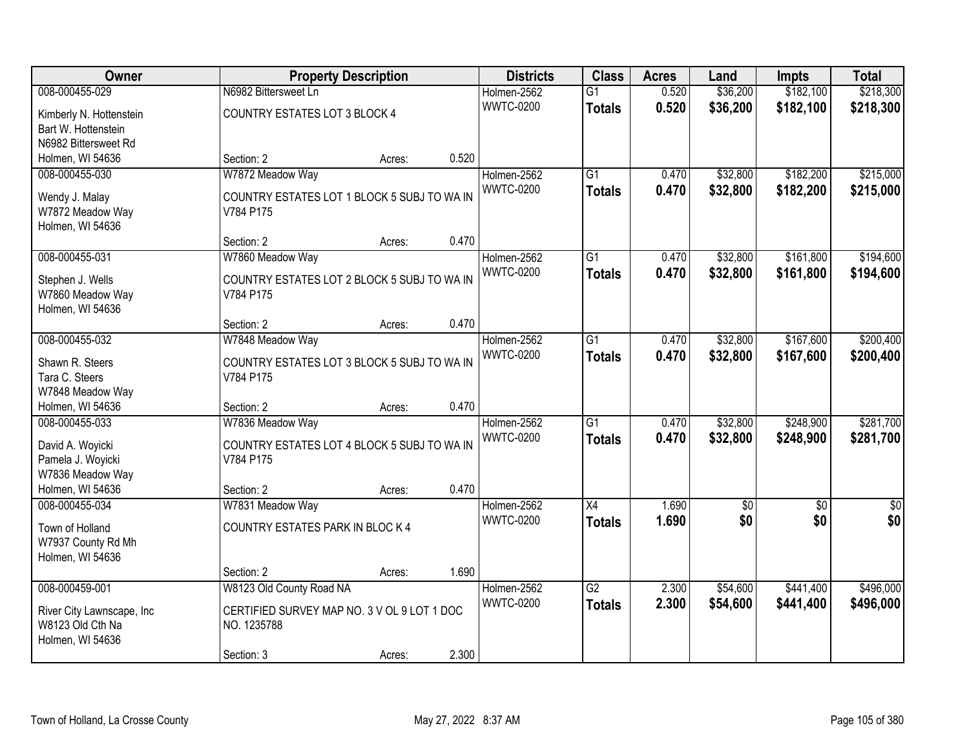| Owner                     |                                             | <b>Property Description</b> |       | <b>Districts</b> | <b>Class</b>    | <b>Acres</b> | Land       | <b>Impts</b> | <b>Total</b>  |
|---------------------------|---------------------------------------------|-----------------------------|-------|------------------|-----------------|--------------|------------|--------------|---------------|
| 008-000455-029            | N6982 Bittersweet Ln                        |                             |       | Holmen-2562      | $\overline{G1}$ | 0.520        | \$36,200   | \$182,100    | \$218,300     |
| Kimberly N. Hottenstein   | COUNTRY ESTATES LOT 3 BLOCK 4               |                             |       | <b>WWTC-0200</b> | <b>Totals</b>   | 0.520        | \$36,200   | \$182,100    | \$218,300     |
| Bart W. Hottenstein       |                                             |                             |       |                  |                 |              |            |              |               |
| N6982 Bittersweet Rd      |                                             |                             |       |                  |                 |              |            |              |               |
| Holmen, WI 54636          | Section: 2                                  | Acres:                      | 0.520 |                  |                 |              |            |              |               |
| 008-000455-030            | W7872 Meadow Way                            |                             |       | Holmen-2562      | $\overline{G1}$ | 0.470        | \$32,800   | \$182,200    | \$215,000     |
| Wendy J. Malay            | COUNTRY ESTATES LOT 1 BLOCK 5 SUBJ TO WA IN |                             |       | <b>WWTC-0200</b> | <b>Totals</b>   | 0.470        | \$32,800   | \$182,200    | \$215,000     |
| W7872 Meadow Way          | V784 P175                                   |                             |       |                  |                 |              |            |              |               |
| Holmen, WI 54636          |                                             |                             |       |                  |                 |              |            |              |               |
|                           | Section: 2                                  | Acres:                      | 0.470 |                  |                 |              |            |              |               |
| 008-000455-031            | W7860 Meadow Way                            |                             |       | Holmen-2562      | $\overline{G1}$ | 0.470        | \$32,800   | \$161,800    | \$194,600     |
| Stephen J. Wells          | COUNTRY ESTATES LOT 2 BLOCK 5 SUBJ TO WA IN |                             |       | <b>WWTC-0200</b> | <b>Totals</b>   | 0.470        | \$32,800   | \$161,800    | \$194,600     |
| W7860 Meadow Way          | V784 P175                                   |                             |       |                  |                 |              |            |              |               |
| Holmen, WI 54636          |                                             |                             |       |                  |                 |              |            |              |               |
|                           | Section: 2                                  | Acres:                      | 0.470 |                  |                 |              |            |              |               |
| 008-000455-032            | W7848 Meadow Way                            |                             |       | Holmen-2562      | $\overline{G1}$ | 0.470        | \$32,800   | \$167,600    | \$200,400     |
| Shawn R. Steers           | COUNTRY ESTATES LOT 3 BLOCK 5 SUBJ TO WA IN |                             |       | <b>WWTC-0200</b> | <b>Totals</b>   | 0.470        | \$32,800   | \$167,600    | \$200,400     |
| Tara C. Steers            | V784 P175                                   |                             |       |                  |                 |              |            |              |               |
| W7848 Meadow Way          |                                             |                             |       |                  |                 |              |            |              |               |
| Holmen, WI 54636          | Section: 2                                  | Acres:                      | 0.470 |                  |                 |              |            |              |               |
| 008-000455-033            | W7836 Meadow Way                            |                             |       | Holmen-2562      | $\overline{G1}$ | 0.470        | \$32,800   | \$248,900    | \$281,700     |
| David A. Woyicki          | COUNTRY ESTATES LOT 4 BLOCK 5 SUBJ TO WA IN |                             |       | <b>WWTC-0200</b> | <b>Totals</b>   | 0.470        | \$32,800   | \$248,900    | \$281,700     |
| Pamela J. Woyicki         | V784 P175                                   |                             |       |                  |                 |              |            |              |               |
| W7836 Meadow Way          |                                             |                             |       |                  |                 |              |            |              |               |
| Holmen, WI 54636          | Section: 2                                  | Acres:                      | 0.470 |                  |                 |              |            |              |               |
| 008-000455-034            | W7831 Meadow Way                            |                             |       | Holmen-2562      | X4              | 1.690        | $\sqrt{6}$ | \$0          | $\frac{1}{6}$ |
| Town of Holland           | COUNTRY ESTATES PARK IN BLOC K 4            |                             |       | <b>WWTC-0200</b> | <b>Totals</b>   | 1.690        | \$0        | \$0          | \$0           |
| W7937 County Rd Mh        |                                             |                             |       |                  |                 |              |            |              |               |
| Holmen, WI 54636          |                                             |                             |       |                  |                 |              |            |              |               |
|                           | Section: 2                                  | Acres:                      | 1.690 |                  |                 |              |            |              |               |
| 008-000459-001            | W8123 Old County Road NA                    |                             |       | Holmen-2562      | $\overline{G2}$ | 2.300        | \$54,600   | \$441,400    | \$496,000     |
| River City Lawnscape, Inc | CERTIFIED SURVEY MAP NO. 3 V OL 9 LOT 1 DOC |                             |       | <b>WWTC-0200</b> | <b>Totals</b>   | 2.300        | \$54,600   | \$441,400    | \$496,000     |
| W8123 Old Cth Na          | NO. 1235788                                 |                             |       |                  |                 |              |            |              |               |
| Holmen, WI 54636          |                                             |                             |       |                  |                 |              |            |              |               |
|                           | Section: 3                                  | Acres:                      | 2.300 |                  |                 |              |            |              |               |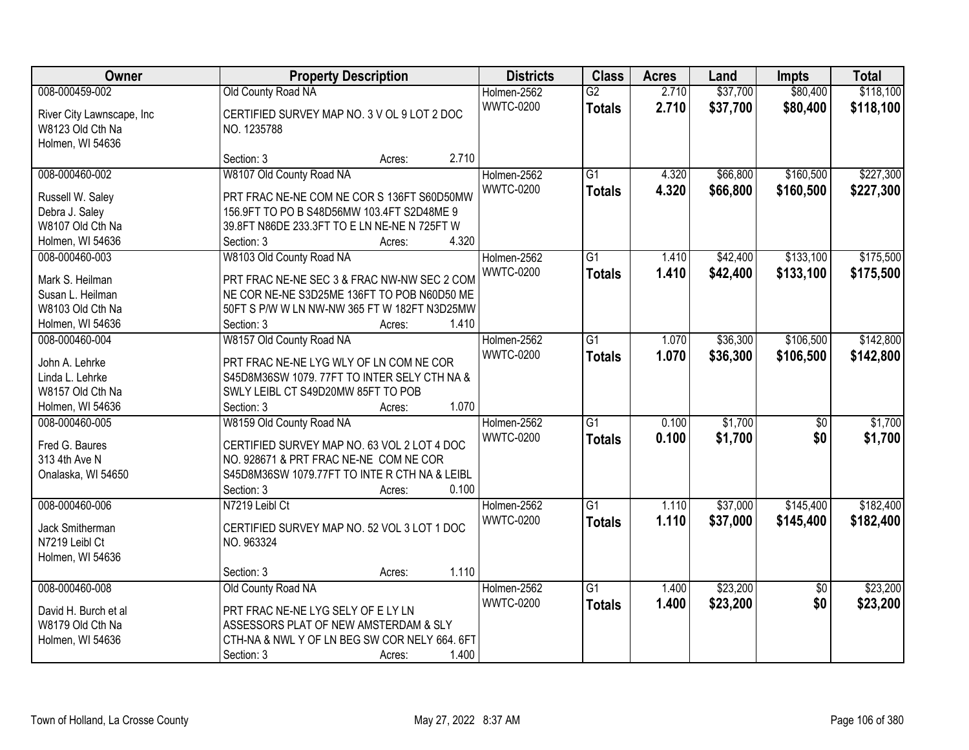| Owner                              | <b>Property Description</b>                                         | <b>Districts</b> | <b>Class</b>    | <b>Acres</b> | Land     | <b>Impts</b>    | <b>Total</b> |
|------------------------------------|---------------------------------------------------------------------|------------------|-----------------|--------------|----------|-----------------|--------------|
| 008-000459-002                     | Old County Road NA                                                  | Holmen-2562      | $\overline{G2}$ | 2.710        | \$37,700 | \$80,400        | \$118,100    |
| River City Lawnscape, Inc          | CERTIFIED SURVEY MAP NO. 3 V OL 9 LOT 2 DOC                         | <b>WWTC-0200</b> | <b>Totals</b>   | 2.710        | \$37,700 | \$80,400        | \$118,100    |
| W8123 Old Cth Na                   | NO. 1235788                                                         |                  |                 |              |          |                 |              |
| Holmen, WI 54636                   |                                                                     |                  |                 |              |          |                 |              |
|                                    | 2.710<br>Section: 3<br>Acres:                                       |                  |                 |              |          |                 |              |
| 008-000460-002                     | W8107 Old County Road NA                                            | Holmen-2562      | $\overline{G1}$ | 4.320        | \$66,800 | \$160,500       | \$227,300    |
|                                    |                                                                     | <b>WWTC-0200</b> | <b>Totals</b>   | 4.320        | \$66,800 | \$160,500       | \$227,300    |
| Russell W. Saley                   | PRT FRAC NE-NE COM NE COR S 136FT S60D50MW                          |                  |                 |              |          |                 |              |
| Debra J. Saley                     | 156.9FT TO PO B S48D56MW 103.4FT S2D48ME 9                          |                  |                 |              |          |                 |              |
| W8107 Old Cth Na                   | 39.8FT N86DE 233.3FT TO E LN NE-NE N 725FT W<br>4.320<br>Section: 3 |                  |                 |              |          |                 |              |
| Holmen, WI 54636<br>008-000460-003 | Acres:<br>W8103 Old County Road NA                                  | Holmen-2562      | $\overline{G1}$ | 1.410        | \$42,400 | \$133,100       | \$175,500    |
|                                    |                                                                     | <b>WWTC-0200</b> |                 |              |          |                 |              |
| Mark S. Heilman                    | PRT FRAC NE-NE SEC 3 & FRAC NW-NW SEC 2 COM                         |                  | <b>Totals</b>   | 1.410        | \$42,400 | \$133,100       | \$175,500    |
| Susan L. Heilman                   | NE COR NE-NE S3D25ME 136FT TO POB N60D50 ME                         |                  |                 |              |          |                 |              |
| W8103 Old Cth Na                   | 50FT S P/W W LN NW-NW 365 FT W 182FT N3D25MW                        |                  |                 |              |          |                 |              |
| Holmen, WI 54636                   | 1.410<br>Section: 3<br>Acres:                                       |                  |                 |              |          |                 |              |
| 008-000460-004                     | W8157 Old County Road NA                                            | Holmen-2562      | $\overline{G1}$ | 1.070        | \$36,300 | \$106,500       | \$142,800    |
| John A. Lehrke                     | PRT FRAC NE-NE LYG WLY OF LN COM NE COR                             | <b>WWTC-0200</b> | <b>Totals</b>   | 1.070        | \$36,300 | \$106,500       | \$142,800    |
| Linda L. Lehrke                    | S45D8M36SW 1079. 77FT TO INTER SELY CTH NA &                        |                  |                 |              |          |                 |              |
| W8157 Old Cth Na                   | SWLY LEIBL CT S49D20MW 85FT TO POB                                  |                  |                 |              |          |                 |              |
| Holmen, WI 54636                   | 1.070<br>Section: 3<br>Acres:                                       |                  |                 |              |          |                 |              |
| 008-000460-005                     | W8159 Old County Road NA                                            | Holmen-2562      | $\overline{G1}$ | 0.100        | \$1,700  | $\overline{50}$ | \$1,700      |
|                                    |                                                                     | <b>WWTC-0200</b> |                 | 0.100        | \$1,700  | \$0             | \$1,700      |
| Fred G. Baures                     | CERTIFIED SURVEY MAP NO. 63 VOL 2 LOT 4 DOC                         |                  | <b>Totals</b>   |              |          |                 |              |
| 313 4th Ave N                      | NO. 928671 & PRT FRAC NE-NE COM NE COR                              |                  |                 |              |          |                 |              |
| Onalaska, WI 54650                 | S45D8M36SW 1079.77FT TO INTE R CTH NA & LEIBL                       |                  |                 |              |          |                 |              |
|                                    | Section: 3<br>0.100<br>Acres:                                       |                  |                 |              |          |                 |              |
| 008-000460-006                     | N7219 Leibl Ct                                                      | Holmen-2562      | G1              | 1.110        | \$37,000 | \$145,400       | \$182,400    |
| Jack Smitherman                    | CERTIFIED SURVEY MAP NO. 52 VOL 3 LOT 1 DOC                         | <b>WWTC-0200</b> | <b>Totals</b>   | 1.110        | \$37,000 | \$145,400       | \$182,400    |
| N7219 Leibl Ct                     | NO. 963324                                                          |                  |                 |              |          |                 |              |
| Holmen, WI 54636                   |                                                                     |                  |                 |              |          |                 |              |
|                                    | 1.110<br>Section: 3<br>Acres:                                       |                  |                 |              |          |                 |              |
| 008-000460-008                     | Old County Road NA                                                  | Holmen-2562      | $\overline{G1}$ | 1.400        | \$23,200 | $\overline{30}$ | \$23,200     |
|                                    |                                                                     | <b>WWTC-0200</b> | <b>Totals</b>   | 1.400        | \$23,200 | \$0             | \$23,200     |
| David H. Burch et al               | PRT FRAC NE-NE LYG SELY OF E LY LN                                  |                  |                 |              |          |                 |              |
| W8179 Old Cth Na                   | ASSESSORS PLAT OF NEW AMSTERDAM & SLY                               |                  |                 |              |          |                 |              |
| Holmen, WI 54636                   | CTH-NA & NWL Y OF LN BEG SW COR NELY 664. 6FT                       |                  |                 |              |          |                 |              |
|                                    | 1.400<br>Section: 3<br>Acres:                                       |                  |                 |              |          |                 |              |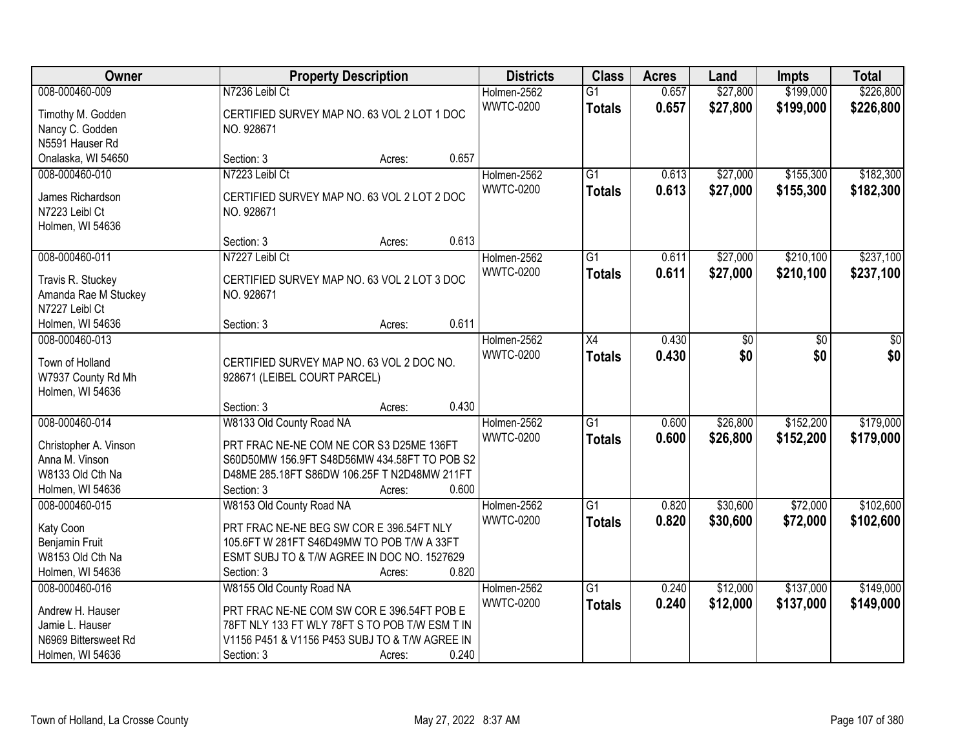| Owner                 |                                                | <b>Property Description</b> |       |                  | <b>Class</b>    | <b>Acres</b> | Land     | <b>Impts</b> | <b>Total</b> |
|-----------------------|------------------------------------------------|-----------------------------|-------|------------------|-----------------|--------------|----------|--------------|--------------|
| 008-000460-009        | N7236 Leibl Ct                                 |                             |       | Holmen-2562      | $\overline{G1}$ | 0.657        | \$27,800 | \$199,000    | \$226,800    |
| Timothy M. Godden     | CERTIFIED SURVEY MAP NO. 63 VOL 2 LOT 1 DOC    |                             |       | <b>WWTC-0200</b> | <b>Totals</b>   | 0.657        | \$27,800 | \$199,000    | \$226,800    |
| Nancy C. Godden       | NO. 928671                                     |                             |       |                  |                 |              |          |              |              |
| N5591 Hauser Rd       |                                                |                             |       |                  |                 |              |          |              |              |
| Onalaska, WI 54650    | Section: 3                                     | Acres:                      | 0.657 |                  |                 |              |          |              |              |
| 008-000460-010        | N7223 Leibl Ct                                 |                             |       | Holmen-2562      | $\overline{G1}$ | 0.613        | \$27,000 | \$155,300    | \$182,300    |
|                       |                                                |                             |       | <b>WWTC-0200</b> | <b>Totals</b>   | 0.613        | \$27,000 | \$155,300    | \$182,300    |
| James Richardson      | CERTIFIED SURVEY MAP NO. 63 VOL 2 LOT 2 DOC    |                             |       |                  |                 |              |          |              |              |
| N7223 Leibl Ct        | NO. 928671                                     |                             |       |                  |                 |              |          |              |              |
| Holmen, WI 54636      |                                                |                             | 0.613 |                  |                 |              |          |              |              |
|                       | Section: 3                                     | Acres:                      |       |                  |                 |              |          |              |              |
| 008-000460-011        | N7227 Leibl Ct                                 |                             |       | Holmen-2562      | $\overline{G1}$ | 0.611        | \$27,000 | \$210,100    | \$237,100    |
| Travis R. Stuckey     | CERTIFIED SURVEY MAP NO. 63 VOL 2 LOT 3 DOC    |                             |       | <b>WWTC-0200</b> | <b>Totals</b>   | 0.611        | \$27,000 | \$210,100    | \$237,100    |
| Amanda Rae M Stuckey  | NO. 928671                                     |                             |       |                  |                 |              |          |              |              |
| N7227 Leibl Ct        |                                                |                             |       |                  |                 |              |          |              |              |
| Holmen, WI 54636      | Section: 3                                     | Acres:                      | 0.611 |                  |                 |              |          |              |              |
| 008-000460-013        |                                                |                             |       | Holmen-2562      | X4              | 0.430        | \$0      | \$0          | \$0          |
|                       |                                                |                             |       | <b>WWTC-0200</b> | <b>Totals</b>   | 0.430        | \$0      | \$0          | \$0          |
| Town of Holland       | CERTIFIED SURVEY MAP NO. 63 VOL 2 DOC NO.      |                             |       |                  |                 |              |          |              |              |
| W7937 County Rd Mh    | 928671 (LEIBEL COURT PARCEL)                   |                             |       |                  |                 |              |          |              |              |
| Holmen, WI 54636      | Section: 3                                     |                             | 0.430 |                  |                 |              |          |              |              |
| 008-000460-014        | W8133 Old County Road NA                       | Acres:                      |       |                  | $\overline{G1}$ | 0.600        | \$26,800 | \$152,200    | \$179,000    |
|                       |                                                |                             |       | Holmen-2562      |                 |              |          |              |              |
| Christopher A. Vinson | PRT FRAC NE-NE COM NE COR S3 D25ME 136FT       |                             |       | <b>WWTC-0200</b> | <b>Totals</b>   | 0.600        | \$26,800 | \$152,200    | \$179,000    |
| Anna M. Vinson        | S60D50MW 156.9FT S48D56MW 434.58FT TO POB S2   |                             |       |                  |                 |              |          |              |              |
| W8133 Old Cth Na      | D48ME 285.18FT S86DW 106.25F T N2D48MW 211FT   |                             |       |                  |                 |              |          |              |              |
| Holmen, WI 54636      | Section: 3                                     | Acres:                      | 0.600 |                  |                 |              |          |              |              |
| 008-000460-015        | W8153 Old County Road NA                       |                             |       | Holmen-2562      | G1              | 0.820        | \$30,600 | \$72,000     | \$102,600    |
| Katy Coon             | PRT FRAC NE-NE BEG SW COR E 396.54FT NLY       |                             |       | <b>WWTC-0200</b> | <b>Totals</b>   | 0.820        | \$30,600 | \$72,000     | \$102,600    |
| Benjamin Fruit        | 105.6FT W 281FT S46D49MW TO POB T/W A 33FT     |                             |       |                  |                 |              |          |              |              |
| W8153 Old Cth Na      | ESMT SUBJ TO & T/W AGREE IN DOC NO. 1527629    |                             |       |                  |                 |              |          |              |              |
| Holmen, WI 54636      | Section: 3                                     | Acres:                      | 0.820 |                  |                 |              |          |              |              |
| 008-000460-016        | W8155 Old County Road NA                       |                             |       | Holmen-2562      | $\overline{G1}$ | 0.240        | \$12,000 | \$137,000    | \$149,000    |
|                       |                                                |                             |       | <b>WWTC-0200</b> | <b>Totals</b>   | 0.240        | \$12,000 | \$137,000    | \$149,000    |
| Andrew H. Hauser      | PRT FRAC NE-NE COM SW COR E 396.54FT POB E     |                             |       |                  |                 |              |          |              |              |
| Jamie L. Hauser       | 78FT NLY 133 FT WLY 78FT S TO POB T/W ESM T IN |                             |       |                  |                 |              |          |              |              |
| N6969 Bittersweet Rd  | V1156 P451 & V1156 P453 SUBJ TO & T/W AGREE IN |                             |       |                  |                 |              |          |              |              |
| Holmen, WI 54636      | Section: 3                                     | Acres:                      | 0.240 |                  |                 |              |          |              |              |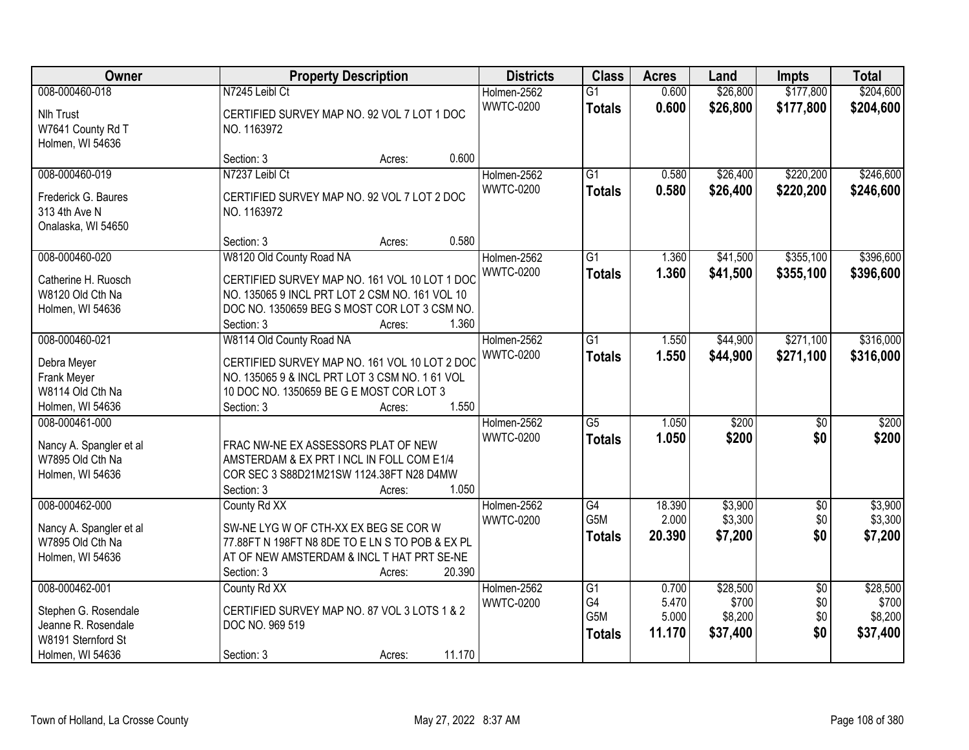| Owner                                                                                                   | <b>Property Description</b>                                                                                                                                                              | <b>Districts</b>                | <b>Class</b>                                               | <b>Acres</b>                      | Land                                     | <b>Impts</b>                         | <b>Total</b>                             |
|---------------------------------------------------------------------------------------------------------|------------------------------------------------------------------------------------------------------------------------------------------------------------------------------------------|---------------------------------|------------------------------------------------------------|-----------------------------------|------------------------------------------|--------------------------------------|------------------------------------------|
| 008-000460-018<br>Nlh Trust<br>W7641 County Rd T<br>Holmen, WI 54636                                    | N7245 Leibl Ct<br>CERTIFIED SURVEY MAP NO. 92 VOL 7 LOT 1 DOC<br>NO. 1163972                                                                                                             | Holmen-2562<br><b>WWTC-0200</b> | $\overline{G1}$<br><b>Totals</b>                           | 0.600<br>0.600                    | \$26,800<br>\$26,800                     | \$177,800<br>\$177,800               | \$204,600<br>\$204,600                   |
|                                                                                                         | 0.600<br>Section: 3<br>Acres:                                                                                                                                                            |                                 |                                                            |                                   |                                          |                                      |                                          |
| 008-000460-019<br>Frederick G. Baures<br>313 4th Ave N<br>Onalaska, WI 54650                            | N7237 Leibl Ct<br>CERTIFIED SURVEY MAP NO. 92 VOL 7 LOT 2 DOC<br>NO. 1163972<br>0.580                                                                                                    | Holmen-2562<br><b>WWTC-0200</b> | $\overline{G1}$<br><b>Totals</b>                           | 0.580<br>0.580                    | \$26,400<br>\$26,400                     | \$220,200<br>\$220,200               | \$246,600<br>\$246,600                   |
| 008-000460-020                                                                                          | Section: 3<br>Acres:<br>W8120 Old County Road NA                                                                                                                                         | Holmen-2562                     | $\overline{G1}$                                            | 1.360                             | \$41,500                                 | \$355,100                            | \$396,600                                |
| Catherine H. Ruosch<br>W8120 Old Cth Na<br>Holmen, WI 54636                                             | CERTIFIED SURVEY MAP NO. 161 VOL 10 LOT 1 DOC<br>NO. 135065 9 INCL PRT LOT 2 CSM NO. 161 VOL 10<br>DOC NO. 1350659 BEG S MOST COR LOT 3 CSM NO.<br>1.360<br>Section: 3<br>Acres:         | <b>WWTC-0200</b>                | <b>Totals</b>                                              | 1.360                             | \$41,500                                 | \$355,100                            | \$396,600                                |
| 008-000460-021                                                                                          | W8114 Old County Road NA                                                                                                                                                                 | Holmen-2562<br><b>WWTC-0200</b> | $\overline{G1}$<br><b>Totals</b>                           | 1.550<br>1.550                    | \$44,900<br>\$44,900                     | \$271,100<br>\$271,100               | \$316,000<br>\$316,000                   |
| Debra Meyer<br>Frank Meyer<br>W8114 Old Cth Na<br>Holmen, WI 54636                                      | CERTIFIED SURVEY MAP NO. 161 VOL 10 LOT 2 DOC<br>NO. 135065 9 & INCL PRT LOT 3 CSM NO. 1 61 VOL<br>10 DOC NO. 1350659 BE G E MOST COR LOT 3<br>1.550<br>Section: 3<br>Acres:             |                                 |                                                            |                                   |                                          |                                      |                                          |
| 008-000461-000<br>Nancy A. Spangler et al<br>W7895 Old Cth Na<br>Holmen, WI 54636                       | FRAC NW-NE EX ASSESSORS PLAT OF NEW<br>AMSTERDAM & EX PRT I NCL IN FOLL COM E1/4<br>COR SEC 3 S88D21M21SW 1124.38FT N28 D4MW<br>1.050<br>Section: 3<br>Acres:                            | Holmen-2562<br><b>WWTC-0200</b> | $\overline{G5}$<br><b>Totals</b>                           | 1.050<br>1.050                    | \$200<br>\$200                           | $\overline{50}$<br>\$0               | \$200<br>\$200                           |
| 008-000462-000<br>Nancy A. Spangler et al<br>W7895 Old Cth Na<br>Holmen, WI 54636                       | County Rd XX<br>SW-NE LYG W OF CTH-XX EX BEG SE COR W<br>77.88FT N 198FT N8 8DE TO E LN S TO POB & EX PL<br>AT OF NEW AMSTERDAM & INCL T HAT PRT SE-NE<br>20.390<br>Section: 3<br>Acres: | Holmen-2562<br><b>WWTC-0200</b> | G4<br>G5M<br><b>Totals</b>                                 | 18.390<br>2.000<br>20.390         | \$3,900<br>\$3,300<br>\$7,200            | $\overline{60}$<br>\$0<br>\$0        | \$3,900<br>\$3,300<br>\$7,200            |
| 008-000462-001<br>Stephen G. Rosendale<br>Jeanne R. Rosendale<br>W8191 Sternford St<br>Holmen, WI 54636 | County Rd XX<br>CERTIFIED SURVEY MAP NO. 87 VOL 3 LOTS 1 & 2<br>DOC NO. 969 519<br>11.170<br>Section: 3<br>Acres:                                                                        | Holmen-2562<br><b>WWTC-0200</b> | $\overline{G1}$<br>G4<br>G <sub>5</sub> M<br><b>Totals</b> | 0.700<br>5.470<br>5.000<br>11.170 | \$28,500<br>\$700<br>\$8,200<br>\$37,400 | $\overline{50}$<br>\$0<br>\$0<br>\$0 | \$28,500<br>\$700<br>\$8,200<br>\$37,400 |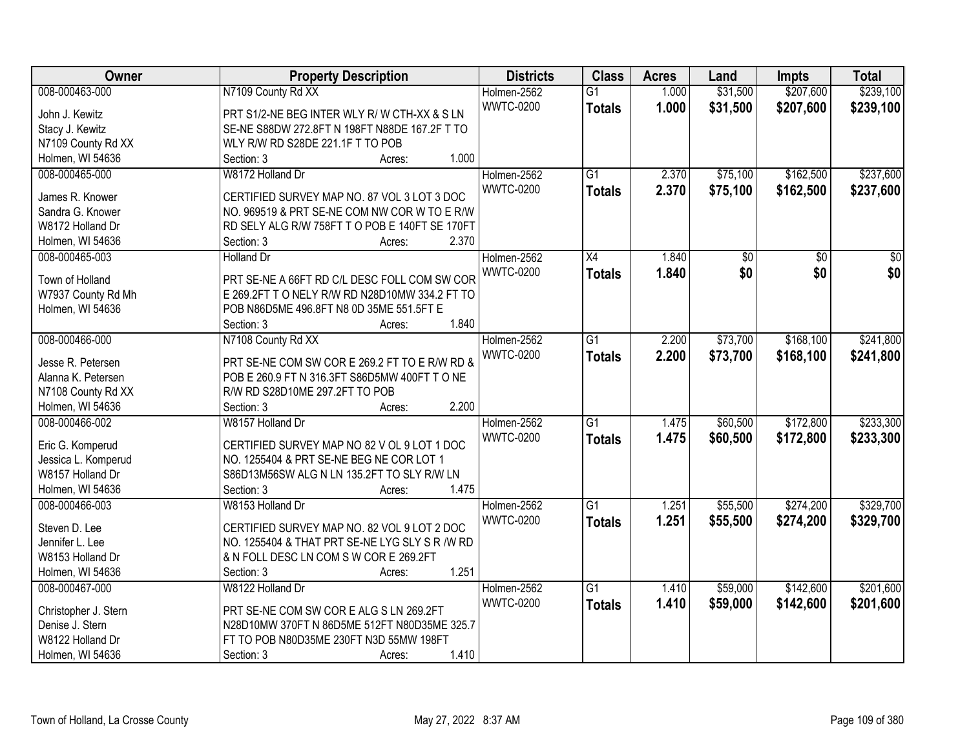| Owner                | <b>Property Description</b>                    | <b>Districts</b> | <b>Class</b>             | <b>Acres</b> | Land            | <b>Impts</b>    | <b>Total</b>    |
|----------------------|------------------------------------------------|------------------|--------------------------|--------------|-----------------|-----------------|-----------------|
| 008-000463-000       | N7109 County Rd XX                             | Holmen-2562      | $\overline{G1}$          | 1.000        | \$31,500        | \$207,600       | \$239,100       |
| John J. Kewitz       | PRT S1/2-NE BEG INTER WLY R/W CTH-XX & SLN     | <b>WWTC-0200</b> | <b>Totals</b>            | 1.000        | \$31,500        | \$207,600       | \$239,100       |
| Stacy J. Kewitz      | SE-NE S88DW 272.8FT N 198FT N88DE 167.2F T TO  |                  |                          |              |                 |                 |                 |
| N7109 County Rd XX   | WLY R/W RD S28DE 221.1F T TO POB               |                  |                          |              |                 |                 |                 |
| Holmen, WI 54636     | 1.000<br>Section: 3<br>Acres:                  |                  |                          |              |                 |                 |                 |
| 008-000465-000       | W8172 Holland Dr                               | Holmen-2562      | $\overline{G1}$          | 2.370        | \$75,100        | \$162,500       | \$237,600       |
|                      |                                                | <b>WWTC-0200</b> | <b>Totals</b>            | 2.370        | \$75,100        | \$162,500       | \$237,600       |
| James R. Knower      | CERTIFIED SURVEY MAP NO. 87 VOL 3 LOT 3 DOC    |                  |                          |              |                 |                 |                 |
| Sandra G. Knower     | NO. 969519 & PRT SE-NE COM NW COR W TO E R/W   |                  |                          |              |                 |                 |                 |
| W8172 Holland Dr     | RD SELY ALG R/W 758FT T O POB E 140FT SE 170FT |                  |                          |              |                 |                 |                 |
| Holmen, WI 54636     | 2.370<br>Section: 3<br>Acres:                  |                  |                          |              |                 |                 |                 |
| 008-000465-003       | <b>Holland Dr</b>                              | Holmen-2562      | $\overline{\mathsf{X}4}$ | 1.840        | $\overline{50}$ | $\overline{50}$ | $\overline{50}$ |
| Town of Holland      | PRT SE-NE A 66FT RD C/L DESC FOLL COM SW COR   | <b>WWTC-0200</b> | <b>Totals</b>            | 1.840        | \$0             | \$0             | \$0             |
| W7937 County Rd Mh   | E 269.2FT T O NELY R/W RD N28D10MW 334.2 FT TO |                  |                          |              |                 |                 |                 |
| Holmen, WI 54636     | POB N86D5ME 496.8FT N8 0D 35ME 551.5FT E       |                  |                          |              |                 |                 |                 |
|                      | 1.840<br>Section: 3<br>Acres:                  |                  |                          |              |                 |                 |                 |
| 008-000466-000       | N7108 County Rd XX                             | Holmen-2562      | G1                       | 2.200        | \$73,700        | \$168,100       | \$241,800       |
|                      |                                                | <b>WWTC-0200</b> |                          | 2.200        | \$73,700        | \$168,100       | \$241,800       |
| Jesse R. Petersen    | PRT SE-NE COM SW COR E 269.2 FT TO E R/W RD &  |                  | <b>Totals</b>            |              |                 |                 |                 |
| Alanna K. Petersen   | POB E 260.9 FT N 316.3FT S86D5MW 400FT T O NE  |                  |                          |              |                 |                 |                 |
| N7108 County Rd XX   | R/W RD S28D10ME 297.2FT TO POB                 |                  |                          |              |                 |                 |                 |
| Holmen, WI 54636     | 2.200<br>Section: 3<br>Acres:                  |                  |                          |              |                 |                 |                 |
| 008-000466-002       | W8157 Holland Dr                               | Holmen-2562      | $\overline{G1}$          | 1.475        | \$60,500        | \$172,800       | \$233,300       |
| Eric G. Komperud     | CERTIFIED SURVEY MAP NO 82 V OL 9 LOT 1 DOC    | <b>WWTC-0200</b> | <b>Totals</b>            | 1.475        | \$60,500        | \$172,800       | \$233,300       |
| Jessica L. Komperud  | NO. 1255404 & PRT SE-NE BEG NE COR LOT 1       |                  |                          |              |                 |                 |                 |
| W8157 Holland Dr     | S86D13M56SW ALG N LN 135.2FT TO SLY R/W LN     |                  |                          |              |                 |                 |                 |
| Holmen, WI 54636     | 1.475<br>Section: 3<br>Acres:                  |                  |                          |              |                 |                 |                 |
| 008-000466-003       | W8153 Holland Dr                               | Holmen-2562      | $\overline{G1}$          | 1.251        | \$55,500        | \$274,200       | \$329,700       |
|                      |                                                | <b>WWTC-0200</b> |                          |              |                 |                 |                 |
| Steven D. Lee        | CERTIFIED SURVEY MAP NO. 82 VOL 9 LOT 2 DOC    |                  | <b>Totals</b>            | 1.251        | \$55,500        | \$274,200       | \$329,700       |
| Jennifer L. Lee      | NO. 1255404 & THAT PRT SE-NE LYG SLY S R /W RD |                  |                          |              |                 |                 |                 |
| W8153 Holland Dr     | & N FOLL DESC LN COM S W COR E 269.2FT         |                  |                          |              |                 |                 |                 |
| Holmen, WI 54636     | 1.251<br>Section: 3<br>Acres:                  |                  |                          |              |                 |                 |                 |
| 008-000467-000       | W8122 Holland Dr                               | Holmen-2562      | $\overline{G1}$          | 1.410        | \$59,000        | \$142,600       | \$201,600       |
| Christopher J. Stern | PRT SE-NE COM SW COR E ALG S LN 269.2FT        | <b>WWTC-0200</b> | <b>Totals</b>            | 1.410        | \$59,000        | \$142,600       | \$201,600       |
| Denise J. Stern      | N28D10MW 370FT N 86D5ME 512FT N80D35ME 325.7   |                  |                          |              |                 |                 |                 |
| W8122 Holland Dr     | FT TO POB N80D35ME 230FT N3D 55MW 198FT        |                  |                          |              |                 |                 |                 |
| Holmen, WI 54636     | 1.410<br>Section: 3<br>Acres:                  |                  |                          |              |                 |                 |                 |
|                      |                                                |                  |                          |              |                 |                 |                 |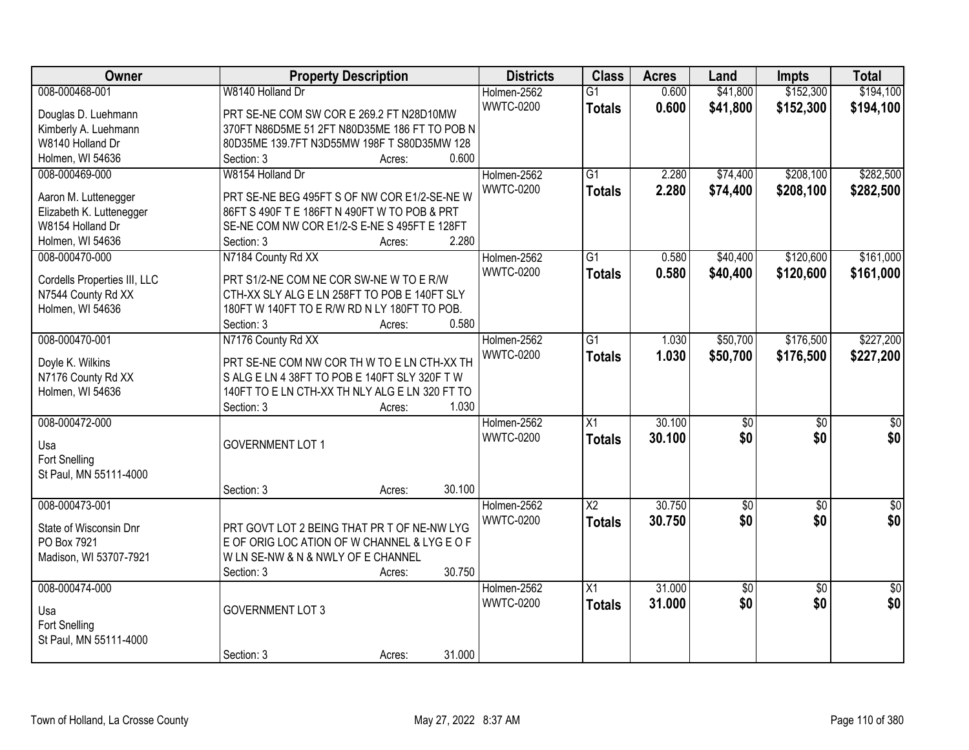| Owner                        | <b>Property Description</b>                    | <b>Districts</b> | <b>Class</b>           | <b>Acres</b> | Land            | <b>Impts</b>    | <b>Total</b>    |
|------------------------------|------------------------------------------------|------------------|------------------------|--------------|-----------------|-----------------|-----------------|
| 008-000468-001               | W8140 Holland Dr                               | Holmen-2562      | $\overline{G1}$        | 0.600        | \$41,800        | \$152,300       | \$194,100       |
| Douglas D. Luehmann          | PRT SE-NE COM SW COR E 269.2 FT N28D10MW       | <b>WWTC-0200</b> | <b>Totals</b>          | 0.600        | \$41,800        | \$152,300       | \$194,100       |
| Kimberly A. Luehmann         | 370FT N86D5ME 51 2FT N80D35ME 186 FT TO POB N  |                  |                        |              |                 |                 |                 |
| W8140 Holland Dr             | 80D35ME 139.7FT N3D55MW 198F T S80D35MW 128    |                  |                        |              |                 |                 |                 |
| Holmen, WI 54636             | 0.600<br>Section: 3<br>Acres:                  |                  |                        |              |                 |                 |                 |
| 008-000469-000               | W8154 Holland Dr                               | Holmen-2562      | $\overline{G1}$        | 2.280        | \$74,400        | \$208,100       | \$282,500       |
|                              |                                                | <b>WWTC-0200</b> | <b>Totals</b>          | 2.280        | \$74,400        | \$208,100       | \$282,500       |
| Aaron M. Luttenegger         | PRT SE-NE BEG 495FT S OF NW COR E1/2-SE-NE W   |                  |                        |              |                 |                 |                 |
| Elizabeth K. Luttenegger     | 86FT S 490F T E 186FT N 490FT W TO POB & PRT   |                  |                        |              |                 |                 |                 |
| W8154 Holland Dr             | SE-NE COM NW COR E1/2-S E-NE S 495FT E 128FT   |                  |                        |              |                 |                 |                 |
| Holmen, WI 54636             | 2.280<br>Section: 3<br>Acres:                  |                  |                        |              |                 |                 |                 |
| 008-000470-000               | N7184 County Rd XX                             | Holmen-2562      | $\overline{G1}$        | 0.580        | \$40,400        | \$120,600       | \$161,000       |
| Cordells Properties III, LLC | PRT S1/2-NE COM NE COR SW-NE W TO E R/W        | <b>WWTC-0200</b> | <b>Totals</b>          | 0.580        | \$40,400        | \$120,600       | \$161,000       |
| N7544 County Rd XX           | CTH-XX SLY ALG E LN 258FT TO POB E 140FT SLY   |                  |                        |              |                 |                 |                 |
| Holmen, WI 54636             | 180FT W 140FT TO E R/W RD N LY 180FT TO POB.   |                  |                        |              |                 |                 |                 |
|                              | 0.580<br>Section: 3<br>Acres:                  |                  |                        |              |                 |                 |                 |
| 008-000470-001               | N7176 County Rd XX                             | Holmen-2562      | $\overline{G1}$        | 1.030        | \$50,700        | \$176,500       | \$227,200       |
|                              |                                                | <b>WWTC-0200</b> |                        |              |                 |                 |                 |
| Doyle K. Wilkins             | PRT SE-NE COM NW COR TH W TO E LN CTH-XX TH    |                  | <b>Totals</b>          | 1.030        | \$50,700        | \$176,500       | \$227,200       |
| N7176 County Rd XX           | S ALG E LN 4 38FT TO POB E 140FT SLY 320F TW   |                  |                        |              |                 |                 |                 |
| Holmen, WI 54636             | 140FT TO E LN CTH-XX TH NLY ALG E LN 320 FT TO |                  |                        |              |                 |                 |                 |
|                              | 1.030<br>Section: 3<br>Acres:                  |                  |                        |              |                 |                 |                 |
| 008-000472-000               |                                                | Holmen-2562      | $\overline{X1}$        | 30.100       | $\overline{50}$ | $\overline{50}$ | $\overline{50}$ |
|                              |                                                | <b>WWTC-0200</b> | <b>Totals</b>          | 30.100       | \$0             | \$0             | \$0             |
| Usa                          | <b>GOVERNMENT LOT 1</b>                        |                  |                        |              |                 |                 |                 |
| Fort Snelling                |                                                |                  |                        |              |                 |                 |                 |
| St Paul, MN 55111-4000       |                                                |                  |                        |              |                 |                 |                 |
|                              | 30.100<br>Section: 3<br>Acres:                 |                  |                        |              |                 |                 |                 |
| 008-000473-001               |                                                | Holmen-2562      | $\overline{\text{X2}}$ | 30.750       | $\sqrt{$0}$     | $\overline{30}$ | \$0             |
| State of Wisconsin Dnr       | PRT GOVT LOT 2 BEING THAT PR T OF NE-NW LYG    | <b>WWTC-0200</b> | <b>Totals</b>          | 30.750       | \$0             | \$0             | \$0             |
| PO Box 7921                  | E OF ORIG LOC ATION OF W CHANNEL & LYG E O F   |                  |                        |              |                 |                 |                 |
| Madison, WI 53707-7921       | W LN SE-NW & N & NWLY OF E CHANNEL             |                  |                        |              |                 |                 |                 |
|                              | 30.750<br>Section: 3<br>Acres:                 |                  |                        |              |                 |                 |                 |
| 008-000474-000               |                                                | Holmen-2562      | $\overline{X1}$        | 31.000       | $\overline{60}$ | $\overline{30}$ | $\overline{50}$ |
|                              |                                                | <b>WWTC-0200</b> | <b>Totals</b>          | 31.000       | \$0             | \$0             | \$0             |
| Usa                          | <b>GOVERNMENT LOT 3</b>                        |                  |                        |              |                 |                 |                 |
| <b>Fort Snelling</b>         |                                                |                  |                        |              |                 |                 |                 |
| St Paul, MN 55111-4000       |                                                |                  |                        |              |                 |                 |                 |
|                              | 31.000<br>Section: 3<br>Acres:                 |                  |                        |              |                 |                 |                 |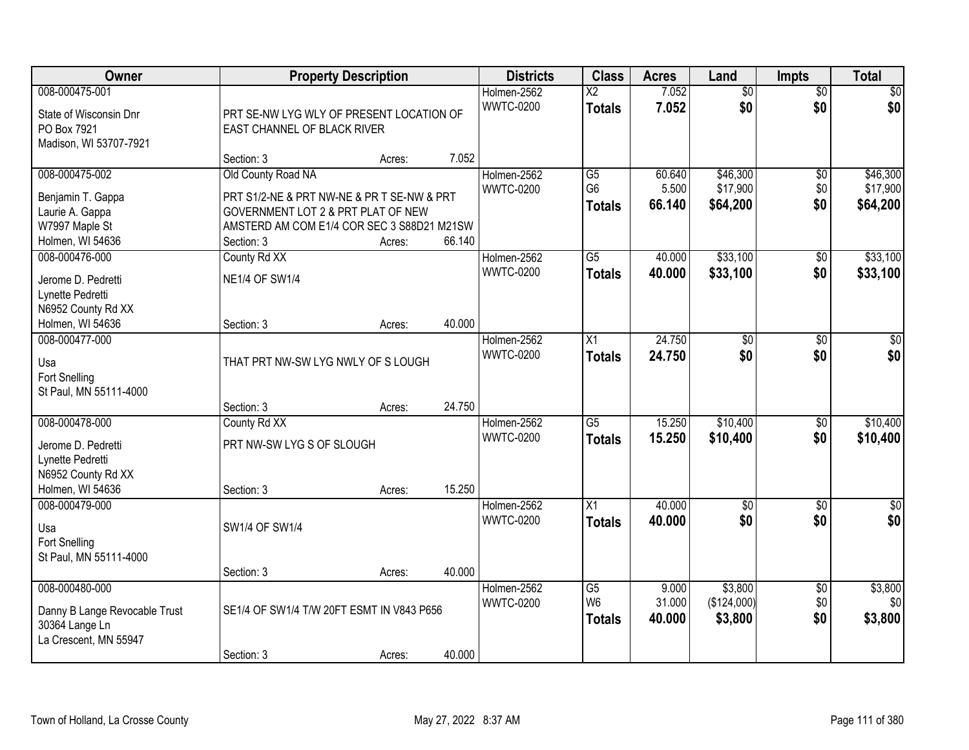| Owner                                           |                                            | <b>Property Description</b> |        | <b>Districts</b> | <b>Class</b>           | <b>Acres</b> | Land            | <b>Impts</b>    | <b>Total</b>     |
|-------------------------------------------------|--------------------------------------------|-----------------------------|--------|------------------|------------------------|--------------|-----------------|-----------------|------------------|
| 008-000475-001                                  |                                            |                             |        | Holmen-2562      | $\overline{\text{X2}}$ | 7.052        | $\overline{50}$ | $\overline{$0}$ | \$0              |
| State of Wisconsin Dnr                          | PRT SE-NW LYG WLY OF PRESENT LOCATION OF   |                             |        | <b>WWTC-0200</b> | <b>Totals</b>          | 7.052        | \$0             | \$0             | \$0              |
| PO Box 7921                                     | EAST CHANNEL OF BLACK RIVER                |                             |        |                  |                        |              |                 |                 |                  |
| Madison, WI 53707-7921                          |                                            |                             |        |                  |                        |              |                 |                 |                  |
|                                                 | Section: 3                                 | Acres:                      | 7.052  |                  |                        |              |                 |                 |                  |
| 008-000475-002                                  | Old County Road NA                         |                             |        | Holmen-2562      | $\overline{G5}$        | 60.640       | \$46,300        | \$0             | \$46,300         |
| Benjamin T. Gappa                               | PRT S1/2-NE & PRT NW-NE & PR T SE-NW & PRT |                             |        | <b>WWTC-0200</b> | G <sub>6</sub>         | 5.500        | \$17,900        | \$0             | \$17,900         |
| Laurie A. Gappa                                 | GOVERNMENT LOT 2 & PRT PLAT OF NEW         |                             |        |                  | <b>Totals</b>          | 66.140       | \$64,200        | \$0             | \$64,200         |
| W7997 Maple St                                  | AMSTERD AM COM E1/4 COR SEC 3 S88D21 M21SW |                             |        |                  |                        |              |                 |                 |                  |
| Holmen, WI 54636                                | Section: 3                                 | Acres:                      | 66.140 |                  |                        |              |                 |                 |                  |
| 008-000476-000                                  | County Rd XX                               |                             |        | Holmen-2562      | $\overline{G5}$        | 40.000       | \$33,100        | \$0             | \$33,100         |
| Jerome D. Pedretti                              | <b>NE1/4 OF SW1/4</b>                      |                             |        | <b>WWTC-0200</b> | <b>Totals</b>          | 40.000       | \$33,100        | \$0             | \$33,100         |
| Lynette Pedretti                                |                                            |                             |        |                  |                        |              |                 |                 |                  |
| N6952 County Rd XX                              |                                            |                             |        |                  |                        |              |                 |                 |                  |
| Holmen, WI 54636                                | Section: 3                                 | Acres:                      | 40.000 |                  |                        |              |                 |                 |                  |
| 008-000477-000                                  |                                            |                             |        | Holmen-2562      | X1                     | 24.750       | \$0             | \$0             | $\sqrt{50}$      |
| Usa                                             | THAT PRT NW-SW LYG NWLY OF S LOUGH         |                             |        | <b>WWTC-0200</b> | <b>Totals</b>          | 24.750       | \$0             | \$0             | \$0              |
| Fort Snelling                                   |                                            |                             |        |                  |                        |              |                 |                 |                  |
| St Paul, MN 55111-4000                          |                                            |                             |        |                  |                        |              |                 |                 |                  |
|                                                 | Section: 3                                 | Acres:                      | 24.750 |                  |                        |              |                 |                 |                  |
| 008-000478-000                                  | County Rd XX                               |                             |        | Holmen-2562      | $\overline{G5}$        | 15.250       | \$10,400        | $\overline{50}$ | \$10,400         |
| Jerome D. Pedretti                              | PRT NW-SW LYG S OF SLOUGH                  |                             |        | <b>WWTC-0200</b> | <b>Totals</b>          | 15.250       | \$10,400        | \$0             | \$10,400         |
| Lynette Pedretti                                |                                            |                             |        |                  |                        |              |                 |                 |                  |
| N6952 County Rd XX                              |                                            |                             |        |                  |                        |              |                 |                 |                  |
| Holmen, WI 54636                                | Section: 3                                 | Acres:                      | 15.250 |                  |                        |              |                 |                 |                  |
| 008-000479-000                                  |                                            |                             |        | Holmen-2562      | $\overline{X1}$        | 40.000       | $\sqrt{$0}$     | \$0             | $\sqrt{30}$      |
| Usa                                             | SW1/4 OF SW1/4                             |                             |        | <b>WWTC-0200</b> | <b>Totals</b>          | 40.000       | \$0             | \$0             | \$0              |
| Fort Snelling                                   |                                            |                             |        |                  |                        |              |                 |                 |                  |
| St Paul, MN 55111-4000                          |                                            |                             |        |                  |                        |              |                 |                 |                  |
|                                                 | Section: 3                                 | Acres:                      | 40.000 |                  |                        |              |                 |                 |                  |
| 008-000480-000                                  |                                            |                             |        | Holmen-2562      | G5                     | 9.000        | \$3,800         | $\overline{60}$ | \$3,800          |
|                                                 | SE1/4 OF SW1/4 T/W 20FT ESMT IN V843 P656  |                             |        | <b>WWTC-0200</b> | W <sub>6</sub>         | 31.000       | (\$124,000)     | \$0             | \$0 <sub>l</sub> |
| Danny B Lange Revocable Trust<br>30364 Lange Ln |                                            |                             |        |                  | <b>Totals</b>          | 40.000       | \$3,800         | \$0             | \$3,800          |
| La Crescent, MN 55947                           |                                            |                             |        |                  |                        |              |                 |                 |                  |
|                                                 | Section: 3                                 | Acres:                      | 40.000 |                  |                        |              |                 |                 |                  |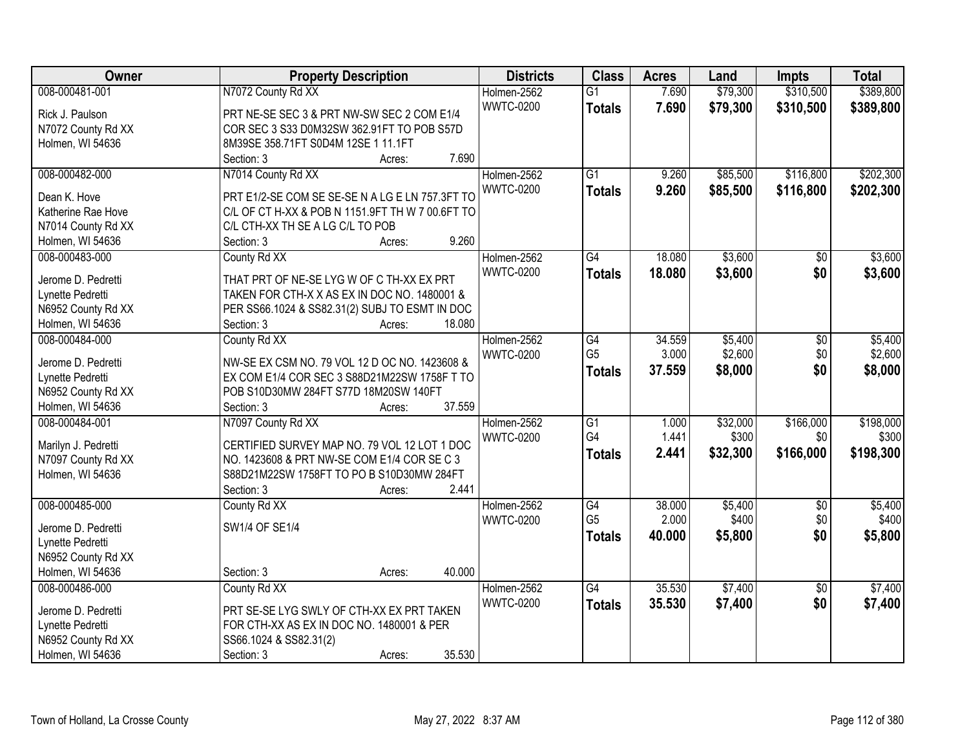| Owner               | <b>Property Description</b>                      |                  | <b>Districts</b> | <b>Class</b>    | <b>Acres</b> | Land     | Impts           | <b>Total</b> |
|---------------------|--------------------------------------------------|------------------|------------------|-----------------|--------------|----------|-----------------|--------------|
| 008-000481-001      | N7072 County Rd XX                               |                  | Holmen-2562      | $\overline{G1}$ | 7.690        | \$79,300 | \$310,500       | \$389,800    |
| Rick J. Paulson     | PRT NE-SE SEC 3 & PRT NW-SW SEC 2 COM E1/4       |                  | <b>WWTC-0200</b> | <b>Totals</b>   | 7.690        | \$79,300 | \$310,500       | \$389,800    |
| N7072 County Rd XX  | COR SEC 3 S33 D0M32SW 362.91FT TO POB S57D       |                  |                  |                 |              |          |                 |              |
| Holmen, WI 54636    | 8M39SE 358.71FT S0D4M 12SE 1 11.1FT              |                  |                  |                 |              |          |                 |              |
|                     | Section: 3                                       | 7.690<br>Acres:  |                  |                 |              |          |                 |              |
| 008-000482-000      | N7014 County Rd XX                               |                  | Holmen-2562      | $\overline{G1}$ | 9.260        | \$85,500 | \$116,800       | \$202,300    |
|                     |                                                  |                  | <b>WWTC-0200</b> | <b>Totals</b>   | 9.260        | \$85,500 | \$116,800       | \$202,300    |
| Dean K. Hove        | PRT E1/2-SE COM SE SE-SE N A LG E LN 757.3FT TO  |                  |                  |                 |              |          |                 |              |
| Katherine Rae Hove  | C/L OF CT H-XX & POB N 1151.9FT TH W 7 00.6FT TO |                  |                  |                 |              |          |                 |              |
| N7014 County Rd XX  | C/L CTH-XX TH SE A LG C/L TO POB                 |                  |                  |                 |              |          |                 |              |
| Holmen, WI 54636    | Section: 3                                       | 9.260<br>Acres:  |                  |                 |              |          |                 |              |
| 008-000483-000      | County Rd XX                                     |                  | Holmen-2562      | $\overline{G4}$ | 18.080       | \$3,600  | $\sqrt{50}$     | \$3,600      |
| Jerome D. Pedretti  | THAT PRT OF NE-SE LYG W OF C TH-XX EX PRT        |                  | <b>WWTC-0200</b> | <b>Totals</b>   | 18.080       | \$3,600  | \$0             | \$3,600      |
| Lynette Pedretti    | TAKEN FOR CTH-X X AS EX IN DOC NO. 1480001 &     |                  |                  |                 |              |          |                 |              |
| N6952 County Rd XX  | PER SS66.1024 & SS82.31(2) SUBJ TO ESMT IN DOC   |                  |                  |                 |              |          |                 |              |
| Holmen, WI 54636    | Section: 3                                       | 18.080<br>Acres: |                  |                 |              |          |                 |              |
| 008-000484-000      | County Rd XX                                     |                  | Holmen-2562      | $\overline{G4}$ | 34.559       | \$5,400  | \$0             | \$5,400      |
|                     |                                                  |                  | <b>WWTC-0200</b> | G <sub>5</sub>  | 3.000        | \$2,600  | \$0             | \$2,600      |
| Jerome D. Pedretti  | NW-SE EX CSM NO. 79 VOL 12 D OC NO. 1423608 &    |                  |                  | <b>Totals</b>   | 37.559       | \$8,000  | \$0             | \$8,000      |
| Lynette Pedretti    | EX COM E1/4 COR SEC 3 S88D21M22SW 1758F T TO     |                  |                  |                 |              |          |                 |              |
| N6952 County Rd XX  | POB S10D30MW 284FT S77D 18M20SW 140FT            |                  |                  |                 |              |          |                 |              |
| Holmen, WI 54636    | Section: 3                                       | 37.559<br>Acres: |                  |                 |              |          |                 |              |
| 008-000484-001      | N7097 County Rd XX                               |                  | Holmen-2562      | $\overline{G1}$ | 1.000        | \$32,000 | \$166,000       | \$198,000    |
| Marilyn J. Pedretti | CERTIFIED SURVEY MAP NO. 79 VOL 12 LOT 1 DOC     |                  | <b>WWTC-0200</b> | G4              | 1.441        | \$300    | \$0             | \$300        |
| N7097 County Rd XX  | NO. 1423608 & PRT NW-SE COM E1/4 COR SE C 3      |                  |                  | <b>Totals</b>   | 2.441        | \$32,300 | \$166,000       | \$198,300    |
| Holmen, WI 54636    | S88D21M22SW 1758FT TO PO B S10D30MW 284FT        |                  |                  |                 |              |          |                 |              |
|                     | Section: 3                                       | 2.441<br>Acres:  |                  |                 |              |          |                 |              |
| 008-000485-000      | County Rd XX                                     |                  | Holmen-2562      | $\overline{G4}$ | 38.000       | \$5,400  | $\overline{60}$ | \$5,400      |
|                     |                                                  |                  | <b>WWTC-0200</b> | G <sub>5</sub>  | 2.000        | \$400    | \$0             | \$400        |
| Jerome D. Pedretti  | SW1/4 OF SE1/4                                   |                  |                  |                 | 40.000       | \$5,800  | \$0             |              |
| Lynette Pedretti    |                                                  |                  |                  | <b>Totals</b>   |              |          |                 | \$5,800      |
| N6952 County Rd XX  |                                                  |                  |                  |                 |              |          |                 |              |
| Holmen, WI 54636    | Section: 3                                       | 40.000<br>Acres: |                  |                 |              |          |                 |              |
| 008-000486-000      | County Rd XX                                     |                  | Holmen-2562      | G4              | 35.530       | \$7,400  | $\overline{30}$ | \$7,400      |
| Jerome D. Pedretti  | PRT SE-SE LYG SWLY OF CTH-XX EX PRT TAKEN        |                  | <b>WWTC-0200</b> | <b>Totals</b>   | 35.530       | \$7,400  | \$0             | \$7,400      |
| Lynette Pedretti    | FOR CTH-XX AS EX IN DOC NO. 1480001 & PER        |                  |                  |                 |              |          |                 |              |
| N6952 County Rd XX  | SS66.1024 & SS82.31(2)                           |                  |                  |                 |              |          |                 |              |
| Holmen, WI 54636    | Section: 3                                       | 35.530<br>Acres: |                  |                 |              |          |                 |              |
|                     |                                                  |                  |                  |                 |              |          |                 |              |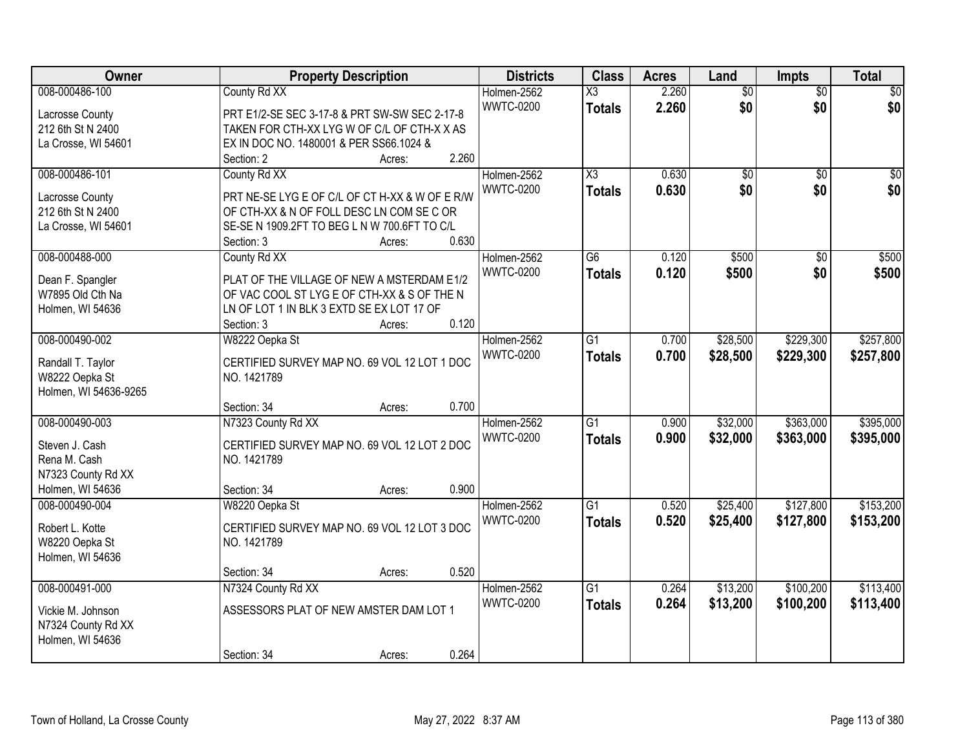| Owner                 | <b>Property Description</b>                    | <b>Districts</b> | <b>Class</b>        | <b>Acres</b> | Land            | <b>Impts</b>    | <b>Total</b>    |
|-----------------------|------------------------------------------------|------------------|---------------------|--------------|-----------------|-----------------|-----------------|
| 008-000486-100        | County Rd XX                                   | Holmen-2562      | X3                  | 2.260        | $\overline{50}$ | $\overline{50}$ | $\overline{30}$ |
| Lacrosse County       | PRT E1/2-SE SEC 3-17-8 & PRT SW-SW SEC 2-17-8  | <b>WWTC-0200</b> | <b>Totals</b>       | 2.260        | \$0             | \$0             | \$0             |
| 212 6th St N 2400     | TAKEN FOR CTH-XX LYG W OF C/L OF CTH-X X AS    |                  |                     |              |                 |                 |                 |
| La Crosse, WI 54601   | EX IN DOC NO. 1480001 & PER SS66.1024 &        |                  |                     |              |                 |                 |                 |
|                       | 2.260<br>Section: 2<br>Acres:                  |                  |                     |              |                 |                 |                 |
| 008-000486-101        | County Rd XX                                   | Holmen-2562      | $\overline{\chi_3}$ | 0.630        | $\overline{50}$ | $\overline{50}$ | $\sqrt{50}$     |
|                       |                                                | <b>WWTC-0200</b> | Totals              | 0.630        | \$0             | \$0             | \$0             |
| Lacrosse County       | PRT NE-SE LYG E OF C/L OF CT H-XX & W OF E R/W |                  |                     |              |                 |                 |                 |
| 212 6th St N 2400     | OF CTH-XX & N OF FOLL DESC LN COM SE C OR      |                  |                     |              |                 |                 |                 |
| La Crosse, WI 54601   | SE-SE N 1909.2FT TO BEG L N W 700.6FT TO C/L   |                  |                     |              |                 |                 |                 |
|                       | 0.630<br>Section: 3<br>Acres:                  |                  |                     |              |                 |                 |                 |
| 008-000488-000        | County Rd XX                                   | Holmen-2562      | $\overline{G6}$     | 0.120        | \$500           | $\overline{50}$ | \$500           |
| Dean F. Spangler      | PLAT OF THE VILLAGE OF NEW A MSTERDAM E1/2     | <b>WWTC-0200</b> | <b>Totals</b>       | 0.120        | \$500           | \$0             | \$500           |
| W7895 Old Cth Na      | OF VAC COOL ST LYG E OF CTH-XX & S OF THE N    |                  |                     |              |                 |                 |                 |
| Holmen, WI 54636      | LN OF LOT 1 IN BLK 3 EXTD SE EX LOT 17 OF      |                  |                     |              |                 |                 |                 |
|                       | 0.120<br>Section: 3<br>Acres:                  |                  |                     |              |                 |                 |                 |
| 008-000490-002        | W8222 Oepka St                                 | Holmen-2562      | $\overline{G1}$     | 0.700        | \$28,500        | \$229,300       | \$257,800       |
|                       |                                                | <b>WWTC-0200</b> | <b>Totals</b>       | 0.700        | \$28,500        | \$229,300       | \$257,800       |
| Randall T. Taylor     | CERTIFIED SURVEY MAP NO. 69 VOL 12 LOT 1 DOC   |                  |                     |              |                 |                 |                 |
| W8222 Oepka St        | NO. 1421789                                    |                  |                     |              |                 |                 |                 |
| Holmen, WI 54636-9265 |                                                |                  |                     |              |                 |                 |                 |
|                       | 0.700<br>Section: 34<br>Acres:                 |                  |                     |              |                 |                 |                 |
| 008-000490-003        | N7323 County Rd XX                             | Holmen-2562      | $\overline{G1}$     | 0.900        | \$32,000        | \$363,000       | \$395,000       |
| Steven J. Cash        | CERTIFIED SURVEY MAP NO. 69 VOL 12 LOT 2 DOC   | <b>WWTC-0200</b> | <b>Totals</b>       | 0.900        | \$32,000        | \$363,000       | \$395,000       |
| Rena M. Cash          | NO. 1421789                                    |                  |                     |              |                 |                 |                 |
| N7323 County Rd XX    |                                                |                  |                     |              |                 |                 |                 |
| Holmen, WI 54636      | 0.900<br>Section: 34<br>Acres:                 |                  |                     |              |                 |                 |                 |
| 008-000490-004        | W8220 Oepka St                                 | Holmen-2562      | $\overline{G1}$     | 0.520        | \$25,400        | \$127,800       | \$153,200       |
|                       |                                                | <b>WWTC-0200</b> |                     |              |                 |                 |                 |
| Robert L. Kotte       | CERTIFIED SURVEY MAP NO. 69 VOL 12 LOT 3 DOC   |                  | <b>Totals</b>       | 0.520        | \$25,400        | \$127,800       | \$153,200       |
| W8220 Oepka St        | NO. 1421789                                    |                  |                     |              |                 |                 |                 |
| Holmen, WI 54636      |                                                |                  |                     |              |                 |                 |                 |
|                       | 0.520<br>Section: 34<br>Acres:                 |                  |                     |              |                 |                 |                 |
| 008-000491-000        | N7324 County Rd XX                             | Holmen-2562      | $\overline{G1}$     | 0.264        | \$13,200        | \$100,200       | \$113,400       |
|                       | ASSESSORS PLAT OF NEW AMSTER DAM LOT 1         | <b>WWTC-0200</b> | Totals              | 0.264        | \$13,200        | \$100,200       | \$113,400       |
| Vickie M. Johnson     |                                                |                  |                     |              |                 |                 |                 |
| N7324 County Rd XX    |                                                |                  |                     |              |                 |                 |                 |
| Holmen, WI 54636      | 0.264<br>Section: 34                           |                  |                     |              |                 |                 |                 |
|                       | Acres:                                         |                  |                     |              |                 |                 |                 |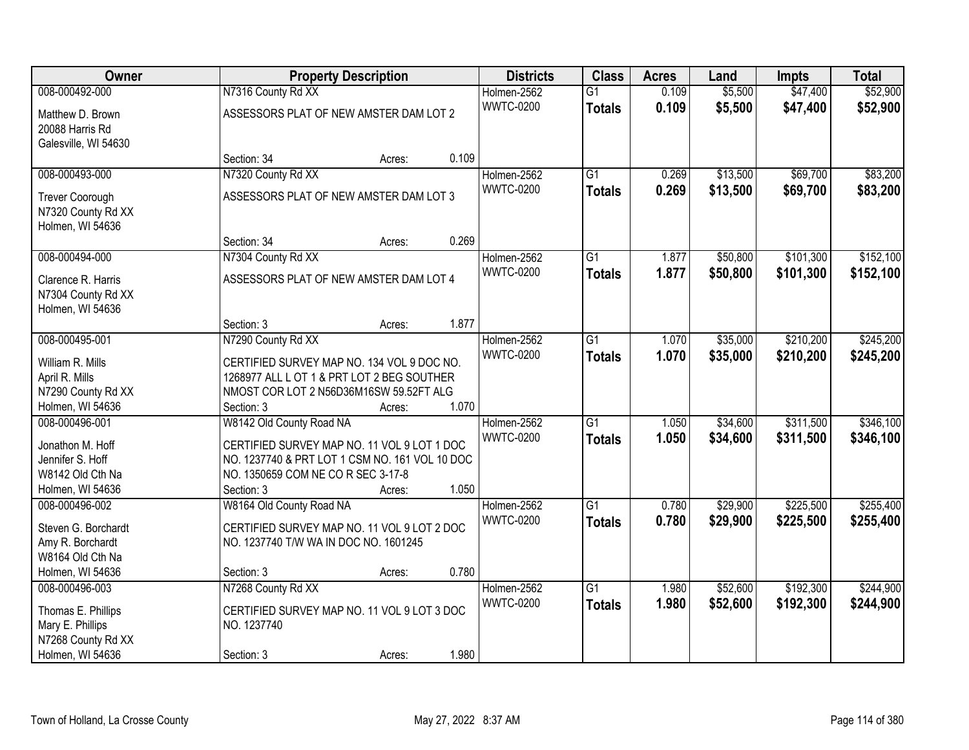| Owner                                |                                                                                          | <b>Property Description</b> |       | <b>Districts</b> | <b>Class</b>    | <b>Acres</b> | Land     | <b>Impts</b> | <b>Total</b> |
|--------------------------------------|------------------------------------------------------------------------------------------|-----------------------------|-------|------------------|-----------------|--------------|----------|--------------|--------------|
| 008-000492-000                       | N7316 County Rd XX                                                                       |                             |       | Holmen-2562      | $\overline{G1}$ | 0.109        | \$5,500  | \$47,400     | \$52,900     |
| Matthew D. Brown                     | ASSESSORS PLAT OF NEW AMSTER DAM LOT 2                                                   |                             |       | <b>WWTC-0200</b> | <b>Totals</b>   | 0.109        | \$5,500  | \$47,400     | \$52,900     |
| 20088 Harris Rd                      |                                                                                          |                             |       |                  |                 |              |          |              |              |
| Galesville, WI 54630                 |                                                                                          |                             |       |                  |                 |              |          |              |              |
|                                      | Section: 34                                                                              | Acres:                      | 0.109 |                  |                 |              |          |              |              |
| 008-000493-000                       | N7320 County Rd XX                                                                       |                             |       | Holmen-2562      | $\overline{G1}$ | 0.269        | \$13,500 | \$69,700     | \$83,200     |
| Trever Coorough                      | ASSESSORS PLAT OF NEW AMSTER DAM LOT 3                                                   |                             |       | <b>WWTC-0200</b> | <b>Totals</b>   | 0.269        | \$13,500 | \$69,700     | \$83,200     |
| N7320 County Rd XX                   |                                                                                          |                             |       |                  |                 |              |          |              |              |
| Holmen, WI 54636                     |                                                                                          |                             |       |                  |                 |              |          |              |              |
|                                      | Section: 34                                                                              | Acres:                      | 0.269 |                  |                 |              |          |              |              |
| 008-000494-000                       | N7304 County Rd XX                                                                       |                             |       | Holmen-2562      | $\overline{G1}$ | 1.877        | \$50,800 | \$101,300    | \$152,100    |
| Clarence R. Harris                   | ASSESSORS PLAT OF NEW AMSTER DAM LOT 4                                                   |                             |       | <b>WWTC-0200</b> | <b>Totals</b>   | 1.877        | \$50,800 | \$101,300    | \$152,100    |
| N7304 County Rd XX                   |                                                                                          |                             |       |                  |                 |              |          |              |              |
| Holmen, WI 54636                     |                                                                                          |                             |       |                  |                 |              |          |              |              |
|                                      | Section: 3                                                                               | Acres:                      | 1.877 |                  |                 |              |          |              |              |
| 008-000495-001                       | N7290 County Rd XX                                                                       |                             |       | Holmen-2562      | G1              | 1.070        | \$35,000 | \$210,200    | \$245,200    |
|                                      |                                                                                          |                             |       | <b>WWTC-0200</b> | <b>Totals</b>   | 1.070        | \$35,000 | \$210,200    | \$245,200    |
| William R. Mills<br>April R. Mills   | CERTIFIED SURVEY MAP NO. 134 VOL 9 DOC NO.<br>1268977 ALL L OT 1 & PRT LOT 2 BEG SOUTHER |                             |       |                  |                 |              |          |              |              |
| N7290 County Rd XX                   | NMOST COR LOT 2 N56D36M16SW 59.52FT ALG                                                  |                             |       |                  |                 |              |          |              |              |
| Holmen, WI 54636                     | Section: 3                                                                               | Acres:                      | 1.070 |                  |                 |              |          |              |              |
| 008-000496-001                       | W8142 Old County Road NA                                                                 |                             |       | Holmen-2562      | $\overline{G1}$ | 1.050        | \$34,600 | \$311,500    | \$346,100    |
|                                      |                                                                                          |                             |       | <b>WWTC-0200</b> | <b>Totals</b>   | 1.050        | \$34,600 | \$311,500    | \$346,100    |
| Jonathon M. Hoff                     | CERTIFIED SURVEY MAP NO. 11 VOL 9 LOT 1 DOC                                              |                             |       |                  |                 |              |          |              |              |
| Jennifer S. Hoff<br>W8142 Old Cth Na | NO. 1237740 & PRT LOT 1 CSM NO. 161 VOL 10 DOC<br>NO. 1350659 COM NE CO R SEC 3-17-8     |                             |       |                  |                 |              |          |              |              |
| Holmen, WI 54636                     | Section: 3                                                                               | Acres:                      | 1.050 |                  |                 |              |          |              |              |
| 008-000496-002                       | W8164 Old County Road NA                                                                 |                             |       | Holmen-2562      | $\overline{G1}$ | 0.780        | \$29,900 | \$225,500    | \$255,400    |
|                                      |                                                                                          |                             |       | <b>WWTC-0200</b> | <b>Totals</b>   | 0.780        | \$29,900 | \$225,500    | \$255,400    |
| Steven G. Borchardt                  | CERTIFIED SURVEY MAP NO. 11 VOL 9 LOT 2 DOC                                              |                             |       |                  |                 |              |          |              |              |
| Amy R. Borchardt                     | NO. 1237740 T/W WA IN DOC NO. 1601245                                                    |                             |       |                  |                 |              |          |              |              |
| W8164 Old Cth Na                     |                                                                                          |                             | 0.780 |                  |                 |              |          |              |              |
| Holmen, WI 54636<br>008-000496-003   | Section: 3<br>N7268 County Rd XX                                                         | Acres:                      |       | Holmen-2562      | $\overline{G1}$ | 1.980        | \$52,600 | \$192,300    | \$244,900    |
|                                      |                                                                                          |                             |       | <b>WWTC-0200</b> |                 | 1.980        | \$52,600 | \$192,300    | \$244,900    |
| Thomas E. Phillips                   | CERTIFIED SURVEY MAP NO. 11 VOL 9 LOT 3 DOC                                              |                             |       |                  | <b>Totals</b>   |              |          |              |              |
| Mary E. Phillips                     | NO. 1237740                                                                              |                             |       |                  |                 |              |          |              |              |
| N7268 County Rd XX                   |                                                                                          |                             |       |                  |                 |              |          |              |              |
| Holmen, WI 54636                     | Section: 3                                                                               | Acres:                      | 1.980 |                  |                 |              |          |              |              |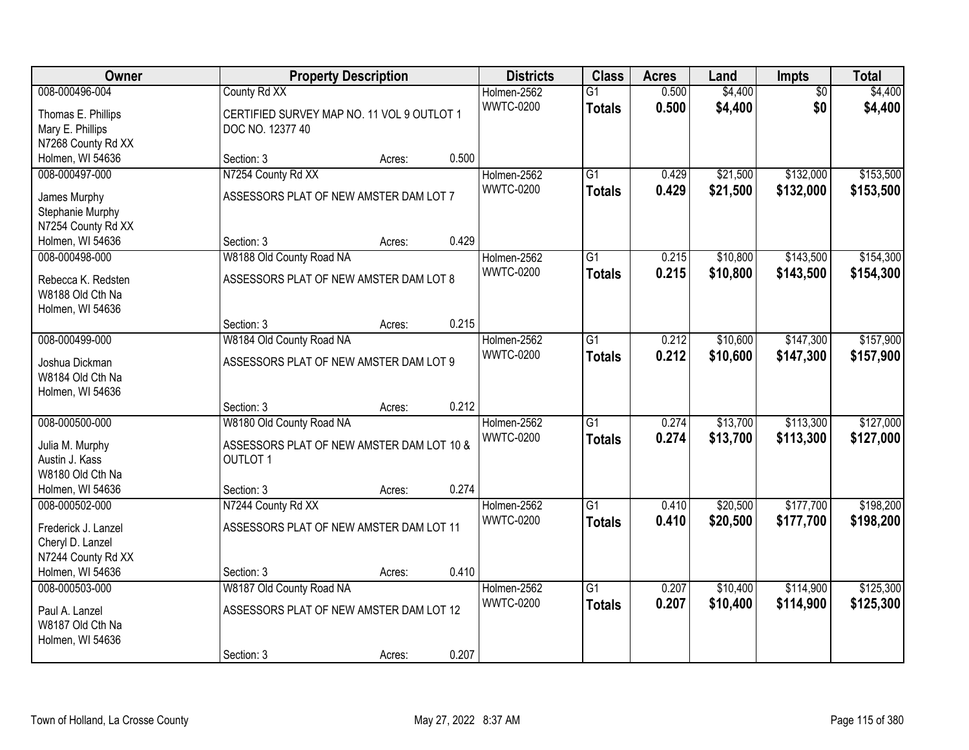| Owner                                                                                        |                                                                                                        | <b>Property Description</b> |       | <b>Districts</b>                | <b>Class</b>                     | <b>Acres</b>   | Land                 | Impts                  | <b>Total</b>           |
|----------------------------------------------------------------------------------------------|--------------------------------------------------------------------------------------------------------|-----------------------------|-------|---------------------------------|----------------------------------|----------------|----------------------|------------------------|------------------------|
| 008-000496-004<br>Thomas E. Phillips<br>Mary E. Phillips<br>N7268 County Rd XX               | County Rd XX<br>CERTIFIED SURVEY MAP NO. 11 VOL 9 OUTLOT 1<br>DOC NO. 12377 40                         |                             |       | Holmen-2562<br><b>WWTC-0200</b> | $\overline{G1}$<br><b>Totals</b> | 0.500<br>0.500 | \$4,400<br>\$4,400   | $\overline{50}$<br>\$0 | \$4,400<br>\$4,400     |
| Holmen, WI 54636                                                                             | Section: 3                                                                                             | Acres:                      | 0.500 |                                 |                                  |                |                      |                        |                        |
| 008-000497-000<br>James Murphy<br>Stephanie Murphy<br>N7254 County Rd XX<br>Holmen, WI 54636 | N7254 County Rd XX<br>ASSESSORS PLAT OF NEW AMSTER DAM LOT 7<br>Section: 3                             |                             | 0.429 | Holmen-2562<br><b>WWTC-0200</b> | $\overline{G1}$<br><b>Totals</b> | 0.429<br>0.429 | \$21,500<br>\$21,500 | \$132,000<br>\$132,000 | \$153,500<br>\$153,500 |
| 008-000498-000                                                                               | W8188 Old County Road NA                                                                               | Acres:                      |       | Holmen-2562                     | $\overline{G1}$                  | 0.215          | \$10,800             | \$143,500              | \$154,300              |
| Rebecca K. Redsten<br>W8188 Old Cth Na<br>Holmen, WI 54636                                   | ASSESSORS PLAT OF NEW AMSTER DAM LOT 8                                                                 |                             |       | <b>WWTC-0200</b>                | <b>Totals</b>                    | 0.215          | \$10,800             | \$143,500              | \$154,300              |
|                                                                                              | Section: 3                                                                                             | Acres:                      | 0.215 |                                 |                                  |                |                      |                        |                        |
| 008-000499-000<br>Joshua Dickman<br>W8184 Old Cth Na<br>Holmen, WI 54636                     | W8184 Old County Road NA<br>ASSESSORS PLAT OF NEW AMSTER DAM LOT 9                                     |                             |       | Holmen-2562<br><b>WWTC-0200</b> | $\overline{G1}$<br><b>Totals</b> | 0.212<br>0.212 | \$10,600<br>\$10,600 | \$147,300<br>\$147,300 | \$157,900<br>\$157,900 |
|                                                                                              | Section: 3                                                                                             | Acres:                      | 0.212 |                                 |                                  |                |                      |                        |                        |
| 008-000500-000<br>Julia M. Murphy<br>Austin J. Kass<br>W8180 Old Cth Na<br>Holmen, WI 54636  | W8180 Old County Road NA<br>ASSESSORS PLAT OF NEW AMSTER DAM LOT 10 &<br><b>OUTLOT 1</b><br>Section: 3 | Acres:                      | 0.274 | Holmen-2562<br><b>WWTC-0200</b> | $\overline{G1}$<br><b>Totals</b> | 0.274<br>0.274 | \$13,700<br>\$13,700 | \$113,300<br>\$113,300 | \$127,000<br>\$127,000 |
| 008-000502-000                                                                               | N7244 County Rd XX                                                                                     |                             |       | Holmen-2562                     | $\overline{G1}$                  | 0.410          | \$20,500             | \$177,700              | \$198,200              |
| Frederick J. Lanzel<br>Cheryl D. Lanzel<br>N7244 County Rd XX<br>Holmen, WI 54636            | ASSESSORS PLAT OF NEW AMSTER DAM LOT 11<br>Section: 3                                                  | Acres:                      | 0.410 | <b>WWTC-0200</b>                | <b>Totals</b>                    | 0.410          | \$20,500             | \$177,700              | \$198,200              |
| 008-000503-000                                                                               | W8187 Old County Road NA                                                                               |                             |       | Holmen-2562                     | $\overline{G1}$                  | 0.207          | \$10,400             | \$114,900              | \$125,300              |
| Paul A. Lanzel<br>W8187 Old Cth Na<br>Holmen, WI 54636                                       | ASSESSORS PLAT OF NEW AMSTER DAM LOT 12<br>Section: 3                                                  | Acres:                      | 0.207 | <b>WWTC-0200</b>                | <b>Totals</b>                    | 0.207          | \$10,400             | \$114,900              | \$125,300              |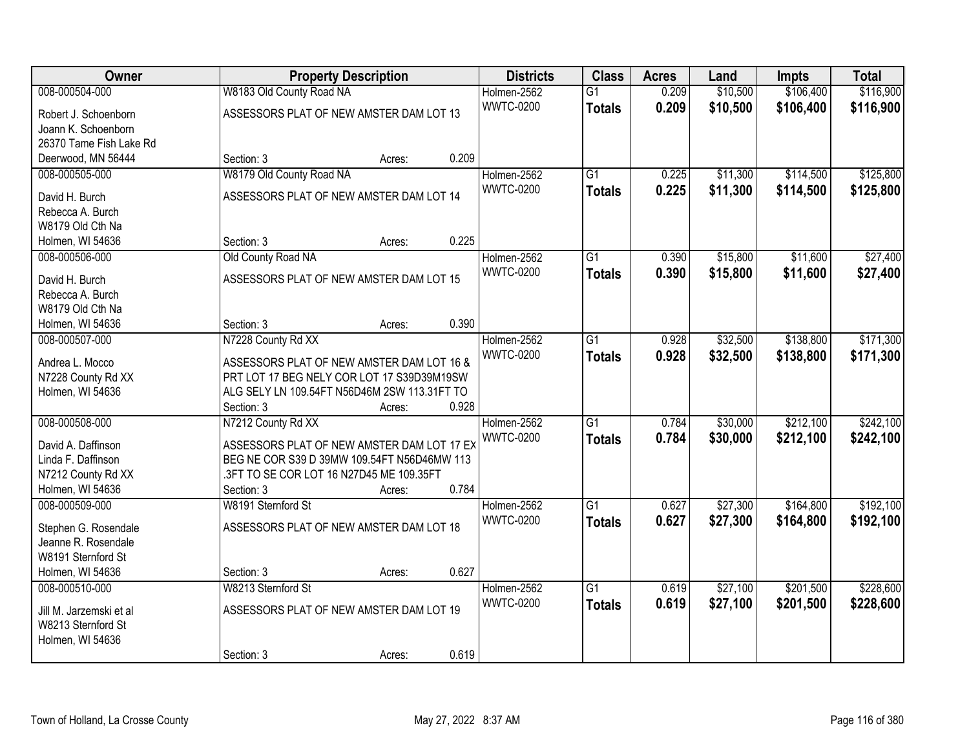| Owner                   |                                              | <b>Property Description</b> |       | <b>Districts</b> | <b>Class</b>    | <b>Acres</b> | Land     | <b>Impts</b> | <b>Total</b> |
|-------------------------|----------------------------------------------|-----------------------------|-------|------------------|-----------------|--------------|----------|--------------|--------------|
| 008-000504-000          | W8183 Old County Road NA                     |                             |       | Holmen-2562      | $\overline{G1}$ | 0.209        | \$10,500 | \$106,400    | \$116,900    |
| Robert J. Schoenborn    | ASSESSORS PLAT OF NEW AMSTER DAM LOT 13      |                             |       | <b>WWTC-0200</b> | <b>Totals</b>   | 0.209        | \$10,500 | \$106,400    | \$116,900    |
| Joann K. Schoenborn     |                                              |                             |       |                  |                 |              |          |              |              |
| 26370 Tame Fish Lake Rd |                                              |                             |       |                  |                 |              |          |              |              |
| Deerwood, MN 56444      | Section: 3                                   | Acres:                      | 0.209 |                  |                 |              |          |              |              |
| 008-000505-000          | W8179 Old County Road NA                     |                             |       | Holmen-2562      | $\overline{G1}$ | 0.225        | \$11,300 | \$114,500    | \$125,800    |
| David H. Burch          | ASSESSORS PLAT OF NEW AMSTER DAM LOT 14      |                             |       | <b>WWTC-0200</b> | <b>Totals</b>   | 0.225        | \$11,300 | \$114,500    | \$125,800    |
| Rebecca A. Burch        |                                              |                             |       |                  |                 |              |          |              |              |
| W8179 Old Cth Na        |                                              |                             |       |                  |                 |              |          |              |              |
| Holmen, WI 54636        | Section: 3                                   | Acres:                      | 0.225 |                  |                 |              |          |              |              |
| 008-000506-000          | Old County Road NA                           |                             |       | Holmen-2562      | $\overline{G1}$ | 0.390        | \$15,800 | \$11,600     | \$27,400     |
|                         |                                              |                             |       | <b>WWTC-0200</b> | <b>Totals</b>   | 0.390        | \$15,800 | \$11,600     | \$27,400     |
| David H. Burch          | ASSESSORS PLAT OF NEW AMSTER DAM LOT 15      |                             |       |                  |                 |              |          |              |              |
| Rebecca A. Burch        |                                              |                             |       |                  |                 |              |          |              |              |
| W8179 Old Cth Na        |                                              |                             |       |                  |                 |              |          |              |              |
| Holmen, WI 54636        | Section: 3                                   | Acres:                      | 0.390 |                  |                 |              |          |              |              |
| 008-000507-000          | N7228 County Rd XX                           |                             |       | Holmen-2562      | G1              | 0.928        | \$32,500 | \$138,800    | \$171,300    |
| Andrea L. Mocco         | ASSESSORS PLAT OF NEW AMSTER DAM LOT 16 &    |                             |       | <b>WWTC-0200</b> | <b>Totals</b>   | 0.928        | \$32,500 | \$138,800    | \$171,300    |
| N7228 County Rd XX      | PRT LOT 17 BEG NELY COR LOT 17 S39D39M19SW   |                             |       |                  |                 |              |          |              |              |
| Holmen, WI 54636        | ALG SELY LN 109.54FT N56D46M 2SW 113.31FT TO |                             |       |                  |                 |              |          |              |              |
|                         | Section: 3                                   | Acres:                      | 0.928 |                  |                 |              |          |              |              |
| 008-000508-000          | N7212 County Rd XX                           |                             |       | Holmen-2562      | $\overline{G1}$ | 0.784        | \$30,000 | \$212,100    | \$242,100    |
| David A. Daffinson      | ASSESSORS PLAT OF NEW AMSTER DAM LOT 17 EX   |                             |       | <b>WWTC-0200</b> | <b>Totals</b>   | 0.784        | \$30,000 | \$212,100    | \$242,100    |
| Linda F. Daffinson      | BEG NE COR S39 D 39MW 109.54FT N56D46MW 113  |                             |       |                  |                 |              |          |              |              |
| N7212 County Rd XX      | .3FT TO SE COR LOT 16 N27D45 ME 109.35FT     |                             |       |                  |                 |              |          |              |              |
| Holmen, WI 54636        | Section: 3                                   | Acres:                      | 0.784 |                  |                 |              |          |              |              |
| 008-000509-000          | W8191 Sternford St                           |                             |       | Holmen-2562      | $\overline{G1}$ | 0.627        | \$27,300 | \$164,800    | \$192,100    |
|                         |                                              |                             |       | <b>WWTC-0200</b> | <b>Totals</b>   | 0.627        | \$27,300 | \$164,800    | \$192,100    |
| Stephen G. Rosendale    | ASSESSORS PLAT OF NEW AMSTER DAM LOT 18      |                             |       |                  |                 |              |          |              |              |
| Jeanne R. Rosendale     |                                              |                             |       |                  |                 |              |          |              |              |
| W8191 Sternford St      |                                              |                             |       |                  |                 |              |          |              |              |
| Holmen, WI 54636        | Section: 3                                   | Acres:                      | 0.627 |                  |                 |              |          |              |              |
| 008-000510-000          | W8213 Sternford St                           |                             |       | Holmen-2562      | $\overline{G1}$ | 0.619        | \$27,100 | \$201,500    | \$228,600    |
| Jill M. Jarzemski et al | ASSESSORS PLAT OF NEW AMSTER DAM LOT 19      |                             |       | <b>WWTC-0200</b> | <b>Totals</b>   | 0.619        | \$27,100 | \$201,500    | \$228,600    |
| W8213 Sternford St      |                                              |                             |       |                  |                 |              |          |              |              |
| Holmen, WI 54636        |                                              |                             |       |                  |                 |              |          |              |              |
|                         | Section: 3                                   | Acres:                      | 0.619 |                  |                 |              |          |              |              |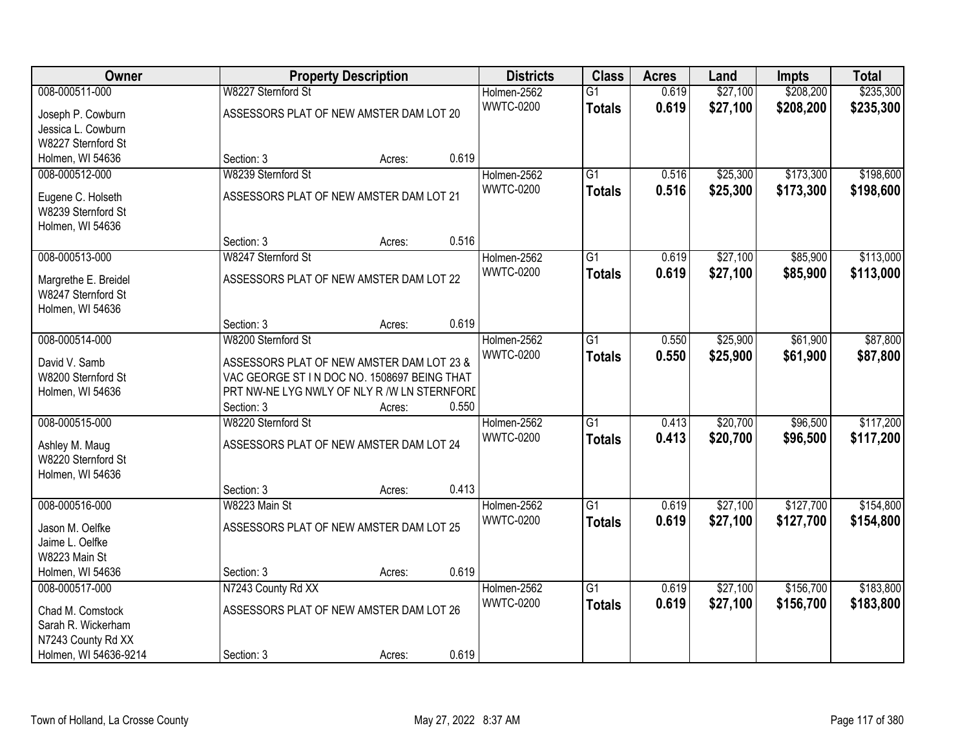| Owner                                      |                                                                                          | <b>Property Description</b> |       | <b>Districts</b> | <b>Class</b>    | <b>Acres</b> | Land     | <b>Impts</b> | <b>Total</b> |
|--------------------------------------------|------------------------------------------------------------------------------------------|-----------------------------|-------|------------------|-----------------|--------------|----------|--------------|--------------|
| 008-000511-000                             | W8227 Sternford St                                                                       |                             |       | Holmen-2562      | $\overline{G1}$ | 0.619        | \$27,100 | \$208,200    | \$235,300    |
| Joseph P. Cowburn                          | ASSESSORS PLAT OF NEW AMSTER DAM LOT 20                                                  |                             |       | <b>WWTC-0200</b> | <b>Totals</b>   | 0.619        | \$27,100 | \$208,200    | \$235,300    |
| Jessica L. Cowburn                         |                                                                                          |                             |       |                  |                 |              |          |              |              |
| W8227 Sternford St                         |                                                                                          |                             |       |                  |                 |              |          |              |              |
| Holmen, WI 54636                           | Section: 3                                                                               | Acres:                      | 0.619 |                  |                 |              |          |              |              |
| 008-000512-000                             | W8239 Sternford St                                                                       |                             |       | Holmen-2562      | G1              | 0.516        | \$25,300 | \$173,300    | \$198,600    |
| Eugene C. Holseth                          | ASSESSORS PLAT OF NEW AMSTER DAM LOT 21                                                  |                             |       | <b>WWTC-0200</b> | <b>Totals</b>   | 0.516        | \$25,300 | \$173,300    | \$198,600    |
| W8239 Sternford St                         |                                                                                          |                             |       |                  |                 |              |          |              |              |
| Holmen, WI 54636                           |                                                                                          |                             |       |                  |                 |              |          |              |              |
|                                            | Section: 3                                                                               | Acres:                      | 0.516 |                  |                 |              |          |              |              |
| 008-000513-000                             | W8247 Sternford St                                                                       |                             |       | Holmen-2562      | G1              | 0.619        | \$27,100 | \$85,900     | \$113,000    |
|                                            | ASSESSORS PLAT OF NEW AMSTER DAM LOT 22                                                  |                             |       | <b>WWTC-0200</b> | <b>Totals</b>   | 0.619        | \$27,100 | \$85,900     | \$113,000    |
| Margrethe E. Breidel<br>W8247 Sternford St |                                                                                          |                             |       |                  |                 |              |          |              |              |
| Holmen, WI 54636                           |                                                                                          |                             |       |                  |                 |              |          |              |              |
|                                            | Section: 3                                                                               | Acres:                      | 0.619 |                  |                 |              |          |              |              |
| 008-000514-000                             | W8200 Sternford St                                                                       |                             |       | Holmen-2562      | $\overline{G1}$ | 0.550        | \$25,900 | \$61,900     | \$87,800     |
|                                            |                                                                                          |                             |       | <b>WWTC-0200</b> | <b>Totals</b>   | 0.550        | \$25,900 | \$61,900     | \$87,800     |
| David V. Samb<br>W8200 Sternford St        | ASSESSORS PLAT OF NEW AMSTER DAM LOT 23 &<br>VAC GEORGE ST IN DOC NO. 1508697 BEING THAT |                             |       |                  |                 |              |          |              |              |
| Holmen, WI 54636                           | PRT NW-NE LYG NWLY OF NLY R /W LN STERNFORD                                              |                             |       |                  |                 |              |          |              |              |
|                                            | Section: 3                                                                               | Acres:                      | 0.550 |                  |                 |              |          |              |              |
| 008-000515-000                             | W8220 Sternford St                                                                       |                             |       | Holmen-2562      | $\overline{G1}$ | 0.413        | \$20,700 | \$96,500     | \$117,200    |
|                                            |                                                                                          |                             |       | <b>WWTC-0200</b> | <b>Totals</b>   | 0.413        | \$20,700 | \$96,500     | \$117,200    |
| Ashley M. Maug                             | ASSESSORS PLAT OF NEW AMSTER DAM LOT 24                                                  |                             |       |                  |                 |              |          |              |              |
| W8220 Sternford St                         |                                                                                          |                             |       |                  |                 |              |          |              |              |
| Holmen, WI 54636                           | Section: 3                                                                               | Acres:                      | 0.413 |                  |                 |              |          |              |              |
| 008-000516-000                             | W8223 Main St                                                                            |                             |       | Holmen-2562      | $\overline{G1}$ | 0.619        | \$27,100 | \$127,700    | \$154,800    |
|                                            |                                                                                          |                             |       | <b>WWTC-0200</b> | <b>Totals</b>   | 0.619        | \$27,100 | \$127,700    | \$154,800    |
| Jason M. Oelfke                            | ASSESSORS PLAT OF NEW AMSTER DAM LOT 25                                                  |                             |       |                  |                 |              |          |              |              |
| Jaime L. Oelfke                            |                                                                                          |                             |       |                  |                 |              |          |              |              |
| W8223 Main St                              |                                                                                          |                             |       |                  |                 |              |          |              |              |
| Holmen, WI 54636<br>008-000517-000         | Section: 3<br>N7243 County Rd XX                                                         | Acres:                      | 0.619 | Holmen-2562      | $\overline{G1}$ | 0.619        | \$27,100 | \$156,700    | \$183,800    |
|                                            |                                                                                          |                             |       | <b>WWTC-0200</b> |                 | 0.619        |          |              |              |
| Chad M. Comstock                           | ASSESSORS PLAT OF NEW AMSTER DAM LOT 26                                                  |                             |       |                  | <b>Totals</b>   |              | \$27,100 | \$156,700    | \$183,800    |
| Sarah R. Wickerham                         |                                                                                          |                             |       |                  |                 |              |          |              |              |
| N7243 County Rd XX                         |                                                                                          |                             |       |                  |                 |              |          |              |              |
| Holmen, WI 54636-9214                      | Section: 3                                                                               | Acres:                      | 0.619 |                  |                 |              |          |              |              |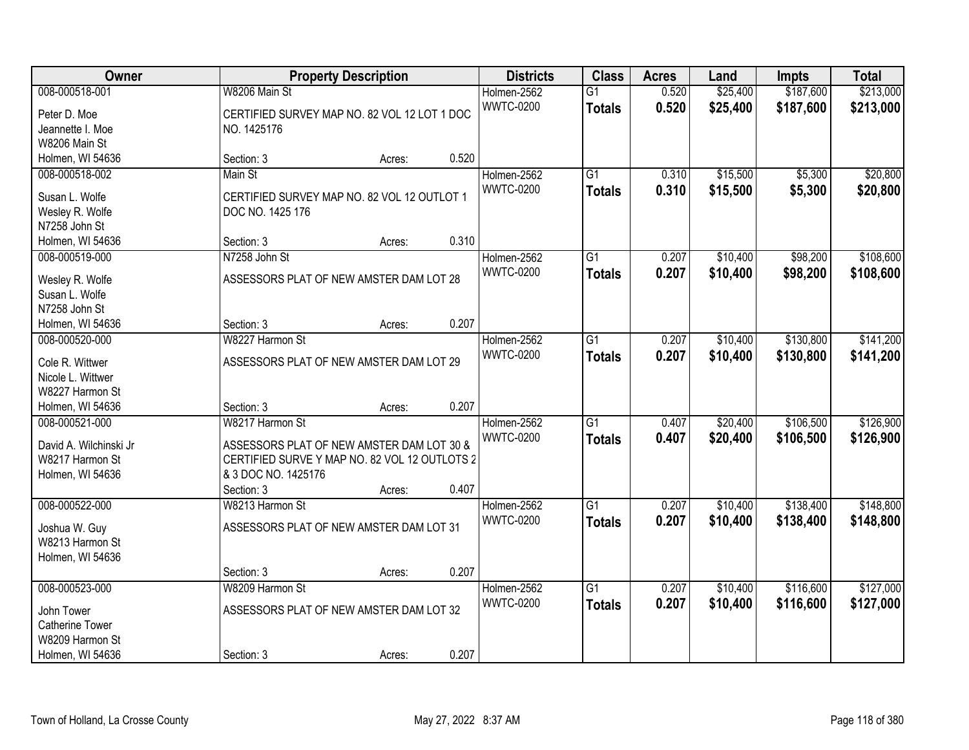| Owner                                                                           |                                                                                                                                                    | <b>Property Description</b> |       | <b>Districts</b>                | <b>Class</b>                     | <b>Acres</b>   | Land                 | <b>Impts</b>           | <b>Total</b>           |
|---------------------------------------------------------------------------------|----------------------------------------------------------------------------------------------------------------------------------------------------|-----------------------------|-------|---------------------------------|----------------------------------|----------------|----------------------|------------------------|------------------------|
| 008-000518-001<br>Peter D. Moe<br>Jeannette I. Moe                              | W8206 Main St<br>CERTIFIED SURVEY MAP NO. 82 VOL 12 LOT 1 DOC<br>NO. 1425176                                                                       |                             |       | Holmen-2562<br><b>WWTC-0200</b> | $\overline{G1}$<br><b>Totals</b> | 0.520<br>0.520 | \$25,400<br>\$25,400 | \$187,600<br>\$187,600 | \$213,000<br>\$213,000 |
| W8206 Main St                                                                   |                                                                                                                                                    |                             |       |                                 |                                  |                |                      |                        |                        |
| Holmen, WI 54636<br>008-000518-002                                              | Section: 3<br>Main St                                                                                                                              | Acres:                      | 0.520 | Holmen-2562                     | $\overline{G1}$                  | 0.310          | \$15,500             | \$5,300                | \$20,800               |
| Susan L. Wolfe<br>Wesley R. Wolfe<br>N7258 John St                              | CERTIFIED SURVEY MAP NO. 82 VOL 12 OUTLOT 1<br>DOC NO. 1425 176                                                                                    |                             |       | <b>WWTC-0200</b>                | <b>Totals</b>                    | 0.310          | \$15,500             | \$5,300                | \$20,800               |
| Holmen, WI 54636                                                                | Section: 3                                                                                                                                         | Acres:                      | 0.310 |                                 |                                  |                |                      |                        |                        |
| 008-000519-000                                                                  | N7258 John St                                                                                                                                      |                             |       | Holmen-2562                     | G1                               | 0.207          | \$10,400             | \$98,200               | \$108,600              |
| Wesley R. Wolfe<br>Susan L. Wolfe<br>N7258 John St                              | ASSESSORS PLAT OF NEW AMSTER DAM LOT 28                                                                                                            |                             |       | <b>WWTC-0200</b>                | <b>Totals</b>                    | 0.207          | \$10,400             | \$98,200               | \$108,600              |
| Holmen, WI 54636                                                                | Section: 3                                                                                                                                         | Acres:                      | 0.207 |                                 |                                  |                |                      |                        |                        |
| 008-000520-000                                                                  | W8227 Harmon St                                                                                                                                    |                             |       | Holmen-2562                     | G1                               | 0.207          | \$10,400             | \$130,800              | \$141,200              |
| Cole R. Wittwer<br>Nicole L. Wittwer<br>W8227 Harmon St                         | ASSESSORS PLAT OF NEW AMSTER DAM LOT 29                                                                                                            |                             |       | <b>WWTC-0200</b>                | <b>Totals</b>                    | 0.207          | \$10,400             | \$130,800              | \$141,200              |
| Holmen, WI 54636                                                                | Section: 3                                                                                                                                         | Acres:                      | 0.207 |                                 |                                  |                |                      |                        |                        |
| 008-000521-000<br>David A. Wilchinski Jr<br>W8217 Harmon St<br>Holmen, WI 54636 | W8217 Harmon St<br>ASSESSORS PLAT OF NEW AMSTER DAM LOT 30 &<br>CERTIFIED SURVE Y MAP NO. 82 VOL 12 OUTLOTS 2<br>& 3 DOC NO. 1425176<br>Section: 3 | Acres:                      | 0.407 | Holmen-2562<br><b>WWTC-0200</b> | $\overline{G1}$<br><b>Totals</b> | 0.407<br>0.407 | \$20,400<br>\$20,400 | \$106,500<br>\$106,500 | \$126,900<br>\$126,900 |
| 008-000522-000                                                                  | W8213 Harmon St                                                                                                                                    |                             |       | Holmen-2562                     | $\overline{G1}$                  | 0.207          | \$10,400             | \$138,400              | \$148,800              |
| Joshua W. Guy<br>W8213 Harmon St<br>Holmen, WI 54636                            | ASSESSORS PLAT OF NEW AMSTER DAM LOT 31                                                                                                            |                             |       | <b>WWTC-0200</b>                | <b>Totals</b>                    | 0.207          | \$10,400             | \$138,400              | \$148,800              |
|                                                                                 | Section: 3                                                                                                                                         | Acres:                      | 0.207 |                                 |                                  |                |                      |                        |                        |
| 008-000523-000<br>John Tower<br><b>Catherine Tower</b><br>W8209 Harmon St       | W8209 Harmon St<br>ASSESSORS PLAT OF NEW AMSTER DAM LOT 32                                                                                         |                             |       | Holmen-2562<br><b>WWTC-0200</b> | $\overline{G1}$<br><b>Totals</b> | 0.207<br>0.207 | \$10,400<br>\$10,400 | \$116,600<br>\$116,600 | \$127,000<br>\$127,000 |
| Holmen, WI 54636                                                                | Section: 3                                                                                                                                         | Acres:                      | 0.207 |                                 |                                  |                |                      |                        |                        |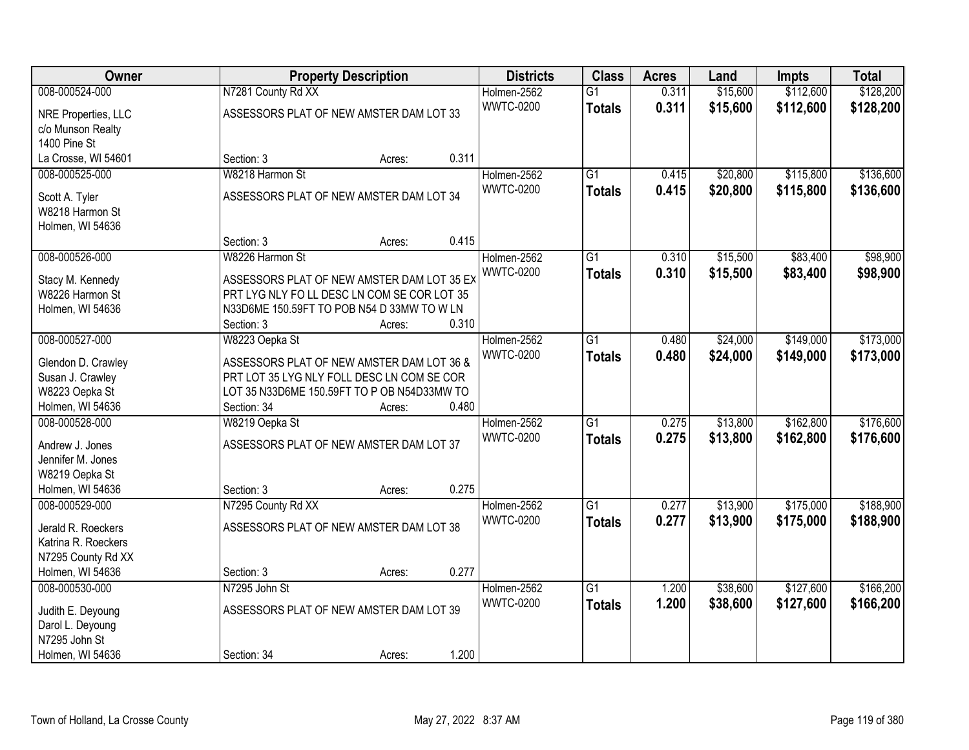| Owner                               |                                                                                           | <b>Property Description</b> |       | <b>Districts</b>                | <b>Class</b>    | <b>Acres</b> | Land     | <b>Impts</b> | <b>Total</b> |
|-------------------------------------|-------------------------------------------------------------------------------------------|-----------------------------|-------|---------------------------------|-----------------|--------------|----------|--------------|--------------|
| 008-000524-000                      | N7281 County Rd XX                                                                        |                             |       | Holmen-2562                     | $\overline{G1}$ | 0.311        | \$15,600 | \$112,600    | \$128,200    |
| NRE Properties, LLC                 | ASSESSORS PLAT OF NEW AMSTER DAM LOT 33                                                   |                             |       | <b>WWTC-0200</b>                | <b>Totals</b>   | 0.311        | \$15,600 | \$112,600    | \$128,200    |
| c/o Munson Realty                   |                                                                                           |                             |       |                                 |                 |              |          |              |              |
| 1400 Pine St                        |                                                                                           |                             |       |                                 |                 |              |          |              |              |
| La Crosse, WI 54601                 | Section: 3                                                                                | Acres:                      | 0.311 |                                 |                 |              |          |              |              |
| 008-000525-000                      | W8218 Harmon St                                                                           |                             |       | Holmen-2562                     | G1              | 0.415        | \$20,800 | \$115,800    | \$136,600    |
| Scott A. Tyler                      | ASSESSORS PLAT OF NEW AMSTER DAM LOT 34                                                   |                             |       | <b>WWTC-0200</b>                | <b>Totals</b>   | 0.415        | \$20,800 | \$115,800    | \$136,600    |
| W8218 Harmon St                     |                                                                                           |                             |       |                                 |                 |              |          |              |              |
| Holmen, WI 54636                    |                                                                                           |                             |       |                                 |                 |              |          |              |              |
|                                     | Section: 3                                                                                | Acres:                      | 0.415 |                                 |                 |              |          |              |              |
| 008-000526-000                      | W8226 Harmon St                                                                           |                             |       | Holmen-2562                     | $\overline{G1}$ | 0.310        | \$15,500 | \$83,400     | \$98,900     |
|                                     |                                                                                           |                             |       | <b>WWTC-0200</b>                | <b>Totals</b>   | 0.310        | \$15,500 | \$83,400     | \$98,900     |
| Stacy M. Kennedy                    | ASSESSORS PLAT OF NEW AMSTER DAM LOT 35 EX<br>PRT LYG NLY FO LL DESC LN COM SE COR LOT 35 |                             |       |                                 |                 |              |          |              |              |
| W8226 Harmon St<br>Holmen, WI 54636 | N33D6ME 150.59FT TO POB N54 D 33MW TO W LN                                                |                             |       |                                 |                 |              |          |              |              |
|                                     | Section: 3                                                                                | Acres:                      | 0.310 |                                 |                 |              |          |              |              |
| 008-000527-000                      | W8223 Oepka St                                                                            |                             |       | Holmen-2562                     | $\overline{G1}$ | 0.480        | \$24,000 | \$149,000    | \$173,000    |
|                                     |                                                                                           |                             |       | <b>WWTC-0200</b>                | <b>Totals</b>   | 0.480        | \$24,000 | \$149,000    | \$173,000    |
| Glendon D. Crawley                  | ASSESSORS PLAT OF NEW AMSTER DAM LOT 36 &                                                 |                             |       |                                 |                 |              |          |              |              |
| Susan J. Crawley                    | PRT LOT 35 LYG NLY FOLL DESC LN COM SE COR                                                |                             |       |                                 |                 |              |          |              |              |
| W8223 Oepka St                      | LOT 35 N33D6ME 150.59FT TO P OB N54D33MW TO                                               |                             |       |                                 |                 |              |          |              |              |
| Holmen, WI 54636<br>008-000528-000  | Section: 34                                                                               | Acres:                      | 0.480 |                                 | $\overline{G1}$ | 0.275        | \$13,800 | \$162,800    | \$176,600    |
|                                     | W8219 Oepka St                                                                            |                             |       | Holmen-2562<br><b>WWTC-0200</b> |                 | 0.275        |          |              |              |
| Andrew J. Jones                     | ASSESSORS PLAT OF NEW AMSTER DAM LOT 37                                                   |                             |       |                                 | <b>Totals</b>   |              | \$13,800 | \$162,800    | \$176,600    |
| Jennifer M. Jones                   |                                                                                           |                             |       |                                 |                 |              |          |              |              |
| W8219 Oepka St                      |                                                                                           |                             |       |                                 |                 |              |          |              |              |
| Holmen, WI 54636                    | Section: 3                                                                                | Acres:                      | 0.275 |                                 |                 |              |          |              |              |
| 008-000529-000                      | N7295 County Rd XX                                                                        |                             |       | Holmen-2562                     | $\overline{G1}$ | 0.277        | \$13,900 | \$175,000    | \$188,900    |
| Jerald R. Roeckers                  | ASSESSORS PLAT OF NEW AMSTER DAM LOT 38                                                   |                             |       | <b>WWTC-0200</b>                | <b>Totals</b>   | 0.277        | \$13,900 | \$175,000    | \$188,900    |
| Katrina R. Roeckers                 |                                                                                           |                             |       |                                 |                 |              |          |              |              |
| N7295 County Rd XX                  |                                                                                           |                             |       |                                 |                 |              |          |              |              |
| Holmen, WI 54636                    | Section: 3                                                                                | Acres:                      | 0.277 |                                 |                 |              |          |              |              |
| 008-000530-000                      | N7295 John St                                                                             |                             |       | Holmen-2562                     | $\overline{G1}$ | 1.200        | \$38,600 | \$127,600    | \$166,200    |
| Judith E. Deyoung                   | ASSESSORS PLAT OF NEW AMSTER DAM LOT 39                                                   |                             |       | <b>WWTC-0200</b>                | <b>Totals</b>   | 1.200        | \$38,600 | \$127,600    | \$166,200    |
| Darol L. Deyoung                    |                                                                                           |                             |       |                                 |                 |              |          |              |              |
| N7295 John St                       |                                                                                           |                             |       |                                 |                 |              |          |              |              |
| Holmen, WI 54636                    | Section: 34                                                                               | Acres:                      | 1.200 |                                 |                 |              |          |              |              |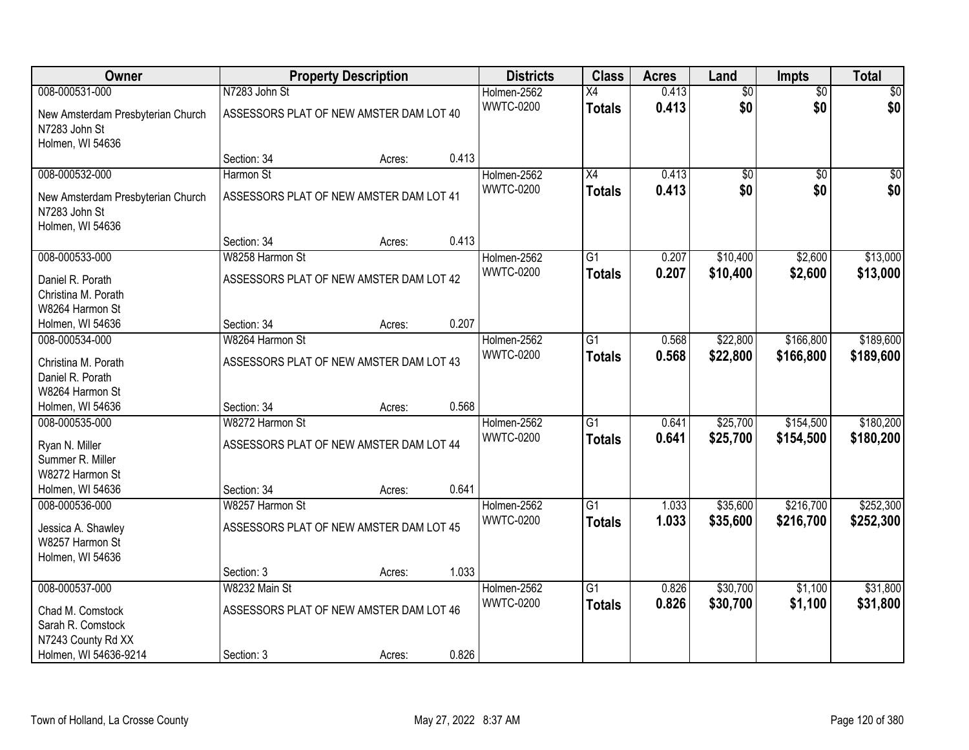| Owner                                              |                                         | <b>Property Description</b> |       | <b>Districts</b> | <b>Class</b>    | <b>Acres</b> | Land            | <b>Impts</b>    | <b>Total</b> |
|----------------------------------------------------|-----------------------------------------|-----------------------------|-------|------------------|-----------------|--------------|-----------------|-----------------|--------------|
| 008-000531-000                                     | N7283 John St                           |                             |       | Holmen-2562      | $\overline{X4}$ | 0.413        | $\overline{60}$ | $\overline{50}$ | \$0          |
| New Amsterdam Presbyterian Church<br>N7283 John St | ASSESSORS PLAT OF NEW AMSTER DAM LOT 40 |                             |       | <b>WWTC-0200</b> | <b>Totals</b>   | 0.413        | \$0             | \$0             | \$0          |
| Holmen, WI 54636                                   |                                         |                             |       |                  |                 |              |                 |                 |              |
|                                                    | Section: 34                             | Acres:                      | 0.413 |                  |                 |              |                 |                 |              |
| 008-000532-000                                     | Harmon St                               |                             |       | Holmen-2562      | $\overline{X4}$ | 0.413        | $\overline{50}$ | $\overline{50}$ | $\sqrt{50}$  |
| New Amsterdam Presbyterian Church                  | ASSESSORS PLAT OF NEW AMSTER DAM LOT 41 |                             |       | <b>WWTC-0200</b> | <b>Totals</b>   | 0.413        | \$0             | \$0             | \$0          |
| N7283 John St                                      |                                         |                             |       |                  |                 |              |                 |                 |              |
| Holmen, WI 54636                                   |                                         |                             |       |                  |                 |              |                 |                 |              |
|                                                    | Section: 34                             | Acres:                      | 0.413 |                  |                 |              |                 |                 |              |
| 008-000533-000                                     | W8258 Harmon St                         |                             |       | Holmen-2562      | G1              | 0.207        | \$10,400        | \$2,600         | \$13,000     |
| Daniel R. Porath                                   | ASSESSORS PLAT OF NEW AMSTER DAM LOT 42 |                             |       | <b>WWTC-0200</b> | <b>Totals</b>   | 0.207        | \$10,400        | \$2,600         | \$13,000     |
| Christina M. Porath                                |                                         |                             |       |                  |                 |              |                 |                 |              |
| W8264 Harmon St                                    |                                         |                             |       |                  |                 |              |                 |                 |              |
| Holmen, WI 54636                                   | Section: 34                             | Acres:                      | 0.207 |                  |                 |              |                 |                 |              |
| 008-000534-000                                     | W8264 Harmon St                         |                             |       | Holmen-2562      | G1              | 0.568        | \$22,800        | \$166,800       | \$189,600    |
| Christina M. Porath                                | ASSESSORS PLAT OF NEW AMSTER DAM LOT 43 |                             |       | <b>WWTC-0200</b> | <b>Totals</b>   | 0.568        | \$22,800        | \$166,800       | \$189,600    |
| Daniel R. Porath                                   |                                         |                             |       |                  |                 |              |                 |                 |              |
| W8264 Harmon St                                    |                                         |                             |       |                  |                 |              |                 |                 |              |
| Holmen, WI 54636                                   | Section: 34                             | Acres:                      | 0.568 |                  |                 |              |                 |                 |              |
| 008-000535-000                                     | W8272 Harmon St                         |                             |       | Holmen-2562      | $\overline{G1}$ | 0.641        | \$25,700        | \$154,500       | \$180,200    |
|                                                    | ASSESSORS PLAT OF NEW AMSTER DAM LOT 44 |                             |       | <b>WWTC-0200</b> | <b>Totals</b>   | 0.641        | \$25,700        | \$154,500       | \$180,200    |
| Ryan N. Miller<br>Summer R. Miller                 |                                         |                             |       |                  |                 |              |                 |                 |              |
| W8272 Harmon St                                    |                                         |                             |       |                  |                 |              |                 |                 |              |
| Holmen, WI 54636                                   | Section: 34                             | Acres:                      | 0.641 |                  |                 |              |                 |                 |              |
| 008-000536-000                                     | W8257 Harmon St                         |                             |       | Holmen-2562      | $\overline{G1}$ | 1.033        | \$35,600        | \$216,700       | \$252,300    |
|                                                    | ASSESSORS PLAT OF NEW AMSTER DAM LOT 45 |                             |       | <b>WWTC-0200</b> | <b>Totals</b>   | 1.033        | \$35,600        | \$216,700       | \$252,300    |
| Jessica A. Shawley<br>W8257 Harmon St              |                                         |                             |       |                  |                 |              |                 |                 |              |
| Holmen, WI 54636                                   |                                         |                             |       |                  |                 |              |                 |                 |              |
|                                                    | Section: 3                              | Acres:                      | 1.033 |                  |                 |              |                 |                 |              |
| 008-000537-000                                     | W8232 Main St                           |                             |       | Holmen-2562      | $\overline{G1}$ | 0.826        | \$30,700        | \$1,100         | \$31,800     |
|                                                    |                                         |                             |       | <b>WWTC-0200</b> | <b>Totals</b>   | 0.826        | \$30,700        | \$1,100         | \$31,800     |
| Chad M. Comstock                                   | ASSESSORS PLAT OF NEW AMSTER DAM LOT 46 |                             |       |                  |                 |              |                 |                 |              |
| Sarah R. Comstock<br>N7243 County Rd XX            |                                         |                             |       |                  |                 |              |                 |                 |              |
| Holmen, WI 54636-9214                              | Section: 3                              | Acres:                      | 0.826 |                  |                 |              |                 |                 |              |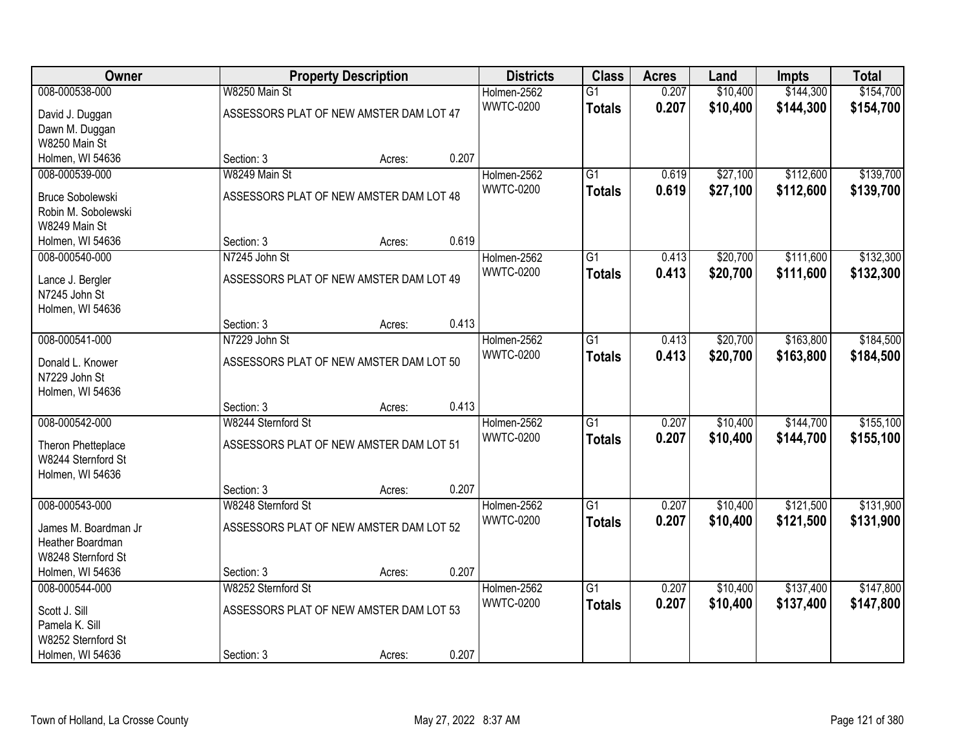| Owner                   |                                         | <b>Property Description</b> |       | <b>Districts</b> | <b>Class</b>    | <b>Acres</b> | Land     | <b>Impts</b> | <b>Total</b> |
|-------------------------|-----------------------------------------|-----------------------------|-------|------------------|-----------------|--------------|----------|--------------|--------------|
| 008-000538-000          | W8250 Main St                           |                             |       | Holmen-2562      | $\overline{G1}$ | 0.207        | \$10,400 | \$144,300    | \$154,700    |
| David J. Duggan         | ASSESSORS PLAT OF NEW AMSTER DAM LOT 47 |                             |       | <b>WWTC-0200</b> | <b>Totals</b>   | 0.207        | \$10,400 | \$144,300    | \$154,700    |
| Dawn M. Duggan          |                                         |                             |       |                  |                 |              |          |              |              |
| W8250 Main St           |                                         |                             |       |                  |                 |              |          |              |              |
| Holmen, WI 54636        | Section: 3                              | Acres:                      | 0.207 |                  |                 |              |          |              |              |
| 008-000539-000          | W8249 Main St                           |                             |       | Holmen-2562      | $\overline{G1}$ | 0.619        | \$27,100 | \$112,600    | \$139,700    |
| <b>Bruce Sobolewski</b> | ASSESSORS PLAT OF NEW AMSTER DAM LOT 48 |                             |       | <b>WWTC-0200</b> | <b>Totals</b>   | 0.619        | \$27,100 | \$112,600    | \$139,700    |
| Robin M. Sobolewski     |                                         |                             |       |                  |                 |              |          |              |              |
| W8249 Main St           |                                         |                             |       |                  |                 |              |          |              |              |
| Holmen, WI 54636        | Section: 3                              | Acres:                      | 0.619 |                  |                 |              |          |              |              |
| 008-000540-000          | N7245 John St                           |                             |       | Holmen-2562      | G1              | 0.413        | \$20,700 | \$111,600    | \$132,300    |
| Lance J. Bergler        | ASSESSORS PLAT OF NEW AMSTER DAM LOT 49 |                             |       | <b>WWTC-0200</b> | <b>Totals</b>   | 0.413        | \$20,700 | \$111,600    | \$132,300    |
| N7245 John St           |                                         |                             |       |                  |                 |              |          |              |              |
| Holmen, WI 54636        |                                         |                             |       |                  |                 |              |          |              |              |
|                         | Section: 3                              | Acres:                      | 0.413 |                  |                 |              |          |              |              |
| 008-000541-000          | N7229 John St                           |                             |       | Holmen-2562      | G1              | 0.413        | \$20,700 | \$163,800    | \$184,500    |
| Donald L. Knower        | ASSESSORS PLAT OF NEW AMSTER DAM LOT 50 |                             |       | <b>WWTC-0200</b> | <b>Totals</b>   | 0.413        | \$20,700 | \$163,800    | \$184,500    |
| N7229 John St           |                                         |                             |       |                  |                 |              |          |              |              |
| Holmen, WI 54636        |                                         |                             |       |                  |                 |              |          |              |              |
|                         | Section: 3                              | Acres:                      | 0.413 |                  |                 |              |          |              |              |
| 008-000542-000          | W8244 Sternford St                      |                             |       | Holmen-2562      | $\overline{G1}$ | 0.207        | \$10,400 | \$144,700    | \$155,100    |
| Theron Phetteplace      | ASSESSORS PLAT OF NEW AMSTER DAM LOT 51 |                             |       | <b>WWTC-0200</b> | <b>Totals</b>   | 0.207        | \$10,400 | \$144,700    | \$155,100    |
| W8244 Sternford St      |                                         |                             |       |                  |                 |              |          |              |              |
| Holmen, WI 54636        |                                         |                             |       |                  |                 |              |          |              |              |
|                         | Section: 3                              | Acres:                      | 0.207 |                  |                 |              |          |              |              |
| 008-000543-000          | W8248 Sternford St                      |                             |       | Holmen-2562      | $\overline{G1}$ | 0.207        | \$10,400 | \$121,500    | \$131,900    |
| James M. Boardman Jr    | ASSESSORS PLAT OF NEW AMSTER DAM LOT 52 |                             |       | <b>WWTC-0200</b> | <b>Totals</b>   | 0.207        | \$10,400 | \$121,500    | \$131,900    |
| Heather Boardman        |                                         |                             |       |                  |                 |              |          |              |              |
| W8248 Sternford St      |                                         |                             |       |                  |                 |              |          |              |              |
| Holmen, WI 54636        | Section: 3                              | Acres:                      | 0.207 |                  |                 |              |          |              |              |
| 008-000544-000          | W8252 Sternford St                      |                             |       | Holmen-2562      | $\overline{G1}$ | 0.207        | \$10,400 | \$137,400    | \$147,800    |
| Scott J. Sill           | ASSESSORS PLAT OF NEW AMSTER DAM LOT 53 |                             |       | <b>WWTC-0200</b> | <b>Totals</b>   | 0.207        | \$10,400 | \$137,400    | \$147,800    |
| Pamela K. Sill          |                                         |                             |       |                  |                 |              |          |              |              |
| W8252 Sternford St      |                                         |                             |       |                  |                 |              |          |              |              |
| Holmen, WI 54636        | Section: 3                              | Acres:                      | 0.207 |                  |                 |              |          |              |              |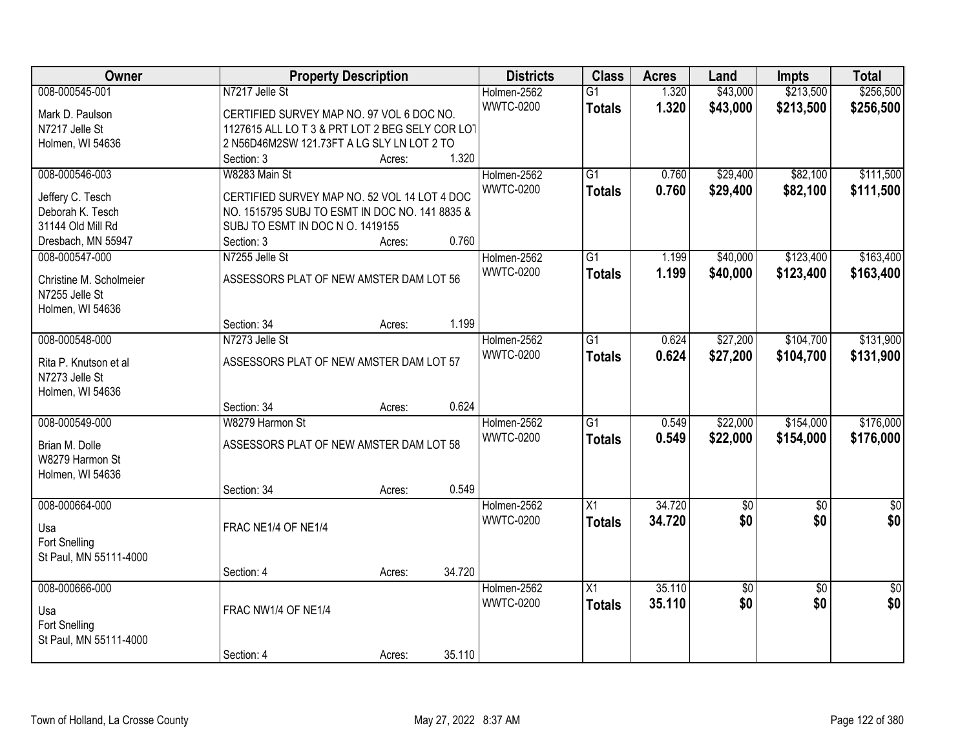| Owner                   | <b>Property Description</b>                    |                  | <b>Districts</b> | <b>Class</b>    | <b>Acres</b> | Land            | Impts           | <b>Total</b>    |
|-------------------------|------------------------------------------------|------------------|------------------|-----------------|--------------|-----------------|-----------------|-----------------|
| 008-000545-001          | N7217 Jelle St                                 |                  | Holmen-2562      | $\overline{G1}$ | 1.320        | \$43,000        | \$213,500       | \$256,500       |
| Mark D. Paulson         | CERTIFIED SURVEY MAP NO. 97 VOL 6 DOC NO.      |                  | <b>WWTC-0200</b> | <b>Totals</b>   | 1.320        | \$43,000        | \$213,500       | \$256,500       |
| N7217 Jelle St          | 1127615 ALL LOT 3 & PRT LOT 2 BEG SELY COR LOT |                  |                  |                 |              |                 |                 |                 |
| Holmen, WI 54636        | 2 N56D46M2SW 121.73FT A LG SLY LN LOT 2 TO     |                  |                  |                 |              |                 |                 |                 |
|                         | Section: 3                                     | Acres:           | 1.320            |                 |              |                 |                 |                 |
| 008-000546-003          | W8283 Main St                                  |                  | Holmen-2562      | $\overline{G1}$ | 0.760        | \$29,400        | \$82,100        | \$111,500       |
|                         |                                                |                  | <b>WWTC-0200</b> | <b>Totals</b>   | 0.760        | \$29,400        | \$82,100        | \$111,500       |
| Jeffery C. Tesch        | CERTIFIED SURVEY MAP NO. 52 VOL 14 LOT 4 DOC   |                  |                  |                 |              |                 |                 |                 |
| Deborah K. Tesch        | NO. 1515795 SUBJ TO ESMT IN DOC NO. 141 8835 & |                  |                  |                 |              |                 |                 |                 |
| 31144 Old Mill Rd       | SUBJ TO ESMT IN DOC N O. 1419155               |                  |                  |                 |              |                 |                 |                 |
| Dresbach, MN 55947      | Section: 3                                     | Acres:           | 0.760            |                 |              |                 |                 |                 |
| 008-000547-000          | N7255 Jelle St                                 |                  | Holmen-2562      | G1              | 1.199        | \$40,000        | \$123,400       | \$163,400       |
| Christine M. Scholmeier | ASSESSORS PLAT OF NEW AMSTER DAM LOT 56        |                  | <b>WWTC-0200</b> | <b>Totals</b>   | 1.199        | \$40,000        | \$123,400       | \$163,400       |
| N7255 Jelle St          |                                                |                  |                  |                 |              |                 |                 |                 |
| Holmen, WI 54636        |                                                |                  |                  |                 |              |                 |                 |                 |
|                         | Section: 34                                    | Acres:           | 1.199            |                 |              |                 |                 |                 |
| 008-000548-000          | N7273 Jelle St                                 |                  | Holmen-2562      | G1              | 0.624        | \$27,200        | \$104,700       | \$131,900       |
|                         |                                                |                  | <b>WWTC-0200</b> | <b>Totals</b>   | 0.624        | \$27,200        | \$104,700       | \$131,900       |
| Rita P. Knutson et al   | ASSESSORS PLAT OF NEW AMSTER DAM LOT 57        |                  |                  |                 |              |                 |                 |                 |
| N7273 Jelle St          |                                                |                  |                  |                 |              |                 |                 |                 |
| Holmen, WI 54636        |                                                |                  |                  |                 |              |                 |                 |                 |
|                         | Section: 34                                    | Acres:           | 0.624            |                 |              |                 |                 |                 |
| 008-000549-000          | W8279 Harmon St                                |                  | Holmen-2562      | $\overline{G1}$ | 0.549        | \$22,000        | \$154,000       | \$176,000       |
| Brian M. Dolle          | ASSESSORS PLAT OF NEW AMSTER DAM LOT 58        |                  | <b>WWTC-0200</b> | <b>Totals</b>   | 0.549        | \$22,000        | \$154,000       | \$176,000       |
| W8279 Harmon St         |                                                |                  |                  |                 |              |                 |                 |                 |
|                         |                                                |                  |                  |                 |              |                 |                 |                 |
| Holmen, WI 54636        |                                                |                  | 0.549            |                 |              |                 |                 |                 |
|                         | Section: 34                                    | Acres:           |                  |                 |              |                 |                 |                 |
| 008-000664-000          |                                                |                  | Holmen-2562      | $\overline{X1}$ | 34.720       | $\overline{50}$ | $\overline{50}$ | $\overline{50}$ |
| Usa                     | FRAC NE1/4 OF NE1/4                            |                  | <b>WWTC-0200</b> | <b>Totals</b>   | 34.720       | \$0             | \$0             | \$0             |
| Fort Snelling           |                                                |                  |                  |                 |              |                 |                 |                 |
| St Paul, MN 55111-4000  |                                                |                  |                  |                 |              |                 |                 |                 |
|                         | Section: 4                                     | 34.720<br>Acres: |                  |                 |              |                 |                 |                 |
| 008-000666-000          |                                                |                  | Holmen-2562      | X1              | 35.110       | \$0             | $\overline{30}$ | $\overline{50}$ |
|                         |                                                |                  | <b>WWTC-0200</b> | <b>Totals</b>   | 35.110       | \$0             | \$0             | \$0             |
| Usa                     | FRAC NW1/4 OF NE1/4                            |                  |                  |                 |              |                 |                 |                 |
| Fort Snelling           |                                                |                  |                  |                 |              |                 |                 |                 |
| St Paul, MN 55111-4000  |                                                |                  |                  |                 |              |                 |                 |                 |
|                         | Section: 4                                     | 35.110<br>Acres: |                  |                 |              |                 |                 |                 |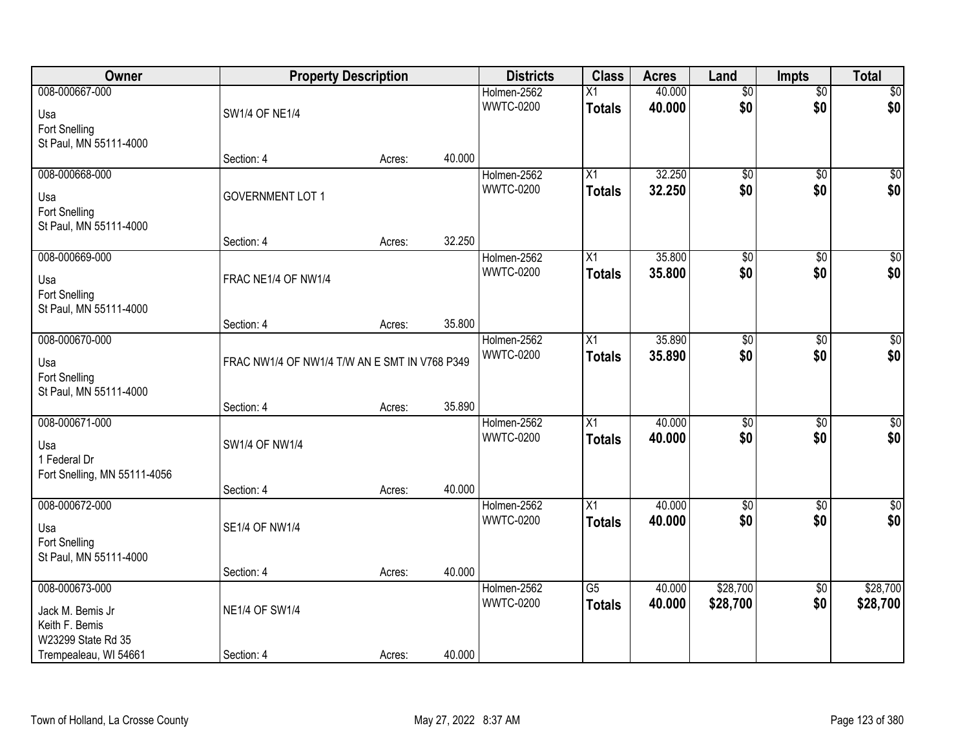| Owner                                                                      | <b>Property Description</b>                   |        |        | <b>Districts</b>                | <b>Class</b>                     | <b>Acres</b>     | Land                   | <b>Impts</b>           | <b>Total</b>            |
|----------------------------------------------------------------------------|-----------------------------------------------|--------|--------|---------------------------------|----------------------------------|------------------|------------------------|------------------------|-------------------------|
| 008-000667-000<br>Usa<br>Fort Snelling                                     | <b>SW1/4 OF NE1/4</b>                         |        |        | Holmen-2562<br><b>WWTC-0200</b> | $\overline{X1}$<br><b>Totals</b> | 40.000<br>40.000 | $\overline{50}$<br>\$0 | $\overline{50}$<br>\$0 | \$0<br>\$0              |
| St Paul, MN 55111-4000                                                     | Section: 4                                    | Acres: | 40.000 |                                 |                                  |                  |                        |                        |                         |
| 008-000668-000<br>Usa<br>Fort Snelling<br>St Paul, MN 55111-4000           | <b>GOVERNMENT LOT 1</b>                       |        |        | Holmen-2562<br><b>WWTC-0200</b> | $\overline{X1}$<br><b>Totals</b> | 32.250<br>32.250 | $\overline{50}$<br>\$0 | $\overline{50}$<br>\$0 | $\overline{\$0}$<br>\$0 |
|                                                                            | Section: 4                                    | Acres: | 32.250 |                                 |                                  |                  |                        |                        |                         |
| 008-000669-000<br>Usa<br>Fort Snelling<br>St Paul, MN 55111-4000           | FRAC NE1/4 OF NW1/4                           |        |        | Holmen-2562<br><b>WWTC-0200</b> | X1<br><b>Totals</b>              | 35.800<br>35.800 | $\overline{50}$<br>\$0 | \$0<br>\$0             | $\overline{50}$<br>\$0  |
|                                                                            | Section: 4                                    | Acres: | 35.800 |                                 |                                  |                  |                        |                        |                         |
| 008-000670-000<br>Usa<br>Fort Snelling<br>St Paul, MN 55111-4000           | FRAC NW1/4 OF NW1/4 T/W AN E SMT IN V768 P349 |        |        | Holmen-2562<br><b>WWTC-0200</b> | X1<br><b>Totals</b>              | 35.890<br>35.890 | $\overline{50}$<br>\$0 | \$0<br>\$0             | $\sqrt{50}$<br>\$0      |
|                                                                            | Section: 4                                    | Acres: | 35.890 |                                 |                                  |                  |                        |                        |                         |
| 008-000671-000<br>Usa<br>1 Federal Dr<br>Fort Snelling, MN 55111-4056      | SW1/4 OF NW1/4<br>Section: 4                  | Acres: | 40.000 | Holmen-2562<br><b>WWTC-0200</b> | $\overline{X1}$<br><b>Totals</b> | 40.000<br>40.000 | $\overline{50}$<br>\$0 | $\overline{50}$<br>\$0 | $\sqrt{50}$<br>\$0      |
| 008-000672-000<br>Usa<br>Fort Snelling<br>St Paul, MN 55111-4000           | <b>SE1/4 OF NW1/4</b>                         |        |        | Holmen-2562<br><b>WWTC-0200</b> | $\overline{X1}$<br><b>Totals</b> | 40.000<br>40.000 | $\overline{50}$<br>\$0 | $\overline{50}$<br>\$0 | $\sqrt{50}$<br>\$0      |
|                                                                            | Section: 4                                    | Acres: | 40.000 |                                 |                                  |                  |                        |                        |                         |
| 008-000673-000<br>Jack M. Bemis Jr<br>Keith F. Bemis<br>W23299 State Rd 35 | <b>NE1/4 OF SW1/4</b>                         |        |        | Holmen-2562<br><b>WWTC-0200</b> | $\overline{G5}$<br><b>Totals</b> | 40.000<br>40.000 | \$28,700<br>\$28,700   | $\overline{60}$<br>\$0 | \$28,700<br>\$28,700    |
| Trempealeau, WI 54661                                                      | Section: 4                                    | Acres: | 40.000 |                                 |                                  |                  |                        |                        |                         |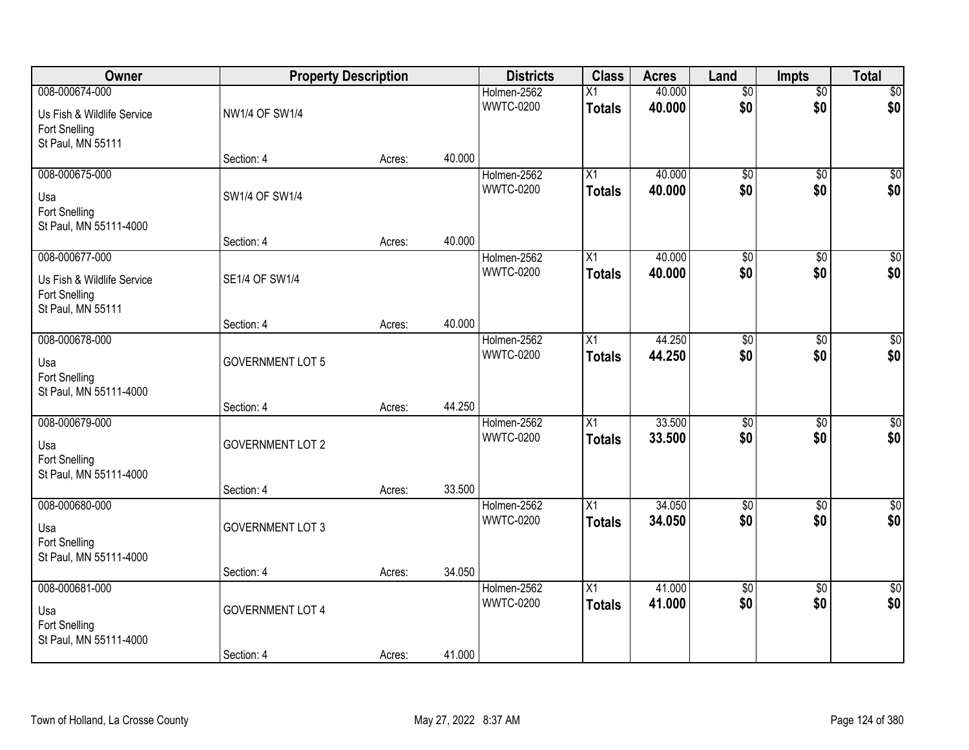| Owner                                                                              | <b>Property Description</b> |        |        | <b>Districts</b>                | <b>Class</b>                     | <b>Acres</b>     | Land                   | <b>Impts</b>           | <b>Total</b>           |
|------------------------------------------------------------------------------------|-----------------------------|--------|--------|---------------------------------|----------------------------------|------------------|------------------------|------------------------|------------------------|
| 008-000674-000<br>Us Fish & Wildlife Service<br>Fort Snelling                      | NW1/4 OF SW1/4              |        |        | Holmen-2562<br><b>WWTC-0200</b> | $\overline{X1}$<br><b>Totals</b> | 40.000<br>40.000 | $\overline{50}$<br>\$0 | $\overline{50}$<br>\$0 | \$0<br>\$0             |
| St Paul, MN 55111                                                                  | Section: 4                  | Acres: | 40.000 |                                 |                                  |                  |                        |                        |                        |
| 008-000675-000<br>Usa<br>Fort Snelling<br>St Paul, MN 55111-4000                   | SW1/4 OF SW1/4              |        |        | Holmen-2562<br><b>WWTC-0200</b> | $\overline{X1}$<br><b>Totals</b> | 40.000<br>40.000 | $\overline{50}$<br>\$0 | $\overline{50}$<br>\$0 | $\overline{50}$<br>\$0 |
|                                                                                    | Section: 4                  | Acres: | 40.000 |                                 |                                  |                  |                        |                        |                        |
| 008-000677-000<br>Us Fish & Wildlife Service<br>Fort Snelling<br>St Paul, MN 55111 | SE1/4 OF SW1/4              |        |        | Holmen-2562<br><b>WWTC-0200</b> | X1<br><b>Totals</b>              | 40.000<br>40.000 | $\overline{50}$<br>\$0 | \$0<br>\$0             | $\overline{50}$<br>\$0 |
|                                                                                    | Section: 4                  | Acres: | 40.000 |                                 |                                  |                  |                        |                        |                        |
| 008-000678-000<br>Usa<br>Fort Snelling<br>St Paul, MN 55111-4000                   | <b>GOVERNMENT LOT 5</b>     |        |        | Holmen-2562<br><b>WWTC-0200</b> | X1<br><b>Totals</b>              | 44.250<br>44.250 | $\overline{50}$<br>\$0 | \$0<br>\$0             | $\sqrt{50}$<br>\$0     |
|                                                                                    | Section: 4                  | Acres: | 44.250 |                                 |                                  |                  |                        |                        |                        |
| 008-000679-000<br>Usa<br>Fort Snelling<br>St Paul, MN 55111-4000                   | <b>GOVERNMENT LOT 2</b>     |        |        | Holmen-2562<br><b>WWTC-0200</b> | $\overline{X1}$<br><b>Totals</b> | 33.500<br>33.500 | $\overline{50}$<br>\$0 | $\overline{50}$<br>\$0 | $\overline{50}$<br>\$0 |
| 008-000680-000                                                                     | Section: 4                  | Acres: | 33.500 | Holmen-2562                     | $\overline{X1}$                  | 34.050           | $\overline{50}$        | $\overline{50}$        | $\sqrt{50}$            |
| Usa<br>Fort Snelling<br>St Paul, MN 55111-4000                                     | <b>GOVERNMENT LOT 3</b>     |        |        | <b>WWTC-0200</b>                | <b>Totals</b>                    | 34.050           | \$0                    | \$0                    | \$0                    |
|                                                                                    | Section: 4                  | Acres: | 34.050 |                                 |                                  |                  |                        |                        |                        |
| 008-000681-000<br>Usa<br>Fort Snelling<br>St Paul, MN 55111-4000                   | <b>GOVERNMENT LOT 4</b>     |        |        | Holmen-2562<br><b>WWTC-0200</b> | $\overline{X1}$<br><b>Totals</b> | 41.000<br>41.000 | $\overline{50}$<br>\$0 | $\overline{50}$<br>\$0 | $\sqrt{50}$<br>\$0     |
|                                                                                    | Section: 4                  | Acres: | 41.000 |                                 |                                  |                  |                        |                        |                        |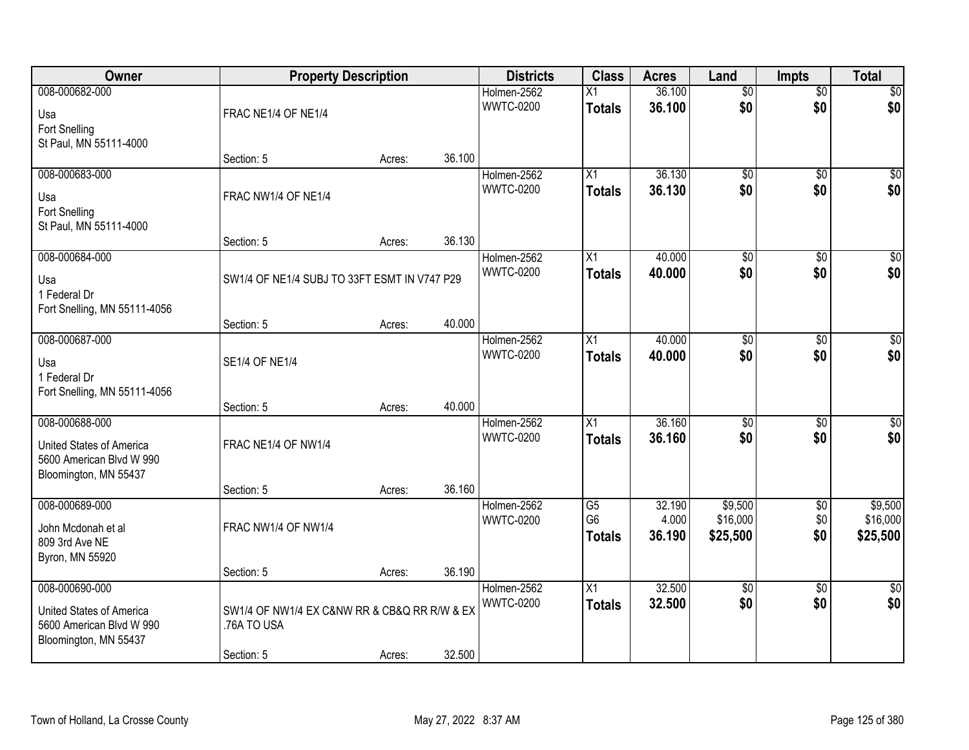| Owner                                | <b>Property Description</b>                  |        |        | <b>Districts</b> | <b>Class</b>    | <b>Acres</b> | Land            | <b>Impts</b>    | <b>Total</b>    |
|--------------------------------------|----------------------------------------------|--------|--------|------------------|-----------------|--------------|-----------------|-----------------|-----------------|
| 008-000682-000                       |                                              |        |        | Holmen-2562      | $\overline{X1}$ | 36.100       | $\overline{50}$ | $\overline{50}$ | $\sqrt{50}$     |
| Usa                                  | FRAC NE1/4 OF NE1/4                          |        |        | <b>WWTC-0200</b> | <b>Totals</b>   | 36.100       | \$0             | \$0             | \$0             |
| Fort Snelling                        |                                              |        |        |                  |                 |              |                 |                 |                 |
| St Paul, MN 55111-4000               | Section: 5                                   | Acres: | 36.100 |                  |                 |              |                 |                 |                 |
| 008-000683-000                       |                                              |        |        | Holmen-2562      | $\overline{X1}$ | 36.130       | $\overline{60}$ | $\overline{50}$ | $\sqrt{50}$     |
|                                      | FRAC NW1/4 OF NE1/4                          |        |        | <b>WWTC-0200</b> | <b>Totals</b>   | 36.130       | \$0             | \$0             | \$0             |
| Usa<br><b>Fort Snelling</b>          |                                              |        |        |                  |                 |              |                 |                 |                 |
| St Paul, MN 55111-4000               |                                              |        |        |                  |                 |              |                 |                 |                 |
|                                      | Section: 5                                   | Acres: | 36.130 |                  |                 |              |                 |                 |                 |
| 008-000684-000                       |                                              |        |        | Holmen-2562      | X1              | 40.000       | $\overline{50}$ | $\overline{50}$ | $\overline{50}$ |
| Usa                                  | SW1/4 OF NE1/4 SUBJ TO 33FT ESMT IN V747 P29 |        |        | <b>WWTC-0200</b> | <b>Totals</b>   | 40.000       | \$0             | \$0             | \$0             |
| 1 Federal Dr                         |                                              |        |        |                  |                 |              |                 |                 |                 |
| Fort Snelling, MN 55111-4056         |                                              |        | 40.000 |                  |                 |              |                 |                 |                 |
| 008-000687-000                       | Section: 5                                   | Acres: |        | Holmen-2562      | X1              | 40.000       | \$0             | \$0             | \$0             |
|                                      |                                              |        |        | <b>WWTC-0200</b> | <b>Totals</b>   | 40.000       | \$0             | \$0             | \$0             |
| Usa<br>1 Federal Dr                  | <b>SE1/4 OF NE1/4</b>                        |        |        |                  |                 |              |                 |                 |                 |
| Fort Snelling, MN 55111-4056         |                                              |        |        |                  |                 |              |                 |                 |                 |
|                                      | Section: 5                                   | Acres: | 40.000 |                  |                 |              |                 |                 |                 |
| 008-000688-000                       |                                              |        |        | Holmen-2562      | $\overline{X1}$ | 36.160       | $\overline{50}$ | $\overline{30}$ | $\sqrt{50}$     |
| United States of America             | FRAC NE1/4 OF NW1/4                          |        |        | <b>WWTC-0200</b> | <b>Totals</b>   | 36.160       | \$0             | \$0             | \$0             |
| 5600 American Blvd W 990             |                                              |        |        |                  |                 |              |                 |                 |                 |
| Bloomington, MN 55437                | Section: 5                                   | Acres: | 36.160 |                  |                 |              |                 |                 |                 |
| 008-000689-000                       |                                              |        |        | Holmen-2562      | $\overline{G5}$ | 32.190       | \$9,500         | $\sqrt{$0}$     | \$9,500         |
|                                      | FRAC NW1/4 OF NW1/4                          |        |        | <b>WWTC-0200</b> | G <sub>6</sub>  | 4.000        | \$16,000        | \$0             | \$16,000        |
| John Mcdonah et al<br>809 3rd Ave NE |                                              |        |        |                  | <b>Totals</b>   | 36.190       | \$25,500        | \$0             | \$25,500        |
| Byron, MN 55920                      |                                              |        |        |                  |                 |              |                 |                 |                 |
|                                      | Section: 5                                   | Acres: | 36.190 |                  |                 |              |                 |                 |                 |
| 008-000690-000                       |                                              |        |        | Holmen-2562      | $\overline{X1}$ | 32.500       | $\overline{60}$ | $\overline{50}$ | $\frac{1}{6}$   |
| United States of America             | SW1/4 OF NW1/4 EX C&NW RR & CB&Q RR R/W & EX |        |        | <b>WWTC-0200</b> | <b>Totals</b>   | 32.500       | \$0             | \$0             | \$0             |
| 5600 American Blvd W 990             | .76A TO USA                                  |        |        |                  |                 |              |                 |                 |                 |
| Bloomington, MN 55437                |                                              |        | 32.500 |                  |                 |              |                 |                 |                 |
|                                      | Section: 5                                   | Acres: |        |                  |                 |              |                 |                 |                 |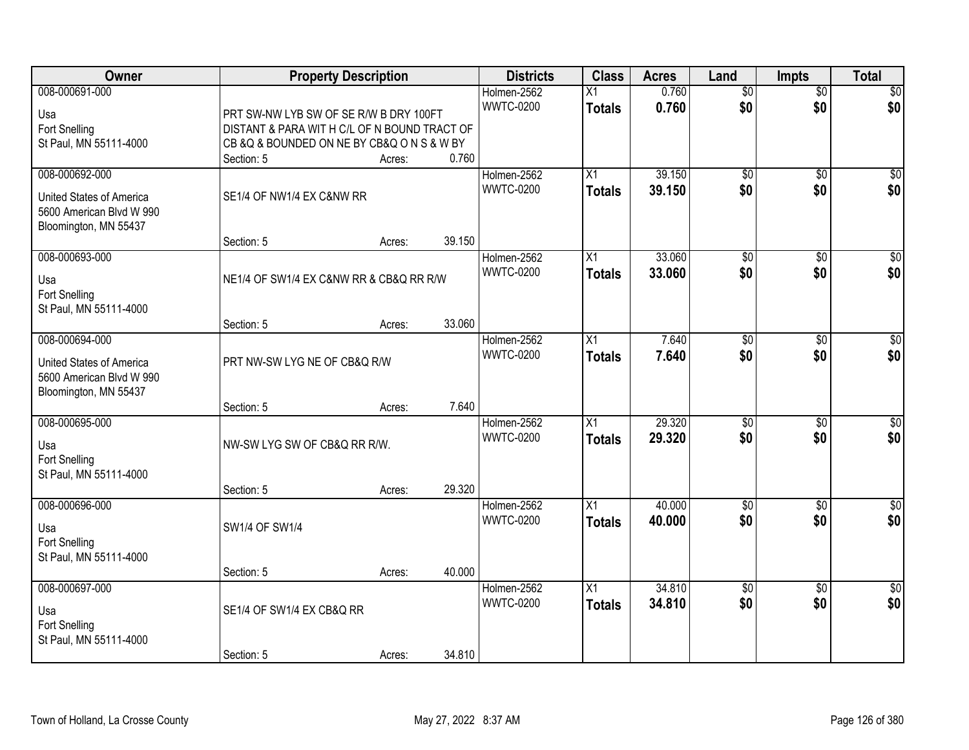| Owner                                                                                           |                                                                                                                                                     | <b>Property Description</b> |        | <b>Districts</b>                | <b>Class</b>                     | <b>Acres</b>     | Land                   | Impts                  | <b>Total</b>            |
|-------------------------------------------------------------------------------------------------|-----------------------------------------------------------------------------------------------------------------------------------------------------|-----------------------------|--------|---------------------------------|----------------------------------|------------------|------------------------|------------------------|-------------------------|
| 008-000691-000<br>Usa<br>Fort Snelling<br>St Paul, MN 55111-4000                                | PRT SW-NW LYB SW OF SE R/W B DRY 100FT<br>DISTANT & PARA WIT H C/L OF N BOUND TRACT OF<br>CB & Q & BOUNDED ON NE BY CB& Q ON S & W BY<br>Section: 5 | Acres:                      | 0.760  | Holmen-2562<br><b>WWTC-0200</b> | $\overline{X1}$<br><b>Totals</b> | 0.760<br>0.760   | $\overline{50}$<br>\$0 | $\overline{50}$<br>\$0 | \$0<br>\$0              |
| 008-000692-000<br>United States of America<br>5600 American Blvd W 990<br>Bloomington, MN 55437 | SE1/4 OF NW1/4 EX C&NW RR<br>Section: 5                                                                                                             | Acres:                      | 39.150 | Holmen-2562<br><b>WWTC-0200</b> | $\overline{X1}$<br><b>Totals</b> | 39.150<br>39.150 | $\overline{50}$<br>\$0 | $\overline{50}$<br>\$0 | \$0<br>\$0              |
| 008-000693-000<br>Usa<br>Fort Snelling<br>St Paul, MN 55111-4000                                | NE1/4 OF SW1/4 EX C&NW RR & CB&Q RR R/W<br>Section: 5                                                                                               | Acres:                      | 33.060 | Holmen-2562<br><b>WWTC-0200</b> | X1<br><b>Totals</b>              | 33.060<br>33.060 | $\overline{50}$<br>\$0 | $\overline{60}$<br>\$0 | $\overline{\$0}$<br>\$0 |
| 008-000694-000<br>United States of America<br>5600 American Blvd W 990<br>Bloomington, MN 55437 | PRT NW-SW LYG NE OF CB&Q R/W<br>Section: 5                                                                                                          | Acres:                      | 7.640  | Holmen-2562<br><b>WWTC-0200</b> | $\overline{X1}$<br><b>Totals</b> | 7.640<br>7.640   | $\overline{50}$<br>\$0 | \$0<br>\$0             | $\sqrt{50}$<br>\$0      |
| 008-000695-000<br>Usa<br>Fort Snelling<br>St Paul, MN 55111-4000                                | NW-SW LYG SW OF CB&Q RR R/W.<br>Section: 5                                                                                                          | Acres:                      | 29.320 | Holmen-2562<br><b>WWTC-0200</b> | $\overline{X1}$<br><b>Totals</b> | 29.320<br>29.320 | $\overline{50}$<br>\$0 | $\overline{50}$<br>\$0 | $\sqrt{50}$<br>\$0      |
| 008-000696-000<br>Usa<br>Fort Snelling<br>St Paul, MN 55111-4000                                | SW1/4 OF SW1/4<br>Section: 5                                                                                                                        | Acres:                      | 40.000 | Holmen-2562<br><b>WWTC-0200</b> | $\overline{X1}$<br><b>Totals</b> | 40.000<br>40.000 | $\overline{50}$<br>\$0 | $\overline{50}$<br>\$0 | \$0<br>\$0              |
| 008-000697-000<br>Usa<br>Fort Snelling<br>St Paul, MN 55111-4000                                | SE1/4 OF SW1/4 EX CB&Q RR<br>Section: 5                                                                                                             | Acres:                      | 34.810 | Holmen-2562<br><b>WWTC-0200</b> | $\overline{X1}$<br><b>Totals</b> | 34.810<br>34.810 | $\overline{50}$<br>\$0 | $\overline{50}$<br>\$0 | $\overline{50}$<br>\$0  |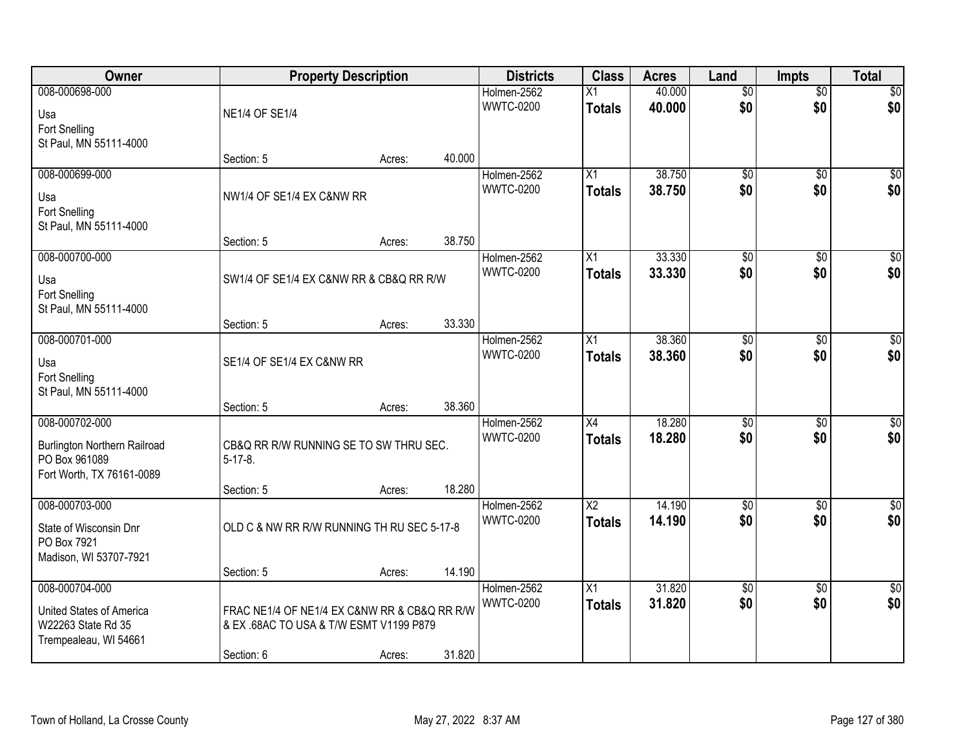| Owner                                          |                                                                                         | <b>Property Description</b> |        | <b>Districts</b>                | <b>Class</b>           | <b>Acres</b> | Land                   | <b>Impts</b>           | <b>Total</b>       |
|------------------------------------------------|-----------------------------------------------------------------------------------------|-----------------------------|--------|---------------------------------|------------------------|--------------|------------------------|------------------------|--------------------|
| 008-000698-000                                 |                                                                                         |                             |        | Holmen-2562                     | X1                     | 40.000       | $\overline{50}$        | $\overline{50}$        | \$0                |
| Usa                                            | <b>NE1/4 OF SE1/4</b>                                                                   |                             |        | <b>WWTC-0200</b>                | <b>Totals</b>          | 40.000       | \$0                    | \$0                    | \$0                |
| Fort Snelling                                  |                                                                                         |                             |        |                                 |                        |              |                        |                        |                    |
| St Paul, MN 55111-4000                         |                                                                                         |                             |        |                                 |                        |              |                        |                        |                    |
|                                                | Section: 5                                                                              | Acres:                      | 40.000 |                                 |                        |              |                        |                        |                    |
| 008-000699-000                                 |                                                                                         |                             |        | Holmen-2562                     | X1                     | 38.750       | $\overline{50}$        | $\overline{50}$        | \$0                |
| Usa                                            | NW1/4 OF SE1/4 EX C&NW RR                                                               |                             |        | <b>WWTC-0200</b>                | Totals                 | 38.750       | \$0                    | \$0                    | \$0                |
| <b>Fort Snelling</b>                           |                                                                                         |                             |        |                                 |                        |              |                        |                        |                    |
| St Paul, MN 55111-4000                         |                                                                                         |                             |        |                                 |                        |              |                        |                        |                    |
|                                                | Section: 5                                                                              | Acres:                      | 38.750 |                                 |                        |              |                        |                        |                    |
| 008-000700-000                                 |                                                                                         |                             |        | Holmen-2562<br><b>WWTC-0200</b> | X1                     | 33.330       | \$0<br>\$0             | \$0                    | $\overline{50}$    |
| Usa                                            | SW1/4 OF SE1/4 EX C&NW RR & CB&Q RR R/W                                                 |                             |        |                                 | <b>Totals</b>          | 33.330       |                        | \$0                    | \$0                |
| Fort Snelling                                  |                                                                                         |                             |        |                                 |                        |              |                        |                        |                    |
| St Paul, MN 55111-4000                         |                                                                                         |                             |        |                                 |                        |              |                        |                        |                    |
| 008-000701-000                                 | Section: 5                                                                              | Acres:                      | 33.330 |                                 |                        | 38.360       |                        |                        |                    |
|                                                |                                                                                         |                             |        | Holmen-2562<br><b>WWTC-0200</b> | X1<br><b>Totals</b>    | 38.360       | $\overline{50}$<br>\$0 | $\overline{30}$<br>\$0 | $\sqrt{50}$<br>\$0 |
| Usa                                            | SE1/4 OF SE1/4 EX C&NW RR                                                               |                             |        |                                 |                        |              |                        |                        |                    |
| Fort Snelling                                  |                                                                                         |                             |        |                                 |                        |              |                        |                        |                    |
| St Paul, MN 55111-4000                         |                                                                                         |                             | 38.360 |                                 |                        |              |                        |                        |                    |
| 008-000702-000                                 | Section: 5                                                                              | Acres:                      |        | Holmen-2562                     | $\overline{X4}$        | 18.280       | $\overline{50}$        | $\overline{50}$        | $\sqrt{50}$        |
|                                                |                                                                                         |                             |        | <b>WWTC-0200</b>                | <b>Totals</b>          | 18.280       | \$0                    | \$0                    | \$0                |
| <b>Burlington Northern Railroad</b>            | CB&Q RR R/W RUNNING SE TO SW THRU SEC.                                                  |                             |        |                                 |                        |              |                        |                        |                    |
| PO Box 961089                                  | $5 - 17 - 8$ .                                                                          |                             |        |                                 |                        |              |                        |                        |                    |
| Fort Worth, TX 76161-0089                      | Section: 5                                                                              | Acres:                      | 18.280 |                                 |                        |              |                        |                        |                    |
| 008-000703-000                                 |                                                                                         |                             |        | Holmen-2562                     | $\overline{\text{X2}}$ | 14.190       | $\overline{50}$        | $\overline{50}$        | $\sqrt{50}$        |
|                                                |                                                                                         |                             |        | <b>WWTC-0200</b>                | <b>Totals</b>          | 14.190       | \$0                    | \$0                    | \$0                |
| State of Wisconsin Dnr<br>PO Box 7921          | OLD C & NW RR R/W RUNNING TH RU SEC 5-17-8                                              |                             |        |                                 |                        |              |                        |                        |                    |
| Madison, WI 53707-7921                         |                                                                                         |                             |        |                                 |                        |              |                        |                        |                    |
|                                                | Section: 5                                                                              | Acres:                      | 14.190 |                                 |                        |              |                        |                        |                    |
| 008-000704-000                                 |                                                                                         |                             |        | Holmen-2562                     | $\overline{X1}$        | 31.820       | $\overline{50}$        | $\overline{50}$        | $\overline{50}$    |
|                                                |                                                                                         |                             |        | <b>WWTC-0200</b>                | <b>Totals</b>          | 31.820       | \$0                    | \$0                    | \$0                |
| United States of America<br>W22263 State Rd 35 | FRAC NE1/4 OF NE1/4 EX C&NW RR & CB&Q RR R/W<br>& EX .68AC TO USA & T/W ESMT V1199 P879 |                             |        |                                 |                        |              |                        |                        |                    |
| Trempealeau, WI 54661                          |                                                                                         |                             |        |                                 |                        |              |                        |                        |                    |
|                                                | Section: 6                                                                              | Acres:                      | 31.820 |                                 |                        |              |                        |                        |                    |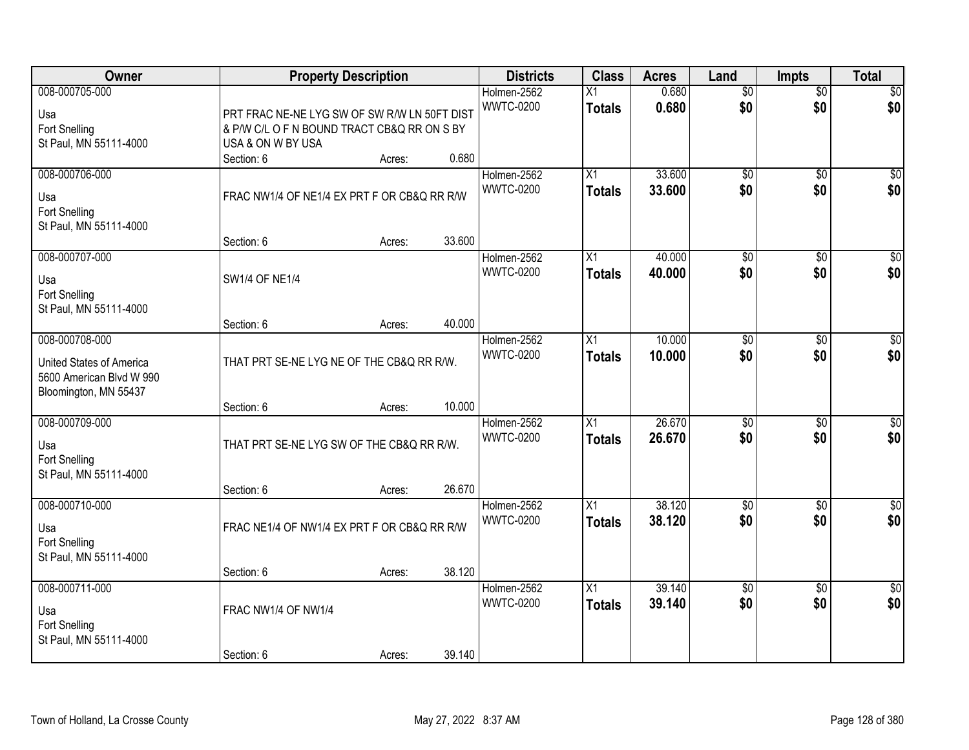| Owner                                                                                           |                                                                                                                  | <b>Property Description</b> |        | <b>Districts</b>                | <b>Class</b>                     | <b>Acres</b>     | Land                   | Impts                  | <b>Total</b>           |
|-------------------------------------------------------------------------------------------------|------------------------------------------------------------------------------------------------------------------|-----------------------------|--------|---------------------------------|----------------------------------|------------------|------------------------|------------------------|------------------------|
| 008-000705-000<br>Usa<br>Fort Snelling<br>St Paul, MN 55111-4000                                | PRT FRAC NE-NE LYG SW OF SW R/W LN 50FT DIST<br>& P/W C/L O F N BOUND TRACT CB&Q RR ON S BY<br>USA & ON W BY USA |                             |        | Holmen-2562<br><b>WWTC-0200</b> | Χ1<br><b>Totals</b>              | 0.680<br>0.680   | $\overline{50}$<br>\$0 | $\overline{50}$<br>\$0 | \$0<br>\$0             |
|                                                                                                 | Section: 6                                                                                                       | Acres:                      | 0.680  |                                 |                                  |                  |                        |                        |                        |
| 008-000706-000<br>Usa<br><b>Fort Snelling</b><br>St Paul, MN 55111-4000                         | FRAC NW1/4 OF NE1/4 EX PRT F OR CB&Q RR R/W                                                                      |                             |        | Holmen-2562<br><b>WWTC-0200</b> | $\overline{X1}$<br><b>Totals</b> | 33.600<br>33.600 | $\overline{50}$<br>\$0 | $\overline{50}$<br>\$0 | \$0<br>\$0             |
| 008-000707-000                                                                                  | Section: 6                                                                                                       | Acres:                      | 33.600 | Holmen-2562                     | X1                               | 40.000           | $\overline{50}$        | \$0                    | $\overline{50}$        |
| Usa<br><b>Fort Snelling</b><br>St Paul, MN 55111-4000                                           | SW1/4 OF NE1/4                                                                                                   |                             |        | <b>WWTC-0200</b>                | <b>Totals</b>                    | 40.000           | \$0                    | \$0                    | \$0                    |
|                                                                                                 | Section: 6                                                                                                       | Acres:                      | 40.000 |                                 |                                  |                  |                        |                        |                        |
| 008-000708-000<br>United States of America<br>5600 American Blvd W 990<br>Bloomington, MN 55437 | THAT PRT SE-NE LYG NE OF THE CB&Q RR R/W.                                                                        |                             |        | Holmen-2562<br><b>WWTC-0200</b> | $\overline{X}$<br><b>Totals</b>  | 10.000<br>10,000 | \$0<br>\$0             | $\overline{30}$<br>\$0 | \$0<br>\$0             |
|                                                                                                 | Section: 6                                                                                                       | Acres:                      | 10.000 |                                 |                                  |                  |                        |                        |                        |
| 008-000709-000<br>Usa<br>Fort Snelling<br>St Paul, MN 55111-4000                                | THAT PRT SE-NE LYG SW OF THE CB&Q RR R/W.<br>Section: 6                                                          | Acres:                      | 26.670 | Holmen-2562<br><b>WWTC-0200</b> | $\overline{X1}$<br><b>Totals</b> | 26.670<br>26.670 | $\overline{50}$<br>\$0 | $\overline{50}$<br>\$0 | $\sqrt{50}$<br>\$0     |
| 008-000710-000                                                                                  |                                                                                                                  |                             |        | Holmen-2562                     | $\overline{X1}$                  | 38.120           | $\overline{50}$        | $\overline{30}$        | $\sqrt{50}$            |
| Usa<br>Fort Snelling<br>St Paul, MN 55111-4000                                                  | FRAC NE1/4 OF NW1/4 EX PRT F OR CB&Q RR R/W                                                                      |                             |        | <b>WWTC-0200</b>                | <b>Totals</b>                    | 38.120           | \$0                    | \$0                    | \$0                    |
|                                                                                                 | Section: 6                                                                                                       | Acres:                      | 38.120 |                                 |                                  |                  |                        |                        |                        |
| 008-000711-000<br>Usa<br><b>Fort Snelling</b><br>St Paul, MN 55111-4000                         | FRAC NW1/4 OF NW1/4<br>Section: 6                                                                                | Acres:                      | 39.140 | Holmen-2562<br><b>WWTC-0200</b> | $\overline{X1}$<br><b>Totals</b> | 39.140<br>39.140 | $\overline{50}$<br>\$0 | $\overline{50}$<br>\$0 | $\overline{50}$<br>\$0 |
|                                                                                                 |                                                                                                                  |                             |        |                                 |                                  |                  |                        |                        |                        |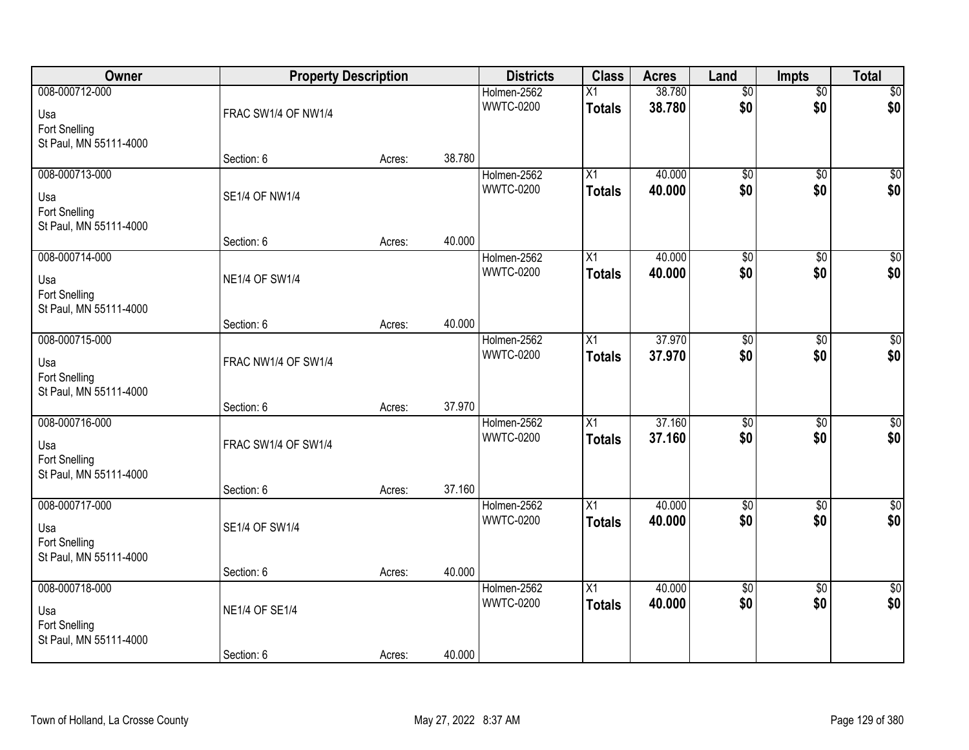| Owner                                                            | <b>Property Description</b>         |        |        | <b>Districts</b>                | <b>Class</b>                     | <b>Acres</b>     | Land                   | <b>Impts</b>           | <b>Total</b>           |
|------------------------------------------------------------------|-------------------------------------|--------|--------|---------------------------------|----------------------------------|------------------|------------------------|------------------------|------------------------|
| 008-000712-000<br>Usa<br>Fort Snelling                           | FRAC SW1/4 OF NW1/4                 |        |        | Holmen-2562<br><b>WWTC-0200</b> | $\overline{X1}$<br><b>Totals</b> | 38.780<br>38.780 | $\overline{50}$<br>\$0 | $\overline{50}$<br>\$0 | \$0<br>\$0             |
| St Paul, MN 55111-4000                                           | Section: 6                          | Acres: | 38.780 |                                 |                                  |                  |                        |                        |                        |
| 008-000713-000<br>Usa<br>Fort Snelling<br>St Paul, MN 55111-4000 | SE1/4 OF NW1/4                      |        |        | Holmen-2562<br><b>WWTC-0200</b> | $\overline{X1}$<br><b>Totals</b> | 40.000<br>40.000 | $\overline{50}$<br>\$0 | $\overline{50}$<br>\$0 | $\sqrt{50}$<br>\$0     |
|                                                                  | Section: 6                          | Acres: | 40.000 |                                 |                                  |                  |                        |                        |                        |
| 008-000714-000<br>Usa<br>Fort Snelling<br>St Paul, MN 55111-4000 | <b>NE1/4 OF SW1/4</b>               |        |        | Holmen-2562<br><b>WWTC-0200</b> | X1<br><b>Totals</b>              | 40.000<br>40.000 | \$0<br>\$0             | $\overline{50}$<br>\$0 | $\sqrt{50}$<br>\$0     |
|                                                                  | Section: 6                          | Acres: | 40.000 |                                 |                                  |                  |                        |                        |                        |
| 008-000715-000<br>Usa<br>Fort Snelling<br>St Paul, MN 55111-4000 | FRAC NW1/4 OF SW1/4                 |        |        | Holmen-2562<br><b>WWTC-0200</b> | X1<br><b>Totals</b>              | 37.970<br>37.970 | $\overline{50}$<br>\$0 | \$0<br>\$0             | $\sqrt{50}$<br>\$0     |
|                                                                  | Section: 6                          | Acres: | 37.970 |                                 |                                  |                  |                        |                        |                        |
| 008-000716-000<br>Usa<br>Fort Snelling<br>St Paul, MN 55111-4000 | FRAC SW1/4 OF SW1/4<br>Section: 6   |        | 37.160 | Holmen-2562<br><b>WWTC-0200</b> | $\overline{X1}$<br><b>Totals</b> | 37.160<br>37.160 | $\overline{50}$<br>\$0 | $\overline{50}$<br>\$0 | $\overline{50}$<br>\$0 |
| 008-000717-000                                                   |                                     | Acres: |        | Holmen-2562                     | $\overline{X1}$                  | 40.000           | $\sqrt{$0}$            | $\overline{50}$        | \$0                    |
| Usa<br>Fort Snelling<br>St Paul, MN 55111-4000                   | SE1/4 OF SW1/4                      |        |        | <b>WWTC-0200</b>                | <b>Totals</b>                    | 40.000           | \$0                    | \$0                    | \$0                    |
|                                                                  | Section: 6                          | Acres: | 40.000 |                                 |                                  |                  |                        |                        |                        |
| 008-000718-000<br>Usa<br>Fort Snelling<br>St Paul, MN 55111-4000 | <b>NE1/4 OF SE1/4</b><br>Section: 6 | Acres: | 40.000 | Holmen-2562<br><b>WWTC-0200</b> | $\overline{X1}$<br><b>Totals</b> | 40.000<br>40.000 | $\overline{60}$<br>\$0 | $\overline{50}$<br>\$0 | $\sqrt{50}$<br>\$0     |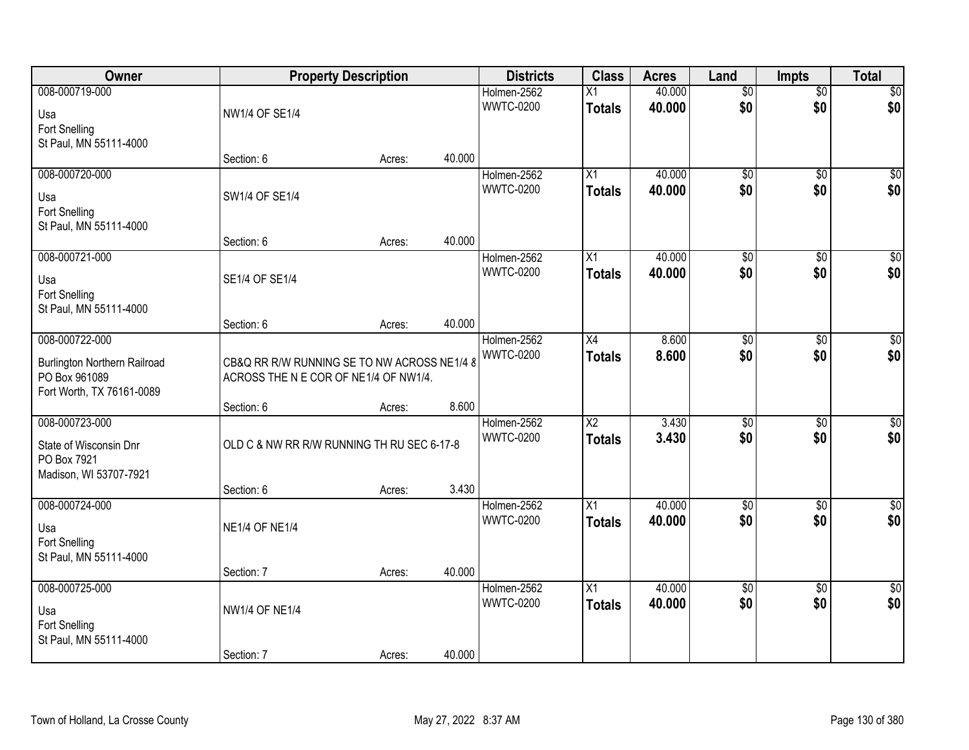| Owner                                                                                               |                                                                                      | <b>Property Description</b> |        | <b>Districts</b>                | <b>Class</b>                     | <b>Acres</b>     | Land                   | <b>Impts</b>           | <b>Total</b>           |
|-----------------------------------------------------------------------------------------------------|--------------------------------------------------------------------------------------|-----------------------------|--------|---------------------------------|----------------------------------|------------------|------------------------|------------------------|------------------------|
| 008-000719-000<br>Usa<br>Fort Snelling                                                              | NW1/4 OF SE1/4                                                                       |                             |        | Holmen-2562<br><b>WWTC-0200</b> | $\overline{X1}$<br><b>Totals</b> | 40.000<br>40.000 | $\overline{50}$<br>\$0 | $\overline{50}$<br>\$0 | \$0<br>\$0             |
| St Paul, MN 55111-4000                                                                              | Section: 6                                                                           | Acres:                      | 40.000 |                                 |                                  |                  |                        |                        |                        |
| 008-000720-000<br>Usa<br>Fort Snelling<br>St Paul, MN 55111-4000                                    | SW1/4 OF SE1/4                                                                       |                             |        | Holmen-2562<br><b>WWTC-0200</b> | $\overline{X1}$<br><b>Totals</b> | 40.000<br>40.000 | $\overline{50}$<br>\$0 | $\overline{50}$<br>\$0 | \$0<br>\$0             |
|                                                                                                     | Section: 6                                                                           | Acres:                      | 40.000 |                                 |                                  |                  |                        |                        |                        |
| 008-000721-000<br>Usa<br>Fort Snelling<br>St Paul, MN 55111-4000                                    | SE1/4 OF SE1/4                                                                       |                             |        | Holmen-2562<br><b>WWTC-0200</b> | X1<br><b>Totals</b>              | 40.000<br>40.000 | $\overline{50}$<br>\$0 | \$0<br>\$0             | \$0<br>\$0             |
|                                                                                                     | Section: 6                                                                           | Acres:                      | 40.000 |                                 |                                  |                  |                        |                        |                        |
| 008-000722-000<br><b>Burlington Northern Railroad</b><br>PO Box 961089<br>Fort Worth, TX 76161-0089 | CB&Q RR R/W RUNNING SE TO NW ACROSS NE1/4 8<br>ACROSS THE N E COR OF NE1/4 OF NW1/4. |                             |        | Holmen-2562<br><b>WWTC-0200</b> | $\overline{X4}$<br><b>Totals</b> | 8.600<br>8.600   | $\overline{50}$<br>\$0 | \$0<br>\$0             | $\sqrt{50}$<br>\$0     |
|                                                                                                     | Section: 6                                                                           | Acres:                      | 8.600  |                                 |                                  |                  |                        |                        |                        |
| 008-000723-000<br>State of Wisconsin Dnr<br>PO Box 7921<br>Madison, WI 53707-7921                   | OLD C & NW RR R/W RUNNING TH RU SEC 6-17-8<br>Section: 6                             | Acres:                      | 3.430  | Holmen-2562<br><b>WWTC-0200</b> | $\overline{X2}$<br><b>Totals</b> | 3.430<br>3.430   | $\overline{50}$<br>\$0 | \$0<br>\$0             | $\sqrt{50}$<br>\$0     |
| 008-000724-000                                                                                      |                                                                                      |                             |        | Holmen-2562                     | $\overline{X1}$                  | 40.000           | $\sqrt{$0}$            | $\overline{50}$        | $\sqrt{50}$            |
| Usa<br>Fort Snelling<br>St Paul, MN 55111-4000                                                      | <b>NE1/4 OF NE1/4</b>                                                                |                             |        | <b>WWTC-0200</b>                | <b>Totals</b>                    | 40.000           | \$0                    | \$0                    | \$0                    |
|                                                                                                     | Section: 7                                                                           | Acres:                      | 40.000 |                                 |                                  |                  |                        |                        |                        |
| 008-000725-000<br>Usa<br>Fort Snelling<br>St Paul, MN 55111-4000                                    | NW1/4 OF NE1/4                                                                       |                             |        | Holmen-2562<br><b>WWTC-0200</b> | $\overline{X1}$<br><b>Totals</b> | 40.000<br>40.000 | $\overline{50}$<br>\$0 | $\overline{50}$<br>\$0 | $\overline{50}$<br>\$0 |
|                                                                                                     | Section: 7                                                                           | Acres:                      | 40.000 |                                 |                                  |                  |                        |                        |                        |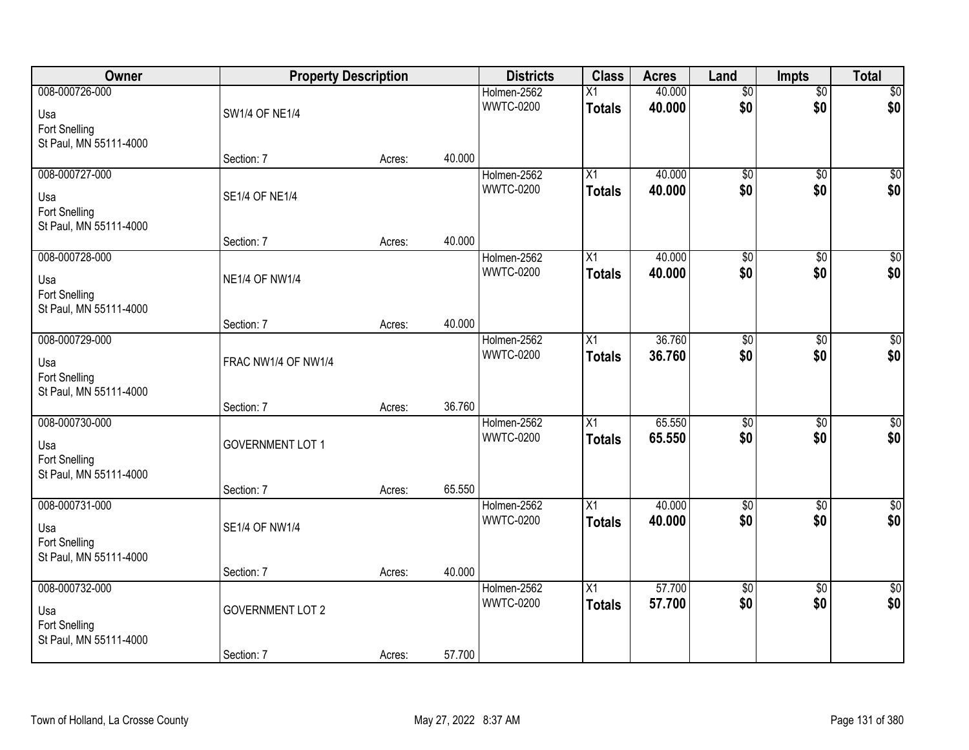| Owner                                                            | <b>Property Description</b>           |        |        | <b>Districts</b>                | <b>Class</b>                     | <b>Acres</b>     | Land                   | Impts                  | <b>Total</b>           |
|------------------------------------------------------------------|---------------------------------------|--------|--------|---------------------------------|----------------------------------|------------------|------------------------|------------------------|------------------------|
| 008-000726-000<br>Usa<br>Fort Snelling                           | <b>SW1/4 OF NE1/4</b>                 |        |        | Holmen-2562<br><b>WWTC-0200</b> | $\overline{X1}$<br><b>Totals</b> | 40.000<br>40.000 | $\overline{50}$<br>\$0 | $\sqrt{6}$<br>\$0      | \$0<br>\$0             |
| St Paul, MN 55111-4000                                           | Section: 7                            | Acres: | 40.000 |                                 |                                  |                  |                        |                        |                        |
| 008-000727-000<br>Usa<br>Fort Snelling<br>St Paul, MN 55111-4000 | <b>SE1/4 OF NE1/4</b>                 |        |        | Holmen-2562<br><b>WWTC-0200</b> | $\overline{X1}$<br><b>Totals</b> | 40.000<br>40.000 | $\overline{50}$<br>\$0 | $\overline{30}$<br>\$0 | $\overline{50}$<br>\$0 |
| 008-000728-000                                                   | Section: 7                            | Acres: | 40.000 |                                 |                                  | 40.000           |                        |                        | $\overline{50}$        |
| Usa<br>Fort Snelling<br>St Paul, MN 55111-4000                   | <b>NE1/4 OF NW1/4</b>                 |        |        | Holmen-2562<br><b>WWTC-0200</b> | X1<br><b>Totals</b>              | 40.000           | $\overline{60}$<br>\$0 | \$0<br>\$0             | \$0                    |
|                                                                  | Section: 7                            | Acres: | 40.000 |                                 |                                  |                  |                        |                        |                        |
| 008-000729-000<br>Usa<br>Fort Snelling<br>St Paul, MN 55111-4000 | FRAC NW1/4 OF NW1/4                   |        |        | Holmen-2562<br><b>WWTC-0200</b> | X1<br><b>Totals</b>              | 36.760<br>36.760 | $\overline{50}$<br>\$0 | \$0<br>\$0             | $\sqrt{50}$<br>\$0     |
|                                                                  | Section: 7                            | Acres: | 36.760 |                                 |                                  |                  |                        |                        |                        |
| 008-000730-000<br>Usa<br>Fort Snelling<br>St Paul, MN 55111-4000 | <b>GOVERNMENT LOT 1</b><br>Section: 7 | Acres: | 65.550 | Holmen-2562<br><b>WWTC-0200</b> | $\overline{X1}$<br><b>Totals</b> | 65.550<br>65.550 | $\overline{50}$<br>\$0 | $\overline{50}$<br>\$0 | $\overline{50}$<br>\$0 |
| 008-000731-000                                                   |                                       |        |        | Holmen-2562                     | $\overline{X1}$                  | 40.000           | $\overline{50}$        | $\overline{50}$        | $\sqrt{50}$            |
| Usa<br>Fort Snelling<br>St Paul, MN 55111-4000                   | <b>SE1/4 OF NW1/4</b>                 |        |        | <b>WWTC-0200</b>                | <b>Totals</b>                    | 40.000           | \$0                    | \$0                    | \$0                    |
|                                                                  | Section: 7                            | Acres: | 40.000 |                                 |                                  |                  |                        |                        |                        |
| 008-000732-000<br>Usa<br>Fort Snelling<br>St Paul, MN 55111-4000 | <b>GOVERNMENT LOT 2</b><br>Section: 7 |        | 57.700 | Holmen-2562<br><b>WWTC-0200</b> | $\overline{X1}$<br><b>Totals</b> | 57.700<br>57.700 | $\overline{50}$<br>\$0 | $\overline{50}$<br>\$0 | $\sqrt{50}$<br>\$0     |
|                                                                  |                                       | Acres: |        |                                 |                                  |                  |                        |                        |                        |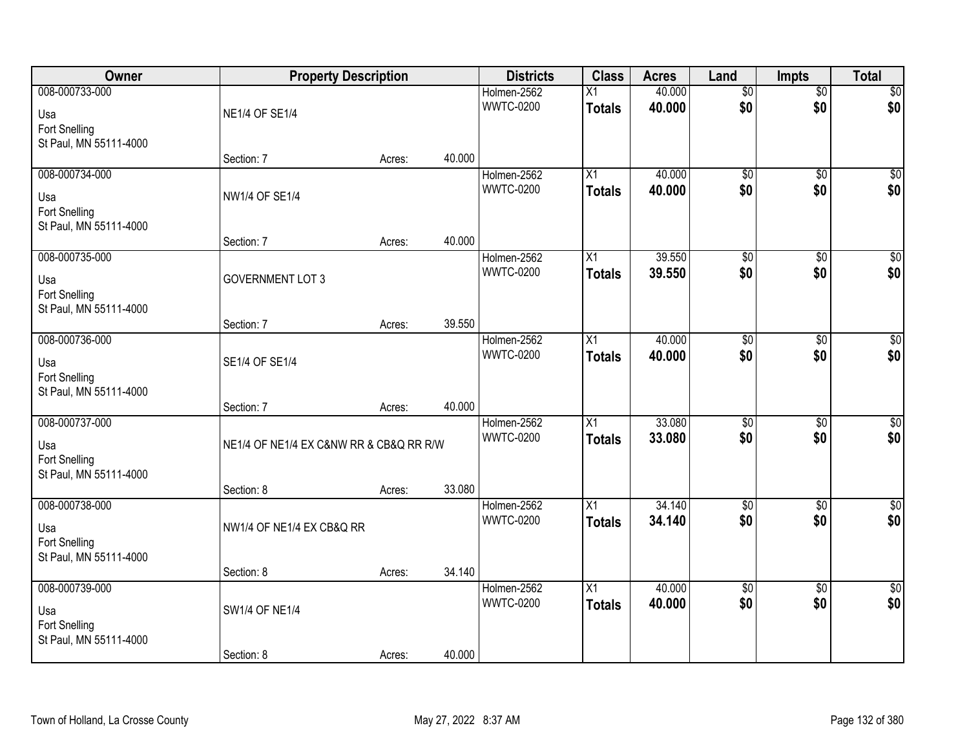| Owner                                   |                                         | <b>Property Description</b> |        | <b>Districts</b>                | <b>Class</b>    | <b>Acres</b> | Land                   | Impts           | <b>Total</b>           |
|-----------------------------------------|-----------------------------------------|-----------------------------|--------|---------------------------------|-----------------|--------------|------------------------|-----------------|------------------------|
| 008-000733-000                          |                                         |                             |        | Holmen-2562                     | $\overline{X1}$ | 40.000       | $\overline{50}$        | $\overline{50}$ | \$0                    |
| Usa                                     | <b>NE1/4 OF SE1/4</b>                   |                             |        | <b>WWTC-0200</b>                | <b>Totals</b>   | 40.000       | \$0                    | \$0             | \$0                    |
| Fort Snelling                           |                                         |                             |        |                                 |                 |              |                        |                 |                        |
| St Paul, MN 55111-4000                  |                                         |                             |        |                                 |                 |              |                        |                 |                        |
|                                         | Section: 7                              | Acres:                      | 40.000 |                                 |                 |              |                        |                 |                        |
| 008-000734-000                          |                                         |                             |        | Holmen-2562                     | X1              | 40.000       | $\overline{50}$        | $\overline{30}$ | $\overline{50}$        |
| Usa                                     | NW1/4 OF SE1/4                          |                             |        | <b>WWTC-0200</b>                | <b>Totals</b>   | 40.000       | \$0                    | \$0             | \$0                    |
| Fort Snelling                           |                                         |                             |        |                                 |                 |              |                        |                 |                        |
| St Paul, MN 55111-4000                  |                                         |                             |        |                                 |                 |              |                        |                 |                        |
|                                         | Section: 7                              | Acres:                      | 40.000 |                                 |                 |              |                        |                 |                        |
| 008-000735-000                          |                                         |                             |        | Holmen-2562<br><b>WWTC-0200</b> | X1              | 39.550       | $\overline{50}$<br>\$0 | \$0<br>\$0      | $\overline{50}$<br>\$0 |
| Usa                                     | <b>GOVERNMENT LOT 3</b>                 |                             |        |                                 | <b>Totals</b>   | 39.550       |                        |                 |                        |
| Fort Snelling                           |                                         |                             |        |                                 |                 |              |                        |                 |                        |
| St Paul, MN 55111-4000                  | Section: 7                              |                             | 39.550 |                                 |                 |              |                        |                 |                        |
| 008-000736-000                          |                                         | Acres:                      |        | Holmen-2562                     | X1              | 40.000       | $\overline{50}$        | \$0             | $\sqrt{50}$            |
|                                         |                                         |                             |        | <b>WWTC-0200</b>                | <b>Totals</b>   | 40.000       | \$0                    | \$0             | \$0                    |
| Usa                                     | SE1/4 OF SE1/4                          |                             |        |                                 |                 |              |                        |                 |                        |
| Fort Snelling<br>St Paul, MN 55111-4000 |                                         |                             |        |                                 |                 |              |                        |                 |                        |
|                                         | Section: 7                              | Acres:                      | 40.000 |                                 |                 |              |                        |                 |                        |
| 008-000737-000                          |                                         |                             |        | Holmen-2562                     | $\overline{X1}$ | 33.080       | $\overline{50}$        | $\overline{30}$ | $\overline{50}$        |
|                                         |                                         |                             |        | <b>WWTC-0200</b>                | <b>Totals</b>   | 33.080       | \$0                    | \$0             | \$0                    |
| Usa<br>Fort Snelling                    | NE1/4 OF NE1/4 EX C&NW RR & CB&Q RR R/W |                             |        |                                 |                 |              |                        |                 |                        |
| St Paul, MN 55111-4000                  |                                         |                             |        |                                 |                 |              |                        |                 |                        |
|                                         | Section: 8                              | Acres:                      | 33.080 |                                 |                 |              |                        |                 |                        |
| 008-000738-000                          |                                         |                             |        | Holmen-2562                     | $\overline{X1}$ | 34.140       | $\overline{50}$        | $\overline{30}$ | $\sqrt{$0]}$           |
| Usa                                     | NW1/4 OF NE1/4 EX CB&Q RR               |                             |        | <b>WWTC-0200</b>                | <b>Totals</b>   | 34.140       | \$0                    | \$0             | \$0                    |
| Fort Snelling                           |                                         |                             |        |                                 |                 |              |                        |                 |                        |
| St Paul, MN 55111-4000                  |                                         |                             |        |                                 |                 |              |                        |                 |                        |
|                                         | Section: 8                              | Acres:                      | 34.140 |                                 |                 |              |                        |                 |                        |
| 008-000739-000                          |                                         |                             |        | Holmen-2562                     | $\overline{X1}$ | 40.000       | $\overline{50}$        | $\overline{50}$ | $\sqrt{50}$            |
| Usa                                     | SW1/4 OF NE1/4                          |                             |        | <b>WWTC-0200</b>                | <b>Totals</b>   | 40.000       | \$0                    | \$0             | \$0                    |
| Fort Snelling                           |                                         |                             |        |                                 |                 |              |                        |                 |                        |
| St Paul, MN 55111-4000                  |                                         |                             |        |                                 |                 |              |                        |                 |                        |
|                                         | Section: 8                              | Acres:                      | 40.000 |                                 |                 |              |                        |                 |                        |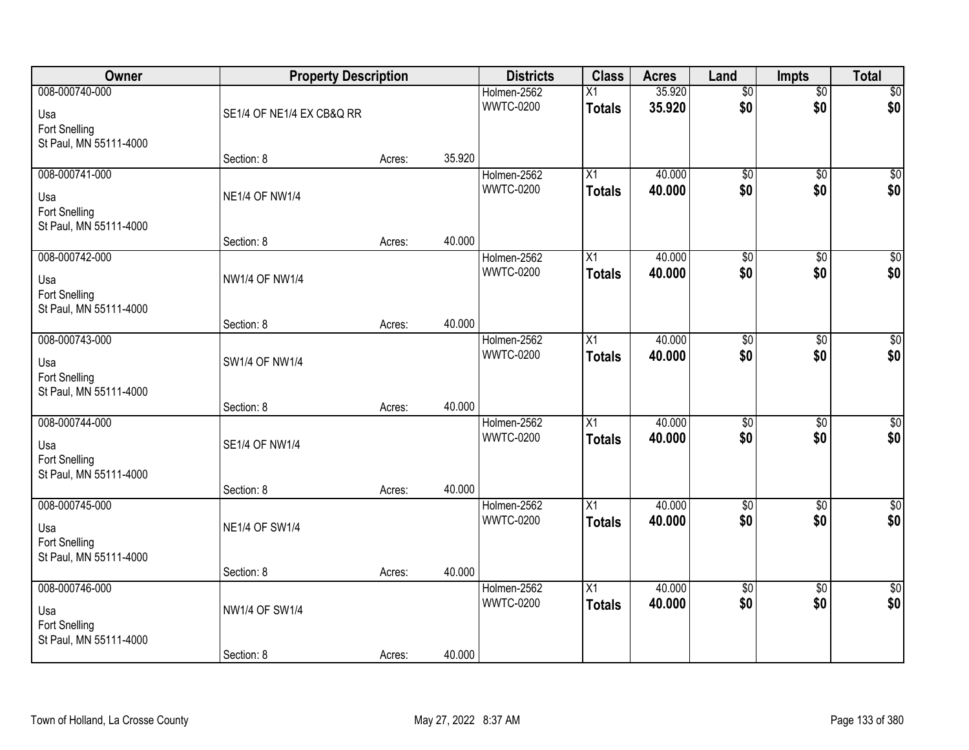| Owner                                   | <b>Property Description</b> |        |        | <b>Districts</b> | <b>Class</b>    | <b>Acres</b> | Land            | Impts           | <b>Total</b>    |
|-----------------------------------------|-----------------------------|--------|--------|------------------|-----------------|--------------|-----------------|-----------------|-----------------|
| 008-000740-000                          |                             |        |        | Holmen-2562      | $\overline{X1}$ | 35.920       | $\overline{50}$ | $\sqrt{6}$      | \$0             |
| Usa                                     | SE1/4 OF NE1/4 EX CB&Q RR   |        |        | <b>WWTC-0200</b> | <b>Totals</b>   | 35.920       | \$0             | \$0             | \$0             |
| Fort Snelling                           |                             |        |        |                  |                 |              |                 |                 |                 |
| St Paul, MN 55111-4000                  |                             |        |        |                  |                 |              |                 |                 |                 |
|                                         | Section: 8                  | Acres: | 35.920 |                  |                 |              |                 |                 |                 |
| 008-000741-000                          |                             |        |        | Holmen-2562      | X1              | 40.000       | $\overline{50}$ | $\overline{30}$ | $\overline{50}$ |
| Usa                                     | <b>NE1/4 OF NW1/4</b>       |        |        | <b>WWTC-0200</b> | <b>Totals</b>   | 40.000       | \$0             | \$0             | \$0             |
| Fort Snelling                           |                             |        |        |                  |                 |              |                 |                 |                 |
| St Paul, MN 55111-4000                  |                             |        | 40.000 |                  |                 |              |                 |                 |                 |
| 008-000742-000                          | Section: 8                  | Acres: |        | Holmen-2562      | X1              | 40.000       | $\overline{60}$ | \$0             | $\overline{50}$ |
|                                         |                             |        |        | <b>WWTC-0200</b> | <b>Totals</b>   | 40.000       | \$0             | \$0             | \$0             |
| Usa                                     | <b>NW1/4 OF NW1/4</b>       |        |        |                  |                 |              |                 |                 |                 |
| Fort Snelling<br>St Paul, MN 55111-4000 |                             |        |        |                  |                 |              |                 |                 |                 |
|                                         | Section: 8                  | Acres: | 40.000 |                  |                 |              |                 |                 |                 |
| 008-000743-000                          |                             |        |        | Holmen-2562      | X1              | 40.000       | $\overline{50}$ | \$0             | $\sqrt{50}$     |
|                                         |                             |        |        | <b>WWTC-0200</b> | <b>Totals</b>   | 40.000       | \$0             | \$0             | \$0             |
| Usa<br>Fort Snelling                    | SW1/4 OF NW1/4              |        |        |                  |                 |              |                 |                 |                 |
| St Paul, MN 55111-4000                  |                             |        |        |                  |                 |              |                 |                 |                 |
|                                         | Section: 8                  | Acres: | 40.000 |                  |                 |              |                 |                 |                 |
| 008-000744-000                          |                             |        |        | Holmen-2562      | $\overline{X1}$ | 40.000       | $\overline{50}$ | $\overline{30}$ | $\overline{50}$ |
| Usa                                     | SE1/4 OF NW1/4              |        |        | <b>WWTC-0200</b> | <b>Totals</b>   | 40.000       | \$0             | \$0             | \$0             |
| Fort Snelling                           |                             |        |        |                  |                 |              |                 |                 |                 |
| St Paul, MN 55111-4000                  |                             |        |        |                  |                 |              |                 |                 |                 |
|                                         | Section: 8                  | Acres: | 40.000 |                  |                 |              |                 |                 |                 |
| 008-000745-000                          |                             |        |        | Holmen-2562      | $\overline{X1}$ | 40.000       | $\sqrt{$0}$     | $\overline{30}$ | $\sqrt{$0]}$    |
| Usa                                     | <b>NE1/4 OF SW1/4</b>       |        |        | <b>WWTC-0200</b> | <b>Totals</b>   | 40.000       | \$0             | \$0             | \$0             |
| Fort Snelling                           |                             |        |        |                  |                 |              |                 |                 |                 |
| St Paul, MN 55111-4000                  |                             |        |        |                  |                 |              |                 |                 |                 |
| 008-000746-000                          | Section: 8                  | Acres: | 40.000 | Holmen-2562      | $\overline{X1}$ | 40.000       | $\overline{50}$ | $\overline{50}$ | $\sqrt{50}$     |
|                                         |                             |        |        | <b>WWTC-0200</b> | <b>Totals</b>   | 40.000       | \$0             | \$0             | \$0             |
| Usa                                     | NW1/4 OF SW1/4              |        |        |                  |                 |              |                 |                 |                 |
| Fort Snelling<br>St Paul, MN 55111-4000 |                             |        |        |                  |                 |              |                 |                 |                 |
|                                         | Section: 8                  | Acres: | 40.000 |                  |                 |              |                 |                 |                 |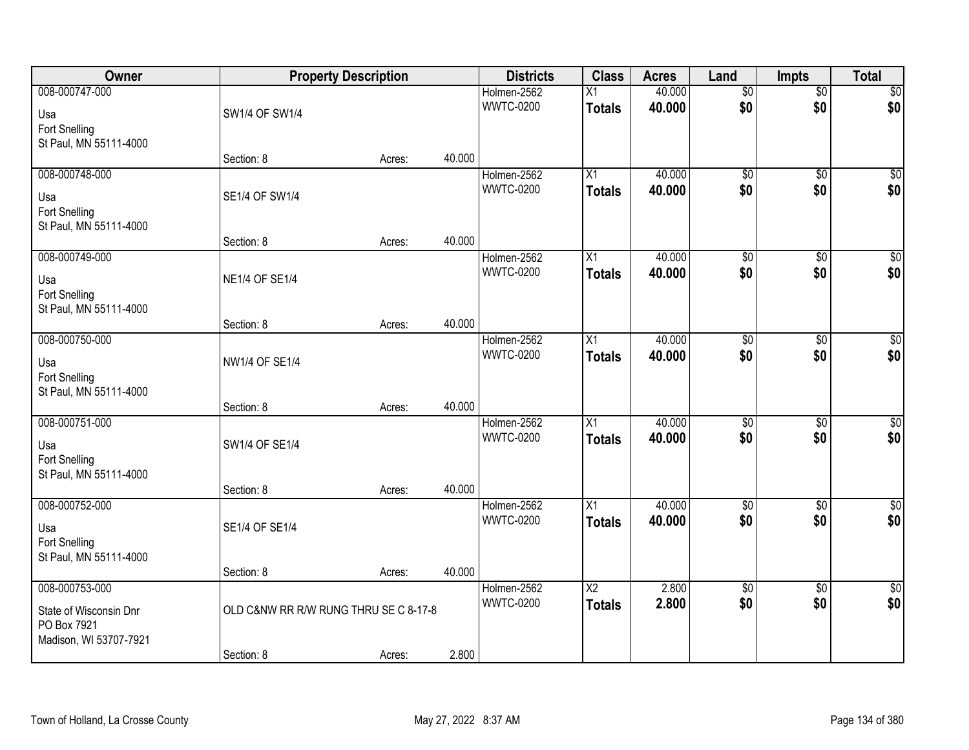| Owner                                                            |                                       | <b>Property Description</b> |        | <b>Districts</b>                | <b>Class</b>                     | <b>Acres</b>     | Land                   | <b>Impts</b>           | <b>Total</b>           |
|------------------------------------------------------------------|---------------------------------------|-----------------------------|--------|---------------------------------|----------------------------------|------------------|------------------------|------------------------|------------------------|
| 008-000747-000<br>Usa<br>Fort Snelling                           | SW1/4 OF SW1/4                        |                             |        | Holmen-2562<br><b>WWTC-0200</b> | $\overline{X1}$<br><b>Totals</b> | 40.000<br>40.000 | $\overline{50}$<br>\$0 | $\sqrt{6}$<br>\$0      | \$0<br>\$0             |
| St Paul, MN 55111-4000                                           | Section: 8                            | Acres:                      | 40.000 |                                 |                                  |                  |                        |                        |                        |
| 008-000748-000<br>Usa<br>Fort Snelling<br>St Paul, MN 55111-4000 | SE1/4 OF SW1/4                        |                             |        | Holmen-2562<br><b>WWTC-0200</b> | $\overline{X1}$<br><b>Totals</b> | 40.000<br>40.000 | $\overline{50}$<br>\$0 | $\overline{30}$<br>\$0 | $\overline{50}$<br>\$0 |
| 008-000749-000                                                   | Section: 8                            | Acres:                      | 40.000 |                                 | X1                               | 40.000           | $\overline{50}$        |                        | $\overline{50}$        |
| Usa<br>Fort Snelling<br>St Paul, MN 55111-4000                   | <b>NE1/4 OF SE1/4</b>                 |                             |        | Holmen-2562<br><b>WWTC-0200</b> | <b>Totals</b>                    | 40.000           | \$0                    | \$0<br>\$0             | \$0                    |
|                                                                  | Section: 8                            | Acres:                      | 40.000 |                                 |                                  |                  |                        |                        |                        |
| 008-000750-000<br>Usa<br>Fort Snelling<br>St Paul, MN 55111-4000 | NW1/4 OF SE1/4                        |                             |        | Holmen-2562<br><b>WWTC-0200</b> | X1<br><b>Totals</b>              | 40.000<br>40.000 | $\overline{50}$<br>\$0 | \$0<br>\$0             | $\sqrt{50}$<br>\$0     |
|                                                                  | Section: 8                            | Acres:                      | 40.000 |                                 |                                  |                  |                        |                        |                        |
| 008-000751-000<br>Usa<br>Fort Snelling<br>St Paul, MN 55111-4000 | SW1/4 OF SE1/4<br>Section: 8          | Acres:                      | 40.000 | Holmen-2562<br><b>WWTC-0200</b> | $\overline{X1}$<br><b>Totals</b> | 40.000<br>40.000 | $\overline{50}$<br>\$0 | $\overline{30}$<br>\$0 | $\sqrt{50}$<br>\$0     |
| 008-000752-000<br>Usa<br>Fort Snelling<br>St Paul, MN 55111-4000 | SE1/4 OF SE1/4                        |                             |        | Holmen-2562<br><b>WWTC-0200</b> | $\overline{X1}$<br><b>Totals</b> | 40.000<br>40.000 | $\overline{50}$<br>\$0 | $\overline{50}$<br>\$0 | $\sqrt{$0]}$<br>\$0    |
| 008-000753-000                                                   | Section: 8                            | Acres:                      | 40.000 | Holmen-2562                     | $\overline{X2}$                  | 2.800            | $\overline{60}$        |                        | $\overline{50}$        |
| State of Wisconsin Dnr<br>PO Box 7921<br>Madison, WI 53707-7921  | OLD C&NW RR R/W RUNG THRU SE C 8-17-8 |                             |        | <b>WWTC-0200</b>                | <b>Totals</b>                    | 2.800            | \$0                    | $\overline{60}$<br>\$0 | \$0                    |
|                                                                  | Section: 8                            | Acres:                      | 2.800  |                                 |                                  |                  |                        |                        |                        |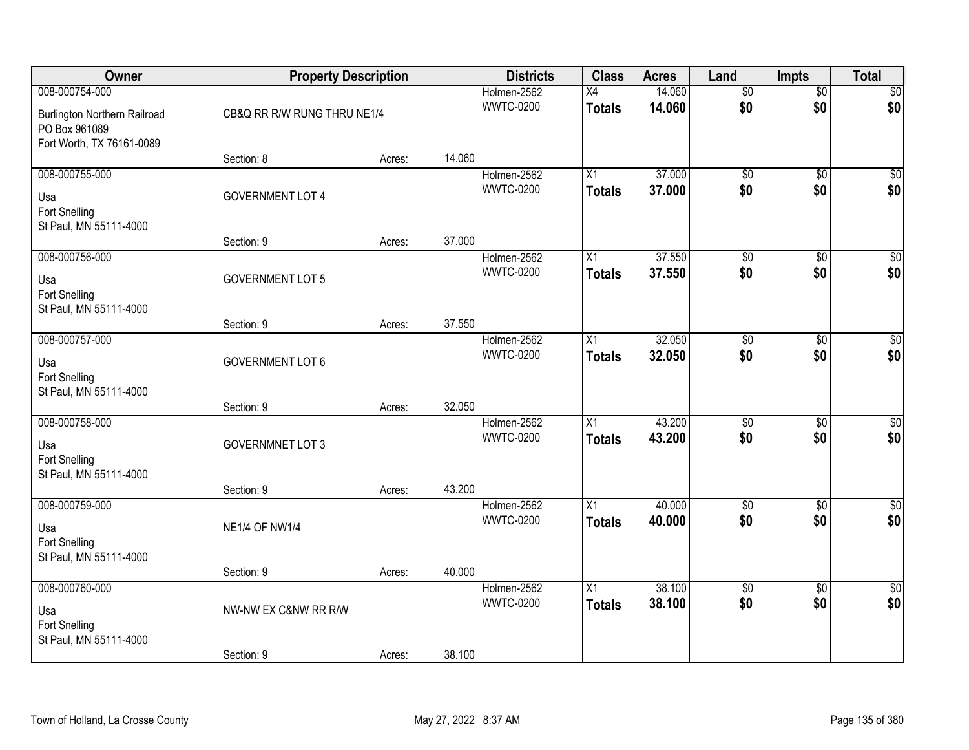| Owner                                                                                               | <b>Property Description</b>        |        |        | <b>Districts</b>                | <b>Class</b>                     | <b>Acres</b>     | Land                   | <b>Impts</b>           | <b>Total</b>            |
|-----------------------------------------------------------------------------------------------------|------------------------------------|--------|--------|---------------------------------|----------------------------------|------------------|------------------------|------------------------|-------------------------|
| 008-000754-000<br><b>Burlington Northern Railroad</b><br>PO Box 961089<br>Fort Worth, TX 76161-0089 | CB&Q RR R/W RUNG THRU NE1/4        |        |        | Holmen-2562<br><b>WWTC-0200</b> | X4<br><b>Totals</b>              | 14.060<br>14.060 | $\overline{50}$<br>\$0 | $\sqrt{6}$<br>\$0      | \$0<br>\$0              |
|                                                                                                     | Section: 8                         | Acres: | 14.060 |                                 |                                  |                  |                        |                        |                         |
| 008-000755-000<br>Usa<br>Fort Snelling<br>St Paul, MN 55111-4000                                    | <b>GOVERNMENT LOT 4</b>            |        |        | Holmen-2562<br><b>WWTC-0200</b> | $\overline{X1}$<br><b>Totals</b> | 37.000<br>37.000 | $\overline{50}$<br>\$0 | $\overline{50}$<br>\$0 | \$0<br>\$0              |
|                                                                                                     | Section: 9                         | Acres: | 37.000 |                                 |                                  |                  |                        |                        |                         |
| 008-000756-000<br>Usa<br>Fort Snelling<br>St Paul, MN 55111-4000                                    | <b>GOVERNMENT LOT 5</b>            |        |        | Holmen-2562<br><b>WWTC-0200</b> | X1<br><b>Totals</b>              | 37.550<br>37.550 | $\overline{50}$<br>\$0 | \$0<br>\$0             | $\overline{50}$<br>\$0  |
|                                                                                                     | Section: 9                         | Acres: | 37.550 |                                 |                                  |                  |                        |                        |                         |
| 008-000757-000<br>Usa<br>Fort Snelling<br>St Paul, MN 55111-4000                                    | <b>GOVERNMENT LOT 6</b>            |        |        | Holmen-2562<br><b>WWTC-0200</b> | X1<br><b>Totals</b>              | 32.050<br>32.050 | $\overline{50}$<br>\$0 | \$0<br>\$0             | $\sqrt{50}$<br>\$0      |
|                                                                                                     | Section: 9                         | Acres: | 32.050 |                                 |                                  |                  |                        |                        |                         |
| 008-000758-000<br>Usa<br>Fort Snelling<br>St Paul, MN 55111-4000                                    | <b>GOVERNMNET LOT 3</b>            |        |        | Holmen-2562<br><b>WWTC-0200</b> | $\overline{X1}$<br><b>Totals</b> | 43.200<br>43.200 | $\overline{50}$<br>\$0 | $\overline{30}$<br>\$0 | $\overline{\$0}$<br>\$0 |
| 008-000759-000                                                                                      | Section: 9                         | Acres: | 43.200 | Holmen-2562                     | $\overline{X1}$                  | 40.000           | $\sqrt{$0}$            | $\sqrt{6}$             | $\sqrt{$0]}$            |
| Usa<br>Fort Snelling<br>St Paul, MN 55111-4000                                                      | <b>NE1/4 OF NW1/4</b>              |        |        | <b>WWTC-0200</b>                | <b>Totals</b>                    | 40.000           | \$0                    | \$0                    | \$0                     |
|                                                                                                     | Section: 9                         | Acres: | 40.000 |                                 |                                  |                  |                        |                        |                         |
| 008-000760-000<br>Usa<br>Fort Snelling<br>St Paul, MN 55111-4000                                    | NW-NW EX C&NW RR R/W<br>Section: 9 | Acres: | 38.100 | Holmen-2562<br><b>WWTC-0200</b> | $\overline{X1}$<br><b>Totals</b> | 38.100<br>38.100 | $\overline{50}$<br>\$0 | $\overline{50}$<br>\$0 | $\sqrt{30}$<br>\$0      |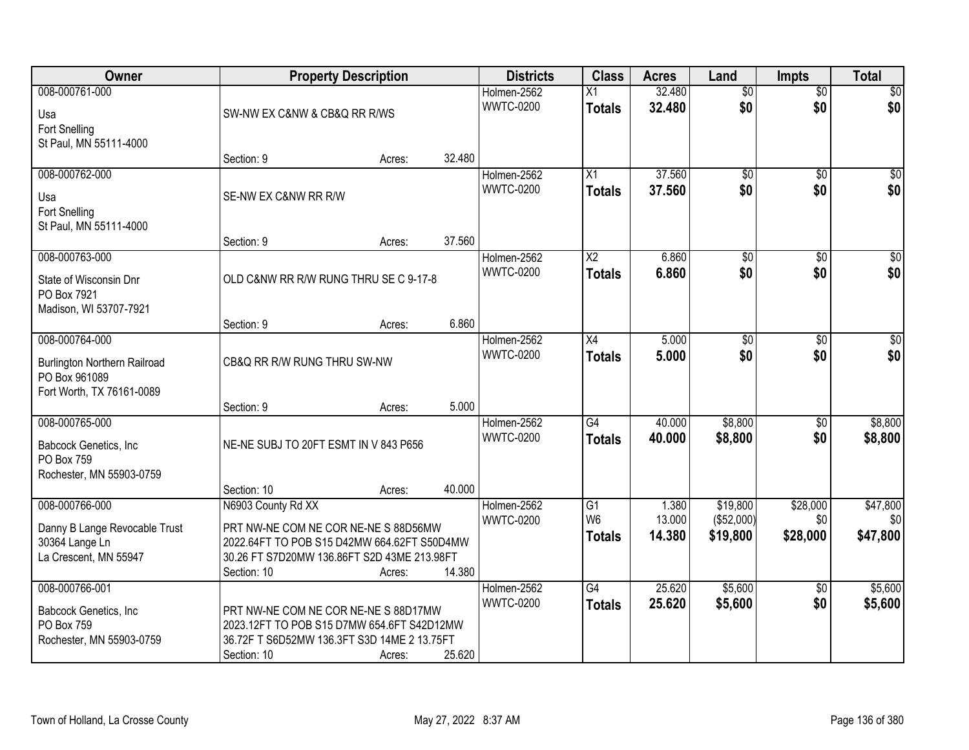| Owner                                                                                               |                                                                                                                                                   | <b>Property Description</b> |        | <b>Districts</b>                | <b>Class</b>                            | <b>Acres</b>     | Land                   | <b>Impts</b>           | <b>Total</b>           |
|-----------------------------------------------------------------------------------------------------|---------------------------------------------------------------------------------------------------------------------------------------------------|-----------------------------|--------|---------------------------------|-----------------------------------------|------------------|------------------------|------------------------|------------------------|
| 008-000761-000<br>Usa<br>Fort Snelling                                                              | SW-NW EX C&NW & CB&Q RR R/WS                                                                                                                      |                             |        | Holmen-2562<br><b>WWTC-0200</b> | $\overline{X1}$<br><b>Totals</b>        | 32.480<br>32.480 | $\overline{50}$<br>\$0 | $\overline{50}$<br>\$0 | $\sqrt{50}$<br>\$0     |
| St Paul, MN 55111-4000                                                                              | Section: 9                                                                                                                                        | Acres:                      | 32.480 |                                 |                                         |                  |                        |                        |                        |
| 008-000762-000<br>Usa<br><b>Fort Snelling</b><br>St Paul, MN 55111-4000                             | SE-NW EX C&NW RR R/W                                                                                                                              |                             |        | Holmen-2562<br><b>WWTC-0200</b> | $\overline{X1}$<br><b>Totals</b>        | 37.560<br>37.560 | $\overline{50}$<br>\$0 | $\overline{50}$<br>\$0 | $\sqrt{50}$<br>\$0     |
|                                                                                                     | Section: 9                                                                                                                                        | Acres:                      | 37.560 |                                 |                                         |                  |                        |                        |                        |
| 008-000763-000<br>State of Wisconsin Dnr<br>PO Box 7921<br>Madison, WI 53707-7921                   | OLD C&NW RR R/W RUNG THRU SE C 9-17-8                                                                                                             |                             |        | Holmen-2562<br><b>WWTC-0200</b> | $\overline{\text{X2}}$<br><b>Totals</b> | 6.860<br>6.860   | $\overline{50}$<br>\$0 | $\overline{50}$<br>\$0 | $\overline{30}$<br>\$0 |
|                                                                                                     | Section: 9                                                                                                                                        | Acres:                      | 6.860  |                                 |                                         |                  |                        |                        |                        |
| 008-000764-000<br><b>Burlington Northern Railroad</b><br>PO Box 961089<br>Fort Worth, TX 76161-0089 | CB&Q RR R/W RUNG THRU SW-NW                                                                                                                       |                             |        | Holmen-2562<br><b>WWTC-0200</b> | X4<br><b>Totals</b>                     | 5.000<br>5.000   | \$0<br>\$0             | \$0<br>\$0             | \$0<br>\$0             |
|                                                                                                     | Section: 9                                                                                                                                        | Acres:                      | 5.000  |                                 |                                         |                  |                        |                        |                        |
| 008-000765-000<br>Babcock Genetics, Inc<br>PO Box 759<br>Rochester, MN 55903-0759                   | NE-NE SUBJ TO 20FT ESMT IN V 843 P656                                                                                                             |                             |        | Holmen-2562<br><b>WWTC-0200</b> | G4<br><b>Totals</b>                     | 40.000<br>40.000 | \$8,800<br>\$8,800     | $\overline{50}$<br>\$0 | \$8,800<br>\$8,800     |
| 008-000766-000                                                                                      | Section: 10<br>N6903 County Rd XX                                                                                                                 | Acres:                      | 40.000 | Holmen-2562                     | $\overline{G1}$                         | 1.380            | \$19,800               | \$28,000               | \$47,800               |
| Danny B Lange Revocable Trust<br>30364 Lange Ln<br>La Crescent, MN 55947                            | PRT NW-NE COM NE COR NE-NE S 88D56MW<br>2022.64FT TO POB S15 D42MW 664.62FT S50D4MW<br>30.26 FT S7D20MW 136.86FT S2D 43ME 213.98FT<br>Section: 10 | Acres:                      | 14.380 | <b>WWTC-0200</b>                | W <sub>6</sub><br><b>Totals</b>         | 13.000<br>14.380 | (\$52,000)<br>\$19,800 | \$0<br>\$28,000        | \$0<br>\$47,800        |
| 008-000766-001<br>Babcock Genetics, Inc<br>PO Box 759<br>Rochester, MN 55903-0759                   | PRT NW-NE COM NE COR NE-NE S 88D17MW<br>2023.12FT TO POB S15 D7MW 654.6FT S42D12MW<br>36.72F T S6D52MW 136.3FT S3D 14ME 2 13.75FT<br>Section: 10  | Acres:                      | 25.620 | Holmen-2562<br><b>WWTC-0200</b> | $\overline{G4}$<br><b>Totals</b>        | 25.620<br>25.620 | \$5,600<br>\$5,600     | $\overline{30}$<br>\$0 | \$5,600<br>\$5,600     |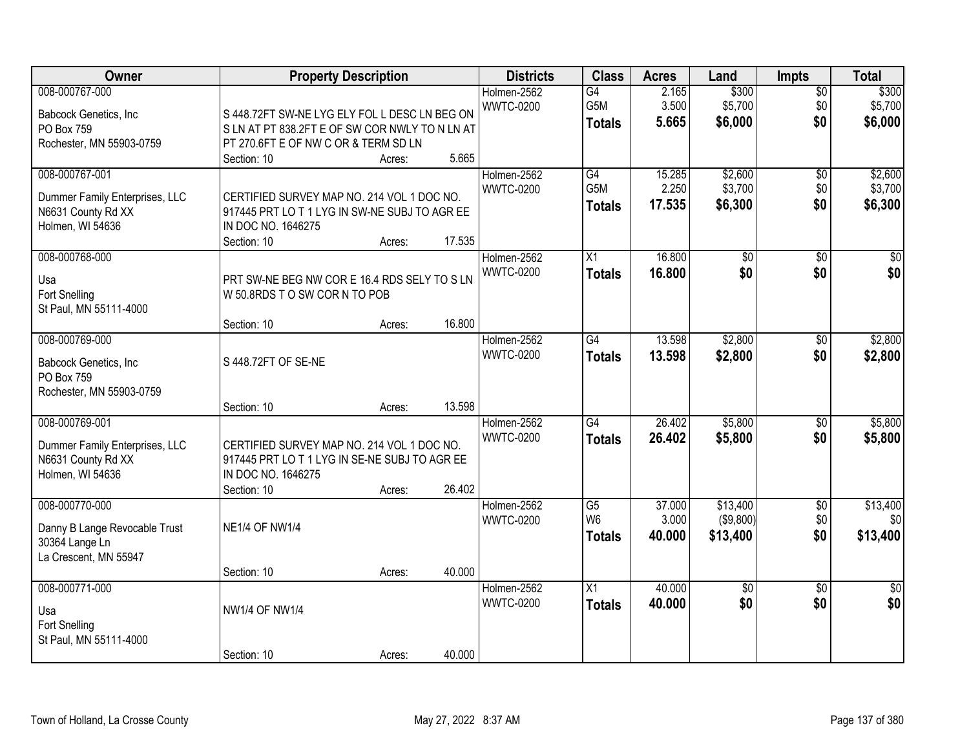| Owner                                                |                                               | <b>Property Description</b> |        | <b>Districts</b>                | <b>Class</b>    | <b>Acres</b>   | Land             | <b>Impts</b>           | <b>Total</b>     |
|------------------------------------------------------|-----------------------------------------------|-----------------------------|--------|---------------------------------|-----------------|----------------|------------------|------------------------|------------------|
| 008-000767-000<br>Babcock Genetics, Inc              | S 448.72FT SW-NE LYG ELY FOL L DESC LN BEG ON |                             |        | Holmen-2562<br><b>WWTC-0200</b> | G4<br>G5M       | 2.165<br>3.500 | \$300<br>\$5,700 | $\overline{50}$<br>\$0 | \$300<br>\$5,700 |
| PO Box 759                                           | SLN AT PT 838.2FT E OF SW COR NWLY TO N LN AT |                             |        |                                 | <b>Totals</b>   | 5.665          | \$6,000          | \$0                    | \$6,000          |
| Rochester, MN 55903-0759                             | PT 270.6FT E OF NW C OR & TERM SD LN          |                             |        |                                 |                 |                |                  |                        |                  |
|                                                      | Section: 10                                   | Acres:                      | 5.665  |                                 |                 |                |                  |                        |                  |
| 008-000767-001                                       |                                               |                             |        | Holmen-2562                     | G4              | 15.285         | \$2,600          | $\overline{50}$        | \$2,600          |
| Dummer Family Enterprises, LLC                       | CERTIFIED SURVEY MAP NO. 214 VOL 1 DOC NO.    |                             |        | <b>WWTC-0200</b>                | G5M             | 2.250          | \$3,700          | \$0                    | \$3,700          |
| N6631 County Rd XX                                   | 917445 PRT LOT 1 LYG IN SW-NE SUBJ TO AGR EE  |                             |        |                                 | <b>Totals</b>   | 17.535         | \$6,300          | \$0                    | \$6,300          |
| Holmen, WI 54636                                     | IN DOC NO. 1646275                            |                             |        |                                 |                 |                |                  |                        |                  |
|                                                      | Section: 10                                   | Acres:                      | 17.535 |                                 |                 |                |                  |                        |                  |
| 008-000768-000                                       |                                               |                             |        | Holmen-2562                     | $\overline{X1}$ | 16.800         | $\overline{50}$  | $\overline{50}$        | $\overline{30}$  |
| Usa                                                  | PRT SW-NE BEG NW COR E 16.4 RDS SELY TO S LN  |                             |        | <b>WWTC-0200</b>                | <b>Totals</b>   | 16.800         | \$0              | \$0                    | \$0              |
| <b>Fort Snelling</b>                                 | W 50.8RDS TO SW CORN TO POB                   |                             |        |                                 |                 |                |                  |                        |                  |
| St Paul, MN 55111-4000                               |                                               |                             |        |                                 |                 |                |                  |                        |                  |
|                                                      | Section: 10                                   | Acres:                      | 16.800 |                                 |                 |                |                  |                        |                  |
| 008-000769-000                                       |                                               |                             |        | Holmen-2562                     | $\overline{G4}$ | 13.598         | \$2,800          | \$0                    | \$2,800          |
| Babcock Genetics, Inc                                | S 448.72FT OF SE-NE                           |                             |        | <b>WWTC-0200</b>                | <b>Totals</b>   | 13.598         | \$2,800          | \$0                    | \$2,800          |
| PO Box 759                                           |                                               |                             |        |                                 |                 |                |                  |                        |                  |
| Rochester, MN 55903-0759                             |                                               |                             |        |                                 |                 |                |                  |                        |                  |
|                                                      | Section: 10                                   | Acres:                      | 13.598 |                                 |                 |                |                  |                        |                  |
| 008-000769-001                                       |                                               |                             |        | Holmen-2562                     | $\overline{G4}$ | 26.402         | \$5,800          | $\overline{30}$        | \$5,800          |
|                                                      | CERTIFIED SURVEY MAP NO. 214 VOL 1 DOC NO.    |                             |        | <b>WWTC-0200</b>                | <b>Totals</b>   | 26.402         | \$5,800          | \$0                    | \$5,800          |
| Dummer Family Enterprises, LLC<br>N6631 County Rd XX | 917445 PRT LOT 1 LYG IN SE-NE SUBJ TO AGR EE  |                             |        |                                 |                 |                |                  |                        |                  |
| Holmen, WI 54636                                     | IN DOC NO. 1646275                            |                             |        |                                 |                 |                |                  |                        |                  |
|                                                      | Section: 10                                   | Acres:                      | 26.402 |                                 |                 |                |                  |                        |                  |
| 008-000770-000                                       |                                               |                             |        | Holmen-2562                     | $\overline{G5}$ | 37.000         | \$13,400         | $\overline{50}$        | \$13,400         |
|                                                      | <b>NE1/4 OF NW1/4</b>                         |                             |        | <b>WWTC-0200</b>                | W <sub>6</sub>  | 3.000          | (\$9,800)        | \$0                    | \$0              |
| Danny B Lange Revocable Trust<br>30364 Lange Ln      |                                               |                             |        |                                 | <b>Totals</b>   | 40.000         | \$13,400         | \$0                    | \$13,400         |
| La Crescent, MN 55947                                |                                               |                             |        |                                 |                 |                |                  |                        |                  |
|                                                      | Section: 10                                   | Acres:                      | 40.000 |                                 |                 |                |                  |                        |                  |
| 008-000771-000                                       |                                               |                             |        | Holmen-2562                     | $\overline{X1}$ | 40.000         | $\overline{60}$  | $\overline{50}$        | $\frac{1}{2}$    |
|                                                      | <b>NW1/4 OF NW1/4</b>                         |                             |        | <b>WWTC-0200</b>                | <b>Totals</b>   | 40.000         | \$0              | \$0                    | \$0              |
| Usa<br><b>Fort Snelling</b>                          |                                               |                             |        |                                 |                 |                |                  |                        |                  |
| St Paul, MN 55111-4000                               |                                               |                             |        |                                 |                 |                |                  |                        |                  |
|                                                      | Section: 10                                   | Acres:                      | 40.000 |                                 |                 |                |                  |                        |                  |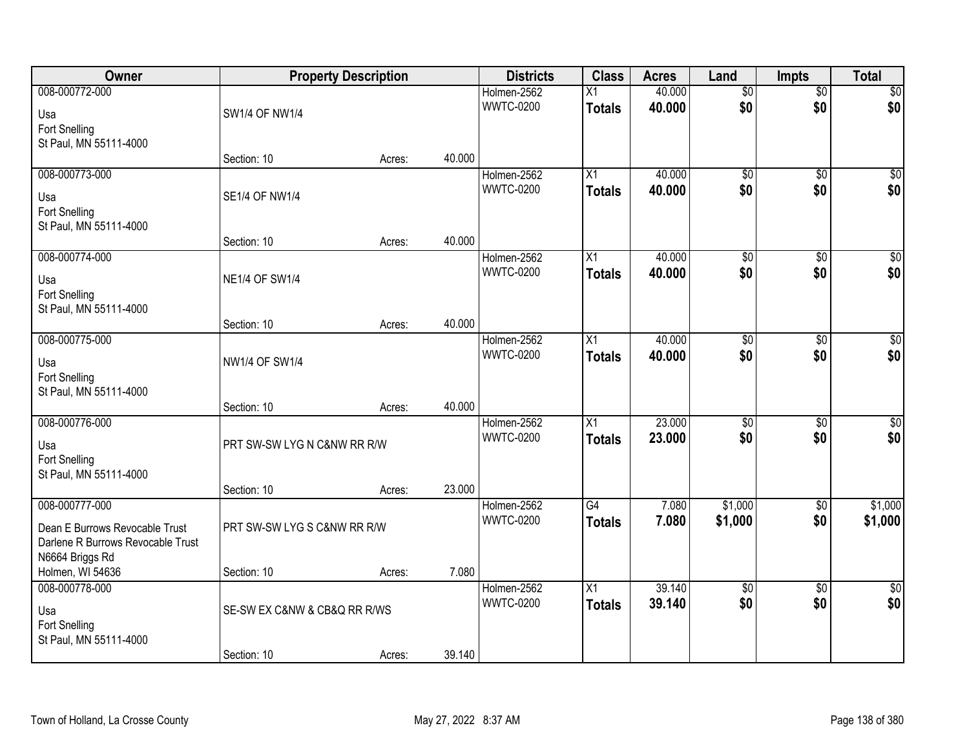| <b>Owner</b>                                                                           |                              | <b>Property Description</b> |        | <b>Districts</b>                | <b>Class</b>                     | <b>Acres</b>     | Land                   | <b>Impts</b>           | <b>Total</b>            |
|----------------------------------------------------------------------------------------|------------------------------|-----------------------------|--------|---------------------------------|----------------------------------|------------------|------------------------|------------------------|-------------------------|
| 008-000772-000<br>Usa<br>Fort Snelling                                                 | <b>SW1/4 OF NW1/4</b>        |                             |        | Holmen-2562<br><b>WWTC-0200</b> | $\overline{X1}$<br><b>Totals</b> | 40.000<br>40.000 | $\overline{50}$<br>\$0 | $\overline{50}$<br>\$0 | \$0<br>\$0              |
| St Paul, MN 55111-4000                                                                 | Section: 10                  | Acres:                      | 40.000 |                                 |                                  |                  |                        |                        |                         |
| 008-000773-000<br>Usa<br>Fort Snelling                                                 | <b>SE1/4 OF NW1/4</b>        |                             |        | Holmen-2562<br><b>WWTC-0200</b> | $\overline{X1}$<br><b>Totals</b> | 40.000<br>40.000 | $\overline{50}$<br>\$0 | $\overline{50}$<br>\$0 | $\sqrt{50}$<br>\$0      |
| St Paul, MN 55111-4000                                                                 | Section: 10                  | Acres:                      | 40.000 |                                 |                                  |                  |                        |                        |                         |
| 008-000774-000<br>Usa<br>Fort Snelling<br>St Paul, MN 55111-4000                       | <b>NE1/4 OF SW1/4</b>        |                             |        | Holmen-2562<br><b>WWTC-0200</b> | X1<br><b>Totals</b>              | 40.000<br>40.000 | $\overline{50}$<br>\$0 | $\overline{60}$<br>\$0 | $\overline{\$0}$<br>\$0 |
|                                                                                        | Section: 10                  | Acres:                      | 40.000 |                                 |                                  |                  |                        |                        |                         |
| 008-000775-000<br>Usa<br>Fort Snelling<br>St Paul, MN 55111-4000                       | NW1/4 OF SW1/4               |                             |        | Holmen-2562<br><b>WWTC-0200</b> | X1<br><b>Totals</b>              | 40.000<br>40.000 | $\overline{50}$<br>\$0 | \$0<br>\$0             | $\sqrt{50}$<br>\$0      |
|                                                                                        | Section: 10                  | Acres:                      | 40.000 |                                 |                                  |                  |                        |                        |                         |
| 008-000776-000<br>Usa<br>Fort Snelling<br>St Paul, MN 55111-4000                       | PRT SW-SW LYG N C&NW RR R/W  |                             |        | Holmen-2562<br><b>WWTC-0200</b> | $\overline{X1}$<br><b>Totals</b> | 23.000<br>23,000 | $\overline{50}$<br>\$0 | $\overline{50}$<br>\$0 | $\sqrt{50}$<br>\$0      |
| 008-000777-000                                                                         | Section: 10                  | Acres:                      | 23.000 | Holmen-2562                     | $\overline{G4}$                  | 7.080            | \$1,000                | \$0                    | \$1,000                 |
| Dean E Burrows Revocable Trust<br>Darlene R Burrows Revocable Trust<br>N6664 Briggs Rd | PRT SW-SW LYG S C&NW RR R/W  |                             |        | <b>WWTC-0200</b>                | <b>Totals</b>                    | 7.080            | \$1,000                | \$0                    | \$1,000                 |
| Holmen, WI 54636                                                                       | Section: 10                  | Acres:                      | 7.080  |                                 |                                  |                  |                        |                        |                         |
| 008-000778-000<br>Usa<br>Fort Snelling<br>St Paul, MN 55111-4000                       | SE-SW EX C&NW & CB&Q RR R/WS |                             |        | Holmen-2562<br><b>WWTC-0200</b> | $\overline{X1}$<br><b>Totals</b> | 39.140<br>39.140 | $\overline{50}$<br>\$0 | $\overline{60}$<br>\$0 | \$0<br>\$0              |
|                                                                                        | Section: 10                  | Acres:                      | 39.140 |                                 |                                  |                  |                        |                        |                         |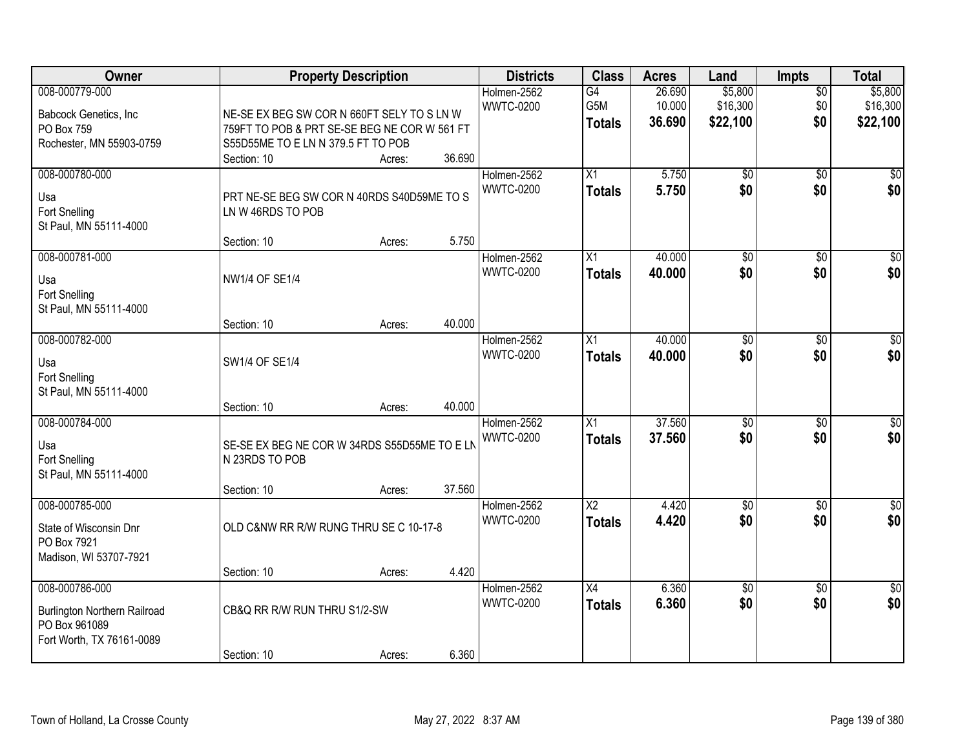| Owner                                                                                               |                                                                                                                                                 | <b>Property Description</b> |                 | <b>Districts</b>                | <b>Class</b>                            | <b>Acres</b>               | Land                            | <b>Impts</b>                  | <b>Total</b>                    |
|-----------------------------------------------------------------------------------------------------|-------------------------------------------------------------------------------------------------------------------------------------------------|-----------------------------|-----------------|---------------------------------|-----------------------------------------|----------------------------|---------------------------------|-------------------------------|---------------------------------|
| 008-000779-000<br>Babcock Genetics, Inc<br>PO Box 759<br>Rochester, MN 55903-0759                   | NE-SE EX BEG SW COR N 660FT SELY TO S LN W<br>759FT TO POB & PRT SE-SE BEG NE COR W 561 FT<br>S55D55ME TO E LN N 379.5 FT TO POB<br>Section: 10 | Acres:                      | 36.690          | Holmen-2562<br><b>WWTC-0200</b> | G4<br>G5M<br><b>Totals</b>              | 26.690<br>10.000<br>36.690 | \$5,800<br>\$16,300<br>\$22,100 | $\overline{50}$<br>\$0<br>\$0 | \$5,800<br>\$16,300<br>\$22,100 |
| 008-000780-000<br>Usa<br><b>Fort Snelling</b><br>St Paul, MN 55111-4000                             | PRT NE-SE BEG SW COR N 40RDS S40D59ME TO S<br>LN W 46RDS TO POB                                                                                 |                             |                 | Holmen-2562<br><b>WWTC-0200</b> | X1<br><b>Totals</b>                     | 5.750<br>5.750             | $\overline{50}$<br>\$0          | $\overline{50}$<br>\$0        | \$0<br>\$0                      |
| 008-000781-000<br>Usa<br><b>Fort Snelling</b><br>St Paul, MN 55111-4000                             | Section: 10<br><b>NW1/4 OF SE1/4</b><br>Section: 10                                                                                             | Acres:<br>Acres:            | 5.750<br>40.000 | Holmen-2562<br><b>WWTC-0200</b> | X1<br><b>Totals</b>                     | 40.000<br>40.000           | $\overline{50}$<br>\$0          | \$0<br>\$0                    | $\overline{\$0}$<br>\$0         |
| 008-000782-000<br>Usa<br>Fort Snelling<br>St Paul, MN 55111-4000                                    | SW1/4 OF SE1/4<br>Section: 10                                                                                                                   | Acres:                      | 40.000          | Holmen-2562<br><b>WWTC-0200</b> | X1<br><b>Totals</b>                     | 40.000<br>40.000           | \$0<br>\$0                      | $\overline{30}$<br>\$0        | $\sqrt{50}$<br>\$0              |
| 008-000784-000<br>Usa<br>Fort Snelling<br>St Paul, MN 55111-4000                                    | SE-SE EX BEG NE COR W 34RDS S55D55ME TO E LN<br>N 23RDS TO POB<br>Section: 10                                                                   | Acres:                      | 37.560          | Holmen-2562<br><b>WWTC-0200</b> | X1<br><b>Totals</b>                     | 37.560<br>37,560           | $\overline{50}$<br>\$0          | $\overline{50}$<br>\$0        | $\sqrt{50}$<br>\$0              |
| 008-000785-000<br>State of Wisconsin Dnr<br>PO Box 7921<br>Madison, WI 53707-7921                   | OLD C&NW RR R/W RUNG THRU SE C 10-17-8<br>Section: 10                                                                                           | Acres:                      | 4.420           | Holmen-2562<br><b>WWTC-0200</b> | $\overline{\text{X2}}$<br><b>Totals</b> | 4.420<br>4.420             | $\sqrt{$0}$<br>\$0              | \$0<br>\$0                    | $\sqrt{30}$<br>\$0              |
| 008-000786-000<br><b>Burlington Northern Railroad</b><br>PO Box 961089<br>Fort Worth, TX 76161-0089 | CB&Q RR R/W RUN THRU S1/2-SW<br>Section: 10                                                                                                     | Acres:                      | 6.360           | Holmen-2562<br><b>WWTC-0200</b> | $\overline{X4}$<br><b>Totals</b>        | 6.360<br>6.360             | $\overline{50}$<br>\$0          | $\overline{50}$<br>\$0        | $\overline{50}$<br>\$0          |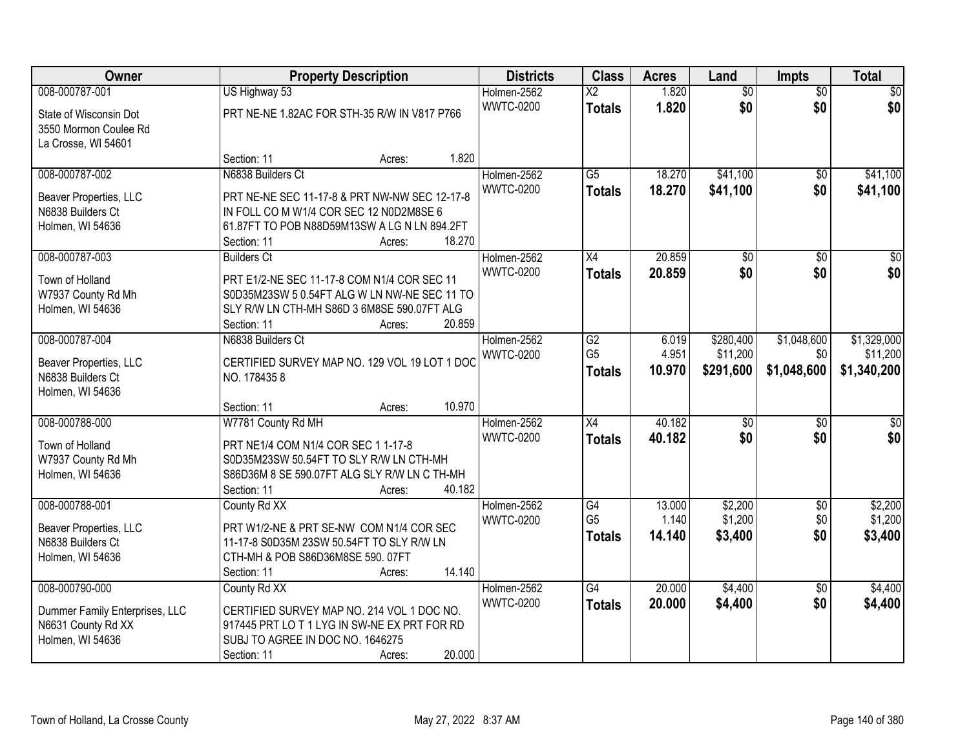| Owner                                                                  |                                                                    | <b>Property Description</b> |        | <b>Districts</b>                | <b>Class</b>                     | <b>Acres</b>     | Land                 | <b>Impts</b>    | <b>Total</b>         |
|------------------------------------------------------------------------|--------------------------------------------------------------------|-----------------------------|--------|---------------------------------|----------------------------------|------------------|----------------------|-----------------|----------------------|
| 008-000787-001                                                         | US Highway 53                                                      |                             |        | Holmen-2562                     | $\overline{\text{X2}}$           | 1.820            | $\overline{50}$      | $\overline{50}$ | \$0                  |
| State of Wisconsin Dot<br>3550 Mormon Coulee Rd<br>La Crosse, WI 54601 | PRT NE-NE 1.82AC FOR STH-35 R/W IN V817 P766                       |                             |        | <b>WWTC-0200</b>                | <b>Totals</b>                    | 1.820            | \$0                  | \$0             | \$0                  |
|                                                                        | Section: 11                                                        | Acres:                      | 1.820  |                                 |                                  |                  |                      |                 |                      |
| 008-000787-002<br>Beaver Properties, LLC                               | N6838 Builders Ct<br>PRT NE-NE SEC 11-17-8 & PRT NW-NW SEC 12-17-8 |                             |        | Holmen-2562<br><b>WWTC-0200</b> | $\overline{G5}$<br><b>Totals</b> | 18.270<br>18.270 | \$41,100<br>\$41,100 | \$0<br>\$0      | \$41,100<br>\$41,100 |
| N6838 Builders Ct                                                      | IN FOLL CO M W1/4 COR SEC 12 N0D2M8SE 6                            |                             |        |                                 |                                  |                  |                      |                 |                      |
| Holmen, WI 54636                                                       | 61.87FT TO POB N88D59M13SW A LG N LN 894.2FT                       |                             |        |                                 |                                  |                  |                      |                 |                      |
|                                                                        | Section: 11                                                        | Acres:                      | 18.270 |                                 |                                  |                  |                      |                 |                      |
| 008-000787-003                                                         | <b>Builders Ct</b>                                                 |                             |        | Holmen-2562                     | X4                               | 20.859           | $\overline{50}$      | \$0             | $\overline{30}$      |
| Town of Holland                                                        | PRT E1/2-NE SEC 11-17-8 COM N1/4 COR SEC 11                        |                             |        | <b>WWTC-0200</b>                | <b>Totals</b>                    | 20.859           | \$0                  | \$0             | \$0                  |
| W7937 County Rd Mh                                                     | S0D35M23SW 5 0.54FT ALG W LN NW-NE SEC 11 TO                       |                             |        |                                 |                                  |                  |                      |                 |                      |
| Holmen, WI 54636                                                       | SLY R/W LN CTH-MH S86D 3 6M8SE 590.07FT ALG                        |                             |        |                                 |                                  |                  |                      |                 |                      |
|                                                                        | Section: 11                                                        | Acres:                      | 20.859 |                                 |                                  |                  |                      |                 |                      |
| 008-000787-004                                                         | N6838 Builders Ct                                                  |                             |        | Holmen-2562                     | $\overline{G2}$                  | 6.019            | \$280,400            | \$1,048,600     | \$1,329,000          |
| Beaver Properties, LLC                                                 | CERTIFIED SURVEY MAP NO. 129 VOL 19 LOT 1 DOC                      |                             |        | <b>WWTC-0200</b>                | G <sub>5</sub>                   | 4.951            | \$11,200             | \$0             | \$11,200             |
| N6838 Builders Ct                                                      | NO. 1784358                                                        |                             |        |                                 | <b>Totals</b>                    | 10.970           | \$291,600            | \$1,048,600     | \$1,340,200          |
| Holmen, WI 54636                                                       |                                                                    |                             |        |                                 |                                  |                  |                      |                 |                      |
|                                                                        | Section: 11                                                        | Acres:                      | 10.970 |                                 |                                  |                  |                      |                 |                      |
| 008-000788-000                                                         | W7781 County Rd MH                                                 |                             |        | Holmen-2562                     | $\overline{X4}$                  | 40.182           | $\overline{50}$      | $\overline{50}$ | $\overline{50}$      |
| Town of Holland                                                        | PRT NE1/4 COM N1/4 COR SEC 1 1-17-8                                |                             |        | <b>WWTC-0200</b>                | <b>Totals</b>                    | 40.182           | \$0                  | \$0             | \$0                  |
| W7937 County Rd Mh                                                     | S0D35M23SW 50.54FT TO SLY R/W LN CTH-MH                            |                             |        |                                 |                                  |                  |                      |                 |                      |
| Holmen, WI 54636                                                       | S86D36M 8 SE 590.07FT ALG SLY R/W LN C TH-MH                       |                             |        |                                 |                                  |                  |                      |                 |                      |
|                                                                        | Section: 11                                                        | Acres:                      | 40.182 |                                 |                                  |                  |                      |                 |                      |
| 008-000788-001                                                         | County Rd XX                                                       |                             |        | Holmen-2562                     | G4                               | 13.000           | \$2,200              | $\sqrt{6}$      | \$2,200              |
| Beaver Properties, LLC                                                 | PRT W1/2-NE & PRT SE-NW COM N1/4 COR SEC                           |                             |        | <b>WWTC-0200</b>                | G <sub>5</sub>                   | 1.140            | \$1,200              | \$0             | \$1,200              |
| N6838 Builders Ct                                                      | 11-17-8 S0D35M 23SW 50.54FT TO SLY R/W LN                          |                             |        |                                 | <b>Totals</b>                    | 14.140           | \$3,400              | \$0             | \$3,400              |
| Holmen, WI 54636                                                       | CTH-MH & POB S86D36M8SE 590.07FT                                   |                             |        |                                 |                                  |                  |                      |                 |                      |
|                                                                        | Section: 11                                                        | Acres:                      | 14.140 |                                 |                                  |                  |                      |                 |                      |
| 008-000790-000                                                         | County Rd XX                                                       |                             |        | Holmen-2562                     | G4                               | 20.000           | \$4,400              | $\overline{30}$ | \$4,400              |
| Dummer Family Enterprises, LLC                                         | CERTIFIED SURVEY MAP NO. 214 VOL 1 DOC NO.                         |                             |        | <b>WWTC-0200</b>                | <b>Totals</b>                    | 20.000           | \$4,400              | \$0             | \$4,400              |
| N6631 County Rd XX                                                     | 917445 PRT LO T 1 LYG IN SW-NE EX PRT FOR RD                       |                             |        |                                 |                                  |                  |                      |                 |                      |
| Holmen, WI 54636                                                       | SUBJ TO AGREE IN DOC NO. 1646275                                   |                             |        |                                 |                                  |                  |                      |                 |                      |
|                                                                        | Section: 11                                                        | Acres:                      | 20.000 |                                 |                                  |                  |                      |                 |                      |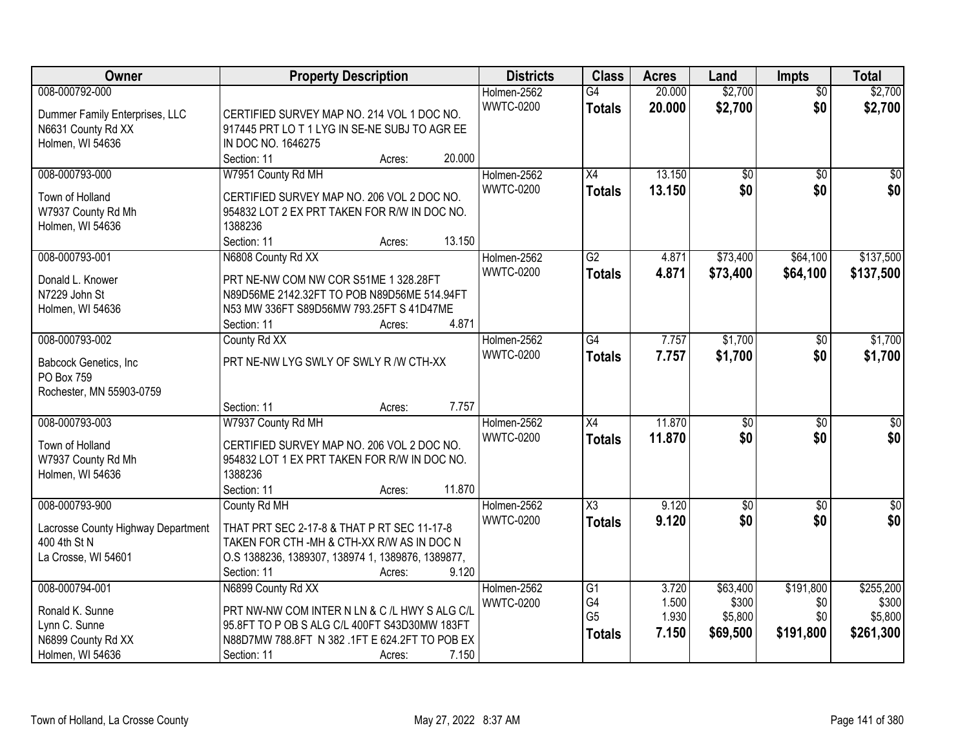| Owner                                  | <b>Property Description</b>                                                          | <b>Districts</b> | <b>Class</b>           | <b>Acres</b> | Land            | <b>Impts</b>    | <b>Total</b>     |
|----------------------------------------|--------------------------------------------------------------------------------------|------------------|------------------------|--------------|-----------------|-----------------|------------------|
| 008-000792-000                         |                                                                                      | Holmen-2562      | G4                     | 20.000       | \$2,700         | $\overline{50}$ | \$2,700          |
| Dummer Family Enterprises, LLC         | CERTIFIED SURVEY MAP NO. 214 VOL 1 DOC NO.                                           | <b>WWTC-0200</b> | <b>Totals</b>          | 20.000       | \$2,700         | \$0             | \$2,700          |
| N6631 County Rd XX                     | 917445 PRT LOT 1 LYG IN SE-NE SUBJ TO AGR EE                                         |                  |                        |              |                 |                 |                  |
| Holmen, WI 54636                       | IN DOC NO. 1646275                                                                   |                  |                        |              |                 |                 |                  |
|                                        | 20.000<br>Section: 11<br>Acres:                                                      |                  |                        |              |                 |                 |                  |
| 008-000793-000                         | W7951 County Rd MH                                                                   | Holmen-2562      | $\overline{X4}$        | 13.150       | $\overline{50}$ | $\overline{50}$ | $\sqrt{50}$      |
| Town of Holland                        | CERTIFIED SURVEY MAP NO. 206 VOL 2 DOC NO.                                           | <b>WWTC-0200</b> | <b>Totals</b>          | 13.150       | \$0             | \$0             | \$0              |
| W7937 County Rd Mh                     | 954832 LOT 2 EX PRT TAKEN FOR R/W IN DOC NO.                                         |                  |                        |              |                 |                 |                  |
| Holmen, WI 54636                       | 1388236                                                                              |                  |                        |              |                 |                 |                  |
|                                        | 13.150<br>Section: 11<br>Acres:                                                      |                  |                        |              |                 |                 |                  |
| 008-000793-001                         | N6808 County Rd XX                                                                   | Holmen-2562      | G2                     | 4.871        | \$73,400        | \$64,100        | \$137,500        |
|                                        |                                                                                      | <b>WWTC-0200</b> | <b>Totals</b>          | 4.871        | \$73,400        | \$64,100        | \$137,500        |
| Donald L. Knower                       | PRT NE-NW COM NW COR S51ME 1 328.28FT<br>N89D56ME 2142.32FT TO POB N89D56ME 514.94FT |                  |                        |              |                 |                 |                  |
| N7229 John St<br>Holmen, WI 54636      | N53 MW 336FT S89D56MW 793.25FT S 41D47ME                                             |                  |                        |              |                 |                 |                  |
|                                        | 4.871<br>Section: 11<br>Acres:                                                       |                  |                        |              |                 |                 |                  |
| 008-000793-002                         | County Rd XX                                                                         | Holmen-2562      | $\overline{G4}$        | 7.757        | \$1,700         | \$0             | \$1,700          |
|                                        |                                                                                      | <b>WWTC-0200</b> | <b>Totals</b>          | 7.757        | \$1,700         | \$0             | \$1,700          |
| Babcock Genetics, Inc.                 | PRT NE-NW LYG SWLY OF SWLY R /W CTH-XX                                               |                  |                        |              |                 |                 |                  |
| PO Box 759                             |                                                                                      |                  |                        |              |                 |                 |                  |
| Rochester, MN 55903-0759               |                                                                                      |                  |                        |              |                 |                 |                  |
|                                        | 7.757<br>Section: 11<br>Acres:                                                       |                  |                        |              |                 |                 |                  |
| 008-000793-003                         | W7937 County Rd MH                                                                   | Holmen-2562      | $\overline{X4}$        | 11.870       | $\overline{50}$ | $\overline{30}$ | $\overline{\$0}$ |
| Town of Holland                        | CERTIFIED SURVEY MAP NO. 206 VOL 2 DOC NO.                                           | <b>WWTC-0200</b> | <b>Totals</b>          | 11.870       | \$0             | \$0             | \$0              |
| W7937 County Rd Mh                     | 954832 LOT 1 EX PRT TAKEN FOR R/W IN DOC NO.                                         |                  |                        |              |                 |                 |                  |
| Holmen, WI 54636                       | 1388236                                                                              |                  |                        |              |                 |                 |                  |
|                                        | 11.870<br>Section: 11<br>Acres:                                                      |                  |                        |              |                 |                 |                  |
| 008-000793-900                         | County Rd MH                                                                         | Holmen-2562      | $\overline{\text{X3}}$ | 9.120        | $\overline{60}$ | $\overline{50}$ | $\sqrt{50}$      |
| Lacrosse County Highway Department     | THAT PRT SEC 2-17-8 & THAT P RT SEC 11-17-8                                          | <b>WWTC-0200</b> | <b>Totals</b>          | 9.120        | \$0             | \$0             | \$0              |
| 400 4th St N                           | TAKEN FOR CTH - MH & CTH-XX R/W AS IN DOC N                                          |                  |                        |              |                 |                 |                  |
| La Crosse, WI 54601                    | O.S 1388236, 1389307, 138974 1, 1389876, 1389877,                                    |                  |                        |              |                 |                 |                  |
|                                        | Section: 11<br>9.120<br>Acres:                                                       |                  |                        |              |                 |                 |                  |
| 008-000794-001                         | N6899 County Rd XX                                                                   | Holmen-2562      | $\overline{G1}$        | 3.720        | \$63,400        | \$191,800       | \$255,200        |
|                                        |                                                                                      | <b>WWTC-0200</b> | G4                     | 1.500        | \$300           | \$0             | \$300            |
| Ronald K. Sunne                        | PRT NW-NW COM INTER N LN & C /L HWY S ALG C/L                                        |                  | G <sub>5</sub>         | 1.930        | \$5,800         | \$0             | \$5,800          |
| Lynn C. Sunne                          | 95.8FT TO P OB S ALG C/L 400FT S43D30MW 183FT                                        |                  | <b>Totals</b>          | 7.150        | \$69,500        | \$191,800       | \$261,300        |
| N6899 County Rd XX<br>Holmen, WI 54636 | N88D7MW 788.8FT N 382 .1FT E 624.2FT TO POB EX<br>7.150                              |                  |                        |              |                 |                 |                  |
|                                        | Section: 11<br>Acres:                                                                |                  |                        |              |                 |                 |                  |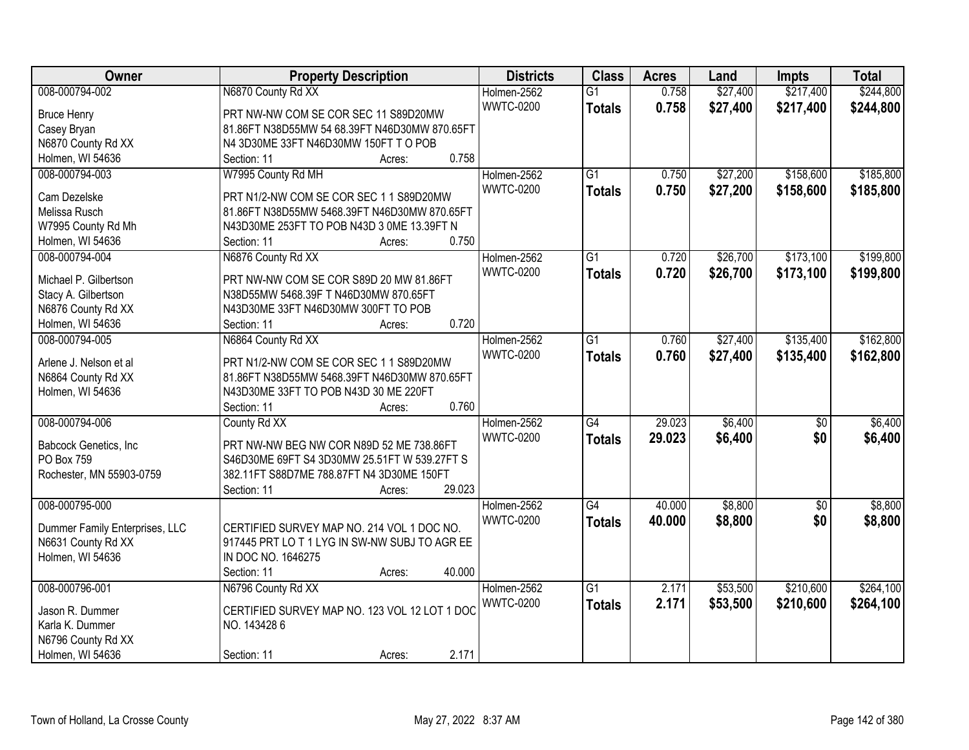| Owner                          | <b>Property Description</b>                   | <b>Districts</b> | <b>Class</b>    | <b>Acres</b> | Land     | <b>Impts</b>    | <b>Total</b> |
|--------------------------------|-----------------------------------------------|------------------|-----------------|--------------|----------|-----------------|--------------|
| 008-000794-002                 | N6870 County Rd XX                            | Holmen-2562      | $\overline{G1}$ | 0.758        | \$27,400 | \$217,400       | \$244,800    |
| <b>Bruce Henry</b>             | PRT NW-NW COM SE COR SEC 11 S89D20MW          | <b>WWTC-0200</b> | <b>Totals</b>   | 0.758        | \$27,400 | \$217,400       | \$244,800    |
| Casey Bryan                    | 81.86FT N38D55MW 54 68.39FT N46D30MW 870.65FT |                  |                 |              |          |                 |              |
| N6870 County Rd XX             | N4 3D30ME 33FT N46D30MW 150FT T O POB         |                  |                 |              |          |                 |              |
| Holmen, WI 54636               | 0.758<br>Section: 11<br>Acres:                |                  |                 |              |          |                 |              |
| 008-000794-003                 | W7995 County Rd MH                            | Holmen-2562      | $\overline{G1}$ | 0.750        | \$27,200 | \$158,600       | \$185,800    |
|                                |                                               | <b>WWTC-0200</b> | <b>Totals</b>   | 0.750        | \$27,200 | \$158,600       | \$185,800    |
| Cam Dezelske                   | PRT N1/2-NW COM SE COR SEC 1 1 S89D20MW       |                  |                 |              |          |                 |              |
| Melissa Rusch                  | 81.86FT N38D55MW 5468.39FT N46D30MW 870.65FT  |                  |                 |              |          |                 |              |
| W7995 County Rd Mh             | N43D30ME 253FT TO POB N43D 3 0ME 13.39FT N    |                  |                 |              |          |                 |              |
| Holmen, WI 54636               | 0.750<br>Section: 11<br>Acres:                |                  |                 |              |          |                 |              |
| 008-000794-004                 | N6876 County Rd XX                            | Holmen-2562      | G1              | 0.720        | \$26,700 | \$173,100       | \$199,800    |
| Michael P. Gilbertson          | PRT NW-NW COM SE COR S89D 20 MW 81.86FT       | <b>WWTC-0200</b> | <b>Totals</b>   | 0.720        | \$26,700 | \$173,100       | \$199,800    |
| Stacy A. Gilbertson            | N38D55MW 5468.39F T N46D30MW 870.65FT         |                  |                 |              |          |                 |              |
| N6876 County Rd XX             | N43D30ME 33FT N46D30MW 300FT TO POB           |                  |                 |              |          |                 |              |
| Holmen, WI 54636               | 0.720<br>Section: 11<br>Acres:                |                  |                 |              |          |                 |              |
| 008-000794-005                 | N6864 County Rd XX                            | Holmen-2562      | $\overline{G1}$ | 0.760        | \$27,400 | \$135,400       | \$162,800    |
|                                |                                               | <b>WWTC-0200</b> | <b>Totals</b>   | 0.760        | \$27,400 | \$135,400       | \$162,800    |
| Arlene J. Nelson et al         | PRT N1/2-NW COM SE COR SEC 1 1 S89D20MW       |                  |                 |              |          |                 |              |
| N6864 County Rd XX             | 81.86FT N38D55MW 5468.39FT N46D30MW 870.65FT  |                  |                 |              |          |                 |              |
| Holmen, WI 54636               | N43D30ME 33FT TO POB N43D 30 ME 220FT         |                  |                 |              |          |                 |              |
|                                | 0.760<br>Section: 11<br>Acres:                |                  |                 |              |          |                 |              |
| 008-000794-006                 | County Rd XX                                  | Holmen-2562      | $\overline{G4}$ | 29.023       | \$6,400  | $\overline{50}$ | \$6,400      |
| Babcock Genetics, Inc.         | PRT NW-NW BEG NW COR N89D 52 ME 738.86FT      | <b>WWTC-0200</b> | <b>Totals</b>   | 29.023       | \$6,400  | \$0             | \$6,400      |
| PO Box 759                     | S46D30ME 69FT S4 3D30MW 25.51FT W 539.27FT S  |                  |                 |              |          |                 |              |
| Rochester, MN 55903-0759       | 382.11FT S88D7ME 788.87FT N4 3D30ME 150FT     |                  |                 |              |          |                 |              |
|                                | 29.023<br>Section: 11<br>Acres:               |                  |                 |              |          |                 |              |
| 008-000795-000                 |                                               | Holmen-2562      | $\overline{G4}$ | 40.000       | \$8,800  | $\overline{50}$ | \$8,800      |
|                                |                                               | <b>WWTC-0200</b> |                 |              |          |                 |              |
| Dummer Family Enterprises, LLC | CERTIFIED SURVEY MAP NO. 214 VOL 1 DOC NO.    |                  | <b>Totals</b>   | 40.000       | \$8,800  | \$0             | \$8,800      |
| N6631 County Rd XX             | 917445 PRT LO T 1 LYG IN SW-NW SUBJ TO AGR EE |                  |                 |              |          |                 |              |
| Holmen, WI 54636               | IN DOC NO. 1646275                            |                  |                 |              |          |                 |              |
|                                | 40.000<br>Section: 11<br>Acres:               |                  |                 |              |          |                 |              |
| 008-000796-001                 | N6796 County Rd XX                            | Holmen-2562      | $\overline{G1}$ | 2.171        | \$53,500 | \$210,600       | \$264,100    |
| Jason R. Dummer                | CERTIFIED SURVEY MAP NO. 123 VOL 12 LOT 1 DOC | <b>WWTC-0200</b> | <b>Totals</b>   | 2.171        | \$53,500 | \$210,600       | \$264,100    |
| Karla K. Dummer                | NO. 1434286                                   |                  |                 |              |          |                 |              |
|                                |                                               |                  |                 |              |          |                 |              |
| N6796 County Rd XX             | 2.171                                         |                  |                 |              |          |                 |              |
| Holmen, WI 54636               | Section: 11<br>Acres:                         |                  |                 |              |          |                 |              |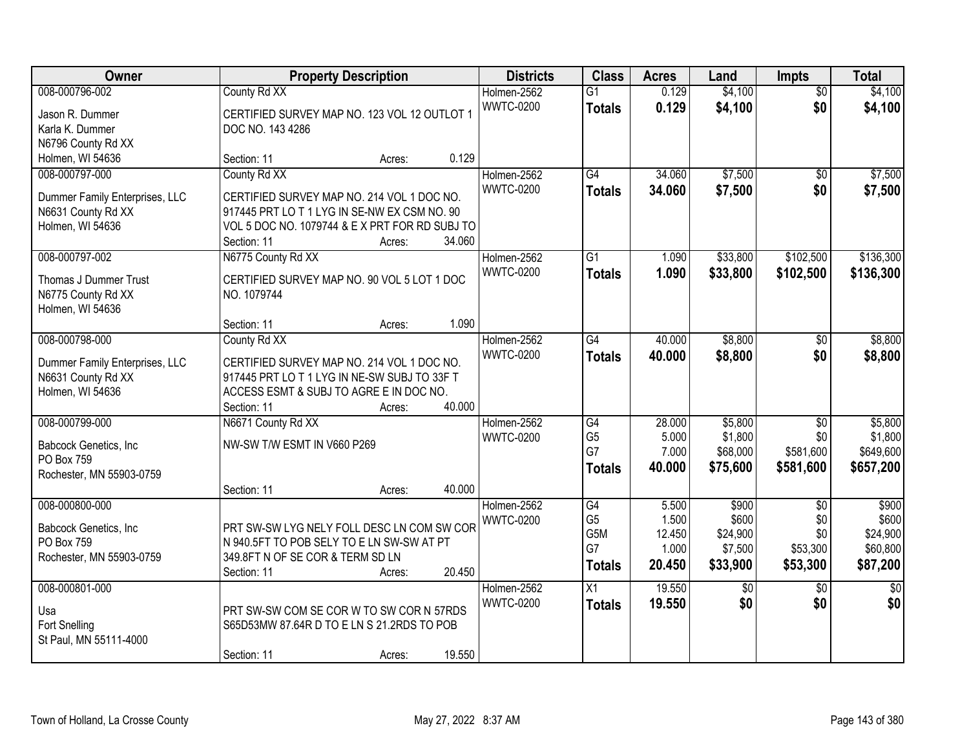| Owner                          |                                                | <b>Property Description</b> |        | <b>Districts</b> | <b>Class</b>     | <b>Acres</b> | Land     | Impts           | <b>Total</b>    |
|--------------------------------|------------------------------------------------|-----------------------------|--------|------------------|------------------|--------------|----------|-----------------|-----------------|
| 008-000796-002                 | County Rd XX                                   |                             |        | Holmen-2562      | $\overline{G1}$  | 0.129        | \$4,100  | $\overline{50}$ | \$4,100         |
| Jason R. Dummer                | CERTIFIED SURVEY MAP NO. 123 VOL 12 OUTLOT 1   |                             |        | <b>WWTC-0200</b> | <b>Totals</b>    | 0.129        | \$4,100  | \$0             | \$4,100         |
| Karla K. Dummer                | DOC NO. 143 4286                               |                             |        |                  |                  |              |          |                 |                 |
| N6796 County Rd XX             |                                                |                             |        |                  |                  |              |          |                 |                 |
| Holmen, WI 54636               | Section: 11                                    | Acres:                      | 0.129  |                  |                  |              |          |                 |                 |
| 008-000797-000                 | County Rd XX                                   |                             |        | Holmen-2562      | G4               | 34.060       | \$7,500  | $\overline{50}$ | \$7,500         |
|                                |                                                |                             |        | <b>WWTC-0200</b> | <b>Totals</b>    | 34.060       | \$7,500  | \$0             | \$7,500         |
| Dummer Family Enterprises, LLC | CERTIFIED SURVEY MAP NO. 214 VOL 1 DOC NO.     |                             |        |                  |                  |              |          |                 |                 |
| N6631 County Rd XX             | 917445 PRT LO T 1 LYG IN SE-NW EX CSM NO. 90   |                             |        |                  |                  |              |          |                 |                 |
| Holmen, WI 54636               | VOL 5 DOC NO. 1079744 & E X PRT FOR RD SUBJ TO |                             |        |                  |                  |              |          |                 |                 |
|                                | Section: 11                                    | Acres:                      | 34.060 |                  |                  |              |          |                 |                 |
| 008-000797-002                 | N6775 County Rd XX                             |                             |        | Holmen-2562      | $\overline{G1}$  | 1.090        | \$33,800 | \$102,500       | \$136,300       |
| Thomas J Dummer Trust          | CERTIFIED SURVEY MAP NO. 90 VOL 5 LOT 1 DOC    |                             |        | <b>WWTC-0200</b> | <b>Totals</b>    | 1.090        | \$33,800 | \$102,500       | \$136,300       |
| N6775 County Rd XX             | NO. 1079744                                    |                             |        |                  |                  |              |          |                 |                 |
| Holmen, WI 54636               |                                                |                             |        |                  |                  |              |          |                 |                 |
|                                | Section: 11                                    | Acres:                      | 1.090  |                  |                  |              |          |                 |                 |
| 008-000798-000                 | County Rd XX                                   |                             |        | Holmen-2562      | $\overline{G4}$  | 40.000       | \$8,800  | \$0             | \$8,800         |
|                                |                                                |                             |        | <b>WWTC-0200</b> | <b>Totals</b>    | 40.000       | \$8,800  | \$0             | \$8,800         |
| Dummer Family Enterprises, LLC | CERTIFIED SURVEY MAP NO. 214 VOL 1 DOC NO.     |                             |        |                  |                  |              |          |                 |                 |
| N6631 County Rd XX             | 917445 PRT LO T 1 LYG IN NE-SW SUBJ TO 33F T   |                             |        |                  |                  |              |          |                 |                 |
| Holmen, WI 54636               | ACCESS ESMT & SUBJ TO AGRE E IN DOC NO.        |                             |        |                  |                  |              |          |                 |                 |
|                                | Section: 11                                    | Acres:                      | 40.000 |                  |                  |              |          |                 |                 |
| 008-000799-000                 | N6671 County Rd XX                             |                             |        | Holmen-2562      | $\overline{G4}$  | 28.000       | \$5,800  | $\overline{30}$ | \$5,800         |
| Babcock Genetics, Inc          | NW-SW T/W ESMT IN V660 P269                    |                             |        | <b>WWTC-0200</b> | G <sub>5</sub>   | 5.000        | \$1,800  | \$0             | \$1,800         |
| PO Box 759                     |                                                |                             |        |                  | G7               | 7.000        | \$68,000 | \$581,600       | \$649,600       |
| Rochester, MN 55903-0759       |                                                |                             |        |                  | <b>Totals</b>    | 40.000       | \$75,600 | \$581,600       | \$657,200       |
|                                | Section: 11                                    | Acres:                      | 40.000 |                  |                  |              |          |                 |                 |
| 008-000800-000                 |                                                |                             |        | Holmen-2562      | G4               | 5.500        | \$900    | $\overline{50}$ | \$900           |
|                                |                                                |                             |        | <b>WWTC-0200</b> | G <sub>5</sub>   | 1.500        | \$600    | \$0             | \$600           |
| Babcock Genetics, Inc.         | PRT SW-SW LYG NELY FOLL DESC LN COM SW COR     |                             |        |                  | G <sub>5</sub> M | 12.450       | \$24,900 | \$0             | \$24,900        |
| PO Box 759                     | N 940.5FT TO POB SELY TO E LN SW-SW AT PT      |                             |        |                  | G7               | 1.000        | \$7,500  | \$53,300        | \$60,800        |
| Rochester, MN 55903-0759       | 349.8FT N OF SE COR & TERM SD LN               |                             |        |                  | <b>Totals</b>    | 20.450       | \$33,900 | \$53,300        | \$87,200        |
|                                | Section: 11                                    | Acres:                      | 20.450 |                  |                  |              |          |                 |                 |
| 008-000801-000                 |                                                |                             |        | Holmen-2562      | $\overline{X1}$  | 19.550       | \$0      | $\overline{50}$ | $\overline{50}$ |
| Usa                            | PRT SW-SW COM SE COR W TO SW COR N 57RDS       |                             |        | <b>WWTC-0200</b> | <b>Totals</b>    | 19.550       | \$0      | \$0             | \$0             |
| Fort Snelling                  | S65D53MW 87.64R D TO E LN S 21.2RDS TO POB     |                             |        |                  |                  |              |          |                 |                 |
| St Paul, MN 55111-4000         |                                                |                             |        |                  |                  |              |          |                 |                 |
|                                | Section: 11                                    | Acres:                      | 19.550 |                  |                  |              |          |                 |                 |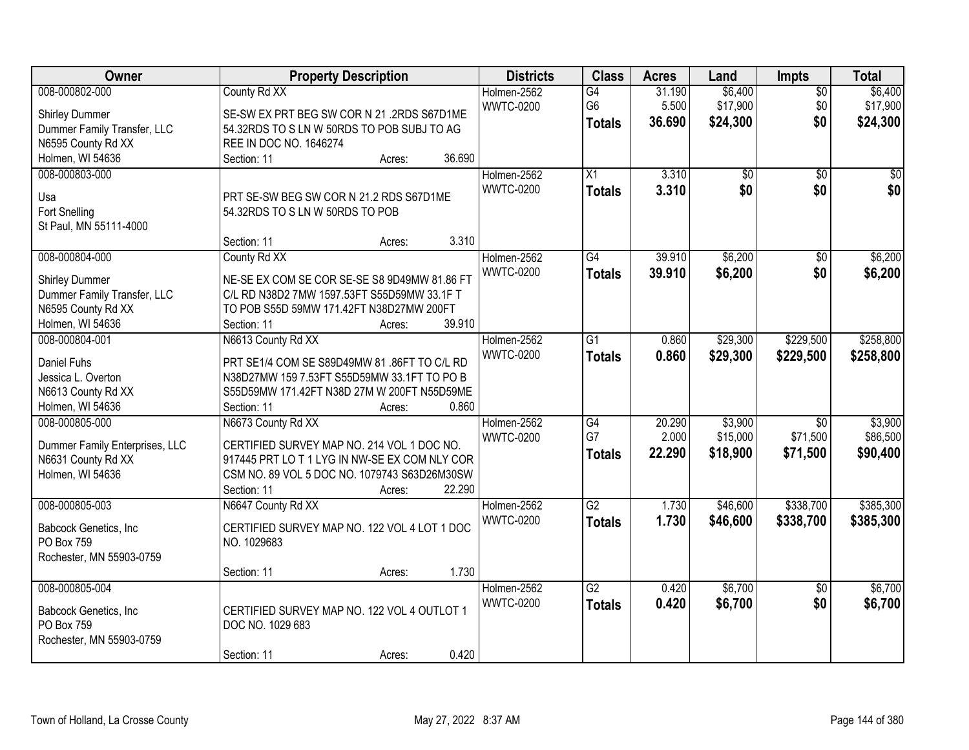| Owner                          | <b>Property Description</b>                  | <b>Districts</b> | <b>Class</b>    | <b>Acres</b> | Land            | Impts           | <b>Total</b>    |
|--------------------------------|----------------------------------------------|------------------|-----------------|--------------|-----------------|-----------------|-----------------|
| 008-000802-000                 | County Rd XX                                 | Holmen-2562      | $\overline{G4}$ | 31.190       | \$6,400         | $\overline{50}$ | \$6,400         |
| <b>Shirley Dummer</b>          | SE-SW EX PRT BEG SW COR N 21 .2RDS S67D1ME   | <b>WWTC-0200</b> | G <sub>6</sub>  | 5.500        | \$17,900        | \$0             | \$17,900        |
| Dummer Family Transfer, LLC    | 54.32RDS TO S LN W 50RDS TO POB SUBJ TO AG   |                  | <b>Totals</b>   | 36.690       | \$24,300        | \$0             | \$24,300        |
| N6595 County Rd XX             | REE IN DOC NO. 1646274                       |                  |                 |              |                 |                 |                 |
| Holmen, WI 54636               | 36.690<br>Section: 11<br>Acres:              |                  |                 |              |                 |                 |                 |
| 008-000803-000                 |                                              | Holmen-2562      | X1              | 3.310        | $\overline{50}$ | $\overline{30}$ | $\overline{50}$ |
|                                |                                              | <b>WWTC-0200</b> |                 |              |                 |                 |                 |
| Usa                            | PRT SE-SW BEG SW COR N 21.2 RDS S67D1ME      |                  | <b>Totals</b>   | 3.310        | \$0             | \$0             | \$0             |
| Fort Snelling                  | 54.32RDS TO S LN W 50RDS TO POB              |                  |                 |              |                 |                 |                 |
| St Paul, MN 55111-4000         |                                              |                  |                 |              |                 |                 |                 |
|                                | 3.310<br>Section: 11<br>Acres:               |                  |                 |              |                 |                 |                 |
| 008-000804-000                 | County Rd XX                                 | Holmen-2562      | $\overline{G4}$ | 39.910       | \$6,200         | \$0             | \$6,200         |
|                                |                                              | <b>WWTC-0200</b> | <b>Totals</b>   | 39.910       | \$6,200         | \$0             | \$6,200         |
| <b>Shirley Dummer</b>          | NE-SE EX COM SE COR SE-SE S8 9D49MW 81.86 FT |                  |                 |              |                 |                 |                 |
| Dummer Family Transfer, LLC    | C/L RD N38D2 7MW 1597.53FT S55D59MW 33.1F T  |                  |                 |              |                 |                 |                 |
| N6595 County Rd XX             | TO POB S55D 59MW 171.42FT N38D27MW 200FT     |                  |                 |              |                 |                 |                 |
| Holmen, WI 54636               | 39.910<br>Section: 11<br>Acres:              |                  |                 |              |                 |                 |                 |
| 008-000804-001                 | N6613 County Rd XX                           | Holmen-2562      | $\overline{G1}$ | 0.860        | \$29,300        | \$229,500       | \$258,800       |
| Daniel Fuhs                    | PRT SE1/4 COM SE S89D49MW 81 .86FT TO C/L RD | <b>WWTC-0200</b> | <b>Totals</b>   | 0.860        | \$29,300        | \$229,500       | \$258,800       |
| Jessica L. Overton             | N38D27MW 159 7.53FT S55D59MW 33.1FT TO PO B  |                  |                 |              |                 |                 |                 |
| N6613 County Rd XX             | S55D59MW 171.42FT N38D 27M W 200FT N55D59ME  |                  |                 |              |                 |                 |                 |
| Holmen, WI 54636               | 0.860<br>Section: 11<br>Acres:               |                  |                 |              |                 |                 |                 |
| 008-000805-000                 | N6673 County Rd XX                           | Holmen-2562      | $\overline{G4}$ | 20.290       | \$3,900         | \$0             | \$3,900         |
|                                |                                              | <b>WWTC-0200</b> | G7              | 2.000        | \$15,000        | \$71,500        | \$86,500        |
| Dummer Family Enterprises, LLC | CERTIFIED SURVEY MAP NO. 214 VOL 1 DOC NO.   |                  | <b>Totals</b>   | 22.290       | \$18,900        | \$71,500        | \$90,400        |
| N6631 County Rd XX             | 917445 PRT LOT 1 LYG IN NW-SE EX COM NLY COR |                  |                 |              |                 |                 |                 |
| Holmen, WI 54636               | CSM NO. 89 VOL 5 DOC NO. 1079743 S63D26M30SW |                  |                 |              |                 |                 |                 |
|                                | 22.290<br>Section: 11<br>Acres:              |                  |                 |              |                 |                 |                 |
| 008-000805-003                 | N6647 County Rd XX                           | Holmen-2562      | $\overline{G2}$ | 1.730        | \$46,600        | \$338,700       | \$385,300       |
| Babcock Genetics, Inc          | CERTIFIED SURVEY MAP NO. 122 VOL 4 LOT 1 DOC | <b>WWTC-0200</b> | <b>Totals</b>   | 1.730        | \$46,600        | \$338,700       | \$385,300       |
| PO Box 759                     | NO. 1029683                                  |                  |                 |              |                 |                 |                 |
| Rochester, MN 55903-0759       |                                              |                  |                 |              |                 |                 |                 |
|                                | 1.730<br>Section: 11<br>Acres:               |                  |                 |              |                 |                 |                 |
| 008-000805-004                 |                                              | Holmen-2562      | $\overline{G2}$ | 0.420        | \$6,700         | $\overline{50}$ | \$6,700         |
|                                |                                              | <b>WWTC-0200</b> |                 | 0.420        | \$6,700         | \$0             | \$6,700         |
| Babcock Genetics, Inc          | CERTIFIED SURVEY MAP NO. 122 VOL 4 OUTLOT 1  |                  | <b>Totals</b>   |              |                 |                 |                 |
| PO Box 759                     | DOC NO. 1029 683                             |                  |                 |              |                 |                 |                 |
| Rochester, MN 55903-0759       |                                              |                  |                 |              |                 |                 |                 |
|                                | 0.420<br>Section: 11<br>Acres:               |                  |                 |              |                 |                 |                 |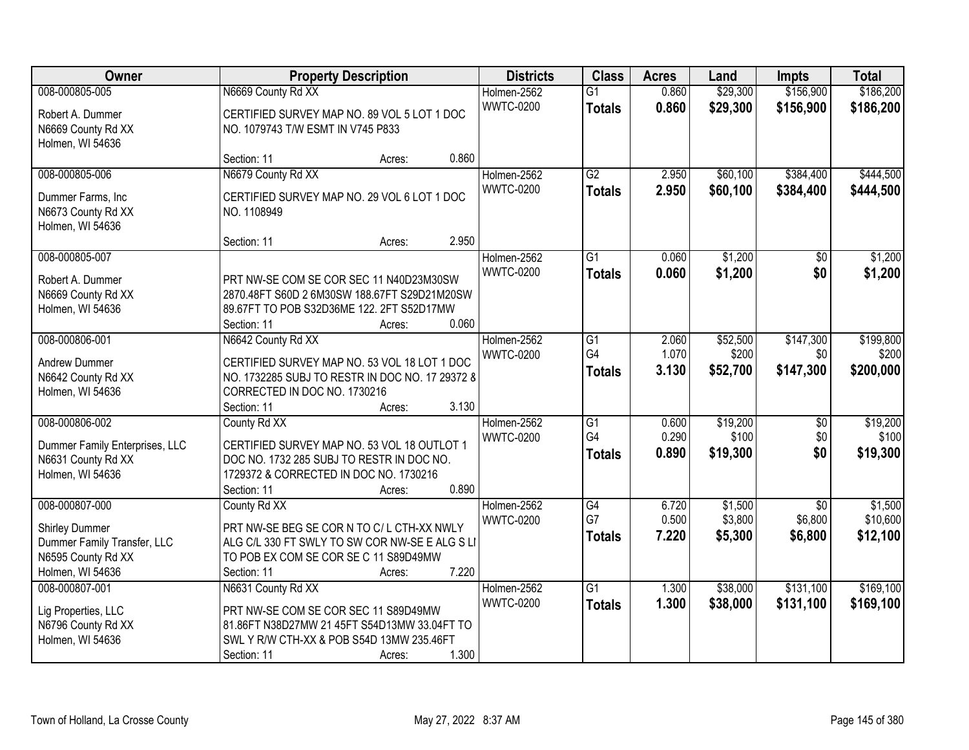| Owner                          | <b>Property Description</b>                     |        |       | <b>Districts</b> | <b>Class</b>    | <b>Acres</b> | Land     | <b>Impts</b>    | <b>Total</b> |
|--------------------------------|-------------------------------------------------|--------|-------|------------------|-----------------|--------------|----------|-----------------|--------------|
| 008-000805-005                 | N6669 County Rd XX                              |        |       | Holmen-2562      | $\overline{G1}$ | 0.860        | \$29,300 | \$156,900       | \$186,200    |
| Robert A. Dummer               | CERTIFIED SURVEY MAP NO. 89 VOL 5 LOT 1 DOC     |        |       | <b>WWTC-0200</b> | <b>Totals</b>   | 0.860        | \$29,300 | \$156,900       | \$186,200    |
| N6669 County Rd XX             | NO. 1079743 T/W ESMT IN V745 P833               |        |       |                  |                 |              |          |                 |              |
| Holmen, WI 54636               |                                                 |        |       |                  |                 |              |          |                 |              |
|                                | Section: 11                                     | Acres: | 0.860 |                  |                 |              |          |                 |              |
| 008-000805-006                 | N6679 County Rd XX                              |        |       | Holmen-2562      | $\overline{G2}$ | 2.950        | \$60,100 | \$384,400       | \$444,500    |
| Dummer Farms, Inc.             | CERTIFIED SURVEY MAP NO. 29 VOL 6 LOT 1 DOC     |        |       | <b>WWTC-0200</b> | <b>Totals</b>   | 2.950        | \$60,100 | \$384,400       | \$444,500    |
| N6673 County Rd XX             | NO. 1108949                                     |        |       |                  |                 |              |          |                 |              |
| Holmen, WI 54636               |                                                 |        |       |                  |                 |              |          |                 |              |
|                                | Section: 11                                     | Acres: | 2.950 |                  |                 |              |          |                 |              |
| 008-000805-007                 |                                                 |        |       | Holmen-2562      | $\overline{G1}$ | 0.060        | \$1,200  | $\overline{50}$ | \$1,200      |
| Robert A. Dummer               | PRT NW-SE COM SE COR SEC 11 N40D23M30SW         |        |       | <b>WWTC-0200</b> | <b>Totals</b>   | 0.060        | \$1,200  | \$0             | \$1,200      |
| N6669 County Rd XX             | 2870.48FT S60D 2 6M30SW 188.67FT S29D21M20SW    |        |       |                  |                 |              |          |                 |              |
| Holmen, WI 54636               | 89.67FT TO POB S32D36ME 122. 2FT S52D17MW       |        |       |                  |                 |              |          |                 |              |
|                                | Section: 11                                     | Acres: | 0.060 |                  |                 |              |          |                 |              |
| 008-000806-001                 | N6642 County Rd XX                              |        |       | Holmen-2562      | G1              | 2.060        | \$52,500 | \$147,300       | \$199,800    |
| <b>Andrew Dummer</b>           | CERTIFIED SURVEY MAP NO. 53 VOL 18 LOT 1 DOC    |        |       | <b>WWTC-0200</b> | G4              | 1.070        | \$200    | \$0             | \$200        |
| N6642 County Rd XX             | NO. 1732285 SUBJ TO RESTR IN DOC NO. 17 29372 8 |        |       |                  | <b>Totals</b>   | 3.130        | \$52,700 | \$147,300       | \$200,000    |
| Holmen, WI 54636               | CORRECTED IN DOC NO. 1730216                    |        |       |                  |                 |              |          |                 |              |
|                                | Section: 11                                     | Acres: | 3.130 |                  |                 |              |          |                 |              |
| 008-000806-002                 | County Rd XX                                    |        |       | Holmen-2562      | $\overline{G1}$ | 0.600        | \$19,200 | $\overline{50}$ | \$19,200     |
| Dummer Family Enterprises, LLC | CERTIFIED SURVEY MAP NO. 53 VOL 18 OUTLOT 1     |        |       | <b>WWTC-0200</b> | G4              | 0.290        | \$100    | \$0             | \$100        |
| N6631 County Rd XX             | DOC NO. 1732 285 SUBJ TO RESTR IN DOC NO.       |        |       |                  | <b>Totals</b>   | 0.890        | \$19,300 | \$0             | \$19,300     |
| Holmen, WI 54636               | 1729372 & CORRECTED IN DOC NO. 1730216          |        |       |                  |                 |              |          |                 |              |
|                                | Section: 11                                     | Acres: | 0.890 |                  |                 |              |          |                 |              |
| 008-000807-000                 | County Rd XX                                    |        |       | Holmen-2562      | G4              | 6.720        | \$1,500  | $\sqrt{6}$      | \$1,500      |
| <b>Shirley Dummer</b>          | PRT NW-SE BEG SE COR N TO C/L CTH-XX NWLY       |        |       | <b>WWTC-0200</b> | G7              | 0.500        | \$3,800  | \$6,800         | \$10,600     |
| Dummer Family Transfer, LLC    | ALG C/L 330 FT SWLY TO SW COR NW-SE E ALG S LI  |        |       |                  | <b>Totals</b>   | 7.220        | \$5,300  | \$6,800         | \$12,100     |
| N6595 County Rd XX             | TO POB EX COM SE COR SE C 11 S89D49MW           |        |       |                  |                 |              |          |                 |              |
| Holmen, WI 54636               | Section: 11                                     | Acres: | 7.220 |                  |                 |              |          |                 |              |
| 008-000807-001                 | N6631 County Rd XX                              |        |       | Holmen-2562      | $\overline{G1}$ | 1.300        | \$38,000 | \$131,100       | \$169,100    |
| Lig Properties, LLC            | PRT NW-SE COM SE COR SEC 11 S89D49MW            |        |       | <b>WWTC-0200</b> | <b>Totals</b>   | 1.300        | \$38,000 | \$131,100       | \$169,100    |
| N6796 County Rd XX             | 81.86FT N38D27MW 21 45FT S54D13MW 33.04FT TO    |        |       |                  |                 |              |          |                 |              |
| Holmen, WI 54636               | SWL Y R/W CTH-XX & POB S54D 13MW 235.46FT       |        |       |                  |                 |              |          |                 |              |
|                                | Section: 11                                     | Acres: | 1.300 |                  |                 |              |          |                 |              |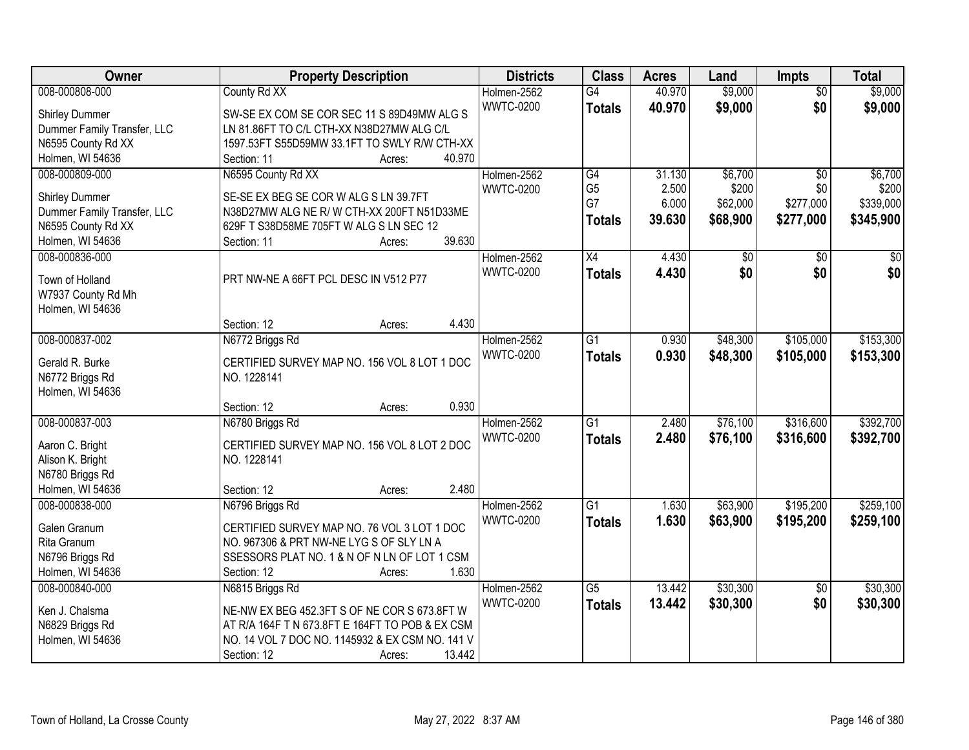| Owner                       | <b>Property Description</b>                     | <b>Districts</b> | <b>Class</b>    | <b>Acres</b> | Land            | Impts           | <b>Total</b>    |
|-----------------------------|-------------------------------------------------|------------------|-----------------|--------------|-----------------|-----------------|-----------------|
| 008-000808-000              | County Rd XX                                    | Holmen-2562      | $\overline{G4}$ | 40.970       | \$9,000         | $\overline{50}$ | \$9,000         |
| <b>Shirley Dummer</b>       | SW-SE EX COM SE COR SEC 11 S 89D49MW ALG S      | <b>WWTC-0200</b> | <b>Totals</b>   | 40.970       | \$9,000         | \$0             | \$9,000         |
| Dummer Family Transfer, LLC | LN 81.86FT TO C/L CTH-XX N38D27MW ALG C/L       |                  |                 |              |                 |                 |                 |
| N6595 County Rd XX          | 1597.53FT S55D59MW 33.1FT TO SWLY R/W CTH-XX    |                  |                 |              |                 |                 |                 |
| Holmen, WI 54636            | 40.970<br>Section: 11<br>Acres:                 |                  |                 |              |                 |                 |                 |
| 008-000809-000              | N6595 County Rd XX                              | Holmen-2562      | $\overline{G4}$ | 31.130       | \$6,700         | \$0             | \$6,700         |
|                             |                                                 | <b>WWTC-0200</b> | G <sub>5</sub>  | 2.500        | \$200           | \$0             | \$200           |
| <b>Shirley Dummer</b>       | SE-SE EX BEG SE COR W ALG S LN 39.7FT           |                  | G7              | 6.000        | \$62,000        | \$277,000       | \$339,000       |
| Dummer Family Transfer, LLC | N38D27MW ALG NE R/W CTH-XX 200FT N51D33ME       |                  | <b>Totals</b>   | 39.630       | \$68,900        | \$277,000       | \$345,900       |
| N6595 County Rd XX          | 629F T S38D58ME 705FT W ALG S LN SEC 12         |                  |                 |              |                 |                 |                 |
| Holmen, WI 54636            | 39.630<br>Section: 11<br>Acres:                 |                  |                 |              |                 |                 |                 |
| 008-000836-000              |                                                 | Holmen-2562      | $\overline{X4}$ | 4.430        | $\overline{50}$ | $\sqrt{50}$     | $\overline{50}$ |
| Town of Holland             | PRT NW-NE A 66FT PCL DESC IN V512 P77           | <b>WWTC-0200</b> | <b>Totals</b>   | 4.430        | \$0             | \$0             | \$0             |
| W7937 County Rd Mh          |                                                 |                  |                 |              |                 |                 |                 |
| Holmen, WI 54636            |                                                 |                  |                 |              |                 |                 |                 |
|                             | 4.430<br>Section: 12<br>Acres:                  |                  |                 |              |                 |                 |                 |
| 008-000837-002              | N6772 Briggs Rd                                 | Holmen-2562      | G1              | 0.930        | \$48,300        | \$105,000       | \$153,300       |
|                             |                                                 | <b>WWTC-0200</b> | <b>Totals</b>   | 0.930        | \$48,300        | \$105,000       | \$153,300       |
| Gerald R. Burke             | CERTIFIED SURVEY MAP NO. 156 VOL 8 LOT 1 DOC    |                  |                 |              |                 |                 |                 |
| N6772 Briggs Rd             | NO. 1228141                                     |                  |                 |              |                 |                 |                 |
| Holmen, WI 54636            |                                                 |                  |                 |              |                 |                 |                 |
|                             | 0.930<br>Section: 12<br>Acres:                  |                  |                 |              |                 |                 |                 |
| 008-000837-003              | N6780 Briggs Rd                                 | Holmen-2562      | $\overline{G1}$ | 2.480        | \$76,100        | \$316,600       | \$392,700       |
| Aaron C. Bright             | CERTIFIED SURVEY MAP NO. 156 VOL 8 LOT 2 DOC    | <b>WWTC-0200</b> | <b>Totals</b>   | 2.480        | \$76,100        | \$316,600       | \$392,700       |
| Alison K. Bright            | NO. 1228141                                     |                  |                 |              |                 |                 |                 |
| N6780 Briggs Rd             |                                                 |                  |                 |              |                 |                 |                 |
| Holmen, WI 54636            | 2.480<br>Section: 12<br>Acres:                  |                  |                 |              |                 |                 |                 |
| 008-000838-000              | N6796 Briggs Rd                                 | Holmen-2562      | $\overline{G1}$ | 1.630        | \$63,900        | \$195,200       | \$259,100       |
|                             |                                                 | <b>WWTC-0200</b> | <b>Totals</b>   | 1.630        | \$63,900        | \$195,200       | \$259,100       |
| Galen Granum                | CERTIFIED SURVEY MAP NO. 76 VOL 3 LOT 1 DOC     |                  |                 |              |                 |                 |                 |
| Rita Granum                 | NO. 967306 & PRT NW-NE LYG S OF SLY LN A        |                  |                 |              |                 |                 |                 |
| N6796 Briggs Rd             | SSESSORS PLAT NO. 1 & N OF N LN OF LOT 1 CSM    |                  |                 |              |                 |                 |                 |
| Holmen, WI 54636            | 1.630<br>Section: 12<br>Acres:                  |                  |                 |              |                 |                 |                 |
| 008-000840-000              | N6815 Briggs Rd                                 | Holmen-2562      | $\overline{G5}$ | 13.442       | \$30,300        | $\overline{30}$ | \$30,300        |
| Ken J. Chalsma              | NE-NW EX BEG 452.3FT S OF NE COR S 673.8FT W    | <b>WWTC-0200</b> | <b>Totals</b>   | 13.442       | \$30,300        | \$0             | \$30,300        |
| N6829 Briggs Rd             | AT R/A 164F T N 673.8FT E 164FT TO POB & EX CSM |                  |                 |              |                 |                 |                 |
| Holmen, WI 54636            | NO. 14 VOL 7 DOC NO. 1145932 & EX CSM NO. 141 V |                  |                 |              |                 |                 |                 |
|                             | 13.442<br>Section: 12<br>Acres:                 |                  |                 |              |                 |                 |                 |
|                             |                                                 |                  |                 |              |                 |                 |                 |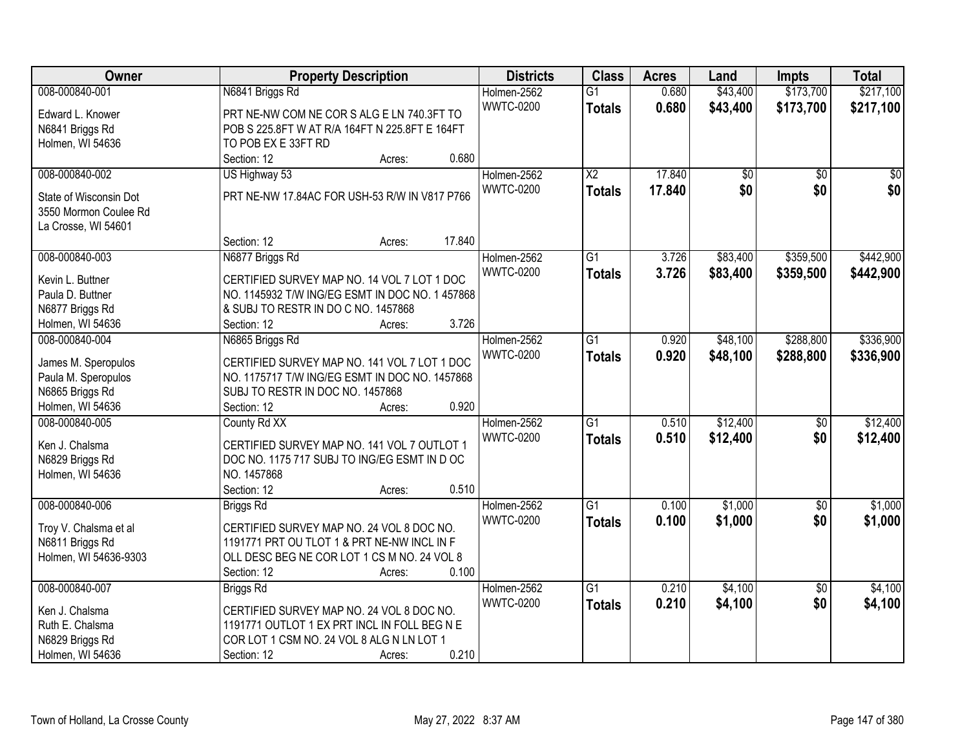| Owner                  | <b>Property Description</b>                     | <b>Districts</b> | <b>Class</b>           | <b>Acres</b> | Land     | <b>Impts</b>    | <b>Total</b> |
|------------------------|-------------------------------------------------|------------------|------------------------|--------------|----------|-----------------|--------------|
| 008-000840-001         | N6841 Briggs Rd                                 | Holmen-2562      | $\overline{G1}$        | 0.680        | \$43,400 | \$173,700       | \$217,100    |
| Edward L. Knower       | PRT NE-NW COM NE COR S ALG E LN 740.3FT TO      | <b>WWTC-0200</b> | <b>Totals</b>          | 0.680        | \$43,400 | \$173,700       | \$217,100    |
| N6841 Briggs Rd        | POB S 225.8FT W AT R/A 164FT N 225.8FT E 164FT  |                  |                        |              |          |                 |              |
| Holmen, WI 54636       | TO POB EX E 33FT RD                             |                  |                        |              |          |                 |              |
|                        | 0.680<br>Section: 12<br>Acres:                  |                  |                        |              |          |                 |              |
| 008-000840-002         | US Highway 53                                   | Holmen-2562      | $\overline{\text{X2}}$ | 17.840       | \$0      | $\overline{50}$ | \$0          |
|                        |                                                 | <b>WWTC-0200</b> | <b>Totals</b>          | 17.840       | \$0      | \$0             | \$0          |
| State of Wisconsin Dot | PRT NE-NW 17.84AC FOR USH-53 R/W IN V817 P766   |                  |                        |              |          |                 |              |
| 3550 Mormon Coulee Rd  |                                                 |                  |                        |              |          |                 |              |
| La Crosse, WI 54601    |                                                 |                  |                        |              |          |                 |              |
|                        | 17.840<br>Section: 12<br>Acres:                 |                  |                        |              |          |                 |              |
| 008-000840-003         | N6877 Briggs Rd                                 | Holmen-2562      | $\overline{G1}$        | 3.726        | \$83,400 | \$359,500       | \$442,900    |
| Kevin L. Buttner       | CERTIFIED SURVEY MAP NO. 14 VOL 7 LOT 1 DOC     | <b>WWTC-0200</b> | <b>Totals</b>          | 3.726        | \$83,400 | \$359,500       | \$442,900    |
| Paula D. Buttner       | NO. 1145932 T/W ING/EG ESMT IN DOC NO. 1 457868 |                  |                        |              |          |                 |              |
| N6877 Briggs Rd        | & SUBJ TO RESTR IN DO C NO. 1457868             |                  |                        |              |          |                 |              |
| Holmen, WI 54636       | 3.726<br>Section: 12<br>Acres:                  |                  |                        |              |          |                 |              |
| 008-000840-004         | N6865 Briggs Rd                                 | Holmen-2562      | G1                     | 0.920        | \$48,100 | \$288,800       | \$336,900    |
|                        |                                                 | <b>WWTC-0200</b> | <b>Totals</b>          | 0.920        | \$48,100 | \$288,800       | \$336,900    |
| James M. Speropulos    | CERTIFIED SURVEY MAP NO. 141 VOL 7 LOT 1 DOC    |                  |                        |              |          |                 |              |
| Paula M. Speropulos    | NO. 1175717 T/W ING/EG ESMT IN DOC NO. 1457868  |                  |                        |              |          |                 |              |
| N6865 Briggs Rd        | SUBJ TO RESTR IN DOC NO. 1457868                |                  |                        |              |          |                 |              |
| Holmen, WI 54636       | 0.920<br>Section: 12<br>Acres:                  |                  |                        |              |          |                 |              |
| 008-000840-005         | County Rd XX                                    | Holmen-2562      | $\overline{G1}$        | 0.510        | \$12,400 | $\overline{50}$ | \$12,400     |
| Ken J. Chalsma         | CERTIFIED SURVEY MAP NO. 141 VOL 7 OUTLOT 1     | <b>WWTC-0200</b> | <b>Totals</b>          | 0.510        | \$12,400 | \$0             | \$12,400     |
| N6829 Briggs Rd        | DOC NO. 1175 717 SUBJ TO ING/EG ESMT IN D OC    |                  |                        |              |          |                 |              |
| Holmen, WI 54636       | NO. 1457868                                     |                  |                        |              |          |                 |              |
|                        | 0.510<br>Section: 12<br>Acres:                  |                  |                        |              |          |                 |              |
| 008-000840-006         | <b>Briggs Rd</b>                                | Holmen-2562      | $\overline{G1}$        | 0.100        | \$1,000  | $\sqrt{6}$      | \$1,000      |
|                        |                                                 | <b>WWTC-0200</b> | <b>Totals</b>          | 0.100        | \$1,000  | \$0             | \$1,000      |
| Troy V. Chalsma et al  | CERTIFIED SURVEY MAP NO. 24 VOL 8 DOC NO.       |                  |                        |              |          |                 |              |
| N6811 Briggs Rd        | 1191771 PRT OU TLOT 1 & PRT NE-NW INCL IN F     |                  |                        |              |          |                 |              |
| Holmen, WI 54636-9303  | OLL DESC BEG NE COR LOT 1 CS M NO. 24 VOL 8     |                  |                        |              |          |                 |              |
|                        | 0.100<br>Section: 12<br>Acres:                  |                  |                        |              |          |                 |              |
| 008-000840-007         | <b>Briggs Rd</b>                                | Holmen-2562      | $\overline{G1}$        | 0.210        | \$4,100  | $\overline{50}$ | \$4,100      |
| Ken J. Chalsma         | CERTIFIED SURVEY MAP NO. 24 VOL 8 DOC NO.       | <b>WWTC-0200</b> | <b>Totals</b>          | 0.210        | \$4,100  | \$0             | \$4,100      |
| Ruth E. Chalsma        | 1191771 OUTLOT 1 EX PRT INCL IN FOLL BEG N E    |                  |                        |              |          |                 |              |
| N6829 Briggs Rd        | COR LOT 1 CSM NO. 24 VOL 8 ALG N LN LOT 1       |                  |                        |              |          |                 |              |
| Holmen, WI 54636       | 0.210<br>Section: 12<br>Acres:                  |                  |                        |              |          |                 |              |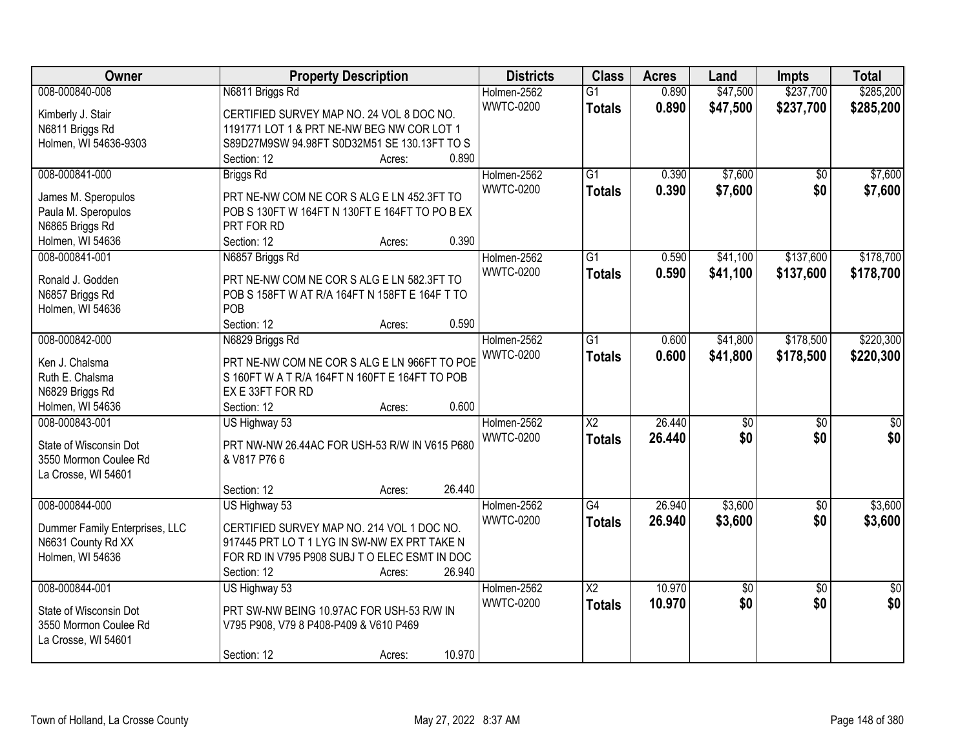| Owner                                  | <b>Property Description</b>                    | <b>Districts</b> | <b>Class</b>           | <b>Acres</b> | Land            | <b>Impts</b>    | <b>Total</b>    |
|----------------------------------------|------------------------------------------------|------------------|------------------------|--------------|-----------------|-----------------|-----------------|
| 008-000840-008                         | N6811 Briggs Rd                                | Holmen-2562      | $\overline{G1}$        | 0.890        | \$47,500        | \$237,700       | \$285,200       |
| Kimberly J. Stair                      | CERTIFIED SURVEY MAP NO. 24 VOL 8 DOC NO.      | <b>WWTC-0200</b> | <b>Totals</b>          | 0.890        | \$47,500        | \$237,700       | \$285,200       |
| N6811 Briggs Rd                        | 1191771 LOT 1 & PRT NE-NW BEG NW COR LOT 1     |                  |                        |              |                 |                 |                 |
| Holmen, WI 54636-9303                  | S89D27M9SW 94.98FT S0D32M51 SE 130.13FT TO S   |                  |                        |              |                 |                 |                 |
|                                        | 0.890<br>Section: 12<br>Acres:                 |                  |                        |              |                 |                 |                 |
| 008-000841-000                         | <b>Briggs Rd</b>                               | Holmen-2562      | $\overline{G1}$        | 0.390        | \$7,600         | $\overline{50}$ | \$7,600         |
|                                        | PRT NE-NW COM NE COR S ALG E LN 452.3FT TO     | <b>WWTC-0200</b> | <b>Totals</b>          | 0.390        | \$7,600         | \$0             | \$7,600         |
| James M. Speropulos                    | POB S 130FT W 164FT N 130FT E 164FT TO PO B EX |                  |                        |              |                 |                 |                 |
| Paula M. Speropulos<br>N6865 Briggs Rd | PRT FOR RD                                     |                  |                        |              |                 |                 |                 |
|                                        | 0.390                                          |                  |                        |              |                 |                 |                 |
| Holmen, WI 54636                       | Section: 12<br>Acres:                          |                  |                        |              |                 |                 |                 |
| 008-000841-001                         | N6857 Briggs Rd                                | Holmen-2562      | G1                     | 0.590        | \$41,100        | \$137,600       | \$178,700       |
| Ronald J. Godden                       | PRT NE-NW COM NE COR S ALG E LN 582.3FT TO     | <b>WWTC-0200</b> | <b>Totals</b>          | 0.590        | \$41,100        | \$137,600       | \$178,700       |
| N6857 Briggs Rd                        | POB S 158FT W AT R/A 164FT N 158FT E 164F T TO |                  |                        |              |                 |                 |                 |
| Holmen, WI 54636                       | POB                                            |                  |                        |              |                 |                 |                 |
|                                        | 0.590<br>Section: 12<br>Acres:                 |                  |                        |              |                 |                 |                 |
| 008-000842-000                         | N6829 Briggs Rd                                | Holmen-2562      | G1                     | 0.600        | \$41,800        | \$178,500       | \$220,300       |
|                                        |                                                | <b>WWTC-0200</b> | <b>Totals</b>          | 0.600        | \$41,800        | \$178,500       | \$220,300       |
| Ken J. Chalsma                         | PRT NE-NW COM NE COR S ALG E LN 966FT TO POE   |                  |                        |              |                 |                 |                 |
| Ruth E. Chalsma                        | S 160FT W A T R/A 164FT N 160FT E 164FT TO POB |                  |                        |              |                 |                 |                 |
| N6829 Briggs Rd                        | EX E 33FT FOR RD                               |                  |                        |              |                 |                 |                 |
| Holmen, WI 54636                       | 0.600<br>Section: 12<br>Acres:                 |                  |                        |              |                 |                 |                 |
| 008-000843-001                         | US Highway 53                                  | Holmen-2562      | $\overline{\text{X2}}$ | 26.440       | $\overline{50}$ | $\overline{50}$ | $\overline{50}$ |
| State of Wisconsin Dot                 | PRT NW-NW 26.44AC FOR USH-53 R/W IN V615 P680  | <b>WWTC-0200</b> | <b>Totals</b>          | 26.440       | \$0             | \$0             | \$0             |
| 3550 Mormon Coulee Rd                  | & V817 P76 6                                   |                  |                        |              |                 |                 |                 |
| La Crosse, WI 54601                    |                                                |                  |                        |              |                 |                 |                 |
|                                        | 26.440<br>Section: 12<br>Acres:                |                  |                        |              |                 |                 |                 |
| 008-000844-000                         | US Highway 53                                  | Holmen-2562      | $\overline{G4}$        | 26.940       | \$3,600         | $\overline{50}$ | \$3,600         |
|                                        |                                                | <b>WWTC-0200</b> | <b>Totals</b>          | 26.940       | \$3,600         | \$0             | \$3,600         |
| Dummer Family Enterprises, LLC         | CERTIFIED SURVEY MAP NO. 214 VOL 1 DOC NO.     |                  |                        |              |                 |                 |                 |
| N6631 County Rd XX                     | 917445 PRT LO T 1 LYG IN SW-NW EX PRT TAKE N   |                  |                        |              |                 |                 |                 |
| Holmen, WI 54636                       | FOR RD IN V795 P908 SUBJ TO ELEC ESMT IN DOC   |                  |                        |              |                 |                 |                 |
|                                        | 26.940<br>Section: 12<br>Acres:                |                  |                        |              |                 |                 |                 |
| 008-000844-001                         | US Highway 53                                  | Holmen-2562      | $\overline{\text{X2}}$ | 10.970       | \$0             | $\overline{50}$ | $\overline{50}$ |
| State of Wisconsin Dot                 | PRT SW-NW BEING 10.97AC FOR USH-53 R/W IN      | <b>WWTC-0200</b> | <b>Totals</b>          | 10.970       | \$0             | \$0             | \$0             |
| 3550 Mormon Coulee Rd                  | V795 P908, V79 8 P408-P409 & V610 P469         |                  |                        |              |                 |                 |                 |
| La Crosse, WI 54601                    |                                                |                  |                        |              |                 |                 |                 |
|                                        | 10.970<br>Section: 12<br>Acres:                |                  |                        |              |                 |                 |                 |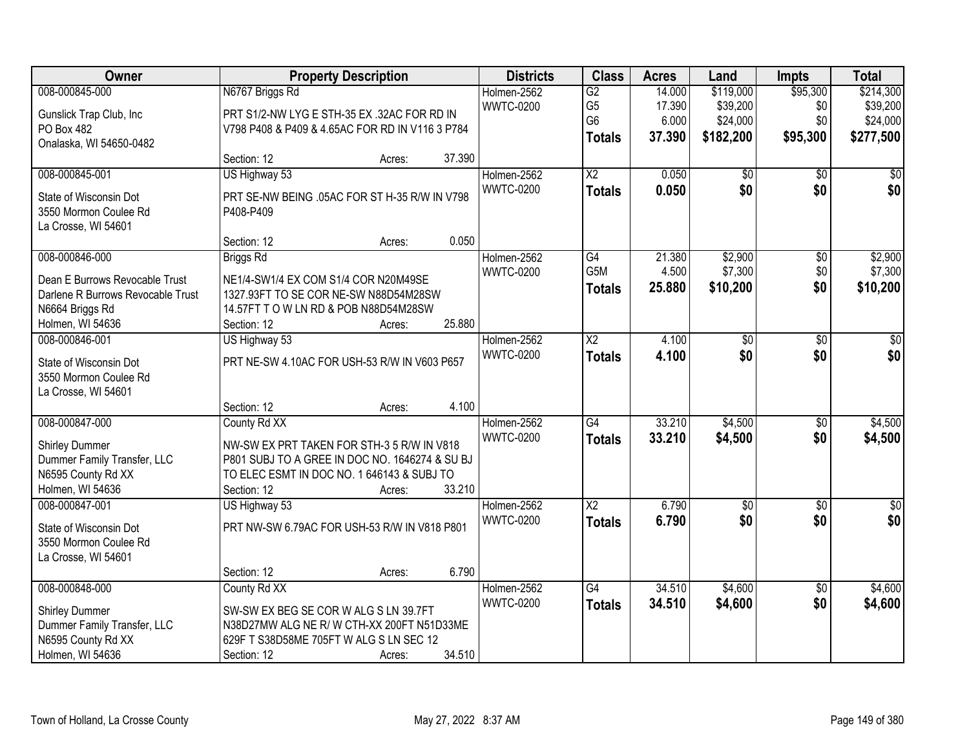| Owner                                                                                                            | <b>Property Description</b>                                                                                                                                                                     | <b>Districts</b> | <b>Class</b>                    | <b>Acres</b>                                        | Land                      | Impts                             | <b>Total</b>           |                                   |
|------------------------------------------------------------------------------------------------------------------|-------------------------------------------------------------------------------------------------------------------------------------------------------------------------------------------------|------------------|---------------------------------|-----------------------------------------------------|---------------------------|-----------------------------------|------------------------|-----------------------------------|
| 008-000845-000<br>Gunslick Trap Club, Inc                                                                        | N6767 Briggs Rd<br>PRT S1/2-NW LYG E STH-35 EX .32AC FOR RD IN                                                                                                                                  |                  | Holmen-2562<br><b>WWTC-0200</b> | $\overline{G2}$<br>G <sub>5</sub><br>G <sub>6</sub> | 14.000<br>17.390<br>6.000 | \$119,000<br>\$39,200<br>\$24,000 | \$95,300<br>\$0<br>\$0 | \$214,300<br>\$39,200<br>\$24,000 |
| PO Box 482<br>Onalaska, WI 54650-0482                                                                            | V798 P408 & P409 & 4.65AC FOR RD IN V116 3 P784<br>Section: 12<br>Acres:                                                                                                                        | 37.390           |                                 | <b>Totals</b>                                       | 37.390                    | \$182,200                         | \$95,300               | \$277,500                         |
| 008-000845-001<br>State of Wisconsin Dot<br>3550 Mormon Coulee Rd<br>La Crosse, WI 54601                         | US Highway 53<br>PRT SE-NW BEING .05AC FOR ST H-35 R/W IN V798<br>P408-P409                                                                                                                     |                  | Holmen-2562<br><b>WWTC-0200</b> | $\overline{X2}$<br><b>Totals</b>                    | 0.050<br>0.050            | \$0<br>\$0                        | $\overline{50}$<br>\$0 | \$0<br>\$0                        |
| 008-000846-000                                                                                                   | Section: 12<br>Acres:<br><b>Briggs Rd</b>                                                                                                                                                       | 0.050            | Holmen-2562                     | $\overline{G4}$                                     | 21.380                    | \$2,900                           | $\overline{50}$        | \$2,900                           |
| Dean E Burrows Revocable Trust<br>Darlene R Burrows Revocable Trust<br>N6664 Briggs Rd<br>Holmen, WI 54636       | NE1/4-SW1/4 EX COM S1/4 COR N20M49SE<br>1327.93FT TO SE COR NE-SW N88D54M28SW<br>14.57FT T O W LN RD & POB N88D54M28SW<br>Section: 12<br>Acres:                                                 | 25.880           | <b>WWTC-0200</b>                | G5M<br><b>Totals</b>                                | 4.500<br>25.880           | \$7,300<br>\$10,200               | \$0<br>\$0             | \$7,300<br>\$10,200               |
| 008-000846-001<br>State of Wisconsin Dot<br>3550 Mormon Coulee Rd<br>La Crosse, WI 54601                         | US Highway 53<br>PRT NE-SW 4.10AC FOR USH-53 R/W IN V603 P657                                                                                                                                   |                  | Holmen-2562<br><b>WWTC-0200</b> | $\overline{\text{X2}}$<br><b>Totals</b>             | 4.100<br>4.100            | \$0<br>\$0                        | \$0<br>\$0             | \$0<br>\$0                        |
| 008-000847-000                                                                                                   | Section: 12<br>Acres:<br>County Rd XX                                                                                                                                                           | 4.100            | Holmen-2562                     | $\overline{G4}$                                     | 33.210                    | \$4,500                           | $\overline{50}$        | \$4,500                           |
| <b>Shirley Dummer</b><br>Dummer Family Transfer, LLC<br>N6595 County Rd XX<br>Holmen, WI 54636                   | NW-SW EX PRT TAKEN FOR STH-3 5 R/W IN V818<br>P801 SUBJ TO A GREE IN DOC NO. 1646274 & SU BJ<br>TO ELEC ESMT IN DOC NO. 1 646143 & SUBJ TO<br>Section: 12<br>Acres:                             | 33.210           | <b>WWTC-0200</b>                | <b>Totals</b>                                       | 33.210                    | \$4,500                           | \$0                    | \$4,500                           |
| 008-000847-001<br>State of Wisconsin Dot<br>3550 Mormon Coulee Rd<br>La Crosse, WI 54601                         | US Highway 53<br>PRT NW-SW 6.79AC FOR USH-53 R/W IN V818 P801                                                                                                                                   |                  | Holmen-2562<br><b>WWTC-0200</b> | $\overline{\text{X2}}$<br><b>Totals</b>             | 6.790<br>6.790            | $\overline{60}$<br>\$0            | $\overline{50}$<br>\$0 | $\overline{50}$<br>\$0            |
| 008-000848-000<br><b>Shirley Dummer</b><br>Dummer Family Transfer, LLC<br>N6595 County Rd XX<br>Holmen, WI 54636 | Section: 12<br>Acres:<br>County Rd XX<br>SW-SW EX BEG SE COR W ALG S LN 39.7FT<br>N38D27MW ALG NE R/W CTH-XX 200FT N51D33ME<br>629F T S38D58ME 705FT W ALG S LN SEC 12<br>Section: 12<br>Acres: | 6.790<br>34.510  | Holmen-2562<br><b>WWTC-0200</b> | $\overline{G4}$<br><b>Totals</b>                    | 34.510<br>34.510          | \$4,600<br>\$4,600                | $\overline{50}$<br>\$0 | \$4,600<br>\$4,600                |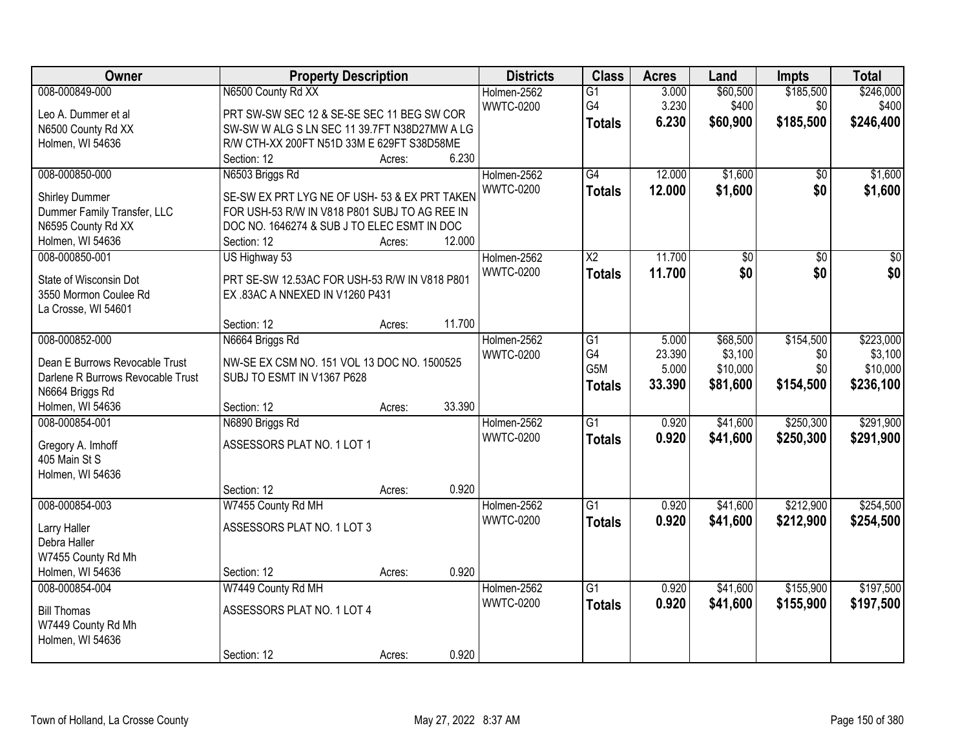| Owner                              | <b>Property Description</b>                   | <b>Districts</b> | <b>Class</b>     | <b>Acres</b>           | Land   | <b>Impts</b>    | <b>Total</b>    |                 |
|------------------------------------|-----------------------------------------------|------------------|------------------|------------------------|--------|-----------------|-----------------|-----------------|
| 008-000849-000                     | N6500 County Rd XX                            |                  | Holmen-2562      | $\overline{G1}$        | 3.000  | \$60,500        | \$185,500       | \$246,000       |
| Leo A. Dummer et al                | PRT SW-SW SEC 12 & SE-SE SEC 11 BEG SW COR    |                  | <b>WWTC-0200</b> | G4                     | 3.230  | \$400           | \$0             | \$400           |
| N6500 County Rd XX                 | SW-SW W ALG S LN SEC 11 39.7FT N38D27MW A LG  |                  |                  | <b>Totals</b>          | 6.230  | \$60,900        | \$185,500       | \$246,400       |
| Holmen, WI 54636                   | R/W CTH-XX 200FT N51D 33M E 629FT S38D58ME    |                  |                  |                        |        |                 |                 |                 |
|                                    | Section: 12                                   | 6.230<br>Acres:  |                  |                        |        |                 |                 |                 |
| 008-000850-000                     | N6503 Briggs Rd                               |                  | Holmen-2562      | G4                     | 12.000 | \$1,600         | \$0             | \$1,600         |
|                                    |                                               |                  | <b>WWTC-0200</b> | <b>Totals</b>          | 12.000 | \$1,600         | \$0             | \$1,600         |
| <b>Shirley Dummer</b>              | SE-SW EX PRT LYG NE OF USH- 53 & EX PRT TAKEN |                  |                  |                        |        |                 |                 |                 |
| Dummer Family Transfer, LLC        | FOR USH-53 R/W IN V818 P801 SUBJ TO AG REE IN |                  |                  |                        |        |                 |                 |                 |
| N6595 County Rd XX                 | DOC NO. 1646274 & SUB J TO ELEC ESMT IN DOC   |                  |                  |                        |        |                 |                 |                 |
| Holmen, WI 54636                   | Section: 12                                   | 12.000<br>Acres: |                  |                        |        |                 |                 |                 |
| 008-000850-001                     | US Highway 53                                 |                  | Holmen-2562      | $\overline{\text{X2}}$ | 11.700 | $\overline{60}$ | $\overline{50}$ | $\overline{50}$ |
| State of Wisconsin Dot             | PRT SE-SW 12.53AC FOR USH-53 R/W IN V818 P801 |                  | <b>WWTC-0200</b> | <b>Totals</b>          | 11.700 | \$0             | \$0             | \$0             |
| 3550 Mormon Coulee Rd              | EX.83AC A NNEXED IN V1260 P431                |                  |                  |                        |        |                 |                 |                 |
| La Crosse, WI 54601                |                                               |                  |                  |                        |        |                 |                 |                 |
|                                    | Section: 12                                   | 11.700<br>Acres: |                  |                        |        |                 |                 |                 |
| 008-000852-000                     | N6664 Briggs Rd                               |                  | Holmen-2562      | G1                     | 5.000  | \$68,500        | \$154,500       | \$223,000       |
|                                    |                                               |                  | <b>WWTC-0200</b> | G <sub>4</sub>         | 23.390 | \$3,100         | \$0             | \$3,100         |
| Dean E Burrows Revocable Trust     | NW-SE EX CSM NO. 151 VOL 13 DOC NO. 1500525   |                  |                  | G5M                    | 5.000  | \$10,000        | \$0             | \$10,000        |
| Darlene R Burrows Revocable Trust  | SUBJ TO ESMT IN V1367 P628                    |                  |                  | <b>Totals</b>          | 33.390 | \$81,600        | \$154,500       | \$236,100       |
| N6664 Briggs Rd                    |                                               | 33.390           |                  |                        |        |                 |                 |                 |
| Holmen, WI 54636<br>008-000854-001 | Section: 12                                   | Acres:           |                  | $\overline{G1}$        | 0.920  |                 | \$250,300       |                 |
|                                    | N6890 Briggs Rd                               |                  | Holmen-2562      |                        |        | \$41,600        |                 | \$291,900       |
| Gregory A. Imhoff                  | ASSESSORS PLAT NO. 1 LOT 1                    |                  | <b>WWTC-0200</b> | <b>Totals</b>          | 0.920  | \$41,600        | \$250,300       | \$291,900       |
| 405 Main St S                      |                                               |                  |                  |                        |        |                 |                 |                 |
| Holmen, WI 54636                   |                                               |                  |                  |                        |        |                 |                 |                 |
|                                    | Section: 12                                   | 0.920<br>Acres:  |                  |                        |        |                 |                 |                 |
| 008-000854-003                     | W7455 County Rd MH                            |                  | Holmen-2562      | G1                     | 0.920  | \$41,600        | \$212,900       | \$254,500       |
| Larry Haller                       | ASSESSORS PLAT NO. 1 LOT 3                    |                  | <b>WWTC-0200</b> | <b>Totals</b>          | 0.920  | \$41,600        | \$212,900       | \$254,500       |
| Debra Haller                       |                                               |                  |                  |                        |        |                 |                 |                 |
| W7455 County Rd Mh                 |                                               |                  |                  |                        |        |                 |                 |                 |
| Holmen, WI 54636                   | Section: 12                                   | 0.920<br>Acres:  |                  |                        |        |                 |                 |                 |
| 008-000854-004                     | W7449 County Rd MH                            |                  | Holmen-2562      | $\overline{G1}$        | 0.920  | \$41,600        | \$155,900       | \$197,500       |
|                                    |                                               |                  | <b>WWTC-0200</b> | <b>Totals</b>          | 0.920  | \$41,600        | \$155,900       | \$197,500       |
| <b>Bill Thomas</b>                 | ASSESSORS PLAT NO. 1 LOT 4                    |                  |                  |                        |        |                 |                 |                 |
| W7449 County Rd Mh                 |                                               |                  |                  |                        |        |                 |                 |                 |
| Holmen, WI 54636                   |                                               |                  |                  |                        |        |                 |                 |                 |
|                                    | Section: 12                                   | 0.920<br>Acres:  |                  |                        |        |                 |                 |                 |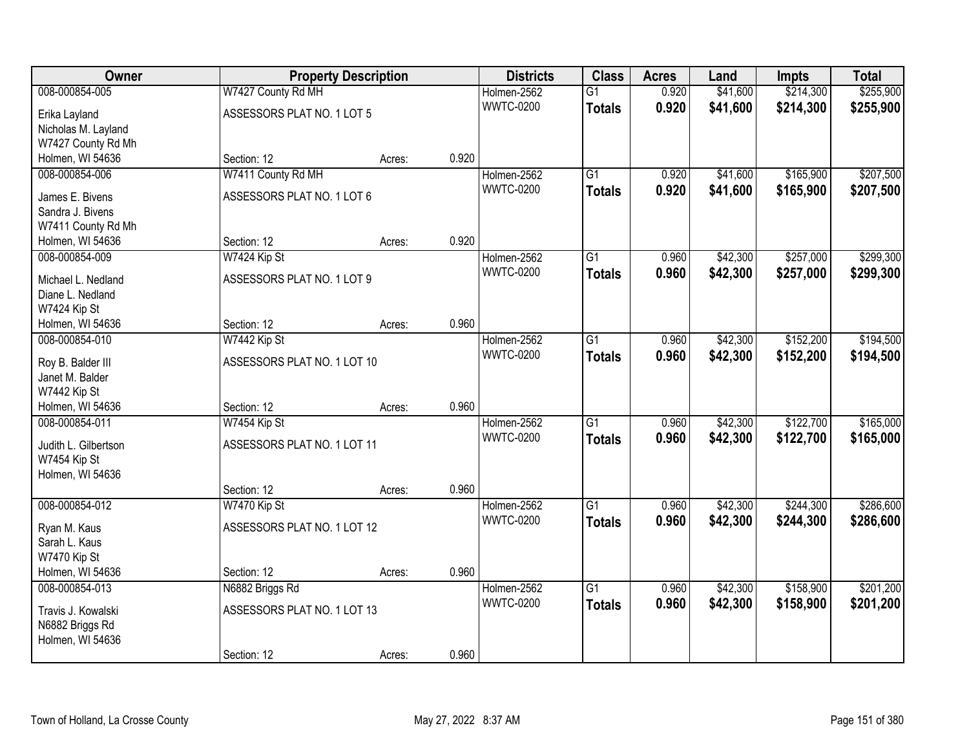| Owner                |                             | <b>Property Description</b> |       | <b>Districts</b> | <b>Class</b>    | <b>Acres</b> | Land     | <b>Impts</b> | <b>Total</b> |
|----------------------|-----------------------------|-----------------------------|-------|------------------|-----------------|--------------|----------|--------------|--------------|
| 008-000854-005       | W7427 County Rd MH          |                             |       | Holmen-2562      | $\overline{G1}$ | 0.920        | \$41,600 | \$214,300    | \$255,900    |
| Erika Layland        | ASSESSORS PLAT NO. 1 LOT 5  |                             |       | <b>WWTC-0200</b> | <b>Totals</b>   | 0.920        | \$41,600 | \$214,300    | \$255,900    |
| Nicholas M. Layland  |                             |                             |       |                  |                 |              |          |              |              |
| W7427 County Rd Mh   |                             |                             |       |                  |                 |              |          |              |              |
| Holmen, WI 54636     | Section: 12                 | Acres:                      | 0.920 |                  |                 |              |          |              |              |
| 008-000854-006       | W7411 County Rd MH          |                             |       | Holmen-2562      | $\overline{G1}$ | 0.920        | \$41,600 | \$165,900    | \$207,500    |
| James E. Bivens      | ASSESSORS PLAT NO. 1 LOT 6  |                             |       | <b>WWTC-0200</b> | <b>Totals</b>   | 0.920        | \$41,600 | \$165,900    | \$207,500    |
| Sandra J. Bivens     |                             |                             |       |                  |                 |              |          |              |              |
| W7411 County Rd Mh   |                             |                             |       |                  |                 |              |          |              |              |
| Holmen, WI 54636     | Section: 12                 | Acres:                      | 0.920 |                  |                 |              |          |              |              |
| 008-000854-009       | W7424 Kip St                |                             |       | Holmen-2562      | $\overline{G1}$ | 0.960        | \$42,300 | \$257,000    | \$299,300    |
|                      |                             |                             |       | <b>WWTC-0200</b> | <b>Totals</b>   | 0.960        | \$42,300 | \$257,000    | \$299,300    |
| Michael L. Nedland   | ASSESSORS PLAT NO. 1 LOT 9  |                             |       |                  |                 |              |          |              |              |
| Diane L. Nedland     |                             |                             |       |                  |                 |              |          |              |              |
| W7424 Kip St         |                             |                             |       |                  |                 |              |          |              |              |
| Holmen, WI 54636     | Section: 12                 | Acres:                      | 0.960 |                  |                 |              |          |              |              |
| 008-000854-010       | W7442 Kip St                |                             |       | Holmen-2562      | $\overline{G1}$ | 0.960        | \$42,300 | \$152,200    | \$194,500    |
| Roy B. Balder III    | ASSESSORS PLAT NO. 1 LOT 10 |                             |       | <b>WWTC-0200</b> | <b>Totals</b>   | 0.960        | \$42,300 | \$152,200    | \$194,500    |
| Janet M. Balder      |                             |                             |       |                  |                 |              |          |              |              |
| W7442 Kip St         |                             |                             |       |                  |                 |              |          |              |              |
| Holmen, WI 54636     | Section: 12                 | Acres:                      | 0.960 |                  |                 |              |          |              |              |
| 008-000854-011       | W7454 Kip St                |                             |       | Holmen-2562      | $\overline{G1}$ | 0.960        | \$42,300 | \$122,700    | \$165,000    |
| Judith L. Gilbertson | ASSESSORS PLAT NO. 1 LOT 11 |                             |       | <b>WWTC-0200</b> | <b>Totals</b>   | 0.960        | \$42,300 | \$122,700    | \$165,000    |
| W7454 Kip St         |                             |                             |       |                  |                 |              |          |              |              |
| Holmen, WI 54636     |                             |                             |       |                  |                 |              |          |              |              |
|                      | Section: 12                 | Acres:                      | 0.960 |                  |                 |              |          |              |              |
| 008-000854-012       | W7470 Kip St                |                             |       | Holmen-2562      | $\overline{G1}$ | 0.960        | \$42,300 | \$244,300    | \$286,600    |
|                      |                             |                             |       | <b>WWTC-0200</b> | <b>Totals</b>   | 0.960        | \$42,300 | \$244,300    | \$286,600    |
| Ryan M. Kaus         | ASSESSORS PLAT NO. 1 LOT 12 |                             |       |                  |                 |              |          |              |              |
| Sarah L. Kaus        |                             |                             |       |                  |                 |              |          |              |              |
| W7470 Kip St         |                             |                             |       |                  |                 |              |          |              |              |
| Holmen, WI 54636     | Section: 12                 | Acres:                      | 0.960 |                  |                 |              |          |              |              |
| 008-000854-013       | N6882 Briggs Rd             |                             |       | Holmen-2562      | $\overline{G1}$ | 0.960        | \$42,300 | \$158,900    | \$201,200    |
| Travis J. Kowalski   | ASSESSORS PLAT NO. 1 LOT 13 |                             |       | <b>WWTC-0200</b> | <b>Totals</b>   | 0.960        | \$42,300 | \$158,900    | \$201,200    |
| N6882 Briggs Rd      |                             |                             |       |                  |                 |              |          |              |              |
| Holmen, WI 54636     |                             |                             |       |                  |                 |              |          |              |              |
|                      | Section: 12                 | Acres:                      | 0.960 |                  |                 |              |          |              |              |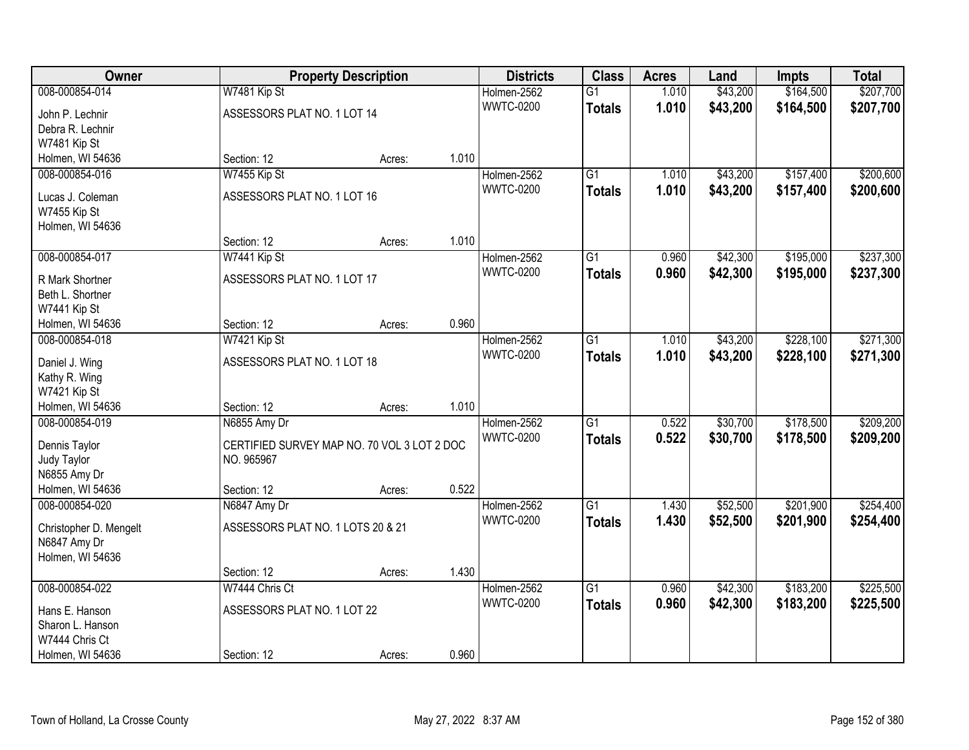| Owner                               |                                             | <b>Property Description</b> |       | <b>Districts</b> | <b>Class</b>    | <b>Acres</b> | Land     | Impts     | <b>Total</b> |
|-------------------------------------|---------------------------------------------|-----------------------------|-------|------------------|-----------------|--------------|----------|-----------|--------------|
| 008-000854-014                      | W7481 Kip St                                |                             |       | Holmen-2562      | $\overline{G1}$ | 1.010        | \$43,200 | \$164,500 | \$207,700    |
| John P. Lechnir                     | ASSESSORS PLAT NO. 1 LOT 14                 |                             |       | <b>WWTC-0200</b> | <b>Totals</b>   | 1.010        | \$43,200 | \$164,500 | \$207,700    |
| Debra R. Lechnir                    |                                             |                             |       |                  |                 |              |          |           |              |
| W7481 Kip St                        |                                             |                             |       |                  |                 |              |          |           |              |
| Holmen, WI 54636                    | Section: 12                                 | Acres:                      | 1.010 |                  |                 |              |          |           |              |
| 008-000854-016                      | W7455 Kip St                                |                             |       | Holmen-2562      | $\overline{G1}$ | 1.010        | \$43,200 | \$157,400 | \$200,600    |
| Lucas J. Coleman                    | ASSESSORS PLAT NO. 1 LOT 16                 |                             |       | <b>WWTC-0200</b> | <b>Totals</b>   | 1.010        | \$43,200 | \$157,400 | \$200,600    |
| W7455 Kip St                        |                                             |                             |       |                  |                 |              |          |           |              |
| Holmen, WI 54636                    |                                             |                             |       |                  |                 |              |          |           |              |
|                                     | Section: 12                                 | Acres:                      | 1.010 |                  |                 |              |          |           |              |
| 008-000854-017                      | W7441 Kip St                                |                             |       | Holmen-2562      | $\overline{G1}$ | 0.960        | \$42,300 | \$195,000 | \$237,300    |
|                                     |                                             |                             |       | <b>WWTC-0200</b> | <b>Totals</b>   | 0.960        | \$42,300 | \$195,000 | \$237,300    |
| R Mark Shortner<br>Beth L. Shortner | ASSESSORS PLAT NO. 1 LOT 17                 |                             |       |                  |                 |              |          |           |              |
| W7441 Kip St                        |                                             |                             |       |                  |                 |              |          |           |              |
| Holmen, WI 54636                    | Section: 12                                 | Acres:                      | 0.960 |                  |                 |              |          |           |              |
| 008-000854-018                      | W7421 Kip St                                |                             |       | Holmen-2562      | $\overline{G1}$ | 1.010        | \$43,200 | \$228,100 | \$271,300    |
|                                     |                                             |                             |       | <b>WWTC-0200</b> | <b>Totals</b>   | 1.010        | \$43,200 | \$228,100 | \$271,300    |
| Daniel J. Wing                      | ASSESSORS PLAT NO. 1 LOT 18                 |                             |       |                  |                 |              |          |           |              |
| Kathy R. Wing                       |                                             |                             |       |                  |                 |              |          |           |              |
| W7421 Kip St<br>Holmen, WI 54636    | Section: 12                                 |                             | 1.010 |                  |                 |              |          |           |              |
| 008-000854-019                      | N6855 Amy Dr                                | Acres:                      |       | Holmen-2562      | $\overline{G1}$ | 0.522        | \$30,700 | \$178,500 | \$209,200    |
|                                     |                                             |                             |       | <b>WWTC-0200</b> |                 | 0.522        | \$30,700 | \$178,500 | \$209,200    |
| Dennis Taylor                       | CERTIFIED SURVEY MAP NO. 70 VOL 3 LOT 2 DOC |                             |       |                  | <b>Totals</b>   |              |          |           |              |
| Judy Taylor                         | NO. 965967                                  |                             |       |                  |                 |              |          |           |              |
| N6855 Amy Dr                        |                                             |                             |       |                  |                 |              |          |           |              |
| Holmen, WI 54636                    | Section: 12                                 | Acres:                      | 0.522 |                  |                 |              |          |           |              |
| 008-000854-020                      | N6847 Amy Dr                                |                             |       | Holmen-2562      | $\overline{G1}$ | 1.430        | \$52,500 | \$201,900 | \$254,400    |
| Christopher D. Mengelt              | ASSESSORS PLAT NO. 1 LOTS 20 & 21           |                             |       | <b>WWTC-0200</b> | <b>Totals</b>   | 1.430        | \$52,500 | \$201,900 | \$254,400    |
| N6847 Amy Dr                        |                                             |                             |       |                  |                 |              |          |           |              |
| Holmen, WI 54636                    |                                             |                             |       |                  |                 |              |          |           |              |
|                                     | Section: 12                                 | Acres:                      | 1.430 |                  |                 |              |          |           |              |
| 008-000854-022                      | W7444 Chris Ct                              |                             |       | Holmen-2562      | $\overline{G1}$ | 0.960        | \$42,300 | \$183,200 | \$225,500    |
| Hans E. Hanson                      | ASSESSORS PLAT NO. 1 LOT 22                 |                             |       | <b>WWTC-0200</b> | <b>Totals</b>   | 0.960        | \$42,300 | \$183,200 | \$225,500    |
| Sharon L. Hanson                    |                                             |                             |       |                  |                 |              |          |           |              |
| W7444 Chris Ct                      |                                             |                             |       |                  |                 |              |          |           |              |
| Holmen, WI 54636                    | Section: 12                                 | Acres:                      | 0.960 |                  |                 |              |          |           |              |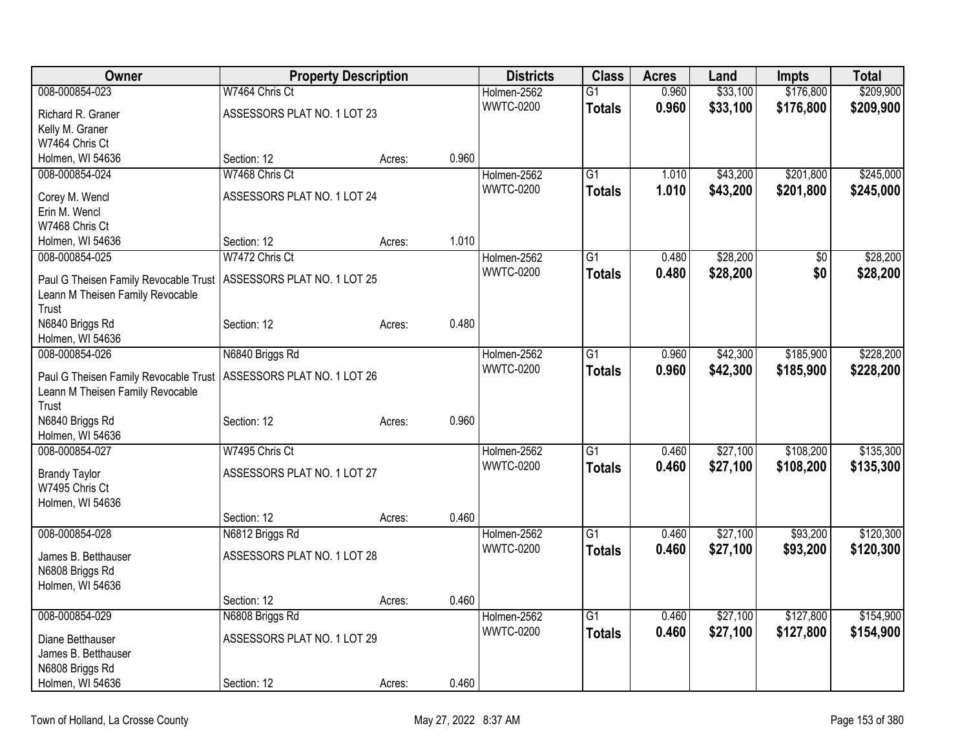| Owner                                  | <b>Property Description</b> |        | <b>Districts</b> | <b>Class</b>     | <b>Acres</b>    | Land  | <b>Impts</b> | <b>Total</b> |           |
|----------------------------------------|-----------------------------|--------|------------------|------------------|-----------------|-------|--------------|--------------|-----------|
| 008-000854-023                         | W7464 Chris Ct              |        |                  | Holmen-2562      | $\overline{G1}$ | 0.960 | \$33,100     | \$176,800    | \$209,900 |
| Richard R. Graner                      | ASSESSORS PLAT NO. 1 LOT 23 |        |                  | <b>WWTC-0200</b> | <b>Totals</b>   | 0.960 | \$33,100     | \$176,800    | \$209,900 |
| Kelly M. Graner                        |                             |        |                  |                  |                 |       |              |              |           |
| W7464 Chris Ct                         |                             |        |                  |                  |                 |       |              |              |           |
| Holmen, WI 54636                       | Section: 12                 | Acres: | 0.960            |                  |                 |       |              |              |           |
| 008-000854-024                         | W7468 Chris Ct              |        |                  | Holmen-2562      | $\overline{G1}$ | 1.010 | \$43,200     | \$201,800    | \$245,000 |
| Corey M. Wencl                         | ASSESSORS PLAT NO. 1 LOT 24 |        |                  | <b>WWTC-0200</b> | <b>Totals</b>   | 1.010 | \$43,200     | \$201,800    | \$245,000 |
| Erin M. Wencl                          |                             |        |                  |                  |                 |       |              |              |           |
| W7468 Chris Ct                         |                             |        |                  |                  |                 |       |              |              |           |
| Holmen, WI 54636                       | Section: 12                 | Acres: | 1.010            |                  |                 |       |              |              |           |
| 008-000854-025                         | W7472 Chris Ct              |        |                  | Holmen-2562      | G1              | 0.480 | \$28,200     | \$0          | \$28,200  |
| Paul G Theisen Family Revocable Trust  | ASSESSORS PLAT NO. 1 LOT 25 |        |                  | <b>WWTC-0200</b> | <b>Totals</b>   | 0.480 | \$28,200     | \$0          | \$28,200  |
| Leann M Theisen Family Revocable       |                             |        |                  |                  |                 |       |              |              |           |
| Trust                                  |                             |        |                  |                  |                 |       |              |              |           |
| N6840 Briggs Rd                        | Section: 12                 | Acres: | 0.480            |                  |                 |       |              |              |           |
| Holmen, WI 54636                       |                             |        |                  |                  |                 |       |              |              |           |
| 008-000854-026                         | N6840 Briggs Rd             |        |                  | Holmen-2562      | $\overline{G1}$ | 0.960 | \$42,300     | \$185,900    | \$228,200 |
| Paul G Theisen Family Revocable Trust  | ASSESSORS PLAT NO. 1 LOT 26 |        |                  | <b>WWTC-0200</b> | <b>Totals</b>   | 0.960 | \$42,300     | \$185,900    | \$228,200 |
| Leann M Theisen Family Revocable       |                             |        |                  |                  |                 |       |              |              |           |
| Trust                                  |                             |        |                  |                  |                 |       |              |              |           |
| N6840 Briggs Rd                        | Section: 12                 | Acres: | 0.960            |                  |                 |       |              |              |           |
| Holmen, WI 54636                       |                             |        |                  |                  |                 |       |              |              |           |
| 008-000854-027                         | W7495 Chris Ct              |        |                  | Holmen-2562      | $\overline{G1}$ | 0.460 | \$27,100     | \$108,200    | \$135,300 |
|                                        |                             |        |                  | <b>WWTC-0200</b> | <b>Totals</b>   | 0.460 | \$27,100     | \$108,200    | \$135,300 |
| <b>Brandy Taylor</b><br>W7495 Chris Ct | ASSESSORS PLAT NO. 1 LOT 27 |        |                  |                  |                 |       |              |              |           |
| Holmen, WI 54636                       |                             |        |                  |                  |                 |       |              |              |           |
|                                        | Section: 12                 | Acres: | 0.460            |                  |                 |       |              |              |           |
| 008-000854-028                         | N6812 Briggs Rd             |        |                  | Holmen-2562      | $\overline{G1}$ | 0.460 | \$27,100     | \$93,200     | \$120,300 |
|                                        |                             |        |                  | <b>WWTC-0200</b> | <b>Totals</b>   | 0.460 | \$27,100     | \$93,200     | \$120,300 |
| James B. Betthauser                    | ASSESSORS PLAT NO. 1 LOT 28 |        |                  |                  |                 |       |              |              |           |
| N6808 Briggs Rd                        |                             |        |                  |                  |                 |       |              |              |           |
| Holmen, WI 54636                       | Section: 12                 |        | 0.460            |                  |                 |       |              |              |           |
| 008-000854-029                         | N6808 Briggs Rd             | Acres: |                  | Holmen-2562      | $\overline{G1}$ | 0.460 | \$27,100     | \$127,800    | \$154,900 |
|                                        |                             |        |                  | <b>WWTC-0200</b> | <b>Totals</b>   | 0.460 | \$27,100     | \$127,800    | \$154,900 |
| Diane Betthauser                       | ASSESSORS PLAT NO. 1 LOT 29 |        |                  |                  |                 |       |              |              |           |
| James B. Betthauser                    |                             |        |                  |                  |                 |       |              |              |           |
| N6808 Briggs Rd                        |                             |        |                  |                  |                 |       |              |              |           |
| Holmen, WI 54636                       | Section: 12                 | Acres: | 0.460            |                  |                 |       |              |              |           |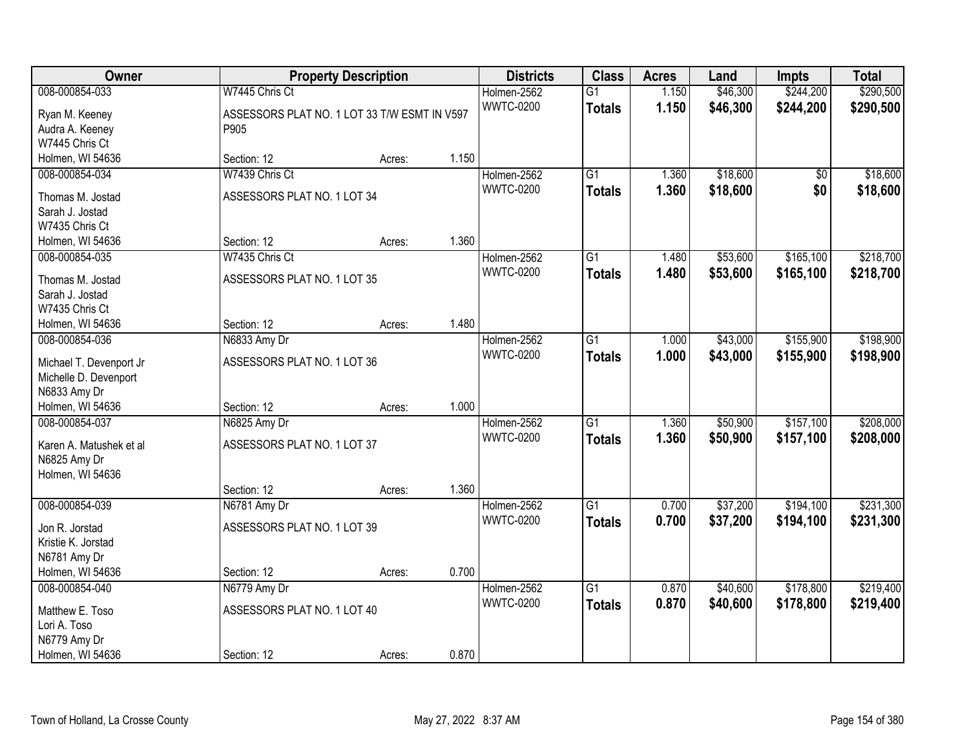| Owner                                            |                                              | <b>Property Description</b> |       | <b>Districts</b> | <b>Class</b>    | <b>Acres</b> | Land     | <b>Impts</b> | <b>Total</b> |
|--------------------------------------------------|----------------------------------------------|-----------------------------|-------|------------------|-----------------|--------------|----------|--------------|--------------|
| 008-000854-033                                   | W7445 Chris Ct                               |                             |       | Holmen-2562      | $\overline{G1}$ | 1.150        | \$46,300 | \$244,200    | \$290,500    |
| Ryan M. Keeney                                   | ASSESSORS PLAT NO. 1 LOT 33 T/W ESMT IN V597 |                             |       | <b>WWTC-0200</b> | <b>Totals</b>   | 1.150        | \$46,300 | \$244,200    | \$290,500    |
| Audra A. Keeney                                  | P905                                         |                             |       |                  |                 |              |          |              |              |
| W7445 Chris Ct                                   |                                              |                             |       |                  |                 |              |          |              |              |
| Holmen, WI 54636                                 | Section: 12                                  | Acres:                      | 1.150 |                  |                 |              |          |              |              |
| 008-000854-034                                   | W7439 Chris Ct                               |                             |       | Holmen-2562      | $\overline{G1}$ | 1.360        | \$18,600 | \$0          | \$18,600     |
|                                                  |                                              |                             |       | <b>WWTC-0200</b> | <b>Totals</b>   | 1.360        | \$18,600 | \$0          | \$18,600     |
| Thomas M. Jostad                                 | ASSESSORS PLAT NO. 1 LOT 34                  |                             |       |                  |                 |              |          |              |              |
| Sarah J. Jostad<br>W7435 Chris Ct                |                                              |                             |       |                  |                 |              |          |              |              |
|                                                  | Section: 12                                  |                             | 1.360 |                  |                 |              |          |              |              |
| Holmen, WI 54636                                 | W7435 Chris Ct                               | Acres:                      |       |                  |                 |              |          | \$165,100    | \$218,700    |
| 008-000854-035                                   |                                              |                             |       | Holmen-2562      | $\overline{G1}$ | 1.480        | \$53,600 |              |              |
| Thomas M. Jostad                                 | ASSESSORS PLAT NO. 1 LOT 35                  |                             |       | <b>WWTC-0200</b> | <b>Totals</b>   | 1.480        | \$53,600 | \$165,100    | \$218,700    |
| Sarah J. Jostad                                  |                                              |                             |       |                  |                 |              |          |              |              |
| W7435 Chris Ct                                   |                                              |                             |       |                  |                 |              |          |              |              |
| Holmen, WI 54636                                 | Section: 12                                  | Acres:                      | 1.480 |                  |                 |              |          |              |              |
| 008-000854-036                                   | N6833 Amy Dr                                 |                             |       | Holmen-2562      | $\overline{G1}$ | 1.000        | \$43,000 | \$155,900    | \$198,900    |
|                                                  | ASSESSORS PLAT NO. 1 LOT 36                  |                             |       | <b>WWTC-0200</b> | <b>Totals</b>   | 1.000        | \$43,000 | \$155,900    | \$198,900    |
| Michael T. Devenport Jr<br>Michelle D. Devenport |                                              |                             |       |                  |                 |              |          |              |              |
| N6833 Amy Dr                                     |                                              |                             |       |                  |                 |              |          |              |              |
| Holmen, WI 54636                                 | Section: 12                                  |                             | 1.000 |                  |                 |              |          |              |              |
| 008-000854-037                                   | N6825 Amy Dr                                 | Acres:                      |       | Holmen-2562      | $\overline{G1}$ | 1.360        | \$50,900 | \$157,100    | \$208,000    |
|                                                  |                                              |                             |       | <b>WWTC-0200</b> |                 |              |          |              |              |
| Karen A. Matushek et al                          | ASSESSORS PLAT NO. 1 LOT 37                  |                             |       |                  | <b>Totals</b>   | 1.360        | \$50,900 | \$157,100    | \$208,000    |
| N6825 Amy Dr                                     |                                              |                             |       |                  |                 |              |          |              |              |
| Holmen, WI 54636                                 |                                              |                             |       |                  |                 |              |          |              |              |
|                                                  | Section: 12                                  | Acres:                      | 1.360 |                  |                 |              |          |              |              |
| 008-000854-039                                   | N6781 Amy Dr                                 |                             |       | Holmen-2562      | $\overline{G1}$ | 0.700        | \$37,200 | \$194,100    | \$231,300    |
| Jon R. Jorstad                                   | ASSESSORS PLAT NO. 1 LOT 39                  |                             |       | <b>WWTC-0200</b> | <b>Totals</b>   | 0.700        | \$37,200 | \$194,100    | \$231,300    |
| Kristie K. Jorstad                               |                                              |                             |       |                  |                 |              |          |              |              |
| N6781 Amy Dr                                     |                                              |                             |       |                  |                 |              |          |              |              |
| Holmen, WI 54636                                 | Section: 12                                  | Acres:                      | 0.700 |                  |                 |              |          |              |              |
| 008-000854-040                                   | N6779 Amy Dr                                 |                             |       | Holmen-2562      | $\overline{G1}$ | 0.870        | \$40,600 | \$178,800    | \$219,400    |
|                                                  |                                              |                             |       | <b>WWTC-0200</b> | <b>Totals</b>   | 0.870        | \$40,600 | \$178,800    | \$219,400    |
| Matthew E. Toso                                  | ASSESSORS PLAT NO. 1 LOT 40                  |                             |       |                  |                 |              |          |              |              |
| Lori A. Toso                                     |                                              |                             |       |                  |                 |              |          |              |              |
| N6779 Amy Dr                                     |                                              |                             |       |                  |                 |              |          |              |              |
| Holmen, WI 54636                                 | Section: 12                                  | Acres:                      | 0.870 |                  |                 |              |          |              |              |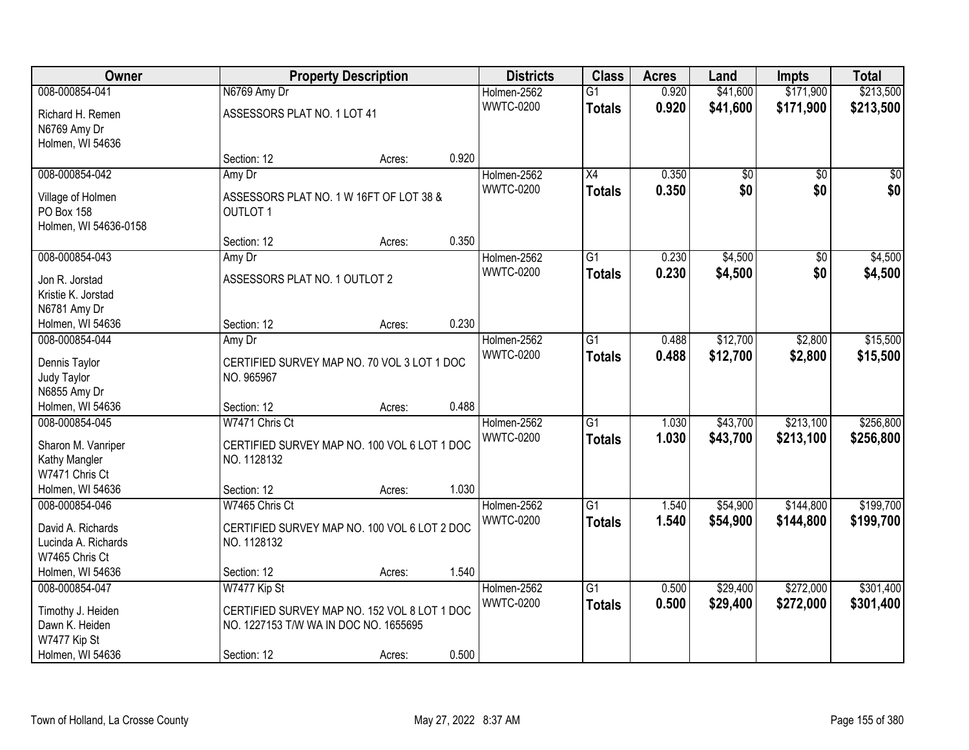| Owner                              |                                                           | <b>Property Description</b> |       |                  | <b>Class</b>    | <b>Acres</b> | Land            | <b>Impts</b>    | <b>Total</b> |
|------------------------------------|-----------------------------------------------------------|-----------------------------|-------|------------------|-----------------|--------------|-----------------|-----------------|--------------|
| 008-000854-041                     | N6769 Amy Dr                                              |                             |       | Holmen-2562      | $\overline{G1}$ | 0.920        | \$41,600        | \$171,900       | \$213,500    |
| Richard H. Remen                   | ASSESSORS PLAT NO. 1 LOT 41                               |                             |       | <b>WWTC-0200</b> | <b>Totals</b>   | 0.920        | \$41,600        | \$171,900       | \$213,500    |
| N6769 Amy Dr                       |                                                           |                             |       |                  |                 |              |                 |                 |              |
| Holmen, WI 54636                   |                                                           |                             |       |                  |                 |              |                 |                 |              |
|                                    | Section: 12                                               | Acres:                      | 0.920 |                  |                 |              |                 |                 |              |
| 008-000854-042                     | Amy Dr                                                    |                             |       | Holmen-2562      | $\overline{X4}$ | 0.350        | $\overline{50}$ | $\overline{50}$ | \$0          |
| Village of Holmen                  | ASSESSORS PLAT NO. 1 W 16FT OF LOT 38 &                   |                             |       | <b>WWTC-0200</b> | <b>Totals</b>   | 0.350        | \$0             | \$0             | \$0          |
| PO Box 158                         | <b>OUTLOT 1</b>                                           |                             |       |                  |                 |              |                 |                 |              |
| Holmen, WI 54636-0158              |                                                           |                             |       |                  |                 |              |                 |                 |              |
|                                    | Section: 12                                               | Acres:                      | 0.350 |                  |                 |              |                 |                 |              |
| 008-000854-043                     | Amy Dr                                                    |                             |       | Holmen-2562      | $\overline{G1}$ | 0.230        | \$4,500         | \$0             | \$4,500      |
| Jon R. Jorstad                     | ASSESSORS PLAT NO. 1 OUTLOT 2                             |                             |       | <b>WWTC-0200</b> | <b>Totals</b>   | 0.230        | \$4,500         | \$0             | \$4,500      |
| Kristie K. Jorstad                 |                                                           |                             |       |                  |                 |              |                 |                 |              |
| N6781 Amy Dr                       |                                                           |                             |       |                  |                 |              |                 |                 |              |
| Holmen, WI 54636                   | Section: 12                                               | Acres:                      | 0.230 |                  |                 |              |                 |                 |              |
| 008-000854-044                     | Amy Dr                                                    |                             |       | Holmen-2562      | $\overline{G1}$ | 0.488        | \$12,700        | \$2,800         | \$15,500     |
|                                    |                                                           |                             |       | <b>WWTC-0200</b> | <b>Totals</b>   | 0.488        | \$12,700        | \$2,800         | \$15,500     |
| Dennis Taylor                      | CERTIFIED SURVEY MAP NO. 70 VOL 3 LOT 1 DOC<br>NO. 965967 |                             |       |                  |                 |              |                 |                 |              |
| Judy Taylor<br>N6855 Amy Dr        |                                                           |                             |       |                  |                 |              |                 |                 |              |
| Holmen, WI 54636                   | Section: 12                                               | Acres:                      | 0.488 |                  |                 |              |                 |                 |              |
| 008-000854-045                     | W7471 Chris Ct                                            |                             |       | Holmen-2562      | $\overline{G1}$ | 1.030        | \$43,700        | \$213,100       | \$256,800    |
|                                    |                                                           |                             |       | <b>WWTC-0200</b> | <b>Totals</b>   | 1.030        | \$43,700        | \$213,100       | \$256,800    |
| Sharon M. Vanriper                 | CERTIFIED SURVEY MAP NO. 100 VOL 6 LOT 1 DOC              |                             |       |                  |                 |              |                 |                 |              |
| Kathy Mangler                      | NO. 1128132                                               |                             |       |                  |                 |              |                 |                 |              |
| W7471 Chris Ct<br>Holmen, WI 54636 |                                                           |                             | 1.030 |                  |                 |              |                 |                 |              |
| 008-000854-046                     | Section: 12<br>W7465 Chris Ct                             | Acres:                      |       | Holmen-2562      | $\overline{G1}$ | 1.540        | \$54,900        | \$144,800       | \$199,700    |
|                                    |                                                           |                             |       | <b>WWTC-0200</b> | <b>Totals</b>   | 1.540        | \$54,900        | \$144,800       | \$199,700    |
| David A. Richards                  | CERTIFIED SURVEY MAP NO. 100 VOL 6 LOT 2 DOC              |                             |       |                  |                 |              |                 |                 |              |
| Lucinda A. Richards                | NO. 1128132                                               |                             |       |                  |                 |              |                 |                 |              |
| W7465 Chris Ct                     |                                                           |                             |       |                  |                 |              |                 |                 |              |
| Holmen, WI 54636                   | Section: 12                                               | Acres:                      | 1.540 |                  |                 |              |                 |                 |              |
| 008-000854-047                     | W7477 Kip St                                              |                             |       | Holmen-2562      | $\overline{G1}$ | 0.500        | \$29,400        | \$272,000       | \$301,400    |
| Timothy J. Heiden                  | CERTIFIED SURVEY MAP NO. 152 VOL 8 LOT 1 DOC              |                             |       | <b>WWTC-0200</b> | <b>Totals</b>   | 0.500        | \$29,400        | \$272,000       | \$301,400    |
| Dawn K. Heiden                     | NO. 1227153 T/W WA IN DOC NO. 1655695                     |                             |       |                  |                 |              |                 |                 |              |
| W7477 Kip St                       |                                                           |                             |       |                  |                 |              |                 |                 |              |
| Holmen, WI 54636                   | Section: 12                                               | Acres:                      | 0.500 |                  |                 |              |                 |                 |              |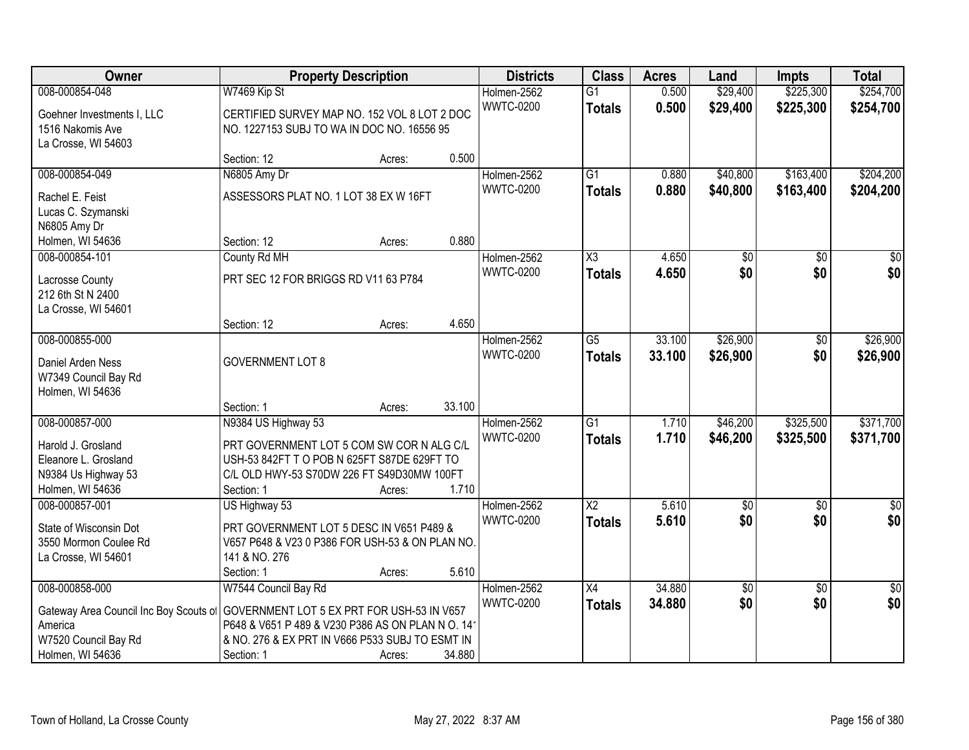| Owner                                  | <b>Property Description</b>                      |        |        | <b>Districts</b> | <b>Class</b>           | <b>Acres</b> | Land            | <b>Impts</b>    | <b>Total</b>    |
|----------------------------------------|--------------------------------------------------|--------|--------|------------------|------------------------|--------------|-----------------|-----------------|-----------------|
| 008-000854-048                         | W7469 Kip St                                     |        |        | Holmen-2562      | $\overline{G1}$        | 0.500        | \$29,400        | \$225,300       | \$254,700       |
| Goehner Investments I, LLC             | CERTIFIED SURVEY MAP NO. 152 VOL 8 LOT 2 DOC     |        |        | <b>WWTC-0200</b> | <b>Totals</b>          | 0.500        | \$29,400        | \$225,300       | \$254,700       |
| 1516 Nakomis Ave                       | NO. 1227153 SUBJ TO WA IN DOC NO. 16556 95       |        |        |                  |                        |              |                 |                 |                 |
| La Crosse, WI 54603                    |                                                  |        |        |                  |                        |              |                 |                 |                 |
|                                        | Section: 12                                      | Acres: | 0.500  |                  |                        |              |                 |                 |                 |
| 008-000854-049                         | N6805 Amy Dr                                     |        |        | Holmen-2562      | $\overline{G1}$        | 0.880        | \$40,800        | \$163,400       | \$204,200       |
| Rachel E. Feist                        | ASSESSORS PLAT NO. 1 LOT 38 EX W 16FT            |        |        | <b>WWTC-0200</b> | <b>Totals</b>          | 0.880        | \$40,800        | \$163,400       | \$204,200       |
| Lucas C. Szymanski                     |                                                  |        |        |                  |                        |              |                 |                 |                 |
| N6805 Amy Dr                           |                                                  |        |        |                  |                        |              |                 |                 |                 |
| Holmen, WI 54636                       | Section: 12                                      | Acres: | 0.880  |                  |                        |              |                 |                 |                 |
| 008-000854-101                         | County Rd MH                                     |        |        | Holmen-2562      | $\overline{\text{X3}}$ | 4.650        | $\overline{50}$ | $\overline{50}$ | $\overline{50}$ |
| Lacrosse County                        | PRT SEC 12 FOR BRIGGS RD V11 63 P784             |        |        | <b>WWTC-0200</b> | <b>Totals</b>          | 4.650        | \$0             | \$0             | \$0             |
| 212 6th St N 2400                      |                                                  |        |        |                  |                        |              |                 |                 |                 |
| La Crosse, WI 54601                    |                                                  |        |        |                  |                        |              |                 |                 |                 |
|                                        | Section: 12                                      | Acres: | 4.650  |                  |                        |              |                 |                 |                 |
| 008-000855-000                         |                                                  |        |        | Holmen-2562      | G5                     | 33.100       | \$26,900        | \$0             | \$26,900        |
| Daniel Arden Ness                      | <b>GOVERNMENT LOT 8</b>                          |        |        | <b>WWTC-0200</b> | <b>Totals</b>          | 33.100       | \$26,900        | \$0             | \$26,900        |
| W7349 Council Bay Rd                   |                                                  |        |        |                  |                        |              |                 |                 |                 |
| Holmen, WI 54636                       |                                                  |        |        |                  |                        |              |                 |                 |                 |
|                                        | Section: 1                                       | Acres: | 33.100 |                  |                        |              |                 |                 |                 |
| 008-000857-000                         | N9384 US Highway 53                              |        |        | Holmen-2562      | $\overline{G1}$        | 1.710        | \$46,200        | \$325,500       | \$371,700       |
| Harold J. Grosland                     | PRT GOVERNMENT LOT 5 COM SW COR N ALG C/L        |        |        | <b>WWTC-0200</b> | <b>Totals</b>          | 1.710        | \$46,200        | \$325,500       | \$371,700       |
| Eleanore L. Grosland                   | USH-53 842FT T O POB N 625FT S87DE 629FT TO      |        |        |                  |                        |              |                 |                 |                 |
| N9384 Us Highway 53                    | C/L OLD HWY-53 S70DW 226 FT S49D30MW 100FT       |        |        |                  |                        |              |                 |                 |                 |
| Holmen, WI 54636                       | Section: 1                                       | Acres: | 1.710  |                  |                        |              |                 |                 |                 |
| 008-000857-001                         | US Highway 53                                    |        |        | Holmen-2562      | $\overline{X2}$        | 5.610        | $\sqrt{6}$      | $\sqrt{6}$      | $\frac{1}{6}$   |
| State of Wisconsin Dot                 | PRT GOVERNMENT LOT 5 DESC IN V651 P489 &         |        |        | <b>WWTC-0200</b> | <b>Totals</b>          | 5.610        | \$0             | \$0             | \$0             |
| 3550 Mormon Coulee Rd                  | V657 P648 & V23 0 P386 FOR USH-53 & ON PLAN NO.  |        |        |                  |                        |              |                 |                 |                 |
| La Crosse, WI 54601                    | 141 & NO. 276                                    |        |        |                  |                        |              |                 |                 |                 |
|                                        | Section: 1                                       | Acres: | 5.610  |                  |                        |              |                 |                 |                 |
| 008-000858-000                         | W7544 Council Bay Rd                             |        |        | Holmen-2562      | $\overline{X4}$        | 34.880       | \$0             | $\overline{50}$ | $\overline{50}$ |
| Gateway Area Council Inc Boy Scouts of | GOVERNMENT LOT 5 EX PRT FOR USH-53 IN V657       |        |        | <b>WWTC-0200</b> | <b>Totals</b>          | 34.880       | \$0             | \$0             | \$0             |
| America                                | P648 & V651 P 489 & V230 P386 AS ON PLAN N O. 14 |        |        |                  |                        |              |                 |                 |                 |
| W7520 Council Bay Rd                   | & NO. 276 & EX PRT IN V666 P533 SUBJ TO ESMT IN  |        |        |                  |                        |              |                 |                 |                 |
| Holmen, WI 54636                       | Section: 1                                       | Acres: | 34.880 |                  |                        |              |                 |                 |                 |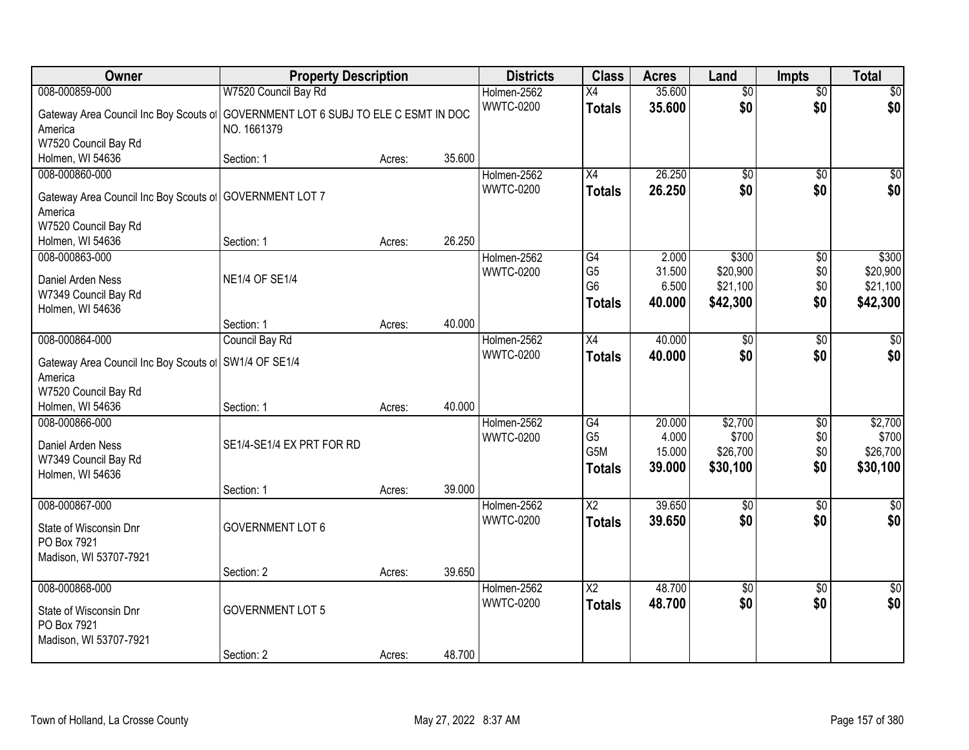| Owner                                                                                       | <b>Property Description</b>                               |        |        | <b>Districts</b>                | <b>Class</b>                                            | <b>Acres</b>                        | Land                                      | <b>Impts</b>             | <b>Total</b>                              |
|---------------------------------------------------------------------------------------------|-----------------------------------------------------------|--------|--------|---------------------------------|---------------------------------------------------------|-------------------------------------|-------------------------------------------|--------------------------|-------------------------------------------|
| 008-000859-000                                                                              | W7520 Council Bay Rd                                      |        |        | Holmen-2562                     | $\overline{X4}$                                         | 35.600                              | $\overline{50}$                           | $\overline{50}$          | $\sqrt{50}$                               |
| Gateway Area Council Inc Boy Scouts of<br>America<br>W7520 Council Bay Rd                   | GOVERNMENT LOT 6 SUBJ TO ELE C ESMT IN DOC<br>NO. 1661379 |        |        | <b>WWTC-0200</b>                | <b>Totals</b>                                           | 35.600                              | \$0                                       | \$0                      | \$0                                       |
| Holmen, WI 54636                                                                            | Section: 1                                                | Acres: | 35.600 |                                 |                                                         |                                     |                                           |                          |                                           |
| 008-000860-000<br>Gateway Area Council Inc Boy Scouts of<br>America<br>W7520 Council Bay Rd | <b>GOVERNMENT LOT 7</b>                                   |        |        | Holmen-2562<br><b>WWTC-0200</b> | X4<br><b>Totals</b>                                     | 26.250<br>26.250                    | \$0<br>\$0                                | $\overline{50}$<br>\$0   | \$0<br>\$0                                |
| Holmen, WI 54636                                                                            | Section: 1                                                | Acres: | 26.250 |                                 |                                                         |                                     |                                           |                          |                                           |
| 008-000863-000<br>Daniel Arden Ness<br>W7349 Council Bay Rd<br>Holmen, WI 54636             | <b>NE1/4 OF SE1/4</b>                                     |        |        | Holmen-2562<br><b>WWTC-0200</b> | G4<br>G <sub>5</sub><br>G <sub>6</sub><br><b>Totals</b> | 2.000<br>31.500<br>6.500<br>40.000  | \$300<br>\$20,900<br>\$21,100<br>\$42,300 | \$0<br>\$0<br>\$0<br>\$0 | \$300<br>\$20,900<br>\$21,100<br>\$42,300 |
|                                                                                             | Section: 1                                                | Acres: | 40.000 |                                 |                                                         |                                     |                                           |                          |                                           |
| 008-000864-000<br>Gateway Area Council Inc Boy Scouts of<br>America<br>W7520 Council Bay Rd | Council Bay Rd<br>SW1/4 OF SE1/4                          |        |        | Holmen-2562<br><b>WWTC-0200</b> | X4<br><b>Totals</b>                                     | 40.000<br>40.000                    | $\overline{50}$<br>\$0                    | \$0<br>\$0               | \$0<br>\$0                                |
| Holmen, WI 54636                                                                            | Section: 1                                                | Acres: | 40.000 |                                 |                                                         |                                     |                                           |                          |                                           |
| 008-000866-000<br>Daniel Arden Ness<br>W7349 Council Bay Rd<br>Holmen, WI 54636             | SE1/4-SE1/4 EX PRT FOR RD<br>Section: 1                   | Acres: | 39.000 | Holmen-2562<br><b>WWTC-0200</b> | G4<br>G <sub>5</sub><br>G5M<br><b>Totals</b>            | 20.000<br>4.000<br>15.000<br>39.000 | \$2,700<br>\$700<br>\$26,700<br>\$30,100  | \$0<br>\$0<br>\$0<br>\$0 | \$2,700<br>\$700<br>\$26,700<br>\$30,100  |
| 008-000867-000<br>State of Wisconsin Dnr<br>PO Box 7921<br>Madison, WI 53707-7921           | <b>GOVERNMENT LOT 6</b>                                   |        |        | Holmen-2562<br><b>WWTC-0200</b> | $\overline{\text{X2}}$<br><b>Totals</b>                 | 39.650<br>39.650                    | $\overline{50}$<br>\$0                    | $\overline{50}$<br>\$0   | $\sqrt{50}$<br>\$0                        |
| 008-000868-000                                                                              | Section: 2                                                | Acres: | 39.650 | Holmen-2562                     | $\overline{\mathsf{x2}}$                                | 48.700                              | $\overline{50}$                           | $\overline{30}$          | $\overline{50}$                           |
| State of Wisconsin Dnr<br>PO Box 7921<br>Madison, WI 53707-7921                             | <b>GOVERNMENT LOT 5</b><br>Section: 2                     | Acres: | 48.700 | <b>WWTC-0200</b>                | <b>Totals</b>                                           | 48.700                              | \$0                                       | \$0                      | \$0                                       |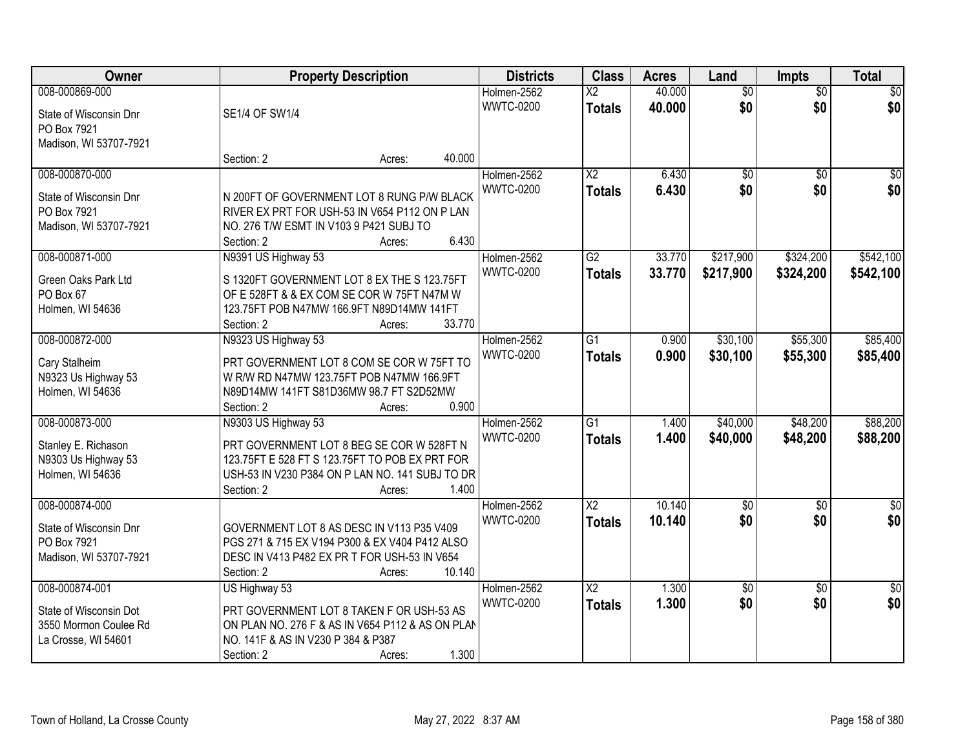| Owner                            | <b>Property Description</b>                                                               |        | <b>Districts</b> | <b>Class</b>           | <b>Acres</b> | Land            | Impts           | <b>Total</b>    |
|----------------------------------|-------------------------------------------------------------------------------------------|--------|------------------|------------------------|--------------|-----------------|-----------------|-----------------|
| 008-000869-000                   |                                                                                           |        | Holmen-2562      | $\overline{\text{X2}}$ | 40.000       | $\overline{60}$ | $\overline{50}$ | $\overline{50}$ |
| State of Wisconsin Dnr           | SE1/4 OF SW1/4                                                                            |        | <b>WWTC-0200</b> | <b>Totals</b>          | 40.000       | \$0             | \$0             | \$0             |
| PO Box 7921                      |                                                                                           |        |                  |                        |              |                 |                 |                 |
| Madison, WI 53707-7921           |                                                                                           |        |                  |                        |              |                 |                 |                 |
|                                  | Section: 2<br>Acres:                                                                      | 40.000 |                  |                        |              |                 |                 |                 |
| 008-000870-000                   |                                                                                           |        | Holmen-2562      | $\overline{X2}$        | 6.430        | $\overline{60}$ | $\overline{50}$ | $\overline{50}$ |
| State of Wisconsin Dnr           | N 200FT OF GOVERNMENT LOT 8 RUNG P/W BLACK                                                |        | <b>WWTC-0200</b> | <b>Totals</b>          | 6.430        | \$0             | \$0             | \$0             |
| PO Box 7921                      | RIVER EX PRT FOR USH-53 IN V654 P112 ON P LAN                                             |        |                  |                        |              |                 |                 |                 |
| Madison, WI 53707-7921           | NO. 276 T/W ESMT IN V103 9 P421 SUBJ TO                                                   |        |                  |                        |              |                 |                 |                 |
|                                  | Section: 2<br>Acres:                                                                      | 6.430  |                  |                        |              |                 |                 |                 |
| 008-000871-000                   | N9391 US Highway 53                                                                       |        | Holmen-2562      | G2                     | 33.770       | \$217,900       | \$324,200       | \$542,100       |
|                                  |                                                                                           |        | <b>WWTC-0200</b> | <b>Totals</b>          | 33.770       | \$217,900       | \$324,200       | \$542,100       |
| Green Oaks Park Ltd<br>PO Box 67 | S 1320FT GOVERNMENT LOT 8 EX THE S 123.75FT<br>OF E 528FT & & EX COM SE COR W 75FT N47M W |        |                  |                        |              |                 |                 |                 |
| Holmen, WI 54636                 | 123.75FT POB N47MW 166.9FT N89D14MW 141FT                                                 |        |                  |                        |              |                 |                 |                 |
|                                  | Section: 2<br>Acres:                                                                      | 33.770 |                  |                        |              |                 |                 |                 |
| 008-000872-000                   | N9323 US Highway 53                                                                       |        | Holmen-2562      | $\overline{G1}$        | 0.900        | \$30,100        | \$55,300        | \$85,400        |
|                                  |                                                                                           |        | <b>WWTC-0200</b> | <b>Totals</b>          | 0.900        | \$30,100        | \$55,300        | \$85,400        |
| Cary Stalheim                    | PRT GOVERNMENT LOT 8 COM SE COR W 75FT TO                                                 |        |                  |                        |              |                 |                 |                 |
| N9323 Us Highway 53              | W R/W RD N47MW 123.75FT POB N47MW 166.9FT                                                 |        |                  |                        |              |                 |                 |                 |
| Holmen, WI 54636                 | N89D14MW 141FT S81D36MW 98.7 FT S2D52MW<br>Section: 2                                     | 0.900  |                  |                        |              |                 |                 |                 |
| 008-000873-000                   | Acres:<br>N9303 US Highway 53                                                             |        | Holmen-2562      | $\overline{G1}$        | 1.400        | \$40,000        | \$48,200        | \$88,200        |
|                                  |                                                                                           |        | <b>WWTC-0200</b> | <b>Totals</b>          | 1.400        | \$40,000        | \$48,200        | \$88,200        |
| Stanley E. Richason              | PRT GOVERNMENT LOT 8 BEG SE COR W 528FT N                                                 |        |                  |                        |              |                 |                 |                 |
| N9303 Us Highway 53              | 123.75FT E 528 FT S 123.75FT TO POB EX PRT FOR                                            |        |                  |                        |              |                 |                 |                 |
| Holmen, WI 54636                 | USH-53 IN V230 P384 ON P LAN NO. 141 SUBJ TO DR                                           |        |                  |                        |              |                 |                 |                 |
|                                  | Section: 2<br>Acres:                                                                      | 1.400  |                  |                        |              |                 |                 |                 |
| 008-000874-000                   |                                                                                           |        | Holmen-2562      | $\overline{X2}$        | 10.140       | $\overline{60}$ | $\overline{50}$ | $\overline{50}$ |
| State of Wisconsin Dnr           | GOVERNMENT LOT 8 AS DESC IN V113 P35 V409                                                 |        | <b>WWTC-0200</b> | <b>Totals</b>          | 10.140       | \$0             | \$0             | \$0             |
| PO Box 7921                      | PGS 271 & 715 EX V194 P300 & EX V404 P412 ALSO                                            |        |                  |                        |              |                 |                 |                 |
| Madison, WI 53707-7921           | DESC IN V413 P482 EX PR T FOR USH-53 IN V654                                              |        |                  |                        |              |                 |                 |                 |
|                                  | Section: 2<br>Acres:                                                                      | 10.140 |                  |                        |              |                 |                 |                 |
| 008-000874-001                   | US Highway 53                                                                             |        | Holmen-2562      | $\overline{\text{X2}}$ | 1.300        | $\sqrt{6}$      | $\overline{50}$ | $\overline{50}$ |
| State of Wisconsin Dot           | PRT GOVERNMENT LOT 8 TAKEN F OR USH-53 AS                                                 |        | <b>WWTC-0200</b> | <b>Totals</b>          | 1.300        | \$0             | \$0             | \$0             |
| 3550 Mormon Coulee Rd            | ON PLAN NO. 276 F & AS IN V654 P112 & AS ON PLAN                                          |        |                  |                        |              |                 |                 |                 |
| La Crosse, WI 54601              | NO. 141F & AS IN V230 P 384 & P387                                                        |        |                  |                        |              |                 |                 |                 |
|                                  | Section: 2<br>Acres:                                                                      | 1.300  |                  |                        |              |                 |                 |                 |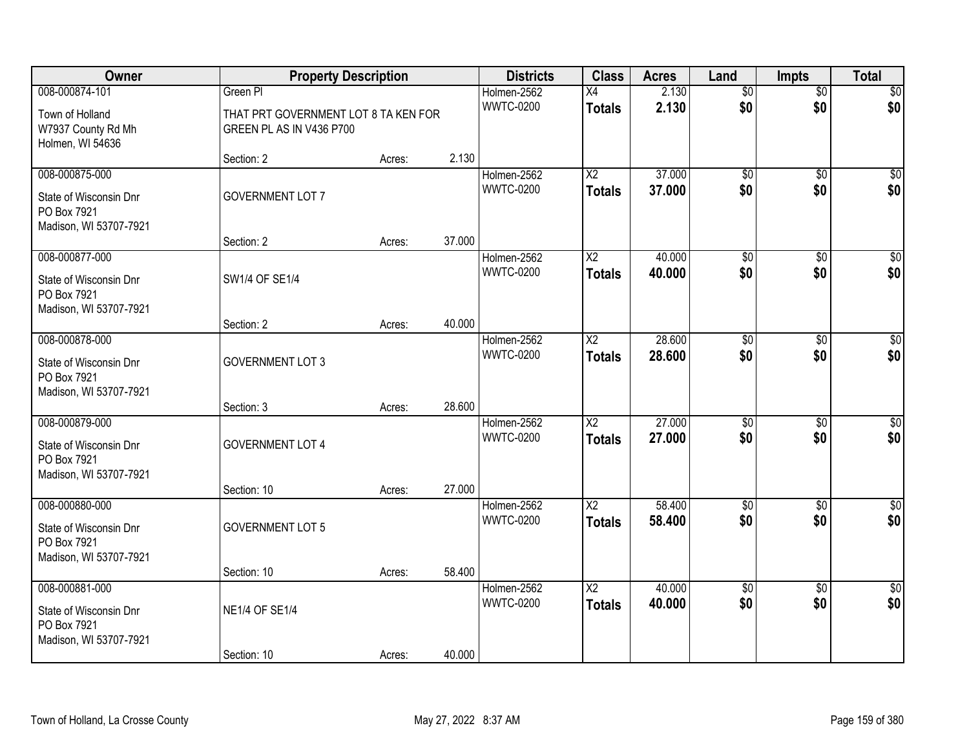| Owner                                                                             |                                                                  | <b>Property Description</b> |        |                                 | <b>Class</b>                     | <b>Acres</b>     | Land                   | <b>Impts</b>           | <b>Total</b>           |
|-----------------------------------------------------------------------------------|------------------------------------------------------------------|-----------------------------|--------|---------------------------------|----------------------------------|------------------|------------------------|------------------------|------------------------|
| 008-000874-101                                                                    | Green PI                                                         |                             |        | Holmen-2562                     | X4                               | 2.130            | $\overline{50}$        | $\overline{50}$        | \$0                    |
| Town of Holland<br>W7937 County Rd Mh<br>Holmen, WI 54636                         | THAT PRT GOVERNMENT LOT 8 TA KEN FOR<br>GREEN PL AS IN V436 P700 |                             |        | <b>WWTC-0200</b>                | <b>Totals</b>                    | 2.130            | \$0                    | \$0                    | \$0                    |
|                                                                                   | Section: 2                                                       | Acres:                      | 2.130  |                                 |                                  |                  |                        |                        |                        |
| 008-000875-000<br>State of Wisconsin Dnr<br>PO Box 7921<br>Madison, WI 53707-7921 | <b>GOVERNMENT LOT 7</b>                                          |                             |        | Holmen-2562<br><b>WWTC-0200</b> | $\overline{X2}$<br><b>Totals</b> | 37.000<br>37.000 | $\overline{50}$<br>\$0 | $\overline{50}$<br>\$0 | $\sqrt{50}$<br>\$0     |
| 008-000877-000                                                                    | Section: 2                                                       | Acres:                      | 37.000 |                                 | $\overline{X2}$                  | 40.000           |                        |                        | \$0                    |
| State of Wisconsin Dnr<br>PO Box 7921<br>Madison, WI 53707-7921                   | SW1/4 OF SE1/4                                                   |                             |        | Holmen-2562<br><b>WWTC-0200</b> | <b>Totals</b>                    | 40.000           | $\overline{60}$<br>\$0 | \$0<br>\$0             | \$0                    |
|                                                                                   | Section: 2                                                       | Acres:                      | 40.000 |                                 |                                  |                  |                        |                        |                        |
| 008-000878-000<br>State of Wisconsin Dnr<br>PO Box 7921<br>Madison, WI 53707-7921 | <b>GOVERNMENT LOT 3</b>                                          |                             |        | Holmen-2562<br><b>WWTC-0200</b> | X2<br><b>Totals</b>              | 28.600<br>28.600 | \$0<br>\$0             | \$0<br>\$0             | $\sqrt{50}$<br>\$0     |
|                                                                                   | Section: 3                                                       | Acres:                      | 28.600 |                                 |                                  |                  |                        |                        |                        |
| 008-000879-000<br>State of Wisconsin Dnr<br>PO Box 7921<br>Madison, WI 53707-7921 | <b>GOVERNMENT LOT 4</b>                                          |                             | 27.000 | Holmen-2562<br><b>WWTC-0200</b> | $\overline{X2}$<br><b>Totals</b> | 27.000<br>27.000 | $\overline{50}$<br>\$0 | $\overline{30}$<br>\$0 | $\overline{50}$<br>\$0 |
| 008-000880-000                                                                    | Section: 10                                                      | Acres:                      |        | Holmen-2562                     | $\overline{X2}$                  | 58.400           | $\overline{50}$        | \$0                    | $\overline{\$0}$       |
| State of Wisconsin Dnr<br>PO Box 7921<br>Madison, WI 53707-7921                   | <b>GOVERNMENT LOT 5</b>                                          |                             |        | <b>WWTC-0200</b>                | <b>Totals</b>                    | 58.400           | \$0                    | \$0                    | \$0                    |
|                                                                                   | Section: 10                                                      | Acres:                      | 58.400 |                                 |                                  |                  |                        |                        |                        |
| 008-000881-000<br>State of Wisconsin Dnr<br>PO Box 7921<br>Madison, WI 53707-7921 | <b>NE1/4 OF SE1/4</b>                                            |                             |        | Holmen-2562<br><b>WWTC-0200</b> | $\overline{X2}$<br><b>Totals</b> | 40.000<br>40.000 | $\overline{50}$<br>\$0 | $\overline{30}$<br>\$0 | $\overline{50}$<br>\$0 |
|                                                                                   | Section: 10                                                      | Acres:                      | 40.000 |                                 |                                  |                  |                        |                        |                        |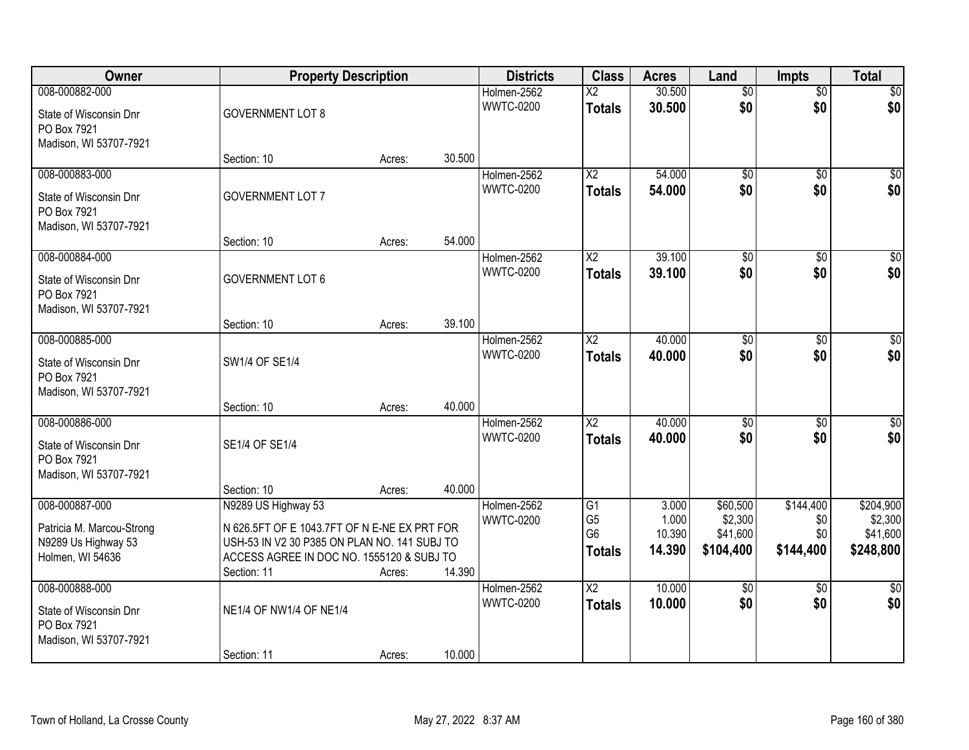| Owner                                                                                  |                                                                                                                                                                                 | <b>Property Description</b> |        | <b>Districts</b>                | <b>Class</b>                                                         | <b>Acres</b>                       | Land                                         | <b>Impts</b>                         | <b>Total</b>                                  |
|----------------------------------------------------------------------------------------|---------------------------------------------------------------------------------------------------------------------------------------------------------------------------------|-----------------------------|--------|---------------------------------|----------------------------------------------------------------------|------------------------------------|----------------------------------------------|--------------------------------------|-----------------------------------------------|
| 008-000882-000<br>State of Wisconsin Dnr<br>PO Box 7921<br>Madison, WI 53707-7921      | <b>GOVERNMENT LOT 8</b>                                                                                                                                                         |                             |        | Holmen-2562<br><b>WWTC-0200</b> | $\overline{\text{X2}}$<br><b>Totals</b>                              | 30.500<br>30.500                   | $\overline{50}$<br>\$0                       | $\overline{50}$<br>\$0               | \$0<br>\$0                                    |
|                                                                                        | Section: 10                                                                                                                                                                     | Acres:                      | 30.500 |                                 |                                                                      |                                    |                                              |                                      |                                               |
| 008-000883-000<br>State of Wisconsin Dnr<br>PO Box 7921<br>Madison, WI 53707-7921      | <b>GOVERNMENT LOT 7</b>                                                                                                                                                         |                             |        | Holmen-2562<br><b>WWTC-0200</b> | $\overline{\text{X2}}$<br><b>Totals</b>                              | 54.000<br>54.000                   | $\overline{50}$<br>\$0                       | $\overline{50}$<br>\$0               | \$0<br>\$0                                    |
|                                                                                        | Section: 10                                                                                                                                                                     | Acres:                      | 54.000 |                                 |                                                                      |                                    |                                              |                                      |                                               |
| 008-000884-000<br>State of Wisconsin Dnr<br>PO Box 7921<br>Madison, WI 53707-7921      | <b>GOVERNMENT LOT 6</b>                                                                                                                                                         |                             |        | Holmen-2562<br><b>WWTC-0200</b> | $\overline{X2}$<br><b>Totals</b>                                     | 39.100<br>39.100                   | $\overline{50}$<br>\$0                       | \$0<br>\$0                           | $\overline{50}$<br>\$0                        |
|                                                                                        | Section: 10                                                                                                                                                                     | Acres:                      | 39.100 |                                 |                                                                      |                                    |                                              |                                      |                                               |
| 008-000885-000<br>State of Wisconsin Dnr<br>PO Box 7921<br>Madison, WI 53707-7921      | SW1/4 OF SE1/4                                                                                                                                                                  |                             |        | Holmen-2562<br><b>WWTC-0200</b> | $\overline{\text{X2}}$<br><b>Totals</b>                              | 40.000<br>40.000                   | $\overline{50}$<br>\$0                       | \$0<br>\$0                           | $\sqrt{50}$<br>\$0                            |
|                                                                                        | Section: 10                                                                                                                                                                     | Acres:                      | 40.000 |                                 |                                                                      |                                    |                                              |                                      |                                               |
| 008-000886-000<br>State of Wisconsin Dnr<br>PO Box 7921<br>Madison, WI 53707-7921      | SE1/4 OF SE1/4                                                                                                                                                                  |                             |        | Holmen-2562<br><b>WWTC-0200</b> | $\overline{X2}$<br><b>Totals</b>                                     | 40.000<br>40.000                   | $\overline{50}$<br>\$0                       | \$0<br>\$0                           | $\sqrt{50}$<br>\$0                            |
|                                                                                        | Section: 10                                                                                                                                                                     | Acres:                      | 40.000 |                                 |                                                                      |                                    |                                              |                                      |                                               |
| 008-000887-000<br>Patricia M. Marcou-Strong<br>N9289 Us Highway 53<br>Holmen, WI 54636 | N9289 US Highway 53<br>N 626.5FT OF E 1043.7FT OF N E-NE EX PRT FOR<br>USH-53 IN V2 30 P385 ON PLAN NO. 141 SUBJ TO<br>ACCESS AGREE IN DOC NO. 1555120 & SUBJ TO<br>Section: 11 | Acres:                      | 14.390 | Holmen-2562<br><b>WWTC-0200</b> | $\overline{G1}$<br>G <sub>5</sub><br>G <sub>6</sub><br><b>Totals</b> | 3.000<br>1.000<br>10.390<br>14.390 | \$60,500<br>\$2,300<br>\$41,600<br>\$104,400 | \$144,400<br>\$0<br>\$0<br>\$144,400 | \$204,900<br>\$2,300<br>\$41,600<br>\$248,800 |
| 008-000888-000<br>State of Wisconsin Dnr<br>PO Box 7921<br>Madison, WI 53707-7921      | NE1/4 OF NW1/4 OF NE1/4<br>Section: 11                                                                                                                                          | Acres:                      | 10.000 | Holmen-2562<br><b>WWTC-0200</b> | $\overline{\text{X2}}$<br><b>Totals</b>                              | 10.000<br>10.000                   | $\overline{50}$<br>\$0                       | $\overline{50}$<br>\$0               | $\overline{30}$<br>\$0                        |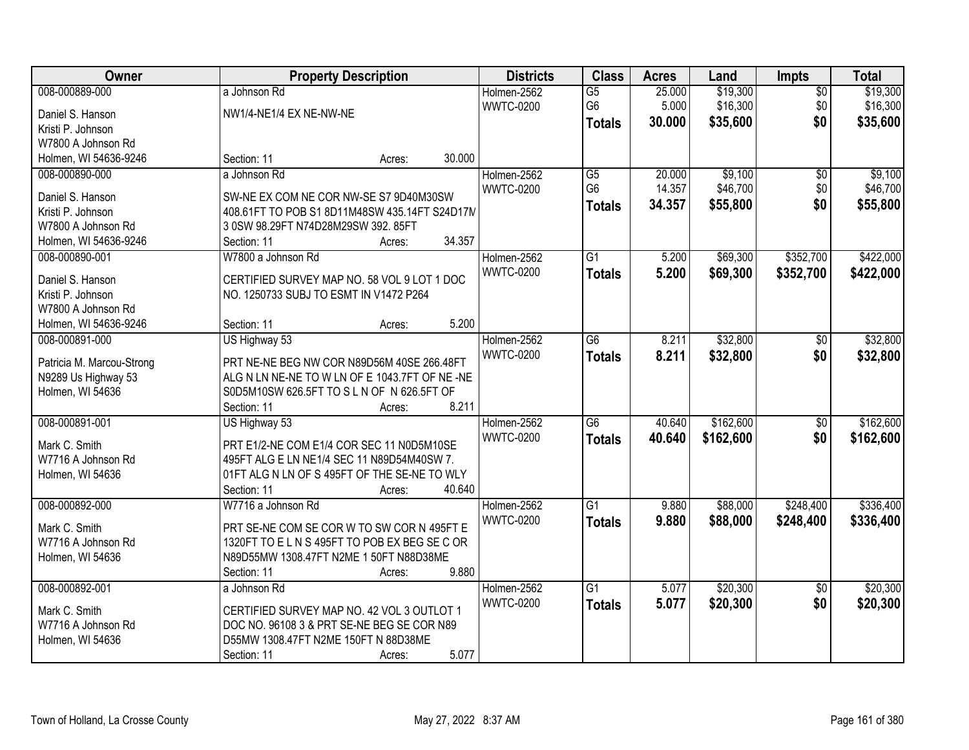| Owner                     |                                               | <b>Property Description</b> |        | <b>Districts</b> | <b>Class</b>    | <b>Acres</b> | Land      | Impts           | <b>Total</b> |
|---------------------------|-----------------------------------------------|-----------------------------|--------|------------------|-----------------|--------------|-----------|-----------------|--------------|
| 008-000889-000            | a Johnson Rd                                  |                             |        | Holmen-2562      | $\overline{G5}$ | 25.000       | \$19,300  | $\overline{50}$ | \$19,300     |
| Daniel S. Hanson          | NW1/4-NE1/4 EX NE-NW-NE                       |                             |        | <b>WWTC-0200</b> | G <sub>6</sub>  | 5.000        | \$16,300  | \$0             | \$16,300     |
| Kristi P. Johnson         |                                               |                             |        |                  | <b>Totals</b>   | 30.000       | \$35,600  | \$0             | \$35,600     |
| W7800 A Johnson Rd        |                                               |                             |        |                  |                 |              |           |                 |              |
| Holmen, WI 54636-9246     | Section: 11                                   | Acres:                      | 30.000 |                  |                 |              |           |                 |              |
| 008-000890-000            | a Johnson Rd                                  |                             |        | Holmen-2562      | $\overline{G5}$ | 20.000       | \$9,100   | $\overline{50}$ | \$9,100      |
|                           |                                               |                             |        | <b>WWTC-0200</b> | G <sub>6</sub>  | 14.357       | \$46,700  | \$0             | \$46,700     |
| Daniel S. Hanson          | SW-NE EX COM NE COR NW-SE S7 9D40M30SW        |                             |        |                  | <b>Totals</b>   | 34.357       | \$55,800  | \$0             | \$55,800     |
| Kristi P. Johnson         | 408.61FT TO POB S1 8D11M48SW 435.14FT S24D17M |                             |        |                  |                 |              |           |                 |              |
| W7800 A Johnson Rd        | 3 0SW 98.29FT N74D28M29SW 392.85FT            |                             | 34.357 |                  |                 |              |           |                 |              |
| Holmen, WI 54636-9246     | Section: 11                                   | Acres:                      |        |                  |                 |              |           |                 |              |
| 008-000890-001            | W7800 a Johnson Rd                            |                             |        | Holmen-2562      | $\overline{G1}$ | 5.200        | \$69,300  | \$352,700       | \$422,000    |
| Daniel S. Hanson          | CERTIFIED SURVEY MAP NO. 58 VOL 9 LOT 1 DOC   |                             |        | <b>WWTC-0200</b> | <b>Totals</b>   | 5.200        | \$69,300  | \$352,700       | \$422,000    |
| Kristi P. Johnson         | NO. 1250733 SUBJ TO ESMT IN V1472 P264        |                             |        |                  |                 |              |           |                 |              |
| W7800 A Johnson Rd        |                                               |                             |        |                  |                 |              |           |                 |              |
| Holmen, WI 54636-9246     | Section: 11                                   | Acres:                      | 5.200  |                  |                 |              |           |                 |              |
| 008-000891-000            | US Highway 53                                 |                             |        | Holmen-2562      | G6              | 8.211        | \$32,800  | \$0             | \$32,800     |
| Patricia M. Marcou-Strong | PRT NE-NE BEG NW COR N89D56M 40SE 266.48FT    |                             |        | <b>WWTC-0200</b> | <b>Totals</b>   | 8.211        | \$32,800  | \$0             | \$32,800     |
| N9289 Us Highway 53       | ALG N LN NE-NE TO W LN OF E 1043.7FT OF NE-NE |                             |        |                  |                 |              |           |                 |              |
| Holmen, WI 54636          | S0D5M10SW 626.5FT TO SLN OF N 626.5FT OF      |                             |        |                  |                 |              |           |                 |              |
|                           | Section: 11                                   | Acres:                      | 8.211  |                  |                 |              |           |                 |              |
| 008-000891-001            | US Highway 53                                 |                             |        | Holmen-2562      | $\overline{G6}$ | 40.640       | \$162,600 | $\overline{50}$ | \$162,600    |
|                           |                                               |                             |        | <b>WWTC-0200</b> | <b>Totals</b>   | 40.640       | \$162,600 | \$0             | \$162,600    |
| Mark C. Smith             | PRT E1/2-NE COM E1/4 COR SEC 11 N0D5M10SE     |                             |        |                  |                 |              |           |                 |              |
| W7716 A Johnson Rd        | 495FT ALG E LN NE1/4 SEC 11 N89D54M40SW 7.    |                             |        |                  |                 |              |           |                 |              |
| Holmen, WI 54636          | 01FT ALG N LN OF S 495FT OF THE SE-NE TO WLY  |                             |        |                  |                 |              |           |                 |              |
|                           | Section: 11                                   | Acres:                      | 40.640 |                  |                 |              |           |                 |              |
| 008-000892-000            | W7716 a Johnson Rd                            |                             |        | Holmen-2562      | $\overline{G1}$ | 9.880        | \$88,000  | \$248,400       | \$336,400    |
| Mark C. Smith             | PRT SE-NE COM SE COR W TO SW COR N 495FT E    |                             |        | <b>WWTC-0200</b> | <b>Totals</b>   | 9.880        | \$88,000  | \$248,400       | \$336,400    |
| W7716 A Johnson Rd        | 1320FT TO ELNS 495FT TO POB EX BEG SE C OR    |                             |        |                  |                 |              |           |                 |              |
| Holmen, WI 54636          | N89D55MW 1308.47FT N2ME 1 50FT N88D38ME       |                             |        |                  |                 |              |           |                 |              |
|                           | Section: 11                                   | Acres:                      | 9.880  |                  |                 |              |           |                 |              |
| 008-000892-001            | a Johnson Rd                                  |                             |        | Holmen-2562      | $\overline{G1}$ | 5.077        | \$20,300  | $\overline{50}$ | \$20,300     |
|                           |                                               |                             |        | <b>WWTC-0200</b> | <b>Totals</b>   | 5.077        | \$20,300  | \$0             | \$20,300     |
| Mark C. Smith             | CERTIFIED SURVEY MAP NO. 42 VOL 3 OUTLOT 1    |                             |        |                  |                 |              |           |                 |              |
| W7716 A Johnson Rd        | DOC NO. 96108 3 & PRT SE-NE BEG SE COR N89    |                             |        |                  |                 |              |           |                 |              |
| Holmen, WI 54636          | D55MW 1308.47FT N2ME 150FT N 88D38ME          |                             |        |                  |                 |              |           |                 |              |
|                           | Section: 11                                   | Acres:                      | 5.077  |                  |                 |              |           |                 |              |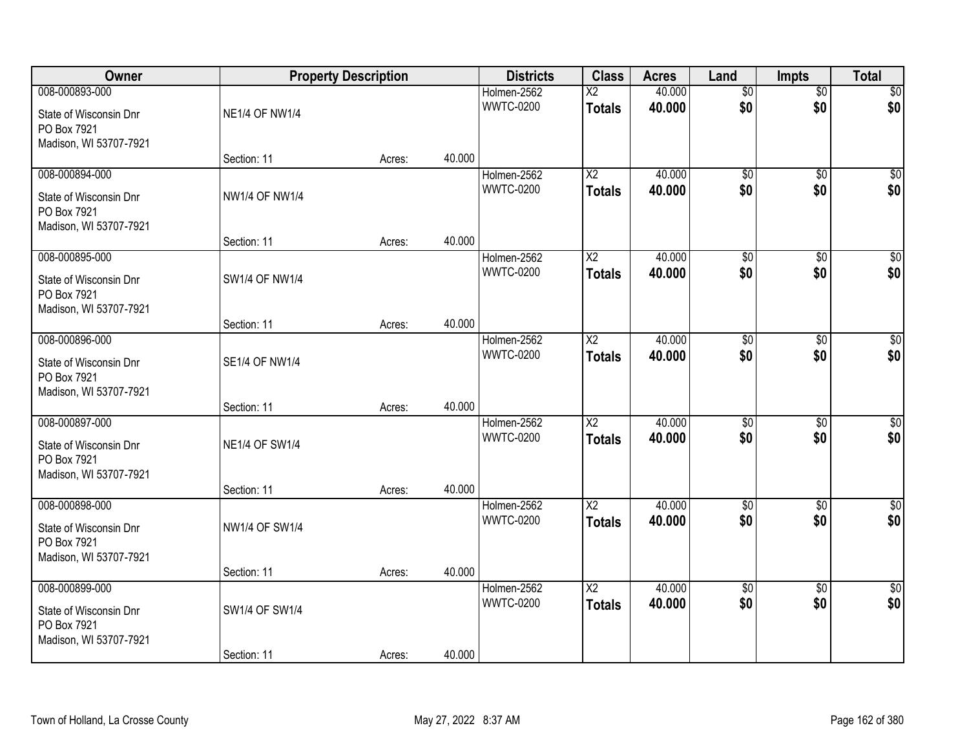| Owner                                                                             |                                      | <b>Property Description</b> |        | <b>Districts</b>                | <b>Class</b>                            | <b>Acres</b>     | Land                   | <b>Impts</b>           | <b>Total</b>           |
|-----------------------------------------------------------------------------------|--------------------------------------|-----------------------------|--------|---------------------------------|-----------------------------------------|------------------|------------------------|------------------------|------------------------|
| 008-000893-000<br>State of Wisconsin Dnr<br>PO Box 7921                           | <b>NE1/4 OF NW1/4</b>                |                             |        | Holmen-2562<br><b>WWTC-0200</b> | $\overline{\text{X2}}$<br><b>Totals</b> | 40.000<br>40.000 | $\overline{50}$<br>\$0 | $\overline{50}$<br>\$0 | \$0<br>\$0             |
| Madison, WI 53707-7921                                                            | Section: 11                          | Acres:                      | 40.000 |                                 |                                         |                  |                        |                        |                        |
| 008-000894-000<br>State of Wisconsin Dnr<br>PO Box 7921<br>Madison, WI 53707-7921 | <b>NW1/4 OF NW1/4</b>                |                             |        | Holmen-2562<br><b>WWTC-0200</b> | $\overline{\text{X2}}$<br><b>Totals</b> | 40.000<br>40.000 | $\overline{50}$<br>\$0 | $\overline{50}$<br>\$0 | \$0<br>\$0             |
| 008-000895-000                                                                    | Section: 11                          | Acres:                      | 40.000 | Holmen-2562                     | X2                                      | 40.000           | \$0                    |                        | $\overline{50}$        |
| State of Wisconsin Dnr<br>PO Box 7921<br>Madison, WI 53707-7921                   | SW1/4 OF NW1/4                       |                             |        | <b>WWTC-0200</b>                | <b>Totals</b>                           | 40.000           | \$0                    | \$0<br>\$0             | \$0                    |
|                                                                                   | Section: 11                          | Acres:                      | 40.000 |                                 |                                         |                  |                        |                        |                        |
| 008-000896-000<br>State of Wisconsin Dnr<br>PO Box 7921<br>Madison, WI 53707-7921 | SE1/4 OF NW1/4                       |                             |        | Holmen-2562<br><b>WWTC-0200</b> | X2<br><b>Totals</b>                     | 40.000<br>40.000 | $\overline{50}$<br>\$0 | $\sqrt[6]{}$<br>\$0    | $\sqrt{50}$<br>\$0     |
|                                                                                   | Section: 11                          | Acres:                      | 40.000 |                                 |                                         |                  |                        |                        |                        |
| 008-000897-000<br>State of Wisconsin Dnr<br>PO Box 7921<br>Madison, WI 53707-7921 | <b>NE1/4 OF SW1/4</b><br>Section: 11 | Acres:                      | 40.000 | Holmen-2562<br><b>WWTC-0200</b> | $\overline{\text{X2}}$<br><b>Totals</b> | 40.000<br>40.000 | $\overline{50}$<br>\$0 | $\overline{50}$<br>\$0 | $\sqrt{50}$<br>\$0     |
| 008-000898-000                                                                    |                                      |                             |        | Holmen-2562                     | $\overline{X2}$                         | 40.000           | $\overline{50}$        | $\overline{50}$        | $\overline{\$0}$       |
| State of Wisconsin Dnr<br>PO Box 7921<br>Madison, WI 53707-7921                   | <b>NW1/4 OF SW1/4</b>                |                             |        | <b>WWTC-0200</b>                | <b>Totals</b>                           | 40.000           | \$0                    | \$0                    | \$0                    |
|                                                                                   | Section: 11                          | Acres:                      | 40.000 |                                 |                                         |                  |                        |                        |                        |
| 008-000899-000<br>State of Wisconsin Dnr<br>PO Box 7921<br>Madison, WI 53707-7921 | SW1/4 OF SW1/4                       |                             |        | Holmen-2562<br><b>WWTC-0200</b> | $\overline{\text{X2}}$<br><b>Totals</b> | 40.000<br>40.000 | $\overline{50}$<br>\$0 | $\overline{60}$<br>\$0 | $\overline{30}$<br>\$0 |
|                                                                                   | Section: 11                          | Acres:                      | 40.000 |                                 |                                         |                  |                        |                        |                        |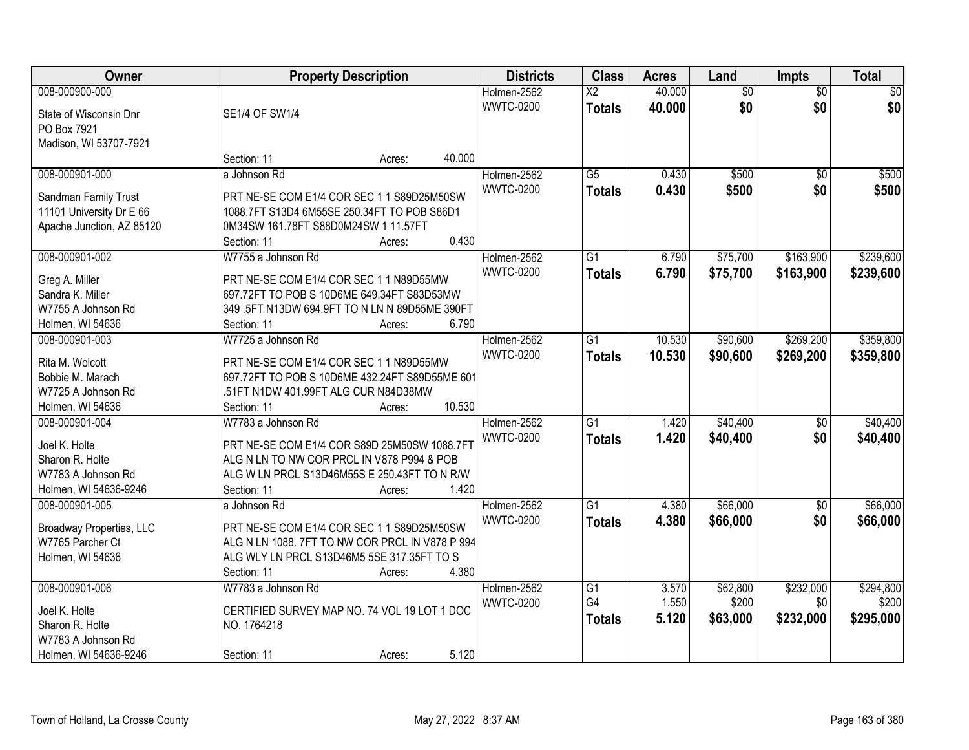| Owner                                            | <b>Property Description</b>                                                               |        |        | <b>Districts</b> | <b>Class</b>           | <b>Acres</b> | Land            | <b>Impts</b>    | <b>Total</b>    |
|--------------------------------------------------|-------------------------------------------------------------------------------------------|--------|--------|------------------|------------------------|--------------|-----------------|-----------------|-----------------|
| 008-000900-000                                   |                                                                                           |        |        | Holmen-2562      | $\overline{\text{X2}}$ | 40.000       | $\overline{50}$ | $\overline{50}$ | $\overline{30}$ |
| State of Wisconsin Dnr                           | SE1/4 OF SW1/4                                                                            |        |        | <b>WWTC-0200</b> | <b>Totals</b>          | 40.000       | \$0             | \$0             | \$0             |
| PO Box 7921                                      |                                                                                           |        |        |                  |                        |              |                 |                 |                 |
| Madison, WI 53707-7921                           |                                                                                           |        |        |                  |                        |              |                 |                 |                 |
|                                                  | Section: 11                                                                               | Acres: | 40.000 |                  |                        |              |                 |                 |                 |
| 008-000901-000                                   | a Johnson Rd                                                                              |        |        | Holmen-2562      | $\overline{G5}$        | 0.430        | \$500           | $\overline{50}$ | \$500           |
|                                                  |                                                                                           |        |        | <b>WWTC-0200</b> | <b>Totals</b>          | 0.430        | \$500           | \$0             | \$500           |
| Sandman Family Trust<br>11101 University Dr E 66 | PRT NE-SE COM E1/4 COR SEC 1 1 S89D25M50SW<br>1088.7FT S13D4 6M55SE 250.34FT TO POB S86D1 |        |        |                  |                        |              |                 |                 |                 |
| Apache Junction, AZ 85120                        | 0M34SW 161.78FT S88D0M24SW 1 11.57FT                                                      |        |        |                  |                        |              |                 |                 |                 |
|                                                  | Section: 11                                                                               | Acres: | 0.430  |                  |                        |              |                 |                 |                 |
| 008-000901-002                                   | W7755 a Johnson Rd                                                                        |        |        | Holmen-2562      | $\overline{G1}$        | 6.790        | \$75,700        | \$163,900       | \$239,600       |
|                                                  |                                                                                           |        |        | <b>WWTC-0200</b> |                        |              |                 |                 |                 |
| Greg A. Miller                                   | PRT NE-SE COM E1/4 COR SEC 1 1 N89D55MW                                                   |        |        |                  | <b>Totals</b>          | 6.790        | \$75,700        | \$163,900       | \$239,600       |
| Sandra K. Miller                                 | 697.72FT TO POB S 10D6ME 649.34FT S83D53MW                                                |        |        |                  |                        |              |                 |                 |                 |
| W7755 A Johnson Rd                               | 349 .5FT N13DW 694.9FT TO N LN N 89D55ME 390FT                                            |        |        |                  |                        |              |                 |                 |                 |
| Holmen, WI 54636                                 | Section: 11                                                                               | Acres: | 6.790  |                  |                        |              |                 |                 |                 |
| 008-000901-003                                   | W7725 a Johnson Rd                                                                        |        |        | Holmen-2562      | G1                     | 10.530       | \$90,600        | \$269,200       | \$359,800       |
| Rita M. Wolcott                                  | PRT NE-SE COM E1/4 COR SEC 1 1 N89D55MW                                                   |        |        | <b>WWTC-0200</b> | <b>Totals</b>          | 10.530       | \$90,600        | \$269,200       | \$359,800       |
| Bobbie M. Marach                                 | 697.72FT TO POB S 10D6ME 432.24FT S89D55ME 601                                            |        |        |                  |                        |              |                 |                 |                 |
| W7725 A Johnson Rd                               | .51FT N1DW 401.99FT ALG CUR N84D38MW                                                      |        |        |                  |                        |              |                 |                 |                 |
| Holmen, WI 54636                                 | Section: 11                                                                               | Acres: | 10.530 |                  |                        |              |                 |                 |                 |
| 008-000901-004                                   | W7783 a Johnson Rd                                                                        |        |        | Holmen-2562      | $\overline{G1}$        | 1.420        | \$40,400        | \$0             | \$40,400        |
|                                                  |                                                                                           |        |        | <b>WWTC-0200</b> |                        |              |                 |                 |                 |
| Joel K. Holte                                    | PRT NE-SE COM E1/4 COR S89D 25M50SW 1088.7FT                                              |        |        |                  | <b>Totals</b>          | 1.420        | \$40,400        | \$0             | \$40,400        |
| Sharon R. Holte                                  | ALG N LN TO NW COR PRCL IN V878 P994 & POB                                                |        |        |                  |                        |              |                 |                 |                 |
| W7783 A Johnson Rd                               | ALG W LN PRCL S13D46M55S E 250.43FT TO N R/W                                              |        |        |                  |                        |              |                 |                 |                 |
| Holmen, WI 54636-9246                            | Section: 11                                                                               | Acres: | 1.420  |                  |                        |              |                 |                 |                 |
| 008-000901-005                                   | a Johnson Rd                                                                              |        |        | Holmen-2562      | $\overline{G1}$        | 4.380        | \$66,000        | $\sqrt{$0}$     | \$66,000        |
| Broadway Properties, LLC                         | PRT NE-SE COM E1/4 COR SEC 1 1 S89D25M50SW                                                |        |        | <b>WWTC-0200</b> | <b>Totals</b>          | 4.380        | \$66,000        | \$0             | \$66,000        |
| W7765 Parcher Ct                                 | ALG N LN 1088. 7FT TO NW COR PRCL IN V878 P 994                                           |        |        |                  |                        |              |                 |                 |                 |
| Holmen, WI 54636                                 | ALG WLY LN PRCL S13D46M5 5SE 317.35FT TO S                                                |        |        |                  |                        |              |                 |                 |                 |
|                                                  | Section: 11                                                                               | Acres: | 4.380  |                  |                        |              |                 |                 |                 |
| 008-000901-006                                   | W7783 a Johnson Rd                                                                        |        |        | Holmen-2562      | $\overline{G1}$        | 3.570        | \$62,800        | \$232,000       | \$294,800       |
|                                                  |                                                                                           |        |        | <b>WWTC-0200</b> | G4                     | 1.550        | \$200           | \$0             | \$200           |
| Joel K. Holte                                    | CERTIFIED SURVEY MAP NO. 74 VOL 19 LOT 1 DOC                                              |        |        |                  |                        | 5.120        |                 |                 | \$295,000       |
| Sharon R. Holte                                  | NO. 1764218                                                                               |        |        |                  | <b>Totals</b>          |              | \$63,000        | \$232,000       |                 |
| W7783 A Johnson Rd                               |                                                                                           |        |        |                  |                        |              |                 |                 |                 |
| Holmen, WI 54636-9246                            | Section: 11                                                                               | Acres: | 5.120  |                  |                        |              |                 |                 |                 |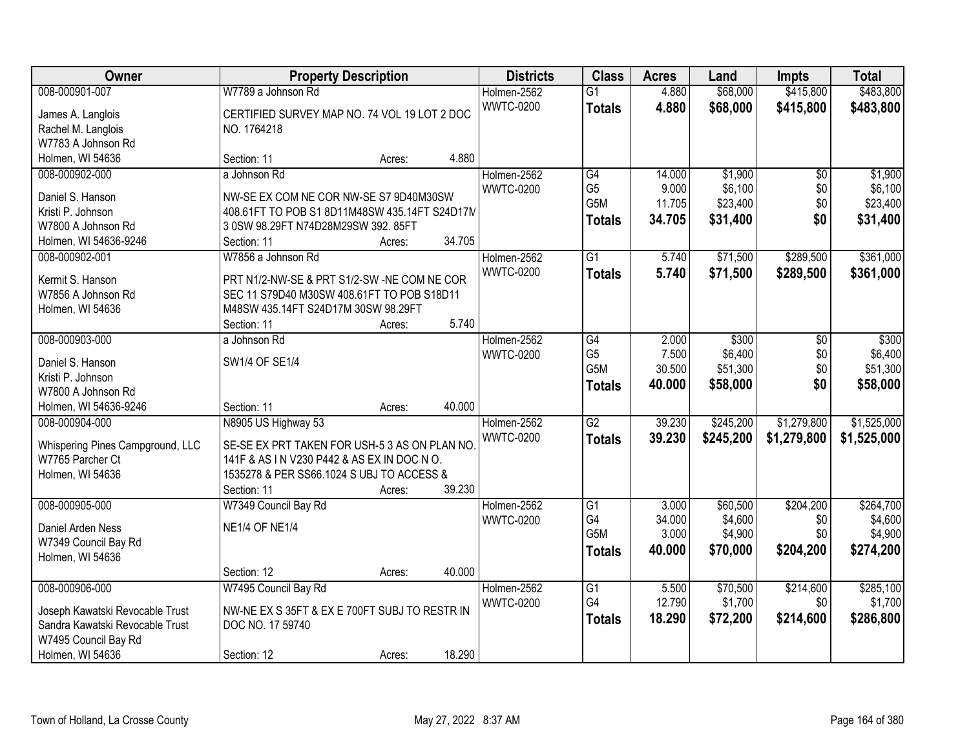| Owner                            | <b>Property Description</b>                   |        |        | <b>Districts</b> | <b>Class</b>     | <b>Acres</b> | Land      | <b>Impts</b>    | <b>Total</b> |
|----------------------------------|-----------------------------------------------|--------|--------|------------------|------------------|--------------|-----------|-----------------|--------------|
| 008-000901-007                   | W7789 a Johnson Rd                            |        |        | Holmen-2562      | $\overline{G1}$  | 4.880        | \$68,000  | \$415,800       | \$483,800    |
| James A. Langlois                | CERTIFIED SURVEY MAP NO. 74 VOL 19 LOT 2 DOC  |        |        | <b>WWTC-0200</b> | <b>Totals</b>    | 4.880        | \$68,000  | \$415,800       | \$483,800    |
| Rachel M. Langlois               | NO. 1764218                                   |        |        |                  |                  |              |           |                 |              |
| W7783 A Johnson Rd               |                                               |        |        |                  |                  |              |           |                 |              |
| Holmen, WI 54636                 | Section: 11                                   | Acres: | 4.880  |                  |                  |              |           |                 |              |
| 008-000902-000                   | a Johnson Rd                                  |        |        | Holmen-2562      | G4               | 14.000       | \$1,900   | $\overline{30}$ | \$1,900      |
|                                  |                                               |        |        | <b>WWTC-0200</b> | G <sub>5</sub>   | 9.000        | \$6,100   | \$0             | \$6,100      |
| Daniel S. Hanson                 | NW-SE EX COM NE COR NW-SE S7 9D40M30SW        |        |        |                  | G5M              | 11.705       | \$23,400  | \$0             | \$23,400     |
| Kristi P. Johnson                | 408.61FT TO POB S1 8D11M48SW 435.14FT S24D17M |        |        |                  | <b>Totals</b>    | 34.705       | \$31,400  | \$0             | \$31,400     |
| W7800 A Johnson Rd               | 3 0SW 98.29FT N74D28M29SW 392.85FT            |        |        |                  |                  |              |           |                 |              |
| Holmen, WI 54636-9246            | Section: 11                                   | Acres: | 34.705 |                  |                  |              |           |                 |              |
| 008-000902-001                   | W7856 a Johnson Rd                            |        |        | Holmen-2562      | $\overline{G1}$  | 5.740        | \$71,500  | \$289,500       | \$361,000    |
| Kermit S. Hanson                 | PRT N1/2-NW-SE & PRT S1/2-SW -NE COM NE COR   |        |        | <b>WWTC-0200</b> | <b>Totals</b>    | 5.740        | \$71,500  | \$289,500       | \$361,000    |
| W7856 A Johnson Rd               | SEC 11 S79D40 M30SW 408.61FT TO POB S18D11    |        |        |                  |                  |              |           |                 |              |
| Holmen, WI 54636                 | M48SW 435.14FT S24D17M 30SW 98.29FT           |        |        |                  |                  |              |           |                 |              |
|                                  | Section: 11                                   | Acres: | 5.740  |                  |                  |              |           |                 |              |
| 008-000903-000                   | a Johnson Rd                                  |        |        | Holmen-2562      | $\overline{G4}$  | 2.000        | \$300     | \$0             | \$300        |
|                                  |                                               |        |        | <b>WWTC-0200</b> | G <sub>5</sub>   | 7.500        | \$6,400   | \$0             | \$6,400      |
| Daniel S. Hanson                 | SW1/4 OF SE1/4                                |        |        |                  | G5M              | 30.500       | \$51,300  | \$0             | \$51,300     |
| Kristi P. Johnson                |                                               |        |        |                  | <b>Totals</b>    | 40.000       | \$58,000  | \$0             | \$58,000     |
| W7800 A Johnson Rd               |                                               |        |        |                  |                  |              |           |                 |              |
| Holmen, WI 54636-9246            | Section: 11                                   | Acres: | 40.000 |                  |                  |              |           |                 |              |
| 008-000904-000                   | N8905 US Highway 53                           |        |        | Holmen-2562      | $\overline{G2}$  | 39.230       | \$245,200 | \$1,279,800     | \$1,525,000  |
| Whispering Pines Campground, LLC | SE-SE EX PRT TAKEN FOR USH-5 3 AS ON PLAN NO  |        |        | <b>WWTC-0200</b> | <b>Totals</b>    | 39.230       | \$245,200 | \$1,279,800     | \$1,525,000  |
| W7765 Parcher Ct                 | 141F & AS IN V230 P442 & AS EX IN DOC NO.     |        |        |                  |                  |              |           |                 |              |
| Holmen, WI 54636                 | 1535278 & PER SS66.1024 S UBJ TO ACCESS &     |        |        |                  |                  |              |           |                 |              |
|                                  | Section: 11                                   | Acres: | 39.230 |                  |                  |              |           |                 |              |
| 008-000905-000                   | W7349 Council Bay Rd                          |        |        | Holmen-2562      | $\overline{G1}$  | 3.000        | \$60,500  | \$204,200       | \$264,700    |
| Daniel Arden Ness                | <b>NE1/4 OF NE1/4</b>                         |        |        | <b>WWTC-0200</b> | G4               | 34.000       | \$4,600   | \$0             | \$4,600      |
| W7349 Council Bay Rd             |                                               |        |        |                  | G <sub>5</sub> M | 3.000        | \$4,900   | \$0             | \$4,900      |
| Holmen, WI 54636                 |                                               |        |        |                  | <b>Totals</b>    | 40.000       | \$70,000  | \$204,200       | \$274,200    |
|                                  | Section: 12                                   | Acres: | 40.000 |                  |                  |              |           |                 |              |
| 008-000906-000                   | W7495 Council Bay Rd                          |        |        | Holmen-2562      | G1               | 5.500        | \$70,500  | \$214,600       | \$285,100    |
|                                  |                                               |        |        | <b>WWTC-0200</b> | G4               | 12.790       | \$1,700   | \$0             | \$1,700      |
| Joseph Kawatski Revocable Trust  | NW-NE EX S 35FT & EX E 700FT SUBJ TO RESTR IN |        |        |                  | <b>Totals</b>    | 18.290       | \$72,200  | \$214,600       | \$286,800    |
| Sandra Kawatski Revocable Trust  | DOC NO. 17 59740                              |        |        |                  |                  |              |           |                 |              |
| W7495 Council Bay Rd             |                                               |        |        |                  |                  |              |           |                 |              |
| Holmen, WI 54636                 | Section: 12                                   | Acres: | 18.290 |                  |                  |              |           |                 |              |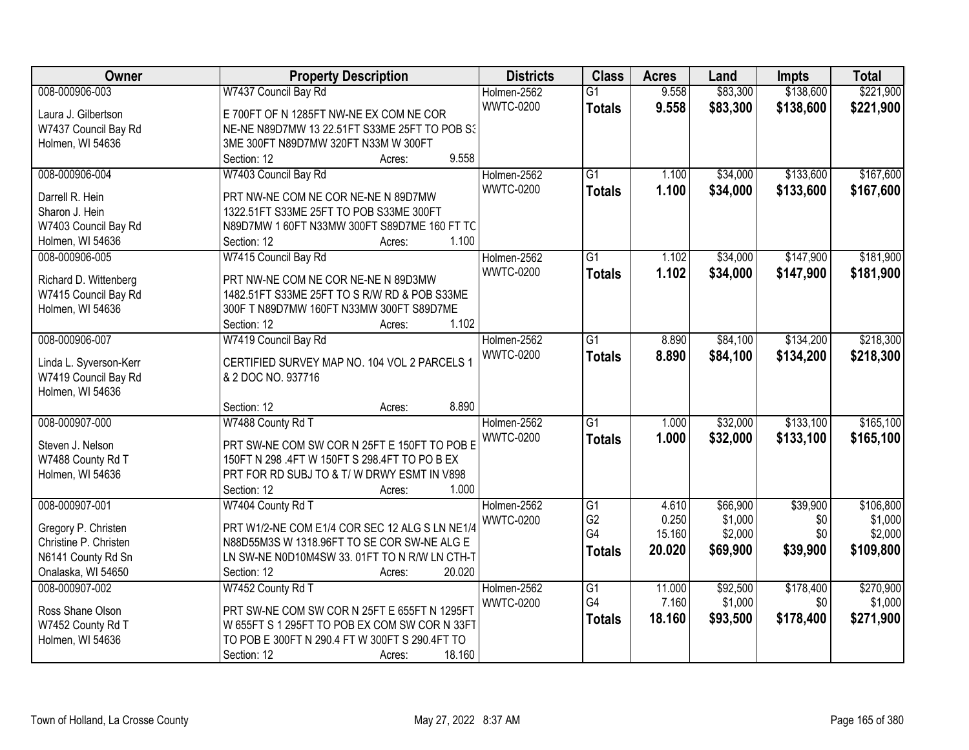| Owner                  | <b>Property Description</b>                    | <b>Districts</b> | <b>Class</b>    | <b>Acres</b> | Land     | <b>Impts</b> | <b>Total</b> |
|------------------------|------------------------------------------------|------------------|-----------------|--------------|----------|--------------|--------------|
| 008-000906-003         | W7437 Council Bay Rd                           | Holmen-2562      | $\overline{G1}$ | 9.558        | \$83,300 | \$138,600    | \$221,900    |
| Laura J. Gilbertson    | E 700FT OF N 1285FT NW-NE EX COM NE COR        | <b>WWTC-0200</b> | <b>Totals</b>   | 9.558        | \$83,300 | \$138,600    | \$221,900    |
| W7437 Council Bay Rd   | NE-NE N89D7MW 13 22.51FT S33ME 25FT TO POB S3  |                  |                 |              |          |              |              |
| Holmen, WI 54636       | 3ME 300FT N89D7MW 320FT N33M W 300FT           |                  |                 |              |          |              |              |
|                        | 9.558<br>Section: 12<br>Acres:                 |                  |                 |              |          |              |              |
| 008-000906-004         | W7403 Council Bay Rd                           | Holmen-2562      | $\overline{G1}$ | 1.100        | \$34,000 | \$133,600    | \$167,600    |
|                        |                                                | <b>WWTC-0200</b> | <b>Totals</b>   | 1.100        | \$34,000 | \$133,600    | \$167,600    |
| Darrell R. Hein        | PRT NW-NE COM NE COR NE-NE N 89D7MW            |                  |                 |              |          |              |              |
| Sharon J. Hein         | 1322.51FT S33ME 25FT TO POB S33ME 300FT        |                  |                 |              |          |              |              |
| W7403 Council Bay Rd   | N89D7MW 1 60FT N33MW 300FT S89D7ME 160 FT TC   |                  |                 |              |          |              |              |
| Holmen, WI 54636       | 1.100<br>Section: 12<br>Acres:                 |                  |                 |              |          |              |              |
| 008-000906-005         | W7415 Council Bay Rd                           | Holmen-2562      | $\overline{G1}$ | 1.102        | \$34,000 | \$147,900    | \$181,900    |
| Richard D. Wittenberg  | PRT NW-NE COM NE COR NE-NE N 89D3MW            | <b>WWTC-0200</b> | <b>Totals</b>   | 1.102        | \$34,000 | \$147,900    | \$181,900    |
| W7415 Council Bay Rd   | 1482.51FT S33ME 25FT TO S R/W RD & POB S33ME   |                  |                 |              |          |              |              |
| Holmen, WI 54636       | 300F T N89D7MW 160FT N33MW 300FT S89D7ME       |                  |                 |              |          |              |              |
|                        | 1.102<br>Section: 12<br>Acres:                 |                  |                 |              |          |              |              |
| 008-000906-007         | W7419 Council Bay Rd                           | Holmen-2562      | G1              | 8.890        | \$84,100 | \$134,200    | \$218,300    |
|                        |                                                | <b>WWTC-0200</b> | <b>Totals</b>   | 8.890        | \$84,100 | \$134,200    | \$218,300    |
| Linda L. Syverson-Kerr | CERTIFIED SURVEY MAP NO. 104 VOL 2 PARCELS 1   |                  |                 |              |          |              |              |
| W7419 Council Bay Rd   | & 2 DOC NO. 937716                             |                  |                 |              |          |              |              |
| Holmen, WI 54636       |                                                |                  |                 |              |          |              |              |
|                        | 8.890<br>Section: 12<br>Acres:                 |                  |                 |              |          |              |              |
| 008-000907-000         | W7488 County Rd T                              | Holmen-2562      | $\overline{G1}$ | 1.000        | \$32,000 | \$133,100    | \$165,100    |
| Steven J. Nelson       | PRT SW-NE COM SW COR N 25FT E 150FT TO POB E   | <b>WWTC-0200</b> | <b>Totals</b>   | 1.000        | \$32,000 | \$133,100    | \$165,100    |
| W7488 County Rd T      | 150FT N 298 .4FT W 150FT S 298.4FT TO PO B EX  |                  |                 |              |          |              |              |
| Holmen, WI 54636       | PRT FOR RD SUBJ TO & T/W DRWY ESMT IN V898     |                  |                 |              |          |              |              |
|                        | 1.000<br>Section: 12<br>Acres:                 |                  |                 |              |          |              |              |
| 008-000907-001         | W7404 County Rd T                              | Holmen-2562      | G1              | 4.610        | \$66,900 | \$39,900     | \$106,800    |
|                        |                                                | <b>WWTC-0200</b> | G <sub>2</sub>  | 0.250        | \$1,000  | \$0          | \$1,000      |
| Gregory P. Christen    | PRT W1/2-NE COM E1/4 COR SEC 12 ALG S LN NE1/4 |                  | G4              | 15.160       | \$2,000  | \$0          | \$2,000      |
| Christine P. Christen  | N88D55M3S W 1318.96FT TO SE COR SW-NE ALG E    |                  |                 | 20.020       | \$69,900 | \$39,900     | \$109,800    |
| N6141 County Rd Sn     | LN SW-NE N0D10M4SW 33. 01FT TO N R/W LN CTH-T  |                  | <b>Totals</b>   |              |          |              |              |
| Onalaska, WI 54650     | Section: 12<br>20.020<br>Acres:                |                  |                 |              |          |              |              |
| 008-000907-002         | W7452 County Rd T                              | Holmen-2562      | $\overline{G1}$ | 11.000       | \$92,500 | \$178,400    | \$270,900    |
|                        |                                                | <b>WWTC-0200</b> | G4              | 7.160        | \$1,000  | \$0          | \$1,000      |
| Ross Shane Olson       | PRT SW-NE COM SW COR N 25FT E 655FT N 1295FT   |                  | <b>Totals</b>   | 18.160       | \$93,500 | \$178,400    | \$271,900    |
| W7452 County Rd T      | W 655FT S 1 295FT TO POB EX COM SW COR N 33FT  |                  |                 |              |          |              |              |
| Holmen, WI 54636       | TO POB E 300FT N 290.4 FT W 300FT S 290.4FT TO |                  |                 |              |          |              |              |
|                        | 18.160<br>Section: 12<br>Acres:                |                  |                 |              |          |              |              |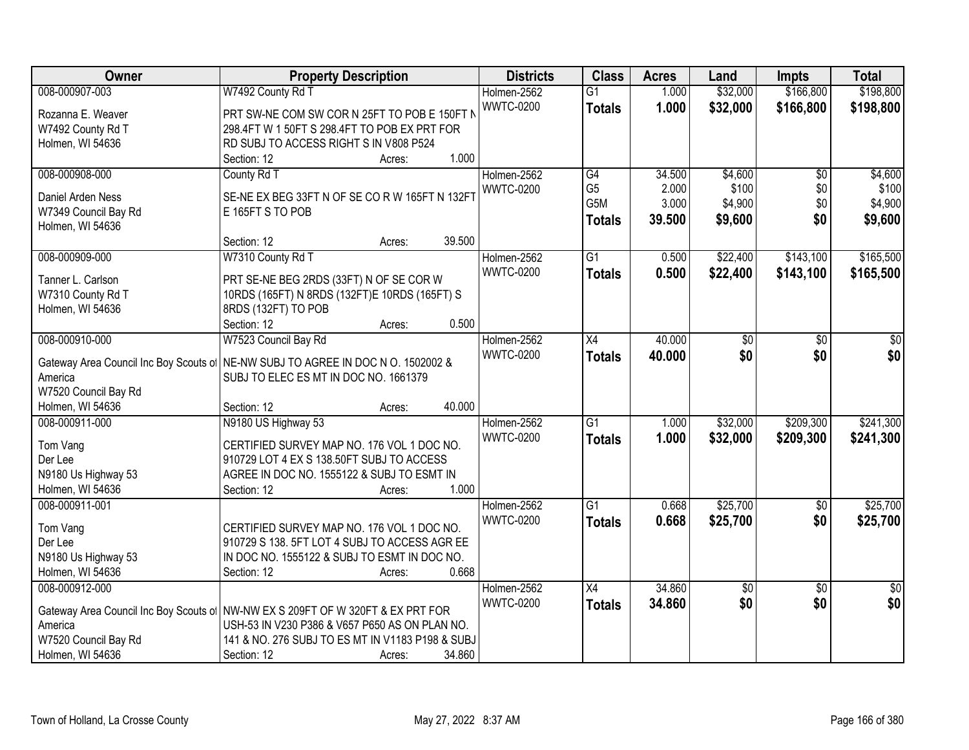| <b>Owner</b>                             | <b>Property Description</b>                      | <b>Districts</b> | <b>Class</b>    | <b>Acres</b> | Land     | <b>Impts</b>    | <b>Total</b>    |
|------------------------------------------|--------------------------------------------------|------------------|-----------------|--------------|----------|-----------------|-----------------|
| 008-000907-003                           | W7492 County Rd T                                | Holmen-2562      | $\overline{G1}$ | 1.000        | \$32,000 | \$166,800       | \$198,800       |
| Rozanna E. Weaver                        | PRT SW-NE COM SW COR N 25FT TO POB E 150FT N     | <b>WWTC-0200</b> | <b>Totals</b>   | 1.000        | \$32,000 | \$166,800       | \$198,800       |
| W7492 County Rd T                        | 298.4FT W 1 50FT S 298.4FT TO POB EX PRT FOR     |                  |                 |              |          |                 |                 |
| Holmen, WI 54636                         | RD SUBJ TO ACCESS RIGHT S IN V808 P524           |                  |                 |              |          |                 |                 |
|                                          | 1.000<br>Section: 12<br>Acres:                   |                  |                 |              |          |                 |                 |
| 008-000908-000                           | County Rd T                                      | Holmen-2562      | G4              | 34.500       | \$4,600  | $\overline{50}$ | \$4,600         |
|                                          | SE-NE EX BEG 33FT N OF SE CO R W 165FT N 132FT   | <b>WWTC-0200</b> | G <sub>5</sub>  | 2.000        | \$100    | \$0             | \$100           |
| Daniel Arden Ness                        | E 165FT S TO POB                                 |                  | G5M             | 3.000        | \$4,900  | \$0             | \$4,900         |
| W7349 Council Bay Rd<br>Holmen, WI 54636 |                                                  |                  | <b>Totals</b>   | 39.500       | \$9,600  | \$0             | \$9,600         |
|                                          | 39.500<br>Section: 12<br>Acres:                  |                  |                 |              |          |                 |                 |
| 008-000909-000                           | W7310 County Rd T                                | Holmen-2562      | $\overline{G1}$ | 0.500        | \$22,400 | \$143,100       | \$165,500       |
|                                          |                                                  | <b>WWTC-0200</b> | <b>Totals</b>   | 0.500        | \$22,400 | \$143,100       | \$165,500       |
| Tanner L. Carlson                        | PRT SE-NE BEG 2RDS (33FT) N OF SE COR W          |                  |                 |              |          |                 |                 |
| W7310 County Rd T                        | 10RDS (165FT) N 8RDS (132FT)E 10RDS (165FT) S    |                  |                 |              |          |                 |                 |
| Holmen, WI 54636                         | 8RDS (132FT) TO POB                              |                  |                 |              |          |                 |                 |
|                                          | 0.500<br>Section: 12<br>Acres:                   |                  |                 |              |          |                 |                 |
| 008-000910-000                           | W7523 Council Bay Rd                             | Holmen-2562      | $\overline{X4}$ | 40.000       | \$0      | \$0             | \$0             |
| Gateway Area Council Inc Boy Scouts of   | NE-NW SUBJ TO AGREE IN DOC N O. 1502002 &        | <b>WWTC-0200</b> | <b>Totals</b>   | 40.000       | \$0      | \$0             | \$0             |
| America                                  | SUBJ TO ELEC ES MT IN DOC NO. 1661379            |                  |                 |              |          |                 |                 |
| W7520 Council Bay Rd                     |                                                  |                  |                 |              |          |                 |                 |
| Holmen, WI 54636                         | 40.000<br>Section: 12<br>Acres:                  |                  |                 |              |          |                 |                 |
| 008-000911-000                           | N9180 US Highway 53                              | Holmen-2562      | $\overline{G1}$ | 1.000        | \$32,000 | \$209,300       | \$241,300       |
|                                          |                                                  | <b>WWTC-0200</b> | <b>Totals</b>   | 1.000        | \$32,000 | \$209,300       | \$241,300       |
| Tom Vang                                 | CERTIFIED SURVEY MAP NO. 176 VOL 1 DOC NO.       |                  |                 |              |          |                 |                 |
| Der Lee                                  | 910729 LOT 4 EX S 138.50FT SUBJ TO ACCESS        |                  |                 |              |          |                 |                 |
| N9180 Us Highway 53                      | AGREE IN DOC NO. 1555122 & SUBJ TO ESMT IN       |                  |                 |              |          |                 |                 |
| Holmen, WI 54636                         | 1.000<br>Section: 12<br>Acres:                   |                  |                 |              |          |                 |                 |
| 008-000911-001                           |                                                  | Holmen-2562      | $\overline{G1}$ | 0.668        | \$25,700 | $\overline{60}$ | \$25,700        |
| Tom Vang                                 | CERTIFIED SURVEY MAP NO. 176 VOL 1 DOC NO.       | <b>WWTC-0200</b> | <b>Totals</b>   | 0.668        | \$25,700 | \$0             | \$25,700        |
| Der Lee                                  | 910729 S 138. 5FT LOT 4 SUBJ TO ACCESS AGR EE    |                  |                 |              |          |                 |                 |
| N9180 Us Highway 53                      | IN DOC NO. 1555122 & SUBJ TO ESMT IN DOC NO.     |                  |                 |              |          |                 |                 |
| Holmen, WI 54636                         | Section: 12<br>0.668<br>Acres:                   |                  |                 |              |          |                 |                 |
| 008-000912-000                           |                                                  | Holmen-2562      | $\overline{X4}$ | 34.860       | \$0      | $\overline{50}$ | $\overline{50}$ |
|                                          |                                                  | <b>WWTC-0200</b> | <b>Totals</b>   | 34.860       | \$0      | \$0             | \$0             |
| Gateway Area Council Inc Boy Scouts of   | NW-NW EX S 209FT OF W 320FT & EX PRT FOR         |                  |                 |              |          |                 |                 |
| America                                  | USH-53 IN V230 P386 & V657 P650 AS ON PLAN NO.   |                  |                 |              |          |                 |                 |
| W7520 Council Bay Rd                     | 141 & NO. 276 SUBJ TO ES MT IN V1183 P198 & SUBJ |                  |                 |              |          |                 |                 |
| Holmen, WI 54636                         | 34.860<br>Section: 12<br>Acres:                  |                  |                 |              |          |                 |                 |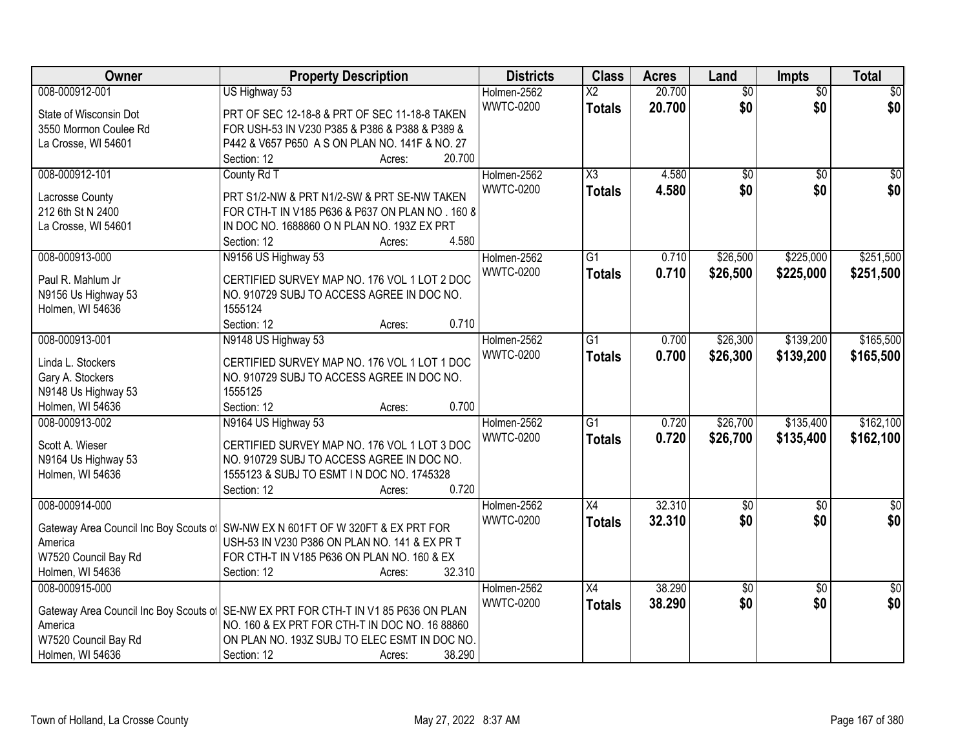| Owner                                  | <b>Property Description</b>                                                                     | <b>Districts</b> | <b>Class</b>             | <b>Acres</b> | Land            | Impts           | <b>Total</b>    |
|----------------------------------------|-------------------------------------------------------------------------------------------------|------------------|--------------------------|--------------|-----------------|-----------------|-----------------|
| 008-000912-001                         | US Highway 53                                                                                   | Holmen-2562      | $\overline{\mathsf{X2}}$ | 20.700       | $\overline{50}$ | $\overline{50}$ | $\overline{50}$ |
| State of Wisconsin Dot                 | PRT OF SEC 12-18-8 & PRT OF SEC 11-18-8 TAKEN                                                   | <b>WWTC-0200</b> | <b>Totals</b>            | 20.700       | \$0             | \$0             | \$0             |
| 3550 Mormon Coulee Rd                  | FOR USH-53 IN V230 P385 & P386 & P388 & P389 &                                                  |                  |                          |              |                 |                 |                 |
| La Crosse, WI 54601                    | P442 & V657 P650 A S ON PLAN NO. 141F & NO. 27                                                  |                  |                          |              |                 |                 |                 |
|                                        | 20.700<br>Section: 12<br>Acres:                                                                 |                  |                          |              |                 |                 |                 |
| 008-000912-101                         | County Rd T                                                                                     | Holmen-2562      | $\overline{\text{X3}}$   | 4.580        | \$0             | \$0             | \$0             |
|                                        |                                                                                                 | <b>WWTC-0200</b> | <b>Totals</b>            | 4.580        | \$0             | \$0             | \$0             |
| Lacrosse County<br>212 6th St N 2400   | PRT S1/2-NW & PRT N1/2-SW & PRT SE-NW TAKEN<br>FOR CTH-T IN V185 P636 & P637 ON PLAN NO . 160 8 |                  |                          |              |                 |                 |                 |
| La Crosse, WI 54601                    | IN DOC NO. 1688860 O N PLAN NO. 193Z EX PRT                                                     |                  |                          |              |                 |                 |                 |
|                                        | 4.580<br>Section: 12<br>Acres:                                                                  |                  |                          |              |                 |                 |                 |
| 008-000913-000                         | N9156 US Highway 53                                                                             | Holmen-2562      | $\overline{G1}$          | 0.710        | \$26,500        | \$225,000       | \$251,500       |
|                                        |                                                                                                 | <b>WWTC-0200</b> |                          | 0.710        |                 | \$225,000       |                 |
| Paul R. Mahlum Jr                      | CERTIFIED SURVEY MAP NO. 176 VOL 1 LOT 2 DOC                                                    |                  | <b>Totals</b>            |              | \$26,500        |                 | \$251,500       |
| N9156 Us Highway 53                    | NO. 910729 SUBJ TO ACCESS AGREE IN DOC NO.                                                      |                  |                          |              |                 |                 |                 |
| Holmen, WI 54636                       | 1555124                                                                                         |                  |                          |              |                 |                 |                 |
|                                        | 0.710<br>Section: 12<br>Acres:                                                                  |                  |                          |              |                 |                 |                 |
| 008-000913-001                         | N9148 US Highway 53                                                                             | Holmen-2562      | $\overline{G1}$          | 0.700        | \$26,300        | \$139,200       | \$165,500       |
| Linda L. Stockers                      | CERTIFIED SURVEY MAP NO. 176 VOL 1 LOT 1 DOC                                                    | <b>WWTC-0200</b> | <b>Totals</b>            | 0.700        | \$26,300        | \$139,200       | \$165,500       |
| Gary A. Stockers                       | NO. 910729 SUBJ TO ACCESS AGREE IN DOC NO.                                                      |                  |                          |              |                 |                 |                 |
| N9148 Us Highway 53                    | 1555125                                                                                         |                  |                          |              |                 |                 |                 |
| Holmen, WI 54636                       | 0.700<br>Section: 12<br>Acres:                                                                  |                  |                          |              |                 |                 |                 |
| 008-000913-002                         | N9164 US Highway 53                                                                             | Holmen-2562      | $\overline{G1}$          | 0.720        | \$26,700        | \$135,400       | \$162,100       |
|                                        |                                                                                                 | <b>WWTC-0200</b> | <b>Totals</b>            | 0.720        | \$26,700        | \$135,400       | \$162,100       |
| Scott A. Wieser                        | CERTIFIED SURVEY MAP NO. 176 VOL 1 LOT 3 DOC                                                    |                  |                          |              |                 |                 |                 |
| N9164 Us Highway 53                    | NO. 910729 SUBJ TO ACCESS AGREE IN DOC NO.                                                      |                  |                          |              |                 |                 |                 |
| Holmen, WI 54636                       | 1555123 & SUBJ TO ESMT IN DOC NO. 1745328                                                       |                  |                          |              |                 |                 |                 |
|                                        | 0.720<br>Section: 12<br>Acres:                                                                  |                  |                          |              |                 |                 |                 |
| 008-000914-000                         |                                                                                                 | Holmen-2562      | $\overline{X4}$          | 32.310       | $\overline{50}$ | $\overline{50}$ | $\overline{50}$ |
| Gateway Area Council Inc Boy Scouts of | SW-NW EX N 601FT OF W 320FT & EX PRT FOR                                                        | <b>WWTC-0200</b> | <b>Totals</b>            | 32.310       | \$0             | \$0             | \$0             |
| America                                | USH-53 IN V230 P386 ON PLAN NO. 141 & EX PR T                                                   |                  |                          |              |                 |                 |                 |
| W7520 Council Bay Rd                   | FOR CTH-T IN V185 P636 ON PLAN NO. 160 & EX                                                     |                  |                          |              |                 |                 |                 |
| Holmen, WI 54636                       | 32.310<br>Section: 12<br>Acres:                                                                 |                  |                          |              |                 |                 |                 |
| 008-000915-000                         |                                                                                                 | Holmen-2562      | X4                       | 38.290       | $\overline{50}$ | $\overline{50}$ | $\sqrt{50}$     |
|                                        |                                                                                                 | <b>WWTC-0200</b> | <b>Totals</b>            | 38.290       | \$0             | \$0             | \$0             |
| Gateway Area Council Inc Boy Scouts of | SE-NW EX PRT FOR CTH-T IN V1 85 P636 ON PLAN                                                    |                  |                          |              |                 |                 |                 |
| America                                | NO. 160 & EX PRT FOR CTH-T IN DOC NO. 16 88860                                                  |                  |                          |              |                 |                 |                 |
| W7520 Council Bay Rd                   | ON PLAN NO. 193Z SUBJ TO ELEC ESMT IN DOC NO.                                                   |                  |                          |              |                 |                 |                 |
| Holmen, WI 54636                       | 38.290<br>Section: 12<br>Acres:                                                                 |                  |                          |              |                 |                 |                 |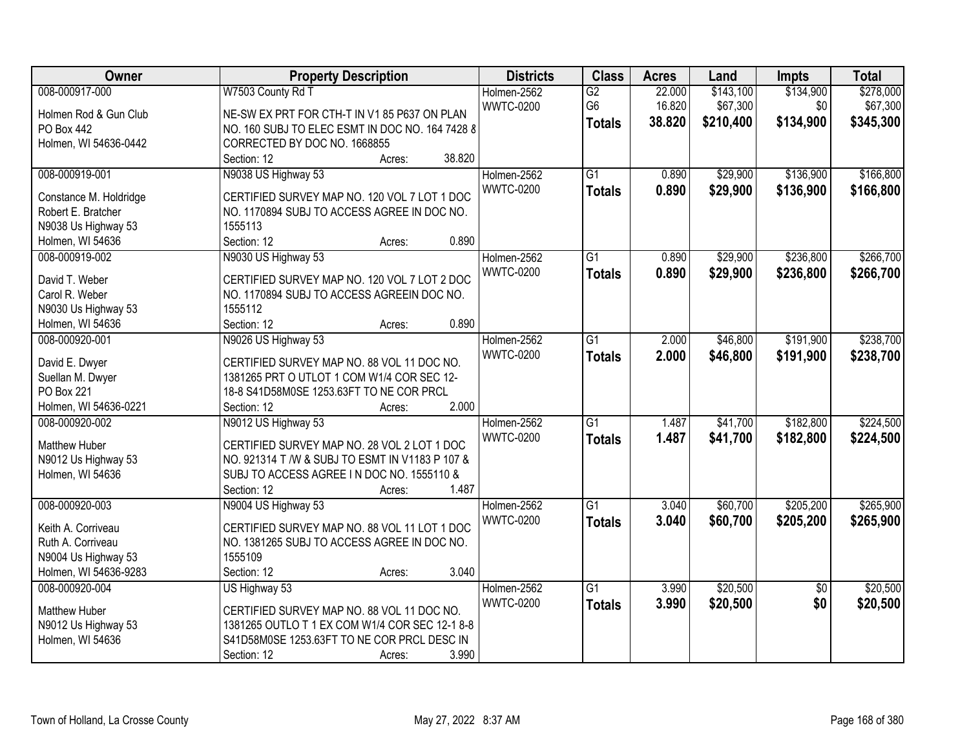| Owner                  | <b>Property Description</b>                                                                  | <b>Districts</b> | <b>Class</b>    | <b>Acres</b> | Land      | Impts           | <b>Total</b> |
|------------------------|----------------------------------------------------------------------------------------------|------------------|-----------------|--------------|-----------|-----------------|--------------|
| 008-000917-000         | W7503 County Rd T                                                                            | Holmen-2562      | $\overline{G2}$ | 22.000       | \$143,100 | \$134,900       | \$278,000    |
| Holmen Rod & Gun Club  | NE-SW EX PRT FOR CTH-T IN V1 85 P637 ON PLAN                                                 | <b>WWTC-0200</b> | G <sub>6</sub>  | 16.820       | \$67,300  | \$0             | \$67,300     |
| PO Box 442             | NO. 160 SUBJ TO ELEC ESMT IN DOC NO. 164 7428 8                                              |                  | <b>Totals</b>   | 38.820       | \$210,400 | \$134,900       | \$345,300    |
| Holmen, WI 54636-0442  | CORRECTED BY DOC NO. 1668855                                                                 |                  |                 |              |           |                 |              |
|                        | Section: 12<br>38.820<br>Acres:                                                              |                  |                 |              |           |                 |              |
| 008-000919-001         | N9038 US Highway 53                                                                          | Holmen-2562      | $\overline{G1}$ | 0.890        | \$29,900  | \$136,900       | \$166,800    |
|                        |                                                                                              | <b>WWTC-0200</b> | <b>Totals</b>   | 0.890        | \$29,900  | \$136,900       | \$166,800    |
| Constance M. Holdridge | CERTIFIED SURVEY MAP NO. 120 VOL 7 LOT 1 DOC                                                 |                  |                 |              |           |                 |              |
| Robert E. Bratcher     | NO. 1170894 SUBJ TO ACCESS AGREE IN DOC NO.                                                  |                  |                 |              |           |                 |              |
| N9038 Us Highway 53    | 1555113                                                                                      |                  |                 |              |           |                 |              |
| Holmen, WI 54636       | 0.890<br>Section: 12<br>Acres:                                                               |                  |                 |              |           |                 |              |
| 008-000919-002         | N9030 US Highway 53                                                                          | Holmen-2562      | $\overline{G1}$ | 0.890        | \$29,900  | \$236,800       | \$266,700    |
| David T. Weber         | CERTIFIED SURVEY MAP NO. 120 VOL 7 LOT 2 DOC                                                 | <b>WWTC-0200</b> | <b>Totals</b>   | 0.890        | \$29,900  | \$236,800       | \$266,700    |
| Carol R. Weber         | NO. 1170894 SUBJ TO ACCESS AGREEIN DOC NO.                                                   |                  |                 |              |           |                 |              |
| N9030 Us Highway 53    | 1555112                                                                                      |                  |                 |              |           |                 |              |
| Holmen, WI 54636       | 0.890<br>Section: 12<br>Acres:                                                               |                  |                 |              |           |                 |              |
| 008-000920-001         | N9026 US Highway 53                                                                          | Holmen-2562      | G1              | 2.000        | \$46,800  | \$191,900       | \$238,700    |
|                        |                                                                                              | <b>WWTC-0200</b> | <b>Totals</b>   | 2.000        | \$46,800  | \$191,900       | \$238,700    |
| David E. Dwyer         | CERTIFIED SURVEY MAP NO. 88 VOL 11 DOC NO.                                                   |                  |                 |              |           |                 |              |
| Suellan M. Dwyer       | 1381265 PRT O UTLOT 1 COM W1/4 COR SEC 12-                                                   |                  |                 |              |           |                 |              |
| <b>PO Box 221</b>      | 18-8 S41D58M0SE 1253.63FT TO NE COR PRCL                                                     |                  |                 |              |           |                 |              |
| Holmen, WI 54636-0221  | 2.000<br>Section: 12<br>Acres:                                                               |                  |                 |              |           |                 |              |
| 008-000920-002         | N9012 US Highway 53                                                                          | Holmen-2562      | $\overline{G1}$ | 1.487        | \$41,700  | \$182,800       | \$224,500    |
| <b>Matthew Huber</b>   | CERTIFIED SURVEY MAP NO. 28 VOL 2 LOT 1 DOC                                                  | <b>WWTC-0200</b> | <b>Totals</b>   | 1.487        | \$41,700  | \$182,800       | \$224,500    |
| N9012 Us Highway 53    | NO. 921314 T /W & SUBJ TO ESMT IN V1183 P 107 &                                              |                  |                 |              |           |                 |              |
| Holmen, WI 54636       | SUBJ TO ACCESS AGREE IN DOC NO. 1555110 &                                                    |                  |                 |              |           |                 |              |
|                        | 1.487<br>Section: 12<br>Acres:                                                               |                  |                 |              |           |                 |              |
| 008-000920-003         | N9004 US Highway 53                                                                          | Holmen-2562      | $\overline{G1}$ | 3.040        | \$60,700  | \$205,200       | \$265,900    |
|                        |                                                                                              | <b>WWTC-0200</b> |                 |              |           |                 |              |
| Keith A. Corriveau     | CERTIFIED SURVEY MAP NO. 88 VOL 11 LOT 1 DOC                                                 |                  | <b>Totals</b>   | 3.040        | \$60,700  | \$205,200       | \$265,900    |
| Ruth A. Corriveau      | NO. 1381265 SUBJ TO ACCESS AGREE IN DOC NO.                                                  |                  |                 |              |           |                 |              |
| N9004 Us Highway 53    | 1555109                                                                                      |                  |                 |              |           |                 |              |
| Holmen, WI 54636-9283  | 3.040<br>Section: 12<br>Acres:                                                               |                  |                 |              |           |                 |              |
| 008-000920-004         | US Highway 53                                                                                | Holmen-2562      | $\overline{G1}$ | 3.990        | \$20,500  | $\overline{50}$ | \$20,500     |
| <b>Matthew Huber</b>   |                                                                                              | <b>WWTC-0200</b> | <b>Totals</b>   | 3.990        | \$20,500  | \$0             | \$20,500     |
|                        | CERTIFIED SURVEY MAP NO. 88 VOL 11 DOC NO.<br>1381265 OUTLO T 1 EX COM W1/4 COR SEC 12-1 8-8 |                  |                 |              |           |                 |              |
| N9012 Us Highway 53    |                                                                                              |                  |                 |              |           |                 |              |
| Holmen, WI 54636       | S41D58M0SE 1253.63FT TO NE COR PRCL DESC IN                                                  |                  |                 |              |           |                 |              |
|                        | 3.990<br>Section: 12<br>Acres:                                                               |                  |                 |              |           |                 |              |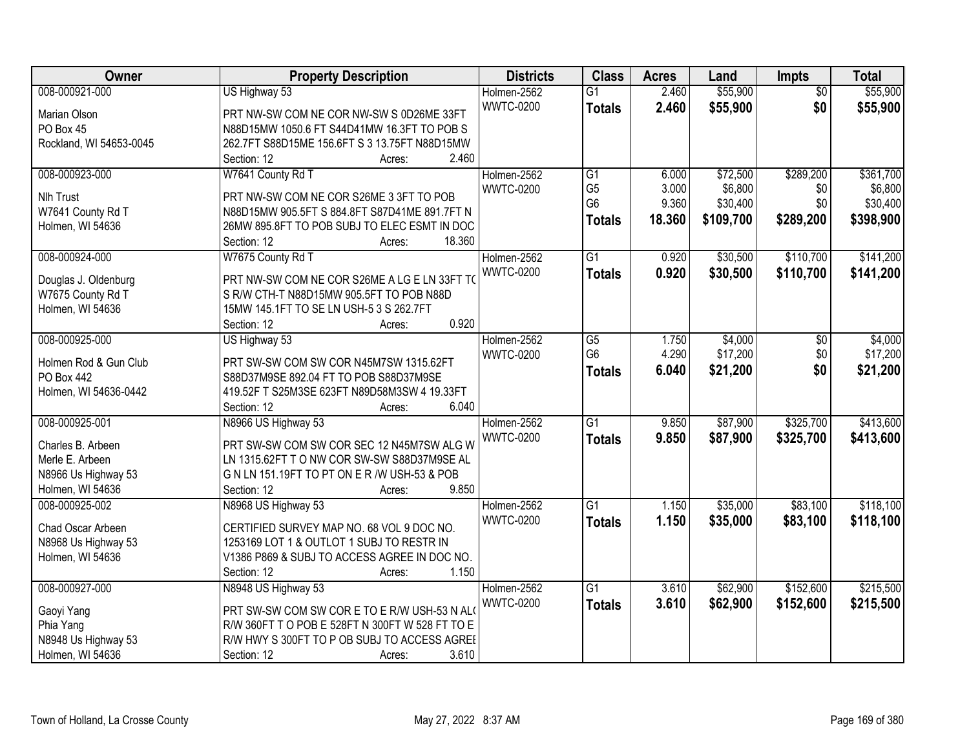| Owner                   | <b>Property Description</b>                     | <b>Districts</b> | <b>Class</b>    | <b>Acres</b> | Land      | Impts           | <b>Total</b> |
|-------------------------|-------------------------------------------------|------------------|-----------------|--------------|-----------|-----------------|--------------|
| 008-000921-000          | US Highway 53                                   | Holmen-2562      | $\overline{G1}$ | 2.460        | \$55,900  | $\overline{50}$ | \$55,900     |
| Marian Olson            | PRT NW-SW COM NE COR NW-SW S 0D26ME 33FT        | <b>WWTC-0200</b> | <b>Totals</b>   | 2.460        | \$55,900  | \$0             | \$55,900     |
| PO Box 45               | N88D15MW 1050.6 FT S44D41MW 16.3FT TO POB S     |                  |                 |              |           |                 |              |
| Rockland, WI 54653-0045 | 262.7FT S88D15ME 156.6FT S 3 13.75FT N88D15MW   |                  |                 |              |           |                 |              |
|                         | 2.460<br>Section: 12<br>Acres:                  |                  |                 |              |           |                 |              |
| 008-000923-000          | W7641 County Rd T                               | Holmen-2562      | $\overline{G1}$ | 6.000        | \$72,500  | \$289,200       | \$361,700    |
|                         |                                                 | <b>WWTC-0200</b> | G <sub>5</sub>  | 3.000        | \$6,800   | \$0             | \$6,800      |
| Nlh Trust               | PRT NW-SW COM NE COR S26ME 3 3FT TO POB         |                  | G <sub>6</sub>  | 9.360        | \$30,400  | \$0             | \$30,400     |
| W7641 County Rd T       | N88D15MW 905.5FT S 884.8FT S87D41ME 891.7FT N   |                  | <b>Totals</b>   | 18.360       | \$109,700 | \$289,200       | \$398,900    |
| Holmen, WI 54636        | 26MW 895.8FT TO POB SUBJ TO ELEC ESMT IN DOC    |                  |                 |              |           |                 |              |
|                         | 18.360<br>Section: 12<br>Acres:                 |                  |                 |              |           |                 |              |
| 008-000924-000          | W7675 County Rd T                               | Holmen-2562      | $\overline{G1}$ | 0.920        | \$30,500  | \$110,700       | \$141,200    |
| Douglas J. Oldenburg    | PRT NW-SW COM NE COR S26ME A LG E LN 33FT TO    | <b>WWTC-0200</b> | <b>Totals</b>   | 0.920        | \$30,500  | \$110,700       | \$141,200    |
| W7675 County Rd T       | S R/W CTH-T N88D15MW 905.5FT TO POB N88D        |                  |                 |              |           |                 |              |
| Holmen, WI 54636        | 15MW 145.1FT TO SE LN USH-5 3 S 262.7FT         |                  |                 |              |           |                 |              |
|                         | 0.920<br>Section: 12<br>Acres:                  |                  |                 |              |           |                 |              |
| 008-000925-000          | US Highway 53                                   | Holmen-2562      | G5              | 1.750        | \$4,000   | \$0             | \$4,000      |
|                         |                                                 | <b>WWTC-0200</b> | G <sub>6</sub>  | 4.290        | \$17,200  | \$0             | \$17,200     |
| Holmen Rod & Gun Club   | PRT SW-SW COM SW COR N45M7SW 1315.62FT          |                  | <b>Totals</b>   | 6.040        | \$21,200  | \$0             | \$21,200     |
| <b>PO Box 442</b>       | S88D37M9SE 892.04 FT TO POB S88D37M9SE          |                  |                 |              |           |                 |              |
| Holmen, WI 54636-0442   | 419.52F T S25M3SE 623FT N89D58M3SW 4 19.33FT    |                  |                 |              |           |                 |              |
|                         | 6.040<br>Section: 12<br>Acres:                  |                  |                 |              |           |                 |              |
| 008-000925-001          | N8966 US Highway 53                             | Holmen-2562      | $\overline{G1}$ | 9.850        | \$87,900  | \$325,700       | \$413,600    |
| Charles B. Arbeen       | PRT SW-SW COM SW COR SEC 12 N45M7SW ALG W       | <b>WWTC-0200</b> | <b>Totals</b>   | 9.850        | \$87,900  | \$325,700       | \$413,600    |
| Merle E. Arbeen         | LN 1315.62FT T O NW COR SW-SW S88D37M9SE AL     |                  |                 |              |           |                 |              |
| N8966 Us Highway 53     | G N LN 151.19FT TO PT ON E R /W USH-53 & POB    |                  |                 |              |           |                 |              |
| Holmen, WI 54636        | 9.850<br>Section: 12<br>Acres:                  |                  |                 |              |           |                 |              |
| 008-000925-002          | N8968 US Highway 53                             | Holmen-2562      | $\overline{G1}$ | 1.150        | \$35,000  | \$83,100        | \$118,100    |
|                         |                                                 | <b>WWTC-0200</b> | <b>Totals</b>   | 1.150        | \$35,000  | \$83,100        | \$118,100    |
| Chad Oscar Arbeen       | CERTIFIED SURVEY MAP NO. 68 VOL 9 DOC NO.       |                  |                 |              |           |                 |              |
| N8968 Us Highway 53     | 1253169 LOT 1 & OUTLOT 1 SUBJ TO RESTR IN       |                  |                 |              |           |                 |              |
| Holmen, WI 54636        | V1386 P869 & SUBJ TO ACCESS AGREE IN DOC NO.    |                  |                 |              |           |                 |              |
|                         | 1.150<br>Section: 12<br>Acres:                  |                  |                 |              |           |                 |              |
| 008-000927-000          | N8948 US Highway 53                             | Holmen-2562      | $\overline{G1}$ | 3.610        | \$62,900  | \$152,600       | \$215,500    |
| Gaoyi Yang              | PRT SW-SW COM SW COR E TO E R/W USH-53 N AL     | <b>WWTC-0200</b> | <b>Totals</b>   | 3.610        | \$62,900  | \$152,600       | \$215,500    |
| Phia Yang               | R/W 360FT T O POB E 528FT N 300FT W 528 FT TO E |                  |                 |              |           |                 |              |
| N8948 Us Highway 53     | R/W HWY S 300FT TO P OB SUBJ TO ACCESS AGREE    |                  |                 |              |           |                 |              |
| Holmen, WI 54636        | 3.610<br>Section: 12<br>Acres:                  |                  |                 |              |           |                 |              |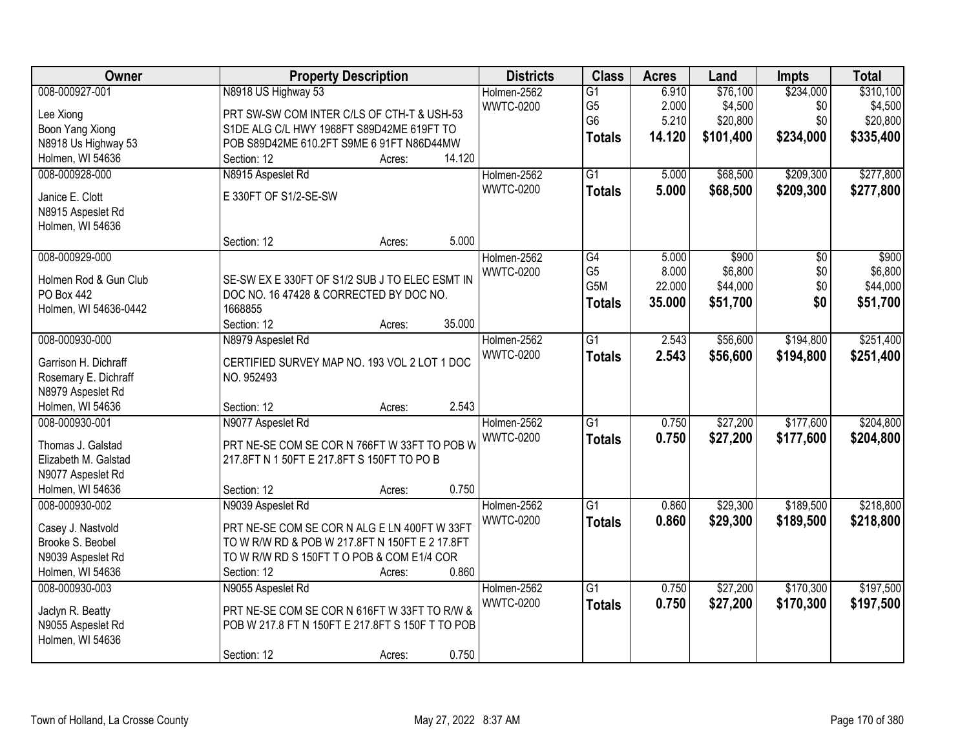| Owner                 | <b>Property Description</b>                      | <b>Districts</b> | <b>Class</b>     | <b>Acres</b> | Land      | <b>Impts</b> | <b>Total</b> |
|-----------------------|--------------------------------------------------|------------------|------------------|--------------|-----------|--------------|--------------|
| 008-000927-001        | N8918 US Highway 53                              | Holmen-2562      | $\overline{G1}$  | 6.910        | \$76,100  | \$234,000    | \$310,100    |
| Lee Xiong             | PRT SW-SW COM INTER C/LS OF CTH-T & USH-53       | <b>WWTC-0200</b> | G <sub>5</sub>   | 2.000        | \$4,500   | \$0          | \$4,500      |
| Boon Yang Xiong       | S1DE ALG C/L HWY 1968FT S89D42ME 619FT TO        |                  | G <sub>6</sub>   | 5.210        | \$20,800  | \$0          | \$20,800     |
| N8918 Us Highway 53   | POB S89D42ME 610.2FT S9ME 6 91FT N86D44MW        |                  | <b>Totals</b>    | 14.120       | \$101,400 | \$234,000    | \$335,400    |
| Holmen, WI 54636      | 14.120<br>Section: 12<br>Acres:                  |                  |                  |              |           |              |              |
| 008-000928-000        | N8915 Aspeslet Rd                                | Holmen-2562      | $\overline{G1}$  | 5.000        | \$68,500  | \$209,300    | \$277,800    |
|                       |                                                  | <b>WWTC-0200</b> |                  | 5.000        | \$68,500  | \$209,300    | \$277,800    |
| Janice E. Clott       | E 330FT OF S1/2-SE-SW                            |                  | <b>Totals</b>    |              |           |              |              |
| N8915 Aspeslet Rd     |                                                  |                  |                  |              |           |              |              |
| Holmen, WI 54636      |                                                  |                  |                  |              |           |              |              |
|                       | 5.000<br>Section: 12<br>Acres:                   |                  |                  |              |           |              |              |
| 008-000929-000        |                                                  | Holmen-2562      | G4               | 5.000        | \$900     | \$0          | \$900        |
| Holmen Rod & Gun Club | SE-SW EX E 330FT OF S1/2 SUB J TO ELEC ESMT IN   | <b>WWTC-0200</b> | G <sub>5</sub>   | 8.000        | \$6,800   | \$0          | \$6,800      |
| <b>PO Box 442</b>     | DOC NO. 16 47428 & CORRECTED BY DOC NO.          |                  | G <sub>5</sub> M | 22.000       | \$44,000  | \$0          | \$44,000     |
| Holmen, WI 54636-0442 | 1668855                                          |                  | <b>Totals</b>    | 35.000       | \$51,700  | \$0          | \$51,700     |
|                       | Section: 12<br>35.000<br>Acres:                  |                  |                  |              |           |              |              |
| 008-000930-000        | N8979 Aspeslet Rd                                | Holmen-2562      | $\overline{G1}$  | 2.543        | \$56,600  | \$194,800    | \$251,400    |
|                       |                                                  | <b>WWTC-0200</b> |                  |              |           |              |              |
| Garrison H. Dichraff  | CERTIFIED SURVEY MAP NO. 193 VOL 2 LOT 1 DOC     |                  | <b>Totals</b>    | 2.543        | \$56,600  | \$194,800    | \$251,400    |
| Rosemary E. Dichraff  | NO. 952493                                       |                  |                  |              |           |              |              |
| N8979 Aspeslet Rd     |                                                  |                  |                  |              |           |              |              |
| Holmen, WI 54636      | 2.543<br>Section: 12<br>Acres:                   |                  |                  |              |           |              |              |
| 008-000930-001        | N9077 Aspeslet Rd                                | Holmen-2562      | $\overline{G1}$  | 0.750        | \$27,200  | \$177,600    | \$204,800    |
|                       |                                                  | <b>WWTC-0200</b> | <b>Totals</b>    | 0.750        | \$27,200  | \$177,600    | \$204,800    |
| Thomas J. Galstad     | PRT NE-SE COM SE COR N 766FT W 33FT TO POB W     |                  |                  |              |           |              |              |
| Elizabeth M. Galstad  | 217.8FT N 1 50FT E 217.8FT S 150FT TO PO B       |                  |                  |              |           |              |              |
| N9077 Aspeslet Rd     |                                                  |                  |                  |              |           |              |              |
| Holmen, WI 54636      | 0.750<br>Section: 12<br>Acres:                   |                  |                  |              |           |              |              |
| 008-000930-002        | N9039 Aspeslet Rd                                | Holmen-2562      | $\overline{G1}$  | 0.860        | \$29,300  | \$189,500    | \$218,800    |
| Casey J. Nastvold     | PRT NE-SE COM SE COR N ALG E LN 400FT W 33FT     | <b>WWTC-0200</b> | <b>Totals</b>    | 0.860        | \$29,300  | \$189,500    | \$218,800    |
| Brooke S. Beobel      | TO W R/W RD & POB W 217.8FT N 150FT E 2 17.8FT   |                  |                  |              |           |              |              |
| N9039 Aspeslet Rd     | TO W R/W RD S 150FT T O POB & COM E1/4 COR       |                  |                  |              |           |              |              |
| Holmen, WI 54636      | 0.860<br>Section: 12<br>Acres:                   |                  |                  |              |           |              |              |
| 008-000930-003        | N9055 Aspeslet Rd                                | Holmen-2562      | $\overline{G1}$  | 0.750        | \$27,200  | \$170,300    | \$197,500    |
|                       |                                                  | <b>WWTC-0200</b> | <b>Totals</b>    | 0.750        | \$27,200  | \$170,300    | \$197,500    |
| Jaclyn R. Beatty      | PRT NE-SE COM SE COR N 616FT W 33FT TO R/W &     |                  |                  |              |           |              |              |
| N9055 Aspeslet Rd     | POB W 217.8 FT N 150FT E 217.8FT S 150F T TO POB |                  |                  |              |           |              |              |
| Holmen, WI 54636      |                                                  |                  |                  |              |           |              |              |
|                       | 0.750<br>Section: 12<br>Acres:                   |                  |                  |              |           |              |              |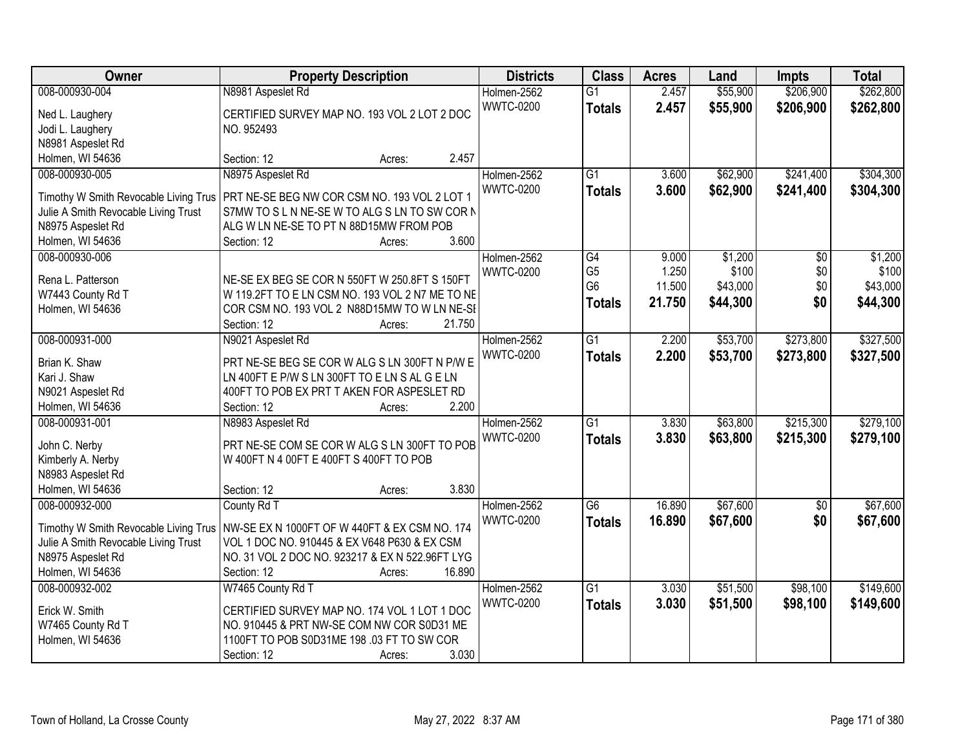| Owner                                 | <b>Property Description</b>                                                                    | <b>Districts</b> | <b>Class</b>                     | <b>Acres</b>    | Land              | <b>Impts</b>    | <b>Total</b>      |
|---------------------------------------|------------------------------------------------------------------------------------------------|------------------|----------------------------------|-----------------|-------------------|-----------------|-------------------|
| 008-000930-004                        | N8981 Aspeslet Rd                                                                              | Holmen-2562      | $\overline{G1}$                  | 2.457           | \$55,900          | \$206,900       | \$262,800         |
| Ned L. Laughery                       | CERTIFIED SURVEY MAP NO. 193 VOL 2 LOT 2 DOC                                                   | <b>WWTC-0200</b> | <b>Totals</b>                    | 2.457           | \$55,900          | \$206,900       | \$262,800         |
| Jodi L. Laughery                      | NO. 952493                                                                                     |                  |                                  |                 |                   |                 |                   |
| N8981 Aspeslet Rd                     |                                                                                                |                  |                                  |                 |                   |                 |                   |
| Holmen, WI 54636                      | 2.457<br>Section: 12<br>Acres:                                                                 |                  |                                  |                 |                   |                 |                   |
| 008-000930-005                        | N8975 Aspeslet Rd                                                                              | Holmen-2562      | $\overline{G1}$                  | 3.600           | \$62,900          | \$241,400       | \$304,300         |
|                                       |                                                                                                | <b>WWTC-0200</b> | <b>Totals</b>                    | 3.600           | \$62,900          | \$241,400       | \$304,300         |
| Timothy W Smith Revocable Living Trus | PRT NE-SE BEG NW COR CSM NO. 193 VOL 2 LOT 1                                                   |                  |                                  |                 |                   |                 |                   |
| Julie A Smith Revocable Living Trust  | S7MW TO SLN NE-SEW TO ALG SLN TO SW CORN                                                       |                  |                                  |                 |                   |                 |                   |
| N8975 Aspeslet Rd                     | ALG W LN NE-SE TO PT N 88D15MW FROM POB<br>3.600                                               |                  |                                  |                 |                   |                 |                   |
| Holmen, WI 54636                      | Section: 12<br>Acres:                                                                          |                  |                                  |                 |                   |                 |                   |
| 008-000930-006                        |                                                                                                | Holmen-2562      | $\overline{G4}$                  | 9.000           | \$1,200           | $\overline{60}$ | \$1,200           |
| Rena L. Patterson                     | NE-SE EX BEG SE COR N 550FT W 250.8FT S 150FT                                                  | <b>WWTC-0200</b> | G <sub>5</sub><br>G <sub>6</sub> | 1.250<br>11.500 | \$100<br>\$43,000 | \$0<br>\$0      | \$100<br>\$43,000 |
| W7443 County Rd T                     | W 119.2FT TO E LN CSM NO. 193 VOL 2 N7 ME TO NE                                                |                  |                                  |                 |                   |                 |                   |
| Holmen, WI 54636                      | COR CSM NO. 193 VOL 2 N88D15MW TO W LN NE-SI                                                   |                  | <b>Totals</b>                    | 21.750          | \$44,300          | \$0             | \$44,300          |
|                                       | Section: 12<br>21.750<br>Acres:                                                                |                  |                                  |                 |                   |                 |                   |
| 008-000931-000                        | N9021 Aspeslet Rd                                                                              | Holmen-2562      | $\overline{G1}$                  | 2.200           | \$53,700          | \$273,800       | \$327,500         |
|                                       |                                                                                                | <b>WWTC-0200</b> | <b>Totals</b>                    | 2.200           | \$53,700          | \$273,800       | \$327,500         |
| Brian K. Shaw<br>Kari J. Shaw         | PRT NE-SE BEG SE COR W ALG S LN 300FT N P/W E<br>LN 400FT E P/W S LN 300FT TO E LN S AL G E LN |                  |                                  |                 |                   |                 |                   |
| N9021 Aspeslet Rd                     | 400FT TO POB EX PRT T AKEN FOR ASPESLET RD                                                     |                  |                                  |                 |                   |                 |                   |
| Holmen, WI 54636                      | 2.200<br>Section: 12<br>Acres:                                                                 |                  |                                  |                 |                   |                 |                   |
| 008-000931-001                        | N8983 Aspeslet Rd                                                                              | Holmen-2562      | $\overline{G1}$                  | 3.830           | \$63,800          | \$215,300       | \$279,100         |
|                                       |                                                                                                | <b>WWTC-0200</b> |                                  | 3.830           |                   |                 |                   |
| John C. Nerby                         | PRT NE-SE COM SE COR W ALG S LN 300FT TO POB                                                   |                  | <b>Totals</b>                    |                 | \$63,800          | \$215,300       | \$279,100         |
| Kimberly A. Nerby                     | W 400FT N 4 00FT E 400FT S 400FT TO POB                                                        |                  |                                  |                 |                   |                 |                   |
| N8983 Aspeslet Rd                     |                                                                                                |                  |                                  |                 |                   |                 |                   |
| Holmen, WI 54636                      | 3.830<br>Section: 12<br>Acres:                                                                 |                  |                                  |                 |                   |                 |                   |
| 008-000932-000                        | County Rd T                                                                                    | Holmen-2562      | $\overline{G6}$                  | 16.890          | \$67,600          | $\overline{50}$ | \$67,600          |
| Timothy W Smith Revocable Living Trus | NW-SE EX N 1000FT OF W 440FT & EX CSM NO. 174                                                  | <b>WWTC-0200</b> | <b>Totals</b>                    | 16.890          | \$67,600          | \$0             | \$67,600          |
| Julie A Smith Revocable Living Trust  | VOL 1 DOC NO. 910445 & EX V648 P630 & EX CSM                                                   |                  |                                  |                 |                   |                 |                   |
| N8975 Aspeslet Rd                     | NO. 31 VOL 2 DOC NO. 923217 & EX N 522.96FT LYG                                                |                  |                                  |                 |                   |                 |                   |
| Holmen, WI 54636                      | 16.890<br>Section: 12<br>Acres:                                                                |                  |                                  |                 |                   |                 |                   |
| 008-000932-002                        | W7465 County Rd T                                                                              | Holmen-2562      | $\overline{G1}$                  | 3.030           | \$51,500          | \$98,100        | \$149,600         |
|                                       |                                                                                                | <b>WWTC-0200</b> | <b>Totals</b>                    | 3.030           | \$51,500          | \$98,100        | \$149,600         |
| Erick W. Smith                        | CERTIFIED SURVEY MAP NO. 174 VOL 1 LOT 1 DOC                                                   |                  |                                  |                 |                   |                 |                   |
| W7465 County Rd T                     | NO. 910445 & PRT NW-SE COM NW COR S0D31 ME                                                     |                  |                                  |                 |                   |                 |                   |
| Holmen, WI 54636                      | 1100FT TO POB S0D31ME 198 .03 FT TO SW COR                                                     |                  |                                  |                 |                   |                 |                   |
|                                       | 3.030<br>Section: 12<br>Acres:                                                                 |                  |                                  |                 |                   |                 |                   |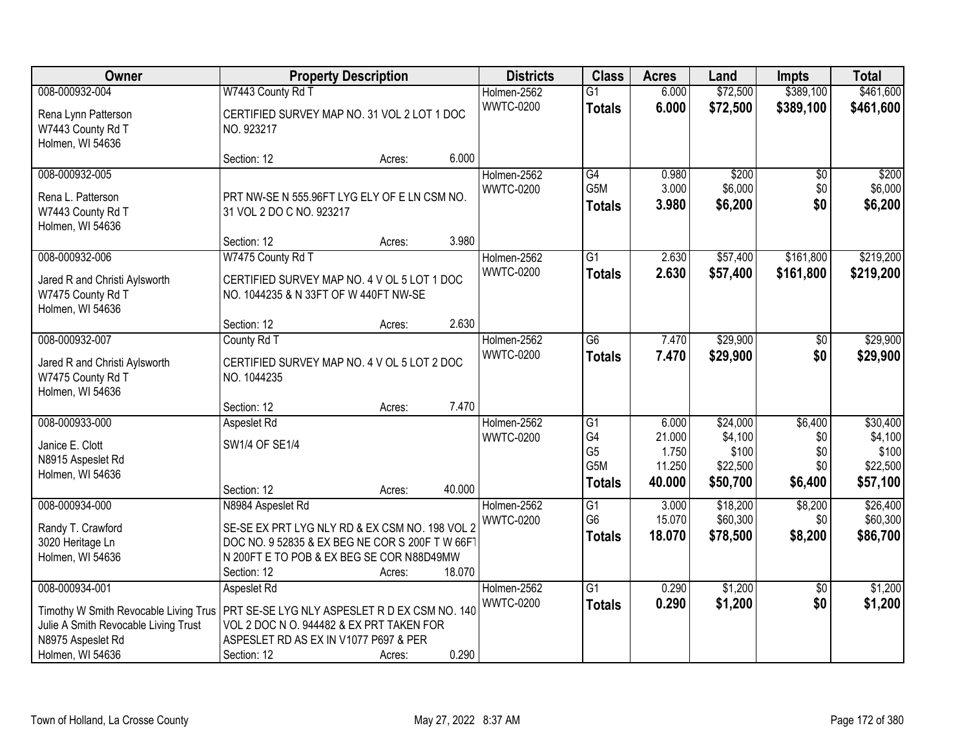| <b>Owner</b>                             | <b>Property Description</b>                                                                       |        |        | <b>Districts</b> | <b>Class</b>     | <b>Acres</b> | Land     | <b>Impts</b>    | <b>Total</b> |
|------------------------------------------|---------------------------------------------------------------------------------------------------|--------|--------|------------------|------------------|--------------|----------|-----------------|--------------|
| 008-000932-004                           | W7443 County Rd T                                                                                 |        |        | Holmen-2562      | $\overline{G1}$  | 6.000        | \$72,500 | \$389,100       | \$461,600    |
| Rena Lynn Patterson<br>W7443 County Rd T | CERTIFIED SURVEY MAP NO. 31 VOL 2 LOT 1 DOC<br>NO. 923217                                         |        |        | <b>WWTC-0200</b> | <b>Totals</b>    | 6.000        | \$72,500 | \$389,100       | \$461,600    |
| Holmen, WI 54636                         | Section: 12                                                                                       | Acres: | 6.000  |                  |                  |              |          |                 |              |
| 008-000932-005                           |                                                                                                   |        |        | Holmen-2562      | G4               | 0.980        | \$200    | \$0             | \$200        |
|                                          |                                                                                                   |        |        | <b>WWTC-0200</b> | G <sub>5</sub> M | 3.000        | \$6,000  | \$0             | \$6,000      |
| Rena L. Patterson                        | PRT NW-SE N 555.96FT LYG ELY OF E LN CSM NO.                                                      |        |        |                  | <b>Totals</b>    | 3.980        | \$6,200  | \$0             | \$6,200      |
| W7443 County Rd T                        | 31 VOL 2 DO C NO. 923217                                                                          |        |        |                  |                  |              |          |                 |              |
| Holmen, WI 54636                         |                                                                                                   |        |        |                  |                  |              |          |                 |              |
|                                          | Section: 12                                                                                       | Acres: | 3.980  |                  |                  |              |          |                 |              |
| 008-000932-006                           | W7475 County Rd T                                                                                 |        |        | Holmen-2562      | G1               | 2.630        | \$57,400 | \$161,800       | \$219,200    |
| Jared R and Christi Aylsworth            | CERTIFIED SURVEY MAP NO. 4 V OL 5 LOT 1 DOC                                                       |        |        | <b>WWTC-0200</b> | <b>Totals</b>    | 2.630        | \$57,400 | \$161,800       | \$219,200    |
| W7475 County Rd T                        | NO. 1044235 & N 33FT OF W 440FT NW-SE                                                             |        |        |                  |                  |              |          |                 |              |
| Holmen, WI 54636                         |                                                                                                   |        |        |                  |                  |              |          |                 |              |
|                                          | Section: 12                                                                                       | Acres: | 2.630  |                  |                  |              |          |                 |              |
| 008-000932-007                           | County Rd T                                                                                       |        |        | Holmen-2562      | G6               | 7.470        | \$29,900 | \$0             | \$29,900     |
| Jared R and Christi Aylsworth            | CERTIFIED SURVEY MAP NO. 4 V OL 5 LOT 2 DOC                                                       |        |        | <b>WWTC-0200</b> | <b>Totals</b>    | 7.470        | \$29,900 | \$0             | \$29,900     |
| W7475 County Rd T                        | NO. 1044235                                                                                       |        |        |                  |                  |              |          |                 |              |
| Holmen, WI 54636                         |                                                                                                   |        |        |                  |                  |              |          |                 |              |
|                                          | Section: 12                                                                                       | Acres: | 7.470  |                  |                  |              |          |                 |              |
| 008-000933-000                           | Aspeslet Rd                                                                                       |        |        | Holmen-2562      | $\overline{G1}$  | 6.000        | \$24,000 | \$6,400         | \$30,400     |
| Janice E. Clott                          | SW1/4 OF SE1/4                                                                                    |        |        | <b>WWTC-0200</b> | G4               | 21.000       | \$4,100  | \$0             | \$4,100      |
| N8915 Aspeslet Rd                        |                                                                                                   |        |        |                  | G <sub>5</sub>   | 1.750        | \$100    | \$0             | \$100        |
| Holmen, WI 54636                         |                                                                                                   |        |        |                  | G <sub>5</sub> M | 11.250       | \$22,500 | \$0             | \$22,500     |
|                                          | Section: 12                                                                                       | Acres: | 40.000 |                  | <b>Totals</b>    | 40.000       | \$50,700 | \$6,400         | \$57,100     |
| 008-000934-000                           | N8984 Aspeslet Rd                                                                                 |        |        | Holmen-2562      | G1               | 3.000        | \$18,200 | \$8,200         | \$26,400     |
|                                          |                                                                                                   |        |        | <b>WWTC-0200</b> | G <sub>6</sub>   | 15.070       | \$60,300 | \$0             | \$60,300     |
| Randy T. Crawford                        | SE-SE EX PRT LYG NLY RD & EX CSM NO. 198 VOL 2<br>DOC NO. 9 52835 & EX BEG NE COR S 200F T W 66FT |        |        |                  | <b>Totals</b>    | 18.070       | \$78,500 | \$8,200         | \$86,700     |
| 3020 Heritage Ln<br>Holmen, WI 54636     | N 200FT E TO POB & EX BEG SE COR N88D49MW                                                         |        |        |                  |                  |              |          |                 |              |
|                                          | Section: 12                                                                                       | Acres: | 18.070 |                  |                  |              |          |                 |              |
| 008-000934-001                           | Aspeslet Rd                                                                                       |        |        | Holmen-2562      | $\overline{G1}$  | 0.290        | \$1,200  | $\overline{50}$ | \$1,200      |
|                                          |                                                                                                   |        |        | <b>WWTC-0200</b> | <b>Totals</b>    | 0.290        | \$1,200  | \$0             | \$1,200      |
| Timothy W Smith Revocable Living Trus    | PRT SE-SE LYG NLY ASPESLET R D EX CSM NO. 140                                                     |        |        |                  |                  |              |          |                 |              |
| Julie A Smith Revocable Living Trust     | VOL 2 DOC N O. 944482 & EX PRT TAKEN FOR                                                          |        |        |                  |                  |              |          |                 |              |
| N8975 Aspeslet Rd                        | ASPESLET RD AS EX IN V1077 P697 & PER                                                             |        |        |                  |                  |              |          |                 |              |
| Holmen, WI 54636                         | Section: 12                                                                                       | Acres: | 0.290  |                  |                  |              |          |                 |              |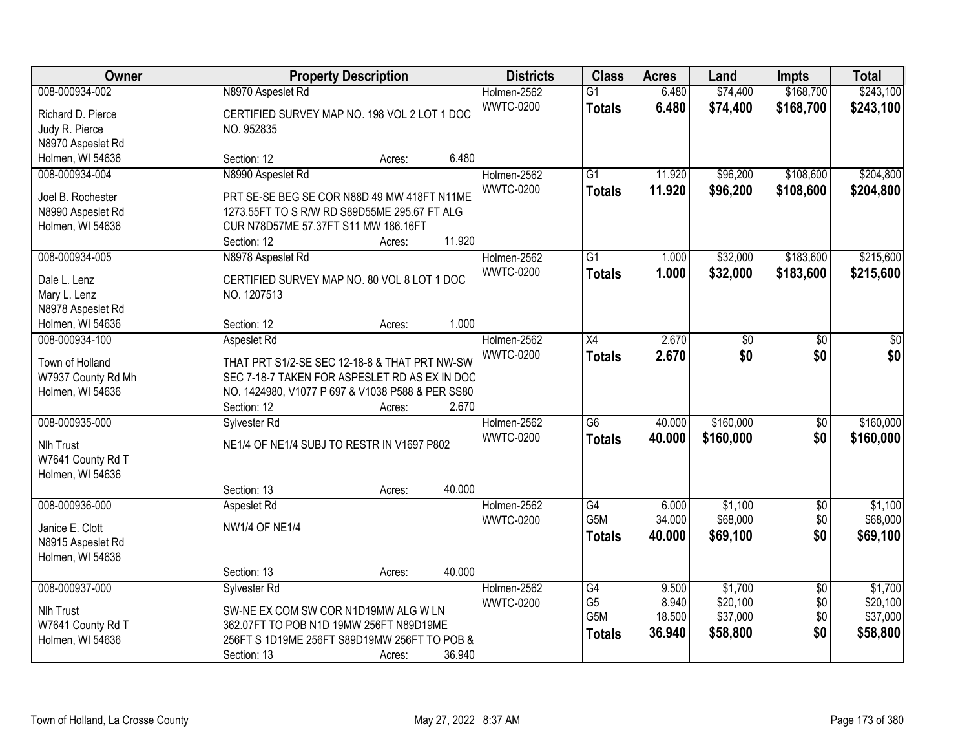| Owner              |                                                  | <b>Property Description</b> |        | <b>Districts</b>                | <b>Class</b>                     | <b>Acres</b>     | Land                 | <b>Impts</b>           | <b>Total</b>           |
|--------------------|--------------------------------------------------|-----------------------------|--------|---------------------------------|----------------------------------|------------------|----------------------|------------------------|------------------------|
| 008-000934-002     | N8970 Aspeslet Rd                                |                             |        | Holmen-2562<br><b>WWTC-0200</b> | $\overline{G1}$<br><b>Totals</b> | 6.480<br>6.480   | \$74,400<br>\$74,400 | \$168,700<br>\$168,700 | \$243,100<br>\$243,100 |
| Richard D. Pierce  | CERTIFIED SURVEY MAP NO. 198 VOL 2 LOT 1 DOC     |                             |        |                                 |                                  |                  |                      |                        |                        |
| Judy R. Pierce     | NO. 952835                                       |                             |        |                                 |                                  |                  |                      |                        |                        |
| N8970 Aspeslet Rd  |                                                  |                             |        |                                 |                                  |                  |                      |                        |                        |
| Holmen, WI 54636   | Section: 12                                      | Acres:                      | 6.480  |                                 |                                  |                  |                      |                        |                        |
| 008-000934-004     | N8990 Aspeslet Rd                                |                             |        | Holmen-2562<br><b>WWTC-0200</b> | $\overline{G1}$<br><b>Totals</b> | 11.920<br>11.920 | \$96,200<br>\$96,200 | \$108,600<br>\$108,600 | \$204,800<br>\$204,800 |
| Joel B. Rochester  | PRT SE-SE BEG SE COR N88D 49 MW 418FT N11ME      |                             |        |                                 |                                  |                  |                      |                        |                        |
| N8990 Aspeslet Rd  | 1273.55FT TO S R/W RD S89D55ME 295.67 FT ALG     |                             |        |                                 |                                  |                  |                      |                        |                        |
| Holmen, WI 54636   | CUR N78D57ME 57.37FT S11 MW 186.16FT             |                             |        |                                 |                                  |                  |                      |                        |                        |
|                    | Section: 12                                      | Acres:                      | 11.920 |                                 |                                  |                  |                      |                        |                        |
| 008-000934-005     | N8978 Aspeslet Rd                                |                             |        | Holmen-2562                     | $\overline{G1}$                  | 1.000            | \$32,000             | \$183,600              | \$215,600              |
| Dale L. Lenz       | CERTIFIED SURVEY MAP NO. 80 VOL 8 LOT 1 DOC      |                             |        | <b>WWTC-0200</b>                | <b>Totals</b>                    | 1.000            | \$32,000             | \$183,600              | \$215,600              |
| Mary L. Lenz       | NO. 1207513                                      |                             |        |                                 |                                  |                  |                      |                        |                        |
| N8978 Aspeslet Rd  |                                                  |                             |        |                                 |                                  |                  |                      |                        |                        |
| Holmen, WI 54636   | Section: 12                                      | Acres:                      | 1.000  |                                 |                                  |                  |                      |                        |                        |
| 008-000934-100     | Aspeslet Rd                                      |                             |        | Holmen-2562                     | X4                               | 2.670            | \$0                  | \$0                    | \$0                    |
| Town of Holland    | THAT PRT S1/2-SE SEC 12-18-8 & THAT PRT NW-SW    |                             |        | <b>WWTC-0200</b>                | <b>Totals</b>                    | 2.670            | \$0                  | \$0                    | \$0                    |
| W7937 County Rd Mh | SEC 7-18-7 TAKEN FOR ASPESLET RD AS EX IN DOC    |                             |        |                                 |                                  |                  |                      |                        |                        |
| Holmen, WI 54636   | NO. 1424980, V1077 P 697 & V1038 P588 & PER SS80 |                             |        |                                 |                                  |                  |                      |                        |                        |
|                    | Section: 12                                      | Acres:                      | 2.670  |                                 |                                  |                  |                      |                        |                        |
| 008-000935-000     | Sylvester Rd                                     |                             |        | Holmen-2562                     | $\overline{G6}$                  | 40.000           | \$160,000            | $\overline{50}$        | \$160,000              |
|                    |                                                  |                             |        | <b>WWTC-0200</b>                | <b>Totals</b>                    | 40.000           | \$160,000            | \$0                    | \$160,000              |
| <b>Nlh Trust</b>   | NE1/4 OF NE1/4 SUBJ TO RESTR IN V1697 P802       |                             |        |                                 |                                  |                  |                      |                        |                        |
| W7641 County Rd T  |                                                  |                             |        |                                 |                                  |                  |                      |                        |                        |
| Holmen, WI 54636   |                                                  |                             |        |                                 |                                  |                  |                      |                        |                        |
|                    | Section: 13                                      | Acres:                      | 40.000 |                                 |                                  |                  |                      |                        |                        |
| 008-000936-000     | Aspeslet Rd                                      |                             |        | Holmen-2562                     | G4                               | 6.000            | \$1,100              | $\sqrt{6}$             | \$1,100                |
| Janice E. Clott    | <b>NW1/4 OF NE1/4</b>                            |                             |        | <b>WWTC-0200</b>                | G <sub>5</sub> M                 | 34.000           | \$68,000             | \$0                    | \$68,000               |
| N8915 Aspeslet Rd  |                                                  |                             |        |                                 | <b>Totals</b>                    | 40.000           | \$69,100             | \$0                    | \$69,100               |
| Holmen, WI 54636   |                                                  |                             |        |                                 |                                  |                  |                      |                        |                        |
|                    | Section: 13                                      | Acres:                      | 40.000 |                                 |                                  |                  |                      |                        |                        |
| 008-000937-000     | Sylvester Rd                                     |                             |        | Holmen-2562                     | G4                               | 9.500            | \$1,700              | $\overline{50}$        | \$1,700                |
|                    |                                                  |                             |        | <b>WWTC-0200</b>                | G <sub>5</sub>                   | 8.940            | \$20,100             | \$0                    | \$20,100               |
| <b>Nlh Trust</b>   | SW-NE EX COM SW COR N1D19MW ALG W LN             |                             |        |                                 | G <sub>5</sub> M                 | 18.500           | \$37,000             | \$0                    | \$37,000               |
| W7641 County Rd T  | 362.07FT TO POB N1D 19MW 256FT N89D19ME          |                             |        |                                 | <b>Totals</b>                    | 36.940           | \$58,800             | \$0                    | \$58,800               |
| Holmen, WI 54636   | 256FT S 1D19ME 256FT S89D19MW 256FT TO POB &     |                             |        |                                 |                                  |                  |                      |                        |                        |
|                    | Section: 13                                      | Acres:                      | 36.940 |                                 |                                  |                  |                      |                        |                        |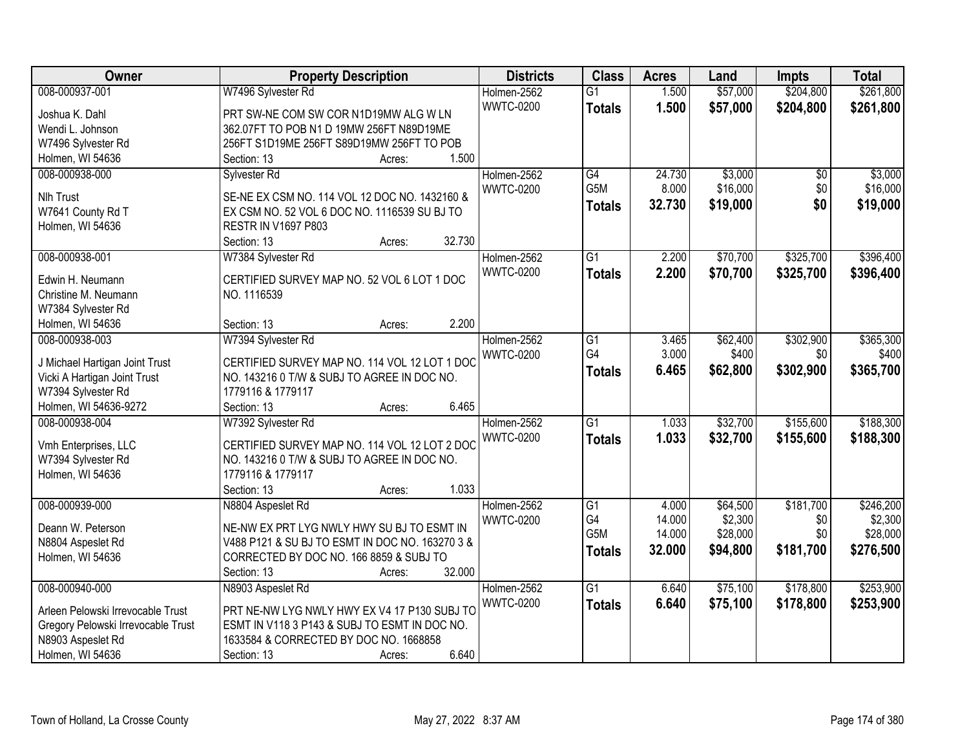| \$204,800<br>\$261,800<br>008-000937-001<br>W7496 Sylvester Rd<br>1.500<br>Holmen-2562<br>$\overline{G1}$<br><b>WWTC-0200</b><br>1.500<br>\$57,000<br>\$204,800<br>\$261,800<br><b>Totals</b><br>PRT SW-NE COM SW COR N1D19MW ALG W LN<br>Joshua K. Dahl<br>Wendi L. Johnson<br>362.07FT TO POB N1 D 19MW 256FT N89D19ME<br>256FT S1D19ME 256FT S89D19MW 256FT TO POB<br>W7496 Sylvester Rd<br>1.500<br>Holmen, WI 54636<br>Section: 13<br>Acres:<br>\$3,000<br>\$3,000<br>008-000938-000<br>Holmen-2562<br>$\overline{G4}$<br>24.730<br>$\overline{50}$<br>Sylvester Rd<br>G5M<br>\$16,000<br>\$0<br><b>WWTC-0200</b><br>8.000<br>\$16,000<br>Nlh Trust<br>SE-NE EX CSM NO. 114 VOL 12 DOC NO. 1432160 &<br>\$0<br>32.730<br>\$19,000<br>\$19,000<br><b>Totals</b><br>W7641 County Rd T<br>EX CSM NO. 52 VOL 6 DOC NO. 1116539 SU BJ TO<br>Holmen, WI 54636<br><b>RESTR IN V1697 P803</b><br>32.730<br>Section: 13<br>Acres:<br>008-000938-001<br>Holmen-2562<br>$\overline{G1}$<br>2.200<br>\$70,700<br>\$325,700<br>\$396,400<br>W7384 Sylvester Rd<br><b>WWTC-0200</b><br>\$70,700<br>\$325,700<br>2.200<br><b>Totals</b><br>CERTIFIED SURVEY MAP NO. 52 VOL 6 LOT 1 DOC<br>Edwin H. Neumann<br>Christine M. Neumann<br>NO. 1116539<br>W7384 Sylvester Rd<br>2.200<br>Section: 13<br>Holmen, WI 54636<br>Acres:<br>\$302,900<br>008-000938-003<br>W7394 Sylvester Rd<br>Holmen-2562<br>$\overline{G1}$<br>\$62,400<br>3.465<br>G4<br>3.000<br>\$400<br><b>WWTC-0200</b><br>\$0<br>CERTIFIED SURVEY MAP NO. 114 VOL 12 LOT 1 DOC<br>J Michael Hartigan Joint Trust<br>\$302,900<br>6.465<br>\$62,800<br>\$365,700<br><b>Totals</b><br>NO. 143216 0 T/W & SUBJ TO AGREE IN DOC NO.<br>Vicki A Hartigan Joint Trust<br>W7394 Sylvester Rd<br>1779116 & 1779117<br>Holmen, WI 54636-9272<br>6.465<br>Section: 13<br>Acres:<br>$\overline{G1}$<br>1.033<br>\$32,700<br>\$155,600<br>008-000938-004<br>Holmen-2562<br>W7392 Sylvester Rd<br>1.033<br><b>WWTC-0200</b><br>\$32,700<br>\$155,600<br>\$188,300<br><b>Totals</b><br>CERTIFIED SURVEY MAP NO. 114 VOL 12 LOT 2 DOC<br>Vmh Enterprises, LLC<br>NO. 143216 0 T/W & SUBJ TO AGREE IN DOC NO.<br>W7394 Sylvester Rd<br>Holmen, WI 54636<br>1779116 & 1779117<br>1.033<br>Section: 13<br>Acres:<br>008-000939-000<br>\$64,500<br>\$181,700<br>Holmen-2562<br>G1<br>4.000<br>N8804 Aspeslet Rd<br>G4<br>\$2,300<br>14.000<br>\$0<br><b>WWTC-0200</b><br>NE-NW EX PRT LYG NWLY HWY SU BJ TO ESMT IN<br>Deann W. Peterson | Owner | <b>Property Description</b> | <b>Districts</b> | <b>Class</b> | <b>Acres</b> | Land     | <b>Impts</b> | <b>Total</b> |
|----------------------------------------------------------------------------------------------------------------------------------------------------------------------------------------------------------------------------------------------------------------------------------------------------------------------------------------------------------------------------------------------------------------------------------------------------------------------------------------------------------------------------------------------------------------------------------------------------------------------------------------------------------------------------------------------------------------------------------------------------------------------------------------------------------------------------------------------------------------------------------------------------------------------------------------------------------------------------------------------------------------------------------------------------------------------------------------------------------------------------------------------------------------------------------------------------------------------------------------------------------------------------------------------------------------------------------------------------------------------------------------------------------------------------------------------------------------------------------------------------------------------------------------------------------------------------------------------------------------------------------------------------------------------------------------------------------------------------------------------------------------------------------------------------------------------------------------------------------------------------------------------------------------------------------------------------------------------------------------------------------------------------------------------------------------------------------------------------------------------------------------------------------------------------------------------------------------------------------------------------------------------------------------------------------------------------------------------------------------------------------------------------------------------------------------------------------------------------|-------|-----------------------------|------------------|--------------|--------------|----------|--------------|--------------|
|                                                                                                                                                                                                                                                                                                                                                                                                                                                                                                                                                                                                                                                                                                                                                                                                                                                                                                                                                                                                                                                                                                                                                                                                                                                                                                                                                                                                                                                                                                                                                                                                                                                                                                                                                                                                                                                                                                                                                                                                                                                                                                                                                                                                                                                                                                                                                                                                                                                                            |       |                             |                  |              |              | \$57,000 |              |              |
|                                                                                                                                                                                                                                                                                                                                                                                                                                                                                                                                                                                                                                                                                                                                                                                                                                                                                                                                                                                                                                                                                                                                                                                                                                                                                                                                                                                                                                                                                                                                                                                                                                                                                                                                                                                                                                                                                                                                                                                                                                                                                                                                                                                                                                                                                                                                                                                                                                                                            |       |                             |                  |              |              |          |              |              |
|                                                                                                                                                                                                                                                                                                                                                                                                                                                                                                                                                                                                                                                                                                                                                                                                                                                                                                                                                                                                                                                                                                                                                                                                                                                                                                                                                                                                                                                                                                                                                                                                                                                                                                                                                                                                                                                                                                                                                                                                                                                                                                                                                                                                                                                                                                                                                                                                                                                                            |       |                             |                  |              |              |          |              |              |
|                                                                                                                                                                                                                                                                                                                                                                                                                                                                                                                                                                                                                                                                                                                                                                                                                                                                                                                                                                                                                                                                                                                                                                                                                                                                                                                                                                                                                                                                                                                                                                                                                                                                                                                                                                                                                                                                                                                                                                                                                                                                                                                                                                                                                                                                                                                                                                                                                                                                            |       |                             |                  |              |              |          |              |              |
|                                                                                                                                                                                                                                                                                                                                                                                                                                                                                                                                                                                                                                                                                                                                                                                                                                                                                                                                                                                                                                                                                                                                                                                                                                                                                                                                                                                                                                                                                                                                                                                                                                                                                                                                                                                                                                                                                                                                                                                                                                                                                                                                                                                                                                                                                                                                                                                                                                                                            |       |                             |                  |              |              |          |              |              |
|                                                                                                                                                                                                                                                                                                                                                                                                                                                                                                                                                                                                                                                                                                                                                                                                                                                                                                                                                                                                                                                                                                                                                                                                                                                                                                                                                                                                                                                                                                                                                                                                                                                                                                                                                                                                                                                                                                                                                                                                                                                                                                                                                                                                                                                                                                                                                                                                                                                                            |       |                             |                  |              |              |          |              |              |
|                                                                                                                                                                                                                                                                                                                                                                                                                                                                                                                                                                                                                                                                                                                                                                                                                                                                                                                                                                                                                                                                                                                                                                                                                                                                                                                                                                                                                                                                                                                                                                                                                                                                                                                                                                                                                                                                                                                                                                                                                                                                                                                                                                                                                                                                                                                                                                                                                                                                            |       |                             |                  |              |              |          |              |              |
| \$396,400<br>\$365,300<br>\$400<br>\$188,300<br>\$246,200<br>\$2,300                                                                                                                                                                                                                                                                                                                                                                                                                                                                                                                                                                                                                                                                                                                                                                                                                                                                                                                                                                                                                                                                                                                                                                                                                                                                                                                                                                                                                                                                                                                                                                                                                                                                                                                                                                                                                                                                                                                                                                                                                                                                                                                                                                                                                                                                                                                                                                                                       |       |                             |                  |              |              |          |              |              |
|                                                                                                                                                                                                                                                                                                                                                                                                                                                                                                                                                                                                                                                                                                                                                                                                                                                                                                                                                                                                                                                                                                                                                                                                                                                                                                                                                                                                                                                                                                                                                                                                                                                                                                                                                                                                                                                                                                                                                                                                                                                                                                                                                                                                                                                                                                                                                                                                                                                                            |       |                             |                  |              |              |          |              |              |
|                                                                                                                                                                                                                                                                                                                                                                                                                                                                                                                                                                                                                                                                                                                                                                                                                                                                                                                                                                                                                                                                                                                                                                                                                                                                                                                                                                                                                                                                                                                                                                                                                                                                                                                                                                                                                                                                                                                                                                                                                                                                                                                                                                                                                                                                                                                                                                                                                                                                            |       |                             |                  |              |              |          |              |              |
|                                                                                                                                                                                                                                                                                                                                                                                                                                                                                                                                                                                                                                                                                                                                                                                                                                                                                                                                                                                                                                                                                                                                                                                                                                                                                                                                                                                                                                                                                                                                                                                                                                                                                                                                                                                                                                                                                                                                                                                                                                                                                                                                                                                                                                                                                                                                                                                                                                                                            |       |                             |                  |              |              |          |              |              |
|                                                                                                                                                                                                                                                                                                                                                                                                                                                                                                                                                                                                                                                                                                                                                                                                                                                                                                                                                                                                                                                                                                                                                                                                                                                                                                                                                                                                                                                                                                                                                                                                                                                                                                                                                                                                                                                                                                                                                                                                                                                                                                                                                                                                                                                                                                                                                                                                                                                                            |       |                             |                  |              |              |          |              |              |
|                                                                                                                                                                                                                                                                                                                                                                                                                                                                                                                                                                                                                                                                                                                                                                                                                                                                                                                                                                                                                                                                                                                                                                                                                                                                                                                                                                                                                                                                                                                                                                                                                                                                                                                                                                                                                                                                                                                                                                                                                                                                                                                                                                                                                                                                                                                                                                                                                                                                            |       |                             |                  |              |              |          |              |              |
|                                                                                                                                                                                                                                                                                                                                                                                                                                                                                                                                                                                                                                                                                                                                                                                                                                                                                                                                                                                                                                                                                                                                                                                                                                                                                                                                                                                                                                                                                                                                                                                                                                                                                                                                                                                                                                                                                                                                                                                                                                                                                                                                                                                                                                                                                                                                                                                                                                                                            |       |                             |                  |              |              |          |              |              |
|                                                                                                                                                                                                                                                                                                                                                                                                                                                                                                                                                                                                                                                                                                                                                                                                                                                                                                                                                                                                                                                                                                                                                                                                                                                                                                                                                                                                                                                                                                                                                                                                                                                                                                                                                                                                                                                                                                                                                                                                                                                                                                                                                                                                                                                                                                                                                                                                                                                                            |       |                             |                  |              |              |          |              |              |
|                                                                                                                                                                                                                                                                                                                                                                                                                                                                                                                                                                                                                                                                                                                                                                                                                                                                                                                                                                                                                                                                                                                                                                                                                                                                                                                                                                                                                                                                                                                                                                                                                                                                                                                                                                                                                                                                                                                                                                                                                                                                                                                                                                                                                                                                                                                                                                                                                                                                            |       |                             |                  |              |              |          |              |              |
|                                                                                                                                                                                                                                                                                                                                                                                                                                                                                                                                                                                                                                                                                                                                                                                                                                                                                                                                                                                                                                                                                                                                                                                                                                                                                                                                                                                                                                                                                                                                                                                                                                                                                                                                                                                                                                                                                                                                                                                                                                                                                                                                                                                                                                                                                                                                                                                                                                                                            |       |                             |                  |              |              |          |              |              |
|                                                                                                                                                                                                                                                                                                                                                                                                                                                                                                                                                                                                                                                                                                                                                                                                                                                                                                                                                                                                                                                                                                                                                                                                                                                                                                                                                                                                                                                                                                                                                                                                                                                                                                                                                                                                                                                                                                                                                                                                                                                                                                                                                                                                                                                                                                                                                                                                                                                                            |       |                             |                  |              |              |          |              |              |
|                                                                                                                                                                                                                                                                                                                                                                                                                                                                                                                                                                                                                                                                                                                                                                                                                                                                                                                                                                                                                                                                                                                                                                                                                                                                                                                                                                                                                                                                                                                                                                                                                                                                                                                                                                                                                                                                                                                                                                                                                                                                                                                                                                                                                                                                                                                                                                                                                                                                            |       |                             |                  |              |              |          |              |              |
|                                                                                                                                                                                                                                                                                                                                                                                                                                                                                                                                                                                                                                                                                                                                                                                                                                                                                                                                                                                                                                                                                                                                                                                                                                                                                                                                                                                                                                                                                                                                                                                                                                                                                                                                                                                                                                                                                                                                                                                                                                                                                                                                                                                                                                                                                                                                                                                                                                                                            |       |                             |                  |              |              |          |              |              |
|                                                                                                                                                                                                                                                                                                                                                                                                                                                                                                                                                                                                                                                                                                                                                                                                                                                                                                                                                                                                                                                                                                                                                                                                                                                                                                                                                                                                                                                                                                                                                                                                                                                                                                                                                                                                                                                                                                                                                                                                                                                                                                                                                                                                                                                                                                                                                                                                                                                                            |       |                             |                  |              |              |          |              |              |
|                                                                                                                                                                                                                                                                                                                                                                                                                                                                                                                                                                                                                                                                                                                                                                                                                                                                                                                                                                                                                                                                                                                                                                                                                                                                                                                                                                                                                                                                                                                                                                                                                                                                                                                                                                                                                                                                                                                                                                                                                                                                                                                                                                                                                                                                                                                                                                                                                                                                            |       |                             |                  |              |              |          |              |              |
|                                                                                                                                                                                                                                                                                                                                                                                                                                                                                                                                                                                                                                                                                                                                                                                                                                                                                                                                                                                                                                                                                                                                                                                                                                                                                                                                                                                                                                                                                                                                                                                                                                                                                                                                                                                                                                                                                                                                                                                                                                                                                                                                                                                                                                                                                                                                                                                                                                                                            |       |                             |                  |              |              |          |              |              |
|                                                                                                                                                                                                                                                                                                                                                                                                                                                                                                                                                                                                                                                                                                                                                                                                                                                                                                                                                                                                                                                                                                                                                                                                                                                                                                                                                                                                                                                                                                                                                                                                                                                                                                                                                                                                                                                                                                                                                                                                                                                                                                                                                                                                                                                                                                                                                                                                                                                                            |       |                             |                  |              |              |          |              |              |
|                                                                                                                                                                                                                                                                                                                                                                                                                                                                                                                                                                                                                                                                                                                                                                                                                                                                                                                                                                                                                                                                                                                                                                                                                                                                                                                                                                                                                                                                                                                                                                                                                                                                                                                                                                                                                                                                                                                                                                                                                                                                                                                                                                                                                                                                                                                                                                                                                                                                            |       |                             |                  |              |              |          |              |              |
|                                                                                                                                                                                                                                                                                                                                                                                                                                                                                                                                                                                                                                                                                                                                                                                                                                                                                                                                                                                                                                                                                                                                                                                                                                                                                                                                                                                                                                                                                                                                                                                                                                                                                                                                                                                                                                                                                                                                                                                                                                                                                                                                                                                                                                                                                                                                                                                                                                                                            |       |                             |                  |              |              |          |              |              |
|                                                                                                                                                                                                                                                                                                                                                                                                                                                                                                                                                                                                                                                                                                                                                                                                                                                                                                                                                                                                                                                                                                                                                                                                                                                                                                                                                                                                                                                                                                                                                                                                                                                                                                                                                                                                                                                                                                                                                                                                                                                                                                                                                                                                                                                                                                                                                                                                                                                                            |       |                             |                  |              |              |          |              |              |
|                                                                                                                                                                                                                                                                                                                                                                                                                                                                                                                                                                                                                                                                                                                                                                                                                                                                                                                                                                                                                                                                                                                                                                                                                                                                                                                                                                                                                                                                                                                                                                                                                                                                                                                                                                                                                                                                                                                                                                                                                                                                                                                                                                                                                                                                                                                                                                                                                                                                            |       |                             |                  |              |              |          |              |              |
|                                                                                                                                                                                                                                                                                                                                                                                                                                                                                                                                                                                                                                                                                                                                                                                                                                                                                                                                                                                                                                                                                                                                                                                                                                                                                                                                                                                                                                                                                                                                                                                                                                                                                                                                                                                                                                                                                                                                                                                                                                                                                                                                                                                                                                                                                                                                                                                                                                                                            |       |                             |                  |              |              |          |              |              |
|                                                                                                                                                                                                                                                                                                                                                                                                                                                                                                                                                                                                                                                                                                                                                                                                                                                                                                                                                                                                                                                                                                                                                                                                                                                                                                                                                                                                                                                                                                                                                                                                                                                                                                                                                                                                                                                                                                                                                                                                                                                                                                                                                                                                                                                                                                                                                                                                                                                                            |       |                             |                  | G5M          | 14.000       | \$28,000 | \$0          | \$28,000     |
| N8804 Aspeslet Rd<br>V488 P121 & SU BJ TO ESMT IN DOC NO. 163270 3 &<br>\$181,700<br>32.000<br>\$94,800<br>\$276,500<br><b>Totals</b>                                                                                                                                                                                                                                                                                                                                                                                                                                                                                                                                                                                                                                                                                                                                                                                                                                                                                                                                                                                                                                                                                                                                                                                                                                                                                                                                                                                                                                                                                                                                                                                                                                                                                                                                                                                                                                                                                                                                                                                                                                                                                                                                                                                                                                                                                                                                      |       |                             |                  |              |              |          |              |              |
| CORRECTED BY DOC NO. 166 8859 & SUBJ TO<br>Holmen, WI 54636                                                                                                                                                                                                                                                                                                                                                                                                                                                                                                                                                                                                                                                                                                                                                                                                                                                                                                                                                                                                                                                                                                                                                                                                                                                                                                                                                                                                                                                                                                                                                                                                                                                                                                                                                                                                                                                                                                                                                                                                                                                                                                                                                                                                                                                                                                                                                                                                                |       |                             |                  |              |              |          |              |              |
| 32.000<br>Section: 13<br>Acres:                                                                                                                                                                                                                                                                                                                                                                                                                                                                                                                                                                                                                                                                                                                                                                                                                                                                                                                                                                                                                                                                                                                                                                                                                                                                                                                                                                                                                                                                                                                                                                                                                                                                                                                                                                                                                                                                                                                                                                                                                                                                                                                                                                                                                                                                                                                                                                                                                                            |       |                             |                  |              |              |          |              |              |
| \$75,100<br>\$178,800<br>\$253,900<br>008-000940-000<br>Holmen-2562<br>$\overline{G1}$<br>N8903 Aspeslet Rd<br>6.640                                                                                                                                                                                                                                                                                                                                                                                                                                                                                                                                                                                                                                                                                                                                                                                                                                                                                                                                                                                                                                                                                                                                                                                                                                                                                                                                                                                                                                                                                                                                                                                                                                                                                                                                                                                                                                                                                                                                                                                                                                                                                                                                                                                                                                                                                                                                                       |       |                             |                  |              |              |          |              |              |
| <b>WWTC-0200</b><br>6.640<br>\$75,100<br>\$178,800<br>\$253,900<br><b>Totals</b><br>PRT NE-NW LYG NWLY HWY EX V4 17 P130 SUBJ TO<br>Arleen Pelowski Irrevocable Trust                                                                                                                                                                                                                                                                                                                                                                                                                                                                                                                                                                                                                                                                                                                                                                                                                                                                                                                                                                                                                                                                                                                                                                                                                                                                                                                                                                                                                                                                                                                                                                                                                                                                                                                                                                                                                                                                                                                                                                                                                                                                                                                                                                                                                                                                                                      |       |                             |                  |              |              |          |              |              |
| Gregory Pelowski Irrevocable Trust<br>ESMT IN V118 3 P143 & SUBJ TO ESMT IN DOC NO.                                                                                                                                                                                                                                                                                                                                                                                                                                                                                                                                                                                                                                                                                                                                                                                                                                                                                                                                                                                                                                                                                                                                                                                                                                                                                                                                                                                                                                                                                                                                                                                                                                                                                                                                                                                                                                                                                                                                                                                                                                                                                                                                                                                                                                                                                                                                                                                        |       |                             |                  |              |              |          |              |              |
| N8903 Aspeslet Rd<br>1633584 & CORRECTED BY DOC NO. 1668858                                                                                                                                                                                                                                                                                                                                                                                                                                                                                                                                                                                                                                                                                                                                                                                                                                                                                                                                                                                                                                                                                                                                                                                                                                                                                                                                                                                                                                                                                                                                                                                                                                                                                                                                                                                                                                                                                                                                                                                                                                                                                                                                                                                                                                                                                                                                                                                                                |       |                             |                  |              |              |          |              |              |
| 6.640<br>Holmen, WI 54636<br>Section: 13<br>Acres:                                                                                                                                                                                                                                                                                                                                                                                                                                                                                                                                                                                                                                                                                                                                                                                                                                                                                                                                                                                                                                                                                                                                                                                                                                                                                                                                                                                                                                                                                                                                                                                                                                                                                                                                                                                                                                                                                                                                                                                                                                                                                                                                                                                                                                                                                                                                                                                                                         |       |                             |                  |              |              |          |              |              |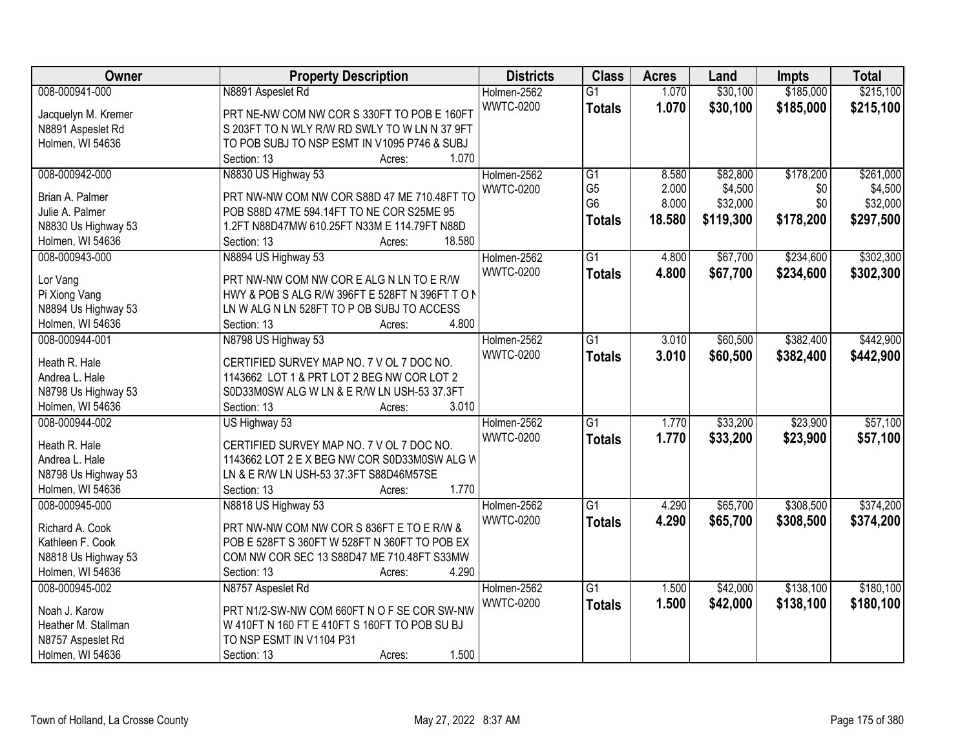| Owner               | <b>Property Description</b>                    | <b>Districts</b> | <b>Class</b>    | <b>Acres</b> | Land      | <b>Impts</b> | <b>Total</b> |
|---------------------|------------------------------------------------|------------------|-----------------|--------------|-----------|--------------|--------------|
| 008-000941-000      | N8891 Aspeslet Rd                              | Holmen-2562      | $\overline{G1}$ | 1.070        | \$30,100  | \$185,000    | \$215,100    |
| Jacquelyn M. Kremer | PRT NE-NW COM NW COR S 330FT TO POB E 160FT    | <b>WWTC-0200</b> | <b>Totals</b>   | 1.070        | \$30,100  | \$185,000    | \$215,100    |
| N8891 Aspeslet Rd   | S 203FT TO N WLY R/W RD SWLY TO W LN N 37 9FT  |                  |                 |              |           |              |              |
| Holmen, WI 54636    | TO POB SUBJ TO NSP ESMT IN V1095 P746 & SUBJ   |                  |                 |              |           |              |              |
|                     | 1.070<br>Section: 13<br>Acres:                 |                  |                 |              |           |              |              |
| 008-000942-000      | N8830 US Highway 53                            | Holmen-2562      | $\overline{G1}$ | 8.580        | \$82,800  | \$178,200    | \$261,000    |
|                     |                                                | <b>WWTC-0200</b> | G <sub>5</sub>  | 2.000        | \$4,500   | \$0          | \$4,500      |
| Brian A. Palmer     | PRT NW-NW COM NW COR S88D 47 ME 710.48FT TO    |                  | G <sub>6</sub>  | 8.000        | \$32,000  | \$0          | \$32,000     |
| Julie A. Palmer     | POB S88D 47ME 594.14FT TO NE COR S25ME 95      |                  | <b>Totals</b>   | 18.580       | \$119,300 | \$178,200    | \$297,500    |
| N8830 Us Highway 53 | 1.2FT N88D47MW 610.25FT N33M E 114.79FT N88D   |                  |                 |              |           |              |              |
| Holmen, WI 54636    | 18.580<br>Section: 13<br>Acres:                |                  |                 |              |           |              |              |
| 008-000943-000      | N8894 US Highway 53                            | Holmen-2562      | $\overline{G1}$ | 4.800        | \$67,700  | \$234,600    | \$302,300    |
| Lor Vang            | PRT NW-NW COM NW COR E ALG N LN TO E R/W       | <b>WWTC-0200</b> | <b>Totals</b>   | 4.800        | \$67,700  | \$234,600    | \$302,300    |
| Pi Xiong Vang       | HWY & POB S ALG R/W 396FT E 528FT N 396FT TO N |                  |                 |              |           |              |              |
| N8894 Us Highway 53 | LN W ALG N LN 528FT TO P OB SUBJ TO ACCESS     |                  |                 |              |           |              |              |
| Holmen, WI 54636    | 4.800<br>Section: 13<br>Acres:                 |                  |                 |              |           |              |              |
| 008-000944-001      | N8798 US Highway 53                            | Holmen-2562      | $\overline{G1}$ | 3.010        | \$60,500  | \$382,400    | \$442,900    |
|                     |                                                | <b>WWTC-0200</b> | <b>Totals</b>   | 3.010        | \$60,500  | \$382,400    | \$442,900    |
| Heath R. Hale       | CERTIFIED SURVEY MAP NO. 7 V OL 7 DOC NO.      |                  |                 |              |           |              |              |
| Andrea L. Hale      | 1143662 LOT 1 & PRT LOT 2 BEG NW COR LOT 2     |                  |                 |              |           |              |              |
| N8798 Us Highway 53 | S0D33M0SW ALG W LN & E R/W LN USH-53 37.3FT    |                  |                 |              |           |              |              |
| Holmen, WI 54636    | 3.010<br>Section: 13<br>Acres:                 |                  |                 |              |           |              |              |
| 008-000944-002      | US Highway 53                                  | Holmen-2562      | $\overline{G1}$ | 1.770        | \$33,200  | \$23,900     | \$57,100     |
| Heath R. Hale       |                                                | <b>WWTC-0200</b> | <b>Totals</b>   | 1.770        | \$33,200  | \$23,900     | \$57,100     |
|                     | CERTIFIED SURVEY MAP NO. 7 V OL 7 DOC NO.      |                  |                 |              |           |              |              |
| Andrea L. Hale      | 1143662 LOT 2 E X BEG NW COR S0D33M0SW ALG W   |                  |                 |              |           |              |              |
| N8798 Us Highway 53 | LN & E R/W LN USH-53 37.3FT S88D46M57SE        |                  |                 |              |           |              |              |
| Holmen, WI 54636    | 1.770<br>Section: 13<br>Acres:                 |                  |                 |              |           |              |              |
| 008-000945-000      | N8818 US Highway 53                            | Holmen-2562      | $\overline{G1}$ | 4.290        | \$65,700  | \$308,500    | \$374,200    |
| Richard A. Cook     | PRT NW-NW COM NW COR S 836FT E TO E R/W &      | <b>WWTC-0200</b> | <b>Totals</b>   | 4.290        | \$65,700  | \$308,500    | \$374,200    |
| Kathleen F. Cook    | POB E 528FT S 360FT W 528FT N 360FT TO POB EX  |                  |                 |              |           |              |              |
| N8818 Us Highway 53 | COM NW COR SEC 13 S88D47 ME 710.48FT S33MW     |                  |                 |              |           |              |              |
| Holmen, WI 54636    | 4.290<br>Section: 13<br>Acres:                 |                  |                 |              |           |              |              |
| 008-000945-002      | N8757 Aspeslet Rd                              | Holmen-2562      | $\overline{G1}$ | 1.500        | \$42,000  | \$138,100    | \$180,100    |
|                     |                                                | <b>WWTC-0200</b> | <b>Totals</b>   | 1.500        | \$42,000  | \$138,100    | \$180,100    |
| Noah J. Karow       | PRT N1/2-SW-NW COM 660FT N O F SE COR SW-NW    |                  |                 |              |           |              |              |
| Heather M. Stallman | W 410FT N 160 FT E 410FT S 160FT TO POB SU BJ  |                  |                 |              |           |              |              |
| N8757 Aspeslet Rd   | TO NSP ESMT IN V1104 P31                       |                  |                 |              |           |              |              |
| Holmen, WI 54636    | 1.500<br>Section: 13<br>Acres:                 |                  |                 |              |           |              |              |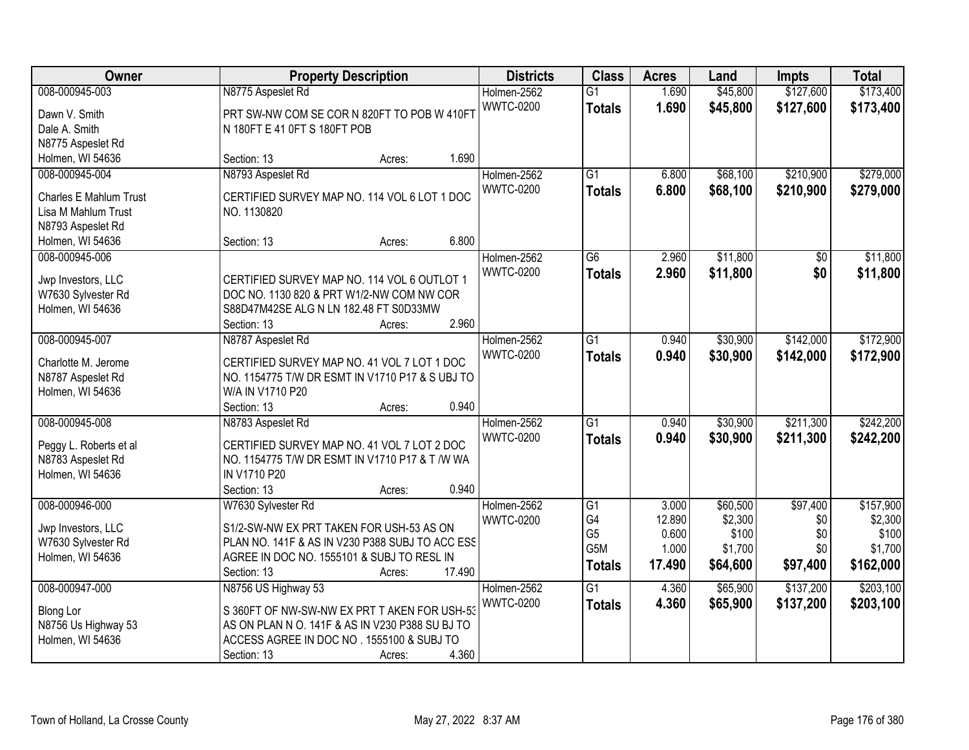| Owner                                                                                                           | <b>Property Description</b>                                                                                                                                                                           | <b>Districts</b>                | <b>Class</b>                                                                 | <b>Acres</b>                                | Land                                                | <b>Impts</b>                              | <b>Total</b>                                          |
|-----------------------------------------------------------------------------------------------------------------|-------------------------------------------------------------------------------------------------------------------------------------------------------------------------------------------------------|---------------------------------|------------------------------------------------------------------------------|---------------------------------------------|-----------------------------------------------------|-------------------------------------------|-------------------------------------------------------|
| 008-000945-003<br>Dawn V. Smith<br>Dale A. Smith                                                                | N8775 Aspeslet Rd<br>PRT SW-NW COM SE COR N 820FT TO POB W 410FT<br>N 180FT E 41 0FT S 180FT POB                                                                                                      | Holmen-2562<br><b>WWTC-0200</b> | $\overline{G1}$<br><b>Totals</b>                                             | 1.690<br>1.690                              | \$45,800<br>\$45,800                                | \$127,600<br>\$127,600                    | \$173,400<br>\$173,400                                |
| N8775 Aspeslet Rd<br>Holmen, WI 54636                                                                           | 1.690<br>Section: 13<br>Acres:                                                                                                                                                                        |                                 |                                                                              |                                             |                                                     |                                           |                                                       |
| 008-000945-004<br><b>Charles E Mahlum Trust</b><br>Lisa M Mahlum Trust<br>N8793 Aspeslet Rd<br>Holmen, WI 54636 | N8793 Aspeslet Rd<br>CERTIFIED SURVEY MAP NO. 114 VOL 6 LOT 1 DOC<br>NO. 1130820<br>6.800<br>Section: 13<br>Acres:                                                                                    | Holmen-2562<br><b>WWTC-0200</b> | $\overline{G1}$<br><b>Totals</b>                                             | 6.800<br>6.800                              | \$68,100<br>\$68,100                                | \$210,900<br>\$210,900                    | \$279,000<br>\$279,000                                |
| 008-000945-006<br>Jwp Investors, LLC<br>W7630 Sylvester Rd<br>Holmen, WI 54636                                  | CERTIFIED SURVEY MAP NO. 114 VOL 6 OUTLOT 1<br>DOC NO. 1130 820 & PRT W1/2-NW COM NW COR<br>S88D47M42SE ALG N LN 182.48 FT S0D33MW<br>2.960<br>Section: 13<br>Acres:                                  | Holmen-2562<br><b>WWTC-0200</b> | G6<br><b>Totals</b>                                                          | 2.960<br>2.960                              | \$11,800<br>\$11,800                                | \$0<br>\$0                                | \$11,800<br>\$11,800                                  |
| 008-000945-007<br>Charlotte M. Jerome<br>N8787 Aspeslet Rd<br>Holmen, WI 54636                                  | N8787 Aspeslet Rd<br>CERTIFIED SURVEY MAP NO. 41 VOL 7 LOT 1 DOC<br>NO. 1154775 T/W DR ESMT IN V1710 P17 & S UBJ TO<br>W/A IN V1710 P20<br>0.940<br>Section: 13<br>Acres:                             | Holmen-2562<br><b>WWTC-0200</b> | G1<br><b>Totals</b>                                                          | 0.940<br>0.940                              | \$30,900<br>\$30,900                                | \$142,000<br>\$142,000                    | \$172,900<br>\$172,900                                |
| 008-000945-008<br>Peggy L. Roberts et al<br>N8783 Aspeslet Rd<br>Holmen, WI 54636                               | N8783 Aspeslet Rd<br>CERTIFIED SURVEY MAP NO. 41 VOL 7 LOT 2 DOC<br>NO. 1154775 T/W DR ESMT IN V1710 P17 & T /W WA<br>IN V1710 P20<br>Section: 13<br>0.940<br>Acres:                                  | Holmen-2562<br><b>WWTC-0200</b> | $\overline{G1}$<br><b>Totals</b>                                             | 0.940<br>0.940                              | \$30,900<br>\$30,900                                | \$211,300<br>\$211,300                    | \$242,200<br>\$242,200                                |
| 008-000946-000<br>Jwp Investors, LLC<br>W7630 Sylvester Rd<br>Holmen, WI 54636                                  | W7630 Sylvester Rd<br>S1/2-SW-NW EX PRT TAKEN FOR USH-53 AS ON<br>PLAN NO. 141F & AS IN V230 P388 SUBJ TO ACC ESS<br>AGREE IN DOC NO. 1555101 & SUBJ TO RESL IN<br>17.490<br>Section: 13<br>Acres:    | Holmen-2562<br><b>WWTC-0200</b> | $\overline{G1}$<br>G4<br>G <sub>5</sub><br>G <sub>5</sub> M<br><b>Totals</b> | 3.000<br>12.890<br>0.600<br>1.000<br>17.490 | \$60,500<br>\$2,300<br>\$100<br>\$1,700<br>\$64,600 | \$97,400<br>\$0<br>\$0<br>\$0<br>\$97,400 | \$157,900<br>\$2,300<br>\$100<br>\$1,700<br>\$162,000 |
| 008-000947-000<br><b>Blong Lor</b><br>N8756 Us Highway 53<br>Holmen, WI 54636                                   | N8756 US Highway 53<br>S 360FT OF NW-SW-NW EX PRT T AKEN FOR USH-53<br>AS ON PLAN N O. 141F & AS IN V230 P388 SU BJ TO<br>ACCESS AGREE IN DOC NO. 1555100 & SUBJ TO<br>4.360<br>Section: 13<br>Acres: | Holmen-2562<br><b>WWTC-0200</b> | $\overline{G1}$<br><b>Totals</b>                                             | 4.360<br>4.360                              | \$65,900<br>\$65,900                                | \$137,200<br>\$137,200                    | \$203,100<br>\$203,100                                |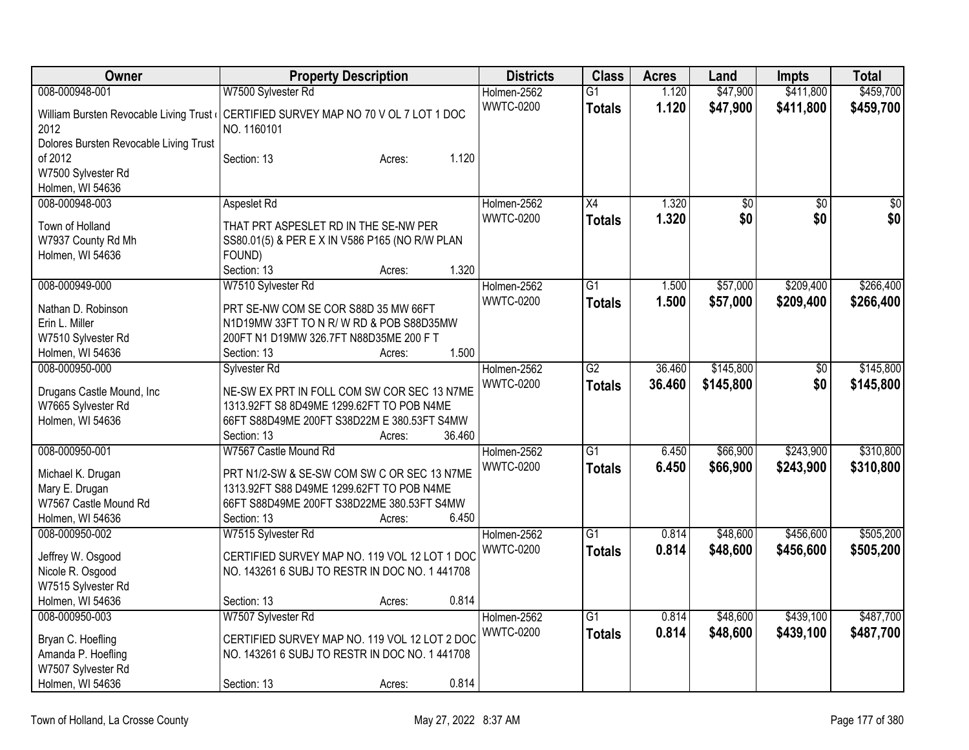| Owner                                  | <b>Property Description</b>                    | <b>Districts</b> | <b>Class</b>    | <b>Acres</b> | Land            | <b>Impts</b>    | <b>Total</b>    |
|----------------------------------------|------------------------------------------------|------------------|-----------------|--------------|-----------------|-----------------|-----------------|
| 008-000948-001                         | W7500 Sylvester Rd                             | Holmen-2562      | $\overline{G1}$ | 1.120        | \$47,900        | \$411,800       | \$459,700       |
| William Bursten Revocable Living Trust | CERTIFIED SURVEY MAP NO 70 V OL 7 LOT 1 DOC    | <b>WWTC-0200</b> | <b>Totals</b>   | 1.120        | \$47,900        | \$411,800       | \$459,700       |
| 2012                                   | NO. 1160101                                    |                  |                 |              |                 |                 |                 |
| Dolores Bursten Revocable Living Trust |                                                |                  |                 |              |                 |                 |                 |
| of 2012                                | 1.120<br>Section: 13<br>Acres:                 |                  |                 |              |                 |                 |                 |
| W7500 Sylvester Rd                     |                                                |                  |                 |              |                 |                 |                 |
| Holmen, WI 54636                       |                                                |                  |                 |              |                 |                 |                 |
| 008-000948-003                         | Aspeslet Rd                                    | Holmen-2562      | $\overline{X4}$ | 1.320        | $\overline{50}$ | $\overline{50}$ | $\overline{50}$ |
| Town of Holland                        | THAT PRT ASPESLET RD IN THE SE-NW PER          | <b>WWTC-0200</b> | <b>Totals</b>   | 1.320        | \$0             | \$0             | \$0             |
| W7937 County Rd Mh                     | SS80.01(5) & PER E X IN V586 P165 (NO R/W PLAN |                  |                 |              |                 |                 |                 |
| Holmen, WI 54636                       | FOUND)                                         |                  |                 |              |                 |                 |                 |
|                                        | 1.320<br>Section: 13<br>Acres:                 |                  |                 |              |                 |                 |                 |
| 008-000949-000                         | W7510 Sylvester Rd                             | Holmen-2562      | G1              | 1.500        | \$57,000        | \$209,400       | \$266,400       |
|                                        |                                                | <b>WWTC-0200</b> |                 | 1.500        | \$57,000        | \$209,400       |                 |
| Nathan D. Robinson                     | PRT SE-NW COM SE COR S88D 35 MW 66FT           |                  | <b>Totals</b>   |              |                 |                 | \$266,400       |
| Erin L. Miller                         | N1D19MW 33FT TO N R/W RD & POB S88D35MW        |                  |                 |              |                 |                 |                 |
| W7510 Sylvester Rd                     | 200FT N1 D19MW 326.7FT N88D35ME 200 F T        |                  |                 |              |                 |                 |                 |
| Holmen, WI 54636                       | 1.500<br>Section: 13<br>Acres:                 |                  |                 |              |                 |                 |                 |
| 008-000950-000                         | Sylvester Rd                                   | Holmen-2562      | G2              | 36.460       | \$145,800       | \$0             | \$145,800       |
| Drugans Castle Mound, Inc              | NE-SW EX PRT IN FOLL COM SW COR SEC 13 N7ME    | <b>WWTC-0200</b> | <b>Totals</b>   | 36.460       | \$145,800       | \$0             | \$145,800       |
| W7665 Sylvester Rd                     | 1313.92FT S8 8D49ME 1299.62FT TO POB N4ME      |                  |                 |              |                 |                 |                 |
| Holmen, WI 54636                       | 66FT S88D49ME 200FT S38D22M E 380.53FT S4MW    |                  |                 |              |                 |                 |                 |
|                                        | 36.460<br>Section: 13<br>Acres:                |                  |                 |              |                 |                 |                 |
| 008-000950-001                         | W7567 Castle Mound Rd                          | Holmen-2562      | $\overline{G1}$ | 6.450        | \$66,900        | \$243,900       | \$310,800       |
|                                        |                                                | <b>WWTC-0200</b> | <b>Totals</b>   | 6.450        | \$66,900        | \$243,900       | \$310,800       |
| Michael K. Drugan                      | PRT N1/2-SW & SE-SW COM SW C OR SEC 13 N7ME    |                  |                 |              |                 |                 |                 |
| Mary E. Drugan                         | 1313.92FT S88 D49ME 1299.62FT TO POB N4ME      |                  |                 |              |                 |                 |                 |
| W7567 Castle Mound Rd                  | 66FT S88D49ME 200FT S38D22ME 380.53FT S4MW     |                  |                 |              |                 |                 |                 |
| Holmen, WI 54636                       | Section: 13<br>6.450<br>Acres:                 |                  | $\overline{G1}$ |              | \$48,600        | \$456,600       |                 |
| 008-000950-002                         | W7515 Sylvester Rd                             | Holmen-2562      |                 | 0.814        |                 |                 | \$505,200       |
| Jeffrey W. Osgood                      | CERTIFIED SURVEY MAP NO. 119 VOL 12 LOT 1 DOC  | <b>WWTC-0200</b> | <b>Totals</b>   | 0.814        | \$48,600        | \$456,600       | \$505,200       |
| Nicole R. Osgood                       | NO. 143261 6 SUBJ TO RESTR IN DOC NO. 1 441708 |                  |                 |              |                 |                 |                 |
| W7515 Sylvester Rd                     |                                                |                  |                 |              |                 |                 |                 |
| Holmen, WI 54636                       | 0.814<br>Section: 13<br>Acres:                 |                  |                 |              |                 |                 |                 |
| 008-000950-003                         | W7507 Sylvester Rd                             | Holmen-2562      | $\overline{G1}$ | 0.814        | \$48,600        | \$439,100       | \$487,700       |
| Bryan C. Hoefling                      | CERTIFIED SURVEY MAP NO. 119 VOL 12 LOT 2 DOC  | <b>WWTC-0200</b> | <b>Totals</b>   | 0.814        | \$48,600        | \$439,100       | \$487,700       |
| Amanda P. Hoefling                     | NO. 143261 6 SUBJ TO RESTR IN DOC NO. 1441708  |                  |                 |              |                 |                 |                 |
| W7507 Sylvester Rd                     |                                                |                  |                 |              |                 |                 |                 |
| Holmen, WI 54636                       | 0.814<br>Section: 13<br>Acres:                 |                  |                 |              |                 |                 |                 |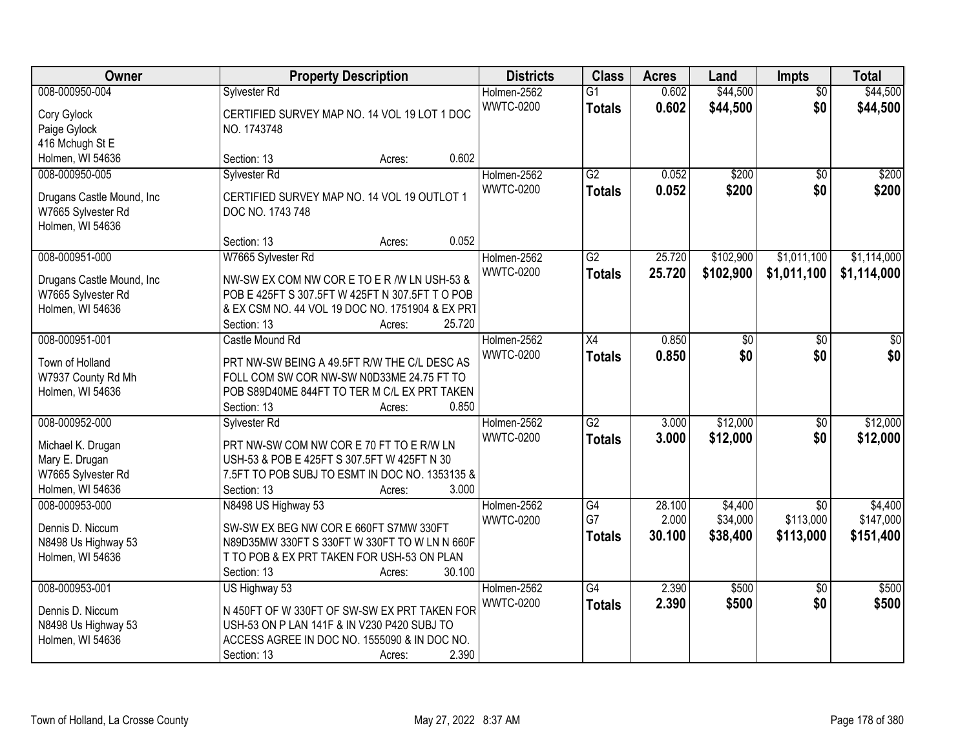| Owner                                           | <b>Property Description</b>                     | <b>Districts</b> | <b>Class</b>    | <b>Acres</b> | Land            | <b>Impts</b>    | <b>Total</b> |
|-------------------------------------------------|-------------------------------------------------|------------------|-----------------|--------------|-----------------|-----------------|--------------|
| 008-000950-004                                  | Sylvester Rd                                    | Holmen-2562      | $\overline{G1}$ | 0.602        | \$44,500        | $\overline{50}$ | \$44,500     |
| Cory Gylock                                     | CERTIFIED SURVEY MAP NO. 14 VOL 19 LOT 1 DOC    | <b>WWTC-0200</b> | <b>Totals</b>   | 0.602        | \$44,500        | \$0             | \$44,500     |
| Paige Gylock                                    | NO. 1743748                                     |                  |                 |              |                 |                 |              |
| 416 Mchugh St E                                 |                                                 |                  |                 |              |                 |                 |              |
| Holmen, WI 54636                                | 0.602<br>Section: 13<br>Acres:                  |                  |                 |              |                 |                 |              |
| 008-000950-005                                  | Sylvester Rd                                    | Holmen-2562      | G2              | 0.052        | \$200           | $\overline{50}$ | \$200        |
|                                                 | CERTIFIED SURVEY MAP NO. 14 VOL 19 OUTLOT 1     | <b>WWTC-0200</b> | <b>Totals</b>   | 0.052        | \$200           | \$0             | \$200        |
| Drugans Castle Mound, Inc<br>W7665 Sylvester Rd | DOC NO. 1743 748                                |                  |                 |              |                 |                 |              |
| Holmen, WI 54636                                |                                                 |                  |                 |              |                 |                 |              |
|                                                 | 0.052<br>Section: 13<br>Acres:                  |                  |                 |              |                 |                 |              |
| 008-000951-000                                  | W7665 Sylvester Rd                              | Holmen-2562      | $\overline{G2}$ | 25.720       | \$102,900       | \$1,011,100     | \$1,114,000  |
|                                                 |                                                 | <b>WWTC-0200</b> | <b>Totals</b>   | 25.720       | \$102,900       | \$1,011,100     | \$1,114,000  |
| Drugans Castle Mound, Inc.                      | NW-SW EX COM NW CORE TO ER / W LN USH-53 &      |                  |                 |              |                 |                 |              |
| W7665 Sylvester Rd                              | POB E 425FT S 307.5FT W 425FT N 307.5FT T O POB |                  |                 |              |                 |                 |              |
| Holmen, WI 54636                                | & EX CSM NO. 44 VOL 19 DOC NO. 1751904 & EX PRT |                  |                 |              |                 |                 |              |
|                                                 | 25.720<br>Section: 13<br>Acres:                 |                  |                 |              |                 |                 |              |
| 008-000951-001                                  | Castle Mound Rd                                 | Holmen-2562      | $\overline{X4}$ | 0.850        | $\overline{30}$ | \$0             | \$0          |
| Town of Holland                                 | PRT NW-SW BEING A 49.5FT R/W THE C/L DESC AS    | <b>WWTC-0200</b> | <b>Totals</b>   | 0.850        | \$0             | \$0             | \$0          |
| W7937 County Rd Mh                              | FOLL COM SW COR NW-SW N0D33ME 24.75 FT TO       |                  |                 |              |                 |                 |              |
| Holmen, WI 54636                                | POB S89D40ME 844FT TO TER M C/L EX PRT TAKEN    |                  |                 |              |                 |                 |              |
|                                                 | 0.850<br>Section: 13<br>Acres:                  |                  |                 |              |                 |                 |              |
| 008-000952-000                                  | Sylvester Rd                                    | Holmen-2562      | $\overline{G2}$ | 3.000        | \$12,000        | \$0             | \$12,000     |
| Michael K. Drugan                               | PRT NW-SW COM NW COR E 70 FT TO E R/W LN        | <b>WWTC-0200</b> | <b>Totals</b>   | 3.000        | \$12,000        | \$0             | \$12,000     |
| Mary E. Drugan                                  | USH-53 & POB E 425FT S 307.5FT W 425FT N 30     |                  |                 |              |                 |                 |              |
| W7665 Sylvester Rd                              | 7.5FT TO POB SUBJ TO ESMT IN DOC NO. 1353135 &  |                  |                 |              |                 |                 |              |
| Holmen, WI 54636                                | 3.000<br>Section: 13<br>Acres:                  |                  |                 |              |                 |                 |              |
| 008-000953-000                                  | N8498 US Highway 53                             | Holmen-2562      | G4              | 28.100       | \$4,400         | $\overline{50}$ | \$4,400      |
|                                                 |                                                 | <b>WWTC-0200</b> | G7              | 2.000        | \$34,000        | \$113,000       | \$147,000    |
| Dennis D. Niccum                                | SW-SW EX BEG NW COR E 660FT S7MW 330FT          |                  | <b>Totals</b>   | 30.100       | \$38,400        | \$113,000       | \$151,400    |
| N8498 Us Highway 53                             | N89D35MW 330FT S 330FT W 330FT TO W LN N 660F   |                  |                 |              |                 |                 |              |
| Holmen, WI 54636                                | T TO POB & EX PRT TAKEN FOR USH-53 ON PLAN      |                  |                 |              |                 |                 |              |
|                                                 | 30.100<br>Section: 13<br>Acres:                 |                  |                 |              |                 |                 |              |
| 008-000953-001                                  | US Highway 53                                   | Holmen-2562      | $\overline{G4}$ | 2.390        | \$500           | $\overline{30}$ | \$500        |
| Dennis D. Niccum                                | N 450FT OF W 330FT OF SW-SW EX PRT TAKEN FOR    | <b>WWTC-0200</b> | <b>Totals</b>   | 2.390        | \$500           | \$0             | \$500        |
| N8498 Us Highway 53                             | USH-53 ON P LAN 141F & IN V230 P420 SUBJ TO     |                  |                 |              |                 |                 |              |
| Holmen, WI 54636                                | ACCESS AGREE IN DOC NO. 1555090 & IN DOC NO.    |                  |                 |              |                 |                 |              |
|                                                 | 2.390<br>Section: 13<br>Acres:                  |                  |                 |              |                 |                 |              |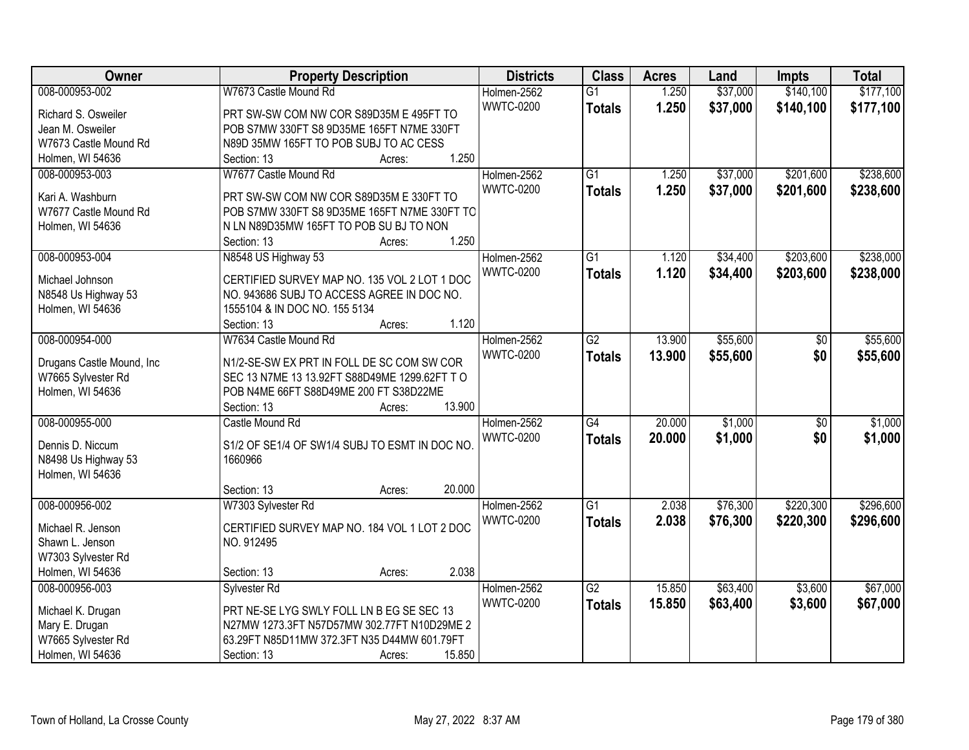| Owner                                  | <b>Property Description</b>                   | <b>Districts</b> | <b>Class</b>    | <b>Acres</b> | Land     | <b>Impts</b>    | <b>Total</b> |
|----------------------------------------|-----------------------------------------------|------------------|-----------------|--------------|----------|-----------------|--------------|
| 008-000953-002                         | W7673 Castle Mound Rd                         | Holmen-2562      | $\overline{G1}$ | 1.250        | \$37,000 | \$140,100       | \$177,100    |
| Richard S. Osweiler                    | PRT SW-SW COM NW COR S89D35M E 495FT TO       | <b>WWTC-0200</b> | <b>Totals</b>   | 1.250        | \$37,000 | \$140,100       | \$177,100    |
| Jean M. Osweiler                       | POB S7MW 330FT S8 9D35ME 165FT N7ME 330FT     |                  |                 |              |          |                 |              |
| W7673 Castle Mound Rd                  | N89D 35MW 165FT TO POB SUBJ TO AC CESS        |                  |                 |              |          |                 |              |
| Holmen, WI 54636                       | 1.250<br>Section: 13<br>Acres:                |                  |                 |              |          |                 |              |
| 008-000953-003                         | W7677 Castle Mound Rd                         | Holmen-2562      | $\overline{G1}$ | 1.250        | \$37,000 | \$201,600       | \$238,600    |
|                                        |                                               | <b>WWTC-0200</b> | <b>Totals</b>   | 1.250        | \$37,000 | \$201,600       | \$238,600    |
| Kari A. Washburn                       | PRT SW-SW COM NW COR S89D35M E 330FT TO       |                  |                 |              |          |                 |              |
| W7677 Castle Mound Rd                  | POB S7MW 330FT S8 9D35ME 165FT N7ME 330FT TO  |                  |                 |              |          |                 |              |
| Holmen, WI 54636                       | N LN N89D35MW 165FT TO POB SU BJ TO NON       |                  |                 |              |          |                 |              |
|                                        | 1.250<br>Section: 13<br>Acres:                |                  |                 |              |          |                 |              |
| 008-000953-004                         | N8548 US Highway 53                           | Holmen-2562      | $\overline{G1}$ | 1.120        | \$34,400 | \$203,600       | \$238,000    |
| Michael Johnson                        | CERTIFIED SURVEY MAP NO. 135 VOL 2 LOT 1 DOC  | <b>WWTC-0200</b> | <b>Totals</b>   | 1.120        | \$34,400 | \$203,600       | \$238,000    |
| N8548 Us Highway 53                    | NO. 943686 SUBJ TO ACCESS AGREE IN DOC NO.    |                  |                 |              |          |                 |              |
| Holmen, WI 54636                       | 1555104 & IN DOC NO. 155 5134                 |                  |                 |              |          |                 |              |
|                                        | 1.120<br>Section: 13<br>Acres:                |                  |                 |              |          |                 |              |
| 008-000954-000                         | W7634 Castle Mound Rd                         | Holmen-2562      | $\overline{G2}$ | 13.900       | \$55,600 | \$0             | \$55,600     |
|                                        |                                               | <b>WWTC-0200</b> | <b>Totals</b>   | 13.900       | \$55,600 | \$0             | \$55,600     |
| Drugans Castle Mound, Inc.             | N1/2-SE-SW EX PRT IN FOLL DE SC COM SW COR    |                  |                 |              |          |                 |              |
| W7665 Sylvester Rd                     | SEC 13 N7ME 13 13.92FT S88D49ME 1299.62FT TO  |                  |                 |              |          |                 |              |
| Holmen, WI 54636                       | POB N4ME 66FT S88D49ME 200 FT S38D22ME        |                  |                 |              |          |                 |              |
|                                        | 13.900<br>Section: 13<br>Acres:               |                  |                 |              |          |                 |              |
| 008-000955-000                         | Castle Mound Rd                               | Holmen-2562      | $\overline{G4}$ | 20.000       | \$1,000  | $\overline{50}$ | \$1,000      |
| Dennis D. Niccum                       | S1/2 OF SE1/4 OF SW1/4 SUBJ TO ESMT IN DOC NO | <b>WWTC-0200</b> | <b>Totals</b>   | 20,000       | \$1,000  | \$0             | \$1,000      |
| N8498 Us Highway 53                    | 1660966                                       |                  |                 |              |          |                 |              |
| Holmen, WI 54636                       |                                               |                  |                 |              |          |                 |              |
|                                        | 20.000<br>Section: 13<br>Acres:               |                  |                 |              |          |                 |              |
| 008-000956-002                         | W7303 Sylvester Rd                            | Holmen-2562      | $\overline{G1}$ | 2.038        | \$76,300 | \$220,300       | \$296,600    |
| Michael R. Jenson                      | CERTIFIED SURVEY MAP NO. 184 VOL 1 LOT 2 DOC  | <b>WWTC-0200</b> | <b>Totals</b>   | 2.038        | \$76,300 | \$220,300       | \$296,600    |
| Shawn L. Jenson                        | NO. 912495                                    |                  |                 |              |          |                 |              |
|                                        |                                               |                  |                 |              |          |                 |              |
| W7303 Sylvester Rd<br>Holmen, WI 54636 | 2.038<br>Section: 13                          |                  |                 |              |          |                 |              |
| 008-000956-003                         | Acres:                                        | Holmen-2562      | $\overline{G2}$ | 15.850       | \$63,400 | \$3,600         | \$67,000     |
|                                        | Sylvester Rd                                  |                  |                 |              |          |                 |              |
| Michael K. Drugan                      | PRT NE-SE LYG SWLY FOLL LN B EG SE SEC 13     | <b>WWTC-0200</b> | <b>Totals</b>   | 15.850       | \$63,400 | \$3,600         | \$67,000     |
| Mary E. Drugan                         | N27MW 1273.3FT N57D57MW 302.77FT N10D29ME 2   |                  |                 |              |          |                 |              |
| W7665 Sylvester Rd                     | 63.29FT N85D11MW 372.3FT N35 D44MW 601.79FT   |                  |                 |              |          |                 |              |
| Holmen, WI 54636                       | 15.850<br>Section: 13<br>Acres:               |                  |                 |              |          |                 |              |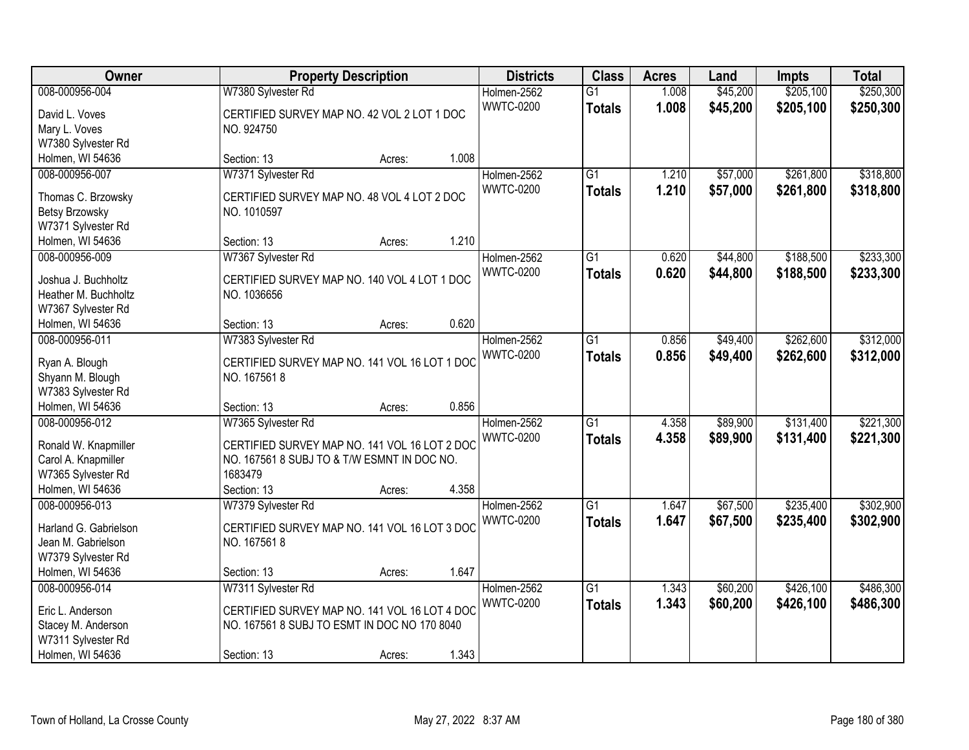| Owner                              |                                               | <b>Property Description</b> |       | <b>Districts</b> | <b>Class</b>    | <b>Acres</b> | Land     | Impts     | <b>Total</b> |
|------------------------------------|-----------------------------------------------|-----------------------------|-------|------------------|-----------------|--------------|----------|-----------|--------------|
| 008-000956-004                     | W7380 Sylvester Rd                            |                             |       | Holmen-2562      | $\overline{G1}$ | 1.008        | \$45,200 | \$205,100 | \$250,300    |
| David L. Voves                     | CERTIFIED SURVEY MAP NO. 42 VOL 2 LOT 1 DOC   |                             |       | <b>WWTC-0200</b> | <b>Totals</b>   | 1.008        | \$45,200 | \$205,100 | \$250,300    |
| Mary L. Voves                      | NO. 924750                                    |                             |       |                  |                 |              |          |           |              |
| W7380 Sylvester Rd                 |                                               |                             |       |                  |                 |              |          |           |              |
| Holmen, WI 54636                   | Section: 13                                   | Acres:                      | 1.008 |                  |                 |              |          |           |              |
| 008-000956-007                     | W7371 Sylvester Rd                            |                             |       | Holmen-2562      | $\overline{G1}$ | 1.210        | \$57,000 | \$261,800 | \$318,800    |
|                                    |                                               |                             |       | <b>WWTC-0200</b> | <b>Totals</b>   | 1.210        | \$57,000 | \$261,800 | \$318,800    |
| Thomas C. Brzowsky                 | CERTIFIED SURVEY MAP NO. 48 VOL 4 LOT 2 DOC   |                             |       |                  |                 |              |          |           |              |
| <b>Betsy Brzowsky</b>              | NO. 1010597                                   |                             |       |                  |                 |              |          |           |              |
| W7371 Sylvester Rd                 |                                               |                             | 1.210 |                  |                 |              |          |           |              |
| Holmen, WI 54636                   | Section: 13                                   | Acres:                      |       |                  |                 |              |          |           |              |
| 008-000956-009                     | W7367 Sylvester Rd                            |                             |       | Holmen-2562      | $\overline{G1}$ | 0.620        | \$44,800 | \$188,500 | \$233,300    |
| Joshua J. Buchholtz                | CERTIFIED SURVEY MAP NO. 140 VOL 4 LOT 1 DOC  |                             |       | <b>WWTC-0200</b> | <b>Totals</b>   | 0.620        | \$44,800 | \$188,500 | \$233,300    |
| Heather M. Buchholtz               | NO. 1036656                                   |                             |       |                  |                 |              |          |           |              |
| W7367 Sylvester Rd                 |                                               |                             |       |                  |                 |              |          |           |              |
| Holmen, WI 54636                   | Section: 13                                   | Acres:                      | 0.620 |                  |                 |              |          |           |              |
| 008-000956-011                     | W7383 Sylvester Rd                            |                             |       | Holmen-2562      | $\overline{G1}$ | 0.856        | \$49,400 | \$262,600 | \$312,000    |
|                                    | CERTIFIED SURVEY MAP NO. 141 VOL 16 LOT 1 DOC |                             |       | <b>WWTC-0200</b> | <b>Totals</b>   | 0.856        | \$49,400 | \$262,600 | \$312,000    |
| Ryan A. Blough<br>Shyann M. Blough | NO. 1675618                                   |                             |       |                  |                 |              |          |           |              |
| W7383 Sylvester Rd                 |                                               |                             |       |                  |                 |              |          |           |              |
| Holmen, WI 54636                   | Section: 13                                   | Acres:                      | 0.856 |                  |                 |              |          |           |              |
| 008-000956-012                     | W7365 Sylvester Rd                            |                             |       | Holmen-2562      | $\overline{G1}$ | 4.358        | \$89,900 | \$131,400 | \$221,300    |
|                                    |                                               |                             |       | <b>WWTC-0200</b> | <b>Totals</b>   | 4.358        | \$89,900 | \$131,400 | \$221,300    |
| Ronald W. Knapmiller               | CERTIFIED SURVEY MAP NO. 141 VOL 16 LOT 2 DOC |                             |       |                  |                 |              |          |           |              |
| Carol A. Knapmiller                | NO. 167561 8 SUBJ TO & T/W ESMNT IN DOC NO.   |                             |       |                  |                 |              |          |           |              |
| W7365 Sylvester Rd                 | 1683479                                       |                             |       |                  |                 |              |          |           |              |
| Holmen, WI 54636                   | Section: 13                                   | Acres:                      | 4.358 |                  |                 |              |          |           |              |
| 008-000956-013                     | W7379 Sylvester Rd                            |                             |       | Holmen-2562      | $\overline{G1}$ | 1.647        | \$67,500 | \$235,400 | \$302,900    |
| Harland G. Gabrielson              | CERTIFIED SURVEY MAP NO. 141 VOL 16 LOT 3 DOC |                             |       | <b>WWTC-0200</b> | <b>Totals</b>   | 1.647        | \$67,500 | \$235,400 | \$302,900    |
| Jean M. Gabrielson                 | NO. 1675618                                   |                             |       |                  |                 |              |          |           |              |
| W7379 Sylvester Rd                 |                                               |                             |       |                  |                 |              |          |           |              |
| Holmen, WI 54636                   | Section: 13                                   | Acres:                      | 1.647 |                  |                 |              |          |           |              |
| 008-000956-014                     | W7311 Sylvester Rd                            |                             |       | Holmen-2562      | $\overline{G1}$ | 1.343        | \$60,200 | \$426,100 | \$486,300    |
|                                    |                                               |                             |       | <b>WWTC-0200</b> | <b>Totals</b>   | 1.343        | \$60,200 | \$426,100 | \$486,300    |
| Eric L. Anderson                   | CERTIFIED SURVEY MAP NO. 141 VOL 16 LOT 4 DOC |                             |       |                  |                 |              |          |           |              |
| Stacey M. Anderson                 | NO. 167561 8 SUBJ TO ESMT IN DOC NO 170 8040  |                             |       |                  |                 |              |          |           |              |
| W7311 Sylvester Rd                 |                                               |                             |       |                  |                 |              |          |           |              |
| Holmen, WI 54636                   | Section: 13                                   | Acres:                      | 1.343 |                  |                 |              |          |           |              |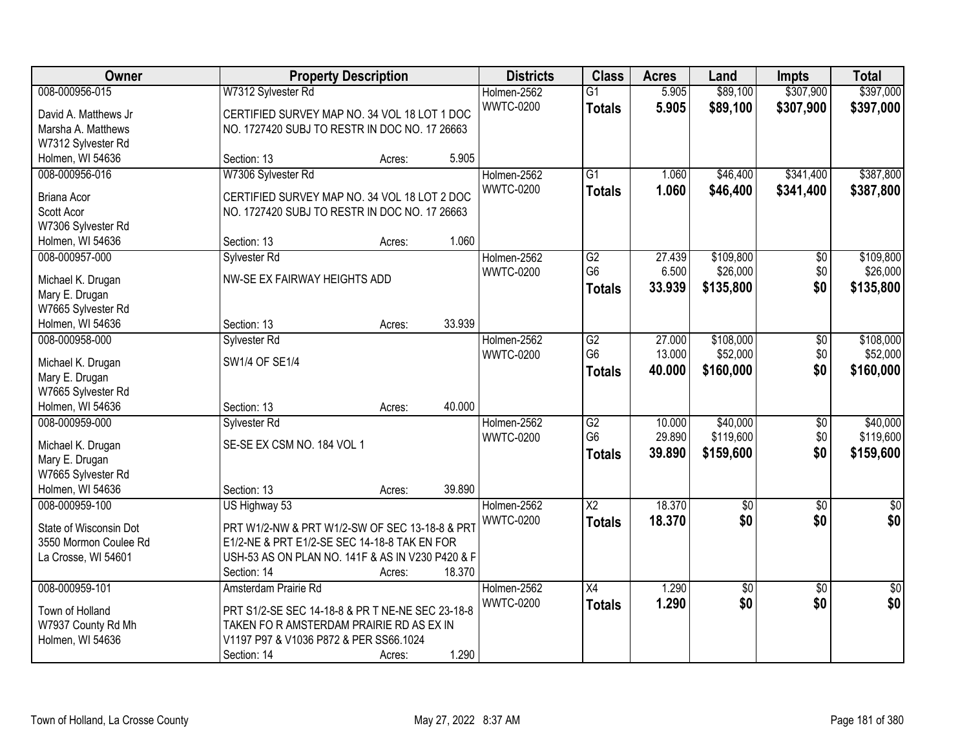| Owner                  | <b>Property Description</b>                      | <b>Districts</b> | <b>Class</b>     | <b>Acres</b>           | Land   | <b>Impts</b>    | <b>Total</b>    |                 |
|------------------------|--------------------------------------------------|------------------|------------------|------------------------|--------|-----------------|-----------------|-----------------|
| 008-000956-015         | W7312 Sylvester Rd                               |                  | Holmen-2562      | $\overline{G1}$        | 5.905  | \$89,100        | \$307,900       | \$397,000       |
| David A. Matthews Jr   | CERTIFIED SURVEY MAP NO. 34 VOL 18 LOT 1 DOC     |                  | <b>WWTC-0200</b> | <b>Totals</b>          | 5.905  | \$89,100        | \$307,900       | \$397,000       |
| Marsha A. Matthews     | NO. 1727420 SUBJ TO RESTR IN DOC NO. 17 26663    |                  |                  |                        |        |                 |                 |                 |
| W7312 Sylvester Rd     |                                                  |                  |                  |                        |        |                 |                 |                 |
| Holmen, WI 54636       | Section: 13<br>Acres:                            | 5.905            |                  |                        |        |                 |                 |                 |
| 008-000956-016         | W7306 Sylvester Rd                               |                  | Holmen-2562      | $\overline{G1}$        | 1.060  | \$46,400        | \$341,400       | \$387,800       |
|                        |                                                  |                  | <b>WWTC-0200</b> | <b>Totals</b>          | 1.060  | \$46,400        | \$341,400       | \$387,800       |
| <b>Briana Acor</b>     | CERTIFIED SURVEY MAP NO. 34 VOL 18 LOT 2 DOC     |                  |                  |                        |        |                 |                 |                 |
| Scott Acor             | NO. 1727420 SUBJ TO RESTR IN DOC NO. 17 26663    |                  |                  |                        |        |                 |                 |                 |
| W7306 Sylvester Rd     |                                                  |                  |                  |                        |        |                 |                 |                 |
| Holmen, WI 54636       | Section: 13<br>Acres:                            | 1.060            |                  |                        |        |                 |                 |                 |
| 008-000957-000         | Sylvester Rd                                     |                  | Holmen-2562      | G2                     | 27.439 | \$109,800       | \$0             | \$109,800       |
| Michael K. Drugan      | NW-SE EX FAIRWAY HEIGHTS ADD                     |                  | <b>WWTC-0200</b> | G <sub>6</sub>         | 6.500  | \$26,000        | \$0             | \$26,000        |
| Mary E. Drugan         |                                                  |                  |                  | <b>Totals</b>          | 33.939 | \$135,800       | \$0             | \$135,800       |
| W7665 Sylvester Rd     |                                                  |                  |                  |                        |        |                 |                 |                 |
| Holmen, WI 54636       | Section: 13<br>Acres:                            | 33.939           |                  |                        |        |                 |                 |                 |
| 008-000958-000         | Sylvester Rd                                     |                  | Holmen-2562      | $\overline{G2}$        | 27.000 | \$108,000       | \$0             | \$108,000       |
|                        |                                                  |                  | <b>WWTC-0200</b> | G <sub>6</sub>         | 13.000 | \$52,000        | \$0             | \$52,000        |
| Michael K. Drugan      | SW1/4 OF SE1/4                                   |                  |                  | <b>Totals</b>          | 40.000 | \$160,000       | \$0             | \$160,000       |
| Mary E. Drugan         |                                                  |                  |                  |                        |        |                 |                 |                 |
| W7665 Sylvester Rd     |                                                  |                  |                  |                        |        |                 |                 |                 |
| Holmen, WI 54636       | Section: 13<br>Acres:                            | 40.000           |                  |                        |        |                 |                 |                 |
| 008-000959-000         | Sylvester Rd                                     |                  | Holmen-2562      | $\overline{G2}$        | 10.000 | \$40,000        | $\overline{50}$ | \$40,000        |
| Michael K. Drugan      | SE-SE EX CSM NO. 184 VOL 1                       |                  | <b>WWTC-0200</b> | G <sub>6</sub>         | 29.890 | \$119,600       | \$0             | \$119,600       |
| Mary E. Drugan         |                                                  |                  |                  | <b>Totals</b>          | 39.890 | \$159,600       | \$0             | \$159,600       |
| W7665 Sylvester Rd     |                                                  |                  |                  |                        |        |                 |                 |                 |
| Holmen, WI 54636       | Section: 13<br>Acres:                            | 39.890           |                  |                        |        |                 |                 |                 |
| 008-000959-100         |                                                  |                  | Holmen-2562      | $\overline{\text{X2}}$ | 18.370 |                 |                 |                 |
|                        | US Highway 53                                    |                  |                  |                        |        | $\overline{60}$ | $\overline{50}$ | $\sqrt{30}$     |
| State of Wisconsin Dot | PRT W1/2-NW & PRT W1/2-SW OF SEC 13-18-8 & PRT   |                  | <b>WWTC-0200</b> | <b>Totals</b>          | 18.370 | \$0             | \$0             | \$0             |
| 3550 Mormon Coulee Rd  | E1/2-NE & PRT E1/2-SE SEC 14-18-8 TAK EN FOR     |                  |                  |                        |        |                 |                 |                 |
| La Crosse, WI 54601    | USH-53 AS ON PLAN NO. 141F & AS IN V230 P420 & F |                  |                  |                        |        |                 |                 |                 |
|                        | Section: 14<br>Acres:                            | 18.370           |                  |                        |        |                 |                 |                 |
| 008-000959-101         | Amsterdam Prairie Rd                             |                  | Holmen-2562      | $\overline{X4}$        | 1.290  | $\overline{50}$ | $\overline{50}$ | $\overline{50}$ |
|                        |                                                  |                  | <b>WWTC-0200</b> | <b>Totals</b>          | 1.290  | \$0             | \$0             | \$0             |
| Town of Holland        | PRT S1/2-SE SEC 14-18-8 & PR T NE-NE SEC 23-18-8 |                  |                  |                        |        |                 |                 |                 |
| W7937 County Rd Mh     | TAKEN FOR AMSTERDAM PRAIRIE RD AS EX IN          |                  |                  |                        |        |                 |                 |                 |
| Holmen, WI 54636       | V1197 P97 & V1036 P872 & PER SS66.1024           |                  |                  |                        |        |                 |                 |                 |
|                        | Section: 14<br>Acres:                            | 1.290            |                  |                        |        |                 |                 |                 |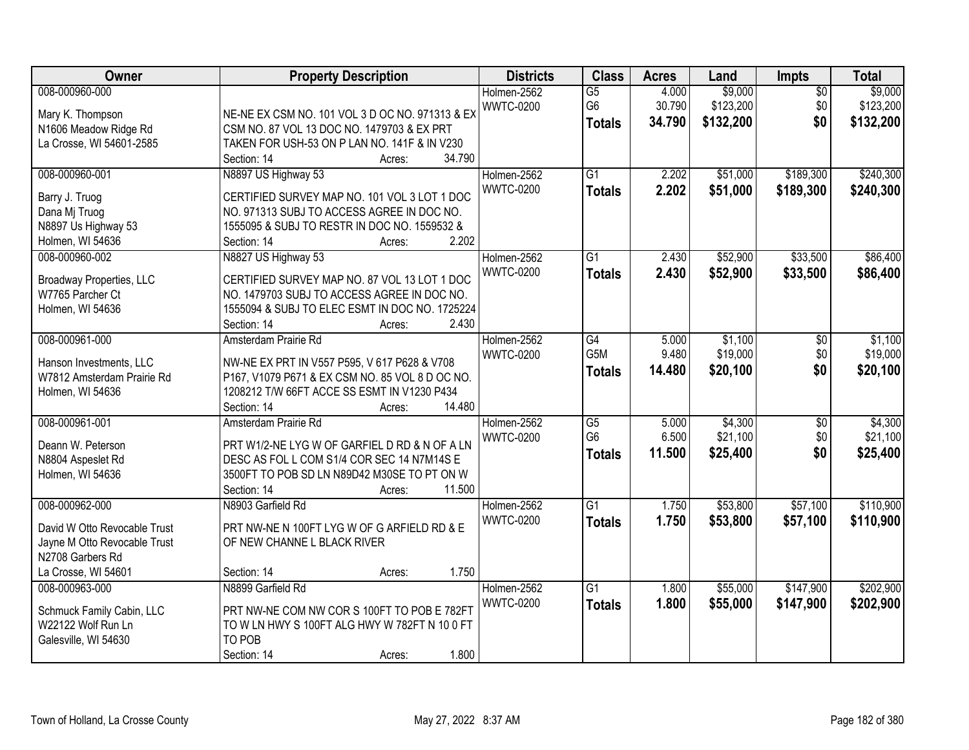| Owner                                                                                                                     | <b>Property Description</b>                                                                                                                                                                               | <b>Districts</b>                | <b>Class</b>                          | <b>Acres</b>              | Land                              | Impts                         | <b>Total</b>                      |
|---------------------------------------------------------------------------------------------------------------------------|-----------------------------------------------------------------------------------------------------------------------------------------------------------------------------------------------------------|---------------------------------|---------------------------------------|---------------------------|-----------------------------------|-------------------------------|-----------------------------------|
| 008-000960-000<br>Mary K. Thompson<br>N1606 Meadow Ridge Rd<br>La Crosse, WI 54601-2585                                   | NE-NE EX CSM NO. 101 VOL 3 D OC NO. 971313 & EX<br>CSM NO. 87 VOL 13 DOC NO. 1479703 & EX PRT<br>TAKEN FOR USH-53 ON P LAN NO. 141F & IN V230<br>34.790<br>Section: 14<br>Acres:                          | Holmen-2562<br><b>WWTC-0200</b> | G5<br>G <sub>6</sub><br><b>Totals</b> | 4.000<br>30.790<br>34.790 | \$9,000<br>\$123,200<br>\$132,200 | $\overline{50}$<br>\$0<br>\$0 | \$9,000<br>\$123,200<br>\$132,200 |
| 008-000960-001<br>Barry J. Truog<br>Dana Mj Truog<br>N8897 Us Highway 53<br>Holmen, WI 54636                              | N8897 US Highway 53<br>CERTIFIED SURVEY MAP NO. 101 VOL 3 LOT 1 DOC<br>NO. 971313 SUBJ TO ACCESS AGREE IN DOC NO.<br>1555095 & SUBJ TO RESTR IN DOC NO. 1559532 &<br>2.202<br>Section: 14<br>Acres:       | Holmen-2562<br><b>WWTC-0200</b> | $\overline{G1}$<br><b>Totals</b>      | 2.202<br>2.202            | \$51,000<br>\$51,000              | \$189,300<br>\$189,300        | \$240,300<br>\$240,300            |
| 008-000960-002<br><b>Broadway Properties, LLC</b><br>W7765 Parcher Ct<br>Holmen, WI 54636                                 | N8827 US Highway 53<br>CERTIFIED SURVEY MAP NO. 87 VOL 13 LOT 1 DOC<br>NO. 1479703 SUBJ TO ACCESS AGREE IN DOC NO.<br>1555094 & SUBJ TO ELEC ESMT IN DOC NO. 1725224<br>2.430<br>Section: 14<br>Acres:    | Holmen-2562<br><b>WWTC-0200</b> | $\overline{G1}$<br><b>Totals</b>      | 2.430<br>2.430            | \$52,900<br>\$52,900              | \$33,500<br>\$33,500          | \$86,400<br>\$86,400              |
| 008-000961-000<br>Hanson Investments, LLC<br>W7812 Amsterdam Prairie Rd<br>Holmen, WI 54636                               | Amsterdam Prairie Rd<br>NW-NE EX PRT IN V557 P595, V 617 P628 & V708<br>P167, V1079 P671 & EX CSM NO. 85 VOL 8 D OC NO.<br>1208212 T/W 66FT ACCE SS ESMT IN V1230 P434<br>Section: 14<br>14.480<br>Acres: | Holmen-2562<br><b>WWTC-0200</b> | G4<br>G5M<br><b>Totals</b>            | 5.000<br>9.480<br>14.480  | \$1,100<br>\$19,000<br>\$20,100   | $\sqrt[6]{3}$<br>\$0<br>\$0   | \$1,100<br>\$19,000<br>\$20,100   |
| 008-000961-001<br>Deann W. Peterson<br>N8804 Aspeslet Rd<br>Holmen, WI 54636                                              | Amsterdam Prairie Rd<br>PRT W1/2-NE LYG W OF GARFIEL D RD & N OF A LN<br>DESC AS FOL L COM S1/4 COR SEC 14 N7M14S E<br>3500FT TO POB SD LN N89D42 M30SE TO PT ON W<br>11.500<br>Section: 14<br>Acres:     | Holmen-2562<br><b>WWTC-0200</b> | G5<br>G <sub>6</sub><br><b>Totals</b> | 5.000<br>6.500<br>11.500  | \$4,300<br>\$21,100<br>\$25,400   | $\overline{50}$<br>\$0<br>\$0 | \$4,300<br>\$21,100<br>\$25,400   |
| 008-000962-000<br>David W Otto Revocable Trust<br>Jayne M Otto Revocable Trust<br>N2708 Garbers Rd<br>La Crosse, WI 54601 | N8903 Garfield Rd<br>PRT NW-NE N 100FT LYG W OF G ARFIELD RD & E<br>OF NEW CHANNE L BLACK RIVER<br>1.750<br>Section: 14<br>Acres:                                                                         | Holmen-2562<br><b>WWTC-0200</b> | G1<br><b>Totals</b>                   | 1.750<br>1.750            | \$53,800<br>\$53,800              | \$57,100<br>\$57,100          | \$110,900<br>\$110,900            |
| 008-000963-000<br>Schmuck Family Cabin, LLC<br>W22122 Wolf Run Ln<br>Galesville, WI 54630                                 | N8899 Garfield Rd<br>PRT NW-NE COM NW COR S 100FT TO POB E 782FT<br>TO W LN HWY S 100FT ALG HWY W 782FT N 10 0 FT<br>TO POB<br>1.800<br>Section: 14<br>Acres:                                             | Holmen-2562<br><b>WWTC-0200</b> | $\overline{G1}$<br><b>Totals</b>      | 1.800<br>1.800            | \$55,000<br>\$55,000              | \$147,900<br>\$147,900        | \$202,900<br>\$202,900            |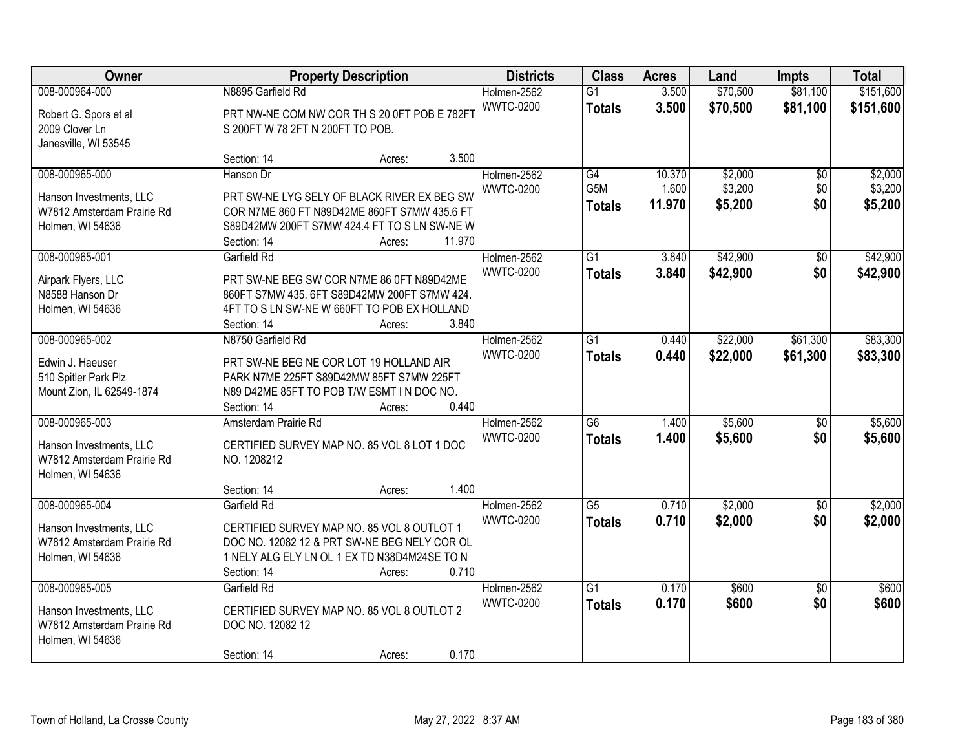| Owner                                                                                       | <b>Property Description</b>                                                                                                                                                                 | <b>Districts</b>                | <b>Class</b>                     | <b>Acres</b>              | Land                          | <b>Impts</b>           | <b>Total</b>                  |
|---------------------------------------------------------------------------------------------|---------------------------------------------------------------------------------------------------------------------------------------------------------------------------------------------|---------------------------------|----------------------------------|---------------------------|-------------------------------|------------------------|-------------------------------|
| 008-000964-000<br>Robert G. Spors et al<br>2009 Clover Ln<br>Janesville, WI 53545           | N8895 Garfield Rd<br>PRT NW-NE COM NW COR TH S 20 0FT POB E 782FT<br>S 200FT W 78 2FT N 200FT TO POB.                                                                                       | Holmen-2562<br><b>WWTC-0200</b> | $\overline{G1}$<br><b>Totals</b> | 3.500<br>3.500            | \$70,500<br>\$70,500          | \$81,100<br>\$81,100   | \$151,600<br>\$151,600        |
|                                                                                             | 3.500<br>Section: 14<br>Acres:                                                                                                                                                              |                                 |                                  |                           |                               |                        |                               |
| 008-000965-000<br>Hanson Investments, LLC<br>W7812 Amsterdam Prairie Rd<br>Holmen, WI 54636 | Hanson Dr<br>PRT SW-NE LYG SELY OF BLACK RIVER EX BEG SW<br>COR N7ME 860 FT N89D42ME 860FT S7MW 435.6 FT<br>S89D42MW 200FT S7MW 424.4 FT TO S LN SW-NE W<br>11.970<br>Section: 14<br>Acres: | Holmen-2562<br><b>WWTC-0200</b> | G4<br>G5M<br><b>Totals</b>       | 10.370<br>1.600<br>11.970 | \$2,000<br>\$3,200<br>\$5,200 | \$0<br>\$0<br>\$0      | \$2,000<br>\$3,200<br>\$5,200 |
| 008-000965-001<br>Airpark Flyers, LLC<br>N8588 Hanson Dr<br>Holmen, WI 54636                | Garfield Rd<br>PRT SW-NE BEG SW COR N7ME 86 0FT N89D42ME<br>860FT S7MW 435. 6FT S89D42MW 200FT S7MW 424.<br>4FT TO S LN SW-NE W 660FT TO POB EX HOLLAND<br>3.840<br>Section: 14<br>Acres:   | Holmen-2562<br><b>WWTC-0200</b> | G <sub>1</sub><br><b>Totals</b>  | 3.840<br>3.840            | \$42,900<br>\$42,900          | \$0<br>\$0             | \$42,900<br>\$42,900          |
| 008-000965-002<br>Edwin J. Haeuser<br>510 Spitler Park Plz<br>Mount Zion, IL 62549-1874     | N8750 Garfield Rd<br>PRT SW-NE BEG NE COR LOT 19 HOLLAND AIR<br>PARK N7ME 225FT S89D42MW 85FT S7MW 225FT<br>N89 D42ME 85FT TO POB T/W ESMT IN DOC NO.<br>0.440<br>Section: 14<br>Acres:     | Holmen-2562<br><b>WWTC-0200</b> | G1<br><b>Totals</b>              | 0.440<br>0.440            | \$22,000<br>\$22,000          | \$61,300<br>\$61,300   | \$83,300<br>\$83,300          |
| 008-000965-003<br>Hanson Investments, LLC<br>W7812 Amsterdam Prairie Rd<br>Holmen, WI 54636 | Amsterdam Prairie Rd<br>CERTIFIED SURVEY MAP NO. 85 VOL 8 LOT 1 DOC<br>NO. 1208212<br>1.400<br>Section: 14<br>Acres:                                                                        | Holmen-2562<br><b>WWTC-0200</b> | $\overline{G6}$<br><b>Totals</b> | 1.400<br>1.400            | \$5,600<br>\$5,600            | $\overline{50}$<br>\$0 | \$5,600<br>\$5,600            |
| 008-000965-004<br>Hanson Investments, LLC<br>W7812 Amsterdam Prairie Rd<br>Holmen, WI 54636 | Garfield Rd<br>CERTIFIED SURVEY MAP NO. 85 VOL 8 OUTLOT 1<br>DOC NO. 12082 12 & PRT SW-NE BEG NELY COR OL<br>1 NELY ALG ELY LN OL 1 EX TD N38D4M24SE TO N<br>0.710<br>Section: 14<br>Acres: | Holmen-2562<br><b>WWTC-0200</b> | G5<br><b>Totals</b>              | 0.710<br>0.710            | \$2,000<br>\$2,000            | $\overline{50}$<br>\$0 | \$2,000<br>\$2,000            |
| 008-000965-005<br>Hanson Investments, LLC<br>W7812 Amsterdam Prairie Rd<br>Holmen, WI 54636 | Garfield Rd<br>CERTIFIED SURVEY MAP NO. 85 VOL 8 OUTLOT 2<br>DOC NO. 12082 12<br>0.170<br>Section: 14<br>Acres:                                                                             | Holmen-2562<br><b>WWTC-0200</b> | G1<br><b>Totals</b>              | 0.170<br>0.170            | \$600<br>\$600                | $\overline{50}$<br>\$0 | \$600<br>\$600                |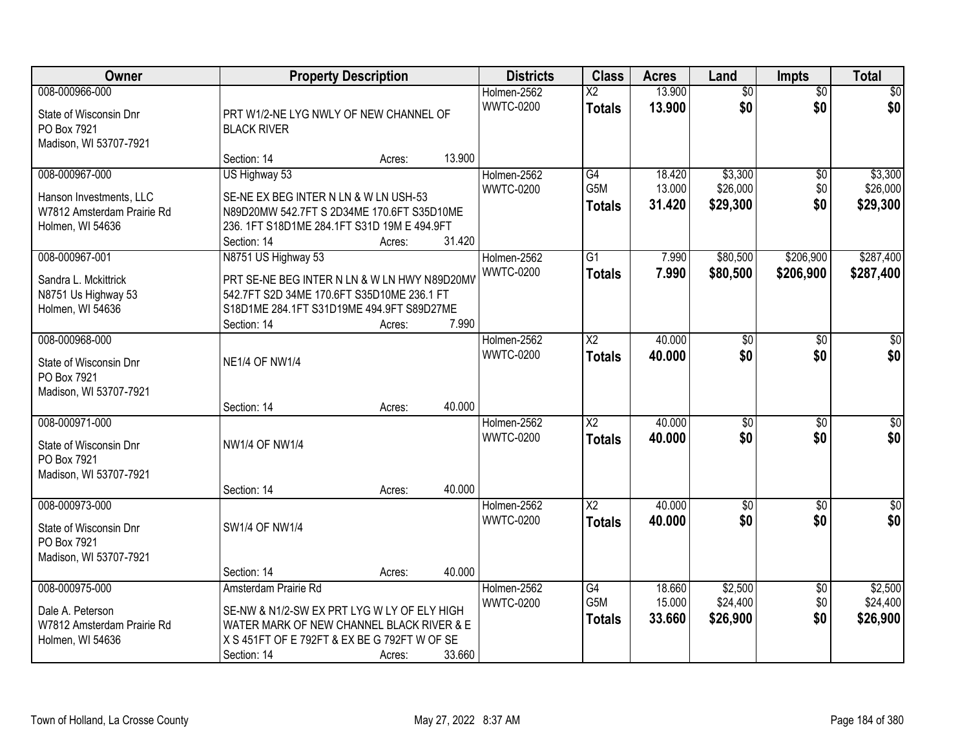| Owner                                                                                       | <b>Property Description</b>                                                                                                                                                     |                  |                  | <b>Districts</b>                | <b>Class</b>                     | <b>Acres</b>               | Land                            | <b>Impts</b>                  | <b>Total</b>                    |
|---------------------------------------------------------------------------------------------|---------------------------------------------------------------------------------------------------------------------------------------------------------------------------------|------------------|------------------|---------------------------------|----------------------------------|----------------------------|---------------------------------|-------------------------------|---------------------------------|
| 008-000966-000<br>State of Wisconsin Dnr<br>PO Box 7921<br>Madison, WI 53707-7921           | PRT W1/2-NE LYG NWLY OF NEW CHANNEL OF<br><b>BLACK RIVER</b>                                                                                                                    |                  |                  | Holmen-2562<br><b>WWTC-0200</b> | $\overline{X2}$<br><b>Totals</b> | 13.900<br>13.900           | $\overline{50}$<br>\$0          | $\overline{50}$<br>\$0        | \$0<br>\$0                      |
|                                                                                             | Section: 14                                                                                                                                                                     | Acres:           | 13.900           |                                 |                                  |                            |                                 |                               |                                 |
| 008-000967-000<br>Hanson Investments, LLC<br>W7812 Amsterdam Prairie Rd<br>Holmen, WI 54636 | US Highway 53<br>SE-NE EX BEG INTER N LN & W LN USH-53<br>N89D20MW 542.7FT S 2D34ME 170.6FT S35D10ME<br>236. 1FT S18D1ME 284.1FT S31D 19M E 494.9FT<br>Section: 14              | Acres:           | 31.420           | Holmen-2562<br><b>WWTC-0200</b> | G4<br>G5M<br><b>Totals</b>       | 18.420<br>13.000<br>31.420 | \$3,300<br>\$26,000<br>\$29,300 | \$0<br>\$0<br>\$0             | \$3,300<br>\$26,000<br>\$29,300 |
| 008-000967-001<br>Sandra L. Mckittrick<br>N8751 Us Highway 53                               | N8751 US Highway 53<br>PRT SE-NE BEG INTER N LN & W LN HWY N89D20MV<br>542.7FT S2D 34ME 170.6FT S35D10ME 236.1 FT                                                               |                  |                  | Holmen-2562<br><b>WWTC-0200</b> | $\overline{G1}$<br><b>Totals</b> | 7.990<br>7.990             | \$80,500<br>\$80,500            | \$206,900<br>\$206,900        | \$287,400<br>\$287,400          |
| Holmen, WI 54636                                                                            | S18D1ME 284.1FT S31D19ME 494.9FT S89D27ME<br>Section: 14                                                                                                                        | Acres:           | 7.990            |                                 |                                  |                            |                                 |                               |                                 |
| 008-000968-000<br>State of Wisconsin Dnr<br>PO Box 7921<br>Madison, WI 53707-7921           | <b>NE1/4 OF NW1/4</b>                                                                                                                                                           |                  |                  | Holmen-2562<br><b>WWTC-0200</b> | $\overline{X2}$<br><b>Totals</b> | 40.000<br>40.000           | \$0<br>\$0                      | \$0<br>\$0                    | $\sqrt{50}$<br>\$0              |
| 008-000971-000<br>State of Wisconsin Dnr<br>PO Box 7921<br>Madison, WI 53707-7921           | Section: 14<br><b>NW1/4 OF NW1/4</b><br>Section: 14                                                                                                                             | Acres:<br>Acres: | 40.000<br>40.000 | Holmen-2562<br><b>WWTC-0200</b> | $\overline{X2}$<br><b>Totals</b> | 40.000<br>40.000           | $\overline{50}$<br>\$0          | $\overline{50}$<br>\$0        | $\overline{50}$<br>\$0          |
| 008-000973-000<br>State of Wisconsin Dnr<br>PO Box 7921<br>Madison, WI 53707-7921           | <b>SW1/4 OF NW1/4</b><br>Section: 14                                                                                                                                            | Acres:           | 40.000           | Holmen-2562<br><b>WWTC-0200</b> | $\overline{X2}$<br><b>Totals</b> | 40.000<br>40.000           | $\sqrt{$0}$<br>\$0              | \$0<br>\$0                    | \$0<br>\$0                      |
| 008-000975-000<br>Dale A. Peterson<br>W7812 Amsterdam Prairie Rd<br>Holmen, WI 54636        | Amsterdam Prairie Rd<br>SE-NW & N1/2-SW EX PRT LYG W LY OF ELY HIGH<br>WATER MARK OF NEW CHANNEL BLACK RIVER & E<br>X S 451FT OF E 792FT & EX BE G 792FT W OF SE<br>Section: 14 | Acres:           | 33.660           | Holmen-2562<br><b>WWTC-0200</b> | G4<br>G5M<br><b>Totals</b>       | 18.660<br>15.000<br>33.660 | \$2,500<br>\$24,400<br>\$26,900 | $\overline{60}$<br>\$0<br>\$0 | \$2,500<br>\$24,400<br>\$26,900 |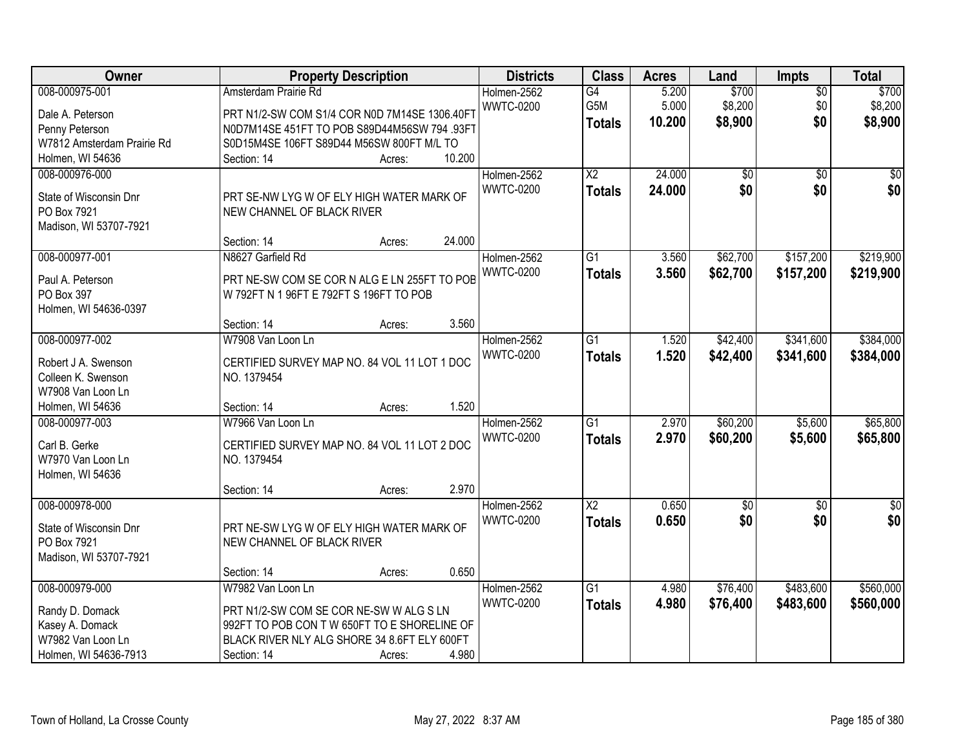| Owner                                |                                               | <b>Property Description</b> |        |                  | <b>Class</b>           | <b>Acres</b> | Land            | Impts           | <b>Total</b>    |
|--------------------------------------|-----------------------------------------------|-----------------------------|--------|------------------|------------------------|--------------|-----------------|-----------------|-----------------|
| 008-000975-001                       | Amsterdam Prairie Rd                          |                             |        | Holmen-2562      | G4                     | 5.200        | \$700           | $\overline{50}$ | \$700           |
| Dale A. Peterson                     | PRT N1/2-SW COM S1/4 COR N0D 7M14SE 1306.40FT |                             |        | <b>WWTC-0200</b> | G5M                    | 5.000        | \$8,200         | \$0             | \$8,200         |
| Penny Peterson                       | N0D7M14SE 451FT TO POB S89D44M56SW 794 .93FT  |                             |        |                  | <b>Totals</b>          | 10.200       | \$8,900         | \$0             | \$8,900         |
| W7812 Amsterdam Prairie Rd           | S0D15M4SE 106FT S89D44 M56SW 800FT M/L TO     |                             |        |                  |                        |              |                 |                 |                 |
| Holmen, WI 54636                     | Section: 14                                   | Acres:                      | 10.200 |                  |                        |              |                 |                 |                 |
| 008-000976-000                       |                                               |                             |        | Holmen-2562      | $\overline{\text{X2}}$ | 24.000       | $\overline{50}$ | $\overline{30}$ | $\overline{50}$ |
|                                      |                                               |                             |        | <b>WWTC-0200</b> | <b>Totals</b>          | 24.000       | \$0             | \$0             | \$0             |
| State of Wisconsin Dnr               | PRT SE-NW LYG W OF ELY HIGH WATER MARK OF     |                             |        |                  |                        |              |                 |                 |                 |
| PO Box 7921                          | NEW CHANNEL OF BLACK RIVER                    |                             |        |                  |                        |              |                 |                 |                 |
| Madison, WI 53707-7921               | Section: 14                                   |                             | 24.000 |                  |                        |              |                 |                 |                 |
|                                      |                                               | Acres:                      |        |                  |                        |              |                 |                 |                 |
| 008-000977-001                       | N8627 Garfield Rd                             |                             |        | Holmen-2562      | G1                     | 3.560        | \$62,700        | \$157,200       | \$219,900       |
| Paul A. Peterson                     | PRT NE-SW COM SE COR N ALG E LN 255FT TO POB  |                             |        | <b>WWTC-0200</b> | <b>Totals</b>          | 3.560        | \$62,700        | \$157,200       | \$219,900       |
| PO Box 397                           | W 792FT N 1 96FT E 792FT S 196FT TO POB       |                             |        |                  |                        |              |                 |                 |                 |
| Holmen, WI 54636-0397                |                                               |                             |        |                  |                        |              |                 |                 |                 |
|                                      | Section: 14                                   | Acres:                      | 3.560  |                  |                        |              |                 |                 |                 |
| 008-000977-002                       | W7908 Van Loon Ln                             |                             |        | Holmen-2562      | $\overline{G1}$        | 1.520        | \$42,400        | \$341,600       | \$384,000       |
| Robert J A. Swenson                  | CERTIFIED SURVEY MAP NO. 84 VOL 11 LOT 1 DOC  |                             |        | <b>WWTC-0200</b> | <b>Totals</b>          | 1.520        | \$42,400        | \$341,600       | \$384,000       |
| Colleen K. Swenson                   | NO. 1379454                                   |                             |        |                  |                        |              |                 |                 |                 |
| W7908 Van Loon Ln                    |                                               |                             |        |                  |                        |              |                 |                 |                 |
| Holmen, WI 54636                     | Section: 14                                   | Acres:                      | 1.520  |                  |                        |              |                 |                 |                 |
| 008-000977-003                       | W7966 Van Loon Ln                             |                             |        | Holmen-2562      | $\overline{G1}$        | 2.970        | \$60,200        | \$5,600         | \$65,800        |
|                                      |                                               |                             |        | <b>WWTC-0200</b> | <b>Totals</b>          | 2.970        | \$60,200        | \$5,600         | \$65,800        |
| Carl B. Gerke                        | CERTIFIED SURVEY MAP NO. 84 VOL 11 LOT 2 DOC  |                             |        |                  |                        |              |                 |                 |                 |
| W7970 Van Loon Ln                    | NO. 1379454                                   |                             |        |                  |                        |              |                 |                 |                 |
| Holmen, WI 54636                     |                                               |                             |        |                  |                        |              |                 |                 |                 |
|                                      | Section: 14                                   | Acres:                      | 2.970  |                  |                        |              |                 |                 |                 |
| 008-000978-000                       |                                               |                             |        | Holmen-2562      | $\overline{\text{X2}}$ | 0.650        | $\sqrt{50}$     | $\sqrt{6}$      | $\sqrt{60}$     |
| State of Wisconsin Dnr               | PRT NE-SW LYG W OF ELY HIGH WATER MARK OF     |                             |        | <b>WWTC-0200</b> | <b>Totals</b>          | 0.650        | \$0             | \$0             | \$0             |
| PO Box 7921                          | NEW CHANNEL OF BLACK RIVER                    |                             |        |                  |                        |              |                 |                 |                 |
| Madison, WI 53707-7921               |                                               |                             |        |                  |                        |              |                 |                 |                 |
|                                      | Section: 14                                   | Acres:                      | 0.650  |                  |                        |              |                 |                 |                 |
| 008-000979-000                       | W7982 Van Loon Ln                             |                             |        | Holmen-2562      | $\overline{G1}$        | 4.980        | \$76,400        | \$483,600       | \$560,000       |
|                                      |                                               |                             |        | <b>WWTC-0200</b> | <b>Totals</b>          | 4.980        | \$76,400        | \$483,600       | \$560,000       |
| Randy D. Domack                      | PRT N1/2-SW COM SE COR NE-SW W ALG S LN       |                             |        |                  |                        |              |                 |                 |                 |
| Kasey A. Domack<br>W7982 Van Loon Ln | 992FT TO POB CON TW 650FT TO E SHORELINE OF   |                             |        |                  |                        |              |                 |                 |                 |
|                                      | BLACK RIVER NLY ALG SHORE 34 8.6FT ELY 600FT  |                             | 4.980  |                  |                        |              |                 |                 |                 |
| Holmen, WI 54636-7913                | Section: 14                                   | Acres:                      |        |                  |                        |              |                 |                 |                 |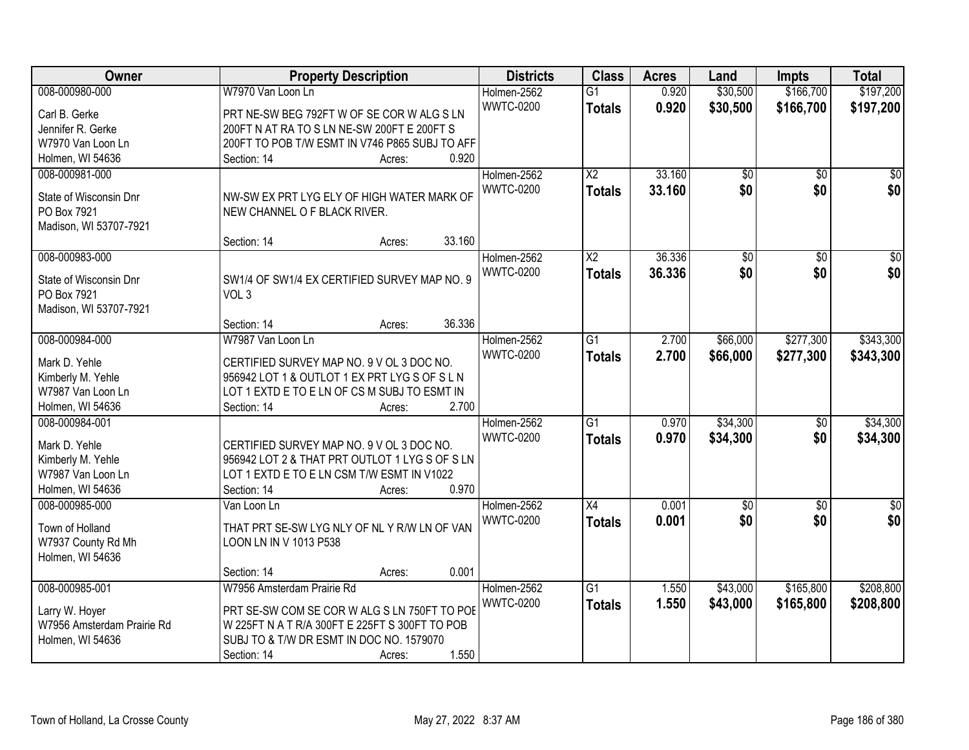| Owner                      | <b>Property Description</b>                    |        |        | <b>Districts</b> | <b>Class</b>    | <b>Acres</b> | Land            | <b>Impts</b>    | <b>Total</b>     |
|----------------------------|------------------------------------------------|--------|--------|------------------|-----------------|--------------|-----------------|-----------------|------------------|
| 008-000980-000             | W7970 Van Loon Ln                              |        |        | Holmen-2562      | $\overline{G1}$ | 0.920        | \$30,500        | \$166,700       | \$197,200        |
| Carl B. Gerke              | PRT NE-SW BEG 792FT W OF SE COR W ALG S LN     |        |        | <b>WWTC-0200</b> | <b>Totals</b>   | 0.920        | \$30,500        | \$166,700       | \$197,200        |
| Jennifer R. Gerke          | 200FT N AT RA TO S LN NE-SW 200FT E 200FT S    |        |        |                  |                 |              |                 |                 |                  |
| W7970 Van Loon Ln          | 200FT TO POB T/W ESMT IN V746 P865 SUBJ TO AFF |        |        |                  |                 |              |                 |                 |                  |
| Holmen, WI 54636           | Section: 14                                    | Acres: | 0.920  |                  |                 |              |                 |                 |                  |
| 008-000981-000             |                                                |        |        | Holmen-2562      | $\overline{X2}$ | 33.160       | $\overline{50}$ | $\overline{50}$ | \$0              |
|                            |                                                |        |        | <b>WWTC-0200</b> | <b>Totals</b>   | 33.160       | \$0             | \$0             | \$0              |
| State of Wisconsin Dnr     | NW-SW EX PRT LYG ELY OF HIGH WATER MARK OF     |        |        |                  |                 |              |                 |                 |                  |
| PO Box 7921                | NEW CHANNEL O F BLACK RIVER.                   |        |        |                  |                 |              |                 |                 |                  |
| Madison, WI 53707-7921     |                                                |        |        |                  |                 |              |                 |                 |                  |
|                            | Section: 14                                    | Acres: | 33.160 |                  |                 |              |                 |                 |                  |
| 008-000983-000             |                                                |        |        | Holmen-2562      | $\overline{X2}$ | 36.336       | $\overline{50}$ | \$0             | $\overline{\$0}$ |
| State of Wisconsin Dnr     | SW1/4 OF SW1/4 EX CERTIFIED SURVEY MAP NO. 9   |        |        | <b>WWTC-0200</b> | <b>Totals</b>   | 36.336       | \$0             | \$0             | \$0              |
| PO Box 7921                | VOL <sub>3</sub>                               |        |        |                  |                 |              |                 |                 |                  |
| Madison, WI 53707-7921     |                                                |        |        |                  |                 |              |                 |                 |                  |
|                            | Section: 14                                    | Acres: | 36.336 |                  |                 |              |                 |                 |                  |
| 008-000984-000             | W7987 Van Loon Ln                              |        |        | Holmen-2562      | $\overline{G1}$ | 2.700        | \$66,000        | \$277,300       | \$343,300        |
|                            |                                                |        |        | <b>WWTC-0200</b> | <b>Totals</b>   | 2.700        | \$66,000        | \$277,300       | \$343,300        |
| Mark D. Yehle              | CERTIFIED SURVEY MAP NO. 9 V OL 3 DOC NO.      |        |        |                  |                 |              |                 |                 |                  |
| Kimberly M. Yehle          | 956942 LOT 1 & OUTLOT 1 EX PRT LYG S OF S L N  |        |        |                  |                 |              |                 |                 |                  |
| W7987 Van Loon Ln          | LOT 1 EXTD E TO E LN OF CS M SUBJ TO ESMT IN   |        |        |                  |                 |              |                 |                 |                  |
| Holmen, WI 54636           | Section: 14                                    | Acres: | 2.700  |                  |                 |              |                 |                 |                  |
| 008-000984-001             |                                                |        |        | Holmen-2562      | $\overline{G1}$ | 0.970        | \$34,300        | $\overline{50}$ | \$34,300         |
| Mark D. Yehle              | CERTIFIED SURVEY MAP NO. 9 V OL 3 DOC NO.      |        |        | <b>WWTC-0200</b> | <b>Totals</b>   | 0.970        | \$34,300        | \$0             | \$34,300         |
| Kimberly M. Yehle          | 956942 LOT 2 & THAT PRT OUTLOT 1 LYG S OF S LN |        |        |                  |                 |              |                 |                 |                  |
| W7987 Van Loon Ln          | LOT 1 EXTD E TO E LN CSM T/W ESMT IN V1022     |        |        |                  |                 |              |                 |                 |                  |
| Holmen, WI 54636           | Section: 14                                    | Acres: | 0.970  |                  |                 |              |                 |                 |                  |
| 008-000985-000             | Van Loon Ln                                    |        |        | Holmen-2562      | X4              | 0.001        | $\overline{50}$ | $\overline{50}$ | \$0              |
|                            |                                                |        |        | <b>WWTC-0200</b> | <b>Totals</b>   | 0.001        | \$0             | \$0             | \$0              |
| Town of Holland            | THAT PRT SE-SW LYG NLY OF NLY R/W LN OF VAN    |        |        |                  |                 |              |                 |                 |                  |
| W7937 County Rd Mh         | LOON LN IN V 1013 P538                         |        |        |                  |                 |              |                 |                 |                  |
| Holmen, WI 54636           |                                                |        |        |                  |                 |              |                 |                 |                  |
|                            | Section: 14                                    | Acres: | 0.001  |                  |                 |              |                 |                 |                  |
| 008-000985-001             | W7956 Amsterdam Prairie Rd                     |        |        | Holmen-2562      | $\overline{G1}$ | 1.550        | \$43,000        | \$165,800       | \$208,800        |
| Larry W. Hoyer             | PRT SE-SW COM SE COR W ALG S LN 750FT TO POE   |        |        | <b>WWTC-0200</b> | <b>Totals</b>   | 1.550        | \$43,000        | \$165,800       | \$208,800        |
| W7956 Amsterdam Prairie Rd | W 225FT N A T R/A 300FT E 225FT S 300FT TO POB |        |        |                  |                 |              |                 |                 |                  |
| Holmen, WI 54636           | SUBJ TO & T/W DR ESMT IN DOC NO. 1579070       |        |        |                  |                 |              |                 |                 |                  |
|                            | Section: 14                                    | Acres: | 1.550  |                  |                 |              |                 |                 |                  |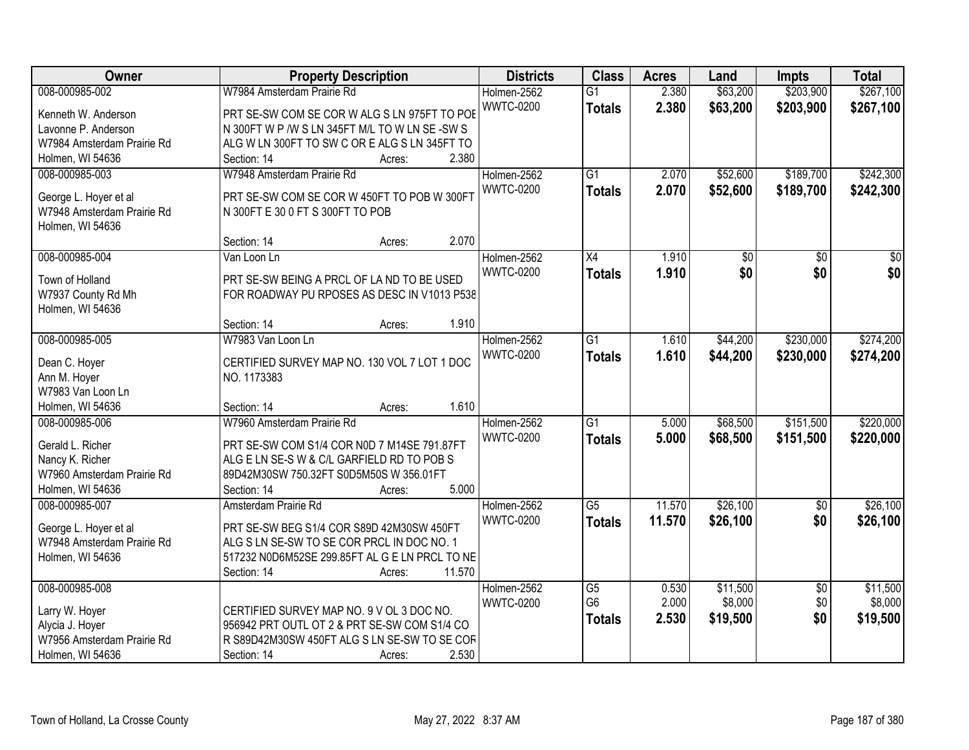| Owner                      | <b>Property Description</b>                    | <b>Districts</b> | <b>Class</b>    | <b>Acres</b> | Land     | Impts           | <b>Total</b>    |
|----------------------------|------------------------------------------------|------------------|-----------------|--------------|----------|-----------------|-----------------|
| 008-000985-002             | W7984 Amsterdam Prairie Rd                     | Holmen-2562      | $\overline{G1}$ | 2.380        | \$63,200 | \$203,900       | \$267,100       |
| Kenneth W. Anderson        | PRT SE-SW COM SE COR W ALG S LN 975FT TO POE   | <b>WWTC-0200</b> | <b>Totals</b>   | 2.380        | \$63,200 | \$203,900       | \$267,100       |
| Lavonne P. Anderson        | N 300FT W P /W S LN 345FT M/L TO W LN SE-SW S  |                  |                 |              |          |                 |                 |
| W7984 Amsterdam Prairie Rd | ALG W LN 300FT TO SW C OR E ALG S LN 345FT TO  |                  |                 |              |          |                 |                 |
| Holmen, WI 54636           | 2.380<br>Section: 14<br>Acres:                 |                  |                 |              |          |                 |                 |
| 008-000985-003             | W7948 Amsterdam Prairie Rd                     | Holmen-2562      | $\overline{G1}$ | 2.070        | \$52,600 | \$189,700       | \$242,300       |
|                            |                                                | <b>WWTC-0200</b> | <b>Totals</b>   | 2.070        | \$52,600 | \$189,700       | \$242,300       |
| George L. Hoyer et al      | PRT SE-SW COM SE COR W 450FT TO POB W 300FT    |                  |                 |              |          |                 |                 |
| W7948 Amsterdam Prairie Rd | N 300FT E 30 0 FT S 300FT TO POB               |                  |                 |              |          |                 |                 |
| Holmen, WI 54636           |                                                |                  |                 |              |          |                 |                 |
|                            | 2.070<br>Section: 14<br>Acres:                 |                  |                 |              |          |                 |                 |
| 008-000985-004             | Van Loon Ln                                    | Holmen-2562      | X4              | 1.910        | \$0      | \$0             | $\overline{50}$ |
| Town of Holland            | PRT SE-SW BEING A PRCL OF LA ND TO BE USED     | <b>WWTC-0200</b> | <b>Totals</b>   | 1.910        | \$0      | \$0             | \$0             |
| W7937 County Rd Mh         | FOR ROADWAY PU RPOSES AS DESC IN V1013 P538    |                  |                 |              |          |                 |                 |
| Holmen, WI 54636           |                                                |                  |                 |              |          |                 |                 |
|                            | 1.910<br>Section: 14<br>Acres:                 |                  |                 |              |          |                 |                 |
| 008-000985-005             | W7983 Van Loon Ln                              | Holmen-2562      | $\overline{G1}$ | 1.610        | \$44,200 | \$230,000       | \$274,200       |
|                            |                                                | <b>WWTC-0200</b> | <b>Totals</b>   | 1.610        | \$44,200 | \$230,000       | \$274,200       |
| Dean C. Hoyer              | CERTIFIED SURVEY MAP NO. 130 VOL 7 LOT 1 DOC   |                  |                 |              |          |                 |                 |
| Ann M. Hoyer               | NO. 1173383                                    |                  |                 |              |          |                 |                 |
| W7983 Van Loon Ln          |                                                |                  |                 |              |          |                 |                 |
| Holmen, WI 54636           | 1.610<br>Section: 14<br>Acres:                 |                  |                 |              |          |                 |                 |
| 008-000985-006             | W7960 Amsterdam Prairie Rd                     | Holmen-2562      | $\overline{G1}$ | 5.000        | \$68,500 | \$151,500       | \$220,000       |
| Gerald L. Richer           | PRT SE-SW COM S1/4 COR N0D 7 M14SE 791.87FT    | <b>WWTC-0200</b> | <b>Totals</b>   | 5.000        | \$68,500 | \$151,500       | \$220,000       |
| Nancy K. Richer            | ALG E LN SE-S W & C/L GARFIELD RD TO POB S     |                  |                 |              |          |                 |                 |
| W7960 Amsterdam Prairie Rd | 89D42M30SW 750.32FT S0D5M50S W 356.01FT        |                  |                 |              |          |                 |                 |
| Holmen, WI 54636           | 5.000<br>Section: 14<br>Acres:                 |                  |                 |              |          |                 |                 |
| 008-000985-007             | Amsterdam Prairie Rd                           | Holmen-2562      | $\overline{G5}$ | 11.570       | \$26,100 | $\overline{60}$ | \$26,100        |
| George L. Hoyer et al      | PRT SE-SW BEG S1/4 COR S89D 42M30SW 450FT      | <b>WWTC-0200</b> | <b>Totals</b>   | 11.570       | \$26,100 | \$0             | \$26,100        |
| W7948 Amsterdam Prairie Rd | ALG S LN SE-SW TO SE COR PRCL IN DOC NO. 1     |                  |                 |              |          |                 |                 |
| Holmen, WI 54636           | 517232 N0D6M52SE 299.85FT AL G E LN PRCL TO NE |                  |                 |              |          |                 |                 |
|                            | Section: 14<br>11.570<br>Acres:                |                  |                 |              |          |                 |                 |
| 008-000985-008             |                                                | Holmen-2562      | G5              | 0.530        | \$11,500 | \$0             | \$11,500        |
|                            |                                                | <b>WWTC-0200</b> | G <sub>6</sub>  | 2.000        | \$8,000  | \$0             | \$8,000         |
| Larry W. Hoyer             | CERTIFIED SURVEY MAP NO. 9 V OL 3 DOC NO.      |                  |                 | 2.530        | \$19,500 | \$0             | \$19,500        |
| Alycia J. Hoyer            | 956942 PRT OUTL OT 2 & PRT SE-SW COM S1/4 CO   |                  | <b>Totals</b>   |              |          |                 |                 |
| W7956 Amsterdam Prairie Rd | R S89D42M30SW 450FT ALG S LN SE-SW TO SE COR   |                  |                 |              |          |                 |                 |
| Holmen, WI 54636           | 2.530<br>Section: 14<br>Acres:                 |                  |                 |              |          |                 |                 |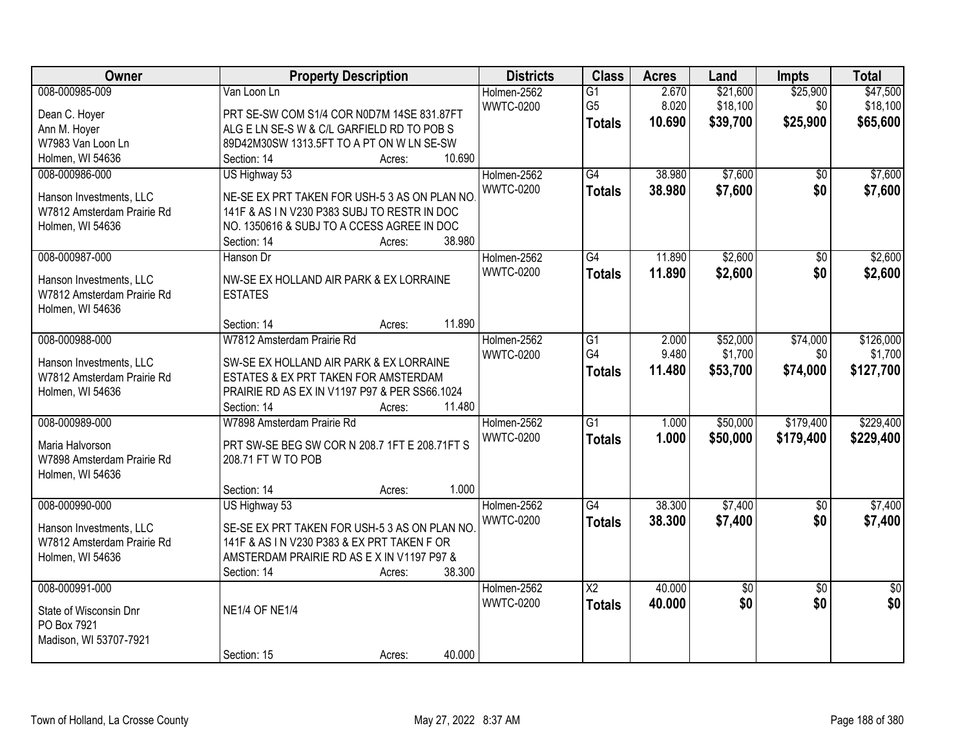| Owner                                                                                                           | <b>Property Description</b>                                                                                                                                                                                                      | <b>Districts</b>                | <b>Class</b>                                       | <b>Acres</b>             | Land                             | Impts                       | <b>Total</b>                      |
|-----------------------------------------------------------------------------------------------------------------|----------------------------------------------------------------------------------------------------------------------------------------------------------------------------------------------------------------------------------|---------------------------------|----------------------------------------------------|--------------------------|----------------------------------|-----------------------------|-----------------------------------|
| 008-000985-009<br>Dean C. Hoyer<br>Ann M. Hoyer<br>W7983 Van Loon Ln                                            | Van Loon Ln<br>PRT SE-SW COM S1/4 COR N0D7M 14SE 831.87FT<br>ALG E LN SE-S W & C/L GARFIELD RD TO POB S<br>89D42M30SW 1313.5FT TO A PT ON W LN SE-SW                                                                             | Holmen-2562<br><b>WWTC-0200</b> | $\overline{G1}$<br>G <sub>5</sub><br><b>Totals</b> | 2.670<br>8.020<br>10.690 | \$21,600<br>\$18,100<br>\$39,700 | \$25,900<br>\$0<br>\$25,900 | \$47,500<br>\$18,100<br>\$65,600  |
| Holmen, WI 54636<br>008-000986-000<br>Hanson Investments, LLC<br>W7812 Amsterdam Prairie Rd<br>Holmen, WI 54636 | 10.690<br>Section: 14<br>Acres:<br>US Highway 53<br>NE-SE EX PRT TAKEN FOR USH-5 3 AS ON PLAN NO<br>141F & AS IN V230 P383 SUBJ TO RESTR IN DOC<br>NO. 1350616 & SUBJ TO A CCESS AGREE IN DOC<br>38.980<br>Section: 14<br>Acres: | Holmen-2562<br><b>WWTC-0200</b> | G4<br><b>Totals</b>                                | 38.980<br>38.980         | \$7,600<br>\$7,600               | $\overline{50}$<br>\$0      | \$7,600<br>\$7,600                |
| 008-000987-000<br>Hanson Investments, LLC<br>W7812 Amsterdam Prairie Rd<br>Holmen, WI 54636                     | Hanson Dr<br>NW-SE EX HOLLAND AIR PARK & EX LORRAINE<br><b>ESTATES</b><br>11.890<br>Section: 14<br>Acres:                                                                                                                        | Holmen-2562<br><b>WWTC-0200</b> | $\overline{G4}$<br><b>Totals</b>                   | 11.890<br>11.890         | \$2,600<br>\$2,600               | $\overline{50}$<br>\$0      | \$2,600<br>\$2,600                |
| 008-000988-000<br>Hanson Investments, LLC<br>W7812 Amsterdam Prairie Rd<br>Holmen, WI 54636                     | W7812 Amsterdam Prairie Rd<br>SW-SE EX HOLLAND AIR PARK & EX LORRAINE<br>ESTATES & EX PRT TAKEN FOR AMSTERDAM<br>PRAIRIE RD AS EX IN V1197 P97 & PER SS66.1024<br>11.480<br>Section: 14<br>Acres:                                | Holmen-2562<br><b>WWTC-0200</b> | $\overline{G1}$<br>G4<br><b>Totals</b>             | 2.000<br>9.480<br>11.480 | \$52,000<br>\$1,700<br>\$53,700  | \$74,000<br>\$0<br>\$74,000 | \$126,000<br>\$1,700<br>\$127,700 |
| 008-000989-000<br>Maria Halvorson<br>W7898 Amsterdam Prairie Rd<br>Holmen, WI 54636                             | W7898 Amsterdam Prairie Rd<br>PRT SW-SE BEG SW COR N 208.7 1FT E 208.71FT S<br>208.71 FT W TO POB<br>1.000<br>Section: 14<br>Acres:                                                                                              | Holmen-2562<br><b>WWTC-0200</b> | $\overline{G1}$<br><b>Totals</b>                   | 1.000<br>1.000           | \$50,000<br>\$50,000             | \$179,400<br>\$179,400      | \$229,400<br>\$229,400            |
| 008-000990-000<br>Hanson Investments, LLC<br>W7812 Amsterdam Prairie Rd<br>Holmen, WI 54636                     | US Highway 53<br>SE-SE EX PRT TAKEN FOR USH-5 3 AS ON PLAN NO<br>141F & AS IN V230 P383 & EX PRT TAKEN F OR<br>AMSTERDAM PRAIRIE RD AS EX IN V1197 P97 &<br>38.300<br>Section: 14<br>Acres:                                      | Holmen-2562<br><b>WWTC-0200</b> | G4<br><b>Totals</b>                                | 38.300<br>38.300         | \$7,400<br>\$7,400               | $\overline{50}$<br>\$0      | \$7,400<br>\$7,400                |
| 008-000991-000<br>State of Wisconsin Dnr<br>PO Box 7921<br>Madison, WI 53707-7921                               | <b>NE1/4 OF NE1/4</b><br>40.000<br>Section: 15<br>Acres:                                                                                                                                                                         | Holmen-2562<br><b>WWTC-0200</b> | $\overline{\mathsf{X2}}$<br><b>Totals</b>          | 40.000<br>40.000         | \$0<br>\$0                       | $\overline{50}$<br>\$0      | $\overline{50}$<br>\$0            |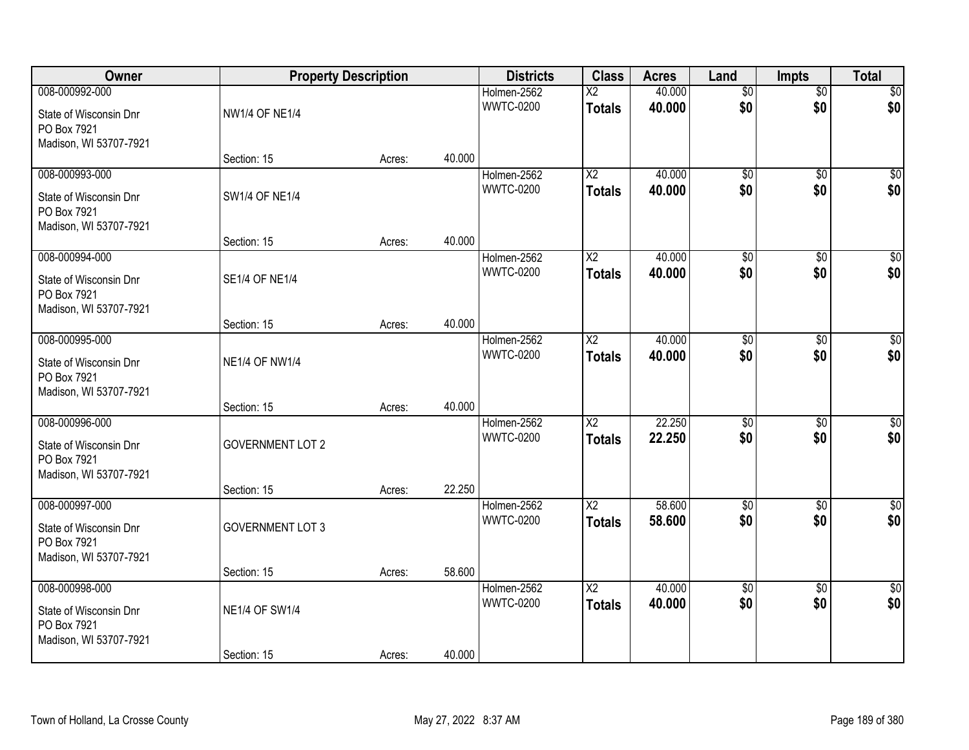| Owner                                                                             | <b>Property Description</b>          |        |        | <b>Districts</b>                | <b>Class</b>                            | <b>Acres</b>     | Land                   | <b>Impts</b>           | <b>Total</b>           |
|-----------------------------------------------------------------------------------|--------------------------------------|--------|--------|---------------------------------|-----------------------------------------|------------------|------------------------|------------------------|------------------------|
| 008-000992-000<br>State of Wisconsin Dnr<br>PO Box 7921<br>Madison, WI 53707-7921 | <b>NW1/4 OF NE1/4</b>                |        |        | Holmen-2562<br><b>WWTC-0200</b> | $\overline{\text{X2}}$<br><b>Totals</b> | 40.000<br>40.000 | $\overline{50}$<br>\$0 | $\overline{50}$<br>\$0 | \$0<br>\$0             |
|                                                                                   | Section: 15                          | Acres: | 40.000 |                                 |                                         |                  |                        |                        |                        |
| 008-000993-000<br>State of Wisconsin Dnr<br>PO Box 7921<br>Madison, WI 53707-7921 | <b>SW1/4 OF NE1/4</b>                |        |        | Holmen-2562<br><b>WWTC-0200</b> | $\overline{\text{X2}}$<br><b>Totals</b> | 40.000<br>40.000 | $\overline{50}$<br>\$0 | $\overline{50}$<br>\$0 | $\overline{50}$<br>\$0 |
| 008-000994-000                                                                    | Section: 15                          | Acres: | 40.000 | Holmen-2562                     | $\overline{\mathsf{X2}}$                | 40.000           | $\overline{60}$        |                        | $\overline{\$0}$       |
| State of Wisconsin Dnr<br>PO Box 7921<br>Madison, WI 53707-7921                   | <b>SE1/4 OF NE1/4</b>                |        |        | <b>WWTC-0200</b>                | <b>Totals</b>                           | 40.000           | \$0                    | \$0<br>\$0             | \$0                    |
|                                                                                   | Section: 15                          | Acres: | 40.000 |                                 |                                         |                  |                        |                        |                        |
| 008-000995-000<br>State of Wisconsin Dnr<br>PO Box 7921<br>Madison, WI 53707-7921 | <b>NE1/4 OF NW1/4</b>                |        |        | Holmen-2562<br><b>WWTC-0200</b> | $\overline{\text{X2}}$<br><b>Totals</b> | 40.000<br>40.000 | $\overline{50}$<br>\$0 | \$0<br>\$0             | $\sqrt{50}$<br>\$0     |
|                                                                                   | Section: 15                          | Acres: | 40.000 |                                 |                                         |                  |                        |                        |                        |
| 008-000996-000<br>State of Wisconsin Dnr<br>PO Box 7921<br>Madison, WI 53707-7921 | <b>GOVERNMENT LOT 2</b>              |        |        | Holmen-2562<br><b>WWTC-0200</b> | $\overline{X2}$<br><b>Totals</b>        | 22.250<br>22.250 | \$0<br>\$0             | \$0<br>\$0             | \$0<br>\$0             |
| 008-000997-000                                                                    | Section: 15                          | Acres: | 22.250 | Holmen-2562                     | $\overline{X2}$                         | 58.600           | $\sqrt{$0}$            | \$0                    | $\sqrt{30}$            |
| State of Wisconsin Dnr<br>PO Box 7921<br>Madison, WI 53707-7921                   | <b>GOVERNMENT LOT 3</b>              |        |        | <b>WWTC-0200</b>                | <b>Totals</b>                           | 58.600           | \$0                    | \$0                    | \$0                    |
|                                                                                   | Section: 15                          | Acres: | 58.600 |                                 |                                         |                  |                        |                        |                        |
| 008-000998-000<br>State of Wisconsin Dnr<br>PO Box 7921<br>Madison, WI 53707-7921 | <b>NE1/4 OF SW1/4</b><br>Section: 15 |        | 40.000 | Holmen-2562<br><b>WWTC-0200</b> | $\overline{X2}$<br><b>Totals</b>        | 40.000<br>40.000 | $\overline{50}$<br>\$0 | $\overline{50}$<br>\$0 | $\overline{50}$<br>\$0 |
|                                                                                   |                                      | Acres: |        |                                 |                                         |                  |                        |                        |                        |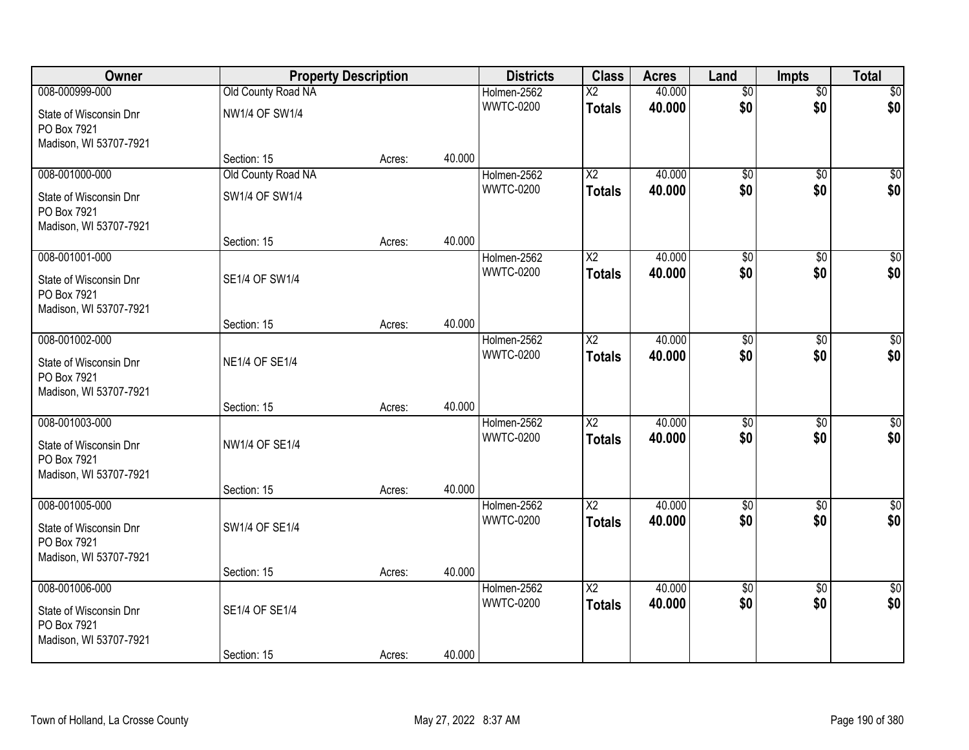| Owner                                                           |                       | <b>Property Description</b> |        | <b>Districts</b> | <b>Class</b>             | <b>Acres</b> | Land            | <b>Impts</b>    | <b>Total</b>     |
|-----------------------------------------------------------------|-----------------------|-----------------------------|--------|------------------|--------------------------|--------------|-----------------|-----------------|------------------|
| 008-000999-000                                                  | Old County Road NA    |                             |        | Holmen-2562      | $\overline{\mathsf{x2}}$ | 40.000       | $\overline{50}$ | $\overline{50}$ | \$0              |
| State of Wisconsin Dnr<br>PO Box 7921                           | <b>NW1/4 OF SW1/4</b> |                             |        | <b>WWTC-0200</b> | <b>Totals</b>            | 40.000       | \$0             | \$0             | \$0              |
| Madison, WI 53707-7921                                          |                       |                             |        |                  |                          |              |                 |                 |                  |
|                                                                 | Section: 15           | Acres:                      | 40.000 |                  |                          |              |                 |                 |                  |
| 008-001000-000                                                  | Old County Road NA    |                             |        | Holmen-2562      | $\overline{X2}$          | 40.000       | $\overline{50}$ | $\overline{50}$ | $\overline{50}$  |
| State of Wisconsin Dnr<br>PO Box 7921                           | SW1/4 OF SW1/4        |                             |        | <b>WWTC-0200</b> | <b>Totals</b>            | 40.000       | \$0             | \$0             | \$0              |
| Madison, WI 53707-7921                                          | Section: 15           |                             | 40.000 |                  |                          |              |                 |                 |                  |
| 008-001001-000                                                  |                       | Acres:                      |        | Holmen-2562      | $\overline{X2}$          | 40.000       | $\overline{50}$ | \$0             | $\overline{\$0}$ |
|                                                                 |                       |                             |        | <b>WWTC-0200</b> | <b>Totals</b>            | 40.000       | \$0             | \$0             | \$0              |
| State of Wisconsin Dnr<br>PO Box 7921<br>Madison, WI 53707-7921 | SE1/4 OF SW1/4        |                             |        |                  |                          |              |                 |                 |                  |
|                                                                 | Section: 15           | Acres:                      | 40.000 |                  |                          |              |                 |                 |                  |
| 008-001002-000                                                  |                       |                             |        | Holmen-2562      | $\overline{X2}$          | 40.000       | $\overline{50}$ | \$0             | $\sqrt{50}$      |
| State of Wisconsin Dnr<br>PO Box 7921                           | <b>NE1/4 OF SE1/4</b> |                             |        | <b>WWTC-0200</b> | <b>Totals</b>            | 40.000       | \$0             | \$0             | \$0              |
| Madison, WI 53707-7921                                          |                       |                             | 40.000 |                  |                          |              |                 |                 |                  |
| 008-001003-000                                                  | Section: 15           | Acres:                      |        | Holmen-2562      | $\overline{X2}$          | 40.000       | \$0             | $\overline{50}$ | \$0              |
|                                                                 |                       |                             |        | <b>WWTC-0200</b> | <b>Totals</b>            | 40.000       | \$0             | \$0             | \$0              |
| State of Wisconsin Dnr                                          | NW1/4 OF SE1/4        |                             |        |                  |                          |              |                 |                 |                  |
| PO Box 7921<br>Madison, WI 53707-7921                           |                       |                             |        |                  |                          |              |                 |                 |                  |
|                                                                 | Section: 15           | Acres:                      | 40.000 |                  |                          |              |                 |                 |                  |
| 008-001005-000                                                  |                       |                             |        | Holmen-2562      | $\overline{\text{X2}}$   | 40.000       | $\sqrt{$0}$     | \$0             | $\sqrt{30}$      |
|                                                                 |                       |                             |        | <b>WWTC-0200</b> | <b>Totals</b>            | 40.000       | \$0             | \$0             | \$0              |
| State of Wisconsin Dnr<br>PO Box 7921                           | SW1/4 OF SE1/4        |                             |        |                  |                          |              |                 |                 |                  |
| Madison, WI 53707-7921                                          |                       |                             |        |                  |                          |              |                 |                 |                  |
|                                                                 | Section: 15           | Acres:                      | 40.000 |                  |                          |              |                 |                 |                  |
| 008-001006-000                                                  |                       |                             |        | Holmen-2562      | $\overline{X2}$          | 40.000       | $\overline{50}$ | $\overline{30}$ | $\overline{50}$  |
| State of Wisconsin Dnr<br>PO Box 7921                           | SE1/4 OF SE1/4        |                             |        | <b>WWTC-0200</b> | <b>Totals</b>            | 40.000       | \$0             | \$0             | \$0              |
| Madison, WI 53707-7921                                          | Section: 15           | Acres:                      | 40.000 |                  |                          |              |                 |                 |                  |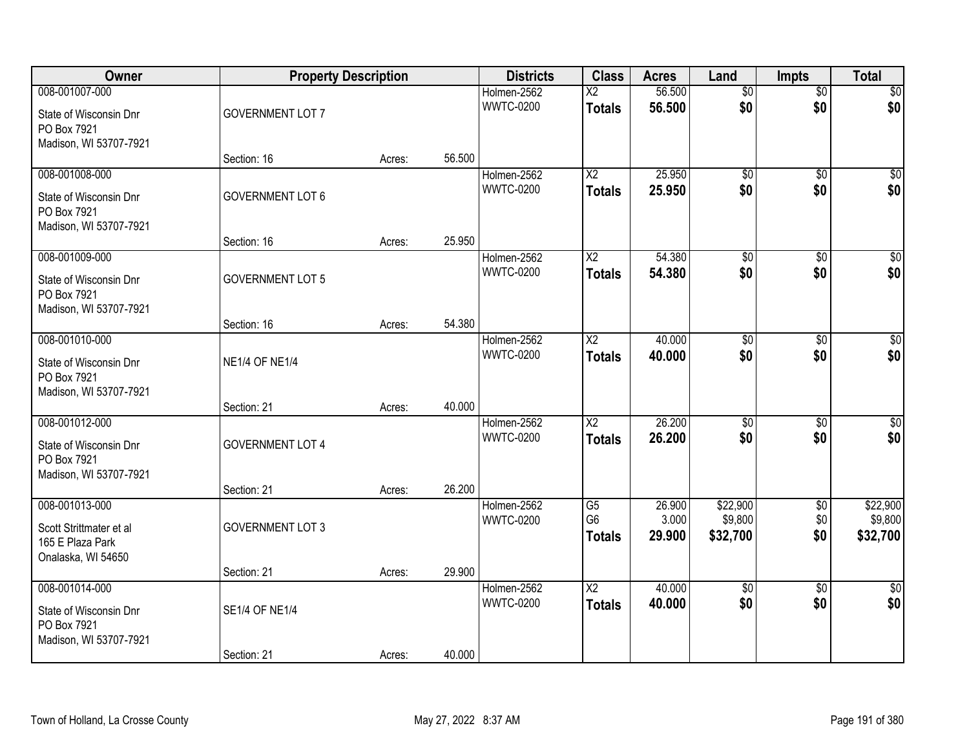| Owner                                                                             | <b>Property Description</b> |        |        | <b>Districts</b>                | <b>Class</b>                            | <b>Acres</b>     | Land                   | <b>Impts</b>           | <b>Total</b>        |
|-----------------------------------------------------------------------------------|-----------------------------|--------|--------|---------------------------------|-----------------------------------------|------------------|------------------------|------------------------|---------------------|
| 008-001007-000<br>State of Wisconsin Dnr<br>PO Box 7921<br>Madison, WI 53707-7921 | <b>GOVERNMENT LOT 7</b>     |        |        | Holmen-2562<br><b>WWTC-0200</b> | $\overline{\text{X2}}$<br><b>Totals</b> | 56.500<br>56.500 | $\overline{50}$<br>\$0 | $\overline{50}$<br>\$0 | \$0<br>\$0          |
|                                                                                   | Section: 16                 | Acres: | 56.500 |                                 |                                         |                  |                        |                        |                     |
| 008-001008-000<br>State of Wisconsin Dnr<br>PO Box 7921<br>Madison, WI 53707-7921 | <b>GOVERNMENT LOT 6</b>     |        |        | Holmen-2562<br><b>WWTC-0200</b> | $\overline{\text{X2}}$<br><b>Totals</b> | 25.950<br>25.950 | $\overline{50}$<br>\$0 | $\overline{50}$<br>\$0 | \$0<br>\$0          |
| 008-001009-000                                                                    | Section: 16                 | Acres: | 25.950 | Holmen-2562                     | $\overline{\mathsf{X2}}$                | 54.380           | $\overline{50}$        | \$0                    | $\overline{\$0}$    |
| State of Wisconsin Dnr<br>PO Box 7921<br>Madison, WI 53707-7921                   | <b>GOVERNMENT LOT 5</b>     |        |        | <b>WWTC-0200</b>                | <b>Totals</b>                           | 54.380           | \$0                    | \$0                    | \$0                 |
|                                                                                   | Section: 16                 | Acres: | 54.380 |                                 |                                         |                  |                        |                        |                     |
| 008-001010-000<br>State of Wisconsin Dnr<br>PO Box 7921<br>Madison, WI 53707-7921 | <b>NE1/4 OF NE1/4</b>       |        |        | Holmen-2562<br><b>WWTC-0200</b> | $\overline{\text{X2}}$<br><b>Totals</b> | 40.000<br>40.000 | $\overline{50}$<br>\$0 | \$0<br>\$0             | $\sqrt{50}$<br>\$0  |
|                                                                                   | Section: 21                 | Acres: | 40.000 |                                 |                                         |                  |                        |                        |                     |
| 008-001012-000<br>State of Wisconsin Dnr<br>PO Box 7921<br>Madison, WI 53707-7921 | <b>GOVERNMENT LOT 4</b>     |        |        | Holmen-2562<br><b>WWTC-0200</b> | $\overline{X2}$<br><b>Totals</b>        | 26.200<br>26.200 | \$0<br>\$0             | \$0<br>\$0             | \$0<br>\$0          |
| 008-001013-000                                                                    | Section: 21                 | Acres: | 26.200 | Holmen-2562                     | G5                                      | 26.900           | \$22,900               | \$0                    | \$22,900            |
| Scott Strittmater et al<br>165 E Plaza Park<br>Onalaska, WI 54650                 | <b>GOVERNMENT LOT 3</b>     |        |        | <b>WWTC-0200</b>                | G <sub>6</sub><br><b>Totals</b>         | 3.000<br>29.900  | \$9,800<br>\$32,700    | \$0<br>\$0             | \$9,800<br>\$32,700 |
|                                                                                   | Section: 21                 | Acres: | 29.900 |                                 |                                         |                  |                        |                        |                     |
| 008-001014-000<br>State of Wisconsin Dnr<br>PO Box 7921<br>Madison, WI 53707-7921 | SE1/4 OF NE1/4              |        |        | Holmen-2562<br><b>WWTC-0200</b> | $\overline{\text{X2}}$<br><b>Totals</b> | 40.000<br>40.000 | $\overline{50}$<br>\$0 | $\overline{50}$<br>\$0 | \$0<br>\$0          |
|                                                                                   | Section: 21                 | Acres: | 40.000 |                                 |                                         |                  |                        |                        |                     |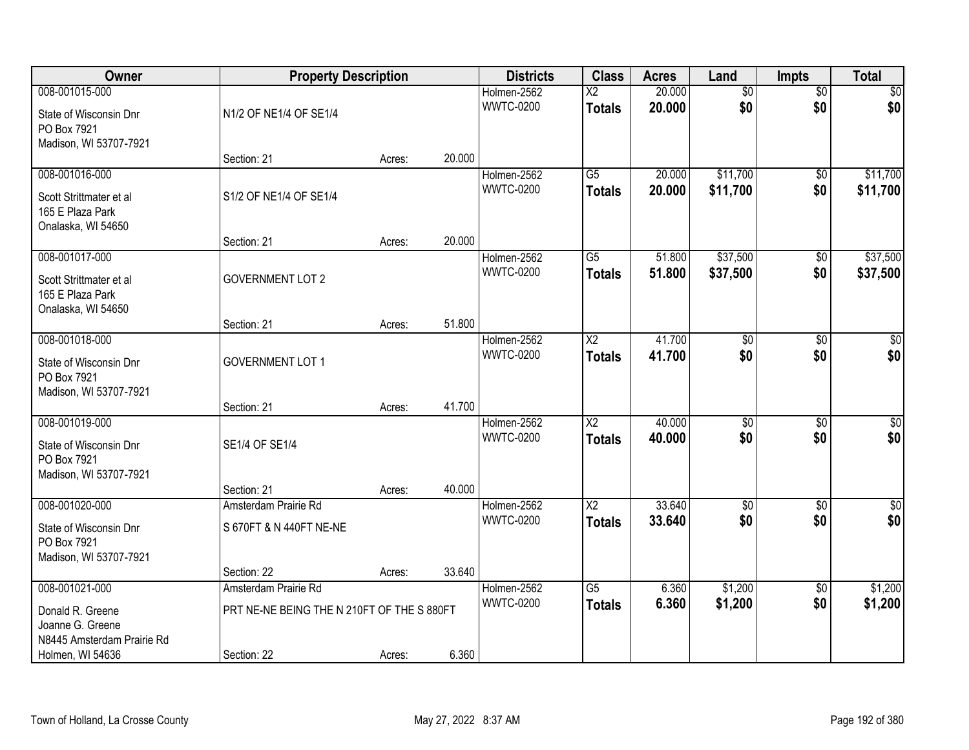| Owner                                                                               | <b>Property Description</b>                |        | <b>Districts</b> | <b>Class</b>                    | <b>Acres</b>                     | Land             | <b>Impts</b>         | <b>Total</b>           |                        |
|-------------------------------------------------------------------------------------|--------------------------------------------|--------|------------------|---------------------------------|----------------------------------|------------------|----------------------|------------------------|------------------------|
| 008-001015-000                                                                      |                                            |        |                  | Holmen-2562                     | $\overline{X2}$                  | 20.000           | $\overline{60}$      | $\overline{50}$        | \$0                    |
| State of Wisconsin Dnr<br>PO Box 7921<br>Madison, WI 53707-7921                     | N1/2 OF NE1/4 OF SE1/4                     |        |                  | <b>WWTC-0200</b>                | <b>Totals</b>                    | 20.000           | \$0                  | \$0                    | \$0                    |
|                                                                                     | Section: 21                                | Acres: | 20.000           |                                 |                                  |                  |                      |                        |                        |
| 008-001016-000<br>Scott Strittmater et al<br>165 E Plaza Park<br>Onalaska, WI 54650 | S1/2 OF NE1/4 OF SE1/4                     |        |                  | Holmen-2562<br><b>WWTC-0200</b> | $\overline{G5}$<br><b>Totals</b> | 20.000<br>20.000 | \$11,700<br>\$11,700 | $\overline{50}$<br>\$0 | \$11,700<br>\$11,700   |
|                                                                                     | Section: 21                                | Acres: | 20.000           |                                 |                                  |                  |                      |                        |                        |
| 008-001017-000                                                                      |                                            |        |                  | Holmen-2562                     | G5                               | 51.800           | \$37,500             | $\overline{50}$        | \$37,500               |
| Scott Strittmater et al<br>165 E Plaza Park<br>Onalaska, WI 54650                   | <b>GOVERNMENT LOT 2</b>                    |        |                  | <b>WWTC-0200</b>                | <b>Totals</b>                    | 51.800           | \$37,500             | \$0                    | \$37,500               |
|                                                                                     | Section: 21                                | Acres: | 51.800           |                                 |                                  |                  |                      |                        |                        |
| 008-001018-000                                                                      |                                            |        |                  | Holmen-2562                     | $\overline{\text{X2}}$           | 41.700           | $\overline{60}$      | $\overline{30}$        | $\overline{50}$        |
| State of Wisconsin Dnr<br>PO Box 7921<br>Madison, WI 53707-7921                     | <b>GOVERNMENT LOT 1</b>                    |        |                  | <b>WWTC-0200</b>                | <b>Totals</b>                    | 41.700           | \$0                  | \$0                    | \$0                    |
|                                                                                     | Section: 21                                | Acres: | 41.700           |                                 |                                  |                  |                      |                        |                        |
| 008-001019-000<br>State of Wisconsin Dnr<br>PO Box 7921<br>Madison, WI 53707-7921   | SE1/4 OF SE1/4                             |        |                  | Holmen-2562<br><b>WWTC-0200</b> | $\overline{X2}$<br><b>Totals</b> | 40.000<br>40.000 | \$0<br>\$0           | $\overline{50}$<br>\$0 | $\overline{50}$<br>\$0 |
|                                                                                     | Section: 21                                | Acres: | 40.000           |                                 |                                  |                  |                      |                        |                        |
| 008-001020-000                                                                      | Amsterdam Prairie Rd                       |        |                  | Holmen-2562                     | X <sub>2</sub>                   | 33.640           | $\sqrt{$0}$          | $\sqrt{6}$             | \$0                    |
| State of Wisconsin Dnr<br>PO Box 7921<br>Madison, WI 53707-7921                     | S 670FT & N 440FT NE-NE                    |        |                  | <b>WWTC-0200</b>                | <b>Totals</b>                    | 33.640           | \$0                  | \$0                    | \$0                    |
|                                                                                     | Section: 22                                | Acres: | 33.640           |                                 |                                  |                  |                      |                        |                        |
| 008-001021-000                                                                      | Amsterdam Prairie Rd                       |        |                  | Holmen-2562                     | $\overline{G5}$                  | 6.360            | \$1,200              | $\overline{50}$        | \$1,200                |
| Donald R. Greene<br>Joanne G. Greene<br>N8445 Amsterdam Prairie Rd                  | PRT NE-NE BEING THE N 210FT OF THE S 880FT |        |                  | <b>WWTC-0200</b>                | <b>Totals</b>                    | 6.360            | \$1,200              | \$0                    | \$1,200                |
| Holmen, WI 54636                                                                    | Section: 22                                | Acres: | 6.360            |                                 |                                  |                  |                      |                        |                        |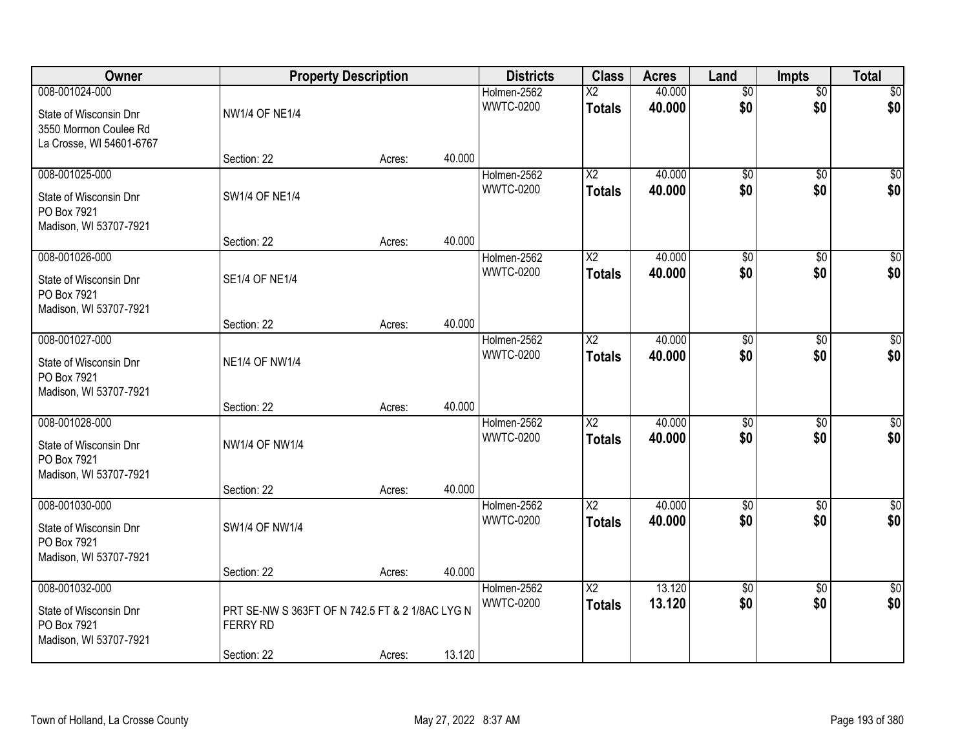| Owner                                                                                         |                                                                                   | <b>Property Description</b> |        | <b>Districts</b>                | <b>Class</b>                              | <b>Acres</b>     | Land                   | <b>Impts</b>           | <b>Total</b>           |
|-----------------------------------------------------------------------------------------------|-----------------------------------------------------------------------------------|-----------------------------|--------|---------------------------------|-------------------------------------------|------------------|------------------------|------------------------|------------------------|
| 008-001024-000<br>State of Wisconsin Dnr<br>3550 Mormon Coulee Rd<br>La Crosse, WI 54601-6767 | <b>NW1/4 OF NE1/4</b>                                                             |                             |        | Holmen-2562<br><b>WWTC-0200</b> | $\overline{\text{X2}}$<br><b>Totals</b>   | 40.000<br>40.000 | $\overline{50}$<br>\$0 | $\overline{50}$<br>\$0 | \$0<br>\$0             |
|                                                                                               | Section: 22                                                                       | Acres:                      | 40.000 |                                 |                                           |                  |                        |                        |                        |
| 008-001025-000<br>State of Wisconsin Dnr<br>PO Box 7921<br>Madison, WI 53707-7921             | <b>SW1/4 OF NE1/4</b>                                                             |                             |        | Holmen-2562<br><b>WWTC-0200</b> | $\overline{\text{X2}}$<br><b>Totals</b>   | 40.000<br>40.000 | \$0<br>\$0             | \$0<br>\$0             | $\sqrt{50}$<br>\$0     |
| 008-001026-000                                                                                | Section: 22                                                                       | Acres:                      | 40.000 | Holmen-2562                     | $\overline{\mathsf{X2}}$                  | 40.000           | $\overline{50}$        | $\overline{60}$        | $\overline{\$0}$       |
| State of Wisconsin Dnr<br>PO Box 7921<br>Madison, WI 53707-7921                               | <b>SE1/4 OF NE1/4</b>                                                             |                             |        | <b>WWTC-0200</b>                | <b>Totals</b>                             | 40.000           | \$0                    | \$0                    | \$0                    |
|                                                                                               | Section: 22                                                                       | Acres:                      | 40.000 |                                 |                                           |                  |                        |                        |                        |
| 008-001027-000<br>State of Wisconsin Dnr<br>PO Box 7921<br>Madison, WI 53707-7921             | <b>NE1/4 OF NW1/4</b>                                                             |                             |        | Holmen-2562<br><b>WWTC-0200</b> | $\overline{\text{X2}}$<br><b>Totals</b>   | 40.000<br>40.000 | $\overline{50}$<br>\$0 | \$0<br>\$0             | $\sqrt{50}$<br>\$0     |
|                                                                                               | Section: 22                                                                       | Acres:                      | 40.000 |                                 |                                           |                  |                        |                        |                        |
| 008-001028-000<br>State of Wisconsin Dnr<br>PO Box 7921<br>Madison, WI 53707-7921             | <b>NW1/4 OF NW1/4</b><br>Section: 22                                              | Acres:                      | 40.000 | Holmen-2562<br><b>WWTC-0200</b> | $\overline{\text{X2}}$<br><b>Totals</b>   | 40.000<br>40.000 | \$0<br>\$0             | \$0<br>\$0             | $\sqrt{50}$<br>\$0     |
| 008-001030-000                                                                                |                                                                                   |                             |        | Holmen-2562                     | $\overline{X2}$                           | 40.000           | $\overline{50}$        | $\sqrt{6}$             | $\overline{30}$        |
| State of Wisconsin Dnr<br>PO Box 7921<br>Madison, WI 53707-7921                               | SW1/4 OF NW1/4                                                                    |                             |        | <b>WWTC-0200</b>                | <b>Totals</b>                             | 40.000           | \$0                    | \$0                    | \$0                    |
|                                                                                               | Section: 22                                                                       | Acres:                      | 40.000 |                                 |                                           |                  |                        |                        |                        |
| 008-001032-000<br>State of Wisconsin Dnr<br>PO Box 7921<br>Madison, WI 53707-7921             | PRT SE-NW S 363FT OF N 742.5 FT & 2 1/8AC LYG N<br><b>FERRY RD</b><br>Section: 22 | Acres:                      | 13.120 | Holmen-2562<br><b>WWTC-0200</b> | $\overline{\mathsf{X2}}$<br><b>Totals</b> | 13.120<br>13.120 | $\overline{50}$<br>\$0 | $\overline{50}$<br>\$0 | $\overline{50}$<br>\$0 |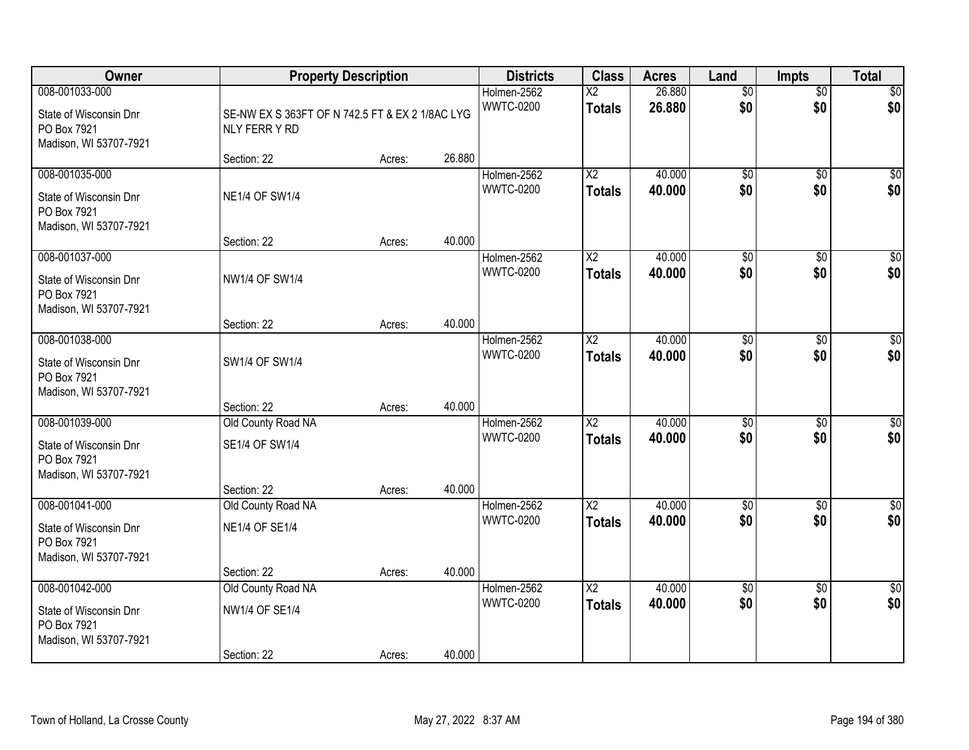| <b>Owner</b>                                                                      |                                                                  | <b>Property Description</b> |        | <b>Districts</b>                | <b>Class</b>                            | <b>Acres</b>     | Land                   | <b>Impts</b>           | <b>Total</b>       |
|-----------------------------------------------------------------------------------|------------------------------------------------------------------|-----------------------------|--------|---------------------------------|-----------------------------------------|------------------|------------------------|------------------------|--------------------|
| 008-001033-000<br>State of Wisconsin Dnr<br>PO Box 7921<br>Madison, WI 53707-7921 | SE-NW EX S 363FT OF N 742.5 FT & EX 2 1/8AC LYG<br>NLY FERR Y RD |                             |        | Holmen-2562<br><b>WWTC-0200</b> | $\overline{\text{X2}}$<br><b>Totals</b> | 26.880<br>26.880 | $\overline{50}$<br>\$0 | $\overline{50}$<br>\$0 | \$0<br>\$0         |
|                                                                                   | Section: 22                                                      | Acres:                      | 26.880 |                                 |                                         |                  |                        |                        |                    |
| 008-001035-000<br>State of Wisconsin Dnr<br>PO Box 7921<br>Madison, WI 53707-7921 | <b>NE1/4 OF SW1/4</b>                                            |                             |        | Holmen-2562<br><b>WWTC-0200</b> | $\overline{X2}$<br><b>Totals</b>        | 40.000<br>40.000 | $\overline{50}$<br>\$0 | $\overline{50}$<br>\$0 | $\sqrt{50}$<br>\$0 |
| 008-001037-000                                                                    | Section: 22                                                      | Acres:                      | 40.000 | Holmen-2562                     | $\overline{X2}$                         | 40.000           | \$0                    | \$0                    | \$0                |
| State of Wisconsin Dnr<br>PO Box 7921<br>Madison, WI 53707-7921                   | <b>NW1/4 OF SW1/4</b>                                            |                             |        | <b>WWTC-0200</b>                | <b>Totals</b>                           | 40.000           | \$0                    | \$0                    | \$0                |
|                                                                                   | Section: 22                                                      | Acres:                      | 40.000 |                                 |                                         |                  |                        |                        |                    |
| 008-001038-000<br>State of Wisconsin Dnr<br>PO Box 7921<br>Madison, WI 53707-7921 | SW1/4 OF SW1/4                                                   |                             |        | Holmen-2562<br><b>WWTC-0200</b> | X2<br><b>Totals</b>                     | 40.000<br>40.000 | \$0<br>\$0             | \$0<br>\$0             | $\sqrt{50}$<br>\$0 |
|                                                                                   | Section: 22                                                      | Acres:                      | 40.000 |                                 |                                         |                  |                        |                        |                    |
| 008-001039-000<br>State of Wisconsin Dnr<br>PO Box 7921<br>Madison, WI 53707-7921 | Old County Road NA<br>SE1/4 OF SW1/4<br>Section: 22              | Acres:                      | 40.000 | Holmen-2562<br><b>WWTC-0200</b> | $\overline{X2}$<br><b>Totals</b>        | 40.000<br>40.000 | $\overline{50}$<br>\$0 | \$0<br>\$0             | $\sqrt{50}$<br>\$0 |
| 008-001041-000                                                                    | Old County Road NA                                               |                             |        | Holmen-2562                     | $\overline{X2}$                         | 40.000           | \$0                    | \$0                    | $\overline{\$0}$   |
| State of Wisconsin Dnr<br>PO Box 7921<br>Madison, WI 53707-7921                   | <b>NE1/4 OF SE1/4</b>                                            |                             |        | <b>WWTC-0200</b>                | <b>Totals</b>                           | 40.000           | \$0                    | \$0                    | \$0                |
|                                                                                   | Section: 22                                                      | Acres:                      | 40.000 |                                 |                                         |                  |                        |                        |                    |
| 008-001042-000<br>State of Wisconsin Dnr<br>PO Box 7921<br>Madison, WI 53707-7921 | Old County Road NA<br><b>NW1/4 OF SE1/4</b><br>Section: 22       | Acres:                      | 40.000 | Holmen-2562<br><b>WWTC-0200</b> | $\overline{X2}$<br><b>Totals</b>        | 40.000<br>40.000 | $\overline{50}$<br>\$0 | $\overline{50}$<br>\$0 | \$0<br>\$0         |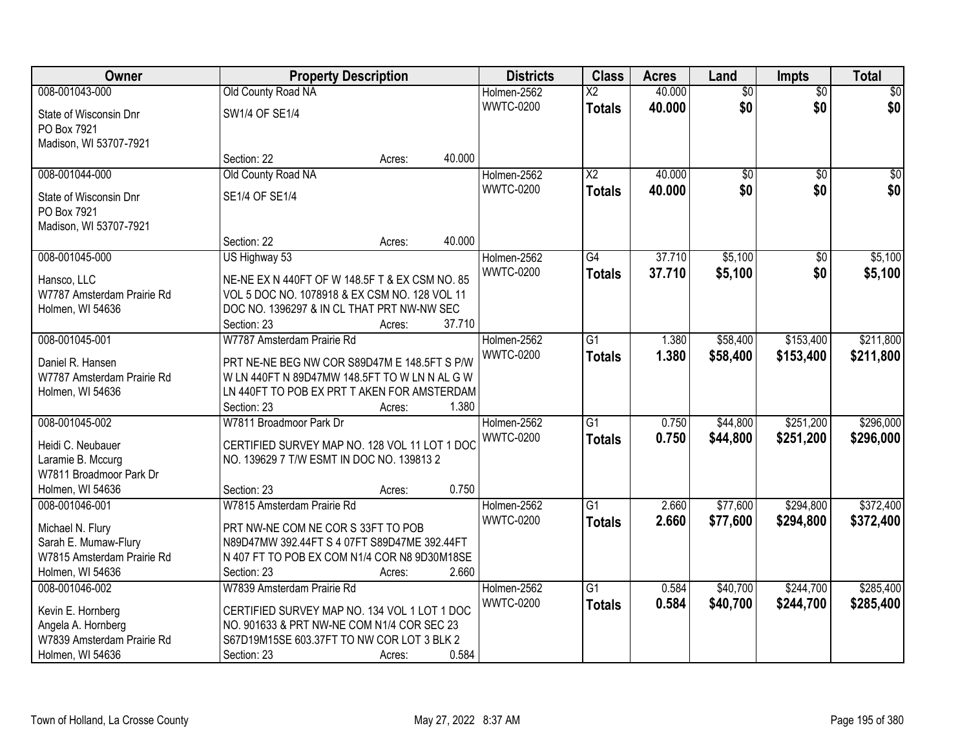| <b>Owner</b>                                   |                                                                                              | <b>Property Description</b> |        | <b>Districts</b> | <b>Class</b>             | <b>Acres</b> | Land            | <b>Impts</b>    | <b>Total</b>    |
|------------------------------------------------|----------------------------------------------------------------------------------------------|-----------------------------|--------|------------------|--------------------------|--------------|-----------------|-----------------|-----------------|
| 008-001043-000                                 | Old County Road NA                                                                           |                             |        | Holmen-2562      | $\overline{\mathsf{X2}}$ | 40.000       | $\overline{50}$ | $\overline{50}$ | $\overline{50}$ |
| State of Wisconsin Dnr                         | SW1/4 OF SE1/4                                                                               |                             |        | <b>WWTC-0200</b> | <b>Totals</b>            | 40.000       | \$0             | \$0             | \$0             |
| PO Box 7921                                    |                                                                                              |                             |        |                  |                          |              |                 |                 |                 |
| Madison, WI 53707-7921                         |                                                                                              |                             |        |                  |                          |              |                 |                 |                 |
|                                                | Section: 22                                                                                  | Acres:                      | 40.000 |                  |                          |              |                 |                 |                 |
| 008-001044-000                                 | Old County Road NA                                                                           |                             |        | Holmen-2562      | $\overline{\text{X2}}$   | 40.000       | \$0             | $\overline{50}$ | \$0             |
| State of Wisconsin Dnr                         | SE1/4 OF SE1/4                                                                               |                             |        | <b>WWTC-0200</b> | <b>Totals</b>            | 40.000       | \$0             | \$0             | \$0             |
| PO Box 7921                                    |                                                                                              |                             |        |                  |                          |              |                 |                 |                 |
| Madison, WI 53707-7921                         |                                                                                              |                             |        |                  |                          |              |                 |                 |                 |
|                                                | Section: 22                                                                                  | Acres:                      | 40.000 |                  |                          |              |                 |                 |                 |
| 008-001045-000                                 | US Highway 53                                                                                |                             |        | Holmen-2562      | G4                       | 37.710       | \$5,100         | $\overline{50}$ | \$5,100         |
| Hansco, LLC                                    | NE-NE EX N 440FT OF W 148.5F T & EX CSM NO. 85                                               |                             |        | <b>WWTC-0200</b> | <b>Totals</b>            | 37.710       | \$5,100         | \$0             | \$5,100         |
| W7787 Amsterdam Prairie Rd                     | VOL 5 DOC NO. 1078918 & EX CSM NO. 128 VOL 11                                                |                             |        |                  |                          |              |                 |                 |                 |
| Holmen, WI 54636                               | DOC NO. 1396297 & IN CL THAT PRT NW-NW SEC                                                   |                             |        |                  |                          |              |                 |                 |                 |
|                                                | Section: 23                                                                                  | Acres:                      | 37.710 |                  |                          |              |                 |                 |                 |
| 008-001045-001                                 | W7787 Amsterdam Prairie Rd                                                                   |                             |        | Holmen-2562      | $\overline{G1}$          | 1.380        | \$58,400        | \$153,400       | \$211,800       |
|                                                |                                                                                              |                             |        | <b>WWTC-0200</b> | <b>Totals</b>            | 1.380        | \$58,400        | \$153,400       | \$211,800       |
| Daniel R. Hansen<br>W7787 Amsterdam Prairie Rd | PRT NE-NE BEG NW COR S89D47M E 148.5FT S P/W                                                 |                             |        |                  |                          |              |                 |                 |                 |
| Holmen, WI 54636                               | W LN 440FT N 89D47MW 148.5FT TO W LN N AL G W<br>LN 440FT TO POB EX PRT T AKEN FOR AMSTERDAM |                             |        |                  |                          |              |                 |                 |                 |
|                                                | Section: 23                                                                                  | Acres:                      | 1.380  |                  |                          |              |                 |                 |                 |
| 008-001045-002                                 | W7811 Broadmoor Park Dr                                                                      |                             |        | Holmen-2562      | $\overline{G1}$          | 0.750        | \$44,800        | \$251,200       | \$296,000       |
|                                                |                                                                                              |                             |        | <b>WWTC-0200</b> | <b>Totals</b>            | 0.750        | \$44,800        | \$251,200       | \$296,000       |
| Heidi C. Neubauer                              | CERTIFIED SURVEY MAP NO. 128 VOL 11 LOT 1 DOC                                                |                             |        |                  |                          |              |                 |                 |                 |
| Laramie B. Mccurg                              | NO. 139629 7 T/W ESMT IN DOC NO. 139813 2                                                    |                             |        |                  |                          |              |                 |                 |                 |
| W7811 Broadmoor Park Dr<br>Holmen, WI 54636    | Section: 23                                                                                  |                             | 0.750  |                  |                          |              |                 |                 |                 |
| 008-001046-001                                 | W7815 Amsterdam Prairie Rd                                                                   | Acres:                      |        | Holmen-2562      | $\overline{G1}$          | 2.660        | \$77,600        | \$294,800       | \$372,400       |
|                                                |                                                                                              |                             |        | <b>WWTC-0200</b> | <b>Totals</b>            | 2.660        | \$77,600        | \$294,800       | \$372,400       |
| Michael N. Flury                               | PRT NW-NE COM NE COR S 33FT TO POB                                                           |                             |        |                  |                          |              |                 |                 |                 |
| Sarah E. Mumaw-Flury                           | N89D47MW 392.44FT S 4 07FT S89D47ME 392.44FT                                                 |                             |        |                  |                          |              |                 |                 |                 |
| W7815 Amsterdam Prairie Rd                     | N 407 FT TO POB EX COM N1/4 COR N8 9D30M18SE                                                 |                             |        |                  |                          |              |                 |                 |                 |
| Holmen, WI 54636                               | Section: 23                                                                                  | Acres:                      | 2.660  |                  |                          |              |                 |                 |                 |
| 008-001046-002                                 | W7839 Amsterdam Prairie Rd                                                                   |                             |        | Holmen-2562      | $\overline{G1}$          | 0.584        | \$40,700        | \$244,700       | \$285,400       |
| Kevin E. Hornberg                              | CERTIFIED SURVEY MAP NO. 134 VOL 1 LOT 1 DOC                                                 |                             |        | <b>WWTC-0200</b> | <b>Totals</b>            | 0.584        | \$40,700        | \$244,700       | \$285,400       |
| Angela A. Hornberg                             | NO. 901633 & PRT NW-NE COM N1/4 COR SEC 23                                                   |                             |        |                  |                          |              |                 |                 |                 |
| W7839 Amsterdam Prairie Rd                     | S67D19M15SE 603.37FT TO NW COR LOT 3 BLK 2                                                   |                             |        |                  |                          |              |                 |                 |                 |
| Holmen, WI 54636                               | Section: 23                                                                                  | Acres:                      | 0.584  |                  |                          |              |                 |                 |                 |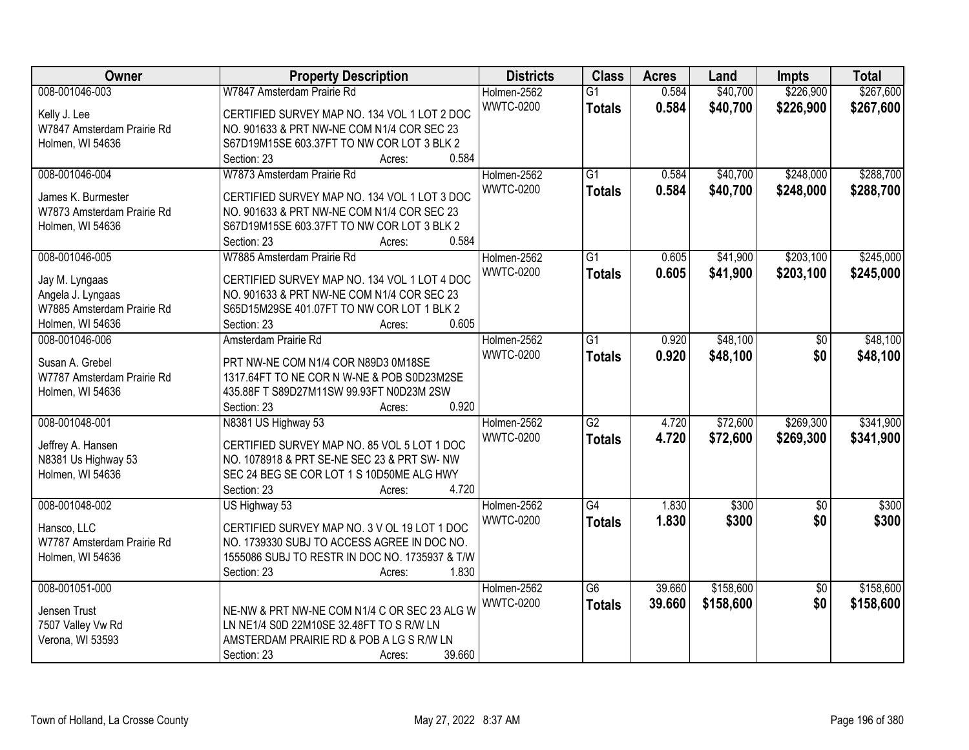| Owner                      | <b>Property Description</b>                       | <b>Districts</b> | <b>Class</b>    | <b>Acres</b> | Land      | <b>Impts</b>    | <b>Total</b> |
|----------------------------|---------------------------------------------------|------------------|-----------------|--------------|-----------|-----------------|--------------|
| 008-001046-003             | W7847 Amsterdam Prairie Rd                        | Holmen-2562      | $\overline{G1}$ | 0.584        | \$40,700  | \$226,900       | \$267,600    |
| Kelly J. Lee               | CERTIFIED SURVEY MAP NO. 134 VOL 1 LOT 2 DOC      | <b>WWTC-0200</b> | <b>Totals</b>   | 0.584        | \$40,700  | \$226,900       | \$267,600    |
| W7847 Amsterdam Prairie Rd | NO. 901633 & PRT NW-NE COM N1/4 COR SEC 23        |                  |                 |              |           |                 |              |
| Holmen, WI 54636           | S67D19M15SE 603.37FT TO NW COR LOT 3 BLK 2        |                  |                 |              |           |                 |              |
|                            | 0.584<br>Section: 23<br>Acres:                    |                  |                 |              |           |                 |              |
| 008-001046-004             | W7873 Amsterdam Prairie Rd                        | Holmen-2562      | $\overline{G1}$ | 0.584        | \$40,700  | \$248,000       | \$288,700    |
|                            |                                                   | <b>WWTC-0200</b> | <b>Totals</b>   | 0.584        | \$40,700  | \$248,000       | \$288,700    |
| James K. Burmester         | CERTIFIED SURVEY MAP NO. 134 VOL 1 LOT 3 DOC      |                  |                 |              |           |                 |              |
| W7873 Amsterdam Prairie Rd | NO. 901633 & PRT NW-NE COM N1/4 COR SEC 23        |                  |                 |              |           |                 |              |
| Holmen, WI 54636           | S67D19M15SE 603.37FT TO NW COR LOT 3 BLK 2        |                  |                 |              |           |                 |              |
|                            | 0.584<br>Section: 23<br>Acres:                    |                  |                 |              |           |                 |              |
| 008-001046-005             | W7885 Amsterdam Prairie Rd                        | Holmen-2562      | G1              | 0.605        | \$41,900  | \$203,100       | \$245,000    |
| Jay M. Lyngaas             | CERTIFIED SURVEY MAP NO. 134 VOL 1 LOT 4 DOC      | <b>WWTC-0200</b> | <b>Totals</b>   | 0.605        | \$41,900  | \$203,100       | \$245,000    |
| Angela J. Lyngaas          | NO. 901633 & PRT NW-NE COM N1/4 COR SEC 23        |                  |                 |              |           |                 |              |
| W7885 Amsterdam Prairie Rd | S65D15M29SE 401.07FT TO NW COR LOT 1 BLK 2        |                  |                 |              |           |                 |              |
| Holmen, WI 54636           | 0.605<br>Section: 23<br>Acres:                    |                  |                 |              |           |                 |              |
| 008-001046-006             | Amsterdam Prairie Rd                              | Holmen-2562      | $\overline{G1}$ | 0.920        | \$48,100  | \$0             | \$48,100     |
|                            |                                                   | <b>WWTC-0200</b> | <b>Totals</b>   | 0.920        | \$48,100  | \$0             | \$48,100     |
| Susan A. Grebel            | PRT NW-NE COM N1/4 COR N89D3 0M18SE               |                  |                 |              |           |                 |              |
| W7787 Amsterdam Prairie Rd | 1317.64FT TO NE COR N W-NE & POB S0D23M2SE        |                  |                 |              |           |                 |              |
| Holmen, WI 54636           | 435.88F T S89D27M11SW 99.93FT N0D23M 2SW<br>0.920 |                  |                 |              |           |                 |              |
|                            | Section: 23<br>Acres:                             |                  | $\overline{G2}$ | 4.720        | \$72,600  | \$269,300       |              |
| 008-001048-001             | N8381 US Highway 53                               | Holmen-2562      |                 |              |           |                 | \$341,900    |
| Jeffrey A. Hansen          | CERTIFIED SURVEY MAP NO. 85 VOL 5 LOT 1 DOC       | <b>WWTC-0200</b> | <b>Totals</b>   | 4.720        | \$72,600  | \$269,300       | \$341,900    |
| N8381 Us Highway 53        | NO. 1078918 & PRT SE-NE SEC 23 & PRT SW- NW       |                  |                 |              |           |                 |              |
| Holmen, WI 54636           | SEC 24 BEG SE COR LOT 1 S 10D50ME ALG HWY         |                  |                 |              |           |                 |              |
|                            | 4.720<br>Section: 23<br>Acres:                    |                  |                 |              |           |                 |              |
| 008-001048-002             | US Highway 53                                     | Holmen-2562      | $\overline{G4}$ | 1.830        | \$300     | $\overline{50}$ | \$300        |
| Hansco, LLC                | CERTIFIED SURVEY MAP NO. 3 V OL 19 LOT 1 DOC      | <b>WWTC-0200</b> | <b>Totals</b>   | 1.830        | \$300     | \$0             | \$300        |
| W7787 Amsterdam Prairie Rd | NO. 1739330 SUBJ TO ACCESS AGREE IN DOC NO.       |                  |                 |              |           |                 |              |
| Holmen, WI 54636           | 1555086 SUBJ TO RESTR IN DOC NO. 1735937 & T/W    |                  |                 |              |           |                 |              |
|                            | 1.830<br>Section: 23<br>Acres:                    |                  |                 |              |           |                 |              |
| 008-001051-000             |                                                   | Holmen-2562      | $\overline{G6}$ | 39.660       | \$158,600 | $\overline{50}$ | \$158,600    |
|                            |                                                   | <b>WWTC-0200</b> |                 | 39.660       |           | \$0             |              |
| Jensen Trust               | NE-NW & PRT NW-NE COM N1/4 C OR SEC 23 ALG W      |                  | <b>Totals</b>   |              | \$158,600 |                 | \$158,600    |
| 7507 Valley Vw Rd          | LN NE1/4 S0D 22M10SE 32.48FT TO S R/W LN          |                  |                 |              |           |                 |              |
| Verona, WI 53593           | AMSTERDAM PRAIRIE RD & POB A LG S R/W LN          |                  |                 |              |           |                 |              |
|                            | 39.660<br>Section: 23<br>Acres:                   |                  |                 |              |           |                 |              |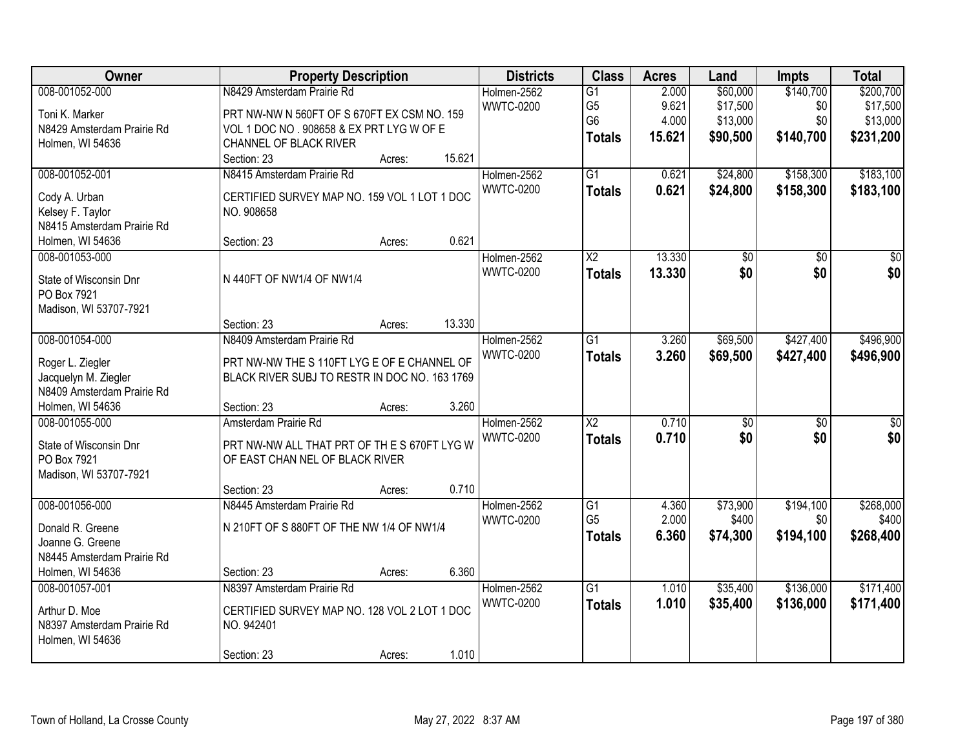| Owner                                                                                                        | <b>Property Description</b>                                                                                                                                                         | <b>Districts</b>                | <b>Class</b>                                                         | <b>Acres</b>                      | Land                                         | Impts                                | <b>Total</b>                                   |
|--------------------------------------------------------------------------------------------------------------|-------------------------------------------------------------------------------------------------------------------------------------------------------------------------------------|---------------------------------|----------------------------------------------------------------------|-----------------------------------|----------------------------------------------|--------------------------------------|------------------------------------------------|
| 008-001052-000<br>Toni K. Marker<br>N8429 Amsterdam Prairie Rd<br>Holmen, WI 54636                           | N8429 Amsterdam Prairie Rd<br>PRT NW-NW N 560FT OF S 670FT EX CSM NO. 159<br>VOL 1 DOC NO . 908658 & EX PRT LYG W OF E<br>CHANNEL OF BLACK RIVER<br>15.621<br>Section: 23<br>Acres: | Holmen-2562<br><b>WWTC-0200</b> | $\overline{G1}$<br>G <sub>5</sub><br>G <sub>6</sub><br><b>Totals</b> | 2.000<br>9.621<br>4.000<br>15.621 | \$60,000<br>\$17,500<br>\$13,000<br>\$90,500 | \$140,700<br>\$0<br>\$0<br>\$140,700 | \$200,700<br>\$17,500<br>\$13,000<br>\$231,200 |
| 008-001052-001<br>Cody A. Urban<br>Kelsey F. Taylor<br>N8415 Amsterdam Prairie Rd<br>Holmen, WI 54636        | N8415 Amsterdam Prairie Rd<br>CERTIFIED SURVEY MAP NO. 159 VOL 1 LOT 1 DOC<br>NO. 908658<br>0.621<br>Section: 23<br>Acres:                                                          | Holmen-2562<br><b>WWTC-0200</b> | $\overline{G1}$<br><b>Totals</b>                                     | 0.621<br>0.621                    | \$24,800<br>\$24,800                         | \$158,300<br>\$158,300               | \$183,100<br>\$183,100                         |
| 008-001053-000<br>State of Wisconsin Dnr<br>PO Box 7921<br>Madison, WI 53707-7921                            | N 440FT OF NW1/4 OF NW1/4<br>13.330<br>Section: 23<br>Acres:                                                                                                                        | Holmen-2562<br><b>WWTC-0200</b> | X2<br><b>Totals</b>                                                  | 13.330<br>13.330                  | \$0<br>\$0                                   | \$0<br>\$0                           | \$0<br>\$0                                     |
| 008-001054-000<br>Roger L. Ziegler<br>Jacquelyn M. Ziegler<br>N8409 Amsterdam Prairie Rd<br>Holmen, WI 54636 | N8409 Amsterdam Prairie Rd<br>PRT NW-NW THE S 110FT LYG E OF E CHANNEL OF<br>BLACK RIVER SUBJ TO RESTR IN DOC NO. 163 1769<br>3.260<br>Section: 23<br>Acres:                        | Holmen-2562<br><b>WWTC-0200</b> | $\overline{G1}$<br><b>Totals</b>                                     | 3.260<br>3.260                    | \$69,500<br>\$69,500                         | \$427,400<br>\$427,400               | \$496,900<br>\$496,900                         |
| 008-001055-000<br>State of Wisconsin Dnr<br>PO Box 7921<br>Madison, WI 53707-7921                            | Amsterdam Prairie Rd<br>PRT NW-NW ALL THAT PRT OF THES 670FT LYG W<br>OF EAST CHAN NEL OF BLACK RIVER<br>0.710<br>Section: 23<br>Acres:                                             | Holmen-2562<br><b>WWTC-0200</b> | $\overline{X2}$<br><b>Totals</b>                                     | 0.710<br>0.710                    | $\overline{30}$<br>\$0                       | $\overline{50}$<br>\$0               | $\overline{\$0}$<br>\$0                        |
| 008-001056-000<br>Donald R. Greene<br>Joanne G. Greene<br>N8445 Amsterdam Prairie Rd<br>Holmen, WI 54636     | N8445 Amsterdam Prairie Rd<br>N 210FT OF S 880FT OF THE NW 1/4 OF NW1/4<br>6.360<br>Section: 23<br>Acres:                                                                           | Holmen-2562<br><b>WWTC-0200</b> | $\overline{G1}$<br>G <sub>5</sub><br><b>Totals</b>                   | 4.360<br>2.000<br>6.360           | \$73,900<br>\$400<br>\$74,300                | \$194,100<br>\$0<br>\$194,100        | \$268,000<br>\$400<br>\$268,400                |
| 008-001057-001<br>Arthur D. Moe<br>N8397 Amsterdam Prairie Rd<br>Holmen, WI 54636                            | N8397 Amsterdam Prairie Rd<br>CERTIFIED SURVEY MAP NO. 128 VOL 2 LOT 1 DOC<br>NO. 942401<br>1.010<br>Section: 23<br>Acres:                                                          | Holmen-2562<br><b>WWTC-0200</b> | G1<br><b>Totals</b>                                                  | 1.010<br>1.010                    | \$35,400<br>\$35,400                         | \$136,000<br>\$136,000               | \$171,400<br>\$171,400                         |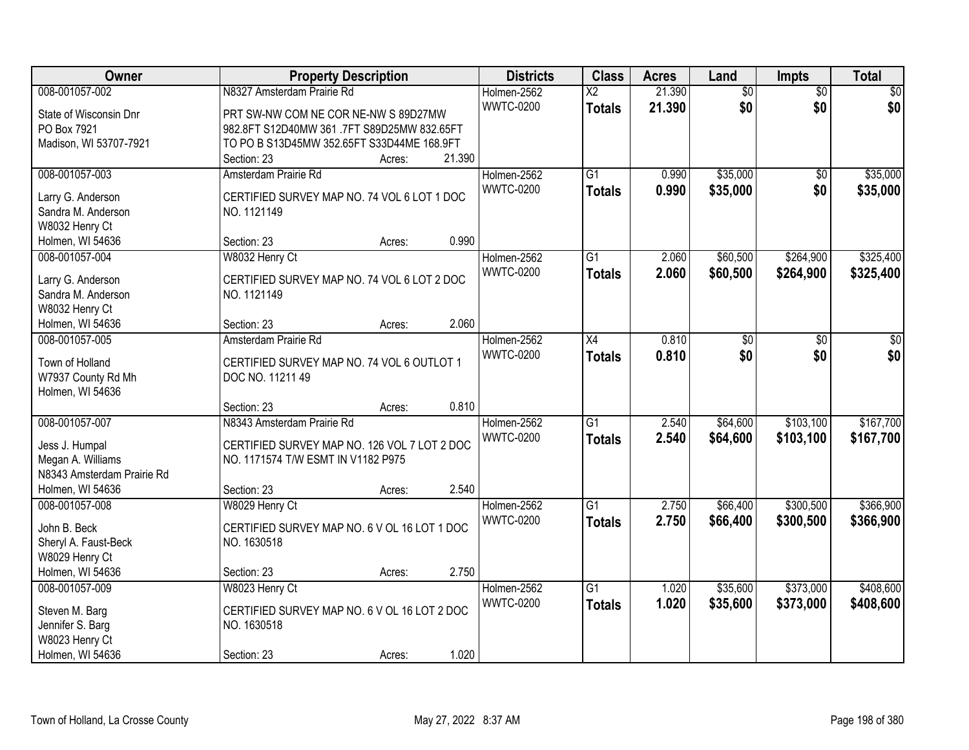| Owner                                   | <b>Property Description</b>                                |        |        | <b>Districts</b> | <b>Class</b>             | <b>Acres</b> | Land            | Impts           | <b>Total</b> |
|-----------------------------------------|------------------------------------------------------------|--------|--------|------------------|--------------------------|--------------|-----------------|-----------------|--------------|
| 008-001057-002                          | N8327 Amsterdam Prairie Rd                                 |        |        | Holmen-2562      | $\overline{\mathsf{X2}}$ | 21.390       | $\overline{50}$ | $\overline{30}$ | \$0          |
| State of Wisconsin Dnr                  | PRT SW-NW COM NE COR NE-NW S 89D27MW                       |        |        | <b>WWTC-0200</b> | <b>Totals</b>            | 21.390       | \$0             | \$0             | \$0          |
| PO Box 7921                             | 982.8FT S12D40MW 361 .7FT S89D25MW 832.65FT                |        |        |                  |                          |              |                 |                 |              |
| Madison, WI 53707-7921                  | TO PO B S13D45MW 352.65FT S33D44ME 168.9FT                 |        |        |                  |                          |              |                 |                 |              |
|                                         | Section: 23                                                | Acres: | 21.390 |                  |                          |              |                 |                 |              |
| 008-001057-003                          | Amsterdam Prairie Rd                                       |        |        | Holmen-2562      | $\overline{G1}$          | 0.990        | \$35,000        | $\overline{50}$ | \$35,000     |
|                                         |                                                            |        |        | <b>WWTC-0200</b> | <b>Totals</b>            | 0.990        | \$35,000        | \$0             | \$35,000     |
| Larry G. Anderson<br>Sandra M. Anderson | CERTIFIED SURVEY MAP NO. 74 VOL 6 LOT 1 DOC<br>NO. 1121149 |        |        |                  |                          |              |                 |                 |              |
| W8032 Henry Ct                          |                                                            |        |        |                  |                          |              |                 |                 |              |
| Holmen, WI 54636                        | Section: 23                                                | Acres: | 0.990  |                  |                          |              |                 |                 |              |
| 008-001057-004                          | W8032 Henry Ct                                             |        |        | Holmen-2562      | G1                       | 2.060        | \$60,500        | \$264,900       | \$325,400    |
|                                         |                                                            |        |        | <b>WWTC-0200</b> |                          | 2.060        | \$60,500        | \$264,900       | \$325,400    |
| Larry G. Anderson                       | CERTIFIED SURVEY MAP NO. 74 VOL 6 LOT 2 DOC                |        |        |                  | <b>Totals</b>            |              |                 |                 |              |
| Sandra M. Anderson                      | NO. 1121149                                                |        |        |                  |                          |              |                 |                 |              |
| W8032 Henry Ct                          |                                                            |        |        |                  |                          |              |                 |                 |              |
| Holmen, WI 54636                        | Section: 23                                                | Acres: | 2.060  |                  |                          |              |                 |                 |              |
| 008-001057-005                          | Amsterdam Prairie Rd                                       |        |        | Holmen-2562      | $\overline{X4}$          | 0.810        | \$0             | \$0             | \$0          |
| Town of Holland                         | CERTIFIED SURVEY MAP NO. 74 VOL 6 OUTLOT 1                 |        |        | <b>WWTC-0200</b> | <b>Totals</b>            | 0.810        | \$0             | \$0             | \$0          |
| W7937 County Rd Mh                      | DOC NO. 11211 49                                           |        |        |                  |                          |              |                 |                 |              |
| Holmen, WI 54636                        |                                                            |        |        |                  |                          |              |                 |                 |              |
|                                         | Section: 23                                                | Acres: | 0.810  |                  |                          |              |                 |                 |              |
| 008-001057-007                          | N8343 Amsterdam Prairie Rd                                 |        |        | Holmen-2562      | $\overline{G1}$          | 2.540        | \$64,600        | \$103,100       | \$167,700    |
|                                         |                                                            |        |        | <b>WWTC-0200</b> | <b>Totals</b>            | 2.540        | \$64,600        | \$103,100       | \$167,700    |
| Jess J. Humpal                          | CERTIFIED SURVEY MAP NO. 126 VOL 7 LOT 2 DOC               |        |        |                  |                          |              |                 |                 |              |
| Megan A. Williams                       | NO. 1171574 T/W ESMT IN V1182 P975                         |        |        |                  |                          |              |                 |                 |              |
| N8343 Amsterdam Prairie Rd              |                                                            |        |        |                  |                          |              |                 |                 |              |
| Holmen, WI 54636                        | Section: 23                                                | Acres: | 2.540  |                  |                          |              |                 |                 |              |
| 008-001057-008                          | W8029 Henry Ct                                             |        |        | Holmen-2562      | $\overline{G1}$          | 2.750        | \$66,400        | \$300,500       | \$366,900    |
| John B. Beck                            | CERTIFIED SURVEY MAP NO. 6 V OL 16 LOT 1 DOC               |        |        | <b>WWTC-0200</b> | <b>Totals</b>            | 2.750        | \$66,400        | \$300,500       | \$366,900    |
| Sheryl A. Faust-Beck                    | NO. 1630518                                                |        |        |                  |                          |              |                 |                 |              |
| W8029 Henry Ct                          |                                                            |        |        |                  |                          |              |                 |                 |              |
| Holmen, WI 54636                        | Section: 23                                                | Acres: | 2.750  |                  |                          |              |                 |                 |              |
| 008-001057-009                          | W8023 Henry Ct                                             |        |        | Holmen-2562      | $\overline{G1}$          | 1.020        | \$35,600        | \$373,000       | \$408,600    |
| Steven M. Barg                          | CERTIFIED SURVEY MAP NO. 6 V OL 16 LOT 2 DOC               |        |        | <b>WWTC-0200</b> | <b>Totals</b>            | 1.020        | \$35,600        | \$373,000       | \$408,600    |
| Jennifer S. Barg                        | NO. 1630518                                                |        |        |                  |                          |              |                 |                 |              |
| W8023 Henry Ct                          |                                                            |        |        |                  |                          |              |                 |                 |              |
| Holmen, WI 54636                        | Section: 23                                                | Acres: | 1.020  |                  |                          |              |                 |                 |              |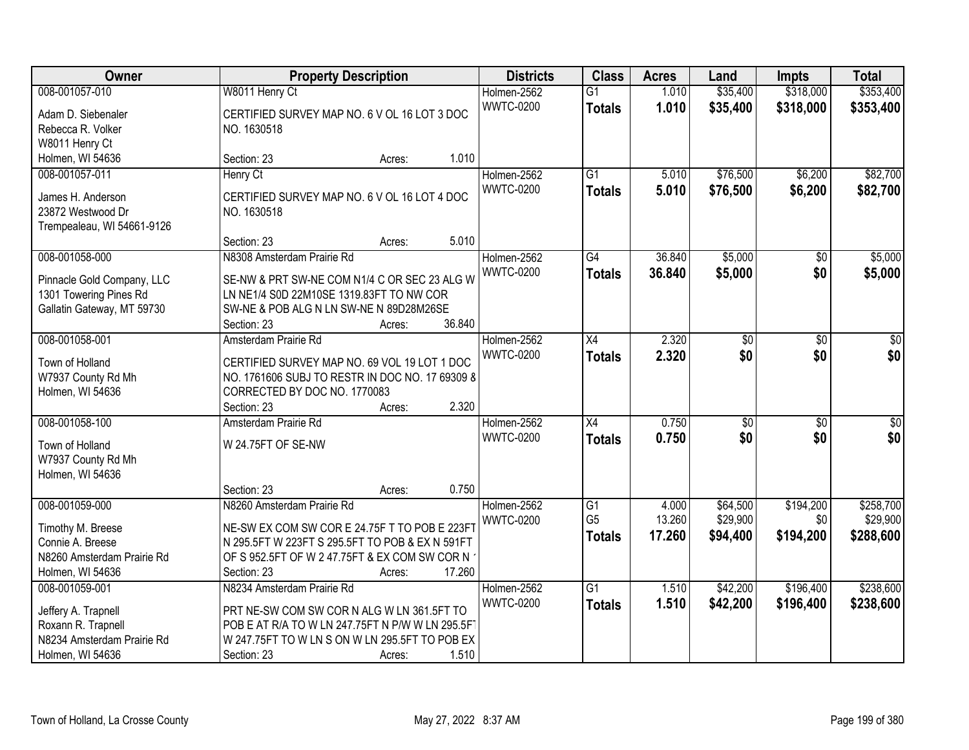| Owner                      | <b>Property Description</b>                     |        | <b>Districts</b> | <b>Class</b>                      | <b>Acres</b>    | Land                 | <b>Impts</b>    | <b>Total</b>          |
|----------------------------|-------------------------------------------------|--------|------------------|-----------------------------------|-----------------|----------------------|-----------------|-----------------------|
| 008-001057-010             | W8011 Henry Ct                                  |        | Holmen-2562      | $\overline{G1}$                   | 1.010           | \$35,400             | \$318,000       | \$353,400             |
| Adam D. Siebenaler         | CERTIFIED SURVEY MAP NO. 6 V OL 16 LOT 3 DOC    |        | <b>WWTC-0200</b> | <b>Totals</b>                     | 1.010           | \$35,400             | \$318,000       | \$353,400             |
| Rebecca R. Volker          | NO. 1630518                                     |        |                  |                                   |                 |                      |                 |                       |
| W8011 Henry Ct             |                                                 |        |                  |                                   |                 |                      |                 |                       |
| Holmen, WI 54636           | Section: 23<br>Acres:                           | 1.010  |                  |                                   |                 |                      |                 |                       |
| 008-001057-011             | Henry Ct                                        |        | Holmen-2562      | $\overline{G1}$                   | 5.010           | \$76,500             | \$6,200         | \$82,700              |
|                            |                                                 |        | <b>WWTC-0200</b> | <b>Totals</b>                     | 5.010           | \$76,500             | \$6,200         | \$82,700              |
| James H. Anderson          | CERTIFIED SURVEY MAP NO. 6 V OL 16 LOT 4 DOC    |        |                  |                                   |                 |                      |                 |                       |
| 23872 Westwood Dr          | NO. 1630518                                     |        |                  |                                   |                 |                      |                 |                       |
| Trempealeau, WI 54661-9126 |                                                 | 5.010  |                  |                                   |                 |                      |                 |                       |
|                            | Section: 23<br>Acres:                           |        |                  |                                   |                 |                      |                 |                       |
| 008-001058-000             | N8308 Amsterdam Prairie Rd                      |        | Holmen-2562      | $\overline{G4}$                   | 36.840          | \$5,000              | \$0             | \$5,000               |
| Pinnacle Gold Company, LLC | SE-NW & PRT SW-NE COM N1/4 C OR SEC 23 ALG W    |        | <b>WWTC-0200</b> | <b>Totals</b>                     | 36.840          | \$5,000              | \$0             | \$5,000               |
| 1301 Towering Pines Rd     | LN NE1/4 S0D 22M10SE 1319.83FT TO NW COR        |        |                  |                                   |                 |                      |                 |                       |
| Gallatin Gateway, MT 59730 | SW-NE & POB ALG N LN SW-NE N 89D28M26SE         |        |                  |                                   |                 |                      |                 |                       |
|                            | Section: 23<br>Acres:                           | 36.840 |                  |                                   |                 |                      |                 |                       |
| 008-001058-001             | Amsterdam Prairie Rd                            |        | Holmen-2562      | X4                                | 2.320           | \$0                  | $\sqrt[6]{}$    | \$0                   |
| Town of Holland            | CERTIFIED SURVEY MAP NO. 69 VOL 19 LOT 1 DOC    |        | <b>WWTC-0200</b> | <b>Totals</b>                     | 2.320           | \$0                  | \$0             | \$0                   |
| W7937 County Rd Mh         | NO. 1761606 SUBJ TO RESTR IN DOC NO. 17 69309 8 |        |                  |                                   |                 |                      |                 |                       |
| Holmen, WI 54636           | CORRECTED BY DOC NO. 1770083                    |        |                  |                                   |                 |                      |                 |                       |
|                            | Section: 23<br>Acres:                           | 2.320  |                  |                                   |                 |                      |                 |                       |
| 008-001058-100             | Amsterdam Prairie Rd                            |        | Holmen-2562      | $\overline{X4}$                   | 0.750           | $\overline{50}$      | $\overline{30}$ | $\overline{\$0}$      |
|                            |                                                 |        | <b>WWTC-0200</b> | <b>Totals</b>                     | 0.750           | \$0                  | \$0             | \$0                   |
| Town of Holland            | W 24.75FT OF SE-NW                              |        |                  |                                   |                 |                      |                 |                       |
| W7937 County Rd Mh         |                                                 |        |                  |                                   |                 |                      |                 |                       |
| Holmen, WI 54636           |                                                 |        |                  |                                   |                 |                      |                 |                       |
|                            | Section: 23<br>Acres:                           | 0.750  |                  |                                   |                 |                      |                 |                       |
| 008-001059-000             | N8260 Amsterdam Prairie Rd                      |        | Holmen-2562      | $\overline{G1}$<br>G <sub>5</sub> | 4.000<br>13.260 | \$64,500<br>\$29,900 | \$194,200       | \$258,700<br>\$29,900 |
| Timothy M. Breese          | NE-SW EX COM SW COR E 24.75F T TO POB E 223FT   |        | <b>WWTC-0200</b> |                                   |                 |                      | \$0             |                       |
| Connie A. Breese           | N 295.5FT W 223FT S 295.5FT TO POB & EX N 591FT |        |                  | <b>Totals</b>                     | 17.260          | \$94,400             | \$194,200       | \$288,600             |
| N8260 Amsterdam Prairie Rd | OF S 952.5FT OF W 2 47.75FT & EX COM SW COR N   |        |                  |                                   |                 |                      |                 |                       |
| Holmen, WI 54636           | Section: 23<br>Acres:                           | 17.260 |                  |                                   |                 |                      |                 |                       |
| 008-001059-001             | N8234 Amsterdam Prairie Rd                      |        | Holmen-2562      | $\overline{G1}$                   | 1.510           | \$42,200             | \$196,400       | \$238,600             |
| Jeffery A. Trapnell        | PRT NE-SW COM SW COR N ALG W LN 361.5FT TO      |        | <b>WWTC-0200</b> | <b>Totals</b>                     | 1.510           | \$42,200             | \$196,400       | \$238,600             |
| Roxann R. Trapnell         | POB E AT R/A TO W LN 247.75FT N P/W W LN 295.5F |        |                  |                                   |                 |                      |                 |                       |
| N8234 Amsterdam Prairie Rd | W 247.75FT TO W LN S ON W LN 295.5FT TO POB EX  |        |                  |                                   |                 |                      |                 |                       |
| Holmen, WI 54636           | Section: 23<br>Acres:                           | 1.510  |                  |                                   |                 |                      |                 |                       |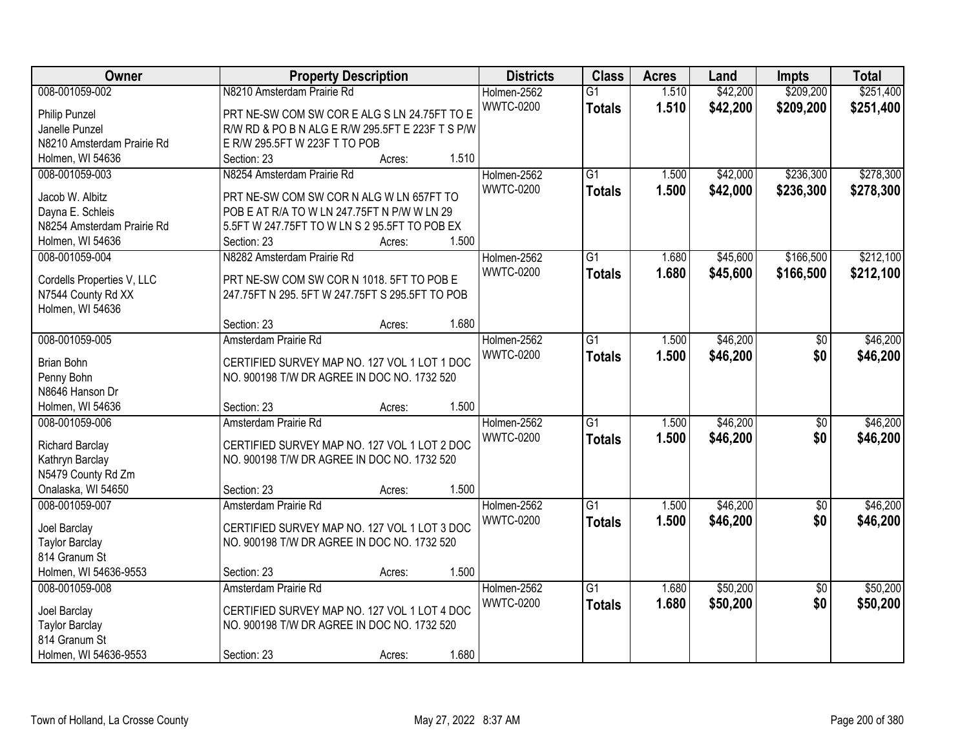| Owner                      | <b>Property Description</b>                      | <b>Districts</b> | <b>Class</b>    | <b>Acres</b> | Land     | <b>Impts</b>    | <b>Total</b> |
|----------------------------|--------------------------------------------------|------------------|-----------------|--------------|----------|-----------------|--------------|
| 008-001059-002             | N8210 Amsterdam Prairie Rd                       | Holmen-2562      | $\overline{G1}$ | 1.510        | \$42,200 | \$209,200       | \$251,400    |
| Philip Punzel              | PRT NE-SW COM SW COR E ALG S LN 24.75FT TO E     | <b>WWTC-0200</b> | <b>Totals</b>   | 1.510        | \$42,200 | \$209,200       | \$251,400    |
| Janelle Punzel             | R/W RD & PO B N ALG E R/W 295.5FT E 223F T S P/W |                  |                 |              |          |                 |              |
| N8210 Amsterdam Prairie Rd | E R/W 295.5FT W 223F T TO POB                    |                  |                 |              |          |                 |              |
| Holmen, WI 54636           | Section: 23<br>Acres:                            | 1.510            |                 |              |          |                 |              |
| 008-001059-003             | N8254 Amsterdam Prairie Rd                       | Holmen-2562      | $\overline{G1}$ | 1.500        | \$42,000 | \$236,300       | \$278,300    |
|                            |                                                  | <b>WWTC-0200</b> | <b>Totals</b>   | 1.500        | \$42,000 | \$236,300       | \$278,300    |
| Jacob W. Albitz            | PRT NE-SW COM SW COR N ALG W LN 657FT TO         |                  |                 |              |          |                 |              |
| Dayna E. Schleis           | POB E AT R/A TO W LN 247.75FT N P/W W LN 29      |                  |                 |              |          |                 |              |
| N8254 Amsterdam Prairie Rd | 5.5FT W 247.75FT TO W LN S 2 95.5FT TO POB EX    |                  |                 |              |          |                 |              |
| Holmen, WI 54636           | Section: 23<br>Acres:                            | 1.500            |                 |              |          |                 |              |
| 008-001059-004             | N8282 Amsterdam Prairie Rd                       | Holmen-2562      | G1              | 1.680        | \$45,600 | \$166,500       | \$212,100    |
|                            |                                                  | <b>WWTC-0200</b> | <b>Totals</b>   | 1.680        | \$45,600 | \$166,500       | \$212,100    |
| Cordells Properties V, LLC | PRT NE-SW COM SW COR N 1018. 5FT TO POB E        |                  |                 |              |          |                 |              |
| N7544 County Rd XX         | 247.75FT N 295.5FT W 247.75FT S 295.5FT TO POB   |                  |                 |              |          |                 |              |
| Holmen, WI 54636           |                                                  | 1.680            |                 |              |          |                 |              |
|                            | Section: 23<br>Acres:                            |                  |                 |              |          |                 |              |
| 008-001059-005             | Amsterdam Prairie Rd                             | Holmen-2562      | $\overline{G1}$ | 1.500        | \$46,200 | \$0             | \$46,200     |
| <b>Brian Bohn</b>          | CERTIFIED SURVEY MAP NO. 127 VOL 1 LOT 1 DOC     | <b>WWTC-0200</b> | <b>Totals</b>   | 1.500        | \$46,200 | \$0             | \$46,200     |
| Penny Bohn                 | NO. 900198 T/W DR AGREE IN DOC NO. 1732 520      |                  |                 |              |          |                 |              |
| N8646 Hanson Dr            |                                                  |                  |                 |              |          |                 |              |
| Holmen, WI 54636           | Section: 23<br>Acres:                            | 1.500            |                 |              |          |                 |              |
| 008-001059-006             | Amsterdam Prairie Rd                             | Holmen-2562      | $\overline{G1}$ | 1.500        | \$46,200 | $\overline{50}$ | \$46,200     |
|                            |                                                  | <b>WWTC-0200</b> | <b>Totals</b>   | 1.500        | \$46,200 | \$0             | \$46,200     |
| <b>Richard Barclay</b>     | CERTIFIED SURVEY MAP NO. 127 VOL 1 LOT 2 DOC     |                  |                 |              |          |                 |              |
| Kathryn Barclay            | NO. 900198 T/W DR AGREE IN DOC NO. 1732 520      |                  |                 |              |          |                 |              |
| N5479 County Rd Zm         |                                                  |                  |                 |              |          |                 |              |
| Onalaska, WI 54650         | Section: 23<br>Acres:                            | 1.500            |                 |              |          |                 |              |
| 008-001059-007             | Amsterdam Prairie Rd                             | Holmen-2562      | $\overline{G1}$ | 1.500        | \$46,200 | $\overline{50}$ | \$46,200     |
| Joel Barclay               | CERTIFIED SURVEY MAP NO. 127 VOL 1 LOT 3 DOC     | <b>WWTC-0200</b> | <b>Totals</b>   | 1.500        | \$46,200 | \$0             | \$46,200     |
| <b>Taylor Barclay</b>      | NO. 900198 T/W DR AGREE IN DOC NO. 1732 520      |                  |                 |              |          |                 |              |
| 814 Granum St              |                                                  |                  |                 |              |          |                 |              |
| Holmen, WI 54636-9553      |                                                  | 1.500            |                 |              |          |                 |              |
|                            | Section: 23<br>Acres:                            |                  |                 |              |          |                 |              |
| 008-001059-008             | Amsterdam Prairie Rd                             | Holmen-2562      | $\overline{G1}$ | 1.680        | \$50,200 | $\overline{50}$ | \$50,200     |
| Joel Barclay               | CERTIFIED SURVEY MAP NO. 127 VOL 1 LOT 4 DOC     | <b>WWTC-0200</b> | <b>Totals</b>   | 1.680        | \$50,200 | \$0             | \$50,200     |
| <b>Taylor Barclay</b>      | NO. 900198 T/W DR AGREE IN DOC NO. 1732 520      |                  |                 |              |          |                 |              |
| 814 Granum St              |                                                  |                  |                 |              |          |                 |              |
| Holmen, WI 54636-9553      | Section: 23<br>Acres:                            | 1.680            |                 |              |          |                 |              |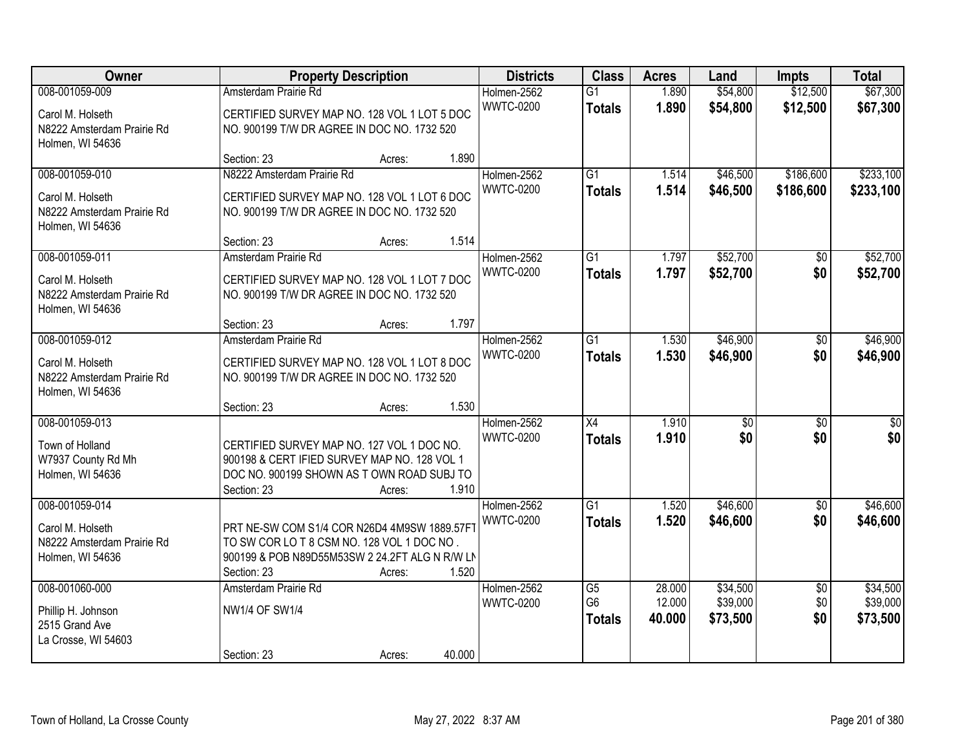| Owner                                                                                |                                                                                                                                                            | <b>Property Description</b> |        | <b>Districts</b>                | <b>Class</b>                                       | <b>Acres</b>               | Land                             | <b>Impts</b>                  | <b>Total</b>                     |
|--------------------------------------------------------------------------------------|------------------------------------------------------------------------------------------------------------------------------------------------------------|-----------------------------|--------|---------------------------------|----------------------------------------------------|----------------------------|----------------------------------|-------------------------------|----------------------------------|
| 008-001059-009<br>Carol M. Holseth<br>N8222 Amsterdam Prairie Rd<br>Holmen, WI 54636 | Amsterdam Prairie Rd<br>CERTIFIED SURVEY MAP NO. 128 VOL 1 LOT 5 DOC<br>NO. 900199 T/W DR AGREE IN DOC NO. 1732 520                                        |                             |        | Holmen-2562<br><b>WWTC-0200</b> | $\overline{G1}$<br><b>Totals</b>                   | 1.890<br>1.890             | \$54,800<br>\$54,800             | \$12,500<br>\$12,500          | \$67,300<br>\$67,300             |
|                                                                                      | Section: 23                                                                                                                                                | Acres:                      | 1.890  |                                 |                                                    |                            |                                  |                               |                                  |
| 008-001059-010<br>Carol M. Holseth<br>N8222 Amsterdam Prairie Rd<br>Holmen, WI 54636 | N8222 Amsterdam Prairie Rd<br>CERTIFIED SURVEY MAP NO. 128 VOL 1 LOT 6 DOC<br>NO. 900199 T/W DR AGREE IN DOC NO. 1732 520<br>Section: 23                   | Acres:                      | 1.514  | Holmen-2562<br><b>WWTC-0200</b> | $\overline{G1}$<br><b>Totals</b>                   | 1.514<br>1.514             | \$46,500<br>\$46,500             | \$186,600<br>\$186,600        | \$233,100<br>\$233,100           |
| 008-001059-011                                                                       | Amsterdam Prairie Rd                                                                                                                                       |                             |        | Holmen-2562                     | $\overline{G1}$                                    | 1.797                      | \$52,700                         | \$0                           | \$52,700                         |
| Carol M. Holseth<br>N8222 Amsterdam Prairie Rd<br>Holmen, WI 54636                   | CERTIFIED SURVEY MAP NO. 128 VOL 1 LOT 7 DOC<br>NO. 900199 T/W DR AGREE IN DOC NO. 1732 520                                                                |                             |        | <b>WWTC-0200</b>                | <b>Totals</b>                                      | 1.797                      | \$52,700                         | \$0                           | \$52,700                         |
|                                                                                      | Section: 23                                                                                                                                                | Acres:                      | 1.797  |                                 |                                                    |                            |                                  |                               |                                  |
| 008-001059-012<br>Carol M. Holseth<br>N8222 Amsterdam Prairie Rd<br>Holmen, WI 54636 | Amsterdam Prairie Rd<br>CERTIFIED SURVEY MAP NO. 128 VOL 1 LOT 8 DOC<br>NO. 900199 T/W DR AGREE IN DOC NO. 1732 520                                        |                             |        | Holmen-2562<br><b>WWTC-0200</b> | $\overline{G1}$<br><b>Totals</b>                   | 1.530<br>1.530             | \$46,900<br>\$46,900             | \$0<br>\$0                    | \$46,900<br>\$46,900             |
|                                                                                      | Section: 23                                                                                                                                                | Acres:                      | 1.530  |                                 |                                                    |                            |                                  |                               |                                  |
| 008-001059-013<br>Town of Holland<br>W7937 County Rd Mh<br>Holmen, WI 54636          | CERTIFIED SURVEY MAP NO. 127 VOL 1 DOC NO.<br>900198 & CERT IFIED SURVEY MAP NO. 128 VOL 1<br>DOC NO. 900199 SHOWN AS TOWN ROAD SUBJ TO<br>Section: 23     | Acres:                      | 1.910  | Holmen-2562<br><b>WWTC-0200</b> | $\overline{X4}$<br><b>Totals</b>                   | 1.910<br>1.910             | $\overline{50}$<br>\$0           | $\overline{50}$<br>\$0        | $\overline{50}$<br>\$0           |
| 008-001059-014                                                                       |                                                                                                                                                            |                             |        | Holmen-2562                     | $\overline{G1}$                                    | 1.520                      | \$46,600                         | $\sqrt{6}$                    | \$46,600                         |
| Carol M. Holseth<br>N8222 Amsterdam Prairie Rd<br>Holmen, WI 54636                   | PRT NE-SW COM S1/4 COR N26D4 4M9SW 1889.57F1<br>TO SW COR LOT 8 CSM NO. 128 VOL 1 DOC NO.<br>900199 & POB N89D55M53SW 2 24.2FT ALG N R/W LN<br>Section: 23 | Acres:                      | 1.520  | <b>WWTC-0200</b>                | <b>Totals</b>                                      | 1.520                      | \$46,600                         | \$0                           | \$46,600                         |
| 008-001060-000<br>Phillip H. Johnson<br>2515 Grand Ave<br>La Crosse, WI 54603        | Amsterdam Prairie Rd<br><b>NW1/4 OF SW1/4</b><br>Section: 23                                                                                               | Acres:                      | 40.000 | Holmen-2562<br><b>WWTC-0200</b> | $\overline{G5}$<br>G <sub>6</sub><br><b>Totals</b> | 28.000<br>12.000<br>40.000 | \$34,500<br>\$39,000<br>\$73,500 | $\overline{50}$<br>\$0<br>\$0 | \$34,500<br>\$39,000<br>\$73,500 |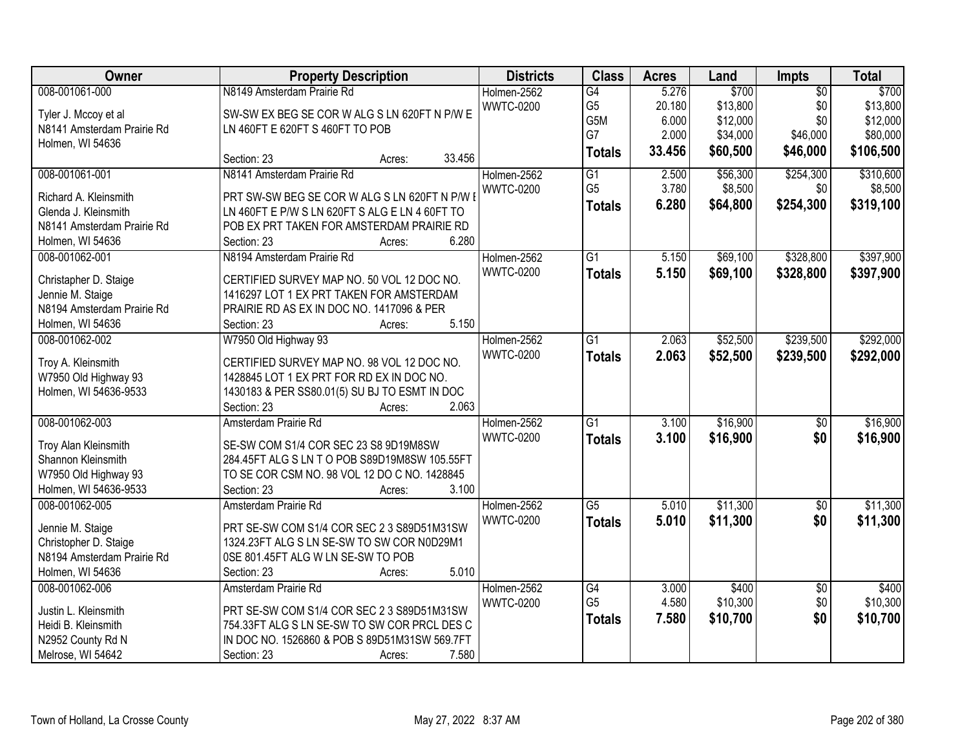| Owner                      | <b>Property Description</b>                    | <b>Districts</b> | <b>Class</b>    | <b>Acres</b> | Land     | Impts           | <b>Total</b> |
|----------------------------|------------------------------------------------|------------------|-----------------|--------------|----------|-----------------|--------------|
| 008-001061-000             | N8149 Amsterdam Prairie Rd                     | Holmen-2562      | G4              | 5.276        | \$700    | $\overline{50}$ | \$700        |
| Tyler J. Mccoy et al       | SW-SW EX BEG SE COR W ALG S LN 620FT N P/W E   | <b>WWTC-0200</b> | G <sub>5</sub>  | 20.180       | \$13,800 | \$0             | \$13,800     |
| N8141 Amsterdam Prairie Rd | LN 460FT E 620FT S 460FT TO POB                |                  | G5M             | 6.000        | \$12,000 | \$0             | \$12,000     |
| Holmen, WI 54636           |                                                |                  | G7              | 2.000        | \$34,000 | \$46,000        | \$80,000     |
|                            | 33.456<br>Section: 23<br>Acres:                |                  | <b>Totals</b>   | 33.456       | \$60,500 | \$46,000        | \$106,500    |
| 008-001061-001             | N8141 Amsterdam Prairie Rd                     | Holmen-2562      | $\overline{G1}$ | 2.500        | \$56,300 | \$254,300       | \$310,600    |
| Richard A. Kleinsmith      | PRT SW-SW BEG SE COR W ALG S LN 620FT N P/W I  | <b>WWTC-0200</b> | G <sub>5</sub>  | 3.780        | \$8,500  | \$0             | \$8,500      |
| Glenda J. Kleinsmith       | LN 460FT E P/W S LN 620FT S ALG E LN 4 60FT TO |                  | <b>Totals</b>   | 6.280        | \$64,800 | \$254,300       | \$319,100    |
| N8141 Amsterdam Prairie Rd | POB EX PRT TAKEN FOR AMSTERDAM PRAIRIE RD      |                  |                 |              |          |                 |              |
| Holmen, WI 54636           | 6.280<br>Section: 23<br>Acres:                 |                  |                 |              |          |                 |              |
| 008-001062-001             | N8194 Amsterdam Prairie Rd                     | Holmen-2562      | $\overline{G1}$ | 5.150        | \$69,100 | \$328,800       | \$397,900    |
|                            |                                                | <b>WWTC-0200</b> | <b>Totals</b>   | 5.150        | \$69,100 | \$328,800       | \$397,900    |
| Christapher D. Staige      | CERTIFIED SURVEY MAP NO. 50 VOL 12 DOC NO.     |                  |                 |              |          |                 |              |
| Jennie M. Staige           | 1416297 LOT 1 EX PRT TAKEN FOR AMSTERDAM       |                  |                 |              |          |                 |              |
| N8194 Amsterdam Prairie Rd | PRAIRIE RD AS EX IN DOC NO. 1417096 & PER      |                  |                 |              |          |                 |              |
| Holmen, WI 54636           | 5.150<br>Section: 23<br>Acres:                 |                  |                 |              |          |                 |              |
| 008-001062-002             | W7950 Old Highway 93                           | Holmen-2562      | $\overline{G1}$ | 2.063        | \$52,500 | \$239,500       | \$292,000    |
| Troy A. Kleinsmith         | CERTIFIED SURVEY MAP NO. 98 VOL 12 DOC NO.     | <b>WWTC-0200</b> | <b>Totals</b>   | 2.063        | \$52,500 | \$239,500       | \$292,000    |
| W7950 Old Highway 93       | 1428845 LOT 1 EX PRT FOR RD EX IN DOC NO.      |                  |                 |              |          |                 |              |
| Holmen, WI 54636-9533      | 1430183 & PER SS80.01(5) SU BJ TO ESMT IN DOC  |                  |                 |              |          |                 |              |
|                            | 2.063<br>Section: 23<br>Acres:                 |                  |                 |              |          |                 |              |
| 008-001062-003             | Amsterdam Prairie Rd                           | Holmen-2562      | $\overline{G1}$ | 3.100        | \$16,900 | $\overline{50}$ | \$16,900     |
|                            |                                                | <b>WWTC-0200</b> | <b>Totals</b>   | 3.100        | \$16,900 | \$0             | \$16,900     |
| Troy Alan Kleinsmith       | SE-SW COM S1/4 COR SEC 23 S8 9D19M8SW          |                  |                 |              |          |                 |              |
| Shannon Kleinsmith         | 284.45FT ALG S LN T O POB S89D19M8SW 105.55FT  |                  |                 |              |          |                 |              |
| W7950 Old Highway 93       | TO SE COR CSM NO. 98 VOL 12 DO C NO. 1428845   |                  |                 |              |          |                 |              |
| Holmen, WI 54636-9533      | 3.100<br>Section: 23<br>Acres:                 |                  |                 |              |          |                 |              |
| 008-001062-005             | Amsterdam Prairie Rd                           | Holmen-2562      | $\overline{G5}$ | 5.010        | \$11,300 | $\overline{60}$ | \$11,300     |
| Jennie M. Staige           | PRT SE-SW COM S1/4 COR SEC 2 3 S89D51M31SW     | <b>WWTC-0200</b> | <b>Totals</b>   | 5.010        | \$11,300 | \$0             | \$11,300     |
| Christopher D. Staige      | 1324.23FT ALG S LN SE-SW TO SW COR N0D29M1     |                  |                 |              |          |                 |              |
| N8194 Amsterdam Prairie Rd | 0SE 801.45FT ALG W LN SE-SW TO POB             |                  |                 |              |          |                 |              |
| Holmen, WI 54636           | 5.010<br>Section: 23<br>Acres:                 |                  |                 |              |          |                 |              |
| 008-001062-006             | Amsterdam Prairie Rd                           | Holmen-2562      | G4              | 3.000        | \$400    | $\overline{30}$ | \$400        |
| Justin L. Kleinsmith       | PRT SE-SW COM S1/4 COR SEC 2 3 S89D51M31SW     | <b>WWTC-0200</b> | G <sub>5</sub>  | 4.580        | \$10,300 | \$0             | \$10,300     |
| Heidi B. Kleinsmith        | 754.33FT ALG S LN SE-SW TO SW COR PRCL DES C   |                  | <b>Totals</b>   | 7.580        | \$10,700 | \$0             | \$10,700     |
| N2952 County Rd N          | IN DOC NO. 1526860 & POB S 89D51M31SW 569.7FT  |                  |                 |              |          |                 |              |
| Melrose, WI 54642          | 7.580<br>Section: 23                           |                  |                 |              |          |                 |              |
|                            | Acres:                                         |                  |                 |              |          |                 |              |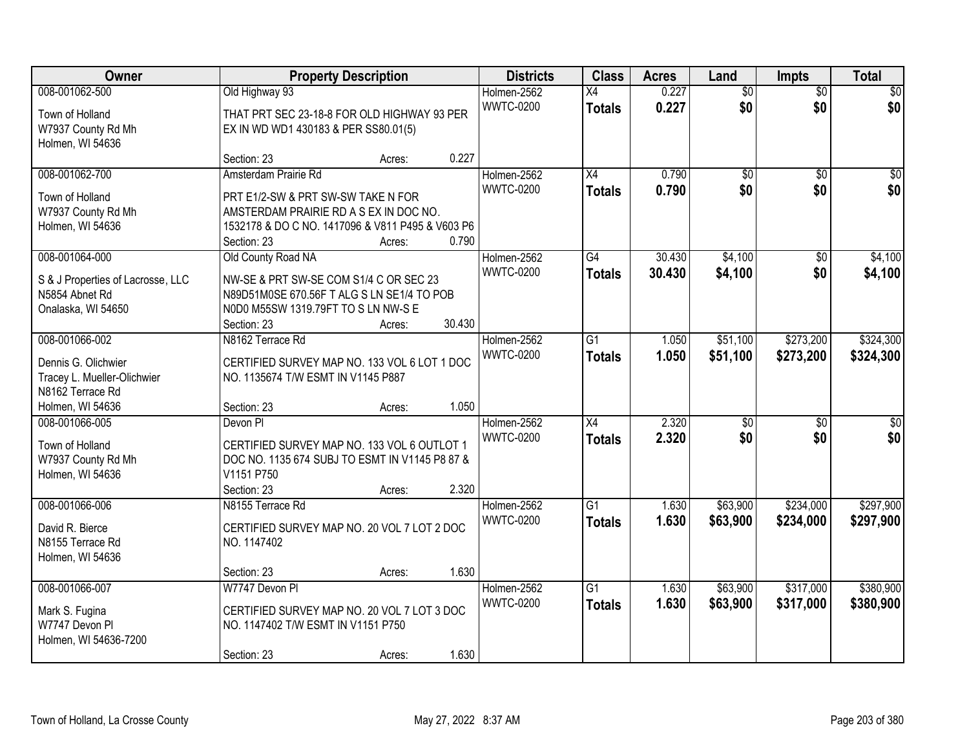| Owner                                  | <b>Property Description</b>                                  |        |        | <b>Districts</b>                | <b>Class</b>    | <b>Acres</b>   | Land            | <b>Impts</b>    | <b>Total</b>    |
|----------------------------------------|--------------------------------------------------------------|--------|--------|---------------------------------|-----------------|----------------|-----------------|-----------------|-----------------|
| 008-001062-500                         | Old Highway 93                                               |        |        | Holmen-2562                     | X4              | 0.227          | $\overline{50}$ | $\overline{50}$ | \$0             |
| Town of Holland                        | THAT PRT SEC 23-18-8 FOR OLD HIGHWAY 93 PER                  |        |        | <b>WWTC-0200</b>                | <b>Totals</b>   | 0.227          | \$0             | \$0             | \$0             |
| W7937 County Rd Mh                     | EX IN WD WD1 430183 & PER SS80.01(5)                         |        |        |                                 |                 |                |                 |                 |                 |
| Holmen, WI 54636                       |                                                              |        |        |                                 |                 |                |                 |                 |                 |
|                                        | Section: 23                                                  | Acres: | 0.227  |                                 |                 |                |                 |                 |                 |
| 008-001062-700                         | Amsterdam Prairie Rd                                         |        |        | Holmen-2562                     | $\overline{X4}$ | 0.790          | $\overline{50}$ | $\overline{50}$ | $\overline{30}$ |
| Town of Holland                        | PRT E1/2-SW & PRT SW-SW TAKE N FOR                           |        |        | <b>WWTC-0200</b>                | <b>Totals</b>   | 0.790          | \$0             | \$0             | \$0             |
| W7937 County Rd Mh                     | AMSTERDAM PRAIRIE RD A S EX IN DOC NO.                       |        |        |                                 |                 |                |                 |                 |                 |
| Holmen, WI 54636                       | 1532178 & DO C NO. 1417096 & V811 P495 & V603 P6             |        |        |                                 |                 |                |                 |                 |                 |
|                                        | Section: 23                                                  | Acres: | 0.790  |                                 |                 |                |                 |                 |                 |
| 008-001064-000                         | Old County Road NA                                           |        |        | Holmen-2562                     | G4              | 30.430         | \$4,100         | \$0             | \$4,100         |
| S & J Properties of Lacrosse, LLC      | NW-SE & PRT SW-SE COM S1/4 C OR SEC 23                       |        |        | <b>WWTC-0200</b>                | <b>Totals</b>   | 30.430         | \$4,100         | \$0             | \$4,100         |
| N5854 Abnet Rd                         | N89D51M0SE 670.56F T ALG S LN SE1/4 TO POB                   |        |        |                                 |                 |                |                 |                 |                 |
| Onalaska, WI 54650                     | N0D0 M55SW 1319.79FT TO S LN NW-S E                          |        |        |                                 |                 |                |                 |                 |                 |
|                                        | Section: 23                                                  | Acres: | 30.430 |                                 |                 |                |                 |                 |                 |
| 008-001066-002                         | N8162 Terrace Rd                                             |        |        | Holmen-2562                     | $\overline{G1}$ | 1.050          | \$51,100        | \$273,200       | \$324,300       |
| Dennis G. Olichwier                    | CERTIFIED SURVEY MAP NO. 133 VOL 6 LOT 1 DOC                 |        |        | <b>WWTC-0200</b>                | <b>Totals</b>   | 1.050          | \$51,100        | \$273,200       | \$324,300       |
| Tracey L. Mueller-Olichwier            | NO. 1135674 T/W ESMT IN V1145 P887                           |        |        |                                 |                 |                |                 |                 |                 |
| N8162 Terrace Rd                       |                                                              |        |        |                                 |                 |                |                 |                 |                 |
| Holmen, WI 54636                       | Section: 23                                                  | Acres: | 1.050  |                                 |                 |                |                 |                 |                 |
| 008-001066-005                         | Devon Pl                                                     |        |        | Holmen-2562                     | $\overline{X4}$ | 2.320          | $\overline{50}$ | $\overline{30}$ | $\overline{30}$ |
|                                        |                                                              |        |        | <b>WWTC-0200</b>                | <b>Totals</b>   | 2.320          | \$0             | \$0             | \$0             |
| Town of Holland                        | CERTIFIED SURVEY MAP NO. 133 VOL 6 OUTLOT 1                  |        |        |                                 |                 |                |                 |                 |                 |
| W7937 County Rd Mh<br>Holmen, WI 54636 | DOC NO. 1135 674 SUBJ TO ESMT IN V1145 P8 87 &<br>V1151 P750 |        |        |                                 |                 |                |                 |                 |                 |
|                                        | Section: 23                                                  | Acres: | 2.320  |                                 |                 |                |                 |                 |                 |
| 008-001066-006                         | N8155 Terrace Rd                                             |        |        | Holmen-2562                     | G1              | 1.630          | \$63,900        | \$234,000       | \$297,900       |
|                                        |                                                              |        |        | <b>WWTC-0200</b>                | <b>Totals</b>   | 1.630          | \$63,900        | \$234,000       | \$297,900       |
| David R. Bierce                        | CERTIFIED SURVEY MAP NO. 20 VOL 7 LOT 2 DOC                  |        |        |                                 |                 |                |                 |                 |                 |
| N8155 Terrace Rd                       | NO. 1147402                                                  |        |        |                                 |                 |                |                 |                 |                 |
| Holmen, WI 54636                       |                                                              |        |        |                                 |                 |                |                 |                 |                 |
| 008-001066-007                         | Section: 23<br>W7747 Devon PI                                | Acres: | 1.630  |                                 | $\overline{G1}$ |                | \$63,900        | \$317,000       | \$380,900       |
|                                        |                                                              |        |        | Holmen-2562<br><b>WWTC-0200</b> |                 | 1.630<br>1.630 | \$63,900        | \$317,000       | \$380,900       |
| Mark S. Fugina                         | CERTIFIED SURVEY MAP NO. 20 VOL 7 LOT 3 DOC                  |        |        |                                 | <b>Totals</b>   |                |                 |                 |                 |
| W7747 Devon Pl                         | NO. 1147402 T/W ESMT IN V1151 P750                           |        |        |                                 |                 |                |                 |                 |                 |
| Holmen, WI 54636-7200                  |                                                              |        |        |                                 |                 |                |                 |                 |                 |
|                                        | Section: 23                                                  | Acres: | 1.630  |                                 |                 |                |                 |                 |                 |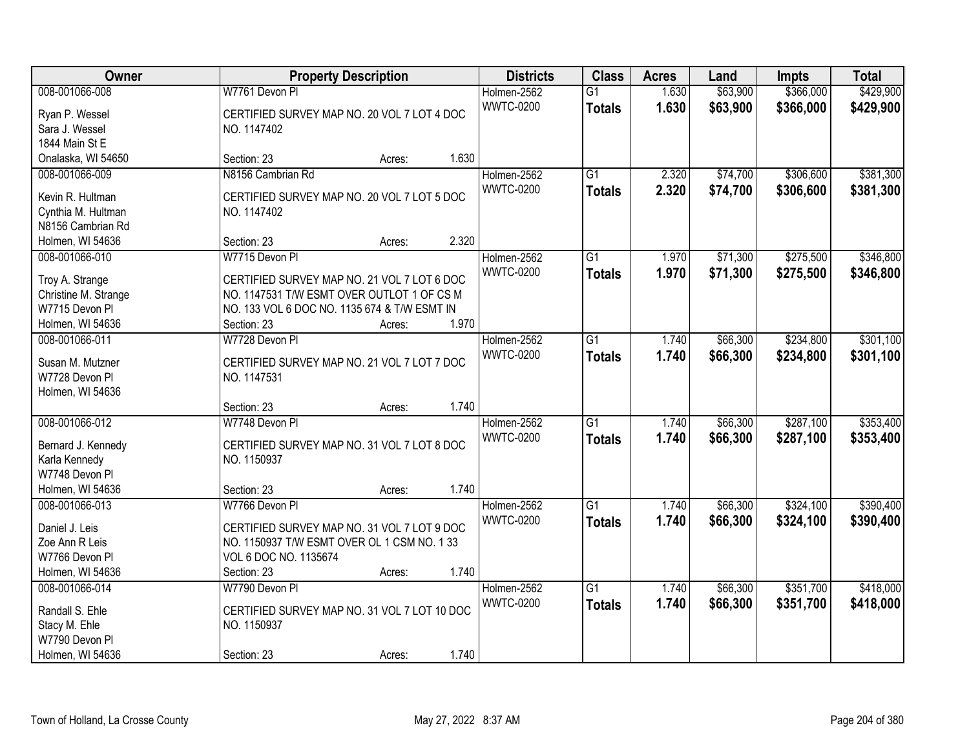| Owner                               | <b>Property Description</b>                                   | <b>Districts</b>                | <b>Class</b>                     | <b>Acres</b>   | Land                 | <b>Impts</b>           | <b>Total</b>           |
|-------------------------------------|---------------------------------------------------------------|---------------------------------|----------------------------------|----------------|----------------------|------------------------|------------------------|
| 008-001066-008<br>Ryan P. Wessel    | W7761 Devon Pl<br>CERTIFIED SURVEY MAP NO. 20 VOL 7 LOT 4 DOC | Holmen-2562<br><b>WWTC-0200</b> | $\overline{G1}$<br><b>Totals</b> | 1.630<br>1.630 | \$63,900<br>\$63,900 | \$366,000<br>\$366,000 | \$429,900<br>\$429,900 |
| Sara J. Wessel                      | NO. 1147402                                                   |                                 |                                  |                |                      |                        |                        |
| 1844 Main St E                      |                                                               |                                 |                                  |                |                      |                        |                        |
| Onalaska, WI 54650                  | 1.630<br>Section: 23<br>Acres:                                |                                 |                                  |                |                      |                        |                        |
| 008-001066-009                      | N8156 Cambrian Rd                                             | Holmen-2562                     | $\overline{G1}$                  | 2.320          | \$74,700             | \$306,600              | \$381,300              |
| Kevin R. Hultman                    | CERTIFIED SURVEY MAP NO. 20 VOL 7 LOT 5 DOC                   | <b>WWTC-0200</b>                | <b>Totals</b>                    | 2.320          | \$74,700             | \$306,600              | \$381,300              |
| Cynthia M. Hultman                  | NO. 1147402                                                   |                                 |                                  |                |                      |                        |                        |
| N8156 Cambrian Rd                   |                                                               |                                 |                                  |                |                      |                        |                        |
| Holmen, WI 54636                    | 2.320<br>Section: 23<br>Acres:                                |                                 |                                  |                |                      |                        |                        |
| 008-001066-010                      | W7715 Devon Pl                                                | Holmen-2562                     | $\overline{G1}$                  | 1.970          | \$71,300             | \$275,500              | \$346,800              |
|                                     |                                                               | <b>WWTC-0200</b>                | <b>Totals</b>                    | 1.970          | \$71,300             | \$275,500              | \$346,800              |
| Troy A. Strange                     | CERTIFIED SURVEY MAP NO. 21 VOL 7 LOT 6 DOC                   |                                 |                                  |                |                      |                        |                        |
| Christine M. Strange                | NO. 1147531 T/W ESMT OVER OUTLOT 1 OF CS M                    |                                 |                                  |                |                      |                        |                        |
| W7715 Devon Pl                      | NO. 133 VOL 6 DOC NO. 1135 674 & T/W ESMT IN                  |                                 |                                  |                |                      |                        |                        |
| Holmen, WI 54636                    | 1.970<br>Section: 23<br>Acres:                                |                                 |                                  |                |                      |                        |                        |
| 008-001066-011                      | W7728 Devon PI                                                | Holmen-2562                     | $\overline{G1}$                  | 1.740          | \$66,300             | \$234,800              | \$301,100              |
| Susan M. Mutzner                    | CERTIFIED SURVEY MAP NO. 21 VOL 7 LOT 7 DOC                   | <b>WWTC-0200</b>                | <b>Totals</b>                    | 1.740          | \$66,300             | \$234,800              | \$301,100              |
| W7728 Devon Pl                      | NO. 1147531                                                   |                                 |                                  |                |                      |                        |                        |
| Holmen, WI 54636                    |                                                               |                                 |                                  |                |                      |                        |                        |
|                                     | 1.740<br>Section: 23<br>Acres:                                |                                 |                                  |                |                      |                        |                        |
| 008-001066-012                      | W7748 Devon PI                                                | Holmen-2562                     | $\overline{G1}$                  | 1.740          | \$66,300             | \$287,100              | \$353,400              |
|                                     | CERTIFIED SURVEY MAP NO. 31 VOL 7 LOT 8 DOC                   | <b>WWTC-0200</b>                | <b>Totals</b>                    | 1.740          | \$66,300             | \$287,100              | \$353,400              |
| Bernard J. Kennedy<br>Karla Kennedy | NO. 1150937                                                   |                                 |                                  |                |                      |                        |                        |
| W7748 Devon Pl                      |                                                               |                                 |                                  |                |                      |                        |                        |
| Holmen, WI 54636                    | 1.740<br>Section: 23<br>Acres:                                |                                 |                                  |                |                      |                        |                        |
| 008-001066-013                      | W7766 Devon Pl                                                | Holmen-2562                     | $\overline{G1}$                  | 1.740          | \$66,300             | \$324,100              | \$390,400              |
|                                     |                                                               | <b>WWTC-0200</b>                |                                  |                |                      | \$324,100              |                        |
| Daniel J. Leis                      | CERTIFIED SURVEY MAP NO. 31 VOL 7 LOT 9 DOC                   |                                 | <b>Totals</b>                    | 1.740          | \$66,300             |                        | \$390,400              |
| Zoe Ann R Leis                      | NO. 1150937 T/W ESMT OVER OL 1 CSM NO. 1 33                   |                                 |                                  |                |                      |                        |                        |
| W7766 Devon Pl                      | VOL 6 DOC NO. 1135674                                         |                                 |                                  |                |                      |                        |                        |
| Holmen, WI 54636                    | 1.740<br>Section: 23<br>Acres:                                |                                 |                                  |                |                      |                        |                        |
| 008-001066-014                      | W7790 Devon Pl                                                | Holmen-2562                     | $\overline{G1}$                  | 1.740          | \$66,300             | \$351,700              | \$418,000              |
| Randall S. Ehle                     | CERTIFIED SURVEY MAP NO. 31 VOL 7 LOT 10 DOC                  | <b>WWTC-0200</b>                | <b>Totals</b>                    | 1.740          | \$66,300             | \$351,700              | \$418,000              |
| Stacy M. Ehle                       | NO. 1150937                                                   |                                 |                                  |                |                      |                        |                        |
| W7790 Devon Pl                      |                                                               |                                 |                                  |                |                      |                        |                        |
| Holmen, WI 54636                    | 1.740<br>Section: 23<br>Acres:                                |                                 |                                  |                |                      |                        |                        |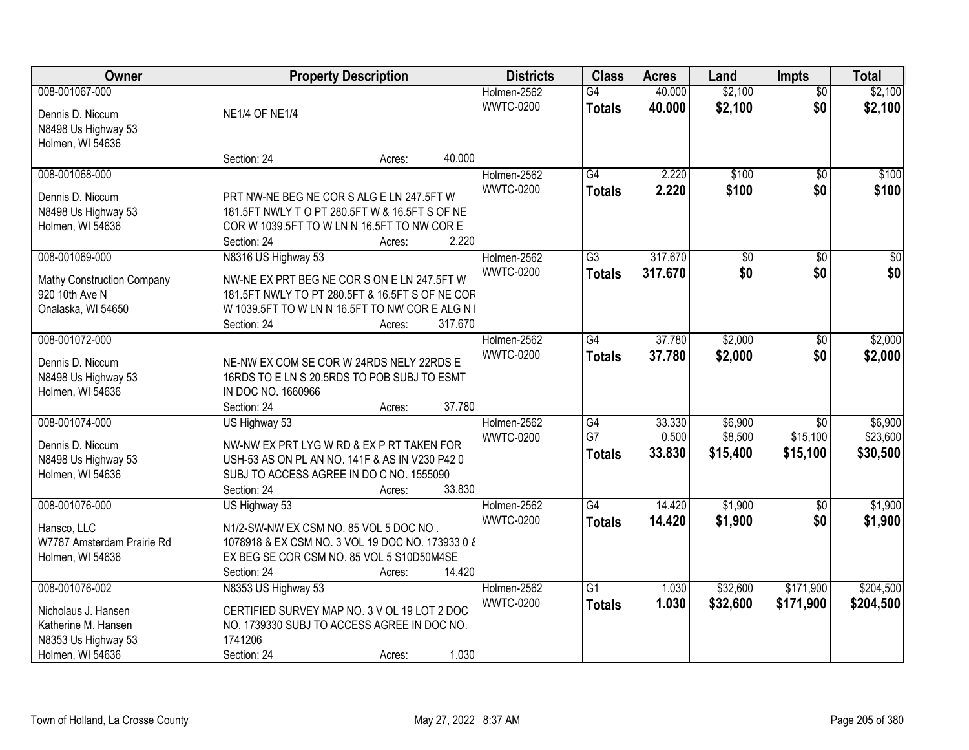| Owner                      |                                                  | <b>Property Description</b> |         | <b>Districts</b>                | <b>Class</b>    | <b>Acres</b> | Land     | <b>Impts</b>    | <b>Total</b>    |
|----------------------------|--------------------------------------------------|-----------------------------|---------|---------------------------------|-----------------|--------------|----------|-----------------|-----------------|
| 008-001067-000             |                                                  |                             |         | Holmen-2562                     | $\overline{G4}$ | 40.000       | \$2,100  | $\overline{50}$ | \$2,100         |
| Dennis D. Niccum           | <b>NE1/4 OF NE1/4</b>                            |                             |         | <b>WWTC-0200</b>                | <b>Totals</b>   | 40.000       | \$2,100  | \$0             | \$2,100         |
| N8498 Us Highway 53        |                                                  |                             |         |                                 |                 |              |          |                 |                 |
| Holmen, WI 54636           |                                                  |                             |         |                                 |                 |              |          |                 |                 |
|                            | Section: 24                                      | Acres:                      | 40.000  |                                 |                 |              |          |                 |                 |
| 008-001068-000             |                                                  |                             |         | Holmen-2562                     | $\overline{G4}$ | 2.220        | \$100    | $\overline{50}$ | \$100           |
| Dennis D. Niccum           | PRT NW-NE BEG NE COR S ALG E LN 247.5FT W        |                             |         | <b>WWTC-0200</b>                | <b>Totals</b>   | 2.220        | \$100    | \$0             | \$100           |
| N8498 Us Highway 53        | 181.5FT NWLY T O PT 280.5FT W & 16.5FT S OF NE   |                             |         |                                 |                 |              |          |                 |                 |
| Holmen, WI 54636           | COR W 1039.5FT TO W LN N 16.5FT TO NW COR E      |                             |         |                                 |                 |              |          |                 |                 |
|                            | Section: 24                                      | Acres:                      | 2.220   |                                 |                 |              |          |                 |                 |
| 008-001069-000             | N8316 US Highway 53                              |                             |         | Holmen-2562                     | G3              | 317.670      | \$0      | \$0             | $\overline{50}$ |
|                            |                                                  |                             |         | <b>WWTC-0200</b>                | <b>Totals</b>   | 317.670      | \$0      | \$0             | \$0             |
| Mathy Construction Company | NW-NE EX PRT BEG NE COR S ON E LN 247.5FT W      |                             |         |                                 |                 |              |          |                 |                 |
| 920 10th Ave N             | 181.5FT NWLY TO PT 280.5FT & 16.5FT S OF NE COR  |                             |         |                                 |                 |              |          |                 |                 |
| Onalaska, WI 54650         | W 1039.5FT TO W LN N 16.5FT TO NW COREALG N I    |                             | 317.670 |                                 |                 |              |          |                 |                 |
| 008-001072-000             | Section: 24                                      | Acres:                      |         |                                 |                 | 37.780       | \$2,000  |                 |                 |
|                            |                                                  |                             |         | Holmen-2562<br><b>WWTC-0200</b> | G4              |              |          | $\sqrt[6]{3}$   | \$2,000         |
| Dennis D. Niccum           | NE-NW EX COM SE COR W 24RDS NELY 22RDS E         |                             |         |                                 | <b>Totals</b>   | 37.780       | \$2,000  | \$0             | \$2,000         |
| N8498 Us Highway 53        | 16RDS TO E LN S 20.5RDS TO POB SUBJ TO ESMT      |                             |         |                                 |                 |              |          |                 |                 |
| Holmen, WI 54636           | IN DOC NO. 1660966                               |                             |         |                                 |                 |              |          |                 |                 |
|                            | Section: 24                                      | Acres:                      | 37.780  |                                 |                 |              |          |                 |                 |
| 008-001074-000             | US Highway 53                                    |                             |         | Holmen-2562                     | $\overline{G4}$ | 33.330       | \$6,900  | $\overline{30}$ | \$6,900         |
| Dennis D. Niccum           | NW-NW EX PRT LYG W RD & EX P RT TAKEN FOR        |                             |         | <b>WWTC-0200</b>                | G7              | 0.500        | \$8,500  | \$15,100        | \$23,600        |
| N8498 Us Highway 53        | USH-53 AS ON PL AN NO. 141F & AS IN V230 P42 0   |                             |         |                                 | <b>Totals</b>   | 33.830       | \$15,400 | \$15,100        | \$30,500        |
| Holmen, WI 54636           | SUBJ TO ACCESS AGREE IN DO C NO. 1555090         |                             |         |                                 |                 |              |          |                 |                 |
|                            | Section: 24                                      | Acres:                      | 33.830  |                                 |                 |              |          |                 |                 |
| 008-001076-000             | US Highway 53                                    |                             |         | Holmen-2562                     | $\overline{G4}$ | 14.420       | \$1,900  | $\overline{50}$ | \$1,900         |
| Hansco, LLC                | N1/2-SW-NW EX CSM NO. 85 VOL 5 DOC NO.           |                             |         | <b>WWTC-0200</b>                | <b>Totals</b>   | 14.420       | \$1,900  | \$0             | \$1,900         |
| W7787 Amsterdam Prairie Rd | 1078918 & EX CSM NO. 3 VOL 19 DOC NO. 173933 0 8 |                             |         |                                 |                 |              |          |                 |                 |
| Holmen, WI 54636           | EX BEG SE COR CSM NO. 85 VOL 5 S10D50M4SE        |                             |         |                                 |                 |              |          |                 |                 |
|                            | Section: 24                                      | Acres:                      | 14.420  |                                 |                 |              |          |                 |                 |
| 008-001076-002             | N8353 US Highway 53                              |                             |         | Holmen-2562                     | $\overline{G1}$ | 1.030        | \$32,600 | \$171,900       | \$204,500       |
|                            |                                                  |                             |         | <b>WWTC-0200</b>                | <b>Totals</b>   | 1.030        | \$32,600 | \$171,900       | \$204,500       |
| Nicholaus J. Hansen        | CERTIFIED SURVEY MAP NO. 3 V OL 19 LOT 2 DOC     |                             |         |                                 |                 |              |          |                 |                 |
| Katherine M. Hansen        | NO. 1739330 SUBJ TO ACCESS AGREE IN DOC NO.      |                             |         |                                 |                 |              |          |                 |                 |
| N8353 Us Highway 53        | 1741206                                          |                             |         |                                 |                 |              |          |                 |                 |
| Holmen, WI 54636           | Section: 24                                      | Acres:                      | 1.030   |                                 |                 |              |          |                 |                 |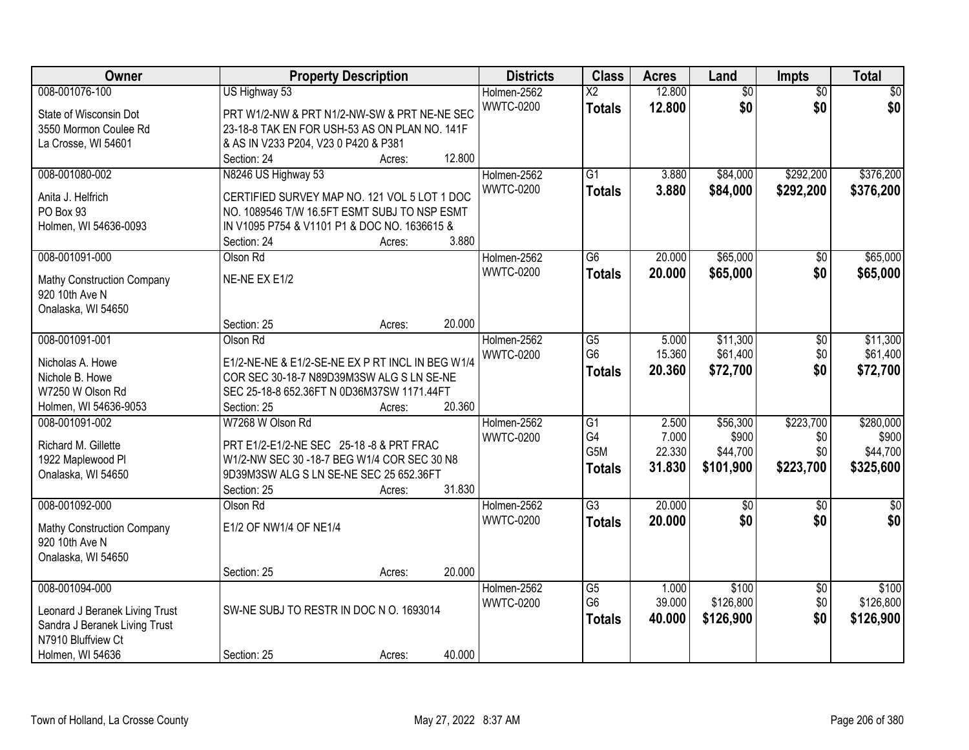| Owner                                                                                                                       | <b>Property Description</b>                                                                                                                                                        |        |        | <b>Districts</b>                | <b>Class</b>                                       | <b>Acres</b>                       | Land                                       | <b>Impts</b>                         | <b>Total</b>                                |
|-----------------------------------------------------------------------------------------------------------------------------|------------------------------------------------------------------------------------------------------------------------------------------------------------------------------------|--------|--------|---------------------------------|----------------------------------------------------|------------------------------------|--------------------------------------------|--------------------------------------|---------------------------------------------|
| 008-001076-100<br>State of Wisconsin Dot<br>3550 Mormon Coulee Rd                                                           | US Highway 53<br>PRT W1/2-NW & PRT N1/2-NW-SW & PRT NE-NE SEC<br>23-18-8 TAK EN FOR USH-53 AS ON PLAN NO. 141F                                                                     |        |        | Holmen-2562<br><b>WWTC-0200</b> | $\overline{\mathsf{X2}}$<br><b>Totals</b>          | 12.800<br>12.800                   | $\overline{50}$<br>\$0                     | $\overline{50}$<br>\$0               | $\overline{50}$<br>\$0                      |
| La Crosse, WI 54601                                                                                                         | & AS IN V233 P204, V23 0 P420 & P381<br>Section: 24                                                                                                                                | Acres: | 12.800 |                                 |                                                    |                                    |                                            |                                      |                                             |
| 008-001080-002<br>Anita J. Helfrich<br>PO Box 93<br>Holmen, WI 54636-0093                                                   | N8246 US Highway 53<br>CERTIFIED SURVEY MAP NO. 121 VOL 5 LOT 1 DOC<br>NO. 1089546 T/W 16.5FT ESMT SUBJ TO NSP ESMT<br>IN V1095 P754 & V1101 P1 & DOC NO. 1636615 &<br>Section: 24 | Acres: | 3.880  | Holmen-2562<br><b>WWTC-0200</b> | $\overline{G1}$<br><b>Totals</b>                   | 3.880<br>3.880                     | \$84,000<br>\$84,000                       | \$292,200<br>\$292,200               | \$376,200<br>\$376,200                      |
| 008-001091-000<br>Mathy Construction Company<br>920 10th Ave N<br>Onalaska, WI 54650                                        | Olson Rd<br>NE-NE EX E1/2<br>Section: 25                                                                                                                                           | Acres: | 20.000 | Holmen-2562<br><b>WWTC-0200</b> | $\overline{G6}$<br><b>Totals</b>                   | 20.000<br>20.000                   | \$65,000<br>\$65,000                       | $\overline{50}$<br>\$0               | \$65,000<br>\$65,000                        |
| 008-001091-001<br>Nicholas A. Howe<br>Nichole B. Howe<br>W7250 W Olson Rd<br>Holmen, WI 54636-9053                          | Olson Rd<br>E1/2-NE-NE & E1/2-SE-NE EX P RT INCL IN BEG W1/4<br>COR SEC 30-18-7 N89D39M3SW ALG S LN SE-NE<br>SEC 25-18-8 652.36FT N 0D36M37SW 1171.44FT<br>Section: 25             | Acres: | 20.360 | Holmen-2562<br><b>WWTC-0200</b> | G5<br>G <sub>6</sub><br><b>Totals</b>              | 5.000<br>15.360<br>20.360          | \$11,300<br>\$61,400<br>\$72,700           | \$0<br>\$0<br>\$0                    | \$11,300<br>\$61,400<br>\$72,700            |
| 008-001091-002<br>Richard M. Gillette<br>1922 Maplewood Pl<br>Onalaska, WI 54650                                            | W7268 W Olson Rd<br>PRT E1/2-E1/2-NE SEC 25-18 -8 & PRT FRAC<br>W1/2-NW SEC 30 -18-7 BEG W1/4 COR SEC 30 N8<br>9D39M3SW ALG S LN SE-NE SEC 25 652.36FT<br>Section: 25              | Acres: | 31.830 | Holmen-2562<br><b>WWTC-0200</b> | $\overline{G1}$<br>G4<br>G5M<br><b>Totals</b>      | 2.500<br>7.000<br>22.330<br>31.830 | \$56,300<br>\$900<br>\$44,700<br>\$101,900 | \$223,700<br>\$0<br>\$0<br>\$223,700 | \$280,000<br>\$900<br>\$44,700<br>\$325,600 |
| 008-001092-000<br><b>Mathy Construction Company</b><br>920 10th Ave N<br>Onalaska, WI 54650                                 | Olson Rd<br>E1/2 OF NW1/4 OF NE1/4<br>Section: 25                                                                                                                                  | Acres: | 20.000 | Holmen-2562<br><b>WWTC-0200</b> | $\overline{G3}$<br><b>Totals</b>                   | 20.000<br>20.000                   | $\overline{50}$<br>\$0                     | $\overline{50}$<br>\$0               | $\overline{30}$<br>\$0                      |
| 008-001094-000<br>Leonard J Beranek Living Trust<br>Sandra J Beranek Living Trust<br>N7910 Bluffview Ct<br>Holmen, WI 54636 | SW-NE SUBJ TO RESTR IN DOC N O. 1693014<br>Section: 25                                                                                                                             | Acres: | 40.000 | Holmen-2562<br><b>WWTC-0200</b> | $\overline{G5}$<br>G <sub>6</sub><br><b>Totals</b> | 1.000<br>39.000<br>40.000          | \$100<br>\$126,800<br>\$126,900            | $\overline{30}$<br>\$0<br>\$0        | \$100<br>\$126,800<br>\$126,900             |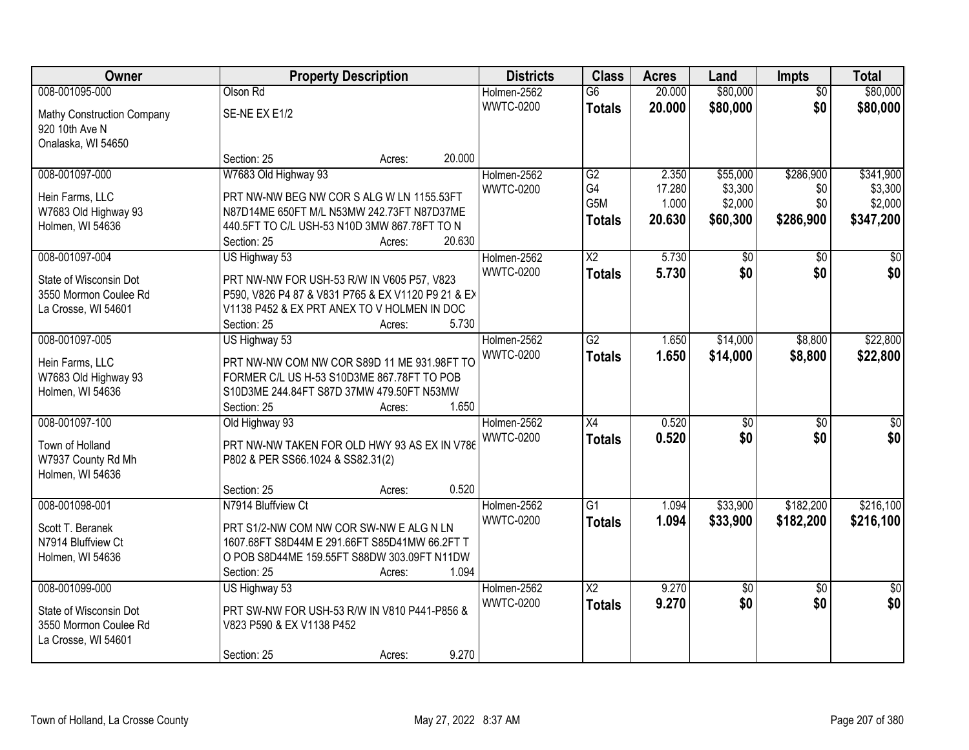| Owner                                   |                                                                                           | <b>Property Description</b> | <b>Districts</b> | <b>Class</b>    | <b>Acres</b> | Land            | <b>Impts</b>    | <b>Total</b>     |
|-----------------------------------------|-------------------------------------------------------------------------------------------|-----------------------------|------------------|-----------------|--------------|-----------------|-----------------|------------------|
| 008-001095-000                          | Olson Rd                                                                                  |                             | Holmen-2562      | $\overline{G6}$ | 20.000       | \$80,000        | $\overline{50}$ | \$80,000         |
| Mathy Construction Company              | SE-NE EX E1/2                                                                             |                             | <b>WWTC-0200</b> | <b>Totals</b>   | 20.000       | \$80,000        | \$0             | \$80,000         |
| 920 10th Ave N                          |                                                                                           |                             |                  |                 |              |                 |                 |                  |
| Onalaska, WI 54650                      |                                                                                           |                             |                  |                 |              |                 |                 |                  |
|                                         | Section: 25                                                                               | Acres:                      | 20.000           |                 |              |                 |                 |                  |
| 008-001097-000                          | W7683 Old Highway 93                                                                      |                             | Holmen-2562      | G2              | 2.350        | \$55,000        | \$286,900       | \$341,900        |
| Hein Farms, LLC                         | PRT NW-NW BEG NW COR S ALG W LN 1155.53FT                                                 |                             | <b>WWTC-0200</b> | G4              | 17.280       | \$3,300         | \$0             | \$3,300          |
| W7683 Old Highway 93                    | N87D14ME 650FT M/L N53MW 242.73FT N87D37ME                                                |                             |                  | G5M             | 1.000        | \$2,000         | \$0             | \$2,000          |
| Holmen, WI 54636                        | 440.5FT TO C/L USH-53 N10D 3MW 867.78FT TO N                                              |                             |                  | <b>Totals</b>   | 20.630       | \$60,300        | \$286,900       | \$347,200        |
|                                         | Section: 25                                                                               | Acres:                      | 20.630           |                 |              |                 |                 |                  |
| 008-001097-004                          | US Highway 53                                                                             |                             | Holmen-2562      | X <sub>2</sub>  | 5.730        | \$0             | \$0             | \$0              |
| State of Wisconsin Dot                  | PRT NW-NW FOR USH-53 R/W IN V605 P57, V823                                                |                             | <b>WWTC-0200</b> | <b>Totals</b>   | 5.730        | \$0             | \$0             | \$0              |
| 3550 Mormon Coulee Rd                   | P590, V826 P4 87 & V831 P765 & EX V1120 P9 21 & EX                                        |                             |                  |                 |              |                 |                 |                  |
| La Crosse, WI 54601                     | V1138 P452 & EX PRT ANEX TO V HOLMEN IN DOC                                               |                             |                  |                 |              |                 |                 |                  |
|                                         | Section: 25                                                                               | Acres:                      | 5.730            |                 |              |                 |                 |                  |
| 008-001097-005                          | US Highway 53                                                                             |                             | Holmen-2562      | $\overline{G2}$ | 1.650        | \$14,000        | \$8,800         | \$22,800         |
|                                         |                                                                                           |                             | <b>WWTC-0200</b> | <b>Totals</b>   | 1.650        | \$14,000        | \$8,800         | \$22,800         |
| Hein Farms, LLC<br>W7683 Old Highway 93 | PRT NW-NW COM NW COR S89D 11 ME 931.98FT TO<br>FORMER C/L US H-53 S10D3ME 867.78FT TO POB |                             |                  |                 |              |                 |                 |                  |
| Holmen, WI 54636                        | S10D3ME 244.84FT S87D 37MW 479.50FT N53MW                                                 |                             |                  |                 |              |                 |                 |                  |
|                                         | Section: 25                                                                               | Acres:                      | 1.650            |                 |              |                 |                 |                  |
| 008-001097-100                          | Old Highway 93                                                                            |                             | Holmen-2562      | $\overline{X4}$ | 0.520        | $\overline{50}$ | $\overline{30}$ | $\overline{\$0}$ |
|                                         |                                                                                           |                             | <b>WWTC-0200</b> | <b>Totals</b>   | 0.520        | \$0             | \$0             | \$0              |
| Town of Holland                         | PRT NW-NW TAKEN FOR OLD HWY 93 AS EX IN V786                                              |                             |                  |                 |              |                 |                 |                  |
| W7937 County Rd Mh                      | P802 & PER SS66.1024 & SS82.31(2)                                                         |                             |                  |                 |              |                 |                 |                  |
| Holmen, WI 54636                        | Section: 25                                                                               |                             | 0.520            |                 |              |                 |                 |                  |
| 008-001098-001                          | N7914 Bluffview Ct                                                                        | Acres:                      | Holmen-2562      | $\overline{G1}$ | 1.094        | \$33,900        | \$182,200       | \$216,100        |
|                                         |                                                                                           |                             | <b>WWTC-0200</b> | <b>Totals</b>   | 1.094        | \$33,900        | \$182,200       | \$216,100        |
| Scott T. Beranek                        | PRT S1/2-NW COM NW COR SW-NW E ALG N LN                                                   |                             |                  |                 |              |                 |                 |                  |
| N7914 Bluffview Ct                      | 1607.68FT S8D44M E 291.66FT S85D41MW 66.2FT T                                             |                             |                  |                 |              |                 |                 |                  |
| Holmen, WI 54636                        | O POB S8D44ME 159.55FT S88DW 303.09FT N11DW                                               |                             |                  |                 |              |                 |                 |                  |
|                                         | Section: 25                                                                               | Acres:                      | 1.094            |                 |              |                 |                 |                  |
| 008-001099-000                          | US Highway 53                                                                             |                             | Holmen-2562      | $\overline{X2}$ | 9.270        | $\overline{50}$ | $\overline{30}$ | $\overline{50}$  |
| State of Wisconsin Dot                  | PRT SW-NW FOR USH-53 R/W IN V810 P441-P856 &                                              |                             | <b>WWTC-0200</b> | <b>Totals</b>   | 9.270        | \$0             | \$0             | \$0              |
| 3550 Mormon Coulee Rd                   | V823 P590 & EX V1138 P452                                                                 |                             |                  |                 |              |                 |                 |                  |
| La Crosse, WI 54601                     |                                                                                           |                             |                  |                 |              |                 |                 |                  |
|                                         | Section: 25                                                                               | Acres:                      | 9.270            |                 |              |                 |                 |                  |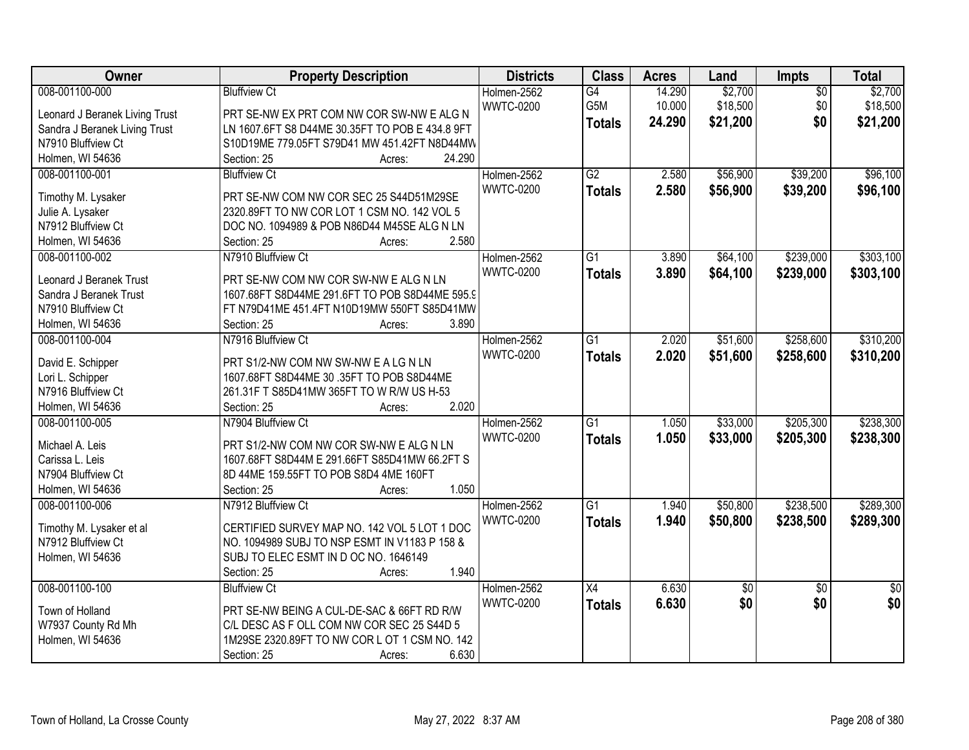| Owner                          | <b>Property Description</b>                     | <b>Districts</b> | <b>Class</b>    | <b>Acres</b> | Land            | Impts           | <b>Total</b>    |
|--------------------------------|-------------------------------------------------|------------------|-----------------|--------------|-----------------|-----------------|-----------------|
| 008-001100-000                 | <b>Bluffview Ct</b>                             | Holmen-2562      | $\overline{G4}$ | 14.290       | \$2,700         | $\overline{50}$ | \$2,700         |
| Leonard J Beranek Living Trust | PRT SE-NW EX PRT COM NW COR SW-NW E ALG N       | <b>WWTC-0200</b> | G5M             | 10.000       | \$18,500        | \$0             | \$18,500        |
| Sandra J Beranek Living Trust  | LN 1607.6FT S8 D44ME 30.35FT TO POB E 434.8 9FT |                  | <b>Totals</b>   | 24.290       | \$21,200        | \$0             | \$21,200        |
| N7910 Bluffview Ct             | S10D19ME 779.05FT S79D41 MW 451.42FT N8D44MW    |                  |                 |              |                 |                 |                 |
| Holmen, WI 54636               | 24.290<br>Section: 25<br>Acres:                 |                  |                 |              |                 |                 |                 |
| 008-001100-001                 | <b>Bluffview Ct</b>                             | Holmen-2562      | $\overline{G2}$ | 2.580        | \$56,900        | \$39,200        | \$96,100        |
|                                |                                                 | <b>WWTC-0200</b> |                 | 2.580        | \$56,900        | \$39,200        | \$96,100        |
| Timothy M. Lysaker             | PRT SE-NW COM NW COR SEC 25 S44D51M29SE         |                  | <b>Totals</b>   |              |                 |                 |                 |
| Julie A. Lysaker               | 2320.89FT TO NW COR LOT 1 CSM NO. 142 VOL 5     |                  |                 |              |                 |                 |                 |
| N7912 Bluffview Ct             | DOC NO. 1094989 & POB N86D44 M45SE ALG N LN     |                  |                 |              |                 |                 |                 |
| Holmen, WI 54636               | 2.580<br>Section: 25<br>Acres:                  |                  |                 |              |                 |                 |                 |
| 008-001100-002                 | N7910 Bluffview Ct                              | Holmen-2562      | G1              | 3.890        | \$64,100        | \$239,000       | \$303,100       |
|                                |                                                 | <b>WWTC-0200</b> | <b>Totals</b>   | 3.890        | \$64,100        | \$239,000       | \$303,100       |
| Leonard J Beranek Trust        | PRT SE-NW COM NW COR SW-NW E ALG N LN           |                  |                 |              |                 |                 |                 |
| Sandra J Beranek Trust         | 1607.68FT S8D44ME 291.6FT TO POB S8D44ME 595.9  |                  |                 |              |                 |                 |                 |
| N7910 Bluffview Ct             | FT N79D41ME 451.4FT N10D19MW 550FT S85D41MW     |                  |                 |              |                 |                 |                 |
| Holmen, WI 54636               | Section: 25<br>3.890<br>Acres:                  |                  |                 |              |                 |                 |                 |
| 008-001100-004                 | N7916 Bluffview Ct                              | Holmen-2562      | $\overline{G1}$ | 2.020        | \$51,600        | \$258,600       | \$310,200       |
| David E. Schipper              | PRT S1/2-NW COM NW SW-NW E A LG N LN            | <b>WWTC-0200</b> | <b>Totals</b>   | 2.020        | \$51,600        | \$258,600       | \$310,200       |
| Lori L. Schipper               | 1607.68FT S8D44ME 30 .35FT TO POB S8D44ME       |                  |                 |              |                 |                 |                 |
| N7916 Bluffview Ct             | 261.31F T S85D41MW 365FT TO W R/W US H-53       |                  |                 |              |                 |                 |                 |
| Holmen, WI 54636               | 2.020<br>Section: 25<br>Acres:                  |                  |                 |              |                 |                 |                 |
| 008-001100-005                 | N7904 Bluffview Ct                              | Holmen-2562      | $\overline{G1}$ | 1.050        | \$33,000        | \$205,300       | \$238,300       |
|                                |                                                 | <b>WWTC-0200</b> | <b>Totals</b>   | 1.050        | \$33,000        | \$205,300       | \$238,300       |
| Michael A. Leis                | PRT S1/2-NW COM NW COR SW-NW E ALG N LN         |                  |                 |              |                 |                 |                 |
| Carissa L. Leis                | 1607.68FT S8D44M E 291.66FT S85D41MW 66.2FT S   |                  |                 |              |                 |                 |                 |
| N7904 Bluffview Ct             | 8D 44ME 159.55FT TO POB S8D4 4ME 160FT          |                  |                 |              |                 |                 |                 |
| Holmen, WI 54636               | 1.050<br>Section: 25<br>Acres:                  |                  |                 |              |                 |                 |                 |
| 008-001100-006                 | N7912 Bluffview Ct                              | Holmen-2562      | $\overline{G1}$ | 1.940        | \$50,800        | \$238,500       | \$289,300       |
| Timothy M. Lysaker et al       | CERTIFIED SURVEY MAP NO. 142 VOL 5 LOT 1 DOC    | <b>WWTC-0200</b> | <b>Totals</b>   | 1.940        | \$50,800        | \$238,500       | \$289,300       |
| N7912 Bluffview Ct             | NO. 1094989 SUBJ TO NSP ESMT IN V1183 P 158 &   |                  |                 |              |                 |                 |                 |
| Holmen, WI 54636               | SUBJ TO ELEC ESMT IN D OC NO. 1646149           |                  |                 |              |                 |                 |                 |
|                                | 1.940<br>Section: 25<br>Acres:                  |                  |                 |              |                 |                 |                 |
| 008-001100-100                 | <b>Bluffview Ct</b>                             | Holmen-2562      | $\overline{X4}$ | 6.630        | $\overline{50}$ | $\overline{50}$ | $\overline{50}$ |
|                                |                                                 | <b>WWTC-0200</b> | <b>Totals</b>   | 6.630        | \$0             | \$0             | \$0             |
| Town of Holland                | PRT SE-NW BEING A CUL-DE-SAC & 66FT RD R/W      |                  |                 |              |                 |                 |                 |
| W7937 County Rd Mh             | C/L DESC AS F OLL COM NW COR SEC 25 S44D 5      |                  |                 |              |                 |                 |                 |
| Holmen, WI 54636               | 1M29SE 2320.89FT TO NW COR L OT 1 CSM NO. 142   |                  |                 |              |                 |                 |                 |
|                                | 6.630<br>Section: 25<br>Acres:                  |                  |                 |              |                 |                 |                 |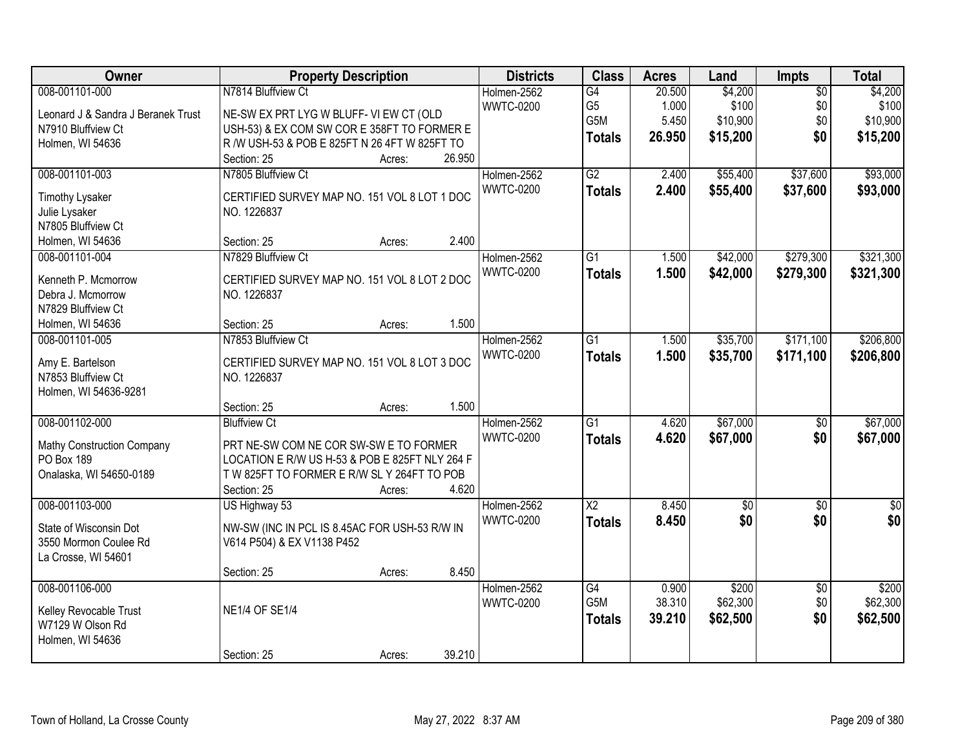| Owner                              | <b>Property Description</b>                    | <b>Districts</b> | <b>Class</b>           | <b>Acres</b> | Land        | Impts           | <b>Total</b> |
|------------------------------------|------------------------------------------------|------------------|------------------------|--------------|-------------|-----------------|--------------|
| 008-001101-000                     | N7814 Bluffview Ct                             | Holmen-2562      | G4                     | 20.500       | \$4,200     | $\overline{50}$ | \$4,200      |
| Leonard J & Sandra J Beranek Trust | NE-SW EX PRT LYG W BLUFF- VI EW CT (OLD        | <b>WWTC-0200</b> | G <sub>5</sub>         | 1.000        | \$100       | \$0             | \$100        |
| N7910 Bluffview Ct                 | USH-53) & EX COM SW COR E 358FT TO FORMER E    |                  | G5M                    | 5.450        | \$10,900    | \$0             | \$10,900     |
| Holmen, WI 54636                   | R /W USH-53 & POB E 825FT N 26 4FT W 825FT TO  |                  | <b>Totals</b>          | 26.950       | \$15,200    | \$0             | \$15,200     |
|                                    | 26.950<br>Section: 25<br>Acres:                |                  |                        |              |             |                 |              |
| 008-001101-003                     | N7805 Bluffview Ct                             | Holmen-2562      | G2                     | 2.400        | \$55,400    | \$37,600        | \$93,000     |
|                                    |                                                | <b>WWTC-0200</b> | <b>Totals</b>          | 2.400        | \$55,400    | \$37,600        | \$93,000     |
| <b>Timothy Lysaker</b>             | CERTIFIED SURVEY MAP NO. 151 VOL 8 LOT 1 DOC   |                  |                        |              |             |                 |              |
| Julie Lysaker                      | NO. 1226837                                    |                  |                        |              |             |                 |              |
| N7805 Bluffview Ct                 |                                                |                  |                        |              |             |                 |              |
| Holmen, WI 54636                   | 2.400<br>Section: 25<br>Acres:                 |                  |                        |              |             |                 |              |
| 008-001101-004                     | N7829 Bluffview Ct                             | Holmen-2562      | G1                     | 1.500        | \$42,000    | \$279,300       | \$321,300    |
| Kenneth P. Mcmorrow                | CERTIFIED SURVEY MAP NO. 151 VOL 8 LOT 2 DOC   | <b>WWTC-0200</b> | <b>Totals</b>          | 1.500        | \$42,000    | \$279,300       | \$321,300    |
| Debra J. Mcmorrow                  | NO. 1226837                                    |                  |                        |              |             |                 |              |
| N7829 Bluffview Ct                 |                                                |                  |                        |              |             |                 |              |
| Holmen, WI 54636                   | 1.500<br>Section: 25<br>Acres:                 |                  |                        |              |             |                 |              |
| 008-001101-005                     | N7853 Bluffview Ct                             | Holmen-2562      | $\overline{G1}$        | 1.500        | \$35,700    | \$171,100       | \$206,800    |
|                                    |                                                | <b>WWTC-0200</b> | <b>Totals</b>          | 1.500        | \$35,700    | \$171,100       | \$206,800    |
| Amy E. Bartelson                   | CERTIFIED SURVEY MAP NO. 151 VOL 8 LOT 3 DOC   |                  |                        |              |             |                 |              |
| N7853 Bluffview Ct                 | NO. 1226837                                    |                  |                        |              |             |                 |              |
| Holmen, WI 54636-9281              | 1.500<br>Section: 25                           |                  |                        |              |             |                 |              |
| 008-001102-000                     | Acres:<br><b>Bluffview Ct</b>                  | Holmen-2562      | $\overline{G1}$        | 4.620        | \$67,000    | $\overline{50}$ | \$67,000     |
|                                    |                                                | <b>WWTC-0200</b> |                        |              |             |                 |              |
| Mathy Construction Company         | PRT NE-SW COM NE COR SW-SW E TO FORMER         |                  | <b>Totals</b>          | 4.620        | \$67,000    | \$0             | \$67,000     |
| PO Box 189                         | LOCATION E R/W US H-53 & POB E 825FT NLY 264 F |                  |                        |              |             |                 |              |
| Onalaska, WI 54650-0189            | T W 825FT TO FORMER E R/W SL Y 264FT TO POB    |                  |                        |              |             |                 |              |
|                                    | 4.620<br>Section: 25<br>Acres:                 |                  |                        |              |             |                 |              |
| 008-001103-000                     | US Highway 53                                  | Holmen-2562      | $\overline{\text{X2}}$ | 8.450        | $\sqrt{50}$ | $\overline{50}$ | $\sqrt{60}$  |
| State of Wisconsin Dot             | NW-SW (INC IN PCL IS 8.45AC FOR USH-53 R/W IN  | <b>WWTC-0200</b> | <b>Totals</b>          | 8.450        | \$0         | \$0             | \$0          |
| 3550 Mormon Coulee Rd              | V614 P504) & EX V1138 P452                     |                  |                        |              |             |                 |              |
| La Crosse, WI 54601                |                                                |                  |                        |              |             |                 |              |
|                                    | 8.450<br>Section: 25<br>Acres:                 |                  |                        |              |             |                 |              |
| 008-001106-000                     |                                                | Holmen-2562      | $\overline{G4}$        | 0.900        | \$200       | $\overline{30}$ | \$200        |
|                                    |                                                | <b>WWTC-0200</b> | G <sub>5</sub> M       | 38.310       | \$62,300    | \$0             | \$62,300     |
| Kelley Revocable Trust             | <b>NE1/4 OF SE1/4</b>                          |                  | <b>Totals</b>          | 39.210       | \$62,500    | \$0             | \$62,500     |
| W7129 W Olson Rd                   |                                                |                  |                        |              |             |                 |              |
| Holmen, WI 54636                   |                                                |                  |                        |              |             |                 |              |
|                                    | 39.210<br>Section: 25<br>Acres:                |                  |                        |              |             |                 |              |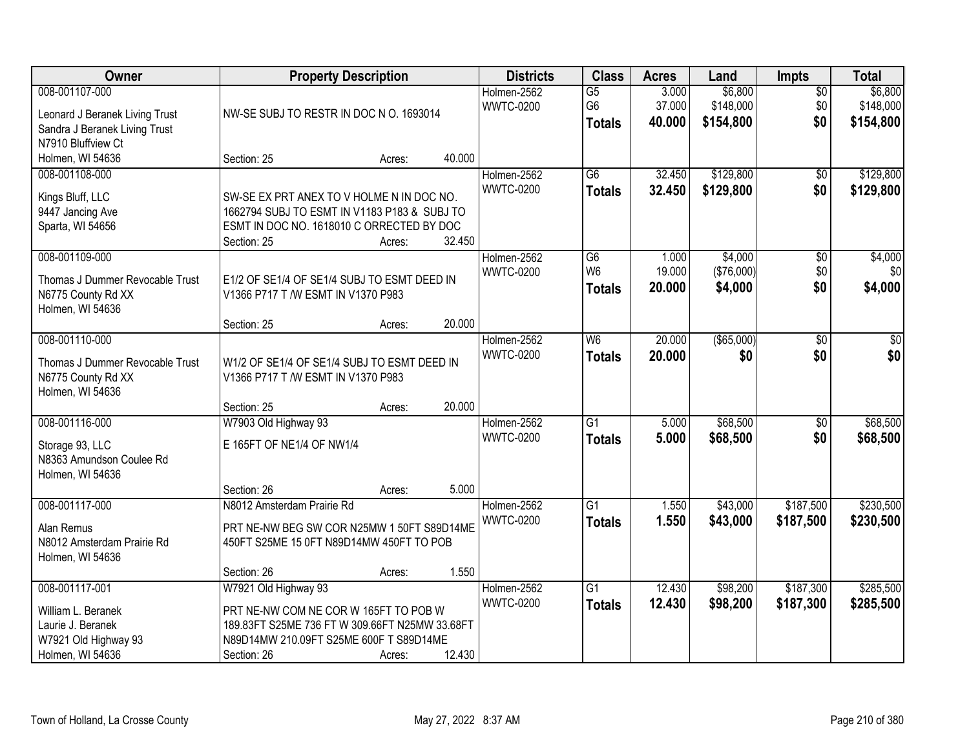| Owner                                                                                                   | <b>Property Description</b>                                                                                                                                               |        |        | <b>Districts</b>                | <b>Class</b>                                       | <b>Acres</b>              | Land                              | <b>Impts</b>                  | <b>Total</b>                      |
|---------------------------------------------------------------------------------------------------------|---------------------------------------------------------------------------------------------------------------------------------------------------------------------------|--------|--------|---------------------------------|----------------------------------------------------|---------------------------|-----------------------------------|-------------------------------|-----------------------------------|
| 008-001107-000<br>Leonard J Beranek Living Trust<br>Sandra J Beranek Living Trust<br>N7910 Bluffview Ct | NW-SE SUBJ TO RESTR IN DOC N O. 1693014                                                                                                                                   |        |        | Holmen-2562<br><b>WWTC-0200</b> | $\overline{G5}$<br>G <sub>6</sub><br><b>Totals</b> | 3.000<br>37.000<br>40.000 | \$6,800<br>\$148,000<br>\$154,800 | $\overline{50}$<br>\$0<br>\$0 | \$6,800<br>\$148,000<br>\$154,800 |
| Holmen, WI 54636                                                                                        | Section: 25                                                                                                                                                               | Acres: | 40.000 |                                 |                                                    |                           |                                   |                               |                                   |
| 008-001108-000<br>Kings Bluff, LLC<br>9447 Jancing Ave<br>Sparta, WI 54656                              | SW-SE EX PRT ANEX TO V HOLME N IN DOC NO.<br>1662794 SUBJ TO ESMT IN V1183 P183 & SUBJ TO<br>ESMT IN DOC NO. 1618010 C ORRECTED BY DOC<br>Section: 25                     | Acres: | 32.450 | Holmen-2562<br><b>WWTC-0200</b> | $\overline{G6}$<br><b>Totals</b>                   | 32.450<br>32.450          | \$129,800<br>\$129,800            | \$0<br>\$0                    | \$129,800<br>\$129,800            |
| 008-001109-000<br>Thomas J Dummer Revocable Trust<br>N6775 County Rd XX<br>Holmen, WI 54636             | E1/2 OF SE1/4 OF SE1/4 SUBJ TO ESMT DEED IN<br>V1366 P717 T /W ESMT IN V1370 P983<br>Section: 25                                                                          | Acres: | 20.000 | Holmen-2562<br><b>WWTC-0200</b> | G6<br>W <sub>6</sub><br><b>Totals</b>              | 1.000<br>19.000<br>20,000 | \$4,000<br>(\$76,000)<br>\$4,000  | $\overline{50}$<br>\$0<br>\$0 | \$4,000<br>\$0<br>\$4,000         |
| 008-001110-000<br>Thomas J Dummer Revocable Trust<br>N6775 County Rd XX<br>Holmen, WI 54636             | W1/2 OF SE1/4 OF SE1/4 SUBJ TO ESMT DEED IN<br>V1366 P717 T /W ESMT IN V1370 P983<br>Section: 25                                                                          | Acres: | 20.000 | Holmen-2562<br><b>WWTC-0200</b> | W <sub>6</sub><br><b>Totals</b>                    | 20.000<br>20,000          | $($ \$65,000)<br>\$0              | \$0<br>\$0                    | \$0<br>\$0                        |
| 008-001116-000<br>Storage 93, LLC<br>N8363 Amundson Coulee Rd<br>Holmen, WI 54636                       | W7903 Old Highway 93<br>E 165FT OF NE1/4 OF NW1/4<br>Section: 26                                                                                                          | Acres: | 5.000  | Holmen-2562<br><b>WWTC-0200</b> | $\overline{G1}$<br><b>Totals</b>                   | 5.000<br>5.000            | \$68,500<br>\$68,500              | $\overline{30}$<br>\$0        | \$68,500<br>\$68,500              |
| 008-001117-000<br>Alan Remus<br>N8012 Amsterdam Prairie Rd<br>Holmen, WI 54636                          | N8012 Amsterdam Prairie Rd<br>PRT NE-NW BEG SW COR N25MW 1 50FT S89D14ME<br>450FT S25ME 15 0FT N89D14MW 450FT TO POB<br>Section: 26                                       | Acres: | 1.550  | Holmen-2562<br><b>WWTC-0200</b> | $\overline{G1}$<br><b>Totals</b>                   | 1.550<br>1.550            | \$43,000<br>\$43,000              | \$187,500<br>\$187,500        | \$230,500<br>\$230,500            |
| 008-001117-001<br>William L. Beranek<br>Laurie J. Beranek<br>W7921 Old Highway 93<br>Holmen, WI 54636   | W7921 Old Highway 93<br>PRT NE-NW COM NE COR W 165FT TO POB W<br>189.83FT S25ME 736 FT W 309.66FT N25MW 33.68FT<br>N89D14MW 210.09FT S25ME 600F T S89D14ME<br>Section: 26 | Acres: | 12.430 | Holmen-2562<br><b>WWTC-0200</b> | $\overline{G1}$<br><b>Totals</b>                   | 12.430<br>12.430          | \$98,200<br>\$98,200              | \$187,300<br>\$187,300        | \$285,500<br>\$285,500            |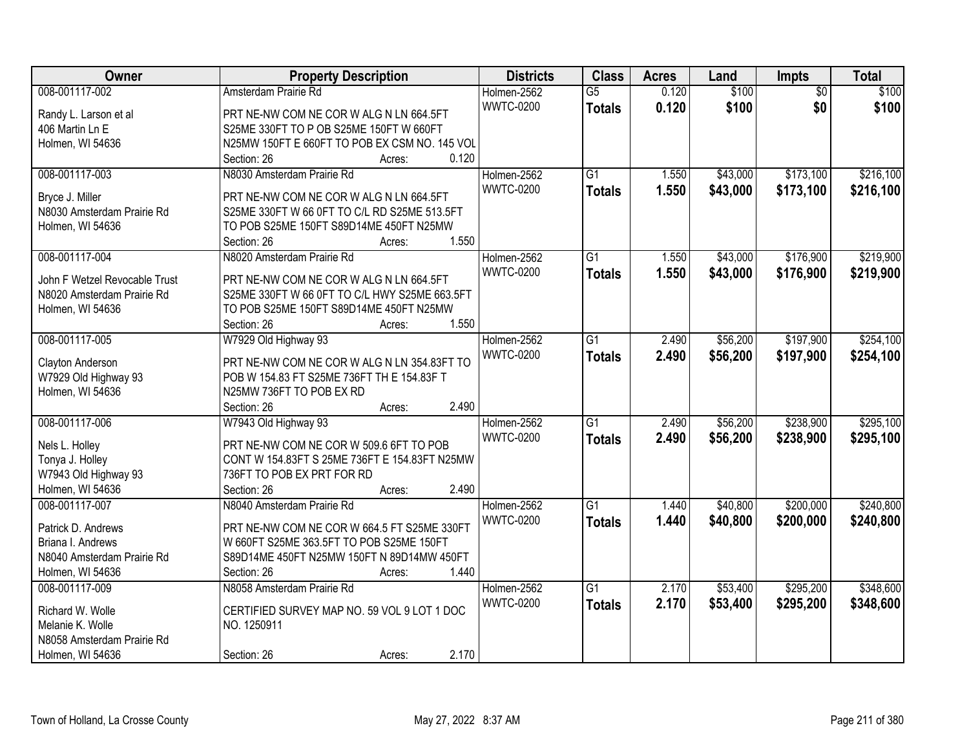| Owner                         | <b>Property Description</b>                   | <b>Districts</b> | <b>Class</b>    | <b>Acres</b> | Land     | Impts           | <b>Total</b> |
|-------------------------------|-----------------------------------------------|------------------|-----------------|--------------|----------|-----------------|--------------|
| 008-001117-002                | Amsterdam Prairie Rd                          | Holmen-2562      | $\overline{G5}$ | 0.120        | \$100    | $\overline{50}$ | \$100        |
| Randy L. Larson et al         | PRT NE-NW COM NE COR W ALG N LN 664.5FT       | <b>WWTC-0200</b> | <b>Totals</b>   | 0.120        | \$100    | \$0             | \$100        |
| 406 Martin Ln E               | S25ME 330FT TO P OB S25ME 150FT W 660FT       |                  |                 |              |          |                 |              |
| Holmen, WI 54636              | N25MW 150FT E 660FT TO POB EX CSM NO. 145 VOL |                  |                 |              |          |                 |              |
|                               | 0.120<br>Section: 26<br>Acres:                |                  |                 |              |          |                 |              |
| 008-001117-003                | N8030 Amsterdam Prairie Rd                    | Holmen-2562      | $\overline{G1}$ | 1.550        | \$43,000 | \$173,100       | \$216,100    |
|                               |                                               | <b>WWTC-0200</b> | <b>Totals</b>   | 1.550        | \$43,000 | \$173,100       | \$216,100    |
| Bryce J. Miller               | PRT NE-NW COM NE COR W ALG N LN 664.5FT       |                  |                 |              |          |                 |              |
| N8030 Amsterdam Prairie Rd    | S25ME 330FT W 66 0FT TO C/L RD S25ME 513.5FT  |                  |                 |              |          |                 |              |
| Holmen, WI 54636              | TO POB S25ME 150FT S89D14ME 450FT N25MW       |                  |                 |              |          |                 |              |
|                               | 1.550<br>Section: 26<br>Acres:                |                  |                 |              |          |                 |              |
| 008-001117-004                | N8020 Amsterdam Prairie Rd                    | Holmen-2562      | $\overline{G1}$ | 1.550        | \$43,000 | \$176,900       | \$219,900    |
| John F Wetzel Revocable Trust | PRT NE-NW COM NE COR W ALG N LN 664.5FT       | <b>WWTC-0200</b> | <b>Totals</b>   | 1.550        | \$43,000 | \$176,900       | \$219,900    |
| N8020 Amsterdam Prairie Rd    | S25ME 330FT W 66 0FT TO C/L HWY S25ME 663.5FT |                  |                 |              |          |                 |              |
| Holmen, WI 54636              | TO POB S25ME 150FT S89D14ME 450FT N25MW       |                  |                 |              |          |                 |              |
|                               | 1.550<br>Section: 26<br>Acres:                |                  |                 |              |          |                 |              |
| 008-001117-005                | W7929 Old Highway 93                          | Holmen-2562      | $\overline{G1}$ | 2.490        | \$56,200 | \$197,900       | \$254,100    |
|                               |                                               | <b>WWTC-0200</b> | <b>Totals</b>   | 2.490        | \$56,200 | \$197,900       | \$254,100    |
| Clayton Anderson              | PRT NE-NW COM NE COR W ALG N LN 354.83FT TO   |                  |                 |              |          |                 |              |
| W7929 Old Highway 93          | POB W 154.83 FT S25ME 736FT TH E 154.83F T    |                  |                 |              |          |                 |              |
| Holmen, WI 54636              | N25MW 736FT TO POB EX RD                      |                  |                 |              |          |                 |              |
|                               | 2.490<br>Section: 26<br>Acres:                |                  |                 |              |          |                 |              |
| 008-001117-006                | W7943 Old Highway 93                          | Holmen-2562      | $\overline{G1}$ | 2.490        | \$56,200 | \$238,900       | \$295,100    |
| Nels L. Holley                | PRT NE-NW COM NE COR W 509.6 6FT TO POB       | <b>WWTC-0200</b> | <b>Totals</b>   | 2.490        | \$56,200 | \$238,900       | \$295,100    |
| Tonya J. Holley               | CONT W 154.83FT S 25ME 736FT E 154.83FT N25MW |                  |                 |              |          |                 |              |
| W7943 Old Highway 93          | 736FT TO POB EX PRT FOR RD                    |                  |                 |              |          |                 |              |
| Holmen, WI 54636              | 2.490<br>Section: 26<br>Acres:                |                  |                 |              |          |                 |              |
| 008-001117-007                | N8040 Amsterdam Prairie Rd                    | Holmen-2562      | $\overline{G1}$ | 1.440        | \$40,800 | \$200,000       | \$240,800    |
|                               |                                               | <b>WWTC-0200</b> | <b>Totals</b>   | 1.440        | \$40,800 | \$200,000       | \$240,800    |
| Patrick D. Andrews            | PRT NE-NW COM NE COR W 664.5 FT S25ME 330FT   |                  |                 |              |          |                 |              |
| Briana I. Andrews             | W 660FT S25ME 363.5FT TO POB S25ME 150FT      |                  |                 |              |          |                 |              |
| N8040 Amsterdam Prairie Rd    | S89D14ME 450FT N25MW 150FT N 89D14MW 450FT    |                  |                 |              |          |                 |              |
| Holmen, WI 54636              | 1.440<br>Section: 26<br>Acres:                |                  |                 |              |          |                 |              |
| 008-001117-009                | N8058 Amsterdam Prairie Rd                    | Holmen-2562      | $\overline{G1}$ | 2.170        | \$53,400 | \$295,200       | \$348,600    |
| Richard W. Wolle              | CERTIFIED SURVEY MAP NO. 59 VOL 9 LOT 1 DOC   | <b>WWTC-0200</b> | <b>Totals</b>   | 2.170        | \$53,400 | \$295,200       | \$348,600    |
| Melanie K. Wolle              | NO. 1250911                                   |                  |                 |              |          |                 |              |
| N8058 Amsterdam Prairie Rd    |                                               |                  |                 |              |          |                 |              |
| Holmen, WI 54636              | 2.170<br>Section: 26<br>Acres:                |                  |                 |              |          |                 |              |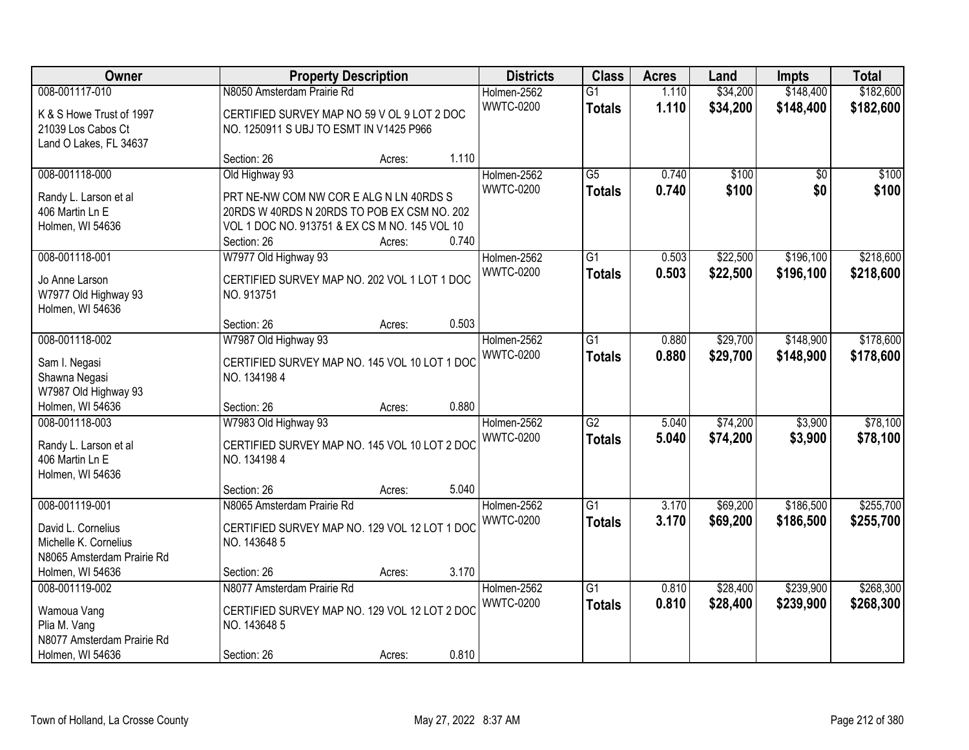| Owner                                               |                                                              | <b>Property Description</b> |       | <b>Districts</b> | <b>Class</b>    | <b>Acres</b> | Land     | Impts           | <b>Total</b> |
|-----------------------------------------------------|--------------------------------------------------------------|-----------------------------|-------|------------------|-----------------|--------------|----------|-----------------|--------------|
| 008-001117-010                                      | N8050 Amsterdam Prairie Rd                                   |                             |       | Holmen-2562      | $\overline{G1}$ | 1.110        | \$34,200 | \$148,400       | \$182,600    |
| K & S Howe Trust of 1997                            | CERTIFIED SURVEY MAP NO 59 V OL 9 LOT 2 DOC                  |                             |       | <b>WWTC-0200</b> | <b>Totals</b>   | 1.110        | \$34,200 | \$148,400       | \$182,600    |
| 21039 Los Cabos Ct                                  | NO. 1250911 S UBJ TO ESMT IN V1425 P966                      |                             |       |                  |                 |              |          |                 |              |
| Land O Lakes, FL 34637                              |                                                              |                             |       |                  |                 |              |          |                 |              |
|                                                     | Section: 26                                                  | Acres:                      | 1.110 |                  |                 |              |          |                 |              |
| 008-001118-000                                      | Old Highway 93                                               |                             |       | Holmen-2562      | $\overline{G5}$ | 0.740        | \$100    | $\overline{50}$ | \$100        |
| Randy L. Larson et al                               | PRT NE-NW COM NW COR E ALG N LN 40RDS S                      |                             |       | <b>WWTC-0200</b> | <b>Totals</b>   | 0.740        | \$100    | \$0             | \$100        |
| 406 Martin Ln E                                     | 20RDS W 40RDS N 20RDS TO POB EX CSM NO. 202                  |                             |       |                  |                 |              |          |                 |              |
| Holmen, WI 54636                                    | VOL 1 DOC NO. 913751 & EX CS M NO. 145 VOL 10                |                             |       |                  |                 |              |          |                 |              |
|                                                     | Section: 26                                                  | Acres:                      | 0.740 |                  |                 |              |          |                 |              |
| 008-001118-001                                      | W7977 Old Highway 93                                         |                             |       | Holmen-2562      | G1              | 0.503        | \$22,500 | \$196,100       | \$218,600    |
| Jo Anne Larson                                      | CERTIFIED SURVEY MAP NO. 202 VOL 1 LOT 1 DOC                 |                             |       | <b>WWTC-0200</b> | <b>Totals</b>   | 0.503        | \$22,500 | \$196,100       | \$218,600    |
| W7977 Old Highway 93                                | NO. 913751                                                   |                             |       |                  |                 |              |          |                 |              |
| Holmen, WI 54636                                    |                                                              |                             |       |                  |                 |              |          |                 |              |
|                                                     | Section: 26                                                  | Acres:                      | 0.503 |                  |                 |              |          |                 |              |
| 008-001118-002                                      | W7987 Old Highway 93                                         |                             |       | Holmen-2562      | G1              | 0.880        | \$29,700 | \$148,900       | \$178,600    |
| Sam I. Negasi                                       | CERTIFIED SURVEY MAP NO. 145 VOL 10 LOT 1 DOC                |                             |       | <b>WWTC-0200</b> | <b>Totals</b>   | 0.880        | \$29,700 | \$148,900       | \$178,600    |
| Shawna Negasi                                       | NO. 1341984                                                  |                             |       |                  |                 |              |          |                 |              |
| W7987 Old Highway 93                                |                                                              |                             |       |                  |                 |              |          |                 |              |
| Holmen, WI 54636                                    | Section: 26                                                  | Acres:                      | 0.880 |                  |                 |              |          |                 |              |
| 008-001118-003                                      | W7983 Old Highway 93                                         |                             |       | Holmen-2562      | $\overline{G2}$ | 5.040        | \$74,200 | \$3,900         | \$78,100     |
|                                                     |                                                              |                             |       | <b>WWTC-0200</b> | <b>Totals</b>   | 5.040        | \$74,200 | \$3,900         | \$78,100     |
| Randy L. Larson et al<br>406 Martin Ln E            | CERTIFIED SURVEY MAP NO. 145 VOL 10 LOT 2 DOC<br>NO. 1341984 |                             |       |                  |                 |              |          |                 |              |
| Holmen, WI 54636                                    |                                                              |                             |       |                  |                 |              |          |                 |              |
|                                                     | Section: 26                                                  | Acres:                      | 5.040 |                  |                 |              |          |                 |              |
| 008-001119-001                                      | N8065 Amsterdam Prairie Rd                                   |                             |       | Holmen-2562      | $\overline{G1}$ | 3.170        | \$69,200 | \$186,500       | \$255,700    |
|                                                     |                                                              |                             |       | <b>WWTC-0200</b> | <b>Totals</b>   | 3.170        | \$69,200 | \$186,500       | \$255,700    |
| David L. Cornelius                                  | CERTIFIED SURVEY MAP NO. 129 VOL 12 LOT 1 DOC                |                             |       |                  |                 |              |          |                 |              |
| Michelle K. Cornelius<br>N8065 Amsterdam Prairie Rd | NO. 143648 5                                                 |                             |       |                  |                 |              |          |                 |              |
| Holmen, WI 54636                                    | Section: 26                                                  | Acres:                      | 3.170 |                  |                 |              |          |                 |              |
| 008-001119-002                                      | N8077 Amsterdam Prairie Rd                                   |                             |       | Holmen-2562      | $\overline{G1}$ | 0.810        | \$28,400 | \$239,900       | \$268,300    |
|                                                     |                                                              |                             |       | <b>WWTC-0200</b> | <b>Totals</b>   | 0.810        | \$28,400 | \$239,900       | \$268,300    |
| Wamoua Vang                                         | CERTIFIED SURVEY MAP NO. 129 VOL 12 LOT 2 DOC                |                             |       |                  |                 |              |          |                 |              |
| Plia M. Vang                                        | NO. 143648 5                                                 |                             |       |                  |                 |              |          |                 |              |
| N8077 Amsterdam Prairie Rd                          |                                                              |                             |       |                  |                 |              |          |                 |              |
| Holmen, WI 54636                                    | Section: 26                                                  | Acres:                      | 0.810 |                  |                 |              |          |                 |              |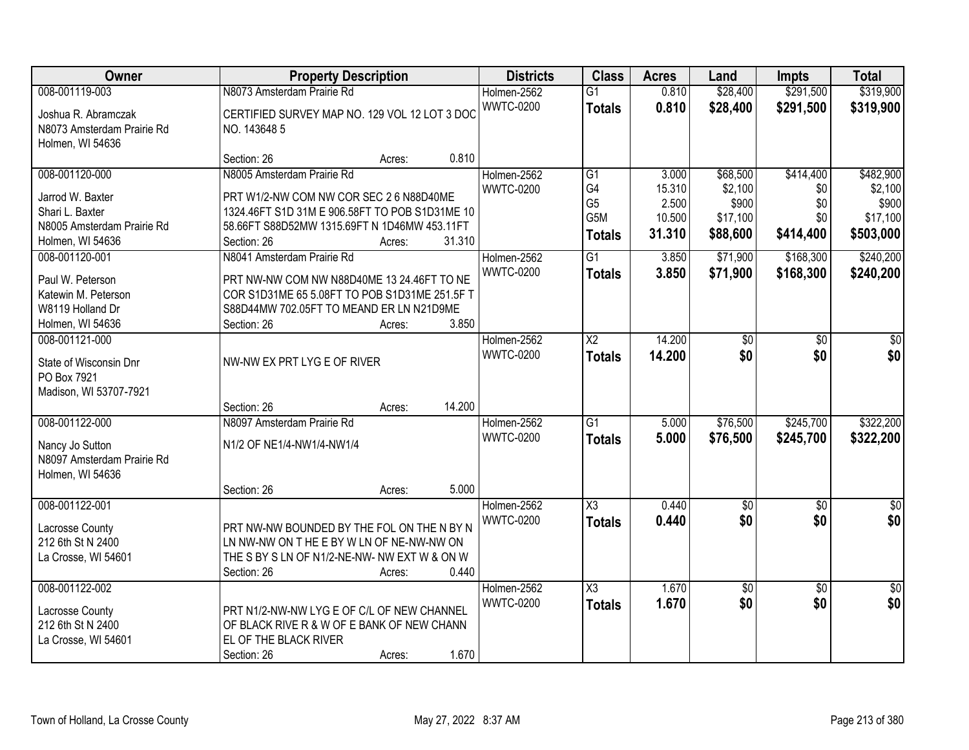| Owner                      | <b>Property Description</b>                    |                  | <b>Districts</b> | <b>Class</b>                       | <b>Acres</b>    | Land              | <b>Impts</b>    | <b>Total</b>      |
|----------------------------|------------------------------------------------|------------------|------------------|------------------------------------|-----------------|-------------------|-----------------|-------------------|
| 008-001119-003             | N8073 Amsterdam Prairie Rd                     |                  | Holmen-2562      | $\overline{G1}$                    | 0.810           | \$28,400          | \$291,500       | \$319,900         |
| Joshua R. Abramczak        | CERTIFIED SURVEY MAP NO. 129 VOL 12 LOT 3 DOC  |                  | <b>WWTC-0200</b> | <b>Totals</b>                      | 0.810           | \$28,400          | \$291,500       | \$319,900         |
| N8073 Amsterdam Prairie Rd | NO. 143648 5                                   |                  |                  |                                    |                 |                   |                 |                   |
| Holmen, WI 54636           |                                                |                  |                  |                                    |                 |                   |                 |                   |
|                            | Section: 26                                    | 0.810<br>Acres:  |                  |                                    |                 |                   |                 |                   |
| 008-001120-000             | N8005 Amsterdam Prairie Rd                     |                  | Holmen-2562      | G1                                 | 3.000           | \$68,500          | \$414,400       | \$482,900         |
| Jarrod W. Baxter           | PRT W1/2-NW COM NW COR SEC 2 6 N88D40ME        |                  | <b>WWTC-0200</b> | G4                                 | 15.310          | \$2,100           | \$0             | \$2,100           |
| Shari L. Baxter            | 1324.46FT S1D 31M E 906.58FT TO POB S1D31ME 10 |                  |                  | G <sub>5</sub><br>G <sub>5</sub> M | 2.500<br>10.500 | \$900<br>\$17,100 | \$0<br>\$0      | \$900<br>\$17,100 |
| N8005 Amsterdam Prairie Rd | 58.66FT S88D52MW 1315.69FT N 1D46MW 453.11FT   |                  |                  |                                    | 31.310          | \$88,600          | \$414,400       | \$503,000         |
| Holmen, WI 54636           | Section: 26                                    | 31.310<br>Acres: |                  | <b>Totals</b>                      |                 |                   |                 |                   |
| 008-001120-001             | N8041 Amsterdam Prairie Rd                     |                  | Holmen-2562      | $\overline{G1}$                    | 3.850           | \$71,900          | \$168,300       | \$240,200         |
| Paul W. Peterson           | PRT NW-NW COM NW N88D40ME 13 24.46FT TO NE     |                  | <b>WWTC-0200</b> | <b>Totals</b>                      | 3.850           | \$71,900          | \$168,300       | \$240,200         |
| Katewin M. Peterson        | COR S1D31ME 65 5.08FT TO POB S1D31ME 251.5F T  |                  |                  |                                    |                 |                   |                 |                   |
| W8119 Holland Dr           | S88D44MW 702.05FT TO MEAND ER LN N21D9ME       |                  |                  |                                    |                 |                   |                 |                   |
| Holmen, WI 54636           | Section: 26                                    | 3.850<br>Acres:  |                  |                                    |                 |                   |                 |                   |
| 008-001121-000             |                                                |                  | Holmen-2562      | X2                                 | 14.200          | \$0               | \$0             | \$0               |
| State of Wisconsin Dnr     | NW-NW EX PRT LYG E OF RIVER                    |                  | <b>WWTC-0200</b> | <b>Totals</b>                      | 14.200          | \$0               | \$0             | \$0               |
| PO Box 7921                |                                                |                  |                  |                                    |                 |                   |                 |                   |
| Madison, WI 53707-7921     |                                                |                  |                  |                                    |                 |                   |                 |                   |
|                            | Section: 26                                    | 14.200<br>Acres: |                  |                                    |                 |                   |                 |                   |
| 008-001122-000             | N8097 Amsterdam Prairie Rd                     |                  | Holmen-2562      | $\overline{G1}$                    | 5.000           | \$76,500          | \$245,700       | \$322,200         |
| Nancy Jo Sutton            | N1/2 OF NE1/4-NW1/4-NW1/4                      |                  | <b>WWTC-0200</b> | <b>Totals</b>                      | 5.000           | \$76,500          | \$245,700       | \$322,200         |
| N8097 Amsterdam Prairie Rd |                                                |                  |                  |                                    |                 |                   |                 |                   |
| Holmen, WI 54636           |                                                |                  |                  |                                    |                 |                   |                 |                   |
|                            | Section: 26                                    | 5.000<br>Acres:  |                  |                                    |                 |                   |                 |                   |
| 008-001122-001             |                                                |                  | Holmen-2562      | $\overline{\text{X3}}$             | 0.440           | $\sqrt{6}$        | $\sqrt{6}$      | $\frac{6}{3}$     |
| Lacrosse County            | PRT NW-NW BOUNDED BY THE FOL ON THE N BY N     |                  | <b>WWTC-0200</b> | <b>Totals</b>                      | 0.440           | \$0               | \$0             | \$0               |
| 212 6th St N 2400          | LN NW-NW ON T HE E BY W LN OF NE-NW-NW ON      |                  |                  |                                    |                 |                   |                 |                   |
| La Crosse, WI 54601        | THE S BY S LN OF N1/2-NE-NW- NW EXT W & ON W   |                  |                  |                                    |                 |                   |                 |                   |
|                            | Section: 26                                    | 0.440<br>Acres:  |                  |                                    |                 |                   |                 |                   |
| 008-001122-002             |                                                |                  | Holmen-2562      | X3                                 | 1.670           | \$0               | $\overline{50}$ | $\overline{50}$   |
| Lacrosse County            | PRT N1/2-NW-NW LYG E OF C/L OF NEW CHANNEL     |                  | <b>WWTC-0200</b> | <b>Totals</b>                      | 1.670           | \$0               | \$0             | \$0               |
| 212 6th St N 2400          | OF BLACK RIVE R & W OF E BANK OF NEW CHANN     |                  |                  |                                    |                 |                   |                 |                   |
| La Crosse, WI 54601        | EL OF THE BLACK RIVER                          |                  |                  |                                    |                 |                   |                 |                   |
|                            | Section: 26                                    | 1.670<br>Acres:  |                  |                                    |                 |                   |                 |                   |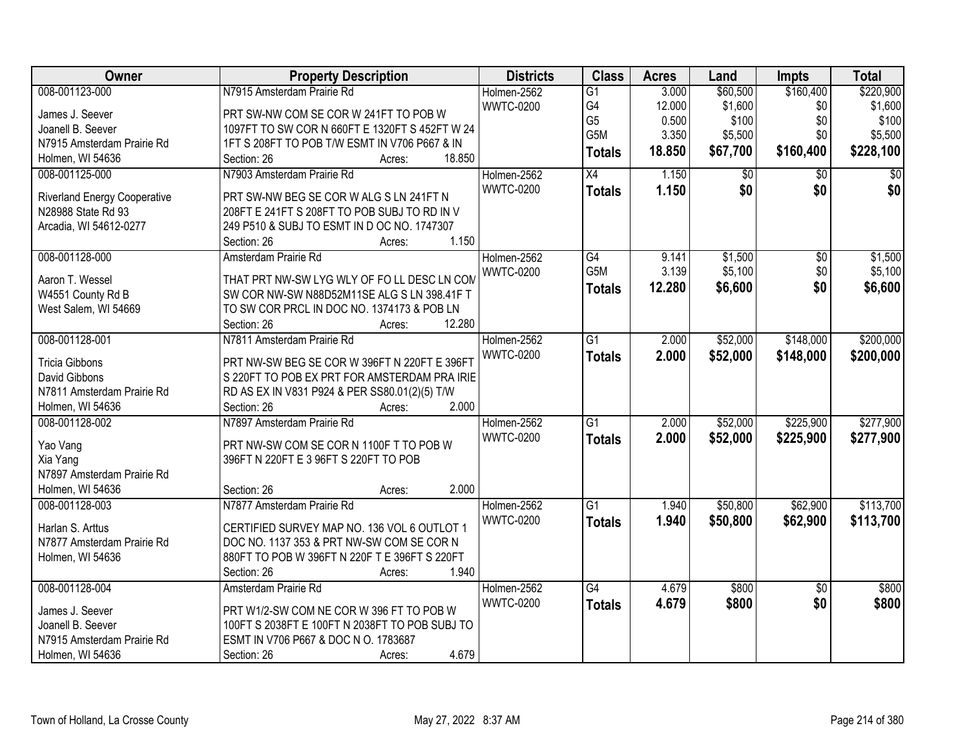| Owner                               | <b>Property Description</b>                    | <b>Districts</b> | <b>Class</b>     | <b>Acres</b> | Land        | <b>Impts</b>    | <b>Total</b>    |
|-------------------------------------|------------------------------------------------|------------------|------------------|--------------|-------------|-----------------|-----------------|
| 008-001123-000                      | N7915 Amsterdam Prairie Rd                     | Holmen-2562      | $\overline{G1}$  | 3.000        | \$60,500    | \$160,400       | \$220,900       |
| James J. Seever                     | PRT SW-NW COM SE COR W 241FT TO POB W          | <b>WWTC-0200</b> | G4               | 12.000       | \$1,600     | \$0             | \$1,600         |
| Joanell B. Seever                   | 1097FT TO SW COR N 660FT E 1320FT S 452FT W 24 |                  | G <sub>5</sub>   | 0.500        | \$100       | \$0             | \$100           |
| N7915 Amsterdam Prairie Rd          | 1FT S 208FT TO POB T/W ESMT IN V706 P667 & IN  |                  | G5M              | 3.350        | \$5,500     | \$0             | \$5,500         |
| Holmen, WI 54636                    | 18.850<br>Section: 26                          |                  | <b>Totals</b>    | 18.850       | \$67,700    | \$160,400       | \$228,100       |
|                                     | Acres:                                         |                  |                  |              |             |                 |                 |
| 008-001125-000                      | N7903 Amsterdam Prairie Rd                     | Holmen-2562      | $\overline{X4}$  | 1.150        | $\sqrt{$0}$ | $\overline{30}$ | $\overline{50}$ |
| <b>Riverland Energy Cooperative</b> | PRT SW-NW BEG SE COR W ALG S LN 241FT N        | <b>WWTC-0200</b> | <b>Totals</b>    | 1.150        | \$0         | \$0             | \$0             |
| N28988 State Rd 93                  | 208FT E 241FT S 208FT TO POB SUBJ TO RD IN V   |                  |                  |              |             |                 |                 |
| Arcadia, WI 54612-0277              | 249 P510 & SUBJ TO ESMT IN D OC NO. 1747307    |                  |                  |              |             |                 |                 |
|                                     | 1.150<br>Section: 26<br>Acres:                 |                  |                  |              |             |                 |                 |
| 008-001128-000                      | Amsterdam Prairie Rd                           | Holmen-2562      | G4               | 9.141        | \$1,500     | \$0             | \$1,500         |
|                                     |                                                | <b>WWTC-0200</b> | G <sub>5</sub> M | 3.139        | \$5,100     | \$0             | \$5,100         |
| Aaron T. Wessel                     | THAT PRT NW-SW LYG WLY OF FO LL DESC LN COM    |                  | <b>Totals</b>    | 12.280       | \$6,600     | \$0             | \$6,600         |
| W4551 County Rd B                   | SW COR NW-SW N88D52M11SE ALG S LN 398.41F T    |                  |                  |              |             |                 |                 |
| West Salem, WI 54669                | TO SW COR PRCL IN DOC NO. 1374173 & POB LN     |                  |                  |              |             |                 |                 |
|                                     | 12.280<br>Section: 26<br>Acres:                |                  |                  |              |             |                 |                 |
| 008-001128-001                      | N7811 Amsterdam Prairie Rd                     | Holmen-2562      | $\overline{G1}$  | 2.000        | \$52,000    | \$148,000       | \$200,000       |
| <b>Tricia Gibbons</b>               | PRT NW-SW BEG SE COR W 396FT N 220FT E 396FT   | <b>WWTC-0200</b> | <b>Totals</b>    | 2.000        | \$52,000    | \$148,000       | \$200,000       |
| David Gibbons                       | S 220FT TO POB EX PRT FOR AMSTERDAM PRA IRIE   |                  |                  |              |             |                 |                 |
| N7811 Amsterdam Prairie Rd          | RD AS EX IN V831 P924 & PER SS80.01(2)(5) T/W  |                  |                  |              |             |                 |                 |
| Holmen, WI 54636                    | 2.000<br>Section: 26<br>Acres:                 |                  |                  |              |             |                 |                 |
| 008-001128-002                      | N7897 Amsterdam Prairie Rd                     | Holmen-2562      | $\overline{G1}$  | 2.000        | \$52,000    | \$225,900       | \$277,900       |
|                                     |                                                | <b>WWTC-0200</b> | <b>Totals</b>    | 2.000        | \$52,000    | \$225,900       | \$277,900       |
| Yao Vang                            | PRT NW-SW COM SE COR N 1100F T TO POB W        |                  |                  |              |             |                 |                 |
| Xia Yang                            | 396FT N 220FT E 3 96FT S 220FT TO POB          |                  |                  |              |             |                 |                 |
| N7897 Amsterdam Prairie Rd          |                                                |                  |                  |              |             |                 |                 |
| Holmen, WI 54636                    | 2.000<br>Section: 26<br>Acres:                 |                  |                  |              |             |                 |                 |
| 008-001128-003                      | N7877 Amsterdam Prairie Rd                     | Holmen-2562      | $\overline{G1}$  | 1.940        | \$50,800    | \$62,900        | \$113,700       |
| Harlan S. Arttus                    | CERTIFIED SURVEY MAP NO. 136 VOL 6 OUTLOT 1    | <b>WWTC-0200</b> | <b>Totals</b>    | 1.940        | \$50,800    | \$62,900        | \$113,700       |
| N7877 Amsterdam Prairie Rd          | DOC NO. 1137 353 & PRT NW-SW COM SE COR N      |                  |                  |              |             |                 |                 |
| Holmen, WI 54636                    | 880FT TO POB W 396FT N 220F T E 396FT S 220FT  |                  |                  |              |             |                 |                 |
|                                     | 1.940<br>Section: 26<br>Acres:                 |                  |                  |              |             |                 |                 |
| 008-001128-004                      | Amsterdam Prairie Rd                           | Holmen-2562      | $\overline{G4}$  | 4.679        | \$800       | $\overline{50}$ | \$800           |
|                                     |                                                | <b>WWTC-0200</b> |                  | 4.679        | \$800       | \$0             | \$800           |
| James J. Seever                     | PRT W1/2-SW COM NE COR W 396 FT TO POB W       |                  | <b>Totals</b>    |              |             |                 |                 |
| Joanell B. Seever                   | 100FT S 2038FT E 100FT N 2038FT TO POB SUBJ TO |                  |                  |              |             |                 |                 |
| N7915 Amsterdam Prairie Rd          | ESMT IN V706 P667 & DOC N O. 1783687           |                  |                  |              |             |                 |                 |
| Holmen, WI 54636                    | 4.679<br>Section: 26<br>Acres:                 |                  |                  |              |             |                 |                 |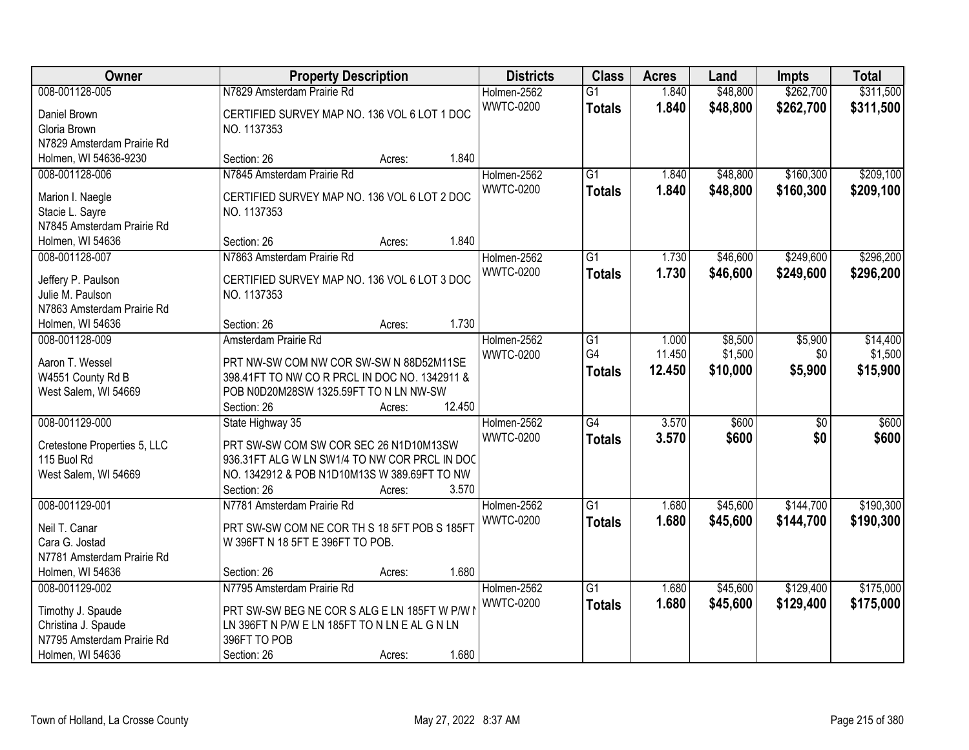| Owner                        | <b>Property Description</b>                   |        | <b>Districts</b> | <b>Class</b>     | <b>Acres</b>    | Land   | <b>Impts</b> | <b>Total</b>    |           |
|------------------------------|-----------------------------------------------|--------|------------------|------------------|-----------------|--------|--------------|-----------------|-----------|
| 008-001128-005               | N7829 Amsterdam Prairie Rd                    |        |                  | Holmen-2562      | $\overline{G1}$ | 1.840  | \$48,800     | \$262,700       | \$311,500 |
| Daniel Brown                 | CERTIFIED SURVEY MAP NO. 136 VOL 6 LOT 1 DOC  |        |                  | <b>WWTC-0200</b> | <b>Totals</b>   | 1.840  | \$48,800     | \$262,700       | \$311,500 |
| Gloria Brown                 | NO. 1137353                                   |        |                  |                  |                 |        |              |                 |           |
| N7829 Amsterdam Prairie Rd   |                                               |        |                  |                  |                 |        |              |                 |           |
| Holmen, WI 54636-9230        | Section: 26                                   | Acres: | 1.840            |                  |                 |        |              |                 |           |
| 008-001128-006               | N7845 Amsterdam Prairie Rd                    |        |                  | Holmen-2562      | $\overline{G1}$ | 1.840  | \$48,800     | \$160,300       | \$209,100 |
|                              |                                               |        |                  | <b>WWTC-0200</b> | <b>Totals</b>   | 1.840  | \$48,800     | \$160,300       | \$209,100 |
| Marion I. Naegle             | CERTIFIED SURVEY MAP NO. 136 VOL 6 LOT 2 DOC  |        |                  |                  |                 |        |              |                 |           |
| Stacie L. Sayre              | NO. 1137353                                   |        |                  |                  |                 |        |              |                 |           |
| N7845 Amsterdam Prairie Rd   |                                               |        |                  |                  |                 |        |              |                 |           |
| Holmen, WI 54636             | Section: 26                                   | Acres: | 1.840            |                  |                 |        |              |                 |           |
| 008-001128-007               | N7863 Amsterdam Prairie Rd                    |        |                  | Holmen-2562      | G1              | 1.730  | \$46,600     | \$249,600       | \$296,200 |
| Jeffery P. Paulson           | CERTIFIED SURVEY MAP NO. 136 VOL 6 LOT 3 DOC  |        |                  | <b>WWTC-0200</b> | <b>Totals</b>   | 1.730  | \$46,600     | \$249,600       | \$296,200 |
| Julie M. Paulson             | NO. 1137353                                   |        |                  |                  |                 |        |              |                 |           |
| N7863 Amsterdam Prairie Rd   |                                               |        |                  |                  |                 |        |              |                 |           |
| Holmen, WI 54636             | Section: 26                                   | Acres: | 1.730            |                  |                 |        |              |                 |           |
| 008-001128-009               | Amsterdam Prairie Rd                          |        |                  | Holmen-2562      | G1              | 1.000  | \$8,500      | \$5,900         | \$14,400  |
|                              |                                               |        |                  | <b>WWTC-0200</b> | G4              | 11.450 | \$1,500      | \$0             | \$1,500   |
| Aaron T. Wessel              | PRT NW-SW COM NW COR SW-SW N 88D52M11SE       |        |                  |                  | <b>Totals</b>   | 12.450 | \$10,000     | \$5,900         | \$15,900  |
| W4551 County Rd B            | 398.41FT TO NW CO R PRCL IN DOC NO. 1342911 & |        |                  |                  |                 |        |              |                 |           |
| West Salem, WI 54669         | POB N0D20M28SW 1325.59FT TO N LN NW-SW        |        |                  |                  |                 |        |              |                 |           |
|                              | Section: 26                                   | Acres: | 12.450           |                  |                 |        |              |                 |           |
| 008-001129-000               | State Highway 35                              |        |                  | Holmen-2562      | $\overline{G4}$ | 3.570  | \$600        | $\overline{50}$ | \$600     |
| Cretestone Properties 5, LLC | PRT SW-SW COM SW COR SEC 26 N1D10M13SW        |        |                  | <b>WWTC-0200</b> | <b>Totals</b>   | 3.570  | \$600        | \$0             | \$600     |
| 115 Buol Rd                  | 936.31FT ALG W LN SW1/4 TO NW COR PRCL IN DOC |        |                  |                  |                 |        |              |                 |           |
| West Salem, WI 54669         | NO. 1342912 & POB N1D10M13S W 389.69FT TO NW  |        |                  |                  |                 |        |              |                 |           |
|                              | Section: 26                                   | Acres: | 3.570            |                  |                 |        |              |                 |           |
| 008-001129-001               | N7781 Amsterdam Prairie Rd                    |        |                  | Holmen-2562      | $\overline{G1}$ | 1.680  | \$45,600     | \$144,700       | \$190,300 |
|                              |                                               |        |                  | <b>WWTC-0200</b> | <b>Totals</b>   | 1.680  | \$45,600     | \$144,700       | \$190,300 |
| Neil T. Canar                | PRT SW-SW COM NE COR TH S 18 5FT POB S 185FT  |        |                  |                  |                 |        |              |                 |           |
| Cara G. Jostad               | W 396FT N 18 5FT E 396FT TO POB.              |        |                  |                  |                 |        |              |                 |           |
| N7781 Amsterdam Prairie Rd   |                                               |        |                  |                  |                 |        |              |                 |           |
| Holmen, WI 54636             | Section: 26                                   | Acres: | 1.680            |                  |                 |        |              |                 |           |
| 008-001129-002               | N7795 Amsterdam Prairie Rd                    |        |                  | Holmen-2562      | $\overline{G1}$ | 1.680  | \$45,600     | \$129,400       | \$175,000 |
| Timothy J. Spaude            | PRT SW-SW BEG NE COR S ALG E LN 185FT W P/W I |        |                  | <b>WWTC-0200</b> | <b>Totals</b>   | 1.680  | \$45,600     | \$129,400       | \$175,000 |
| Christina J. Spaude          | LN 396FT N P/W E LN 185FT TO N LN E AL G N LN |        |                  |                  |                 |        |              |                 |           |
| N7795 Amsterdam Prairie Rd   | 396FT TO POB                                  |        |                  |                  |                 |        |              |                 |           |
| Holmen, WI 54636             | Section: 26                                   | Acres: | 1.680            |                  |                 |        |              |                 |           |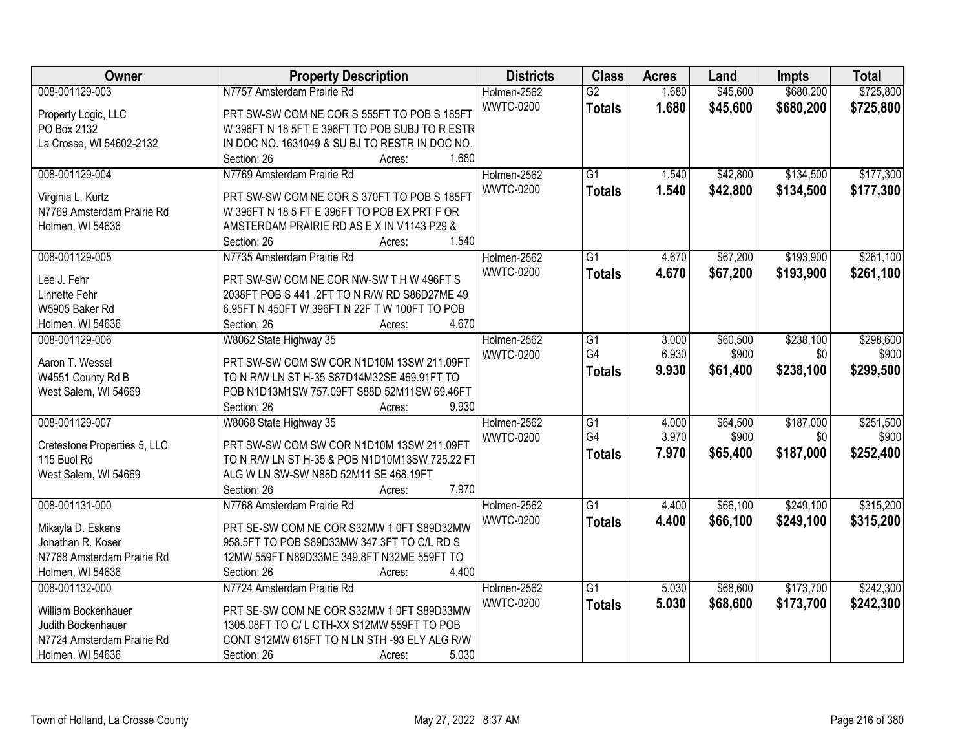| Owner                                  | <b>Property Description</b>                                                              | <b>Districts</b> | <b>Class</b>    | <b>Acres</b> | Land     | <b>Impts</b> | <b>Total</b> |
|----------------------------------------|------------------------------------------------------------------------------------------|------------------|-----------------|--------------|----------|--------------|--------------|
| 008-001129-003                         | N7757 Amsterdam Prairie Rd                                                               | Holmen-2562      | $\overline{G2}$ | 1.680        | \$45,600 | \$680,200    | \$725,800    |
| Property Logic, LLC                    | PRT SW-SW COM NE COR S 555FT TO POB S 185FT                                              | <b>WWTC-0200</b> | <b>Totals</b>   | 1.680        | \$45,600 | \$680,200    | \$725,800    |
| PO Box 2132                            | W 396FT N 18 5FT E 396FT TO POB SUBJ TO R ESTR                                           |                  |                 |              |          |              |              |
| La Crosse, WI 54602-2132               | IN DOC NO. 1631049 & SU BJ TO RESTR IN DOC NO.                                           |                  |                 |              |          |              |              |
|                                        | 1.680<br>Section: 26<br>Acres:                                                           |                  |                 |              |          |              |              |
| 008-001129-004                         | N7769 Amsterdam Prairie Rd                                                               | Holmen-2562      | $\overline{G1}$ | 1.540        | \$42,800 | \$134,500    | \$177,300    |
|                                        |                                                                                          | <b>WWTC-0200</b> | <b>Totals</b>   | 1.540        | \$42,800 | \$134,500    | \$177,300    |
| Virginia L. Kurtz                      | PRT SW-SW COM NE COR S 370FT TO POB S 185FT                                              |                  |                 |              |          |              |              |
| N7769 Amsterdam Prairie Rd             | W 396FT N 18 5 FT E 396FT TO POB EX PRT F OR                                             |                  |                 |              |          |              |              |
| Holmen, WI 54636                       | AMSTERDAM PRAIRIE RD AS EX IN V1143 P29 &                                                |                  |                 |              |          |              |              |
|                                        | 1.540<br>Section: 26<br>Acres:                                                           |                  |                 |              |          |              |              |
| 008-001129-005                         | N7735 Amsterdam Prairie Rd                                                               | Holmen-2562      | G1              | 4.670        | \$67,200 | \$193,900    | \$261,100    |
| Lee J. Fehr                            | PRT SW-SW COM NE COR NW-SW T H W 496FT S                                                 | <b>WWTC-0200</b> | <b>Totals</b>   | 4.670        | \$67,200 | \$193,900    | \$261,100    |
| Linnette Fehr                          | 2038FT POB S 441 .2FT TO N R/W RD S86D27ME 49                                            |                  |                 |              |          |              |              |
| W5905 Baker Rd                         | 6.95FT N 450FT W 396FT N 22F T W 100FT TO POB                                            |                  |                 |              |          |              |              |
| Holmen, WI 54636                       | Section: 26<br>4.670<br>Acres:                                                           |                  |                 |              |          |              |              |
| 008-001129-006                         | W8062 State Highway 35                                                                   | Holmen-2562      | $\overline{G1}$ | 3.000        | \$60,500 | \$238,100    | \$298,600    |
|                                        |                                                                                          | <b>WWTC-0200</b> | G4              | 6.930        | \$900    | \$0          | \$900        |
| Aaron T. Wessel                        | PRT SW-SW COM SW COR N1D10M 13SW 211.09FT                                                |                  | <b>Totals</b>   | 9.930        | \$61,400 | \$238,100    | \$299,500    |
| W4551 County Rd B                      | TO N R/W LN ST H-35 S87D14M32SE 469.91FT TO                                              |                  |                 |              |          |              |              |
| West Salem, WI 54669                   | POB N1D13M1SW 757.09FT S88D 52M11SW 69.46FT                                              |                  |                 |              |          |              |              |
|                                        | 9.930<br>Section: 26<br>Acres:                                                           |                  |                 |              |          |              |              |
| 008-001129-007                         | W8068 State Highway 35                                                                   | Holmen-2562      | $\overline{G1}$ | 4.000        | \$64,500 | \$187,000    | \$251,500    |
| Cretestone Properties 5, LLC           | PRT SW-SW COM SW COR N1D10M 13SW 211.09FT                                                | <b>WWTC-0200</b> | G4              | 3.970        | \$900    | \$0          | \$900        |
| 115 Buol Rd                            | TO N R/W LN ST H-35 & POB N1D10M13SW 725.22 FT                                           |                  | <b>Totals</b>   | 7.970        | \$65,400 | \$187,000    | \$252,400    |
| West Salem, WI 54669                   | ALG W LN SW-SW N88D 52M11 SE 468.19FT                                                    |                  |                 |              |          |              |              |
|                                        | Section: 26<br>7.970<br>Acres:                                                           |                  |                 |              |          |              |              |
| 008-001131-000                         | N7768 Amsterdam Prairie Rd                                                               | Holmen-2562      | $\overline{G1}$ | 4.400        | \$66,100 | \$249,100    | \$315,200    |
|                                        |                                                                                          | <b>WWTC-0200</b> | <b>Totals</b>   | 4.400        | \$66,100 | \$249,100    | \$315,200    |
| Mikayla D. Eskens<br>Jonathan R. Koser | PRT SE-SW COM NE COR S32MW 1 0FT S89D32MW<br>958.5FT TO POB S89D33MW 347.3FT TO C/L RD S |                  |                 |              |          |              |              |
| N7768 Amsterdam Prairie Rd             |                                                                                          |                  |                 |              |          |              |              |
|                                        | 12MW 559FT N89D33ME 349.8FT N32ME 559FT TO<br>4.400<br>Section: 26                       |                  |                 |              |          |              |              |
| Holmen, WI 54636                       | Acres:                                                                                   |                  | $\overline{G1}$ |              |          | \$173,700    | \$242,300    |
| 008-001132-000                         | N7724 Amsterdam Prairie Rd                                                               | Holmen-2562      |                 | 5.030        | \$68,600 |              |              |
| William Bockenhauer                    | PRT SE-SW COM NE COR S32MW 1 0FT S89D33MW                                                | <b>WWTC-0200</b> | <b>Totals</b>   | 5.030        | \$68,600 | \$173,700    | \$242,300    |
| Judith Bockenhauer                     | 1305.08FT TO C/L CTH-XX S12MW 559FT TO POB                                               |                  |                 |              |          |              |              |
| N7724 Amsterdam Prairie Rd             | CONT S12MW 615FT TO N LN STH -93 ELY ALG R/W                                             |                  |                 |              |          |              |              |
| Holmen, WI 54636                       | 5.030<br>Section: 26<br>Acres:                                                           |                  |                 |              |          |              |              |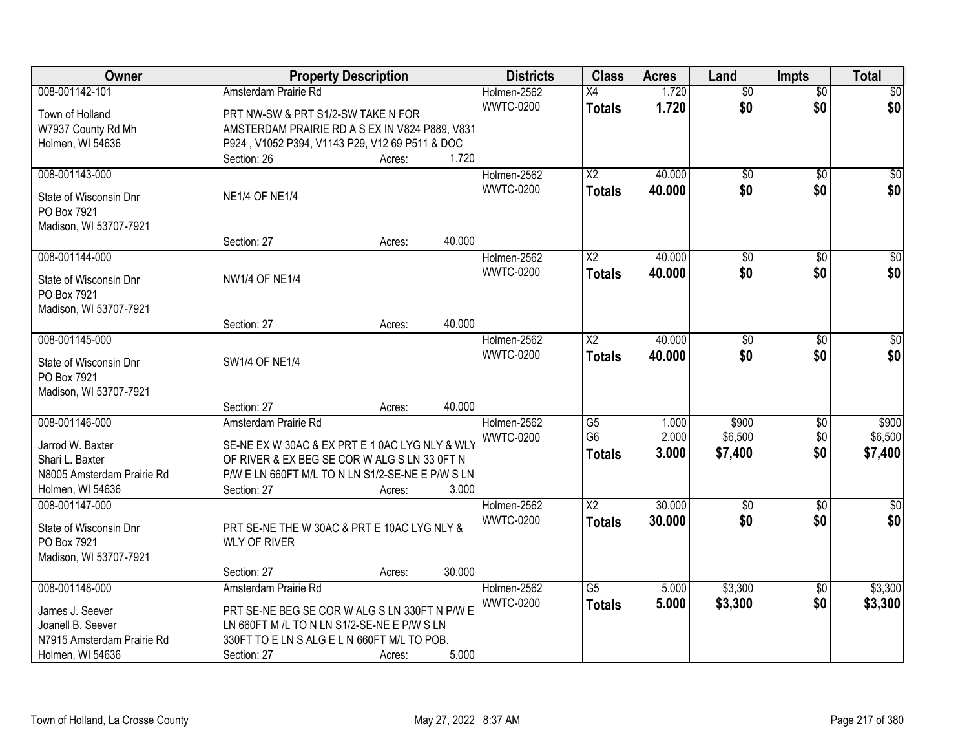| Owner                      | <b>Property Description</b>                      |        |        | <b>Districts</b> | <b>Class</b>    | <b>Acres</b> | Land            | <b>Impts</b>    | <b>Total</b>     |
|----------------------------|--------------------------------------------------|--------|--------|------------------|-----------------|--------------|-----------------|-----------------|------------------|
| 008-001142-101             | Amsterdam Prairie Rd                             |        |        | Holmen-2562      | $\overline{X4}$ | 1.720        | $\overline{50}$ | $\overline{50}$ | \$0              |
| Town of Holland            | PRT NW-SW & PRT S1/2-SW TAKE N FOR               |        |        | <b>WWTC-0200</b> | <b>Totals</b>   | 1.720        | \$0             | \$0             | \$0              |
| W7937 County Rd Mh         | AMSTERDAM PRAIRIE RD A S EX IN V824 P889, V831   |        |        |                  |                 |              |                 |                 |                  |
| Holmen, WI 54636           | P924, V1052 P394, V1143 P29, V12 69 P511 & DOC   |        |        |                  |                 |              |                 |                 |                  |
|                            | Section: 26                                      | Acres: | 1.720  |                  |                 |              |                 |                 |                  |
| 008-001143-000             |                                                  |        |        | Holmen-2562      | $\overline{X2}$ | 40.000       | $\overline{50}$ | $\overline{50}$ | \$0              |
| State of Wisconsin Dnr     | <b>NE1/4 OF NE1/4</b>                            |        |        | <b>WWTC-0200</b> | <b>Totals</b>   | 40.000       | \$0             | \$0             | \$0              |
| PO Box 7921                |                                                  |        |        |                  |                 |              |                 |                 |                  |
| Madison, WI 53707-7921     |                                                  |        |        |                  |                 |              |                 |                 |                  |
|                            | Section: 27                                      | Acres: | 40.000 |                  |                 |              |                 |                 |                  |
| 008-001144-000             |                                                  |        |        | Holmen-2562      | $\overline{X2}$ | 40.000       | $\overline{50}$ | \$0             | $\overline{\$0}$ |
|                            |                                                  |        |        | <b>WWTC-0200</b> | <b>Totals</b>   | 40.000       | \$0             | \$0             | \$0              |
| State of Wisconsin Dnr     | <b>NW1/4 OF NE1/4</b>                            |        |        |                  |                 |              |                 |                 |                  |
| PO Box 7921                |                                                  |        |        |                  |                 |              |                 |                 |                  |
| Madison, WI 53707-7921     | Section: 27                                      | Acres: | 40.000 |                  |                 |              |                 |                 |                  |
| 008-001145-000             |                                                  |        |        | Holmen-2562      | X2              | 40.000       | \$0             | \$0             | $\sqrt{50}$      |
|                            |                                                  |        |        | <b>WWTC-0200</b> | <b>Totals</b>   | 40.000       | \$0             | \$0             | \$0              |
| State of Wisconsin Dnr     | <b>SW1/4 OF NE1/4</b>                            |        |        |                  |                 |              |                 |                 |                  |
| PO Box 7921                |                                                  |        |        |                  |                 |              |                 |                 |                  |
| Madison, WI 53707-7921     |                                                  |        |        |                  |                 |              |                 |                 |                  |
|                            | Section: 27                                      | Acres: | 40.000 |                  |                 |              |                 |                 |                  |
| 008-001146-000             | Amsterdam Prairie Rd                             |        |        | Holmen-2562      | $\overline{G5}$ | 1.000        | \$900           | $\overline{50}$ | \$900            |
| Jarrod W. Baxter           | SE-NE EX W 30AC & EX PRT E 1 0AC LYG NLY & WLY   |        |        | <b>WWTC-0200</b> | G <sub>6</sub>  | 2.000        | \$6,500         | \$0             | \$6,500          |
| Shari L. Baxter            | OF RIVER & EX BEG SE COR W ALG S LN 33 OFT N     |        |        |                  | <b>Totals</b>   | 3.000        | \$7,400         | \$0             | \$7,400          |
| N8005 Amsterdam Prairie Rd | P/W E LN 660FT M/L TO N LN S1/2-SE-NE E P/W S LN |        |        |                  |                 |              |                 |                 |                  |
| Holmen, WI 54636           | Section: 27                                      | Acres: | 3.000  |                  |                 |              |                 |                 |                  |
| 008-001147-000             |                                                  |        |        | Holmen-2562      | $\overline{X2}$ | 30.000       | $\overline{50}$ | \$0             | \$0              |
| State of Wisconsin Dnr     | PRT SE-NE THE W 30AC & PRT E 10AC LYG NLY &      |        |        | <b>WWTC-0200</b> | <b>Totals</b>   | 30.000       | \$0             | \$0             | \$0              |
| PO Box 7921                | <b>WLY OF RIVER</b>                              |        |        |                  |                 |              |                 |                 |                  |
| Madison, WI 53707-7921     |                                                  |        |        |                  |                 |              |                 |                 |                  |
|                            | Section: 27                                      | Acres: | 30.000 |                  |                 |              |                 |                 |                  |
| 008-001148-000             | Amsterdam Prairie Rd                             |        |        | Holmen-2562      | $\overline{G5}$ | 5.000        | \$3,300         | $\overline{30}$ | \$3,300          |
| James J. Seever            | PRT SE-NE BEG SE COR W ALG S LN 330FT N P/W E    |        |        | <b>WWTC-0200</b> | <b>Totals</b>   | 5.000        | \$3,300         | \$0             | \$3,300          |
| Joanell B. Seever          | LN 660FT M /L TO N LN S1/2-SE-NE E P/W S LN      |        |        |                  |                 |              |                 |                 |                  |
| N7915 Amsterdam Prairie Rd | 330FT TO E LN S ALG E L N 660FT M/L TO POB.      |        |        |                  |                 |              |                 |                 |                  |
| Holmen, WI 54636           | Section: 27                                      | Acres: | 5.000  |                  |                 |              |                 |                 |                  |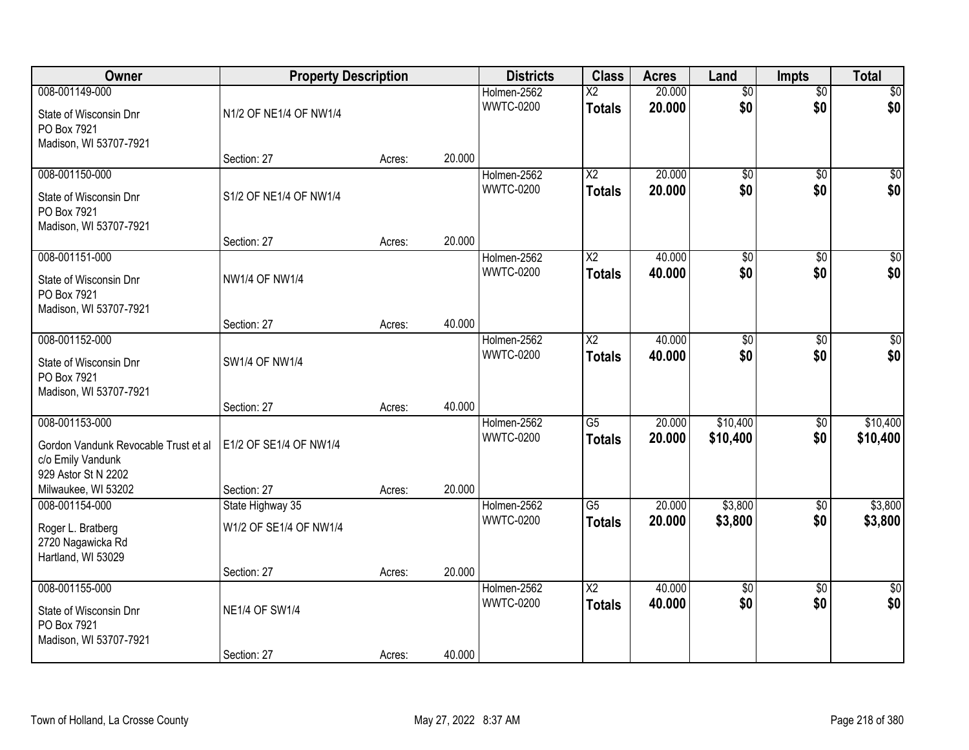| Owner                                                                                                                     | <b>Property Description</b>           |        |        | <b>Districts</b>                | <b>Class</b>                            | <b>Acres</b>     | Land                   | <b>Impts</b>           | <b>Total</b>          |
|---------------------------------------------------------------------------------------------------------------------------|---------------------------------------|--------|--------|---------------------------------|-----------------------------------------|------------------|------------------------|------------------------|-----------------------|
| 008-001149-000<br>State of Wisconsin Dnr<br>PO Box 7921<br>Madison, WI 53707-7921                                         | N1/2 OF NE1/4 OF NW1/4                |        |        | Holmen-2562<br><b>WWTC-0200</b> | $\overline{\text{X2}}$<br><b>Totals</b> | 20.000<br>20.000 | $\overline{50}$<br>\$0 | $\overline{50}$<br>\$0 | $\sqrt{30}$<br>\$0    |
|                                                                                                                           | Section: 27                           | Acres: | 20.000 |                                 |                                         |                  |                        |                        |                       |
| 008-001150-000<br>State of Wisconsin Dnr<br>PO Box 7921<br>Madison, WI 53707-7921                                         | S1/2 OF NE1/4 OF NW1/4                |        |        | Holmen-2562<br><b>WWTC-0200</b> | $\overline{X2}$<br><b>Totals</b>        | 20.000<br>20.000 | $\overline{50}$<br>\$0 | $\overline{50}$<br>\$0 | $\sqrt{50}$<br>\$0    |
|                                                                                                                           | Section: 27                           | Acres: | 20.000 |                                 |                                         | 40.000           |                        |                        | $\overline{30}$       |
| 008-001151-000<br>State of Wisconsin Dnr<br>PO Box 7921<br>Madison, WI 53707-7921                                         | <b>NW1/4 OF NW1/4</b>                 |        |        | Holmen-2562<br><b>WWTC-0200</b> | X2<br><b>Totals</b>                     | 40.000           | \$0<br>\$0             | \$0<br>\$0             | \$0                   |
|                                                                                                                           | Section: 27                           | Acres: | 40.000 |                                 |                                         |                  |                        |                        |                       |
| 008-001152-000<br>State of Wisconsin Dnr<br>PO Box 7921<br>Madison, WI 53707-7921                                         | SW1/4 OF NW1/4                        |        |        | Holmen-2562<br><b>WWTC-0200</b> | X2<br><b>Totals</b>                     | 40.000<br>40.000 | $\overline{60}$<br>\$0 | \$0<br>\$0             | \$0<br>\$0            |
|                                                                                                                           | Section: 27                           | Acres: | 40.000 |                                 |                                         |                  |                        |                        |                       |
| 008-001153-000<br>Gordon Vandunk Revocable Trust et al<br>c/o Emily Vandunk<br>929 Astor St N 2202<br>Milwaukee, WI 53202 | E1/2 OF SE1/4 OF NW1/4<br>Section: 27 | Acres: | 20.000 | Holmen-2562<br><b>WWTC-0200</b> | $\overline{G5}$<br><b>Totals</b>        | 20.000<br>20.000 | \$10,400<br>\$10,400   | $\overline{50}$<br>\$0 | \$10,400<br>\$10,400  |
| 008-001154-000                                                                                                            | State Highway 35                      |        |        | Holmen-2562                     | $\overline{G5}$                         | 20.000           | \$3,800                | $\sqrt{6}$             | \$3,800               |
| Roger L. Bratberg<br>2720 Nagawicka Rd<br>Hartland, WI 53029                                                              | W1/2 OF SE1/4 OF NW1/4                |        |        | <b>WWTC-0200</b>                | <b>Totals</b>                           | 20.000           | \$3,800                | \$0                    | \$3,800               |
|                                                                                                                           | Section: 27                           | Acres: | 20.000 |                                 |                                         |                  |                        |                        |                       |
| 008-001155-000<br>State of Wisconsin Dnr<br>PO Box 7921<br>Madison, WI 53707-7921                                         | <b>NE1/4 OF SW1/4</b><br>Section: 27  | Acres: | 40.000 | Holmen-2562<br><b>WWTC-0200</b> | $\overline{\text{X2}}$<br><b>Totals</b> | 40.000<br>40.000 | $\overline{50}$<br>\$0 | $\overline{50}$<br>\$0 | $\frac{1}{30}$<br>\$0 |
|                                                                                                                           |                                       |        |        |                                 |                                         |                  |                        |                        |                       |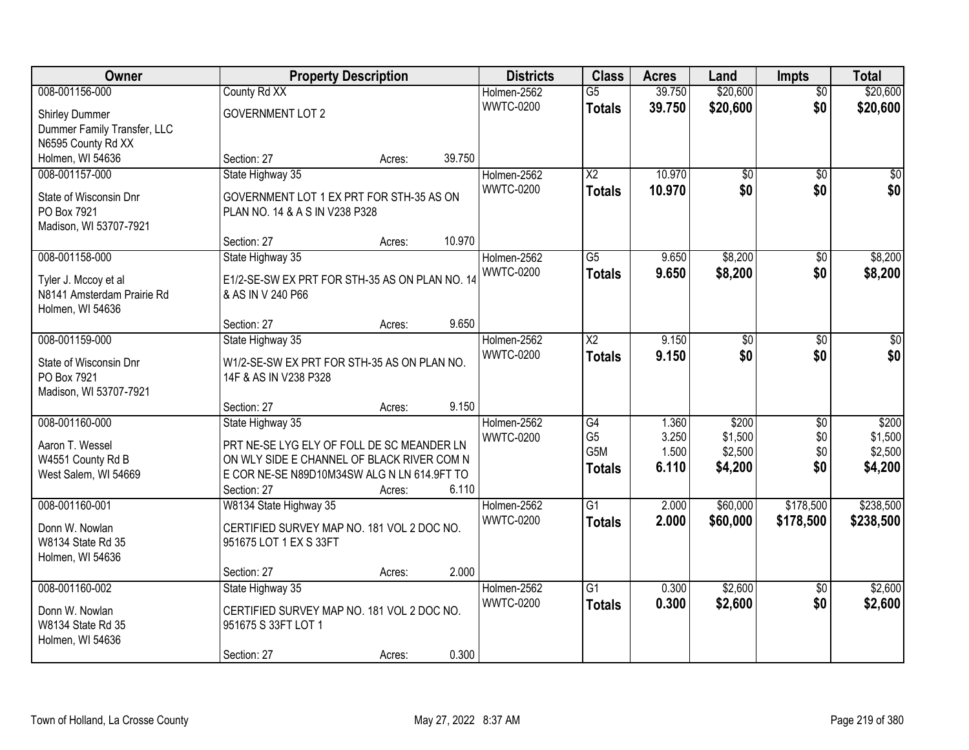| Owner                       |                                                | <b>Property Description</b> |        | <b>Districts</b> | <b>Class</b>           | <b>Acres</b>   | Land            | <b>Impts</b>    | <b>Total</b> |
|-----------------------------|------------------------------------------------|-----------------------------|--------|------------------|------------------------|----------------|-----------------|-----------------|--------------|
| 008-001156-000              | County Rd XX                                   |                             |        | Holmen-2562      | $\overline{G5}$        | 39.750         | \$20,600        | $\overline{50}$ | \$20,600     |
| <b>Shirley Dummer</b>       | <b>GOVERNMENT LOT 2</b>                        |                             |        | <b>WWTC-0200</b> | <b>Totals</b>          | 39.750         | \$20,600        | \$0             | \$20,600     |
| Dummer Family Transfer, LLC |                                                |                             |        |                  |                        |                |                 |                 |              |
| N6595 County Rd XX          |                                                |                             |        |                  |                        |                |                 |                 |              |
| Holmen, WI 54636            | Section: 27                                    | Acres:                      | 39.750 |                  |                        |                |                 |                 |              |
| 008-001157-000              | State Highway 35                               |                             |        | Holmen-2562      | $\overline{\text{X2}}$ | 10.970         | $\overline{50}$ | $\overline{50}$ | \$0          |
| State of Wisconsin Dnr      | GOVERNMENT LOT 1 EX PRT FOR STH-35 AS ON       |                             |        | <b>WWTC-0200</b> | <b>Totals</b>          | 10.970         | \$0             | \$0             | \$0          |
| PO Box 7921                 | PLAN NO. 14 & A S IN V238 P328                 |                             |        |                  |                        |                |                 |                 |              |
| Madison, WI 53707-7921      |                                                |                             |        |                  |                        |                |                 |                 |              |
|                             | Section: 27                                    | Acres:                      | 10.970 |                  |                        |                |                 |                 |              |
| 008-001158-000              | State Highway 35                               |                             |        | Holmen-2562      | G5                     | 9.650          | \$8,200         | \$0             | \$8,200      |
| Tyler J. Mccoy et al        | E1/2-SE-SW EX PRT FOR STH-35 AS ON PLAN NO. 14 |                             |        | <b>WWTC-0200</b> | <b>Totals</b>          | 9.650          | \$8,200         | \$0             | \$8,200      |
| N8141 Amsterdam Prairie Rd  | & AS IN V 240 P66                              |                             |        |                  |                        |                |                 |                 |              |
| Holmen, WI 54636            |                                                |                             |        |                  |                        |                |                 |                 |              |
|                             | Section: 27                                    | Acres:                      | 9.650  |                  |                        |                |                 |                 |              |
| 008-001159-000              | State Highway 35                               |                             |        | Holmen-2562      | X2                     | 9.150          | \$0             | $\sqrt{6}$      | $\sqrt{50}$  |
| State of Wisconsin Dnr      | W1/2-SE-SW EX PRT FOR STH-35 AS ON PLAN NO.    |                             |        | <b>WWTC-0200</b> | <b>Totals</b>          | 9.150          | \$0             | \$0             | \$0          |
| PO Box 7921                 | 14F & AS IN V238 P328                          |                             |        |                  |                        |                |                 |                 |              |
| Madison, WI 53707-7921      |                                                |                             |        |                  |                        |                |                 |                 |              |
|                             | Section: 27                                    | Acres:                      | 9.150  |                  |                        |                |                 |                 |              |
| 008-001160-000              | State Highway 35                               |                             |        | Holmen-2562      | $\overline{G4}$        | 1.360          | \$200           | $\overline{50}$ | \$200        |
| Aaron T. Wessel             | PRT NE-SE LYG ELY OF FOLL DE SC MEANDER LN     |                             |        | <b>WWTC-0200</b> | G <sub>5</sub>         | 3.250          | \$1,500         | \$0             | \$1,500      |
| W4551 County Rd B           | ON WLY SIDE E CHANNEL OF BLACK RIVER COM N     |                             |        |                  | G <sub>5</sub> M       | 1.500<br>6.110 | \$2,500         | \$0<br>\$0      | \$2,500      |
| West Salem, WI 54669        | E COR NE-SE N89D10M34SW ALG N LN 614.9FT TO    |                             |        |                  | <b>Totals</b>          |                | \$4,200         |                 | \$4,200      |
|                             | Section: 27                                    | Acres:                      | 6.110  |                  |                        |                |                 |                 |              |
| 008-001160-001              | W8134 State Highway 35                         |                             |        | Holmen-2562      | $\overline{G1}$        | 2.000          | \$60,000        | \$178,500       | \$238,500    |
| Donn W. Nowlan              | CERTIFIED SURVEY MAP NO. 181 VOL 2 DOC NO.     |                             |        | <b>WWTC-0200</b> | <b>Totals</b>          | 2.000          | \$60,000        | \$178,500       | \$238,500    |
| W8134 State Rd 35           | 951675 LOT 1 EX S 33FT                         |                             |        |                  |                        |                |                 |                 |              |
| Holmen, WI 54636            |                                                |                             |        |                  |                        |                |                 |                 |              |
|                             | Section: 27                                    | Acres:                      | 2.000  |                  |                        |                |                 |                 |              |
| 008-001160-002              | State Highway 35                               |                             |        | Holmen-2562      | $\overline{G1}$        | 0.300          | \$2,600         | $\overline{50}$ | \$2,600      |
| Donn W. Nowlan              | CERTIFIED SURVEY MAP NO. 181 VOL 2 DOC NO.     |                             |        | <b>WWTC-0200</b> | <b>Totals</b>          | 0.300          | \$2,600         | \$0             | \$2,600      |
| W8134 State Rd 35           | 951675 S 33FT LOT 1                            |                             |        |                  |                        |                |                 |                 |              |
| Holmen, WI 54636            |                                                |                             |        |                  |                        |                |                 |                 |              |
|                             | Section: 27                                    | Acres:                      | 0.300  |                  |                        |                |                 |                 |              |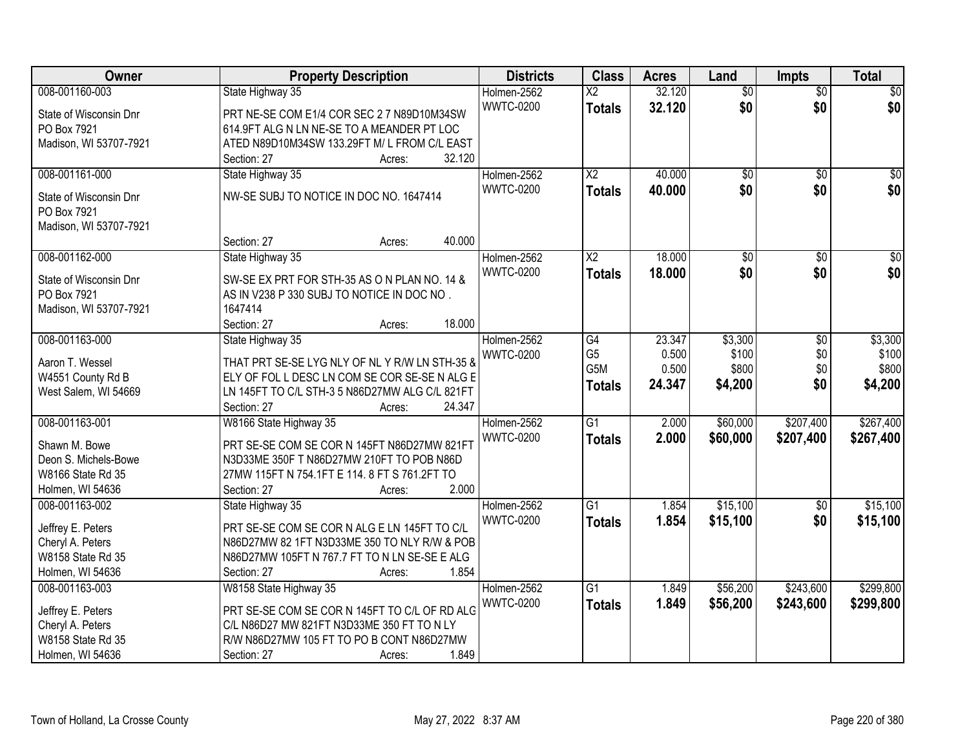| Owner                                 | <b>Property Description</b>                    | <b>Districts</b> | <b>Class</b>           | <b>Acres</b> | Land            | <b>Impts</b>    | <b>Total</b>    |
|---------------------------------------|------------------------------------------------|------------------|------------------------|--------------|-----------------|-----------------|-----------------|
| 008-001160-003                        | State Highway 35                               | Holmen-2562      | $\overline{X2}$        | 32.120       | $\overline{50}$ | $\overline{50}$ | \$0             |
| State of Wisconsin Dnr                | PRT NE-SE COM E1/4 COR SEC 2 7 N89D10M34SW     | <b>WWTC-0200</b> | <b>Totals</b>          | 32.120       | \$0             | \$0             | \$0             |
| PO Box 7921                           | 614.9FT ALG N LN NE-SE TO A MEANDER PT LOC     |                  |                        |              |                 |                 |                 |
| Madison, WI 53707-7921                | ATED N89D10M34SW 133.29FT M/L FROM C/L EAST    |                  |                        |              |                 |                 |                 |
|                                       | 32.120<br>Section: 27<br>Acres:                |                  |                        |              |                 |                 |                 |
| 008-001161-000                        | State Highway 35                               | Holmen-2562      | $\overline{X2}$        | 40.000       | $\overline{50}$ | $\overline{50}$ | \$0             |
|                                       | NW-SE SUBJ TO NOTICE IN DOC NO. 1647414        | <b>WWTC-0200</b> | <b>Totals</b>          | 40.000       | \$0             | \$0             | \$0             |
| State of Wisconsin Dnr<br>PO Box 7921 |                                                |                  |                        |              |                 |                 |                 |
| Madison, WI 53707-7921                |                                                |                  |                        |              |                 |                 |                 |
|                                       | 40.000<br>Section: 27<br>Acres:                |                  |                        |              |                 |                 |                 |
| 008-001162-000                        | State Highway 35                               | Holmen-2562      | $\overline{\text{X2}}$ | 18.000       | $\overline{50}$ | $\overline{50}$ | $\overline{30}$ |
|                                       |                                                | <b>WWTC-0200</b> | <b>Totals</b>          | 18,000       | \$0             | \$0             | \$0             |
| State of Wisconsin Dnr                | SW-SE EX PRT FOR STH-35 AS ON PLAN NO. 14 &    |                  |                        |              |                 |                 |                 |
| PO Box 7921                           | AS IN V238 P 330 SUBJ TO NOTICE IN DOC NO.     |                  |                        |              |                 |                 |                 |
| Madison, WI 53707-7921                | 1647414                                        |                  |                        |              |                 |                 |                 |
|                                       | 18.000<br>Section: 27<br>Acres:                |                  |                        |              |                 |                 |                 |
| 008-001163-000                        | State Highway 35                               | Holmen-2562      | $\overline{G4}$        | 23.347       | \$3,300         | \$0             | \$3,300         |
| Aaron T. Wessel                       | THAT PRT SE-SE LYG NLY OF NL Y R/W LN STH-35 & | <b>WWTC-0200</b> | G <sub>5</sub>         | 0.500        | \$100           | \$0             | \$100           |
| W4551 County Rd B                     | ELY OF FOL L DESC LN COM SE COR SE-SE N ALG E  |                  | G5M                    | 0.500        | \$800           | \$0             | \$800           |
| West Salem, WI 54669                  | LN 145FT TO C/L STH-3 5 N86D27MW ALG C/L 821FT |                  | <b>Totals</b>          | 24.347       | \$4,200         | \$0             | \$4,200         |
|                                       | Section: 27<br>24.347<br>Acres:                |                  |                        |              |                 |                 |                 |
| 008-001163-001                        | W8166 State Highway 35                         | Holmen-2562      | $\overline{G1}$        | 2.000        | \$60,000        | \$207,400       | \$267,400       |
| Shawn M. Bowe                         | PRT SE-SE COM SE COR N 145FT N86D27MW 821FT    | <b>WWTC-0200</b> | <b>Totals</b>          | 2.000        | \$60,000        | \$207,400       | \$267,400       |
| Deon S. Michels-Bowe                  | N3D33ME 350F T N86D27MW 210FT TO POB N86D      |                  |                        |              |                 |                 |                 |
| W8166 State Rd 35                     | 27MW 115FT N 754.1FT E 114.8 FT S 761.2FT TO   |                  |                        |              |                 |                 |                 |
| Holmen, WI 54636                      | 2.000<br>Section: 27<br>Acres:                 |                  |                        |              |                 |                 |                 |
| 008-001163-002                        | State Highway 35                               | Holmen-2562      | $\overline{G1}$        | 1.854        | \$15,100        | $\overline{50}$ | \$15,100        |
|                                       |                                                | <b>WWTC-0200</b> | <b>Totals</b>          | 1.854        | \$15,100        | \$0             | \$15,100        |
| Jeffrey E. Peters                     | PRT SE-SE COM SE COR N ALG E LN 145FT TO C/L   |                  |                        |              |                 |                 |                 |
| Cheryl A. Peters                      | N86D27MW 82 1FT N3D33ME 350 TO NLY R/W & POB   |                  |                        |              |                 |                 |                 |
| W8158 State Rd 35                     | N86D27MW 105FT N 767.7 FT TO N LN SE-SE E ALG  |                  |                        |              |                 |                 |                 |
| Holmen, WI 54636                      | Section: 27<br>1.854<br>Acres:                 |                  |                        |              |                 |                 |                 |
| 008-001163-003                        | W8158 State Highway 35                         | Holmen-2562      | $\overline{G1}$        | 1.849        | \$56,200        | \$243,600       | \$299,800       |
| Jeffrey E. Peters                     | PRT SE-SE COM SE COR N 145FT TO C/L OF RD ALG  | <b>WWTC-0200</b> | <b>Totals</b>          | 1.849        | \$56,200        | \$243,600       | \$299,800       |
| Cheryl A. Peters                      | C/L N86D27 MW 821FT N3D33ME 350 FT TO N LY     |                  |                        |              |                 |                 |                 |
| W8158 State Rd 35                     | R/W N86D27MW 105 FT TO PO B CONT N86D27MW      |                  |                        |              |                 |                 |                 |
| Holmen, WI 54636                      | 1.849<br>Section: 27<br>Acres:                 |                  |                        |              |                 |                 |                 |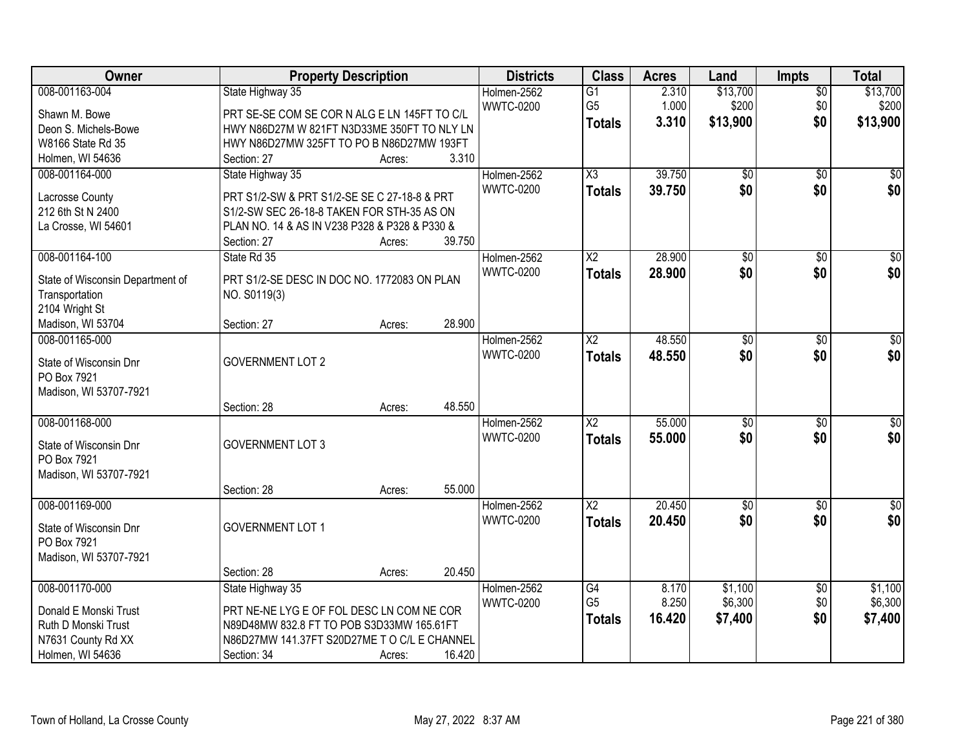| Owner                               | <b>Property Description</b>                   |        |        | <b>Districts</b> | <b>Class</b>             | <b>Acres</b> | Land            | <b>Impts</b>    | <b>Total</b>     |
|-------------------------------------|-----------------------------------------------|--------|--------|------------------|--------------------------|--------------|-----------------|-----------------|------------------|
| 008-001163-004                      | State Highway 35                              |        |        | Holmen-2562      | $\overline{G1}$          | 2.310        | \$13,700        | $\overline{50}$ | \$13,700         |
| Shawn M. Bowe                       | PRT SE-SE COM SE COR N ALG E LN 145FT TO C/L  |        |        | <b>WWTC-0200</b> | G <sub>5</sub>           | 1.000        | \$200           | \$0             | \$200            |
| Deon S. Michels-Bowe                | HWY N86D27M W 821FT N3D33ME 350FT TO NLY LN   |        |        |                  | <b>Totals</b>            | 3.310        | \$13,900        | \$0             | \$13,900         |
| W8166 State Rd 35                   | HWY N86D27MW 325FT TO PO B N86D27MW 193FT     |        |        |                  |                          |              |                 |                 |                  |
| Holmen, WI 54636                    | Section: 27                                   | Acres: | 3.310  |                  |                          |              |                 |                 |                  |
| 008-001164-000                      | State Highway 35                              |        |        | Holmen-2562      | $\overline{\chi_3}$      | 39.750       | $\overline{50}$ | $\overline{50}$ | \$0              |
| Lacrosse County                     | PRT S1/2-SW & PRT S1/2-SE SE C 27-18-8 & PRT  |        |        | <b>WWTC-0200</b> | <b>Totals</b>            | 39.750       | \$0             | \$0             | \$0              |
| 212 6th St N 2400                   | S1/2-SW SEC 26-18-8 TAKEN FOR STH-35 AS ON    |        |        |                  |                          |              |                 |                 |                  |
| La Crosse, WI 54601                 | PLAN NO. 14 & AS IN V238 P328 & P328 & P330 & |        |        |                  |                          |              |                 |                 |                  |
|                                     | Section: 27                                   | Acres: | 39.750 |                  |                          |              |                 |                 |                  |
| 008-001164-100                      | State Rd 35                                   |        |        | Holmen-2562      | $\overline{\mathsf{X2}}$ | 28.900       | $\overline{50}$ | \$0             | $\overline{\$0}$ |
|                                     |                                               |        |        | <b>WWTC-0200</b> | <b>Totals</b>            | 28.900       | \$0             | \$0             | \$0              |
| State of Wisconsin Department of    | PRT S1/2-SE DESC IN DOC NO. 1772083 ON PLAN   |        |        |                  |                          |              |                 |                 |                  |
| Transportation                      | NO. S0119(3)                                  |        |        |                  |                          |              |                 |                 |                  |
| 2104 Wright St<br>Madison, WI 53704 | Section: 27                                   | Acres: | 28.900 |                  |                          |              |                 |                 |                  |
| 008-001165-000                      |                                               |        |        | Holmen-2562      | X2                       | 48.550       | $\overline{50}$ | \$0             | $\sqrt{50}$      |
|                                     |                                               |        |        | <b>WWTC-0200</b> | <b>Totals</b>            | 48.550       | \$0             | \$0             | \$0              |
| State of Wisconsin Dnr              | <b>GOVERNMENT LOT 2</b>                       |        |        |                  |                          |              |                 |                 |                  |
| PO Box 7921                         |                                               |        |        |                  |                          |              |                 |                 |                  |
| Madison, WI 53707-7921              |                                               |        |        |                  |                          |              |                 |                 |                  |
|                                     | Section: 28                                   | Acres: | 48.550 |                  |                          |              |                 |                 |                  |
| 008-001168-000                      |                                               |        |        | Holmen-2562      | $\overline{\text{X2}}$   | 55.000       | $\overline{50}$ | \$0             | $\sqrt{50}$      |
| State of Wisconsin Dnr              | <b>GOVERNMENT LOT 3</b>                       |        |        | <b>WWTC-0200</b> | <b>Totals</b>            | 55.000       | \$0             | \$0             | \$0              |
| PO Box 7921                         |                                               |        |        |                  |                          |              |                 |                 |                  |
| Madison, WI 53707-7921              |                                               |        |        |                  |                          |              |                 |                 |                  |
|                                     | Section: 28                                   | Acres: | 55.000 |                  |                          |              |                 |                 |                  |
| 008-001169-000                      |                                               |        |        | Holmen-2562      | $\overline{\mathsf{X2}}$ | 20.450       | $\sqrt{$0}$     | $\overline{30}$ | $\sqrt{50}$      |
| State of Wisconsin Dnr              | <b>GOVERNMENT LOT 1</b>                       |        |        | <b>WWTC-0200</b> | <b>Totals</b>            | 20.450       | \$0             | \$0             | \$0              |
| PO Box 7921                         |                                               |        |        |                  |                          |              |                 |                 |                  |
| Madison, WI 53707-7921              |                                               |        |        |                  |                          |              |                 |                 |                  |
|                                     | Section: 28                                   | Acres: | 20.450 |                  |                          |              |                 |                 |                  |
| 008-001170-000                      | State Highway 35                              |        |        | Holmen-2562      | G4                       | 8.170        | \$1,100         | $\overline{50}$ | \$1,100          |
| Donald E Monski Trust               | PRT NE-NE LYG E OF FOL DESC LN COM NE COR     |        |        | <b>WWTC-0200</b> | G <sub>5</sub>           | 8.250        | \$6,300         | \$0             | \$6,300          |
| Ruth D Monski Trust                 | N89D48MW 832.8 FT TO POB S3D33MW 165.61FT     |        |        |                  | <b>Totals</b>            | 16.420       | \$7,400         | \$0             | \$7,400          |
| N7631 County Rd XX                  | N86D27MW 141.37FT S20D27ME T O C/L E CHANNEL  |        |        |                  |                          |              |                 |                 |                  |
| Holmen, WI 54636                    | Section: 34                                   | Acres: | 16.420 |                  |                          |              |                 |                 |                  |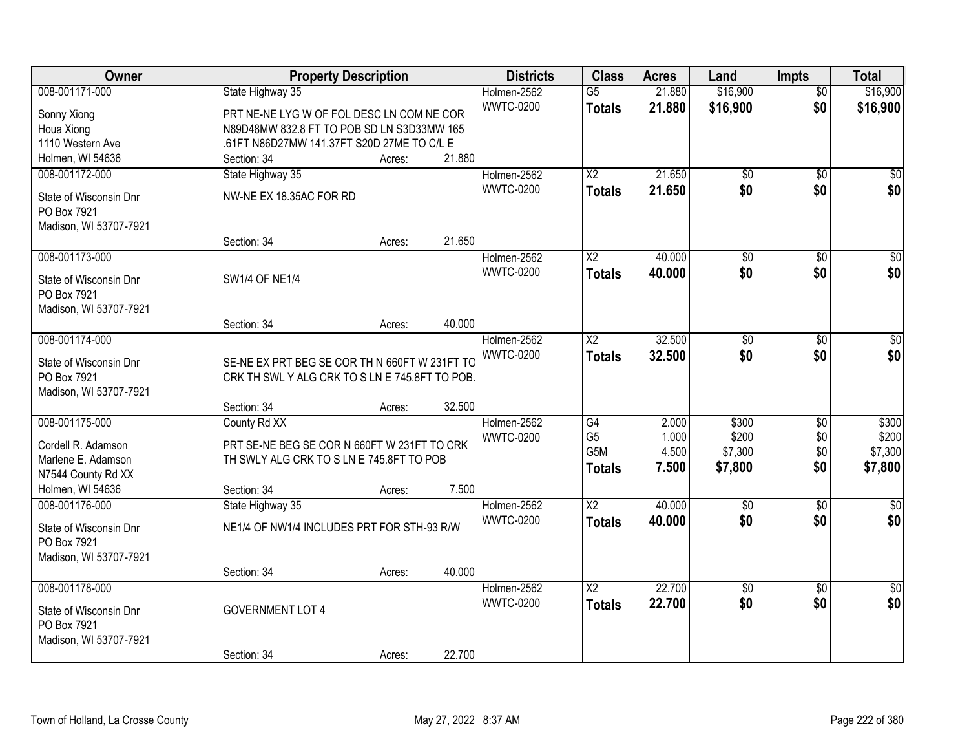| Owner                                 | <b>Property Description</b>                    |        |        | <b>Districts</b> | <b>Class</b>           | <b>Acres</b> | Land            | <b>Impts</b>    | <b>Total</b>    |
|---------------------------------------|------------------------------------------------|--------|--------|------------------|------------------------|--------------|-----------------|-----------------|-----------------|
| 008-001171-000                        | State Highway 35                               |        |        | Holmen-2562      | $\overline{G5}$        | 21.880       | \$16,900        | $\overline{50}$ | \$16,900        |
| Sonny Xiong                           | PRT NE-NE LYG W OF FOL DESC LN COM NE COR      |        |        | <b>WWTC-0200</b> | <b>Totals</b>          | 21.880       | \$16,900        | \$0             | \$16,900        |
| Houa Xiong                            | N89D48MW 832.8 FT TO POB SD LN S3D33MW 165     |        |        |                  |                        |              |                 |                 |                 |
| 1110 Western Ave                      | .61FT N86D27MW 141.37FT S20D 27ME TO C/L E     |        |        |                  |                        |              |                 |                 |                 |
| Holmen, WI 54636                      | Section: 34                                    | Acres: | 21.880 |                  |                        |              |                 |                 |                 |
| 008-001172-000                        | State Highway 35                               |        |        | Holmen-2562      | $\overline{X2}$        | 21.650       | $\overline{50}$ | $\overline{50}$ | \$0             |
|                                       |                                                |        |        | <b>WWTC-0200</b> | Totals                 | 21.650       | \$0             | \$0             | \$0             |
| State of Wisconsin Dnr                | NW-NE EX 18.35AC FOR RD                        |        |        |                  |                        |              |                 |                 |                 |
| PO Box 7921<br>Madison, WI 53707-7921 |                                                |        |        |                  |                        |              |                 |                 |                 |
|                                       | Section: 34                                    | Acres: | 21.650 |                  |                        |              |                 |                 |                 |
| 008-001173-000                        |                                                |        |        | Holmen-2562      | X <sub>2</sub>         | 40.000       | \$0             | \$0             | $\overline{50}$ |
|                                       |                                                |        |        | <b>WWTC-0200</b> |                        | 40.000       | \$0             | \$0             | \$0             |
| State of Wisconsin Dnr                | SW1/4 OF NE1/4                                 |        |        |                  | <b>Totals</b>          |              |                 |                 |                 |
| PO Box 7921                           |                                                |        |        |                  |                        |              |                 |                 |                 |
| Madison, WI 53707-7921                |                                                |        |        |                  |                        |              |                 |                 |                 |
|                                       | Section: 34                                    | Acres: | 40.000 |                  |                        |              |                 |                 |                 |
| 008-001174-000                        |                                                |        |        | Holmen-2562      | X <sub>2</sub>         | 32.500       | \$0             | $\sqrt{6}$      | $\sqrt{50}$     |
| State of Wisconsin Dnr                | SE-NE EX PRT BEG SE COR TH N 660FT W 231FT TO  |        |        | <b>WWTC-0200</b> | <b>Totals</b>          | 32.500       | \$0             | \$0             | \$0             |
| PO Box 7921                           | CRK TH SWL Y ALG CRK TO S LN E 745.8FT TO POB. |        |        |                  |                        |              |                 |                 |                 |
| Madison, WI 53707-7921                |                                                |        |        |                  |                        |              |                 |                 |                 |
|                                       | Section: 34                                    | Acres: | 32.500 |                  |                        |              |                 |                 |                 |
| 008-001175-000                        | County Rd XX                                   |        |        | Holmen-2562      | $\overline{G4}$        | 2.000        | \$300           | $\overline{50}$ | \$300           |
|                                       |                                                |        |        | <b>WWTC-0200</b> | G <sub>5</sub>         | 1.000        | \$200           | \$0             | \$200           |
| Cordell R. Adamson                    | PRT SE-NE BEG SE COR N 660FT W 231FT TO CRK    |        |        |                  | G5M                    | 4.500        | \$7,300         | \$0             | \$7,300         |
| Marlene E. Adamson                    | TH SWLY ALG CRK TO S LN E 745.8FT TO POB       |        |        |                  | <b>Totals</b>          | 7.500        | \$7,800         | \$0             | \$7,800         |
| N7544 County Rd XX                    |                                                |        |        |                  |                        |              |                 |                 |                 |
| Holmen, WI 54636                      | Section: 34                                    | Acres: | 7.500  |                  |                        |              |                 |                 |                 |
| 008-001176-000                        | State Highway 35                               |        |        | Holmen-2562      | $\overline{\text{X2}}$ | 40.000       | $\overline{50}$ | $\overline{30}$ | \$0             |
| State of Wisconsin Dnr                | NE1/4 OF NW1/4 INCLUDES PRT FOR STH-93 R/W     |        |        | <b>WWTC-0200</b> | <b>Totals</b>          | 40.000       | \$0             | \$0             | \$0             |
| PO Box 7921                           |                                                |        |        |                  |                        |              |                 |                 |                 |
| Madison, WI 53707-7921                |                                                |        |        |                  |                        |              |                 |                 |                 |
|                                       | Section: 34                                    | Acres: | 40.000 |                  |                        |              |                 |                 |                 |
| 008-001178-000                        |                                                |        |        | Holmen-2562      | $\overline{X2}$        | 22.700       | $\overline{50}$ | $\overline{50}$ | $\overline{30}$ |
| State of Wisconsin Dnr                | <b>GOVERNMENT LOT 4</b>                        |        |        | <b>WWTC-0200</b> | <b>Totals</b>          | 22.700       | \$0             | \$0             | \$0             |
| PO Box 7921                           |                                                |        |        |                  |                        |              |                 |                 |                 |
| Madison, WI 53707-7921                |                                                |        |        |                  |                        |              |                 |                 |                 |
|                                       | Section: 34                                    | Acres: | 22.700 |                  |                        |              |                 |                 |                 |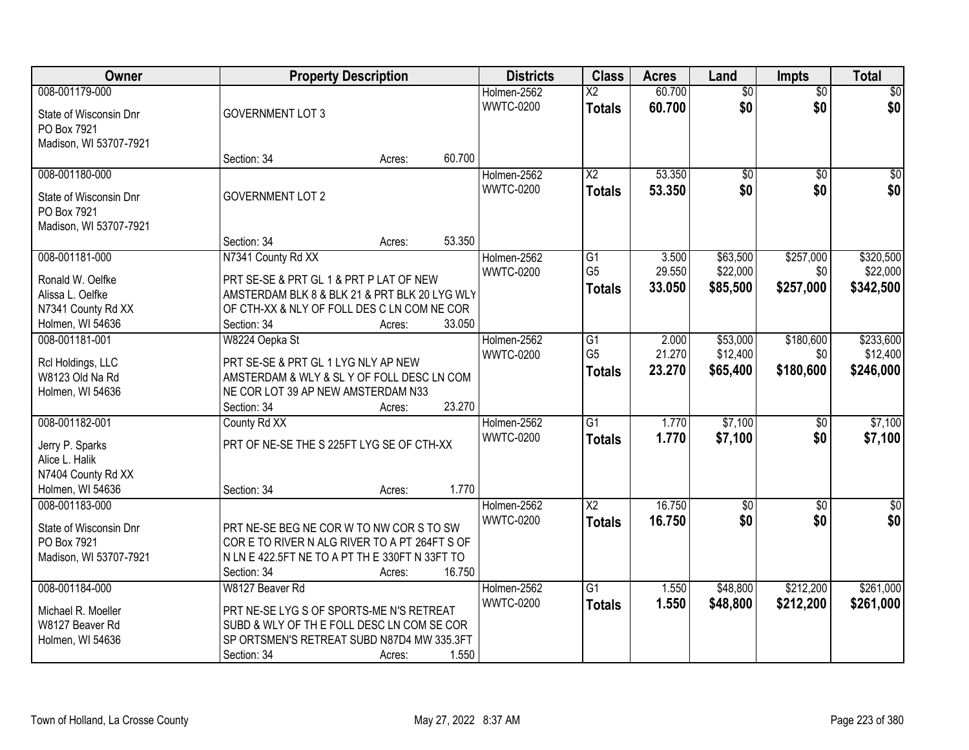| Owner                                | <b>Property Description</b>                                                              |        |        | <b>Districts</b> | <b>Class</b>           | <b>Acres</b> | Land            | <b>Impts</b>    | <b>Total</b>     |
|--------------------------------------|------------------------------------------------------------------------------------------|--------|--------|------------------|------------------------|--------------|-----------------|-----------------|------------------|
| 008-001179-000                       |                                                                                          |        |        | Holmen-2562      | $\overline{\text{X2}}$ | 60.700       | $\overline{50}$ | $\overline{50}$ | $\sqrt{30}$      |
| State of Wisconsin Dnr               | <b>GOVERNMENT LOT 3</b>                                                                  |        |        | <b>WWTC-0200</b> | <b>Totals</b>          | 60.700       | \$0             | \$0             | \$0              |
| PO Box 7921                          |                                                                                          |        |        |                  |                        |              |                 |                 |                  |
| Madison, WI 53707-7921               |                                                                                          |        |        |                  |                        |              |                 |                 |                  |
|                                      | Section: 34                                                                              | Acres: | 60.700 |                  |                        |              |                 |                 |                  |
| 008-001180-000                       |                                                                                          |        |        | Holmen-2562      | $\overline{\text{X2}}$ | 53.350       | $\overline{50}$ | $\overline{30}$ | $\sqrt{50}$      |
| State of Wisconsin Dnr               | <b>GOVERNMENT LOT 2</b>                                                                  |        |        | <b>WWTC-0200</b> | <b>Totals</b>          | 53.350       | \$0             | \$0             | \$0              |
| PO Box 7921                          |                                                                                          |        |        |                  |                        |              |                 |                 |                  |
| Madison, WI 53707-7921               |                                                                                          |        |        |                  |                        |              |                 |                 |                  |
|                                      | Section: 34                                                                              | Acres: | 53.350 |                  |                        |              |                 |                 |                  |
| 008-001181-000                       | N7341 County Rd XX                                                                       |        |        | Holmen-2562      | G1                     | 3.500        | \$63,500        | \$257,000       | \$320,500        |
|                                      |                                                                                          |        |        | <b>WWTC-0200</b> | G <sub>5</sub>         | 29.550       | \$22,000        | \$0             | \$22,000         |
| Ronald W. Oelfke<br>Alissa L. Oelfke | PRT SE-SE & PRT GL 1 & PRT P LAT OF NEW<br>AMSTERDAM BLK 8 & BLK 21 & PRT BLK 20 LYG WLY |        |        |                  | <b>Totals</b>          | 33.050       | \$85,500        | \$257,000       | \$342,500        |
| N7341 County Rd XX                   | OF CTH-XX & NLY OF FOLL DES C LN COM NE COR                                              |        |        |                  |                        |              |                 |                 |                  |
| Holmen, WI 54636                     | Section: 34                                                                              | Acres: | 33.050 |                  |                        |              |                 |                 |                  |
| 008-001181-001                       | W8224 Oepka St                                                                           |        |        | Holmen-2562      | G1                     | 2.000        | \$53,000        | \$180,600       | \$233,600        |
|                                      |                                                                                          |        |        | <b>WWTC-0200</b> | G <sub>5</sub>         | 21.270       | \$12,400        | \$0             | \$12,400         |
| Rcl Holdings, LLC                    | PRT SE-SE & PRT GL 1 LYG NLY AP NEW                                                      |        |        |                  | <b>Totals</b>          | 23.270       | \$65,400        | \$180,600       | \$246,000        |
| W8123 Old Na Rd                      | AMSTERDAM & WLY & SL Y OF FOLL DESC LN COM                                               |        |        |                  |                        |              |                 |                 |                  |
| Holmen, WI 54636                     | NE COR LOT 39 AP NEW AMSTERDAM N33                                                       |        | 23.270 |                  |                        |              |                 |                 |                  |
| 008-001182-001                       | Section: 34<br>County Rd XX                                                              | Acres: |        | Holmen-2562      | $\overline{G1}$        | 1.770        | \$7,100         | $\overline{50}$ | \$7,100          |
|                                      |                                                                                          |        |        | <b>WWTC-0200</b> |                        | 1.770        |                 |                 |                  |
| Jerry P. Sparks                      | PRT OF NE-SE THE S 225FT LYG SE OF CTH-XX                                                |        |        |                  | <b>Totals</b>          |              | \$7,100         | \$0             | \$7,100          |
| Alice L. Halik                       |                                                                                          |        |        |                  |                        |              |                 |                 |                  |
| N7404 County Rd XX                   |                                                                                          |        |        |                  |                        |              |                 |                 |                  |
| Holmen, WI 54636                     | Section: 34                                                                              | Acres: | 1.770  |                  |                        |              |                 |                 |                  |
| 008-001183-000                       |                                                                                          |        |        | Holmen-2562      | $\overline{X2}$        | 16.750       | $\overline{50}$ | $\overline{30}$ | $\overline{\$0}$ |
| State of Wisconsin Dnr               | PRT NE-SE BEG NE COR W TO NW COR S TO SW                                                 |        |        | <b>WWTC-0200</b> | <b>Totals</b>          | 16.750       | \$0             | \$0             | \$0              |
| PO Box 7921                          | CORE TO RIVER N ALG RIVER TO A PT 264FT S OF                                             |        |        |                  |                        |              |                 |                 |                  |
| Madison, WI 53707-7921               | N LN E 422.5FT NE TO A PT TH E 330FT N 33FT TO                                           |        |        |                  |                        |              |                 |                 |                  |
|                                      | Section: 34                                                                              | Acres: | 16.750 |                  |                        |              |                 |                 |                  |
| 008-001184-000                       | W8127 Beaver Rd                                                                          |        |        | Holmen-2562      | $\overline{G1}$        | 1.550        | \$48,800        | \$212,200       | \$261,000        |
| Michael R. Moeller                   | PRT NE-SE LYG S OF SPORTS-ME N'S RETREAT                                                 |        |        | <b>WWTC-0200</b> | <b>Totals</b>          | 1.550        | \$48,800        | \$212,200       | \$261,000        |
| W8127 Beaver Rd                      | SUBD & WLY OF THE FOLL DESC LN COM SE COR                                                |        |        |                  |                        |              |                 |                 |                  |
| Holmen, WI 54636                     | SP ORTSMEN'S RETREAT SUBD N87D4 MW 335.3FT                                               |        |        |                  |                        |              |                 |                 |                  |
|                                      | Section: 34                                                                              | Acres: | 1.550  |                  |                        |              |                 |                 |                  |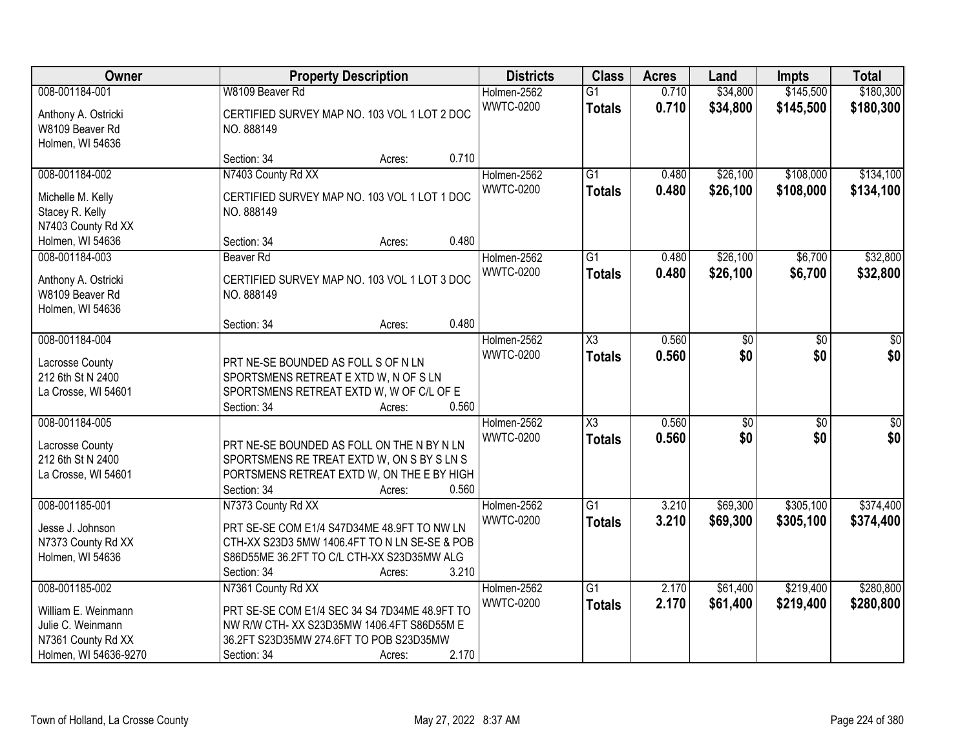| <b>Owner</b>                                                                                              | <b>Property Description</b>                                                                                                                                                               | <b>Districts</b>                                  | <b>Class</b>                         | <b>Acres</b>   | Land                   | Impts                  | <b>Total</b>           |
|-----------------------------------------------------------------------------------------------------------|-------------------------------------------------------------------------------------------------------------------------------------------------------------------------------------------|---------------------------------------------------|--------------------------------------|----------------|------------------------|------------------------|------------------------|
| 008-001184-001                                                                                            | W8109 Beaver Rd                                                                                                                                                                           | Holmen-2562                                       | $\overline{G1}$                      | 0.710          | \$34,800               | \$145,500              | \$180,300              |
| Anthony A. Ostricki<br>W8109 Beaver Rd<br>Holmen, WI 54636                                                | CERTIFIED SURVEY MAP NO. 103 VOL 1 LOT 2 DOC<br>NO. 888149                                                                                                                                | <b>WWTC-0200</b>                                  | <b>Totals</b>                        | 0.710          | \$34,800               | \$145,500              | \$180,300              |
|                                                                                                           | Section: 34<br>Acres:                                                                                                                                                                     | 0.710                                             |                                      |                |                        |                        |                        |
| 008-001184-002<br>Michelle M. Kelly<br>Stacey R. Kelly<br>N7403 County Rd XX                              | N7403 County Rd XX<br>CERTIFIED SURVEY MAP NO. 103 VOL 1 LOT 1 DOC<br>NO. 888149                                                                                                          | Holmen-2562<br><b>WWTC-0200</b>                   | $\overline{G1}$<br><b>Totals</b>     | 0.480<br>0.480 | \$26,100<br>\$26,100   | \$108,000<br>\$108,000 | \$134,100<br>\$134,100 |
| Holmen, WI 54636                                                                                          | Section: 34<br>Acres:                                                                                                                                                                     | 0.480                                             |                                      |                |                        |                        |                        |
| 008-001184-003<br>Anthony A. Ostricki<br>W8109 Beaver Rd<br>Holmen, WI 54636                              | Beaver Rd<br>CERTIFIED SURVEY MAP NO. 103 VOL 1 LOT 3 DOC<br>NO. 888149                                                                                                                   | Holmen-2562<br><b>WWTC-0200</b>                   | G1<br><b>Totals</b>                  | 0.480<br>0.480 | \$26,100<br>\$26,100   | \$6,700<br>\$6,700     | \$32,800<br>\$32,800   |
|                                                                                                           | Section: 34<br>Acres:                                                                                                                                                                     | 0.480                                             |                                      |                |                        |                        |                        |
| 008-001184-004<br>Lacrosse County<br>212 6th St N 2400<br>La Crosse, WI 54601                             | PRT NE-SE BOUNDED AS FOLL S OF N LN<br>SPORTSMENS RETREAT E XTD W, N OF S LN<br>SPORTSMENS RETREAT EXTD W, W OF C/L OF E                                                                  | Holmen-2562<br><b>WWTC-0200</b>                   | X3<br><b>Totals</b>                  | 0.560<br>0.560 | \$0<br>\$0             | \$0<br>\$0             | \$0<br>\$0             |
| 008-001184-005<br>Lacrosse County<br>212 6th St N 2400<br>La Crosse, WI 54601                             | Section: 34<br>Acres:<br>PRT NE-SE BOUNDED AS FOLL ON THE N BY N LN<br>SPORTSMENS RE TREAT EXTD W, ON S BY S LN S<br>PORTSMENS RETREAT EXTD W, ON THE E BY HIGH<br>Section: 34<br>Acres:  | 0.560<br>Holmen-2562<br><b>WWTC-0200</b><br>0.560 | $\overline{\chi_3}$<br><b>Totals</b> | 0.560<br>0.560 | $\overline{50}$<br>\$0 | $\overline{50}$<br>\$0 | $\overline{50}$<br>\$0 |
| 008-001185-001<br>Jesse J. Johnson<br>N7373 County Rd XX<br>Holmen, WI 54636                              | N7373 County Rd XX<br>PRT SE-SE COM E1/4 S47D34ME 48.9FT TO NW LN<br>CTH-XX S23D3 5MW 1406.4FT TO N LN SE-SE & POB<br>S86D55ME 36.2FT TO C/L CTH-XX S23D35MW ALG<br>Section: 34<br>Acres: | Holmen-2562<br><b>WWTC-0200</b><br>3.210          | $\overline{G1}$<br><b>Totals</b>     | 3.210<br>3.210 | \$69,300<br>\$69,300   | \$305,100<br>\$305,100 | \$374,400<br>\$374,400 |
| 008-001185-002<br>William E. Weinmann<br>Julie C. Weinmann<br>N7361 County Rd XX<br>Holmen, WI 54636-9270 | N7361 County Rd XX<br>PRT SE-SE COM E1/4 SEC 34 S4 7D34ME 48.9FT TO<br>NW R/W CTH- XX S23D35MW 1406.4FT S86D55M E<br>36.2FT S23D35MW 274.6FT TO POB S23D35MW<br>Section: 34<br>Acres:     | Holmen-2562<br><b>WWTC-0200</b><br>2.170          | $\overline{G1}$<br><b>Totals</b>     | 2.170<br>2.170 | \$61,400<br>\$61,400   | \$219,400<br>\$219,400 | \$280,800<br>\$280,800 |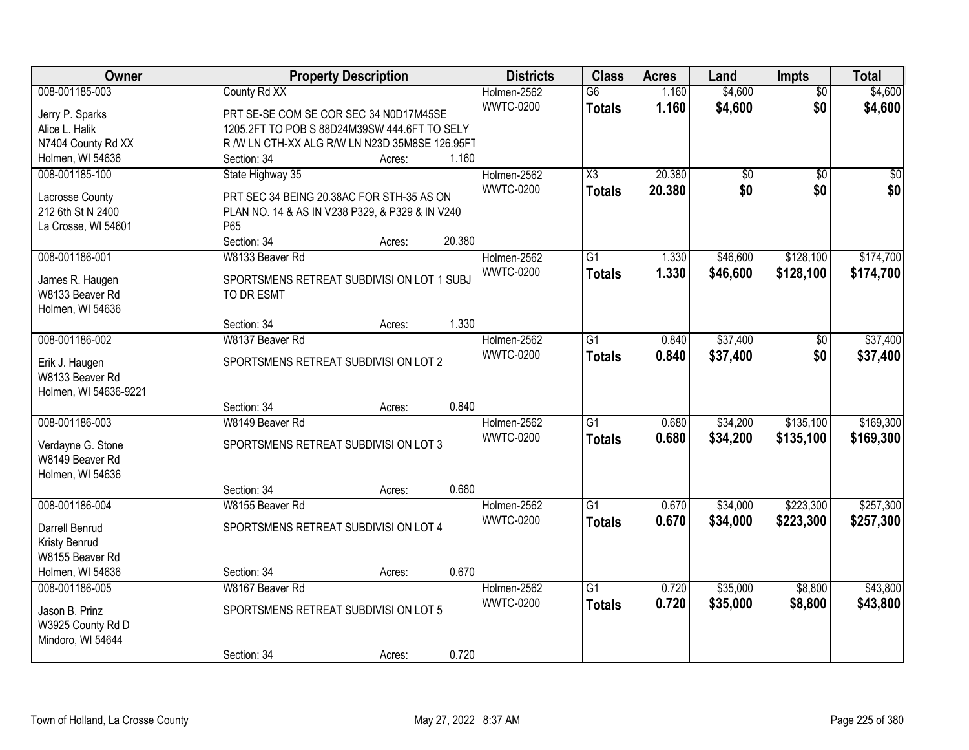| Owner                                                      |                                                          | <b>Property Description</b> |        | <b>Districts</b>                | <b>Class</b>                         | <b>Acres</b>     | Land                 | Impts                  | <b>Total</b>           |
|------------------------------------------------------------|----------------------------------------------------------|-----------------------------|--------|---------------------------------|--------------------------------------|------------------|----------------------|------------------------|------------------------|
| 008-001185-003<br>Jerry P. Sparks                          | County Rd XX<br>PRT SE-SE COM SE COR SEC 34 N0D17M45SE   |                             |        | Holmen-2562<br><b>WWTC-0200</b> | $\overline{G6}$<br><b>Totals</b>     | 1.160<br>1.160   | \$4,600<br>\$4,600   | $\overline{50}$<br>\$0 | \$4,600<br>\$4,600     |
| Alice L. Halik                                             | 1205.2FT TO POB S 88D24M39SW 444.6FT TO SELY             |                             |        |                                 |                                      |                  |                      |                        |                        |
| N7404 County Rd XX                                         | R /W LN CTH-XX ALG R/W LN N23D 35M8SE 126.95FT           |                             |        |                                 |                                      |                  |                      |                        |                        |
| Holmen, WI 54636                                           | Section: 34                                              | Acres:                      | 1.160  |                                 |                                      |                  |                      |                        |                        |
| 008-001185-100                                             | State Highway 35                                         |                             |        | Holmen-2562<br><b>WWTC-0200</b> | $\overline{\chi_3}$<br><b>Totals</b> | 20.380<br>20.380 | \$0<br>\$0           | $\overline{50}$<br>\$0 | $\overline{50}$<br>\$0 |
| Lacrosse County                                            | PRT SEC 34 BEING 20.38AC FOR STH-35 AS ON                |                             |        |                                 |                                      |                  |                      |                        |                        |
| 212 6th St N 2400                                          | PLAN NO. 14 & AS IN V238 P329, & P329 & IN V240          |                             |        |                                 |                                      |                  |                      |                        |                        |
| La Crosse, WI 54601                                        | P65<br>Section: 34                                       | Acres:                      | 20.380 |                                 |                                      |                  |                      |                        |                        |
| 008-001186-001                                             | W8133 Beaver Rd                                          |                             |        | Holmen-2562                     | $\overline{G1}$                      | 1.330            | \$46,600             | \$128,100              | \$174,700              |
| James R. Haugen<br>W8133 Beaver Rd                         | SPORTSMENS RETREAT SUBDIVISI ON LOT 1 SUBJ<br>TO DR ESMT |                             |        | <b>WWTC-0200</b>                | <b>Totals</b>                        | 1.330            | \$46,600             | \$128,100              | \$174,700              |
| Holmen, WI 54636                                           |                                                          |                             |        |                                 |                                      |                  |                      |                        |                        |
|                                                            | Section: 34                                              | Acres:                      | 1.330  |                                 |                                      |                  |                      |                        |                        |
| 008-001186-002                                             | W8137 Beaver Rd                                          |                             |        | Holmen-2562                     | $\overline{G1}$                      | 0.840            | \$37,400             | \$0                    | \$37,400               |
| Erik J. Haugen<br>W8133 Beaver Rd<br>Holmen, WI 54636-9221 | SPORTSMENS RETREAT SUBDIVISI ON LOT 2                    |                             |        | <b>WWTC-0200</b>                | <b>Totals</b>                        | 0.840            | \$37,400             | \$0                    | \$37,400               |
|                                                            | Section: 34                                              | Acres:                      | 0.840  |                                 |                                      |                  |                      |                        |                        |
| 008-001186-003                                             | W8149 Beaver Rd                                          |                             |        | Holmen-2562<br><b>WWTC-0200</b> | $\overline{G1}$<br><b>Totals</b>     | 0.680<br>0.680   | \$34,200<br>\$34,200 | \$135,100<br>\$135,100 | \$169,300<br>\$169,300 |
| Verdayne G. Stone<br>W8149 Beaver Rd<br>Holmen, WI 54636   | SPORTSMENS RETREAT SUBDIVISION LOT 3                     |                             |        |                                 |                                      |                  |                      |                        |                        |
|                                                            | Section: 34                                              | Acres:                      | 0.680  |                                 |                                      |                  |                      |                        |                        |
| 008-001186-004                                             | W8155 Beaver Rd                                          |                             |        | Holmen-2562                     | $\overline{G1}$                      | 0.670            | \$34,000             | \$223,300              | \$257,300              |
| Darrell Benrud<br>Kristy Benrud                            | SPORTSMENS RETREAT SUBDIVISION LOT 4                     |                             |        | <b>WWTC-0200</b>                | <b>Totals</b>                        | 0.670            | \$34,000             | \$223,300              | \$257,300              |
| W8155 Beaver Rd                                            |                                                          |                             |        |                                 |                                      |                  |                      |                        |                        |
| Holmen, WI 54636                                           | Section: 34                                              | Acres:                      | 0.670  |                                 |                                      |                  |                      |                        |                        |
| 008-001186-005                                             | W8167 Beaver Rd                                          |                             |        | Holmen-2562                     | $\overline{G1}$                      | 0.720            | \$35,000             | \$8,800                | \$43,800               |
| Jason B. Prinz<br>W3925 County Rd D<br>Mindoro, WI 54644   | SPORTSMENS RETREAT SUBDIVISION LOT 5                     |                             |        | <b>WWTC-0200</b>                | <b>Totals</b>                        | 0.720            | \$35,000             | \$8,800                | \$43,800               |
|                                                            | Section: 34                                              | Acres:                      | 0.720  |                                 |                                      |                  |                      |                        |                        |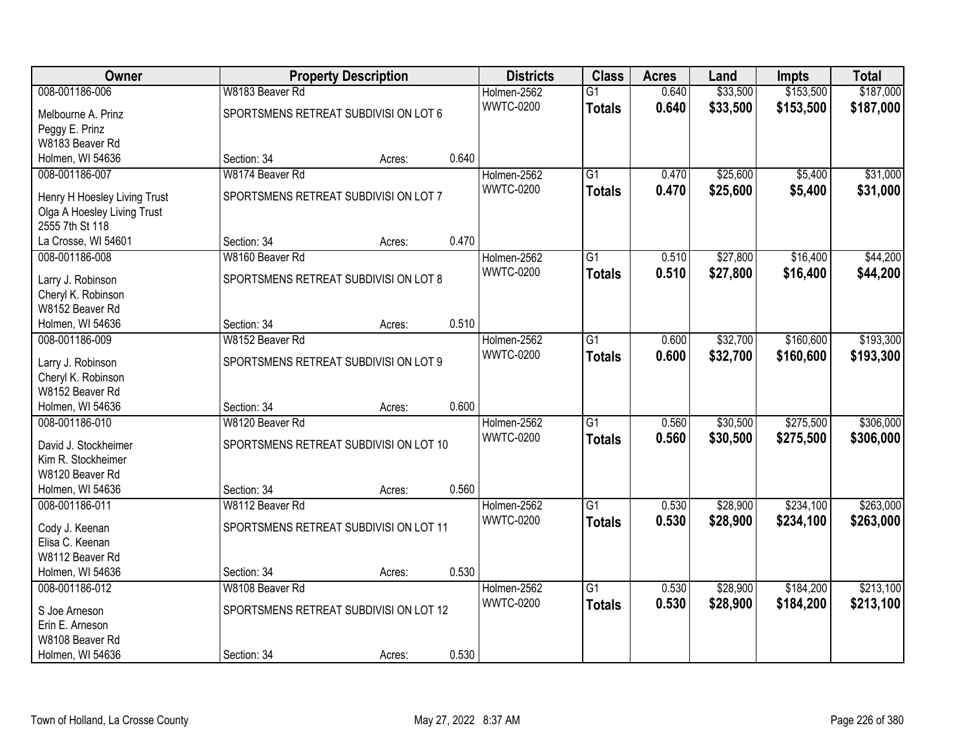| Owner                                          |                                       | <b>Property Description</b> |       | <b>Districts</b> | <b>Class</b>    | <b>Acres</b> | Land     | Impts     | <b>Total</b> |
|------------------------------------------------|---------------------------------------|-----------------------------|-------|------------------|-----------------|--------------|----------|-----------|--------------|
| 008-001186-006                                 | W8183 Beaver Rd                       |                             |       | Holmen-2562      | $\overline{G1}$ | 0.640        | \$33,500 | \$153,500 | \$187,000    |
| Melbourne A. Prinz                             | SPORTSMENS RETREAT SUBDIVISION LOT 6  |                             |       | <b>WWTC-0200</b> | <b>Totals</b>   | 0.640        | \$33,500 | \$153,500 | \$187,000    |
| Peggy E. Prinz                                 |                                       |                             |       |                  |                 |              |          |           |              |
| W8183 Beaver Rd                                |                                       |                             |       |                  |                 |              |          |           |              |
| Holmen, WI 54636                               | Section: 34                           | Acres:                      | 0.640 |                  |                 |              |          |           |              |
| 008-001186-007                                 | W8174 Beaver Rd                       |                             |       | Holmen-2562      | $\overline{G1}$ | 0.470        | \$25,600 | \$5,400   | \$31,000     |
|                                                |                                       |                             |       | <b>WWTC-0200</b> | <b>Totals</b>   | 0.470        | \$25,600 | \$5,400   | \$31,000     |
| Henry H Hoesley Living Trust                   | SPORTSMENS RETREAT SUBDIVISI ON LOT 7 |                             |       |                  |                 |              |          |           |              |
| Olga A Hoesley Living Trust<br>2555 7th St 118 |                                       |                             |       |                  |                 |              |          |           |              |
| La Crosse, WI 54601                            | Section: 34                           | Acres:                      | 0.470 |                  |                 |              |          |           |              |
| 008-001186-008                                 | W8160 Beaver Rd                       |                             |       | Holmen-2562      | $\overline{G1}$ | 0.510        | \$27,800 | \$16,400  | \$44,200     |
|                                                |                                       |                             |       | <b>WWTC-0200</b> |                 |              | \$27,800 |           |              |
| Larry J. Robinson                              | SPORTSMENS RETREAT SUBDIVISI ON LOT 8 |                             |       |                  | <b>Totals</b>   | 0.510        |          | \$16,400  | \$44,200     |
| Cheryl K. Robinson                             |                                       |                             |       |                  |                 |              |          |           |              |
| W8152 Beaver Rd                                |                                       |                             |       |                  |                 |              |          |           |              |
| Holmen, WI 54636                               | Section: 34                           | Acres:                      | 0.510 |                  |                 |              |          |           |              |
| 008-001186-009                                 | W8152 Beaver Rd                       |                             |       | Holmen-2562      | $\overline{G1}$ | 0.600        | \$32,700 | \$160,600 | \$193,300    |
| Larry J. Robinson                              | SPORTSMENS RETREAT SUBDIVISION LOT 9  |                             |       | <b>WWTC-0200</b> | <b>Totals</b>   | 0.600        | \$32,700 | \$160,600 | \$193,300    |
| Cheryl K. Robinson                             |                                       |                             |       |                  |                 |              |          |           |              |
| W8152 Beaver Rd                                |                                       |                             |       |                  |                 |              |          |           |              |
| Holmen, WI 54636                               | Section: 34                           | Acres:                      | 0.600 |                  |                 |              |          |           |              |
| 008-001186-010                                 | W8120 Beaver Rd                       |                             |       | Holmen-2562      | $\overline{G1}$ | 0.560        | \$30,500 | \$275,500 | \$306,000    |
|                                                |                                       |                             |       | <b>WWTC-0200</b> | <b>Totals</b>   | 0.560        | \$30,500 | \$275,500 | \$306,000    |
| David J. Stockheimer                           | SPORTSMENS RETREAT SUBDIVISION LOT 10 |                             |       |                  |                 |              |          |           |              |
| Kim R. Stockheimer                             |                                       |                             |       |                  |                 |              |          |           |              |
| W8120 Beaver Rd                                |                                       |                             |       |                  |                 |              |          |           |              |
| Holmen, WI 54636                               | Section: 34                           | Acres:                      | 0.560 |                  |                 |              |          |           |              |
| 008-001186-011                                 | W8112 Beaver Rd                       |                             |       | Holmen-2562      | $\overline{G1}$ | 0.530        | \$28,900 | \$234,100 | \$263,000    |
| Cody J. Keenan                                 | SPORTSMENS RETREAT SUBDIVISION LOT 11 |                             |       | <b>WWTC-0200</b> | <b>Totals</b>   | 0.530        | \$28,900 | \$234,100 | \$263,000    |
| Elisa C. Keenan                                |                                       |                             |       |                  |                 |              |          |           |              |
| W8112 Beaver Rd                                |                                       |                             |       |                  |                 |              |          |           |              |
| Holmen, WI 54636                               | Section: 34                           | Acres:                      | 0.530 |                  |                 |              |          |           |              |
| 008-001186-012                                 | W8108 Beaver Rd                       |                             |       | Holmen-2562      | $\overline{G1}$ | 0.530        | \$28,900 | \$184,200 | \$213,100    |
|                                                |                                       |                             |       | <b>WWTC-0200</b> | <b>Totals</b>   | 0.530        | \$28,900 | \$184,200 | \$213,100    |
| S Joe Arneson                                  | SPORTSMENS RETREAT SUBDIVISION LOT 12 |                             |       |                  |                 |              |          |           |              |
| Erin E. Arneson                                |                                       |                             |       |                  |                 |              |          |           |              |
| W8108 Beaver Rd                                |                                       |                             |       |                  |                 |              |          |           |              |
| Holmen, WI 54636                               | Section: 34                           | Acres:                      | 0.530 |                  |                 |              |          |           |              |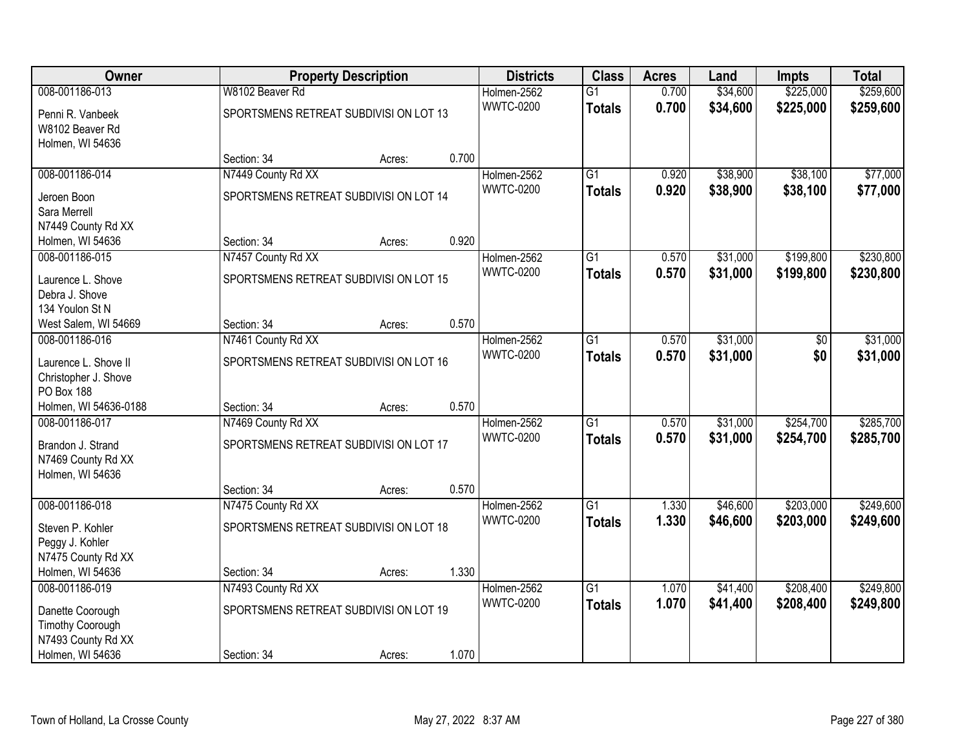| Owner                              |                                        | <b>Property Description</b> |       | <b>Districts</b>                | <b>Class</b>    | <b>Acres</b> | Land     | Impts     | <b>Total</b> |
|------------------------------------|----------------------------------------|-----------------------------|-------|---------------------------------|-----------------|--------------|----------|-----------|--------------|
| 008-001186-013                     | W8102 Beaver Rd                        |                             |       | Holmen-2562                     | $\overline{G1}$ | 0.700        | \$34,600 | \$225,000 | \$259,600    |
| Penni R. Vanbeek                   | SPORTSMENS RETREAT SUBDIVISION LOT 13  |                             |       | <b>WWTC-0200</b>                | <b>Totals</b>   | 0.700        | \$34,600 | \$225,000 | \$259,600    |
| W8102 Beaver Rd                    |                                        |                             |       |                                 |                 |              |          |           |              |
| Holmen, WI 54636                   |                                        |                             |       |                                 |                 |              |          |           |              |
|                                    | Section: 34                            | Acres:                      | 0.700 |                                 |                 |              |          |           |              |
| 008-001186-014                     | N7449 County Rd XX                     |                             |       | Holmen-2562                     | $\overline{G1}$ | 0.920        | \$38,900 | \$38,100  | \$77,000     |
| Jeroen Boon                        | SPORTSMENS RETREAT SUBDIVISI ON LOT 14 |                             |       | <b>WWTC-0200</b>                | <b>Totals</b>   | 0.920        | \$38,900 | \$38,100  | \$77,000     |
| Sara Merrell                       |                                        |                             |       |                                 |                 |              |          |           |              |
| N7449 County Rd XX                 |                                        |                             |       |                                 |                 |              |          |           |              |
| Holmen, WI 54636                   | Section: 34                            | Acres:                      | 0.920 |                                 |                 |              |          |           |              |
| 008-001186-015                     | N7457 County Rd XX                     |                             |       | Holmen-2562                     | $\overline{G1}$ | 0.570        | \$31,000 | \$199,800 | \$230,800    |
| Laurence L. Shove                  | SPORTSMENS RETREAT SUBDIVISION LOT 15  |                             |       | <b>WWTC-0200</b>                | <b>Totals</b>   | 0.570        | \$31,000 | \$199,800 | \$230,800    |
| Debra J. Shove                     |                                        |                             |       |                                 |                 |              |          |           |              |
| 134 Youlon St N                    |                                        |                             |       |                                 |                 |              |          |           |              |
| West Salem, WI 54669               | Section: 34                            | Acres:                      | 0.570 |                                 |                 |              |          |           |              |
| 008-001186-016                     | N7461 County Rd XX                     |                             |       | Holmen-2562                     | $\overline{G1}$ | 0.570        | \$31,000 | \$0       | \$31,000     |
|                                    |                                        |                             |       | <b>WWTC-0200</b>                | <b>Totals</b>   | 0.570        | \$31,000 | \$0       | \$31,000     |
| Laurence L. Shove II               | SPORTSMENS RETREAT SUBDIVISI ON LOT 16 |                             |       |                                 |                 |              |          |           |              |
| Christopher J. Shove<br>PO Box 188 |                                        |                             |       |                                 |                 |              |          |           |              |
| Holmen, WI 54636-0188              | Section: 34                            | Acres:                      | 0.570 |                                 |                 |              |          |           |              |
| 008-001186-017                     | N7469 County Rd XX                     |                             |       | Holmen-2562                     | $\overline{G1}$ | 0.570        | \$31,000 | \$254,700 | \$285,700    |
|                                    |                                        |                             |       | <b>WWTC-0200</b>                | <b>Totals</b>   | 0.570        | \$31,000 | \$254,700 | \$285,700    |
| Brandon J. Strand                  | SPORTSMENS RETREAT SUBDIVISI ON LOT 17 |                             |       |                                 |                 |              |          |           |              |
| N7469 County Rd XX                 |                                        |                             |       |                                 |                 |              |          |           |              |
| Holmen, WI 54636                   | Section: 34                            |                             | 0.570 |                                 |                 |              |          |           |              |
| 008-001186-018                     | N7475 County Rd XX                     | Acres:                      |       | Holmen-2562                     | $\overline{G1}$ | 1.330        | \$46,600 | \$203,000 | \$249,600    |
|                                    |                                        |                             |       | <b>WWTC-0200</b>                | <b>Totals</b>   | 1.330        | \$46,600 | \$203,000 | \$249,600    |
| Steven P. Kohler                   | SPORTSMENS RETREAT SUBDIVISION LOT 18  |                             |       |                                 |                 |              |          |           |              |
| Peggy J. Kohler                    |                                        |                             |       |                                 |                 |              |          |           |              |
| N7475 County Rd XX                 |                                        |                             |       |                                 |                 |              |          |           |              |
| Holmen, WI 54636                   | Section: 34                            | Acres:                      | 1.330 |                                 |                 |              |          |           |              |
| 008-001186-019                     | N7493 County Rd XX                     |                             |       | Holmen-2562<br><b>WWTC-0200</b> | $\overline{G1}$ | 1.070        | \$41,400 | \$208,400 | \$249,800    |
| Danette Coorough                   | SPORTSMENS RETREAT SUBDIVISI ON LOT 19 |                             |       |                                 | <b>Totals</b>   | 1.070        | \$41,400 | \$208,400 | \$249,800    |
| <b>Timothy Coorough</b>            |                                        |                             |       |                                 |                 |              |          |           |              |
| N7493 County Rd XX                 |                                        |                             |       |                                 |                 |              |          |           |              |
| Holmen, WI 54636                   | Section: 34                            | Acres:                      | 1.070 |                                 |                 |              |          |           |              |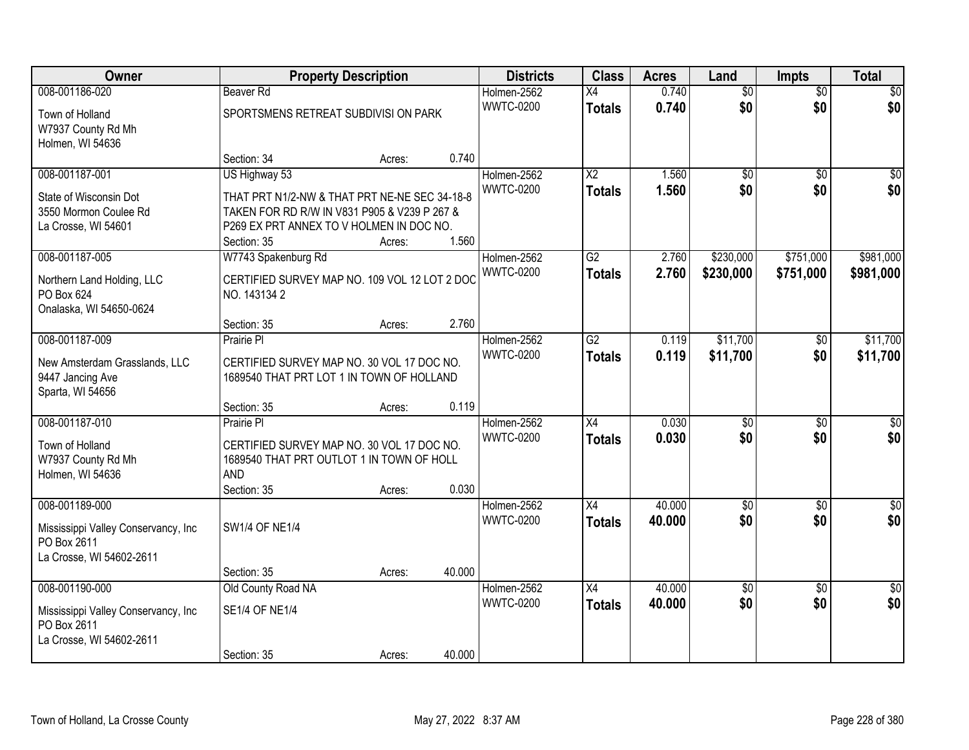| Owner                                                                                             |                                                                                                                                                                           | <b>Property Description</b> |        | <b>Districts</b>                | <b>Class</b>                     | <b>Acres</b>     | Land                   | Impts                  | <b>Total</b>           |
|---------------------------------------------------------------------------------------------------|---------------------------------------------------------------------------------------------------------------------------------------------------------------------------|-----------------------------|--------|---------------------------------|----------------------------------|------------------|------------------------|------------------------|------------------------|
| 008-001186-020                                                                                    | Beaver Rd                                                                                                                                                                 |                             |        | Holmen-2562                     | X4                               | 0.740            | $\overline{50}$        | $\overline{50}$        | \$0                    |
| Town of Holland<br>W7937 County Rd Mh<br>Holmen, WI 54636                                         | SPORTSMENS RETREAT SUBDIVISI ON PARK                                                                                                                                      |                             |        | <b>WWTC-0200</b>                | <b>Totals</b>                    | 0.740            | \$0                    | \$0                    | \$0                    |
|                                                                                                   | Section: 34                                                                                                                                                               | Acres:                      | 0.740  |                                 |                                  |                  |                        |                        |                        |
| 008-001187-001<br>State of Wisconsin Dot<br>3550 Mormon Coulee Rd<br>La Crosse, WI 54601          | US Highway 53<br>THAT PRT N1/2-NW & THAT PRT NE-NE SEC 34-18-8<br>TAKEN FOR RD R/W IN V831 P905 & V239 P 267 &<br>P269 EX PRT ANNEX TO V HOLMEN IN DOC NO.<br>Section: 35 | Acres:                      | 1.560  | Holmen-2562<br><b>WWTC-0200</b> | $\overline{X2}$<br><b>Totals</b> | 1.560<br>1.560   | $\overline{60}$<br>\$0 | $\overline{50}$<br>\$0 | $\overline{50}$<br>\$0 |
| 008-001187-005                                                                                    | W7743 Spakenburg Rd                                                                                                                                                       |                             |        | Holmen-2562                     | $\overline{G2}$                  | 2.760            | \$230,000              | \$751,000              | \$981,000              |
| Northern Land Holding, LLC<br>PO Box 624<br>Onalaska, WI 54650-0624                               | CERTIFIED SURVEY MAP NO. 109 VOL 12 LOT 2 DOC<br>NO. 1431342                                                                                                              |                             |        | <b>WWTC-0200</b>                | <b>Totals</b>                    | 2.760            | \$230,000              | \$751,000              | \$981,000              |
|                                                                                                   | Section: 35                                                                                                                                                               | Acres:                      | 2.760  |                                 |                                  |                  |                        |                        |                        |
| 008-001187-009                                                                                    | Prairie Pl                                                                                                                                                                |                             |        | Holmen-2562<br><b>WWTC-0200</b> | $\overline{G2}$                  | 0.119<br>0.119   | \$11,700<br>\$11,700   | \$0<br>\$0             | \$11,700               |
| New Amsterdam Grasslands, LLC<br>9447 Jancing Ave<br>Sparta, WI 54656                             | CERTIFIED SURVEY MAP NO. 30 VOL 17 DOC NO.<br>1689540 THAT PRT LOT 1 IN TOWN OF HOLLAND                                                                                   |                             |        |                                 | <b>Totals</b>                    |                  |                        |                        | \$11,700               |
|                                                                                                   | Section: 35                                                                                                                                                               | Acres:                      | 0.119  |                                 |                                  |                  |                        |                        |                        |
| 008-001187-010                                                                                    | Prairie PI                                                                                                                                                                |                             |        | Holmen-2562                     | $\overline{X4}$                  | 0.030            | $\overline{50}$        | $\overline{50}$        | $\overline{50}$        |
| Town of Holland<br>W7937 County Rd Mh<br>Holmen, WI 54636                                         | CERTIFIED SURVEY MAP NO. 30 VOL 17 DOC NO.<br>1689540 THAT PRT OUTLOT 1 IN TOWN OF HOLL<br><b>AND</b><br>Section: 35                                                      | Acres:                      | 0.030  | <b>WWTC-0200</b>                | <b>Totals</b>                    | 0.030            | \$0                    | \$0                    | \$0                    |
| 008-001189-000                                                                                    |                                                                                                                                                                           |                             |        | Holmen-2562                     | $\overline{X4}$                  | 40.000           | $\overline{60}$        | $\overline{50}$        | $\overline{50}$        |
| Mississippi Valley Conservancy, Inc.<br>PO Box 2611<br>La Crosse, WI 54602-2611                   | <b>SW1/4 OF NE1/4</b>                                                                                                                                                     |                             |        | <b>WWTC-0200</b>                | <b>Totals</b>                    | 40.000           | \$0                    | \$0                    | \$0                    |
|                                                                                                   | Section: 35                                                                                                                                                               | Acres:                      | 40.000 |                                 |                                  |                  |                        |                        |                        |
| 008-001190-000<br>Mississippi Valley Conservancy, Inc.<br>PO Box 2611<br>La Crosse, WI 54602-2611 | Old County Road NA<br><b>SE1/4 OF NE1/4</b><br>Section: 35                                                                                                                | Acres:                      | 40.000 | Holmen-2562<br><b>WWTC-0200</b> | X4<br><b>Totals</b>              | 40.000<br>40.000 | $\sqrt{$0}$<br>\$0     | $\overline{50}$<br>\$0 | $\overline{50}$<br>\$0 |
|                                                                                                   |                                                                                                                                                                           |                             |        |                                 |                                  |                  |                        |                        |                        |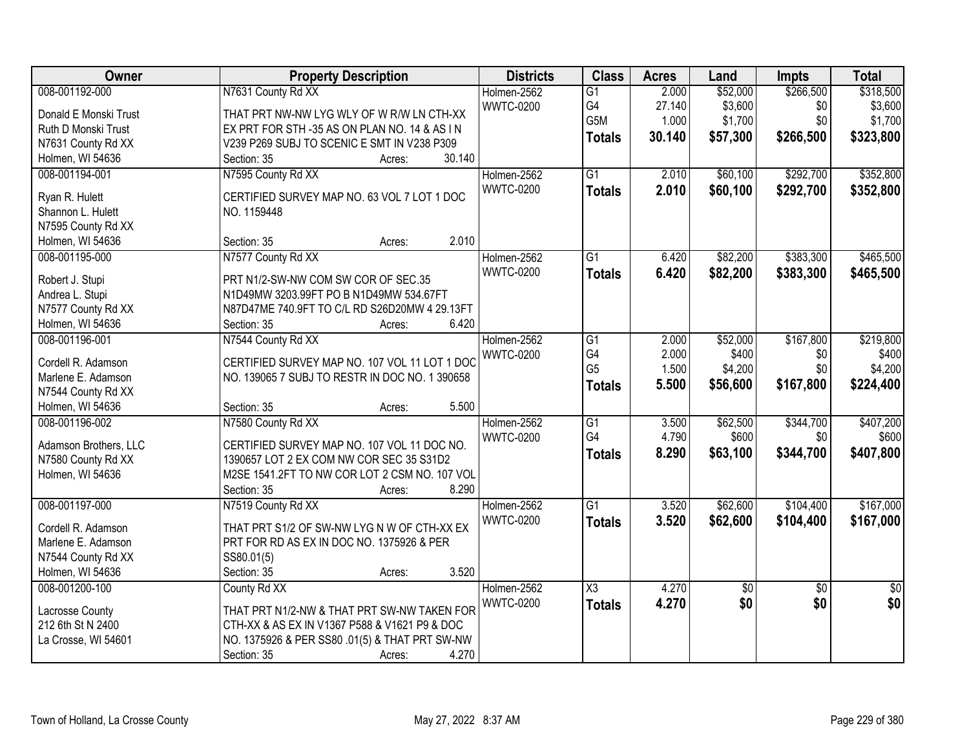| \$52,000<br>\$266,500<br>\$318,500<br>008-001192-000<br>N7631 County Rd XX<br>Holmen-2562<br>2.000<br>$\overline{G1}$<br>G4<br>\$3,600<br>27.140<br>\$0<br>\$3,600<br><b>WWTC-0200</b><br>THAT PRT NW-NW LYG WLY OF W R/W LN CTH-XX<br>Donald E Monski Trust<br>G5M<br>\$1,700<br>\$0<br>1.000<br>\$1,700<br>Ruth D Monski Trust<br>EX PRT FOR STH-35 AS ON PLAN NO. 14 & AS IN<br>30.140<br>\$57,300<br>\$266,500<br>\$323,800<br><b>Totals</b><br>V239 P269 SUBJ TO SCENIC E SMT IN V238 P309<br>N7631 County Rd XX<br>30.140<br>Holmen, WI 54636<br>Section: 35<br>Acres:<br>008-001194-001<br>N7595 County Rd XX<br>$\overline{G1}$<br>\$60,100<br>\$292,700<br>Holmen-2562<br>2.010<br><b>WWTC-0200</b><br>2.010<br>\$60,100<br>\$292,700<br><b>Totals</b><br>CERTIFIED SURVEY MAP NO. 63 VOL 7 LOT 1 DOC<br>Ryan R. Hulett<br>Shannon L. Hulett<br>NO. 1159448<br>N7595 County Rd XX<br>2.010<br>Holmen, WI 54636<br>Section: 35<br>Acres:<br>\$383,300<br>008-001195-000<br>N7577 County Rd XX<br>Holmen-2562<br>\$82,200<br>G1<br>6.420<br><b>WWTC-0200</b><br>6.420<br>\$82,200<br>\$383,300<br><b>Totals</b><br>PRT N1/2-SW-NW COM SW COR OF SEC.35<br>Robert J. Stupi<br>Andrea L. Stupi<br>N1D49MW 3203.99FT PO B N1D49MW 534.67FT<br>N7577 County Rd XX<br>N87D47ME 740.9FT TO C/L RD S26D20MW 4 29.13FT<br>6.420<br>Holmen, WI 54636<br>Section: 35<br>Acres:<br>008-001196-001<br>N7544 County Rd XX<br>\$167,800<br>Holmen-2562<br>G1<br>2.000<br>\$52,000<br>G4<br>2.000<br>\$400<br>\$0<br><b>WWTC-0200</b><br>CERTIFIED SURVEY MAP NO. 107 VOL 11 LOT 1 DOC<br>Cordell R. Adamson<br>G <sub>5</sub><br>1.500<br>\$4,200<br>\$0<br>Marlene E. Adamson<br>NO. 139065 7 SUBJ TO RESTR IN DOC NO. 1 390658<br>\$167,800<br>5.500<br>\$56,600<br>\$224,400<br><b>Totals</b><br>N7544 County Rd XX<br>Holmen, WI 54636<br>5.500<br>Section: 35<br>Acres:<br>\$62,500<br>\$344,700<br>008-001196-002<br>N7580 County Rd XX<br>$\overline{G1}$<br>3.500<br>Holmen-2562<br>G4<br>4.790<br>\$600<br>\$0<br><b>WWTC-0200</b><br>Adamson Brothers, LLC<br>CERTIFIED SURVEY MAP NO. 107 VOL 11 DOC NO.<br>\$344,700<br>8.290<br>\$63,100<br><b>Totals</b><br>N7580 County Rd XX<br>1390657 LOT 2 EX COM NW COR SEC 35 S31D2<br>Holmen, WI 54636<br>M2SE 1541.2FT TO NW COR LOT 2 CSM NO. 107 VOL<br>8.290<br>Section: 35<br>Acres:<br>008-001197-000<br>Holmen-2562<br>$\overline{G1}$<br>3.520<br>\$62,600<br>\$104,400<br>N7519 County Rd XX<br><b>WWTC-0200</b><br>3.520<br>\$62,600<br>\$104,400<br><b>Totals</b><br>THAT PRT S1/2 OF SW-NW LYG N W OF CTH-XX EX<br>Cordell R. Adamson | Owner              | <b>Property Description</b>               | <b>Districts</b> | <b>Class</b> | <b>Acres</b> | Land | <b>Impts</b> | <b>Total</b> |
|--------------------------------------------------------------------------------------------------------------------------------------------------------------------------------------------------------------------------------------------------------------------------------------------------------------------------------------------------------------------------------------------------------------------------------------------------------------------------------------------------------------------------------------------------------------------------------------------------------------------------------------------------------------------------------------------------------------------------------------------------------------------------------------------------------------------------------------------------------------------------------------------------------------------------------------------------------------------------------------------------------------------------------------------------------------------------------------------------------------------------------------------------------------------------------------------------------------------------------------------------------------------------------------------------------------------------------------------------------------------------------------------------------------------------------------------------------------------------------------------------------------------------------------------------------------------------------------------------------------------------------------------------------------------------------------------------------------------------------------------------------------------------------------------------------------------------------------------------------------------------------------------------------------------------------------------------------------------------------------------------------------------------------------------------------------------------------------------------------------------------------------------------------------------------------------------------------------------------------------------------------------------------------------------------------------------------------------------------------------------------------------------------------------------------------------------------------------------------------------------------------------------------------------------------------------------------------------------------|--------------------|-------------------------------------------|------------------|--------------|--------------|------|--------------|--------------|
|                                                                                                                                                                                                                                                                                                                                                                                                                                                                                                                                                                                                                                                                                                                                                                                                                                                                                                                                                                                                                                                                                                                                                                                                                                                                                                                                                                                                                                                                                                                                                                                                                                                                                                                                                                                                                                                                                                                                                                                                                                                                                                                                                                                                                                                                                                                                                                                                                                                                                                                                                                                                  |                    |                                           |                  |              |              |      |              |              |
|                                                                                                                                                                                                                                                                                                                                                                                                                                                                                                                                                                                                                                                                                                                                                                                                                                                                                                                                                                                                                                                                                                                                                                                                                                                                                                                                                                                                                                                                                                                                                                                                                                                                                                                                                                                                                                                                                                                                                                                                                                                                                                                                                                                                                                                                                                                                                                                                                                                                                                                                                                                                  |                    |                                           |                  |              |              |      |              |              |
| \$352,800<br>\$352,800<br>\$465,500<br>\$465,500<br>\$219,800<br>\$400<br>\$4,200<br>\$407,800<br>\$167,000                                                                                                                                                                                                                                                                                                                                                                                                                                                                                                                                                                                                                                                                                                                                                                                                                                                                                                                                                                                                                                                                                                                                                                                                                                                                                                                                                                                                                                                                                                                                                                                                                                                                                                                                                                                                                                                                                                                                                                                                                                                                                                                                                                                                                                                                                                                                                                                                                                                                                      |                    |                                           |                  |              |              |      |              |              |
|                                                                                                                                                                                                                                                                                                                                                                                                                                                                                                                                                                                                                                                                                                                                                                                                                                                                                                                                                                                                                                                                                                                                                                                                                                                                                                                                                                                                                                                                                                                                                                                                                                                                                                                                                                                                                                                                                                                                                                                                                                                                                                                                                                                                                                                                                                                                                                                                                                                                                                                                                                                                  |                    |                                           |                  |              |              |      |              |              |
|                                                                                                                                                                                                                                                                                                                                                                                                                                                                                                                                                                                                                                                                                                                                                                                                                                                                                                                                                                                                                                                                                                                                                                                                                                                                                                                                                                                                                                                                                                                                                                                                                                                                                                                                                                                                                                                                                                                                                                                                                                                                                                                                                                                                                                                                                                                                                                                                                                                                                                                                                                                                  |                    |                                           |                  |              |              |      |              |              |
|                                                                                                                                                                                                                                                                                                                                                                                                                                                                                                                                                                                                                                                                                                                                                                                                                                                                                                                                                                                                                                                                                                                                                                                                                                                                                                                                                                                                                                                                                                                                                                                                                                                                                                                                                                                                                                                                                                                                                                                                                                                                                                                                                                                                                                                                                                                                                                                                                                                                                                                                                                                                  |                    |                                           |                  |              |              |      |              |              |
|                                                                                                                                                                                                                                                                                                                                                                                                                                                                                                                                                                                                                                                                                                                                                                                                                                                                                                                                                                                                                                                                                                                                                                                                                                                                                                                                                                                                                                                                                                                                                                                                                                                                                                                                                                                                                                                                                                                                                                                                                                                                                                                                                                                                                                                                                                                                                                                                                                                                                                                                                                                                  |                    |                                           |                  |              |              |      |              |              |
|                                                                                                                                                                                                                                                                                                                                                                                                                                                                                                                                                                                                                                                                                                                                                                                                                                                                                                                                                                                                                                                                                                                                                                                                                                                                                                                                                                                                                                                                                                                                                                                                                                                                                                                                                                                                                                                                                                                                                                                                                                                                                                                                                                                                                                                                                                                                                                                                                                                                                                                                                                                                  |                    |                                           |                  |              |              |      |              |              |
|                                                                                                                                                                                                                                                                                                                                                                                                                                                                                                                                                                                                                                                                                                                                                                                                                                                                                                                                                                                                                                                                                                                                                                                                                                                                                                                                                                                                                                                                                                                                                                                                                                                                                                                                                                                                                                                                                                                                                                                                                                                                                                                                                                                                                                                                                                                                                                                                                                                                                                                                                                                                  |                    |                                           |                  |              |              |      |              |              |
|                                                                                                                                                                                                                                                                                                                                                                                                                                                                                                                                                                                                                                                                                                                                                                                                                                                                                                                                                                                                                                                                                                                                                                                                                                                                                                                                                                                                                                                                                                                                                                                                                                                                                                                                                                                                                                                                                                                                                                                                                                                                                                                                                                                                                                                                                                                                                                                                                                                                                                                                                                                                  |                    |                                           |                  |              |              |      |              |              |
|                                                                                                                                                                                                                                                                                                                                                                                                                                                                                                                                                                                                                                                                                                                                                                                                                                                                                                                                                                                                                                                                                                                                                                                                                                                                                                                                                                                                                                                                                                                                                                                                                                                                                                                                                                                                                                                                                                                                                                                                                                                                                                                                                                                                                                                                                                                                                                                                                                                                                                                                                                                                  |                    |                                           |                  |              |              |      |              |              |
|                                                                                                                                                                                                                                                                                                                                                                                                                                                                                                                                                                                                                                                                                                                                                                                                                                                                                                                                                                                                                                                                                                                                                                                                                                                                                                                                                                                                                                                                                                                                                                                                                                                                                                                                                                                                                                                                                                                                                                                                                                                                                                                                                                                                                                                                                                                                                                                                                                                                                                                                                                                                  |                    |                                           |                  |              |              |      |              |              |
|                                                                                                                                                                                                                                                                                                                                                                                                                                                                                                                                                                                                                                                                                                                                                                                                                                                                                                                                                                                                                                                                                                                                                                                                                                                                                                                                                                                                                                                                                                                                                                                                                                                                                                                                                                                                                                                                                                                                                                                                                                                                                                                                                                                                                                                                                                                                                                                                                                                                                                                                                                                                  |                    |                                           |                  |              |              |      |              |              |
|                                                                                                                                                                                                                                                                                                                                                                                                                                                                                                                                                                                                                                                                                                                                                                                                                                                                                                                                                                                                                                                                                                                                                                                                                                                                                                                                                                                                                                                                                                                                                                                                                                                                                                                                                                                                                                                                                                                                                                                                                                                                                                                                                                                                                                                                                                                                                                                                                                                                                                                                                                                                  |                    |                                           |                  |              |              |      |              |              |
|                                                                                                                                                                                                                                                                                                                                                                                                                                                                                                                                                                                                                                                                                                                                                                                                                                                                                                                                                                                                                                                                                                                                                                                                                                                                                                                                                                                                                                                                                                                                                                                                                                                                                                                                                                                                                                                                                                                                                                                                                                                                                                                                                                                                                                                                                                                                                                                                                                                                                                                                                                                                  |                    |                                           |                  |              |              |      |              |              |
|                                                                                                                                                                                                                                                                                                                                                                                                                                                                                                                                                                                                                                                                                                                                                                                                                                                                                                                                                                                                                                                                                                                                                                                                                                                                                                                                                                                                                                                                                                                                                                                                                                                                                                                                                                                                                                                                                                                                                                                                                                                                                                                                                                                                                                                                                                                                                                                                                                                                                                                                                                                                  |                    |                                           |                  |              |              |      |              |              |
|                                                                                                                                                                                                                                                                                                                                                                                                                                                                                                                                                                                                                                                                                                                                                                                                                                                                                                                                                                                                                                                                                                                                                                                                                                                                                                                                                                                                                                                                                                                                                                                                                                                                                                                                                                                                                                                                                                                                                                                                                                                                                                                                                                                                                                                                                                                                                                                                                                                                                                                                                                                                  |                    |                                           |                  |              |              |      |              |              |
|                                                                                                                                                                                                                                                                                                                                                                                                                                                                                                                                                                                                                                                                                                                                                                                                                                                                                                                                                                                                                                                                                                                                                                                                                                                                                                                                                                                                                                                                                                                                                                                                                                                                                                                                                                                                                                                                                                                                                                                                                                                                                                                                                                                                                                                                                                                                                                                                                                                                                                                                                                                                  |                    |                                           |                  |              |              |      |              |              |
|                                                                                                                                                                                                                                                                                                                                                                                                                                                                                                                                                                                                                                                                                                                                                                                                                                                                                                                                                                                                                                                                                                                                                                                                                                                                                                                                                                                                                                                                                                                                                                                                                                                                                                                                                                                                                                                                                                                                                                                                                                                                                                                                                                                                                                                                                                                                                                                                                                                                                                                                                                                                  |                    |                                           |                  |              |              |      |              |              |
| \$407,200<br>\$600<br>\$167,000                                                                                                                                                                                                                                                                                                                                                                                                                                                                                                                                                                                                                                                                                                                                                                                                                                                                                                                                                                                                                                                                                                                                                                                                                                                                                                                                                                                                                                                                                                                                                                                                                                                                                                                                                                                                                                                                                                                                                                                                                                                                                                                                                                                                                                                                                                                                                                                                                                                                                                                                                                  |                    |                                           |                  |              |              |      |              |              |
|                                                                                                                                                                                                                                                                                                                                                                                                                                                                                                                                                                                                                                                                                                                                                                                                                                                                                                                                                                                                                                                                                                                                                                                                                                                                                                                                                                                                                                                                                                                                                                                                                                                                                                                                                                                                                                                                                                                                                                                                                                                                                                                                                                                                                                                                                                                                                                                                                                                                                                                                                                                                  |                    |                                           |                  |              |              |      |              |              |
|                                                                                                                                                                                                                                                                                                                                                                                                                                                                                                                                                                                                                                                                                                                                                                                                                                                                                                                                                                                                                                                                                                                                                                                                                                                                                                                                                                                                                                                                                                                                                                                                                                                                                                                                                                                                                                                                                                                                                                                                                                                                                                                                                                                                                                                                                                                                                                                                                                                                                                                                                                                                  |                    |                                           |                  |              |              |      |              |              |
|                                                                                                                                                                                                                                                                                                                                                                                                                                                                                                                                                                                                                                                                                                                                                                                                                                                                                                                                                                                                                                                                                                                                                                                                                                                                                                                                                                                                                                                                                                                                                                                                                                                                                                                                                                                                                                                                                                                                                                                                                                                                                                                                                                                                                                                                                                                                                                                                                                                                                                                                                                                                  |                    |                                           |                  |              |              |      |              |              |
|                                                                                                                                                                                                                                                                                                                                                                                                                                                                                                                                                                                                                                                                                                                                                                                                                                                                                                                                                                                                                                                                                                                                                                                                                                                                                                                                                                                                                                                                                                                                                                                                                                                                                                                                                                                                                                                                                                                                                                                                                                                                                                                                                                                                                                                                                                                                                                                                                                                                                                                                                                                                  |                    |                                           |                  |              |              |      |              |              |
|                                                                                                                                                                                                                                                                                                                                                                                                                                                                                                                                                                                                                                                                                                                                                                                                                                                                                                                                                                                                                                                                                                                                                                                                                                                                                                                                                                                                                                                                                                                                                                                                                                                                                                                                                                                                                                                                                                                                                                                                                                                                                                                                                                                                                                                                                                                                                                                                                                                                                                                                                                                                  |                    |                                           |                  |              |              |      |              |              |
|                                                                                                                                                                                                                                                                                                                                                                                                                                                                                                                                                                                                                                                                                                                                                                                                                                                                                                                                                                                                                                                                                                                                                                                                                                                                                                                                                                                                                                                                                                                                                                                                                                                                                                                                                                                                                                                                                                                                                                                                                                                                                                                                                                                                                                                                                                                                                                                                                                                                                                                                                                                                  |                    |                                           |                  |              |              |      |              |              |
|                                                                                                                                                                                                                                                                                                                                                                                                                                                                                                                                                                                                                                                                                                                                                                                                                                                                                                                                                                                                                                                                                                                                                                                                                                                                                                                                                                                                                                                                                                                                                                                                                                                                                                                                                                                                                                                                                                                                                                                                                                                                                                                                                                                                                                                                                                                                                                                                                                                                                                                                                                                                  |                    |                                           |                  |              |              |      |              |              |
|                                                                                                                                                                                                                                                                                                                                                                                                                                                                                                                                                                                                                                                                                                                                                                                                                                                                                                                                                                                                                                                                                                                                                                                                                                                                                                                                                                                                                                                                                                                                                                                                                                                                                                                                                                                                                                                                                                                                                                                                                                                                                                                                                                                                                                                                                                                                                                                                                                                                                                                                                                                                  |                    |                                           |                  |              |              |      |              |              |
|                                                                                                                                                                                                                                                                                                                                                                                                                                                                                                                                                                                                                                                                                                                                                                                                                                                                                                                                                                                                                                                                                                                                                                                                                                                                                                                                                                                                                                                                                                                                                                                                                                                                                                                                                                                                                                                                                                                                                                                                                                                                                                                                                                                                                                                                                                                                                                                                                                                                                                                                                                                                  |                    |                                           |                  |              |              |      |              |              |
|                                                                                                                                                                                                                                                                                                                                                                                                                                                                                                                                                                                                                                                                                                                                                                                                                                                                                                                                                                                                                                                                                                                                                                                                                                                                                                                                                                                                                                                                                                                                                                                                                                                                                                                                                                                                                                                                                                                                                                                                                                                                                                                                                                                                                                                                                                                                                                                                                                                                                                                                                                                                  |                    |                                           |                  |              |              |      |              |              |
|                                                                                                                                                                                                                                                                                                                                                                                                                                                                                                                                                                                                                                                                                                                                                                                                                                                                                                                                                                                                                                                                                                                                                                                                                                                                                                                                                                                                                                                                                                                                                                                                                                                                                                                                                                                                                                                                                                                                                                                                                                                                                                                                                                                                                                                                                                                                                                                                                                                                                                                                                                                                  | Marlene E. Adamson | PRT FOR RD AS EX IN DOC NO. 1375926 & PER |                  |              |              |      |              |              |
| SS80.01(5)<br>N7544 County Rd XX                                                                                                                                                                                                                                                                                                                                                                                                                                                                                                                                                                                                                                                                                                                                                                                                                                                                                                                                                                                                                                                                                                                                                                                                                                                                                                                                                                                                                                                                                                                                                                                                                                                                                                                                                                                                                                                                                                                                                                                                                                                                                                                                                                                                                                                                                                                                                                                                                                                                                                                                                                 |                    |                                           |                  |              |              |      |              |              |
| 3.520<br>Holmen, WI 54636<br>Section: 35<br>Acres:                                                                                                                                                                                                                                                                                                                                                                                                                                                                                                                                                                                                                                                                                                                                                                                                                                                                                                                                                                                                                                                                                                                                                                                                                                                                                                                                                                                                                                                                                                                                                                                                                                                                                                                                                                                                                                                                                                                                                                                                                                                                                                                                                                                                                                                                                                                                                                                                                                                                                                                                               |                    |                                           |                  |              |              |      |              |              |
| 008-001200-100<br>Holmen-2562<br>$\overline{\text{X3}}$<br>4.270<br>$\overline{50}$<br>County Rd XX<br>$\sqrt{$0}$<br>$\overline{50}$                                                                                                                                                                                                                                                                                                                                                                                                                                                                                                                                                                                                                                                                                                                                                                                                                                                                                                                                                                                                                                                                                                                                                                                                                                                                                                                                                                                                                                                                                                                                                                                                                                                                                                                                                                                                                                                                                                                                                                                                                                                                                                                                                                                                                                                                                                                                                                                                                                                            |                    |                                           |                  |              |              |      |              |              |
| 4.270<br>\$0<br>\$0<br>\$0<br><b>WWTC-0200</b><br><b>Totals</b><br>THAT PRT N1/2-NW & THAT PRT SW-NW TAKEN FOR<br>Lacrosse County                                                                                                                                                                                                                                                                                                                                                                                                                                                                                                                                                                                                                                                                                                                                                                                                                                                                                                                                                                                                                                                                                                                                                                                                                                                                                                                                                                                                                                                                                                                                                                                                                                                                                                                                                                                                                                                                                                                                                                                                                                                                                                                                                                                                                                                                                                                                                                                                                                                                |                    |                                           |                  |              |              |      |              |              |
| CTH-XX & AS EX IN V1367 P588 & V1621 P9 & DOC<br>212 6th St N 2400                                                                                                                                                                                                                                                                                                                                                                                                                                                                                                                                                                                                                                                                                                                                                                                                                                                                                                                                                                                                                                                                                                                                                                                                                                                                                                                                                                                                                                                                                                                                                                                                                                                                                                                                                                                                                                                                                                                                                                                                                                                                                                                                                                                                                                                                                                                                                                                                                                                                                                                               |                    |                                           |                  |              |              |      |              |              |
| La Crosse, WI 54601<br>NO. 1375926 & PER SS80 .01(5) & THAT PRT SW-NW                                                                                                                                                                                                                                                                                                                                                                                                                                                                                                                                                                                                                                                                                                                                                                                                                                                                                                                                                                                                                                                                                                                                                                                                                                                                                                                                                                                                                                                                                                                                                                                                                                                                                                                                                                                                                                                                                                                                                                                                                                                                                                                                                                                                                                                                                                                                                                                                                                                                                                                            |                    |                                           |                  |              |              |      |              |              |
| 4.270<br>Section: 35<br>Acres:                                                                                                                                                                                                                                                                                                                                                                                                                                                                                                                                                                                                                                                                                                                                                                                                                                                                                                                                                                                                                                                                                                                                                                                                                                                                                                                                                                                                                                                                                                                                                                                                                                                                                                                                                                                                                                                                                                                                                                                                                                                                                                                                                                                                                                                                                                                                                                                                                                                                                                                                                                   |                    |                                           |                  |              |              |      |              |              |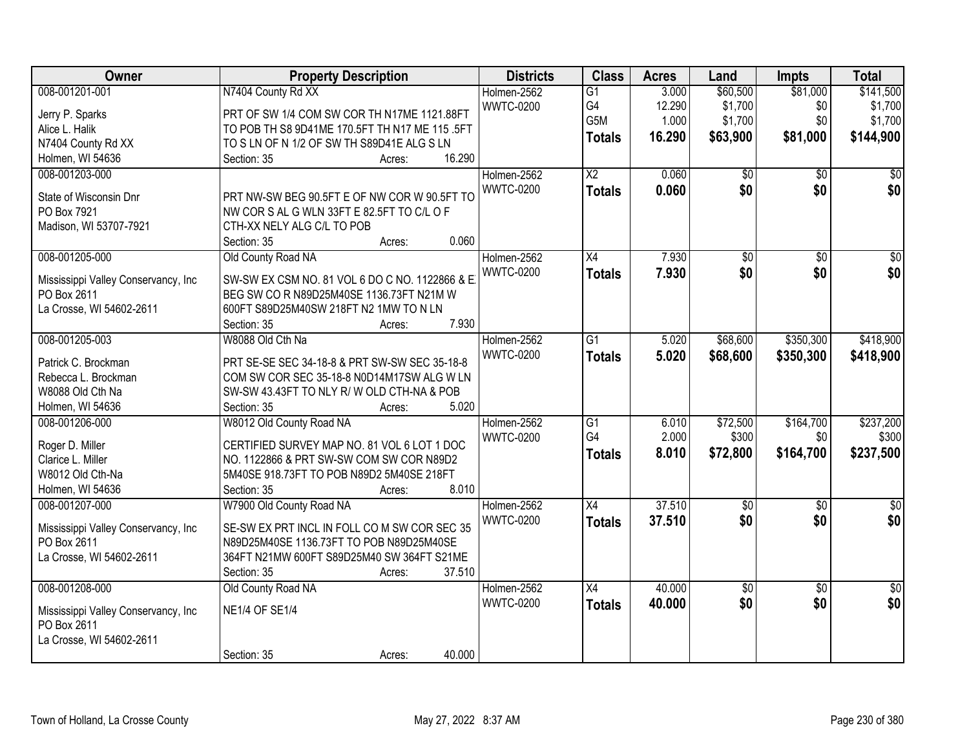| Owner                                | <b>Property Description</b>                     | <b>Districts</b> | <b>Class</b>    | <b>Acres</b> | Land            | <b>Impts</b>    | <b>Total</b>    |
|--------------------------------------|-------------------------------------------------|------------------|-----------------|--------------|-----------------|-----------------|-----------------|
| 008-001201-001                       | N7404 County Rd XX                              | Holmen-2562      | $\overline{G1}$ | 3.000        | \$60,500        | \$81,000        | \$141,500       |
| Jerry P. Sparks                      | PRT OF SW 1/4 COM SW COR TH N17ME 1121.88FT     | <b>WWTC-0200</b> | G4              | 12.290       | \$1,700         | \$0             | \$1,700         |
| Alice L. Halik                       | TO POB TH S8 9D41ME 170.5FT TH N17 ME 115 .5FT  |                  | G5M             | 1.000        | \$1,700         | \$0             | \$1,700         |
| N7404 County Rd XX                   | TO S LN OF N 1/2 OF SW TH S89D41E ALG S LN      |                  | <b>Totals</b>   | 16.290       | \$63,900        | \$81,000        | \$144,900       |
| Holmen, WI 54636                     | 16.290<br>Section: 35<br>Acres:                 |                  |                 |              |                 |                 |                 |
| 008-001203-000                       |                                                 | Holmen-2562      | $\overline{X2}$ | 0.060        | $\overline{50}$ | $\overline{50}$ | \$0             |
|                                      |                                                 | <b>WWTC-0200</b> | <b>Totals</b>   | 0.060        | \$0             | \$0             | \$0             |
| State of Wisconsin Dnr               | PRT NW-SW BEG 90.5FT E OF NW COR W 90.5FT TO    |                  |                 |              |                 |                 |                 |
| PO Box 7921                          | NW COR S AL G WLN 33FT E 82.5FT TO C/L O F      |                  |                 |              |                 |                 |                 |
| Madison, WI 53707-7921               | CTH-XX NELY ALG C/L TO POB                      |                  |                 |              |                 |                 |                 |
|                                      | 0.060<br>Section: 35<br>Acres:                  |                  |                 |              |                 |                 |                 |
| 008-001205-000                       | Old County Road NA                              | Holmen-2562      | $\overline{X4}$ | 7.930        | \$0             | $\overline{50}$ | $\overline{50}$ |
| Mississippi Valley Conservancy, Inc. | SW-SW EX CSM NO. 81 VOL 6 DO C NO. 1122866 & E. | <b>WWTC-0200</b> | <b>Totals</b>   | 7.930        | \$0             | \$0             | \$0             |
| PO Box 2611                          | BEG SW CO R N89D25M40SE 1136.73FT N21M W        |                  |                 |              |                 |                 |                 |
| La Crosse, WI 54602-2611             | 600FT S89D25M40SW 218FT N2 1MW TO N LN          |                  |                 |              |                 |                 |                 |
|                                      | 7.930<br>Section: 35<br>Acres:                  |                  |                 |              |                 |                 |                 |
| 008-001205-003                       | W8088 Old Cth Na                                | Holmen-2562      | $\overline{G1}$ | 5.020        | \$68,600        | \$350,300       | \$418,900       |
|                                      |                                                 | <b>WWTC-0200</b> | <b>Totals</b>   | 5.020        | \$68,600        | \$350,300       | \$418,900       |
| Patrick C. Brockman                  | PRT SE-SE SEC 34-18-8 & PRT SW-SW SEC 35-18-8   |                  |                 |              |                 |                 |                 |
| Rebecca L. Brockman                  | COM SW COR SEC 35-18-8 N0D14M17SW ALG W LN      |                  |                 |              |                 |                 |                 |
| W8088 Old Cth Na                     | SW-SW 43.43FT TO NLY R/W OLD CTH-NA & POB       |                  |                 |              |                 |                 |                 |
| Holmen, WI 54636                     | 5.020<br>Section: 35<br>Acres:                  |                  |                 |              |                 |                 |                 |
| 008-001206-000                       | W8012 Old County Road NA                        | Holmen-2562      | $\overline{G1}$ | 6.010        | \$72,500        | \$164,700       | \$237,200       |
| Roger D. Miller                      | CERTIFIED SURVEY MAP NO. 81 VOL 6 LOT 1 DOC     | <b>WWTC-0200</b> | G4              | 2.000        | \$300           | \$0             | \$300           |
| Clarice L. Miller                    | NO. 1122866 & PRT SW-SW COM SW COR N89D2        |                  | <b>Totals</b>   | 8.010        | \$72,800        | \$164,700       | \$237,500       |
| W8012 Old Cth-Na                     | 5M40SE 918.73FT TO POB N89D2 5M40SE 218FT       |                  |                 |              |                 |                 |                 |
| Holmen, WI 54636                     | Section: 35<br>8.010<br>Acres:                  |                  |                 |              |                 |                 |                 |
| 008-001207-000                       | W7900 Old County Road NA                        | Holmen-2562      | $\overline{X4}$ | 37.510       | \$0             | $\overline{50}$ | $\overline{50}$ |
|                                      |                                                 | <b>WWTC-0200</b> | <b>Totals</b>   | 37.510       | \$0             | \$0             | \$0             |
| Mississippi Valley Conservancy, Inc. | SE-SW EX PRT INCL IN FOLL CO M SW COR SEC 35    |                  |                 |              |                 |                 |                 |
| PO Box 2611                          | N89D25M40SE 1136.73FT TO POB N89D25M40SE        |                  |                 |              |                 |                 |                 |
| La Crosse, WI 54602-2611             | 364FT N21MW 600FT S89D25M40 SW 364FT S21ME      |                  |                 |              |                 |                 |                 |
|                                      | 37.510<br>Section: 35<br>Acres:                 |                  |                 |              |                 |                 |                 |
| 008-001208-000                       | Old County Road NA                              | Holmen-2562      | $\overline{X4}$ | 40.000       | \$0             | $\overline{30}$ | $\overline{50}$ |
| Mississippi Valley Conservancy, Inc  | <b>NE1/4 OF SE1/4</b>                           | <b>WWTC-0200</b> | <b>Totals</b>   | 40.000       | \$0             | \$0             | \$0             |
| PO Box 2611                          |                                                 |                  |                 |              |                 |                 |                 |
| La Crosse, WI 54602-2611             |                                                 |                  |                 |              |                 |                 |                 |
|                                      | 40.000<br>Section: 35<br>Acres:                 |                  |                 |              |                 |                 |                 |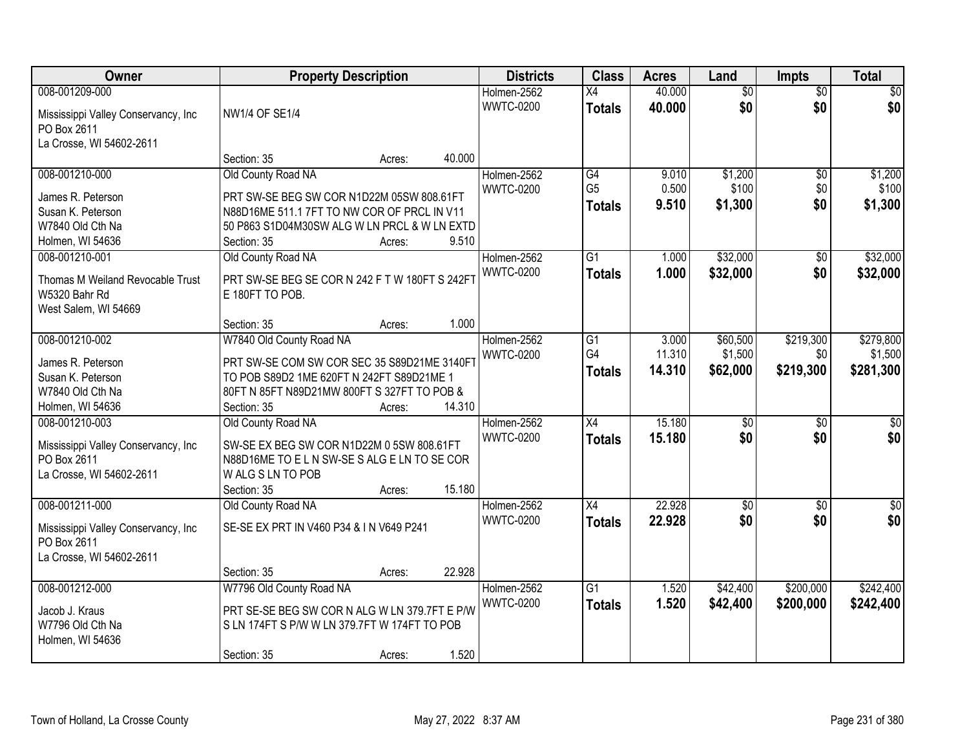| Owner                                |                                                | <b>Property Description</b> |        | <b>Districts</b> | <b>Class</b>    | <b>Acres</b> | Land            | <b>Impts</b>    | <b>Total</b> |
|--------------------------------------|------------------------------------------------|-----------------------------|--------|------------------|-----------------|--------------|-----------------|-----------------|--------------|
| 008-001209-000                       |                                                |                             |        | Holmen-2562      | $\overline{X4}$ | 40.000       | $\overline{50}$ | $\overline{50}$ | \$0          |
| Mississippi Valley Conservancy, Inc  | <b>NW1/4 OF SE1/4</b>                          |                             |        | <b>WWTC-0200</b> | <b>Totals</b>   | 40.000       | \$0             | \$0             | \$0          |
| PO Box 2611                          |                                                |                             |        |                  |                 |              |                 |                 |              |
| La Crosse, WI 54602-2611             |                                                |                             |        |                  |                 |              |                 |                 |              |
|                                      | Section: 35                                    | Acres:                      | 40.000 |                  |                 |              |                 |                 |              |
| 008-001210-000                       | Old County Road NA                             |                             |        | Holmen-2562      | G4              | 9.010        | \$1,200         | \$0             | \$1,200      |
| James R. Peterson                    | PRT SW-SE BEG SW COR N1D22M 05SW 808.61FT      |                             |        | <b>WWTC-0200</b> | G <sub>5</sub>  | 0.500        | \$100           | \$0             | \$100        |
| Susan K. Peterson                    | N88D16ME 511.1 7FT TO NW COR OF PRCL IN V11    |                             |        |                  | <b>Totals</b>   | 9.510        | \$1,300         | \$0             | \$1,300      |
| W7840 Old Cth Na                     | 50 P863 S1D04M30SW ALG W LN PRCL & W LN EXTD   |                             |        |                  |                 |              |                 |                 |              |
| Holmen, WI 54636                     | Section: 35                                    | Acres:                      | 9.510  |                  |                 |              |                 |                 |              |
| 008-001210-001                       | Old County Road NA                             |                             |        | Holmen-2562      | $\overline{G1}$ | 1.000        | \$32,000        | \$0             | \$32,000     |
|                                      |                                                |                             |        | <b>WWTC-0200</b> |                 |              |                 | \$0             |              |
| Thomas M Weiland Revocable Trust     | PRT SW-SE BEG SE COR N 242 F T W 180FT S 242FT |                             |        |                  | <b>Totals</b>   | 1.000        | \$32,000        |                 | \$32,000     |
| W5320 Bahr Rd                        | E 180FT TO POB.                                |                             |        |                  |                 |              |                 |                 |              |
| West Salem, WI 54669                 |                                                |                             |        |                  |                 |              |                 |                 |              |
|                                      | Section: 35                                    | Acres:                      | 1.000  |                  |                 |              |                 |                 |              |
| 008-001210-002                       | W7840 Old County Road NA                       |                             |        | Holmen-2562      | G1              | 3.000        | \$60,500        | \$219,300       | \$279,800    |
| James R. Peterson                    | PRT SW-SE COM SW COR SEC 35 S89D21ME 3140FT    |                             |        | <b>WWTC-0200</b> | G4              | 11.310       | \$1,500         | \$0             | \$1,500      |
| Susan K. Peterson                    | TO POB S89D2 1ME 620FT N 242FT S89D21ME 1      |                             |        |                  | <b>Totals</b>   | 14.310       | \$62,000        | \$219,300       | \$281,300    |
| W7840 Old Cth Na                     | 80FT N 85FT N89D21MW 800FT S 327FT TO POB &    |                             |        |                  |                 |              |                 |                 |              |
| Holmen, WI 54636                     | Section: 35                                    | Acres:                      | 14.310 |                  |                 |              |                 |                 |              |
| 008-001210-003                       | Old County Road NA                             |                             |        | Holmen-2562      | $\overline{X4}$ | 15.180       | $\overline{50}$ | $\overline{50}$ | \$0          |
|                                      |                                                |                             |        | <b>WWTC-0200</b> |                 | 15.180       | \$0             | \$0             | \$0          |
| Mississippi Valley Conservancy, Inc. | SW-SE EX BEG SW COR N1D22M 0 5SW 808.61FT      |                             |        |                  | <b>Totals</b>   |              |                 |                 |              |
| PO Box 2611                          | N88D16ME TO ELN SW-SES ALGELN TO SECOR         |                             |        |                  |                 |              |                 |                 |              |
| La Crosse, WI 54602-2611             | W ALG S LN TO POB                              |                             |        |                  |                 |              |                 |                 |              |
|                                      | Section: 35                                    | Acres:                      | 15.180 |                  |                 |              |                 |                 |              |
| 008-001211-000                       | Old County Road NA                             |                             |        | Holmen-2562      | X4              | 22.928       | $\sqrt{$0}$     | \$0             | $\sqrt{30}$  |
| Mississippi Valley Conservancy, Inc. | SE-SE EX PRT IN V460 P34 & IN V649 P241        |                             |        | <b>WWTC-0200</b> | <b>Totals</b>   | 22.928       | \$0             | \$0             | \$0          |
| PO Box 2611                          |                                                |                             |        |                  |                 |              |                 |                 |              |
| La Crosse, WI 54602-2611             |                                                |                             |        |                  |                 |              |                 |                 |              |
|                                      | Section: 35                                    | Acres:                      | 22.928 |                  |                 |              |                 |                 |              |
| 008-001212-000                       | W7796 Old County Road NA                       |                             |        | Holmen-2562      | $\overline{G1}$ | 1.520        | \$42,400        | \$200,000       | \$242,400    |
|                                      |                                                |                             |        | <b>WWTC-0200</b> |                 | 1.520        | \$42,400        | \$200,000       | \$242,400    |
| Jacob J. Kraus                       | PRT SE-SE BEG SW COR N ALG W LN 379.7FT E P/W  |                             |        |                  | <b>Totals</b>   |              |                 |                 |              |
| W7796 Old Cth Na                     | S LN 174FT S P/W W LN 379.7FT W 174FT TO POB   |                             |        |                  |                 |              |                 |                 |              |
| Holmen, WI 54636                     |                                                |                             |        |                  |                 |              |                 |                 |              |
|                                      | Section: 35                                    | Acres:                      | 1.520  |                  |                 |              |                 |                 |              |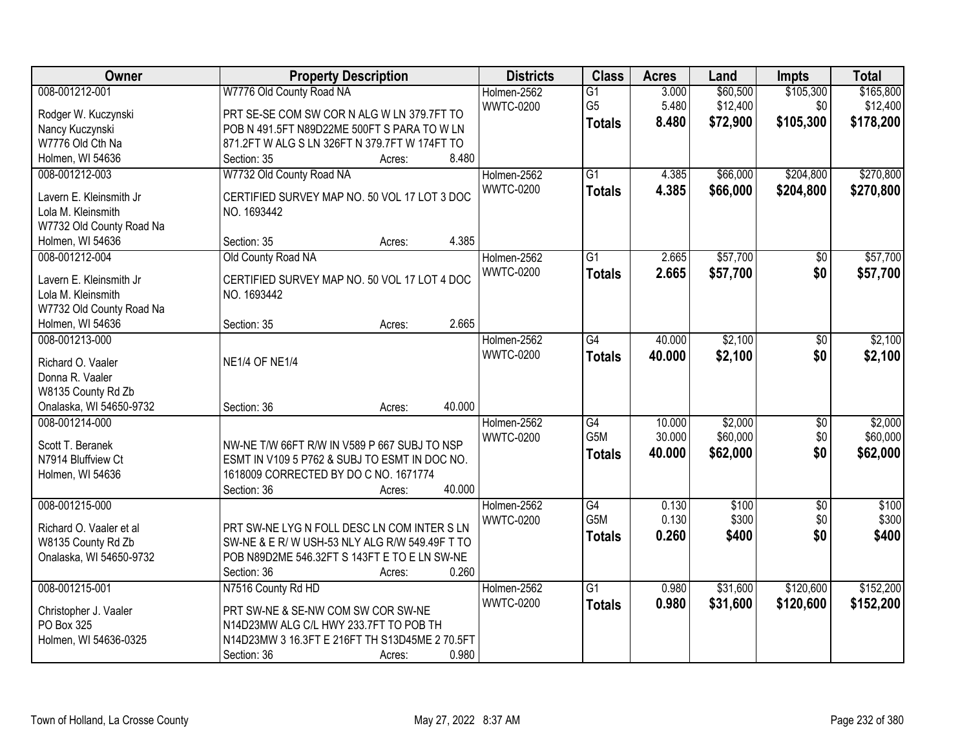| Owner                    | <b>Property Description</b>                    | <b>Districts</b> | <b>Class</b>     | <b>Acres</b> | Land     | <b>Impts</b>    | <b>Total</b> |
|--------------------------|------------------------------------------------|------------------|------------------|--------------|----------|-----------------|--------------|
| 008-001212-001           | W7776 Old County Road NA                       | Holmen-2562      | $\overline{G1}$  | 3.000        | \$60,500 | \$105,300       | \$165,800    |
| Rodger W. Kuczynski      | PRT SE-SE COM SW COR N ALG W LN 379.7FT TO     | <b>WWTC-0200</b> | G <sub>5</sub>   | 5.480        | \$12,400 | \$0             | \$12,400     |
| Nancy Kuczynski          | POB N 491.5FT N89D22ME 500FT S PARA TO W LN    |                  | <b>Totals</b>    | 8.480        | \$72,900 | \$105,300       | \$178,200    |
| W7776 Old Cth Na         | 871.2FT W ALG S LN 326FT N 379.7FT W 174FT TO  |                  |                  |              |          |                 |              |
| Holmen, WI 54636         | 8.480<br>Section: 35<br>Acres:                 |                  |                  |              |          |                 |              |
| 008-001212-003           | W7732 Old County Road NA                       | Holmen-2562      | $\overline{G1}$  | 4.385        | \$66,000 | \$204,800       | \$270,800    |
|                          |                                                | <b>WWTC-0200</b> | <b>Totals</b>    | 4.385        | \$66,000 | \$204,800       | \$270,800    |
| Lavern E. Kleinsmith Jr  | CERTIFIED SURVEY MAP NO. 50 VOL 17 LOT 3 DOC   |                  |                  |              |          |                 |              |
| Lola M. Kleinsmith       | NO. 1693442                                    |                  |                  |              |          |                 |              |
| W7732 Old County Road Na |                                                |                  |                  |              |          |                 |              |
| Holmen, WI 54636         | 4.385<br>Section: 35<br>Acres:                 |                  |                  |              |          |                 |              |
| 008-001212-004           | Old County Road NA                             | Holmen-2562      | $\overline{G1}$  | 2.665        | \$57,700 | $\overline{50}$ | \$57,700     |
| Lavern E. Kleinsmith Jr  | CERTIFIED SURVEY MAP NO. 50 VOL 17 LOT 4 DOC   | <b>WWTC-0200</b> | <b>Totals</b>    | 2.665        | \$57,700 | \$0             | \$57,700     |
| Lola M. Kleinsmith       | NO. 1693442                                    |                  |                  |              |          |                 |              |
| W7732 Old County Road Na |                                                |                  |                  |              |          |                 |              |
| Holmen, WI 54636         | 2.665<br>Section: 35<br>Acres:                 |                  |                  |              |          |                 |              |
| 008-001213-000           |                                                | Holmen-2562      | $\overline{G4}$  | 40.000       | \$2,100  | \$0             | \$2,100      |
|                          |                                                | <b>WWTC-0200</b> | <b>Totals</b>    | 40.000       | \$2,100  | \$0             | \$2,100      |
| Richard O. Vaaler        | <b>NE1/4 OF NE1/4</b>                          |                  |                  |              |          |                 |              |
| Donna R. Vaaler          |                                                |                  |                  |              |          |                 |              |
| W8135 County Rd Zb       |                                                |                  |                  |              |          |                 |              |
| Onalaska, WI 54650-9732  | 40.000<br>Section: 36<br>Acres:                |                  |                  |              |          |                 |              |
| 008-001214-000           |                                                | Holmen-2562      | $\overline{G4}$  | 10.000       | \$2,000  | $\overline{50}$ | \$2,000      |
| Scott T. Beranek         | NW-NE T/W 66FT R/W IN V589 P 667 SUBJ TO NSP   | <b>WWTC-0200</b> | G <sub>5</sub> M | 30.000       | \$60,000 | \$0             | \$60,000     |
| N7914 Bluffview Ct       | ESMT IN V109 5 P762 & SUBJ TO ESMT IN DOC NO.  |                  | <b>Totals</b>    | 40.000       | \$62,000 | \$0             | \$62,000     |
| Holmen, WI 54636         | 1618009 CORRECTED BY DO C NO. 1671774          |                  |                  |              |          |                 |              |
|                          | 40.000<br>Section: 36<br>Acres:                |                  |                  |              |          |                 |              |
| 008-001215-000           |                                                | Holmen-2562      | G4               | 0.130        | \$100    | $\overline{50}$ | \$100        |
|                          |                                                | <b>WWTC-0200</b> | G5M              | 0.130        | \$300    | \$0             | \$300        |
| Richard O. Vaaler et al  | PRT SW-NE LYG N FOLL DESC LN COM INTER S LN    |                  | <b>Totals</b>    | 0.260        | \$400    | \$0             | \$400        |
| W8135 County Rd Zb       | SW-NE & E R/W USH-53 NLY ALG R/W 549.49F T TO  |                  |                  |              |          |                 |              |
| Onalaska, WI 54650-9732  | POB N89D2ME 546.32FT S 143FT E TO E LN SW-NE   |                  |                  |              |          |                 |              |
|                          | 0.260<br>Section: 36<br>Acres:                 |                  |                  |              |          |                 |              |
| 008-001215-001           | N7516 County Rd HD                             | Holmen-2562      | $\overline{G1}$  | 0.980        | \$31,600 | \$120,600       | \$152,200    |
| Christopher J. Vaaler    | PRT SW-NE & SE-NW COM SW COR SW-NE             | <b>WWTC-0200</b> | <b>Totals</b>    | 0.980        | \$31,600 | \$120,600       | \$152,200    |
| PO Box 325               | N14D23MW ALG C/L HWY 233.7FT TO POB TH         |                  |                  |              |          |                 |              |
| Holmen, WI 54636-0325    | N14D23MW 3 16.3FT E 216FT TH S13D45ME 2 70.5FT |                  |                  |              |          |                 |              |
|                          | Section: 36<br>0.980                           |                  |                  |              |          |                 |              |
|                          | Acres:                                         |                  |                  |              |          |                 |              |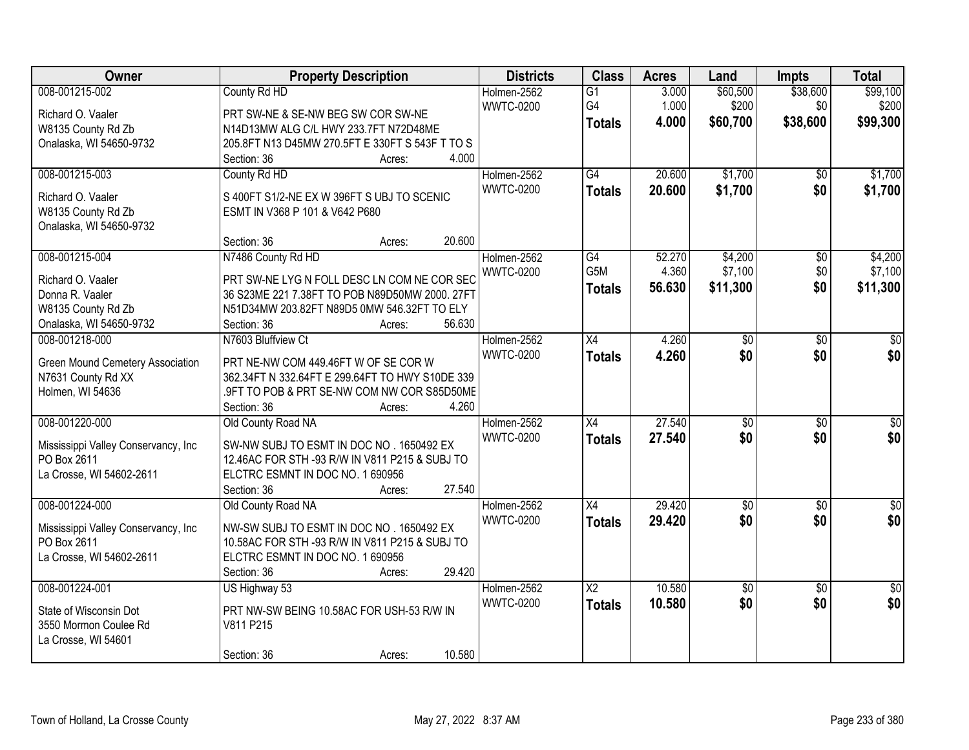| Owner                                              | <b>Property Description</b>                     | <b>Districts</b> | <b>Class</b>    | <b>Acres</b> | Land            | <b>Impts</b>    | <b>Total</b>    |
|----------------------------------------------------|-------------------------------------------------|------------------|-----------------|--------------|-----------------|-----------------|-----------------|
| 008-001215-002                                     | County Rd HD                                    | Holmen-2562      | $\overline{G1}$ | 3.000        | \$60,500        | \$38,600        | \$99,100        |
| Richard O. Vaaler                                  | PRT SW-NE & SE-NW BEG SW COR SW-NE              | <b>WWTC-0200</b> | G4              | 1.000        | \$200           | \$0             | \$200           |
| W8135 County Rd Zb                                 | N14D13MW ALG C/L HWY 233.7FT N72D48ME           |                  | <b>Totals</b>   | 4.000        | \$60,700        | \$38,600        | \$99,300        |
| Onalaska, WI 54650-9732                            | 205.8FT N13 D45MW 270.5FT E 330FT S 543F T TO S |                  |                 |              |                 |                 |                 |
|                                                    | 4.000<br>Section: 36<br>Acres:                  |                  |                 |              |                 |                 |                 |
| 008-001215-003                                     | County Rd HD                                    | Holmen-2562      | G4              | 20.600       | \$1,700         | $\overline{50}$ | \$1,700         |
|                                                    |                                                 | <b>WWTC-0200</b> | <b>Totals</b>   | 20.600       | \$1,700         | \$0             | \$1,700         |
| Richard O. Vaaler                                  | S 400FT S1/2-NE EX W 396FT S UBJ TO SCENIC      |                  |                 |              |                 |                 |                 |
| W8135 County Rd Zb                                 | ESMT IN V368 P 101 & V642 P680                  |                  |                 |              |                 |                 |                 |
| Onalaska, WI 54650-9732                            |                                                 |                  |                 |              |                 |                 |                 |
|                                                    | 20.600<br>Section: 36<br>Acres:                 |                  |                 |              |                 |                 |                 |
| 008-001215-004                                     | N7486 County Rd HD                              | Holmen-2562      | G4              | 52.270       | \$4,200         | $\overline{50}$ | \$4,200         |
| Richard O. Vaaler                                  | PRT SW-NE LYG N FOLL DESC LN COM NE COR SEC     | <b>WWTC-0200</b> | G5M             | 4.360        | \$7,100         | \$0             | \$7,100         |
| Donna R. Vaaler                                    | 36 S23ME 221 7.38FT TO POB N89D50MW 2000. 27FT  |                  | <b>Totals</b>   | 56.630       | \$11,300        | \$0             | \$11,300        |
| W8135 County Rd Zb                                 | N51D34MW 203.82FT N89D5 0MW 546.32FT TO ELY     |                  |                 |              |                 |                 |                 |
| Onalaska, WI 54650-9732                            | 56.630<br>Section: 36<br>Acres:                 |                  |                 |              |                 |                 |                 |
| 008-001218-000                                     | N7603 Bluffview Ct                              | Holmen-2562      | $\overline{X4}$ | 4.260        | \$0             | \$0             | \$0             |
|                                                    |                                                 | <b>WWTC-0200</b> | <b>Totals</b>   | 4.260        | \$0             | \$0             | \$0             |
| Green Mound Cemetery Association                   | PRT NE-NW COM 449.46FT W OF SE COR W            |                  |                 |              |                 |                 |                 |
| N7631 County Rd XX                                 | 362.34FT N 332.64FT E 299.64FT TO HWY S10DE 339 |                  |                 |              |                 |                 |                 |
| Holmen, WI 54636                                   | .9FT TO POB & PRT SE-NW COM NW COR S85D50ME     |                  |                 |              |                 |                 |                 |
|                                                    | 4.260<br>Section: 36<br>Acres:                  |                  |                 |              |                 |                 |                 |
| 008-001220-000                                     | Old County Road NA                              | Holmen-2562      | $\overline{X4}$ | 27.540       | $\overline{50}$ | $\overline{30}$ | \$0             |
| Mississippi Valley Conservancy, Inc.               | SW-NW SUBJ TO ESMT IN DOC NO . 1650492 EX       | <b>WWTC-0200</b> | <b>Totals</b>   | 27.540       | \$0             | \$0             | \$0             |
| PO Box 2611                                        | 12.46AC FOR STH -93 R/W IN V811 P215 & SUBJ TO  |                  |                 |              |                 |                 |                 |
| La Crosse, WI 54602-2611                           | ELCTRC ESMNT IN DOC NO. 1 690956                |                  |                 |              |                 |                 |                 |
|                                                    | 27.540<br>Section: 36<br>Acres:                 |                  |                 |              |                 |                 |                 |
| 008-001224-000                                     | Old County Road NA                              | Holmen-2562      | X4              | 29.420       | $\sqrt{$0}$     | $\overline{50}$ | $\sqrt{60}$     |
|                                                    | NW-SW SUBJ TO ESMT IN DOC NO . 1650492 EX       | <b>WWTC-0200</b> | <b>Totals</b>   | 29.420       | \$0             | \$0             | \$0             |
| Mississippi Valley Conservancy, Inc<br>PO Box 2611 | 10.58AC FOR STH -93 R/W IN V811 P215 & SUBJ TO  |                  |                 |              |                 |                 |                 |
| La Crosse, WI 54602-2611                           | ELCTRC ESMNT IN DOC NO. 1 690956                |                  |                 |              |                 |                 |                 |
|                                                    | 29.420<br>Section: 36<br>Acres:                 |                  |                 |              |                 |                 |                 |
| 008-001224-001                                     | US Highway 53                                   | Holmen-2562      | $\overline{X2}$ | 10.580       | $\sqrt{$0}$     | $\overline{50}$ | $\overline{50}$ |
|                                                    |                                                 | <b>WWTC-0200</b> |                 |              | \$0             | \$0             | \$0             |
| State of Wisconsin Dot                             | PRT NW-SW BEING 10.58AC FOR USH-53 R/W IN       |                  | <b>Totals</b>   | 10.580       |                 |                 |                 |
| 3550 Mormon Coulee Rd                              | V811 P215                                       |                  |                 |              |                 |                 |                 |
| La Crosse, WI 54601                                |                                                 |                  |                 |              |                 |                 |                 |
|                                                    | 10.580<br>Section: 36<br>Acres:                 |                  |                 |              |                 |                 |                 |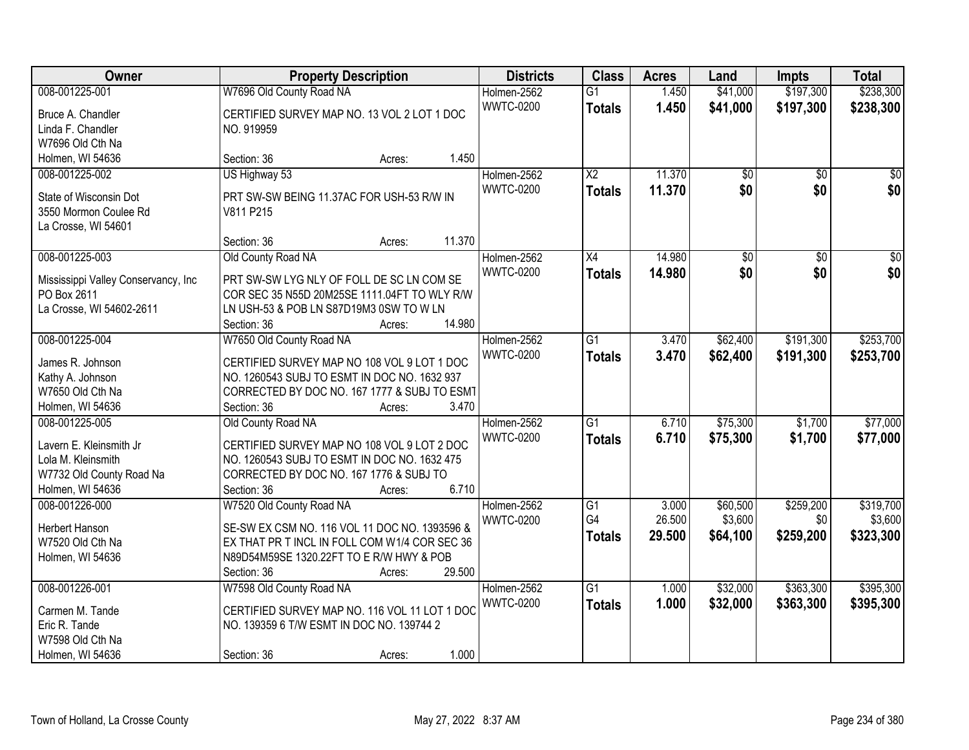| Owner                               | <b>Property Description</b>                                                             | <b>Districts</b> | <b>Class</b>           | <b>Acres</b> | Land            | <b>Impts</b>    | <b>Total</b>    |
|-------------------------------------|-----------------------------------------------------------------------------------------|------------------|------------------------|--------------|-----------------|-----------------|-----------------|
| 008-001225-001                      | W7696 Old County Road NA                                                                | Holmen-2562      | $\overline{G1}$        | 1.450        | \$41,000        | \$197,300       | \$238,300       |
| Bruce A. Chandler                   | CERTIFIED SURVEY MAP NO. 13 VOL 2 LOT 1 DOC                                             | <b>WWTC-0200</b> | <b>Totals</b>          | 1.450        | \$41,000        | \$197,300       | \$238,300       |
| Linda F. Chandler                   | NO. 919959                                                                              |                  |                        |              |                 |                 |                 |
| W7696 Old Cth Na                    |                                                                                         |                  |                        |              |                 |                 |                 |
| Holmen, WI 54636                    | 1.450<br>Section: 36<br>Acres:                                                          |                  |                        |              |                 |                 |                 |
| 008-001225-002                      | US Highway 53                                                                           | Holmen-2562      | $\overline{\text{X2}}$ | 11.370       | $\overline{50}$ | $\overline{50}$ | \$0             |
| State of Wisconsin Dot              | PRT SW-SW BEING 11.37AC FOR USH-53 R/W IN                                               | <b>WWTC-0200</b> | <b>Totals</b>          | 11.370       | \$0             | \$0             | \$0             |
| 3550 Mormon Coulee Rd               | V811 P215                                                                               |                  |                        |              |                 |                 |                 |
| La Crosse, WI 54601                 |                                                                                         |                  |                        |              |                 |                 |                 |
|                                     | 11.370<br>Section: 36<br>Acres:                                                         |                  |                        |              |                 |                 |                 |
| 008-001225-003                      | Old County Road NA                                                                      | Holmen-2562      | X4                     | 14.980       | \$0             | \$0             | $\overline{50}$ |
|                                     |                                                                                         | <b>WWTC-0200</b> | <b>Totals</b>          | 14.980       | \$0             | \$0             | \$0             |
| Mississippi Valley Conservancy, Inc | PRT SW-SW LYG NLY OF FOLL DE SC LN COM SE                                               |                  |                        |              |                 |                 |                 |
| PO Box 2611                         | COR SEC 35 N55D 20M25SE 1111.04FT TO WLY R/W<br>LN USH-53 & POB LN S87D19M3 0SW TO W LN |                  |                        |              |                 |                 |                 |
| La Crosse, WI 54602-2611            | 14.980<br>Section: 36<br>Acres:                                                         |                  |                        |              |                 |                 |                 |
| 008-001225-004                      | W7650 Old County Road NA                                                                | Holmen-2562      | G1                     | 3.470        | \$62,400        | \$191,300       | \$253,700       |
|                                     |                                                                                         | <b>WWTC-0200</b> |                        | 3.470        | \$62,400        |                 |                 |
| James R. Johnson                    | CERTIFIED SURVEY MAP NO 108 VOL 9 LOT 1 DOC                                             |                  | <b>Totals</b>          |              |                 | \$191,300       | \$253,700       |
| Kathy A. Johnson                    | NO. 1260543 SUBJ TO ESMT IN DOC NO. 1632 937                                            |                  |                        |              |                 |                 |                 |
| W7650 Old Cth Na                    | CORRECTED BY DOC NO. 167 1777 & SUBJ TO ESMT                                            |                  |                        |              |                 |                 |                 |
| Holmen, WI 54636                    | 3.470<br>Section: 36<br>Acres:                                                          |                  |                        |              |                 |                 |                 |
| 008-001225-005                      | Old County Road NA                                                                      | Holmen-2562      | $\overline{G1}$        | 6.710        | \$75,300        | \$1,700         | \$77,000        |
| Lavern E. Kleinsmith Jr             | CERTIFIED SURVEY MAP NO 108 VOL 9 LOT 2 DOC                                             | <b>WWTC-0200</b> | <b>Totals</b>          | 6.710        | \$75,300        | \$1,700         | \$77,000        |
| Lola M. Kleinsmith                  | NO. 1260543 SUBJ TO ESMT IN DOC NO. 1632 475                                            |                  |                        |              |                 |                 |                 |
| W7732 Old County Road Na            | CORRECTED BY DOC NO. 167 1776 & SUBJ TO                                                 |                  |                        |              |                 |                 |                 |
| Holmen, WI 54636                    | 6.710<br>Section: 36<br>Acres:                                                          |                  |                        |              |                 |                 |                 |
| 008-001226-000                      | W7520 Old County Road NA                                                                | Holmen-2562      | $\overline{G1}$        | 3.000        | \$60,500        | \$259,200       | \$319,700       |
| Herbert Hanson                      | SE-SW EX CSM NO. 116 VOL 11 DOC NO. 1393596 &                                           | <b>WWTC-0200</b> | G4                     | 26.500       | \$3,600         | \$0             | \$3,600         |
| W7520 Old Cth Na                    | EX THAT PR T INCL IN FOLL COM W1/4 COR SEC 36                                           |                  | <b>Totals</b>          | 29.500       | \$64,100        | \$259,200       | \$323,300       |
| Holmen, WI 54636                    | N89D54M59SE 1320.22FT TO E R/W HWY & POB                                                |                  |                        |              |                 |                 |                 |
|                                     | 29.500<br>Section: 36<br>Acres:                                                         |                  |                        |              |                 |                 |                 |
| 008-001226-001                      | W7598 Old County Road NA                                                                | Holmen-2562      | $\overline{G1}$        | 1.000        | \$32,000        | \$363,300       | \$395,300       |
|                                     |                                                                                         | <b>WWTC-0200</b> | <b>Totals</b>          | 1.000        | \$32,000        | \$363,300       | \$395,300       |
| Carmen M. Tande                     | CERTIFIED SURVEY MAP NO. 116 VOL 11 LOT 1 DOC                                           |                  |                        |              |                 |                 |                 |
| Eric R. Tande                       | NO. 139359 6 T/W ESMT IN DOC NO. 139744 2                                               |                  |                        |              |                 |                 |                 |
| W7598 Old Cth Na                    |                                                                                         |                  |                        |              |                 |                 |                 |
| Holmen, WI 54636                    | 1.000<br>Section: 36<br>Acres:                                                          |                  |                        |              |                 |                 |                 |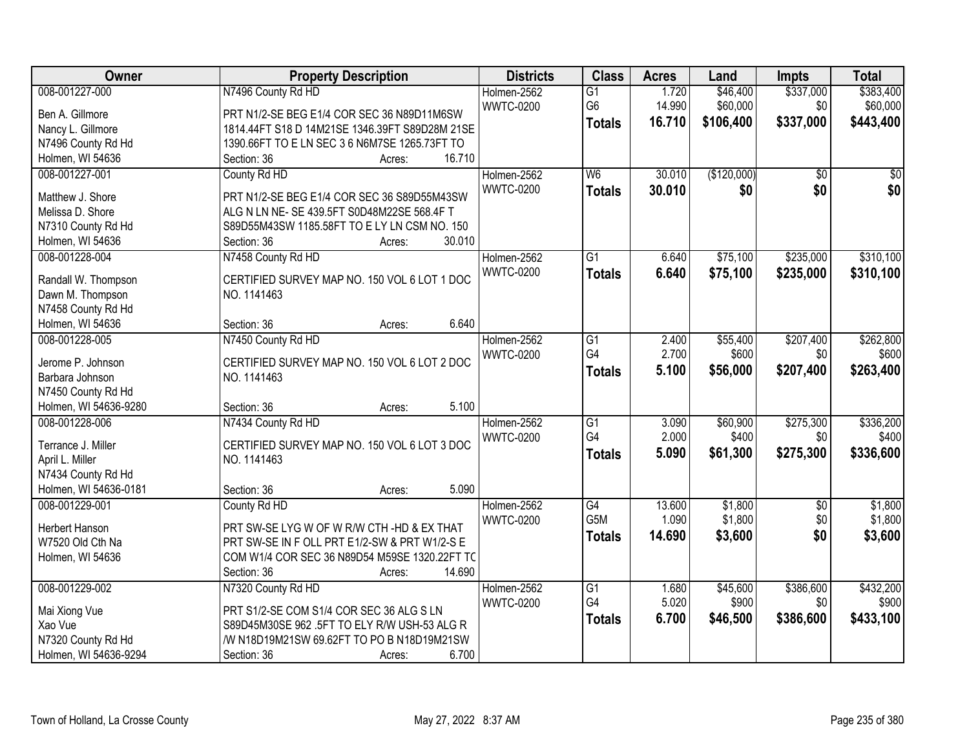| Owner                 | <b>Property Description</b>                    | <b>Districts</b> | <b>Class</b>     | <b>Acres</b>   | Land        | Impts           | <b>Total</b> |
|-----------------------|------------------------------------------------|------------------|------------------|----------------|-------------|-----------------|--------------|
| 008-001227-000        | N7496 County Rd HD                             | Holmen-2562      | $\overline{G1}$  | 1.720          | \$46,400    | \$337,000       | \$383,400    |
| Ben A. Gillmore       | PRT N1/2-SE BEG E1/4 COR SEC 36 N89D11M6SW     | <b>WWTC-0200</b> | G <sub>6</sub>   | 14.990         | \$60,000    | \$0             | \$60,000     |
| Nancy L. Gillmore     | 1814.44FT S18 D 14M21SE 1346.39FT S89D28M 21SE |                  | <b>Totals</b>    | 16.710         | \$106,400   | \$337,000       | \$443,400    |
| N7496 County Rd Hd    | 1390.66FT TO E LN SEC 3 6 N6M7SE 1265.73FT TO  |                  |                  |                |             |                 |              |
| Holmen, WI 54636      | 16.710<br>Section: 36<br>Acres:                |                  |                  |                |             |                 |              |
| 008-001227-001        | County Rd HD                                   | Holmen-2562      | W6               | 30.010         | (\$120,000) | $\overline{50}$ | \$0          |
|                       |                                                | <b>WWTC-0200</b> |                  | 30.010         | \$0         | \$0             | \$0          |
| Matthew J. Shore      | PRT N1/2-SE BEG E1/4 COR SEC 36 S89D55M43SW    |                  | <b>Totals</b>    |                |             |                 |              |
| Melissa D. Shore      | ALG N LN NE- SE 439.5FT S0D48M22SE 568.4F T    |                  |                  |                |             |                 |              |
| N7310 County Rd Hd    | S89D55M43SW 1185.58FT TO E LY LN CSM NO. 150   |                  |                  |                |             |                 |              |
| Holmen, WI 54636      | 30.010<br>Section: 36<br>Acres:                |                  |                  |                |             |                 |              |
| 008-001228-004        | N7458 County Rd HD                             | Holmen-2562      | $\overline{G1}$  | 6.640          | \$75,100    | \$235,000       | \$310,100    |
|                       | CERTIFIED SURVEY MAP NO. 150 VOL 6 LOT 1 DOC   | <b>WWTC-0200</b> | <b>Totals</b>    | 6.640          | \$75,100    | \$235,000       | \$310,100    |
| Randall W. Thompson   |                                                |                  |                  |                |             |                 |              |
| Dawn M. Thompson      | NO. 1141463                                    |                  |                  |                |             |                 |              |
| N7458 County Rd Hd    | 6.640<br>Section: 36                           |                  |                  |                |             |                 |              |
| Holmen, WI 54636      | Acres:                                         |                  |                  |                |             |                 |              |
| 008-001228-005        | N7450 County Rd HD                             | Holmen-2562      | G1<br>G4         | 2.400<br>2.700 | \$55,400    | \$207,400       | \$262,800    |
| Jerome P. Johnson     | CERTIFIED SURVEY MAP NO. 150 VOL 6 LOT 2 DOC   | <b>WWTC-0200</b> |                  |                | \$600       | \$0             | \$600        |
| Barbara Johnson       | NO. 1141463                                    |                  | <b>Totals</b>    | 5.100          | \$56,000    | \$207,400       | \$263,400    |
| N7450 County Rd Hd    |                                                |                  |                  |                |             |                 |              |
| Holmen, WI 54636-9280 | 5.100<br>Section: 36<br>Acres:                 |                  |                  |                |             |                 |              |
| 008-001228-006        | N7434 County Rd HD                             | Holmen-2562      | $\overline{G1}$  | 3.090          | \$60,900    | \$275,300       | \$336,200    |
|                       |                                                | <b>WWTC-0200</b> | G4               | 2.000          | \$400       | \$0             | \$400        |
| Terrance J. Miller    | CERTIFIED SURVEY MAP NO. 150 VOL 6 LOT 3 DOC   |                  | <b>Totals</b>    | 5.090          | \$61,300    | \$275,300       | \$336,600    |
| April L. Miller       | NO. 1141463                                    |                  |                  |                |             |                 |              |
| N7434 County Rd Hd    |                                                |                  |                  |                |             |                 |              |
| Holmen, WI 54636-0181 | 5.090<br>Section: 36<br>Acres:                 |                  |                  |                |             |                 |              |
| 008-001229-001        | County Rd HD                                   | Holmen-2562      | $\overline{G4}$  | 13.600         | \$1,800     | $\overline{50}$ | \$1,800      |
| Herbert Hanson        | PRT SW-SE LYG W OF W R/W CTH -HD & EX THAT     | <b>WWTC-0200</b> | G <sub>5</sub> M | 1.090          | \$1,800     | \$0             | \$1,800      |
| W7520 Old Cth Na      | PRT SW-SE IN F OLL PRT E1/2-SW & PRT W1/2-S E  |                  | <b>Totals</b>    | 14.690         | \$3,600     | \$0             | \$3,600      |
| Holmen, WI 54636      | COM W1/4 COR SEC 36 N89D54 M59SE 1320.22FT TC  |                  |                  |                |             |                 |              |
|                       | 14.690<br>Section: 36<br>Acres:                |                  |                  |                |             |                 |              |
| 008-001229-002        | N7320 County Rd HD                             | Holmen-2562      | $\overline{G1}$  | 1.680          | \$45,600    | \$386,600       | \$432,200    |
|                       |                                                | <b>WWTC-0200</b> | G4               | 5.020          | \$900       | \$0             | \$900        |
| Mai Xiong Vue         | PRT S1/2-SE COM S1/4 COR SEC 36 ALG S LN       |                  | <b>Totals</b>    | 6.700          | \$46,500    | \$386,600       | \$433,100    |
| Xao Vue               | S89D45M30SE 962 .5FT TO ELY R/W USH-53 ALG R   |                  |                  |                |             |                 |              |
| N7320 County Rd Hd    | /W N18D19M21SW 69.62FT TO PO B N18D19M21SW     |                  |                  |                |             |                 |              |
| Holmen, WI 54636-9294 | 6.700<br>Section: 36<br>Acres:                 |                  |                  |                |             |                 |              |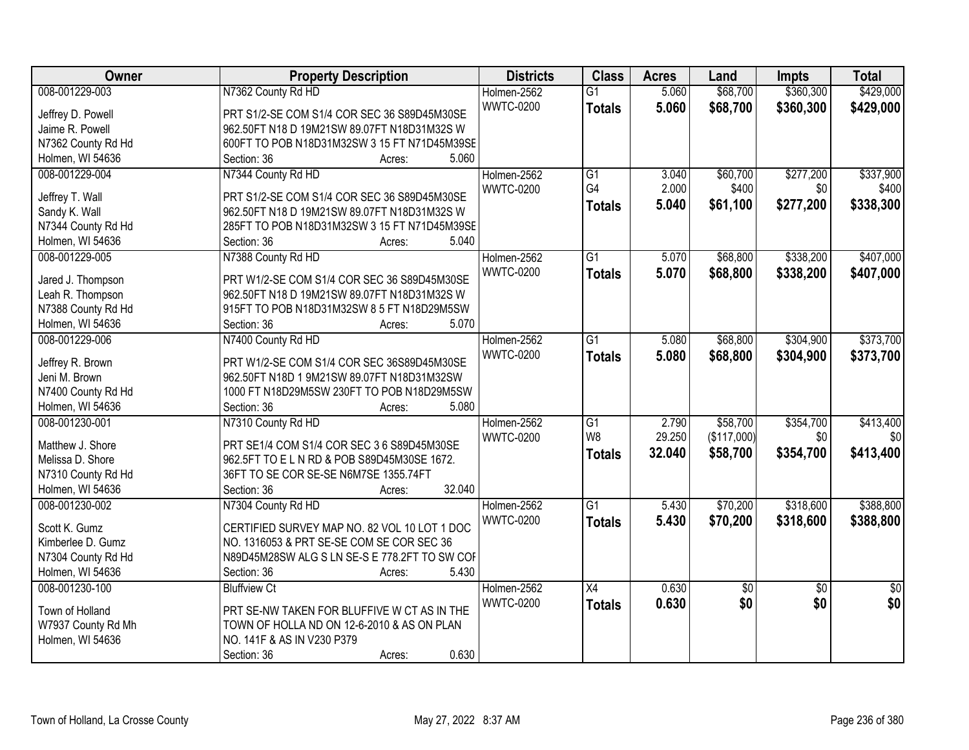| Owner              | <b>Property Description</b>                   | <b>Districts</b> | <b>Class</b>          | <b>Acres</b> | Land            | <b>Impts</b>    | <b>Total</b>    |
|--------------------|-----------------------------------------------|------------------|-----------------------|--------------|-----------------|-----------------|-----------------|
| 008-001229-003     | N7362 County Rd HD                            | Holmen-2562      | $\overline{G1}$       | 5.060        | \$68,700        | \$360,300       | \$429,000       |
| Jeffrey D. Powell  | PRT S1/2-SE COM S1/4 COR SEC 36 S89D45M30SE   | <b>WWTC-0200</b> | <b>Totals</b>         | 5.060        | \$68,700        | \$360,300       | \$429,000       |
| Jaime R. Powell    | 962.50FT N18 D 19M21SW 89.07FT N18D31M32S W   |                  |                       |              |                 |                 |                 |
| N7362 County Rd Hd | 600FT TO POB N18D31M32SW 3 15 FT N71D45M39SE  |                  |                       |              |                 |                 |                 |
| Holmen, WI 54636   | 5.060<br>Section: 36<br>Acres:                |                  |                       |              |                 |                 |                 |
| 008-001229-004     | N7344 County Rd HD                            | Holmen-2562      | $\overline{G1}$<br>G4 | 3.040        | \$60,700        | \$277,200       | \$337,900       |
| Jeffrey T. Wall    | PRT S1/2-SE COM S1/4 COR SEC 36 S89D45M30SE   | <b>WWTC-0200</b> |                       | 2.000        | \$400           | \$0             | \$400           |
| Sandy K. Wall      | 962.50FT N18 D 19M21SW 89.07FT N18D31M32S W   |                  | <b>Totals</b>         | 5.040        | \$61,100        | \$277,200       | \$338,300       |
| N7344 County Rd Hd | 285FT TO POB N18D31M32SW 3 15 FT N71D45M39SE  |                  |                       |              |                 |                 |                 |
| Holmen, WI 54636   | 5.040<br>Section: 36<br>Acres:                |                  |                       |              |                 |                 |                 |
| 008-001229-005     | N7388 County Rd HD                            | Holmen-2562      | G1                    | 5.070        | \$68,800        | \$338,200       | \$407,000       |
|                    |                                               | <b>WWTC-0200</b> | <b>Totals</b>         | 5.070        | \$68,800        | \$338,200       | \$407,000       |
| Jared J. Thompson  | PRT W1/2-SE COM S1/4 COR SEC 36 S89D45M30SE   |                  |                       |              |                 |                 |                 |
| Leah R. Thompson   | 962.50FT N18 D 19M21SW 89.07FT N18D31M32S W   |                  |                       |              |                 |                 |                 |
| N7388 County Rd Hd | 915FT TO POB N18D31M32SW 8 5 FT N18D29M5SW    |                  |                       |              |                 |                 |                 |
| Holmen, WI 54636   | Section: 36<br>5.070<br>Acres:                |                  |                       |              |                 |                 |                 |
| 008-001229-006     | N7400 County Rd HD                            | Holmen-2562      | $\overline{G1}$       | 5.080        | \$68,800        | \$304,900       | \$373,700       |
| Jeffrey R. Brown   | PRT W1/2-SE COM S1/4 COR SEC 36S89D45M30SE    | <b>WWTC-0200</b> | <b>Totals</b>         | 5.080        | \$68,800        | \$304,900       | \$373,700       |
| Jeni M. Brown      | 962.50FT N18D 1 9M21SW 89.07FT N18D31M32SW    |                  |                       |              |                 |                 |                 |
| N7400 County Rd Hd | 1000 FT N18D29M5SW 230FT TO POB N18D29M5SW    |                  |                       |              |                 |                 |                 |
| Holmen, WI 54636   | 5.080<br>Section: 36<br>Acres:                |                  |                       |              |                 |                 |                 |
| 008-001230-001     | N7310 County Rd HD                            | Holmen-2562      | $\overline{G1}$       | 2.790        | \$58,700        | \$354,700       | \$413,400       |
|                    |                                               | <b>WWTC-0200</b> | W <sub>8</sub>        | 29.250       | (\$117,000)     | \$0             | \$0             |
| Matthew J. Shore   | PRT SE1/4 COM S1/4 COR SEC 3 6 S89D45M30SE    |                  | <b>Totals</b>         | 32.040       | \$58,700        | \$354,700       | \$413,400       |
| Melissa D. Shore   | 962.5FT TO ELN RD & POB S89D45M30SE 1672.     |                  |                       |              |                 |                 |                 |
| N7310 County Rd Hd | 36FT TO SE COR SE-SE N6M7SE 1355.74FT         |                  |                       |              |                 |                 |                 |
| Holmen, WI 54636   | 32.040<br>Section: 36<br>Acres:               |                  |                       |              |                 |                 |                 |
| 008-001230-002     | N7304 County Rd HD                            | Holmen-2562      | $\overline{G1}$       | 5.430        | \$70,200        | \$318,600       | \$388,800       |
| Scott K. Gumz      | CERTIFIED SURVEY MAP NO. 82 VOL 10 LOT 1 DOC  | <b>WWTC-0200</b> | <b>Totals</b>         | 5.430        | \$70,200        | \$318,600       | \$388,800       |
| Kimberlee D. Gumz  | NO. 1316053 & PRT SE-SE COM SE COR SEC 36     |                  |                       |              |                 |                 |                 |
| N7304 County Rd Hd | N89D45M28SW ALG S LN SE-S E 778.2FT TO SW COF |                  |                       |              |                 |                 |                 |
| Holmen, WI 54636   | 5.430<br>Section: 36<br>Acres:                |                  |                       |              |                 |                 |                 |
| 008-001230-100     | <b>Bluffview Ct</b>                           | Holmen-2562      | $\overline{X4}$       | 0.630        | $\overline{50}$ | $\overline{50}$ | $\overline{50}$ |
|                    |                                               |                  |                       |              |                 |                 |                 |
| Town of Holland    | PRT SE-NW TAKEN FOR BLUFFIVE W CT AS IN THE   | <b>WWTC-0200</b> | <b>Totals</b>         | 0.630        | \$0             | \$0             | \$0             |
| W7937 County Rd Mh | TOWN OF HOLLA ND ON 12-6-2010 & AS ON PLAN    |                  |                       |              |                 |                 |                 |
| Holmen, WI 54636   | NO. 141F & AS IN V230 P379                    |                  |                       |              |                 |                 |                 |
|                    | 0.630<br>Section: 36<br>Acres:                |                  |                       |              |                 |                 |                 |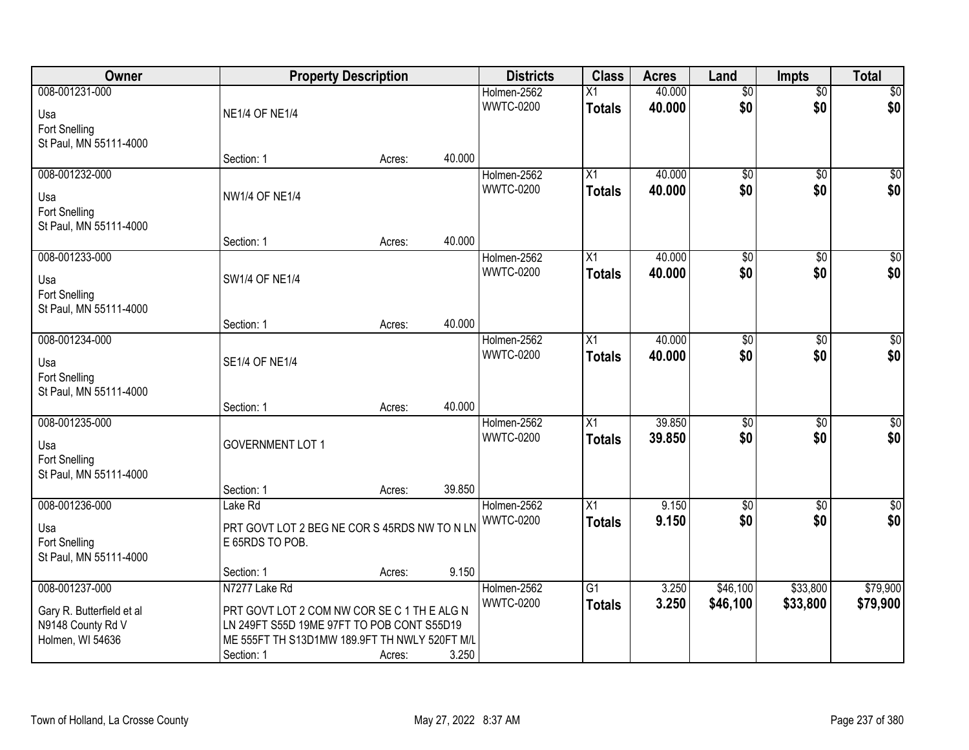| Owner                     |                                               | <b>Property Description</b> |        | <b>Districts</b> | <b>Class</b>    | <b>Acres</b> | Land            | <b>Impts</b>    | <b>Total</b>     |
|---------------------------|-----------------------------------------------|-----------------------------|--------|------------------|-----------------|--------------|-----------------|-----------------|------------------|
| 008-001231-000            |                                               |                             |        | Holmen-2562      | X1              | 40.000       | $\overline{50}$ | $\overline{50}$ | \$0              |
| Usa                       | <b>NE1/4 OF NE1/4</b>                         |                             |        | <b>WWTC-0200</b> | <b>Totals</b>   | 40.000       | \$0             | \$0             | \$0              |
| Fort Snelling             |                                               |                             |        |                  |                 |              |                 |                 |                  |
| St Paul, MN 55111-4000    |                                               |                             |        |                  |                 |              |                 |                 |                  |
|                           | Section: 1                                    | Acres:                      | 40.000 |                  |                 |              |                 |                 |                  |
| 008-001232-000            |                                               |                             |        | Holmen-2562      | $\overline{X1}$ | 40.000       | $\overline{50}$ | $\overline{50}$ | \$0              |
| Usa                       | <b>NW1/4 OF NE1/4</b>                         |                             |        | <b>WWTC-0200</b> | <b>Totals</b>   | 40.000       | \$0             | \$0             | \$0              |
| Fort Snelling             |                                               |                             |        |                  |                 |              |                 |                 |                  |
| St Paul, MN 55111-4000    |                                               |                             |        |                  |                 |              |                 |                 |                  |
|                           | Section: 1                                    | Acres:                      | 40.000 |                  |                 |              |                 |                 |                  |
| 008-001233-000            |                                               |                             |        | Holmen-2562      | X1              | 40.000       | $\overline{50}$ | $\overline{60}$ | $\overline{\$0}$ |
| Usa                       | <b>SW1/4 OF NE1/4</b>                         |                             |        | <b>WWTC-0200</b> | <b>Totals</b>   | 40.000       | \$0             | \$0             | \$0              |
| Fort Snelling             |                                               |                             |        |                  |                 |              |                 |                 |                  |
| St Paul, MN 55111-4000    |                                               |                             |        |                  |                 |              |                 |                 |                  |
|                           | Section: 1                                    | Acres:                      | 40.000 |                  |                 |              |                 |                 |                  |
| 008-001234-000            |                                               |                             |        | Holmen-2562      | X1              | 40.000       | \$0             | $\frac{1}{20}$  | $\sqrt{60}$      |
| Usa                       | <b>SE1/4 OF NE1/4</b>                         |                             |        | <b>WWTC-0200</b> | <b>Totals</b>   | 40.000       | \$0             | \$0             | \$0              |
| Fort Snelling             |                                               |                             |        |                  |                 |              |                 |                 |                  |
| St Paul, MN 55111-4000    |                                               |                             |        |                  |                 |              |                 |                 |                  |
|                           | Section: 1                                    | Acres:                      | 40.000 |                  |                 |              |                 |                 |                  |
| 008-001235-000            |                                               |                             |        | Holmen-2562      | $\overline{X1}$ | 39.850       | $\overline{50}$ | $\overline{50}$ | $\overline{50}$  |
| Usa                       | <b>GOVERNMENT LOT 1</b>                       |                             |        | <b>WWTC-0200</b> | Totals          | 39.850       | \$0             | \$0             | \$0              |
| Fort Snelling             |                                               |                             |        |                  |                 |              |                 |                 |                  |
| St Paul, MN 55111-4000    |                                               |                             |        |                  |                 |              |                 |                 |                  |
|                           | Section: 1                                    | Acres:                      | 39.850 |                  |                 |              |                 |                 |                  |
| 008-001236-000            | Lake Rd                                       |                             |        | Holmen-2562      | $\overline{X}$  | 9.150        | $\sqrt{6}$      | $\overline{50}$ | \$0              |
| Usa                       | PRT GOVT LOT 2 BEG NE COR S 45RDS NW TO N LN  |                             |        | <b>WWTC-0200</b> | <b>Totals</b>   | 9.150        | \$0             | \$0             | \$0              |
| Fort Snelling             | E 65RDS TO POB.                               |                             |        |                  |                 |              |                 |                 |                  |
| St Paul, MN 55111-4000    |                                               |                             |        |                  |                 |              |                 |                 |                  |
|                           | Section: 1                                    | Acres:                      | 9.150  |                  |                 |              |                 |                 |                  |
| 008-001237-000            | N7277 Lake Rd                                 |                             |        | Holmen-2562      | $\overline{G1}$ | 3.250        | \$46,100        | \$33,800        | \$79,900         |
| Gary R. Butterfield et al | PRT GOVT LOT 2 COM NW COR SE C 1 TH E ALG N   |                             |        | <b>WWTC-0200</b> | <b>Totals</b>   | 3.250        | \$46,100        | \$33,800        | \$79,900         |
| N9148 County Rd V         | LN 249FT S55D 19ME 97FT TO POB CONT S55D19    |                             |        |                  |                 |              |                 |                 |                  |
| Holmen, WI 54636          | ME 555FT TH S13D1MW 189.9FT TH NWLY 520FT M/L |                             |        |                  |                 |              |                 |                 |                  |
|                           | Section: 1                                    | Acres:                      | 3.250  |                  |                 |              |                 |                 |                  |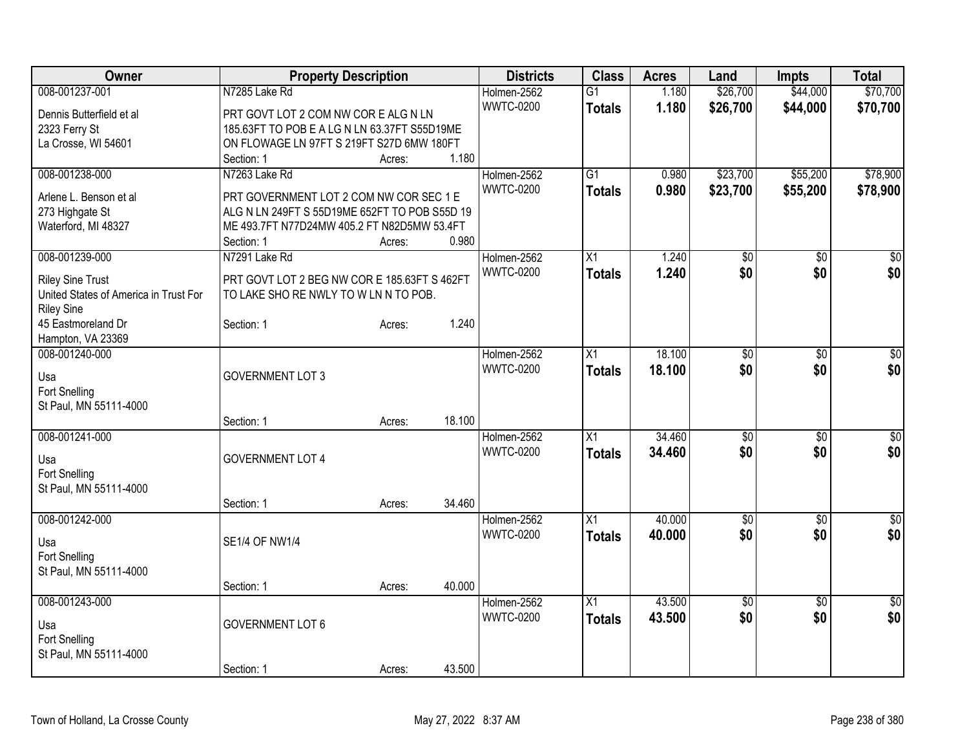| <b>Owner</b>                          | <b>Property Description</b>                   |        |        | <b>Districts</b> | <b>Class</b>    | <b>Acres</b> | Land            | <b>Impts</b>    | <b>Total</b>    |
|---------------------------------------|-----------------------------------------------|--------|--------|------------------|-----------------|--------------|-----------------|-----------------|-----------------|
| 008-001237-001                        | N7285 Lake Rd                                 |        |        | Holmen-2562      | $\overline{G1}$ | 1.180        | \$26,700        | \$44,000        | \$70,700        |
| Dennis Butterfield et al              | PRT GOVT LOT 2 COM NW COREALG N LN            |        |        | <b>WWTC-0200</b> | <b>Totals</b>   | 1.180        | \$26,700        | \$44,000        | \$70,700        |
| 2323 Ferry St                         | 185.63FT TO POB E A LG N LN 63.37FT S55D19ME  |        |        |                  |                 |              |                 |                 |                 |
| La Crosse, WI 54601                   | ON FLOWAGE LN 97FT S 219FT S27D 6MW 180FT     |        |        |                  |                 |              |                 |                 |                 |
|                                       | Section: 1                                    | Acres: | 1.180  |                  |                 |              |                 |                 |                 |
| 008-001238-000                        | N7263 Lake Rd                                 |        |        | Holmen-2562      | $\overline{G1}$ | 0.980        | \$23,700        | \$55,200        | \$78,900        |
|                                       |                                               |        |        | <b>WWTC-0200</b> | <b>Totals</b>   | 0.980        | \$23,700        | \$55,200        | \$78,900        |
| Arlene L. Benson et al                | PRT GOVERNMENT LOT 2 COM NW COR SEC 1 E       |        |        |                  |                 |              |                 |                 |                 |
| 273 Highgate St                       | ALG N LN 249FT S 55D19ME 652FT TO POB S55D 19 |        |        |                  |                 |              |                 |                 |                 |
| Waterford, MI 48327                   | ME 493.7FT N77D24MW 405.2 FT N82D5MW 53.4FT   |        | 0.980  |                  |                 |              |                 |                 |                 |
|                                       | Section: 1                                    | Acres: |        |                  |                 |              |                 |                 |                 |
| 008-001239-000                        | N7291 Lake Rd                                 |        |        | Holmen-2562      | X1              | 1.240        | $\overline{50}$ | \$0             | $\sqrt{50}$     |
| <b>Riley Sine Trust</b>               | PRT GOVT LOT 2 BEG NW COR E 185.63FT S 462FT  |        |        | <b>WWTC-0200</b> | <b>Totals</b>   | 1.240        | \$0             | \$0             | \$0             |
| United States of America in Trust For | TO LAKE SHO RE NWLY TO W LN N TO POB.         |        |        |                  |                 |              |                 |                 |                 |
| <b>Riley Sine</b>                     |                                               |        |        |                  |                 |              |                 |                 |                 |
| 45 Eastmoreland Dr                    | Section: 1                                    | Acres: | 1.240  |                  |                 |              |                 |                 |                 |
| Hampton, VA 23369                     |                                               |        |        |                  |                 |              |                 |                 |                 |
| 008-001240-000                        |                                               |        |        | Holmen-2562      | X1              | 18.100       | \$0             | $\sqrt[6]{30}$  | \$0             |
| Usa                                   | <b>GOVERNMENT LOT 3</b>                       |        |        | <b>WWTC-0200</b> | <b>Totals</b>   | 18.100       | \$0             | \$0             | \$0             |
| Fort Snelling                         |                                               |        |        |                  |                 |              |                 |                 |                 |
| St Paul, MN 55111-4000                |                                               |        |        |                  |                 |              |                 |                 |                 |
|                                       | Section: 1                                    | Acres: | 18.100 |                  |                 |              |                 |                 |                 |
| 008-001241-000                        |                                               |        |        | Holmen-2562      | X1              | 34.460       | $\overline{50}$ | \$0             | $\overline{50}$ |
|                                       |                                               |        |        | <b>WWTC-0200</b> | <b>Totals</b>   | 34.460       | \$0             | \$0             | \$0             |
| Usa                                   | <b>GOVERNMENT LOT 4</b>                       |        |        |                  |                 |              |                 |                 |                 |
| Fort Snelling                         |                                               |        |        |                  |                 |              |                 |                 |                 |
| St Paul, MN 55111-4000                |                                               |        |        |                  |                 |              |                 |                 |                 |
|                                       | Section: 1                                    | Acres: | 34.460 |                  |                 |              |                 |                 |                 |
| 008-001242-000                        |                                               |        |        | Holmen-2562      | $\overline{X1}$ | 40.000       | $\overline{50}$ | $\overline{30}$ | \$0             |
| Usa                                   | <b>SE1/4 OF NW1/4</b>                         |        |        | <b>WWTC-0200</b> | <b>Totals</b>   | 40.000       | \$0             | \$0             | \$0             |
| <b>Fort Snelling</b>                  |                                               |        |        |                  |                 |              |                 |                 |                 |
| St Paul, MN 55111-4000                |                                               |        |        |                  |                 |              |                 |                 |                 |
|                                       | Section: 1                                    | Acres: | 40.000 |                  |                 |              |                 |                 |                 |
| 008-001243-000                        |                                               |        |        | Holmen-2562      | $\overline{X1}$ | 43.500       | $\overline{50}$ | $\overline{50}$ | $\overline{30}$ |
|                                       |                                               |        |        | <b>WWTC-0200</b> | <b>Totals</b>   | 43.500       | \$0             | \$0             | \$0             |
| Usa                                   | <b>GOVERNMENT LOT 6</b>                       |        |        |                  |                 |              |                 |                 |                 |
| <b>Fort Snelling</b>                  |                                               |        |        |                  |                 |              |                 |                 |                 |
| St Paul, MN 55111-4000                |                                               |        |        |                  |                 |              |                 |                 |                 |
|                                       | Section: 1                                    | Acres: | 43.500 |                  |                 |              |                 |                 |                 |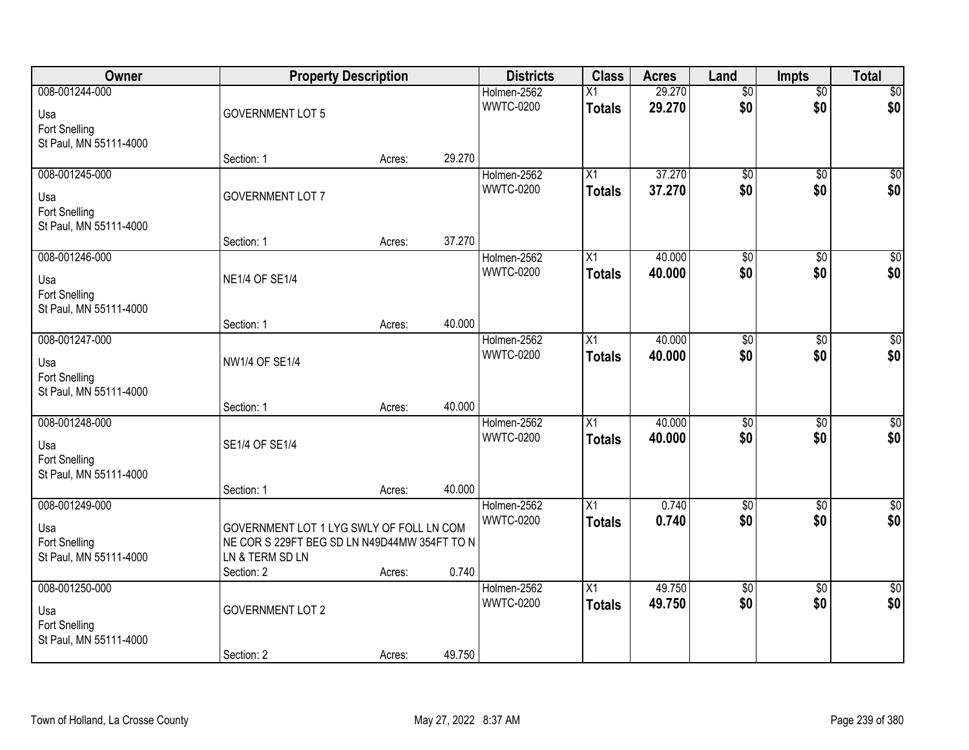| Owner                  | <b>Property Description</b>                  |        |        | <b>Districts</b>                | <b>Class</b>    | <b>Acres</b> | Land            | <b>Impts</b>    | <b>Total</b>    |
|------------------------|----------------------------------------------|--------|--------|---------------------------------|-----------------|--------------|-----------------|-----------------|-----------------|
| 008-001244-000         |                                              |        |        | Holmen-2562                     | Χ1              | 29.270       | $\overline{50}$ | $\overline{50}$ | \$0             |
| Usa                    | <b>GOVERNMENT LOT 5</b>                      |        |        | <b>WWTC-0200</b>                | <b>Totals</b>   | 29.270       | \$0             | \$0             | \$0             |
| Fort Snelling          |                                              |        |        |                                 |                 |              |                 |                 |                 |
| St Paul, MN 55111-4000 |                                              |        |        |                                 |                 |              |                 |                 |                 |
|                        | Section: 1                                   | Acres: | 29.270 |                                 |                 |              |                 |                 |                 |
| 008-001245-000         |                                              |        |        | Holmen-2562                     | X1              | 37.270       | $\overline{50}$ | $\overline{50}$ | $\overline{50}$ |
| Usa                    | <b>GOVERNMENT LOT 7</b>                      |        |        | <b>WWTC-0200</b>                | <b>Totals</b>   | 37.270       | \$0             | \$0             | \$0             |
| <b>Fort Snelling</b>   |                                              |        |        |                                 |                 |              |                 |                 |                 |
| St Paul, MN 55111-4000 |                                              |        |        |                                 |                 |              |                 |                 |                 |
|                        | Section: 1                                   | Acres: | 37.270 |                                 |                 |              |                 |                 |                 |
| 008-001246-000         |                                              |        |        | Holmen-2562                     | X1              | 40.000       | $\overline{50}$ | \$0             | $\overline{50}$ |
| Usa                    | <b>NE1/4 OF SE1/4</b>                        |        |        | <b>WWTC-0200</b>                | <b>Totals</b>   | 40.000       | \$0             | \$0             | \$0             |
| Fort Snelling          |                                              |        |        |                                 |                 |              |                 |                 |                 |
| St Paul, MN 55111-4000 |                                              |        |        |                                 |                 |              |                 |                 |                 |
|                        | Section: 1                                   | Acres: | 40.000 |                                 |                 |              |                 |                 |                 |
| 008-001247-000         |                                              |        |        | Holmen-2562                     | X1              | 40.000       | $\overline{50}$ | \$0             | $\sqrt{50}$     |
| Usa                    | NW1/4 OF SE1/4                               |        |        | <b>WWTC-0200</b>                | <b>Totals</b>   | 40.000       | \$0             | \$0             | \$0             |
| Fort Snelling          |                                              |        |        |                                 |                 |              |                 |                 |                 |
| St Paul, MN 55111-4000 |                                              |        |        |                                 |                 |              |                 |                 |                 |
|                        | Section: 1                                   | Acres: | 40.000 |                                 |                 |              |                 |                 |                 |
| 008-001248-000         |                                              |        |        | Holmen-2562                     | $\overline{X1}$ | 40.000       | $\overline{50}$ | $\overline{30}$ | $\overline{50}$ |
| Usa                    | SE1/4 OF SE1/4                               |        |        | <b>WWTC-0200</b>                | <b>Totals</b>   | 40.000       | \$0             | \$0             | \$0             |
| Fort Snelling          |                                              |        |        |                                 |                 |              |                 |                 |                 |
| St Paul, MN 55111-4000 |                                              |        |        |                                 |                 |              |                 |                 |                 |
|                        | Section: 1                                   | Acres: | 40.000 |                                 |                 |              |                 |                 |                 |
| 008-001249-000         |                                              |        |        | Holmen-2562                     | $\overline{X1}$ | 0.740        | $\overline{50}$ | $\overline{30}$ | $\sqrt{50}$     |
| Usa                    | GOVERNMENT LOT 1 LYG SWLY OF FOLL LN COM     |        |        | <b>WWTC-0200</b>                | <b>Totals</b>   | 0.740        | \$0             | \$0             | \$0             |
| Fort Snelling          | NE COR S 229FT BEG SD LN N49D44MW 354FT TO N |        |        |                                 |                 |              |                 |                 |                 |
| St Paul, MN 55111-4000 | LN & TERM SD LN                              |        |        |                                 |                 |              |                 |                 |                 |
|                        | Section: 2                                   | Acres: | 0.740  |                                 |                 |              |                 |                 |                 |
| 008-001250-000         |                                              |        |        | Holmen-2562<br><b>WWTC-0200</b> | $\overline{X1}$ | 49.750       | $\overline{50}$ | $\overline{50}$ | $\sqrt{50}$     |
| Usa                    | <b>GOVERNMENT LOT 2</b>                      |        |        |                                 | <b>Totals</b>   | 49.750       | \$0             | \$0             | \$0             |
| Fort Snelling          |                                              |        |        |                                 |                 |              |                 |                 |                 |
| St Paul, MN 55111-4000 |                                              |        |        |                                 |                 |              |                 |                 |                 |
|                        | Section: 2                                   | Acres: | 49.750 |                                 |                 |              |                 |                 |                 |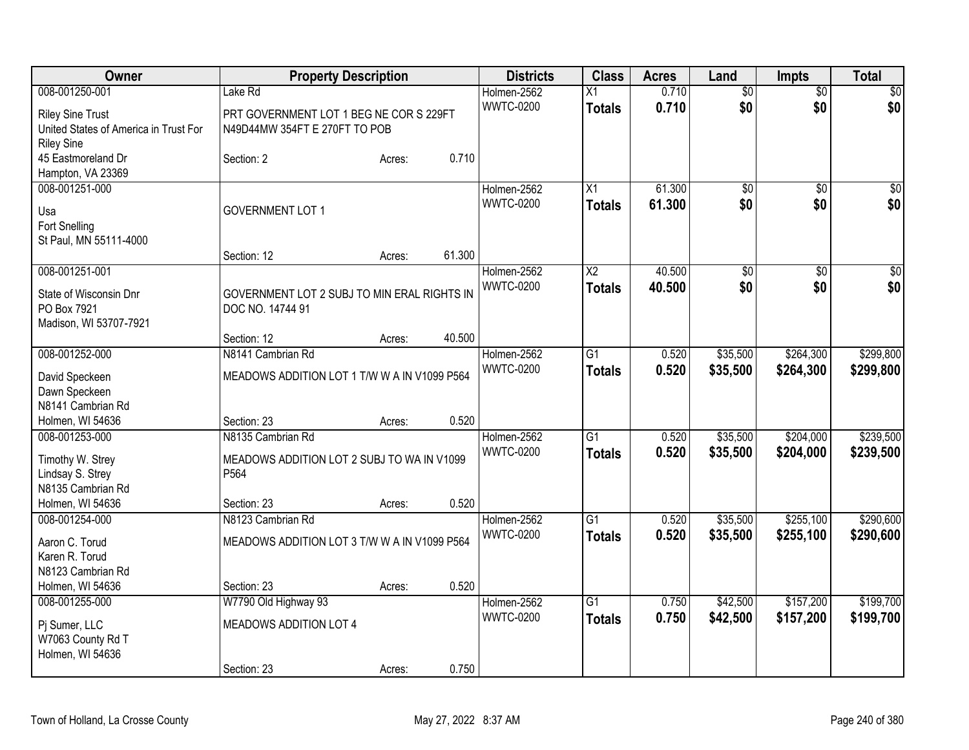| 0.710<br>$\overline{50}$<br>008-001250-001<br>Lake Rd<br>Holmen-2562<br>X1<br>$\overline{50}$<br>\$0<br>\$0<br>\$0<br><b>WWTC-0200</b><br>0.710<br><b>Totals</b><br><b>Riley Sine Trust</b><br>PRT GOVERNMENT LOT 1 BEG NE COR S 229FT<br>N49D44MW 354FT E 270FT TO POB<br>United States of America in Trust For<br><b>Riley Sine</b><br>0.710<br>45 Eastmoreland Dr<br>Section: 2<br>Acres:<br>Hampton, VA 23369<br>61.300<br>008-001251-000<br>X1<br>$\overline{50}$<br>Holmen-2562<br>$\overline{50}$<br>\$0<br>\$0<br><b>WWTC-0200</b><br>61.300<br>\$0<br><b>Totals</b><br><b>GOVERNMENT LOT 1</b><br>Usa<br>Fort Snelling<br>St Paul, MN 55111-4000<br>61.300<br>Section: 12<br>Acres:<br>40.500<br>008-001251-001<br>Holmen-2562<br>$\overline{\text{X2}}$<br>$\overline{50}$<br>\$0<br>\$0<br>\$0<br><b>WWTC-0200</b><br>\$0<br>40.500<br><b>Totals</b><br>State of Wisconsin Dnr<br>GOVERNMENT LOT 2 SUBJ TO MIN ERAL RIGHTS IN<br>PO Box 7921<br>DOC NO. 14744 91<br>Madison, WI 53707-7921<br>40.500<br>Section: 12<br>Acres:<br>008-001252-000<br>\$264,300<br>\$299,800<br>N8141 Cambrian Rd<br>Holmen-2562<br>$\overline{G1}$<br>0.520<br>\$35,500<br><b>WWTC-0200</b><br>0.520<br>\$35,500<br>\$264,300<br>\$299,800<br><b>Totals</b><br>MEADOWS ADDITION LOT 1 T/W W A IN V1099 P564<br>David Speckeen<br>Dawn Speckeen<br>N8141 Cambrian Rd<br>0.520<br>Holmen, WI 54636<br>Section: 23<br>Acres:<br>008-001253-000<br>N8135 Cambrian Rd<br>Holmen-2562<br>$\overline{G1}$<br>0.520<br>\$35,500<br>\$204,000<br><b>WWTC-0200</b><br>0.520<br>\$239,500<br>\$35,500<br>\$204,000<br><b>Totals</b><br>Timothy W. Strey<br>MEADOWS ADDITION LOT 2 SUBJ TO WA IN V1099<br>P564<br>Lindsay S. Strey<br>N8135 Cambrian Rd<br>0.520<br>Holmen, WI 54636<br>Section: 23<br>Acres:<br>$\overline{G1}$<br>\$35,500<br>\$255,100<br>008-001254-000<br>N8123 Cambrian Rd<br>Holmen-2562<br>0.520<br><b>WWTC-0200</b><br>0.520<br>\$255,100<br>\$290,600<br><b>Totals</b><br>\$35,500<br>Aaron C. Torud<br>MEADOWS ADDITION LOT 3 T/W W A IN V1099 P564<br>Karen R. Torud<br>N8123 Cambrian Rd<br>0.520<br>Holmen, WI 54636<br>Section: 23<br>Acres:<br>W7790 Old Highway 93<br>$\overline{G1}$<br>\$157,200<br>008-001255-000<br>Holmen-2562<br>0.750<br>\$42,500<br><b>WWTC-0200</b><br>0.750<br>\$42,500<br>\$157,200<br>\$199,700<br><b>Totals</b><br>MEADOWS ADDITION LOT 4<br>Pj Sumer, LLC | Owner | <b>Property Description</b> |  | <b>Districts</b> | <b>Class</b> | <b>Acres</b> | Land | <b>Impts</b> | <b>Total</b>    |
|-------------------------------------------------------------------------------------------------------------------------------------------------------------------------------------------------------------------------------------------------------------------------------------------------------------------------------------------------------------------------------------------------------------------------------------------------------------------------------------------------------------------------------------------------------------------------------------------------------------------------------------------------------------------------------------------------------------------------------------------------------------------------------------------------------------------------------------------------------------------------------------------------------------------------------------------------------------------------------------------------------------------------------------------------------------------------------------------------------------------------------------------------------------------------------------------------------------------------------------------------------------------------------------------------------------------------------------------------------------------------------------------------------------------------------------------------------------------------------------------------------------------------------------------------------------------------------------------------------------------------------------------------------------------------------------------------------------------------------------------------------------------------------------------------------------------------------------------------------------------------------------------------------------------------------------------------------------------------------------------------------------------------------------------------------------------------------------------------------------------------------------------------------------------------------------------------------------------------------------------------------------------------------------------------------------------------------------------------------------------------------------------------------|-------|-----------------------------|--|------------------|--------------|--------------|------|--------------|-----------------|
| \$0                                                                                                                                                                                                                                                                                                                                                                                                                                                                                                                                                                                                                                                                                                                                                                                                                                                                                                                                                                                                                                                                                                                                                                                                                                                                                                                                                                                                                                                                                                                                                                                                                                                                                                                                                                                                                                                                                                                                                                                                                                                                                                                                                                                                                                                                                                                                                                                                   |       |                             |  |                  |              |              |      |              | $\overline{30}$ |
|                                                                                                                                                                                                                                                                                                                                                                                                                                                                                                                                                                                                                                                                                                                                                                                                                                                                                                                                                                                                                                                                                                                                                                                                                                                                                                                                                                                                                                                                                                                                                                                                                                                                                                                                                                                                                                                                                                                                                                                                                                                                                                                                                                                                                                                                                                                                                                                                       |       |                             |  |                  |              |              |      |              |                 |
|                                                                                                                                                                                                                                                                                                                                                                                                                                                                                                                                                                                                                                                                                                                                                                                                                                                                                                                                                                                                                                                                                                                                                                                                                                                                                                                                                                                                                                                                                                                                                                                                                                                                                                                                                                                                                                                                                                                                                                                                                                                                                                                                                                                                                                                                                                                                                                                                       |       |                             |  |                  |              |              |      |              |                 |
|                                                                                                                                                                                                                                                                                                                                                                                                                                                                                                                                                                                                                                                                                                                                                                                                                                                                                                                                                                                                                                                                                                                                                                                                                                                                                                                                                                                                                                                                                                                                                                                                                                                                                                                                                                                                                                                                                                                                                                                                                                                                                                                                                                                                                                                                                                                                                                                                       |       |                             |  |                  |              |              |      |              |                 |
|                                                                                                                                                                                                                                                                                                                                                                                                                                                                                                                                                                                                                                                                                                                                                                                                                                                                                                                                                                                                                                                                                                                                                                                                                                                                                                                                                                                                                                                                                                                                                                                                                                                                                                                                                                                                                                                                                                                                                                                                                                                                                                                                                                                                                                                                                                                                                                                                       |       |                             |  |                  |              |              |      |              |                 |
| $\sqrt{50}$                                                                                                                                                                                                                                                                                                                                                                                                                                                                                                                                                                                                                                                                                                                                                                                                                                                                                                                                                                                                                                                                                                                                                                                                                                                                                                                                                                                                                                                                                                                                                                                                                                                                                                                                                                                                                                                                                                                                                                                                                                                                                                                                                                                                                                                                                                                                                                                           |       |                             |  |                  |              |              |      |              |                 |
|                                                                                                                                                                                                                                                                                                                                                                                                                                                                                                                                                                                                                                                                                                                                                                                                                                                                                                                                                                                                                                                                                                                                                                                                                                                                                                                                                                                                                                                                                                                                                                                                                                                                                                                                                                                                                                                                                                                                                                                                                                                                                                                                                                                                                                                                                                                                                                                                       |       |                             |  |                  |              |              |      |              |                 |
|                                                                                                                                                                                                                                                                                                                                                                                                                                                                                                                                                                                                                                                                                                                                                                                                                                                                                                                                                                                                                                                                                                                                                                                                                                                                                                                                                                                                                                                                                                                                                                                                                                                                                                                                                                                                                                                                                                                                                                                                                                                                                                                                                                                                                                                                                                                                                                                                       |       |                             |  |                  |              |              |      |              |                 |
|                                                                                                                                                                                                                                                                                                                                                                                                                                                                                                                                                                                                                                                                                                                                                                                                                                                                                                                                                                                                                                                                                                                                                                                                                                                                                                                                                                                                                                                                                                                                                                                                                                                                                                                                                                                                                                                                                                                                                                                                                                                                                                                                                                                                                                                                                                                                                                                                       |       |                             |  |                  |              |              |      |              |                 |
|                                                                                                                                                                                                                                                                                                                                                                                                                                                                                                                                                                                                                                                                                                                                                                                                                                                                                                                                                                                                                                                                                                                                                                                                                                                                                                                                                                                                                                                                                                                                                                                                                                                                                                                                                                                                                                                                                                                                                                                                                                                                                                                                                                                                                                                                                                                                                                                                       |       |                             |  |                  |              |              |      |              |                 |
|                                                                                                                                                                                                                                                                                                                                                                                                                                                                                                                                                                                                                                                                                                                                                                                                                                                                                                                                                                                                                                                                                                                                                                                                                                                                                                                                                                                                                                                                                                                                                                                                                                                                                                                                                                                                                                                                                                                                                                                                                                                                                                                                                                                                                                                                                                                                                                                                       |       |                             |  |                  |              |              |      |              |                 |
|                                                                                                                                                                                                                                                                                                                                                                                                                                                                                                                                                                                                                                                                                                                                                                                                                                                                                                                                                                                                                                                                                                                                                                                                                                                                                                                                                                                                                                                                                                                                                                                                                                                                                                                                                                                                                                                                                                                                                                                                                                                                                                                                                                                                                                                                                                                                                                                                       |       |                             |  |                  |              |              |      |              |                 |
|                                                                                                                                                                                                                                                                                                                                                                                                                                                                                                                                                                                                                                                                                                                                                                                                                                                                                                                                                                                                                                                                                                                                                                                                                                                                                                                                                                                                                                                                                                                                                                                                                                                                                                                                                                                                                                                                                                                                                                                                                                                                                                                                                                                                                                                                                                                                                                                                       |       |                             |  |                  |              |              |      |              |                 |
|                                                                                                                                                                                                                                                                                                                                                                                                                                                                                                                                                                                                                                                                                                                                                                                                                                                                                                                                                                                                                                                                                                                                                                                                                                                                                                                                                                                                                                                                                                                                                                                                                                                                                                                                                                                                                                                                                                                                                                                                                                                                                                                                                                                                                                                                                                                                                                                                       |       |                             |  |                  |              |              |      |              |                 |
|                                                                                                                                                                                                                                                                                                                                                                                                                                                                                                                                                                                                                                                                                                                                                                                                                                                                                                                                                                                                                                                                                                                                                                                                                                                                                                                                                                                                                                                                                                                                                                                                                                                                                                                                                                                                                                                                                                                                                                                                                                                                                                                                                                                                                                                                                                                                                                                                       |       |                             |  |                  |              |              |      |              |                 |
| \$239,500<br>\$290,600<br>\$199,700                                                                                                                                                                                                                                                                                                                                                                                                                                                                                                                                                                                                                                                                                                                                                                                                                                                                                                                                                                                                                                                                                                                                                                                                                                                                                                                                                                                                                                                                                                                                                                                                                                                                                                                                                                                                                                                                                                                                                                                                                                                                                                                                                                                                                                                                                                                                                                   |       |                             |  |                  |              |              |      |              |                 |
|                                                                                                                                                                                                                                                                                                                                                                                                                                                                                                                                                                                                                                                                                                                                                                                                                                                                                                                                                                                                                                                                                                                                                                                                                                                                                                                                                                                                                                                                                                                                                                                                                                                                                                                                                                                                                                                                                                                                                                                                                                                                                                                                                                                                                                                                                                                                                                                                       |       |                             |  |                  |              |              |      |              |                 |
|                                                                                                                                                                                                                                                                                                                                                                                                                                                                                                                                                                                                                                                                                                                                                                                                                                                                                                                                                                                                                                                                                                                                                                                                                                                                                                                                                                                                                                                                                                                                                                                                                                                                                                                                                                                                                                                                                                                                                                                                                                                                                                                                                                                                                                                                                                                                                                                                       |       |                             |  |                  |              |              |      |              |                 |
|                                                                                                                                                                                                                                                                                                                                                                                                                                                                                                                                                                                                                                                                                                                                                                                                                                                                                                                                                                                                                                                                                                                                                                                                                                                                                                                                                                                                                                                                                                                                                                                                                                                                                                                                                                                                                                                                                                                                                                                                                                                                                                                                                                                                                                                                                                                                                                                                       |       |                             |  |                  |              |              |      |              |                 |
|                                                                                                                                                                                                                                                                                                                                                                                                                                                                                                                                                                                                                                                                                                                                                                                                                                                                                                                                                                                                                                                                                                                                                                                                                                                                                                                                                                                                                                                                                                                                                                                                                                                                                                                                                                                                                                                                                                                                                                                                                                                                                                                                                                                                                                                                                                                                                                                                       |       |                             |  |                  |              |              |      |              |                 |
|                                                                                                                                                                                                                                                                                                                                                                                                                                                                                                                                                                                                                                                                                                                                                                                                                                                                                                                                                                                                                                                                                                                                                                                                                                                                                                                                                                                                                                                                                                                                                                                                                                                                                                                                                                                                                                                                                                                                                                                                                                                                                                                                                                                                                                                                                                                                                                                                       |       |                             |  |                  |              |              |      |              |                 |
|                                                                                                                                                                                                                                                                                                                                                                                                                                                                                                                                                                                                                                                                                                                                                                                                                                                                                                                                                                                                                                                                                                                                                                                                                                                                                                                                                                                                                                                                                                                                                                                                                                                                                                                                                                                                                                                                                                                                                                                                                                                                                                                                                                                                                                                                                                                                                                                                       |       |                             |  |                  |              |              |      |              |                 |
|                                                                                                                                                                                                                                                                                                                                                                                                                                                                                                                                                                                                                                                                                                                                                                                                                                                                                                                                                                                                                                                                                                                                                                                                                                                                                                                                                                                                                                                                                                                                                                                                                                                                                                                                                                                                                                                                                                                                                                                                                                                                                                                                                                                                                                                                                                                                                                                                       |       |                             |  |                  |              |              |      |              |                 |
|                                                                                                                                                                                                                                                                                                                                                                                                                                                                                                                                                                                                                                                                                                                                                                                                                                                                                                                                                                                                                                                                                                                                                                                                                                                                                                                                                                                                                                                                                                                                                                                                                                                                                                                                                                                                                                                                                                                                                                                                                                                                                                                                                                                                                                                                                                                                                                                                       |       |                             |  |                  |              |              |      |              |                 |
|                                                                                                                                                                                                                                                                                                                                                                                                                                                                                                                                                                                                                                                                                                                                                                                                                                                                                                                                                                                                                                                                                                                                                                                                                                                                                                                                                                                                                                                                                                                                                                                                                                                                                                                                                                                                                                                                                                                                                                                                                                                                                                                                                                                                                                                                                                                                                                                                       |       |                             |  |                  |              |              |      |              |                 |
|                                                                                                                                                                                                                                                                                                                                                                                                                                                                                                                                                                                                                                                                                                                                                                                                                                                                                                                                                                                                                                                                                                                                                                                                                                                                                                                                                                                                                                                                                                                                                                                                                                                                                                                                                                                                                                                                                                                                                                                                                                                                                                                                                                                                                                                                                                                                                                                                       |       |                             |  |                  |              |              |      |              |                 |
|                                                                                                                                                                                                                                                                                                                                                                                                                                                                                                                                                                                                                                                                                                                                                                                                                                                                                                                                                                                                                                                                                                                                                                                                                                                                                                                                                                                                                                                                                                                                                                                                                                                                                                                                                                                                                                                                                                                                                                                                                                                                                                                                                                                                                                                                                                                                                                                                       |       |                             |  |                  |              |              |      |              |                 |
|                                                                                                                                                                                                                                                                                                                                                                                                                                                                                                                                                                                                                                                                                                                                                                                                                                                                                                                                                                                                                                                                                                                                                                                                                                                                                                                                                                                                                                                                                                                                                                                                                                                                                                                                                                                                                                                                                                                                                                                                                                                                                                                                                                                                                                                                                                                                                                                                       |       |                             |  |                  |              |              |      |              |                 |
|                                                                                                                                                                                                                                                                                                                                                                                                                                                                                                                                                                                                                                                                                                                                                                                                                                                                                                                                                                                                                                                                                                                                                                                                                                                                                                                                                                                                                                                                                                                                                                                                                                                                                                                                                                                                                                                                                                                                                                                                                                                                                                                                                                                                                                                                                                                                                                                                       |       |                             |  |                  |              |              |      |              |                 |
|                                                                                                                                                                                                                                                                                                                                                                                                                                                                                                                                                                                                                                                                                                                                                                                                                                                                                                                                                                                                                                                                                                                                                                                                                                                                                                                                                                                                                                                                                                                                                                                                                                                                                                                                                                                                                                                                                                                                                                                                                                                                                                                                                                                                                                                                                                                                                                                                       |       |                             |  |                  |              |              |      |              |                 |
|                                                                                                                                                                                                                                                                                                                                                                                                                                                                                                                                                                                                                                                                                                                                                                                                                                                                                                                                                                                                                                                                                                                                                                                                                                                                                                                                                                                                                                                                                                                                                                                                                                                                                                                                                                                                                                                                                                                                                                                                                                                                                                                                                                                                                                                                                                                                                                                                       |       |                             |  |                  |              |              |      |              |                 |
|                                                                                                                                                                                                                                                                                                                                                                                                                                                                                                                                                                                                                                                                                                                                                                                                                                                                                                                                                                                                                                                                                                                                                                                                                                                                                                                                                                                                                                                                                                                                                                                                                                                                                                                                                                                                                                                                                                                                                                                                                                                                                                                                                                                                                                                                                                                                                                                                       |       |                             |  |                  |              |              |      |              |                 |
|                                                                                                                                                                                                                                                                                                                                                                                                                                                                                                                                                                                                                                                                                                                                                                                                                                                                                                                                                                                                                                                                                                                                                                                                                                                                                                                                                                                                                                                                                                                                                                                                                                                                                                                                                                                                                                                                                                                                                                                                                                                                                                                                                                                                                                                                                                                                                                                                       |       |                             |  |                  |              |              |      |              |                 |
|                                                                                                                                                                                                                                                                                                                                                                                                                                                                                                                                                                                                                                                                                                                                                                                                                                                                                                                                                                                                                                                                                                                                                                                                                                                                                                                                                                                                                                                                                                                                                                                                                                                                                                                                                                                                                                                                                                                                                                                                                                                                                                                                                                                                                                                                                                                                                                                                       |       |                             |  |                  |              |              |      |              |                 |
| W7063 County Rd T<br>Holmen, WI 54636                                                                                                                                                                                                                                                                                                                                                                                                                                                                                                                                                                                                                                                                                                                                                                                                                                                                                                                                                                                                                                                                                                                                                                                                                                                                                                                                                                                                                                                                                                                                                                                                                                                                                                                                                                                                                                                                                                                                                                                                                                                                                                                                                                                                                                                                                                                                                                 |       |                             |  |                  |              |              |      |              |                 |
| 0.750<br>Section: 23<br>Acres:                                                                                                                                                                                                                                                                                                                                                                                                                                                                                                                                                                                                                                                                                                                                                                                                                                                                                                                                                                                                                                                                                                                                                                                                                                                                                                                                                                                                                                                                                                                                                                                                                                                                                                                                                                                                                                                                                                                                                                                                                                                                                                                                                                                                                                                                                                                                                                        |       |                             |  |                  |              |              |      |              |                 |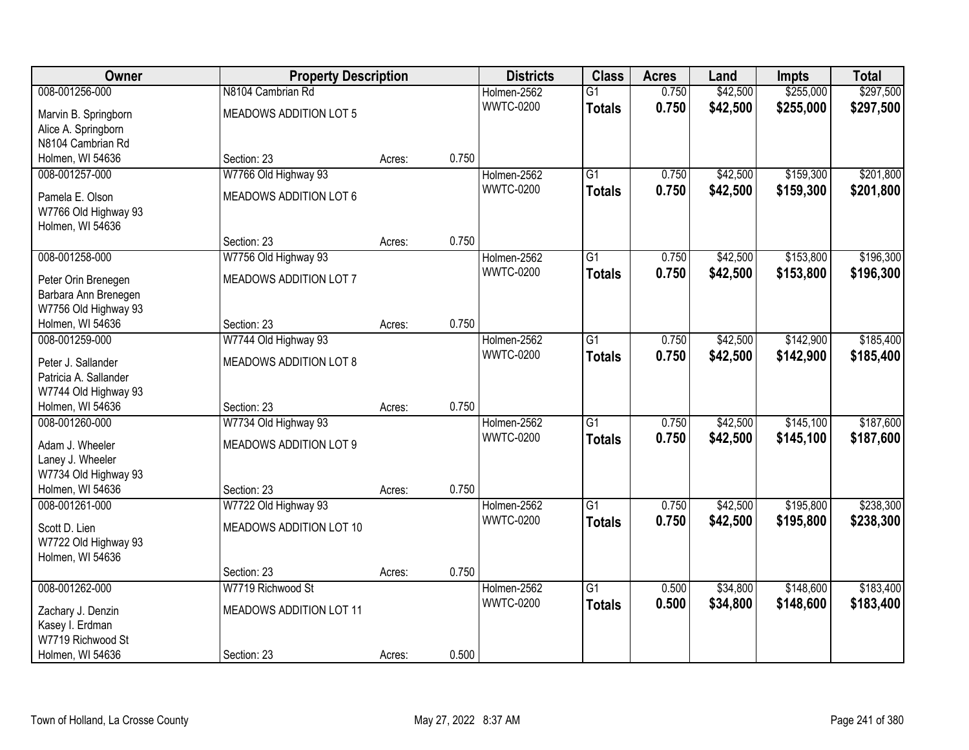| Owner                                         |                                | <b>Property Description</b> |       | <b>Districts</b>                | <b>Class</b>    | <b>Acres</b>   | Land     | <b>Impts</b> | <b>Total</b> |
|-----------------------------------------------|--------------------------------|-----------------------------|-------|---------------------------------|-----------------|----------------|----------|--------------|--------------|
| 008-001256-000                                | N8104 Cambrian Rd              |                             |       | Holmen-2562                     | $\overline{G1}$ | 0.750          | \$42,500 | \$255,000    | \$297,500    |
| Marvin B. Springborn                          | MEADOWS ADDITION LOT 5         |                             |       | <b>WWTC-0200</b>                | <b>Totals</b>   | 0.750          | \$42,500 | \$255,000    | \$297,500    |
| Alice A. Springborn                           |                                |                             |       |                                 |                 |                |          |              |              |
| N8104 Cambrian Rd                             |                                |                             |       |                                 |                 |                |          |              |              |
| Holmen, WI 54636                              | Section: 23                    | Acres:                      | 0.750 |                                 |                 |                |          |              |              |
| 008-001257-000                                | W7766 Old Highway 93           |                             |       | Holmen-2562                     | $\overline{G1}$ | 0.750          | \$42,500 | \$159,300    | \$201,800    |
| Pamela E. Olson                               | MEADOWS ADDITION LOT 6         |                             |       | <b>WWTC-0200</b>                | <b>Totals</b>   | 0.750          | \$42,500 | \$159,300    | \$201,800    |
| W7766 Old Highway 93                          |                                |                             |       |                                 |                 |                |          |              |              |
| Holmen, WI 54636                              |                                |                             |       |                                 |                 |                |          |              |              |
|                                               | Section: 23                    | Acres:                      | 0.750 |                                 |                 |                |          |              |              |
| 008-001258-000                                | W7756 Old Highway 93           |                             |       | Holmen-2562                     | $\overline{G1}$ | 0.750          | \$42,500 | \$153,800    | \$196,300    |
|                                               | MEADOWS ADDITION LOT 7         |                             |       | <b>WWTC-0200</b>                | <b>Totals</b>   | 0.750          | \$42,500 | \$153,800    | \$196,300    |
| Peter Orin Brenegen<br>Barbara Ann Brenegen   |                                |                             |       |                                 |                 |                |          |              |              |
| W7756 Old Highway 93                          |                                |                             |       |                                 |                 |                |          |              |              |
| Holmen, WI 54636                              | Section: 23                    | Acres:                      | 0.750 |                                 |                 |                |          |              |              |
| 008-001259-000                                | W7744 Old Highway 93           |                             |       | Holmen-2562                     | $\overline{G1}$ | 0.750          | \$42,500 | \$142,900    | \$185,400    |
|                                               |                                |                             |       | <b>WWTC-0200</b>                | <b>Totals</b>   | 0.750          | \$42,500 | \$142,900    | \$185,400    |
| Peter J. Sallander                            | MEADOWS ADDITION LOT 8         |                             |       |                                 |                 |                |          |              |              |
| Patricia A. Sallander<br>W7744 Old Highway 93 |                                |                             |       |                                 |                 |                |          |              |              |
| Holmen, WI 54636                              | Section: 23                    | Acres:                      | 0.750 |                                 |                 |                |          |              |              |
| 008-001260-000                                | W7734 Old Highway 93           |                             |       | Holmen-2562                     | $\overline{G1}$ | 0.750          | \$42,500 | \$145,100    | \$187,600    |
|                                               |                                |                             |       | <b>WWTC-0200</b>                | <b>Totals</b>   | 0.750          | \$42,500 | \$145,100    | \$187,600    |
| Adam J. Wheeler                               | <b>MEADOWS ADDITION LOT 9</b>  |                             |       |                                 |                 |                |          |              |              |
| Laney J. Wheeler                              |                                |                             |       |                                 |                 |                |          |              |              |
| W7734 Old Highway 93                          |                                |                             |       |                                 |                 |                |          |              |              |
| Holmen, WI 54636<br>008-001261-000            | Section: 23                    | Acres:                      | 0.750 |                                 | $\overline{G1}$ |                |          | \$195,800    | \$238,300    |
|                                               | W7722 Old Highway 93           |                             |       | Holmen-2562<br><b>WWTC-0200</b> |                 | 0.750<br>0.750 | \$42,500 |              |              |
| Scott D. Lien                                 | MEADOWS ADDITION LOT 10        |                             |       |                                 | <b>Totals</b>   |                | \$42,500 | \$195,800    | \$238,300    |
| W7722 Old Highway 93                          |                                |                             |       |                                 |                 |                |          |              |              |
| Holmen, WI 54636                              |                                |                             |       |                                 |                 |                |          |              |              |
|                                               | Section: 23                    | Acres:                      | 0.750 |                                 |                 |                |          |              |              |
| 008-001262-000                                | W7719 Richwood St              |                             |       | Holmen-2562                     | $\overline{G1}$ | 0.500          | \$34,800 | \$148,600    | \$183,400    |
| Zachary J. Denzin                             | <b>MEADOWS ADDITION LOT 11</b> |                             |       | <b>WWTC-0200</b>                | <b>Totals</b>   | 0.500          | \$34,800 | \$148,600    | \$183,400    |
| Kasey I. Erdman                               |                                |                             |       |                                 |                 |                |          |              |              |
| W7719 Richwood St                             |                                |                             |       |                                 |                 |                |          |              |              |
| Holmen, WI 54636                              | Section: 23                    | Acres:                      | 0.500 |                                 |                 |                |          |              |              |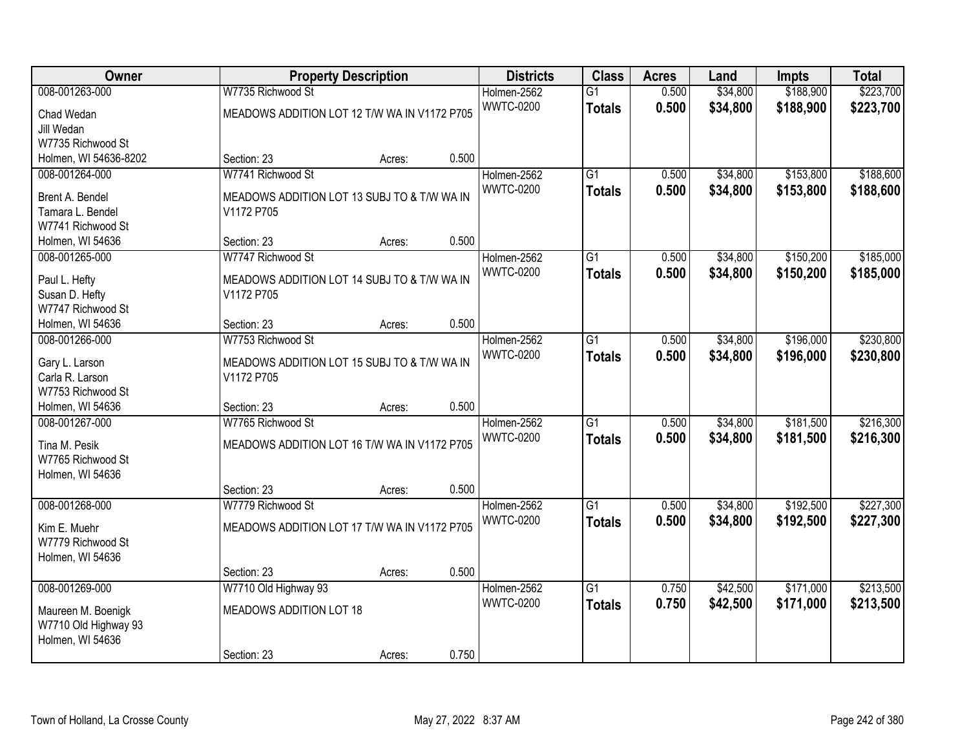| Owner                               |                                              | <b>Property Description</b> |       | <b>Districts</b> | <b>Class</b>    | <b>Acres</b> | Land     | <b>Impts</b> | <b>Total</b> |
|-------------------------------------|----------------------------------------------|-----------------------------|-------|------------------|-----------------|--------------|----------|--------------|--------------|
| 008-001263-000                      | W7735 Richwood St                            |                             |       | Holmen-2562      | $\overline{G1}$ | 0.500        | \$34,800 | \$188,900    | \$223,700    |
| Chad Wedan                          | MEADOWS ADDITION LOT 12 T/W WA IN V1172 P705 |                             |       | <b>WWTC-0200</b> | <b>Totals</b>   | 0.500        | \$34,800 | \$188,900    | \$223,700    |
| Jill Wedan                          |                                              |                             |       |                  |                 |              |          |              |              |
| W7735 Richwood St                   |                                              |                             |       |                  |                 |              |          |              |              |
| Holmen, WI 54636-8202               | Section: 23                                  | Acres:                      | 0.500 |                  |                 |              |          |              |              |
| 008-001264-000                      | W7741 Richwood St                            |                             |       | Holmen-2562      | $\overline{G1}$ | 0.500        | \$34,800 | \$153,800    | \$188,600    |
| Brent A. Bendel                     | MEADOWS ADDITION LOT 13 SUBJ TO & T/W WA IN  |                             |       | <b>WWTC-0200</b> | <b>Totals</b>   | 0.500        | \$34,800 | \$153,800    | \$188,600    |
| Tamara L. Bendel                    | V1172 P705                                   |                             |       |                  |                 |              |          |              |              |
| W7741 Richwood St                   |                                              |                             |       |                  |                 |              |          |              |              |
| Holmen, WI 54636                    | Section: 23                                  | Acres:                      | 0.500 |                  |                 |              |          |              |              |
| 008-001265-000                      | W7747 Richwood St                            |                             |       | Holmen-2562      | $\overline{G1}$ | 0.500        | \$34,800 | \$150,200    | \$185,000    |
|                                     |                                              |                             |       | <b>WWTC-0200</b> | <b>Totals</b>   | 0.500        | \$34,800 | \$150,200    | \$185,000    |
| Paul L. Hefty                       | MEADOWS ADDITION LOT 14 SUBJ TO & T/W WA IN  |                             |       |                  |                 |              |          |              |              |
| Susan D. Hefty<br>W7747 Richwood St | V1172 P705                                   |                             |       |                  |                 |              |          |              |              |
| Holmen, WI 54636                    | Section: 23                                  | Acres:                      | 0.500 |                  |                 |              |          |              |              |
| 008-001266-000                      | W7753 Richwood St                            |                             |       | Holmen-2562      | $\overline{G1}$ | 0.500        | \$34,800 | \$196,000    | \$230,800    |
|                                     |                                              |                             |       | <b>WWTC-0200</b> | <b>Totals</b>   | 0.500        | \$34,800 | \$196,000    | \$230,800    |
| Gary L. Larson                      | MEADOWS ADDITION LOT 15 SUBJ TO & T/W WA IN  |                             |       |                  |                 |              |          |              |              |
| Carla R. Larson                     | V1172 P705                                   |                             |       |                  |                 |              |          |              |              |
| W7753 Richwood St                   |                                              |                             |       |                  |                 |              |          |              |              |
| Holmen, WI 54636                    | Section: 23                                  | Acres:                      | 0.500 |                  |                 |              |          |              |              |
| 008-001267-000                      | W7765 Richwood St                            |                             |       | Holmen-2562      | $\overline{G1}$ | 0.500        | \$34,800 | \$181,500    | \$216,300    |
| Tina M. Pesik                       | MEADOWS ADDITION LOT 16 T/W WA IN V1172 P705 |                             |       | <b>WWTC-0200</b> | <b>Totals</b>   | 0.500        | \$34,800 | \$181,500    | \$216,300    |
| W7765 Richwood St                   |                                              |                             |       |                  |                 |              |          |              |              |
| Holmen, WI 54636                    |                                              |                             |       |                  |                 |              |          |              |              |
|                                     | Section: 23                                  | Acres:                      | 0.500 |                  |                 |              |          |              |              |
| 008-001268-000                      | W7779 Richwood St                            |                             |       | Holmen-2562      | $\overline{G1}$ | 0.500        | \$34,800 | \$192,500    | \$227,300    |
| Kim E. Muehr                        | MEADOWS ADDITION LOT 17 T/W WA IN V1172 P705 |                             |       | <b>WWTC-0200</b> | <b>Totals</b>   | 0.500        | \$34,800 | \$192,500    | \$227,300    |
| W7779 Richwood St                   |                                              |                             |       |                  |                 |              |          |              |              |
| Holmen, WI 54636                    |                                              |                             |       |                  |                 |              |          |              |              |
|                                     | Section: 23                                  | Acres:                      | 0.500 |                  |                 |              |          |              |              |
| 008-001269-000                      | W7710 Old Highway 93                         |                             |       | Holmen-2562      | $\overline{G1}$ | 0.750        | \$42,500 | \$171,000    | \$213,500    |
| Maureen M. Boenigk                  | MEADOWS ADDITION LOT 18                      |                             |       | <b>WWTC-0200</b> | <b>Totals</b>   | 0.750        | \$42,500 | \$171,000    | \$213,500    |
| W7710 Old Highway 93                |                                              |                             |       |                  |                 |              |          |              |              |
| Holmen, WI 54636                    |                                              |                             |       |                  |                 |              |          |              |              |
|                                     | Section: 23                                  | Acres:                      | 0.750 |                  |                 |              |          |              |              |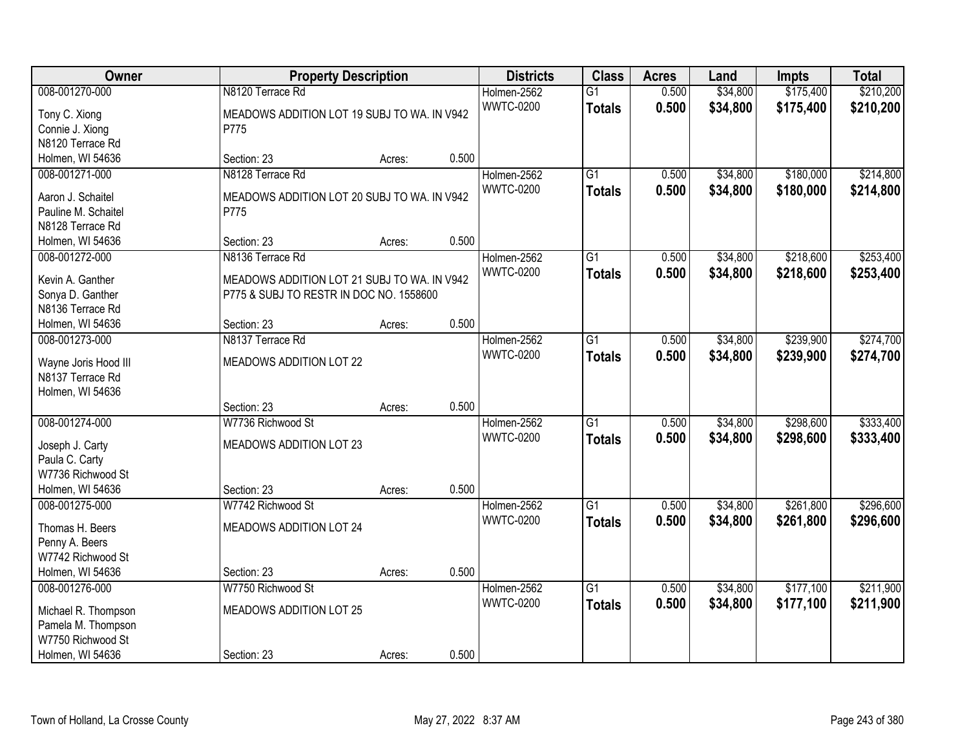| Owner                                    |                                             | <b>Property Description</b> |                  | <b>Class</b>    | <b>Acres</b> | Land     | <b>Impts</b> | <b>Total</b> |
|------------------------------------------|---------------------------------------------|-----------------------------|------------------|-----------------|--------------|----------|--------------|--------------|
| 008-001270-000                           | N8120 Terrace Rd                            |                             | Holmen-2562      | $\overline{G1}$ | 0.500        | \$34,800 | \$175,400    | \$210,200    |
| Tony C. Xiong                            | MEADOWS ADDITION LOT 19 SUBJ TO WA. IN V942 |                             | <b>WWTC-0200</b> | <b>Totals</b>   | 0.500        | \$34,800 | \$175,400    | \$210,200    |
| Connie J. Xiong                          | P775                                        |                             |                  |                 |              |          |              |              |
| N8120 Terrace Rd                         |                                             |                             |                  |                 |              |          |              |              |
| Holmen, WI 54636                         | Section: 23                                 | Acres:                      | 0.500            |                 |              |          |              |              |
| 008-001271-000                           | N8128 Terrace Rd                            |                             | Holmen-2562      | $\overline{G1}$ | 0.500        | \$34,800 | \$180,000    | \$214,800    |
|                                          |                                             |                             | <b>WWTC-0200</b> | <b>Totals</b>   | 0.500        | \$34,800 | \$180,000    | \$214,800    |
| Aaron J. Schaitel                        | MEADOWS ADDITION LOT 20 SUBJ TO WA. IN V942 |                             |                  |                 |              |          |              |              |
| Pauline M. Schaitel                      | P775                                        |                             |                  |                 |              |          |              |              |
| N8128 Terrace Rd                         |                                             |                             | 0.500            |                 |              |          |              |              |
| Holmen, WI 54636                         | Section: 23                                 | Acres:                      |                  |                 |              |          |              |              |
| 008-001272-000                           | N8136 Terrace Rd                            |                             | Holmen-2562      | G1              | 0.500        | \$34,800 | \$218,600    | \$253,400    |
| Kevin A. Ganther                         | MEADOWS ADDITION LOT 21 SUBJ TO WA. IN V942 |                             | <b>WWTC-0200</b> | <b>Totals</b>   | 0.500        | \$34,800 | \$218,600    | \$253,400    |
| Sonya D. Ganther                         | P775 & SUBJ TO RESTR IN DOC NO. 1558600     |                             |                  |                 |              |          |              |              |
| N8136 Terrace Rd                         |                                             |                             |                  |                 |              |          |              |              |
| Holmen, WI 54636                         | Section: 23                                 | Acres:                      | 0.500            |                 |              |          |              |              |
| 008-001273-000                           | N8137 Terrace Rd                            |                             | Holmen-2562      | G1              | 0.500        | \$34,800 | \$239,900    | \$274,700    |
|                                          | MEADOWS ADDITION LOT 22                     |                             | <b>WWTC-0200</b> | <b>Totals</b>   | 0.500        | \$34,800 | \$239,900    | \$274,700    |
| Wayne Joris Hood III<br>N8137 Terrace Rd |                                             |                             |                  |                 |              |          |              |              |
| Holmen, WI 54636                         |                                             |                             |                  |                 |              |          |              |              |
|                                          | Section: 23                                 | Acres:                      | 0.500            |                 |              |          |              |              |
| 008-001274-000                           | W7736 Richwood St                           |                             | Holmen-2562      | $\overline{G1}$ | 0.500        | \$34,800 | \$298,600    | \$333,400    |
|                                          |                                             |                             | <b>WWTC-0200</b> | <b>Totals</b>   | 0.500        | \$34,800 | \$298,600    | \$333,400    |
| Joseph J. Carty                          | MEADOWS ADDITION LOT 23                     |                             |                  |                 |              |          |              |              |
| Paula C. Carty                           |                                             |                             |                  |                 |              |          |              |              |
| W7736 Richwood St                        |                                             |                             |                  |                 |              |          |              |              |
| Holmen, WI 54636                         | Section: 23                                 | Acres:                      | 0.500            |                 |              |          |              |              |
| 008-001275-000                           | W7742 Richwood St                           |                             | Holmen-2562      | $\overline{G1}$ | 0.500        | \$34,800 | \$261,800    | \$296,600    |
| Thomas H. Beers                          | MEADOWS ADDITION LOT 24                     |                             | <b>WWTC-0200</b> | <b>Totals</b>   | 0.500        | \$34,800 | \$261,800    | \$296,600    |
| Penny A. Beers                           |                                             |                             |                  |                 |              |          |              |              |
| W7742 Richwood St                        |                                             |                             |                  |                 |              |          |              |              |
| Holmen, WI 54636                         | Section: 23                                 | Acres:                      | 0.500            |                 |              |          |              |              |
| 008-001276-000                           | W7750 Richwood St                           |                             | Holmen-2562      | $\overline{G1}$ | 0.500        | \$34,800 | \$177,100    | \$211,900    |
|                                          |                                             |                             | <b>WWTC-0200</b> | <b>Totals</b>   | 0.500        | \$34,800 | \$177,100    | \$211,900    |
| Michael R. Thompson                      | MEADOWS ADDITION LOT 25                     |                             |                  |                 |              |          |              |              |
| Pamela M. Thompson                       |                                             |                             |                  |                 |              |          |              |              |
| W7750 Richwood St                        |                                             |                             |                  |                 |              |          |              |              |
| Holmen, WI 54636                         | Section: 23                                 | Acres:                      | 0.500            |                 |              |          |              |              |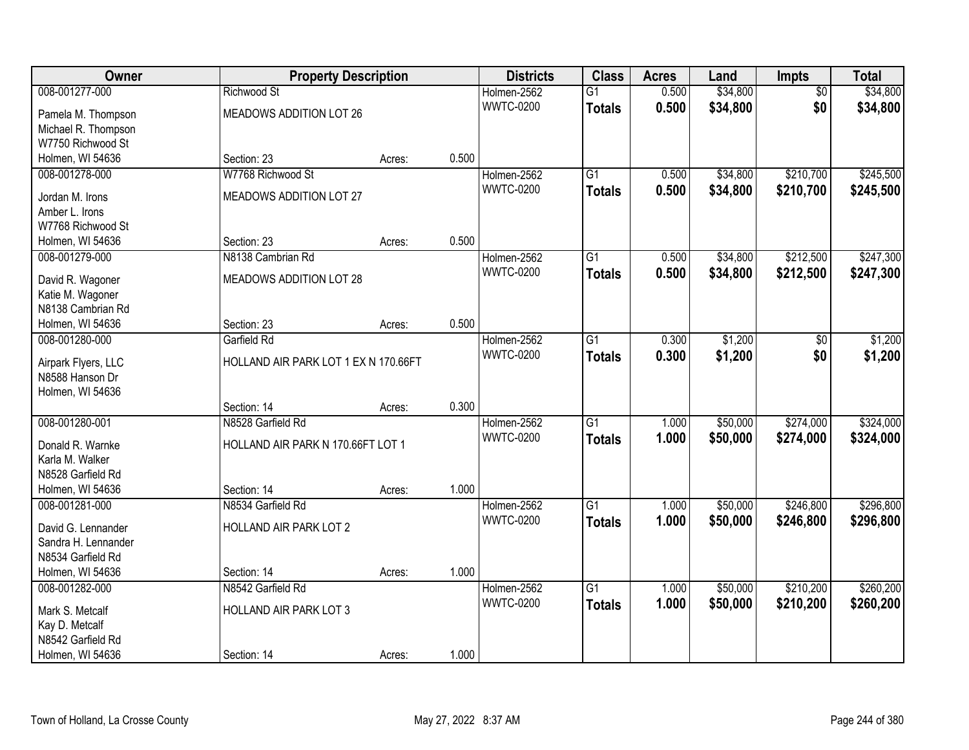| Owner               |                                      | <b>Property Description</b> |       | <b>Districts</b> | <b>Class</b>    | <b>Acres</b> | Land     | Impts           | <b>Total</b> |
|---------------------|--------------------------------------|-----------------------------|-------|------------------|-----------------|--------------|----------|-----------------|--------------|
| 008-001277-000      | Richwood St                          |                             |       | Holmen-2562      | $\overline{G1}$ | 0.500        | \$34,800 | $\overline{50}$ | \$34,800     |
| Pamela M. Thompson  | MEADOWS ADDITION LOT 26              |                             |       | <b>WWTC-0200</b> | <b>Totals</b>   | 0.500        | \$34,800 | \$0             | \$34,800     |
| Michael R. Thompson |                                      |                             |       |                  |                 |              |          |                 |              |
| W7750 Richwood St   |                                      |                             |       |                  |                 |              |          |                 |              |
| Holmen, WI 54636    | Section: 23                          | Acres:                      | 0.500 |                  |                 |              |          |                 |              |
| 008-001278-000      | W7768 Richwood St                    |                             |       | Holmen-2562      | $\overline{G1}$ | 0.500        | \$34,800 | \$210,700       | \$245,500    |
|                     |                                      |                             |       | <b>WWTC-0200</b> | <b>Totals</b>   | 0.500        | \$34,800 | \$210,700       | \$245,500    |
| Jordan M. Irons     | MEADOWS ADDITION LOT 27              |                             |       |                  |                 |              |          |                 |              |
| Amber L. Irons      |                                      |                             |       |                  |                 |              |          |                 |              |
| W7768 Richwood St   |                                      |                             |       |                  |                 |              |          |                 |              |
| Holmen, WI 54636    | Section: 23                          | Acres:                      | 0.500 |                  |                 |              |          |                 |              |
| 008-001279-000      | N8138 Cambrian Rd                    |                             |       | Holmen-2562      | G1              | 0.500        | \$34,800 | \$212,500       | \$247,300    |
| David R. Wagoner    | MEADOWS ADDITION LOT 28              |                             |       | <b>WWTC-0200</b> | <b>Totals</b>   | 0.500        | \$34,800 | \$212,500       | \$247,300    |
| Katie M. Wagoner    |                                      |                             |       |                  |                 |              |          |                 |              |
| N8138 Cambrian Rd   |                                      |                             |       |                  |                 |              |          |                 |              |
| Holmen, WI 54636    | Section: 23                          | Acres:                      | 0.500 |                  |                 |              |          |                 |              |
| 008-001280-000      | Garfield Rd                          |                             |       | Holmen-2562      | G1              | 0.300        | \$1,200  | \$0             | \$1,200      |
|                     |                                      |                             |       | <b>WWTC-0200</b> | <b>Totals</b>   | 0.300        | \$1,200  | \$0             | \$1,200      |
| Airpark Flyers, LLC | HOLLAND AIR PARK LOT 1 EX N 170.66FT |                             |       |                  |                 |              |          |                 |              |
| N8588 Hanson Dr     |                                      |                             |       |                  |                 |              |          |                 |              |
| Holmen, WI 54636    |                                      |                             |       |                  |                 |              |          |                 |              |
|                     | Section: 14                          | Acres:                      | 0.300 |                  |                 |              |          |                 |              |
| 008-001280-001      | N8528 Garfield Rd                    |                             |       | Holmen-2562      | $\overline{G1}$ | 1.000        | \$50,000 | \$274,000       | \$324,000    |
| Donald R. Warnke    | HOLLAND AIR PARK N 170.66FT LOT 1    |                             |       | <b>WWTC-0200</b> | <b>Totals</b>   | 1.000        | \$50,000 | \$274,000       | \$324,000    |
| Karla M. Walker     |                                      |                             |       |                  |                 |              |          |                 |              |
| N8528 Garfield Rd   |                                      |                             |       |                  |                 |              |          |                 |              |
| Holmen, WI 54636    | Section: 14                          | Acres:                      | 1.000 |                  |                 |              |          |                 |              |
| 008-001281-000      | N8534 Garfield Rd                    |                             |       | Holmen-2562      | $\overline{G1}$ | 1.000        | \$50,000 | \$246,800       | \$296,800    |
|                     |                                      |                             |       | <b>WWTC-0200</b> | <b>Totals</b>   | 1.000        | \$50,000 | \$246,800       | \$296,800    |
| David G. Lennander  | HOLLAND AIR PARK LOT 2               |                             |       |                  |                 |              |          |                 |              |
| Sandra H. Lennander |                                      |                             |       |                  |                 |              |          |                 |              |
| N8534 Garfield Rd   |                                      |                             | 1.000 |                  |                 |              |          |                 |              |
| Holmen, WI 54636    | Section: 14<br>N8542 Garfield Rd     | Acres:                      |       |                  |                 |              |          |                 |              |
| 008-001282-000      |                                      |                             |       | Holmen-2562      | $\overline{G1}$ | 1.000        | \$50,000 | \$210,200       | \$260,200    |
| Mark S. Metcalf     | HOLLAND AIR PARK LOT 3               |                             |       | <b>WWTC-0200</b> | <b>Totals</b>   | 1.000        | \$50,000 | \$210,200       | \$260,200    |
| Kay D. Metcalf      |                                      |                             |       |                  |                 |              |          |                 |              |
| N8542 Garfield Rd   |                                      |                             |       |                  |                 |              |          |                 |              |
| Holmen, WI 54636    | Section: 14                          | Acres:                      | 1.000 |                  |                 |              |          |                 |              |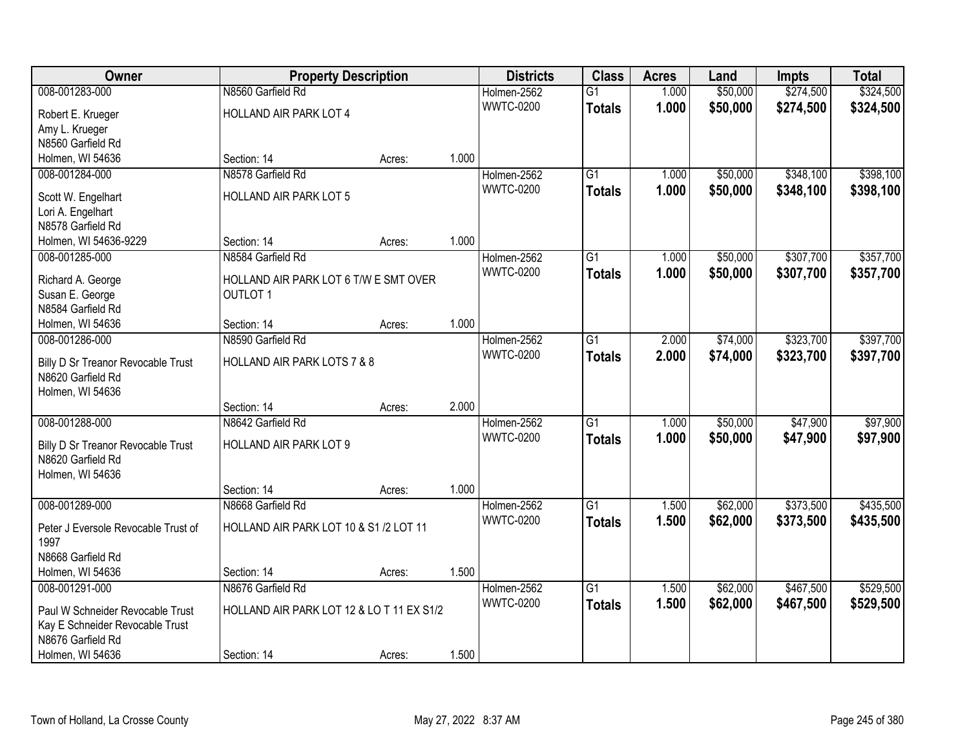| Owner                                | <b>Property Description</b>                              |        | <b>Districts</b> | <b>Class</b>     | <b>Acres</b>    | Land  | <b>Impts</b> | <b>Total</b> |           |
|--------------------------------------|----------------------------------------------------------|--------|------------------|------------------|-----------------|-------|--------------|--------------|-----------|
| 008-001283-000                       | N8560 Garfield Rd                                        |        |                  | Holmen-2562      | $\overline{G1}$ | 1.000 | \$50,000     | \$274,500    | \$324,500 |
| Robert E. Krueger                    | HOLLAND AIR PARK LOT 4                                   |        |                  | <b>WWTC-0200</b> | <b>Totals</b>   | 1.000 | \$50,000     | \$274,500    | \$324,500 |
| Amy L. Krueger                       |                                                          |        |                  |                  |                 |       |              |              |           |
| N8560 Garfield Rd                    |                                                          |        |                  |                  |                 |       |              |              |           |
| Holmen, WI 54636                     | Section: 14                                              | Acres: | 1.000            |                  |                 |       |              |              |           |
| 008-001284-000                       | N8578 Garfield Rd                                        |        |                  | Holmen-2562      | $\overline{G1}$ | 1.000 | \$50,000     | \$348,100    | \$398,100 |
| Scott W. Engelhart                   | <b>HOLLAND AIR PARK LOT 5</b>                            |        |                  | <b>WWTC-0200</b> | <b>Totals</b>   | 1.000 | \$50,000     | \$348,100    | \$398,100 |
| Lori A. Engelhart                    |                                                          |        |                  |                  |                 |       |              |              |           |
| N8578 Garfield Rd                    |                                                          |        |                  |                  |                 |       |              |              |           |
| Holmen, WI 54636-9229                | Section: 14                                              | Acres: | 1.000            |                  |                 |       |              |              |           |
| 008-001285-000                       | N8584 Garfield Rd                                        |        |                  | Holmen-2562      | $\overline{G1}$ | 1.000 | \$50,000     | \$307,700    | \$357,700 |
|                                      |                                                          |        |                  | <b>WWTC-0200</b> | <b>Totals</b>   | 1.000 | \$50,000     | \$307,700    | \$357,700 |
| Richard A. George<br>Susan E. George | HOLLAND AIR PARK LOT 6 T/W E SMT OVER<br><b>OUTLOT 1</b> |        |                  |                  |                 |       |              |              |           |
| N8584 Garfield Rd                    |                                                          |        |                  |                  |                 |       |              |              |           |
| Holmen, WI 54636                     | Section: 14                                              | Acres: | 1.000            |                  |                 |       |              |              |           |
| 008-001286-000                       | N8590 Garfield Rd                                        |        |                  | Holmen-2562      | G1              | 2.000 | \$74,000     | \$323,700    | \$397,700 |
|                                      |                                                          |        |                  | <b>WWTC-0200</b> | <b>Totals</b>   | 2.000 | \$74,000     | \$323,700    | \$397,700 |
| Billy D Sr Treanor Revocable Trust   | HOLLAND AIR PARK LOTS 7 & 8                              |        |                  |                  |                 |       |              |              |           |
| N8620 Garfield Rd                    |                                                          |        |                  |                  |                 |       |              |              |           |
| Holmen, WI 54636                     |                                                          |        |                  |                  |                 |       |              |              |           |
|                                      | Section: 14                                              | Acres: | 2.000            |                  |                 |       |              |              |           |
| 008-001288-000                       | N8642 Garfield Rd                                        |        |                  | Holmen-2562      | $\overline{G1}$ | 1.000 | \$50,000     | \$47,900     | \$97,900  |
| Billy D Sr Treanor Revocable Trust   | HOLLAND AIR PARK LOT 9                                   |        |                  | <b>WWTC-0200</b> | <b>Totals</b>   | 1.000 | \$50,000     | \$47,900     | \$97,900  |
| N8620 Garfield Rd                    |                                                          |        |                  |                  |                 |       |              |              |           |
| Holmen, WI 54636                     |                                                          |        |                  |                  |                 |       |              |              |           |
|                                      | Section: 14                                              | Acres: | 1.000            |                  |                 |       |              |              |           |
| 008-001289-000                       | N8668 Garfield Rd                                        |        |                  | Holmen-2562      | $\overline{G1}$ | 1.500 | \$62,000     | \$373,500    | \$435,500 |
| Peter J Eversole Revocable Trust of  | HOLLAND AIR PARK LOT 10 & S1 /2 LOT 11                   |        |                  | <b>WWTC-0200</b> | <b>Totals</b>   | 1.500 | \$62,000     | \$373,500    | \$435,500 |
| 1997                                 |                                                          |        |                  |                  |                 |       |              |              |           |
| N8668 Garfield Rd                    |                                                          |        |                  |                  |                 |       |              |              |           |
| Holmen, WI 54636                     | Section: 14                                              | Acres: | 1.500            |                  |                 |       |              |              |           |
| 008-001291-000                       | N8676 Garfield Rd                                        |        |                  | Holmen-2562      | $\overline{G1}$ | 1.500 | \$62,000     | \$467,500    | \$529,500 |
| Paul W Schneider Revocable Trust     | HOLLAND AIR PARK LOT 12 & LO T 11 EX S1/2                |        |                  | <b>WWTC-0200</b> | <b>Totals</b>   | 1.500 | \$62,000     | \$467,500    | \$529,500 |
| Kay E Schneider Revocable Trust      |                                                          |        |                  |                  |                 |       |              |              |           |
| N8676 Garfield Rd                    |                                                          |        |                  |                  |                 |       |              |              |           |
| Holmen, WI 54636                     | Section: 14                                              | Acres: | 1.500            |                  |                 |       |              |              |           |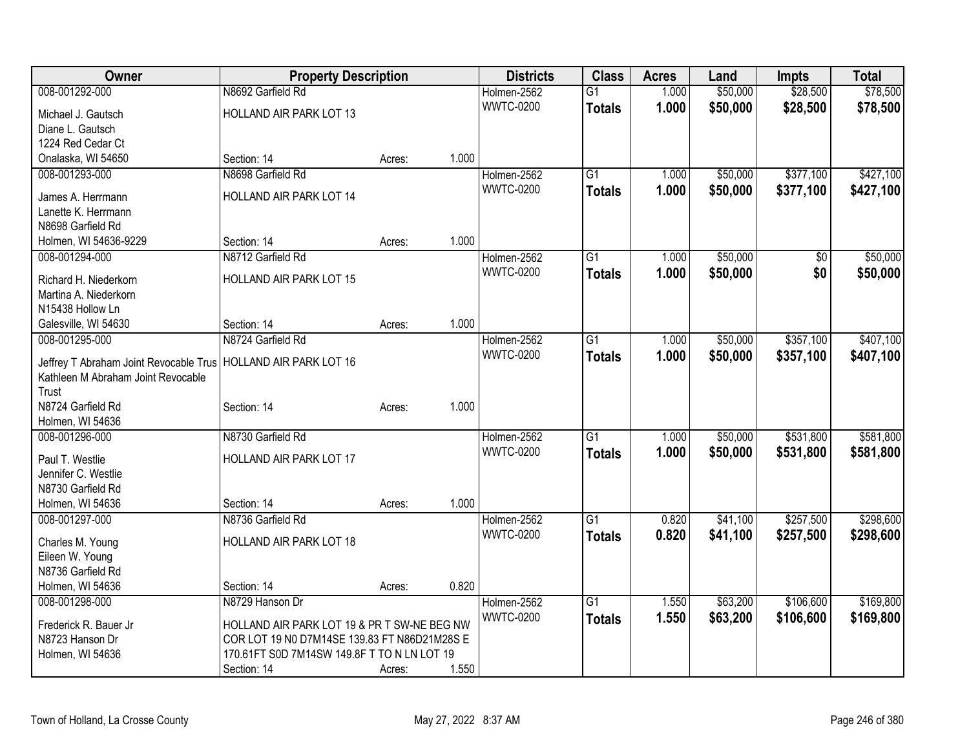| Owner                                                            | <b>Property Description</b>                  |        | <b>Districts</b> | <b>Class</b>     | <b>Acres</b>    | Land  | <b>Impts</b> | <b>Total</b> |           |
|------------------------------------------------------------------|----------------------------------------------|--------|------------------|------------------|-----------------|-------|--------------|--------------|-----------|
| 008-001292-000                                                   | N8692 Garfield Rd                            |        |                  | Holmen-2562      | G1              | 1.000 | \$50,000     | \$28,500     | \$78,500  |
| Michael J. Gautsch                                               | HOLLAND AIR PARK LOT 13                      |        |                  | <b>WWTC-0200</b> | <b>Totals</b>   | 1.000 | \$50,000     | \$28,500     | \$78,500  |
| Diane L. Gautsch                                                 |                                              |        |                  |                  |                 |       |              |              |           |
| 1224 Red Cedar Ct                                                |                                              |        |                  |                  |                 |       |              |              |           |
| Onalaska, WI 54650                                               | Section: 14                                  | Acres: | 1.000            |                  |                 |       |              |              |           |
| 008-001293-000                                                   | N8698 Garfield Rd                            |        |                  | Holmen-2562      | $\overline{G1}$ | 1.000 | \$50,000     | \$377,100    | \$427,100 |
| James A. Herrmann                                                | HOLLAND AIR PARK LOT 14                      |        |                  | <b>WWTC-0200</b> | <b>Totals</b>   | 1.000 | \$50,000     | \$377,100    | \$427,100 |
| Lanette K. Herrmann                                              |                                              |        |                  |                  |                 |       |              |              |           |
| N8698 Garfield Rd                                                |                                              |        |                  |                  |                 |       |              |              |           |
| Holmen, WI 54636-9229                                            | Section: 14                                  | Acres: | 1.000            |                  |                 |       |              |              |           |
| 008-001294-000                                                   | N8712 Garfield Rd                            |        |                  | Holmen-2562      | G1              | 1.000 | \$50,000     | \$0          | \$50,000  |
|                                                                  |                                              |        |                  | <b>WWTC-0200</b> | <b>Totals</b>   | 1.000 | \$50,000     | \$0          | \$50,000  |
| Richard H. Niederkorn                                            | HOLLAND AIR PARK LOT 15                      |        |                  |                  |                 |       |              |              |           |
| Martina A. Niederkorn                                            |                                              |        |                  |                  |                 |       |              |              |           |
| N15438 Hollow Ln                                                 |                                              |        |                  |                  |                 |       |              |              |           |
| Galesville, WI 54630                                             | Section: 14                                  | Acres: | 1.000            |                  |                 |       |              |              |           |
| 008-001295-000                                                   | N8724 Garfield Rd                            |        |                  | Holmen-2562      | $\overline{G1}$ | 1.000 | \$50,000     | \$357,100    | \$407,100 |
| Jeffrey T Abraham Joint Revocable Trus   HOLLAND AIR PARK LOT 16 |                                              |        |                  | <b>WWTC-0200</b> | <b>Totals</b>   | 1.000 | \$50,000     | \$357,100    | \$407,100 |
| Kathleen M Abraham Joint Revocable                               |                                              |        |                  |                  |                 |       |              |              |           |
| Trust                                                            |                                              |        |                  |                  |                 |       |              |              |           |
| N8724 Garfield Rd                                                | Section: 14                                  | Acres: | 1.000            |                  |                 |       |              |              |           |
| Holmen, WI 54636                                                 |                                              |        |                  |                  |                 |       |              |              |           |
| 008-001296-000                                                   | N8730 Garfield Rd                            |        |                  | Holmen-2562      | G1              | 1.000 | \$50,000     | \$531,800    | \$581,800 |
|                                                                  |                                              |        |                  | <b>WWTC-0200</b> | <b>Totals</b>   | 1.000 | \$50,000     | \$531,800    | \$581,800 |
| Paul T. Westlie                                                  | HOLLAND AIR PARK LOT 17                      |        |                  |                  |                 |       |              |              |           |
| Jennifer C. Westlie                                              |                                              |        |                  |                  |                 |       |              |              |           |
| N8730 Garfield Rd<br>Holmen, WI 54636                            | Section: 14                                  |        | 1.000            |                  |                 |       |              |              |           |
| 008-001297-000                                                   | N8736 Garfield Rd                            | Acres: |                  | Holmen-2562      | $\overline{G1}$ | 0.820 | \$41,100     | \$257,500    | \$298,600 |
|                                                                  |                                              |        |                  | <b>WWTC-0200</b> |                 |       |              |              |           |
| Charles M. Young                                                 | HOLLAND AIR PARK LOT 18                      |        |                  |                  | <b>Totals</b>   | 0.820 | \$41,100     | \$257,500    | \$298,600 |
| Eileen W. Young                                                  |                                              |        |                  |                  |                 |       |              |              |           |
| N8736 Garfield Rd                                                |                                              |        |                  |                  |                 |       |              |              |           |
| Holmen, WI 54636                                                 | Section: 14                                  | Acres: | 0.820            |                  |                 |       |              |              |           |
| 008-001298-000                                                   | N8729 Hanson Dr                              |        |                  | Holmen-2562      | $\overline{G1}$ | 1.550 | \$63,200     | \$106,600    | \$169,800 |
| Frederick R. Bauer Jr                                            | HOLLAND AIR PARK LOT 19 & PR T SW-NE BEG NW  |        |                  | <b>WWTC-0200</b> | <b>Totals</b>   | 1.550 | \$63,200     | \$106,600    | \$169,800 |
| N8723 Hanson Dr                                                  | COR LOT 19 N0 D7M14SE 139.83 FT N86D21M28S E |        |                  |                  |                 |       |              |              |           |
| Holmen, WI 54636                                                 | 170.61FT S0D 7M14SW 149.8F T TO N LN LOT 19  |        |                  |                  |                 |       |              |              |           |
|                                                                  | Section: 14                                  | Acres: | 1.550            |                  |                 |       |              |              |           |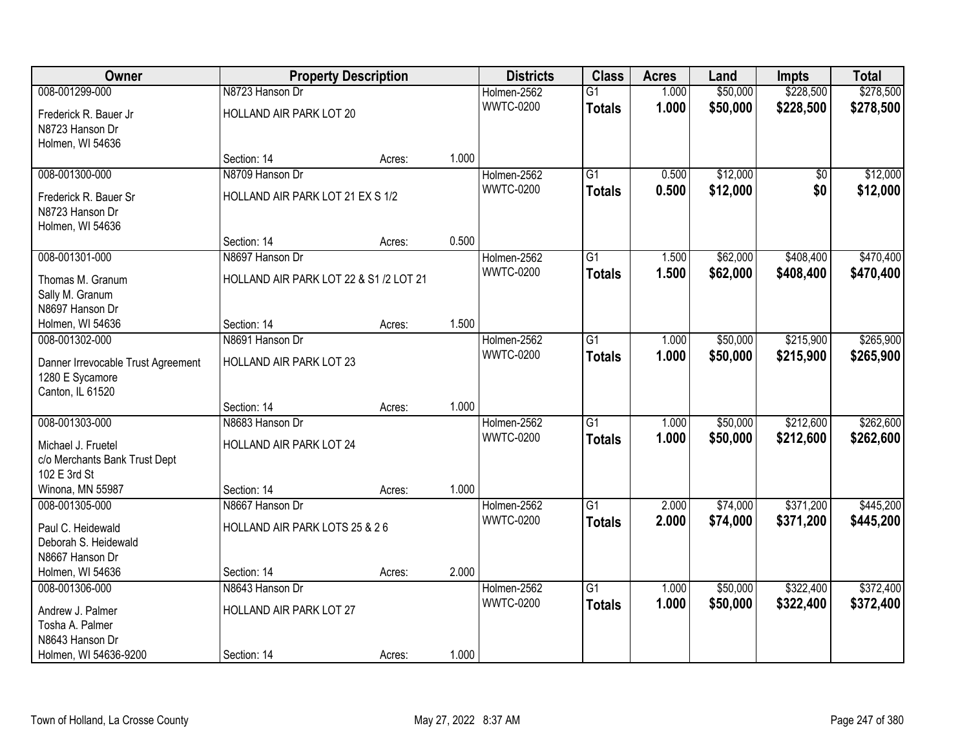| Owner                               | <b>Property Description</b>            |        | <b>Districts</b> | <b>Class</b>                    | <b>Acres</b>    | Land  | <b>Impts</b> | <b>Total</b>    |           |
|-------------------------------------|----------------------------------------|--------|------------------|---------------------------------|-----------------|-------|--------------|-----------------|-----------|
| 008-001299-000                      | N8723 Hanson Dr                        |        |                  | Holmen-2562                     | $\overline{G1}$ | 1.000 | \$50,000     | \$228,500       | \$278,500 |
| Frederick R. Bauer Jr               | HOLLAND AIR PARK LOT 20                |        |                  | <b>WWTC-0200</b>                | <b>Totals</b>   | 1.000 | \$50,000     | \$228,500       | \$278,500 |
| N8723 Hanson Dr                     |                                        |        |                  |                                 |                 |       |              |                 |           |
| Holmen, WI 54636                    |                                        |        |                  |                                 |                 |       |              |                 |           |
|                                     | Section: 14                            | Acres: | 1.000            |                                 |                 |       |              |                 |           |
| 008-001300-000                      | N8709 Hanson Dr                        |        |                  | Holmen-2562                     | $\overline{G1}$ | 0.500 | \$12,000     | $\overline{50}$ | \$12,000  |
| Frederick R. Bauer Sr               | HOLLAND AIR PARK LOT 21 EX S 1/2       |        |                  | <b>WWTC-0200</b>                | <b>Totals</b>   | 0.500 | \$12,000     | \$0             | \$12,000  |
| N8723 Hanson Dr                     |                                        |        |                  |                                 |                 |       |              |                 |           |
| Holmen, WI 54636                    |                                        |        |                  |                                 |                 |       |              |                 |           |
|                                     | Section: 14                            | Acres: | 0.500            |                                 |                 |       |              |                 |           |
| 008-001301-000                      | N8697 Hanson Dr                        |        |                  | Holmen-2562                     | G1              | 1.500 | \$62,000     | \$408,400       | \$470,400 |
|                                     | HOLLAND AIR PARK LOT 22 & S1 /2 LOT 21 |        |                  | <b>WWTC-0200</b>                | <b>Totals</b>   | 1.500 | \$62,000     | \$408,400       | \$470,400 |
| Thomas M. Granum<br>Sally M. Granum |                                        |        |                  |                                 |                 |       |              |                 |           |
| N8697 Hanson Dr                     |                                        |        |                  |                                 |                 |       |              |                 |           |
| Holmen, WI 54636                    | Section: 14                            | Acres: | 1.500            |                                 |                 |       |              |                 |           |
| 008-001302-000                      | N8691 Hanson Dr                        |        |                  | Holmen-2562                     | G1              | 1.000 | \$50,000     | \$215,900       | \$265,900 |
|                                     |                                        |        |                  | <b>WWTC-0200</b>                | <b>Totals</b>   | 1.000 | \$50,000     | \$215,900       | \$265,900 |
| Danner Irrevocable Trust Agreement  | HOLLAND AIR PARK LOT 23                |        |                  |                                 |                 |       |              |                 |           |
| 1280 E Sycamore                     |                                        |        |                  |                                 |                 |       |              |                 |           |
| Canton, IL 61520                    | Section: 14                            |        | 1.000            |                                 |                 |       |              |                 |           |
| 008-001303-000                      | N8683 Hanson Dr                        | Acres: |                  |                                 | $\overline{G1}$ | 1.000 | \$50,000     | \$212,600       | \$262,600 |
|                                     |                                        |        |                  | Holmen-2562<br><b>WWTC-0200</b> |                 |       |              |                 |           |
| Michael J. Fruetel                  | HOLLAND AIR PARK LOT 24                |        |                  |                                 | <b>Totals</b>   | 1.000 | \$50,000     | \$212,600       | \$262,600 |
| c/o Merchants Bank Trust Dept       |                                        |        |                  |                                 |                 |       |              |                 |           |
| 102 E 3rd St                        |                                        |        |                  |                                 |                 |       |              |                 |           |
| Winona, MN 55987                    | Section: 14                            | Acres: | 1.000            |                                 |                 |       |              |                 |           |
| 008-001305-000                      | N8667 Hanson Dr                        |        |                  | Holmen-2562                     | $\overline{G1}$ | 2.000 | \$74,000     | \$371,200       | \$445,200 |
| Paul C. Heidewald                   | HOLLAND AIR PARK LOTS 25 & 2 6         |        |                  | <b>WWTC-0200</b>                | <b>Totals</b>   | 2.000 | \$74,000     | \$371,200       | \$445,200 |
| Deborah S. Heidewald                |                                        |        |                  |                                 |                 |       |              |                 |           |
| N8667 Hanson Dr                     |                                        |        |                  |                                 |                 |       |              |                 |           |
| Holmen, WI 54636                    | Section: 14                            | Acres: | 2.000            |                                 |                 |       |              |                 |           |
| 008-001306-000                      | N8643 Hanson Dr                        |        |                  | Holmen-2562                     | $\overline{G1}$ | 1.000 | \$50,000     | \$322,400       | \$372,400 |
| Andrew J. Palmer                    | HOLLAND AIR PARK LOT 27                |        |                  | <b>WWTC-0200</b>                | <b>Totals</b>   | 1.000 | \$50,000     | \$322,400       | \$372,400 |
| Tosha A. Palmer                     |                                        |        |                  |                                 |                 |       |              |                 |           |
| N8643 Hanson Dr                     |                                        |        |                  |                                 |                 |       |              |                 |           |
| Holmen, WI 54636-9200               | Section: 14                            | Acres: | 1.000            |                                 |                 |       |              |                 |           |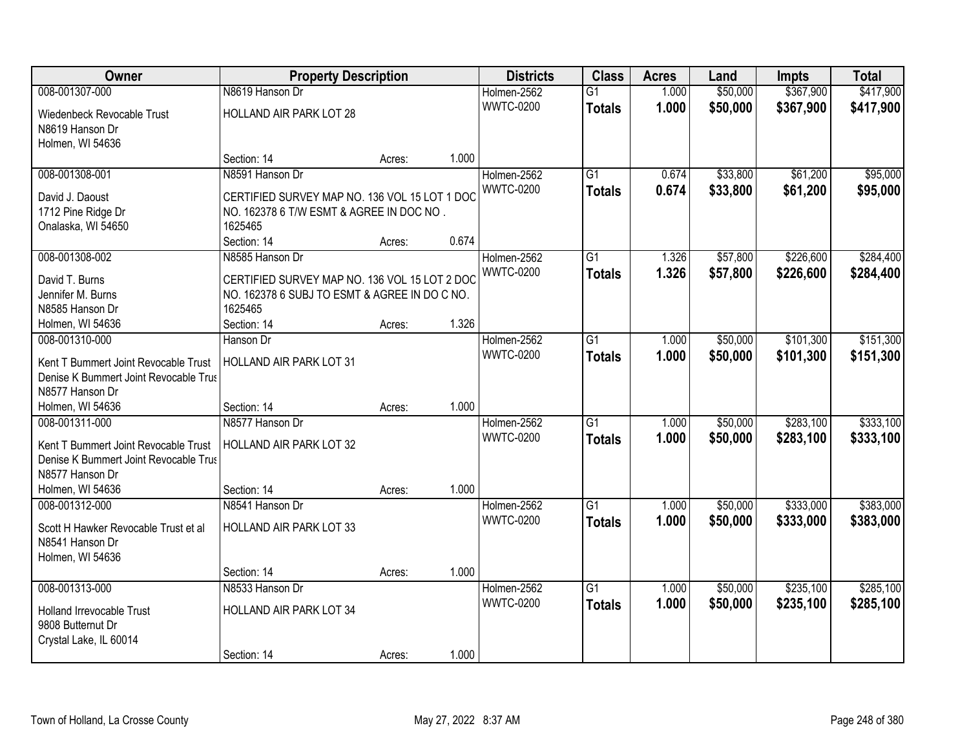| \$367,900<br>008-001307-000<br>N8619 Hanson Dr<br>\$50,000<br>\$417,900<br>Holmen-2562<br>$\overline{G1}$<br>1.000<br><b>WWTC-0200</b><br>1.000<br>\$50,000<br>\$367,900<br>\$417,900<br><b>Totals</b><br>HOLLAND AIR PARK LOT 28<br>Wiedenbeck Revocable Trust<br>N8619 Hanson Dr<br>Holmen, WI 54636<br>1.000<br>Section: 14<br>Acres:<br>$\overline{G1}$<br>\$33,800<br>\$61,200<br>008-001308-001<br>N8591 Hanson Dr<br>Holmen-2562<br>0.674<br><b>WWTC-0200</b><br>0.674<br>\$33,800<br>\$61,200<br><b>Totals</b><br>CERTIFIED SURVEY MAP NO. 136 VOL 15 LOT 1 DOC<br>David J. Daoust<br>1712 Pine Ridge Dr<br>NO. 162378 6 T/W ESMT & AGREE IN DOC NO.<br>Onalaska, WI 54650<br>1625465<br>0.674<br>Section: 14<br>Acres:<br>008-001308-002<br>$\overline{G1}$<br>\$57,800<br>\$226,600<br>N8585 Hanson Dr<br>Holmen-2562<br>1.326<br><b>WWTC-0200</b><br>1.326<br>\$57,800<br>\$226,600<br><b>Totals</b><br>CERTIFIED SURVEY MAP NO. 136 VOL 15 LOT 2 DOC<br>David T. Burns<br>Jennifer M. Burns<br>NO. 162378 6 SUBJ TO ESMT & AGREE IN DO C NO.<br>N8585 Hanson Dr<br>1625465<br>Section: 14<br>1.326<br>Holmen, WI 54636<br>Acres: |
|----------------------------------------------------------------------------------------------------------------------------------------------------------------------------------------------------------------------------------------------------------------------------------------------------------------------------------------------------------------------------------------------------------------------------------------------------------------------------------------------------------------------------------------------------------------------------------------------------------------------------------------------------------------------------------------------------------------------------------------------------------------------------------------------------------------------------------------------------------------------------------------------------------------------------------------------------------------------------------------------------------------------------------------------------------------------------------------------------------------------------------------------|
|                                                                                                                                                                                                                                                                                                                                                                                                                                                                                                                                                                                                                                                                                                                                                                                                                                                                                                                                                                                                                                                                                                                                              |
|                                                                                                                                                                                                                                                                                                                                                                                                                                                                                                                                                                                                                                                                                                                                                                                                                                                                                                                                                                                                                                                                                                                                              |
|                                                                                                                                                                                                                                                                                                                                                                                                                                                                                                                                                                                                                                                                                                                                                                                                                                                                                                                                                                                                                                                                                                                                              |
| \$95,000<br>\$95,000<br>\$284,400<br>\$284,400                                                                                                                                                                                                                                                                                                                                                                                                                                                                                                                                                                                                                                                                                                                                                                                                                                                                                                                                                                                                                                                                                               |
|                                                                                                                                                                                                                                                                                                                                                                                                                                                                                                                                                                                                                                                                                                                                                                                                                                                                                                                                                                                                                                                                                                                                              |
|                                                                                                                                                                                                                                                                                                                                                                                                                                                                                                                                                                                                                                                                                                                                                                                                                                                                                                                                                                                                                                                                                                                                              |
|                                                                                                                                                                                                                                                                                                                                                                                                                                                                                                                                                                                                                                                                                                                                                                                                                                                                                                                                                                                                                                                                                                                                              |
|                                                                                                                                                                                                                                                                                                                                                                                                                                                                                                                                                                                                                                                                                                                                                                                                                                                                                                                                                                                                                                                                                                                                              |
|                                                                                                                                                                                                                                                                                                                                                                                                                                                                                                                                                                                                                                                                                                                                                                                                                                                                                                                                                                                                                                                                                                                                              |
|                                                                                                                                                                                                                                                                                                                                                                                                                                                                                                                                                                                                                                                                                                                                                                                                                                                                                                                                                                                                                                                                                                                                              |
|                                                                                                                                                                                                                                                                                                                                                                                                                                                                                                                                                                                                                                                                                                                                                                                                                                                                                                                                                                                                                                                                                                                                              |
|                                                                                                                                                                                                                                                                                                                                                                                                                                                                                                                                                                                                                                                                                                                                                                                                                                                                                                                                                                                                                                                                                                                                              |
|                                                                                                                                                                                                                                                                                                                                                                                                                                                                                                                                                                                                                                                                                                                                                                                                                                                                                                                                                                                                                                                                                                                                              |
|                                                                                                                                                                                                                                                                                                                                                                                                                                                                                                                                                                                                                                                                                                                                                                                                                                                                                                                                                                                                                                                                                                                                              |
|                                                                                                                                                                                                                                                                                                                                                                                                                                                                                                                                                                                                                                                                                                                                                                                                                                                                                                                                                                                                                                                                                                                                              |
|                                                                                                                                                                                                                                                                                                                                                                                                                                                                                                                                                                                                                                                                                                                                                                                                                                                                                                                                                                                                                                                                                                                                              |
| \$50,000<br>\$101,300<br>\$151,300<br>Holmen-2562<br>$\overline{G1}$<br>008-001310-000<br>1.000<br>Hanson Dr<br><b>WWTC-0200</b><br>1.000<br>\$50,000<br>\$101,300                                                                                                                                                                                                                                                                                                                                                                                                                                                                                                                                                                                                                                                                                                                                                                                                                                                                                                                                                                           |
| \$151,300<br><b>Totals</b><br><b>HOLLAND AIR PARK LOT 31</b><br>Kent T Bummert Joint Revocable Trust                                                                                                                                                                                                                                                                                                                                                                                                                                                                                                                                                                                                                                                                                                                                                                                                                                                                                                                                                                                                                                         |
| Denise K Bummert Joint Revocable Trus                                                                                                                                                                                                                                                                                                                                                                                                                                                                                                                                                                                                                                                                                                                                                                                                                                                                                                                                                                                                                                                                                                        |
| N8577 Hanson Dr                                                                                                                                                                                                                                                                                                                                                                                                                                                                                                                                                                                                                                                                                                                                                                                                                                                                                                                                                                                                                                                                                                                              |
| 1.000<br>Holmen, WI 54636<br>Section: 14<br>Acres:                                                                                                                                                                                                                                                                                                                                                                                                                                                                                                                                                                                                                                                                                                                                                                                                                                                                                                                                                                                                                                                                                           |
| $\overline{G1}$<br>\$50,000<br>\$283,100<br>\$333,100<br>008-001311-000<br>N8577 Hanson Dr<br>1.000<br>Holmen-2562                                                                                                                                                                                                                                                                                                                                                                                                                                                                                                                                                                                                                                                                                                                                                                                                                                                                                                                                                                                                                           |
| <b>WWTC-0200</b><br>1.000<br>\$50,000<br>\$283,100<br>\$333,100<br><b>Totals</b><br>Kent T Bummert Joint Revocable Trust<br>HOLLAND AIR PARK LOT 32                                                                                                                                                                                                                                                                                                                                                                                                                                                                                                                                                                                                                                                                                                                                                                                                                                                                                                                                                                                          |
| Denise K Bummert Joint Revocable Trus                                                                                                                                                                                                                                                                                                                                                                                                                                                                                                                                                                                                                                                                                                                                                                                                                                                                                                                                                                                                                                                                                                        |
| N8577 Hanson Dr                                                                                                                                                                                                                                                                                                                                                                                                                                                                                                                                                                                                                                                                                                                                                                                                                                                                                                                                                                                                                                                                                                                              |
| 1.000<br>Holmen, WI 54636<br>Section: 14<br>Acres:                                                                                                                                                                                                                                                                                                                                                                                                                                                                                                                                                                                                                                                                                                                                                                                                                                                                                                                                                                                                                                                                                           |
| $\overline{G1}$<br>\$50,000<br>\$333,000<br>\$383,000<br>008-001312-000<br>N8541 Hanson Dr<br>Holmen-2562<br>1.000                                                                                                                                                                                                                                                                                                                                                                                                                                                                                                                                                                                                                                                                                                                                                                                                                                                                                                                                                                                                                           |
| <b>WWTC-0200</b><br>1.000<br>\$50,000<br>\$333,000<br>\$383,000<br><b>Totals</b><br>HOLLAND AIR PARK LOT 33<br>Scott H Hawker Revocable Trust et al                                                                                                                                                                                                                                                                                                                                                                                                                                                                                                                                                                                                                                                                                                                                                                                                                                                                                                                                                                                          |
| N8541 Hanson Dr                                                                                                                                                                                                                                                                                                                                                                                                                                                                                                                                                                                                                                                                                                                                                                                                                                                                                                                                                                                                                                                                                                                              |
| Holmen, WI 54636                                                                                                                                                                                                                                                                                                                                                                                                                                                                                                                                                                                                                                                                                                                                                                                                                                                                                                                                                                                                                                                                                                                             |
| 1.000<br>Section: 14<br>Acres:                                                                                                                                                                                                                                                                                                                                                                                                                                                                                                                                                                                                                                                                                                                                                                                                                                                                                                                                                                                                                                                                                                               |
| 008-001313-000<br>$\overline{G1}$<br>\$50,000<br>\$235,100<br>\$285,100<br>N8533 Hanson Dr<br>Holmen-2562<br>1.000                                                                                                                                                                                                                                                                                                                                                                                                                                                                                                                                                                                                                                                                                                                                                                                                                                                                                                                                                                                                                           |
| 1.000<br><b>WWTC-0200</b><br>\$50,000<br>\$235,100<br>\$285,100<br><b>Totals</b><br>HOLLAND AIR PARK LOT 34<br>Holland Irrevocable Trust                                                                                                                                                                                                                                                                                                                                                                                                                                                                                                                                                                                                                                                                                                                                                                                                                                                                                                                                                                                                     |
| 9808 Butternut Dr                                                                                                                                                                                                                                                                                                                                                                                                                                                                                                                                                                                                                                                                                                                                                                                                                                                                                                                                                                                                                                                                                                                            |
| Crystal Lake, IL 60014                                                                                                                                                                                                                                                                                                                                                                                                                                                                                                                                                                                                                                                                                                                                                                                                                                                                                                                                                                                                                                                                                                                       |
| 1.000<br>Section: 14<br>Acres:                                                                                                                                                                                                                                                                                                                                                                                                                                                                                                                                                                                                                                                                                                                                                                                                                                                                                                                                                                                                                                                                                                               |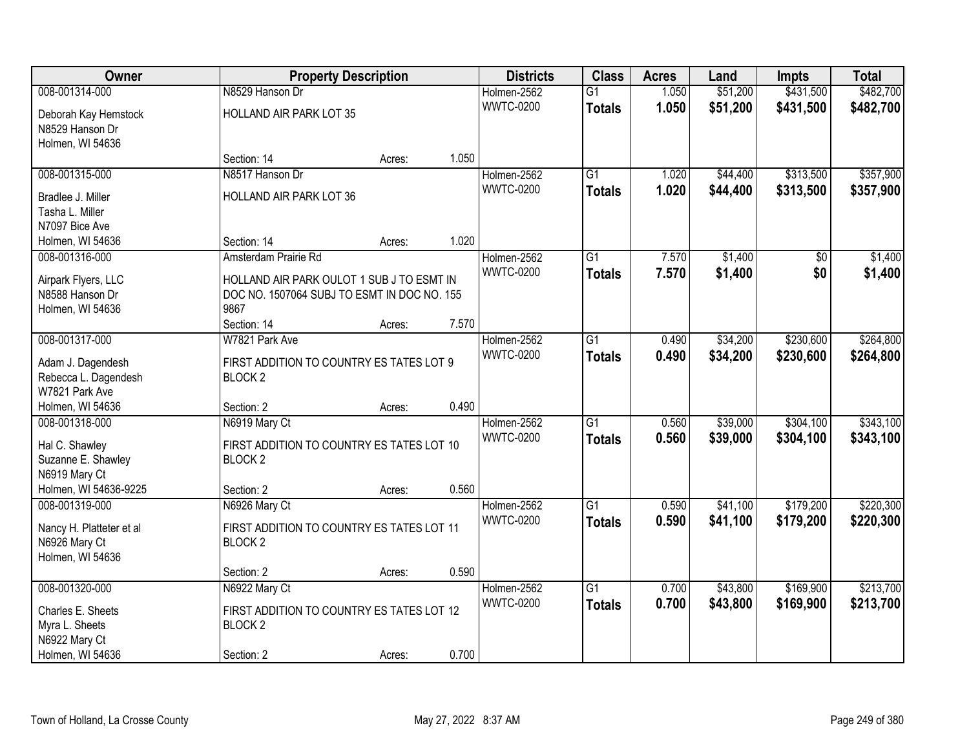| Owner                                     |                                             | <b>Property Description</b> |       | <b>Districts</b> | <b>Class</b>    | <b>Acres</b> | Land     | <b>Impts</b>    | <b>Total</b> |
|-------------------------------------------|---------------------------------------------|-----------------------------|-------|------------------|-----------------|--------------|----------|-----------------|--------------|
| 008-001314-000                            | N8529 Hanson Dr                             |                             |       | Holmen-2562      | $\overline{G1}$ | 1.050        | \$51,200 | \$431,500       | \$482,700    |
| Deborah Kay Hemstock                      | HOLLAND AIR PARK LOT 35                     |                             |       | <b>WWTC-0200</b> | <b>Totals</b>   | 1.050        | \$51,200 | \$431,500       | \$482,700    |
| N8529 Hanson Dr                           |                                             |                             |       |                  |                 |              |          |                 |              |
| Holmen, WI 54636                          |                                             |                             |       |                  |                 |              |          |                 |              |
|                                           | Section: 14                                 | Acres:                      | 1.050 |                  |                 |              |          |                 |              |
| 008-001315-000                            | N8517 Hanson Dr                             |                             |       | Holmen-2562      | $\overline{G1}$ | 1.020        | \$44,400 | \$313,500       | \$357,900    |
| Bradlee J. Miller                         | HOLLAND AIR PARK LOT 36                     |                             |       | <b>WWTC-0200</b> | <b>Totals</b>   | 1.020        | \$44,400 | \$313,500       | \$357,900    |
| Tasha L. Miller                           |                                             |                             |       |                  |                 |              |          |                 |              |
| N7097 Bice Ave                            |                                             |                             |       |                  |                 |              |          |                 |              |
| Holmen, WI 54636                          | Section: 14                                 | Acres:                      | 1.020 |                  |                 |              |          |                 |              |
| 008-001316-000                            | Amsterdam Prairie Rd                        |                             |       | Holmen-2562      | $\overline{G1}$ | 7.570        | \$1,400  | $\overline{50}$ | \$1,400      |
| Airpark Flyers, LLC                       | HOLLAND AIR PARK OULOT 1 SUB J TO ESMT IN   |                             |       | <b>WWTC-0200</b> | <b>Totals</b>   | 7.570        | \$1,400  | \$0             | \$1,400      |
| N8588 Hanson Dr                           | DOC NO. 1507064 SUBJ TO ESMT IN DOC NO. 155 |                             |       |                  |                 |              |          |                 |              |
| Holmen, WI 54636                          | 9867                                        |                             |       |                  |                 |              |          |                 |              |
|                                           | Section: 14                                 | Acres:                      | 7.570 |                  |                 |              |          |                 |              |
| 008-001317-000                            | W7821 Park Ave                              |                             |       | Holmen-2562      | $\overline{G1}$ | 0.490        | \$34,200 | \$230,600       | \$264,800    |
|                                           | FIRST ADDITION TO COUNTRY ES TATES LOT 9    |                             |       | <b>WWTC-0200</b> | <b>Totals</b>   | 0.490        | \$34,200 | \$230,600       | \$264,800    |
| Adam J. Dagendesh<br>Rebecca L. Dagendesh | <b>BLOCK2</b>                               |                             |       |                  |                 |              |          |                 |              |
| W7821 Park Ave                            |                                             |                             |       |                  |                 |              |          |                 |              |
| Holmen, WI 54636                          | Section: 2                                  | Acres:                      | 0.490 |                  |                 |              |          |                 |              |
| 008-001318-000                            | N6919 Mary Ct                               |                             |       | Holmen-2562      | $\overline{G1}$ | 0.560        | \$39,000 | \$304,100       | \$343,100    |
|                                           |                                             |                             |       | <b>WWTC-0200</b> | <b>Totals</b>   | 0.560        | \$39,000 | \$304,100       | \$343,100    |
| Hal C. Shawley                            | FIRST ADDITION TO COUNTRY ES TATES LOT 10   |                             |       |                  |                 |              |          |                 |              |
| Suzanne E. Shawley<br>N6919 Mary Ct       | BLOCK <sub>2</sub>                          |                             |       |                  |                 |              |          |                 |              |
| Holmen, WI 54636-9225                     | Section: 2                                  | Acres:                      | 0.560 |                  |                 |              |          |                 |              |
| 008-001319-000                            | N6926 Mary Ct                               |                             |       | Holmen-2562      | G1              | 0.590        | \$41,100 | \$179,200       | \$220,300    |
|                                           |                                             |                             |       | <b>WWTC-0200</b> | <b>Totals</b>   | 0.590        | \$41,100 | \$179,200       | \$220,300    |
| Nancy H. Platteter et al                  | FIRST ADDITION TO COUNTRY ES TATES LOT 11   |                             |       |                  |                 |              |          |                 |              |
| N6926 Mary Ct                             | <b>BLOCK2</b>                               |                             |       |                  |                 |              |          |                 |              |
| Holmen, WI 54636                          | Section: 2                                  |                             | 0.590 |                  |                 |              |          |                 |              |
| 008-001320-000                            | N6922 Mary Ct                               | Acres:                      |       | Holmen-2562      | $\overline{G1}$ | 0.700        | \$43,800 | \$169,900       | \$213,700    |
|                                           |                                             |                             |       | <b>WWTC-0200</b> | <b>Totals</b>   | 0.700        | \$43,800 | \$169,900       | \$213,700    |
| Charles E. Sheets                         | FIRST ADDITION TO COUNTRY ES TATES LOT 12   |                             |       |                  |                 |              |          |                 |              |
| Myra L. Sheets                            | BLOCK <sub>2</sub>                          |                             |       |                  |                 |              |          |                 |              |
| N6922 Mary Ct                             |                                             |                             |       |                  |                 |              |          |                 |              |
| Holmen, WI 54636                          | Section: 2                                  | Acres:                      | 0.700 |                  |                 |              |          |                 |              |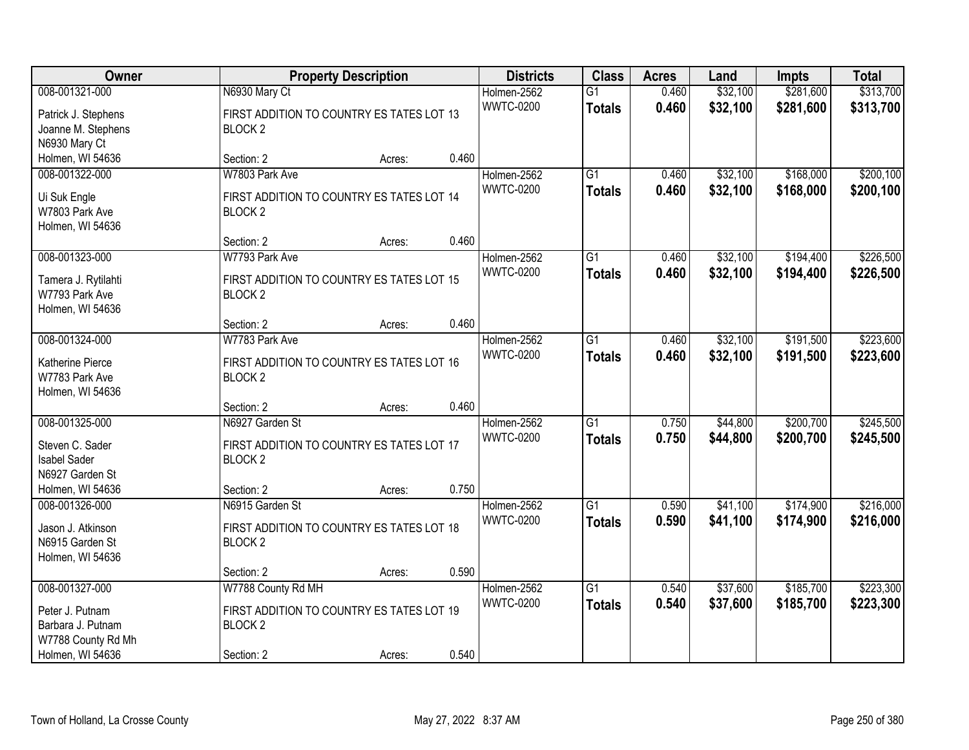| <b>Owner</b>                          |                                           | <b>Property Description</b> |       |                                 | <b>Class</b>    | <b>Acres</b> | Land     | <b>Impts</b> | <b>Total</b> |
|---------------------------------------|-------------------------------------------|-----------------------------|-------|---------------------------------|-----------------|--------------|----------|--------------|--------------|
| 008-001321-000                        | N6930 Mary Ct                             |                             |       | Holmen-2562                     | $\overline{G1}$ | 0.460        | \$32,100 | \$281,600    | \$313,700    |
| Patrick J. Stephens                   | FIRST ADDITION TO COUNTRY ES TATES LOT 13 |                             |       | <b>WWTC-0200</b>                | <b>Totals</b>   | 0.460        | \$32,100 | \$281,600    | \$313,700    |
| Joanne M. Stephens                    | BLOCK <sub>2</sub>                        |                             |       |                                 |                 |              |          |              |              |
| N6930 Mary Ct                         |                                           |                             |       |                                 |                 |              |          |              |              |
| Holmen, WI 54636                      | Section: 2                                | Acres:                      | 0.460 |                                 |                 |              |          |              |              |
| 008-001322-000                        | W7803 Park Ave                            |                             |       | Holmen-2562                     | G1              | 0.460        | \$32,100 | \$168,000    | \$200,100    |
| Ui Suk Engle                          | FIRST ADDITION TO COUNTRY ES TATES LOT 14 |                             |       | <b>WWTC-0200</b>                | <b>Totals</b>   | 0.460        | \$32,100 | \$168,000    | \$200,100    |
| W7803 Park Ave                        | <b>BLOCK2</b>                             |                             |       |                                 |                 |              |          |              |              |
| Holmen, WI 54636                      |                                           |                             |       |                                 |                 |              |          |              |              |
|                                       | Section: 2                                | Acres:                      | 0.460 |                                 |                 |              |          |              |              |
| 008-001323-000                        | W7793 Park Ave                            |                             |       | Holmen-2562                     | $\overline{G1}$ | 0.460        | \$32,100 | \$194,400    | \$226,500    |
|                                       | FIRST ADDITION TO COUNTRY ES TATES LOT 15 |                             |       | <b>WWTC-0200</b>                | <b>Totals</b>   | 0.460        | \$32,100 | \$194,400    | \$226,500    |
| Tamera J. Rytilahti<br>W7793 Park Ave | <b>BLOCK2</b>                             |                             |       |                                 |                 |              |          |              |              |
| Holmen, WI 54636                      |                                           |                             |       |                                 |                 |              |          |              |              |
|                                       | Section: 2                                | Acres:                      | 0.460 |                                 |                 |              |          |              |              |
| 008-001324-000                        | W7783 Park Ave                            |                             |       | Holmen-2562                     | G1              | 0.460        | \$32,100 | \$191,500    | \$223,600    |
|                                       |                                           |                             |       | <b>WWTC-0200</b>                | <b>Totals</b>   | 0.460        | \$32,100 | \$191,500    | \$223,600    |
| Katherine Pierce                      | FIRST ADDITION TO COUNTRY ES TATES LOT 16 |                             |       |                                 |                 |              |          |              |              |
| W7783 Park Ave<br>Holmen, WI 54636    | BLOCK <sub>2</sub>                        |                             |       |                                 |                 |              |          |              |              |
|                                       | Section: 2                                | Acres:                      | 0.460 |                                 |                 |              |          |              |              |
| 008-001325-000                        | N6927 Garden St                           |                             |       | Holmen-2562                     | $\overline{G1}$ | 0.750        | \$44,800 | \$200,700    | \$245,500    |
|                                       |                                           |                             |       | <b>WWTC-0200</b>                | <b>Totals</b>   | 0.750        | \$44,800 | \$200,700    | \$245,500    |
| Steven C. Sader                       | FIRST ADDITION TO COUNTRY ES TATES LOT 17 |                             |       |                                 |                 |              |          |              |              |
| <b>Isabel Sader</b>                   | BLOCK <sub>2</sub>                        |                             |       |                                 |                 |              |          |              |              |
| N6927 Garden St                       |                                           |                             |       |                                 |                 |              |          |              |              |
| Holmen, WI 54636                      | Section: 2                                | Acres:                      | 0.750 |                                 |                 |              |          |              |              |
| 008-001326-000                        | N6915 Garden St                           |                             |       | Holmen-2562<br><b>WWTC-0200</b> | $\overline{G1}$ | 0.590        | \$41,100 | \$174,900    | \$216,000    |
| Jason J. Atkinson                     | FIRST ADDITION TO COUNTRY ES TATES LOT 18 |                             |       |                                 | <b>Totals</b>   | 0.590        | \$41,100 | \$174,900    | \$216,000    |
| N6915 Garden St                       | BLOCK <sub>2</sub>                        |                             |       |                                 |                 |              |          |              |              |
| Holmen, WI 54636                      |                                           |                             |       |                                 |                 |              |          |              |              |
|                                       | Section: 2                                | Acres:                      | 0.590 |                                 |                 |              |          |              |              |
| 008-001327-000                        | W7788 County Rd MH                        |                             |       | Holmen-2562                     | $\overline{G1}$ | 0.540        | \$37,600 | \$185,700    | \$223,300    |
| Peter J. Putnam                       | FIRST ADDITION TO COUNTRY ES TATES LOT 19 |                             |       | <b>WWTC-0200</b>                | <b>Totals</b>   | 0.540        | \$37,600 | \$185,700    | \$223,300    |
| Barbara J. Putnam                     | BLOCK <sub>2</sub>                        |                             |       |                                 |                 |              |          |              |              |
| W7788 County Rd Mh                    |                                           |                             |       |                                 |                 |              |          |              |              |
| Holmen, WI 54636                      | Section: 2                                | Acres:                      | 0.540 |                                 |                 |              |          |              |              |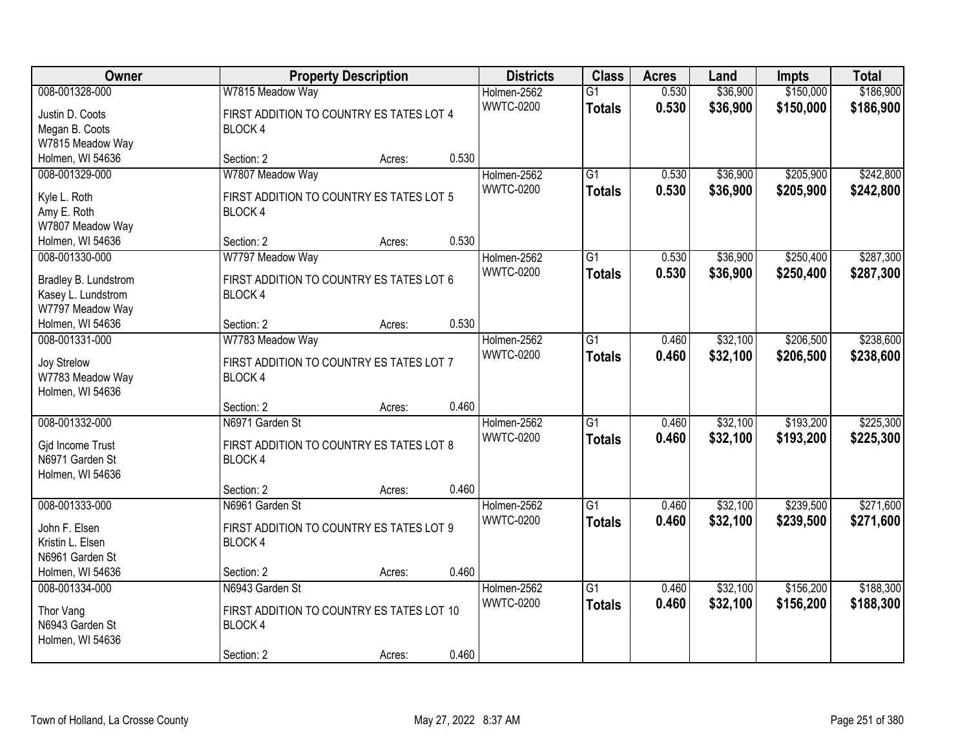| Owner                |                                           | <b>Property Description</b> |       |                  | <b>Class</b>    | <b>Acres</b> | Land     | <b>Impts</b> | <b>Total</b> |
|----------------------|-------------------------------------------|-----------------------------|-------|------------------|-----------------|--------------|----------|--------------|--------------|
| 008-001328-000       | W7815 Meadow Way                          |                             |       | Holmen-2562      | $\overline{G1}$ | 0.530        | \$36,900 | \$150,000    | \$186,900    |
| Justin D. Coots      | FIRST ADDITION TO COUNTRY ES TATES LOT 4  |                             |       | <b>WWTC-0200</b> | <b>Totals</b>   | 0.530        | \$36,900 | \$150,000    | \$186,900    |
| Megan B. Coots       | <b>BLOCK4</b>                             |                             |       |                  |                 |              |          |              |              |
| W7815 Meadow Way     |                                           |                             |       |                  |                 |              |          |              |              |
| Holmen, WI 54636     | Section: 2                                | Acres:                      | 0.530 |                  |                 |              |          |              |              |
| 008-001329-000       | W7807 Meadow Way                          |                             |       | Holmen-2562      | $\overline{G1}$ | 0.530        | \$36,900 | \$205,900    | \$242,800    |
|                      |                                           |                             |       | <b>WWTC-0200</b> | <b>Totals</b>   | 0.530        | \$36,900 | \$205,900    | \$242,800    |
| Kyle L. Roth         | FIRST ADDITION TO COUNTRY ES TATES LOT 5  |                             |       |                  |                 |              |          |              |              |
| Amy E. Roth          | BLOCK 4                                   |                             |       |                  |                 |              |          |              |              |
| W7807 Meadow Way     | Section: 2                                |                             | 0.530 |                  |                 |              |          |              |              |
| Holmen, WI 54636     |                                           | Acres:                      |       |                  |                 |              |          |              |              |
| 008-001330-000       | W7797 Meadow Way                          |                             |       | Holmen-2562      | G1              | 0.530        | \$36,900 | \$250,400    | \$287,300    |
| Bradley B. Lundstrom | FIRST ADDITION TO COUNTRY ES TATES LOT 6  |                             |       | <b>WWTC-0200</b> | <b>Totals</b>   | 0.530        | \$36,900 | \$250,400    | \$287,300    |
| Kasey L. Lundstrom   | <b>BLOCK4</b>                             |                             |       |                  |                 |              |          |              |              |
| W7797 Meadow Way     |                                           |                             |       |                  |                 |              |          |              |              |
| Holmen, WI 54636     | Section: 2                                | Acres:                      | 0.530 |                  |                 |              |          |              |              |
| 008-001331-000       | W7783 Meadow Way                          |                             |       | Holmen-2562      | G1              | 0.460        | \$32,100 | \$206,500    | \$238,600    |
| Joy Strelow          | FIRST ADDITION TO COUNTRY ES TATES LOT 7  |                             |       | <b>WWTC-0200</b> | <b>Totals</b>   | 0.460        | \$32,100 | \$206,500    | \$238,600    |
| W7783 Meadow Way     | BLOCK 4                                   |                             |       |                  |                 |              |          |              |              |
| Holmen, WI 54636     |                                           |                             |       |                  |                 |              |          |              |              |
|                      | Section: 2                                | Acres:                      | 0.460 |                  |                 |              |          |              |              |
| 008-001332-000       | N6971 Garden St                           |                             |       | Holmen-2562      | $\overline{G1}$ | 0.460        | \$32,100 | \$193,200    | \$225,300    |
|                      |                                           |                             |       | <b>WWTC-0200</b> |                 | 0.460        | \$32,100 | \$193,200    | \$225,300    |
| Gjd Income Trust     | FIRST ADDITION TO COUNTRY ES TATES LOT 8  |                             |       |                  | <b>Totals</b>   |              |          |              |              |
| N6971 Garden St      | BLOCK 4                                   |                             |       |                  |                 |              |          |              |              |
| Holmen, WI 54636     |                                           |                             |       |                  |                 |              |          |              |              |
|                      | Section: 2                                | Acres:                      | 0.460 |                  |                 |              |          |              |              |
| 008-001333-000       | N6961 Garden St                           |                             |       | Holmen-2562      | $\overline{G1}$ | 0.460        | \$32,100 | \$239,500    | \$271,600    |
| John F. Elsen        | FIRST ADDITION TO COUNTRY ES TATES LOT 9  |                             |       | <b>WWTC-0200</b> | <b>Totals</b>   | 0.460        | \$32,100 | \$239,500    | \$271,600    |
| Kristin L. Elsen     | BLOCK 4                                   |                             |       |                  |                 |              |          |              |              |
| N6961 Garden St      |                                           |                             |       |                  |                 |              |          |              |              |
| Holmen, WI 54636     | Section: 2                                | Acres:                      | 0.460 |                  |                 |              |          |              |              |
| 008-001334-000       | N6943 Garden St                           |                             |       | Holmen-2562      | $\overline{G1}$ | 0.460        | \$32,100 | \$156,200    | \$188,300    |
|                      |                                           |                             |       | <b>WWTC-0200</b> | <b>Totals</b>   | 0.460        | \$32,100 | \$156,200    | \$188,300    |
| Thor Vang            | FIRST ADDITION TO COUNTRY ES TATES LOT 10 |                             |       |                  |                 |              |          |              |              |
| N6943 Garden St      | BLOCK 4                                   |                             |       |                  |                 |              |          |              |              |
| Holmen, WI 54636     |                                           |                             |       |                  |                 |              |          |              |              |
|                      | Section: 2                                | Acres:                      | 0.460 |                  |                 |              |          |              |              |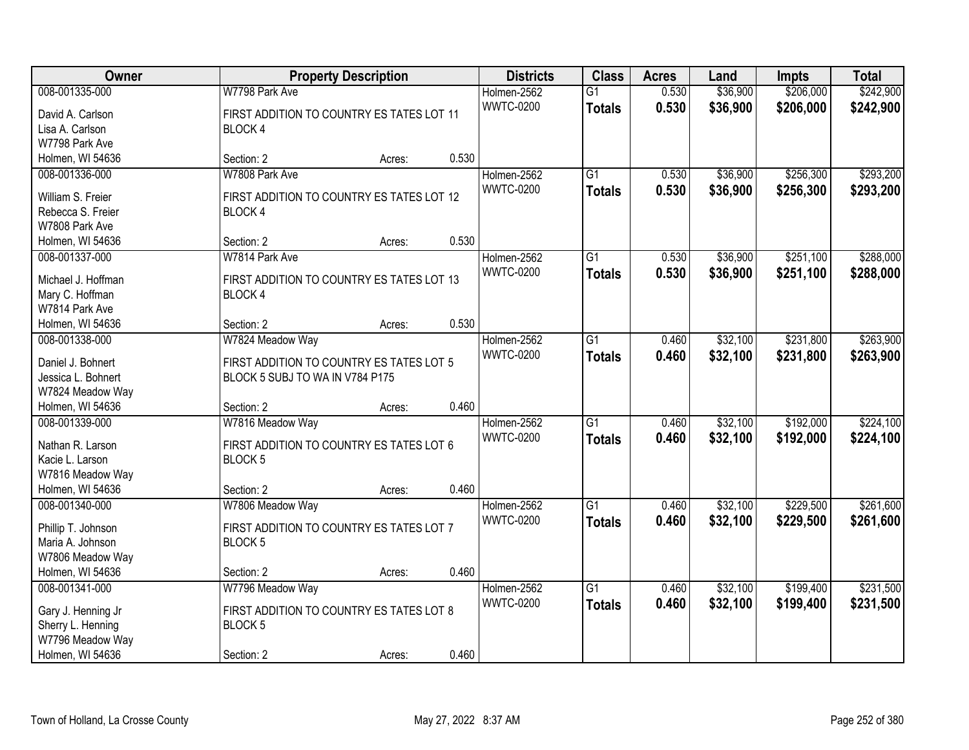| Owner              |                                           | <b>Property Description</b> |       |                  | <b>Class</b>    | <b>Acres</b> | Land     | <b>Impts</b> | <b>Total</b> |
|--------------------|-------------------------------------------|-----------------------------|-------|------------------|-----------------|--------------|----------|--------------|--------------|
| 008-001335-000     | W7798 Park Ave                            |                             |       | Holmen-2562      | $\overline{G1}$ | 0.530        | \$36,900 | \$206,000    | \$242,900    |
| David A. Carlson   | FIRST ADDITION TO COUNTRY ES TATES LOT 11 |                             |       | <b>WWTC-0200</b> | <b>Totals</b>   | 0.530        | \$36,900 | \$206,000    | \$242,900    |
| Lisa A. Carlson    | BLOCK 4                                   |                             |       |                  |                 |              |          |              |              |
| W7798 Park Ave     |                                           |                             |       |                  |                 |              |          |              |              |
| Holmen, WI 54636   | Section: 2                                | Acres:                      | 0.530 |                  |                 |              |          |              |              |
| 008-001336-000     | W7808 Park Ave                            |                             |       | Holmen-2562      | $\overline{G1}$ | 0.530        | \$36,900 | \$256,300    | \$293,200    |
|                    |                                           |                             |       | <b>WWTC-0200</b> | <b>Totals</b>   | 0.530        | \$36,900 | \$256,300    | \$293,200    |
| William S. Freier  | FIRST ADDITION TO COUNTRY ES TATES LOT 12 |                             |       |                  |                 |              |          |              |              |
| Rebecca S. Freier  | BLOCK 4                                   |                             |       |                  |                 |              |          |              |              |
| W7808 Park Ave     |                                           |                             | 0.530 |                  |                 |              |          |              |              |
| Holmen, WI 54636   | Section: 2                                | Acres:                      |       |                  |                 |              |          |              |              |
| 008-001337-000     | W7814 Park Ave                            |                             |       | Holmen-2562      | $\overline{G1}$ | 0.530        | \$36,900 | \$251,100    | \$288,000    |
| Michael J. Hoffman | FIRST ADDITION TO COUNTRY ES TATES LOT 13 |                             |       | <b>WWTC-0200</b> | <b>Totals</b>   | 0.530        | \$36,900 | \$251,100    | \$288,000    |
| Mary C. Hoffman    | BLOCK 4                                   |                             |       |                  |                 |              |          |              |              |
| W7814 Park Ave     |                                           |                             |       |                  |                 |              |          |              |              |
| Holmen, WI 54636   | Section: 2                                | Acres:                      | 0.530 |                  |                 |              |          |              |              |
| 008-001338-000     | W7824 Meadow Way                          |                             |       | Holmen-2562      | G1              | 0.460        | \$32,100 | \$231,800    | \$263,900    |
| Daniel J. Bohnert  | FIRST ADDITION TO COUNTRY ES TATES LOT 5  |                             |       | <b>WWTC-0200</b> | <b>Totals</b>   | 0.460        | \$32,100 | \$231,800    | \$263,900    |
| Jessica L. Bohnert | BLOCK 5 SUBJ TO WA IN V784 P175           |                             |       |                  |                 |              |          |              |              |
| W7824 Meadow Way   |                                           |                             |       |                  |                 |              |          |              |              |
| Holmen, WI 54636   | Section: 2                                | Acres:                      | 0.460 |                  |                 |              |          |              |              |
| 008-001339-000     | W7816 Meadow Way                          |                             |       | Holmen-2562      | $\overline{G1}$ | 0.460        | \$32,100 | \$192,000    | \$224,100    |
|                    |                                           |                             |       | <b>WWTC-0200</b> |                 | 0.460        | \$32,100 | \$192,000    | \$224,100    |
| Nathan R. Larson   | FIRST ADDITION TO COUNTRY ES TATES LOT 6  |                             |       |                  | <b>Totals</b>   |              |          |              |              |
| Kacie L. Larson    | BLOCK <sub>5</sub>                        |                             |       |                  |                 |              |          |              |              |
| W7816 Meadow Way   |                                           |                             |       |                  |                 |              |          |              |              |
| Holmen, WI 54636   | Section: 2                                | Acres:                      | 0.460 |                  |                 |              |          |              |              |
| 008-001340-000     | W7806 Meadow Way                          |                             |       | Holmen-2562      | $\overline{G1}$ | 0.460        | \$32,100 | \$229,500    | \$261,600    |
| Phillip T. Johnson | FIRST ADDITION TO COUNTRY ES TATES LOT 7  |                             |       | <b>WWTC-0200</b> | <b>Totals</b>   | 0.460        | \$32,100 | \$229,500    | \$261,600    |
| Maria A. Johnson   | <b>BLOCK 5</b>                            |                             |       |                  |                 |              |          |              |              |
| W7806 Meadow Way   |                                           |                             |       |                  |                 |              |          |              |              |
| Holmen, WI 54636   | Section: 2                                | Acres:                      | 0.460 |                  |                 |              |          |              |              |
| 008-001341-000     | W7796 Meadow Way                          |                             |       | Holmen-2562      | $\overline{G1}$ | 0.460        | \$32,100 | \$199,400    | \$231,500    |
|                    |                                           |                             |       | <b>WWTC-0200</b> | <b>Totals</b>   | 0.460        | \$32,100 | \$199,400    | \$231,500    |
| Gary J. Henning Jr | FIRST ADDITION TO COUNTRY ES TATES LOT 8  |                             |       |                  |                 |              |          |              |              |
| Sherry L. Henning  | BLOCK <sub>5</sub>                        |                             |       |                  |                 |              |          |              |              |
| W7796 Meadow Way   |                                           |                             |       |                  |                 |              |          |              |              |
| Holmen, WI 54636   | Section: 2                                | Acres:                      | 0.460 |                  |                 |              |          |              |              |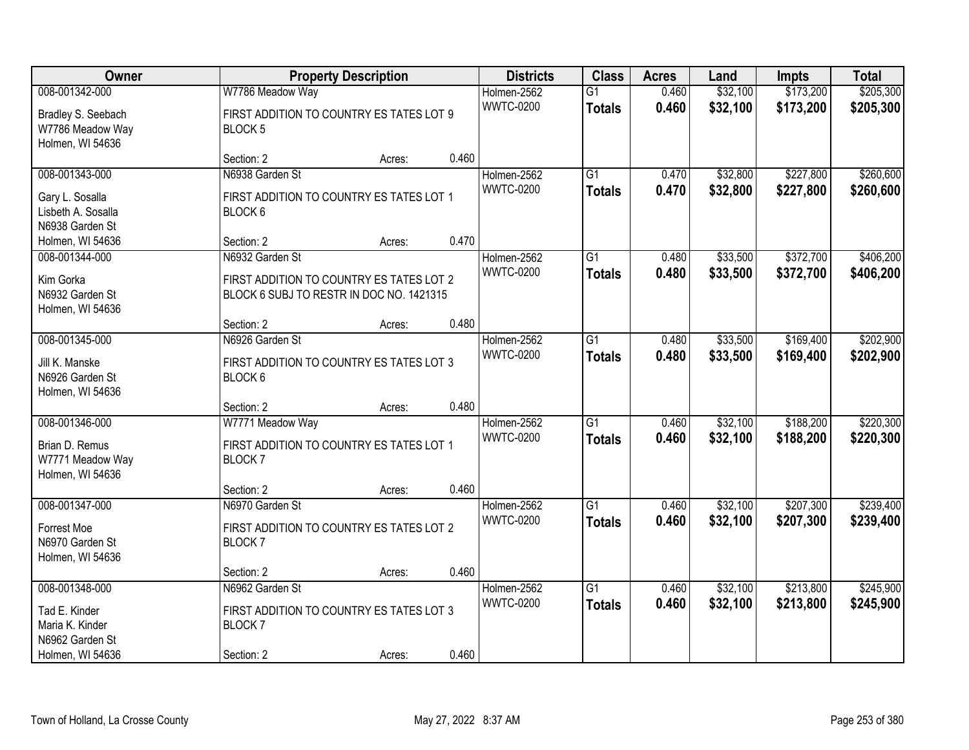| Owner                                                                                     |                                                                                                         | <b>Property Description</b> |       | <b>Districts</b>                | <b>Class</b>                     | <b>Acres</b>   | Land                 | Impts                  | <b>Total</b>           |
|-------------------------------------------------------------------------------------------|---------------------------------------------------------------------------------------------------------|-----------------------------|-------|---------------------------------|----------------------------------|----------------|----------------------|------------------------|------------------------|
| 008-001342-000<br>Bradley S. Seebach<br>W7786 Meadow Way<br>Holmen, WI 54636              | W7786 Meadow Way<br>FIRST ADDITION TO COUNTRY ES TATES LOT 9<br>BLOCK <sub>5</sub>                      |                             |       | Holmen-2562<br><b>WWTC-0200</b> | $\overline{G1}$<br><b>Totals</b> | 0.460<br>0.460 | \$32,100<br>\$32,100 | \$173,200<br>\$173,200 | \$205,300<br>\$205,300 |
|                                                                                           | Section: 2                                                                                              | Acres:                      | 0.460 |                                 |                                  |                |                      |                        |                        |
| 008-001343-000<br>Gary L. Sosalla<br>Lisbeth A. Sosalla<br>N6938 Garden St                | N6938 Garden St<br>FIRST ADDITION TO COUNTRY ES TATES LOT 1<br>BLOCK 6                                  |                             |       | Holmen-2562<br><b>WWTC-0200</b> | $\overline{G1}$<br><b>Totals</b> | 0.470<br>0.470 | \$32,800<br>\$32,800 | \$227,800<br>\$227,800 | \$260,600<br>\$260,600 |
| Holmen, WI 54636                                                                          | Section: 2                                                                                              | Acres:                      | 0.470 |                                 |                                  |                |                      |                        |                        |
| 008-001344-000<br>Kim Gorka<br>N6932 Garden St<br>Holmen, WI 54636                        | N6932 Garden St<br>FIRST ADDITION TO COUNTRY ES TATES LOT 2<br>BLOCK 6 SUBJ TO RESTR IN DOC NO. 1421315 |                             |       | Holmen-2562<br><b>WWTC-0200</b> | $\overline{G1}$<br><b>Totals</b> | 0.480<br>0.480 | \$33,500<br>\$33,500 | \$372,700<br>\$372,700 | \$406,200<br>\$406,200 |
|                                                                                           | Section: 2                                                                                              | Acres:                      | 0.480 |                                 |                                  |                |                      |                        |                        |
| 008-001345-000<br>Jill K. Manske<br>N6926 Garden St<br>Holmen, WI 54636                   | N6926 Garden St<br>FIRST ADDITION TO COUNTRY ES TATES LOT 3<br>BLOCK 6                                  |                             |       | Holmen-2562<br><b>WWTC-0200</b> | G1<br><b>Totals</b>              | 0.480<br>0.480 | \$33,500<br>\$33,500 | \$169,400<br>\$169,400 | \$202,900<br>\$202,900 |
|                                                                                           | Section: 2                                                                                              | Acres:                      | 0.480 |                                 |                                  |                |                      |                        |                        |
| 008-001346-000<br>Brian D. Remus<br>W7771 Meadow Way<br>Holmen, WI 54636                  | W7771 Meadow Way<br>FIRST ADDITION TO COUNTRY ES TATES LOT 1<br><b>BLOCK7</b>                           |                             |       | Holmen-2562<br><b>WWTC-0200</b> | $\overline{G1}$<br><b>Totals</b> | 0.460<br>0.460 | \$32,100<br>\$32,100 | \$188,200<br>\$188,200 | \$220,300<br>\$220,300 |
| 008-001347-000                                                                            | Section: 2<br>N6970 Garden St                                                                           | Acres:                      | 0.460 | Holmen-2562                     | $\overline{G1}$                  | 0.460          | \$32,100             | \$207,300              | \$239,400              |
| Forrest Moe<br>N6970 Garden St<br>Holmen, WI 54636                                        | FIRST ADDITION TO COUNTRY ES TATES LOT 2<br>BLOCK <sub>7</sub>                                          |                             |       | <b>WWTC-0200</b>                | <b>Totals</b>                    | 0.460          | \$32,100             | \$207,300              | \$239,400              |
|                                                                                           | Section: 2                                                                                              | Acres:                      | 0.460 |                                 |                                  |                |                      |                        |                        |
| 008-001348-000<br>Tad E. Kinder<br>Maria K. Kinder<br>N6962 Garden St<br>Holmen, WI 54636 | N6962 Garden St<br>FIRST ADDITION TO COUNTRY ES TATES LOT 3<br>BLOCK <sub>7</sub><br>Section: 2         | Acres:                      | 0.460 | Holmen-2562<br><b>WWTC-0200</b> | $\overline{G1}$<br><b>Totals</b> | 0.460<br>0.460 | \$32,100<br>\$32,100 | \$213,800<br>\$213,800 | \$245,900<br>\$245,900 |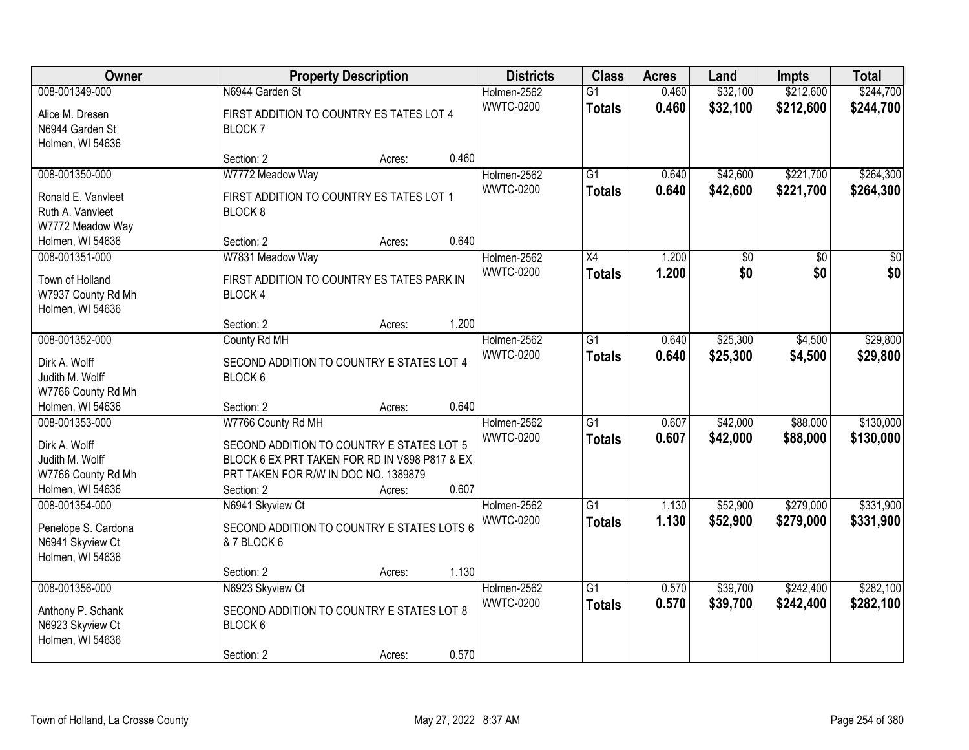| Owner                                  |                                                      | <b>Property Description</b> |       | <b>Districts</b>                | <b>Class</b>    | <b>Acres</b> | Land     | <b>Impts</b> | <b>Total</b> |
|----------------------------------------|------------------------------------------------------|-----------------------------|-------|---------------------------------|-----------------|--------------|----------|--------------|--------------|
| 008-001349-000                         | N6944 Garden St                                      |                             |       | Holmen-2562                     | $\overline{G1}$ | 0.460        | \$32,100 | \$212,600    | \$244,700    |
| Alice M. Dresen                        | FIRST ADDITION TO COUNTRY ES TATES LOT 4             |                             |       | <b>WWTC-0200</b>                | <b>Totals</b>   | 0.460        | \$32,100 | \$212,600    | \$244,700    |
| N6944 Garden St                        | <b>BLOCK7</b>                                        |                             |       |                                 |                 |              |          |              |              |
| Holmen, WI 54636                       |                                                      |                             |       |                                 |                 |              |          |              |              |
|                                        | Section: 2                                           | Acres:                      | 0.460 |                                 |                 |              |          |              |              |
| 008-001350-000                         | W7772 Meadow Way                                     |                             |       | Holmen-2562                     | $\overline{G1}$ | 0.640        | \$42,600 | \$221,700    | \$264,300    |
| Ronald E. Vanvleet                     | FIRST ADDITION TO COUNTRY ES TATES LOT 1             |                             |       | <b>WWTC-0200</b>                | <b>Totals</b>   | 0.640        | \$42,600 | \$221,700    | \$264,300    |
| Ruth A. Vanvleet                       | BLOCK <sub>8</sub>                                   |                             |       |                                 |                 |              |          |              |              |
| W7772 Meadow Way                       |                                                      |                             |       |                                 |                 |              |          |              |              |
| Holmen, WI 54636                       | Section: 2                                           | Acres:                      | 0.640 |                                 |                 |              |          |              |              |
| 008-001351-000                         | W7831 Meadow Way                                     |                             |       | Holmen-2562                     | X4              | 1.200        | \$0      | \$0          | \$0          |
| Town of Holland                        | FIRST ADDITION TO COUNTRY ES TATES PARK IN           |                             |       | <b>WWTC-0200</b>                | <b>Totals</b>   | 1.200        | \$0      | \$0          | \$0          |
| W7937 County Rd Mh                     | <b>BLOCK4</b>                                        |                             |       |                                 |                 |              |          |              |              |
| Holmen, WI 54636                       |                                                      |                             |       |                                 |                 |              |          |              |              |
|                                        | Section: 2                                           | Acres:                      | 1.200 |                                 |                 |              |          |              |              |
| 008-001352-000                         | County Rd MH                                         |                             |       | Holmen-2562                     | G1              | 0.640        | \$25,300 | \$4,500      | \$29,800     |
|                                        |                                                      |                             |       | <b>WWTC-0200</b>                | <b>Totals</b>   | 0.640        | \$25,300 | \$4,500      | \$29,800     |
| Dirk A. Wolff<br>Judith M. Wolff       | SECOND ADDITION TO COUNTRY E STATES LOT 4<br>BLOCK 6 |                             |       |                                 |                 |              |          |              |              |
| W7766 County Rd Mh                     |                                                      |                             |       |                                 |                 |              |          |              |              |
| Holmen, WI 54636                       | Section: 2                                           | Acres:                      | 0.640 |                                 |                 |              |          |              |              |
| 008-001353-000                         | W7766 County Rd MH                                   |                             |       | Holmen-2562                     | $\overline{G1}$ | 0.607        | \$42,000 | \$88,000     | \$130,000    |
|                                        |                                                      |                             |       | <b>WWTC-0200</b>                | Totals          | 0.607        | \$42,000 | \$88,000     | \$130,000    |
| Dirk A. Wolff                          | SECOND ADDITION TO COUNTRY E STATES LOT 5            |                             |       |                                 |                 |              |          |              |              |
| Judith M. Wolff                        | BLOCK 6 EX PRT TAKEN FOR RD IN V898 P817 & EX        |                             |       |                                 |                 |              |          |              |              |
| W7766 County Rd Mh<br>Holmen, WI 54636 | PRT TAKEN FOR R/W IN DOC NO. 1389879<br>Section: 2   | Acres:                      | 0.607 |                                 |                 |              |          |              |              |
| 008-001354-000                         | N6941 Skyview Ct                                     |                             |       | Holmen-2562                     | $\overline{G1}$ | 1.130        | \$52,900 | \$279,000    | \$331,900    |
|                                        |                                                      |                             |       | <b>WWTC-0200</b>                | <b>Totals</b>   | 1.130        | \$52,900 | \$279,000    | \$331,900    |
| Penelope S. Cardona                    | SECOND ADDITION TO COUNTRY E STATES LOTS 6           |                             |       |                                 |                 |              |          |              |              |
| N6941 Skyview Ct                       | & 7 BLOCK 6                                          |                             |       |                                 |                 |              |          |              |              |
| Holmen, WI 54636                       |                                                      |                             |       |                                 |                 |              |          |              |              |
|                                        | Section: 2                                           | Acres:                      | 1.130 |                                 |                 |              |          |              |              |
| 008-001356-000                         | N6923 Skyview Ct                                     |                             |       | Holmen-2562<br><b>WWTC-0200</b> | $\overline{G1}$ | 0.570        | \$39,700 | \$242,400    | \$282,100    |
| Anthony P. Schank                      | SECOND ADDITION TO COUNTRY E STATES LOT 8            |                             |       |                                 | <b>Totals</b>   | 0.570        | \$39,700 | \$242,400    | \$282,100    |
| N6923 Skyview Ct                       | BLOCK 6                                              |                             |       |                                 |                 |              |          |              |              |
| Holmen, WI 54636                       |                                                      |                             |       |                                 |                 |              |          |              |              |
|                                        | Section: 2                                           | Acres:                      | 0.570 |                                 |                 |              |          |              |              |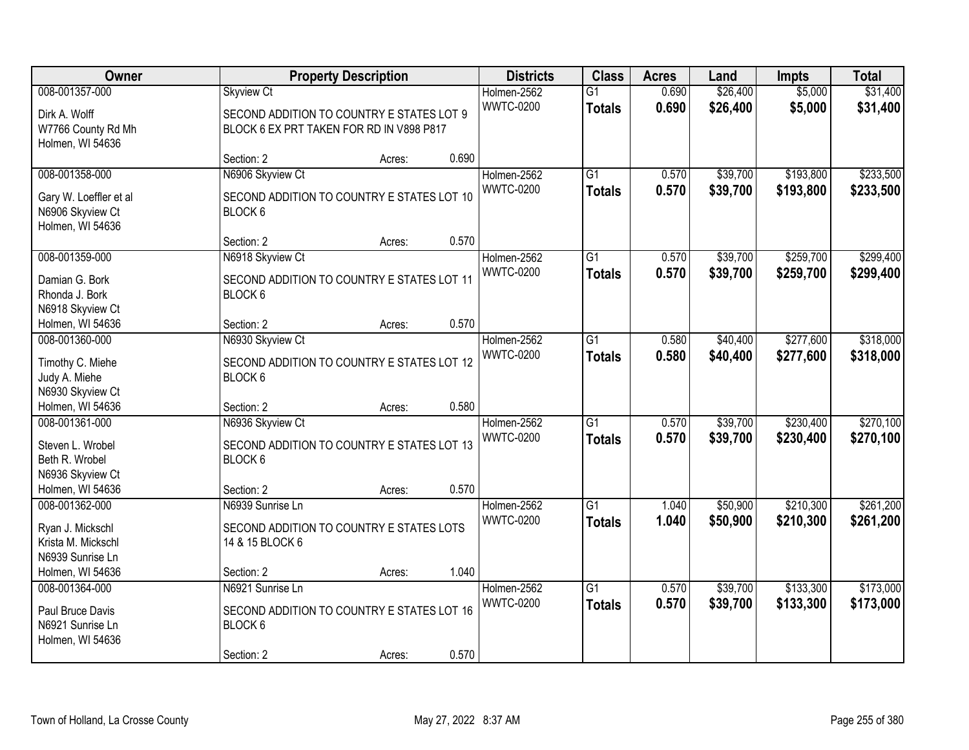| Owner                                |                                                       | <b>Property Description</b> |       | <b>Districts</b>                | <b>Class</b>    | <b>Acres</b>   | Land                 | <b>Impts</b> | <b>Total</b> |
|--------------------------------------|-------------------------------------------------------|-----------------------------|-------|---------------------------------|-----------------|----------------|----------------------|--------------|--------------|
| 008-001357-000                       | <b>Skyview Ct</b>                                     |                             |       | Holmen-2562                     | $\overline{G1}$ | 0.690          | \$26,400             | \$5,000      | \$31,400     |
| Dirk A. Wolff                        | SECOND ADDITION TO COUNTRY E STATES LOT 9             |                             |       | <b>WWTC-0200</b>                | <b>Totals</b>   | 0.690          | \$26,400             | \$5,000      | \$31,400     |
| W7766 County Rd Mh                   | BLOCK 6 EX PRT TAKEN FOR RD IN V898 P817              |                             |       |                                 |                 |                |                      |              |              |
| Holmen, WI 54636                     |                                                       |                             |       |                                 |                 |                |                      |              |              |
|                                      | Section: 2                                            | Acres:                      | 0.690 |                                 |                 |                |                      |              |              |
| 008-001358-000                       | N6906 Skyview Ct                                      |                             |       | Holmen-2562                     | $\overline{G1}$ | 0.570          | \$39,700             | \$193,800    | \$233,500    |
| Gary W. Loeffler et al               | SECOND ADDITION TO COUNTRY E STATES LOT 10            |                             |       | <b>WWTC-0200</b>                | <b>Totals</b>   | 0.570          | \$39,700             | \$193,800    | \$233,500    |
| N6906 Skyview Ct                     | BLOCK 6                                               |                             |       |                                 |                 |                |                      |              |              |
| Holmen, WI 54636                     |                                                       |                             |       |                                 |                 |                |                      |              |              |
|                                      | Section: 2                                            | Acres:                      | 0.570 |                                 |                 |                |                      |              |              |
| 008-001359-000                       | N6918 Skyview Ct                                      |                             |       | Holmen-2562                     | G1              | 0.570          | \$39,700             | \$259,700    | \$299,400    |
| Damian G. Bork                       | SECOND ADDITION TO COUNTRY E STATES LOT 11            |                             |       | <b>WWTC-0200</b>                | <b>Totals</b>   | 0.570          | \$39,700             | \$259,700    | \$299,400    |
| Rhonda J. Bork                       | BLOCK 6                                               |                             |       |                                 |                 |                |                      |              |              |
| N6918 Skyview Ct                     |                                                       |                             |       |                                 |                 |                |                      |              |              |
| Holmen, WI 54636                     | Section: 2                                            | Acres:                      | 0.570 |                                 |                 |                |                      |              |              |
| 008-001360-000                       | N6930 Skyview Ct                                      |                             |       | Holmen-2562                     | G1              | 0.580          | \$40,400             | \$277,600    | \$318,000    |
|                                      |                                                       |                             |       | <b>WWTC-0200</b>                | <b>Totals</b>   | 0.580          | \$40,400             | \$277,600    | \$318,000    |
| Timothy C. Miehe<br>Judy A. Miehe    | SECOND ADDITION TO COUNTRY E STATES LOT 12<br>BLOCK 6 |                             |       |                                 |                 |                |                      |              |              |
| N6930 Skyview Ct                     |                                                       |                             |       |                                 |                 |                |                      |              |              |
| Holmen, WI 54636                     | Section: 2                                            | Acres:                      | 0.580 |                                 |                 |                |                      |              |              |
| 008-001361-000                       | N6936 Skyview Ct                                      |                             |       | Holmen-2562                     | $\overline{G1}$ | 0.570          | \$39,700             | \$230,400    | \$270,100    |
|                                      |                                                       |                             |       | <b>WWTC-0200</b>                | Totals          | 0.570          | \$39,700             | \$230,400    | \$270,100    |
| Steven L. Wrobel                     | SECOND ADDITION TO COUNTRY E STATES LOT 13            |                             |       |                                 |                 |                |                      |              |              |
| Beth R. Wrobel                       | BLOCK 6                                               |                             |       |                                 |                 |                |                      |              |              |
| N6936 Skyview Ct<br>Holmen, WI 54636 | Section: 2                                            | Acres:                      | 0.570 |                                 |                 |                |                      |              |              |
| 008-001362-000                       | N6939 Sunrise Ln                                      |                             |       | Holmen-2562                     | $\overline{G1}$ | 1.040          | \$50,900             | \$210,300    | \$261,200    |
|                                      |                                                       |                             |       | <b>WWTC-0200</b>                | <b>Totals</b>   | 1.040          | \$50,900             | \$210,300    | \$261,200    |
| Ryan J. Mickschl                     | SECOND ADDITION TO COUNTRY E STATES LOTS              |                             |       |                                 |                 |                |                      |              |              |
| Krista M. Mickschl                   | 14 & 15 BLOCK 6                                       |                             |       |                                 |                 |                |                      |              |              |
| N6939 Sunrise Ln                     |                                                       |                             |       |                                 |                 |                |                      |              |              |
| Holmen, WI 54636                     | Section: 2                                            | Acres:                      | 1.040 |                                 |                 |                |                      |              |              |
| 008-001364-000                       | N6921 Sunrise Ln                                      |                             |       | Holmen-2562<br><b>WWTC-0200</b> | $\overline{G1}$ | 0.570<br>0.570 | \$39,700<br>\$39,700 | \$133,300    | \$173,000    |
| Paul Bruce Davis                     | SECOND ADDITION TO COUNTRY E STATES LOT 16            |                             |       |                                 | <b>Totals</b>   |                |                      | \$133,300    | \$173,000    |
| N6921 Sunrise Ln                     | BLOCK 6                                               |                             |       |                                 |                 |                |                      |              |              |
| Holmen, WI 54636                     |                                                       |                             |       |                                 |                 |                |                      |              |              |
|                                      | Section: 2                                            | Acres:                      | 0.570 |                                 |                 |                |                      |              |              |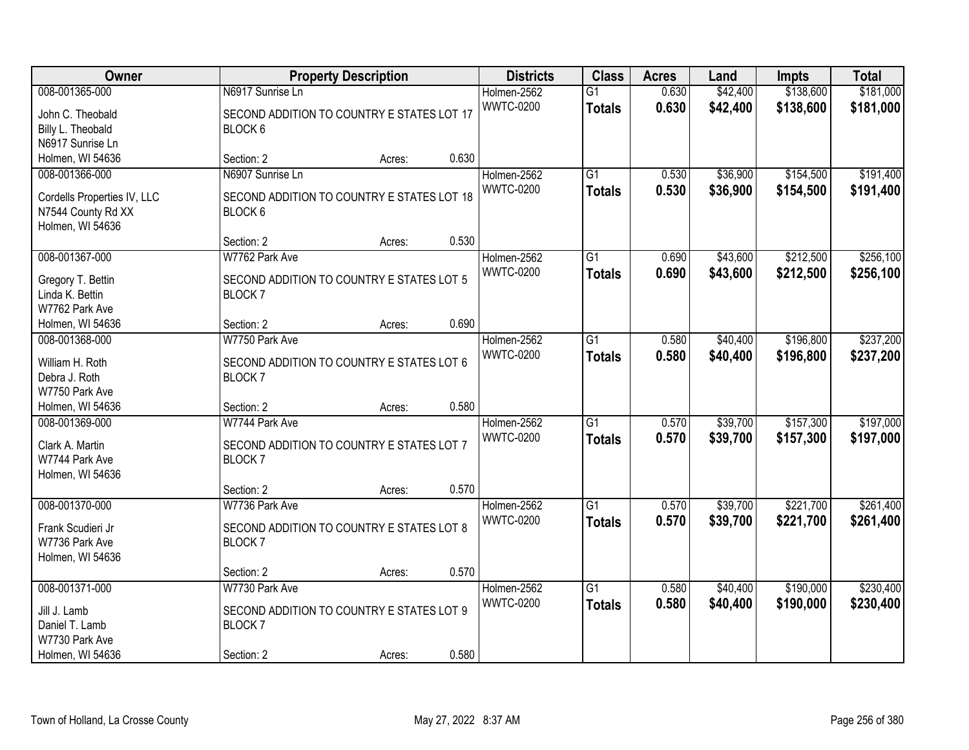| Owner                            |                                            | <b>Property Description</b> |       | <b>Districts</b> | <b>Class</b>    | <b>Acres</b> | Land     | Impts     | <b>Total</b> |
|----------------------------------|--------------------------------------------|-----------------------------|-------|------------------|-----------------|--------------|----------|-----------|--------------|
| 008-001365-000                   | N6917 Sunrise Ln                           |                             |       | Holmen-2562      | $\overline{G1}$ | 0.630        | \$42,400 | \$138,600 | \$181,000    |
| John C. Theobald                 | SECOND ADDITION TO COUNTRY E STATES LOT 17 |                             |       | <b>WWTC-0200</b> | <b>Totals</b>   | 0.630        | \$42,400 | \$138,600 | \$181,000    |
| Billy L. Theobald                | BLOCK 6                                    |                             |       |                  |                 |              |          |           |              |
| N6917 Sunrise Ln                 |                                            |                             |       |                  |                 |              |          |           |              |
| Holmen, WI 54636                 | Section: 2                                 | Acres:                      | 0.630 |                  |                 |              |          |           |              |
| 008-001366-000                   | N6907 Sunrise Ln                           |                             |       | Holmen-2562      | $\overline{G1}$ | 0.530        | \$36,900 | \$154,500 | \$191,400    |
|                                  |                                            |                             |       | <b>WWTC-0200</b> | <b>Totals</b>   | 0.530        | \$36,900 | \$154,500 | \$191,400    |
| Cordells Properties IV, LLC      | SECOND ADDITION TO COUNTRY E STATES LOT 18 |                             |       |                  |                 |              |          |           |              |
| N7544 County Rd XX               | BLOCK 6                                    |                             |       |                  |                 |              |          |           |              |
| Holmen, WI 54636                 |                                            |                             | 0.530 |                  |                 |              |          |           |              |
|                                  | Section: 2                                 | Acres:                      |       |                  |                 |              |          |           |              |
| 008-001367-000                   | W7762 Park Ave                             |                             |       | Holmen-2562      | $\overline{G1}$ | 0.690        | \$43,600 | \$212,500 | \$256,100    |
| Gregory T. Bettin                | SECOND ADDITION TO COUNTRY E STATES LOT 5  |                             |       | <b>WWTC-0200</b> | <b>Totals</b>   | 0.690        | \$43,600 | \$212,500 | \$256,100    |
| Linda K. Bettin                  | <b>BLOCK7</b>                              |                             |       |                  |                 |              |          |           |              |
| W7762 Park Ave                   |                                            |                             |       |                  |                 |              |          |           |              |
| Holmen, WI 54636                 | Section: 2                                 | Acres:                      | 0.690 |                  |                 |              |          |           |              |
| 008-001368-000                   | W7750 Park Ave                             |                             |       | Holmen-2562      | $\overline{G1}$ | 0.580        | \$40,400 | \$196,800 | \$237,200    |
|                                  |                                            |                             |       | <b>WWTC-0200</b> | <b>Totals</b>   | 0.580        | \$40,400 | \$196,800 | \$237,200    |
| William H. Roth<br>Debra J. Roth | SECOND ADDITION TO COUNTRY E STATES LOT 6  |                             |       |                  |                 |              |          |           |              |
| W7750 Park Ave                   | BLOCK <sub>7</sub>                         |                             |       |                  |                 |              |          |           |              |
| Holmen, WI 54636                 | Section: 2                                 | Acres:                      | 0.580 |                  |                 |              |          |           |              |
| 008-001369-000                   | W7744 Park Ave                             |                             |       | Holmen-2562      | $\overline{G1}$ | 0.570        | \$39,700 | \$157,300 | \$197,000    |
|                                  |                                            |                             |       | <b>WWTC-0200</b> |                 | 0.570        |          |           |              |
| Clark A. Martin                  | SECOND ADDITION TO COUNTRY E STATES LOT 7  |                             |       |                  | <b>Totals</b>   |              | \$39,700 | \$157,300 | \$197,000    |
| W7744 Park Ave                   | <b>BLOCK7</b>                              |                             |       |                  |                 |              |          |           |              |
| Holmen, WI 54636                 |                                            |                             |       |                  |                 |              |          |           |              |
|                                  | Section: 2                                 | Acres:                      | 0.570 |                  |                 |              |          |           |              |
| 008-001370-000                   | W7736 Park Ave                             |                             |       | Holmen-2562      | $\overline{G1}$ | 0.570        | \$39,700 | \$221,700 | \$261,400    |
| Frank Scudieri Jr                | SECOND ADDITION TO COUNTRY E STATES LOT 8  |                             |       | <b>WWTC-0200</b> | <b>Totals</b>   | 0.570        | \$39,700 | \$221,700 | \$261,400    |
| W7736 Park Ave                   | <b>BLOCK7</b>                              |                             |       |                  |                 |              |          |           |              |
| Holmen, WI 54636                 |                                            |                             |       |                  |                 |              |          |           |              |
|                                  | Section: 2                                 | Acres:                      | 0.570 |                  |                 |              |          |           |              |
| 008-001371-000                   | W7730 Park Ave                             |                             |       | Holmen-2562      | $\overline{G1}$ | 0.580        | \$40,400 | \$190,000 | \$230,400    |
|                                  |                                            |                             |       | <b>WWTC-0200</b> | <b>Totals</b>   | 0.580        | \$40,400 | \$190,000 | \$230,400    |
| Jill J. Lamb                     | SECOND ADDITION TO COUNTRY E STATES LOT 9  |                             |       |                  |                 |              |          |           |              |
| Daniel T. Lamb                   | BLOCK <sub>7</sub>                         |                             |       |                  |                 |              |          |           |              |
| W7730 Park Ave                   |                                            |                             |       |                  |                 |              |          |           |              |
| Holmen, WI 54636                 | Section: 2                                 | Acres:                      | 0.580 |                  |                 |              |          |           |              |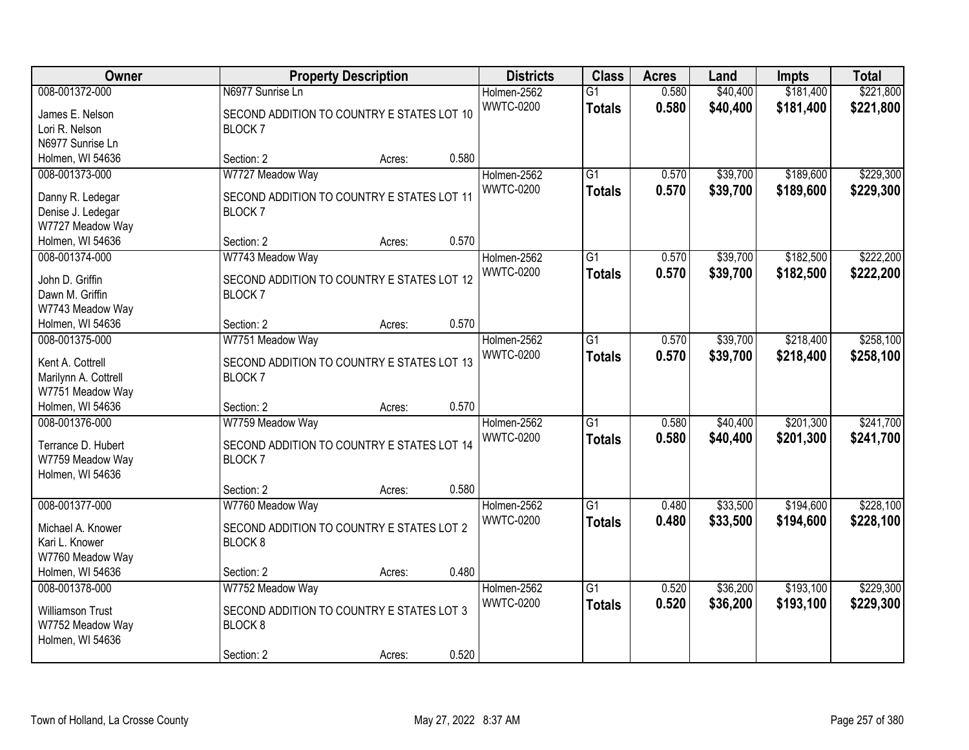| Owner                                 |                                            | <b>Property Description</b> |       | <b>Districts</b> | <b>Class</b>    | <b>Acres</b> | Land     | <b>Impts</b> | <b>Total</b> |
|---------------------------------------|--------------------------------------------|-----------------------------|-------|------------------|-----------------|--------------|----------|--------------|--------------|
| 008-001372-000                        | N6977 Sunrise Ln                           |                             |       | Holmen-2562      | $\overline{G1}$ | 0.580        | \$40,400 | \$181,400    | \$221,800    |
| James E. Nelson                       | SECOND ADDITION TO COUNTRY E STATES LOT 10 |                             |       | <b>WWTC-0200</b> | <b>Totals</b>   | 0.580        | \$40,400 | \$181,400    | \$221,800    |
| Lori R. Nelson                        | <b>BLOCK7</b>                              |                             |       |                  |                 |              |          |              |              |
| N6977 Sunrise Ln                      |                                            |                             |       |                  |                 |              |          |              |              |
| Holmen, WI 54636                      | Section: 2                                 | Acres:                      | 0.580 |                  |                 |              |          |              |              |
| 008-001373-000                        | W7727 Meadow Way                           |                             |       | Holmen-2562      | $\overline{G1}$ | 0.570        | \$39,700 | \$189,600    | \$229,300    |
|                                       | SECOND ADDITION TO COUNTRY E STATES LOT 11 |                             |       | <b>WWTC-0200</b> | <b>Totals</b>   | 0.570        | \$39,700 | \$189,600    | \$229,300    |
| Danny R. Ledegar<br>Denise J. Ledegar | <b>BLOCK7</b>                              |                             |       |                  |                 |              |          |              |              |
| W7727 Meadow Way                      |                                            |                             |       |                  |                 |              |          |              |              |
| Holmen, WI 54636                      | Section: 2                                 | Acres:                      | 0.570 |                  |                 |              |          |              |              |
| 008-001374-000                        | W7743 Meadow Way                           |                             |       | Holmen-2562      | G1              | 0.570        | \$39,700 | \$182,500    | \$222,200    |
|                                       |                                            |                             |       | <b>WWTC-0200</b> | <b>Totals</b>   | 0.570        | \$39,700 | \$182,500    | \$222,200    |
| John D. Griffin                       | SECOND ADDITION TO COUNTRY E STATES LOT 12 |                             |       |                  |                 |              |          |              |              |
| Dawn M. Griffin                       | <b>BLOCK7</b>                              |                             |       |                  |                 |              |          |              |              |
| W7743 Meadow Way                      |                                            |                             |       |                  |                 |              |          |              |              |
| Holmen, WI 54636                      | Section: 2                                 | Acres:                      | 0.570 |                  |                 |              |          |              |              |
| 008-001375-000                        | W7751 Meadow Way                           |                             |       | Holmen-2562      | G1              | 0.570        | \$39,700 | \$218,400    | \$258,100    |
| Kent A. Cottrell                      | SECOND ADDITION TO COUNTRY E STATES LOT 13 |                             |       | <b>WWTC-0200</b> | <b>Totals</b>   | 0.570        | \$39,700 | \$218,400    | \$258,100    |
| Marilynn A. Cottrell                  | <b>BLOCK7</b>                              |                             |       |                  |                 |              |          |              |              |
| W7751 Meadow Way                      |                                            |                             |       |                  |                 |              |          |              |              |
| Holmen, WI 54636                      | Section: 2                                 | Acres:                      | 0.570 |                  |                 |              |          |              |              |
| 008-001376-000                        | W7759 Meadow Way                           |                             |       | Holmen-2562      | $\overline{G1}$ | 0.580        | \$40,400 | \$201,300    | \$241,700    |
| Terrance D. Hubert                    | SECOND ADDITION TO COUNTRY E STATES LOT 14 |                             |       | <b>WWTC-0200</b> | <b>Totals</b>   | 0.580        | \$40,400 | \$201,300    | \$241,700    |
| W7759 Meadow Way                      | <b>BLOCK7</b>                              |                             |       |                  |                 |              |          |              |              |
| Holmen, WI 54636                      |                                            |                             |       |                  |                 |              |          |              |              |
|                                       | Section: 2                                 | Acres:                      | 0.580 |                  |                 |              |          |              |              |
| 008-001377-000                        | W7760 Meadow Way                           |                             |       | Holmen-2562      | $\overline{G1}$ | 0.480        | \$33,500 | \$194,600    | \$228,100    |
|                                       |                                            |                             |       | <b>WWTC-0200</b> | <b>Totals</b>   | 0.480        | \$33,500 | \$194,600    | \$228,100    |
| Michael A. Knower                     | SECOND ADDITION TO COUNTRY E STATES LOT 2  |                             |       |                  |                 |              |          |              |              |
| Kari L. Knower                        | BLOCK <sub>8</sub>                         |                             |       |                  |                 |              |          |              |              |
| W7760 Meadow Way                      |                                            |                             |       |                  |                 |              |          |              |              |
| Holmen, WI 54636                      | Section: 2                                 | Acres:                      | 0.480 |                  |                 |              |          |              |              |
| 008-001378-000                        | W7752 Meadow Way                           |                             |       | Holmen-2562      | $\overline{G1}$ | 0.520        | \$36,200 | \$193,100    | \$229,300    |
| <b>Williamson Trust</b>               | SECOND ADDITION TO COUNTRY E STATES LOT 3  |                             |       | <b>WWTC-0200</b> | <b>Totals</b>   | 0.520        | \$36,200 | \$193,100    | \$229,300    |
| W7752 Meadow Way                      | BLOCK <sub>8</sub>                         |                             |       |                  |                 |              |          |              |              |
| Holmen, WI 54636                      |                                            |                             |       |                  |                 |              |          |              |              |
|                                       | Section: 2                                 | Acres:                      | 0.520 |                  |                 |              |          |              |              |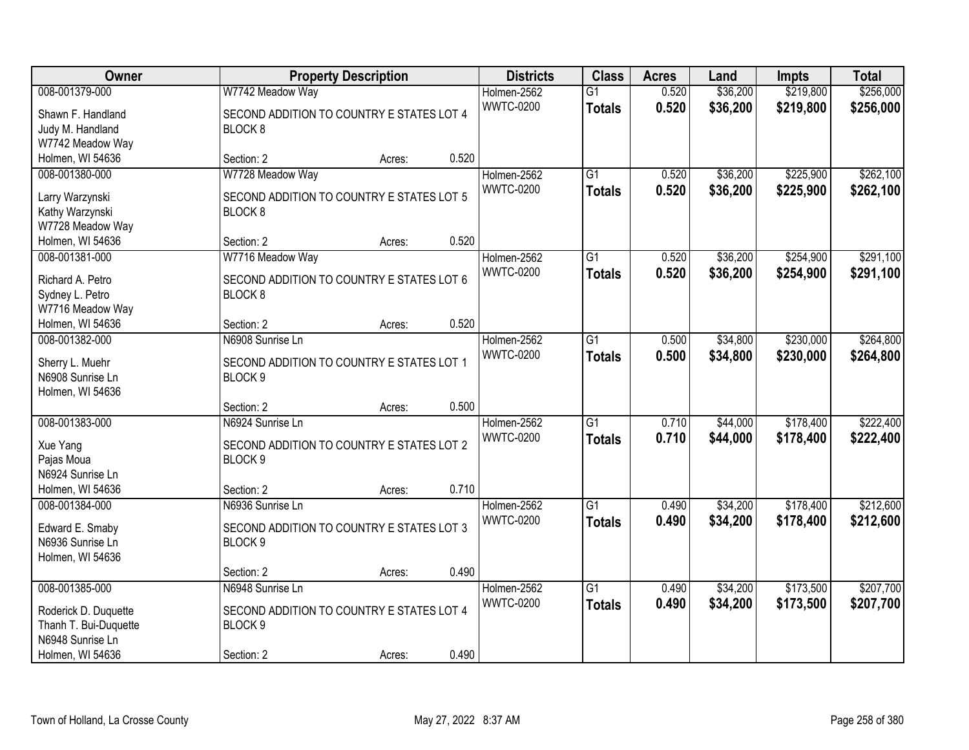| Owner                 |                                           | <b>Property Description</b> |       | <b>Districts</b> | <b>Class</b>    | <b>Acres</b> | Land     | <b>Impts</b> | <b>Total</b> |
|-----------------------|-------------------------------------------|-----------------------------|-------|------------------|-----------------|--------------|----------|--------------|--------------|
| 008-001379-000        | W7742 Meadow Way                          |                             |       | Holmen-2562      | $\overline{G1}$ | 0.520        | \$36,200 | \$219,800    | \$256,000    |
| Shawn F. Handland     | SECOND ADDITION TO COUNTRY E STATES LOT 4 |                             |       | <b>WWTC-0200</b> | <b>Totals</b>   | 0.520        | \$36,200 | \$219,800    | \$256,000    |
| Judy M. Handland      | BLOCK <sub>8</sub>                        |                             |       |                  |                 |              |          |              |              |
| W7742 Meadow Way      |                                           |                             |       |                  |                 |              |          |              |              |
| Holmen, WI 54636      | Section: 2                                | Acres:                      | 0.520 |                  |                 |              |          |              |              |
| 008-001380-000        | W7728 Meadow Way                          |                             |       | Holmen-2562      | $\overline{G1}$ | 0.520        | \$36,200 | \$225,900    | \$262,100    |
|                       |                                           |                             |       | <b>WWTC-0200</b> | <b>Totals</b>   | 0.520        | \$36,200 | \$225,900    | \$262,100    |
| Larry Warzynski       | SECOND ADDITION TO COUNTRY E STATES LOT 5 |                             |       |                  |                 |              |          |              |              |
| Kathy Warzynski       | BLOCK <sub>8</sub>                        |                             |       |                  |                 |              |          |              |              |
| W7728 Meadow Way      |                                           |                             |       |                  |                 |              |          |              |              |
| Holmen, WI 54636      | Section: 2                                | Acres:                      | 0.520 |                  |                 |              |          |              |              |
| 008-001381-000        | W7716 Meadow Way                          |                             |       | Holmen-2562      | $\overline{G1}$ | 0.520        | \$36,200 | \$254,900    | \$291,100    |
| Richard A. Petro      | SECOND ADDITION TO COUNTRY E STATES LOT 6 |                             |       | <b>WWTC-0200</b> | <b>Totals</b>   | 0.520        | \$36,200 | \$254,900    | \$291,100    |
| Sydney L. Petro       | BLOCK <sub>8</sub>                        |                             |       |                  |                 |              |          |              |              |
| W7716 Meadow Way      |                                           |                             |       |                  |                 |              |          |              |              |
| Holmen, WI 54636      | Section: 2                                | Acres:                      | 0.520 |                  |                 |              |          |              |              |
| 008-001382-000        | N6908 Sunrise Ln                          |                             |       | Holmen-2562      | $\overline{G1}$ | 0.500        | \$34,800 | \$230,000    | \$264,800    |
|                       |                                           |                             |       | <b>WWTC-0200</b> | <b>Totals</b>   | 0.500        | \$34,800 | \$230,000    | \$264,800    |
| Sherry L. Muehr       | SECOND ADDITION TO COUNTRY E STATES LOT 1 |                             |       |                  |                 |              |          |              |              |
| N6908 Sunrise Ln      | BLOCK <sub>9</sub>                        |                             |       |                  |                 |              |          |              |              |
| Holmen, WI 54636      |                                           |                             |       |                  |                 |              |          |              |              |
|                       | Section: 2                                | Acres:                      | 0.500 |                  |                 |              |          |              |              |
| 008-001383-000        | N6924 Sunrise Ln                          |                             |       | Holmen-2562      | $\overline{G1}$ | 0.710        | \$44,000 | \$178,400    | \$222,400    |
| Xue Yang              | SECOND ADDITION TO COUNTRY E STATES LOT 2 |                             |       | <b>WWTC-0200</b> | <b>Totals</b>   | 0.710        | \$44,000 | \$178,400    | \$222,400    |
| Pajas Moua            | BLOCK <sub>9</sub>                        |                             |       |                  |                 |              |          |              |              |
| N6924 Sunrise Ln      |                                           |                             |       |                  |                 |              |          |              |              |
| Holmen, WI 54636      | Section: 2                                | Acres:                      | 0.710 |                  |                 |              |          |              |              |
| 008-001384-000        | N6936 Sunrise Ln                          |                             |       | Holmen-2562      | $\overline{G1}$ | 0.490        | \$34,200 | \$178,400    | \$212,600    |
|                       |                                           |                             |       | <b>WWTC-0200</b> | <b>Totals</b>   | 0.490        | \$34,200 | \$178,400    | \$212,600    |
| Edward E. Smaby       | SECOND ADDITION TO COUNTRY E STATES LOT 3 |                             |       |                  |                 |              |          |              |              |
| N6936 Sunrise Ln      | BLOCK <sub>9</sub>                        |                             |       |                  |                 |              |          |              |              |
| Holmen, WI 54636      |                                           |                             |       |                  |                 |              |          |              |              |
|                       | Section: 2                                | Acres:                      | 0.490 |                  |                 |              |          |              |              |
| 008-001385-000        | N6948 Sunrise Ln                          |                             |       | Holmen-2562      | $\overline{G1}$ | 0.490        | \$34,200 | \$173,500    | \$207,700    |
| Roderick D. Duquette  | SECOND ADDITION TO COUNTRY E STATES LOT 4 |                             |       | <b>WWTC-0200</b> | <b>Totals</b>   | 0.490        | \$34,200 | \$173,500    | \$207,700    |
| Thanh T. Bui-Duquette | BLOCK <sub>9</sub>                        |                             |       |                  |                 |              |          |              |              |
| N6948 Sunrise Ln      |                                           |                             |       |                  |                 |              |          |              |              |
| Holmen, WI 54636      | Section: 2                                | Acres:                      | 0.490 |                  |                 |              |          |              |              |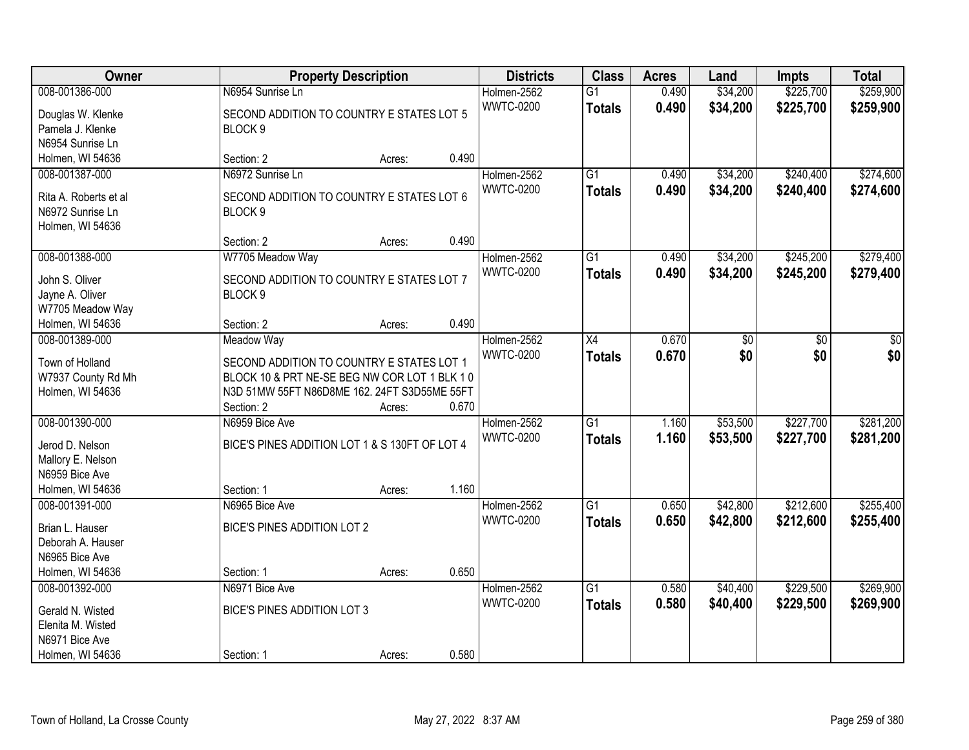| Owner                                |                                                | <b>Property Description</b> |       | <b>Districts</b> | <b>Class</b>    | <b>Acres</b> | Land     | Impts     | <b>Total</b> |
|--------------------------------------|------------------------------------------------|-----------------------------|-------|------------------|-----------------|--------------|----------|-----------|--------------|
| 008-001386-000                       | N6954 Sunrise Ln                               |                             |       | Holmen-2562      | $\overline{G1}$ | 0.490        | \$34,200 | \$225,700 | \$259,900    |
| Douglas W. Klenke                    | SECOND ADDITION TO COUNTRY E STATES LOT 5      |                             |       | <b>WWTC-0200</b> | <b>Totals</b>   | 0.490        | \$34,200 | \$225,700 | \$259,900    |
| Pamela J. Klenke                     | BLOCK 9                                        |                             |       |                  |                 |              |          |           |              |
| N6954 Sunrise Ln                     |                                                |                             |       |                  |                 |              |          |           |              |
| Holmen, WI 54636                     | Section: 2                                     | Acres:                      | 0.490 |                  |                 |              |          |           |              |
| 008-001387-000                       | N6972 Sunrise Ln                               |                             |       | Holmen-2562      | $\overline{G1}$ | 0.490        | \$34,200 | \$240,400 | \$274,600    |
| Rita A. Roberts et al                | SECOND ADDITION TO COUNTRY E STATES LOT 6      |                             |       | <b>WWTC-0200</b> | <b>Totals</b>   | 0.490        | \$34,200 | \$240,400 | \$274,600    |
| N6972 Sunrise Ln                     | BLOCK <sub>9</sub>                             |                             |       |                  |                 |              |          |           |              |
| Holmen, WI 54636                     |                                                |                             |       |                  |                 |              |          |           |              |
|                                      | Section: 2                                     | Acres:                      | 0.490 |                  |                 |              |          |           |              |
| 008-001388-000                       | W7705 Meadow Way                               |                             |       | Holmen-2562      | $\overline{G1}$ | 0.490        | \$34,200 | \$245,200 | \$279,400    |
|                                      |                                                |                             |       | <b>WWTC-0200</b> | <b>Totals</b>   | 0.490        | \$34,200 | \$245,200 | \$279,400    |
| John S. Oliver                       | SECOND ADDITION TO COUNTRY E STATES LOT 7      |                             |       |                  |                 |              |          |           |              |
| Jayne A. Oliver                      | BLOCK 9                                        |                             |       |                  |                 |              |          |           |              |
| W7705 Meadow Way<br>Holmen, WI 54636 | Section: 2                                     |                             | 0.490 |                  |                 |              |          |           |              |
| 008-001389-000                       | <b>Meadow Way</b>                              | Acres:                      |       | Holmen-2562      | X4              | 0.670        |          |           |              |
|                                      |                                                |                             |       | <b>WWTC-0200</b> |                 |              | \$0      | \$0       | \$0<br>\$0   |
| Town of Holland                      | SECOND ADDITION TO COUNTRY E STATES LOT 1      |                             |       |                  | <b>Totals</b>   | 0.670        | \$0      | \$0       |              |
| W7937 County Rd Mh                   | BLOCK 10 & PRT NE-SE BEG NW COR LOT 1 BLK 10   |                             |       |                  |                 |              |          |           |              |
| Holmen, WI 54636                     | N3D 51MW 55FT N86D8ME 162. 24FT S3D55ME 55FT   |                             |       |                  |                 |              |          |           |              |
|                                      | Section: 2                                     | Acres:                      | 0.670 |                  |                 |              |          |           |              |
| 008-001390-000                       | N6959 Bice Ave                                 |                             |       | Holmen-2562      | $\overline{G1}$ | 1.160        | \$53,500 | \$227,700 | \$281,200    |
| Jerod D. Nelson                      | BICE'S PINES ADDITION LOT 1 & S 130FT OF LOT 4 |                             |       | <b>WWTC-0200</b> | <b>Totals</b>   | 1.160        | \$53,500 | \$227,700 | \$281,200    |
| Mallory E. Nelson                    |                                                |                             |       |                  |                 |              |          |           |              |
| N6959 Bice Ave                       |                                                |                             |       |                  |                 |              |          |           |              |
| Holmen, WI 54636                     | Section: 1                                     | Acres:                      | 1.160 |                  |                 |              |          |           |              |
| 008-001391-000                       | N6965 Bice Ave                                 |                             |       | Holmen-2562      | $\overline{G1}$ | 0.650        | \$42,800 | \$212,600 | \$255,400    |
|                                      |                                                |                             |       | <b>WWTC-0200</b> | <b>Totals</b>   | 0.650        | \$42,800 | \$212,600 | \$255,400    |
| Brian L. Hauser<br>Deborah A. Hauser | BICE'S PINES ADDITION LOT 2                    |                             |       |                  |                 |              |          |           |              |
| N6965 Bice Ave                       |                                                |                             |       |                  |                 |              |          |           |              |
| Holmen, WI 54636                     | Section: 1                                     | Acres:                      | 0.650 |                  |                 |              |          |           |              |
| 008-001392-000                       | N6971 Bice Ave                                 |                             |       | Holmen-2562      | $\overline{G1}$ | 0.580        | \$40,400 | \$229,500 | \$269,900    |
|                                      |                                                |                             |       | <b>WWTC-0200</b> |                 | 0.580        | \$40,400 | \$229,500 |              |
| Gerald N. Wisted                     | BICE'S PINES ADDITION LOT 3                    |                             |       |                  | <b>Totals</b>   |              |          |           | \$269,900    |
| Elenita M. Wisted                    |                                                |                             |       |                  |                 |              |          |           |              |
| N6971 Bice Ave                       |                                                |                             |       |                  |                 |              |          |           |              |
| Holmen, WI 54636                     | Section: 1                                     | Acres:                      | 0.580 |                  |                 |              |          |           |              |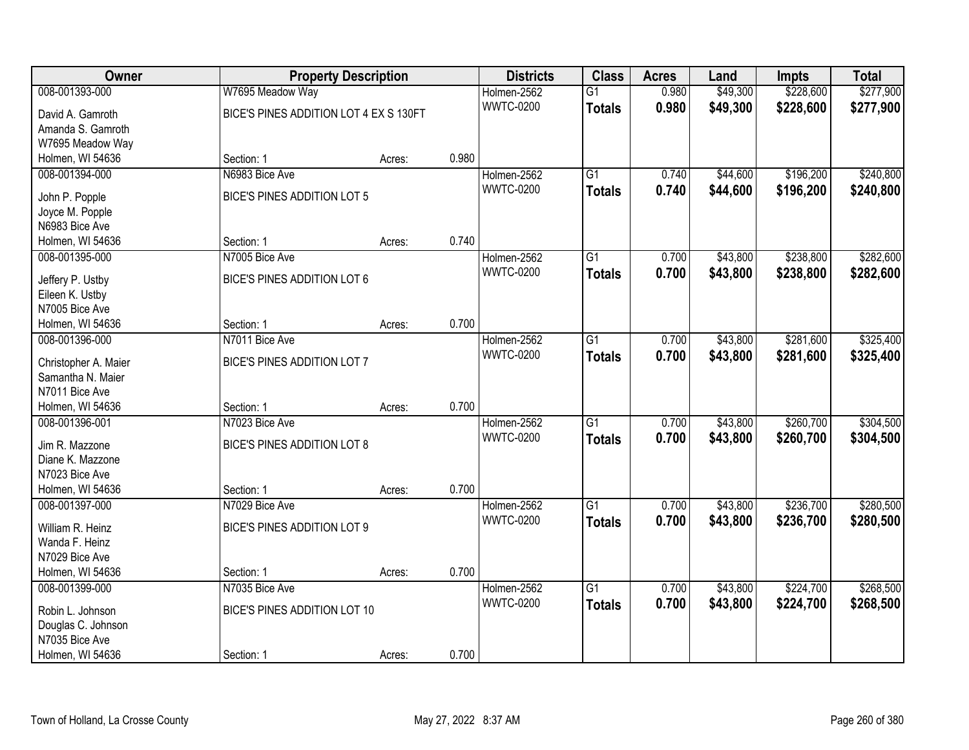| Owner                             |                                        | <b>Property Description</b> |       | <b>Districts</b> | <b>Class</b>    | <b>Acres</b> | Land     | <b>Impts</b> | <b>Total</b> |
|-----------------------------------|----------------------------------------|-----------------------------|-------|------------------|-----------------|--------------|----------|--------------|--------------|
| 008-001393-000                    | W7695 Meadow Way                       |                             |       | Holmen-2562      | $\overline{G1}$ | 0.980        | \$49,300 | \$228,600    | \$277,900    |
| David A. Gamroth                  | BICE'S PINES ADDITION LOT 4 EX S 130FT |                             |       | <b>WWTC-0200</b> | <b>Totals</b>   | 0.980        | \$49,300 | \$228,600    | \$277,900    |
| Amanda S. Gamroth                 |                                        |                             |       |                  |                 |              |          |              |              |
| W7695 Meadow Way                  |                                        |                             |       |                  |                 |              |          |              |              |
| Holmen, WI 54636                  | Section: 1                             | Acres:                      | 0.980 |                  |                 |              |          |              |              |
| 008-001394-000                    | N6983 Bice Ave                         |                             |       | Holmen-2562      | $\overline{G1}$ | 0.740        | \$44,600 | \$196,200    | \$240,800    |
| John P. Popple                    | BICE'S PINES ADDITION LOT 5            |                             |       | <b>WWTC-0200</b> | <b>Totals</b>   | 0.740        | \$44,600 | \$196,200    | \$240,800    |
| Joyce M. Popple                   |                                        |                             |       |                  |                 |              |          |              |              |
| N6983 Bice Ave                    |                                        |                             |       |                  |                 |              |          |              |              |
| Holmen, WI 54636                  | Section: 1                             | Acres:                      | 0.740 |                  |                 |              |          |              |              |
| 008-001395-000                    | N7005 Bice Ave                         |                             |       | Holmen-2562      | $\overline{G1}$ | 0.700        | \$43,800 | \$238,800    | \$282,600    |
|                                   |                                        |                             |       | <b>WWTC-0200</b> | <b>Totals</b>   | 0.700        | \$43,800 | \$238,800    | \$282,600    |
| Jeffery P. Ustby                  | BICE'S PINES ADDITION LOT 6            |                             |       |                  |                 |              |          |              |              |
| Eileen K. Ustby<br>N7005 Bice Ave |                                        |                             |       |                  |                 |              |          |              |              |
| Holmen, WI 54636                  | Section: 1                             | Acres:                      | 0.700 |                  |                 |              |          |              |              |
| 008-001396-000                    | N7011 Bice Ave                         |                             |       | Holmen-2562      | G1              | 0.700        | \$43,800 | \$281,600    | \$325,400    |
|                                   |                                        |                             |       | <b>WWTC-0200</b> | <b>Totals</b>   | 0.700        | \$43,800 | \$281,600    | \$325,400    |
| Christopher A. Maier              | BICE'S PINES ADDITION LOT 7            |                             |       |                  |                 |              |          |              |              |
| Samantha N. Maier                 |                                        |                             |       |                  |                 |              |          |              |              |
| N7011 Bice Ave                    |                                        |                             |       |                  |                 |              |          |              |              |
| Holmen, WI 54636                  | Section: 1                             | Acres:                      | 0.700 |                  |                 |              |          |              |              |
| 008-001396-001                    | N7023 Bice Ave                         |                             |       | Holmen-2562      | $\overline{G1}$ | 0.700        | \$43,800 | \$260,700    | \$304,500    |
| Jim R. Mazzone                    | BICE'S PINES ADDITION LOT 8            |                             |       | <b>WWTC-0200</b> | <b>Totals</b>   | 0.700        | \$43,800 | \$260,700    | \$304,500    |
| Diane K. Mazzone                  |                                        |                             |       |                  |                 |              |          |              |              |
| N7023 Bice Ave                    |                                        |                             |       |                  |                 |              |          |              |              |
| Holmen, WI 54636                  | Section: 1                             | Acres:                      | 0.700 |                  |                 |              |          |              |              |
| 008-001397-000                    | N7029 Bice Ave                         |                             |       | Holmen-2562      | $\overline{G1}$ | 0.700        | \$43,800 | \$236,700    | \$280,500    |
| William R. Heinz                  | BICE'S PINES ADDITION LOT 9            |                             |       | <b>WWTC-0200</b> | <b>Totals</b>   | 0.700        | \$43,800 | \$236,700    | \$280,500    |
| Wanda F. Heinz                    |                                        |                             |       |                  |                 |              |          |              |              |
| N7029 Bice Ave                    |                                        |                             |       |                  |                 |              |          |              |              |
| Holmen, WI 54636                  | Section: 1                             | Acres:                      | 0.700 |                  |                 |              |          |              |              |
| 008-001399-000                    | N7035 Bice Ave                         |                             |       | Holmen-2562      | $\overline{G1}$ | 0.700        | \$43,800 | \$224,700    | \$268,500    |
| Robin L. Johnson                  | BICE'S PINES ADDITION LOT 10           |                             |       | <b>WWTC-0200</b> | <b>Totals</b>   | 0.700        | \$43,800 | \$224,700    | \$268,500    |
| Douglas C. Johnson                |                                        |                             |       |                  |                 |              |          |              |              |
| N7035 Bice Ave                    |                                        |                             |       |                  |                 |              |          |              |              |
| Holmen, WI 54636                  | Section: 1                             | Acres:                      | 0.700 |                  |                 |              |          |              |              |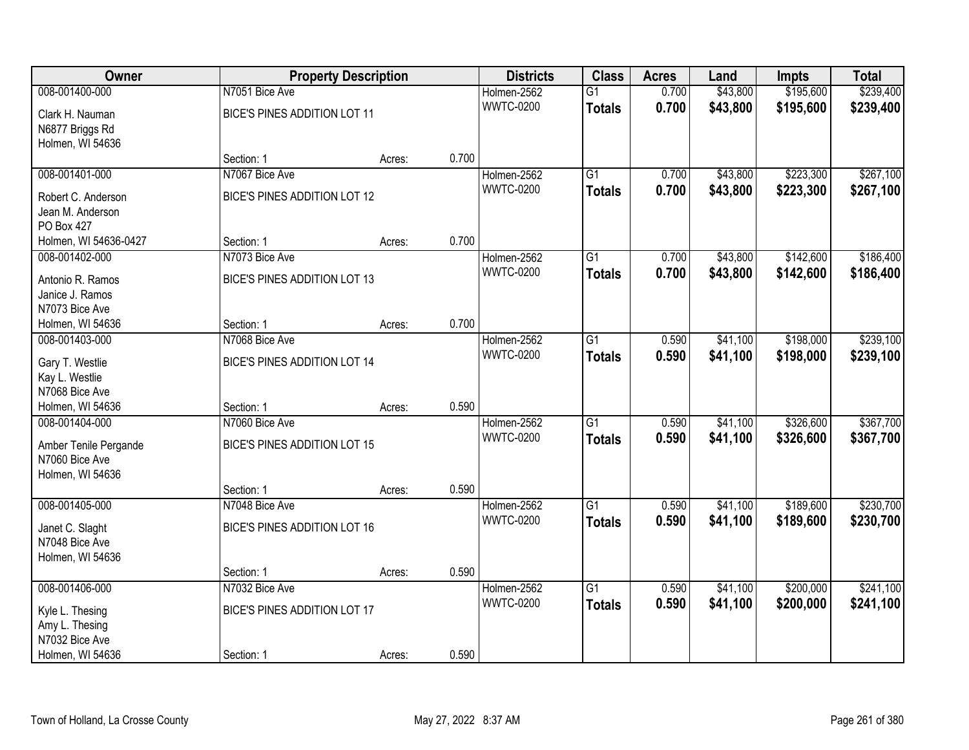| Owner                            |                              | <b>Property Description</b> |       | <b>Districts</b> | <b>Class</b>    | <b>Acres</b> | Land     | Impts     | <b>Total</b> |
|----------------------------------|------------------------------|-----------------------------|-------|------------------|-----------------|--------------|----------|-----------|--------------|
| 008-001400-000                   | N7051 Bice Ave               |                             |       | Holmen-2562      | $\overline{G1}$ | 0.700        | \$43,800 | \$195,600 | \$239,400    |
| Clark H. Nauman                  | BICE'S PINES ADDITION LOT 11 |                             |       | <b>WWTC-0200</b> | <b>Totals</b>   | 0.700        | \$43,800 | \$195,600 | \$239,400    |
| N6877 Briggs Rd                  |                              |                             |       |                  |                 |              |          |           |              |
| Holmen, WI 54636                 |                              |                             |       |                  |                 |              |          |           |              |
|                                  | Section: 1                   | Acres:                      | 0.700 |                  |                 |              |          |           |              |
| 008-001401-000                   | N7067 Bice Ave               |                             |       | Holmen-2562      | $\overline{G1}$ | 0.700        | \$43,800 | \$223,300 | \$267,100    |
| Robert C. Anderson               | BICE'S PINES ADDITION LOT 12 |                             |       | <b>WWTC-0200</b> | <b>Totals</b>   | 0.700        | \$43,800 | \$223,300 | \$267,100    |
| Jean M. Anderson                 |                              |                             |       |                  |                 |              |          |           |              |
| PO Box 427                       |                              |                             |       |                  |                 |              |          |           |              |
| Holmen, WI 54636-0427            | Section: 1                   | Acres:                      | 0.700 |                  |                 |              |          |           |              |
| 008-001402-000                   | N7073 Bice Ave               |                             |       | Holmen-2562      | $\overline{G1}$ | 0.700        | \$43,800 | \$142,600 | \$186,400    |
| Antonio R. Ramos                 | BICE'S PINES ADDITION LOT 13 |                             |       | <b>WWTC-0200</b> | <b>Totals</b>   | 0.700        | \$43,800 | \$142,600 | \$186,400    |
| Janice J. Ramos                  |                              |                             |       |                  |                 |              |          |           |              |
| N7073 Bice Ave                   |                              |                             |       |                  |                 |              |          |           |              |
| Holmen, WI 54636                 | Section: 1                   | Acres:                      | 0.700 |                  |                 |              |          |           |              |
| 008-001403-000                   | N7068 Bice Ave               |                             |       | Holmen-2562      | G1              | 0.590        | \$41,100 | \$198,000 | \$239,100    |
|                                  |                              |                             |       | <b>WWTC-0200</b> | <b>Totals</b>   | 0.590        | \$41,100 | \$198,000 | \$239,100    |
| Gary T. Westlie                  | BICE'S PINES ADDITION LOT 14 |                             |       |                  |                 |              |          |           |              |
| Kay L. Westlie<br>N7068 Bice Ave |                              |                             |       |                  |                 |              |          |           |              |
| Holmen, WI 54636                 | Section: 1                   | Acres:                      | 0.590 |                  |                 |              |          |           |              |
| 008-001404-000                   | N7060 Bice Ave               |                             |       | Holmen-2562      | $\overline{G1}$ | 0.590        | \$41,100 | \$326,600 | \$367,700    |
|                                  |                              |                             |       | <b>WWTC-0200</b> | <b>Totals</b>   | 0.590        | \$41,100 | \$326,600 | \$367,700    |
| Amber Tenile Pergande            | BICE'S PINES ADDITION LOT 15 |                             |       |                  |                 |              |          |           |              |
| N7060 Bice Ave                   |                              |                             |       |                  |                 |              |          |           |              |
| Holmen, WI 54636                 |                              |                             |       |                  |                 |              |          |           |              |
|                                  | Section: 1                   | Acres:                      | 0.590 |                  |                 |              |          |           |              |
| 008-001405-000                   | N7048 Bice Ave               |                             |       | Holmen-2562      | $\overline{G1}$ | 0.590        | \$41,100 | \$189,600 | \$230,700    |
| Janet C. Slaght                  | BICE'S PINES ADDITION LOT 16 |                             |       | <b>WWTC-0200</b> | <b>Totals</b>   | 0.590        | \$41,100 | \$189,600 | \$230,700    |
| N7048 Bice Ave                   |                              |                             |       |                  |                 |              |          |           |              |
| Holmen, WI 54636                 |                              |                             |       |                  |                 |              |          |           |              |
|                                  | Section: 1                   | Acres:                      | 0.590 |                  |                 |              |          |           |              |
| 008-001406-000                   | N7032 Bice Ave               |                             |       | Holmen-2562      | $\overline{G1}$ | 0.590        | \$41,100 | \$200,000 | \$241,100    |
| Kyle L. Thesing                  | BICE'S PINES ADDITION LOT 17 |                             |       | <b>WWTC-0200</b> | <b>Totals</b>   | 0.590        | \$41,100 | \$200,000 | \$241,100    |
| Amy L. Thesing                   |                              |                             |       |                  |                 |              |          |           |              |
| N7032 Bice Ave                   |                              |                             |       |                  |                 |              |          |           |              |
| Holmen, WI 54636                 | Section: 1                   | Acres:                      | 0.590 |                  |                 |              |          |           |              |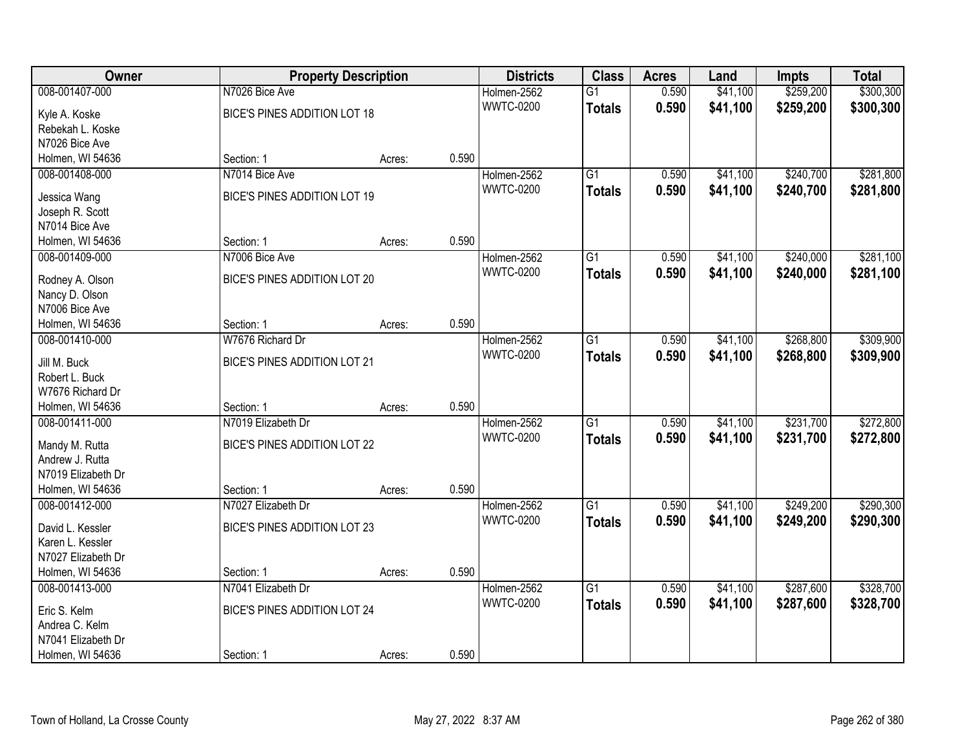| Owner              |                              | <b>Property Description</b> |       | <b>Districts</b> | <b>Class</b>    | <b>Acres</b> | Land     | <b>Impts</b> | <b>Total</b> |
|--------------------|------------------------------|-----------------------------|-------|------------------|-----------------|--------------|----------|--------------|--------------|
| 008-001407-000     | N7026 Bice Ave               |                             |       | Holmen-2562      | $\overline{G1}$ | 0.590        | \$41,100 | \$259,200    | \$300,300    |
| Kyle A. Koske      | BICE'S PINES ADDITION LOT 18 |                             |       | <b>WWTC-0200</b> | <b>Totals</b>   | 0.590        | \$41,100 | \$259,200    | \$300,300    |
| Rebekah L. Koske   |                              |                             |       |                  |                 |              |          |              |              |
| N7026 Bice Ave     |                              |                             |       |                  |                 |              |          |              |              |
| Holmen, WI 54636   | Section: 1                   | Acres:                      | 0.590 |                  |                 |              |          |              |              |
| 008-001408-000     | N7014 Bice Ave               |                             |       | Holmen-2562      | $\overline{G1}$ | 0.590        | \$41,100 | \$240,700    | \$281,800    |
| Jessica Wang       | BICE'S PINES ADDITION LOT 19 |                             |       | <b>WWTC-0200</b> | <b>Totals</b>   | 0.590        | \$41,100 | \$240,700    | \$281,800    |
| Joseph R. Scott    |                              |                             |       |                  |                 |              |          |              |              |
| N7014 Bice Ave     |                              |                             |       |                  |                 |              |          |              |              |
| Holmen, WI 54636   | Section: 1                   | Acres:                      | 0.590 |                  |                 |              |          |              |              |
| 008-001409-000     | N7006 Bice Ave               |                             |       | Holmen-2562      | $\overline{G1}$ | 0.590        | \$41,100 | \$240,000    | \$281,100    |
|                    |                              |                             |       | <b>WWTC-0200</b> | <b>Totals</b>   | 0.590        | \$41,100 | \$240,000    | \$281,100    |
| Rodney A. Olson    | BICE'S PINES ADDITION LOT 20 |                             |       |                  |                 |              |          |              |              |
| Nancy D. Olson     |                              |                             |       |                  |                 |              |          |              |              |
| N7006 Bice Ave     |                              |                             |       |                  |                 |              |          |              |              |
| Holmen, WI 54636   | Section: 1                   | Acres:                      | 0.590 |                  |                 |              |          |              |              |
| 008-001410-000     | W7676 Richard Dr             |                             |       | Holmen-2562      | G1              | 0.590        | \$41,100 | \$268,800    | \$309,900    |
| Jill M. Buck       | BICE'S PINES ADDITION LOT 21 |                             |       | <b>WWTC-0200</b> | <b>Totals</b>   | 0.590        | \$41,100 | \$268,800    | \$309,900    |
| Robert L. Buck     |                              |                             |       |                  |                 |              |          |              |              |
| W7676 Richard Dr   |                              |                             |       |                  |                 |              |          |              |              |
| Holmen, WI 54636   | Section: 1                   | Acres:                      | 0.590 |                  |                 |              |          |              |              |
| 008-001411-000     | N7019 Elizabeth Dr           |                             |       | Holmen-2562      | $\overline{G1}$ | 0.590        | \$41,100 | \$231,700    | \$272,800    |
| Mandy M. Rutta     | BICE'S PINES ADDITION LOT 22 |                             |       | <b>WWTC-0200</b> | <b>Totals</b>   | 0.590        | \$41,100 | \$231,700    | \$272,800    |
| Andrew J. Rutta    |                              |                             |       |                  |                 |              |          |              |              |
| N7019 Elizabeth Dr |                              |                             |       |                  |                 |              |          |              |              |
| Holmen, WI 54636   | Section: 1                   | Acres:                      | 0.590 |                  |                 |              |          |              |              |
| 008-001412-000     | N7027 Elizabeth Dr           |                             |       | Holmen-2562      | $\overline{G1}$ | 0.590        | \$41,100 | \$249,200    | \$290,300    |
| David L. Kessler   | BICE'S PINES ADDITION LOT 23 |                             |       | <b>WWTC-0200</b> | <b>Totals</b>   | 0.590        | \$41,100 | \$249,200    | \$290,300    |
| Karen L. Kessler   |                              |                             |       |                  |                 |              |          |              |              |
| N7027 Elizabeth Dr |                              |                             |       |                  |                 |              |          |              |              |
| Holmen, WI 54636   | Section: 1                   | Acres:                      | 0.590 |                  |                 |              |          |              |              |
| 008-001413-000     | N7041 Elizabeth Dr           |                             |       | Holmen-2562      | $\overline{G1}$ | 0.590        | \$41,100 | \$287,600    | \$328,700    |
|                    |                              |                             |       | <b>WWTC-0200</b> | <b>Totals</b>   | 0.590        | \$41,100 | \$287,600    | \$328,700    |
| Eric S. Kelm       | BICE'S PINES ADDITION LOT 24 |                             |       |                  |                 |              |          |              |              |
| Andrea C. Kelm     |                              |                             |       |                  |                 |              |          |              |              |
| N7041 Elizabeth Dr |                              |                             |       |                  |                 |              |          |              |              |
| Holmen, WI 54636   | Section: 1                   | Acres:                      | 0.590 |                  |                 |              |          |              |              |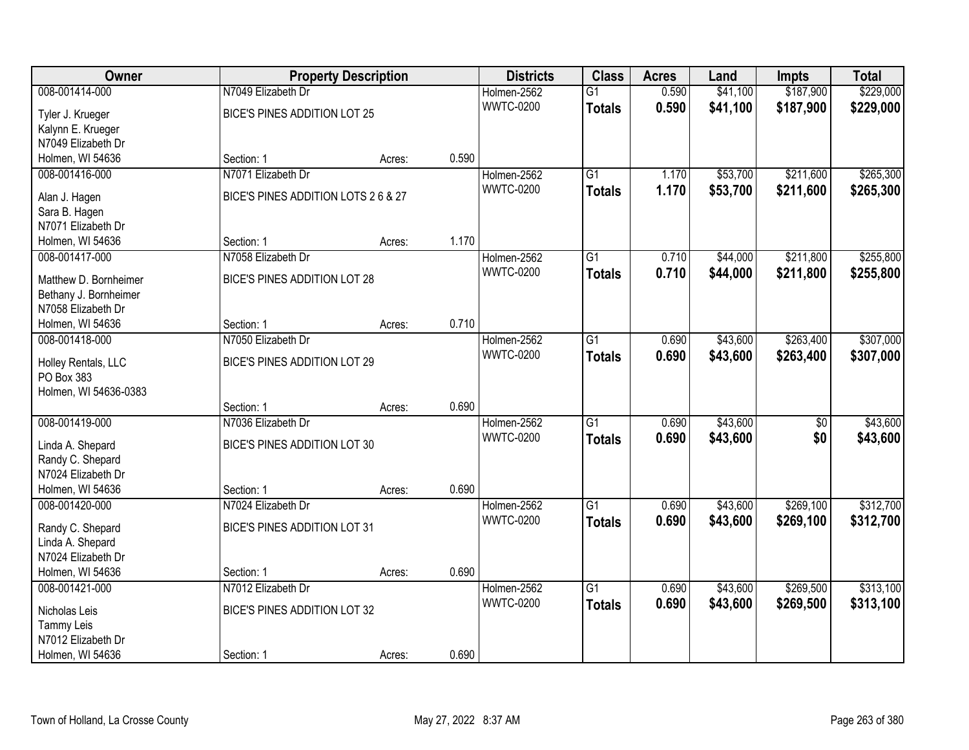| Owner                               | <b>Property Description</b>         |        |       | <b>Districts</b> | <b>Class</b>    | <b>Acres</b> | Land     | Impts           | <b>Total</b> |
|-------------------------------------|-------------------------------------|--------|-------|------------------|-----------------|--------------|----------|-----------------|--------------|
| 008-001414-000                      | N7049 Elizabeth Dr                  |        |       | Holmen-2562      | $\overline{G1}$ | 0.590        | \$41,100 | \$187,900       | \$229,000    |
| Tyler J. Krueger                    | BICE'S PINES ADDITION LOT 25        |        |       | <b>WWTC-0200</b> | <b>Totals</b>   | 0.590        | \$41,100 | \$187,900       | \$229,000    |
| Kalynn E. Krueger                   |                                     |        |       |                  |                 |              |          |                 |              |
| N7049 Elizabeth Dr                  |                                     |        |       |                  |                 |              |          |                 |              |
| Holmen, WI 54636                    | Section: 1                          | Acres: | 0.590 |                  |                 |              |          |                 |              |
| 008-001416-000                      | N7071 Elizabeth Dr                  |        |       | Holmen-2562      | $\overline{G1}$ | 1.170        | \$53,700 | \$211,600       | \$265,300    |
|                                     |                                     |        |       | <b>WWTC-0200</b> | <b>Totals</b>   | 1.170        | \$53,700 | \$211,600       | \$265,300    |
| Alan J. Hagen                       | BICE'S PINES ADDITION LOTS 2 6 & 27 |        |       |                  |                 |              |          |                 |              |
| Sara B. Hagen<br>N7071 Elizabeth Dr |                                     |        |       |                  |                 |              |          |                 |              |
| Holmen, WI 54636                    | Section: 1                          | Acres: | 1.170 |                  |                 |              |          |                 |              |
| 008-001417-000                      | N7058 Elizabeth Dr                  |        |       | Holmen-2562      | $\overline{G1}$ | 0.710        | \$44,000 | \$211,800       | \$255,800    |
|                                     |                                     |        |       | <b>WWTC-0200</b> |                 | 0.710        |          |                 |              |
| Matthew D. Bornheimer               | BICE'S PINES ADDITION LOT 28        |        |       |                  | <b>Totals</b>   |              | \$44,000 | \$211,800       | \$255,800    |
| Bethany J. Bornheimer               |                                     |        |       |                  |                 |              |          |                 |              |
| N7058 Elizabeth Dr                  |                                     |        |       |                  |                 |              |          |                 |              |
| Holmen, WI 54636                    | Section: 1                          | Acres: | 0.710 |                  |                 |              |          |                 |              |
| 008-001418-000                      | N7050 Elizabeth Dr                  |        |       | Holmen-2562      | $\overline{G1}$ | 0.690        | \$43,600 | \$263,400       | \$307,000    |
| Holley Rentals, LLC                 | BICE'S PINES ADDITION LOT 29        |        |       | <b>WWTC-0200</b> | <b>Totals</b>   | 0.690        | \$43,600 | \$263,400       | \$307,000    |
| PO Box 383                          |                                     |        |       |                  |                 |              |          |                 |              |
| Holmen, WI 54636-0383               |                                     |        |       |                  |                 |              |          |                 |              |
|                                     | Section: 1                          | Acres: | 0.690 |                  |                 |              |          |                 |              |
| 008-001419-000                      | N7036 Elizabeth Dr                  |        |       | Holmen-2562      | $\overline{G1}$ | 0.690        | \$43,600 | $\overline{50}$ | \$43,600     |
|                                     |                                     |        |       | <b>WWTC-0200</b> | <b>Totals</b>   | 0.690        | \$43,600 | \$0             | \$43,600     |
| Linda A. Shepard                    | BICE'S PINES ADDITION LOT 30        |        |       |                  |                 |              |          |                 |              |
| Randy C. Shepard                    |                                     |        |       |                  |                 |              |          |                 |              |
| N7024 Elizabeth Dr                  |                                     |        |       |                  |                 |              |          |                 |              |
| Holmen, WI 54636                    | Section: 1                          | Acres: | 0.690 |                  |                 |              |          |                 |              |
| 008-001420-000                      | N7024 Elizabeth Dr                  |        |       | Holmen-2562      | $\overline{G1}$ | 0.690        | \$43,600 | \$269,100       | \$312,700    |
| Randy C. Shepard                    | <b>BICE'S PINES ADDITION LOT 31</b> |        |       | <b>WWTC-0200</b> | <b>Totals</b>   | 0.690        | \$43,600 | \$269,100       | \$312,700    |
| Linda A. Shepard                    |                                     |        |       |                  |                 |              |          |                 |              |
| N7024 Elizabeth Dr                  |                                     |        |       |                  |                 |              |          |                 |              |
| Holmen, WI 54636                    | Section: 1                          | Acres: | 0.690 |                  |                 |              |          |                 |              |
| 008-001421-000                      | N7012 Elizabeth Dr                  |        |       | Holmen-2562      | $\overline{G1}$ | 0.690        | \$43,600 | \$269,500       | \$313,100    |
| Nicholas Leis                       | BICE'S PINES ADDITION LOT 32        |        |       | <b>WWTC-0200</b> | <b>Totals</b>   | 0.690        | \$43,600 | \$269,500       | \$313,100    |
| Tammy Leis                          |                                     |        |       |                  |                 |              |          |                 |              |
| N7012 Elizabeth Dr                  |                                     |        |       |                  |                 |              |          |                 |              |
| Holmen, WI 54636                    | Section: 1                          | Acres: | 0.690 |                  |                 |              |          |                 |              |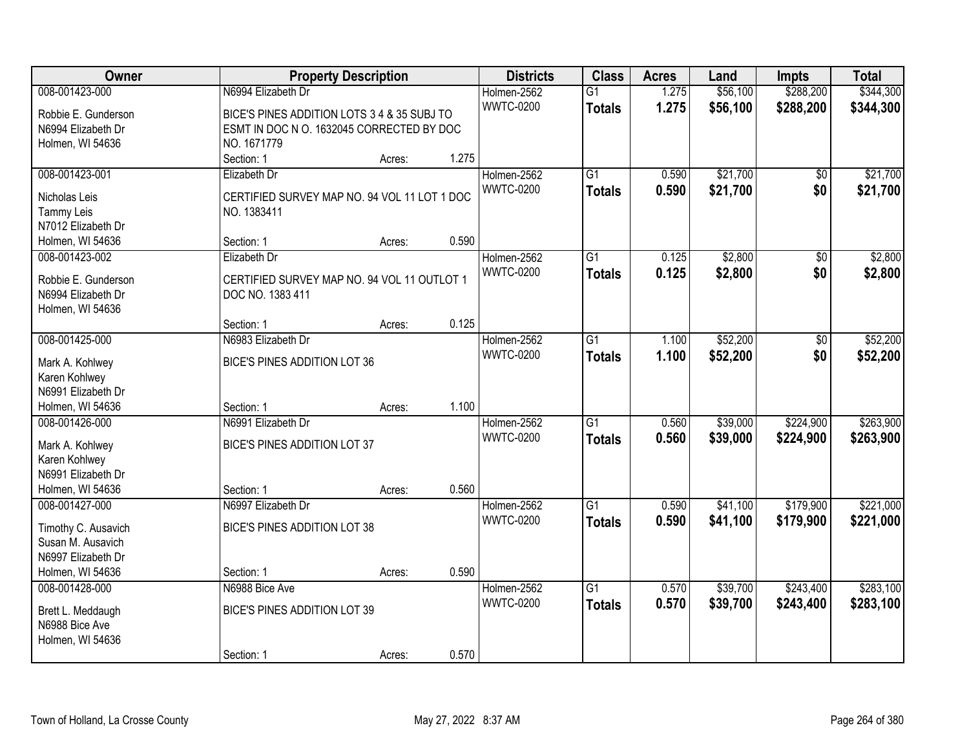| Owner                                     |                                                                 | <b>Property Description</b> |       | <b>Districts</b> | <b>Class</b>    | <b>Acres</b> | Land     | <b>Impts</b>    | <b>Total</b> |
|-------------------------------------------|-----------------------------------------------------------------|-----------------------------|-------|------------------|-----------------|--------------|----------|-----------------|--------------|
| 008-001423-000                            | N6994 Elizabeth Dr                                              |                             |       | Holmen-2562      | $\overline{G1}$ | 1.275        | \$56,100 | \$288,200       | \$344,300    |
| Robbie E. Gunderson                       | BICE'S PINES ADDITION LOTS 3 4 & 35 SUBJ TO                     |                             |       | <b>WWTC-0200</b> | <b>Totals</b>   | 1.275        | \$56,100 | \$288,200       | \$344,300    |
| N6994 Elizabeth Dr                        | ESMT IN DOC N O. 1632045 CORRECTED BY DOC                       |                             |       |                  |                 |              |          |                 |              |
| Holmen, WI 54636                          | NO. 1671779                                                     |                             |       |                  |                 |              |          |                 |              |
|                                           | Section: 1                                                      | Acres:                      | 1.275 |                  |                 |              |          |                 |              |
| 008-001423-001                            | Elizabeth Dr                                                    |                             |       | Holmen-2562      | $\overline{G1}$ | 0.590        | \$21,700 | $\overline{50}$ | \$21,700     |
| Nicholas Leis                             | CERTIFIED SURVEY MAP NO. 94 VOL 11 LOT 1 DOC                    |                             |       | <b>WWTC-0200</b> | <b>Totals</b>   | 0.590        | \$21,700 | \$0             | \$21,700     |
| <b>Tammy Leis</b>                         | NO. 1383411                                                     |                             |       |                  |                 |              |          |                 |              |
| N7012 Elizabeth Dr                        |                                                                 |                             |       |                  |                 |              |          |                 |              |
| Holmen, WI 54636                          | Section: 1                                                      | Acres:                      | 0.590 |                  |                 |              |          |                 |              |
| 008-001423-002                            | Elizabeth Dr                                                    |                             |       | Holmen-2562      | $\overline{G1}$ | 0.125        | \$2,800  | \$0             | \$2,800      |
|                                           |                                                                 |                             |       | <b>WWTC-0200</b> | <b>Totals</b>   | 0.125        | \$2,800  | \$0             | \$2,800      |
| Robbie E. Gunderson<br>N6994 Elizabeth Dr | CERTIFIED SURVEY MAP NO. 94 VOL 11 OUTLOT 1<br>DOC NO. 1383 411 |                             |       |                  |                 |              |          |                 |              |
| Holmen, WI 54636                          |                                                                 |                             |       |                  |                 |              |          |                 |              |
|                                           | Section: 1                                                      | Acres:                      | 0.125 |                  |                 |              |          |                 |              |
| 008-001425-000                            | N6983 Elizabeth Dr                                              |                             |       | Holmen-2562      | $\overline{G1}$ | 1.100        | \$52,200 | \$0             | \$52,200     |
|                                           |                                                                 |                             |       | <b>WWTC-0200</b> | <b>Totals</b>   | 1.100        | \$52,200 | \$0             | \$52,200     |
| Mark A. Kohlwey                           | BICE'S PINES ADDITION LOT 36                                    |                             |       |                  |                 |              |          |                 |              |
| Karen Kohlwey                             |                                                                 |                             |       |                  |                 |              |          |                 |              |
| N6991 Elizabeth Dr<br>Holmen, WI 54636    |                                                                 |                             | 1.100 |                  |                 |              |          |                 |              |
| 008-001426-000                            | Section: 1<br>N6991 Elizabeth Dr                                | Acres:                      |       | Holmen-2562      | $\overline{G1}$ | 0.560        | \$39,000 | \$224,900       | \$263,900    |
|                                           |                                                                 |                             |       | <b>WWTC-0200</b> |                 |              |          |                 |              |
| Mark A. Kohlwey                           | BICE'S PINES ADDITION LOT 37                                    |                             |       |                  | <b>Totals</b>   | 0.560        | \$39,000 | \$224,900       | \$263,900    |
| Karen Kohlwey                             |                                                                 |                             |       |                  |                 |              |          |                 |              |
| N6991 Elizabeth Dr                        |                                                                 |                             |       |                  |                 |              |          |                 |              |
| Holmen, WI 54636                          | Section: 1                                                      | Acres:                      | 0.560 |                  |                 |              |          |                 |              |
| 008-001427-000                            | N6997 Elizabeth Dr                                              |                             |       | Holmen-2562      | $\overline{G1}$ | 0.590        | \$41,100 | \$179,900       | \$221,000    |
| Timothy C. Ausavich                       | BICE'S PINES ADDITION LOT 38                                    |                             |       | <b>WWTC-0200</b> | <b>Totals</b>   | 0.590        | \$41,100 | \$179,900       | \$221,000    |
| Susan M. Ausavich                         |                                                                 |                             |       |                  |                 |              |          |                 |              |
| N6997 Elizabeth Dr                        |                                                                 |                             |       |                  |                 |              |          |                 |              |
| Holmen, WI 54636                          | Section: 1                                                      | Acres:                      | 0.590 |                  |                 |              |          |                 |              |
| 008-001428-000                            | N6988 Bice Ave                                                  |                             |       | Holmen-2562      | $\overline{G1}$ | 0.570        | \$39,700 | \$243,400       | \$283,100    |
| Brett L. Meddaugh                         | BICE'S PINES ADDITION LOT 39                                    |                             |       | <b>WWTC-0200</b> | <b>Totals</b>   | 0.570        | \$39,700 | \$243,400       | \$283,100    |
| N6988 Bice Ave                            |                                                                 |                             |       |                  |                 |              |          |                 |              |
| Holmen, WI 54636                          |                                                                 |                             |       |                  |                 |              |          |                 |              |
|                                           | Section: 1                                                      | Acres:                      | 0.570 |                  |                 |              |          |                 |              |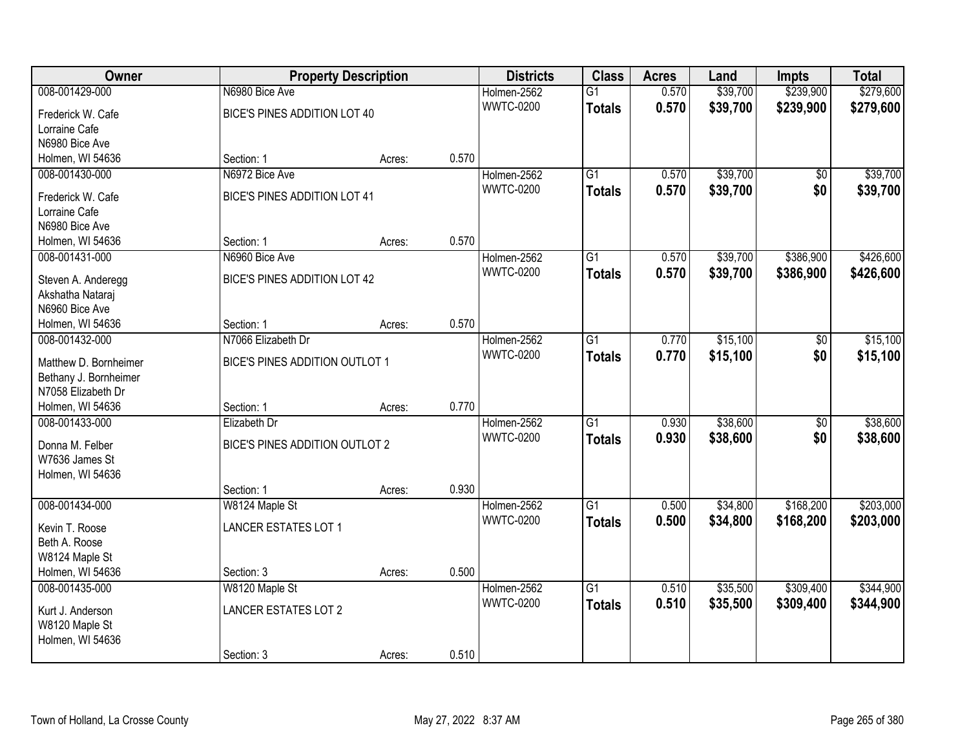| Owner                                  |                                | <b>Property Description</b> |       | <b>Districts</b> | <b>Class</b>    | <b>Acres</b> | Land     | <b>Impts</b>    | <b>Total</b> |
|----------------------------------------|--------------------------------|-----------------------------|-------|------------------|-----------------|--------------|----------|-----------------|--------------|
| 008-001429-000                         | N6980 Bice Ave                 |                             |       | Holmen-2562      | $\overline{G1}$ | 0.570        | \$39,700 | \$239,900       | \$279,600    |
| Frederick W. Cafe                      | BICE'S PINES ADDITION LOT 40   |                             |       | <b>WWTC-0200</b> | <b>Totals</b>   | 0.570        | \$39,700 | \$239,900       | \$279,600    |
| Lorraine Cafe                          |                                |                             |       |                  |                 |              |          |                 |              |
| N6980 Bice Ave                         |                                |                             |       |                  |                 |              |          |                 |              |
| Holmen, WI 54636                       | Section: 1                     | Acres:                      | 0.570 |                  |                 |              |          |                 |              |
| 008-001430-000                         | N6972 Bice Ave                 |                             |       | Holmen-2562      | $\overline{G1}$ | 0.570        | \$39,700 | \$0             | \$39,700     |
| Frederick W. Cafe                      | BICE'S PINES ADDITION LOT 41   |                             |       | <b>WWTC-0200</b> | <b>Totals</b>   | 0.570        | \$39,700 | \$0             | \$39,700     |
| Lorraine Cafe                          |                                |                             |       |                  |                 |              |          |                 |              |
| N6980 Bice Ave                         |                                |                             |       |                  |                 |              |          |                 |              |
| Holmen, WI 54636                       | Section: 1                     | Acres:                      | 0.570 |                  |                 |              |          |                 |              |
| 008-001431-000                         | N6960 Bice Ave                 |                             |       | Holmen-2562      | $\overline{G1}$ | 0.570        | \$39,700 | \$386,900       | \$426,600    |
|                                        |                                |                             |       | <b>WWTC-0200</b> | <b>Totals</b>   | 0.570        | \$39,700 | \$386,900       | \$426,600    |
| Steven A. Anderegg<br>Akshatha Nataraj | BICE'S PINES ADDITION LOT 42   |                             |       |                  |                 |              |          |                 |              |
| N6960 Bice Ave                         |                                |                             |       |                  |                 |              |          |                 |              |
| Holmen, WI 54636                       | Section: 1                     | Acres:                      | 0.570 |                  |                 |              |          |                 |              |
| 008-001432-000                         | N7066 Elizabeth Dr             |                             |       | Holmen-2562      | G1              | 0.770        | \$15,100 | \$0             | \$15,100     |
|                                        |                                |                             |       | <b>WWTC-0200</b> | <b>Totals</b>   | 0.770        | \$15,100 | \$0             | \$15,100     |
| Matthew D. Bornheimer                  | BICE'S PINES ADDITION OUTLOT 1 |                             |       |                  |                 |              |          |                 |              |
| Bethany J. Bornheimer                  |                                |                             |       |                  |                 |              |          |                 |              |
| N7058 Elizabeth Dr<br>Holmen, WI 54636 |                                |                             | 0.770 |                  |                 |              |          |                 |              |
| 008-001433-000                         | Section: 1<br>Elizabeth Dr     | Acres:                      |       | Holmen-2562      | $\overline{G1}$ | 0.930        | \$38,600 | $\overline{50}$ | \$38,600     |
|                                        |                                |                             |       | <b>WWTC-0200</b> |                 |              |          |                 |              |
| Donna M. Felber                        | BICE'S PINES ADDITION OUTLOT 2 |                             |       |                  | <b>Totals</b>   | 0.930        | \$38,600 | \$0             | \$38,600     |
| W7636 James St                         |                                |                             |       |                  |                 |              |          |                 |              |
| Holmen, WI 54636                       |                                |                             |       |                  |                 |              |          |                 |              |
|                                        | Section: 1                     | Acres:                      | 0.930 |                  |                 |              |          |                 |              |
| 008-001434-000                         | W8124 Maple St                 |                             |       | Holmen-2562      | $\overline{G1}$ | 0.500        | \$34,800 | \$168,200       | \$203,000    |
| Kevin T. Roose                         | <b>LANCER ESTATES LOT 1</b>    |                             |       | <b>WWTC-0200</b> | <b>Totals</b>   | 0.500        | \$34,800 | \$168,200       | \$203,000    |
| Beth A. Roose                          |                                |                             |       |                  |                 |              |          |                 |              |
| W8124 Maple St                         |                                |                             |       |                  |                 |              |          |                 |              |
| Holmen, WI 54636                       | Section: 3                     | Acres:                      | 0.500 |                  |                 |              |          |                 |              |
| 008-001435-000                         | W8120 Maple St                 |                             |       | Holmen-2562      | $\overline{G1}$ | 0.510        | \$35,500 | \$309,400       | \$344,900    |
| Kurt J. Anderson                       | <b>LANCER ESTATES LOT 2</b>    |                             |       | <b>WWTC-0200</b> | <b>Totals</b>   | 0.510        | \$35,500 | \$309,400       | \$344,900    |
| W8120 Maple St                         |                                |                             |       |                  |                 |              |          |                 |              |
| Holmen, WI 54636                       |                                |                             |       |                  |                 |              |          |                 |              |
|                                        | Section: 3                     | Acres:                      | 0.510 |                  |                 |              |          |                 |              |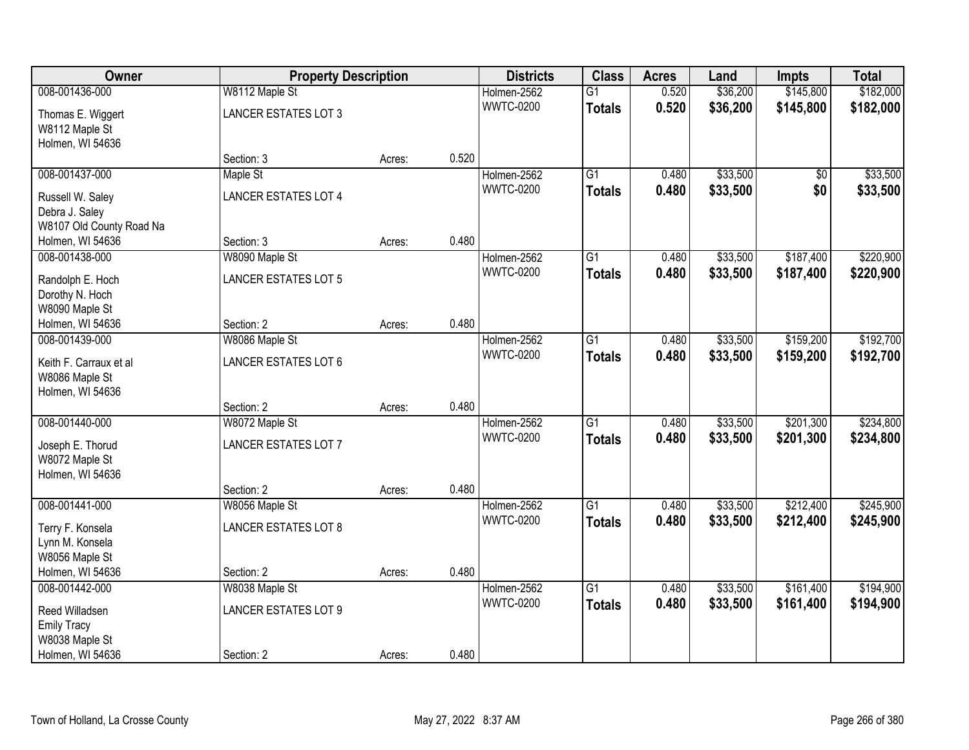| <b>Owner</b>                        | <b>Property Description</b> |        |       | <b>Districts</b> | <b>Class</b>    | <b>Acres</b> | Land     | Impts           | <b>Total</b> |
|-------------------------------------|-----------------------------|--------|-------|------------------|-----------------|--------------|----------|-----------------|--------------|
| 008-001436-000                      | W8112 Maple St              |        |       | Holmen-2562      | $\overline{G1}$ | 0.520        | \$36,200 | \$145,800       | \$182,000    |
| Thomas E. Wiggert                   | <b>LANCER ESTATES LOT 3</b> |        |       | <b>WWTC-0200</b> | <b>Totals</b>   | 0.520        | \$36,200 | \$145,800       | \$182,000    |
| W8112 Maple St                      |                             |        |       |                  |                 |              |          |                 |              |
| Holmen, WI 54636                    |                             |        |       |                  |                 |              |          |                 |              |
|                                     | Section: 3                  | Acres: | 0.520 |                  |                 |              |          |                 |              |
| 008-001437-000                      | Maple St                    |        |       | Holmen-2562      | $\overline{G1}$ | 0.480        | \$33,500 | $\overline{50}$ | \$33,500     |
| Russell W. Saley                    | <b>LANCER ESTATES LOT 4</b> |        |       | <b>WWTC-0200</b> | <b>Totals</b>   | 0.480        | \$33,500 | \$0             | \$33,500     |
| Debra J. Saley                      |                             |        |       |                  |                 |              |          |                 |              |
| W8107 Old County Road Na            |                             |        |       |                  |                 |              |          |                 |              |
| Holmen, WI 54636                    | Section: 3                  | Acres: | 0.480 |                  |                 |              |          |                 |              |
| 008-001438-000                      | W8090 Maple St              |        |       | Holmen-2562      | G1              | 0.480        | \$33,500 | \$187,400       | \$220,900    |
|                                     | <b>LANCER ESTATES LOT 5</b> |        |       | <b>WWTC-0200</b> | <b>Totals</b>   | 0.480        | \$33,500 | \$187,400       | \$220,900    |
| Randolph E. Hoch<br>Dorothy N. Hoch |                             |        |       |                  |                 |              |          |                 |              |
| W8090 Maple St                      |                             |        |       |                  |                 |              |          |                 |              |
| Holmen, WI 54636                    | Section: 2                  | Acres: | 0.480 |                  |                 |              |          |                 |              |
| 008-001439-000                      | W8086 Maple St              |        |       | Holmen-2562      | G1              | 0.480        | \$33,500 | \$159,200       | \$192,700    |
|                                     |                             |        |       | <b>WWTC-0200</b> | <b>Totals</b>   | 0.480        | \$33,500 | \$159,200       | \$192,700    |
| Keith F. Carraux et al              | <b>LANCER ESTATES LOT 6</b> |        |       |                  |                 |              |          |                 |              |
| W8086 Maple St<br>Holmen, WI 54636  |                             |        |       |                  |                 |              |          |                 |              |
|                                     | Section: 2                  | Acres: | 0.480 |                  |                 |              |          |                 |              |
| 008-001440-000                      | W8072 Maple St              |        |       | Holmen-2562      | $\overline{G1}$ | 0.480        | \$33,500 | \$201,300       | \$234,800    |
|                                     |                             |        |       | <b>WWTC-0200</b> | <b>Totals</b>   | 0.480        | \$33,500 | \$201,300       | \$234,800    |
| Joseph E. Thorud                    | <b>LANCER ESTATES LOT 7</b> |        |       |                  |                 |              |          |                 |              |
| W8072 Maple St                      |                             |        |       |                  |                 |              |          |                 |              |
| Holmen, WI 54636                    |                             |        |       |                  |                 |              |          |                 |              |
|                                     | Section: 2                  | Acres: | 0.480 |                  |                 |              |          |                 |              |
| 008-001441-000                      | W8056 Maple St              |        |       | Holmen-2562      | $\overline{G1}$ | 0.480        | \$33,500 | \$212,400       | \$245,900    |
| Terry F. Konsela                    | <b>LANCER ESTATES LOT 8</b> |        |       | <b>WWTC-0200</b> | <b>Totals</b>   | 0.480        | \$33,500 | \$212,400       | \$245,900    |
| Lynn M. Konsela                     |                             |        |       |                  |                 |              |          |                 |              |
| W8056 Maple St                      |                             |        |       |                  |                 |              |          |                 |              |
| Holmen, WI 54636                    | Section: 2                  | Acres: | 0.480 |                  |                 |              |          |                 |              |
| 008-001442-000                      | W8038 Maple St              |        |       | Holmen-2562      | $\overline{G1}$ | 0.480        | \$33,500 | \$161,400       | \$194,900    |
| Reed Willadsen                      | <b>LANCER ESTATES LOT 9</b> |        |       | <b>WWTC-0200</b> | <b>Totals</b>   | 0.480        | \$33,500 | \$161,400       | \$194,900    |
| <b>Emily Tracy</b>                  |                             |        |       |                  |                 |              |          |                 |              |
| W8038 Maple St                      |                             |        |       |                  |                 |              |          |                 |              |
| Holmen, WI 54636                    | Section: 2                  | Acres: | 0.480 |                  |                 |              |          |                 |              |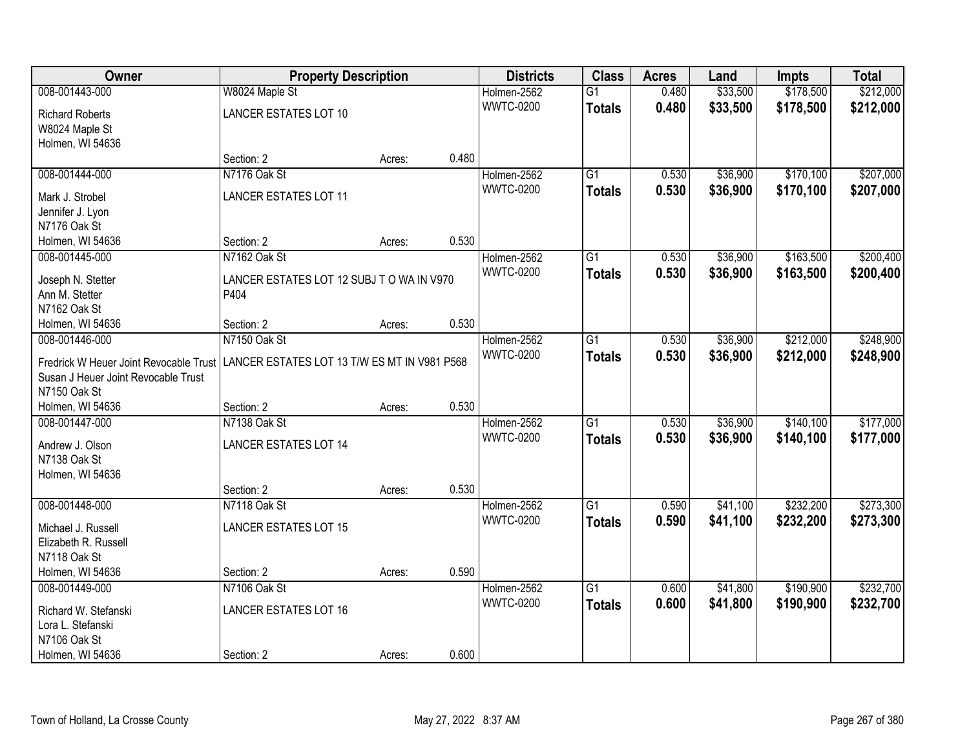| Owner                                  | <b>Property Description</b>                  |        |       | <b>Districts</b> | <b>Class</b>    | <b>Acres</b> | Land     | <b>Impts</b> | <b>Total</b> |
|----------------------------------------|----------------------------------------------|--------|-------|------------------|-----------------|--------------|----------|--------------|--------------|
| 008-001443-000                         | W8024 Maple St                               |        |       | Holmen-2562      | $\overline{G1}$ | 0.480        | \$33,500 | \$178,500    | \$212,000    |
| <b>Richard Roberts</b>                 | <b>LANCER ESTATES LOT 10</b>                 |        |       | <b>WWTC-0200</b> | <b>Totals</b>   | 0.480        | \$33,500 | \$178,500    | \$212,000    |
| W8024 Maple St                         |                                              |        |       |                  |                 |              |          |              |              |
| Holmen, WI 54636                       |                                              |        |       |                  |                 |              |          |              |              |
|                                        | Section: 2                                   | Acres: | 0.480 |                  |                 |              |          |              |              |
| 008-001444-000                         | N7176 Oak St                                 |        |       | Holmen-2562      | $\overline{G1}$ | 0.530        | \$36,900 | \$170,100    | \$207,000    |
|                                        |                                              |        |       | <b>WWTC-0200</b> | <b>Totals</b>   | 0.530        | \$36,900 | \$170,100    | \$207,000    |
| Mark J. Strobel                        | <b>LANCER ESTATES LOT 11</b>                 |        |       |                  |                 |              |          |              |              |
| Jennifer J. Lyon                       |                                              |        |       |                  |                 |              |          |              |              |
| N7176 Oak St                           |                                              |        | 0.530 |                  |                 |              |          |              |              |
| Holmen, WI 54636                       | Section: 2                                   | Acres: |       |                  |                 |              |          |              |              |
| 008-001445-000                         | N7162 Oak St                                 |        |       | Holmen-2562      | G1              | 0.530        | \$36,900 | \$163,500    | \$200,400    |
| Joseph N. Stetter                      | LANCER ESTATES LOT 12 SUBJ TO WA IN V970     |        |       | <b>WWTC-0200</b> | <b>Totals</b>   | 0.530        | \$36,900 | \$163,500    | \$200,400    |
| Ann M. Stetter                         | P404                                         |        |       |                  |                 |              |          |              |              |
| N7162 Oak St                           |                                              |        |       |                  |                 |              |          |              |              |
| Holmen, WI 54636                       | Section: 2                                   | Acres: | 0.530 |                  |                 |              |          |              |              |
| 008-001446-000                         | N7150 Oak St                                 |        |       | Holmen-2562      | G1              | 0.530        | \$36,900 | \$212,000    | \$248,900    |
|                                        |                                              |        |       | <b>WWTC-0200</b> | <b>Totals</b>   | 0.530        | \$36,900 | \$212,000    | \$248,900    |
| Fredrick W Heuer Joint Revocable Trust | LANCER ESTATES LOT 13 T/W ES MT IN V981 P568 |        |       |                  |                 |              |          |              |              |
| Susan J Heuer Joint Revocable Trust    |                                              |        |       |                  |                 |              |          |              |              |
| N7150 Oak St                           |                                              |        | 0.530 |                  |                 |              |          |              |              |
| Holmen, WI 54636                       | Section: 2                                   | Acres: |       |                  |                 |              |          |              |              |
| 008-001447-000                         | N7138 Oak St                                 |        |       | Holmen-2562      | $\overline{G1}$ | 0.530        | \$36,900 | \$140,100    | \$177,000    |
| Andrew J. Olson                        | <b>LANCER ESTATES LOT 14</b>                 |        |       | <b>WWTC-0200</b> | <b>Totals</b>   | 0.530        | \$36,900 | \$140,100    | \$177,000    |
| N7138 Oak St                           |                                              |        |       |                  |                 |              |          |              |              |
| Holmen, WI 54636                       |                                              |        |       |                  |                 |              |          |              |              |
|                                        | Section: 2                                   | Acres: | 0.530 |                  |                 |              |          |              |              |
| 008-001448-000                         | N7118 Oak St                                 |        |       | Holmen-2562      | $\overline{G1}$ | 0.590        | \$41,100 | \$232,200    | \$273,300    |
| Michael J. Russell                     | <b>LANCER ESTATES LOT 15</b>                 |        |       | <b>WWTC-0200</b> | <b>Totals</b>   | 0.590        | \$41,100 | \$232,200    | \$273,300    |
| Elizabeth R. Russell                   |                                              |        |       |                  |                 |              |          |              |              |
| N7118 Oak St                           |                                              |        |       |                  |                 |              |          |              |              |
| Holmen, WI 54636                       | Section: 2                                   | Acres: | 0.590 |                  |                 |              |          |              |              |
| 008-001449-000                         | N7106 Oak St                                 |        |       | Holmen-2562      | $\overline{G1}$ | 0.600        | \$41,800 | \$190,900    | \$232,700    |
|                                        |                                              |        |       | <b>WWTC-0200</b> |                 | 0.600        | \$41,800 | \$190,900    |              |
| Richard W. Stefanski                   | <b>LANCER ESTATES LOT 16</b>                 |        |       |                  | <b>Totals</b>   |              |          |              | \$232,700    |
| Lora L. Stefanski                      |                                              |        |       |                  |                 |              |          |              |              |
| N7106 Oak St                           |                                              |        |       |                  |                 |              |          |              |              |
| Holmen, WI 54636                       | Section: 2                                   | Acres: | 0.600 |                  |                 |              |          |              |              |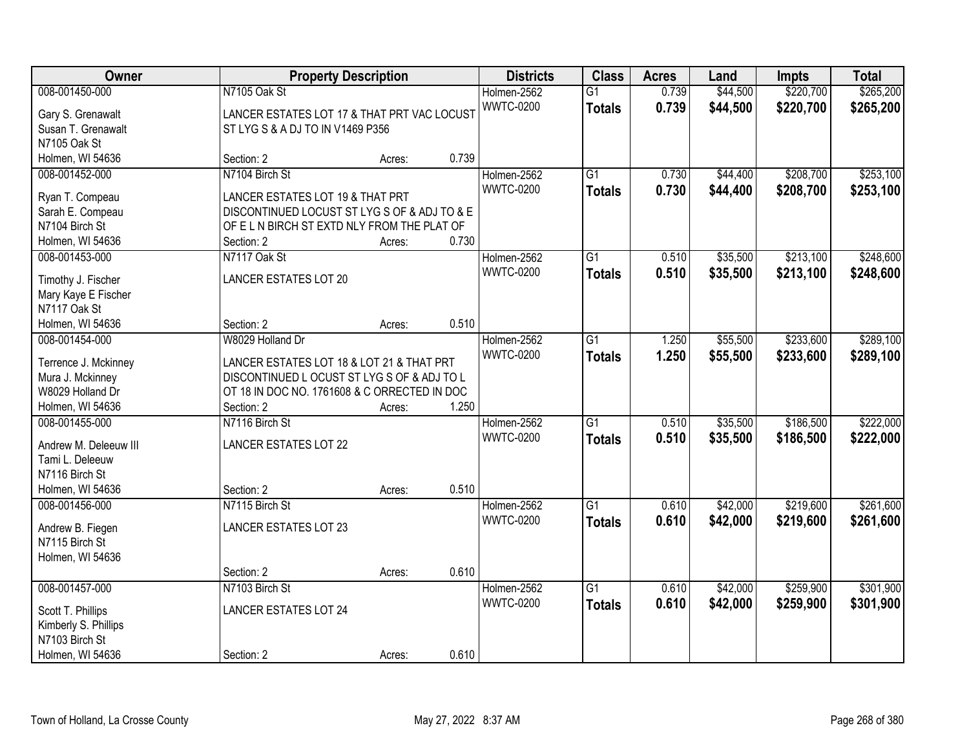| Owner                 | <b>Property Description</b>                  |        |       | <b>Districts</b> | <b>Class</b>    | <b>Acres</b> | Land     | <b>Impts</b> | <b>Total</b> |
|-----------------------|----------------------------------------------|--------|-------|------------------|-----------------|--------------|----------|--------------|--------------|
| 008-001450-000        | N7105 Oak St                                 |        |       | Holmen-2562      | $\overline{G1}$ | 0.739        | \$44,500 | \$220,700    | \$265,200    |
| Gary S. Grenawalt     | LANCER ESTATES LOT 17 & THAT PRT VAC LOCUST  |        |       | <b>WWTC-0200</b> | <b>Totals</b>   | 0.739        | \$44,500 | \$220,700    | \$265,200    |
| Susan T. Grenawalt    | ST LYG S & A DJ TO IN V1469 P356             |        |       |                  |                 |              |          |              |              |
| N7105 Oak St          |                                              |        |       |                  |                 |              |          |              |              |
| Holmen, WI 54636      | Section: 2                                   | Acres: | 0.739 |                  |                 |              |          |              |              |
| 008-001452-000        | N7104 Birch St                               |        |       | Holmen-2562      | $\overline{G1}$ | 0.730        | \$44,400 | \$208,700    | \$253,100    |
|                       |                                              |        |       | <b>WWTC-0200</b> | <b>Totals</b>   | 0.730        | \$44,400 | \$208,700    | \$253,100    |
| Ryan T. Compeau       | LANCER ESTATES LOT 19 & THAT PRT             |        |       |                  |                 |              |          |              |              |
| Sarah E. Compeau      | DISCONTINUED LOCUST ST LYG S OF & ADJ TO & E |        |       |                  |                 |              |          |              |              |
| N7104 Birch St        | OF ELN BIRCH ST EXTD NLY FROM THE PLAT OF    |        |       |                  |                 |              |          |              |              |
| Holmen, WI 54636      | Section: 2                                   | Acres: | 0.730 |                  |                 |              |          |              |              |
| 008-001453-000        | N7117 Oak St                                 |        |       | Holmen-2562      | $\overline{G1}$ | 0.510        | \$35,500 | \$213,100    | \$248,600    |
| Timothy J. Fischer    | <b>LANCER ESTATES LOT 20</b>                 |        |       | <b>WWTC-0200</b> | <b>Totals</b>   | 0.510        | \$35,500 | \$213,100    | \$248,600    |
| Mary Kaye E Fischer   |                                              |        |       |                  |                 |              |          |              |              |
| N7117 Oak St          |                                              |        |       |                  |                 |              |          |              |              |
| Holmen, WI 54636      | Section: 2                                   | Acres: | 0.510 |                  |                 |              |          |              |              |
| 008-001454-000        | W8029 Holland Dr                             |        |       | Holmen-2562      | G1              | 1.250        | \$55,500 | \$233,600    | \$289,100    |
|                       |                                              |        |       | <b>WWTC-0200</b> | <b>Totals</b>   | 1.250        | \$55,500 | \$233,600    | \$289,100    |
| Terrence J. Mckinney  | LANCER ESTATES LOT 18 & LOT 21 & THAT PRT    |        |       |                  |                 |              |          |              |              |
| Mura J. Mckinney      | DISCONTINUED LOCUST ST LYG S OF & ADJ TO L   |        |       |                  |                 |              |          |              |              |
| W8029 Holland Dr      | OT 18 IN DOC NO. 1761608 & C ORRECTED IN DOC |        |       |                  |                 |              |          |              |              |
| Holmen, WI 54636      | Section: 2                                   | Acres: | 1.250 |                  |                 |              |          |              |              |
| 008-001455-000        | N7116 Birch St                               |        |       | Holmen-2562      | $\overline{G1}$ | 0.510        | \$35,500 | \$186,500    | \$222,000    |
| Andrew M. Deleeuw III | <b>LANCER ESTATES LOT 22</b>                 |        |       | <b>WWTC-0200</b> | <b>Totals</b>   | 0.510        | \$35,500 | \$186,500    | \$222,000    |
| Tami L. Deleeuw       |                                              |        |       |                  |                 |              |          |              |              |
| N7116 Birch St        |                                              |        |       |                  |                 |              |          |              |              |
| Holmen, WI 54636      | Section: 2                                   | Acres: | 0.510 |                  |                 |              |          |              |              |
| 008-001456-000        | N7115 Birch St                               |        |       | Holmen-2562      | $\overline{G1}$ | 0.610        | \$42,000 | \$219,600    | \$261,600    |
|                       |                                              |        |       | <b>WWTC-0200</b> | <b>Totals</b>   | 0.610        | \$42,000 | \$219,600    | \$261,600    |
| Andrew B. Fiegen      | LANCER ESTATES LOT 23                        |        |       |                  |                 |              |          |              |              |
| N7115 Birch St        |                                              |        |       |                  |                 |              |          |              |              |
| Holmen, WI 54636      |                                              |        |       |                  |                 |              |          |              |              |
|                       | Section: 2                                   | Acres: | 0.610 |                  |                 |              |          |              |              |
| 008-001457-000        | N7103 Birch St                               |        |       | Holmen-2562      | $\overline{G1}$ | 0.610        | \$42,000 | \$259,900    | \$301,900    |
| Scott T. Phillips     | <b>LANCER ESTATES LOT 24</b>                 |        |       | <b>WWTC-0200</b> | <b>Totals</b>   | 0.610        | \$42,000 | \$259,900    | \$301,900    |
| Kimberly S. Phillips  |                                              |        |       |                  |                 |              |          |              |              |
| N7103 Birch St        |                                              |        |       |                  |                 |              |          |              |              |
| Holmen, WI 54636      | Section: 2                                   | Acres: | 0.610 |                  |                 |              |          |              |              |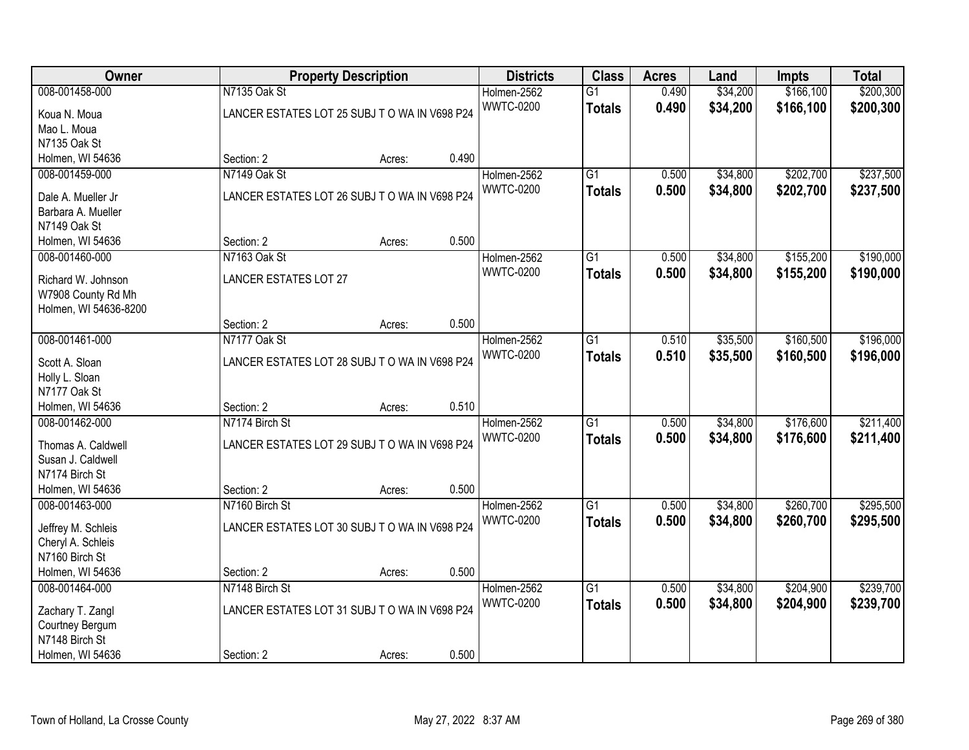| Owner                 |                                              | <b>Property Description</b> |       | <b>Districts</b> | <b>Class</b>    | <b>Acres</b> | Land     | <b>Impts</b> | <b>Total</b> |
|-----------------------|----------------------------------------------|-----------------------------|-------|------------------|-----------------|--------------|----------|--------------|--------------|
| 008-001458-000        | N7135 Oak St                                 |                             |       | Holmen-2562      | $\overline{G1}$ | 0.490        | \$34,200 | \$166,100    | \$200,300    |
| Koua N. Moua          | LANCER ESTATES LOT 25 SUBJ TO WA IN V698 P24 |                             |       | <b>WWTC-0200</b> | <b>Totals</b>   | 0.490        | \$34,200 | \$166,100    | \$200,300    |
| Mao L. Moua           |                                              |                             |       |                  |                 |              |          |              |              |
| N7135 Oak St          |                                              |                             |       |                  |                 |              |          |              |              |
| Holmen, WI 54636      | Section: 2                                   | Acres:                      | 0.490 |                  |                 |              |          |              |              |
| 008-001459-000        | N7149 Oak St                                 |                             |       | Holmen-2562      | $\overline{G1}$ | 0.500        | \$34,800 | \$202,700    | \$237,500    |
|                       |                                              |                             |       | <b>WWTC-0200</b> | <b>Totals</b>   | 0.500        | \$34,800 | \$202,700    | \$237,500    |
| Dale A. Mueller Jr    | LANCER ESTATES LOT 26 SUBJ TO WA IN V698 P24 |                             |       |                  |                 |              |          |              |              |
| Barbara A. Mueller    |                                              |                             |       |                  |                 |              |          |              |              |
| N7149 Oak St          |                                              |                             |       |                  |                 |              |          |              |              |
| Holmen, WI 54636      | Section: 2                                   | Acres:                      | 0.500 |                  |                 |              |          |              |              |
| 008-001460-000        | N7163 Oak St                                 |                             |       | Holmen-2562      | $\overline{G1}$ | 0.500        | \$34,800 | \$155,200    | \$190,000    |
| Richard W. Johnson    | <b>LANCER ESTATES LOT 27</b>                 |                             |       | <b>WWTC-0200</b> | <b>Totals</b>   | 0.500        | \$34,800 | \$155,200    | \$190,000    |
| W7908 County Rd Mh    |                                              |                             |       |                  |                 |              |          |              |              |
| Holmen, WI 54636-8200 |                                              |                             |       |                  |                 |              |          |              |              |
|                       | Section: 2                                   | Acres:                      | 0.500 |                  |                 |              |          |              |              |
| 008-001461-000        | N7177 Oak St                                 |                             |       | Holmen-2562      | $\overline{G1}$ | 0.510        | \$35,500 | \$160,500    | \$196,000    |
| Scott A. Sloan        | LANCER ESTATES LOT 28 SUBJ TO WA IN V698 P24 |                             |       | <b>WWTC-0200</b> | <b>Totals</b>   | 0.510        | \$35,500 | \$160,500    | \$196,000    |
| Holly L. Sloan        |                                              |                             |       |                  |                 |              |          |              |              |
| N7177 Oak St          |                                              |                             |       |                  |                 |              |          |              |              |
| Holmen, WI 54636      | Section: 2                                   | Acres:                      | 0.510 |                  |                 |              |          |              |              |
| 008-001462-000        | N7174 Birch St                               |                             |       | Holmen-2562      | $\overline{G1}$ | 0.500        | \$34,800 | \$176,600    | \$211,400    |
|                       |                                              |                             |       | <b>WWTC-0200</b> |                 | 0.500        | \$34,800 | \$176,600    | \$211,400    |
| Thomas A. Caldwell    | LANCER ESTATES LOT 29 SUBJ TO WA IN V698 P24 |                             |       |                  | <b>Totals</b>   |              |          |              |              |
| Susan J. Caldwell     |                                              |                             |       |                  |                 |              |          |              |              |
| N7174 Birch St        |                                              |                             |       |                  |                 |              |          |              |              |
| Holmen, WI 54636      | Section: 2                                   | Acres:                      | 0.500 |                  |                 |              |          |              |              |
| 008-001463-000        | N7160 Birch St                               |                             |       | Holmen-2562      | $\overline{G1}$ | 0.500        | \$34,800 | \$260,700    | \$295,500    |
| Jeffrey M. Schleis    | LANCER ESTATES LOT 30 SUBJ TO WA IN V698 P24 |                             |       | <b>WWTC-0200</b> | <b>Totals</b>   | 0.500        | \$34,800 | \$260,700    | \$295,500    |
| Cheryl A. Schleis     |                                              |                             |       |                  |                 |              |          |              |              |
| N7160 Birch St        |                                              |                             |       |                  |                 |              |          |              |              |
| Holmen, WI 54636      | Section: 2                                   | Acres:                      | 0.500 |                  |                 |              |          |              |              |
| 008-001464-000        | N7148 Birch St                               |                             |       | Holmen-2562      | $\overline{G1}$ | 0.500        | \$34,800 | \$204,900    | \$239,700    |
|                       |                                              |                             |       | <b>WWTC-0200</b> | <b>Totals</b>   | 0.500        | \$34,800 | \$204,900    | \$239,700    |
| Zachary T. Zangl      | LANCER ESTATES LOT 31 SUBJ TO WA IN V698 P24 |                             |       |                  |                 |              |          |              |              |
| Courtney Bergum       |                                              |                             |       |                  |                 |              |          |              |              |
| N7148 Birch St        |                                              |                             |       |                  |                 |              |          |              |              |
| Holmen, WI 54636      | Section: 2                                   | Acres:                      | 0.500 |                  |                 |              |          |              |              |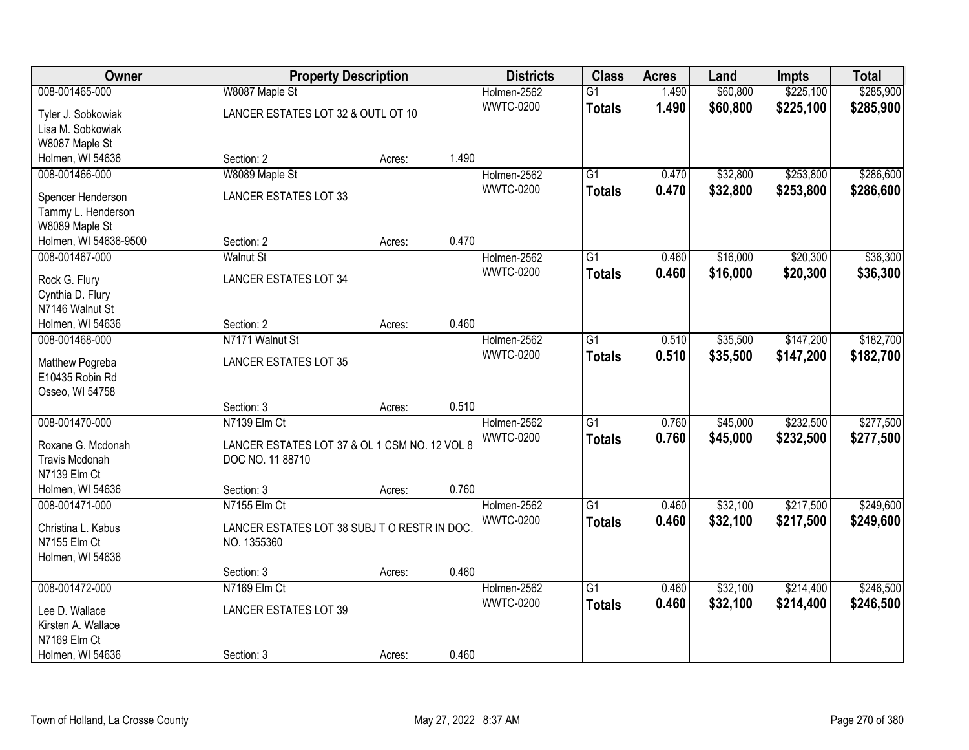| Owner                               |                                               | <b>Property Description</b> |       | <b>Districts</b>                | <b>Class</b>    | <b>Acres</b> | Land     | <b>Impts</b> | <b>Total</b> |
|-------------------------------------|-----------------------------------------------|-----------------------------|-------|---------------------------------|-----------------|--------------|----------|--------------|--------------|
| 008-001465-000                      | W8087 Maple St                                |                             |       | Holmen-2562                     | $\overline{G1}$ | 1.490        | \$60,800 | \$225,100    | \$285,900    |
| Tyler J. Sobkowiak                  | LANCER ESTATES LOT 32 & OUTL OT 10            |                             |       | <b>WWTC-0200</b>                | <b>Totals</b>   | 1.490        | \$60,800 | \$225,100    | \$285,900    |
| Lisa M. Sobkowiak                   |                                               |                             |       |                                 |                 |              |          |              |              |
| W8087 Maple St                      |                                               |                             |       |                                 |                 |              |          |              |              |
| Holmen, WI 54636                    | Section: 2                                    | Acres:                      | 1.490 |                                 |                 |              |          |              |              |
| 008-001466-000                      | W8089 Maple St                                |                             |       | Holmen-2562                     | $\overline{G1}$ | 0.470        | \$32,800 | \$253,800    | \$286,600    |
| Spencer Henderson                   | <b>LANCER ESTATES LOT 33</b>                  |                             |       | <b>WWTC-0200</b>                | <b>Totals</b>   | 0.470        | \$32,800 | \$253,800    | \$286,600    |
| Tammy L. Henderson                  |                                               |                             |       |                                 |                 |              |          |              |              |
| W8089 Maple St                      |                                               |                             |       |                                 |                 |              |          |              |              |
| Holmen, WI 54636-9500               | Section: 2                                    | Acres:                      | 0.470 |                                 |                 |              |          |              |              |
| 008-001467-000                      | <b>Walnut St</b>                              |                             |       | Holmen-2562                     | $\overline{G1}$ | 0.460        | \$16,000 | \$20,300     | \$36,300     |
|                                     |                                               |                             |       | <b>WWTC-0200</b>                | <b>Totals</b>   | 0.460        | \$16,000 | \$20,300     | \$36,300     |
| Rock G. Flury                       | <b>LANCER ESTATES LOT 34</b>                  |                             |       |                                 |                 |              |          |              |              |
| Cynthia D. Flury<br>N7146 Walnut St |                                               |                             |       |                                 |                 |              |          |              |              |
| Holmen, WI 54636                    | Section: 2                                    | Acres:                      | 0.460 |                                 |                 |              |          |              |              |
| 008-001468-000                      | N7171 Walnut St                               |                             |       | Holmen-2562                     | $\overline{G1}$ | 0.510        | \$35,500 | \$147,200    | \$182,700    |
|                                     |                                               |                             |       | <b>WWTC-0200</b>                | <b>Totals</b>   | 0.510        | \$35,500 | \$147,200    | \$182,700    |
| Matthew Pogreba                     | <b>LANCER ESTATES LOT 35</b>                  |                             |       |                                 |                 |              |          |              |              |
| E10435 Robin Rd                     |                                               |                             |       |                                 |                 |              |          |              |              |
| Osseo, WI 54758                     |                                               |                             |       |                                 |                 |              |          |              |              |
|                                     | Section: 3<br>N7139 Elm Ct                    | Acres:                      | 0.510 |                                 | $\overline{G1}$ | 0.760        |          |              |              |
| 008-001470-000                      |                                               |                             |       | Holmen-2562<br><b>WWTC-0200</b> |                 |              | \$45,000 | \$232,500    | \$277,500    |
| Roxane G. Mcdonah                   | LANCER ESTATES LOT 37 & OL 1 CSM NO. 12 VOL 8 |                             |       |                                 | <b>Totals</b>   | 0.760        | \$45,000 | \$232,500    | \$277,500    |
| <b>Travis Mcdonah</b>               | DOC NO. 11 88710                              |                             |       |                                 |                 |              |          |              |              |
| N7139 Elm Ct                        |                                               |                             |       |                                 |                 |              |          |              |              |
| Holmen, WI 54636                    | Section: 3                                    | Acres:                      | 0.760 |                                 |                 |              |          |              |              |
| 008-001471-000                      | N7155 Elm Ct                                  |                             |       | Holmen-2562                     | $\overline{G1}$ | 0.460        | \$32,100 | \$217,500    | \$249,600    |
| Christina L. Kabus                  | LANCER ESTATES LOT 38 SUBJ TO RESTR IN DOC.   |                             |       | <b>WWTC-0200</b>                | <b>Totals</b>   | 0.460        | \$32,100 | \$217,500    | \$249,600    |
| N7155 Elm Ct                        | NO. 1355360                                   |                             |       |                                 |                 |              |          |              |              |
| Holmen, WI 54636                    |                                               |                             |       |                                 |                 |              |          |              |              |
|                                     | Section: 3                                    | Acres:                      | 0.460 |                                 |                 |              |          |              |              |
| 008-001472-000                      | N7169 Elm Ct                                  |                             |       | Holmen-2562                     | $\overline{G1}$ | 0.460        | \$32,100 | \$214,400    | \$246,500    |
| Lee D. Wallace                      | <b>LANCER ESTATES LOT 39</b>                  |                             |       | <b>WWTC-0200</b>                | <b>Totals</b>   | 0.460        | \$32,100 | \$214,400    | \$246,500    |
| Kirsten A. Wallace                  |                                               |                             |       |                                 |                 |              |          |              |              |
| N7169 Elm Ct                        |                                               |                             |       |                                 |                 |              |          |              |              |
| Holmen, WI 54636                    | Section: 3                                    | Acres:                      | 0.460 |                                 |                 |              |          |              |              |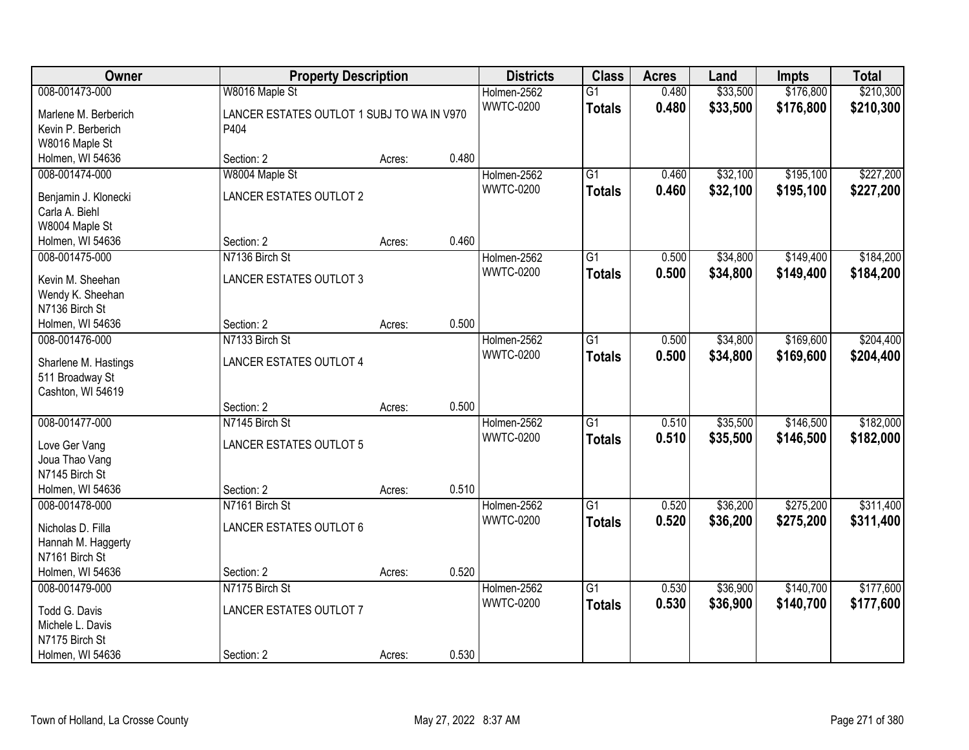| Owner                                  | <b>Property Description</b>                                  |        |       | <b>Districts</b>                | <b>Class</b>                     | <b>Acres</b>   | Land                 | <b>Impts</b>           | <b>Total</b>           |
|----------------------------------------|--------------------------------------------------------------|--------|-------|---------------------------------|----------------------------------|----------------|----------------------|------------------------|------------------------|
| 008-001473-000<br>Marlene M. Berberich | W8016 Maple St<br>LANCER ESTATES OUTLOT 1 SUBJ TO WA IN V970 |        |       | Holmen-2562<br><b>WWTC-0200</b> | $\overline{G1}$<br><b>Totals</b> | 0.480<br>0.480 | \$33,500<br>\$33,500 | \$176,800<br>\$176,800 | \$210,300<br>\$210,300 |
| Kevin P. Berberich                     | P404                                                         |        |       |                                 |                                  |                |                      |                        |                        |
| W8016 Maple St                         |                                                              |        |       |                                 |                                  |                |                      |                        |                        |
| Holmen, WI 54636                       | Section: 2                                                   | Acres: | 0.480 |                                 |                                  |                |                      |                        |                        |
| 008-001474-000                         | W8004 Maple St                                               |        |       | Holmen-2562                     | $\overline{G1}$                  | 0.460          | \$32,100             | \$195,100              | \$227,200              |
|                                        |                                                              |        |       | <b>WWTC-0200</b>                | <b>Totals</b>                    | 0.460          | \$32,100             | \$195,100              | \$227,200              |
| Benjamin J. Klonecki                   | <b>LANCER ESTATES OUTLOT 2</b>                               |        |       |                                 |                                  |                |                      |                        |                        |
| Carla A. Biehl                         |                                                              |        |       |                                 |                                  |                |                      |                        |                        |
| W8004 Maple St                         |                                                              |        |       |                                 |                                  |                |                      |                        |                        |
| Holmen, WI 54636                       | Section: 2                                                   | Acres: | 0.460 |                                 |                                  |                |                      |                        |                        |
| 008-001475-000                         | N7136 Birch St                                               |        |       | Holmen-2562                     | G1                               | 0.500          | \$34,800             | \$149,400              | \$184,200              |
| Kevin M. Sheehan                       | <b>LANCER ESTATES OUTLOT 3</b>                               |        |       | <b>WWTC-0200</b>                | <b>Totals</b>                    | 0.500          | \$34,800             | \$149,400              | \$184,200              |
| Wendy K. Sheehan                       |                                                              |        |       |                                 |                                  |                |                      |                        |                        |
| N7136 Birch St                         |                                                              |        |       |                                 |                                  |                |                      |                        |                        |
| Holmen, WI 54636                       | Section: 2                                                   | Acres: | 0.500 |                                 |                                  |                |                      |                        |                        |
| 008-001476-000                         | N7133 Birch St                                               |        |       | Holmen-2562                     | G1                               | 0.500          | \$34,800             | \$169,600              | \$204,400              |
|                                        |                                                              |        |       | <b>WWTC-0200</b>                | <b>Totals</b>                    | 0.500          | \$34,800             | \$169,600              | \$204,400              |
| Sharlene M. Hastings                   | LANCER ESTATES OUTLOT 4                                      |        |       |                                 |                                  |                |                      |                        |                        |
| 511 Broadway St                        |                                                              |        |       |                                 |                                  |                |                      |                        |                        |
| Cashton, WI 54619                      | Section: 2                                                   |        | 0.500 |                                 |                                  |                |                      |                        |                        |
| 008-001477-000                         | N7145 Birch St                                               | Acres: |       |                                 | $\overline{G1}$                  | 0.510          | \$35,500             | \$146,500              | \$182,000              |
|                                        |                                                              |        |       | Holmen-2562                     |                                  |                |                      |                        |                        |
| Love Ger Vang                          | <b>LANCER ESTATES OUTLOT 5</b>                               |        |       | <b>WWTC-0200</b>                | <b>Totals</b>                    | 0.510          | \$35,500             | \$146,500              | \$182,000              |
| Joua Thao Vang                         |                                                              |        |       |                                 |                                  |                |                      |                        |                        |
| N7145 Birch St                         |                                                              |        |       |                                 |                                  |                |                      |                        |                        |
| Holmen, WI 54636                       | Section: 2                                                   | Acres: | 0.510 |                                 |                                  |                |                      |                        |                        |
| 008-001478-000                         | N7161 Birch St                                               |        |       | Holmen-2562                     | $\overline{G1}$                  | 0.520          | \$36,200             | \$275,200              | \$311,400              |
| Nicholas D. Filla                      | <b>LANCER ESTATES OUTLOT 6</b>                               |        |       | <b>WWTC-0200</b>                | <b>Totals</b>                    | 0.520          | \$36,200             | \$275,200              | \$311,400              |
| Hannah M. Haggerty                     |                                                              |        |       |                                 |                                  |                |                      |                        |                        |
| N7161 Birch St                         |                                                              |        |       |                                 |                                  |                |                      |                        |                        |
| Holmen, WI 54636                       | Section: 2                                                   | Acres: | 0.520 |                                 |                                  |                |                      |                        |                        |
| 008-001479-000                         | N7175 Birch St                                               |        |       | Holmen-2562                     | $\overline{G1}$                  | 0.530          | \$36,900             | \$140,700              | \$177,600              |
|                                        |                                                              |        |       | <b>WWTC-0200</b>                |                                  | 0.530          | \$36,900             | \$140,700              |                        |
| Todd G. Davis                          | <b>LANCER ESTATES OUTLOT 7</b>                               |        |       |                                 | <b>Totals</b>                    |                |                      |                        | \$177,600              |
| Michele L. Davis                       |                                                              |        |       |                                 |                                  |                |                      |                        |                        |
| N7175 Birch St                         |                                                              |        |       |                                 |                                  |                |                      |                        |                        |
| Holmen, WI 54636                       | Section: 2                                                   | Acres: | 0.530 |                                 |                                  |                |                      |                        |                        |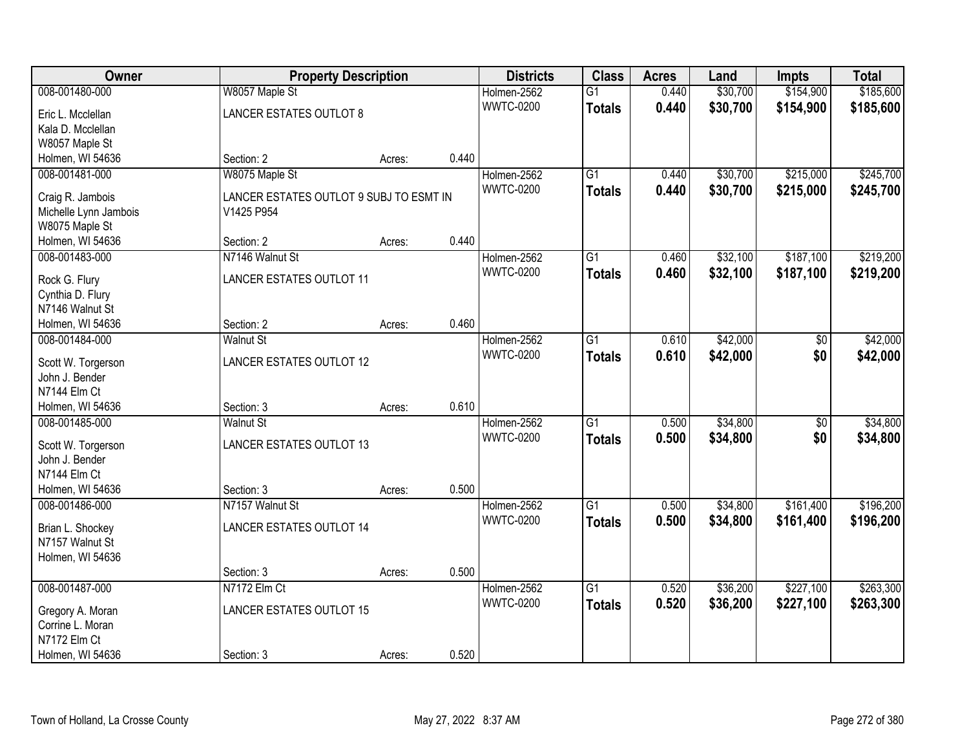| Owner                               | <b>Property Description</b>             |        |       | <b>Districts</b> | <b>Class</b>    | <b>Acres</b> | Land     | <b>Impts</b> | <b>Total</b> |
|-------------------------------------|-----------------------------------------|--------|-------|------------------|-----------------|--------------|----------|--------------|--------------|
| 008-001480-000                      | W8057 Maple St                          |        |       | Holmen-2562      | $\overline{G1}$ | 0.440        | \$30,700 | \$154,900    | \$185,600    |
| Eric L. Mcclellan                   | <b>LANCER ESTATES OUTLOT 8</b>          |        |       | <b>WWTC-0200</b> | <b>Totals</b>   | 0.440        | \$30,700 | \$154,900    | \$185,600    |
| Kala D. Mcclellan                   |                                         |        |       |                  |                 |              |          |              |              |
| W8057 Maple St                      |                                         |        |       |                  |                 |              |          |              |              |
| Holmen, WI 54636                    | Section: 2                              | Acres: | 0.440 |                  |                 |              |          |              |              |
| 008-001481-000                      | W8075 Maple St                          |        |       | Holmen-2562      | $\overline{G1}$ | 0.440        | \$30,700 | \$215,000    | \$245,700    |
| Craig R. Jambois                    | LANCER ESTATES OUTLOT 9 SUBJ TO ESMT IN |        |       | <b>WWTC-0200</b> | <b>Totals</b>   | 0.440        | \$30,700 | \$215,000    | \$245,700    |
| Michelle Lynn Jambois               | V1425 P954                              |        |       |                  |                 |              |          |              |              |
| W8075 Maple St                      |                                         |        |       |                  |                 |              |          |              |              |
| Holmen, WI 54636                    | Section: 2                              | Acres: | 0.440 |                  |                 |              |          |              |              |
| 008-001483-000                      | N7146 Walnut St                         |        |       | Holmen-2562      | $\overline{G1}$ | 0.460        | \$32,100 | \$187,100    | \$219,200    |
|                                     |                                         |        |       | <b>WWTC-0200</b> | <b>Totals</b>   | 0.460        | \$32,100 | \$187,100    | \$219,200    |
| Rock G. Flury                       | <b>LANCER ESTATES OUTLOT 11</b>         |        |       |                  |                 |              |          |              |              |
| Cynthia D. Flury<br>N7146 Walnut St |                                         |        |       |                  |                 |              |          |              |              |
| Holmen, WI 54636                    | Section: 2                              | Acres: | 0.460 |                  |                 |              |          |              |              |
| 008-001484-000                      | <b>Walnut St</b>                        |        |       | Holmen-2562      | $\overline{G1}$ | 0.610        | \$42,000 | \$0          | \$42,000     |
|                                     |                                         |        |       | <b>WWTC-0200</b> | <b>Totals</b>   | 0.610        | \$42,000 | \$0          | \$42,000     |
| Scott W. Torgerson                  | LANCER ESTATES OUTLOT 12                |        |       |                  |                 |              |          |              |              |
| John J. Bender                      |                                         |        |       |                  |                 |              |          |              |              |
| N7144 Elm Ct                        |                                         |        |       |                  |                 |              |          |              |              |
| Holmen, WI 54636                    | Section: 3                              | Acres: | 0.610 |                  |                 |              |          |              |              |
| 008-001485-000                      | <b>Walnut St</b>                        |        |       | Holmen-2562      | $\overline{G1}$ | 0.500        | \$34,800 | \$0          | \$34,800     |
| Scott W. Torgerson                  | LANCER ESTATES OUTLOT 13                |        |       | <b>WWTC-0200</b> | <b>Totals</b>   | 0.500        | \$34,800 | \$0          | \$34,800     |
| John J. Bender                      |                                         |        |       |                  |                 |              |          |              |              |
| N7144 Elm Ct                        |                                         |        |       |                  |                 |              |          |              |              |
| Holmen, WI 54636                    | Section: 3                              | Acres: | 0.500 |                  |                 |              |          |              |              |
| 008-001486-000                      | N7157 Walnut St                         |        |       | Holmen-2562      | $\overline{G1}$ | 0.500        | \$34,800 | \$161,400    | \$196,200    |
| Brian L. Shockey                    | LANCER ESTATES OUTLOT 14                |        |       | <b>WWTC-0200</b> | <b>Totals</b>   | 0.500        | \$34,800 | \$161,400    | \$196,200    |
| N7157 Walnut St                     |                                         |        |       |                  |                 |              |          |              |              |
| Holmen, WI 54636                    |                                         |        |       |                  |                 |              |          |              |              |
|                                     | Section: 3                              | Acres: | 0.500 |                  |                 |              |          |              |              |
| 008-001487-000                      | N7172 Elm Ct                            |        |       | Holmen-2562      | $\overline{G1}$ | 0.520        | \$36,200 | \$227,100    | \$263,300    |
| Gregory A. Moran                    | <b>LANCER ESTATES OUTLOT 15</b>         |        |       | <b>WWTC-0200</b> | <b>Totals</b>   | 0.520        | \$36,200 | \$227,100    | \$263,300    |
| Corrine L. Moran                    |                                         |        |       |                  |                 |              |          |              |              |
| N7172 Elm Ct                        |                                         |        |       |                  |                 |              |          |              |              |
| Holmen, WI 54636                    | Section: 3                              | Acres: | 0.520 |                  |                 |              |          |              |              |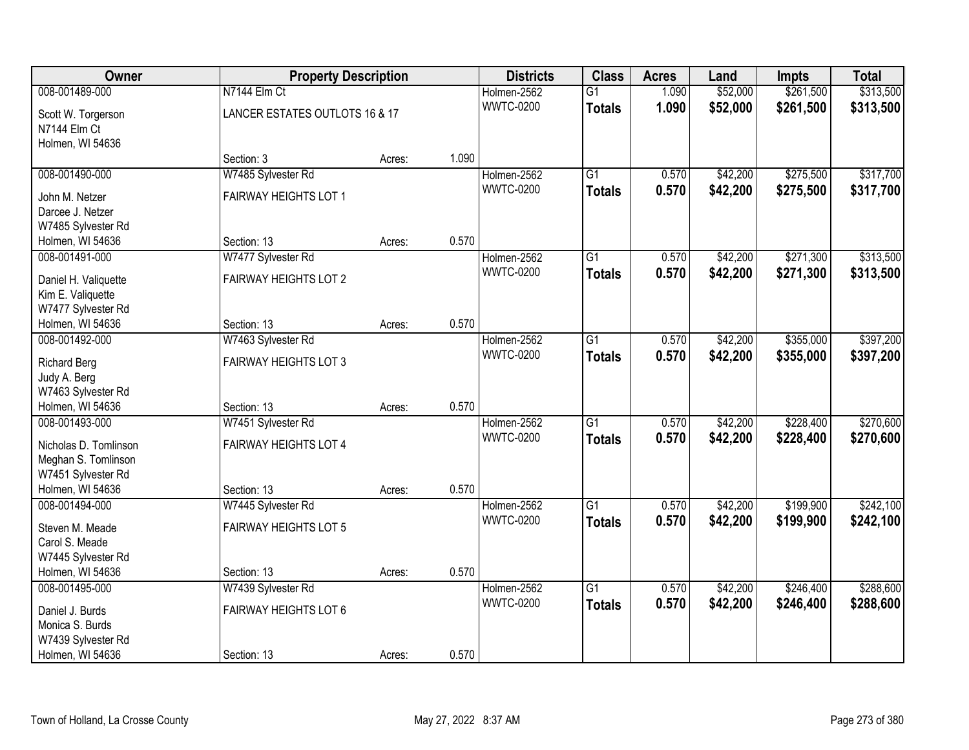| Owner                              | <b>Property Description</b>    | <b>Class</b><br><b>Districts</b> |       | <b>Acres</b>     | Land            | <b>Impts</b> | <b>Total</b> |           |           |
|------------------------------------|--------------------------------|----------------------------------|-------|------------------|-----------------|--------------|--------------|-----------|-----------|
| 008-001489-000                     | N7144 Elm Ct                   |                                  |       | Holmen-2562      | $\overline{G1}$ | 1.090        | \$52,000     | \$261,500 | \$313,500 |
| Scott W. Torgerson                 | LANCER ESTATES OUTLOTS 16 & 17 |                                  |       | <b>WWTC-0200</b> | <b>Totals</b>   | 1.090        | \$52,000     | \$261,500 | \$313,500 |
| N7144 Elm Ct                       |                                |                                  |       |                  |                 |              |              |           |           |
| Holmen, WI 54636                   |                                |                                  |       |                  |                 |              |              |           |           |
|                                    | Section: 3                     | Acres:                           | 1.090 |                  |                 |              |              |           |           |
| 008-001490-000                     | W7485 Sylvester Rd             |                                  |       | Holmen-2562      | $\overline{G1}$ | 0.570        | \$42,200     | \$275,500 | \$317,700 |
| John M. Netzer                     | FAIRWAY HEIGHTS LOT 1          |                                  |       | <b>WWTC-0200</b> | <b>Totals</b>   | 0.570        | \$42,200     | \$275,500 | \$317,700 |
| Darcee J. Netzer                   |                                |                                  |       |                  |                 |              |              |           |           |
| W7485 Sylvester Rd                 |                                |                                  |       |                  |                 |              |              |           |           |
| Holmen, WI 54636                   | Section: 13                    | Acres:                           | 0.570 |                  |                 |              |              |           |           |
| 008-001491-000                     | W7477 Sylvester Rd             |                                  |       | Holmen-2562      | $\overline{G1}$ | 0.570        | \$42,200     | \$271,300 | \$313,500 |
|                                    |                                |                                  |       | <b>WWTC-0200</b> | <b>Totals</b>   | 0.570        | \$42,200     | \$271,300 | \$313,500 |
| Daniel H. Valiquette               | FAIRWAY HEIGHTS LOT 2          |                                  |       |                  |                 |              |              |           |           |
| Kim E. Valiquette                  |                                |                                  |       |                  |                 |              |              |           |           |
| W7477 Sylvester Rd                 |                                |                                  |       |                  |                 |              |              |           |           |
| Holmen, WI 54636                   | Section: 13                    | Acres:                           | 0.570 |                  |                 |              |              |           |           |
| 008-001492-000                     | W7463 Sylvester Rd             |                                  |       | Holmen-2562      | $\overline{G1}$ | 0.570        | \$42,200     | \$355,000 | \$397,200 |
| <b>Richard Berg</b>                | FAIRWAY HEIGHTS LOT 3          |                                  |       | <b>WWTC-0200</b> | <b>Totals</b>   | 0.570        | \$42,200     | \$355,000 | \$397,200 |
| Judy A. Berg                       |                                |                                  |       |                  |                 |              |              |           |           |
| W7463 Sylvester Rd                 |                                |                                  |       |                  |                 |              |              |           |           |
| Holmen, WI 54636                   | Section: 13                    | Acres:                           | 0.570 |                  |                 |              |              |           |           |
| 008-001493-000                     | W7451 Sylvester Rd             |                                  |       | Holmen-2562      | $\overline{G1}$ | 0.570        | \$42,200     | \$228,400 | \$270,600 |
|                                    |                                |                                  |       | <b>WWTC-0200</b> | <b>Totals</b>   | 0.570        | \$42,200     | \$228,400 | \$270,600 |
| Nicholas D. Tomlinson              | FAIRWAY HEIGHTS LOT 4          |                                  |       |                  |                 |              |              |           |           |
| Meghan S. Tomlinson                |                                |                                  |       |                  |                 |              |              |           |           |
| W7451 Sylvester Rd                 |                                |                                  | 0.570 |                  |                 |              |              |           |           |
| Holmen, WI 54636<br>008-001494-000 | Section: 13                    | Acres:                           |       |                  | $\overline{G1}$ | 0.570        |              | \$199,900 | \$242,100 |
|                                    | W7445 Sylvester Rd             |                                  |       | Holmen-2562      |                 |              | \$42,200     |           |           |
| Steven M. Meade                    | FAIRWAY HEIGHTS LOT 5          |                                  |       | <b>WWTC-0200</b> | <b>Totals</b>   | 0.570        | \$42,200     | \$199,900 | \$242,100 |
| Carol S. Meade                     |                                |                                  |       |                  |                 |              |              |           |           |
| W7445 Sylvester Rd                 |                                |                                  |       |                  |                 |              |              |           |           |
| Holmen, WI 54636                   | Section: 13                    | Acres:                           | 0.570 |                  |                 |              |              |           |           |
| 008-001495-000                     | W7439 Sylvester Rd             |                                  |       | Holmen-2562      | $\overline{G1}$ | 0.570        | \$42,200     | \$246,400 | \$288,600 |
| Daniel J. Burds                    | <b>FAIRWAY HEIGHTS LOT 6</b>   |                                  |       | <b>WWTC-0200</b> | <b>Totals</b>   | 0.570        | \$42,200     | \$246,400 | \$288,600 |
| Monica S. Burds                    |                                |                                  |       |                  |                 |              |              |           |           |
| W7439 Sylvester Rd                 |                                |                                  |       |                  |                 |              |              |           |           |
| Holmen, WI 54636                   | Section: 13                    | Acres:                           | 0.570 |                  |                 |              |              |           |           |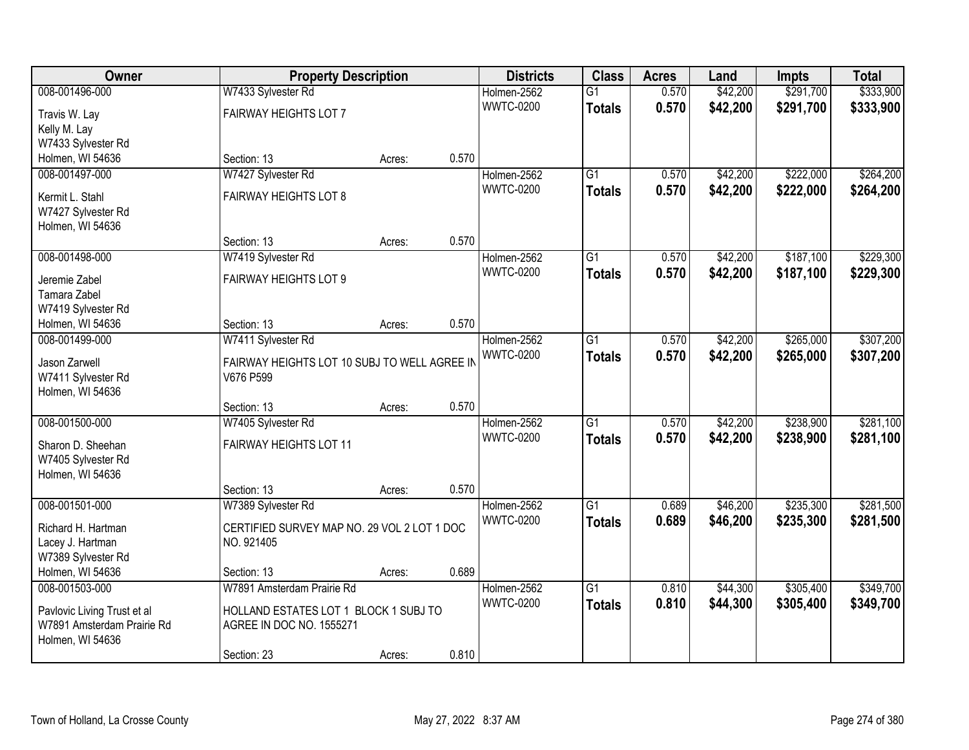| Owner                         | <b>Property Description</b>                  |        |       | <b>Districts</b>                | <b>Class</b>    | <b>Acres</b> | Land     | <b>Impts</b> | <b>Total</b> |
|-------------------------------|----------------------------------------------|--------|-------|---------------------------------|-----------------|--------------|----------|--------------|--------------|
| 008-001496-000                | W7433 Sylvester Rd                           |        |       | Holmen-2562                     | $\overline{G1}$ | 0.570        | \$42,200 | \$291,700    | \$333,900    |
| Travis W. Lay                 | FAIRWAY HEIGHTS LOT 7                        |        |       | <b>WWTC-0200</b>                | <b>Totals</b>   | 0.570        | \$42,200 | \$291,700    | \$333,900    |
| Kelly M. Lay                  |                                              |        |       |                                 |                 |              |          |              |              |
| W7433 Sylvester Rd            |                                              |        |       |                                 |                 |              |          |              |              |
| Holmen, WI 54636              | Section: 13                                  | Acres: | 0.570 |                                 |                 |              |          |              |              |
| 008-001497-000                | W7427 Sylvester Rd                           |        |       | Holmen-2562                     | $\overline{G1}$ | 0.570        | \$42,200 | \$222,000    | \$264,200    |
| Kermit L. Stahl               | <b>FAIRWAY HEIGHTS LOT 8</b>                 |        |       | <b>WWTC-0200</b>                | Totals          | 0.570        | \$42,200 | \$222,000    | \$264,200    |
| W7427 Sylvester Rd            |                                              |        |       |                                 |                 |              |          |              |              |
| Holmen, WI 54636              |                                              |        |       |                                 |                 |              |          |              |              |
|                               | Section: 13                                  | Acres: | 0.570 |                                 |                 |              |          |              |              |
| 008-001498-000                | W7419 Sylvester Rd                           |        |       | Holmen-2562                     | G1              | 0.570        | \$42,200 | \$187,100    | \$229,300    |
|                               | <b>FAIRWAY HEIGHTS LOT 9</b>                 |        |       | <b>WWTC-0200</b>                | <b>Totals</b>   | 0.570        | \$42,200 | \$187,100    | \$229,300    |
| Jeremie Zabel<br>Tamara Zabel |                                              |        |       |                                 |                 |              |          |              |              |
| W7419 Sylvester Rd            |                                              |        |       |                                 |                 |              |          |              |              |
| Holmen, WI 54636              | Section: 13                                  | Acres: | 0.570 |                                 |                 |              |          |              |              |
| 008-001499-000                | W7411 Sylvester Rd                           |        |       | Holmen-2562                     | G1              | 0.570        | \$42,200 | \$265,000    | \$307,200    |
|                               |                                              |        |       | <b>WWTC-0200</b>                | <b>Totals</b>   | 0.570        | \$42,200 | \$265,000    | \$307,200    |
| Jason Zarwell                 | FAIRWAY HEIGHTS LOT 10 SUBJ TO WELL AGREE IN |        |       |                                 |                 |              |          |              |              |
| W7411 Sylvester Rd            | V676 P599                                    |        |       |                                 |                 |              |          |              |              |
| Holmen, WI 54636              |                                              |        | 0.570 |                                 |                 |              |          |              |              |
| 008-001500-000                | Section: 13<br>W7405 Sylvester Rd            | Acres: |       |                                 | $\overline{G1}$ | 0.570        | \$42,200 | \$238,900    | \$281,100    |
|                               |                                              |        |       | Holmen-2562<br><b>WWTC-0200</b> |                 |              |          |              |              |
| Sharon D. Sheehan             | FAIRWAY HEIGHTS LOT 11                       |        |       |                                 | Totals          | 0.570        | \$42,200 | \$238,900    | \$281,100    |
| W7405 Sylvester Rd            |                                              |        |       |                                 |                 |              |          |              |              |
| Holmen, WI 54636              |                                              |        |       |                                 |                 |              |          |              |              |
|                               | Section: 13                                  | Acres: | 0.570 |                                 |                 |              |          |              |              |
| 008-001501-000                | W7389 Sylvester Rd                           |        |       | Holmen-2562                     | $\overline{G1}$ | 0.689        | \$46,200 | \$235,300    | \$281,500    |
| Richard H. Hartman            | CERTIFIED SURVEY MAP NO. 29 VOL 2 LOT 1 DOC  |        |       | <b>WWTC-0200</b>                | <b>Totals</b>   | 0.689        | \$46,200 | \$235,300    | \$281,500    |
| Lacey J. Hartman              | NO. 921405                                   |        |       |                                 |                 |              |          |              |              |
| W7389 Sylvester Rd            |                                              |        |       |                                 |                 |              |          |              |              |
| Holmen, WI 54636              | Section: 13                                  | Acres: | 0.689 |                                 |                 |              |          |              |              |
| 008-001503-000                | W7891 Amsterdam Prairie Rd                   |        |       | Holmen-2562                     | $\overline{G1}$ | 0.810        | \$44,300 | \$305,400    | \$349,700    |
| Pavlovic Living Trust et al   | HOLLAND ESTATES LOT 1 BLOCK 1 SUBJ TO        |        |       | <b>WWTC-0200</b>                | <b>Totals</b>   | 0.810        | \$44,300 | \$305,400    | \$349,700    |
| W7891 Amsterdam Prairie Rd    | AGREE IN DOC NO. 1555271                     |        |       |                                 |                 |              |          |              |              |
| Holmen, WI 54636              |                                              |        |       |                                 |                 |              |          |              |              |
|                               | Section: 23                                  | Acres: | 0.810 |                                 |                 |              |          |              |              |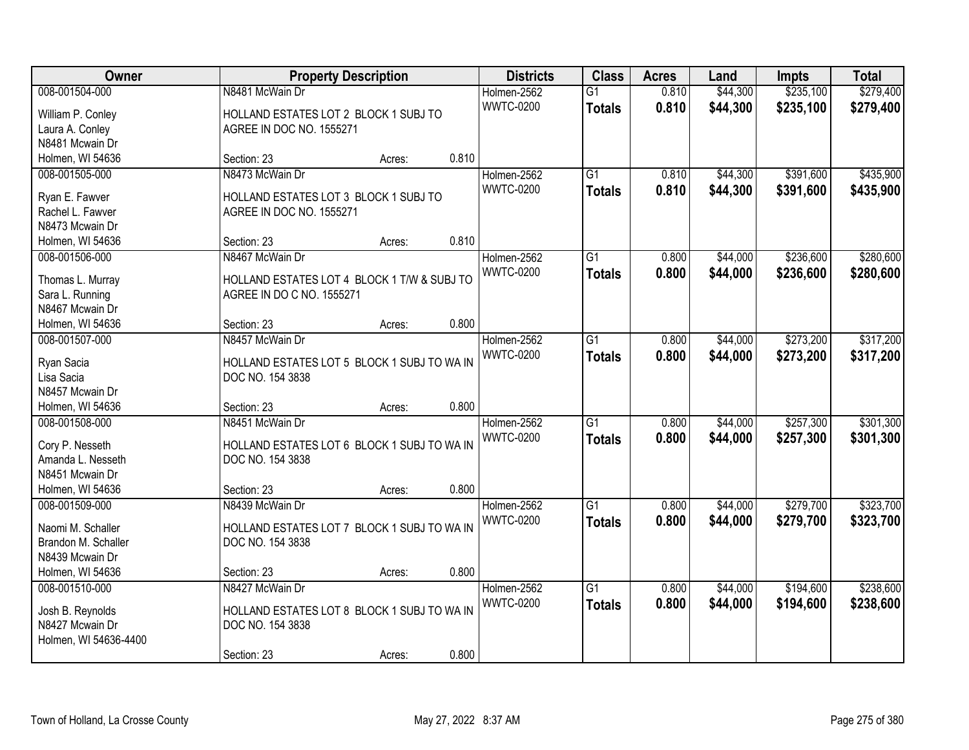| Owner                                |                                             | <b>Property Description</b> |       | <b>Districts</b> | <b>Class</b>    | <b>Acres</b> | Land     | <b>Impts</b> | <b>Total</b> |
|--------------------------------------|---------------------------------------------|-----------------------------|-------|------------------|-----------------|--------------|----------|--------------|--------------|
| 008-001504-000                       | N8481 McWain Dr                             |                             |       | Holmen-2562      | $\overline{G1}$ | 0.810        | \$44,300 | \$235,100    | \$279,400    |
| William P. Conley                    | HOLLAND ESTATES LOT 2 BLOCK 1 SUBJ TO       |                             |       | <b>WWTC-0200</b> | <b>Totals</b>   | 0.810        | \$44,300 | \$235,100    | \$279,400    |
| Laura A. Conley                      | AGREE IN DOC NO. 1555271                    |                             |       |                  |                 |              |          |              |              |
| N8481 Mcwain Dr                      |                                             |                             |       |                  |                 |              |          |              |              |
| Holmen, WI 54636                     | Section: 23                                 | Acres:                      | 0.810 |                  |                 |              |          |              |              |
| 008-001505-000                       | N8473 McWain Dr                             |                             |       | Holmen-2562      | $\overline{G1}$ | 0.810        | \$44,300 | \$391,600    | \$435,900    |
| Ryan E. Fawver                       | HOLLAND ESTATES LOT 3 BLOCK 1 SUBJ TO       |                             |       | <b>WWTC-0200</b> | <b>Totals</b>   | 0.810        | \$44,300 | \$391,600    | \$435,900    |
| Rachel L. Fawver                     | AGREE IN DOC NO. 1555271                    |                             |       |                  |                 |              |          |              |              |
| N8473 Mcwain Dr                      |                                             |                             |       |                  |                 |              |          |              |              |
| Holmen, WI 54636                     | Section: 23                                 | Acres:                      | 0.810 |                  |                 |              |          |              |              |
| 008-001506-000                       | N8467 McWain Dr                             |                             |       | Holmen-2562      | $\overline{G1}$ | 0.800        | \$44,000 | \$236,600    | \$280,600    |
|                                      |                                             |                             |       | <b>WWTC-0200</b> | <b>Totals</b>   | 0.800        | \$44,000 | \$236,600    | \$280,600    |
| Thomas L. Murray                     | HOLLAND ESTATES LOT 4 BLOCK 1 T/W & SUBJ TO |                             |       |                  |                 |              |          |              |              |
| Sara L. Running                      | AGREE IN DO C NO. 1555271                   |                             |       |                  |                 |              |          |              |              |
| N8467 Mcwain Dr                      |                                             |                             |       |                  |                 |              |          |              |              |
| Holmen, WI 54636                     | Section: 23                                 | Acres:                      | 0.800 |                  |                 |              |          |              |              |
| 008-001507-000                       | N8457 McWain Dr                             |                             |       | Holmen-2562      | $\overline{G1}$ | 0.800        | \$44,000 | \$273,200    | \$317,200    |
| Ryan Sacia                           | HOLLAND ESTATES LOT 5 BLOCK 1 SUBJ TO WA IN |                             |       | <b>WWTC-0200</b> | <b>Totals</b>   | 0.800        | \$44,000 | \$273,200    | \$317,200    |
| Lisa Sacia                           | DOC NO. 154 3838                            |                             |       |                  |                 |              |          |              |              |
| N8457 Mcwain Dr                      |                                             |                             |       |                  |                 |              |          |              |              |
| Holmen, WI 54636                     | Section: 23                                 | Acres:                      | 0.800 |                  |                 |              |          |              |              |
| 008-001508-000                       | N8451 McWain Dr                             |                             |       | Holmen-2562      | $\overline{G1}$ | 0.800        | \$44,000 | \$257,300    | \$301,300    |
|                                      |                                             |                             |       | <b>WWTC-0200</b> | <b>Totals</b>   | 0.800        | \$44,000 | \$257,300    | \$301,300    |
| Cory P. Nesseth<br>Amanda L. Nesseth | HOLLAND ESTATES LOT 6 BLOCK 1 SUBJ TO WA IN |                             |       |                  |                 |              |          |              |              |
| N8451 Mcwain Dr                      | DOC NO. 154 3838                            |                             |       |                  |                 |              |          |              |              |
| Holmen, WI 54636                     | Section: 23                                 | Acres:                      | 0.800 |                  |                 |              |          |              |              |
| 008-001509-000                       | N8439 McWain Dr                             |                             |       | Holmen-2562      | $\overline{G1}$ | 0.800        | \$44,000 | \$279,700    | \$323,700    |
|                                      |                                             |                             |       | <b>WWTC-0200</b> |                 | 0.800        | \$44,000 |              |              |
| Naomi M. Schaller                    | HOLLAND ESTATES LOT 7 BLOCK 1 SUBJ TO WA IN |                             |       |                  | <b>Totals</b>   |              |          | \$279,700    | \$323,700    |
| Brandon M. Schaller                  | DOC NO. 154 3838                            |                             |       |                  |                 |              |          |              |              |
| N8439 Mcwain Dr                      |                                             |                             |       |                  |                 |              |          |              |              |
| Holmen, WI 54636                     | Section: 23                                 | Acres:                      | 0.800 |                  |                 |              |          |              |              |
| 008-001510-000                       | N8427 McWain Dr                             |                             |       | Holmen-2562      | $\overline{G1}$ | 0.800        | \$44,000 | \$194,600    | \$238,600    |
| Josh B. Reynolds                     | HOLLAND ESTATES LOT 8 BLOCK 1 SUBJ TO WA IN |                             |       | <b>WWTC-0200</b> | <b>Totals</b>   | 0.800        | \$44,000 | \$194,600    | \$238,600    |
| N8427 Mcwain Dr                      | DOC NO. 154 3838                            |                             |       |                  |                 |              |          |              |              |
| Holmen, WI 54636-4400                |                                             |                             |       |                  |                 |              |          |              |              |
|                                      | Section: 23                                 | Acres:                      | 0.800 |                  |                 |              |          |              |              |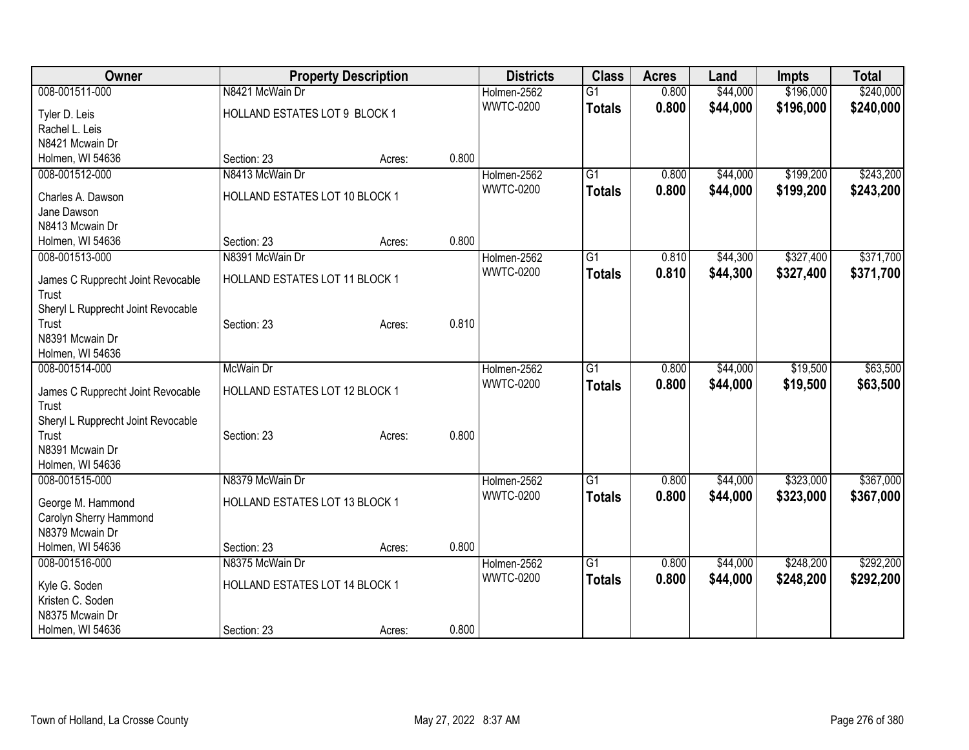| Owner                              |                                | <b>Property Description</b> |       | <b>Districts</b>                | <b>Class</b>    | <b>Acres</b> | Land     | <b>Impts</b> | <b>Total</b> |
|------------------------------------|--------------------------------|-----------------------------|-------|---------------------------------|-----------------|--------------|----------|--------------|--------------|
| 008-001511-000                     | N8421 McWain Dr                |                             |       | Holmen-2562                     | $\overline{G1}$ | 0.800        | \$44,000 | \$196,000    | \$240,000    |
| Tyler D. Leis                      | HOLLAND ESTATES LOT 9 BLOCK 1  |                             |       | <b>WWTC-0200</b>                | <b>Totals</b>   | 0.800        | \$44,000 | \$196,000    | \$240,000    |
| Rachel L. Leis                     |                                |                             |       |                                 |                 |              |          |              |              |
| N8421 Mcwain Dr                    |                                |                             |       |                                 |                 |              |          |              |              |
| Holmen, WI 54636                   | Section: 23                    | Acres:                      | 0.800 |                                 |                 |              |          |              |              |
| 008-001512-000                     | N8413 McWain Dr                |                             |       | Holmen-2562                     | G1              | 0.800        | \$44,000 | \$199,200    | \$243,200    |
| Charles A. Dawson                  | HOLLAND ESTATES LOT 10 BLOCK 1 |                             |       | <b>WWTC-0200</b>                | <b>Totals</b>   | 0.800        | \$44,000 | \$199,200    | \$243,200    |
| Jane Dawson                        |                                |                             |       |                                 |                 |              |          |              |              |
| N8413 Mcwain Dr                    |                                |                             |       |                                 |                 |              |          |              |              |
| Holmen, WI 54636                   | Section: 23                    | Acres:                      | 0.800 |                                 |                 |              |          |              |              |
| 008-001513-000                     | N8391 McWain Dr                |                             |       | Holmen-2562                     | G1              | 0.810        | \$44,300 | \$327,400    | \$371,700    |
| James C Rupprecht Joint Revocable  | HOLLAND ESTATES LOT 11 BLOCK 1 |                             |       | <b>WWTC-0200</b>                | <b>Totals</b>   | 0.810        | \$44,300 | \$327,400    | \$371,700    |
| Trust                              |                                |                             |       |                                 |                 |              |          |              |              |
| Sheryl L Rupprecht Joint Revocable |                                |                             |       |                                 |                 |              |          |              |              |
| Trust                              | Section: 23                    | Acres:                      | 0.810 |                                 |                 |              |          |              |              |
| N8391 Mcwain Dr                    |                                |                             |       |                                 |                 |              |          |              |              |
| Holmen, WI 54636                   |                                |                             |       |                                 |                 |              |          |              |              |
| 008-001514-000                     | McWain Dr                      |                             |       | Holmen-2562                     | $\overline{G1}$ | 0.800        | \$44,000 | \$19,500     | \$63,500     |
| James C Rupprecht Joint Revocable  | HOLLAND ESTATES LOT 12 BLOCK 1 |                             |       | <b>WWTC-0200</b>                | <b>Totals</b>   | 0.800        | \$44,000 | \$19,500     | \$63,500     |
| Trust                              |                                |                             |       |                                 |                 |              |          |              |              |
| Sheryl L Rupprecht Joint Revocable |                                |                             |       |                                 |                 |              |          |              |              |
| Trust                              | Section: 23                    | Acres:                      | 0.800 |                                 |                 |              |          |              |              |
| N8391 Mcwain Dr                    |                                |                             |       |                                 |                 |              |          |              |              |
| Holmen, WI 54636                   |                                |                             |       |                                 |                 |              |          |              |              |
| 008-001515-000                     | N8379 McWain Dr                |                             |       | Holmen-2562<br><b>WWTC-0200</b> | G1              | 0.800        | \$44,000 | \$323,000    | \$367,000    |
| George M. Hammond                  | HOLLAND ESTATES LOT 13 BLOCK 1 |                             |       |                                 | <b>Totals</b>   | 0.800        | \$44,000 | \$323,000    | \$367,000    |
| Carolyn Sherry Hammond             |                                |                             |       |                                 |                 |              |          |              |              |
| N8379 Mcwain Dr                    |                                |                             |       |                                 |                 |              |          |              |              |
| Holmen, WI 54636                   | Section: 23                    | Acres:                      | 0.800 |                                 |                 |              |          |              |              |
| 008-001516-000                     | N8375 McWain Dr                |                             |       | Holmen-2562                     | $\overline{G1}$ | 0.800        | \$44,000 | \$248,200    | \$292,200    |
| Kyle G. Soden                      | HOLLAND ESTATES LOT 14 BLOCK 1 |                             |       | <b>WWTC-0200</b>                | <b>Totals</b>   | 0.800        | \$44,000 | \$248,200    | \$292,200    |
| Kristen C. Soden                   |                                |                             |       |                                 |                 |              |          |              |              |
| N8375 Mcwain Dr                    |                                |                             |       |                                 |                 |              |          |              |              |
| Holmen, WI 54636                   | Section: 23                    | Acres:                      | 0.800 |                                 |                 |              |          |              |              |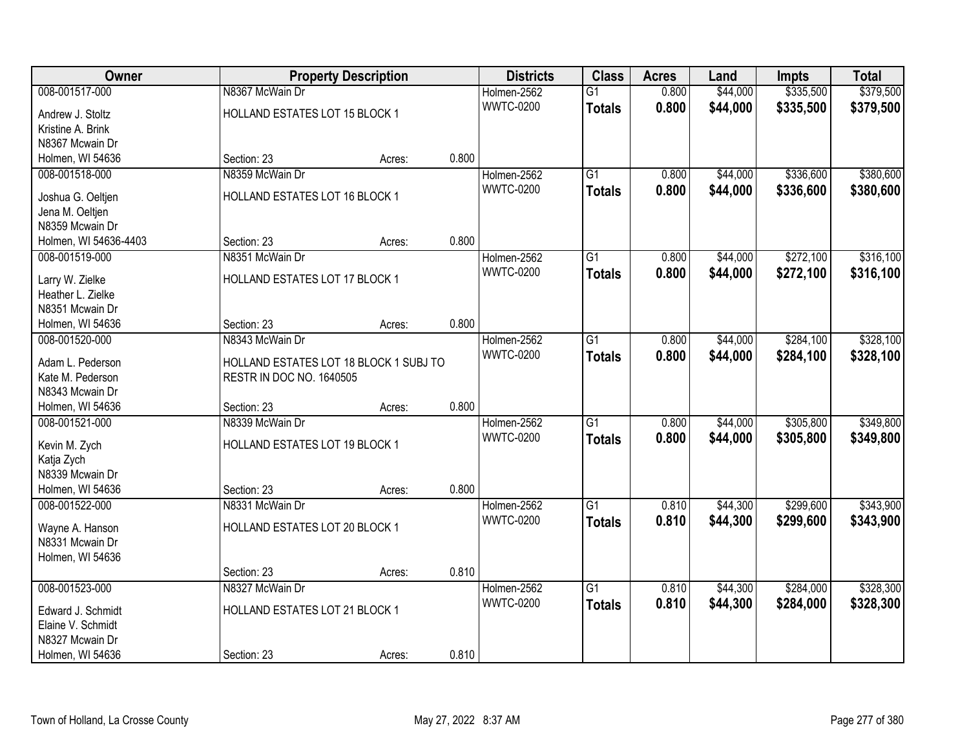| Owner                 |                                        | <b>Property Description</b> |       | <b>Districts</b> | <b>Class</b>    | <b>Acres</b> | Land     | <b>Impts</b> | <b>Total</b> |
|-----------------------|----------------------------------------|-----------------------------|-------|------------------|-----------------|--------------|----------|--------------|--------------|
| 008-001517-000        | N8367 McWain Dr                        |                             |       | Holmen-2562      | $\overline{G1}$ | 0.800        | \$44,000 | \$335,500    | \$379,500    |
| Andrew J. Stoltz      | HOLLAND ESTATES LOT 15 BLOCK 1         |                             |       | <b>WWTC-0200</b> | <b>Totals</b>   | 0.800        | \$44,000 | \$335,500    | \$379,500    |
| Kristine A. Brink     |                                        |                             |       |                  |                 |              |          |              |              |
| N8367 Mcwain Dr       |                                        |                             |       |                  |                 |              |          |              |              |
| Holmen, WI 54636      | Section: 23                            | Acres:                      | 0.800 |                  |                 |              |          |              |              |
| 008-001518-000        | N8359 McWain Dr                        |                             |       | Holmen-2562      | $\overline{G1}$ | 0.800        | \$44,000 | \$336,600    | \$380,600    |
| Joshua G. Oeltjen     | HOLLAND ESTATES LOT 16 BLOCK 1         |                             |       | <b>WWTC-0200</b> | <b>Totals</b>   | 0.800        | \$44,000 | \$336,600    | \$380,600    |
| Jena M. Oeltjen       |                                        |                             |       |                  |                 |              |          |              |              |
| N8359 Mcwain Dr       |                                        |                             |       |                  |                 |              |          |              |              |
| Holmen, WI 54636-4403 | Section: 23                            | Acres:                      | 0.800 |                  |                 |              |          |              |              |
| 008-001519-000        | N8351 McWain Dr                        |                             |       | Holmen-2562      | $\overline{G1}$ | 0.800        | \$44,000 | \$272,100    | \$316,100    |
|                       |                                        |                             |       | <b>WWTC-0200</b> | <b>Totals</b>   | 0.800        | \$44,000 | \$272,100    | \$316,100    |
| Larry W. Zielke       | HOLLAND ESTATES LOT 17 BLOCK 1         |                             |       |                  |                 |              |          |              |              |
| Heather L. Zielke     |                                        |                             |       |                  |                 |              |          |              |              |
| N8351 Mcwain Dr       |                                        |                             |       |                  |                 |              |          |              |              |
| Holmen, WI 54636      | Section: 23                            | Acres:                      | 0.800 |                  |                 |              |          |              |              |
| 008-001520-000        | N8343 McWain Dr                        |                             |       | Holmen-2562      | $\overline{G1}$ | 0.800        | \$44,000 | \$284,100    | \$328,100    |
| Adam L. Pederson      | HOLLAND ESTATES LOT 18 BLOCK 1 SUBJ TO |                             |       | <b>WWTC-0200</b> | <b>Totals</b>   | 0.800        | \$44,000 | \$284,100    | \$328,100    |
| Kate M. Pederson      | RESTR IN DOC NO. 1640505               |                             |       |                  |                 |              |          |              |              |
| N8343 Mcwain Dr       |                                        |                             |       |                  |                 |              |          |              |              |
| Holmen, WI 54636      | Section: 23                            | Acres:                      | 0.800 |                  |                 |              |          |              |              |
| 008-001521-000        | N8339 McWain Dr                        |                             |       | Holmen-2562      | $\overline{G1}$ | 0.800        | \$44,000 | \$305,800    | \$349,800    |
| Kevin M. Zych         | HOLLAND ESTATES LOT 19 BLOCK 1         |                             |       | <b>WWTC-0200</b> | <b>Totals</b>   | 0.800        | \$44,000 | \$305,800    | \$349,800    |
| Katja Zych            |                                        |                             |       |                  |                 |              |          |              |              |
| N8339 Mcwain Dr       |                                        |                             |       |                  |                 |              |          |              |              |
| Holmen, WI 54636      | Section: 23                            | Acres:                      | 0.800 |                  |                 |              |          |              |              |
| 008-001522-000        | N8331 McWain Dr                        |                             |       | Holmen-2562      | $\overline{G1}$ | 0.810        | \$44,300 | \$299,600    | \$343,900    |
|                       |                                        |                             |       | <b>WWTC-0200</b> | <b>Totals</b>   | 0.810        | \$44,300 | \$299,600    | \$343,900    |
| Wayne A. Hanson       | HOLLAND ESTATES LOT 20 BLOCK 1         |                             |       |                  |                 |              |          |              |              |
| N8331 Mcwain Dr       |                                        |                             |       |                  |                 |              |          |              |              |
| Holmen, WI 54636      |                                        |                             |       |                  |                 |              |          |              |              |
|                       | Section: 23                            | Acres:                      | 0.810 |                  |                 |              |          |              |              |
| 008-001523-000        | N8327 McWain Dr                        |                             |       | Holmen-2562      | $\overline{G1}$ | 0.810        | \$44,300 | \$284,000    | \$328,300    |
| Edward J. Schmidt     | HOLLAND ESTATES LOT 21 BLOCK 1         |                             |       | <b>WWTC-0200</b> | <b>Totals</b>   | 0.810        | \$44,300 | \$284,000    | \$328,300    |
| Elaine V. Schmidt     |                                        |                             |       |                  |                 |              |          |              |              |
| N8327 Mcwain Dr       |                                        |                             |       |                  |                 |              |          |              |              |
| Holmen, WI 54636      | Section: 23                            | Acres:                      | 0.810 |                  |                 |              |          |              |              |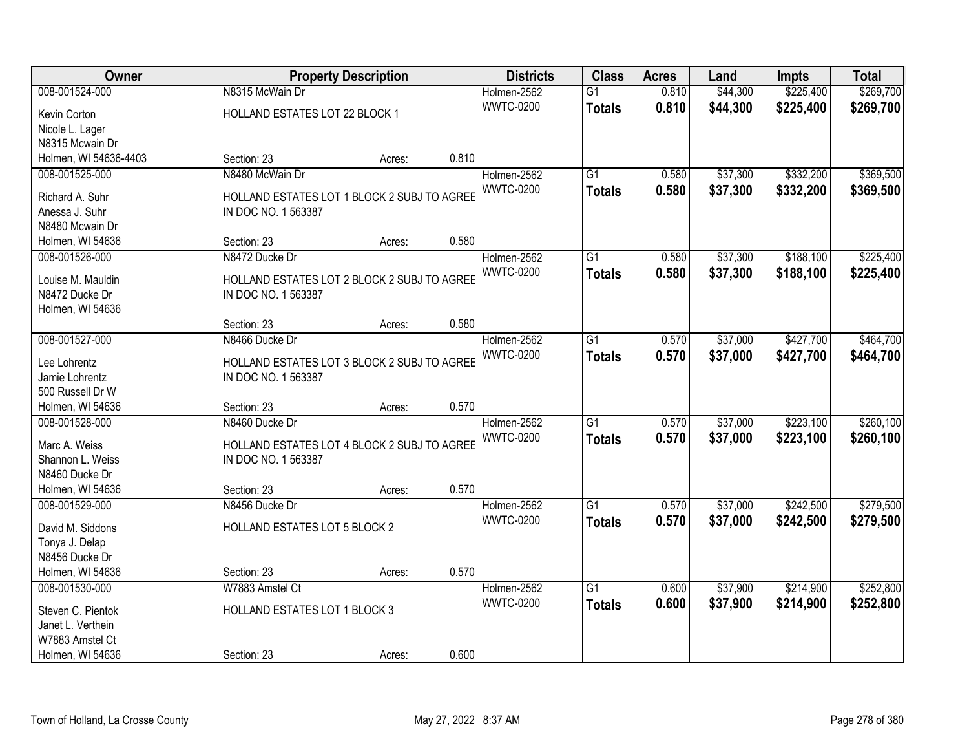| Owner                 |                                                                    | <b>Property Description</b> |       | <b>Districts</b> | <b>Class</b>    | <b>Acres</b> | Land     | Impts     | <b>Total</b> |
|-----------------------|--------------------------------------------------------------------|-----------------------------|-------|------------------|-----------------|--------------|----------|-----------|--------------|
| 008-001524-000        | N8315 McWain Dr                                                    |                             |       | Holmen-2562      | $\overline{G1}$ | 0.810        | \$44,300 | \$225,400 | \$269,700    |
| Kevin Corton          | HOLLAND ESTATES LOT 22 BLOCK 1                                     |                             |       | <b>WWTC-0200</b> | <b>Totals</b>   | 0.810        | \$44,300 | \$225,400 | \$269,700    |
| Nicole L. Lager       |                                                                    |                             |       |                  |                 |              |          |           |              |
| N8315 Mcwain Dr       |                                                                    |                             |       |                  |                 |              |          |           |              |
| Holmen, WI 54636-4403 | Section: 23                                                        | Acres:                      | 0.810 |                  |                 |              |          |           |              |
| 008-001525-000        | N8480 McWain Dr                                                    |                             |       | Holmen-2562      | $\overline{G1}$ | 0.580        | \$37,300 | \$332,200 | \$369,500    |
| Richard A. Suhr       |                                                                    |                             |       | <b>WWTC-0200</b> | <b>Totals</b>   | 0.580        | \$37,300 | \$332,200 | \$369,500    |
| Anessa J. Suhr        | HOLLAND ESTATES LOT 1 BLOCK 2 SUBJ TO AGREE<br>IN DOC NO. 1 563387 |                             |       |                  |                 |              |          |           |              |
| N8480 Mcwain Dr       |                                                                    |                             |       |                  |                 |              |          |           |              |
| Holmen, WI 54636      | Section: 23                                                        | Acres:                      | 0.580 |                  |                 |              |          |           |              |
| 008-001526-000        | N8472 Ducke Dr                                                     |                             |       | Holmen-2562      | $\overline{G1}$ | 0.580        | \$37,300 | \$188,100 | \$225,400    |
|                       |                                                                    |                             |       | <b>WWTC-0200</b> | <b>Totals</b>   | 0.580        | \$37,300 | \$188,100 | \$225,400    |
| Louise M. Mauldin     | HOLLAND ESTATES LOT 2 BLOCK 2 SUBJ TO AGREE                        |                             |       |                  |                 |              |          |           |              |
| N8472 Ducke Dr        | IN DOC NO. 1 563387                                                |                             |       |                  |                 |              |          |           |              |
| Holmen, WI 54636      |                                                                    |                             |       |                  |                 |              |          |           |              |
|                       | Section: 23                                                        | Acres:                      | 0.580 |                  |                 |              |          |           |              |
| 008-001527-000        | N8466 Ducke Dr                                                     |                             |       | Holmen-2562      | $\overline{G1}$ | 0.570        | \$37,000 | \$427,700 | \$464,700    |
| Lee Lohrentz          | HOLLAND ESTATES LOT 3 BLOCK 2 SUBJ TO AGREE                        |                             |       | <b>WWTC-0200</b> | <b>Totals</b>   | 0.570        | \$37,000 | \$427,700 | \$464,700    |
| Jamie Lohrentz        | IN DOC NO. 1 563387                                                |                             |       |                  |                 |              |          |           |              |
| 500 Russell Dr W      |                                                                    |                             |       |                  |                 |              |          |           |              |
| Holmen, WI 54636      | Section: 23                                                        | Acres:                      | 0.570 |                  |                 |              |          |           |              |
| 008-001528-000        | N8460 Ducke Dr                                                     |                             |       | Holmen-2562      | $\overline{G1}$ | 0.570        | \$37,000 | \$223,100 | \$260,100    |
| Marc A. Weiss         | HOLLAND ESTATES LOT 4 BLOCK 2 SUBJ TO AGREE                        |                             |       | <b>WWTC-0200</b> | <b>Totals</b>   | 0.570        | \$37,000 | \$223,100 | \$260,100    |
| Shannon L. Weiss      | IN DOC NO. 1 563387                                                |                             |       |                  |                 |              |          |           |              |
| N8460 Ducke Dr        |                                                                    |                             |       |                  |                 |              |          |           |              |
| Holmen, WI 54636      | Section: 23                                                        | Acres:                      | 0.570 |                  |                 |              |          |           |              |
| 008-001529-000        | N8456 Ducke Dr                                                     |                             |       | Holmen-2562      | $\overline{G1}$ | 0.570        | \$37,000 | \$242,500 | \$279,500    |
|                       |                                                                    |                             |       | <b>WWTC-0200</b> | <b>Totals</b>   | 0.570        | \$37,000 | \$242,500 | \$279,500    |
| David M. Siddons      | HOLLAND ESTATES LOT 5 BLOCK 2                                      |                             |       |                  |                 |              |          |           |              |
| Tonya J. Delap        |                                                                    |                             |       |                  |                 |              |          |           |              |
| N8456 Ducke Dr        |                                                                    |                             |       |                  |                 |              |          |           |              |
| Holmen, WI 54636      | Section: 23                                                        | Acres:                      | 0.570 |                  |                 |              |          |           |              |
| 008-001530-000        | W7883 Amstel Ct                                                    |                             |       | Holmen-2562      | $\overline{G1}$ | 0.600        | \$37,900 | \$214,900 | \$252,800    |
| Steven C. Pientok     | HOLLAND ESTATES LOT 1 BLOCK 3                                      |                             |       | <b>WWTC-0200</b> | <b>Totals</b>   | 0.600        | \$37,900 | \$214,900 | \$252,800    |
| Janet L. Verthein     |                                                                    |                             |       |                  |                 |              |          |           |              |
| W7883 Amstel Ct       |                                                                    |                             |       |                  |                 |              |          |           |              |
| Holmen, WI 54636      | Section: 23                                                        | Acres:                      | 0.600 |                  |                 |              |          |           |              |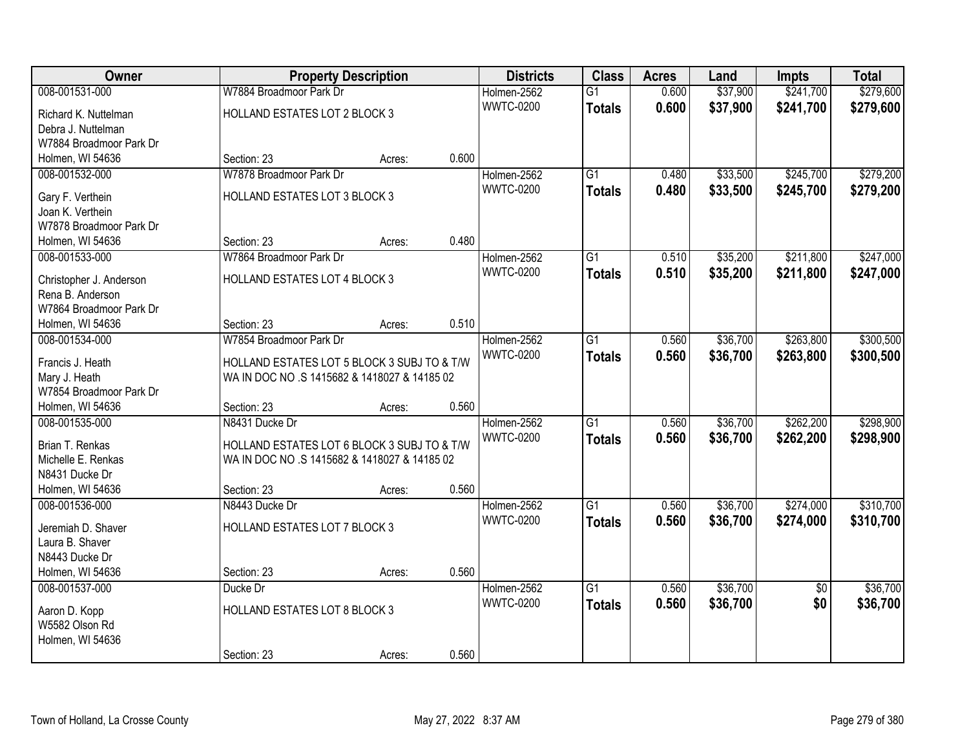| Owner                                 |                                                                                             | <b>Property Description</b> |       | <b>Districts</b> | <b>Class</b>    | <b>Acres</b> | Land     | <b>Impts</b>    | <b>Total</b> |
|---------------------------------------|---------------------------------------------------------------------------------------------|-----------------------------|-------|------------------|-----------------|--------------|----------|-----------------|--------------|
| 008-001531-000                        | W7884 Broadmoor Park Dr                                                                     |                             |       | Holmen-2562      | $\overline{G1}$ | 0.600        | \$37,900 | \$241,700       | \$279,600    |
| Richard K. Nuttelman                  | HOLLAND ESTATES LOT 2 BLOCK 3                                                               |                             |       | <b>WWTC-0200</b> | <b>Totals</b>   | 0.600        | \$37,900 | \$241,700       | \$279,600    |
| Debra J. Nuttelman                    |                                                                                             |                             |       |                  |                 |              |          |                 |              |
| W7884 Broadmoor Park Dr               |                                                                                             |                             |       |                  |                 |              |          |                 |              |
| Holmen, WI 54636                      | Section: 23                                                                                 | Acres:                      | 0.600 |                  |                 |              |          |                 |              |
| 008-001532-000                        | W7878 Broadmoor Park Dr                                                                     |                             |       | Holmen-2562      | $\overline{G1}$ | 0.480        | \$33,500 | \$245,700       | \$279,200    |
| Gary F. Verthein                      | HOLLAND ESTATES LOT 3 BLOCK 3                                                               |                             |       | <b>WWTC-0200</b> | <b>Totals</b>   | 0.480        | \$33,500 | \$245,700       | \$279,200    |
| Joan K. Verthein                      |                                                                                             |                             |       |                  |                 |              |          |                 |              |
| W7878 Broadmoor Park Dr               |                                                                                             |                             |       |                  |                 |              |          |                 |              |
| Holmen, WI 54636                      | Section: 23                                                                                 | Acres:                      | 0.480 |                  |                 |              |          |                 |              |
| 008-001533-000                        | W7864 Broadmoor Park Dr                                                                     |                             |       | Holmen-2562      | G1              | 0.510        | \$35,200 | \$211,800       | \$247,000    |
| Christopher J. Anderson               | <b>HOLLAND ESTATES LOT 4 BLOCK 3</b>                                                        |                             |       | <b>WWTC-0200</b> | <b>Totals</b>   | 0.510        | \$35,200 | \$211,800       | \$247,000    |
| Rena B. Anderson                      |                                                                                             |                             |       |                  |                 |              |          |                 |              |
| W7864 Broadmoor Park Dr               |                                                                                             |                             |       |                  |                 |              |          |                 |              |
| Holmen, WI 54636                      | Section: 23                                                                                 | Acres:                      | 0.510 |                  |                 |              |          |                 |              |
| 008-001534-000                        | W7854 Broadmoor Park Dr                                                                     |                             |       | Holmen-2562      | G1              | 0.560        | \$36,700 | \$263,800       | \$300,500    |
| Francis J. Heath                      | HOLLAND ESTATES LOT 5 BLOCK 3 SUBJ TO & T/W                                                 |                             |       | <b>WWTC-0200</b> | <b>Totals</b>   | 0.560        | \$36,700 | \$263,800       | \$300,500    |
| Mary J. Heath                         | WA IN DOC NO .S 1415682 & 1418027 & 14185 02                                                |                             |       |                  |                 |              |          |                 |              |
| W7854 Broadmoor Park Dr               |                                                                                             |                             |       |                  |                 |              |          |                 |              |
| Holmen, WI 54636                      | Section: 23                                                                                 | Acres:                      | 0.560 |                  |                 |              |          |                 |              |
| 008-001535-000                        | N8431 Ducke Dr                                                                              |                             |       | Holmen-2562      | $\overline{G1}$ | 0.560        | \$36,700 | \$262,200       | \$298,900    |
|                                       |                                                                                             |                             |       | <b>WWTC-0200</b> | <b>Totals</b>   | 0.560        | \$36,700 | \$262,200       | \$298,900    |
| Brian T. Renkas<br>Michelle E. Renkas | HOLLAND ESTATES LOT 6 BLOCK 3 SUBJ TO & T/W<br>WA IN DOC NO .S 1415682 & 1418027 & 14185 02 |                             |       |                  |                 |              |          |                 |              |
| N8431 Ducke Dr                        |                                                                                             |                             |       |                  |                 |              |          |                 |              |
| Holmen, WI 54636                      | Section: 23                                                                                 | Acres:                      | 0.560 |                  |                 |              |          |                 |              |
| 008-001536-000                        | N8443 Ducke Dr                                                                              |                             |       | Holmen-2562      | $\overline{G1}$ | 0.560        | \$36,700 | \$274,000       | \$310,700    |
|                                       |                                                                                             |                             |       | <b>WWTC-0200</b> | <b>Totals</b>   | 0.560        | \$36,700 | \$274,000       | \$310,700    |
| Jeremiah D. Shaver                    | HOLLAND ESTATES LOT 7 BLOCK 3                                                               |                             |       |                  |                 |              |          |                 |              |
| Laura B. Shaver<br>N8443 Ducke Dr     |                                                                                             |                             |       |                  |                 |              |          |                 |              |
| Holmen, WI 54636                      | Section: 23                                                                                 | Acres:                      | 0.560 |                  |                 |              |          |                 |              |
| 008-001537-000                        | Ducke Dr                                                                                    |                             |       | Holmen-2562      | $\overline{G1}$ | 0.560        | \$36,700 | $\overline{50}$ | \$36,700     |
|                                       |                                                                                             |                             |       | <b>WWTC-0200</b> | <b>Totals</b>   | 0.560        | \$36,700 | \$0             | \$36,700     |
| Aaron D. Kopp                         | HOLLAND ESTATES LOT 8 BLOCK 3                                                               |                             |       |                  |                 |              |          |                 |              |
| W5582 Olson Rd                        |                                                                                             |                             |       |                  |                 |              |          |                 |              |
| Holmen, WI 54636                      | Section: 23                                                                                 |                             | 0.560 |                  |                 |              |          |                 |              |
|                                       |                                                                                             | Acres:                      |       |                  |                 |              |          |                 |              |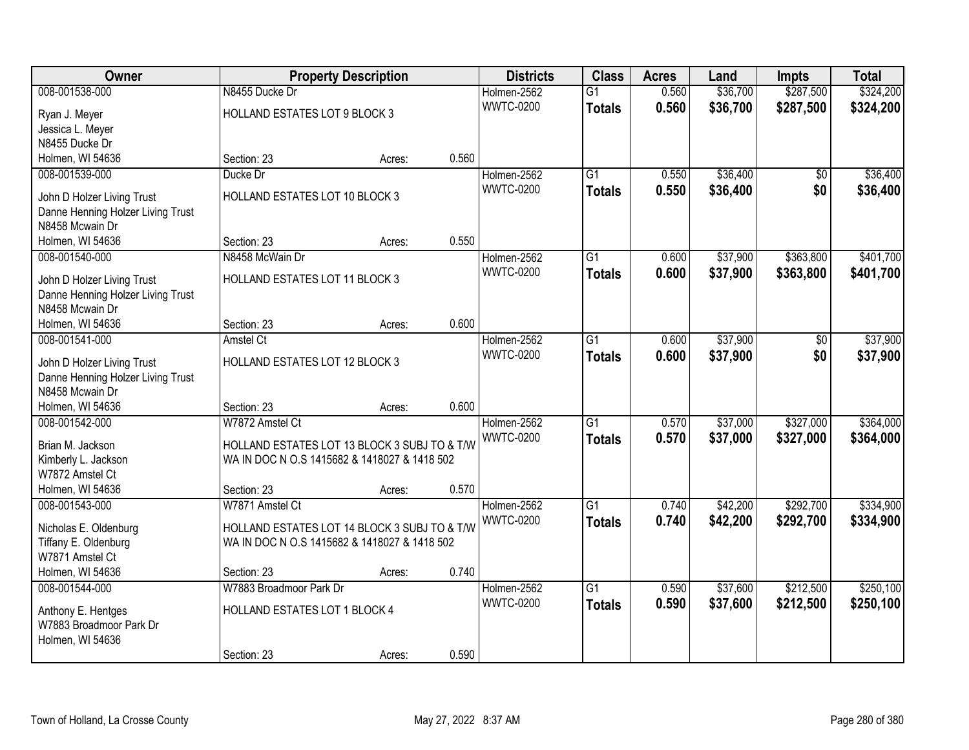| Owner                                                           |                                              | <b>Property Description</b> |       | <b>Districts</b> | <b>Class</b>    | <b>Acres</b> | Land     | <b>Impts</b>    | <b>Total</b> |
|-----------------------------------------------------------------|----------------------------------------------|-----------------------------|-------|------------------|-----------------|--------------|----------|-----------------|--------------|
| 008-001538-000                                                  | N8455 Ducke Dr                               |                             |       | Holmen-2562      | $\overline{G1}$ | 0.560        | \$36,700 | \$287,500       | \$324,200    |
| Ryan J. Meyer                                                   | HOLLAND ESTATES LOT 9 BLOCK 3                |                             |       | <b>WWTC-0200</b> | <b>Totals</b>   | 0.560        | \$36,700 | \$287,500       | \$324,200    |
| Jessica L. Meyer                                                |                                              |                             |       |                  |                 |              |          |                 |              |
| N8455 Ducke Dr                                                  |                                              |                             |       |                  |                 |              |          |                 |              |
| Holmen, WI 54636                                                | Section: 23                                  | Acres:                      | 0.560 |                  |                 |              |          |                 |              |
| 008-001539-000                                                  | Ducke Dr                                     |                             |       | Holmen-2562      | $\overline{G1}$ | 0.550        | \$36,400 | $\overline{50}$ | \$36,400     |
| John D Holzer Living Trust                                      | HOLLAND ESTATES LOT 10 BLOCK 3               |                             |       | <b>WWTC-0200</b> | <b>Totals</b>   | 0.550        | \$36,400 | \$0             | \$36,400     |
| Danne Henning Holzer Living Trust                               |                                              |                             |       |                  |                 |              |          |                 |              |
| N8458 Mcwain Dr                                                 |                                              |                             |       |                  |                 |              |          |                 |              |
| Holmen, WI 54636                                                | Section: 23                                  | Acres:                      | 0.550 |                  |                 |              |          |                 |              |
| 008-001540-000                                                  | N8458 McWain Dr                              |                             |       | Holmen-2562      | $\overline{G1}$ | 0.600        | \$37,900 | \$363,800       | \$401,700    |
|                                                                 |                                              |                             |       | <b>WWTC-0200</b> | <b>Totals</b>   | 0.600        | \$37,900 | \$363,800       | \$401,700    |
| John D Holzer Living Trust<br>Danne Henning Holzer Living Trust | HOLLAND ESTATES LOT 11 BLOCK 3               |                             |       |                  |                 |              |          |                 |              |
| N8458 Mcwain Dr                                                 |                                              |                             |       |                  |                 |              |          |                 |              |
| Holmen, WI 54636                                                | Section: 23                                  | Acres:                      | 0.600 |                  |                 |              |          |                 |              |
| 008-001541-000                                                  | <b>Amstel Ct</b>                             |                             |       | Holmen-2562      | G1              | 0.600        | \$37,900 | \$0             | \$37,900     |
|                                                                 |                                              |                             |       | <b>WWTC-0200</b> | <b>Totals</b>   | 0.600        | \$37,900 | \$0             | \$37,900     |
| John D Holzer Living Trust                                      | HOLLAND ESTATES LOT 12 BLOCK 3               |                             |       |                  |                 |              |          |                 |              |
| Danne Henning Holzer Living Trust                               |                                              |                             |       |                  |                 |              |          |                 |              |
| N8458 Mcwain Dr<br>Holmen, WI 54636                             | Section: 23                                  |                             | 0.600 |                  |                 |              |          |                 |              |
| 008-001542-000                                                  | W7872 Amstel Ct                              | Acres:                      |       | Holmen-2562      | $\overline{G1}$ | 0.570        | \$37,000 | \$327,000       | \$364,000    |
|                                                                 |                                              |                             |       | <b>WWTC-0200</b> |                 | 0.570        | \$37,000 | \$327,000       |              |
| Brian M. Jackson                                                | HOLLAND ESTATES LOT 13 BLOCK 3 SUBJ TO & T/W |                             |       |                  | <b>Totals</b>   |              |          |                 | \$364,000    |
| Kimberly L. Jackson                                             | WA IN DOC N O.S 1415682 & 1418027 & 1418 502 |                             |       |                  |                 |              |          |                 |              |
| W7872 Amstel Ct                                                 |                                              |                             |       |                  |                 |              |          |                 |              |
| Holmen, WI 54636                                                | Section: 23                                  | Acres:                      | 0.570 |                  |                 |              |          |                 |              |
| 008-001543-000                                                  | W7871 Amstel Ct                              |                             |       | Holmen-2562      | $\overline{G1}$ | 0.740        | \$42,200 | \$292,700       | \$334,900    |
| Nicholas E. Oldenburg                                           | HOLLAND ESTATES LOT 14 BLOCK 3 SUBJ TO & T/W |                             |       | <b>WWTC-0200</b> | <b>Totals</b>   | 0.740        | \$42,200 | \$292,700       | \$334,900    |
| Tiffany E. Oldenburg                                            | WA IN DOC N O.S 1415682 & 1418027 & 1418 502 |                             |       |                  |                 |              |          |                 |              |
| W7871 Amstel Ct                                                 |                                              |                             |       |                  |                 |              |          |                 |              |
| Holmen, WI 54636                                                | Section: 23                                  | Acres:                      | 0.740 |                  |                 |              |          |                 |              |
| 008-001544-000                                                  | W7883 Broadmoor Park Dr                      |                             |       | Holmen-2562      | $\overline{G1}$ | 0.590        | \$37,600 | \$212,500       | \$250,100    |
| Anthony E. Hentges                                              | HOLLAND ESTATES LOT 1 BLOCK 4                |                             |       | <b>WWTC-0200</b> | <b>Totals</b>   | 0.590        | \$37,600 | \$212,500       | \$250,100    |
| W7883 Broadmoor Park Dr                                         |                                              |                             |       |                  |                 |              |          |                 |              |
| Holmen, WI 54636                                                |                                              |                             |       |                  |                 |              |          |                 |              |
|                                                                 | Section: 23                                  | Acres:                      | 0.590 |                  |                 |              |          |                 |              |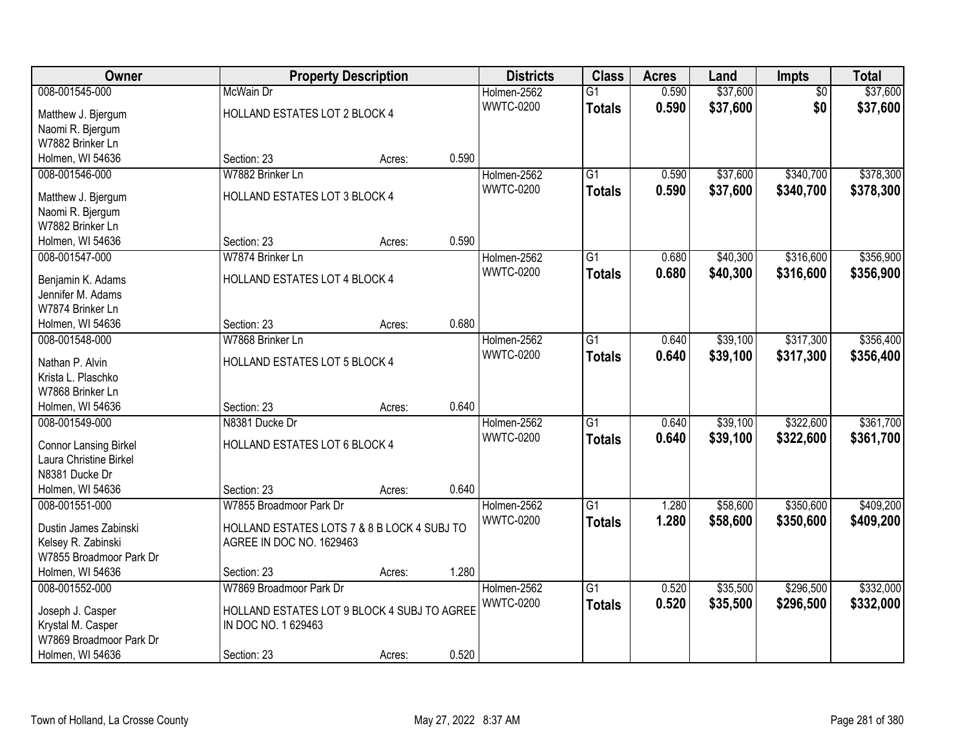| Owner                                |                                             | <b>Property Description</b> |       | <b>Districts</b> | <b>Class</b>    | <b>Acres</b> | Land     | <b>Impts</b>    | <b>Total</b> |
|--------------------------------------|---------------------------------------------|-----------------------------|-------|------------------|-----------------|--------------|----------|-----------------|--------------|
| 008-001545-000                       | McWain Dr                                   |                             |       | Holmen-2562      | $\overline{G1}$ | 0.590        | \$37,600 | $\overline{50}$ | \$37,600     |
| Matthew J. Bjergum                   | HOLLAND ESTATES LOT 2 BLOCK 4               |                             |       | <b>WWTC-0200</b> | <b>Totals</b>   | 0.590        | \$37,600 | \$0             | \$37,600     |
| Naomi R. Bjergum                     |                                             |                             |       |                  |                 |              |          |                 |              |
| W7882 Brinker Ln                     |                                             |                             |       |                  |                 |              |          |                 |              |
| Holmen, WI 54636                     | Section: 23                                 | Acres:                      | 0.590 |                  |                 |              |          |                 |              |
| 008-001546-000                       | W7882 Brinker Ln                            |                             |       | Holmen-2562      | $\overline{G1}$ | 0.590        | \$37,600 | \$340,700       | \$378,300    |
|                                      |                                             |                             |       | <b>WWTC-0200</b> | <b>Totals</b>   | 0.590        | \$37,600 | \$340,700       | \$378,300    |
| Matthew J. Bjergum                   | HOLLAND ESTATES LOT 3 BLOCK 4               |                             |       |                  |                 |              |          |                 |              |
| Naomi R. Bjergum<br>W7882 Brinker Ln |                                             |                             |       |                  |                 |              |          |                 |              |
|                                      | Section: 23                                 |                             | 0.590 |                  |                 |              |          |                 |              |
| Holmen, WI 54636<br>008-001547-000   | W7874 Brinker Ln                            | Acres:                      |       |                  | G1              | 0.680        | \$40,300 | \$316,600       | \$356,900    |
|                                      |                                             |                             |       | Holmen-2562      |                 |              |          |                 |              |
| Benjamin K. Adams                    | HOLLAND ESTATES LOT 4 BLOCK 4               |                             |       | <b>WWTC-0200</b> | <b>Totals</b>   | 0.680        | \$40,300 | \$316,600       | \$356,900    |
| Jennifer M. Adams                    |                                             |                             |       |                  |                 |              |          |                 |              |
| W7874 Brinker Ln                     |                                             |                             |       |                  |                 |              |          |                 |              |
| Holmen, WI 54636                     | Section: 23                                 | Acres:                      | 0.680 |                  |                 |              |          |                 |              |
| 008-001548-000                       | W7868 Brinker Ln                            |                             |       | Holmen-2562      | G1              | 0.640        | \$39,100 | \$317,300       | \$356,400    |
| Nathan P. Alvin                      | HOLLAND ESTATES LOT 5 BLOCK 4               |                             |       | <b>WWTC-0200</b> | <b>Totals</b>   | 0.640        | \$39,100 | \$317,300       | \$356,400    |
| Krista L. Plaschko                   |                                             |                             |       |                  |                 |              |          |                 |              |
| W7868 Brinker Ln                     |                                             |                             |       |                  |                 |              |          |                 |              |
| Holmen, WI 54636                     | Section: 23                                 | Acres:                      | 0.640 |                  |                 |              |          |                 |              |
| 008-001549-000                       | N8381 Ducke Dr                              |                             |       | Holmen-2562      | $\overline{G1}$ | 0.640        | \$39,100 | \$322,600       | \$361,700    |
|                                      |                                             |                             |       | <b>WWTC-0200</b> |                 | 0.640        | \$39,100 | \$322,600       | \$361,700    |
| <b>Connor Lansing Birkel</b>         | HOLLAND ESTATES LOT 6 BLOCK 4               |                             |       |                  | <b>Totals</b>   |              |          |                 |              |
| Laura Christine Birkel               |                                             |                             |       |                  |                 |              |          |                 |              |
| N8381 Ducke Dr                       |                                             |                             |       |                  |                 |              |          |                 |              |
| Holmen, WI 54636                     | Section: 23                                 | Acres:                      | 0.640 |                  |                 |              |          |                 |              |
| 008-001551-000                       | W7855 Broadmoor Park Dr                     |                             |       | Holmen-2562      | $\overline{G1}$ | 1.280        | \$58,600 | \$350,600       | \$409,200    |
| Dustin James Zabinski                | HOLLAND ESTATES LOTS 7 & 8 B LOCK 4 SUBJ TO |                             |       | <b>WWTC-0200</b> | <b>Totals</b>   | 1.280        | \$58,600 | \$350,600       | \$409,200    |
| Kelsey R. Zabinski                   | AGREE IN DOC NO. 1629463                    |                             |       |                  |                 |              |          |                 |              |
| W7855 Broadmoor Park Dr              |                                             |                             |       |                  |                 |              |          |                 |              |
| Holmen, WI 54636                     | Section: 23                                 | Acres:                      | 1.280 |                  |                 |              |          |                 |              |
| 008-001552-000                       | W7869 Broadmoor Park Dr                     |                             |       | Holmen-2562      | $\overline{G1}$ | 0.520        | \$35,500 | \$296,500       | \$332,000    |
|                                      |                                             |                             |       | <b>WWTC-0200</b> | <b>Totals</b>   | 0.520        | \$35,500 | \$296,500       | \$332,000    |
| Joseph J. Casper                     | HOLLAND ESTATES LOT 9 BLOCK 4 SUBJ TO AGREE |                             |       |                  |                 |              |          |                 |              |
| Krystal M. Casper                    | IN DOC NO. 1 629463                         |                             |       |                  |                 |              |          |                 |              |
| W7869 Broadmoor Park Dr              |                                             |                             |       |                  |                 |              |          |                 |              |
| Holmen, WI 54636                     | Section: 23                                 | Acres:                      | 0.520 |                  |                 |              |          |                 |              |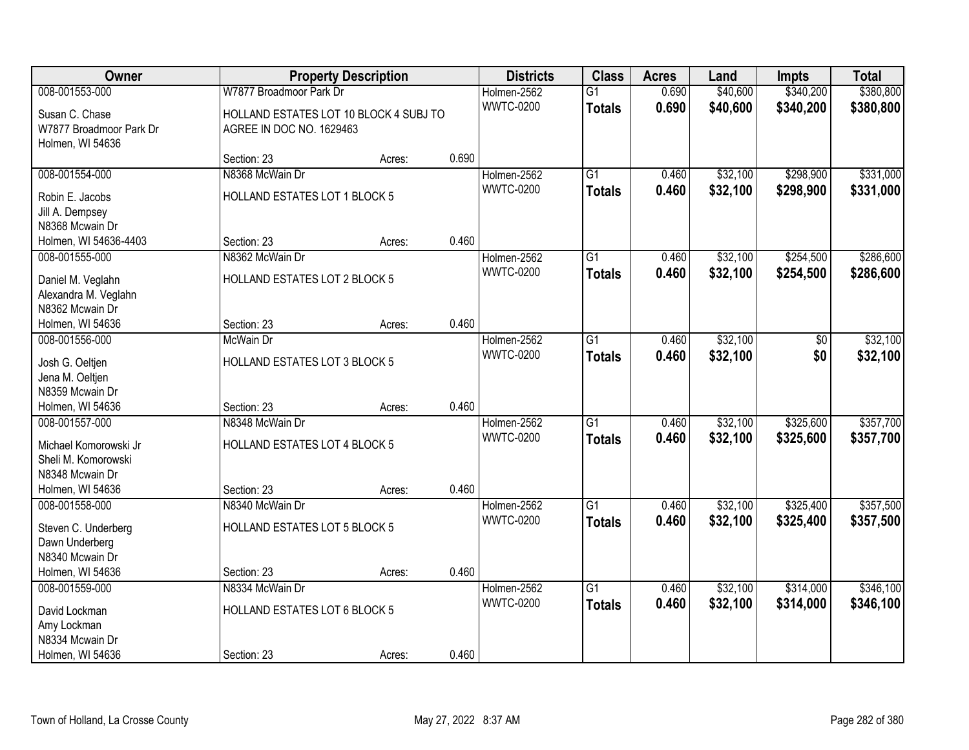| Owner                               |                                        | <b>Property Description</b> |       | <b>Districts</b> | <b>Class</b>    | <b>Acres</b> | Land     | Impts     | <b>Total</b> |
|-------------------------------------|----------------------------------------|-----------------------------|-------|------------------|-----------------|--------------|----------|-----------|--------------|
| 008-001553-000                      | W7877 Broadmoor Park Dr                |                             |       | Holmen-2562      | $\overline{G1}$ | 0.690        | \$40,600 | \$340,200 | \$380,800    |
| Susan C. Chase                      | HOLLAND ESTATES LOT 10 BLOCK 4 SUBJ TO |                             |       | <b>WWTC-0200</b> | <b>Totals</b>   | 0.690        | \$40,600 | \$340,200 | \$380,800    |
| W7877 Broadmoor Park Dr             | AGREE IN DOC NO. 1629463               |                             |       |                  |                 |              |          |           |              |
| Holmen, WI 54636                    |                                        |                             |       |                  |                 |              |          |           |              |
|                                     | Section: 23                            | Acres:                      | 0.690 |                  |                 |              |          |           |              |
| 008-001554-000                      | N8368 McWain Dr                        |                             |       | Holmen-2562      | $\overline{G1}$ | 0.460        | \$32,100 | \$298,900 | \$331,000    |
| Robin E. Jacobs                     | HOLLAND ESTATES LOT 1 BLOCK 5          |                             |       | <b>WWTC-0200</b> | <b>Totals</b>   | 0.460        | \$32,100 | \$298,900 | \$331,000    |
| Jill A. Dempsey                     |                                        |                             |       |                  |                 |              |          |           |              |
| N8368 Mcwain Dr                     |                                        |                             |       |                  |                 |              |          |           |              |
| Holmen, WI 54636-4403               | Section: 23                            | Acres:                      | 0.460 |                  |                 |              |          |           |              |
| 008-001555-000                      | N8362 McWain Dr                        |                             |       | Holmen-2562      | G1              | 0.460        | \$32,100 | \$254,500 | \$286,600    |
| Daniel M. Veglahn                   | HOLLAND ESTATES LOT 2 BLOCK 5          |                             |       | <b>WWTC-0200</b> | <b>Totals</b>   | 0.460        | \$32,100 | \$254,500 | \$286,600    |
| Alexandra M. Veglahn                |                                        |                             |       |                  |                 |              |          |           |              |
| N8362 Mcwain Dr                     |                                        |                             |       |                  |                 |              |          |           |              |
| Holmen, WI 54636                    | Section: 23                            | Acres:                      | 0.460 |                  |                 |              |          |           |              |
| 008-001556-000                      | McWain Dr                              |                             |       | Holmen-2562      | G1              | 0.460        | \$32,100 | \$0       | \$32,100     |
|                                     |                                        |                             |       | <b>WWTC-0200</b> | <b>Totals</b>   | 0.460        | \$32,100 | \$0       | \$32,100     |
| Josh G. Oeltjen<br>Jena M. Oeltjen  | HOLLAND ESTATES LOT 3 BLOCK 5          |                             |       |                  |                 |              |          |           |              |
| N8359 Mcwain Dr                     |                                        |                             |       |                  |                 |              |          |           |              |
| Holmen, WI 54636                    | Section: 23                            | Acres:                      | 0.460 |                  |                 |              |          |           |              |
| 008-001557-000                      | N8348 McWain Dr                        |                             |       | Holmen-2562      | $\overline{G1}$ | 0.460        | \$32,100 | \$325,600 | \$357,700    |
|                                     |                                        |                             |       | <b>WWTC-0200</b> | <b>Totals</b>   | 0.460        | \$32,100 | \$325,600 | \$357,700    |
| Michael Komorowski Jr               | HOLLAND ESTATES LOT 4 BLOCK 5          |                             |       |                  |                 |              |          |           |              |
| Sheli M. Komorowski                 |                                        |                             |       |                  |                 |              |          |           |              |
| N8348 Mcwain Dr<br>Holmen, WI 54636 | Section: 23                            |                             | 0.460 |                  |                 |              |          |           |              |
| 008-001558-000                      | N8340 McWain Dr                        | Acres:                      |       | Holmen-2562      | $\overline{G1}$ | 0.460        | \$32,100 | \$325,400 | \$357,500    |
|                                     |                                        |                             |       | <b>WWTC-0200</b> | <b>Totals</b>   | 0.460        | \$32,100 | \$325,400 | \$357,500    |
| Steven C. Underberg                 | HOLLAND ESTATES LOT 5 BLOCK 5          |                             |       |                  |                 |              |          |           |              |
| Dawn Underberg                      |                                        |                             |       |                  |                 |              |          |           |              |
| N8340 Mcwain Dr                     |                                        |                             |       |                  |                 |              |          |           |              |
| Holmen, WI 54636                    | Section: 23                            | Acres:                      | 0.460 |                  |                 |              |          |           |              |
| 008-001559-000                      | N8334 McWain Dr                        |                             |       | Holmen-2562      | $\overline{G1}$ | 0.460        | \$32,100 | \$314,000 | \$346,100    |
| David Lockman                       | HOLLAND ESTATES LOT 6 BLOCK 5          |                             |       | <b>WWTC-0200</b> | <b>Totals</b>   | 0.460        | \$32,100 | \$314,000 | \$346,100    |
| Amy Lockman                         |                                        |                             |       |                  |                 |              |          |           |              |
| N8334 Mcwain Dr                     |                                        |                             |       |                  |                 |              |          |           |              |
| Holmen, WI 54636                    | Section: 23                            | Acres:                      | 0.460 |                  |                 |              |          |           |              |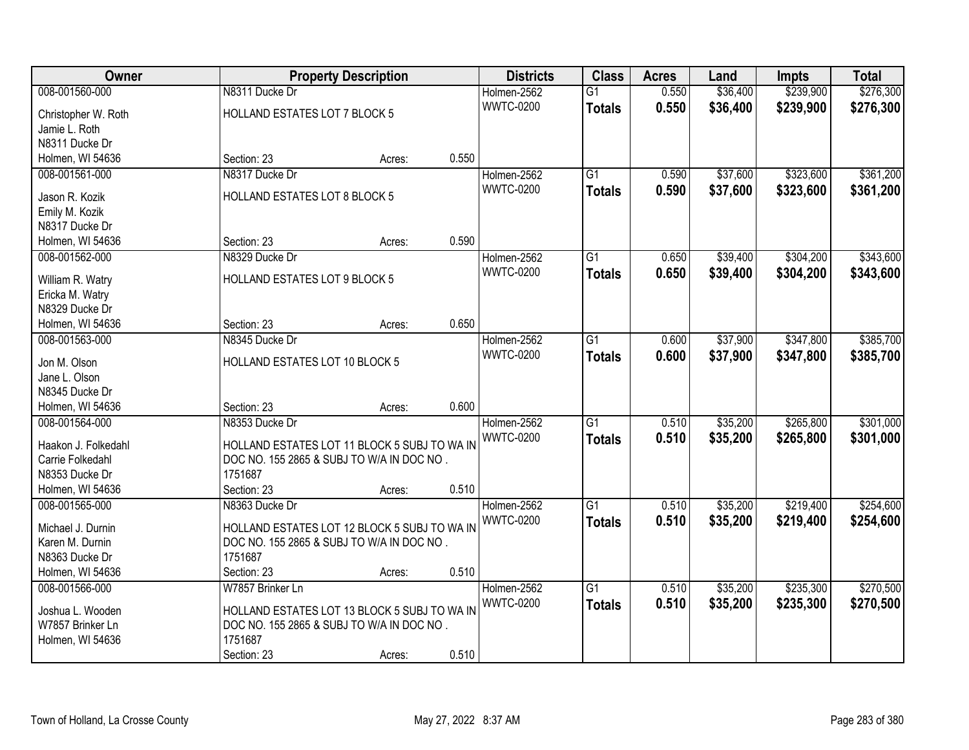| Owner                              |                                              | <b>Property Description</b> |       | <b>Districts</b> | <b>Class</b>    | <b>Acres</b> | Land     | <b>Impts</b> | <b>Total</b> |
|------------------------------------|----------------------------------------------|-----------------------------|-------|------------------|-----------------|--------------|----------|--------------|--------------|
| 008-001560-000                     | N8311 Ducke Dr                               |                             |       | Holmen-2562      | $\overline{G1}$ | 0.550        | \$36,400 | \$239,900    | \$276,300    |
| Christopher W. Roth                | HOLLAND ESTATES LOT 7 BLOCK 5                |                             |       | <b>WWTC-0200</b> | <b>Totals</b>   | 0.550        | \$36,400 | \$239,900    | \$276,300    |
| Jamie L. Roth                      |                                              |                             |       |                  |                 |              |          |              |              |
| N8311 Ducke Dr                     |                                              |                             |       |                  |                 |              |          |              |              |
| Holmen, WI 54636                   | Section: 23                                  | Acres:                      | 0.550 |                  |                 |              |          |              |              |
| 008-001561-000                     | N8317 Ducke Dr                               |                             |       | Holmen-2562      | $\overline{G1}$ | 0.590        | \$37,600 | \$323,600    | \$361,200    |
|                                    |                                              |                             |       | <b>WWTC-0200</b> | <b>Totals</b>   | 0.590        | \$37,600 | \$323,600    | \$361,200    |
| Jason R. Kozik                     | HOLLAND ESTATES LOT 8 BLOCK 5                |                             |       |                  |                 |              |          |              |              |
| Emily M. Kozik                     |                                              |                             |       |                  |                 |              |          |              |              |
| N8317 Ducke Dr                     |                                              |                             |       |                  |                 |              |          |              |              |
| Holmen, WI 54636                   | Section: 23                                  | Acres:                      | 0.590 |                  |                 |              |          |              |              |
| 008-001562-000                     | N8329 Ducke Dr                               |                             |       | Holmen-2562      | G1              | 0.650        | \$39,400 | \$304,200    | \$343,600    |
| William R. Watry                   | HOLLAND ESTATES LOT 9 BLOCK 5                |                             |       | <b>WWTC-0200</b> | <b>Totals</b>   | 0.650        | \$39,400 | \$304,200    | \$343,600    |
| Ericka M. Watry                    |                                              |                             |       |                  |                 |              |          |              |              |
| N8329 Ducke Dr                     |                                              |                             |       |                  |                 |              |          |              |              |
| Holmen, WI 54636                   | Section: 23                                  | Acres:                      | 0.650 |                  |                 |              |          |              |              |
| 008-001563-000                     | N8345 Ducke Dr                               |                             |       | Holmen-2562      | G1              | 0.600        | \$37,900 | \$347,800    | \$385,700    |
|                                    |                                              |                             |       | <b>WWTC-0200</b> | <b>Totals</b>   | 0.600        | \$37,900 | \$347,800    | \$385,700    |
| Jon M. Olson                       | HOLLAND ESTATES LOT 10 BLOCK 5               |                             |       |                  |                 |              |          |              |              |
| Jane L. Olson                      |                                              |                             |       |                  |                 |              |          |              |              |
| N8345 Ducke Dr<br>Holmen, WI 54636 | Section: 23                                  |                             | 0.600 |                  |                 |              |          |              |              |
| 008-001564-000                     | N8353 Ducke Dr                               | Acres:                      |       | Holmen-2562      | $\overline{G1}$ | 0.510        | \$35,200 | \$265,800    | \$301,000    |
|                                    |                                              |                             |       |                  |                 |              |          |              |              |
| Haakon J. Folkedahl                | HOLLAND ESTATES LOT 11 BLOCK 5 SUBJ TO WA IN |                             |       | <b>WWTC-0200</b> | <b>Totals</b>   | 0.510        | \$35,200 | \$265,800    | \$301,000    |
| Carrie Folkedahl                   | DOC NO. 155 2865 & SUBJ TO W/A IN DOC NO.    |                             |       |                  |                 |              |          |              |              |
| N8353 Ducke Dr                     | 1751687                                      |                             |       |                  |                 |              |          |              |              |
| Holmen, WI 54636                   | Section: 23                                  | Acres:                      | 0.510 |                  |                 |              |          |              |              |
| 008-001565-000                     | N8363 Ducke Dr                               |                             |       | Holmen-2562      | $\overline{G1}$ | 0.510        | \$35,200 | \$219,400    | \$254,600    |
| Michael J. Durnin                  | HOLLAND ESTATES LOT 12 BLOCK 5 SUBJ TO WA IN |                             |       | <b>WWTC-0200</b> | <b>Totals</b>   | 0.510        | \$35,200 | \$219,400    | \$254,600    |
| Karen M. Durnin                    | DOC NO. 155 2865 & SUBJ TO W/A IN DOC NO.    |                             |       |                  |                 |              |          |              |              |
| N8363 Ducke Dr                     | 1751687                                      |                             |       |                  |                 |              |          |              |              |
| Holmen, WI 54636                   | Section: 23                                  | Acres:                      | 0.510 |                  |                 |              |          |              |              |
| 008-001566-000                     | W7857 Brinker Ln                             |                             |       | Holmen-2562      | $\overline{G1}$ | 0.510        | \$35,200 | \$235,300    | \$270,500    |
|                                    |                                              |                             |       | <b>WWTC-0200</b> | <b>Totals</b>   | 0.510        | \$35,200 | \$235,300    | \$270,500    |
| Joshua L. Wooden                   | HOLLAND ESTATES LOT 13 BLOCK 5 SUBJ TO WA IN |                             |       |                  |                 |              |          |              |              |
| W7857 Brinker Ln                   | DOC NO. 155 2865 & SUBJ TO W/A IN DOC NO.    |                             |       |                  |                 |              |          |              |              |
| Holmen, WI 54636                   | 1751687                                      |                             |       |                  |                 |              |          |              |              |
|                                    | Section: 23                                  | Acres:                      | 0.510 |                  |                 |              |          |              |              |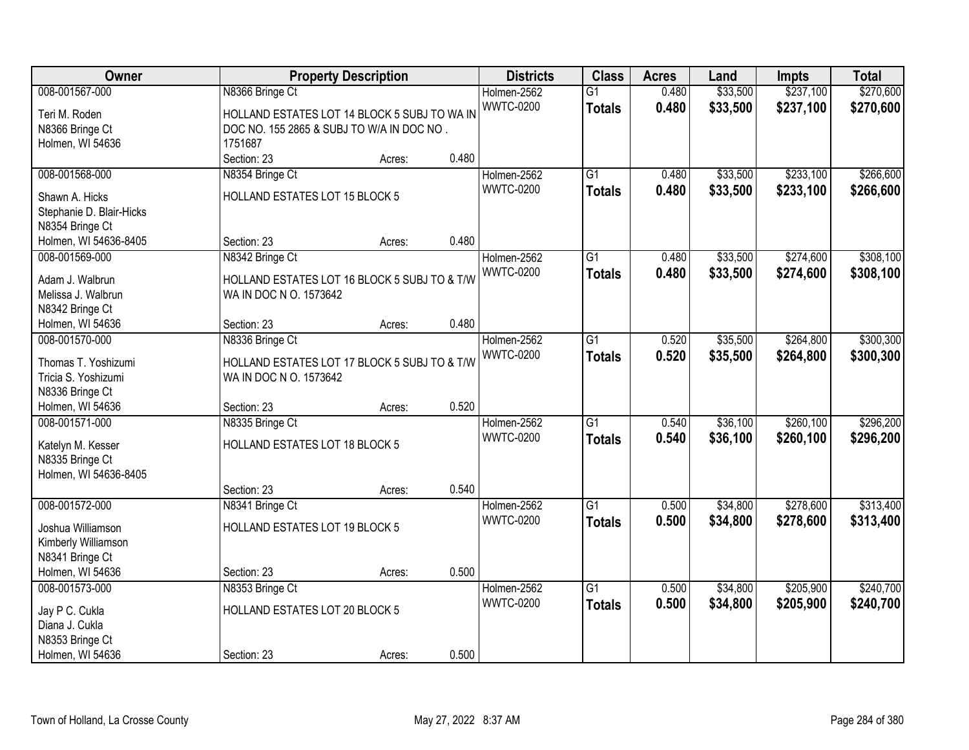| \$237,100<br>\$270,600<br>008-001567-000<br>N8366 Bringe Ct<br>$\overline{G1}$<br>0.480<br>\$33,500<br>Holmen-2562<br><b>WWTC-0200</b><br>0.480<br>\$33,500<br>\$237,100<br>\$270,600<br><b>Totals</b><br>HOLLAND ESTATES LOT 14 BLOCK 5 SUBJ TO WA IN<br>Teri M. Roden<br>N8366 Bringe Ct<br>DOC NO. 155 2865 & SUBJ TO W/A IN DOC NO.<br>Holmen, WI 54636<br>1751687<br>0.480<br>Section: 23<br>Acres:<br>008-001568-000<br>$\overline{G1}$<br>\$33,500<br>\$233,100<br>\$266,600<br>N8354 Bringe Ct<br>Holmen-2562<br>0.480<br><b>WWTC-0200</b><br>\$233,100<br>0.480<br>\$33,500<br>\$266,600<br><b>Totals</b><br>HOLLAND ESTATES LOT 15 BLOCK 5<br>Shawn A. Hicks<br>Stephanie D. Blair-Hicks<br>N8354 Bringe Ct<br>0.480<br>Section: 23<br>Holmen, WI 54636-8405<br>Acres:<br>\$33,500<br>\$274,600<br>\$308,100<br>008-001569-000<br>N8342 Bringe Ct<br>Holmen-2562<br>G1<br>0.480<br><b>WWTC-0200</b><br>\$33,500<br>\$274,600<br>0.480<br>\$308,100<br><b>Totals</b><br>Adam J. Walbrun<br>HOLLAND ESTATES LOT 16 BLOCK 5 SUBJ TO & T/W<br>WA IN DOC N O. 1573642<br>Melissa J. Walbrun<br>N8342 Bringe Ct<br>0.480<br>Holmen, WI 54636<br>Section: 23<br>Acres:<br>Holmen-2562<br>\$35,500<br>\$264,800<br>\$300,300<br>008-001570-000<br>N8336 Bringe Ct<br>G1<br>0.520<br><b>WWTC-0200</b><br>0.520<br>\$264,800<br>\$35,500<br>\$300,300<br><b>Totals</b><br>Thomas T. Yoshizumi<br>HOLLAND ESTATES LOT 17 BLOCK 5 SUBJ TO & T/W<br>Tricia S. Yoshizumi<br>WA IN DOC N O. 1573642<br>N8336 Bringe Ct<br>0.520<br>Holmen, WI 54636<br>Section: 23<br>Acres:<br>\$260,100<br>\$296,200<br>008-001571-000<br>N8335 Bringe Ct<br>$\overline{G1}$<br>0.540<br>\$36,100<br>Holmen-2562<br>0.540<br><b>WWTC-0200</b><br>\$36,100<br>\$260,100<br>\$296,200<br><b>Totals</b><br>HOLLAND ESTATES LOT 18 BLOCK 5<br>Katelyn M. Kesser<br>N8335 Bringe Ct<br>Holmen, WI 54636-8405<br>0.540<br>Section: 23<br>Acres:<br>008-001572-000<br>$\overline{G1}$<br>\$34,800<br>\$278,600<br>\$313,400<br>Holmen-2562<br>0.500<br>N8341 Bringe Ct<br><b>WWTC-0200</b><br>0.500<br>\$34,800<br>\$278,600<br>\$313,400<br><b>Totals</b><br>HOLLAND ESTATES LOT 19 BLOCK 5<br>Joshua Williamson<br>Kimberly Williamson<br>N8341 Bringe Ct | Owner            |             | <b>Property Description</b> |       | <b>Districts</b> | <b>Class</b> | <b>Acres</b> | Land | Impts | <b>Total</b> |
|-----------------------------------------------------------------------------------------------------------------------------------------------------------------------------------------------------------------------------------------------------------------------------------------------------------------------------------------------------------------------------------------------------------------------------------------------------------------------------------------------------------------------------------------------------------------------------------------------------------------------------------------------------------------------------------------------------------------------------------------------------------------------------------------------------------------------------------------------------------------------------------------------------------------------------------------------------------------------------------------------------------------------------------------------------------------------------------------------------------------------------------------------------------------------------------------------------------------------------------------------------------------------------------------------------------------------------------------------------------------------------------------------------------------------------------------------------------------------------------------------------------------------------------------------------------------------------------------------------------------------------------------------------------------------------------------------------------------------------------------------------------------------------------------------------------------------------------------------------------------------------------------------------------------------------------------------------------------------------------------------------------------------------------------------------------------------------------------------------------------------------------------------------------------------------------------------------------------------------------|------------------|-------------|-----------------------------|-------|------------------|--------------|--------------|------|-------|--------------|
|                                                                                                                                                                                                                                                                                                                                                                                                                                                                                                                                                                                                                                                                                                                                                                                                                                                                                                                                                                                                                                                                                                                                                                                                                                                                                                                                                                                                                                                                                                                                                                                                                                                                                                                                                                                                                                                                                                                                                                                                                                                                                                                                                                                                                                   |                  |             |                             |       |                  |              |              |      |       |              |
|                                                                                                                                                                                                                                                                                                                                                                                                                                                                                                                                                                                                                                                                                                                                                                                                                                                                                                                                                                                                                                                                                                                                                                                                                                                                                                                                                                                                                                                                                                                                                                                                                                                                                                                                                                                                                                                                                                                                                                                                                                                                                                                                                                                                                                   |                  |             |                             |       |                  |              |              |      |       |              |
|                                                                                                                                                                                                                                                                                                                                                                                                                                                                                                                                                                                                                                                                                                                                                                                                                                                                                                                                                                                                                                                                                                                                                                                                                                                                                                                                                                                                                                                                                                                                                                                                                                                                                                                                                                                                                                                                                                                                                                                                                                                                                                                                                                                                                                   |                  |             |                             |       |                  |              |              |      |       |              |
|                                                                                                                                                                                                                                                                                                                                                                                                                                                                                                                                                                                                                                                                                                                                                                                                                                                                                                                                                                                                                                                                                                                                                                                                                                                                                                                                                                                                                                                                                                                                                                                                                                                                                                                                                                                                                                                                                                                                                                                                                                                                                                                                                                                                                                   |                  |             |                             |       |                  |              |              |      |       |              |
|                                                                                                                                                                                                                                                                                                                                                                                                                                                                                                                                                                                                                                                                                                                                                                                                                                                                                                                                                                                                                                                                                                                                                                                                                                                                                                                                                                                                                                                                                                                                                                                                                                                                                                                                                                                                                                                                                                                                                                                                                                                                                                                                                                                                                                   |                  |             |                             |       |                  |              |              |      |       |              |
|                                                                                                                                                                                                                                                                                                                                                                                                                                                                                                                                                                                                                                                                                                                                                                                                                                                                                                                                                                                                                                                                                                                                                                                                                                                                                                                                                                                                                                                                                                                                                                                                                                                                                                                                                                                                                                                                                                                                                                                                                                                                                                                                                                                                                                   |                  |             |                             |       |                  |              |              |      |       |              |
|                                                                                                                                                                                                                                                                                                                                                                                                                                                                                                                                                                                                                                                                                                                                                                                                                                                                                                                                                                                                                                                                                                                                                                                                                                                                                                                                                                                                                                                                                                                                                                                                                                                                                                                                                                                                                                                                                                                                                                                                                                                                                                                                                                                                                                   |                  |             |                             |       |                  |              |              |      |       |              |
|                                                                                                                                                                                                                                                                                                                                                                                                                                                                                                                                                                                                                                                                                                                                                                                                                                                                                                                                                                                                                                                                                                                                                                                                                                                                                                                                                                                                                                                                                                                                                                                                                                                                                                                                                                                                                                                                                                                                                                                                                                                                                                                                                                                                                                   |                  |             |                             |       |                  |              |              |      |       |              |
|                                                                                                                                                                                                                                                                                                                                                                                                                                                                                                                                                                                                                                                                                                                                                                                                                                                                                                                                                                                                                                                                                                                                                                                                                                                                                                                                                                                                                                                                                                                                                                                                                                                                                                                                                                                                                                                                                                                                                                                                                                                                                                                                                                                                                                   |                  |             |                             |       |                  |              |              |      |       |              |
|                                                                                                                                                                                                                                                                                                                                                                                                                                                                                                                                                                                                                                                                                                                                                                                                                                                                                                                                                                                                                                                                                                                                                                                                                                                                                                                                                                                                                                                                                                                                                                                                                                                                                                                                                                                                                                                                                                                                                                                                                                                                                                                                                                                                                                   |                  |             |                             |       |                  |              |              |      |       |              |
|                                                                                                                                                                                                                                                                                                                                                                                                                                                                                                                                                                                                                                                                                                                                                                                                                                                                                                                                                                                                                                                                                                                                                                                                                                                                                                                                                                                                                                                                                                                                                                                                                                                                                                                                                                                                                                                                                                                                                                                                                                                                                                                                                                                                                                   |                  |             |                             |       |                  |              |              |      |       |              |
|                                                                                                                                                                                                                                                                                                                                                                                                                                                                                                                                                                                                                                                                                                                                                                                                                                                                                                                                                                                                                                                                                                                                                                                                                                                                                                                                                                                                                                                                                                                                                                                                                                                                                                                                                                                                                                                                                                                                                                                                                                                                                                                                                                                                                                   |                  |             |                             |       |                  |              |              |      |       |              |
|                                                                                                                                                                                                                                                                                                                                                                                                                                                                                                                                                                                                                                                                                                                                                                                                                                                                                                                                                                                                                                                                                                                                                                                                                                                                                                                                                                                                                                                                                                                                                                                                                                                                                                                                                                                                                                                                                                                                                                                                                                                                                                                                                                                                                                   |                  |             |                             |       |                  |              |              |      |       |              |
|                                                                                                                                                                                                                                                                                                                                                                                                                                                                                                                                                                                                                                                                                                                                                                                                                                                                                                                                                                                                                                                                                                                                                                                                                                                                                                                                                                                                                                                                                                                                                                                                                                                                                                                                                                                                                                                                                                                                                                                                                                                                                                                                                                                                                                   |                  |             |                             |       |                  |              |              |      |       |              |
|                                                                                                                                                                                                                                                                                                                                                                                                                                                                                                                                                                                                                                                                                                                                                                                                                                                                                                                                                                                                                                                                                                                                                                                                                                                                                                                                                                                                                                                                                                                                                                                                                                                                                                                                                                                                                                                                                                                                                                                                                                                                                                                                                                                                                                   |                  |             |                             |       |                  |              |              |      |       |              |
|                                                                                                                                                                                                                                                                                                                                                                                                                                                                                                                                                                                                                                                                                                                                                                                                                                                                                                                                                                                                                                                                                                                                                                                                                                                                                                                                                                                                                                                                                                                                                                                                                                                                                                                                                                                                                                                                                                                                                                                                                                                                                                                                                                                                                                   |                  |             |                             |       |                  |              |              |      |       |              |
|                                                                                                                                                                                                                                                                                                                                                                                                                                                                                                                                                                                                                                                                                                                                                                                                                                                                                                                                                                                                                                                                                                                                                                                                                                                                                                                                                                                                                                                                                                                                                                                                                                                                                                                                                                                                                                                                                                                                                                                                                                                                                                                                                                                                                                   |                  |             |                             |       |                  |              |              |      |       |              |
|                                                                                                                                                                                                                                                                                                                                                                                                                                                                                                                                                                                                                                                                                                                                                                                                                                                                                                                                                                                                                                                                                                                                                                                                                                                                                                                                                                                                                                                                                                                                                                                                                                                                                                                                                                                                                                                                                                                                                                                                                                                                                                                                                                                                                                   |                  |             |                             |       |                  |              |              |      |       |              |
|                                                                                                                                                                                                                                                                                                                                                                                                                                                                                                                                                                                                                                                                                                                                                                                                                                                                                                                                                                                                                                                                                                                                                                                                                                                                                                                                                                                                                                                                                                                                                                                                                                                                                                                                                                                                                                                                                                                                                                                                                                                                                                                                                                                                                                   |                  |             |                             |       |                  |              |              |      |       |              |
|                                                                                                                                                                                                                                                                                                                                                                                                                                                                                                                                                                                                                                                                                                                                                                                                                                                                                                                                                                                                                                                                                                                                                                                                                                                                                                                                                                                                                                                                                                                                                                                                                                                                                                                                                                                                                                                                                                                                                                                                                                                                                                                                                                                                                                   |                  |             |                             |       |                  |              |              |      |       |              |
|                                                                                                                                                                                                                                                                                                                                                                                                                                                                                                                                                                                                                                                                                                                                                                                                                                                                                                                                                                                                                                                                                                                                                                                                                                                                                                                                                                                                                                                                                                                                                                                                                                                                                                                                                                                                                                                                                                                                                                                                                                                                                                                                                                                                                                   |                  |             |                             |       |                  |              |              |      |       |              |
|                                                                                                                                                                                                                                                                                                                                                                                                                                                                                                                                                                                                                                                                                                                                                                                                                                                                                                                                                                                                                                                                                                                                                                                                                                                                                                                                                                                                                                                                                                                                                                                                                                                                                                                                                                                                                                                                                                                                                                                                                                                                                                                                                                                                                                   |                  |             |                             |       |                  |              |              |      |       |              |
|                                                                                                                                                                                                                                                                                                                                                                                                                                                                                                                                                                                                                                                                                                                                                                                                                                                                                                                                                                                                                                                                                                                                                                                                                                                                                                                                                                                                                                                                                                                                                                                                                                                                                                                                                                                                                                                                                                                                                                                                                                                                                                                                                                                                                                   |                  |             |                             |       |                  |              |              |      |       |              |
|                                                                                                                                                                                                                                                                                                                                                                                                                                                                                                                                                                                                                                                                                                                                                                                                                                                                                                                                                                                                                                                                                                                                                                                                                                                                                                                                                                                                                                                                                                                                                                                                                                                                                                                                                                                                                                                                                                                                                                                                                                                                                                                                                                                                                                   |                  |             |                             |       |                  |              |              |      |       |              |
|                                                                                                                                                                                                                                                                                                                                                                                                                                                                                                                                                                                                                                                                                                                                                                                                                                                                                                                                                                                                                                                                                                                                                                                                                                                                                                                                                                                                                                                                                                                                                                                                                                                                                                                                                                                                                                                                                                                                                                                                                                                                                                                                                                                                                                   |                  |             |                             |       |                  |              |              |      |       |              |
|                                                                                                                                                                                                                                                                                                                                                                                                                                                                                                                                                                                                                                                                                                                                                                                                                                                                                                                                                                                                                                                                                                                                                                                                                                                                                                                                                                                                                                                                                                                                                                                                                                                                                                                                                                                                                                                                                                                                                                                                                                                                                                                                                                                                                                   |                  |             |                             |       |                  |              |              |      |       |              |
|                                                                                                                                                                                                                                                                                                                                                                                                                                                                                                                                                                                                                                                                                                                                                                                                                                                                                                                                                                                                                                                                                                                                                                                                                                                                                                                                                                                                                                                                                                                                                                                                                                                                                                                                                                                                                                                                                                                                                                                                                                                                                                                                                                                                                                   |                  |             |                             |       |                  |              |              |      |       |              |
|                                                                                                                                                                                                                                                                                                                                                                                                                                                                                                                                                                                                                                                                                                                                                                                                                                                                                                                                                                                                                                                                                                                                                                                                                                                                                                                                                                                                                                                                                                                                                                                                                                                                                                                                                                                                                                                                                                                                                                                                                                                                                                                                                                                                                                   |                  |             |                             |       |                  |              |              |      |       |              |
|                                                                                                                                                                                                                                                                                                                                                                                                                                                                                                                                                                                                                                                                                                                                                                                                                                                                                                                                                                                                                                                                                                                                                                                                                                                                                                                                                                                                                                                                                                                                                                                                                                                                                                                                                                                                                                                                                                                                                                                                                                                                                                                                                                                                                                   |                  |             |                             |       |                  |              |              |      |       |              |
|                                                                                                                                                                                                                                                                                                                                                                                                                                                                                                                                                                                                                                                                                                                                                                                                                                                                                                                                                                                                                                                                                                                                                                                                                                                                                                                                                                                                                                                                                                                                                                                                                                                                                                                                                                                                                                                                                                                                                                                                                                                                                                                                                                                                                                   |                  |             |                             |       |                  |              |              |      |       |              |
|                                                                                                                                                                                                                                                                                                                                                                                                                                                                                                                                                                                                                                                                                                                                                                                                                                                                                                                                                                                                                                                                                                                                                                                                                                                                                                                                                                                                                                                                                                                                                                                                                                                                                                                                                                                                                                                                                                                                                                                                                                                                                                                                                                                                                                   |                  |             |                             |       |                  |              |              |      |       |              |
|                                                                                                                                                                                                                                                                                                                                                                                                                                                                                                                                                                                                                                                                                                                                                                                                                                                                                                                                                                                                                                                                                                                                                                                                                                                                                                                                                                                                                                                                                                                                                                                                                                                                                                                                                                                                                                                                                                                                                                                                                                                                                                                                                                                                                                   | Holmen, WI 54636 | Section: 23 | Acres:                      | 0.500 |                  |              |              |      |       |              |
| 008-001573-000<br>$\overline{G1}$<br>\$34,800<br>\$205,900<br>\$240,700<br>N8353 Bringe Ct<br>Holmen-2562<br>0.500                                                                                                                                                                                                                                                                                                                                                                                                                                                                                                                                                                                                                                                                                                                                                                                                                                                                                                                                                                                                                                                                                                                                                                                                                                                                                                                                                                                                                                                                                                                                                                                                                                                                                                                                                                                                                                                                                                                                                                                                                                                                                                                |                  |             |                             |       |                  |              |              |      |       |              |
| <b>WWTC-0200</b><br>0.500<br>\$34,800<br>\$205,900<br>\$240,700<br><b>Totals</b><br>HOLLAND ESTATES LOT 20 BLOCK 5                                                                                                                                                                                                                                                                                                                                                                                                                                                                                                                                                                                                                                                                                                                                                                                                                                                                                                                                                                                                                                                                                                                                                                                                                                                                                                                                                                                                                                                                                                                                                                                                                                                                                                                                                                                                                                                                                                                                                                                                                                                                                                                |                  |             |                             |       |                  |              |              |      |       |              |
| Jay P C. Cukla<br>Diana J. Cukla                                                                                                                                                                                                                                                                                                                                                                                                                                                                                                                                                                                                                                                                                                                                                                                                                                                                                                                                                                                                                                                                                                                                                                                                                                                                                                                                                                                                                                                                                                                                                                                                                                                                                                                                                                                                                                                                                                                                                                                                                                                                                                                                                                                                  |                  |             |                             |       |                  |              |              |      |       |              |
| N8353 Bringe Ct                                                                                                                                                                                                                                                                                                                                                                                                                                                                                                                                                                                                                                                                                                                                                                                                                                                                                                                                                                                                                                                                                                                                                                                                                                                                                                                                                                                                                                                                                                                                                                                                                                                                                                                                                                                                                                                                                                                                                                                                                                                                                                                                                                                                                   |                  |             |                             |       |                  |              |              |      |       |              |
| 0.500<br>Holmen, WI 54636<br>Section: 23<br>Acres:                                                                                                                                                                                                                                                                                                                                                                                                                                                                                                                                                                                                                                                                                                                                                                                                                                                                                                                                                                                                                                                                                                                                                                                                                                                                                                                                                                                                                                                                                                                                                                                                                                                                                                                                                                                                                                                                                                                                                                                                                                                                                                                                                                                |                  |             |                             |       |                  |              |              |      |       |              |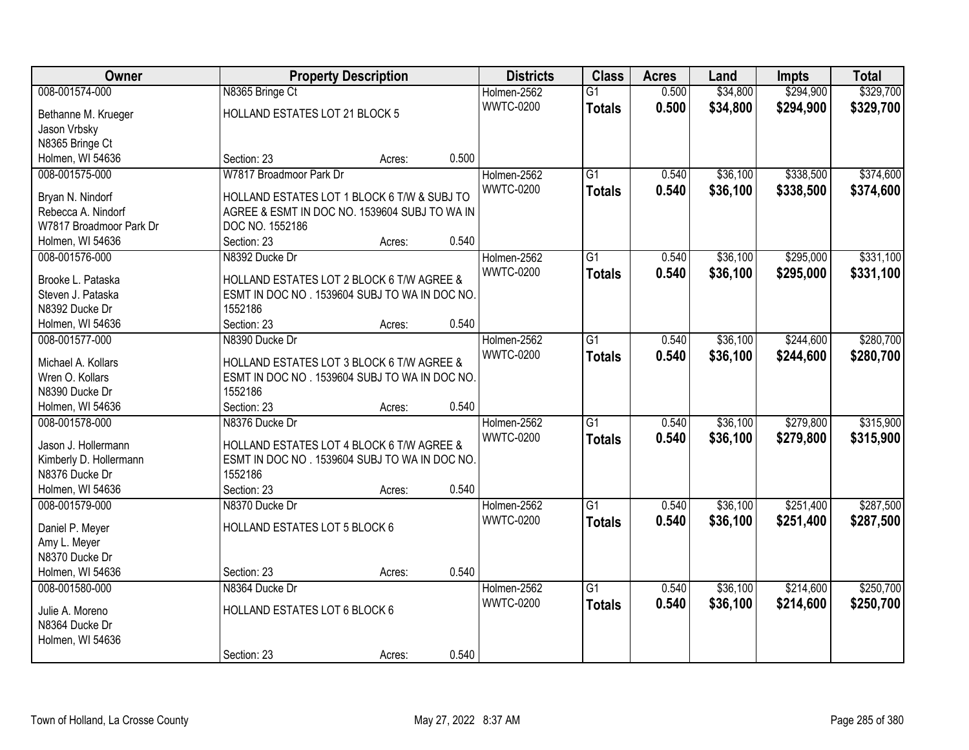| \$294,900<br>\$329,700<br>008-001574-000<br>N8365 Bringe Ct<br>$\overline{G1}$<br>0.500<br>\$34,800<br>Holmen-2562<br><b>WWTC-0200</b><br>0.500<br>\$34,800<br>\$294,900<br><b>Totals</b><br>HOLLAND ESTATES LOT 21 BLOCK 5<br>Bethanne M. Krueger<br>Jason Vrbsky<br>N8365 Bringe Ct<br>0.500<br>Holmen, WI 54636<br>Section: 23<br>Acres:<br>$\overline{G1}$<br>\$36,100<br>\$338,500<br>008-001575-000<br>W7817 Broadmoor Park Dr<br>Holmen-2562<br>0.540<br><b>WWTC-0200</b><br>0.540<br>\$36,100<br>\$338,500<br><b>Totals</b><br>HOLLAND ESTATES LOT 1 BLOCK 6 T/W & SUBJ TO<br>Bryan N. Nindorf<br>Rebecca A. Nindorf<br>AGREE & ESMT IN DOC NO. 1539604 SUBJ TO WA IN<br>W7817 Broadmoor Park Dr<br>DOC NO. 1552186<br>Section: 23<br>0.540<br>Holmen, WI 54636<br>Acres:<br>008-001576-000<br>N8392 Ducke Dr<br>$\overline{G1}$<br>\$36,100<br>\$295,000<br>Holmen-2562<br>0.540<br><b>WWTC-0200</b><br>\$36,100<br>0.540<br>\$295,000<br><b>Totals</b><br>HOLLAND ESTATES LOT 2 BLOCK 6 T/W AGREE &<br>Brooke L. Pataska<br>Steven J. Pataska<br>ESMT IN DOC NO. 1539604 SUBJ TO WA IN DOC NO.<br>N8392 Ducke Dr<br>1552186<br>Section: 23<br>0.540<br>Holmen, WI 54636<br>Acres:<br>\$36,100<br>\$244,600<br>008-001577-000<br>Holmen-2562<br>$\overline{G1}$<br>0.540<br>N8390 Ducke Dr<br><b>WWTC-0200</b><br>0.540<br>\$36,100<br>\$244,600<br><b>Totals</b><br>HOLLAND ESTATES LOT 3 BLOCK 6 T/W AGREE &<br>Michael A. Kollars<br>Wren O. Kollars<br>ESMT IN DOC NO. 1539604 SUBJ TO WA IN DOC NO.<br>1552186<br>N8390 Ducke Dr<br>0.540<br>Holmen, WI 54636<br>Section: 23<br>Acres:<br>$\overline{G1}$<br>\$36,100<br>\$279,800<br>008-001578-000<br>N8376 Ducke Dr<br>Holmen-2562<br>0.540<br><b>WWTC-0200</b><br>0.540<br>\$36,100<br>\$279,800<br><b>Totals</b><br>Jason J. Hollermann<br>HOLLAND ESTATES LOT 4 BLOCK 6 T/W AGREE &<br>ESMT IN DOC NO. 1539604 SUBJ TO WA IN DOC NO.<br>Kimberly D. Hollermann<br>N8376 Ducke Dr<br>1552186<br>Holmen, WI 54636<br>0.540<br>Section: 23<br>Acres:<br>Holmen-2562<br>$\overline{G1}$<br>\$36,100<br>\$251,400<br>008-001579-000<br>N8370 Ducke Dr<br>0.540<br>0.540<br>\$36,100<br><b>WWTC-0200</b><br>\$251,400<br><b>Totals</b><br>HOLLAND ESTATES LOT 5 BLOCK 6<br>Daniel P. Meyer<br>Amy L. Meyer<br>N8370 Ducke Dr | <b>Owner</b>     |             | <b>Property Description</b> |       | <b>Districts</b> | <b>Class</b> | <b>Acres</b> | Land | Impts | <b>Total</b> |
|--------------------------------------------------------------------------------------------------------------------------------------------------------------------------------------------------------------------------------------------------------------------------------------------------------------------------------------------------------------------------------------------------------------------------------------------------------------------------------------------------------------------------------------------------------------------------------------------------------------------------------------------------------------------------------------------------------------------------------------------------------------------------------------------------------------------------------------------------------------------------------------------------------------------------------------------------------------------------------------------------------------------------------------------------------------------------------------------------------------------------------------------------------------------------------------------------------------------------------------------------------------------------------------------------------------------------------------------------------------------------------------------------------------------------------------------------------------------------------------------------------------------------------------------------------------------------------------------------------------------------------------------------------------------------------------------------------------------------------------------------------------------------------------------------------------------------------------------------------------------------------------------------------------------------------------------------------------------------------------------------------------------------------------------------------------------------------------------------------------------------------------------------------------------------------------------------------------------------------------------------------------------------------------------|------------------|-------------|-----------------------------|-------|------------------|--------------|--------------|------|-------|--------------|
|                                                                                                                                                                                                                                                                                                                                                                                                                                                                                                                                                                                                                                                                                                                                                                                                                                                                                                                                                                                                                                                                                                                                                                                                                                                                                                                                                                                                                                                                                                                                                                                                                                                                                                                                                                                                                                                                                                                                                                                                                                                                                                                                                                                                                                                                                            |                  |             |                             |       |                  |              |              |      |       |              |
| \$374,600<br>\$374,600<br>\$331,100<br>\$331,100                                                                                                                                                                                                                                                                                                                                                                                                                                                                                                                                                                                                                                                                                                                                                                                                                                                                                                                                                                                                                                                                                                                                                                                                                                                                                                                                                                                                                                                                                                                                                                                                                                                                                                                                                                                                                                                                                                                                                                                                                                                                                                                                                                                                                                           |                  |             |                             |       |                  |              |              |      |       | \$329,700    |
|                                                                                                                                                                                                                                                                                                                                                                                                                                                                                                                                                                                                                                                                                                                                                                                                                                                                                                                                                                                                                                                                                                                                                                                                                                                                                                                                                                                                                                                                                                                                                                                                                                                                                                                                                                                                                                                                                                                                                                                                                                                                                                                                                                                                                                                                                            |                  |             |                             |       |                  |              |              |      |       |              |
|                                                                                                                                                                                                                                                                                                                                                                                                                                                                                                                                                                                                                                                                                                                                                                                                                                                                                                                                                                                                                                                                                                                                                                                                                                                                                                                                                                                                                                                                                                                                                                                                                                                                                                                                                                                                                                                                                                                                                                                                                                                                                                                                                                                                                                                                                            |                  |             |                             |       |                  |              |              |      |       |              |
|                                                                                                                                                                                                                                                                                                                                                                                                                                                                                                                                                                                                                                                                                                                                                                                                                                                                                                                                                                                                                                                                                                                                                                                                                                                                                                                                                                                                                                                                                                                                                                                                                                                                                                                                                                                                                                                                                                                                                                                                                                                                                                                                                                                                                                                                                            |                  |             |                             |       |                  |              |              |      |       |              |
|                                                                                                                                                                                                                                                                                                                                                                                                                                                                                                                                                                                                                                                                                                                                                                                                                                                                                                                                                                                                                                                                                                                                                                                                                                                                                                                                                                                                                                                                                                                                                                                                                                                                                                                                                                                                                                                                                                                                                                                                                                                                                                                                                                                                                                                                                            |                  |             |                             |       |                  |              |              |      |       |              |
|                                                                                                                                                                                                                                                                                                                                                                                                                                                                                                                                                                                                                                                                                                                                                                                                                                                                                                                                                                                                                                                                                                                                                                                                                                                                                                                                                                                                                                                                                                                                                                                                                                                                                                                                                                                                                                                                                                                                                                                                                                                                                                                                                                                                                                                                                            |                  |             |                             |       |                  |              |              |      |       |              |
|                                                                                                                                                                                                                                                                                                                                                                                                                                                                                                                                                                                                                                                                                                                                                                                                                                                                                                                                                                                                                                                                                                                                                                                                                                                                                                                                                                                                                                                                                                                                                                                                                                                                                                                                                                                                                                                                                                                                                                                                                                                                                                                                                                                                                                                                                            |                  |             |                             |       |                  |              |              |      |       |              |
|                                                                                                                                                                                                                                                                                                                                                                                                                                                                                                                                                                                                                                                                                                                                                                                                                                                                                                                                                                                                                                                                                                                                                                                                                                                                                                                                                                                                                                                                                                                                                                                                                                                                                                                                                                                                                                                                                                                                                                                                                                                                                                                                                                                                                                                                                            |                  |             |                             |       |                  |              |              |      |       |              |
|                                                                                                                                                                                                                                                                                                                                                                                                                                                                                                                                                                                                                                                                                                                                                                                                                                                                                                                                                                                                                                                                                                                                                                                                                                                                                                                                                                                                                                                                                                                                                                                                                                                                                                                                                                                                                                                                                                                                                                                                                                                                                                                                                                                                                                                                                            |                  |             |                             |       |                  |              |              |      |       |              |
|                                                                                                                                                                                                                                                                                                                                                                                                                                                                                                                                                                                                                                                                                                                                                                                                                                                                                                                                                                                                                                                                                                                                                                                                                                                                                                                                                                                                                                                                                                                                                                                                                                                                                                                                                                                                                                                                                                                                                                                                                                                                                                                                                                                                                                                                                            |                  |             |                             |       |                  |              |              |      |       |              |
|                                                                                                                                                                                                                                                                                                                                                                                                                                                                                                                                                                                                                                                                                                                                                                                                                                                                                                                                                                                                                                                                                                                                                                                                                                                                                                                                                                                                                                                                                                                                                                                                                                                                                                                                                                                                                                                                                                                                                                                                                                                                                                                                                                                                                                                                                            |                  |             |                             |       |                  |              |              |      |       |              |
|                                                                                                                                                                                                                                                                                                                                                                                                                                                                                                                                                                                                                                                                                                                                                                                                                                                                                                                                                                                                                                                                                                                                                                                                                                                                                                                                                                                                                                                                                                                                                                                                                                                                                                                                                                                                                                                                                                                                                                                                                                                                                                                                                                                                                                                                                            |                  |             |                             |       |                  |              |              |      |       |              |
| \$280,700<br>\$280,700<br>\$315,900<br>\$315,900<br>\$287,500<br>\$287,500                                                                                                                                                                                                                                                                                                                                                                                                                                                                                                                                                                                                                                                                                                                                                                                                                                                                                                                                                                                                                                                                                                                                                                                                                                                                                                                                                                                                                                                                                                                                                                                                                                                                                                                                                                                                                                                                                                                                                                                                                                                                                                                                                                                                                 |                  |             |                             |       |                  |              |              |      |       |              |
|                                                                                                                                                                                                                                                                                                                                                                                                                                                                                                                                                                                                                                                                                                                                                                                                                                                                                                                                                                                                                                                                                                                                                                                                                                                                                                                                                                                                                                                                                                                                                                                                                                                                                                                                                                                                                                                                                                                                                                                                                                                                                                                                                                                                                                                                                            |                  |             |                             |       |                  |              |              |      |       |              |
|                                                                                                                                                                                                                                                                                                                                                                                                                                                                                                                                                                                                                                                                                                                                                                                                                                                                                                                                                                                                                                                                                                                                                                                                                                                                                                                                                                                                                                                                                                                                                                                                                                                                                                                                                                                                                                                                                                                                                                                                                                                                                                                                                                                                                                                                                            |                  |             |                             |       |                  |              |              |      |       |              |
|                                                                                                                                                                                                                                                                                                                                                                                                                                                                                                                                                                                                                                                                                                                                                                                                                                                                                                                                                                                                                                                                                                                                                                                                                                                                                                                                                                                                                                                                                                                                                                                                                                                                                                                                                                                                                                                                                                                                                                                                                                                                                                                                                                                                                                                                                            |                  |             |                             |       |                  |              |              |      |       |              |
|                                                                                                                                                                                                                                                                                                                                                                                                                                                                                                                                                                                                                                                                                                                                                                                                                                                                                                                                                                                                                                                                                                                                                                                                                                                                                                                                                                                                                                                                                                                                                                                                                                                                                                                                                                                                                                                                                                                                                                                                                                                                                                                                                                                                                                                                                            |                  |             |                             |       |                  |              |              |      |       |              |
|                                                                                                                                                                                                                                                                                                                                                                                                                                                                                                                                                                                                                                                                                                                                                                                                                                                                                                                                                                                                                                                                                                                                                                                                                                                                                                                                                                                                                                                                                                                                                                                                                                                                                                                                                                                                                                                                                                                                                                                                                                                                                                                                                                                                                                                                                            |                  |             |                             |       |                  |              |              |      |       |              |
|                                                                                                                                                                                                                                                                                                                                                                                                                                                                                                                                                                                                                                                                                                                                                                                                                                                                                                                                                                                                                                                                                                                                                                                                                                                                                                                                                                                                                                                                                                                                                                                                                                                                                                                                                                                                                                                                                                                                                                                                                                                                                                                                                                                                                                                                                            |                  |             |                             |       |                  |              |              |      |       |              |
|                                                                                                                                                                                                                                                                                                                                                                                                                                                                                                                                                                                                                                                                                                                                                                                                                                                                                                                                                                                                                                                                                                                                                                                                                                                                                                                                                                                                                                                                                                                                                                                                                                                                                                                                                                                                                                                                                                                                                                                                                                                                                                                                                                                                                                                                                            |                  |             |                             |       |                  |              |              |      |       |              |
|                                                                                                                                                                                                                                                                                                                                                                                                                                                                                                                                                                                                                                                                                                                                                                                                                                                                                                                                                                                                                                                                                                                                                                                                                                                                                                                                                                                                                                                                                                                                                                                                                                                                                                                                                                                                                                                                                                                                                                                                                                                                                                                                                                                                                                                                                            |                  |             |                             |       |                  |              |              |      |       |              |
|                                                                                                                                                                                                                                                                                                                                                                                                                                                                                                                                                                                                                                                                                                                                                                                                                                                                                                                                                                                                                                                                                                                                                                                                                                                                                                                                                                                                                                                                                                                                                                                                                                                                                                                                                                                                                                                                                                                                                                                                                                                                                                                                                                                                                                                                                            |                  |             |                             |       |                  |              |              |      |       |              |
|                                                                                                                                                                                                                                                                                                                                                                                                                                                                                                                                                                                                                                                                                                                                                                                                                                                                                                                                                                                                                                                                                                                                                                                                                                                                                                                                                                                                                                                                                                                                                                                                                                                                                                                                                                                                                                                                                                                                                                                                                                                                                                                                                                                                                                                                                            |                  |             |                             |       |                  |              |              |      |       |              |
|                                                                                                                                                                                                                                                                                                                                                                                                                                                                                                                                                                                                                                                                                                                                                                                                                                                                                                                                                                                                                                                                                                                                                                                                                                                                                                                                                                                                                                                                                                                                                                                                                                                                                                                                                                                                                                                                                                                                                                                                                                                                                                                                                                                                                                                                                            |                  |             |                             |       |                  |              |              |      |       |              |
|                                                                                                                                                                                                                                                                                                                                                                                                                                                                                                                                                                                                                                                                                                                                                                                                                                                                                                                                                                                                                                                                                                                                                                                                                                                                                                                                                                                                                                                                                                                                                                                                                                                                                                                                                                                                                                                                                                                                                                                                                                                                                                                                                                                                                                                                                            |                  |             |                             |       |                  |              |              |      |       |              |
|                                                                                                                                                                                                                                                                                                                                                                                                                                                                                                                                                                                                                                                                                                                                                                                                                                                                                                                                                                                                                                                                                                                                                                                                                                                                                                                                                                                                                                                                                                                                                                                                                                                                                                                                                                                                                                                                                                                                                                                                                                                                                                                                                                                                                                                                                            |                  |             |                             |       |                  |              |              |      |       |              |
|                                                                                                                                                                                                                                                                                                                                                                                                                                                                                                                                                                                                                                                                                                                                                                                                                                                                                                                                                                                                                                                                                                                                                                                                                                                                                                                                                                                                                                                                                                                                                                                                                                                                                                                                                                                                                                                                                                                                                                                                                                                                                                                                                                                                                                                                                            |                  |             |                             |       |                  |              |              |      |       |              |
|                                                                                                                                                                                                                                                                                                                                                                                                                                                                                                                                                                                                                                                                                                                                                                                                                                                                                                                                                                                                                                                                                                                                                                                                                                                                                                                                                                                                                                                                                                                                                                                                                                                                                                                                                                                                                                                                                                                                                                                                                                                                                                                                                                                                                                                                                            |                  |             |                             |       |                  |              |              |      |       |              |
|                                                                                                                                                                                                                                                                                                                                                                                                                                                                                                                                                                                                                                                                                                                                                                                                                                                                                                                                                                                                                                                                                                                                                                                                                                                                                                                                                                                                                                                                                                                                                                                                                                                                                                                                                                                                                                                                                                                                                                                                                                                                                                                                                                                                                                                                                            |                  |             |                             |       |                  |              |              |      |       |              |
|                                                                                                                                                                                                                                                                                                                                                                                                                                                                                                                                                                                                                                                                                                                                                                                                                                                                                                                                                                                                                                                                                                                                                                                                                                                                                                                                                                                                                                                                                                                                                                                                                                                                                                                                                                                                                                                                                                                                                                                                                                                                                                                                                                                                                                                                                            |                  |             |                             |       |                  |              |              |      |       |              |
|                                                                                                                                                                                                                                                                                                                                                                                                                                                                                                                                                                                                                                                                                                                                                                                                                                                                                                                                                                                                                                                                                                                                                                                                                                                                                                                                                                                                                                                                                                                                                                                                                                                                                                                                                                                                                                                                                                                                                                                                                                                                                                                                                                                                                                                                                            |                  |             |                             |       |                  |              |              |      |       |              |
|                                                                                                                                                                                                                                                                                                                                                                                                                                                                                                                                                                                                                                                                                                                                                                                                                                                                                                                                                                                                                                                                                                                                                                                                                                                                                                                                                                                                                                                                                                                                                                                                                                                                                                                                                                                                                                                                                                                                                                                                                                                                                                                                                                                                                                                                                            | Holmen, WI 54636 | Section: 23 | Acres:                      | 0.540 |                  |              |              |      |       |              |
| $\overline{G1}$<br>\$36,100<br>\$214,600<br>\$250,700<br>008-001580-000<br>N8364 Ducke Dr<br>Holmen-2562<br>0.540                                                                                                                                                                                                                                                                                                                                                                                                                                                                                                                                                                                                                                                                                                                                                                                                                                                                                                                                                                                                                                                                                                                                                                                                                                                                                                                                                                                                                                                                                                                                                                                                                                                                                                                                                                                                                                                                                                                                                                                                                                                                                                                                                                          |                  |             |                             |       |                  |              |              |      |       |              |
| 0.540<br><b>WWTC-0200</b><br>\$36,100<br>\$214,600<br>\$250,700<br><b>Totals</b><br>HOLLAND ESTATES LOT 6 BLOCK 6<br>Julie A. Moreno                                                                                                                                                                                                                                                                                                                                                                                                                                                                                                                                                                                                                                                                                                                                                                                                                                                                                                                                                                                                                                                                                                                                                                                                                                                                                                                                                                                                                                                                                                                                                                                                                                                                                                                                                                                                                                                                                                                                                                                                                                                                                                                                                       |                  |             |                             |       |                  |              |              |      |       |              |
| N8364 Ducke Dr                                                                                                                                                                                                                                                                                                                                                                                                                                                                                                                                                                                                                                                                                                                                                                                                                                                                                                                                                                                                                                                                                                                                                                                                                                                                                                                                                                                                                                                                                                                                                                                                                                                                                                                                                                                                                                                                                                                                                                                                                                                                                                                                                                                                                                                                             |                  |             |                             |       |                  |              |              |      |       |              |
| Holmen, WI 54636                                                                                                                                                                                                                                                                                                                                                                                                                                                                                                                                                                                                                                                                                                                                                                                                                                                                                                                                                                                                                                                                                                                                                                                                                                                                                                                                                                                                                                                                                                                                                                                                                                                                                                                                                                                                                                                                                                                                                                                                                                                                                                                                                                                                                                                                           |                  |             |                             |       |                  |              |              |      |       |              |
| 0.540<br>Section: 23<br>Acres:                                                                                                                                                                                                                                                                                                                                                                                                                                                                                                                                                                                                                                                                                                                                                                                                                                                                                                                                                                                                                                                                                                                                                                                                                                                                                                                                                                                                                                                                                                                                                                                                                                                                                                                                                                                                                                                                                                                                                                                                                                                                                                                                                                                                                                                             |                  |             |                             |       |                  |              |              |      |       |              |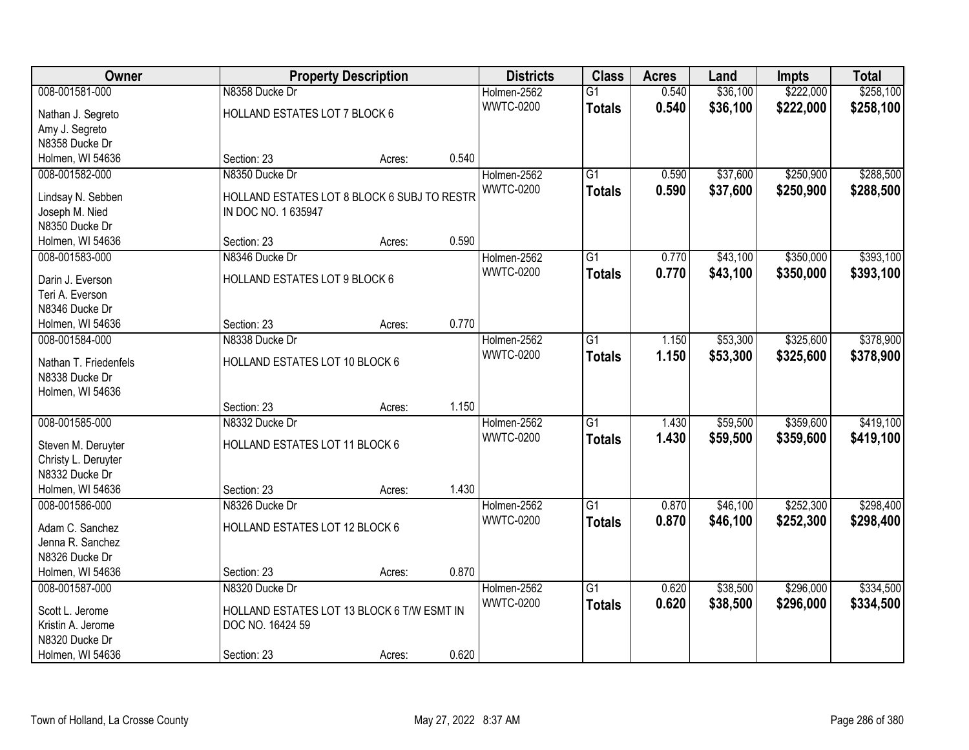| Owner                                |                                             | <b>Property Description</b> |       | <b>Districts</b> | <b>Class</b>    | <b>Acres</b> | Land     | <b>Impts</b> | <b>Total</b> |
|--------------------------------------|---------------------------------------------|-----------------------------|-------|------------------|-----------------|--------------|----------|--------------|--------------|
| 008-001581-000                       | N8358 Ducke Dr                              |                             |       | Holmen-2562      | $\overline{G1}$ | 0.540        | \$36,100 | \$222,000    | \$258,100    |
| Nathan J. Segreto                    | HOLLAND ESTATES LOT 7 BLOCK 6               |                             |       | <b>WWTC-0200</b> | <b>Totals</b>   | 0.540        | \$36,100 | \$222,000    | \$258,100    |
| Amy J. Segreto                       |                                             |                             |       |                  |                 |              |          |              |              |
| N8358 Ducke Dr                       |                                             |                             |       |                  |                 |              |          |              |              |
| Holmen, WI 54636                     | Section: 23                                 | Acres:                      | 0.540 |                  |                 |              |          |              |              |
| 008-001582-000                       | N8350 Ducke Dr                              |                             |       | Holmen-2562      | $\overline{G1}$ | 0.590        | \$37,600 | \$250,900    | \$288,500    |
|                                      |                                             |                             |       | <b>WWTC-0200</b> | <b>Totals</b>   | 0.590        | \$37,600 | \$250,900    | \$288,500    |
| Lindsay N. Sebben                    | HOLLAND ESTATES LOT 8 BLOCK 6 SUBJ TO RESTR |                             |       |                  |                 |              |          |              |              |
| Joseph M. Nied                       | IN DOC NO. 1 635947                         |                             |       |                  |                 |              |          |              |              |
| N8350 Ducke Dr                       |                                             |                             |       |                  |                 |              |          |              |              |
| Holmen, WI 54636                     | Section: 23                                 | Acres:                      | 0.590 |                  |                 |              |          |              |              |
| 008-001583-000                       | N8346 Ducke Dr                              |                             |       | Holmen-2562      | $\overline{G1}$ | 0.770        | \$43,100 | \$350,000    | \$393,100    |
| Darin J. Everson                     | HOLLAND ESTATES LOT 9 BLOCK 6               |                             |       | <b>WWTC-0200</b> | <b>Totals</b>   | 0.770        | \$43,100 | \$350,000    | \$393,100    |
| Teri A. Everson                      |                                             |                             |       |                  |                 |              |          |              |              |
| N8346 Ducke Dr                       |                                             |                             |       |                  |                 |              |          |              |              |
| Holmen, WI 54636                     | Section: 23                                 | Acres:                      | 0.770 |                  |                 |              |          |              |              |
| 008-001584-000                       | N8338 Ducke Dr                              |                             |       | Holmen-2562      | G1              | 1.150        | \$53,300 | \$325,600    | \$378,900    |
|                                      |                                             |                             |       | <b>WWTC-0200</b> |                 | 1.150        | \$53,300 | \$325,600    | \$378,900    |
| Nathan T. Friedenfels                | HOLLAND ESTATES LOT 10 BLOCK 6              |                             |       |                  | <b>Totals</b>   |              |          |              |              |
| N8338 Ducke Dr                       |                                             |                             |       |                  |                 |              |          |              |              |
| Holmen, WI 54636                     |                                             |                             |       |                  |                 |              |          |              |              |
|                                      | Section: 23                                 | Acres:                      | 1.150 |                  |                 |              |          |              |              |
| 008-001585-000                       | N8332 Ducke Dr                              |                             |       | Holmen-2562      | $\overline{G1}$ | 1.430        | \$59,500 | \$359,600    | \$419,100    |
| Steven M. Deruyter                   | HOLLAND ESTATES LOT 11 BLOCK 6              |                             |       | <b>WWTC-0200</b> | <b>Totals</b>   | 1.430        | \$59,500 | \$359,600    | \$419,100    |
| Christy L. Deruyter                  |                                             |                             |       |                  |                 |              |          |              |              |
| N8332 Ducke Dr                       |                                             |                             |       |                  |                 |              |          |              |              |
| Holmen, WI 54636                     | Section: 23                                 | Acres:                      | 1.430 |                  |                 |              |          |              |              |
| 008-001586-000                       | N8326 Ducke Dr                              |                             |       | Holmen-2562      | $\overline{G1}$ | 0.870        | \$46,100 | \$252,300    | \$298,400    |
|                                      |                                             |                             |       | <b>WWTC-0200</b> |                 | 0.870        |          |              |              |
| Adam C. Sanchez                      | HOLLAND ESTATES LOT 12 BLOCK 6              |                             |       |                  | <b>Totals</b>   |              | \$46,100 | \$252,300    | \$298,400    |
| Jenna R. Sanchez                     |                                             |                             |       |                  |                 |              |          |              |              |
| N8326 Ducke Dr                       |                                             |                             |       |                  |                 |              |          |              |              |
| Holmen, WI 54636                     | Section: 23                                 | Acres:                      | 0.870 |                  |                 |              |          |              |              |
| 008-001587-000                       | N8320 Ducke Dr                              |                             |       | Holmen-2562      | $\overline{G1}$ | 0.620        | \$38,500 | \$296,000    | \$334,500    |
|                                      | HOLLAND ESTATES LOT 13 BLOCK 6 T/W ESMT IN  |                             |       | <b>WWTC-0200</b> | <b>Totals</b>   | 0.620        | \$38,500 | \$296,000    | \$334,500    |
| Scott L. Jerome<br>Kristin A. Jerome |                                             |                             |       |                  |                 |              |          |              |              |
| N8320 Ducke Dr                       | DOC NO. 16424 59                            |                             |       |                  |                 |              |          |              |              |
|                                      |                                             |                             |       |                  |                 |              |          |              |              |
| Holmen, WI 54636                     | Section: 23                                 | Acres:                      | 0.620 |                  |                 |              |          |              |              |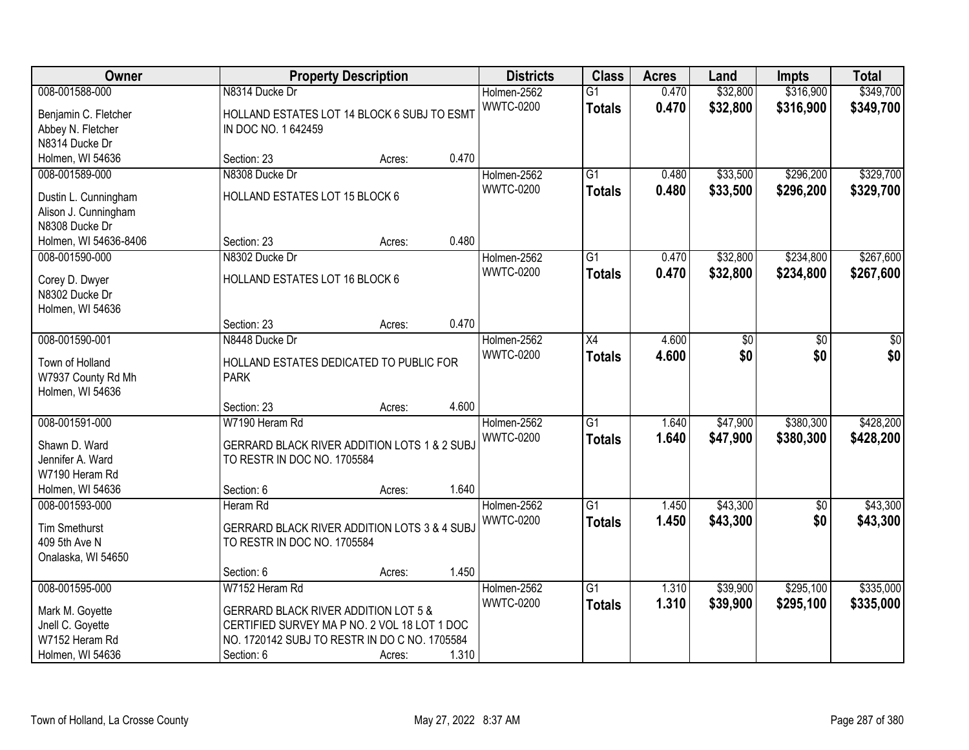| <b>Owner</b>                            |                                                         | <b>Property Description</b> |       | <b>Districts</b>                | <b>Class</b>    | <b>Acres</b> | Land            | <b>Impts</b> | <b>Total</b> |
|-----------------------------------------|---------------------------------------------------------|-----------------------------|-------|---------------------------------|-----------------|--------------|-----------------|--------------|--------------|
| 008-001588-000                          | N8314 Ducke Dr                                          |                             |       | Holmen-2562                     | $\overline{G1}$ | 0.470        | \$32,800        | \$316,900    | \$349,700    |
| Benjamin C. Fletcher                    | HOLLAND ESTATES LOT 14 BLOCK 6 SUBJ TO ESMT             |                             |       | <b>WWTC-0200</b>                | <b>Totals</b>   | 0.470        | \$32,800        | \$316,900    | \$349,700    |
| Abbey N. Fletcher                       | IN DOC NO. 1 642459                                     |                             |       |                                 |                 |              |                 |              |              |
| N8314 Ducke Dr                          |                                                         |                             |       |                                 |                 |              |                 |              |              |
| Holmen, WI 54636                        | Section: 23                                             | Acres:                      | 0.470 |                                 |                 |              |                 |              |              |
| 008-001589-000                          | N8308 Ducke Dr                                          |                             |       | Holmen-2562                     | $\overline{G1}$ | 0.480        | \$33,500        | \$296,200    | \$329,700    |
|                                         |                                                         |                             |       | <b>WWTC-0200</b>                | <b>Totals</b>   | 0.480        | \$33,500        | \$296,200    | \$329,700    |
| Dustin L. Cunningham                    | HOLLAND ESTATES LOT 15 BLOCK 6                          |                             |       |                                 |                 |              |                 |              |              |
| Alison J. Cunningham<br>N8308 Ducke Dr  |                                                         |                             |       |                                 |                 |              |                 |              |              |
|                                         | Section: 23                                             |                             | 0.480 |                                 |                 |              |                 |              |              |
| Holmen, WI 54636-8406<br>008-001590-000 | N8302 Ducke Dr                                          | Acres:                      |       |                                 | G1              |              |                 | \$234,800    | \$267,600    |
|                                         |                                                         |                             |       | Holmen-2562<br><b>WWTC-0200</b> |                 | 0.470        | \$32,800        |              |              |
| Corey D. Dwyer                          | HOLLAND ESTATES LOT 16 BLOCK 6                          |                             |       |                                 | <b>Totals</b>   | 0.470        | \$32,800        | \$234,800    | \$267,600    |
| N8302 Ducke Dr                          |                                                         |                             |       |                                 |                 |              |                 |              |              |
| Holmen, WI 54636                        |                                                         |                             |       |                                 |                 |              |                 |              |              |
|                                         | Section: 23                                             | Acres:                      | 0.470 |                                 |                 |              |                 |              |              |
| 008-001590-001                          | N8448 Ducke Dr                                          |                             |       | Holmen-2562                     | X4              | 4.600        | $\overline{60}$ | $\sqrt{6}$   | $\sqrt{50}$  |
| Town of Holland                         | HOLLAND ESTATES DEDICATED TO PUBLIC FOR                 |                             |       | <b>WWTC-0200</b>                | <b>Totals</b>   | 4.600        | \$0             | \$0          | \$0          |
| W7937 County Rd Mh                      | <b>PARK</b>                                             |                             |       |                                 |                 |              |                 |              |              |
| Holmen, WI 54636                        |                                                         |                             |       |                                 |                 |              |                 |              |              |
|                                         | Section: 23                                             | Acres:                      | 4.600 |                                 |                 |              |                 |              |              |
| 008-001591-000                          | W7190 Heram Rd                                          |                             |       | Holmen-2562                     | $\overline{G1}$ | 1.640        | \$47,900        | \$380,300    | \$428,200    |
|                                         |                                                         |                             |       | <b>WWTC-0200</b>                | <b>Totals</b>   | 1.640        | \$47,900        | \$380,300    | \$428,200    |
| Shawn D. Ward                           | GERRARD BLACK RIVER ADDITION LOTS 1 & 2 SUBJ            |                             |       |                                 |                 |              |                 |              |              |
| Jennifer A. Ward                        | TO RESTR IN DOC NO. 1705584                             |                             |       |                                 |                 |              |                 |              |              |
| W7190 Heram Rd                          |                                                         |                             |       |                                 |                 |              |                 |              |              |
| Holmen, WI 54636                        | Section: 6                                              | Acres:                      | 1.640 |                                 |                 |              |                 |              |              |
| 008-001593-000                          | Heram Rd                                                |                             |       | Holmen-2562                     | $\overline{G1}$ | 1.450        | \$43,300        | \$0          | \$43,300     |
| <b>Tim Smethurst</b>                    | <b>GERRARD BLACK RIVER ADDITION LOTS 3 &amp; 4 SUBJ</b> |                             |       | <b>WWTC-0200</b>                | <b>Totals</b>   | 1.450        | \$43,300        | \$0          | \$43,300     |
| 409 5th Ave N                           | TO RESTR IN DOC NO. 1705584                             |                             |       |                                 |                 |              |                 |              |              |
| Onalaska, WI 54650                      |                                                         |                             |       |                                 |                 |              |                 |              |              |
|                                         | Section: 6                                              | Acres:                      | 1.450 |                                 |                 |              |                 |              |              |
| 008-001595-000                          | W7152 Heram Rd                                          |                             |       | Holmen-2562                     | G1              | 1.310        | \$39,900        | \$295,100    | \$335,000    |
|                                         |                                                         |                             |       | <b>WWTC-0200</b>                | <b>Totals</b>   | 1.310        | \$39,900        | \$295,100    | \$335,000    |
| Mark M. Goyette                         | GERRARD BLACK RIVER ADDITION LOT 5 &                    |                             |       |                                 |                 |              |                 |              |              |
| Jnell C. Goyette                        | CERTIFIED SURVEY MA P NO. 2 VOL 18 LOT 1 DOC            |                             |       |                                 |                 |              |                 |              |              |
| W7152 Heram Rd                          | NO. 1720142 SUBJ TO RESTR IN DO C NO. 1705584           |                             |       |                                 |                 |              |                 |              |              |
| Holmen, WI 54636                        | Section: 6                                              | Acres:                      | 1.310 |                                 |                 |              |                 |              |              |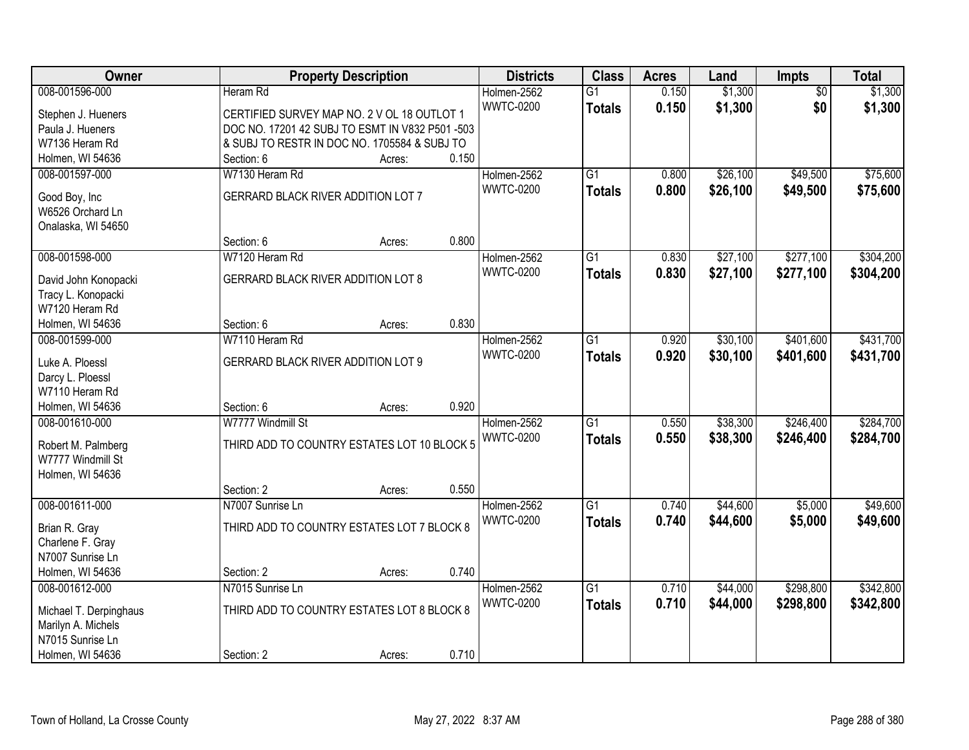| Owner                                        | <b>Property Description</b>                     |        |       | <b>Districts</b> | <b>Class</b>    | <b>Acres</b> | Land     | <b>Impts</b>    | <b>Total</b> |
|----------------------------------------------|-------------------------------------------------|--------|-------|------------------|-----------------|--------------|----------|-----------------|--------------|
| 008-001596-000                               | Heram Rd                                        |        |       | Holmen-2562      | $\overline{G1}$ | 0.150        | \$1,300  | $\overline{50}$ | \$1,300      |
| Stephen J. Hueners                           | CERTIFIED SURVEY MAP NO. 2 V OL 18 OUTLOT 1     |        |       | <b>WWTC-0200</b> | <b>Totals</b>   | 0.150        | \$1,300  | \$0             | \$1,300      |
| Paula J. Hueners                             | DOC NO. 17201 42 SUBJ TO ESMT IN V832 P501 -503 |        |       |                  |                 |              |          |                 |              |
| W7136 Heram Rd                               | & SUBJ TO RESTR IN DOC NO. 1705584 & SUBJ TO    |        |       |                  |                 |              |          |                 |              |
| Holmen, WI 54636                             | Section: 6                                      | Acres: | 0.150 |                  |                 |              |          |                 |              |
| 008-001597-000                               | W7130 Heram Rd                                  |        |       | Holmen-2562      | $\overline{G1}$ | 0.800        | \$26,100 | \$49,500        | \$75,600     |
|                                              | GERRARD BLACK RIVER ADDITION LOT 7              |        |       | <b>WWTC-0200</b> | <b>Totals</b>   | 0.800        | \$26,100 | \$49,500        | \$75,600     |
| Good Boy, Inc<br>W6526 Orchard Ln            |                                                 |        |       |                  |                 |              |          |                 |              |
| Onalaska, WI 54650                           |                                                 |        |       |                  |                 |              |          |                 |              |
|                                              | Section: 6                                      | Acres: | 0.800 |                  |                 |              |          |                 |              |
| 008-001598-000                               | W7120 Heram Rd                                  |        |       | Holmen-2562      | G1              | 0.830        | \$27,100 | \$277,100       | \$304,200    |
|                                              |                                                 |        |       | <b>WWTC-0200</b> | <b>Totals</b>   | 0.830        | \$27,100 | \$277,100       | \$304,200    |
| David John Konopacki                         | <b>GERRARD BLACK RIVER ADDITION LOT 8</b>       |        |       |                  |                 |              |          |                 |              |
| Tracy L. Konopacki                           |                                                 |        |       |                  |                 |              |          |                 |              |
| W7120 Heram Rd<br>Holmen, WI 54636           | Section: 6                                      | Acres: | 0.830 |                  |                 |              |          |                 |              |
| 008-001599-000                               | W7110 Heram Rd                                  |        |       | Holmen-2562      | G1              | 0.920        | \$30,100 | \$401,600       | \$431,700    |
|                                              |                                                 |        |       | <b>WWTC-0200</b> |                 | 0.920        | \$30,100 |                 | \$431,700    |
| Luke A. Ploessl                              | <b>GERRARD BLACK RIVER ADDITION LOT 9</b>       |        |       |                  | <b>Totals</b>   |              |          | \$401,600       |              |
| Darcy L. Ploessl                             |                                                 |        |       |                  |                 |              |          |                 |              |
| W7110 Heram Rd                               |                                                 |        |       |                  |                 |              |          |                 |              |
| Holmen, WI 54636                             | Section: 6                                      | Acres: | 0.920 |                  |                 |              |          |                 |              |
| 008-001610-000                               | W7777 Windmill St                               |        |       | Holmen-2562      | $\overline{G1}$ | 0.550        | \$38,300 | \$246,400       | \$284,700    |
| Robert M. Palmberg                           | THIRD ADD TO COUNTRY ESTATES LOT 10 BLOCK 5     |        |       | <b>WWTC-0200</b> | <b>Totals</b>   | 0.550        | \$38,300 | \$246,400       | \$284,700    |
| W7777 Windmill St                            |                                                 |        |       |                  |                 |              |          |                 |              |
| Holmen, WI 54636                             |                                                 |        |       |                  |                 |              |          |                 |              |
|                                              | Section: 2                                      | Acres: | 0.550 |                  |                 |              |          |                 |              |
| 008-001611-000                               | N7007 Sunrise Ln                                |        |       | Holmen-2562      | $\overline{G1}$ | 0.740        | \$44,600 | \$5,000         | \$49,600     |
| Brian R. Gray                                | THIRD ADD TO COUNTRY ESTATES LOT 7 BLOCK 8      |        |       | <b>WWTC-0200</b> | <b>Totals</b>   | 0.740        | \$44,600 | \$5,000         | \$49,600     |
| Charlene F. Gray                             |                                                 |        |       |                  |                 |              |          |                 |              |
| N7007 Sunrise Ln                             |                                                 |        |       |                  |                 |              |          |                 |              |
| Holmen, WI 54636                             | Section: 2                                      | Acres: | 0.740 |                  |                 |              |          |                 |              |
| 008-001612-000                               | N7015 Sunrise Ln                                |        |       | Holmen-2562      | $\overline{G1}$ | 0.710        | \$44,000 | \$298,800       | \$342,800    |
|                                              | THIRD ADD TO COUNTRY ESTATES LOT 8 BLOCK 8      |        |       | <b>WWTC-0200</b> | <b>Totals</b>   | 0.710        | \$44,000 | \$298,800       | \$342,800    |
| Michael T. Derpinghaus<br>Marilyn A. Michels |                                                 |        |       |                  |                 |              |          |                 |              |
| N7015 Sunrise Ln                             |                                                 |        |       |                  |                 |              |          |                 |              |
| Holmen, WI 54636                             | Section: 2                                      | Acres: | 0.710 |                  |                 |              |          |                 |              |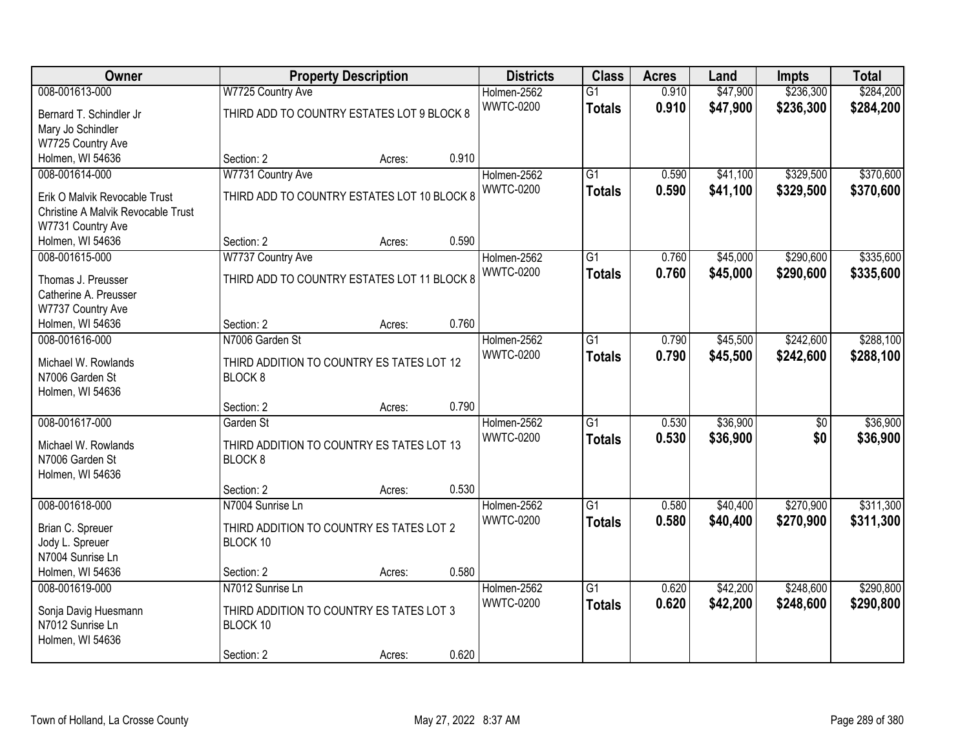| Owner                                    |                                             | <b>Property Description</b> |       | <b>Districts</b> | <b>Class</b>    | <b>Acres</b> | Land     | <b>Impts</b>    | <b>Total</b> |
|------------------------------------------|---------------------------------------------|-----------------------------|-------|------------------|-----------------|--------------|----------|-----------------|--------------|
| 008-001613-000                           | W7725 Country Ave                           |                             |       | Holmen-2562      | $\overline{G1}$ | 0.910        | \$47,900 | \$236,300       | \$284,200    |
| Bernard T. Schindler Jr                  | THIRD ADD TO COUNTRY ESTATES LOT 9 BLOCK 8  |                             |       | <b>WWTC-0200</b> | <b>Totals</b>   | 0.910        | \$47,900 | \$236,300       | \$284,200    |
| Mary Jo Schindler                        |                                             |                             |       |                  |                 |              |          |                 |              |
| W7725 Country Ave                        |                                             |                             |       |                  |                 |              |          |                 |              |
| Holmen, WI 54636                         | Section: 2                                  | Acres:                      | 0.910 |                  |                 |              |          |                 |              |
| 008-001614-000                           | W7731 Country Ave                           |                             |       | Holmen-2562      | $\overline{G1}$ | 0.590        | \$41,100 | \$329,500       | \$370,600    |
| Erik O Malvik Revocable Trust            | THIRD ADD TO COUNTRY ESTATES LOT 10 BLOCK 8 |                             |       | <b>WWTC-0200</b> | <b>Totals</b>   | 0.590        | \$41,100 | \$329,500       | \$370,600    |
| Christine A Malvik Revocable Trust       |                                             |                             |       |                  |                 |              |          |                 |              |
| W7731 Country Ave                        |                                             |                             |       |                  |                 |              |          |                 |              |
| Holmen, WI 54636                         | Section: 2                                  | Acres:                      | 0.590 |                  |                 |              |          |                 |              |
| 008-001615-000                           | W7737 Country Ave                           |                             |       | Holmen-2562      | G1              | 0.760        | \$45,000 | \$290,600       | \$335,600    |
| Thomas J. Preusser                       | THIRD ADD TO COUNTRY ESTATES LOT 11 BLOCK 8 |                             |       | <b>WWTC-0200</b> | <b>Totals</b>   | 0.760        | \$45,000 | \$290,600       | \$335,600    |
| Catherine A. Preusser                    |                                             |                             |       |                  |                 |              |          |                 |              |
| W7737 Country Ave                        |                                             |                             |       |                  |                 |              |          |                 |              |
| Holmen, WI 54636                         | Section: 2                                  | Acres:                      | 0.760 |                  |                 |              |          |                 |              |
| 008-001616-000                           | N7006 Garden St                             |                             |       | Holmen-2562      | G1              | 0.790        | \$45,500 | \$242,600       | \$288,100    |
| Michael W. Rowlands                      | THIRD ADDITION TO COUNTRY ES TATES LOT 12   |                             |       | <b>WWTC-0200</b> | <b>Totals</b>   | 0.790        | \$45,500 | \$242,600       | \$288,100    |
| N7006 Garden St                          | BLOCK <sub>8</sub>                          |                             |       |                  |                 |              |          |                 |              |
| Holmen, WI 54636                         |                                             |                             |       |                  |                 |              |          |                 |              |
|                                          | Section: 2                                  | Acres:                      | 0.790 |                  |                 |              |          |                 |              |
| 008-001617-000                           | Garden St                                   |                             |       | Holmen-2562      | $\overline{G1}$ | 0.530        | \$36,900 | $\overline{50}$ | \$36,900     |
| Michael W. Rowlands                      | THIRD ADDITION TO COUNTRY ES TATES LOT 13   |                             |       | <b>WWTC-0200</b> | <b>Totals</b>   | 0.530        | \$36,900 | \$0             | \$36,900     |
| N7006 Garden St                          | BLOCK <sub>8</sub>                          |                             |       |                  |                 |              |          |                 |              |
| Holmen, WI 54636                         |                                             |                             |       |                  |                 |              |          |                 |              |
|                                          | Section: 2                                  | Acres:                      | 0.530 |                  |                 |              |          |                 |              |
| 008-001618-000                           | N7004 Sunrise Ln                            |                             |       | Holmen-2562      | $\overline{G1}$ | 0.580        | \$40,400 | \$270,900       | \$311,300    |
| Brian C. Spreuer                         | THIRD ADDITION TO COUNTRY ES TATES LOT 2    |                             |       | <b>WWTC-0200</b> | <b>Totals</b>   | 0.580        | \$40,400 | \$270,900       | \$311,300    |
| Jody L. Spreuer                          | BLOCK 10                                    |                             |       |                  |                 |              |          |                 |              |
| N7004 Sunrise Ln                         |                                             |                             |       |                  |                 |              |          |                 |              |
| Holmen, WI 54636                         | Section: 2                                  | Acres:                      | 0.580 |                  |                 |              |          |                 |              |
| 008-001619-000                           | N7012 Sunrise Ln                            |                             |       | Holmen-2562      | $\overline{G1}$ | 0.620        | \$42,200 | \$248,600       | \$290,800    |
|                                          | THIRD ADDITION TO COUNTRY ES TATES LOT 3    |                             |       | <b>WWTC-0200</b> | <b>Totals</b>   | 0.620        | \$42,200 | \$248,600       | \$290,800    |
| Sonja Davig Huesmann<br>N7012 Sunrise Ln | BLOCK 10                                    |                             |       |                  |                 |              |          |                 |              |
| Holmen, WI 54636                         |                                             |                             |       |                  |                 |              |          |                 |              |
|                                          | Section: 2                                  | Acres:                      | 0.620 |                  |                 |              |          |                 |              |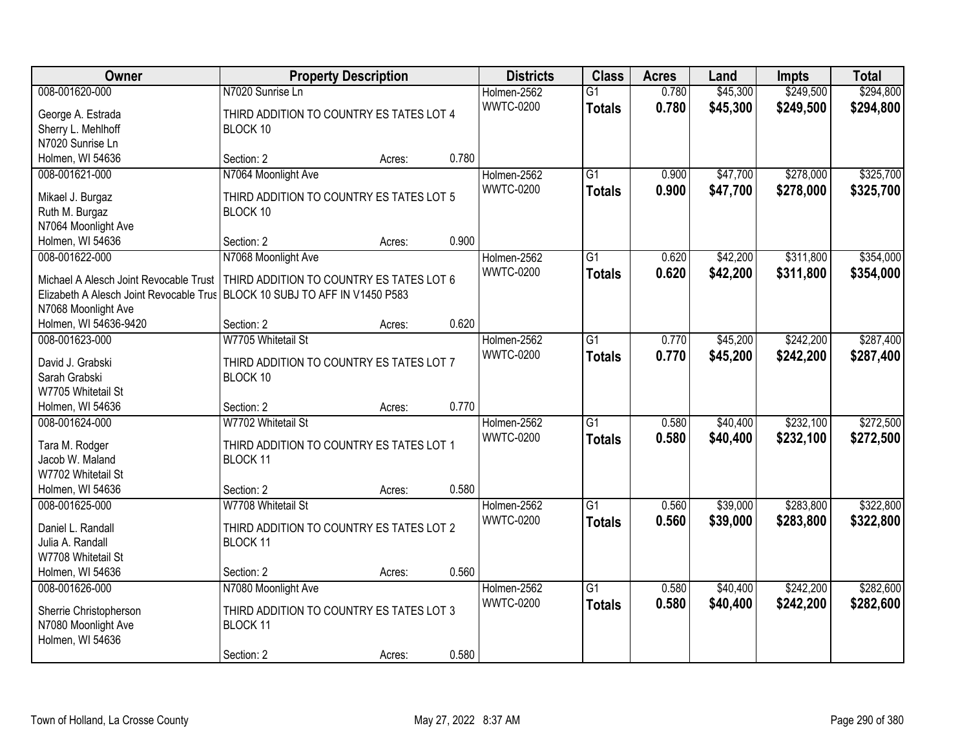| Owner                                   | <b>Property Description</b>                          |        |       | <b>Districts</b> | <b>Class</b>    | <b>Acres</b> | Land     | <b>Impts</b> | <b>Total</b> |
|-----------------------------------------|------------------------------------------------------|--------|-------|------------------|-----------------|--------------|----------|--------------|--------------|
| 008-001620-000                          | N7020 Sunrise Ln                                     |        |       | Holmen-2562      | $\overline{G1}$ | 0.780        | \$45,300 | \$249,500    | \$294,800    |
| George A. Estrada                       | THIRD ADDITION TO COUNTRY ES TATES LOT 4             |        |       | <b>WWTC-0200</b> | <b>Totals</b>   | 0.780        | \$45,300 | \$249,500    | \$294,800    |
| Sherry L. Mehlhoff                      | BLOCK 10                                             |        |       |                  |                 |              |          |              |              |
| N7020 Sunrise Ln                        |                                                      |        |       |                  |                 |              |          |              |              |
| Holmen, WI 54636                        | Section: 2                                           | Acres: | 0.780 |                  |                 |              |          |              |              |
| 008-001621-000                          | N7064 Moonlight Ave                                  |        |       | Holmen-2562      | $\overline{G1}$ | 0.900        | \$47,700 | \$278,000    | \$325,700    |
|                                         |                                                      |        |       | <b>WWTC-0200</b> | <b>Totals</b>   | 0.900        | \$47,700 | \$278,000    | \$325,700    |
| Mikael J. Burgaz                        | THIRD ADDITION TO COUNTRY ES TATES LOT 5             |        |       |                  |                 |              |          |              |              |
| Ruth M. Burgaz                          | BLOCK 10                                             |        |       |                  |                 |              |          |              |              |
| N7064 Moonlight Ave                     |                                                      |        | 0.900 |                  |                 |              |          |              |              |
| Holmen, WI 54636                        | Section: 2                                           | Acres: |       |                  |                 |              |          |              |              |
| 008-001622-000                          | N7068 Moonlight Ave                                  |        |       | Holmen-2562      | G1              | 0.620        | \$42,200 | \$311,800    | \$354,000    |
| Michael A Alesch Joint Revocable Trust  | THIRD ADDITION TO COUNTRY ES TATES LOT 6             |        |       | <b>WWTC-0200</b> | <b>Totals</b>   | 0.620        | \$42,200 | \$311,800    | \$354,000    |
| Elizabeth A Alesch Joint Revocable Trus | BLOCK 10 SUBJ TO AFF IN V1450 P583                   |        |       |                  |                 |              |          |              |              |
| N7068 Moonlight Ave                     |                                                      |        |       |                  |                 |              |          |              |              |
| Holmen, WI 54636-9420                   | Section: 2                                           | Acres: | 0.620 |                  |                 |              |          |              |              |
| 008-001623-000                          | W7705 Whitetail St                                   |        |       | Holmen-2562      | G1              | 0.770        | \$45,200 | \$242,200    | \$287,400    |
|                                         |                                                      |        |       | <b>WWTC-0200</b> | <b>Totals</b>   | 0.770        | \$45,200 | \$242,200    | \$287,400    |
| David J. Grabski<br>Sarah Grabski       | THIRD ADDITION TO COUNTRY ES TATES LOT 7<br>BLOCK 10 |        |       |                  |                 |              |          |              |              |
| W7705 Whitetail St                      |                                                      |        |       |                  |                 |              |          |              |              |
| Holmen, WI 54636                        | Section: 2                                           |        | 0.770 |                  |                 |              |          |              |              |
| 008-001624-000                          | W7702 Whitetail St                                   | Acres: |       |                  | $\overline{G1}$ | 0.580        | \$40,400 | \$232,100    | \$272,500    |
|                                         |                                                      |        |       | Holmen-2562      |                 |              |          |              |              |
| Tara M. Rodger                          | THIRD ADDITION TO COUNTRY ES TATES LOT 1             |        |       | <b>WWTC-0200</b> | <b>Totals</b>   | 0.580        | \$40,400 | \$232,100    | \$272,500    |
| Jacob W. Maland                         | BLOCK 11                                             |        |       |                  |                 |              |          |              |              |
| W7702 Whitetail St                      |                                                      |        |       |                  |                 |              |          |              |              |
| Holmen, WI 54636                        | Section: 2                                           | Acres: | 0.580 |                  |                 |              |          |              |              |
| 008-001625-000                          | W7708 Whitetail St                                   |        |       | Holmen-2562      | $\overline{G1}$ | 0.560        | \$39,000 | \$283,800    | \$322,800    |
| Daniel L. Randall                       | THIRD ADDITION TO COUNTRY ES TATES LOT 2             |        |       | <b>WWTC-0200</b> | <b>Totals</b>   | 0.560        | \$39,000 | \$283,800    | \$322,800    |
| Julia A. Randall                        | BLOCK 11                                             |        |       |                  |                 |              |          |              |              |
| W7708 Whitetail St                      |                                                      |        |       |                  |                 |              |          |              |              |
| Holmen, WI 54636                        | Section: 2                                           | Acres: | 0.560 |                  |                 |              |          |              |              |
| 008-001626-000                          | N7080 Moonlight Ave                                  |        |       | Holmen-2562      | $\overline{G1}$ | 0.580        | \$40,400 | \$242,200    | \$282,600    |
|                                         |                                                      |        |       | <b>WWTC-0200</b> |                 | 0.580        | \$40,400 | \$242,200    |              |
| Sherrie Christopherson                  | THIRD ADDITION TO COUNTRY ES TATES LOT 3             |        |       |                  | <b>Totals</b>   |              |          |              | \$282,600    |
| N7080 Moonlight Ave                     | BLOCK 11                                             |        |       |                  |                 |              |          |              |              |
| Holmen, WI 54636                        |                                                      |        |       |                  |                 |              |          |              |              |
|                                         | Section: 2                                           | Acres: | 0.580 |                  |                 |              |          |              |              |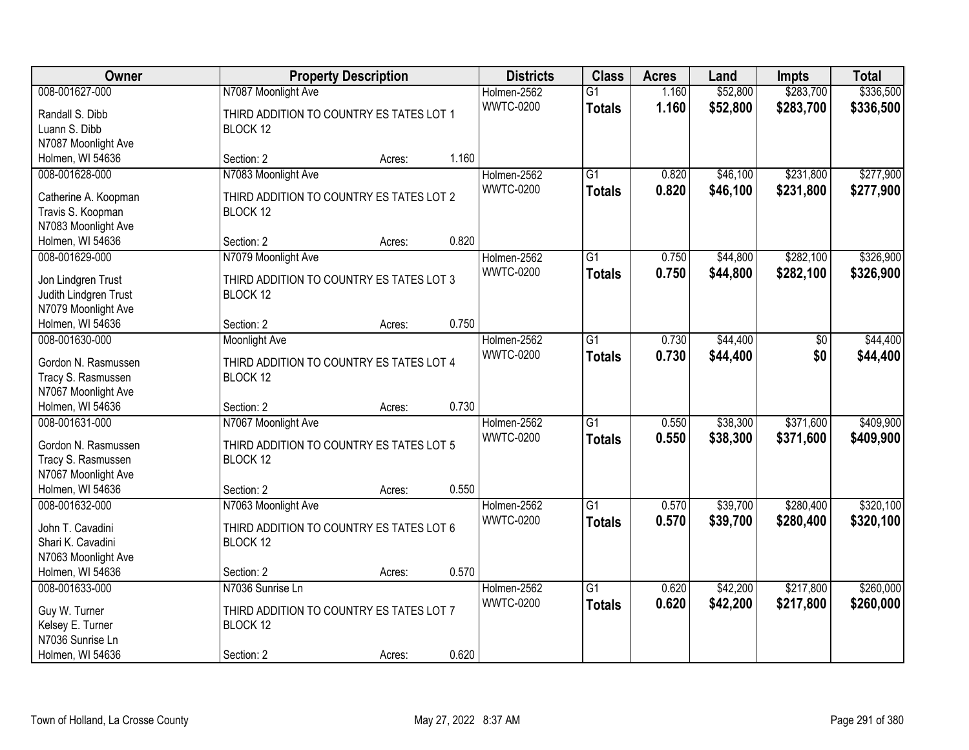| Owner                 | <b>Property Description</b>              |        |       | <b>Districts</b> | <b>Class</b>    | <b>Acres</b> | Land     | <b>Impts</b> | <b>Total</b> |
|-----------------------|------------------------------------------|--------|-------|------------------|-----------------|--------------|----------|--------------|--------------|
| 008-001627-000        | N7087 Moonlight Ave                      |        |       | Holmen-2562      | $\overline{G1}$ | 1.160        | \$52,800 | \$283,700    | \$336,500    |
| Randall S. Dibb       | THIRD ADDITION TO COUNTRY ES TATES LOT 1 |        |       | <b>WWTC-0200</b> | <b>Totals</b>   | 1.160        | \$52,800 | \$283,700    | \$336,500    |
| Luann S. Dibb         | BLOCK 12                                 |        |       |                  |                 |              |          |              |              |
| N7087 Moonlight Ave   |                                          |        |       |                  |                 |              |          |              |              |
| Holmen, WI 54636      | Section: 2                               | Acres: | 1.160 |                  |                 |              |          |              |              |
| 008-001628-000        | N7083 Moonlight Ave                      |        |       | Holmen-2562      | $\overline{G1}$ | 0.820        | \$46,100 | \$231,800    | \$277,900    |
|                       |                                          |        |       | <b>WWTC-0200</b> | <b>Totals</b>   | 0.820        | \$46,100 | \$231,800    | \$277,900    |
| Catherine A. Koopman  | THIRD ADDITION TO COUNTRY ES TATES LOT 2 |        |       |                  |                 |              |          |              |              |
| Travis S. Koopman     | BLOCK 12                                 |        |       |                  |                 |              |          |              |              |
| N7083 Moonlight Ave   |                                          |        |       |                  |                 |              |          |              |              |
| Holmen, WI 54636      | Section: 2                               | Acres: | 0.820 |                  |                 |              |          |              |              |
| 008-001629-000        | N7079 Moonlight Ave                      |        |       | Holmen-2562      | $\overline{G1}$ | 0.750        | \$44,800 | \$282,100    | \$326,900    |
| Jon Lindgren Trust    | THIRD ADDITION TO COUNTRY ES TATES LOT 3 |        |       | <b>WWTC-0200</b> | <b>Totals</b>   | 0.750        | \$44,800 | \$282,100    | \$326,900    |
| Judith Lindgren Trust | BLOCK 12                                 |        |       |                  |                 |              |          |              |              |
| N7079 Moonlight Ave   |                                          |        |       |                  |                 |              |          |              |              |
| Holmen, WI 54636      | Section: 2                               | Acres: | 0.750 |                  |                 |              |          |              |              |
| 008-001630-000        | <b>Moonlight Ave</b>                     |        |       | Holmen-2562      | $\overline{G1}$ | 0.730        | \$44,400 | \$0          | \$44,400     |
|                       |                                          |        |       | <b>WWTC-0200</b> | <b>Totals</b>   | 0.730        | \$44,400 | \$0          | \$44,400     |
| Gordon N. Rasmussen   | THIRD ADDITION TO COUNTRY ES TATES LOT 4 |        |       |                  |                 |              |          |              |              |
| Tracy S. Rasmussen    | BLOCK 12                                 |        |       |                  |                 |              |          |              |              |
| N7067 Moonlight Ave   |                                          |        |       |                  |                 |              |          |              |              |
| Holmen, WI 54636      | Section: 2                               | Acres: | 0.730 |                  |                 |              |          |              |              |
| 008-001631-000        | N7067 Moonlight Ave                      |        |       | Holmen-2562      | $\overline{G1}$ | 0.550        | \$38,300 | \$371,600    | \$409,900    |
| Gordon N. Rasmussen   | THIRD ADDITION TO COUNTRY ES TATES LOT 5 |        |       | <b>WWTC-0200</b> | <b>Totals</b>   | 0.550        | \$38,300 | \$371,600    | \$409,900    |
| Tracy S. Rasmussen    | BLOCK 12                                 |        |       |                  |                 |              |          |              |              |
| N7067 Moonlight Ave   |                                          |        |       |                  |                 |              |          |              |              |
| Holmen, WI 54636      | Section: 2                               | Acres: | 0.550 |                  |                 |              |          |              |              |
| 008-001632-000        | N7063 Moonlight Ave                      |        |       | Holmen-2562      | $\overline{G1}$ | 0.570        | \$39,700 | \$280,400    | \$320,100    |
|                       |                                          |        |       | <b>WWTC-0200</b> | <b>Totals</b>   | 0.570        | \$39,700 | \$280,400    | \$320,100    |
| John T. Cavadini      | THIRD ADDITION TO COUNTRY ES TATES LOT 6 |        |       |                  |                 |              |          |              |              |
| Shari K. Cavadini     | BLOCK 12                                 |        |       |                  |                 |              |          |              |              |
| N7063 Moonlight Ave   |                                          |        |       |                  |                 |              |          |              |              |
| Holmen, WI 54636      | Section: 2                               | Acres: | 0.570 |                  |                 |              |          |              |              |
| 008-001633-000        | N7036 Sunrise Ln                         |        |       | Holmen-2562      | $\overline{G1}$ | 0.620        | \$42,200 | \$217,800    | \$260,000    |
| Guy W. Turner         | THIRD ADDITION TO COUNTRY ES TATES LOT 7 |        |       | <b>WWTC-0200</b> | <b>Totals</b>   | 0.620        | \$42,200 | \$217,800    | \$260,000    |
| Kelsey E. Turner      | BLOCK 12                                 |        |       |                  |                 |              |          |              |              |
| N7036 Sunrise Ln      |                                          |        |       |                  |                 |              |          |              |              |
| Holmen, WI 54636      | Section: 2                               | Acres: | 0.620 |                  |                 |              |          |              |              |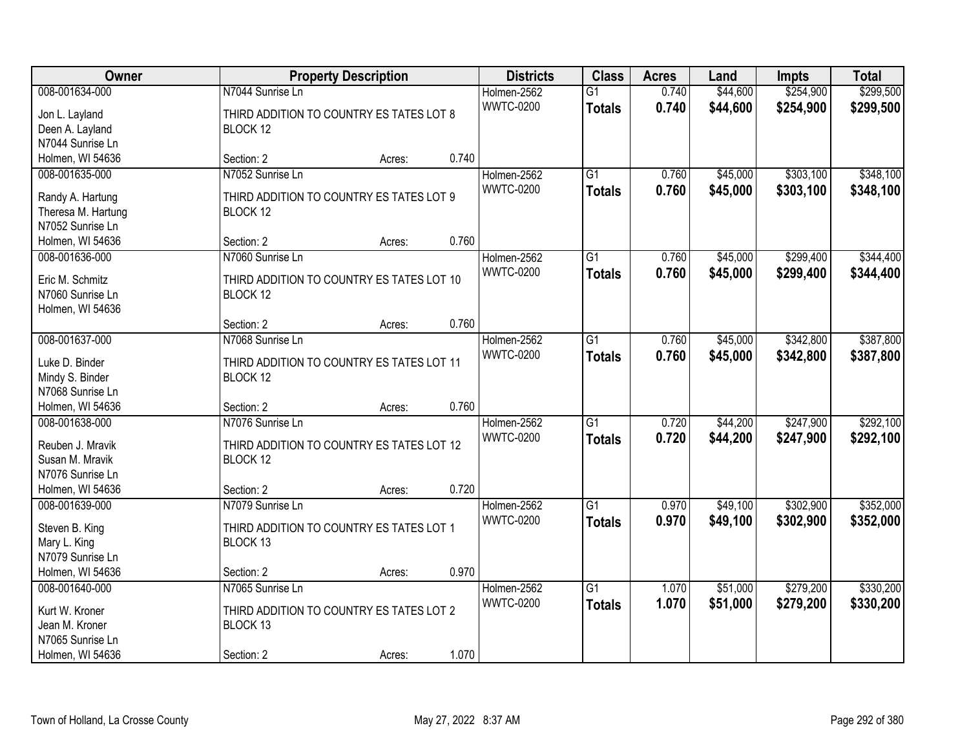| Owner                                  | <b>Property Description</b>                          |        |       | <b>Districts</b> | <b>Class</b>    | <b>Acres</b> | Land     | <b>Impts</b> | <b>Total</b> |
|----------------------------------------|------------------------------------------------------|--------|-------|------------------|-----------------|--------------|----------|--------------|--------------|
| 008-001634-000                         | N7044 Sunrise Ln                                     |        |       | Holmen-2562      | $\overline{G1}$ | 0.740        | \$44,600 | \$254,900    | \$299,500    |
| Jon L. Layland                         | THIRD ADDITION TO COUNTRY ES TATES LOT 8             |        |       | <b>WWTC-0200</b> | <b>Totals</b>   | 0.740        | \$44,600 | \$254,900    | \$299,500    |
| Deen A. Layland                        | BLOCK 12                                             |        |       |                  |                 |              |          |              |              |
| N7044 Sunrise Ln                       |                                                      |        |       |                  |                 |              |          |              |              |
| Holmen, WI 54636                       | Section: 2                                           | Acres: | 0.740 |                  |                 |              |          |              |              |
| 008-001635-000                         | N7052 Sunrise Ln                                     |        |       | Holmen-2562      | $\overline{G1}$ | 0.760        | \$45,000 | \$303,100    | \$348,100    |
|                                        |                                                      |        |       | <b>WWTC-0200</b> | <b>Totals</b>   | 0.760        | \$45,000 | \$303,100    | \$348,100    |
| Randy A. Hartung                       | THIRD ADDITION TO COUNTRY ES TATES LOT 9<br>BLOCK 12 |        |       |                  |                 |              |          |              |              |
| Theresa M. Hartung<br>N7052 Sunrise Ln |                                                      |        |       |                  |                 |              |          |              |              |
| Holmen, WI 54636                       | Section: 2                                           | Acres: | 0.760 |                  |                 |              |          |              |              |
| 008-001636-000                         | N7060 Sunrise Ln                                     |        |       | Holmen-2562      | $\overline{G1}$ | 0.760        | \$45,000 | \$299,400    | \$344,400    |
|                                        |                                                      |        |       | <b>WWTC-0200</b> |                 | 0.760        | \$45,000 | \$299,400    | \$344,400    |
| Eric M. Schmitz                        | THIRD ADDITION TO COUNTRY ES TATES LOT 10            |        |       |                  | <b>Totals</b>   |              |          |              |              |
| N7060 Sunrise Ln                       | BLOCK 12                                             |        |       |                  |                 |              |          |              |              |
| Holmen, WI 54636                       |                                                      |        |       |                  |                 |              |          |              |              |
|                                        | Section: 2                                           | Acres: | 0.760 |                  |                 |              |          |              |              |
| 008-001637-000                         | N7068 Sunrise Ln                                     |        |       | Holmen-2562      | $\overline{G1}$ | 0.760        | \$45,000 | \$342,800    | \$387,800    |
| Luke D. Binder                         | THIRD ADDITION TO COUNTRY ES TATES LOT 11            |        |       | <b>WWTC-0200</b> | <b>Totals</b>   | 0.760        | \$45,000 | \$342,800    | \$387,800    |
| Mindy S. Binder                        | BLOCK 12                                             |        |       |                  |                 |              |          |              |              |
| N7068 Sunrise Ln                       |                                                      |        |       |                  |                 |              |          |              |              |
| Holmen, WI 54636                       | Section: 2                                           | Acres: | 0.760 |                  |                 |              |          |              |              |
| 008-001638-000                         | N7076 Sunrise Ln                                     |        |       | Holmen-2562      | $\overline{G1}$ | 0.720        | \$44,200 | \$247,900    | \$292,100    |
|                                        |                                                      |        |       | <b>WWTC-0200</b> | <b>Totals</b>   | 0.720        | \$44,200 | \$247,900    | \$292,100    |
| Reuben J. Mravik                       | THIRD ADDITION TO COUNTRY ES TATES LOT 12            |        |       |                  |                 |              |          |              |              |
| Susan M. Mravik                        | BLOCK 12                                             |        |       |                  |                 |              |          |              |              |
| N7076 Sunrise Ln                       |                                                      |        |       |                  |                 |              |          |              |              |
| Holmen, WI 54636                       | Section: 2                                           | Acres: | 0.720 |                  |                 |              |          |              |              |
| 008-001639-000                         | N7079 Sunrise Ln                                     |        |       | Holmen-2562      | $\overline{G1}$ | 0.970        | \$49,100 | \$302,900    | \$352,000    |
| Steven B. King                         | THIRD ADDITION TO COUNTRY ES TATES LOT 1             |        |       | <b>WWTC-0200</b> | <b>Totals</b>   | 0.970        | \$49,100 | \$302,900    | \$352,000    |
| Mary L. King                           | BLOCK 13                                             |        |       |                  |                 |              |          |              |              |
| N7079 Sunrise Ln                       |                                                      |        |       |                  |                 |              |          |              |              |
| Holmen, WI 54636                       | Section: 2                                           | Acres: | 0.970 |                  |                 |              |          |              |              |
| 008-001640-000                         | N7065 Sunrise Ln                                     |        |       | Holmen-2562      | $\overline{G1}$ | 1.070        | \$51,000 | \$279,200    | \$330,200    |
| Kurt W. Kroner                         | THIRD ADDITION TO COUNTRY ES TATES LOT 2             |        |       | <b>WWTC-0200</b> | <b>Totals</b>   | 1.070        | \$51,000 | \$279,200    | \$330,200    |
| Jean M. Kroner                         | BLOCK 13                                             |        |       |                  |                 |              |          |              |              |
| N7065 Sunrise Ln                       |                                                      |        |       |                  |                 |              |          |              |              |
| Holmen, WI 54636                       | Section: 2                                           | Acres: | 1.070 |                  |                 |              |          |              |              |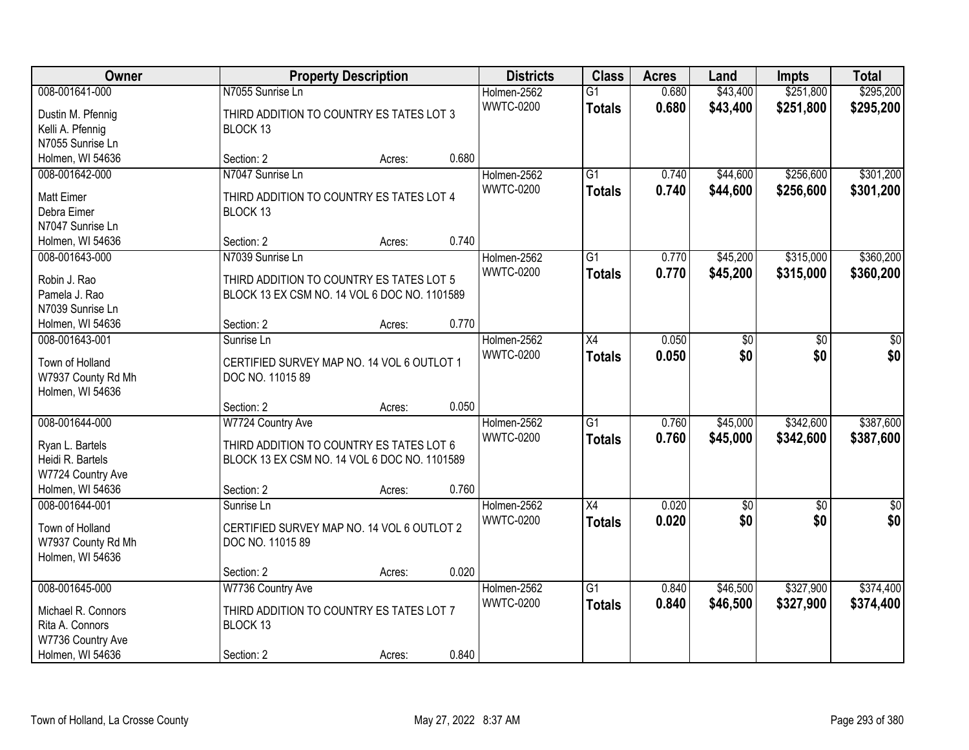| Owner              |                                              | <b>Property Description</b> |       | <b>Districts</b> | <b>Class</b>    | <b>Acres</b> | Land            | <b>Impts</b>    | <b>Total</b>    |
|--------------------|----------------------------------------------|-----------------------------|-------|------------------|-----------------|--------------|-----------------|-----------------|-----------------|
| 008-001641-000     | N7055 Sunrise Ln                             |                             |       | Holmen-2562      | $\overline{G1}$ | 0.680        | \$43,400        | \$251,800       | \$295,200       |
| Dustin M. Pfennig  | THIRD ADDITION TO COUNTRY ES TATES LOT 3     |                             |       | <b>WWTC-0200</b> | <b>Totals</b>   | 0.680        | \$43,400        | \$251,800       | \$295,200       |
| Kelli A. Pfennig   | BLOCK 13                                     |                             |       |                  |                 |              |                 |                 |                 |
| N7055 Sunrise Ln   |                                              |                             |       |                  |                 |              |                 |                 |                 |
| Holmen, WI 54636   | Section: 2                                   | Acres:                      | 0.680 |                  |                 |              |                 |                 |                 |
| 008-001642-000     | N7047 Sunrise Ln                             |                             |       | Holmen-2562      | $\overline{G1}$ | 0.740        | \$44,600        | \$256,600       | \$301,200       |
|                    |                                              |                             |       | <b>WWTC-0200</b> | <b>Totals</b>   | 0.740        | \$44,600        | \$256,600       | \$301,200       |
| <b>Matt Eimer</b>  | THIRD ADDITION TO COUNTRY ES TATES LOT 4     |                             |       |                  |                 |              |                 |                 |                 |
| Debra Eimer        | BLOCK 13                                     |                             |       |                  |                 |              |                 |                 |                 |
| N7047 Sunrise Ln   |                                              |                             |       |                  |                 |              |                 |                 |                 |
| Holmen, WI 54636   | Section: 2                                   | Acres:                      | 0.740 |                  |                 |              |                 |                 |                 |
| 008-001643-000     | N7039 Sunrise Ln                             |                             |       | Holmen-2562      | G1              | 0.770        | \$45,200        | \$315,000       | \$360,200       |
| Robin J. Rao       | THIRD ADDITION TO COUNTRY ES TATES LOT 5     |                             |       | <b>WWTC-0200</b> | <b>Totals</b>   | 0.770        | \$45,200        | \$315,000       | \$360,200       |
| Pamela J. Rao      | BLOCK 13 EX CSM NO. 14 VOL 6 DOC NO. 1101589 |                             |       |                  |                 |              |                 |                 |                 |
| N7039 Sunrise Ln   |                                              |                             |       |                  |                 |              |                 |                 |                 |
| Holmen, WI 54636   | Section: 2                                   | Acres:                      | 0.770 |                  |                 |              |                 |                 |                 |
| 008-001643-001     | Sunrise Ln                                   |                             |       | Holmen-2562      | X4              | 0.050        | \$0             | \$0             | \$0             |
|                    |                                              |                             |       | <b>WWTC-0200</b> | <b>Totals</b>   | 0.050        | \$0             | \$0             | \$0             |
| Town of Holland    | CERTIFIED SURVEY MAP NO. 14 VOL 6 OUTLOT 1   |                             |       |                  |                 |              |                 |                 |                 |
| W7937 County Rd Mh | DOC NO. 11015 89                             |                             |       |                  |                 |              |                 |                 |                 |
| Holmen, WI 54636   |                                              |                             |       |                  |                 |              |                 |                 |                 |
|                    | Section: 2                                   | Acres:                      | 0.050 |                  |                 |              |                 |                 |                 |
| 008-001644-000     | W7724 Country Ave                            |                             |       | Holmen-2562      | $\overline{G1}$ | 0.760        | \$45,000        | \$342,600       | \$387,600       |
| Ryan L. Bartels    | THIRD ADDITION TO COUNTRY ES TATES LOT 6     |                             |       | <b>WWTC-0200</b> | <b>Totals</b>   | 0.760        | \$45,000        | \$342,600       | \$387,600       |
| Heidi R. Bartels   | BLOCK 13 EX CSM NO. 14 VOL 6 DOC NO. 1101589 |                             |       |                  |                 |              |                 |                 |                 |
| W7724 Country Ave  |                                              |                             |       |                  |                 |              |                 |                 |                 |
| Holmen, WI 54636   | Section: 2                                   | Acres:                      | 0.760 |                  |                 |              |                 |                 |                 |
|                    |                                              |                             |       |                  |                 | 0.020        |                 |                 |                 |
| 008-001644-001     | Sunrise Ln                                   |                             |       | Holmen-2562      | $\overline{X4}$ |              | $\overline{50}$ | $\overline{50}$ | $\overline{50}$ |
| Town of Holland    | CERTIFIED SURVEY MAP NO. 14 VOL 6 OUTLOT 2   |                             |       | <b>WWTC-0200</b> | <b>Totals</b>   | 0.020        | \$0             | \$0             | \$0             |
| W7937 County Rd Mh | DOC NO. 11015 89                             |                             |       |                  |                 |              |                 |                 |                 |
| Holmen, WI 54636   |                                              |                             |       |                  |                 |              |                 |                 |                 |
|                    | Section: 2                                   | Acres:                      | 0.020 |                  |                 |              |                 |                 |                 |
| 008-001645-000     | W7736 Country Ave                            |                             |       | Holmen-2562      | $\overline{G1}$ | 0.840        | \$46,500        | \$327,900       | \$374,400       |
|                    |                                              |                             |       | <b>WWTC-0200</b> | <b>Totals</b>   | 0.840        | \$46,500        | \$327,900       | \$374,400       |
| Michael R. Connors | THIRD ADDITION TO COUNTRY ES TATES LOT 7     |                             |       |                  |                 |              |                 |                 |                 |
| Rita A. Connors    | BLOCK 13                                     |                             |       |                  |                 |              |                 |                 |                 |
| W7736 Country Ave  |                                              |                             |       |                  |                 |              |                 |                 |                 |
| Holmen, WI 54636   | Section: 2                                   | Acres:                      | 0.840 |                  |                 |              |                 |                 |                 |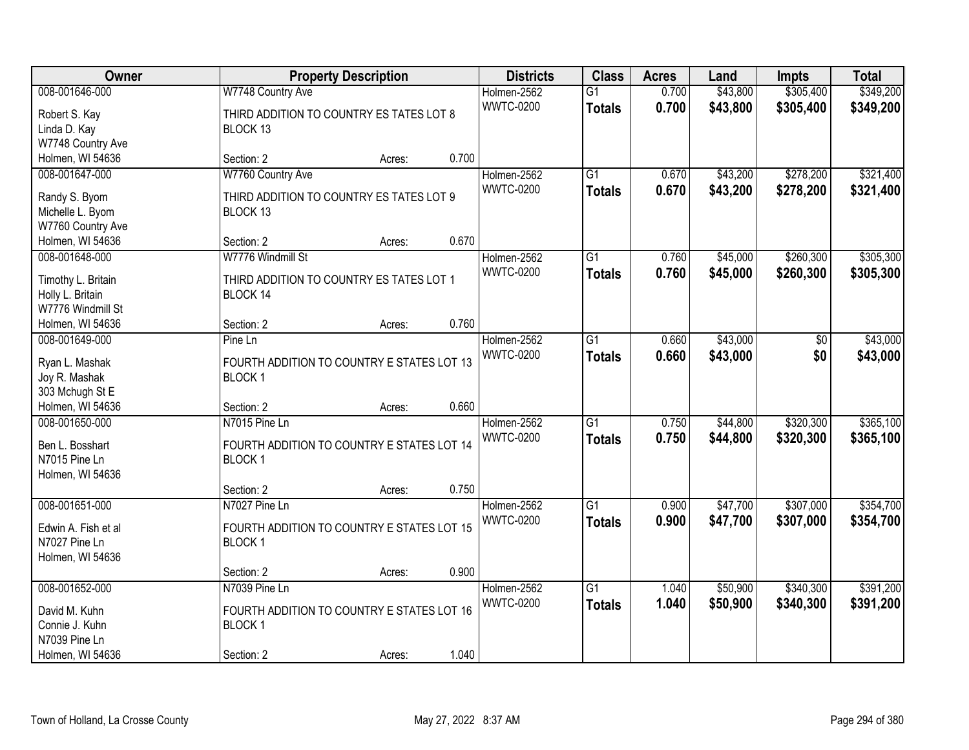| Owner                                  |                                                               | <b>Property Description</b> |       | <b>Districts</b>                | <b>Class</b>                     | <b>Acres</b>   | Land                 | <b>Impts</b>           | <b>Total</b>           |
|----------------------------------------|---------------------------------------------------------------|-----------------------------|-------|---------------------------------|----------------------------------|----------------|----------------------|------------------------|------------------------|
| 008-001646-000<br>Robert S. Kay        | W7748 Country Ave<br>THIRD ADDITION TO COUNTRY ES TATES LOT 8 |                             |       | Holmen-2562<br><b>WWTC-0200</b> | $\overline{G1}$<br><b>Totals</b> | 0.700<br>0.700 | \$43,800<br>\$43,800 | \$305,400<br>\$305,400 | \$349,200<br>\$349,200 |
| Linda D. Kay                           | BLOCK 13                                                      |                             |       |                                 |                                  |                |                      |                        |                        |
| W7748 Country Ave                      |                                                               |                             |       |                                 |                                  |                |                      |                        |                        |
| Holmen, WI 54636                       | Section: 2                                                    | Acres:                      | 0.700 |                                 |                                  |                |                      |                        |                        |
| 008-001647-000                         | W7760 Country Ave                                             |                             |       | Holmen-2562                     | $\overline{G1}$                  | 0.670          | \$43,200             | \$278,200              | \$321,400              |
| Randy S. Byom                          | THIRD ADDITION TO COUNTRY ES TATES LOT 9                      |                             |       | <b>WWTC-0200</b>                | <b>Totals</b>                    | 0.670          | \$43,200             | \$278,200              | \$321,400              |
| Michelle L. Byom                       | BLOCK 13                                                      |                             |       |                                 |                                  |                |                      |                        |                        |
| W7760 Country Ave                      |                                                               |                             |       |                                 |                                  |                |                      |                        |                        |
| Holmen, WI 54636                       | Section: 2                                                    | Acres:                      | 0.670 |                                 |                                  |                |                      |                        |                        |
| 008-001648-000                         | W7776 Windmill St                                             |                             |       | Holmen-2562                     | $\overline{G1}$                  | 0.760          | \$45,000             | \$260,300              | \$305,300              |
|                                        |                                                               |                             |       | <b>WWTC-0200</b>                | <b>Totals</b>                    | 0.760          | \$45,000             | \$260,300              | \$305,300              |
| Timothy L. Britain<br>Holly L. Britain | THIRD ADDITION TO COUNTRY ES TATES LOT 1<br>BLOCK 14          |                             |       |                                 |                                  |                |                      |                        |                        |
| W7776 Windmill St                      |                                                               |                             |       |                                 |                                  |                |                      |                        |                        |
| Holmen, WI 54636                       | Section: 2                                                    | Acres:                      | 0.760 |                                 |                                  |                |                      |                        |                        |
| 008-001649-000                         | Pine Ln                                                       |                             |       | Holmen-2562                     | G1                               | 0.660          | \$43,000             | \$0                    | \$43,000               |
|                                        |                                                               |                             |       | <b>WWTC-0200</b>                | <b>Totals</b>                    | 0.660          | \$43,000             | \$0                    | \$43,000               |
| Ryan L. Mashak                         | FOURTH ADDITION TO COUNTRY E STATES LOT 13                    |                             |       |                                 |                                  |                |                      |                        |                        |
| Joy R. Mashak                          | <b>BLOCK1</b>                                                 |                             |       |                                 |                                  |                |                      |                        |                        |
| 303 Mchugh St E                        |                                                               |                             |       |                                 |                                  |                |                      |                        |                        |
| Holmen, WI 54636                       | Section: 2                                                    | Acres:                      | 0.660 |                                 |                                  |                |                      |                        |                        |
| 008-001650-000                         | N7015 Pine Ln                                                 |                             |       | Holmen-2562                     | $\overline{G1}$                  | 0.750          | \$44,800             | \$320,300              | \$365,100              |
| Ben L. Bosshart                        | FOURTH ADDITION TO COUNTRY E STATES LOT 14                    |                             |       | <b>WWTC-0200</b>                | <b>Totals</b>                    | 0.750          | \$44,800             | \$320,300              | \$365,100              |
| N7015 Pine Ln                          | BLOCK <sub>1</sub>                                            |                             |       |                                 |                                  |                |                      |                        |                        |
| Holmen, WI 54636                       |                                                               |                             |       |                                 |                                  |                |                      |                        |                        |
|                                        | Section: 2                                                    | Acres:                      | 0.750 |                                 |                                  |                |                      |                        |                        |
| 008-001651-000                         | N7027 Pine Ln                                                 |                             |       | Holmen-2562                     | $\overline{G1}$                  | 0.900          | \$47,700             | \$307,000              | \$354,700              |
| Edwin A. Fish et al                    | FOURTH ADDITION TO COUNTRY E STATES LOT 15                    |                             |       | <b>WWTC-0200</b>                | <b>Totals</b>                    | 0.900          | \$47,700             | \$307,000              | \$354,700              |
| N7027 Pine Ln                          | BLOCK <sub>1</sub>                                            |                             |       |                                 |                                  |                |                      |                        |                        |
| Holmen, WI 54636                       |                                                               |                             |       |                                 |                                  |                |                      |                        |                        |
|                                        | Section: 2                                                    | Acres:                      | 0.900 |                                 |                                  |                |                      |                        |                        |
| 008-001652-000                         | N7039 Pine Ln                                                 |                             |       | Holmen-2562                     | $\overline{G1}$                  | 1.040          | \$50,900             | \$340,300              | \$391,200              |
|                                        | FOURTH ADDITION TO COUNTRY E STATES LOT 16                    |                             |       | <b>WWTC-0200</b>                | <b>Totals</b>                    | 1.040          | \$50,900             | \$340,300              | \$391,200              |
| David M. Kuhn<br>Connie J. Kuhn        | BLOCK <sub>1</sub>                                            |                             |       |                                 |                                  |                |                      |                        |                        |
| N7039 Pine Ln                          |                                                               |                             |       |                                 |                                  |                |                      |                        |                        |
| Holmen, WI 54636                       | Section: 2                                                    | Acres:                      | 1.040 |                                 |                                  |                |                      |                        |                        |
|                                        |                                                               |                             |       |                                 |                                  |                |                      |                        |                        |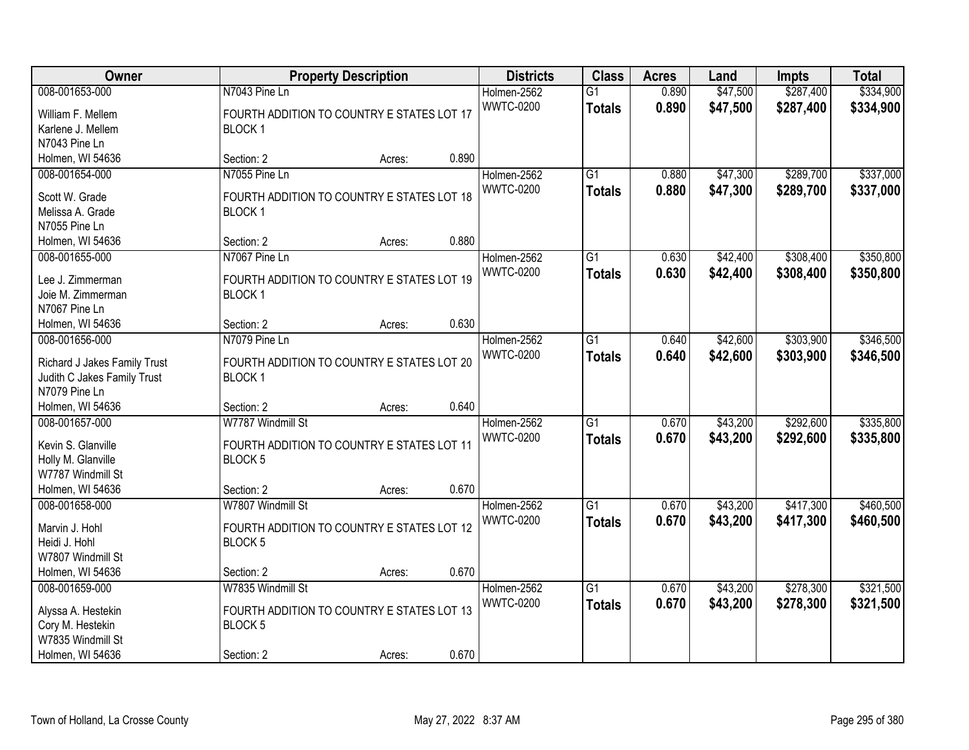| Owner                              |                                            | <b>Property Description</b> |       | <b>Districts</b> | <b>Class</b>    | <b>Acres</b> | Land     | <b>Impts</b> | <b>Total</b> |
|------------------------------------|--------------------------------------------|-----------------------------|-------|------------------|-----------------|--------------|----------|--------------|--------------|
| 008-001653-000                     | N7043 Pine Ln                              |                             |       | Holmen-2562      | $\overline{G1}$ | 0.890        | \$47,500 | \$287,400    | \$334,900    |
| William F. Mellem                  | FOURTH ADDITION TO COUNTRY E STATES LOT 17 |                             |       | <b>WWTC-0200</b> | <b>Totals</b>   | 0.890        | \$47,500 | \$287,400    | \$334,900    |
| Karlene J. Mellem                  | BLOCK <sub>1</sub>                         |                             |       |                  |                 |              |          |              |              |
| N7043 Pine Ln                      |                                            |                             |       |                  |                 |              |          |              |              |
| Holmen, WI 54636                   | Section: 2                                 | Acres:                      | 0.890 |                  |                 |              |          |              |              |
| 008-001654-000                     | N7055 Pine Ln                              |                             |       | Holmen-2562      | $\overline{G1}$ | 0.880        | \$47,300 | \$289,700    | \$337,000    |
| Scott W. Grade                     | FOURTH ADDITION TO COUNTRY E STATES LOT 18 |                             |       | <b>WWTC-0200</b> | <b>Totals</b>   | 0.880        | \$47,300 | \$289,700    | \$337,000    |
| Melissa A. Grade                   | <b>BLOCK1</b>                              |                             |       |                  |                 |              |          |              |              |
| N7055 Pine Ln                      |                                            |                             |       |                  |                 |              |          |              |              |
| Holmen, WI 54636                   | Section: 2                                 | Acres:                      | 0.880 |                  |                 |              |          |              |              |
| 008-001655-000                     | N7067 Pine Ln                              |                             |       | Holmen-2562      | $\overline{G1}$ | 0.630        | \$42,400 | \$308,400    | \$350,800    |
|                                    |                                            |                             |       | <b>WWTC-0200</b> | <b>Totals</b>   | 0.630        | \$42,400 | \$308,400    | \$350,800    |
| Lee J. Zimmerman                   | FOURTH ADDITION TO COUNTRY E STATES LOT 19 |                             |       |                  |                 |              |          |              |              |
| Joie M. Zimmerman<br>N7067 Pine Ln | BLOCK <sub>1</sub>                         |                             |       |                  |                 |              |          |              |              |
| Holmen, WI 54636                   | Section: 2                                 | Acres:                      | 0.630 |                  |                 |              |          |              |              |
| 008-001656-000                     | N7079 Pine Ln                              |                             |       | Holmen-2562      | G1              | 0.640        | \$42,600 | \$303,900    | \$346,500    |
|                                    |                                            |                             |       | <b>WWTC-0200</b> | <b>Totals</b>   | 0.640        | \$42,600 | \$303,900    | \$346,500    |
| Richard J Jakes Family Trust       | FOURTH ADDITION TO COUNTRY E STATES LOT 20 |                             |       |                  |                 |              |          |              |              |
| Judith C Jakes Family Trust        | <b>BLOCK1</b>                              |                             |       |                  |                 |              |          |              |              |
| N7079 Pine Ln                      |                                            |                             |       |                  |                 |              |          |              |              |
| Holmen, WI 54636                   | Section: 2                                 | Acres:                      | 0.640 |                  |                 |              |          |              |              |
| 008-001657-000                     | W7787 Windmill St                          |                             |       | Holmen-2562      | $\overline{G1}$ | 0.670        | \$43,200 | \$292,600    | \$335,800    |
| Kevin S. Glanville                 | FOURTH ADDITION TO COUNTRY E STATES LOT 11 |                             |       | <b>WWTC-0200</b> | <b>Totals</b>   | 0.670        | \$43,200 | \$292,600    | \$335,800    |
| Holly M. Glanville                 | BLOCK <sub>5</sub>                         |                             |       |                  |                 |              |          |              |              |
| W7787 Windmill St                  |                                            |                             |       |                  |                 |              |          |              |              |
| Holmen, WI 54636                   | Section: 2                                 | Acres:                      | 0.670 |                  |                 |              |          |              |              |
| 008-001658-000                     | W7807 Windmill St                          |                             |       | Holmen-2562      | G1              | 0.670        | \$43,200 | \$417,300    | \$460,500    |
| Marvin J. Hohl                     | FOURTH ADDITION TO COUNTRY E STATES LOT 12 |                             |       | <b>WWTC-0200</b> | <b>Totals</b>   | 0.670        | \$43,200 | \$417,300    | \$460,500    |
| Heidi J. Hohl                      | <b>BLOCK5</b>                              |                             |       |                  |                 |              |          |              |              |
| W7807 Windmill St                  |                                            |                             |       |                  |                 |              |          |              |              |
| Holmen, WI 54636                   | Section: 2                                 | Acres:                      | 0.670 |                  |                 |              |          |              |              |
| 008-001659-000                     | W7835 Windmill St                          |                             |       | Holmen-2562      | $\overline{G1}$ | 0.670        | \$43,200 | \$278,300    | \$321,500    |
|                                    |                                            |                             |       | <b>WWTC-0200</b> | <b>Totals</b>   | 0.670        | \$43,200 | \$278,300    | \$321,500    |
| Alyssa A. Hestekin                 | FOURTH ADDITION TO COUNTRY E STATES LOT 13 |                             |       |                  |                 |              |          |              |              |
| Cory M. Hestekin                   | BLOCK <sub>5</sub>                         |                             |       |                  |                 |              |          |              |              |
| W7835 Windmill St                  |                                            |                             |       |                  |                 |              |          |              |              |
| Holmen, WI 54636                   | Section: 2                                 | Acres:                      | 0.670 |                  |                 |              |          |              |              |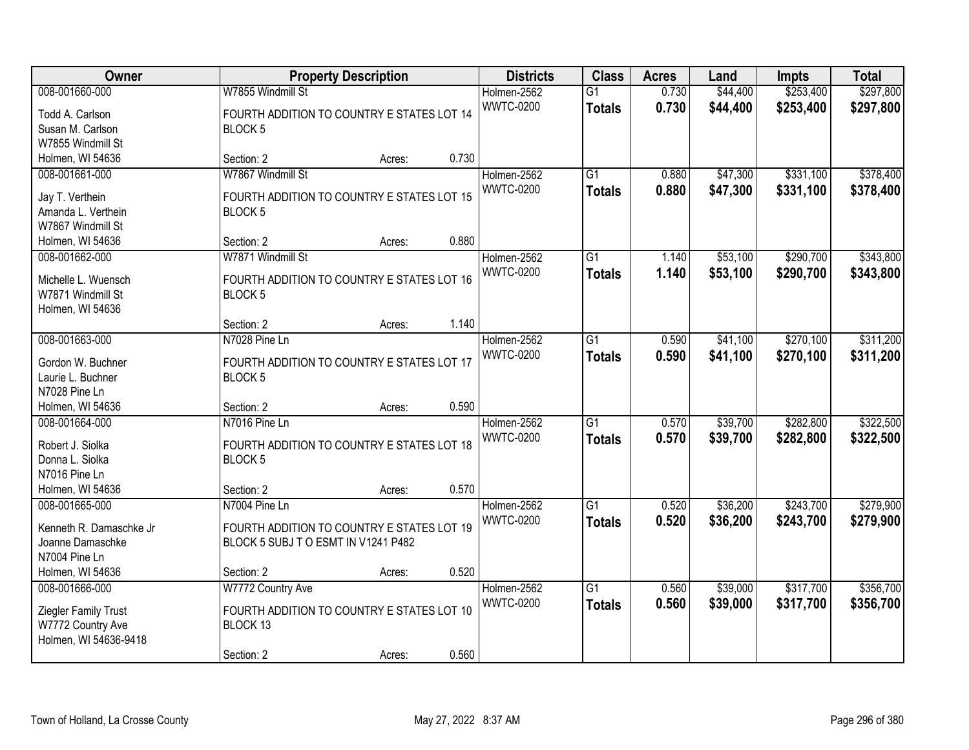| Owner                             |                                                                 | <b>Property Description</b> |       | <b>Districts</b>                | <b>Class</b>                     | <b>Acres</b>   | Land                 | <b>Impts</b>           | <b>Total</b>           |
|-----------------------------------|-----------------------------------------------------------------|-----------------------------|-------|---------------------------------|----------------------------------|----------------|----------------------|------------------------|------------------------|
| 008-001660-000<br>Todd A. Carlson | W7855 Windmill St<br>FOURTH ADDITION TO COUNTRY E STATES LOT 14 |                             |       | Holmen-2562<br><b>WWTC-0200</b> | $\overline{G1}$<br><b>Totals</b> | 0.730<br>0.730 | \$44,400<br>\$44,400 | \$253,400<br>\$253,400 | \$297,800<br>\$297,800 |
| Susan M. Carlson                  | <b>BLOCK 5</b>                                                  |                             |       |                                 |                                  |                |                      |                        |                        |
| W7855 Windmill St                 |                                                                 |                             |       |                                 |                                  |                |                      |                        |                        |
| Holmen, WI 54636                  | Section: 2                                                      | Acres:                      | 0.730 |                                 |                                  |                |                      |                        |                        |
| 008-001661-000                    | W7867 Windmill St                                               |                             |       | Holmen-2562                     | $\overline{G1}$                  | 0.880          | \$47,300             | \$331,100              | \$378,400              |
| Jay T. Verthein                   | FOURTH ADDITION TO COUNTRY E STATES LOT 15                      |                             |       | <b>WWTC-0200</b>                | <b>Totals</b>                    | 0.880          | \$47,300             | \$331,100              | \$378,400              |
| Amanda L. Verthein                | BLOCK <sub>5</sub>                                              |                             |       |                                 |                                  |                |                      |                        |                        |
| W7867 Windmill St                 |                                                                 |                             |       |                                 |                                  |                |                      |                        |                        |
| Holmen, WI 54636                  | Section: 2                                                      | Acres:                      | 0.880 |                                 |                                  |                |                      |                        |                        |
| 008-001662-000                    | W7871 Windmill St                                               |                             |       | Holmen-2562                     | G1                               | 1.140          | \$53,100             | \$290,700              | \$343,800              |
| Michelle L. Wuensch               | FOURTH ADDITION TO COUNTRY E STATES LOT 16                      |                             |       | <b>WWTC-0200</b>                | <b>Totals</b>                    | 1.140          | \$53,100             | \$290,700              | \$343,800              |
| W7871 Windmill St                 | BLOCK <sub>5</sub>                                              |                             |       |                                 |                                  |                |                      |                        |                        |
| Holmen, WI 54636                  | Section: 2                                                      |                             | 1.140 |                                 |                                  |                |                      |                        |                        |
| 008-001663-000                    | N7028 Pine Ln                                                   | Acres:                      |       | Holmen-2562                     | G1                               | 0.590          | \$41,100             | \$270,100              | \$311,200              |
|                                   |                                                                 |                             |       | <b>WWTC-0200</b>                |                                  | 0.590          |                      |                        |                        |
| Gordon W. Buchner                 | FOURTH ADDITION TO COUNTRY E STATES LOT 17                      |                             |       |                                 | <b>Totals</b>                    |                | \$41,100             | \$270,100              | \$311,200              |
| Laurie L. Buchner                 | BLOCK <sub>5</sub>                                              |                             |       |                                 |                                  |                |                      |                        |                        |
| N7028 Pine Ln                     |                                                                 |                             |       |                                 |                                  |                |                      |                        |                        |
| Holmen, WI 54636                  | Section: 2                                                      | Acres:                      | 0.590 |                                 |                                  |                |                      |                        |                        |
| 008-001664-000                    | N7016 Pine Ln                                                   |                             |       | Holmen-2562                     | $\overline{G1}$                  | 0.570          | \$39,700             | \$282,800              | \$322,500              |
| Robert J. Siolka                  | FOURTH ADDITION TO COUNTRY E STATES LOT 18                      |                             |       | <b>WWTC-0200</b>                | <b>Totals</b>                    | 0.570          | \$39,700             | \$282,800              | \$322,500              |
| Donna L. Siolka                   | <b>BLOCK5</b>                                                   |                             |       |                                 |                                  |                |                      |                        |                        |
| N7016 Pine Ln                     |                                                                 |                             |       |                                 |                                  |                |                      |                        |                        |
| Holmen, WI 54636                  | Section: 2                                                      | Acres:                      | 0.570 |                                 |                                  |                |                      |                        |                        |
| 008-001665-000                    | N7004 Pine Ln                                                   |                             |       | Holmen-2562                     | $\overline{G1}$                  | 0.520          | \$36,200             | \$243,700              | \$279,900              |
| Kenneth R. Damaschke Jr           | FOURTH ADDITION TO COUNTRY E STATES LOT 19                      |                             |       | <b>WWTC-0200</b>                | <b>Totals</b>                    | 0.520          | \$36,200             | \$243,700              | \$279,900              |
| Joanne Damaschke                  | BLOCK 5 SUBJ T O ESMT IN V1241 P482                             |                             |       |                                 |                                  |                |                      |                        |                        |
| N7004 Pine Ln                     |                                                                 |                             |       |                                 |                                  |                |                      |                        |                        |
| Holmen, WI 54636                  | Section: 2                                                      | Acres:                      | 0.520 |                                 |                                  |                |                      |                        |                        |
| 008-001666-000                    | W7772 Country Ave                                               |                             |       | Holmen-2562                     | $\overline{G1}$                  | 0.560          | \$39,000             | \$317,700              | \$356,700              |
| Ziegler Family Trust              | FOURTH ADDITION TO COUNTRY E STATES LOT 10                      |                             |       | <b>WWTC-0200</b>                | <b>Totals</b>                    | 0.560          | \$39,000             | \$317,700              | \$356,700              |
| W7772 Country Ave                 | BLOCK 13                                                        |                             |       |                                 |                                  |                |                      |                        |                        |
| Holmen, WI 54636-9418             |                                                                 |                             |       |                                 |                                  |                |                      |                        |                        |
|                                   | Section: 2                                                      | Acres:                      | 0.560 |                                 |                                  |                |                      |                        |                        |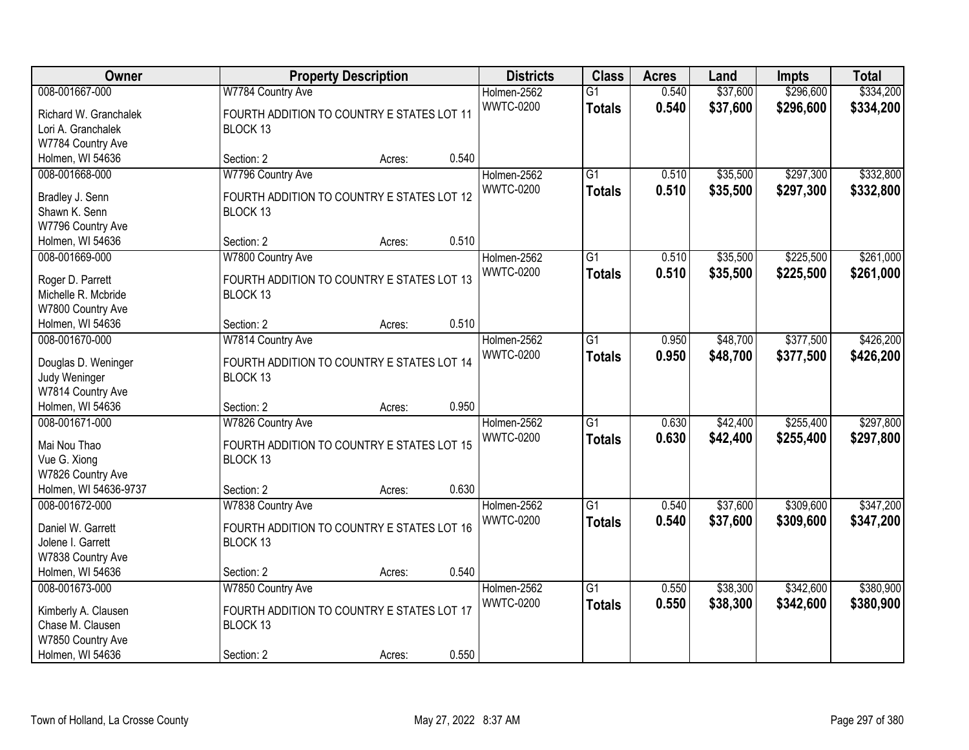| Owner                              |                                            | <b>Property Description</b> |       | <b>Districts</b> | <b>Class</b>    | <b>Acres</b> | Land     | <b>Impts</b> | <b>Total</b> |
|------------------------------------|--------------------------------------------|-----------------------------|-------|------------------|-----------------|--------------|----------|--------------|--------------|
| 008-001667-000                     | W7784 Country Ave                          |                             |       | Holmen-2562      | $\overline{G1}$ | 0.540        | \$37,600 | \$296,600    | \$334,200    |
| Richard W. Granchalek              | FOURTH ADDITION TO COUNTRY E STATES LOT 11 |                             |       | <b>WWTC-0200</b> | <b>Totals</b>   | 0.540        | \$37,600 | \$296,600    | \$334,200    |
| Lori A. Granchalek                 | BLOCK 13                                   |                             |       |                  |                 |              |          |              |              |
| W7784 Country Ave                  |                                            |                             |       |                  |                 |              |          |              |              |
| Holmen, WI 54636                   | Section: 2                                 | Acres:                      | 0.540 |                  |                 |              |          |              |              |
| 008-001668-000                     | W7796 Country Ave                          |                             |       | Holmen-2562      | $\overline{G1}$ | 0.510        | \$35,500 | \$297,300    | \$332,800    |
| Bradley J. Senn                    | FOURTH ADDITION TO COUNTRY E STATES LOT 12 |                             |       | <b>WWTC-0200</b> | <b>Totals</b>   | 0.510        | \$35,500 | \$297,300    | \$332,800    |
| Shawn K. Senn                      | BLOCK 13                                   |                             |       |                  |                 |              |          |              |              |
| W7796 Country Ave                  |                                            |                             |       |                  |                 |              |          |              |              |
| Holmen, WI 54636                   | Section: 2                                 | Acres:                      | 0.510 |                  |                 |              |          |              |              |
| 008-001669-000                     | W7800 Country Ave                          |                             |       | Holmen-2562      | $\overline{G1}$ | 0.510        | \$35,500 | \$225,500    | \$261,000    |
|                                    |                                            |                             |       | <b>WWTC-0200</b> | <b>Totals</b>   | 0.510        | \$35,500 | \$225,500    | \$261,000    |
| Roger D. Parrett                   | FOURTH ADDITION TO COUNTRY E STATES LOT 13 |                             |       |                  |                 |              |          |              |              |
| Michelle R. Mcbride                | BLOCK 13                                   |                             |       |                  |                 |              |          |              |              |
| W7800 Country Ave                  | Section: 2                                 |                             | 0.510 |                  |                 |              |          |              |              |
| Holmen, WI 54636<br>008-001670-000 | W7814 Country Ave                          | Acres:                      |       | Holmen-2562      | G1              | 0.950        | \$48,700 | \$377,500    | \$426,200    |
|                                    |                                            |                             |       | <b>WWTC-0200</b> |                 | 0.950        |          |              |              |
| Douglas D. Weninger                | FOURTH ADDITION TO COUNTRY E STATES LOT 14 |                             |       |                  | <b>Totals</b>   |              | \$48,700 | \$377,500    | \$426,200    |
| Judy Weninger                      | BLOCK 13                                   |                             |       |                  |                 |              |          |              |              |
| W7814 Country Ave                  |                                            |                             |       |                  |                 |              |          |              |              |
| Holmen, WI 54636                   | Section: 2                                 | Acres:                      | 0.950 |                  |                 |              |          |              |              |
| 008-001671-000                     | W7826 Country Ave                          |                             |       | Holmen-2562      | $\overline{G1}$ | 0.630        | \$42,400 | \$255,400    | \$297,800    |
| Mai Nou Thao                       | FOURTH ADDITION TO COUNTRY E STATES LOT 15 |                             |       | <b>WWTC-0200</b> | <b>Totals</b>   | 0.630        | \$42,400 | \$255,400    | \$297,800    |
| Vue G. Xiong                       | BLOCK 13                                   |                             |       |                  |                 |              |          |              |              |
| W7826 Country Ave                  |                                            |                             |       |                  |                 |              |          |              |              |
| Holmen, WI 54636-9737              | Section: 2                                 | Acres:                      | 0.630 |                  |                 |              |          |              |              |
| 008-001672-000                     | W7838 Country Ave                          |                             |       | Holmen-2562      | $\overline{G1}$ | 0.540        | \$37,600 | \$309,600    | \$347,200    |
| Daniel W. Garrett                  | FOURTH ADDITION TO COUNTRY E STATES LOT 16 |                             |       | <b>WWTC-0200</b> | <b>Totals</b>   | 0.540        | \$37,600 | \$309,600    | \$347,200    |
| Jolene I. Garrett                  | BLOCK 13                                   |                             |       |                  |                 |              |          |              |              |
| W7838 Country Ave                  |                                            |                             |       |                  |                 |              |          |              |              |
| Holmen, WI 54636                   | Section: 2                                 | Acres:                      | 0.540 |                  |                 |              |          |              |              |
| 008-001673-000                     | W7850 Country Ave                          |                             |       | Holmen-2562      | $\overline{G1}$ | 0.550        | \$38,300 | \$342,600    | \$380,900    |
|                                    |                                            |                             |       | <b>WWTC-0200</b> | <b>Totals</b>   | 0.550        | \$38,300 | \$342,600    | \$380,900    |
| Kimberly A. Clausen                | FOURTH ADDITION TO COUNTRY E STATES LOT 17 |                             |       |                  |                 |              |          |              |              |
| Chase M. Clausen                   | BLOCK 13                                   |                             |       |                  |                 |              |          |              |              |
| W7850 Country Ave                  |                                            |                             |       |                  |                 |              |          |              |              |
| Holmen, WI 54636                   | Section: 2                                 | Acres:                      | 0.550 |                  |                 |              |          |              |              |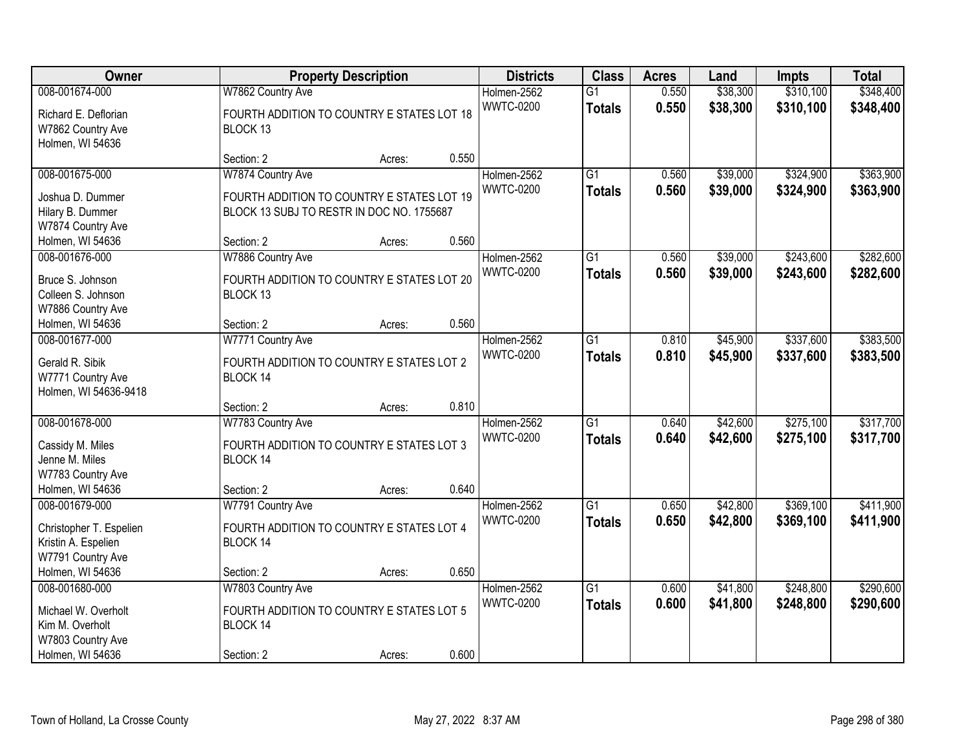| Owner                                    |                                                       | <b>Property Description</b> |       | <b>Districts</b> | <b>Class</b>    | <b>Acres</b> | Land     | <b>Impts</b> | <b>Total</b> |
|------------------------------------------|-------------------------------------------------------|-----------------------------|-------|------------------|-----------------|--------------|----------|--------------|--------------|
| 008-001674-000                           | W7862 Country Ave                                     |                             |       | Holmen-2562      | $\overline{G1}$ | 0.550        | \$38,300 | \$310,100    | \$348,400    |
| Richard E. Deflorian                     | FOURTH ADDITION TO COUNTRY E STATES LOT 18            |                             |       | <b>WWTC-0200</b> | <b>Totals</b>   | 0.550        | \$38,300 | \$310,100    | \$348,400    |
| W7862 Country Ave                        | BLOCK 13                                              |                             |       |                  |                 |              |          |              |              |
| Holmen, WI 54636                         |                                                       |                             |       |                  |                 |              |          |              |              |
|                                          | Section: 2                                            | Acres:                      | 0.550 |                  |                 |              |          |              |              |
| 008-001675-000                           | W7874 Country Ave                                     |                             |       | Holmen-2562      | $\overline{G1}$ | 0.560        | \$39,000 | \$324,900    | \$363,900    |
| Joshua D. Dummer                         | FOURTH ADDITION TO COUNTRY E STATES LOT 19            |                             |       | <b>WWTC-0200</b> | <b>Totals</b>   | 0.560        | \$39,000 | \$324,900    | \$363,900    |
| Hilary B. Dummer                         | BLOCK 13 SUBJ TO RESTR IN DOC NO. 1755687             |                             |       |                  |                 |              |          |              |              |
| W7874 Country Ave                        |                                                       |                             |       |                  |                 |              |          |              |              |
| Holmen, WI 54636                         | Section: 2                                            | Acres:                      | 0.560 |                  |                 |              |          |              |              |
| 008-001676-000                           | W7886 Country Ave                                     |                             |       | Holmen-2562      | $\overline{G1}$ | 0.560        | \$39,000 | \$243,600    | \$282,600    |
| Bruce S. Johnson                         | FOURTH ADDITION TO COUNTRY E STATES LOT 20            |                             |       | <b>WWTC-0200</b> | <b>Totals</b>   | 0.560        | \$39,000 | \$243,600    | \$282,600    |
| Colleen S. Johnson                       | BLOCK 13                                              |                             |       |                  |                 |              |          |              |              |
| W7886 Country Ave                        |                                                       |                             |       |                  |                 |              |          |              |              |
| Holmen, WI 54636                         | Section: 2                                            | Acres:                      | 0.560 |                  |                 |              |          |              |              |
| 008-001677-000                           | W7771 Country Ave                                     |                             |       | Holmen-2562      | $\overline{G1}$ | 0.810        | \$45,900 | \$337,600    | \$383,500    |
| Gerald R. Sibik                          | FOURTH ADDITION TO COUNTRY E STATES LOT 2             |                             |       | <b>WWTC-0200</b> | <b>Totals</b>   | 0.810        | \$45,900 | \$337,600    | \$383,500    |
| W7771 Country Ave                        | BLOCK 14                                              |                             |       |                  |                 |              |          |              |              |
| Holmen, WI 54636-9418                    |                                                       |                             |       |                  |                 |              |          |              |              |
|                                          | Section: 2                                            | Acres:                      | 0.810 |                  |                 |              |          |              |              |
| 008-001678-000                           | W7783 Country Ave                                     |                             |       | Holmen-2562      | $\overline{G1}$ | 0.640        | \$42,600 | \$275,100    | \$317,700    |
| Cassidy M. Miles                         | FOURTH ADDITION TO COUNTRY E STATES LOT 3             |                             |       | <b>WWTC-0200</b> | <b>Totals</b>   | 0.640        | \$42,600 | \$275,100    | \$317,700    |
| Jenne M. Miles                           | BLOCK 14                                              |                             |       |                  |                 |              |          |              |              |
| W7783 Country Ave                        |                                                       |                             |       |                  |                 |              |          |              |              |
| Holmen, WI 54636                         | Section: 2                                            | Acres:                      | 0.640 |                  |                 |              |          |              |              |
| 008-001679-000                           | W7791 Country Ave                                     |                             |       | Holmen-2562      | $\overline{G1}$ | 0.650        | \$42,800 | \$369,100    | \$411,900    |
|                                          |                                                       |                             |       | <b>WWTC-0200</b> | <b>Totals</b>   | 0.650        | \$42,800 | \$369,100    | \$411,900    |
| Christopher T. Espelien                  | FOURTH ADDITION TO COUNTRY E STATES LOT 4<br>BLOCK 14 |                             |       |                  |                 |              |          |              |              |
| Kristin A. Espelien<br>W7791 Country Ave |                                                       |                             |       |                  |                 |              |          |              |              |
| Holmen, WI 54636                         | Section: 2                                            | Acres:                      | 0.650 |                  |                 |              |          |              |              |
| 008-001680-000                           | W7803 Country Ave                                     |                             |       | Holmen-2562      | $\overline{G1}$ | 0.600        | \$41,800 | \$248,800    | \$290,600    |
|                                          |                                                       |                             |       | <b>WWTC-0200</b> | <b>Totals</b>   | 0.600        | \$41,800 | \$248,800    | \$290,600    |
| Michael W. Overholt                      | FOURTH ADDITION TO COUNTRY E STATES LOT 5             |                             |       |                  |                 |              |          |              |              |
| Kim M. Overholt                          | BLOCK 14                                              |                             |       |                  |                 |              |          |              |              |
| W7803 Country Ave                        |                                                       |                             |       |                  |                 |              |          |              |              |
| Holmen, WI 54636                         | Section: 2                                            | Acres:                      | 0.600 |                  |                 |              |          |              |              |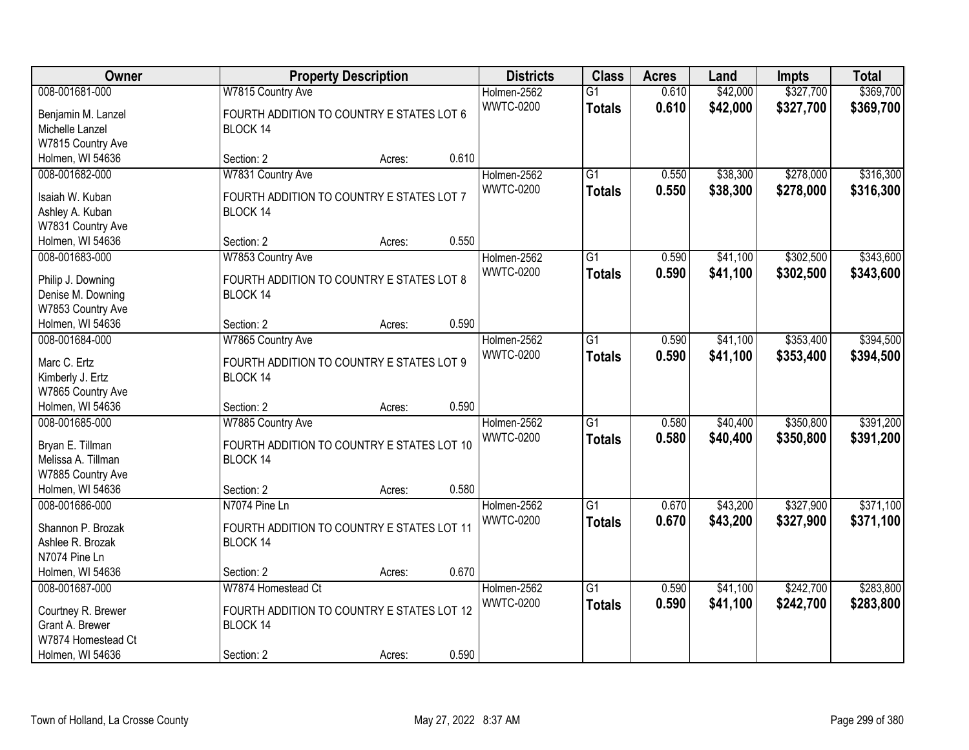| Owner              |                                            | <b>Property Description</b> |       | <b>Districts</b> | <b>Class</b>    | <b>Acres</b> | Land     | <b>Impts</b> | <b>Total</b> |
|--------------------|--------------------------------------------|-----------------------------|-------|------------------|-----------------|--------------|----------|--------------|--------------|
| 008-001681-000     | W7815 Country Ave                          |                             |       | Holmen-2562      | $\overline{G1}$ | 0.610        | \$42,000 | \$327,700    | \$369,700    |
| Benjamin M. Lanzel | FOURTH ADDITION TO COUNTRY E STATES LOT 6  |                             |       | <b>WWTC-0200</b> | <b>Totals</b>   | 0.610        | \$42,000 | \$327,700    | \$369,700    |
| Michelle Lanzel    | BLOCK 14                                   |                             |       |                  |                 |              |          |              |              |
| W7815 Country Ave  |                                            |                             |       |                  |                 |              |          |              |              |
| Holmen, WI 54636   | Section: 2                                 | Acres:                      | 0.610 |                  |                 |              |          |              |              |
| 008-001682-000     | W7831 Country Ave                          |                             |       | Holmen-2562      | $\overline{G1}$ | 0.550        | \$38,300 | \$278,000    | \$316,300    |
|                    |                                            |                             |       | <b>WWTC-0200</b> | <b>Totals</b>   | 0.550        | \$38,300 | \$278,000    | \$316,300    |
| Isaiah W. Kuban    | FOURTH ADDITION TO COUNTRY E STATES LOT 7  |                             |       |                  |                 |              |          |              |              |
| Ashley A. Kuban    | BLOCK 14                                   |                             |       |                  |                 |              |          |              |              |
| W7831 Country Ave  |                                            |                             |       |                  |                 |              |          |              |              |
| Holmen, WI 54636   | Section: 2                                 | Acres:                      | 0.550 |                  |                 |              |          |              |              |
| 008-001683-000     | W7853 Country Ave                          |                             |       | Holmen-2562      | $\overline{G1}$ | 0.590        | \$41,100 | \$302,500    | \$343,600    |
| Philip J. Downing  | FOURTH ADDITION TO COUNTRY E STATES LOT 8  |                             |       | <b>WWTC-0200</b> | <b>Totals</b>   | 0.590        | \$41,100 | \$302,500    | \$343,600    |
| Denise M. Downing  | BLOCK 14                                   |                             |       |                  |                 |              |          |              |              |
| W7853 Country Ave  |                                            |                             |       |                  |                 |              |          |              |              |
| Holmen, WI 54636   | Section: 2                                 | Acres:                      | 0.590 |                  |                 |              |          |              |              |
| 008-001684-000     | W7865 Country Ave                          |                             |       | Holmen-2562      | G1              | 0.590        | \$41,100 | \$353,400    | \$394,500    |
|                    |                                            |                             |       | <b>WWTC-0200</b> | <b>Totals</b>   | 0.590        | \$41,100 | \$353,400    | \$394,500    |
| Marc C. Ertz       | FOURTH ADDITION TO COUNTRY E STATES LOT 9  |                             |       |                  |                 |              |          |              |              |
| Kimberly J. Ertz   | BLOCK 14                                   |                             |       |                  |                 |              |          |              |              |
| W7865 Country Ave  |                                            |                             |       |                  |                 |              |          |              |              |
| Holmen, WI 54636   | Section: 2                                 | Acres:                      | 0.590 |                  |                 |              |          |              |              |
| 008-001685-000     | W7885 Country Ave                          |                             |       | Holmen-2562      | $\overline{G1}$ | 0.580        | \$40,400 | \$350,800    | \$391,200    |
| Bryan E. Tillman   | FOURTH ADDITION TO COUNTRY E STATES LOT 10 |                             |       | <b>WWTC-0200</b> | <b>Totals</b>   | 0.580        | \$40,400 | \$350,800    | \$391,200    |
| Melissa A. Tillman | BLOCK 14                                   |                             |       |                  |                 |              |          |              |              |
| W7885 Country Ave  |                                            |                             |       |                  |                 |              |          |              |              |
| Holmen, WI 54636   | Section: 2                                 | Acres:                      | 0.580 |                  |                 |              |          |              |              |
| 008-001686-000     | N7074 Pine Ln                              |                             |       | Holmen-2562      | $\overline{G1}$ | 0.670        | \$43,200 | \$327,900    | \$371,100    |
|                    |                                            |                             |       | <b>WWTC-0200</b> | <b>Totals</b>   | 0.670        | \$43,200 | \$327,900    | \$371,100    |
| Shannon P. Brozak  | FOURTH ADDITION TO COUNTRY E STATES LOT 11 |                             |       |                  |                 |              |          |              |              |
| Ashlee R. Brozak   | BLOCK 14                                   |                             |       |                  |                 |              |          |              |              |
| N7074 Pine Ln      |                                            |                             |       |                  |                 |              |          |              |              |
| Holmen, WI 54636   | Section: 2                                 | Acres:                      | 0.670 |                  |                 |              |          |              |              |
| 008-001687-000     | W7874 Homestead Ct                         |                             |       | Holmen-2562      | $\overline{G1}$ | 0.590        | \$41,100 | \$242,700    | \$283,800    |
| Courtney R. Brewer | FOURTH ADDITION TO COUNTRY E STATES LOT 12 |                             |       | <b>WWTC-0200</b> | <b>Totals</b>   | 0.590        | \$41,100 | \$242,700    | \$283,800    |
| Grant A. Brewer    | BLOCK 14                                   |                             |       |                  |                 |              |          |              |              |
| W7874 Homestead Ct |                                            |                             |       |                  |                 |              |          |              |              |
| Holmen, WI 54636   | Section: 2                                 | Acres:                      | 0.590 |                  |                 |              |          |              |              |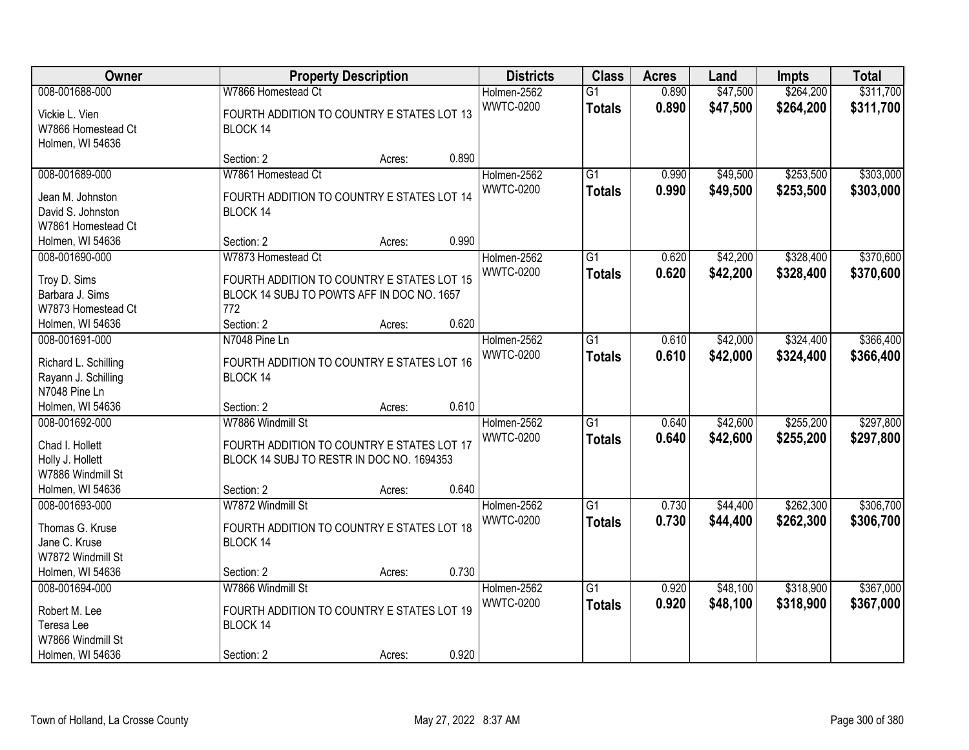| Owner                                                                                          |                                                                                                                                     | <b>Property Description</b> |       | <b>Districts</b>                | <b>Class</b>                     | <b>Acres</b>   | Land                 | <b>Impts</b>           | <b>Total</b>           |
|------------------------------------------------------------------------------------------------|-------------------------------------------------------------------------------------------------------------------------------------|-----------------------------|-------|---------------------------------|----------------------------------|----------------|----------------------|------------------------|------------------------|
| 008-001688-000<br>Vickie L. Vien<br>W7866 Homestead Ct<br>Holmen, WI 54636                     | W7866 Homestead Ct<br>FOURTH ADDITION TO COUNTRY E STATES LOT 13<br>BLOCK 14                                                        |                             |       | Holmen-2562<br><b>WWTC-0200</b> | $\overline{G1}$<br><b>Totals</b> | 0.890<br>0.890 | \$47,500<br>\$47,500 | \$264,200<br>\$264,200 | \$311,700<br>\$311,700 |
|                                                                                                | Section: 2                                                                                                                          | Acres:                      | 0.890 |                                 |                                  |                |                      |                        |                        |
| 008-001689-000<br>Jean M. Johnston<br>David S. Johnston<br>W7861 Homestead Ct                  | W7861 Homestead Ct<br>FOURTH ADDITION TO COUNTRY E STATES LOT 14<br>BLOCK 14                                                        |                             |       | Holmen-2562<br><b>WWTC-0200</b> | $\overline{G1}$<br><b>Totals</b> | 0.990<br>0.990 | \$49,500<br>\$49,500 | \$253,500<br>\$253,500 | \$303,000<br>\$303,000 |
| Holmen, WI 54636                                                                               | Section: 2                                                                                                                          | Acres:                      | 0.990 |                                 |                                  |                |                      |                        |                        |
| 008-001690-000<br>Troy D. Sims<br>Barbara J. Sims<br>W7873 Homestead Ct<br>Holmen, WI 54636    | W7873 Homestead Ct<br>FOURTH ADDITION TO COUNTRY E STATES LOT 15<br>BLOCK 14 SUBJ TO POWTS AFF IN DOC NO. 1657<br>772<br>Section: 2 | Acres:                      | 0.620 | Holmen-2562<br><b>WWTC-0200</b> | $\overline{G1}$<br><b>Totals</b> | 0.620<br>0.620 | \$42,200<br>\$42,200 | \$328,400<br>\$328,400 | \$370,600<br>\$370,600 |
| 008-001691-000                                                                                 | N7048 Pine Ln                                                                                                                       |                             |       | Holmen-2562                     | G1                               | 0.610          | \$42,000             | \$324,400              | \$366,400              |
| Richard L. Schilling<br>Rayann J. Schilling<br>N7048 Pine Ln                                   | FOURTH ADDITION TO COUNTRY E STATES LOT 16<br>BLOCK 14                                                                              |                             |       | <b>WWTC-0200</b>                | <b>Totals</b>                    | 0.610          | \$42,000             | \$324,400              | \$366,400              |
| Holmen, WI 54636                                                                               | Section: 2                                                                                                                          | Acres:                      | 0.610 |                                 |                                  |                |                      |                        |                        |
| 008-001692-000<br>Chad I. Hollett<br>Holly J. Hollett<br>W7886 Windmill St<br>Holmen, WI 54636 | W7886 Windmill St<br>FOURTH ADDITION TO COUNTRY E STATES LOT 17<br>BLOCK 14 SUBJ TO RESTR IN DOC NO. 1694353<br>Section: 2          | Acres:                      | 0.640 | Holmen-2562<br><b>WWTC-0200</b> | $\overline{G1}$<br><b>Totals</b> | 0.640<br>0.640 | \$42,600<br>\$42,600 | \$255,200<br>\$255,200 | \$297,800<br>\$297,800 |
| 008-001693-000                                                                                 | W7872 Windmill St                                                                                                                   |                             |       | Holmen-2562                     | $\overline{G1}$                  | 0.730          | \$44,400             | \$262,300              | \$306,700              |
| Thomas G. Kruse<br>Jane C. Kruse<br>W7872 Windmill St                                          | FOURTH ADDITION TO COUNTRY E STATES LOT 18<br>BLOCK 14                                                                              |                             |       | <b>WWTC-0200</b>                | <b>Totals</b>                    | 0.730          | \$44,400             | \$262,300              | \$306,700              |
| Holmen, WI 54636<br>008-001694-000                                                             | Section: 2<br>W7866 Windmill St                                                                                                     | Acres:                      | 0.730 | Holmen-2562                     | $\overline{G1}$                  | 0.920          | \$48,100             | \$318,900              | \$367,000              |
| Robert M. Lee<br>Teresa Lee<br>W7866 Windmill St                                               | FOURTH ADDITION TO COUNTRY E STATES LOT 19<br>BLOCK 14                                                                              |                             |       | <b>WWTC-0200</b>                | <b>Totals</b>                    | 0.920          | \$48,100             | \$318,900              | \$367,000              |
| Holmen, WI 54636                                                                               | Section: 2                                                                                                                          | Acres:                      | 0.920 |                                 |                                  |                |                      |                        |                        |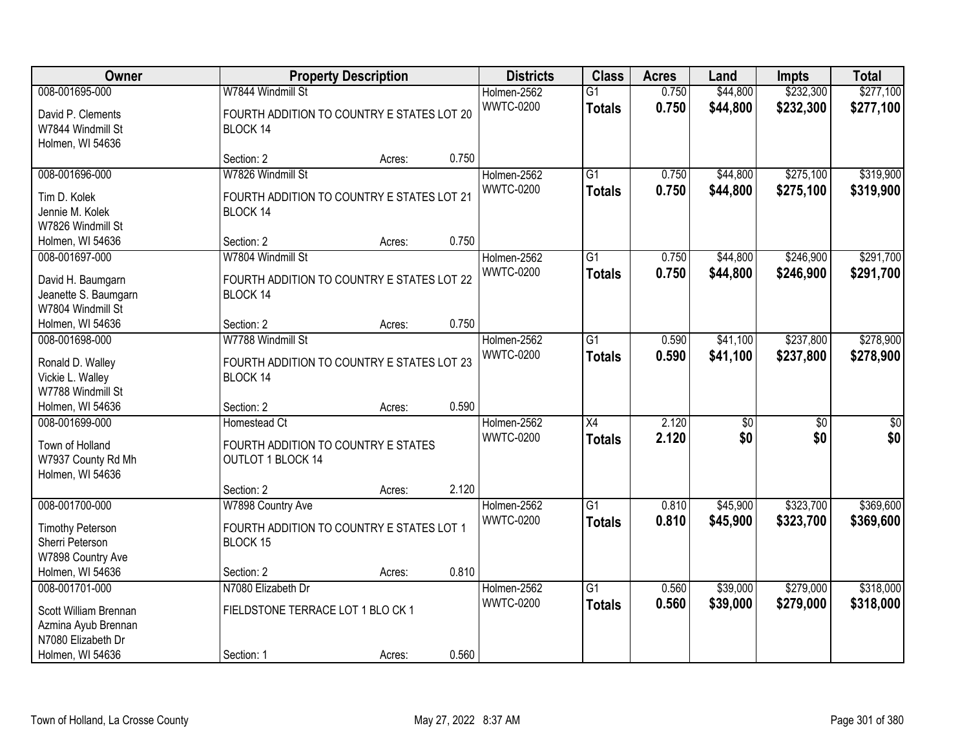| Owner                                                                                  |                                                                                        | <b>Property Description</b> |       | <b>Districts</b>                | <b>Class</b>                     | <b>Acres</b>   | Land                 | <b>Impts</b>           | <b>Total</b>           |
|----------------------------------------------------------------------------------------|----------------------------------------------------------------------------------------|-----------------------------|-------|---------------------------------|----------------------------------|----------------|----------------------|------------------------|------------------------|
| 008-001695-000                                                                         | W7844 Windmill St                                                                      |                             |       | Holmen-2562                     | $\overline{G1}$                  | 0.750          | \$44,800             | \$232,300              | \$277,100              |
| David P. Clements<br>W7844 Windmill St<br>Holmen, WI 54636                             | FOURTH ADDITION TO COUNTRY E STATES LOT 20<br>BLOCK 14                                 |                             |       | <b>WWTC-0200</b>                | <b>Totals</b>                    | 0.750          | \$44,800             | \$232,300              | \$277,100              |
|                                                                                        | Section: 2                                                                             | Acres:                      | 0.750 |                                 |                                  |                |                      |                        |                        |
| 008-001696-000<br>Tim D. Kolek<br>Jennie M. Kolek<br>W7826 Windmill St                 | W7826 Windmill St<br>FOURTH ADDITION TO COUNTRY E STATES LOT 21<br>BLOCK 14            |                             |       | Holmen-2562<br><b>WWTC-0200</b> | $\overline{G1}$<br><b>Totals</b> | 0.750<br>0.750 | \$44,800<br>\$44,800 | \$275,100<br>\$275,100 | \$319,900<br>\$319,900 |
| Holmen, WI 54636                                                                       | Section: 2                                                                             | Acres:                      | 0.750 |                                 |                                  |                |                      |                        |                        |
| 008-001697-000<br>David H. Baumgarn<br>Jeanette S. Baumgarn<br>W7804 Windmill St       | W7804 Windmill St<br>FOURTH ADDITION TO COUNTRY E STATES LOT 22<br>BLOCK 14            |                             |       | Holmen-2562<br><b>WWTC-0200</b> | $\overline{G1}$<br><b>Totals</b> | 0.750<br>0.750 | \$44,800<br>\$44,800 | \$246,900<br>\$246,900 | \$291,700<br>\$291,700 |
| Holmen, WI 54636                                                                       | Section: 2                                                                             | Acres:                      | 0.750 |                                 |                                  |                |                      |                        |                        |
| 008-001698-000<br>Ronald D. Walley<br>Vickie L. Walley<br>W7788 Windmill St            | W7788 Windmill St<br>FOURTH ADDITION TO COUNTRY E STATES LOT 23<br>BLOCK 14            |                             |       | Holmen-2562<br><b>WWTC-0200</b> | $\overline{G1}$<br><b>Totals</b> | 0.590<br>0.590 | \$41,100<br>\$41,100 | \$237,800<br>\$237,800 | \$278,900<br>\$278,900 |
| Holmen, WI 54636                                                                       | Section: 2                                                                             | Acres:                      | 0.590 |                                 |                                  |                |                      |                        |                        |
| 008-001699-000<br>Town of Holland<br>W7937 County Rd Mh<br>Holmen, WI 54636            | Homestead Ct<br>FOURTH ADDITION TO COUNTRY E STATES<br>OUTLOT 1 BLOCK 14<br>Section: 2 |                             | 2.120 | Holmen-2562<br><b>WWTC-0200</b> | $\overline{X4}$<br><b>Totals</b> | 2.120<br>2.120 | \$0<br>\$0           | $\overline{50}$<br>\$0 | \$0<br>\$0             |
| 008-001700-000                                                                         | W7898 Country Ave                                                                      | Acres:                      |       | Holmen-2562                     | $\overline{G1}$                  | 0.810          | \$45,900             | \$323,700              | \$369,600              |
| <b>Timothy Peterson</b><br>Sherri Peterson<br>W7898 Country Ave                        | FOURTH ADDITION TO COUNTRY E STATES LOT 1<br>BLOCK 15                                  |                             | 0.810 | <b>WWTC-0200</b>                | <b>Totals</b>                    | 0.810          | \$45,900             | \$323,700              | \$369,600              |
| Holmen, WI 54636<br>008-001701-000                                                     | Section: 2<br>N7080 Elizabeth Dr                                                       | Acres:                      |       | Holmen-2562                     | $\overline{G1}$                  | 0.560          | \$39,000             | \$279,000              | \$318,000              |
| Scott William Brennan<br>Azmina Ayub Brennan<br>N7080 Elizabeth Dr<br>Holmen, WI 54636 | FIELDSTONE TERRACE LOT 1 BLO CK 1<br>Section: 1                                        | Acres:                      | 0.560 | <b>WWTC-0200</b>                | <b>Totals</b>                    | 0.560          | \$39,000             | \$279,000              | \$318,000              |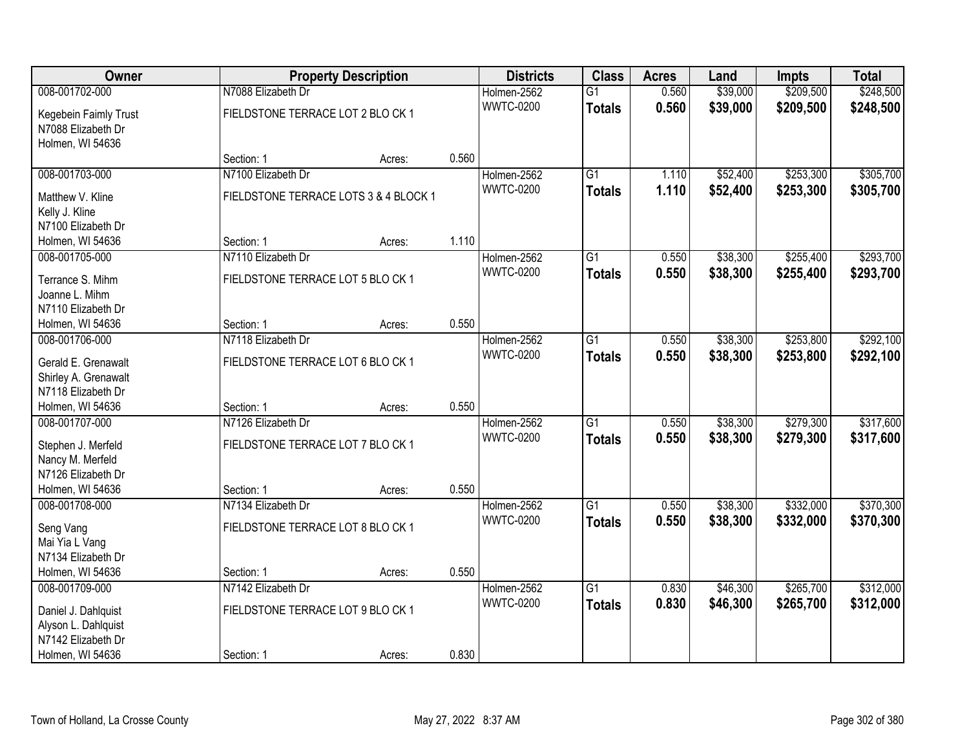| Owner                 |                                       | <b>Property Description</b> |       | <b>Districts</b> | <b>Class</b>    | <b>Acres</b> | Land     | <b>Impts</b> | <b>Total</b> |
|-----------------------|---------------------------------------|-----------------------------|-------|------------------|-----------------|--------------|----------|--------------|--------------|
| 008-001702-000        | N7088 Elizabeth Dr                    |                             |       | Holmen-2562      | $\overline{G1}$ | 0.560        | \$39,000 | \$209,500    | \$248,500    |
| Kegebein Faimly Trust | FIELDSTONE TERRACE LOT 2 BLO CK 1     |                             |       | <b>WWTC-0200</b> | <b>Totals</b>   | 0.560        | \$39,000 | \$209,500    | \$248,500    |
| N7088 Elizabeth Dr    |                                       |                             |       |                  |                 |              |          |              |              |
| Holmen, WI 54636      |                                       |                             |       |                  |                 |              |          |              |              |
|                       | Section: 1                            | Acres:                      | 0.560 |                  |                 |              |          |              |              |
| 008-001703-000        | N7100 Elizabeth Dr                    |                             |       | Holmen-2562      | $\overline{G1}$ | 1.110        | \$52,400 | \$253,300    | \$305,700    |
| Matthew V. Kline      | FIELDSTONE TERRACE LOTS 3 & 4 BLOCK 1 |                             |       | <b>WWTC-0200</b> | <b>Totals</b>   | 1.110        | \$52,400 | \$253,300    | \$305,700    |
| Kelly J. Kline        |                                       |                             |       |                  |                 |              |          |              |              |
| N7100 Elizabeth Dr    |                                       |                             |       |                  |                 |              |          |              |              |
| Holmen, WI 54636      | Section: 1                            | Acres:                      | 1.110 |                  |                 |              |          |              |              |
| 008-001705-000        | N7110 Elizabeth Dr                    |                             |       | Holmen-2562      | G1              | 0.550        | \$38,300 | \$255,400    | \$293,700    |
|                       |                                       |                             |       | <b>WWTC-0200</b> | <b>Totals</b>   | 0.550        | \$38,300 | \$255,400    | \$293,700    |
| Terrance S. Mihm      | FIELDSTONE TERRACE LOT 5 BLO CK 1     |                             |       |                  |                 |              |          |              |              |
| Joanne L. Mihm        |                                       |                             |       |                  |                 |              |          |              |              |
| N7110 Elizabeth Dr    |                                       |                             |       |                  |                 |              |          |              |              |
| Holmen, WI 54636      | Section: 1                            | Acres:                      | 0.550 |                  |                 |              |          |              |              |
| 008-001706-000        | N7118 Elizabeth Dr                    |                             |       | Holmen-2562      | G1              | 0.550        | \$38,300 | \$253,800    | \$292,100    |
| Gerald E. Grenawalt   | FIELDSTONE TERRACE LOT 6 BLO CK 1     |                             |       | <b>WWTC-0200</b> | <b>Totals</b>   | 0.550        | \$38,300 | \$253,800    | \$292,100    |
| Shirley A. Grenawalt  |                                       |                             |       |                  |                 |              |          |              |              |
| N7118 Elizabeth Dr    |                                       |                             |       |                  |                 |              |          |              |              |
| Holmen, WI 54636      | Section: 1                            | Acres:                      | 0.550 |                  |                 |              |          |              |              |
| 008-001707-000        | N7126 Elizabeth Dr                    |                             |       | Holmen-2562      | $\overline{G1}$ | 0.550        | \$38,300 | \$279,300    | \$317,600    |
| Stephen J. Merfeld    | FIELDSTONE TERRACE LOT 7 BLO CK 1     |                             |       | <b>WWTC-0200</b> | <b>Totals</b>   | 0.550        | \$38,300 | \$279,300    | \$317,600    |
| Nancy M. Merfeld      |                                       |                             |       |                  |                 |              |          |              |              |
| N7126 Elizabeth Dr    |                                       |                             |       |                  |                 |              |          |              |              |
| Holmen, WI 54636      | Section: 1                            | Acres:                      | 0.550 |                  |                 |              |          |              |              |
| 008-001708-000        | N7134 Elizabeth Dr                    |                             |       | Holmen-2562      | $\overline{G1}$ | 0.550        | \$38,300 | \$332,000    | \$370,300    |
|                       |                                       |                             |       | <b>WWTC-0200</b> | <b>Totals</b>   | 0.550        | \$38,300 | \$332,000    | \$370,300    |
| Seng Vang             | FIELDSTONE TERRACE LOT 8 BLO CK 1     |                             |       |                  |                 |              |          |              |              |
| Mai Yia L Vang        |                                       |                             |       |                  |                 |              |          |              |              |
| N7134 Elizabeth Dr    |                                       |                             |       |                  |                 |              |          |              |              |
| Holmen, WI 54636      | Section: 1                            | Acres:                      | 0.550 |                  |                 |              |          |              |              |
| 008-001709-000        | N7142 Elizabeth Dr                    |                             |       | Holmen-2562      | $\overline{G1}$ | 0.830        | \$46,300 | \$265,700    | \$312,000    |
| Daniel J. Dahlquist   | FIELDSTONE TERRACE LOT 9 BLO CK 1     |                             |       | <b>WWTC-0200</b> | <b>Totals</b>   | 0.830        | \$46,300 | \$265,700    | \$312,000    |
| Alyson L. Dahlquist   |                                       |                             |       |                  |                 |              |          |              |              |
| N7142 Elizabeth Dr    |                                       |                             |       |                  |                 |              |          |              |              |
| Holmen, WI 54636      | Section: 1                            | Acres:                      | 0.830 |                  |                 |              |          |              |              |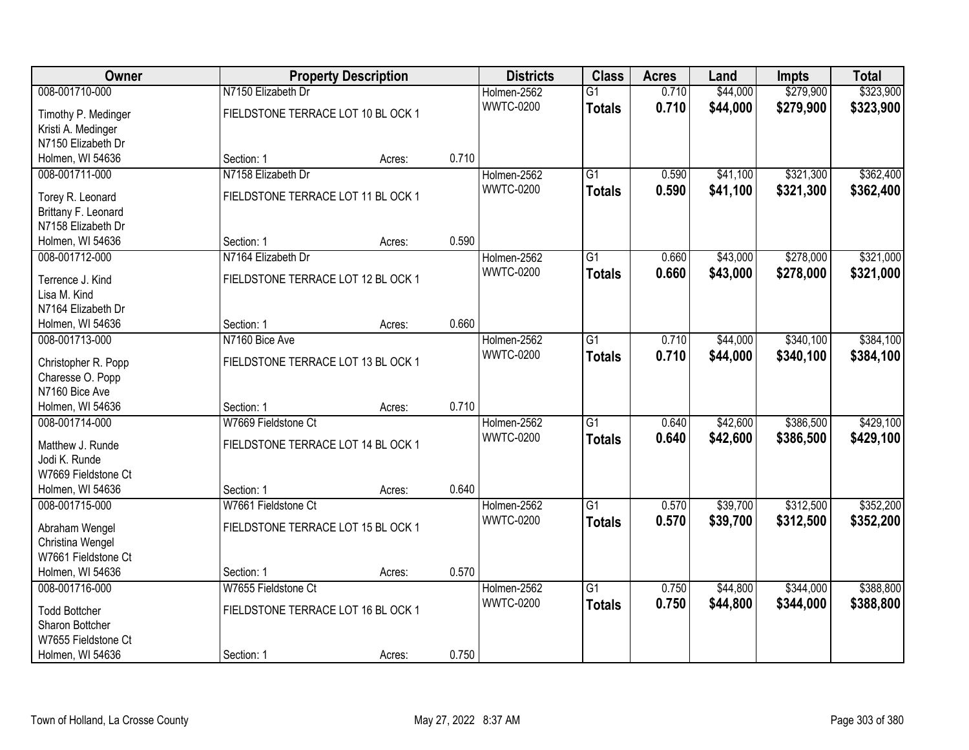| Owner                                     | <b>Property Description</b>        |        |       | <b>Districts</b> | <b>Class</b>    | <b>Acres</b> | Land     | <b>Impts</b> | <b>Total</b> |
|-------------------------------------------|------------------------------------|--------|-------|------------------|-----------------|--------------|----------|--------------|--------------|
| 008-001710-000                            | N7150 Elizabeth Dr                 |        |       | Holmen-2562      | $\overline{G1}$ | 0.710        | \$44,000 | \$279,900    | \$323,900    |
| Timothy P. Medinger                       | FIELDSTONE TERRACE LOT 10 BL OCK 1 |        |       | <b>WWTC-0200</b> | <b>Totals</b>   | 0.710        | \$44,000 | \$279,900    | \$323,900    |
| Kristi A. Medinger                        |                                    |        |       |                  |                 |              |          |              |              |
| N7150 Elizabeth Dr                        |                                    |        |       |                  |                 |              |          |              |              |
| Holmen, WI 54636                          | Section: 1                         | Acres: | 0.710 |                  |                 |              |          |              |              |
| 008-001711-000                            | N7158 Elizabeth Dr                 |        |       | Holmen-2562      | $\overline{G1}$ | 0.590        | \$41,100 | \$321,300    | \$362,400    |
|                                           |                                    |        |       | <b>WWTC-0200</b> | <b>Totals</b>   | 0.590        | \$41,100 | \$321,300    | \$362,400    |
| Torey R. Leonard                          | FIELDSTONE TERRACE LOT 11 BL OCK 1 |        |       |                  |                 |              |          |              |              |
| Brittany F. Leonard<br>N7158 Elizabeth Dr |                                    |        |       |                  |                 |              |          |              |              |
|                                           | Section: 1                         |        | 0.590 |                  |                 |              |          |              |              |
| Holmen, WI 54636<br>008-001712-000        |                                    | Acres: |       |                  |                 |              |          |              | \$321,000    |
|                                           | N7164 Elizabeth Dr                 |        |       | Holmen-2562      | $\overline{G1}$ | 0.660        | \$43,000 | \$278,000    |              |
| Terrence J. Kind                          | FIELDSTONE TERRACE LOT 12 BL OCK 1 |        |       | <b>WWTC-0200</b> | <b>Totals</b>   | 0.660        | \$43,000 | \$278,000    | \$321,000    |
| Lisa M. Kind                              |                                    |        |       |                  |                 |              |          |              |              |
| N7164 Elizabeth Dr                        |                                    |        |       |                  |                 |              |          |              |              |
| Holmen, WI 54636                          | Section: 1                         | Acres: | 0.660 |                  |                 |              |          |              |              |
| 008-001713-000                            | N7160 Bice Ave                     |        |       | Holmen-2562      | $\overline{G1}$ | 0.710        | \$44,000 | \$340,100    | \$384,100    |
| Christopher R. Popp                       | FIELDSTONE TERRACE LOT 13 BL OCK 1 |        |       | <b>WWTC-0200</b> | <b>Totals</b>   | 0.710        | \$44,000 | \$340,100    | \$384,100    |
| Charesse O. Popp                          |                                    |        |       |                  |                 |              |          |              |              |
| N7160 Bice Ave                            |                                    |        |       |                  |                 |              |          |              |              |
| Holmen, WI 54636                          | Section: 1                         | Acres: | 0.710 |                  |                 |              |          |              |              |
| 008-001714-000                            | W7669 Fieldstone Ct                |        |       | Holmen-2562      | $\overline{G1}$ | 0.640        | \$42,600 | \$386,500    | \$429,100    |
|                                           |                                    |        |       | <b>WWTC-0200</b> | <b>Totals</b>   | 0.640        | \$42,600 | \$386,500    | \$429,100    |
| Matthew J. Runde                          | FIELDSTONE TERRACE LOT 14 BL OCK 1 |        |       |                  |                 |              |          |              |              |
| Jodi K. Runde                             |                                    |        |       |                  |                 |              |          |              |              |
| W7669 Fieldstone Ct                       |                                    |        |       |                  |                 |              |          |              |              |
| Holmen, WI 54636                          | Section: 1                         | Acres: | 0.640 |                  |                 |              |          |              |              |
| 008-001715-000                            | W7661 Fieldstone Ct                |        |       | Holmen-2562      | $\overline{G1}$ | 0.570        | \$39,700 | \$312,500    | \$352,200    |
| Abraham Wengel                            | FIELDSTONE TERRACE LOT 15 BL OCK 1 |        |       | <b>WWTC-0200</b> | <b>Totals</b>   | 0.570        | \$39,700 | \$312,500    | \$352,200    |
| Christina Wengel                          |                                    |        |       |                  |                 |              |          |              |              |
| W7661 Fieldstone Ct                       |                                    |        |       |                  |                 |              |          |              |              |
| Holmen, WI 54636                          | Section: 1                         | Acres: | 0.570 |                  |                 |              |          |              |              |
| 008-001716-000                            | W7655 Fieldstone Ct                |        |       | Holmen-2562      | $\overline{G1}$ | 0.750        | \$44,800 | \$344,000    | \$388,800    |
|                                           |                                    |        |       | <b>WWTC-0200</b> | <b>Totals</b>   | 0.750        | \$44,800 | \$344,000    | \$388,800    |
| <b>Todd Bottcher</b>                      | FIELDSTONE TERRACE LOT 16 BL OCK 1 |        |       |                  |                 |              |          |              |              |
| Sharon Bottcher                           |                                    |        |       |                  |                 |              |          |              |              |
| W7655 Fieldstone Ct                       |                                    |        |       |                  |                 |              |          |              |              |
| Holmen, WI 54636                          | Section: 1                         | Acres: | 0.750 |                  |                 |              |          |              |              |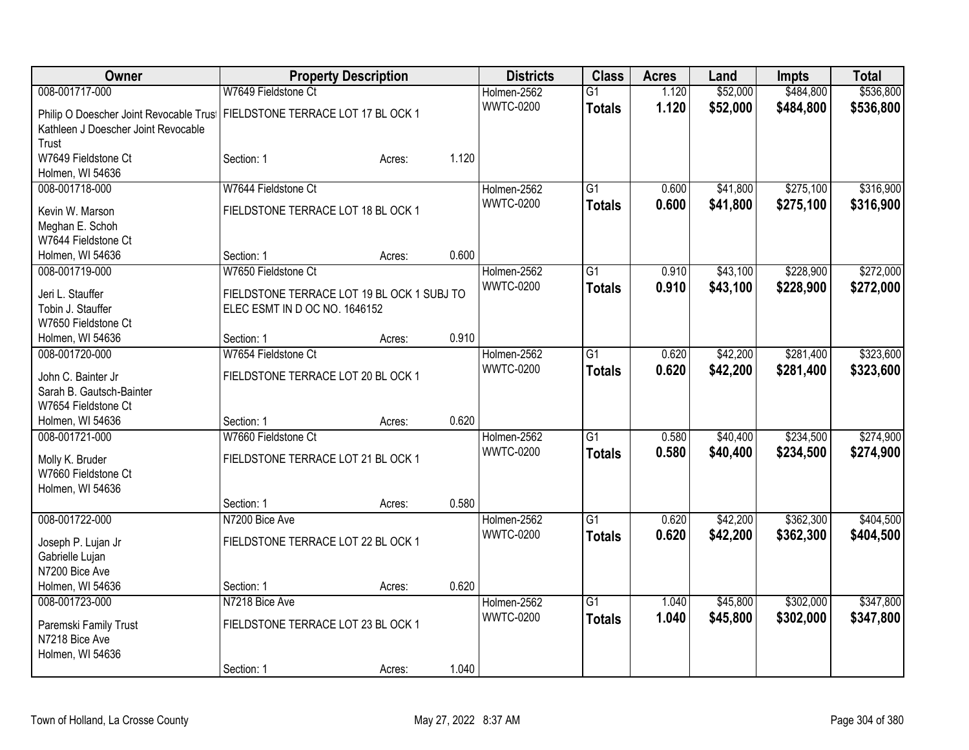| Owner                                                                       |                                            | <b>Property Description</b> |       | <b>Districts</b> | <b>Class</b>    | <b>Acres</b> | Land     | <b>Impts</b> | <b>Total</b> |
|-----------------------------------------------------------------------------|--------------------------------------------|-----------------------------|-------|------------------|-----------------|--------------|----------|--------------|--------------|
| 008-001717-000                                                              | W7649 Fieldstone Ct                        |                             |       | Holmen-2562      | $\overline{G1}$ | 1.120        | \$52,000 | \$484,800    | \$536,800    |
| Philip O Doescher Joint Revocable Trus   FIELDSTONE TERRACE LOT 17 BL OCK 1 |                                            |                             |       | <b>WWTC-0200</b> | <b>Totals</b>   | 1.120        | \$52,000 | \$484,800    | \$536,800    |
| Kathleen J Doescher Joint Revocable                                         |                                            |                             |       |                  |                 |              |          |              |              |
| Trust                                                                       |                                            |                             |       |                  |                 |              |          |              |              |
| W7649 Fieldstone Ct                                                         | Section: 1                                 | Acres:                      | 1.120 |                  |                 |              |          |              |              |
| Holmen, WI 54636                                                            |                                            |                             |       |                  |                 |              |          |              |              |
| 008-001718-000                                                              | W7644 Fieldstone Ct                        |                             |       | Holmen-2562      | $\overline{G1}$ | 0.600        | \$41,800 | \$275,100    | \$316,900    |
| Kevin W. Marson                                                             | FIELDSTONE TERRACE LOT 18 BL OCK 1         |                             |       | <b>WWTC-0200</b> | <b>Totals</b>   | 0.600        | \$41,800 | \$275,100    | \$316,900    |
| Meghan E. Schoh                                                             |                                            |                             |       |                  |                 |              |          |              |              |
| W7644 Fieldstone Ct                                                         |                                            |                             |       |                  |                 |              |          |              |              |
| Holmen, WI 54636                                                            | Section: 1                                 | Acres:                      | 0.600 |                  |                 |              |          |              |              |
| 008-001719-000                                                              | W7650 Fieldstone Ct                        |                             |       | Holmen-2562      | $\overline{G1}$ | 0.910        | \$43,100 | \$228,900    | \$272,000    |
| Jeri L. Stauffer                                                            | FIELDSTONE TERRACE LOT 19 BL OCK 1 SUBJ TO |                             |       | <b>WWTC-0200</b> | <b>Totals</b>   | 0.910        | \$43,100 | \$228,900    | \$272,000    |
| Tobin J. Stauffer                                                           | ELEC ESMT IN D OC NO. 1646152              |                             |       |                  |                 |              |          |              |              |
| W7650 Fieldstone Ct                                                         |                                            |                             |       |                  |                 |              |          |              |              |
| Holmen, WI 54636                                                            | Section: 1                                 | Acres:                      | 0.910 |                  |                 |              |          |              |              |
| 008-001720-000                                                              | W7654 Fieldstone Ct                        |                             |       | Holmen-2562      | $\overline{G1}$ | 0.620        | \$42,200 | \$281,400    | \$323,600    |
| John C. Bainter Jr                                                          | FIELDSTONE TERRACE LOT 20 BL OCK 1         |                             |       | <b>WWTC-0200</b> | <b>Totals</b>   | 0.620        | \$42,200 | \$281,400    | \$323,600    |
| Sarah B. Gautsch-Bainter                                                    |                                            |                             |       |                  |                 |              |          |              |              |
| W7654 Fieldstone Ct                                                         |                                            |                             |       |                  |                 |              |          |              |              |
| Holmen, WI 54636                                                            | Section: 1                                 | Acres:                      | 0.620 |                  |                 |              |          |              |              |
| 008-001721-000                                                              | W7660 Fieldstone Ct                        |                             |       | Holmen-2562      | $\overline{G1}$ | 0.580        | \$40,400 | \$234,500    | \$274,900    |
| Molly K. Bruder                                                             | FIELDSTONE TERRACE LOT 21 BL OCK 1         |                             |       | <b>WWTC-0200</b> | <b>Totals</b>   | 0.580        | \$40,400 | \$234,500    | \$274,900    |
| W7660 Fieldstone Ct                                                         |                                            |                             |       |                  |                 |              |          |              |              |
| Holmen, WI 54636                                                            |                                            |                             |       |                  |                 |              |          |              |              |
|                                                                             | Section: 1                                 | Acres:                      | 0.580 |                  |                 |              |          |              |              |
| 008-001722-000                                                              | N7200 Bice Ave                             |                             |       | Holmen-2562      | $\overline{G1}$ | 0.620        | \$42,200 | \$362,300    | \$404,500    |
| Joseph P. Lujan Jr                                                          | FIELDSTONE TERRACE LOT 22 BL OCK 1         |                             |       | <b>WWTC-0200</b> | <b>Totals</b>   | 0.620        | \$42,200 | \$362,300    | \$404,500    |
| Gabrielle Lujan                                                             |                                            |                             |       |                  |                 |              |          |              |              |
| N7200 Bice Ave                                                              |                                            |                             |       |                  |                 |              |          |              |              |
| Holmen, WI 54636                                                            | Section: 1                                 | Acres:                      | 0.620 |                  |                 |              |          |              |              |
| 008-001723-000                                                              | N7218 Bice Ave                             |                             |       | Holmen-2562      | $\overline{G1}$ | 1.040        | \$45,800 | \$302,000    | \$347,800    |
|                                                                             |                                            |                             |       | <b>WWTC-0200</b> | <b>Totals</b>   | 1.040        | \$45,800 | \$302,000    | \$347,800    |
| Paremski Family Trust<br>N7218 Bice Ave                                     | FIELDSTONE TERRACE LOT 23 BL OCK 1         |                             |       |                  |                 |              |          |              |              |
| Holmen, WI 54636                                                            |                                            |                             |       |                  |                 |              |          |              |              |
|                                                                             | Section: 1                                 | Acres:                      | 1.040 |                  |                 |              |          |              |              |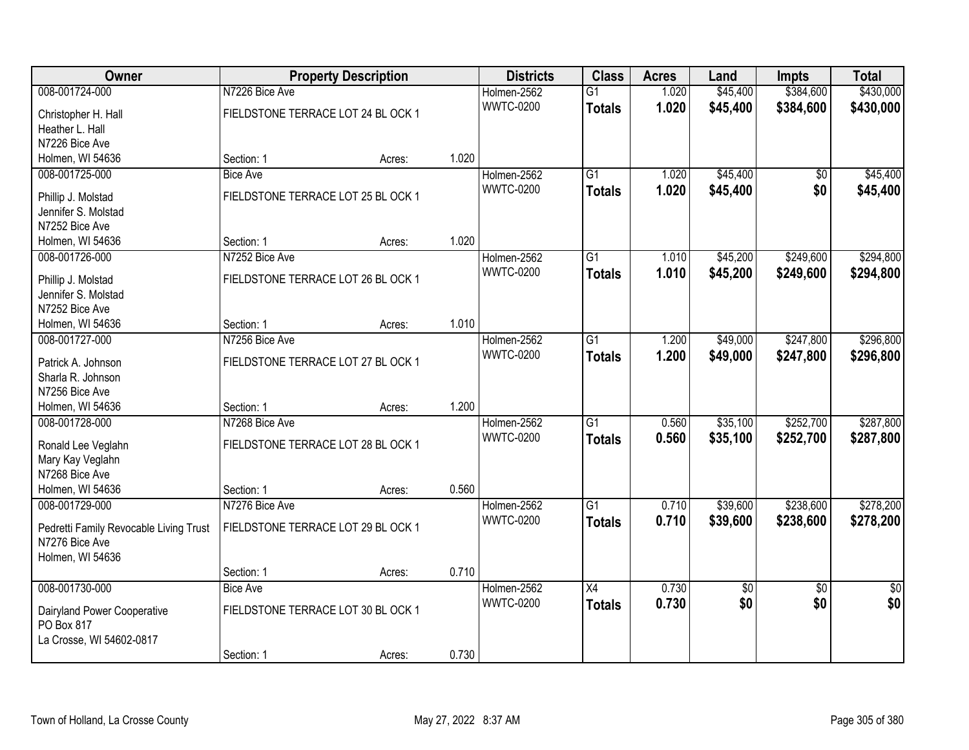| Owner                                     |                                    | <b>Property Description</b> |       | <b>Districts</b> | <b>Class</b>    | <b>Acres</b> | Land     | <b>Impts</b>    | <b>Total</b>    |
|-------------------------------------------|------------------------------------|-----------------------------|-------|------------------|-----------------|--------------|----------|-----------------|-----------------|
| 008-001724-000                            | N7226 Bice Ave                     |                             |       | Holmen-2562      | $\overline{G1}$ | 1.020        | \$45,400 | \$384,600       | \$430,000       |
| Christopher H. Hall                       | FIELDSTONE TERRACE LOT 24 BL OCK 1 |                             |       | <b>WWTC-0200</b> | <b>Totals</b>   | 1.020        | \$45,400 | \$384,600       | \$430,000       |
| Heather L. Hall                           |                                    |                             |       |                  |                 |              |          |                 |                 |
| N7226 Bice Ave                            |                                    |                             |       |                  |                 |              |          |                 |                 |
| Holmen, WI 54636                          | Section: 1                         | Acres:                      | 1.020 |                  |                 |              |          |                 |                 |
| 008-001725-000                            | <b>Bice Ave</b>                    |                             |       | Holmen-2562      | $\overline{G1}$ | 1.020        | \$45,400 | $\overline{50}$ | \$45,400        |
|                                           |                                    |                             |       | <b>WWTC-0200</b> | <b>Totals</b>   | 1.020        | \$45,400 | \$0             | \$45,400        |
| Phillip J. Molstad                        | FIELDSTONE TERRACE LOT 25 BL OCK 1 |                             |       |                  |                 |              |          |                 |                 |
| Jennifer S. Molstad                       |                                    |                             |       |                  |                 |              |          |                 |                 |
| N7252 Bice Ave                            |                                    |                             |       |                  |                 |              |          |                 |                 |
| Holmen, WI 54636                          | Section: 1                         | Acres:                      | 1.020 |                  |                 |              |          |                 |                 |
| 008-001726-000                            | N7252 Bice Ave                     |                             |       | Holmen-2562      | G1              | 1.010        | \$45,200 | \$249,600       | \$294,800       |
| Phillip J. Molstad                        | FIELDSTONE TERRACE LOT 26 BL OCK 1 |                             |       | <b>WWTC-0200</b> | <b>Totals</b>   | 1.010        | \$45,200 | \$249,600       | \$294,800       |
| Jennifer S. Molstad                       |                                    |                             |       |                  |                 |              |          |                 |                 |
| N7252 Bice Ave                            |                                    |                             |       |                  |                 |              |          |                 |                 |
| Holmen, WI 54636                          | Section: 1                         | Acres:                      | 1.010 |                  |                 |              |          |                 |                 |
| 008-001727-000                            | N7256 Bice Ave                     |                             |       | Holmen-2562      | G1              | 1.200        | \$49,000 | \$247,800       | \$296,800       |
| Patrick A. Johnson                        | FIELDSTONE TERRACE LOT 27 BL OCK 1 |                             |       | <b>WWTC-0200</b> | <b>Totals</b>   | 1.200        | \$49,000 | \$247,800       | \$296,800       |
| Sharla R. Johnson                         |                                    |                             |       |                  |                 |              |          |                 |                 |
| N7256 Bice Ave                            |                                    |                             |       |                  |                 |              |          |                 |                 |
| Holmen, WI 54636                          | Section: 1                         | Acres:                      | 1.200 |                  |                 |              |          |                 |                 |
| 008-001728-000                            | N7268 Bice Ave                     |                             |       | Holmen-2562      | $\overline{G1}$ | 0.560        | \$35,100 | \$252,700       | \$287,800       |
|                                           |                                    |                             |       | <b>WWTC-0200</b> | <b>Totals</b>   | 0.560        | \$35,100 | \$252,700       | \$287,800       |
| Ronald Lee Veglahn                        | FIELDSTONE TERRACE LOT 28 BL OCK 1 |                             |       |                  |                 |              |          |                 |                 |
| Mary Kay Veglahn                          |                                    |                             |       |                  |                 |              |          |                 |                 |
| N7268 Bice Ave                            |                                    |                             |       |                  |                 |              |          |                 |                 |
| Holmen, WI 54636                          | Section: 1                         | Acres:                      | 0.560 |                  |                 |              |          |                 |                 |
| 008-001729-000                            | N7276 Bice Ave                     |                             |       | Holmen-2562      | $\overline{G1}$ | 0.710        | \$39,600 | \$238,600       | \$278,200       |
| Pedretti Family Revocable Living Trust    | FIELDSTONE TERRACE LOT 29 BL OCK 1 |                             |       | <b>WWTC-0200</b> | <b>Totals</b>   | 0.710        | \$39,600 | \$238,600       | \$278,200       |
| N7276 Bice Ave                            |                                    |                             |       |                  |                 |              |          |                 |                 |
| Holmen, WI 54636                          |                                    |                             |       |                  |                 |              |          |                 |                 |
|                                           | Section: 1                         | Acres:                      | 0.710 |                  |                 |              |          |                 |                 |
| 008-001730-000                            | Bice Ave                           |                             |       | Holmen-2562      | $\overline{X4}$ | 0.730        | \$0      | $\overline{50}$ | $\overline{50}$ |
|                                           |                                    |                             |       | <b>WWTC-0200</b> | <b>Totals</b>   | 0.730        | \$0      | \$0             | \$0             |
| Dairyland Power Cooperative<br>PO Box 817 | FIELDSTONE TERRACE LOT 30 BL OCK 1 |                             |       |                  |                 |              |          |                 |                 |
|                                           |                                    |                             |       |                  |                 |              |          |                 |                 |
| La Crosse, WI 54602-0817                  |                                    |                             | 0.730 |                  |                 |              |          |                 |                 |
|                                           | Section: 1                         | Acres:                      |       |                  |                 |              |          |                 |                 |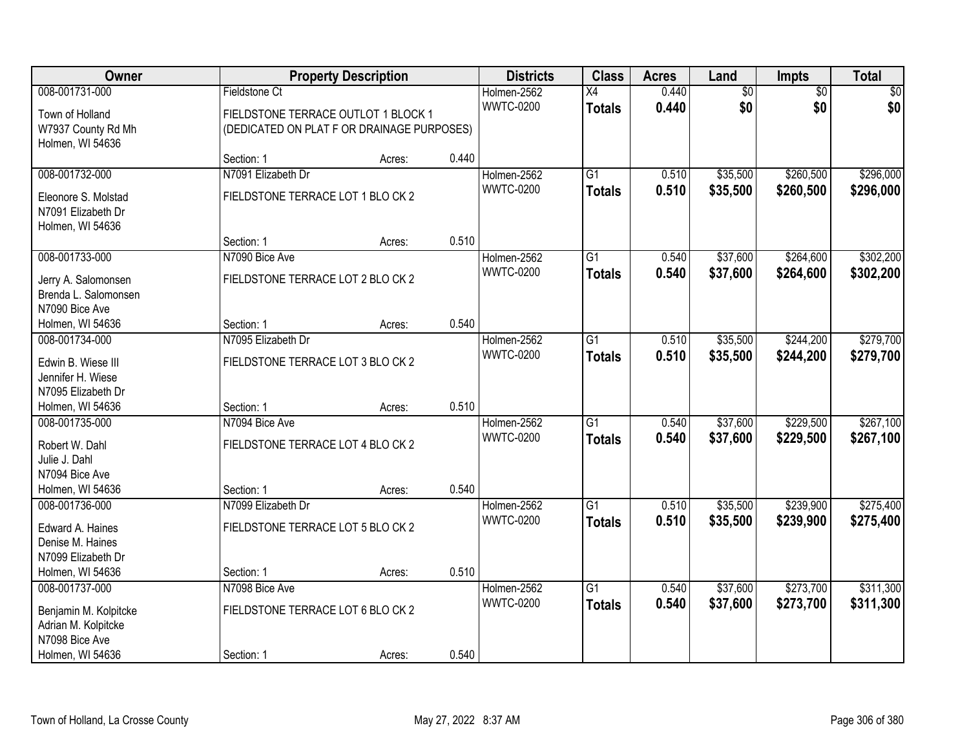| Owner                                        |                                            | <b>Property Description</b> |       | <b>Districts</b> | <b>Class</b>    | <b>Acres</b> | Land            | Impts           | <b>Total</b> |
|----------------------------------------------|--------------------------------------------|-----------------------------|-------|------------------|-----------------|--------------|-----------------|-----------------|--------------|
| 008-001731-000                               | Fieldstone Ct                              |                             |       | Holmen-2562      | X4              | 0.440        | $\overline{60}$ | $\overline{50}$ | \$0          |
| Town of Holland                              | FIELDSTONE TERRACE OUTLOT 1 BLOCK 1        |                             |       | <b>WWTC-0200</b> | <b>Totals</b>   | 0.440        | \$0             | \$0             | \$0          |
| W7937 County Rd Mh                           | (DEDICATED ON PLAT F OR DRAINAGE PURPOSES) |                             |       |                  |                 |              |                 |                 |              |
| Holmen, WI 54636                             |                                            |                             |       |                  |                 |              |                 |                 |              |
|                                              | Section: 1                                 | Acres:                      | 0.440 |                  |                 |              |                 |                 |              |
| 008-001732-000                               | N7091 Elizabeth Dr                         |                             |       | Holmen-2562      | $\overline{G1}$ | 0.510        | \$35,500        | \$260,500       | \$296,000    |
| Eleonore S. Molstad                          | FIELDSTONE TERRACE LOT 1 BLO CK 2          |                             |       | <b>WWTC-0200</b> | <b>Totals</b>   | 0.510        | \$35,500        | \$260,500       | \$296,000    |
| N7091 Elizabeth Dr                           |                                            |                             |       |                  |                 |              |                 |                 |              |
| Holmen, WI 54636                             |                                            |                             |       |                  |                 |              |                 |                 |              |
|                                              | Section: 1                                 | Acres:                      | 0.510 |                  |                 |              |                 |                 |              |
| 008-001733-000                               | N7090 Bice Ave                             |                             |       | Holmen-2562      | G1              | 0.540        | \$37,600        | \$264,600       | \$302,200    |
| Jerry A. Salomonsen                          | FIELDSTONE TERRACE LOT 2 BLO CK 2          |                             |       | <b>WWTC-0200</b> | <b>Totals</b>   | 0.540        | \$37,600        | \$264,600       | \$302,200    |
| Brenda L. Salomonsen                         |                                            |                             |       |                  |                 |              |                 |                 |              |
| N7090 Bice Ave                               |                                            |                             |       |                  |                 |              |                 |                 |              |
| Holmen, WI 54636                             | Section: 1                                 | Acres:                      | 0.540 |                  |                 |              |                 |                 |              |
| 008-001734-000                               | N7095 Elizabeth Dr                         |                             |       | Holmen-2562      | G1              | 0.510        | \$35,500        | \$244,200       | \$279,700    |
| Edwin B. Wiese III                           | FIELDSTONE TERRACE LOT 3 BLO CK 2          |                             |       | <b>WWTC-0200</b> | <b>Totals</b>   | 0.510        | \$35,500        | \$244,200       | \$279,700    |
| Jennifer H. Wiese                            |                                            |                             |       |                  |                 |              |                 |                 |              |
| N7095 Elizabeth Dr                           |                                            |                             |       |                  |                 |              |                 |                 |              |
| Holmen, WI 54636                             | Section: 1                                 | Acres:                      | 0.510 |                  |                 |              |                 |                 |              |
| 008-001735-000                               | N7094 Bice Ave                             |                             |       | Holmen-2562      | $\overline{G1}$ | 0.540        | \$37,600        | \$229,500       | \$267,100    |
| Robert W. Dahl                               | FIELDSTONE TERRACE LOT 4 BLO CK 2          |                             |       | <b>WWTC-0200</b> | <b>Totals</b>   | 0.540        | \$37,600        | \$229,500       | \$267,100    |
| Julie J. Dahl                                |                                            |                             |       |                  |                 |              |                 |                 |              |
| N7094 Bice Ave                               |                                            |                             |       |                  |                 |              |                 |                 |              |
| Holmen, WI 54636                             | Section: 1                                 | Acres:                      | 0.540 |                  |                 |              |                 |                 |              |
| 008-001736-000                               | N7099 Elizabeth Dr                         |                             |       | Holmen-2562      | $\overline{G1}$ | 0.510        | \$35,500        | \$239,900       | \$275,400    |
| Edward A. Haines                             | FIELDSTONE TERRACE LOT 5 BLO CK 2          |                             |       | <b>WWTC-0200</b> | <b>Totals</b>   | 0.510        | \$35,500        | \$239,900       | \$275,400    |
| Denise M. Haines                             |                                            |                             |       |                  |                 |              |                 |                 |              |
| N7099 Elizabeth Dr                           |                                            |                             |       |                  |                 |              |                 |                 |              |
| Holmen, WI 54636                             | Section: 1                                 | Acres:                      | 0.510 |                  |                 |              |                 |                 |              |
| 008-001737-000                               | N7098 Bice Ave                             |                             |       | Holmen-2562      | $\overline{G1}$ | 0.540        | \$37,600        | \$273,700       | \$311,300    |
|                                              |                                            |                             |       | <b>WWTC-0200</b> | <b>Totals</b>   | 0.540        | \$37,600        | \$273,700       | \$311,300    |
| Benjamin M. Kolpitcke<br>Adrian M. Kolpitcke | FIELDSTONE TERRACE LOT 6 BLO CK 2          |                             |       |                  |                 |              |                 |                 |              |
| N7098 Bice Ave                               |                                            |                             |       |                  |                 |              |                 |                 |              |
| Holmen, WI 54636                             | Section: 1                                 | Acres:                      | 0.540 |                  |                 |              |                 |                 |              |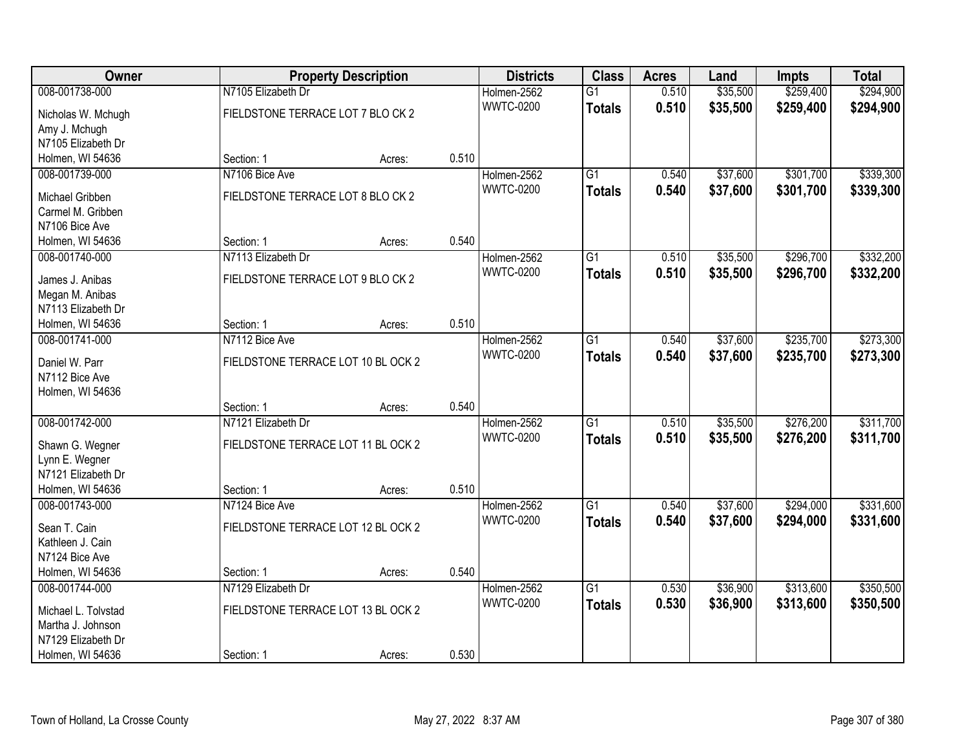| Owner                               |                                    | <b>Property Description</b> |       | <b>Districts</b> | <b>Class</b>    | <b>Acres</b> | Land     | Impts     | <b>Total</b> |
|-------------------------------------|------------------------------------|-----------------------------|-------|------------------|-----------------|--------------|----------|-----------|--------------|
| 008-001738-000                      | N7105 Elizabeth Dr                 |                             |       | Holmen-2562      | $\overline{G1}$ | 0.510        | \$35,500 | \$259,400 | \$294,900    |
| Nicholas W. Mchugh                  | FIELDSTONE TERRACE LOT 7 BLO CK 2  |                             |       | <b>WWTC-0200</b> | <b>Totals</b>   | 0.510        | \$35,500 | \$259,400 | \$294,900    |
| Amy J. Mchugh                       |                                    |                             |       |                  |                 |              |          |           |              |
| N7105 Elizabeth Dr                  |                                    |                             |       |                  |                 |              |          |           |              |
| Holmen, WI 54636                    | Section: 1                         | Acres:                      | 0.510 |                  |                 |              |          |           |              |
| 008-001739-000                      | N7106 Bice Ave                     |                             |       | Holmen-2562      | $\overline{G1}$ | 0.540        | \$37,600 | \$301,700 | \$339,300    |
|                                     | FIELDSTONE TERRACE LOT 8 BLO CK 2  |                             |       | <b>WWTC-0200</b> | <b>Totals</b>   | 0.540        | \$37,600 | \$301,700 | \$339,300    |
| Michael Gribben                     |                                    |                             |       |                  |                 |              |          |           |              |
| Carmel M. Gribben<br>N7106 Bice Ave |                                    |                             |       |                  |                 |              |          |           |              |
| Holmen, WI 54636                    | Section: 1                         | Acres:                      | 0.540 |                  |                 |              |          |           |              |
| 008-001740-000                      | N7113 Elizabeth Dr                 |                             |       | Holmen-2562      | G1              | 0.510        | \$35,500 | \$296,700 | \$332,200    |
|                                     |                                    |                             |       | <b>WWTC-0200</b> |                 |              |          |           |              |
| James J. Anibas                     | FIELDSTONE TERRACE LOT 9 BLO CK 2  |                             |       |                  | <b>Totals</b>   | 0.510        | \$35,500 | \$296,700 | \$332,200    |
| Megan M. Anibas                     |                                    |                             |       |                  |                 |              |          |           |              |
| N7113 Elizabeth Dr                  |                                    |                             |       |                  |                 |              |          |           |              |
| Holmen, WI 54636                    | Section: 1                         | Acres:                      | 0.510 |                  |                 |              |          |           |              |
| 008-001741-000                      | N7112 Bice Ave                     |                             |       | Holmen-2562      | G1              | 0.540        | \$37,600 | \$235,700 | \$273,300    |
| Daniel W. Parr                      | FIELDSTONE TERRACE LOT 10 BL OCK 2 |                             |       | <b>WWTC-0200</b> | <b>Totals</b>   | 0.540        | \$37,600 | \$235,700 | \$273,300    |
| N7112 Bice Ave                      |                                    |                             |       |                  |                 |              |          |           |              |
| Holmen, WI 54636                    |                                    |                             |       |                  |                 |              |          |           |              |
|                                     | Section: 1                         | Acres:                      | 0.540 |                  |                 |              |          |           |              |
| 008-001742-000                      | N7121 Elizabeth Dr                 |                             |       | Holmen-2562      | $\overline{G1}$ | 0.510        | \$35,500 | \$276,200 | \$311,700    |
|                                     |                                    |                             |       | <b>WWTC-0200</b> | <b>Totals</b>   | 0.510        | \$35,500 | \$276,200 | \$311,700    |
| Shawn G. Wegner                     | FIELDSTONE TERRACE LOT 11 BL OCK 2 |                             |       |                  |                 |              |          |           |              |
| Lynn E. Wegner                      |                                    |                             |       |                  |                 |              |          |           |              |
| N7121 Elizabeth Dr                  |                                    |                             |       |                  |                 |              |          |           |              |
| Holmen, WI 54636                    | Section: 1                         | Acres:                      | 0.510 |                  |                 |              |          |           |              |
| 008-001743-000                      | N7124 Bice Ave                     |                             |       | Holmen-2562      | $\overline{G1}$ | 0.540        | \$37,600 | \$294,000 | \$331,600    |
| Sean T. Cain                        | FIELDSTONE TERRACE LOT 12 BL OCK 2 |                             |       | <b>WWTC-0200</b> | <b>Totals</b>   | 0.540        | \$37,600 | \$294,000 | \$331,600    |
| Kathleen J. Cain                    |                                    |                             |       |                  |                 |              |          |           |              |
| N7124 Bice Ave                      |                                    |                             |       |                  |                 |              |          |           |              |
| Holmen, WI 54636                    | Section: 1                         | Acres:                      | 0.540 |                  |                 |              |          |           |              |
| 008-001744-000                      | N7129 Elizabeth Dr                 |                             |       | Holmen-2562      | $\overline{G1}$ | 0.530        | \$36,900 | \$313,600 | \$350,500    |
|                                     |                                    |                             |       | <b>WWTC-0200</b> | <b>Totals</b>   | 0.530        | \$36,900 | \$313,600 | \$350,500    |
| Michael L. Tolvstad                 | FIELDSTONE TERRACE LOT 13 BL OCK 2 |                             |       |                  |                 |              |          |           |              |
| Martha J. Johnson                   |                                    |                             |       |                  |                 |              |          |           |              |
| N7129 Elizabeth Dr                  |                                    |                             | 0.530 |                  |                 |              |          |           |              |
| Holmen, WI 54636                    | Section: 1                         | Acres:                      |       |                  |                 |              |          |           |              |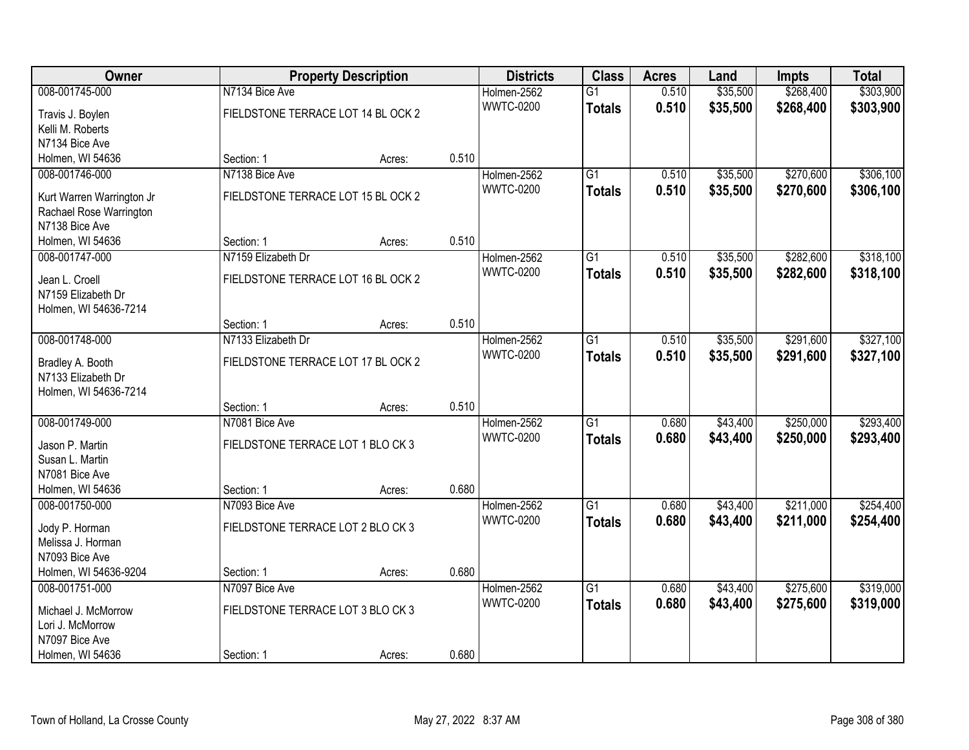| Owner                                  |                                    | <b>Property Description</b> |       | <b>Districts</b> | <b>Class</b>    | <b>Acres</b> | Land     | <b>Impts</b> | <b>Total</b> |
|----------------------------------------|------------------------------------|-----------------------------|-------|------------------|-----------------|--------------|----------|--------------|--------------|
| 008-001745-000                         | N7134 Bice Ave                     |                             |       | Holmen-2562      | $\overline{G1}$ | 0.510        | \$35,500 | \$268,400    | \$303,900    |
| Travis J. Boylen                       | FIELDSTONE TERRACE LOT 14 BL OCK 2 |                             |       | <b>WWTC-0200</b> | <b>Totals</b>   | 0.510        | \$35,500 | \$268,400    | \$303,900    |
| Kelli M. Roberts                       |                                    |                             |       |                  |                 |              |          |              |              |
| N7134 Bice Ave                         |                                    |                             |       |                  |                 |              |          |              |              |
| Holmen, WI 54636                       | Section: 1                         | Acres:                      | 0.510 |                  |                 |              |          |              |              |
| 008-001746-000                         | N7138 Bice Ave                     |                             |       | Holmen-2562      | $\overline{G1}$ | 0.510        | \$35,500 | \$270,600    | \$306,100    |
|                                        |                                    |                             |       | <b>WWTC-0200</b> | <b>Totals</b>   | 0.510        | \$35,500 | \$270,600    | \$306,100    |
| Kurt Warren Warrington Jr              | FIELDSTONE TERRACE LOT 15 BL OCK 2 |                             |       |                  |                 |              |          |              |              |
| Rachael Rose Warrington                |                                    |                             |       |                  |                 |              |          |              |              |
| N7138 Bice Ave                         |                                    |                             |       |                  |                 |              |          |              |              |
| Holmen, WI 54636                       | Section: 1                         | Acres:                      | 0.510 |                  |                 |              |          |              |              |
| 008-001747-000                         | N7159 Elizabeth Dr                 |                             |       | Holmen-2562      | G1              | 0.510        | \$35,500 | \$282,600    | \$318,100    |
| Jean L. Croell                         | FIELDSTONE TERRACE LOT 16 BL OCK 2 |                             |       | <b>WWTC-0200</b> | <b>Totals</b>   | 0.510        | \$35,500 | \$282,600    | \$318,100    |
| N7159 Elizabeth Dr                     |                                    |                             |       |                  |                 |              |          |              |              |
| Holmen, WI 54636-7214                  |                                    |                             |       |                  |                 |              |          |              |              |
|                                        | Section: 1                         | Acres:                      | 0.510 |                  |                 |              |          |              |              |
| 008-001748-000                         | N7133 Elizabeth Dr                 |                             |       | Holmen-2562      | G1              | 0.510        | \$35,500 | \$291,600    | \$327,100    |
|                                        |                                    |                             |       | <b>WWTC-0200</b> | <b>Totals</b>   | 0.510        | \$35,500 | \$291,600    | \$327,100    |
| Bradley A. Booth<br>N7133 Elizabeth Dr | FIELDSTONE TERRACE LOT 17 BL OCK 2 |                             |       |                  |                 |              |          |              |              |
| Holmen, WI 54636-7214                  |                                    |                             |       |                  |                 |              |          |              |              |
|                                        | Section: 1                         | Acres:                      | 0.510 |                  |                 |              |          |              |              |
| 008-001749-000                         | N7081 Bice Ave                     |                             |       | Holmen-2562      | $\overline{G1}$ | 0.680        | \$43,400 | \$250,000    | \$293,400    |
|                                        |                                    |                             |       | <b>WWTC-0200</b> |                 |              |          |              |              |
| Jason P. Martin                        | FIELDSTONE TERRACE LOT 1 BLO CK 3  |                             |       |                  | <b>Totals</b>   | 0.680        | \$43,400 | \$250,000    | \$293,400    |
| Susan L. Martin                        |                                    |                             |       |                  |                 |              |          |              |              |
| N7081 Bice Ave                         |                                    |                             |       |                  |                 |              |          |              |              |
| Holmen, WI 54636                       | Section: 1                         | Acres:                      | 0.680 |                  |                 |              |          |              |              |
| 008-001750-000                         | N7093 Bice Ave                     |                             |       | Holmen-2562      | $\overline{G1}$ | 0.680        | \$43,400 | \$211,000    | \$254,400    |
| Jody P. Horman                         | FIELDSTONE TERRACE LOT 2 BLO CK 3  |                             |       | <b>WWTC-0200</b> | <b>Totals</b>   | 0.680        | \$43,400 | \$211,000    | \$254,400    |
| Melissa J. Horman                      |                                    |                             |       |                  |                 |              |          |              |              |
| N7093 Bice Ave                         |                                    |                             |       |                  |                 |              |          |              |              |
| Holmen, WI 54636-9204                  | Section: 1                         | Acres:                      | 0.680 |                  |                 |              |          |              |              |
| 008-001751-000                         | N7097 Bice Ave                     |                             |       | Holmen-2562      | $\overline{G1}$ | 0.680        | \$43,400 | \$275,600    | \$319,000    |
|                                        |                                    |                             |       | <b>WWTC-0200</b> | <b>Totals</b>   | 0.680        | \$43,400 | \$275,600    | \$319,000    |
| Michael J. McMorrow                    | FIELDSTONE TERRACE LOT 3 BLO CK 3  |                             |       |                  |                 |              |          |              |              |
| Lori J. McMorrow                       |                                    |                             |       |                  |                 |              |          |              |              |
| N7097 Bice Ave                         |                                    |                             |       |                  |                 |              |          |              |              |
| Holmen, WI 54636                       | Section: 1                         | Acres:                      | 0.680 |                  |                 |              |          |              |              |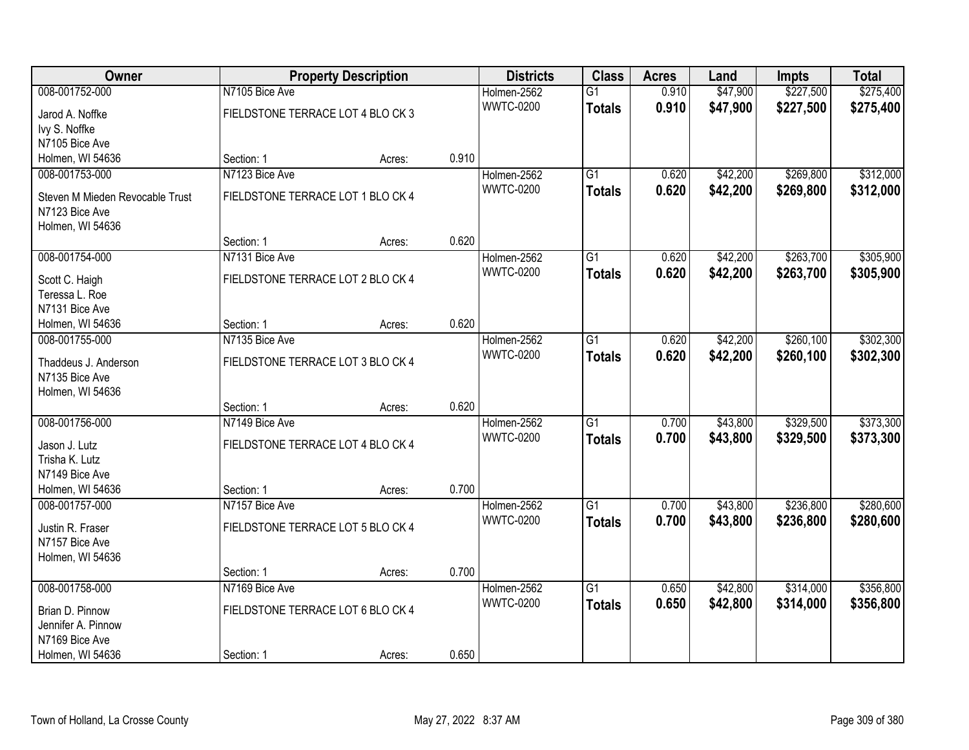| Owner                            |                                   | <b>Property Description</b> |       | <b>Districts</b> | <b>Class</b>    | <b>Acres</b> | Land     | <b>Impts</b> | <b>Total</b> |
|----------------------------------|-----------------------------------|-----------------------------|-------|------------------|-----------------|--------------|----------|--------------|--------------|
| 008-001752-000                   | N7105 Bice Ave                    |                             |       | Holmen-2562      | $\overline{G1}$ | 0.910        | \$47,900 | \$227,500    | \$275,400    |
| Jarod A. Noffke                  | FIELDSTONE TERRACE LOT 4 BLO CK 3 |                             |       | <b>WWTC-0200</b> | <b>Totals</b>   | 0.910        | \$47,900 | \$227,500    | \$275,400    |
| Ivy S. Noffke                    |                                   |                             |       |                  |                 |              |          |              |              |
| N7105 Bice Ave                   |                                   |                             |       |                  |                 |              |          |              |              |
| Holmen, WI 54636                 | Section: 1                        | Acres:                      | 0.910 |                  |                 |              |          |              |              |
| 008-001753-000                   | N7123 Bice Ave                    |                             |       | Holmen-2562      | $\overline{G1}$ | 0.620        | \$42,200 | \$269,800    | \$312,000    |
| Steven M Mieden Revocable Trust  | FIELDSTONE TERRACE LOT 1 BLO CK 4 |                             |       | <b>WWTC-0200</b> | <b>Totals</b>   | 0.620        | \$42,200 | \$269,800    | \$312,000    |
| N7123 Bice Ave                   |                                   |                             |       |                  |                 |              |          |              |              |
| Holmen, WI 54636                 |                                   |                             |       |                  |                 |              |          |              |              |
|                                  | Section: 1                        | Acres:                      | 0.620 |                  |                 |              |          |              |              |
| 008-001754-000                   | N7131 Bice Ave                    |                             |       | Holmen-2562      | $\overline{G1}$ | 0.620        | \$42,200 | \$263,700    | \$305,900    |
|                                  |                                   |                             |       | <b>WWTC-0200</b> | <b>Totals</b>   | 0.620        | \$42,200 | \$263,700    | \$305,900    |
| Scott C. Haigh<br>Teressa L. Roe | FIELDSTONE TERRACE LOT 2 BLO CK 4 |                             |       |                  |                 |              |          |              |              |
| N7131 Bice Ave                   |                                   |                             |       |                  |                 |              |          |              |              |
| Holmen, WI 54636                 | Section: 1                        | Acres:                      | 0.620 |                  |                 |              |          |              |              |
| 008-001755-000                   | N7135 Bice Ave                    |                             |       | Holmen-2562      | $\overline{G1}$ | 0.620        | \$42,200 | \$260,100    | \$302,300    |
|                                  |                                   |                             |       | <b>WWTC-0200</b> | <b>Totals</b>   | 0.620        | \$42,200 | \$260,100    | \$302,300    |
| Thaddeus J. Anderson             | FIELDSTONE TERRACE LOT 3 BLO CK 4 |                             |       |                  |                 |              |          |              |              |
| N7135 Bice Ave                   |                                   |                             |       |                  |                 |              |          |              |              |
| Holmen, WI 54636                 | Section: 1                        | Acres:                      | 0.620 |                  |                 |              |          |              |              |
| 008-001756-000                   | N7149 Bice Ave                    |                             |       | Holmen-2562      | $\overline{G1}$ | 0.700        | \$43,800 | \$329,500    | \$373,300    |
|                                  |                                   |                             |       | <b>WWTC-0200</b> | <b>Totals</b>   | 0.700        | \$43,800 | \$329,500    | \$373,300    |
| Jason J. Lutz                    | FIELDSTONE TERRACE LOT 4 BLO CK 4 |                             |       |                  |                 |              |          |              |              |
| Trisha K. Lutz                   |                                   |                             |       |                  |                 |              |          |              |              |
| N7149 Bice Ave                   |                                   |                             |       |                  |                 |              |          |              |              |
| Holmen, WI 54636                 | Section: 1                        | Acres:                      | 0.700 |                  |                 |              |          |              |              |
| 008-001757-000                   | N7157 Bice Ave                    |                             |       | Holmen-2562      | $\overline{G1}$ | 0.700        | \$43,800 | \$236,800    | \$280,600    |
| Justin R. Fraser                 | FIELDSTONE TERRACE LOT 5 BLO CK 4 |                             |       | <b>WWTC-0200</b> | <b>Totals</b>   | 0.700        | \$43,800 | \$236,800    | \$280,600    |
| N7157 Bice Ave                   |                                   |                             |       |                  |                 |              |          |              |              |
| Holmen, WI 54636                 |                                   |                             |       |                  |                 |              |          |              |              |
|                                  | Section: 1                        | Acres:                      | 0.700 |                  |                 |              |          |              |              |
| 008-001758-000                   | N7169 Bice Ave                    |                             |       | Holmen-2562      | $\overline{G1}$ | 0.650        | \$42,800 | \$314,000    | \$356,800    |
| Brian D. Pinnow                  | FIELDSTONE TERRACE LOT 6 BLO CK 4 |                             |       | <b>WWTC-0200</b> | <b>Totals</b>   | 0.650        | \$42,800 | \$314,000    | \$356,800    |
| Jennifer A. Pinnow               |                                   |                             |       |                  |                 |              |          |              |              |
| N7169 Bice Ave                   |                                   |                             |       |                  |                 |              |          |              |              |
| Holmen, WI 54636                 | Section: 1                        | Acres:                      | 0.650 |                  |                 |              |          |              |              |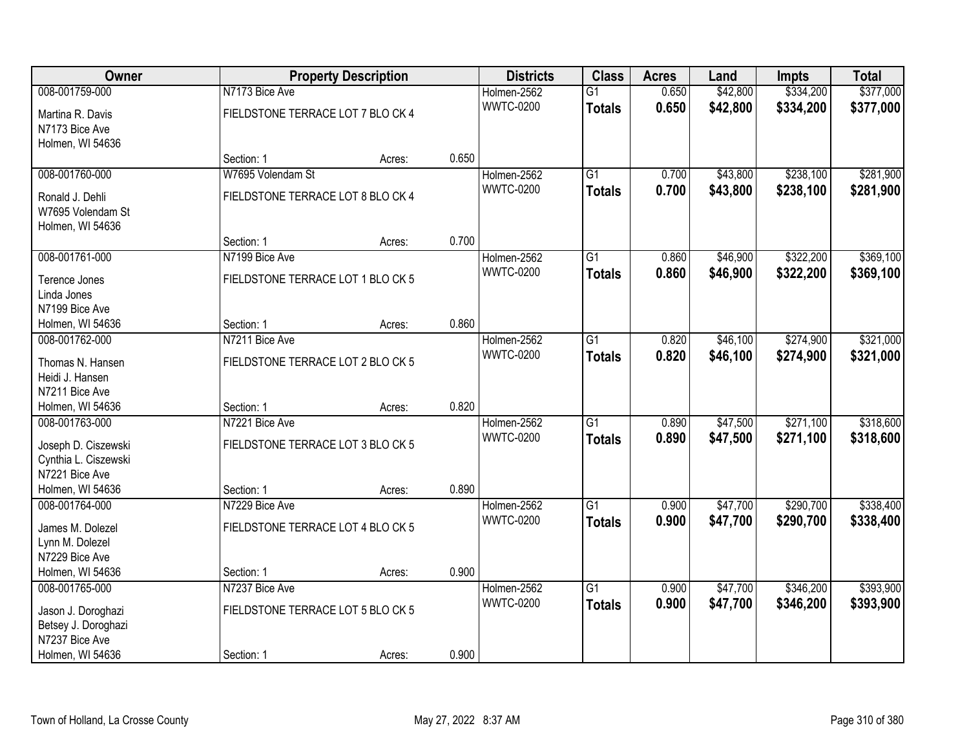| Owner                              |                                   | <b>Property Description</b> |       | <b>Districts</b> | <b>Class</b>    | <b>Acres</b> | Land     | <b>Impts</b> | <b>Total</b> |
|------------------------------------|-----------------------------------|-----------------------------|-------|------------------|-----------------|--------------|----------|--------------|--------------|
| 008-001759-000                     | N7173 Bice Ave                    |                             |       | Holmen-2562      | $\overline{G1}$ | 0.650        | \$42,800 | \$334,200    | \$377,000    |
| Martina R. Davis                   | FIELDSTONE TERRACE LOT 7 BLO CK 4 |                             |       | <b>WWTC-0200</b> | <b>Totals</b>   | 0.650        | \$42,800 | \$334,200    | \$377,000    |
| N7173 Bice Ave                     |                                   |                             |       |                  |                 |              |          |              |              |
| Holmen, WI 54636                   |                                   |                             |       |                  |                 |              |          |              |              |
|                                    | Section: 1                        | Acres:                      | 0.650 |                  |                 |              |          |              |              |
| 008-001760-000                     | W7695 Volendam St                 |                             |       | Holmen-2562      | $\overline{G1}$ | 0.700        | \$43,800 | \$238,100    | \$281,900    |
| Ronald J. Dehli                    | FIELDSTONE TERRACE LOT 8 BLO CK 4 |                             |       | <b>WWTC-0200</b> | <b>Totals</b>   | 0.700        | \$43,800 | \$238,100    | \$281,900    |
| W7695 Volendam St                  |                                   |                             |       |                  |                 |              |          |              |              |
| Holmen, WI 54636                   |                                   |                             |       |                  |                 |              |          |              |              |
|                                    | Section: 1                        | Acres:                      | 0.700 |                  |                 |              |          |              |              |
| 008-001761-000                     | N7199 Bice Ave                    |                             |       | Holmen-2562      | G1              | 0.860        | \$46,900 | \$322,200    | \$369,100    |
|                                    |                                   |                             |       | <b>WWTC-0200</b> | <b>Totals</b>   | 0.860        | \$46,900 | \$322,200    | \$369,100    |
| Terence Jones                      | FIELDSTONE TERRACE LOT 1 BLO CK 5 |                             |       |                  |                 |              |          |              |              |
| Linda Jones                        |                                   |                             |       |                  |                 |              |          |              |              |
| N7199 Bice Ave                     | Section: 1                        |                             | 0.860 |                  |                 |              |          |              |              |
| Holmen, WI 54636<br>008-001762-000 | N7211 Bice Ave                    | Acres:                      |       |                  |                 |              | \$46,100 | \$274,900    | \$321,000    |
|                                    |                                   |                             |       | Holmen-2562      | G1              | 0.820        |          |              |              |
| Thomas N. Hansen                   | FIELDSTONE TERRACE LOT 2 BLO CK 5 |                             |       | <b>WWTC-0200</b> | <b>Totals</b>   | 0.820        | \$46,100 | \$274,900    | \$321,000    |
| Heidi J. Hansen                    |                                   |                             |       |                  |                 |              |          |              |              |
| N7211 Bice Ave                     |                                   |                             |       |                  |                 |              |          |              |              |
| Holmen, WI 54636                   | Section: 1                        | Acres:                      | 0.820 |                  |                 |              |          |              |              |
| 008-001763-000                     | N7221 Bice Ave                    |                             |       | Holmen-2562      | $\overline{G1}$ | 0.890        | \$47,500 | \$271,100    | \$318,600    |
| Joseph D. Ciszewski                | FIELDSTONE TERRACE LOT 3 BLO CK 5 |                             |       | <b>WWTC-0200</b> | <b>Totals</b>   | 0.890        | \$47,500 | \$271,100    | \$318,600    |
| Cynthia L. Ciszewski               |                                   |                             |       |                  |                 |              |          |              |              |
| N7221 Bice Ave                     |                                   |                             |       |                  |                 |              |          |              |              |
| Holmen, WI 54636                   | Section: 1                        | Acres:                      | 0.890 |                  |                 |              |          |              |              |
| 008-001764-000                     | N7229 Bice Ave                    |                             |       | Holmen-2562      | $\overline{G1}$ | 0.900        | \$47,700 | \$290,700    | \$338,400    |
|                                    |                                   |                             |       | <b>WWTC-0200</b> | <b>Totals</b>   | 0.900        | \$47,700 | \$290,700    | \$338,400    |
| James M. Dolezel                   | FIELDSTONE TERRACE LOT 4 BLO CK 5 |                             |       |                  |                 |              |          |              |              |
| Lynn M. Dolezel                    |                                   |                             |       |                  |                 |              |          |              |              |
| N7229 Bice Ave                     |                                   |                             |       |                  |                 |              |          |              |              |
| Holmen, WI 54636                   | Section: 1                        | Acres:                      | 0.900 |                  |                 |              |          |              |              |
| 008-001765-000                     | N7237 Bice Ave                    |                             |       | Holmen-2562      | $\overline{G1}$ | 0.900        | \$47,700 | \$346,200    | \$393,900    |
| Jason J. Doroghazi                 | FIELDSTONE TERRACE LOT 5 BLO CK 5 |                             |       | <b>WWTC-0200</b> | <b>Totals</b>   | 0.900        | \$47,700 | \$346,200    | \$393,900    |
| Betsey J. Doroghazi                |                                   |                             |       |                  |                 |              |          |              |              |
| N7237 Bice Ave                     |                                   |                             |       |                  |                 |              |          |              |              |
| Holmen, WI 54636                   | Section: 1                        | Acres:                      | 0.900 |                  |                 |              |          |              |              |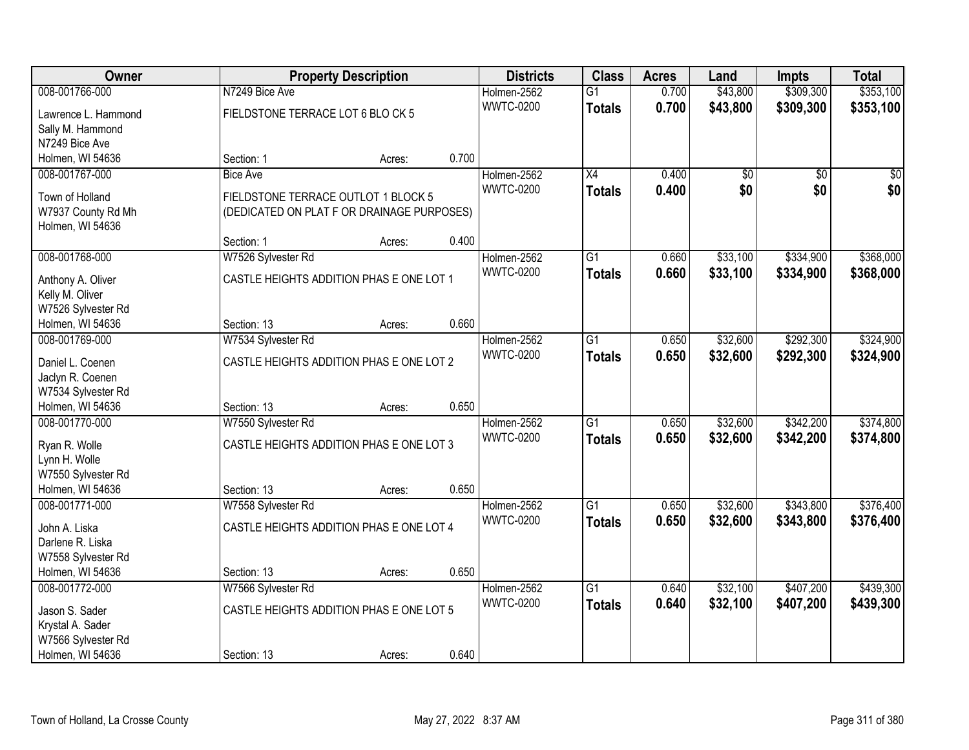| Owner               |                                            | <b>Property Description</b> |       | <b>Districts</b> | <b>Class</b>    | <b>Acres</b> | Land     | <b>Impts</b>    | <b>Total</b> |
|---------------------|--------------------------------------------|-----------------------------|-------|------------------|-----------------|--------------|----------|-----------------|--------------|
| 008-001766-000      | N7249 Bice Ave                             |                             |       | Holmen-2562      | $\overline{G1}$ | 0.700        | \$43,800 | \$309,300       | \$353,100    |
| Lawrence L. Hammond | FIELDSTONE TERRACE LOT 6 BLO CK 5          |                             |       | <b>WWTC-0200</b> | <b>Totals</b>   | 0.700        | \$43,800 | \$309,300       | \$353,100    |
| Sally M. Hammond    |                                            |                             |       |                  |                 |              |          |                 |              |
| N7249 Bice Ave      |                                            |                             |       |                  |                 |              |          |                 |              |
| Holmen, WI 54636    | Section: 1                                 | Acres:                      | 0.700 |                  |                 |              |          |                 |              |
| 008-001767-000      | <b>Bice Ave</b>                            |                             |       | Holmen-2562      | $\overline{X4}$ | 0.400        | \$0      | $\overline{50}$ | \$0          |
|                     |                                            |                             |       | <b>WWTC-0200</b> | <b>Totals</b>   | 0.400        | \$0      | \$0             | \$0          |
| Town of Holland     | FIELDSTONE TERRACE OUTLOT 1 BLOCK 5        |                             |       |                  |                 |              |          |                 |              |
| W7937 County Rd Mh  | (DEDICATED ON PLAT F OR DRAINAGE PURPOSES) |                             |       |                  |                 |              |          |                 |              |
| Holmen, WI 54636    | Section: 1                                 | Acres:                      | 0.400 |                  |                 |              |          |                 |              |
| 008-001768-000      | W7526 Sylvester Rd                         |                             |       | Holmen-2562      | $\overline{G1}$ | 0.660        | \$33,100 | \$334,900       | \$368,000    |
|                     |                                            |                             |       | <b>WWTC-0200</b> |                 | 0.660        |          |                 |              |
| Anthony A. Oliver   | CASTLE HEIGHTS ADDITION PHAS E ONE LOT 1   |                             |       |                  | <b>Totals</b>   |              | \$33,100 | \$334,900       | \$368,000    |
| Kelly M. Oliver     |                                            |                             |       |                  |                 |              |          |                 |              |
| W7526 Sylvester Rd  |                                            |                             |       |                  |                 |              |          |                 |              |
| Holmen, WI 54636    | Section: 13                                | Acres:                      | 0.660 |                  |                 |              |          |                 |              |
| 008-001769-000      | W7534 Sylvester Rd                         |                             |       | Holmen-2562      | $\overline{G1}$ | 0.650        | \$32,600 | \$292,300       | \$324,900    |
| Daniel L. Coenen    | CASTLE HEIGHTS ADDITION PHAS E ONE LOT 2   |                             |       | <b>WWTC-0200</b> | <b>Totals</b>   | 0.650        | \$32,600 | \$292,300       | \$324,900    |
| Jaclyn R. Coenen    |                                            |                             |       |                  |                 |              |          |                 |              |
| W7534 Sylvester Rd  |                                            |                             |       |                  |                 |              |          |                 |              |
| Holmen, WI 54636    | Section: 13                                | Acres:                      | 0.650 |                  |                 |              |          |                 |              |
| 008-001770-000      | W7550 Sylvester Rd                         |                             |       | Holmen-2562      | $\overline{G1}$ | 0.650        | \$32,600 | \$342,200       | \$374,800    |
|                     |                                            |                             |       | <b>WWTC-0200</b> | <b>Totals</b>   | 0.650        | \$32,600 | \$342,200       | \$374,800    |
| Ryan R. Wolle       | CASTLE HEIGHTS ADDITION PHAS E ONE LOT 3   |                             |       |                  |                 |              |          |                 |              |
| Lynn H. Wolle       |                                            |                             |       |                  |                 |              |          |                 |              |
| W7550 Sylvester Rd  |                                            |                             | 0.650 |                  |                 |              |          |                 |              |
| Holmen, WI 54636    | Section: 13                                | Acres:                      |       |                  |                 |              |          |                 |              |
| 008-001771-000      | W7558 Sylvester Rd                         |                             |       | Holmen-2562      | $\overline{G1}$ | 0.650        | \$32,600 | \$343,800       | \$376,400    |
| John A. Liska       | CASTLE HEIGHTS ADDITION PHAS E ONE LOT 4   |                             |       | <b>WWTC-0200</b> | <b>Totals</b>   | 0.650        | \$32,600 | \$343,800       | \$376,400    |
| Darlene R. Liska    |                                            |                             |       |                  |                 |              |          |                 |              |
| W7558 Sylvester Rd  |                                            |                             |       |                  |                 |              |          |                 |              |
| Holmen, WI 54636    | Section: 13                                | Acres:                      | 0.650 |                  |                 |              |          |                 |              |
| 008-001772-000      | W7566 Sylvester Rd                         |                             |       | Holmen-2562      | $\overline{G1}$ | 0.640        | \$32,100 | \$407,200       | \$439,300    |
| Jason S. Sader      | CASTLE HEIGHTS ADDITION PHAS E ONE LOT 5   |                             |       | <b>WWTC-0200</b> | <b>Totals</b>   | 0.640        | \$32,100 | \$407,200       | \$439,300    |
| Krystal A. Sader    |                                            |                             |       |                  |                 |              |          |                 |              |
| W7566 Sylvester Rd  |                                            |                             |       |                  |                 |              |          |                 |              |
| Holmen, WI 54636    | Section: 13                                | Acres:                      | 0.640 |                  |                 |              |          |                 |              |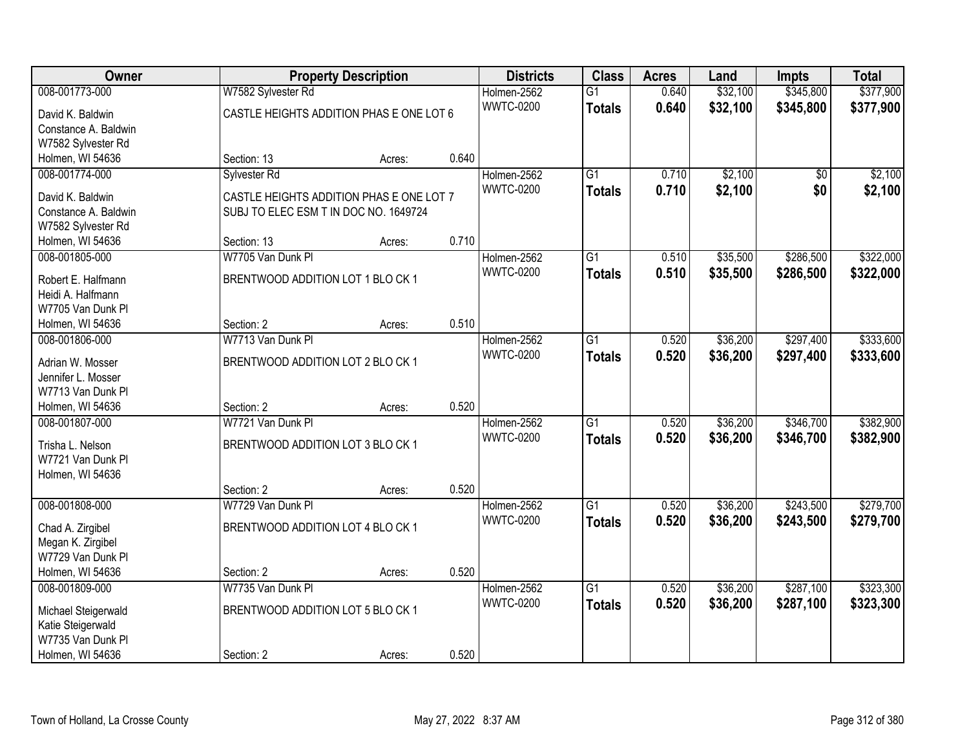| Owner                                  |                                          | <b>Property Description</b> |       | <b>Districts</b> | <b>Class</b>    | <b>Acres</b> | Land     | <b>Impts</b> | <b>Total</b> |
|----------------------------------------|------------------------------------------|-----------------------------|-------|------------------|-----------------|--------------|----------|--------------|--------------|
| 008-001773-000                         | W7582 Sylvester Rd                       |                             |       | Holmen-2562      | $\overline{G1}$ | 0.640        | \$32,100 | \$345,800    | \$377,900    |
| David K. Baldwin                       | CASTLE HEIGHTS ADDITION PHAS E ONE LOT 6 |                             |       | <b>WWTC-0200</b> | <b>Totals</b>   | 0.640        | \$32,100 | \$345,800    | \$377,900    |
| Constance A. Baldwin                   |                                          |                             |       |                  |                 |              |          |              |              |
| W7582 Sylvester Rd                     |                                          |                             |       |                  |                 |              |          |              |              |
| Holmen, WI 54636                       | Section: 13                              | Acres:                      | 0.640 |                  |                 |              |          |              |              |
| 008-001774-000                         | Sylvester Rd                             |                             |       | Holmen-2562      | $\overline{G1}$ | 0.710        | \$2,100  | \$0          | \$2,100      |
|                                        |                                          |                             |       | <b>WWTC-0200</b> | <b>Totals</b>   | 0.710        | \$2,100  | \$0          | \$2,100      |
| David K. Baldwin                       | CASTLE HEIGHTS ADDITION PHAS E ONE LOT 7 |                             |       |                  |                 |              |          |              |              |
| Constance A. Baldwin                   | SUBJ TO ELEC ESM T IN DOC NO. 1649724    |                             |       |                  |                 |              |          |              |              |
| W7582 Sylvester Rd                     |                                          |                             |       |                  |                 |              |          |              |              |
| Holmen, WI 54636                       | Section: 13                              | Acres:                      | 0.710 |                  |                 |              |          |              |              |
| 008-001805-000                         | W7705 Van Dunk PI                        |                             |       | Holmen-2562      | G1              | 0.510        | \$35,500 | \$286,500    | \$322,000    |
| Robert E. Halfmann                     | BRENTWOOD ADDITION LOT 1 BLO CK 1        |                             |       | <b>WWTC-0200</b> | <b>Totals</b>   | 0.510        | \$35,500 | \$286,500    | \$322,000    |
| Heidi A. Halfmann                      |                                          |                             |       |                  |                 |              |          |              |              |
| W7705 Van Dunk Pl                      |                                          |                             |       |                  |                 |              |          |              |              |
| Holmen, WI 54636                       | Section: 2                               | Acres:                      | 0.510 |                  |                 |              |          |              |              |
| 008-001806-000                         | W7713 Van Dunk Pl                        |                             |       | Holmen-2562      | G1              | 0.520        | \$36,200 | \$297,400    | \$333,600    |
|                                        | BRENTWOOD ADDITION LOT 2 BLO CK 1        |                             |       | <b>WWTC-0200</b> | <b>Totals</b>   | 0.520        | \$36,200 | \$297,400    | \$333,600    |
| Adrian W. Mosser<br>Jennifer L. Mosser |                                          |                             |       |                  |                 |              |          |              |              |
| W7713 Van Dunk Pl                      |                                          |                             |       |                  |                 |              |          |              |              |
| Holmen, WI 54636                       | Section: 2                               | Acres:                      | 0.520 |                  |                 |              |          |              |              |
| 008-001807-000                         | W7721 Van Dunk Pl                        |                             |       | Holmen-2562      | $\overline{G1}$ | 0.520        | \$36,200 | \$346,700    | \$382,900    |
|                                        |                                          |                             |       | <b>WWTC-0200</b> |                 | 0.520        | \$36,200 | \$346,700    | \$382,900    |
| Trisha L. Nelson                       | BRENTWOOD ADDITION LOT 3 BLO CK 1        |                             |       |                  | <b>Totals</b>   |              |          |              |              |
| W7721 Van Dunk Pl                      |                                          |                             |       |                  |                 |              |          |              |              |
| Holmen, WI 54636                       |                                          |                             |       |                  |                 |              |          |              |              |
|                                        | Section: 2                               | Acres:                      | 0.520 |                  |                 |              |          |              |              |
| 008-001808-000                         | W7729 Van Dunk Pl                        |                             |       | Holmen-2562      | $\overline{G1}$ | 0.520        | \$36,200 | \$243,500    | \$279,700    |
| Chad A. Zirgibel                       | BRENTWOOD ADDITION LOT 4 BLO CK 1        |                             |       | <b>WWTC-0200</b> | <b>Totals</b>   | 0.520        | \$36,200 | \$243,500    | \$279,700    |
| Megan K. Zirgibel                      |                                          |                             |       |                  |                 |              |          |              |              |
| W7729 Van Dunk Pl                      |                                          |                             |       |                  |                 |              |          |              |              |
| Holmen, WI 54636                       | Section: 2                               | Acres:                      | 0.520 |                  |                 |              |          |              |              |
| 008-001809-000                         | W7735 Van Dunk PI                        |                             |       | Holmen-2562      | $\overline{G1}$ | 0.520        | \$36,200 | \$287,100    | \$323,300    |
|                                        |                                          |                             |       | <b>WWTC-0200</b> | <b>Totals</b>   | 0.520        | \$36,200 | \$287,100    | \$323,300    |
| Michael Steigerwald                    | BRENTWOOD ADDITION LOT 5 BLO CK 1        |                             |       |                  |                 |              |          |              |              |
| Katie Steigerwald                      |                                          |                             |       |                  |                 |              |          |              |              |
| W7735 Van Dunk Pl                      |                                          |                             |       |                  |                 |              |          |              |              |
| Holmen, WI 54636                       | Section: 2                               | Acres:                      | 0.520 |                  |                 |              |          |              |              |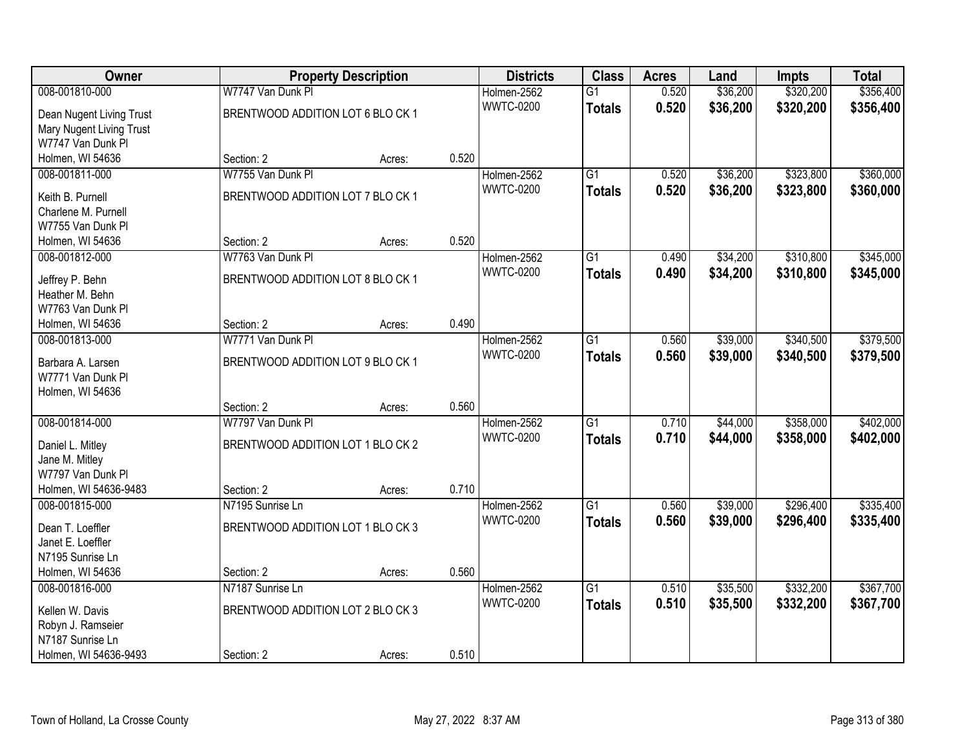| Owner                    |                                   | <b>Property Description</b> |       | <b>Districts</b> | <b>Class</b>    | <b>Acres</b> | Land     | <b>Impts</b> | <b>Total</b> |
|--------------------------|-----------------------------------|-----------------------------|-------|------------------|-----------------|--------------|----------|--------------|--------------|
| 008-001810-000           | W7747 Van Dunk Pl                 |                             |       | Holmen-2562      | $\overline{G1}$ | 0.520        | \$36,200 | \$320,200    | \$356,400    |
| Dean Nugent Living Trust | BRENTWOOD ADDITION LOT 6 BLO CK 1 |                             |       | <b>WWTC-0200</b> | <b>Totals</b>   | 0.520        | \$36,200 | \$320,200    | \$356,400    |
| Mary Nugent Living Trust |                                   |                             |       |                  |                 |              |          |              |              |
| W7747 Van Dunk Pl        |                                   |                             |       |                  |                 |              |          |              |              |
| Holmen, WI 54636         | Section: 2                        | Acres:                      | 0.520 |                  |                 |              |          |              |              |
| 008-001811-000           | W7755 Van Dunk Pl                 |                             |       | Holmen-2562      | $\overline{G1}$ | 0.520        | \$36,200 | \$323,800    | \$360,000    |
| Keith B. Purnell         | BRENTWOOD ADDITION LOT 7 BLO CK 1 |                             |       | <b>WWTC-0200</b> | <b>Totals</b>   | 0.520        | \$36,200 | \$323,800    | \$360,000    |
| Charlene M. Purnell      |                                   |                             |       |                  |                 |              |          |              |              |
| W7755 Van Dunk Pl        |                                   |                             |       |                  |                 |              |          |              |              |
| Holmen, WI 54636         | Section: 2                        | Acres:                      | 0.520 |                  |                 |              |          |              |              |
| 008-001812-000           | W7763 Van Dunk Pl                 |                             |       | Holmen-2562      | $\overline{G1}$ | 0.490        | \$34,200 | \$310,800    | \$345,000    |
| Jeffrey P. Behn          | BRENTWOOD ADDITION LOT 8 BLO CK 1 |                             |       | <b>WWTC-0200</b> | <b>Totals</b>   | 0.490        | \$34,200 | \$310,800    | \$345,000    |
| Heather M. Behn          |                                   |                             |       |                  |                 |              |          |              |              |
| W7763 Van Dunk Pl        |                                   |                             |       |                  |                 |              |          |              |              |
| Holmen, WI 54636         | Section: 2                        | Acres:                      | 0.490 |                  |                 |              |          |              |              |
| 008-001813-000           | W7771 Van Dunk PI                 |                             |       | Holmen-2562      | $\overline{G1}$ | 0.560        | \$39,000 | \$340,500    | \$379,500    |
| Barbara A. Larsen        | BRENTWOOD ADDITION LOT 9 BLO CK 1 |                             |       | <b>WWTC-0200</b> | <b>Totals</b>   | 0.560        | \$39,000 | \$340,500    | \$379,500    |
| W7771 Van Dunk Pl        |                                   |                             |       |                  |                 |              |          |              |              |
| Holmen, WI 54636         |                                   |                             |       |                  |                 |              |          |              |              |
|                          | Section: 2                        | Acres:                      | 0.560 |                  |                 |              |          |              |              |
| 008-001814-000           | W7797 Van Dunk Pl                 |                             |       | Holmen-2562      | $\overline{G1}$ | 0.710        | \$44,000 | \$358,000    | \$402,000    |
| Daniel L. Mitley         | BRENTWOOD ADDITION LOT 1 BLO CK 2 |                             |       | <b>WWTC-0200</b> | <b>Totals</b>   | 0.710        | \$44,000 | \$358,000    | \$402,000    |
| Jane M. Mitley           |                                   |                             |       |                  |                 |              |          |              |              |
| W7797 Van Dunk Pl        |                                   |                             |       |                  |                 |              |          |              |              |
| Holmen, WI 54636-9483    | Section: 2                        | Acres:                      | 0.710 |                  |                 |              |          |              |              |
| 008-001815-000           | N7195 Sunrise Ln                  |                             |       | Holmen-2562      | $\overline{G1}$ | 0.560        | \$39,000 | \$296,400    | \$335,400    |
| Dean T. Loeffler         | BRENTWOOD ADDITION LOT 1 BLO CK 3 |                             |       | <b>WWTC-0200</b> | <b>Totals</b>   | 0.560        | \$39,000 | \$296,400    | \$335,400    |
| Janet E. Loeffler        |                                   |                             |       |                  |                 |              |          |              |              |
| N7195 Sunrise Ln         |                                   |                             |       |                  |                 |              |          |              |              |
| Holmen, WI 54636         | Section: 2                        | Acres:                      | 0.560 |                  |                 |              |          |              |              |
| 008-001816-000           | N7187 Sunrise Ln                  |                             |       | Holmen-2562      | $\overline{G1}$ | 0.510        | \$35,500 | \$332,200    | \$367,700    |
| Kellen W. Davis          | BRENTWOOD ADDITION LOT 2 BLO CK 3 |                             |       | <b>WWTC-0200</b> | <b>Totals</b>   | 0.510        | \$35,500 | \$332,200    | \$367,700    |
| Robyn J. Ramseier        |                                   |                             |       |                  |                 |              |          |              |              |
| N7187 Sunrise Ln         |                                   |                             |       |                  |                 |              |          |              |              |
| Holmen, WI 54636-9493    | Section: 2                        | Acres:                      | 0.510 |                  |                 |              |          |              |              |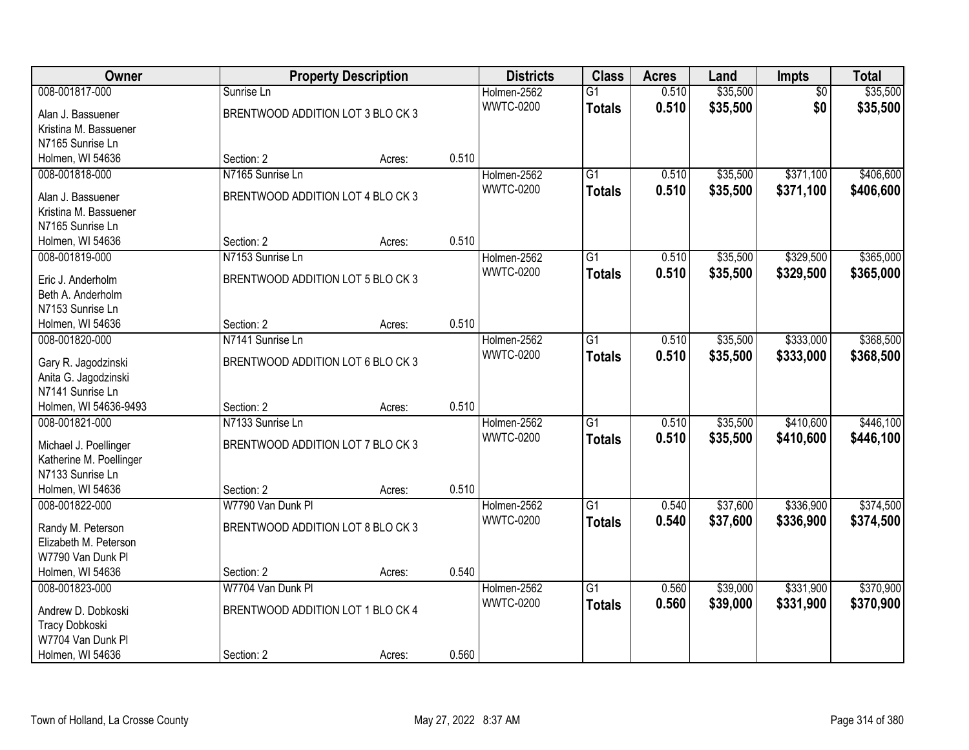| Owner                               |                                   | <b>Property Description</b> |       | <b>Districts</b> | <b>Class</b>    | <b>Acres</b> | Land     | Impts           | <b>Total</b> |
|-------------------------------------|-----------------------------------|-----------------------------|-------|------------------|-----------------|--------------|----------|-----------------|--------------|
| 008-001817-000                      | Sunrise Ln                        |                             |       | Holmen-2562      | $\overline{G1}$ | 0.510        | \$35,500 | $\overline{50}$ | \$35,500     |
| Alan J. Bassuener                   | BRENTWOOD ADDITION LOT 3 BLO CK 3 |                             |       | <b>WWTC-0200</b> | <b>Totals</b>   | 0.510        | \$35,500 | \$0             | \$35,500     |
| Kristina M. Bassuener               |                                   |                             |       |                  |                 |              |          |                 |              |
| N7165 Sunrise Ln                    |                                   |                             |       |                  |                 |              |          |                 |              |
| Holmen, WI 54636                    | Section: 2                        | Acres:                      | 0.510 |                  |                 |              |          |                 |              |
| 008-001818-000                      | N7165 Sunrise Ln                  |                             |       | Holmen-2562      | $\overline{G1}$ | 0.510        | \$35,500 | \$371,100       | \$406,600    |
| Alan J. Bassuener                   | BRENTWOOD ADDITION LOT 4 BLO CK 3 |                             |       | <b>WWTC-0200</b> | <b>Totals</b>   | 0.510        | \$35,500 | \$371,100       | \$406,600    |
| Kristina M. Bassuener               |                                   |                             |       |                  |                 |              |          |                 |              |
| N7165 Sunrise Ln                    |                                   |                             |       |                  |                 |              |          |                 |              |
| Holmen, WI 54636                    | Section: 2                        | Acres:                      | 0.510 |                  |                 |              |          |                 |              |
| 008-001819-000                      | N7153 Sunrise Ln                  |                             |       | Holmen-2562      | G1              | 0.510        | \$35,500 | \$329,500       | \$365,000    |
|                                     |                                   |                             |       | <b>WWTC-0200</b> | <b>Totals</b>   | 0.510        | \$35,500 | \$329,500       | \$365,000    |
| Eric J. Anderholm                   | BRENTWOOD ADDITION LOT 5 BLO CK 3 |                             |       |                  |                 |              |          |                 |              |
| Beth A. Anderholm                   |                                   |                             |       |                  |                 |              |          |                 |              |
| N7153 Sunrise Ln                    |                                   |                             |       |                  |                 |              |          |                 |              |
| Holmen, WI 54636                    | Section: 2                        | Acres:                      | 0.510 |                  |                 |              |          |                 |              |
| 008-001820-000                      | N7141 Sunrise Ln                  |                             |       | Holmen-2562      | G1              | 0.510        | \$35,500 | \$333,000       | \$368,500    |
| Gary R. Jagodzinski                 | BRENTWOOD ADDITION LOT 6 BLO CK 3 |                             |       | <b>WWTC-0200</b> | <b>Totals</b>   | 0.510        | \$35,500 | \$333,000       | \$368,500    |
| Anita G. Jagodzinski                |                                   |                             |       |                  |                 |              |          |                 |              |
| N7141 Sunrise Ln                    |                                   |                             |       |                  |                 |              |          |                 |              |
| Holmen, WI 54636-9493               | Section: 2                        | Acres:                      | 0.510 |                  |                 |              |          |                 |              |
| 008-001821-000                      | N7133 Sunrise Ln                  |                             |       | Holmen-2562      | $\overline{G1}$ | 0.510        | \$35,500 | \$410,600       | \$446,100    |
|                                     |                                   |                             |       | <b>WWTC-0200</b> | <b>Totals</b>   | 0.510        | \$35,500 | \$410,600       | \$446,100    |
| Michael J. Poellinger               | BRENTWOOD ADDITION LOT 7 BLO CK 3 |                             |       |                  |                 |              |          |                 |              |
| Katherine M. Poellinger             |                                   |                             |       |                  |                 |              |          |                 |              |
| N7133 Sunrise Ln                    |                                   |                             |       |                  |                 |              |          |                 |              |
| Holmen, WI 54636                    | Section: 2                        | Acres:                      | 0.510 |                  |                 |              |          |                 |              |
| 008-001822-000                      | W7790 Van Dunk Pl                 |                             |       | Holmen-2562      | $\overline{G1}$ | 0.540        | \$37,600 | \$336,900       | \$374,500    |
| Randy M. Peterson                   | BRENTWOOD ADDITION LOT 8 BLO CK 3 |                             |       | <b>WWTC-0200</b> | <b>Totals</b>   | 0.540        | \$37,600 | \$336,900       | \$374,500    |
| Elizabeth M. Peterson               |                                   |                             |       |                  |                 |              |          |                 |              |
| W7790 Van Dunk Pl                   |                                   |                             |       |                  |                 |              |          |                 |              |
| Holmen, WI 54636                    | Section: 2                        | Acres:                      | 0.540 |                  |                 |              |          |                 |              |
| 008-001823-000                      | W7704 Van Dunk PI                 |                             |       | Holmen-2562      | $\overline{G1}$ | 0.560        | \$39,000 | \$331,900       | \$370,900    |
|                                     | BRENTWOOD ADDITION LOT 1 BLO CK 4 |                             |       | <b>WWTC-0200</b> | <b>Totals</b>   | 0.560        | \$39,000 | \$331,900       | \$370,900    |
| Andrew D. Dobkoski                  |                                   |                             |       |                  |                 |              |          |                 |              |
| Tracy Dobkoski<br>W7704 Van Dunk Pl |                                   |                             |       |                  |                 |              |          |                 |              |
| Holmen, WI 54636                    | Section: 2                        | Acres:                      | 0.560 |                  |                 |              |          |                 |              |
|                                     |                                   |                             |       |                  |                 |              |          |                 |              |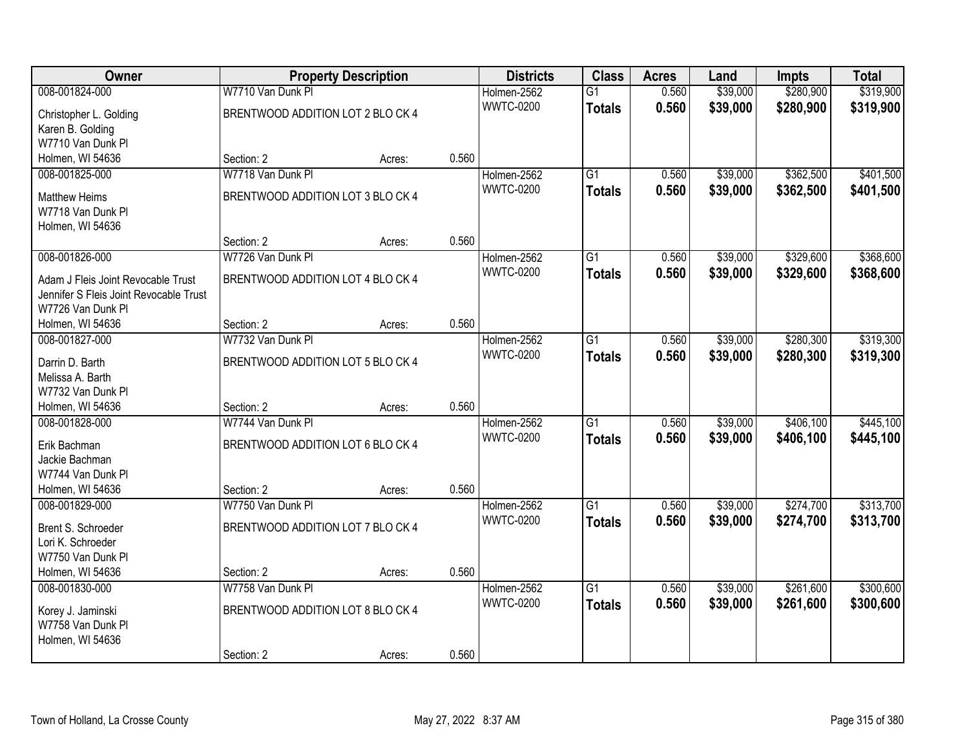| Owner                                  |                                   | <b>Property Description</b> |       | <b>Districts</b> | <b>Class</b>    | <b>Acres</b> | Land     | <b>Impts</b> | <b>Total</b> |
|----------------------------------------|-----------------------------------|-----------------------------|-------|------------------|-----------------|--------------|----------|--------------|--------------|
| 008-001824-000                         | W7710 Van Dunk Pl                 |                             |       | Holmen-2562      | $\overline{G1}$ | 0.560        | \$39,000 | \$280,900    | \$319,900    |
| Christopher L. Golding                 | BRENTWOOD ADDITION LOT 2 BLO CK 4 |                             |       | <b>WWTC-0200</b> | <b>Totals</b>   | 0.560        | \$39,000 | \$280,900    | \$319,900    |
| Karen B. Golding                       |                                   |                             |       |                  |                 |              |          |              |              |
| W7710 Van Dunk PI                      |                                   |                             |       |                  |                 |              |          |              |              |
| Holmen, WI 54636                       | Section: 2                        | Acres:                      | 0.560 |                  |                 |              |          |              |              |
| 008-001825-000                         | W7718 Van Dunk Pl                 |                             |       | Holmen-2562      | $\overline{G1}$ | 0.560        | \$39,000 | \$362,500    | \$401,500    |
| <b>Matthew Heims</b>                   | BRENTWOOD ADDITION LOT 3 BLO CK 4 |                             |       | <b>WWTC-0200</b> | <b>Totals</b>   | 0.560        | \$39,000 | \$362,500    | \$401,500    |
| W7718 Van Dunk Pl                      |                                   |                             |       |                  |                 |              |          |              |              |
| Holmen, WI 54636                       |                                   |                             |       |                  |                 |              |          |              |              |
|                                        | Section: 2                        | Acres:                      | 0.560 |                  |                 |              |          |              |              |
| 008-001826-000                         | W7726 Van Dunk Pl                 |                             |       | Holmen-2562      | $\overline{G1}$ | 0.560        | \$39,000 | \$329,600    | \$368,600    |
| Adam J Fleis Joint Revocable Trust     | BRENTWOOD ADDITION LOT 4 BLO CK 4 |                             |       | <b>WWTC-0200</b> | <b>Totals</b>   | 0.560        | \$39,000 | \$329,600    | \$368,600    |
| Jennifer S Fleis Joint Revocable Trust |                                   |                             |       |                  |                 |              |          |              |              |
| W7726 Van Dunk Pl                      |                                   |                             |       |                  |                 |              |          |              |              |
| Holmen, WI 54636                       | Section: 2                        | Acres:                      | 0.560 |                  |                 |              |          |              |              |
| 008-001827-000                         | W7732 Van Dunk Pl                 |                             |       | Holmen-2562      | $\overline{G1}$ | 0.560        | \$39,000 | \$280,300    | \$319,300    |
|                                        |                                   |                             |       | <b>WWTC-0200</b> | <b>Totals</b>   | 0.560        | \$39,000 | \$280,300    | \$319,300    |
| Darrin D. Barth<br>Melissa A. Barth    | BRENTWOOD ADDITION LOT 5 BLO CK 4 |                             |       |                  |                 |              |          |              |              |
| W7732 Van Dunk Pl                      |                                   |                             |       |                  |                 |              |          |              |              |
| Holmen, WI 54636                       | Section: 2                        | Acres:                      | 0.560 |                  |                 |              |          |              |              |
| 008-001828-000                         | W7744 Van Dunk Pl                 |                             |       | Holmen-2562      | $\overline{G1}$ | 0.560        | \$39,000 | \$406,100    | \$445,100    |
|                                        |                                   |                             |       | <b>WWTC-0200</b> | <b>Totals</b>   | 0.560        | \$39,000 | \$406,100    | \$445,100    |
| Erik Bachman                           | BRENTWOOD ADDITION LOT 6 BLO CK 4 |                             |       |                  |                 |              |          |              |              |
| Jackie Bachman                         |                                   |                             |       |                  |                 |              |          |              |              |
| W7744 Van Dunk PI<br>Holmen, WI 54636  | Section: 2                        |                             | 0.560 |                  |                 |              |          |              |              |
| 008-001829-000                         | W7750 Van Dunk PI                 | Acres:                      |       | Holmen-2562      | $\overline{G1}$ | 0.560        | \$39,000 | \$274,700    | \$313,700    |
|                                        |                                   |                             |       | <b>WWTC-0200</b> | <b>Totals</b>   | 0.560        | \$39,000 | \$274,700    | \$313,700    |
| Brent S. Schroeder                     | BRENTWOOD ADDITION LOT 7 BLO CK 4 |                             |       |                  |                 |              |          |              |              |
| Lori K. Schroeder                      |                                   |                             |       |                  |                 |              |          |              |              |
| W7750 Van Dunk Pl                      |                                   |                             |       |                  |                 |              |          |              |              |
| Holmen, WI 54636                       | Section: 2                        | Acres:                      | 0.560 |                  |                 |              |          |              |              |
| 008-001830-000                         | W7758 Van Dunk Pl                 |                             |       | Holmen-2562      | $\overline{G1}$ | 0.560        | \$39,000 | \$261,600    | \$300,600    |
| Korey J. Jaminski                      | BRENTWOOD ADDITION LOT 8 BLO CK 4 |                             |       | <b>WWTC-0200</b> | <b>Totals</b>   | 0.560        | \$39,000 | \$261,600    | \$300,600    |
| W7758 Van Dunk Pl                      |                                   |                             |       |                  |                 |              |          |              |              |
| Holmen, WI 54636                       |                                   |                             |       |                  |                 |              |          |              |              |
|                                        | Section: 2                        | Acres:                      | 0.560 |                  |                 |              |          |              |              |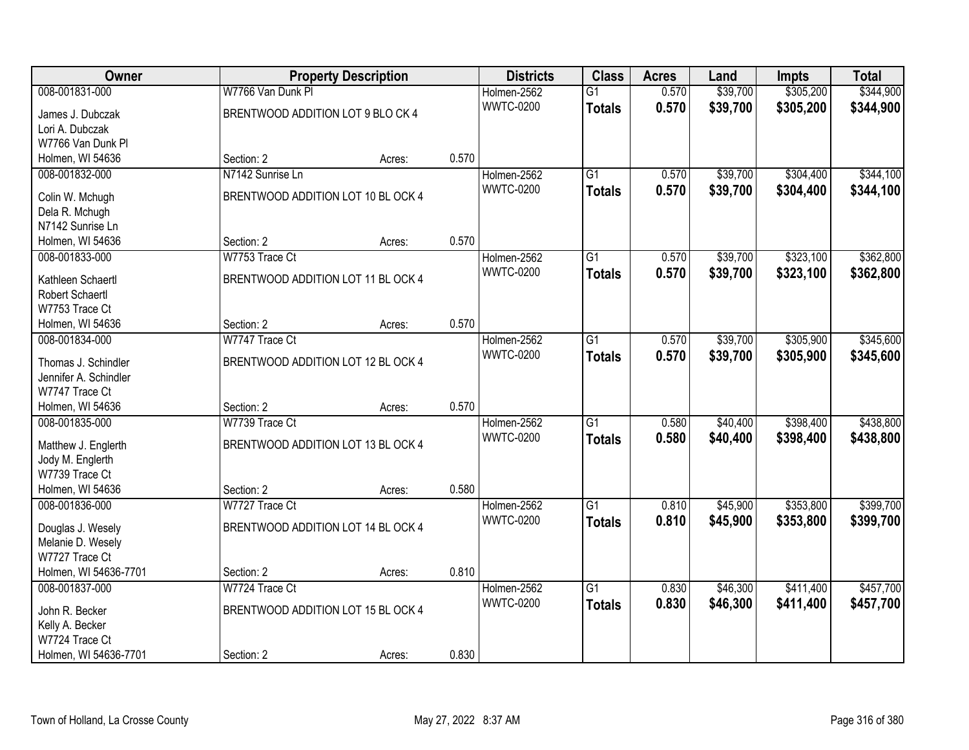| Owner                 |                                    | <b>Property Description</b> |       | <b>Districts</b> | <b>Class</b>    | <b>Acres</b> | Land     | <b>Impts</b> | <b>Total</b> |
|-----------------------|------------------------------------|-----------------------------|-------|------------------|-----------------|--------------|----------|--------------|--------------|
| 008-001831-000        | W7766 Van Dunk Pl                  |                             |       | Holmen-2562      | $\overline{G1}$ | 0.570        | \$39,700 | \$305,200    | \$344,900    |
| James J. Dubczak      | BRENTWOOD ADDITION LOT 9 BLO CK 4  |                             |       | <b>WWTC-0200</b> | <b>Totals</b>   | 0.570        | \$39,700 | \$305,200    | \$344,900    |
| Lori A. Dubczak       |                                    |                             |       |                  |                 |              |          |              |              |
| W7766 Van Dunk Pl     |                                    |                             |       |                  |                 |              |          |              |              |
| Holmen, WI 54636      | Section: 2                         | Acres:                      | 0.570 |                  |                 |              |          |              |              |
| 008-001832-000        | N7142 Sunrise Ln                   |                             |       | Holmen-2562      | $\overline{G1}$ | 0.570        | \$39,700 | \$304,400    | \$344,100    |
|                       |                                    |                             |       | <b>WWTC-0200</b> | <b>Totals</b>   | 0.570        | \$39,700 | \$304,400    | \$344,100    |
| Colin W. Mchugh       | BRENTWOOD ADDITION LOT 10 BL OCK 4 |                             |       |                  |                 |              |          |              |              |
| Dela R. Mchugh        |                                    |                             |       |                  |                 |              |          |              |              |
| N7142 Sunrise Ln      |                                    |                             |       |                  |                 |              |          |              |              |
| Holmen, WI 54636      | Section: 2                         | Acres:                      | 0.570 |                  |                 |              |          |              |              |
| 008-001833-000        | W7753 Trace Ct                     |                             |       | Holmen-2562      | $\overline{G1}$ | 0.570        | \$39,700 | \$323,100    | \$362,800    |
| Kathleen Schaertl     | BRENTWOOD ADDITION LOT 11 BL OCK 4 |                             |       | <b>WWTC-0200</b> | <b>Totals</b>   | 0.570        | \$39,700 | \$323,100    | \$362,800    |
| Robert Schaertl       |                                    |                             |       |                  |                 |              |          |              |              |
| W7753 Trace Ct        |                                    |                             |       |                  |                 |              |          |              |              |
| Holmen, WI 54636      | Section: 2                         | Acres:                      | 0.570 |                  |                 |              |          |              |              |
| 008-001834-000        | W7747 Trace Ct                     |                             |       | Holmen-2562      | $\overline{G1}$ | 0.570        | \$39,700 | \$305,900    | \$345,600    |
|                       |                                    |                             |       | <b>WWTC-0200</b> | <b>Totals</b>   | 0.570        | \$39,700 | \$305,900    | \$345,600    |
| Thomas J. Schindler   | BRENTWOOD ADDITION LOT 12 BL OCK 4 |                             |       |                  |                 |              |          |              |              |
| Jennifer A. Schindler |                                    |                             |       |                  |                 |              |          |              |              |
| W7747 Trace Ct        |                                    |                             |       |                  |                 |              |          |              |              |
| Holmen, WI 54636      | Section: 2                         | Acres:                      | 0.570 |                  |                 |              |          |              |              |
| 008-001835-000        | W7739 Trace Ct                     |                             |       | Holmen-2562      | $\overline{G1}$ | 0.580        | \$40,400 | \$398,400    | \$438,800    |
| Matthew J. Englerth   | BRENTWOOD ADDITION LOT 13 BL OCK 4 |                             |       | <b>WWTC-0200</b> | <b>Totals</b>   | 0.580        | \$40,400 | \$398,400    | \$438,800    |
| Jody M. Englerth      |                                    |                             |       |                  |                 |              |          |              |              |
| W7739 Trace Ct        |                                    |                             |       |                  |                 |              |          |              |              |
| Holmen, WI 54636      | Section: 2                         | Acres:                      | 0.580 |                  |                 |              |          |              |              |
| 008-001836-000        | W7727 Trace Ct                     |                             |       | Holmen-2562      | $\overline{G1}$ | 0.810        | \$45,900 | \$353,800    | \$399,700    |
|                       |                                    |                             |       | <b>WWTC-0200</b> | <b>Totals</b>   | 0.810        | \$45,900 | \$353,800    | \$399,700    |
| Douglas J. Wesely     | BRENTWOOD ADDITION LOT 14 BL OCK 4 |                             |       |                  |                 |              |          |              |              |
| Melanie D. Wesely     |                                    |                             |       |                  |                 |              |          |              |              |
| W7727 Trace Ct        |                                    |                             |       |                  |                 |              |          |              |              |
| Holmen, WI 54636-7701 | Section: 2                         | Acres:                      | 0.810 |                  |                 |              |          |              |              |
| 008-001837-000        | W7724 Trace Ct                     |                             |       | Holmen-2562      | $\overline{G1}$ | 0.830        | \$46,300 | \$411,400    | \$457,700    |
| John R. Becker        | BRENTWOOD ADDITION LOT 15 BL OCK 4 |                             |       | <b>WWTC-0200</b> | <b>Totals</b>   | 0.830        | \$46,300 | \$411,400    | \$457,700    |
| Kelly A. Becker       |                                    |                             |       |                  |                 |              |          |              |              |
| W7724 Trace Ct        |                                    |                             |       |                  |                 |              |          |              |              |
| Holmen, WI 54636-7701 | Section: 2                         | Acres:                      | 0.830 |                  |                 |              |          |              |              |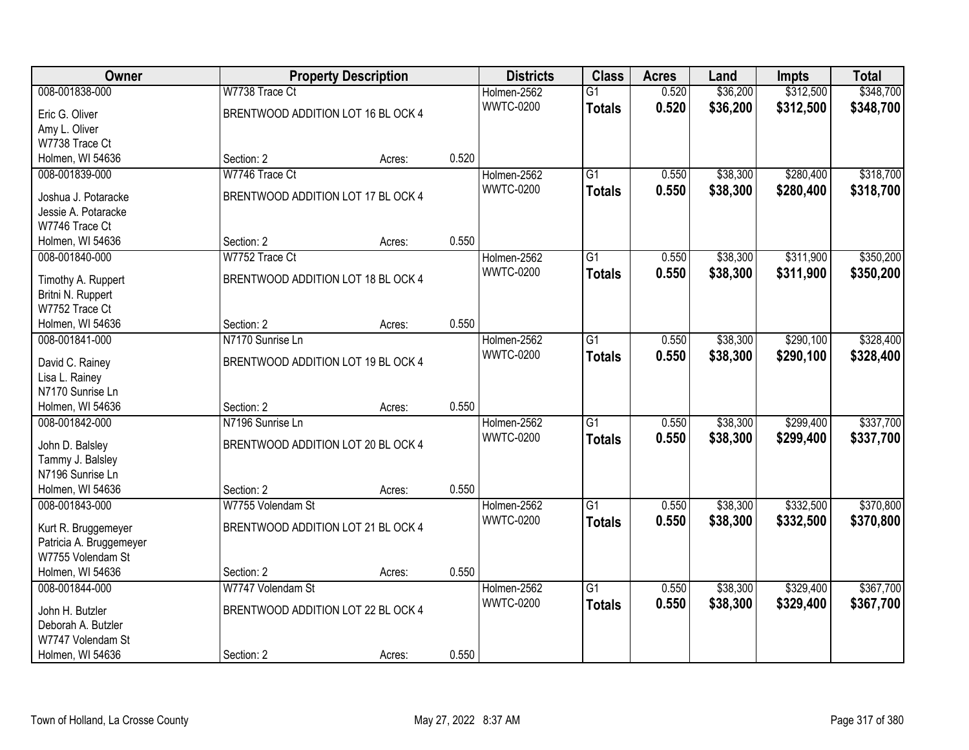| <b>Owner</b>            |                                    | <b>Property Description</b> |       | <b>Districts</b> | <b>Class</b>    | <b>Acres</b> | Land     | <b>Impts</b> | <b>Total</b> |
|-------------------------|------------------------------------|-----------------------------|-------|------------------|-----------------|--------------|----------|--------------|--------------|
| 008-001838-000          | W7738 Trace Ct                     |                             |       | Holmen-2562      | $\overline{G1}$ | 0.520        | \$36,200 | \$312,500    | \$348,700    |
| Eric G. Oliver          | BRENTWOOD ADDITION LOT 16 BL OCK 4 |                             |       | <b>WWTC-0200</b> | <b>Totals</b>   | 0.520        | \$36,200 | \$312,500    | \$348,700    |
| Amy L. Oliver           |                                    |                             |       |                  |                 |              |          |              |              |
| W7738 Trace Ct          |                                    |                             |       |                  |                 |              |          |              |              |
| Holmen, WI 54636        | Section: 2                         | Acres:                      | 0.520 |                  |                 |              |          |              |              |
| 008-001839-000          | W7746 Trace Ct                     |                             |       | Holmen-2562      | $\overline{G1}$ | 0.550        | \$38,300 | \$280,400    | \$318,700    |
|                         |                                    |                             |       | <b>WWTC-0200</b> | <b>Totals</b>   | 0.550        | \$38,300 | \$280,400    | \$318,700    |
| Joshua J. Potaracke     | BRENTWOOD ADDITION LOT 17 BL OCK 4 |                             |       |                  |                 |              |          |              |              |
| Jessie A. Potaracke     |                                    |                             |       |                  |                 |              |          |              |              |
| W7746 Trace Ct          |                                    |                             |       |                  |                 |              |          |              |              |
| Holmen, WI 54636        | Section: 2                         | Acres:                      | 0.550 |                  |                 |              |          |              |              |
| 008-001840-000          | W7752 Trace Ct                     |                             |       | Holmen-2562      | $\overline{G1}$ | 0.550        | \$38,300 | \$311,900    | \$350,200    |
| Timothy A. Ruppert      | BRENTWOOD ADDITION LOT 18 BL OCK 4 |                             |       | <b>WWTC-0200</b> | <b>Totals</b>   | 0.550        | \$38,300 | \$311,900    | \$350,200    |
| Britni N. Ruppert       |                                    |                             |       |                  |                 |              |          |              |              |
| W7752 Trace Ct          |                                    |                             |       |                  |                 |              |          |              |              |
| Holmen, WI 54636        | Section: 2                         | Acres:                      | 0.550 |                  |                 |              |          |              |              |
| 008-001841-000          | N7170 Sunrise Ln                   |                             |       | Holmen-2562      | $\overline{G1}$ | 0.550        | \$38,300 | \$290,100    | \$328,400    |
|                         |                                    |                             |       | <b>WWTC-0200</b> | <b>Totals</b>   | 0.550        | \$38,300 | \$290,100    | \$328,400    |
| David C. Rainey         | BRENTWOOD ADDITION LOT 19 BL OCK 4 |                             |       |                  |                 |              |          |              |              |
| Lisa L. Rainey          |                                    |                             |       |                  |                 |              |          |              |              |
| N7170 Sunrise Ln        |                                    |                             |       |                  |                 |              |          |              |              |
| Holmen, WI 54636        | Section: 2                         | Acres:                      | 0.550 |                  |                 |              |          |              |              |
| 008-001842-000          | N7196 Sunrise Ln                   |                             |       | Holmen-2562      | $\overline{G1}$ | 0.550        | \$38,300 | \$299,400    | \$337,700    |
| John D. Balsley         | BRENTWOOD ADDITION LOT 20 BL OCK 4 |                             |       | <b>WWTC-0200</b> | <b>Totals</b>   | 0.550        | \$38,300 | \$299,400    | \$337,700    |
| Tammy J. Balsley        |                                    |                             |       |                  |                 |              |          |              |              |
| N7196 Sunrise Ln        |                                    |                             |       |                  |                 |              |          |              |              |
| Holmen, WI 54636        | Section: 2                         | Acres:                      | 0.550 |                  |                 |              |          |              |              |
| 008-001843-000          | W7755 Volendam St                  |                             |       | Holmen-2562      | $\overline{G1}$ | 0.550        | \$38,300 | \$332,500    | \$370,800    |
|                         |                                    |                             |       | <b>WWTC-0200</b> | <b>Totals</b>   | 0.550        | \$38,300 | \$332,500    | \$370,800    |
| Kurt R. Bruggemeyer     | BRENTWOOD ADDITION LOT 21 BL OCK 4 |                             |       |                  |                 |              |          |              |              |
| Patricia A. Bruggemeyer |                                    |                             |       |                  |                 |              |          |              |              |
| W7755 Volendam St       |                                    |                             |       |                  |                 |              |          |              |              |
| Holmen, WI 54636        | Section: 2                         | Acres:                      | 0.550 |                  |                 |              |          |              |              |
| 008-001844-000          | W7747 Volendam St                  |                             |       | Holmen-2562      | $\overline{G1}$ | 0.550        | \$38,300 | \$329,400    | \$367,700    |
| John H. Butzler         | BRENTWOOD ADDITION LOT 22 BL OCK 4 |                             |       | <b>WWTC-0200</b> | <b>Totals</b>   | 0.550        | \$38,300 | \$329,400    | \$367,700    |
| Deborah A. Butzler      |                                    |                             |       |                  |                 |              |          |              |              |
| W7747 Volendam St       |                                    |                             |       |                  |                 |              |          |              |              |
| Holmen, WI 54636        | Section: 2                         | Acres:                      | 0.550 |                  |                 |              |          |              |              |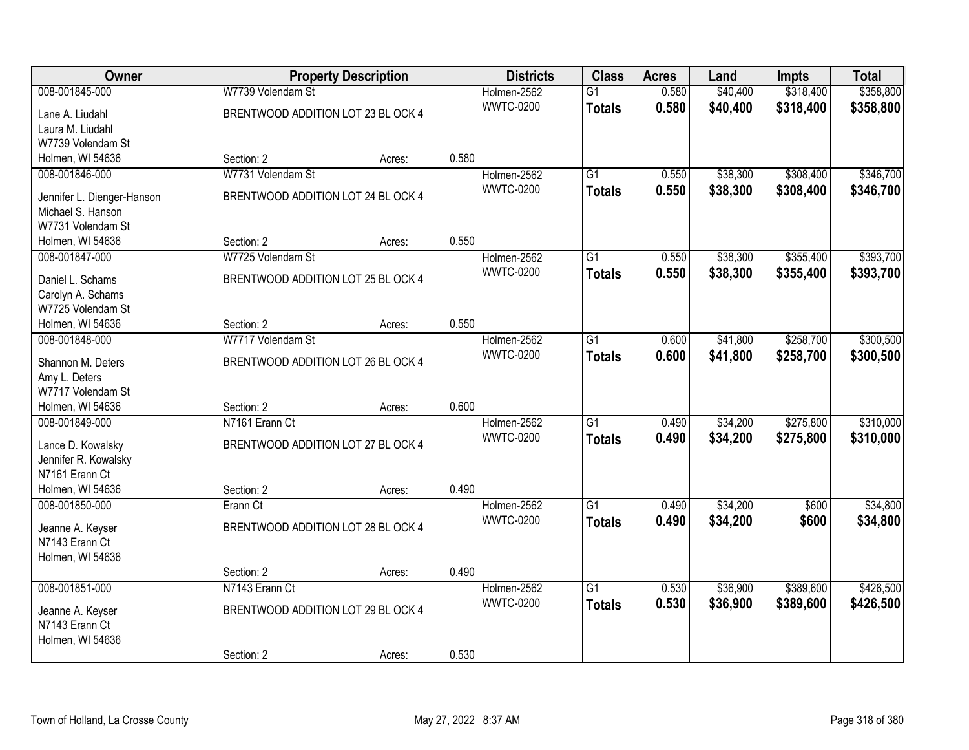| Owner                                  |                                    | <b>Property Description</b> |       | <b>Districts</b> | <b>Class</b>    | <b>Acres</b> | Land     | <b>Impts</b> | <b>Total</b> |
|----------------------------------------|------------------------------------|-----------------------------|-------|------------------|-----------------|--------------|----------|--------------|--------------|
| 008-001845-000                         | W7739 Volendam St                  |                             |       | Holmen-2562      | $\overline{G1}$ | 0.580        | \$40,400 | \$318,400    | \$358,800    |
| Lane A. Liudahl                        | BRENTWOOD ADDITION LOT 23 BL OCK 4 |                             |       | <b>WWTC-0200</b> | <b>Totals</b>   | 0.580        | \$40,400 | \$318,400    | \$358,800    |
| Laura M. Liudahl                       |                                    |                             |       |                  |                 |              |          |              |              |
| W7739 Volendam St                      |                                    |                             |       |                  |                 |              |          |              |              |
| Holmen, WI 54636                       | Section: 2                         | Acres:                      | 0.580 |                  |                 |              |          |              |              |
| 008-001846-000                         | W7731 Volendam St                  |                             |       | Holmen-2562      | $\overline{G1}$ | 0.550        | \$38,300 | \$308,400    | \$346,700    |
|                                        |                                    |                             |       | <b>WWTC-0200</b> | <b>Totals</b>   | 0.550        | \$38,300 | \$308,400    | \$346,700    |
| Jennifer L. Dienger-Hanson             | BRENTWOOD ADDITION LOT 24 BL OCK 4 |                             |       |                  |                 |              |          |              |              |
| Michael S. Hanson<br>W7731 Volendam St |                                    |                             |       |                  |                 |              |          |              |              |
| Holmen, WI 54636                       | Section: 2                         | Acres:                      | 0.550 |                  |                 |              |          |              |              |
| 008-001847-000                         | W7725 Volendam St                  |                             |       | Holmen-2562      | $\overline{G1}$ | 0.550        | \$38,300 | \$355,400    | \$393,700    |
|                                        |                                    |                             |       | <b>WWTC-0200</b> |                 |              |          |              |              |
| Daniel L. Schams                       | BRENTWOOD ADDITION LOT 25 BL OCK 4 |                             |       |                  | <b>Totals</b>   | 0.550        | \$38,300 | \$355,400    | \$393,700    |
| Carolyn A. Schams                      |                                    |                             |       |                  |                 |              |          |              |              |
| W7725 Volendam St                      |                                    |                             |       |                  |                 |              |          |              |              |
| Holmen, WI 54636                       | Section: 2                         | Acres:                      | 0.550 |                  |                 |              |          |              |              |
| 008-001848-000                         | W7717 Volendam St                  |                             |       | Holmen-2562      | $\overline{G1}$ | 0.600        | \$41,800 | \$258,700    | \$300,500    |
| Shannon M. Deters                      | BRENTWOOD ADDITION LOT 26 BL OCK 4 |                             |       | <b>WWTC-0200</b> | <b>Totals</b>   | 0.600        | \$41,800 | \$258,700    | \$300,500    |
| Amy L. Deters                          |                                    |                             |       |                  |                 |              |          |              |              |
| W7717 Volendam St                      |                                    |                             |       |                  |                 |              |          |              |              |
| Holmen, WI 54636                       | Section: 2                         | Acres:                      | 0.600 |                  |                 |              |          |              |              |
| 008-001849-000                         | N7161 Erann Ct                     |                             |       | Holmen-2562      | $\overline{G1}$ | 0.490        | \$34,200 | \$275,800    | \$310,000    |
|                                        |                                    |                             |       | <b>WWTC-0200</b> | <b>Totals</b>   | 0.490        | \$34,200 | \$275,800    | \$310,000    |
| Lance D. Kowalsky                      | BRENTWOOD ADDITION LOT 27 BL OCK 4 |                             |       |                  |                 |              |          |              |              |
| Jennifer R. Kowalsky                   |                                    |                             |       |                  |                 |              |          |              |              |
| N7161 Erann Ct                         |                                    |                             |       |                  |                 |              |          |              |              |
| Holmen, WI 54636                       | Section: 2                         | Acres:                      | 0.490 |                  |                 |              |          |              |              |
| 008-001850-000                         | Erann Ct                           |                             |       | Holmen-2562      | $\overline{G1}$ | 0.490        | \$34,200 | \$600        | \$34,800     |
| Jeanne A. Keyser                       | BRENTWOOD ADDITION LOT 28 BL OCK 4 |                             |       | <b>WWTC-0200</b> | <b>Totals</b>   | 0.490        | \$34,200 | \$600        | \$34,800     |
| N7143 Erann Ct                         |                                    |                             |       |                  |                 |              |          |              |              |
| Holmen, WI 54636                       |                                    |                             |       |                  |                 |              |          |              |              |
|                                        | Section: 2                         | Acres:                      | 0.490 |                  |                 |              |          |              |              |
| 008-001851-000                         | N7143 Erann Ct                     |                             |       | Holmen-2562      | $\overline{G1}$ | 0.530        | \$36,900 | \$389,600    | \$426,500    |
|                                        |                                    |                             |       | <b>WWTC-0200</b> | <b>Totals</b>   | 0.530        | \$36,900 | \$389,600    | \$426,500    |
| Jeanne A. Keyser<br>N7143 Erann Ct     | BRENTWOOD ADDITION LOT 29 BL OCK 4 |                             |       |                  |                 |              |          |              |              |
|                                        |                                    |                             |       |                  |                 |              |          |              |              |
| Holmen, WI 54636                       | Section: 2                         |                             | 0.530 |                  |                 |              |          |              |              |
|                                        |                                    | Acres:                      |       |                  |                 |              |          |              |              |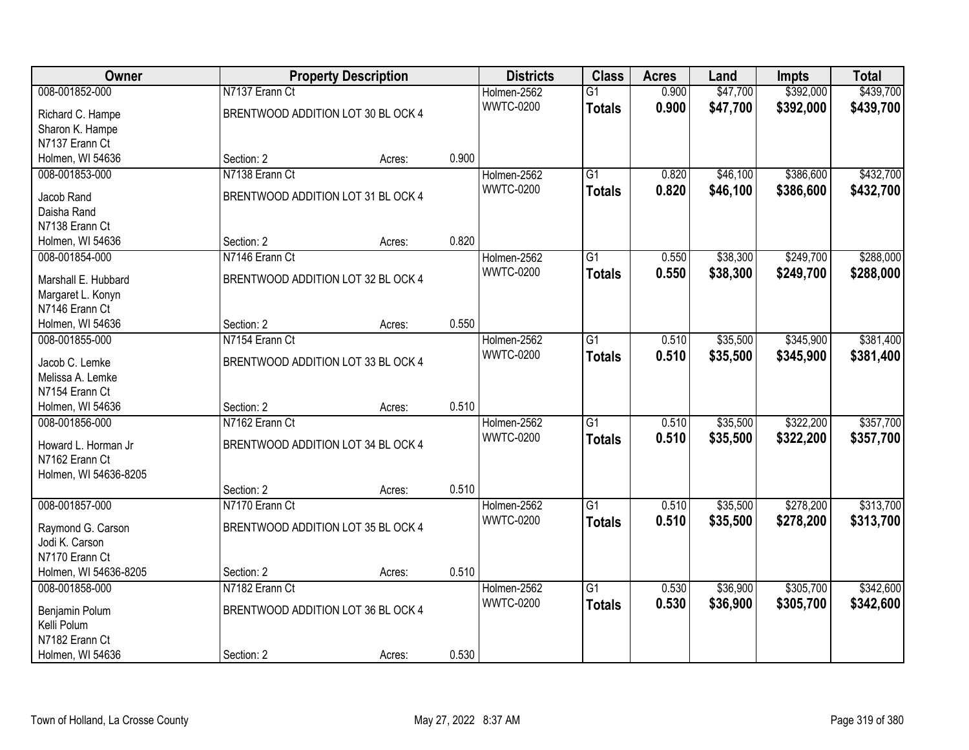| Owner                                 |                                    | <b>Property Description</b> |       | <b>Districts</b> | <b>Class</b>    | <b>Acres</b> | Land     | <b>Impts</b> | <b>Total</b> |
|---------------------------------------|------------------------------------|-----------------------------|-------|------------------|-----------------|--------------|----------|--------------|--------------|
| 008-001852-000                        | N7137 Erann Ct                     |                             |       | Holmen-2562      | $\overline{G1}$ | 0.900        | \$47,700 | \$392,000    | \$439,700    |
| Richard C. Hampe                      | BRENTWOOD ADDITION LOT 30 BL OCK 4 |                             |       | <b>WWTC-0200</b> | <b>Totals</b>   | 0.900        | \$47,700 | \$392,000    | \$439,700    |
| Sharon K. Hampe                       |                                    |                             |       |                  |                 |              |          |              |              |
| N7137 Erann Ct                        |                                    |                             |       |                  |                 |              |          |              |              |
| Holmen, WI 54636                      | Section: 2                         | Acres:                      | 0.900 |                  |                 |              |          |              |              |
| 008-001853-000                        | N7138 Erann Ct                     |                             |       | Holmen-2562      | $\overline{G1}$ | 0.820        | \$46,100 | \$386,600    | \$432,700    |
|                                       | BRENTWOOD ADDITION LOT 31 BL OCK 4 |                             |       | <b>WWTC-0200</b> | <b>Totals</b>   | 0.820        | \$46,100 | \$386,600    | \$432,700    |
| Jacob Rand<br>Daisha Rand             |                                    |                             |       |                  |                 |              |          |              |              |
| N7138 Erann Ct                        |                                    |                             |       |                  |                 |              |          |              |              |
| Holmen, WI 54636                      | Section: 2                         | Acres:                      | 0.820 |                  |                 |              |          |              |              |
| 008-001854-000                        | N7146 Erann Ct                     |                             |       | Holmen-2562      | $\overline{G1}$ | 0.550        | \$38,300 | \$249,700    | \$288,000    |
|                                       |                                    |                             |       | <b>WWTC-0200</b> |                 | 0.550        | \$38,300 | \$249,700    | \$288,000    |
| Marshall E. Hubbard                   | BRENTWOOD ADDITION LOT 32 BL OCK 4 |                             |       |                  | <b>Totals</b>   |              |          |              |              |
| Margaret L. Konyn                     |                                    |                             |       |                  |                 |              |          |              |              |
| N7146 Erann Ct                        |                                    |                             |       |                  |                 |              |          |              |              |
| Holmen, WI 54636                      | Section: 2                         | Acres:                      | 0.550 |                  |                 |              |          |              |              |
| 008-001855-000                        | N7154 Erann Ct                     |                             |       | Holmen-2562      | $\overline{G1}$ | 0.510        | \$35,500 | \$345,900    | \$381,400    |
| Jacob C. Lemke                        | BRENTWOOD ADDITION LOT 33 BL OCK 4 |                             |       | <b>WWTC-0200</b> | <b>Totals</b>   | 0.510        | \$35,500 | \$345,900    | \$381,400    |
| Melissa A. Lemke                      |                                    |                             |       |                  |                 |              |          |              |              |
| N7154 Erann Ct                        |                                    |                             |       |                  |                 |              |          |              |              |
| Holmen, WI 54636                      | Section: 2                         | Acres:                      | 0.510 |                  |                 |              |          |              |              |
| 008-001856-000                        | N7162 Erann Ct                     |                             |       | Holmen-2562      | $\overline{G1}$ | 0.510        | \$35,500 | \$322,200    | \$357,700    |
|                                       |                                    |                             |       | <b>WWTC-0200</b> | <b>Totals</b>   | 0.510        | \$35,500 | \$322,200    | \$357,700    |
| Howard L. Horman Jr<br>N7162 Erann Ct | BRENTWOOD ADDITION LOT 34 BL OCK 4 |                             |       |                  |                 |              |          |              |              |
| Holmen, WI 54636-8205                 |                                    |                             |       |                  |                 |              |          |              |              |
|                                       | Section: 2                         | Acres:                      | 0.510 |                  |                 |              |          |              |              |
| 008-001857-000                        | N7170 Erann Ct                     |                             |       | Holmen-2562      | $\overline{G1}$ | 0.510        | \$35,500 | \$278,200    | \$313,700    |
|                                       |                                    |                             |       | <b>WWTC-0200</b> |                 | 0.510        | \$35,500 | \$278,200    | \$313,700    |
| Raymond G. Carson                     | BRENTWOOD ADDITION LOT 35 BL OCK 4 |                             |       |                  | <b>Totals</b>   |              |          |              |              |
| Jodi K. Carson                        |                                    |                             |       |                  |                 |              |          |              |              |
| N7170 Erann Ct                        |                                    |                             |       |                  |                 |              |          |              |              |
| Holmen, WI 54636-8205                 | Section: 2                         | Acres:                      | 0.510 |                  |                 |              |          |              |              |
| 008-001858-000                        | N7182 Erann Ct                     |                             |       | Holmen-2562      | $\overline{G1}$ | 0.530        | \$36,900 | \$305,700    | \$342,600    |
| Benjamin Polum                        | BRENTWOOD ADDITION LOT 36 BL OCK 4 |                             |       | <b>WWTC-0200</b> | <b>Totals</b>   | 0.530        | \$36,900 | \$305,700    | \$342,600    |
| Kelli Polum                           |                                    |                             |       |                  |                 |              |          |              |              |
| N7182 Erann Ct                        |                                    |                             |       |                  |                 |              |          |              |              |
| Holmen, WI 54636                      | Section: 2                         | Acres:                      | 0.530 |                  |                 |              |          |              |              |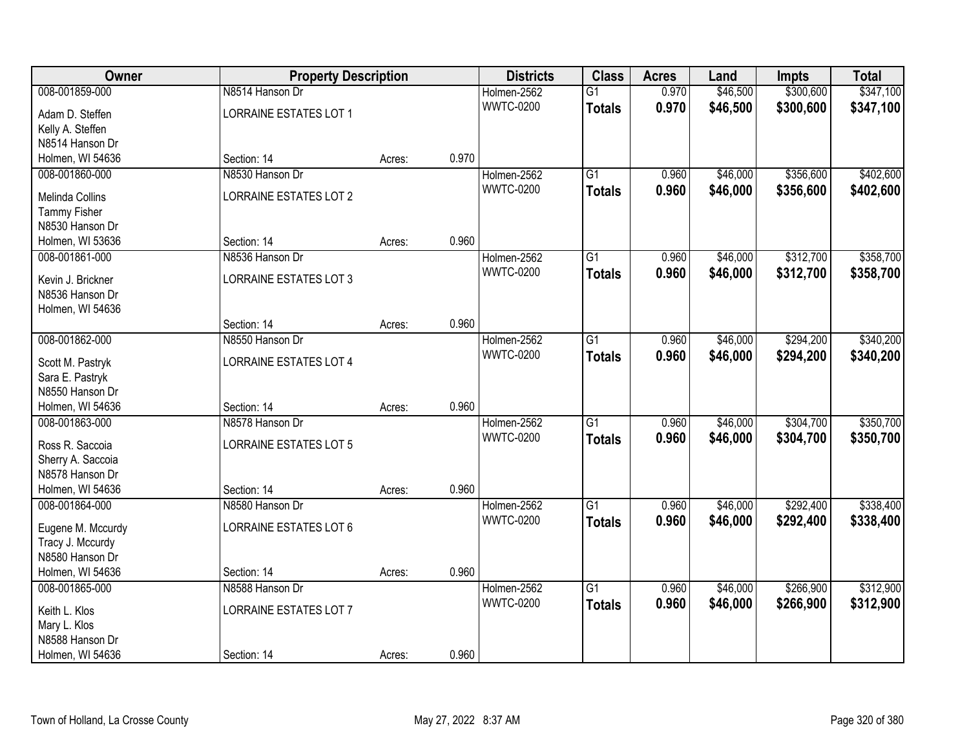| <b>Owner</b>                         | <b>Property Description</b>   |        |       | <b>Districts</b> | <b>Class</b>    | <b>Acres</b> | Land     | <b>Impts</b> | <b>Total</b> |
|--------------------------------------|-------------------------------|--------|-------|------------------|-----------------|--------------|----------|--------------|--------------|
| 008-001859-000                       | N8514 Hanson Dr               |        |       | Holmen-2562      | $\overline{G1}$ | 0.970        | \$46,500 | \$300,600    | \$347,100    |
| Adam D. Steffen                      | LORRAINE ESTATES LOT 1        |        |       | <b>WWTC-0200</b> | <b>Totals</b>   | 0.970        | \$46,500 | \$300,600    | \$347,100    |
| Kelly A. Steffen                     |                               |        |       |                  |                 |              |          |              |              |
| N8514 Hanson Dr                      |                               |        |       |                  |                 |              |          |              |              |
| Holmen, WI 54636                     | Section: 14                   | Acres: | 0.970 |                  |                 |              |          |              |              |
| 008-001860-000                       | N8530 Hanson Dr               |        |       | Holmen-2562      | $\overline{G1}$ | 0.960        | \$46,000 | \$356,600    | \$402,600    |
| <b>Melinda Collins</b>               | LORRAINE ESTATES LOT 2        |        |       | <b>WWTC-0200</b> | <b>Totals</b>   | 0.960        | \$46,000 | \$356,600    | \$402,600    |
| <b>Tammy Fisher</b>                  |                               |        |       |                  |                 |              |          |              |              |
| N8530 Hanson Dr                      |                               |        |       |                  |                 |              |          |              |              |
| Holmen, WI 53636                     | Section: 14                   | Acres: | 0.960 |                  |                 |              |          |              |              |
| 008-001861-000                       | N8536 Hanson Dr               |        |       | Holmen-2562      | $\overline{G1}$ | 0.960        | \$46,000 | \$312,700    | \$358,700    |
|                                      |                               |        |       | <b>WWTC-0200</b> | <b>Totals</b>   | 0.960        | \$46,000 | \$312,700    | \$358,700    |
| Kevin J. Brickner<br>N8536 Hanson Dr | LORRAINE ESTATES LOT 3        |        |       |                  |                 |              |          |              |              |
| Holmen, WI 54636                     |                               |        |       |                  |                 |              |          |              |              |
|                                      | Section: 14                   | Acres: | 0.960 |                  |                 |              |          |              |              |
| 008-001862-000                       | N8550 Hanson Dr               |        |       | Holmen-2562      | $\overline{G1}$ | 0.960        | \$46,000 | \$294,200    | \$340,200    |
|                                      |                               |        |       | <b>WWTC-0200</b> | <b>Totals</b>   | 0.960        | \$46,000 | \$294,200    | \$340,200    |
| Scott M. Pastryk                     | <b>LORRAINE ESTATES LOT 4</b> |        |       |                  |                 |              |          |              |              |
| Sara E. Pastryk<br>N8550 Hanson Dr   |                               |        |       |                  |                 |              |          |              |              |
| Holmen, WI 54636                     | Section: 14                   | Acres: | 0.960 |                  |                 |              |          |              |              |
| 008-001863-000                       | N8578 Hanson Dr               |        |       | Holmen-2562      | $\overline{G1}$ | 0.960        | \$46,000 | \$304,700    | \$350,700    |
|                                      |                               |        |       | <b>WWTC-0200</b> | <b>Totals</b>   | 0.960        | \$46,000 | \$304,700    | \$350,700    |
| Ross R. Saccoia                      | <b>LORRAINE ESTATES LOT 5</b> |        |       |                  |                 |              |          |              |              |
| Sherry A. Saccoia                    |                               |        |       |                  |                 |              |          |              |              |
| N8578 Hanson Dr                      |                               |        |       |                  |                 |              |          |              |              |
| Holmen, WI 54636                     | Section: 14                   | Acres: | 0.960 |                  |                 |              |          |              |              |
| 008-001864-000                       | N8580 Hanson Dr               |        |       | Holmen-2562      | $\overline{G1}$ | 0.960        | \$46,000 | \$292,400    | \$338,400    |
| Eugene M. Mccurdy                    | LORRAINE ESTATES LOT 6        |        |       | <b>WWTC-0200</b> | <b>Totals</b>   | 0.960        | \$46,000 | \$292,400    | \$338,400    |
| Tracy J. Mccurdy                     |                               |        |       |                  |                 |              |          |              |              |
| N8580 Hanson Dr                      |                               |        |       |                  |                 |              |          |              |              |
| Holmen, WI 54636                     | Section: 14                   | Acres: | 0.960 |                  |                 |              |          |              |              |
| 008-001865-000                       | N8588 Hanson Dr               |        |       | Holmen-2562      | $\overline{G1}$ | 0.960        | \$46,000 | \$266,900    | \$312,900    |
| Keith L. Klos                        | LORRAINE ESTATES LOT 7        |        |       | <b>WWTC-0200</b> | <b>Totals</b>   | 0.960        | \$46,000 | \$266,900    | \$312,900    |
| Mary L. Klos                         |                               |        |       |                  |                 |              |          |              |              |
| N8588 Hanson Dr                      |                               |        |       |                  |                 |              |          |              |              |
| Holmen, WI 54636                     | Section: 14                   | Acres: | 0.960 |                  |                 |              |          |              |              |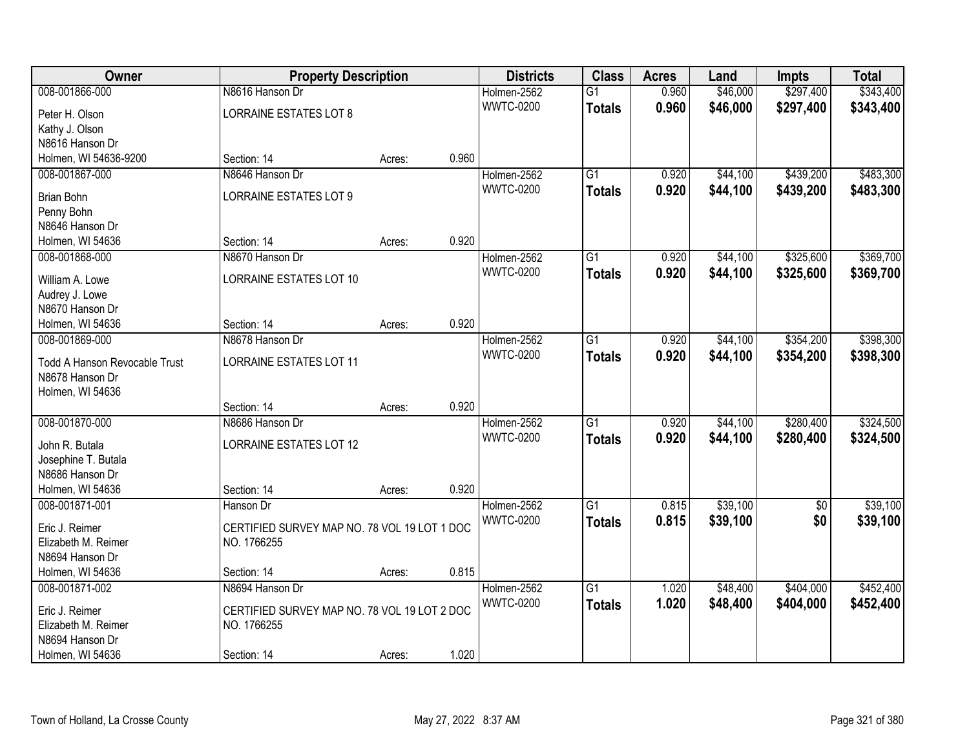| Owner                                  | <b>Property Description</b>                  |        |       | <b>Districts</b> | <b>Class</b>    | <b>Acres</b> | Land     | <b>Impts</b>    | <b>Total</b> |
|----------------------------------------|----------------------------------------------|--------|-------|------------------|-----------------|--------------|----------|-----------------|--------------|
| 008-001866-000                         | N8616 Hanson Dr                              |        |       | Holmen-2562      | $\overline{G1}$ | 0.960        | \$46,000 | \$297,400       | \$343,400    |
| Peter H. Olson                         | <b>LORRAINE ESTATES LOT 8</b>                |        |       | <b>WWTC-0200</b> | <b>Totals</b>   | 0.960        | \$46,000 | \$297,400       | \$343,400    |
| Kathy J. Olson                         |                                              |        |       |                  |                 |              |          |                 |              |
| N8616 Hanson Dr                        |                                              |        |       |                  |                 |              |          |                 |              |
| Holmen, WI 54636-9200                  | Section: 14                                  | Acres: | 0.960 |                  |                 |              |          |                 |              |
| 008-001867-000                         | N8646 Hanson Dr                              |        |       | Holmen-2562      | $\overline{G1}$ | 0.920        | \$44,100 | \$439,200       | \$483,300    |
| <b>Brian Bohn</b>                      | <b>LORRAINE ESTATES LOT 9</b>                |        |       | <b>WWTC-0200</b> | <b>Totals</b>   | 0.920        | \$44,100 | \$439,200       | \$483,300    |
|                                        |                                              |        |       |                  |                 |              |          |                 |              |
| Penny Bohn<br>N8646 Hanson Dr          |                                              |        |       |                  |                 |              |          |                 |              |
| Holmen, WI 54636                       | Section: 14                                  | Acres: | 0.920 |                  |                 |              |          |                 |              |
| 008-001868-000                         | N8670 Hanson Dr                              |        |       | Holmen-2562      | G1              | 0.920        | \$44,100 | \$325,600       | \$369,700    |
|                                        |                                              |        |       | <b>WWTC-0200</b> |                 | 0.920        | \$44,100 |                 |              |
| William A. Lowe                        | <b>LORRAINE ESTATES LOT 10</b>               |        |       |                  | <b>Totals</b>   |              |          | \$325,600       | \$369,700    |
| Audrey J. Lowe                         |                                              |        |       |                  |                 |              |          |                 |              |
| N8670 Hanson Dr                        |                                              |        |       |                  |                 |              |          |                 |              |
| Holmen, WI 54636                       | Section: 14                                  | Acres: | 0.920 |                  |                 |              |          |                 |              |
| 008-001869-000                         | N8678 Hanson Dr                              |        |       | Holmen-2562      | G1              | 0.920        | \$44,100 | \$354,200       | \$398,300    |
| <b>Todd A Hanson Revocable Trust</b>   | <b>LORRAINE ESTATES LOT 11</b>               |        |       | <b>WWTC-0200</b> | <b>Totals</b>   | 0.920        | \$44,100 | \$354,200       | \$398,300    |
| N8678 Hanson Dr                        |                                              |        |       |                  |                 |              |          |                 |              |
| Holmen, WI 54636                       |                                              |        |       |                  |                 |              |          |                 |              |
|                                        | Section: 14                                  | Acres: | 0.920 |                  |                 |              |          |                 |              |
| 008-001870-000                         | N8686 Hanson Dr                              |        |       | Holmen-2562      | $\overline{G1}$ | 0.920        | \$44,100 | \$280,400       | \$324,500    |
|                                        |                                              |        |       | <b>WWTC-0200</b> | <b>Totals</b>   | 0.920        | \$44,100 | \$280,400       | \$324,500    |
| John R. Butala                         | <b>LORRAINE ESTATES LOT 12</b>               |        |       |                  |                 |              |          |                 |              |
| Josephine T. Butala                    |                                              |        |       |                  |                 |              |          |                 |              |
| N8686 Hanson Dr                        |                                              |        |       |                  |                 |              |          |                 |              |
| Holmen, WI 54636                       | Section: 14                                  | Acres: | 0.920 |                  |                 |              |          |                 |              |
| 008-001871-001                         | Hanson Dr                                    |        |       | Holmen-2562      | $\overline{G1}$ | 0.815        | \$39,100 | $\overline{50}$ | \$39,100     |
| Eric J. Reimer                         | CERTIFIED SURVEY MAP NO. 78 VOL 19 LOT 1 DOC |        |       | <b>WWTC-0200</b> | <b>Totals</b>   | 0.815        | \$39,100 | \$0             | \$39,100     |
| Elizabeth M. Reimer                    | NO. 1766255                                  |        |       |                  |                 |              |          |                 |              |
| N8694 Hanson Dr                        |                                              |        |       |                  |                 |              |          |                 |              |
| Holmen, WI 54636                       | Section: 14                                  | Acres: | 0.815 |                  |                 |              |          |                 |              |
| 008-001871-002                         | N8694 Hanson Dr                              |        |       | Holmen-2562      | $\overline{G1}$ | 1.020        | \$48,400 | \$404,000       | \$452,400    |
|                                        |                                              |        |       | <b>WWTC-0200</b> | <b>Totals</b>   | 1.020        | \$48,400 | \$404,000       | \$452,400    |
| Eric J. Reimer                         | CERTIFIED SURVEY MAP NO. 78 VOL 19 LOT 2 DOC |        |       |                  |                 |              |          |                 |              |
| Elizabeth M. Reimer<br>N8694 Hanson Dr | NO. 1766255                                  |        |       |                  |                 |              |          |                 |              |
|                                        |                                              |        | 1.020 |                  |                 |              |          |                 |              |
| Holmen, WI 54636                       | Section: 14                                  | Acres: |       |                  |                 |              |          |                 |              |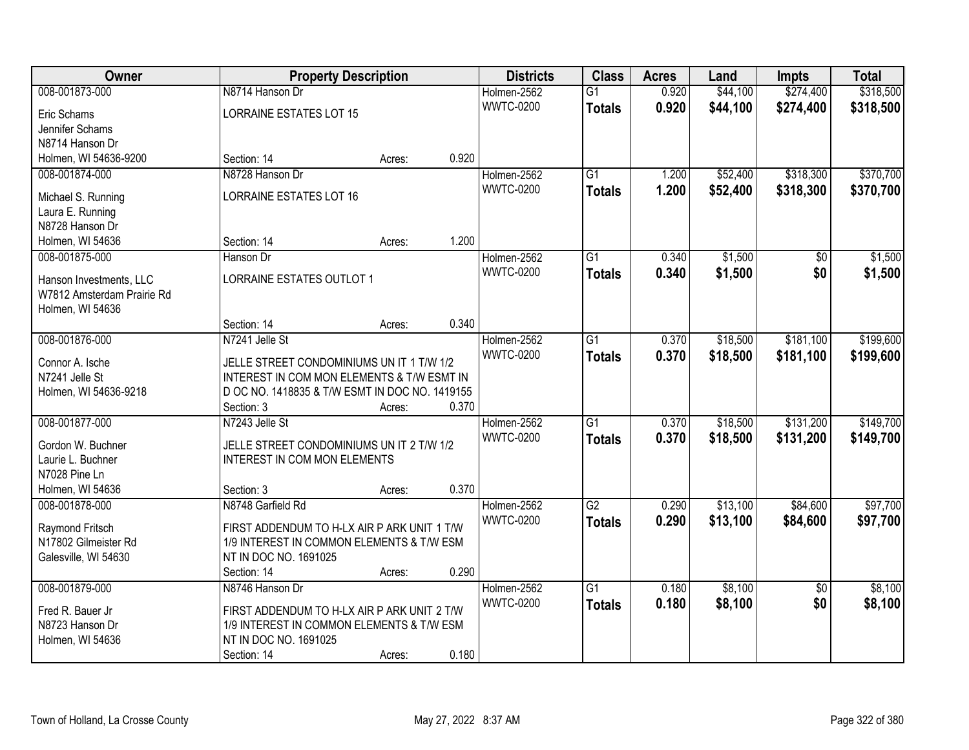| Owner                      |                                                | <b>Property Description</b> |       | <b>Districts</b> | <b>Class</b>    | <b>Acres</b> | Land     | <b>Impts</b>    | <b>Total</b> |
|----------------------------|------------------------------------------------|-----------------------------|-------|------------------|-----------------|--------------|----------|-----------------|--------------|
| 008-001873-000             | N8714 Hanson Dr                                |                             |       | Holmen-2562      | $\overline{G1}$ | 0.920        | \$44,100 | \$274,400       | \$318,500    |
| Eric Schams                | LORRAINE ESTATES LOT 15                        |                             |       | <b>WWTC-0200</b> | <b>Totals</b>   | 0.920        | \$44,100 | \$274,400       | \$318,500    |
| Jennifer Schams            |                                                |                             |       |                  |                 |              |          |                 |              |
| N8714 Hanson Dr            |                                                |                             |       |                  |                 |              |          |                 |              |
| Holmen, WI 54636-9200      | Section: 14                                    | Acres:                      | 0.920 |                  |                 |              |          |                 |              |
| 008-001874-000             | N8728 Hanson Dr                                |                             |       | Holmen-2562      | $\overline{G1}$ | 1.200        | \$52,400 | \$318,300       | \$370,700    |
|                            |                                                |                             |       | <b>WWTC-0200</b> | <b>Totals</b>   | 1.200        | \$52,400 | \$318,300       | \$370,700    |
| Michael S. Running         | <b>LORRAINE ESTATES LOT 16</b>                 |                             |       |                  |                 |              |          |                 |              |
| Laura E. Running           |                                                |                             |       |                  |                 |              |          |                 |              |
| N8728 Hanson Dr            |                                                |                             |       |                  |                 |              |          |                 |              |
| Holmen, WI 54636           | Section: 14                                    | Acres:                      | 1.200 |                  |                 |              |          |                 |              |
| 008-001875-000             | Hanson Dr                                      |                             |       | Holmen-2562      | G1              | 0.340        | \$1,500  | \$0             | \$1,500      |
| Hanson Investments, LLC    | <b>LORRAINE ESTATES OUTLOT 1</b>               |                             |       | <b>WWTC-0200</b> | <b>Totals</b>   | 0.340        | \$1,500  | \$0             | \$1,500      |
| W7812 Amsterdam Prairie Rd |                                                |                             |       |                  |                 |              |          |                 |              |
| Holmen, WI 54636           |                                                |                             |       |                  |                 |              |          |                 |              |
|                            | Section: 14                                    | Acres:                      | 0.340 |                  |                 |              |          |                 |              |
| 008-001876-000             | N7241 Jelle St                                 |                             |       | Holmen-2562      | G1              | 0.370        | \$18,500 | \$181,100       | \$199,600    |
|                            |                                                |                             |       | <b>WWTC-0200</b> | <b>Totals</b>   | 0.370        | \$18,500 | \$181,100       | \$199,600    |
| Connor A. Ische            | JELLE STREET CONDOMINIUMS UN IT 1 T/W 1/2      |                             |       |                  |                 |              |          |                 |              |
| N7241 Jelle St             | INTEREST IN COM MON ELEMENTS & T/W ESMT IN     |                             |       |                  |                 |              |          |                 |              |
| Holmen, WI 54636-9218      | D OC NO. 1418835 & T/W ESMT IN DOC NO. 1419155 |                             |       |                  |                 |              |          |                 |              |
|                            | Section: 3                                     | Acres:                      | 0.370 |                  |                 |              |          |                 |              |
| 008-001877-000             | N7243 Jelle St                                 |                             |       | Holmen-2562      | $\overline{G1}$ | 0.370        | \$18,500 | \$131,200       | \$149,700    |
| Gordon W. Buchner          | JELLE STREET CONDOMINIUMS UN IT 2 T/W 1/2      |                             |       | <b>WWTC-0200</b> | <b>Totals</b>   | 0.370        | \$18,500 | \$131,200       | \$149,700    |
| Laurie L. Buchner          | <b>INTEREST IN COM MON ELEMENTS</b>            |                             |       |                  |                 |              |          |                 |              |
| N7028 Pine Ln              |                                                |                             |       |                  |                 |              |          |                 |              |
| Holmen, WI 54636           | Section: 3                                     | Acres:                      | 0.370 |                  |                 |              |          |                 |              |
| 008-001878-000             | N8748 Garfield Rd                              |                             |       | Holmen-2562      | $\overline{G2}$ | 0.290        | \$13,100 | \$84,600        | \$97,700     |
|                            |                                                |                             |       | <b>WWTC-0200</b> | <b>Totals</b>   | 0.290        | \$13,100 | \$84,600        | \$97,700     |
| Raymond Fritsch            | FIRST ADDENDUM TO H-LX AIR P ARK UNIT 1 T/W    |                             |       |                  |                 |              |          |                 |              |
| N17802 Gilmeister Rd       | 1/9 INTEREST IN COMMON ELEMENTS & T/W ESM      |                             |       |                  |                 |              |          |                 |              |
| Galesville, WI 54630       | NT IN DOC NO. 1691025                          |                             |       |                  |                 |              |          |                 |              |
|                            | Section: 14                                    | Acres:                      | 0.290 |                  |                 |              |          |                 |              |
| 008-001879-000             | N8746 Hanson Dr                                |                             |       | Holmen-2562      | $\overline{G1}$ | 0.180        | \$8,100  | $\overline{50}$ | \$8,100      |
| Fred R. Bauer Jr           | FIRST ADDENDUM TO H-LX AIR P ARK UNIT 2 T/W    |                             |       | <b>WWTC-0200</b> | <b>Totals</b>   | 0.180        | \$8,100  | \$0             | \$8,100      |
| N8723 Hanson Dr            | 1/9 INTEREST IN COMMON ELEMENTS & T/W ESM      |                             |       |                  |                 |              |          |                 |              |
| Holmen, WI 54636           | NT IN DOC NO. 1691025                          |                             |       |                  |                 |              |          |                 |              |
|                            | Section: 14                                    | Acres:                      | 0.180 |                  |                 |              |          |                 |              |
|                            |                                                |                             |       |                  |                 |              |          |                 |              |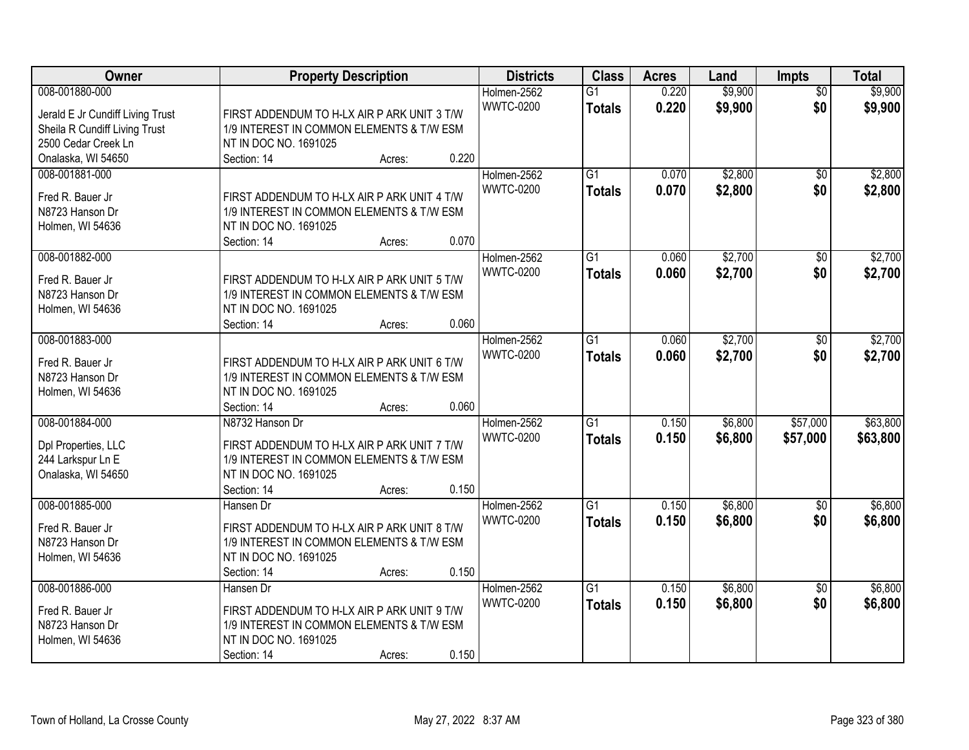| Owner                            | <b>Property Description</b>                 | <b>Districts</b> | <b>Class</b>    | <b>Acres</b> | Land    | <b>Impts</b>    | <b>Total</b> |
|----------------------------------|---------------------------------------------|------------------|-----------------|--------------|---------|-----------------|--------------|
| 008-001880-000                   |                                             | Holmen-2562      | $\overline{G1}$ | 0.220        | \$9,900 | $\overline{50}$ | \$9,900      |
| Jerald E Jr Cundiff Living Trust | FIRST ADDENDUM TO H-LX AIR P ARK UNIT 3 T/W | <b>WWTC-0200</b> | <b>Totals</b>   | 0.220        | \$9,900 | \$0             | \$9,900      |
| Sheila R Cundiff Living Trust    | 1/9 INTEREST IN COMMON ELEMENTS & T/W ESM   |                  |                 |              |         |                 |              |
| 2500 Cedar Creek Ln              | NT IN DOC NO. 1691025                       |                  |                 |              |         |                 |              |
| Onalaska, WI 54650               | 0.220<br>Section: 14<br>Acres:              |                  |                 |              |         |                 |              |
| 008-001881-000                   |                                             | Holmen-2562      | $\overline{G1}$ | 0.070        | \$2,800 | $\overline{50}$ | \$2,800      |
|                                  |                                             | <b>WWTC-0200</b> | <b>Totals</b>   | 0.070        | \$2,800 | \$0             | \$2,800      |
| Fred R. Bauer Jr                 | FIRST ADDENDUM TO H-LX AIR P ARK UNIT 4 T/W |                  |                 |              |         |                 |              |
| N8723 Hanson Dr                  | 1/9 INTEREST IN COMMON ELEMENTS & T/W ESM   |                  |                 |              |         |                 |              |
| Holmen, WI 54636                 | NT IN DOC NO. 1691025                       |                  |                 |              |         |                 |              |
|                                  | 0.070<br>Section: 14<br>Acres:              |                  |                 |              |         |                 |              |
| 008-001882-000                   |                                             | Holmen-2562      | G1              | 0.060        | \$2,700 | \$0             | \$2,700      |
| Fred R. Bauer Jr                 | FIRST ADDENDUM TO H-LX AIR P ARK UNIT 5 T/W | <b>WWTC-0200</b> | <b>Totals</b>   | 0.060        | \$2,700 | \$0             | \$2,700      |
| N8723 Hanson Dr                  | 1/9 INTEREST IN COMMON ELEMENTS & T/W ESM   |                  |                 |              |         |                 |              |
| Holmen, WI 54636                 | NT IN DOC NO. 1691025                       |                  |                 |              |         |                 |              |
|                                  | 0.060<br>Section: 14<br>Acres:              |                  |                 |              |         |                 |              |
| 008-001883-000                   |                                             | Holmen-2562      | G1              | 0.060        | \$2,700 | \$0             | \$2,700      |
|                                  |                                             | <b>WWTC-0200</b> | <b>Totals</b>   | 0.060        | \$2,700 | \$0             | \$2,700      |
| Fred R. Bauer Jr                 | FIRST ADDENDUM TO H-LX AIR P ARK UNIT 6 T/W |                  |                 |              |         |                 |              |
| N8723 Hanson Dr                  | 1/9 INTEREST IN COMMON ELEMENTS & T/W ESM   |                  |                 |              |         |                 |              |
| Holmen, WI 54636                 | NT IN DOC NO. 1691025                       |                  |                 |              |         |                 |              |
|                                  | 0.060<br>Section: 14<br>Acres:              |                  |                 |              |         |                 |              |
| 008-001884-000                   | N8732 Hanson Dr                             | Holmen-2562      | $\overline{G1}$ | 0.150        | \$6,800 | \$57,000        | \$63,800     |
| Dpl Properties, LLC              | FIRST ADDENDUM TO H-LX AIR P ARK UNIT 7 T/W | <b>WWTC-0200</b> | <b>Totals</b>   | 0.150        | \$6,800 | \$57,000        | \$63,800     |
| 244 Larkspur Ln E                | 1/9 INTEREST IN COMMON ELEMENTS & T/W ESM   |                  |                 |              |         |                 |              |
| Onalaska, WI 54650               | NT IN DOC NO. 1691025                       |                  |                 |              |         |                 |              |
|                                  | 0.150<br>Section: 14<br>Acres:              |                  |                 |              |         |                 |              |
| 008-001885-000                   | Hansen Dr                                   | Holmen-2562      | $\overline{G1}$ | 0.150        | \$6,800 | $\sqrt{6}$      | \$6,800      |
|                                  |                                             | <b>WWTC-0200</b> | <b>Totals</b>   | 0.150        | \$6,800 | \$0             | \$6,800      |
| Fred R. Bauer Jr                 | FIRST ADDENDUM TO H-LX AIR P ARK UNIT 8 T/W |                  |                 |              |         |                 |              |
| N8723 Hanson Dr                  | 1/9 INTEREST IN COMMON ELEMENTS & T/W ESM   |                  |                 |              |         |                 |              |
| Holmen, WI 54636                 | NT IN DOC NO. 1691025                       |                  |                 |              |         |                 |              |
|                                  | 0.150<br>Section: 14<br>Acres:              |                  |                 |              |         |                 |              |
| 008-001886-000                   | Hansen Dr                                   | Holmen-2562      | $\overline{G1}$ | 0.150        | \$6,800 | $\overline{50}$ | \$6,800      |
| Fred R. Bauer Jr                 | FIRST ADDENDUM TO H-LX AIR P ARK UNIT 9 T/W | <b>WWTC-0200</b> | <b>Totals</b>   | 0.150        | \$6,800 | \$0             | \$6,800      |
| N8723 Hanson Dr                  | 1/9 INTEREST IN COMMON ELEMENTS & T/W ESM   |                  |                 |              |         |                 |              |
| Holmen, WI 54636                 | NT IN DOC NO. 1691025                       |                  |                 |              |         |                 |              |
|                                  | 0.150<br>Section: 14<br>Acres:              |                  |                 |              |         |                 |              |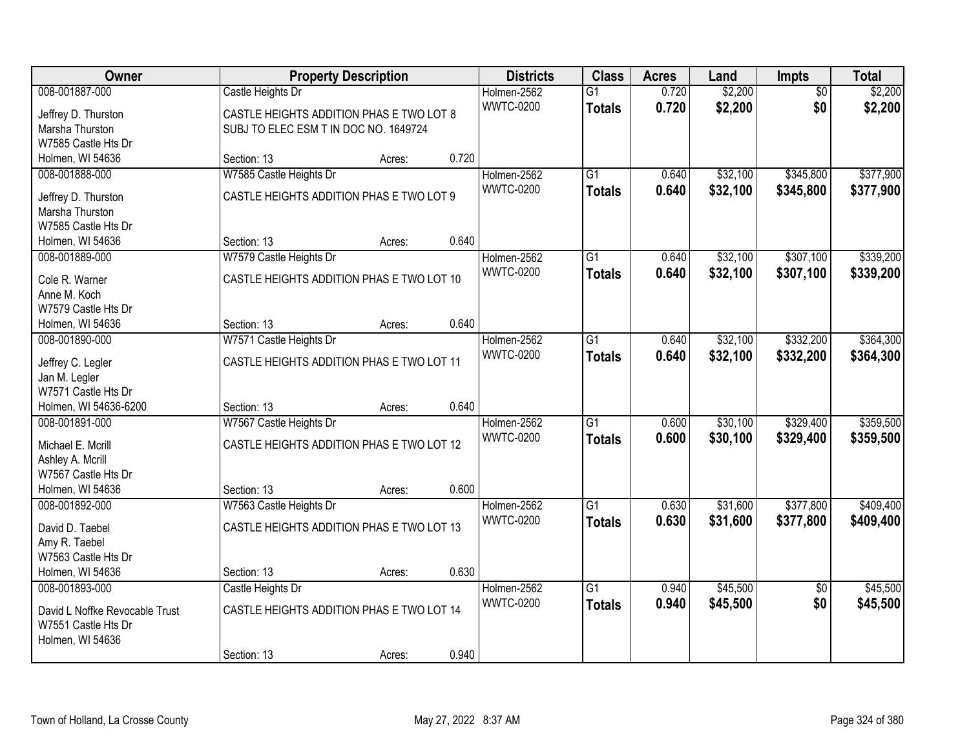| Owner                          |                                           | <b>Property Description</b> |       | <b>Districts</b> | <b>Class</b>    | <b>Acres</b> | Land     | Impts           | <b>Total</b> |
|--------------------------------|-------------------------------------------|-----------------------------|-------|------------------|-----------------|--------------|----------|-----------------|--------------|
| 008-001887-000                 | Castle Heights Dr                         |                             |       | Holmen-2562      | $\overline{G1}$ | 0.720        | \$2,200  | $\overline{50}$ | \$2,200      |
| Jeffrey D. Thurston            | CASTLE HEIGHTS ADDITION PHAS E TWO LOT 8  |                             |       | <b>WWTC-0200</b> | <b>Totals</b>   | 0.720        | \$2,200  | \$0             | \$2,200      |
| Marsha Thurston                | SUBJ TO ELEC ESM T IN DOC NO. 1649724     |                             |       |                  |                 |              |          |                 |              |
| W7585 Castle Hts Dr            |                                           |                             |       |                  |                 |              |          |                 |              |
| Holmen, WI 54636               | Section: 13                               | Acres:                      | 0.720 |                  |                 |              |          |                 |              |
| 008-001888-000                 | W7585 Castle Heights Dr                   |                             |       | Holmen-2562      | $\overline{G1}$ | 0.640        | \$32,100 | \$345,800       | \$377,900    |
| Jeffrey D. Thurston            | CASTLE HEIGHTS ADDITION PHAS E TWO LOT 9  |                             |       | <b>WWTC-0200</b> | <b>Totals</b>   | 0.640        | \$32,100 | \$345,800       | \$377,900    |
| Marsha Thurston                |                                           |                             |       |                  |                 |              |          |                 |              |
| W7585 Castle Hts Dr            |                                           |                             |       |                  |                 |              |          |                 |              |
| Holmen, WI 54636               | Section: 13                               | Acres:                      | 0.640 |                  |                 |              |          |                 |              |
| 008-001889-000                 | W7579 Castle Heights Dr                   |                             |       | Holmen-2562      | G1              | 0.640        | \$32,100 | \$307,100       | \$339,200    |
|                                |                                           |                             |       | <b>WWTC-0200</b> | <b>Totals</b>   | 0.640        | \$32,100 | \$307,100       | \$339,200    |
| Cole R. Warner                 | CASTLE HEIGHTS ADDITION PHAS E TWO LOT 10 |                             |       |                  |                 |              |          |                 |              |
| Anne M. Koch                   |                                           |                             |       |                  |                 |              |          |                 |              |
| W7579 Castle Hts Dr            |                                           |                             |       |                  |                 |              |          |                 |              |
| Holmen, WI 54636               | Section: 13                               | Acres:                      | 0.640 |                  |                 |              |          |                 |              |
| 008-001890-000                 | W7571 Castle Heights Dr                   |                             |       | Holmen-2562      | G1              | 0.640        | \$32,100 | \$332,200       | \$364,300    |
| Jeffrey C. Legler              | CASTLE HEIGHTS ADDITION PHAS E TWO LOT 11 |                             |       | <b>WWTC-0200</b> | <b>Totals</b>   | 0.640        | \$32,100 | \$332,200       | \$364,300    |
| Jan M. Legler                  |                                           |                             |       |                  |                 |              |          |                 |              |
| W7571 Castle Hts Dr            |                                           |                             |       |                  |                 |              |          |                 |              |
| Holmen, WI 54636-6200          | Section: 13                               | Acres:                      | 0.640 |                  |                 |              |          |                 |              |
| 008-001891-000                 | W7567 Castle Heights Dr                   |                             |       | Holmen-2562      | $\overline{G1}$ | 0.600        | \$30,100 | \$329,400       | \$359,500    |
| Michael E. Mcrill              | CASTLE HEIGHTS ADDITION PHAS E TWO LOT 12 |                             |       | <b>WWTC-0200</b> | <b>Totals</b>   | 0.600        | \$30,100 | \$329,400       | \$359,500    |
| Ashley A. Mcrill               |                                           |                             |       |                  |                 |              |          |                 |              |
| W7567 Castle Hts Dr            |                                           |                             |       |                  |                 |              |          |                 |              |
| Holmen, WI 54636               | Section: 13                               | Acres:                      | 0.600 |                  |                 |              |          |                 |              |
| 008-001892-000                 | W7563 Castle Heights Dr                   |                             |       | Holmen-2562      | $\overline{G1}$ | 0.630        | \$31,600 | \$377,800       | \$409,400    |
|                                |                                           |                             |       | <b>WWTC-0200</b> | <b>Totals</b>   | 0.630        | \$31,600 | \$377,800       | \$409,400    |
| David D. Taebel                | CASTLE HEIGHTS ADDITION PHAS E TWO LOT 13 |                             |       |                  |                 |              |          |                 |              |
| Amy R. Taebel                  |                                           |                             |       |                  |                 |              |          |                 |              |
| W7563 Castle Hts Dr            |                                           |                             |       |                  |                 |              |          |                 |              |
| Holmen, WI 54636               | Section: 13                               | Acres:                      | 0.630 |                  |                 |              |          |                 |              |
| 008-001893-000                 | Castle Heights Dr                         |                             |       | Holmen-2562      | $\overline{G1}$ | 0.940        | \$45,500 | $\overline{50}$ | \$45,500     |
| David L Noffke Revocable Trust | CASTLE HEIGHTS ADDITION PHAS E TWO LOT 14 |                             |       | <b>WWTC-0200</b> | <b>Totals</b>   | 0.940        | \$45,500 | \$0             | \$45,500     |
| W7551 Castle Hts Dr            |                                           |                             |       |                  |                 |              |          |                 |              |
| Holmen, WI 54636               |                                           |                             |       |                  |                 |              |          |                 |              |
|                                | Section: 13                               | Acres:                      | 0.940 |                  |                 |              |          |                 |              |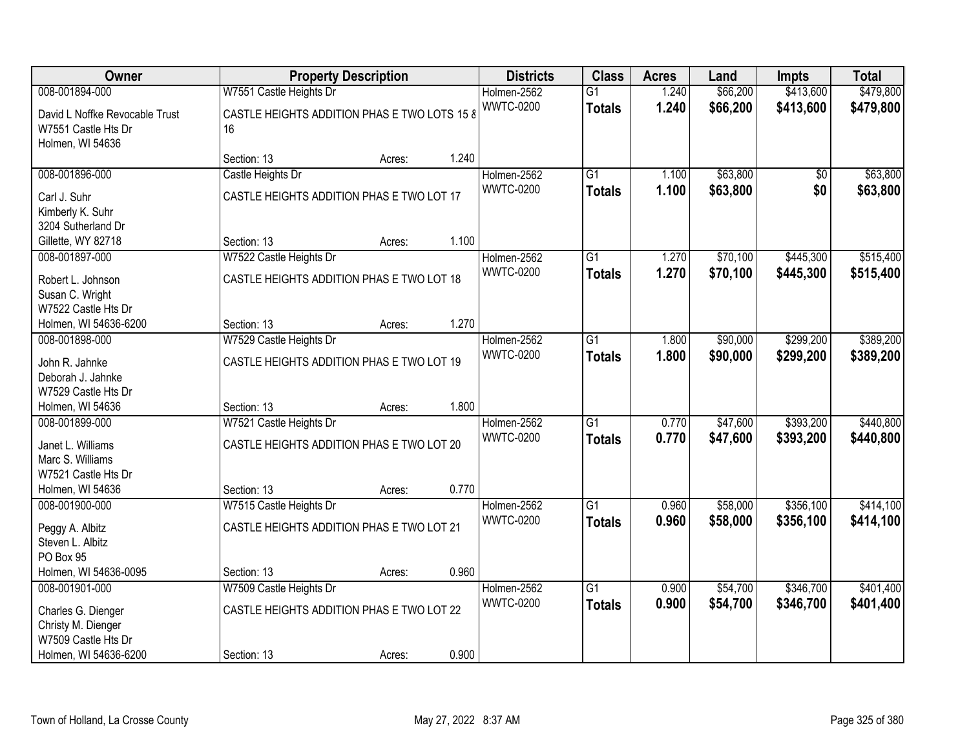| <b>Owner</b>                                                                                               |                                                                                     | <b>Property Description</b> |       | <b>Districts</b>                | <b>Class</b>                     | <b>Acres</b>   | Land                 | <b>Impts</b>           | <b>Total</b>           |
|------------------------------------------------------------------------------------------------------------|-------------------------------------------------------------------------------------|-----------------------------|-------|---------------------------------|----------------------------------|----------------|----------------------|------------------------|------------------------|
| 008-001894-000                                                                                             | W7551 Castle Heights Dr                                                             |                             |       | Holmen-2562                     | $\overline{G1}$                  | 1.240          | \$66,200             | \$413,600              | \$479,800              |
| David L Noffke Revocable Trust<br>W7551 Castle Hts Dr<br>Holmen, WI 54636                                  | CASTLE HEIGHTS ADDITION PHAS E TWO LOTS 15 8<br>16                                  |                             |       | <b>WWTC-0200</b>                | <b>Totals</b>                    | 1.240          | \$66,200             | \$413,600              | \$479,800              |
|                                                                                                            | Section: 13                                                                         | Acres:                      | 1.240 |                                 |                                  |                |                      |                        |                        |
| 008-001896-000                                                                                             | Castle Heights Dr                                                                   |                             |       | Holmen-2562                     | $\overline{G1}$                  | 1.100          | \$63,800             | $\overline{50}$        | \$63,800               |
| Carl J. Suhr<br>Kimberly K. Suhr<br>3204 Sutherland Dr<br>Gillette, WY 82718                               | CASTLE HEIGHTS ADDITION PHAS E TWO LOT 17<br>Section: 13                            | Acres:                      | 1.100 | <b>WWTC-0200</b>                | <b>Totals</b>                    | 1.100          | \$63,800             | \$0                    | \$63,800               |
| 008-001897-000                                                                                             | W7522 Castle Heights Dr                                                             |                             |       | Holmen-2562                     | $\overline{G1}$                  | 1.270          | \$70,100             | \$445,300              | \$515,400              |
| Robert L. Johnson<br>Susan C. Wright<br>W7522 Castle Hts Dr                                                | CASTLE HEIGHTS ADDITION PHAS E TWO LOT 18                                           |                             |       | <b>WWTC-0200</b>                | <b>Totals</b>                    | 1.270          | \$70,100             | \$445,300              | \$515,400              |
| Holmen, WI 54636-6200                                                                                      | Section: 13                                                                         | Acres:                      | 1.270 |                                 |                                  |                |                      |                        |                        |
| 008-001898-000                                                                                             | W7529 Castle Heights Dr                                                             |                             |       | Holmen-2562                     | G1                               | 1.800          | \$90,000             | \$299,200              | \$389,200              |
| John R. Jahnke<br>Deborah J. Jahnke<br>W7529 Castle Hts Dr                                                 | CASTLE HEIGHTS ADDITION PHAS E TWO LOT 19                                           |                             |       | <b>WWTC-0200</b>                | <b>Totals</b>                    | 1.800          | \$90,000             | \$299,200              | \$389,200              |
| Holmen, WI 54636                                                                                           | Section: 13                                                                         | Acres:                      | 1.800 |                                 |                                  |                |                      |                        |                        |
| 008-001899-000<br>Janet L. Williams<br>Marc S. Williams<br>W7521 Castle Hts Dr<br>Holmen, WI 54636         | W7521 Castle Heights Dr<br>CASTLE HEIGHTS ADDITION PHAS E TWO LOT 20<br>Section: 13 | Acres:                      | 0.770 | Holmen-2562<br><b>WWTC-0200</b> | $\overline{G1}$<br><b>Totals</b> | 0.770<br>0.770 | \$47,600<br>\$47,600 | \$393,200<br>\$393,200 | \$440,800<br>\$440,800 |
| 008-001900-000                                                                                             | W7515 Castle Heights Dr                                                             |                             |       | Holmen-2562                     | $\overline{G1}$                  | 0.960          | \$58,000             | \$356,100              | \$414,100              |
| Peggy A. Albitz<br>Steven L. Albitz<br>PO Box 95                                                           | CASTLE HEIGHTS ADDITION PHAS E TWO LOT 21                                           |                             |       | <b>WWTC-0200</b>                | <b>Totals</b>                    | 0.960          | \$58,000             | \$356,100              | \$414,100              |
| Holmen, WI 54636-0095                                                                                      | Section: 13                                                                         | Acres:                      | 0.960 |                                 |                                  |                |                      |                        |                        |
| 008-001901-000<br>Charles G. Dienger<br>Christy M. Dienger<br>W7509 Castle Hts Dr<br>Holmen, WI 54636-6200 | W7509 Castle Heights Dr<br>CASTLE HEIGHTS ADDITION PHAS E TWO LOT 22<br>Section: 13 |                             | 0.900 | Holmen-2562<br><b>WWTC-0200</b> | $\overline{G1}$<br><b>Totals</b> | 0.900<br>0.900 | \$54,700<br>\$54,700 | \$346,700<br>\$346,700 | \$401,400<br>\$401,400 |
|                                                                                                            |                                                                                     | Acres:                      |       |                                 |                                  |                |                      |                        |                        |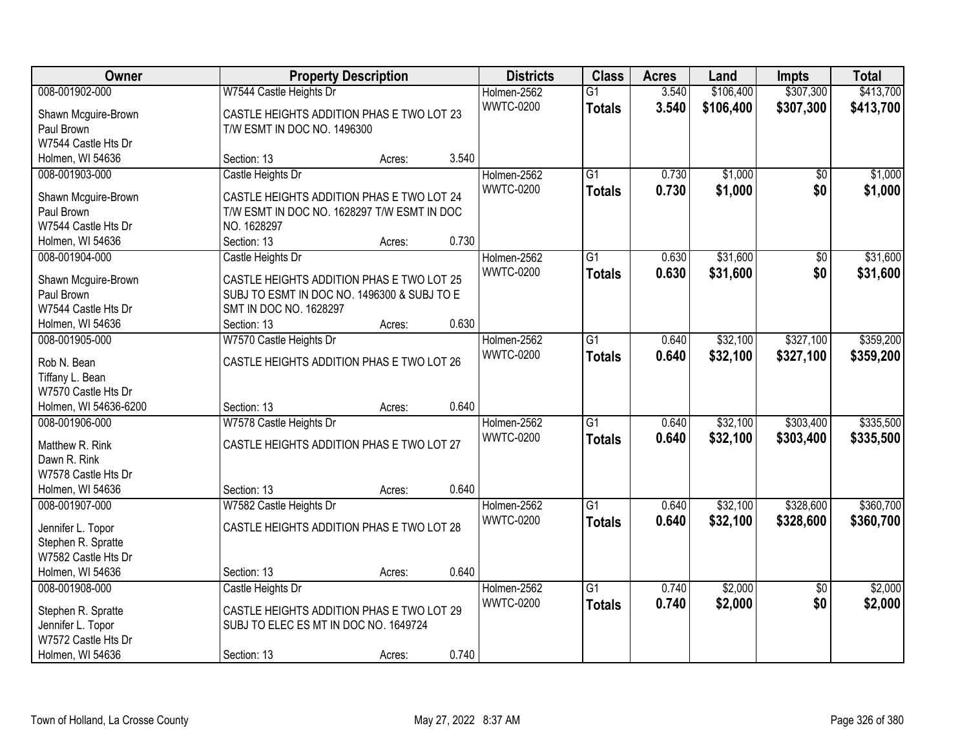| Owner                 |                                             | <b>Property Description</b> |       | <b>Districts</b> | <b>Class</b>    | <b>Acres</b> | Land      | <b>Impts</b>    | <b>Total</b> |
|-----------------------|---------------------------------------------|-----------------------------|-------|------------------|-----------------|--------------|-----------|-----------------|--------------|
| 008-001902-000        | W7544 Castle Heights Dr                     |                             |       | Holmen-2562      | $\overline{G1}$ | 3.540        | \$106,400 | \$307,300       | \$413,700    |
| Shawn Mcguire-Brown   | CASTLE HEIGHTS ADDITION PHAS E TWO LOT 23   |                             |       | <b>WWTC-0200</b> | <b>Totals</b>   | 3.540        | \$106,400 | \$307,300       | \$413,700    |
| Paul Brown            | T/W ESMT IN DOC NO. 1496300                 |                             |       |                  |                 |              |           |                 |              |
| W7544 Castle Hts Dr   |                                             |                             |       |                  |                 |              |           |                 |              |
| Holmen, WI 54636      | Section: 13                                 | Acres:                      | 3.540 |                  |                 |              |           |                 |              |
| 008-001903-000        | Castle Heights Dr                           |                             |       | Holmen-2562      | $\overline{G1}$ | 0.730        | \$1,000   | $\overline{50}$ | \$1,000      |
|                       |                                             |                             |       | <b>WWTC-0200</b> | <b>Totals</b>   | 0.730        | \$1,000   | \$0             | \$1,000      |
| Shawn Mcguire-Brown   | CASTLE HEIGHTS ADDITION PHAS E TWO LOT 24   |                             |       |                  |                 |              |           |                 |              |
| Paul Brown            | T/W ESMT IN DOC NO. 1628297 T/W ESMT IN DOC |                             |       |                  |                 |              |           |                 |              |
| W7544 Castle Hts Dr   | NO. 1628297                                 |                             |       |                  |                 |              |           |                 |              |
| Holmen, WI 54636      | Section: 13                                 | Acres:                      | 0.730 |                  |                 |              |           |                 |              |
| 008-001904-000        | Castle Heights Dr                           |                             |       | Holmen-2562      | G1              | 0.630        | \$31,600  | \$0             | \$31,600     |
| Shawn Mcguire-Brown   | CASTLE HEIGHTS ADDITION PHAS E TWO LOT 25   |                             |       | <b>WWTC-0200</b> | <b>Totals</b>   | 0.630        | \$31,600  | \$0             | \$31,600     |
| Paul Brown            | SUBJ TO ESMT IN DOC NO. 1496300 & SUBJ TO E |                             |       |                  |                 |              |           |                 |              |
| W7544 Castle Hts Dr   | SMT IN DOC NO. 1628297                      |                             |       |                  |                 |              |           |                 |              |
| Holmen, WI 54636      | Section: 13                                 | Acres:                      | 0.630 |                  |                 |              |           |                 |              |
| 008-001905-000        | W7570 Castle Heights Dr                     |                             |       | Holmen-2562      | $\overline{G1}$ | 0.640        | \$32,100  | \$327,100       | \$359,200    |
|                       |                                             |                             |       | <b>WWTC-0200</b> | <b>Totals</b>   | 0.640        | \$32,100  | \$327,100       | \$359,200    |
| Rob N. Bean           | CASTLE HEIGHTS ADDITION PHAS E TWO LOT 26   |                             |       |                  |                 |              |           |                 |              |
| Tiffany L. Bean       |                                             |                             |       |                  |                 |              |           |                 |              |
| W7570 Castle Hts Dr   |                                             |                             |       |                  |                 |              |           |                 |              |
| Holmen, WI 54636-6200 | Section: 13                                 | Acres:                      | 0.640 |                  |                 |              |           |                 |              |
| 008-001906-000        | W7578 Castle Heights Dr                     |                             |       | Holmen-2562      | $\overline{G1}$ | 0.640        | \$32,100  | \$303,400       | \$335,500    |
| Matthew R. Rink       | CASTLE HEIGHTS ADDITION PHAS E TWO LOT 27   |                             |       | <b>WWTC-0200</b> | <b>Totals</b>   | 0.640        | \$32,100  | \$303,400       | \$335,500    |
| Dawn R. Rink          |                                             |                             |       |                  |                 |              |           |                 |              |
| W7578 Castle Hts Dr   |                                             |                             |       |                  |                 |              |           |                 |              |
| Holmen, WI 54636      | Section: 13                                 | Acres:                      | 0.640 |                  |                 |              |           |                 |              |
| 008-001907-000        | W7582 Castle Heights Dr                     |                             |       | Holmen-2562      | $\overline{G1}$ | 0.640        | \$32,100  | \$328,600       | \$360,700    |
|                       |                                             |                             |       | <b>WWTC-0200</b> | <b>Totals</b>   | 0.640        | \$32,100  | \$328,600       | \$360,700    |
| Jennifer L. Topor     | CASTLE HEIGHTS ADDITION PHAS E TWO LOT 28   |                             |       |                  |                 |              |           |                 |              |
| Stephen R. Spratte    |                                             |                             |       |                  |                 |              |           |                 |              |
| W7582 Castle Hts Dr   |                                             |                             |       |                  |                 |              |           |                 |              |
| Holmen, WI 54636      | Section: 13                                 | Acres:                      | 0.640 |                  |                 |              |           |                 |              |
| 008-001908-000        | Castle Heights Dr                           |                             |       | Holmen-2562      | $\overline{G1}$ | 0.740        | \$2,000   | $\overline{50}$ | \$2,000      |
| Stephen R. Spratte    | CASTLE HEIGHTS ADDITION PHAS E TWO LOT 29   |                             |       | <b>WWTC-0200</b> | <b>Totals</b>   | 0.740        | \$2,000   | \$0             | \$2,000      |
| Jennifer L. Topor     | SUBJ TO ELEC ES MT IN DOC NO. 1649724       |                             |       |                  |                 |              |           |                 |              |
| W7572 Castle Hts Dr   |                                             |                             |       |                  |                 |              |           |                 |              |
| Holmen, WI 54636      | Section: 13                                 | Acres:                      | 0.740 |                  |                 |              |           |                 |              |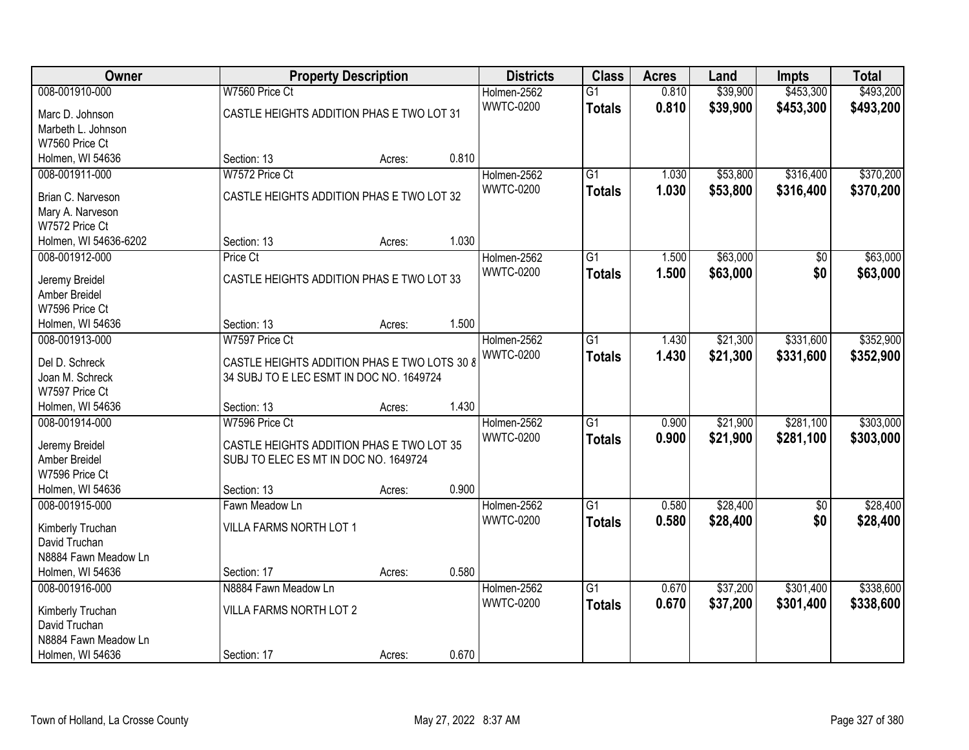| Owner                              |                                              | <b>Property Description</b> |       | <b>Districts</b> | <b>Class</b>    | <b>Acres</b> | Land     | <b>Impts</b> | <b>Total</b> |
|------------------------------------|----------------------------------------------|-----------------------------|-------|------------------|-----------------|--------------|----------|--------------|--------------|
| 008-001910-000                     | W7560 Price Ct                               |                             |       | Holmen-2562      | $\overline{G1}$ | 0.810        | \$39,900 | \$453,300    | \$493,200    |
| Marc D. Johnson                    | CASTLE HEIGHTS ADDITION PHAS E TWO LOT 31    |                             |       | <b>WWTC-0200</b> | <b>Totals</b>   | 0.810        | \$39,900 | \$453,300    | \$493,200    |
| Marbeth L. Johnson                 |                                              |                             |       |                  |                 |              |          |              |              |
| W7560 Price Ct                     |                                              |                             |       |                  |                 |              |          |              |              |
| Holmen, WI 54636                   | Section: 13                                  | Acres:                      | 0.810 |                  |                 |              |          |              |              |
| 008-001911-000                     | W7572 Price Ct                               |                             |       | Holmen-2562      | $\overline{G1}$ | 1.030        | \$53,800 | \$316,400    | \$370,200    |
| Brian C. Narveson                  | CASTLE HEIGHTS ADDITION PHAS E TWO LOT 32    |                             |       | <b>WWTC-0200</b> | <b>Totals</b>   | 1.030        | \$53,800 | \$316,400    | \$370,200    |
| Mary A. Narveson                   |                                              |                             |       |                  |                 |              |          |              |              |
| W7572 Price Ct                     |                                              |                             |       |                  |                 |              |          |              |              |
| Holmen, WI 54636-6202              | Section: 13                                  | Acres:                      | 1.030 |                  |                 |              |          |              |              |
| 008-001912-000                     | Price Ct                                     |                             |       | Holmen-2562      | $\overline{G1}$ | 1.500        | \$63,000 | \$0          | \$63,000     |
|                                    |                                              |                             |       | <b>WWTC-0200</b> | <b>Totals</b>   | 1.500        | \$63,000 | \$0          | \$63,000     |
| Jeremy Breidel                     | CASTLE HEIGHTS ADDITION PHAS E TWO LOT 33    |                             |       |                  |                 |              |          |              |              |
| Amber Breidel                      |                                              |                             |       |                  |                 |              |          |              |              |
| W7596 Price Ct<br>Holmen, WI 54636 | Section: 13                                  | Acres:                      | 1.500 |                  |                 |              |          |              |              |
| 008-001913-000                     | W7597 Price Ct                               |                             |       | Holmen-2562      | $\overline{G1}$ | 1.430        | \$21,300 | \$331,600    | \$352,900    |
|                                    |                                              |                             |       | <b>WWTC-0200</b> |                 | 1.430        |          |              |              |
| Del D. Schreck                     | CASTLE HEIGHTS ADDITION PHAS E TWO LOTS 30 8 |                             |       |                  | <b>Totals</b>   |              | \$21,300 | \$331,600    | \$352,900    |
| Joan M. Schreck                    | 34 SUBJ TO E LEC ESMT IN DOC NO. 1649724     |                             |       |                  |                 |              |          |              |              |
| W7597 Price Ct                     |                                              |                             |       |                  |                 |              |          |              |              |
| Holmen, WI 54636                   | Section: 13                                  | Acres:                      | 1.430 |                  |                 |              |          |              |              |
| 008-001914-000                     | W7596 Price Ct                               |                             |       | Holmen-2562      | $\overline{G1}$ | 0.900        | \$21,900 | \$281,100    | \$303,000    |
| Jeremy Breidel                     | CASTLE HEIGHTS ADDITION PHAS E TWO LOT 35    |                             |       | <b>WWTC-0200</b> | <b>Totals</b>   | 0.900        | \$21,900 | \$281,100    | \$303,000    |
| Amber Breidel                      | SUBJ TO ELEC ES MT IN DOC NO. 1649724        |                             |       |                  |                 |              |          |              |              |
| W7596 Price Ct                     |                                              |                             |       |                  |                 |              |          |              |              |
| Holmen, WI 54636                   | Section: 13                                  | Acres:                      | 0.900 |                  |                 |              |          |              |              |
| 008-001915-000                     | Fawn Meadow Ln                               |                             |       | Holmen-2562      | $\overline{G1}$ | 0.580        | \$28,400 | $\sqrt{6}$   | \$28,400     |
| Kimberly Truchan                   | VILLA FARMS NORTH LOT 1                      |                             |       | <b>WWTC-0200</b> | <b>Totals</b>   | 0.580        | \$28,400 | \$0          | \$28,400     |
| David Truchan                      |                                              |                             |       |                  |                 |              |          |              |              |
| N8884 Fawn Meadow Ln               |                                              |                             |       |                  |                 |              |          |              |              |
| Holmen, WI 54636                   | Section: 17                                  | Acres:                      | 0.580 |                  |                 |              |          |              |              |
| 008-001916-000                     | N8884 Fawn Meadow Ln                         |                             |       | Holmen-2562      | $\overline{G1}$ | 0.670        | \$37,200 | \$301,400    | \$338,600    |
|                                    |                                              |                             |       | <b>WWTC-0200</b> | <b>Totals</b>   | 0.670        | \$37,200 | \$301,400    | \$338,600    |
| Kimberly Truchan<br>David Truchan  | VILLA FARMS NORTH LOT 2                      |                             |       |                  |                 |              |          |              |              |
| N8884 Fawn Meadow Ln               |                                              |                             |       |                  |                 |              |          |              |              |
| Holmen, WI 54636                   | Section: 17                                  | Acres:                      | 0.670 |                  |                 |              |          |              |              |
|                                    |                                              |                             |       |                  |                 |              |          |              |              |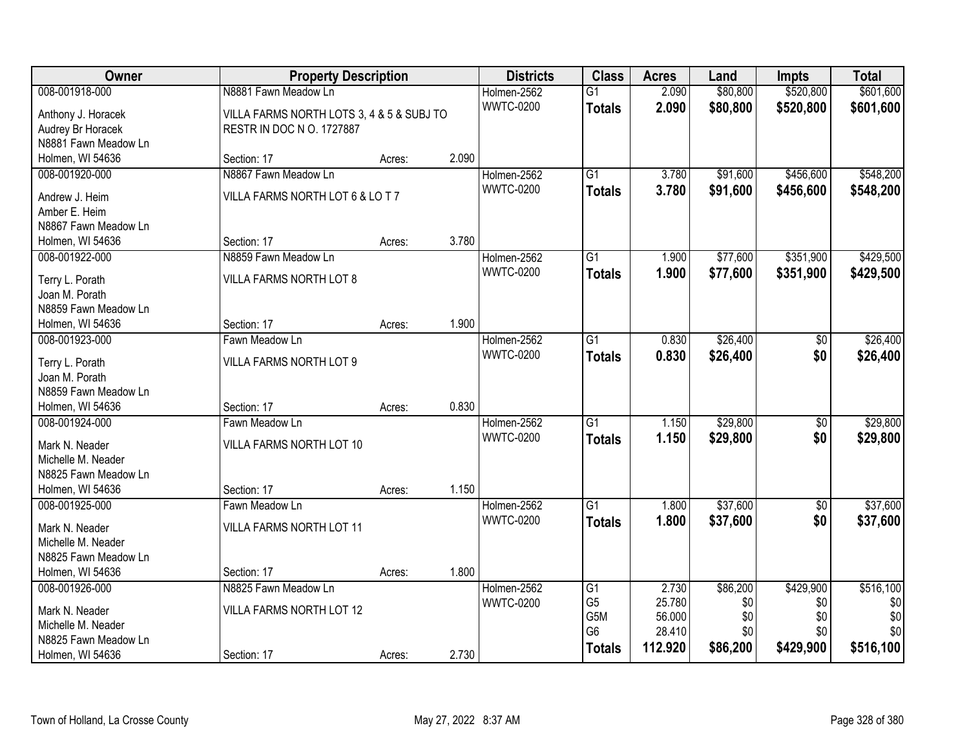| Owner                              | <b>Property Description</b>               |        |       | <b>Districts</b> | <b>Class</b>    | <b>Acres</b> | Land     | <b>Impts</b>    | <b>Total</b> |
|------------------------------------|-------------------------------------------|--------|-------|------------------|-----------------|--------------|----------|-----------------|--------------|
| 008-001918-000                     | N8881 Fawn Meadow Ln                      |        |       | Holmen-2562      | $\overline{G1}$ | 2.090        | \$80,800 | \$520,800       | \$601,600    |
| Anthony J. Horacek                 | VILLA FARMS NORTH LOTS 3, 4 & 5 & SUBJ TO |        |       | <b>WWTC-0200</b> | <b>Totals</b>   | 2.090        | \$80,800 | \$520,800       | \$601,600    |
| Audrey Br Horacek                  | RESTR IN DOC N O. 1727887                 |        |       |                  |                 |              |          |                 |              |
| N8881 Fawn Meadow Ln               |                                           |        |       |                  |                 |              |          |                 |              |
| Holmen, WI 54636                   | Section: 17                               | Acres: | 2.090 |                  |                 |              |          |                 |              |
| 008-001920-000                     | N8867 Fawn Meadow Ln                      |        |       | Holmen-2562      | $\overline{G1}$ | 3.780        | \$91,600 | \$456,600       | \$548,200    |
|                                    |                                           |        |       | <b>WWTC-0200</b> | <b>Totals</b>   | 3.780        | \$91,600 | \$456,600       | \$548,200    |
| Andrew J. Heim                     | VILLA FARMS NORTH LOT 6 & LO T 7          |        |       |                  |                 |              |          |                 |              |
| Amber E. Heim                      |                                           |        |       |                  |                 |              |          |                 |              |
| N8867 Fawn Meadow Ln               |                                           |        |       |                  |                 |              |          |                 |              |
| Holmen, WI 54636                   | Section: 17                               | Acres: | 3.780 |                  |                 |              |          |                 |              |
| 008-001922-000                     | N8859 Fawn Meadow Ln                      |        |       | Holmen-2562      | $\overline{G1}$ | 1.900        | \$77,600 | \$351,900       | \$429,500    |
| Terry L. Porath                    | VILLA FARMS NORTH LOT 8                   |        |       | <b>WWTC-0200</b> | <b>Totals</b>   | 1.900        | \$77,600 | \$351,900       | \$429,500    |
| Joan M. Porath                     |                                           |        |       |                  |                 |              |          |                 |              |
| N8859 Fawn Meadow Ln               |                                           |        |       |                  |                 |              |          |                 |              |
| Holmen, WI 54636                   | Section: 17                               | Acres: | 1.900 |                  |                 |              |          |                 |              |
| 008-001923-000                     | Fawn Meadow Ln                            |        |       | Holmen-2562      | $\overline{G1}$ | 0.830        | \$26,400 | \$0             | \$26,400     |
|                                    |                                           |        |       | <b>WWTC-0200</b> | <b>Totals</b>   | 0.830        | \$26,400 | \$0             | \$26,400     |
| Terry L. Porath<br>Joan M. Porath  | VILLA FARMS NORTH LOT 9                   |        |       |                  |                 |              |          |                 |              |
| N8859 Fawn Meadow Ln               |                                           |        |       |                  |                 |              |          |                 |              |
|                                    | Section: 17                               |        | 0.830 |                  |                 |              |          |                 |              |
| Holmen, WI 54636<br>008-001924-000 | Fawn Meadow Ln                            | Acres: |       |                  | $\overline{G1}$ | 1.150        | \$29,800 |                 | \$29,800     |
|                                    |                                           |        |       | Holmen-2562      |                 |              |          | $\overline{60}$ |              |
| Mark N. Neader                     | VILLA FARMS NORTH LOT 10                  |        |       | <b>WWTC-0200</b> | <b>Totals</b>   | 1.150        | \$29,800 | \$0             | \$29,800     |
| Michelle M. Neader                 |                                           |        |       |                  |                 |              |          |                 |              |
| N8825 Fawn Meadow Ln               |                                           |        |       |                  |                 |              |          |                 |              |
| Holmen, WI 54636                   | Section: 17                               | Acres: | 1.150 |                  |                 |              |          |                 |              |
| 008-001925-000                     | Fawn Meadow Ln                            |        |       | Holmen-2562      | $\overline{G1}$ | 1.800        | \$37,600 | $\sqrt{6}$      | \$37,600     |
| Mark N. Neader                     | <b>VILLA FARMS NORTH LOT 11</b>           |        |       | <b>WWTC-0200</b> | <b>Totals</b>   | 1.800        | \$37,600 | \$0             | \$37,600     |
| Michelle M. Neader                 |                                           |        |       |                  |                 |              |          |                 |              |
| N8825 Fawn Meadow Ln               |                                           |        |       |                  |                 |              |          |                 |              |
| Holmen, WI 54636                   | Section: 17                               | Acres: | 1.800 |                  |                 |              |          |                 |              |
| 008-001926-000                     | N8825 Fawn Meadow Ln                      |        |       | Holmen-2562      | $\overline{G1}$ | 2.730        | \$86,200 | \$429,900       | \$516,100    |
|                                    |                                           |        |       | <b>WWTC-0200</b> | G <sub>5</sub>  | 25.780       | \$0      | \$0             | \$0          |
| Mark N. Neader                     | VILLA FARMS NORTH LOT 12                  |        |       |                  | G5M             | 56.000       | \$0      | \$0             | \$0          |
| Michelle M. Neader                 |                                           |        |       |                  | G <sub>6</sub>  | 28.410       | \$0      | \$0             | \$0          |
| N8825 Fawn Meadow Ln               |                                           |        |       |                  | <b>Totals</b>   | 112.920      | \$86,200 | \$429,900       | \$516,100    |
| Holmen, WI 54636                   | Section: 17                               | Acres: | 2.730 |                  |                 |              |          |                 |              |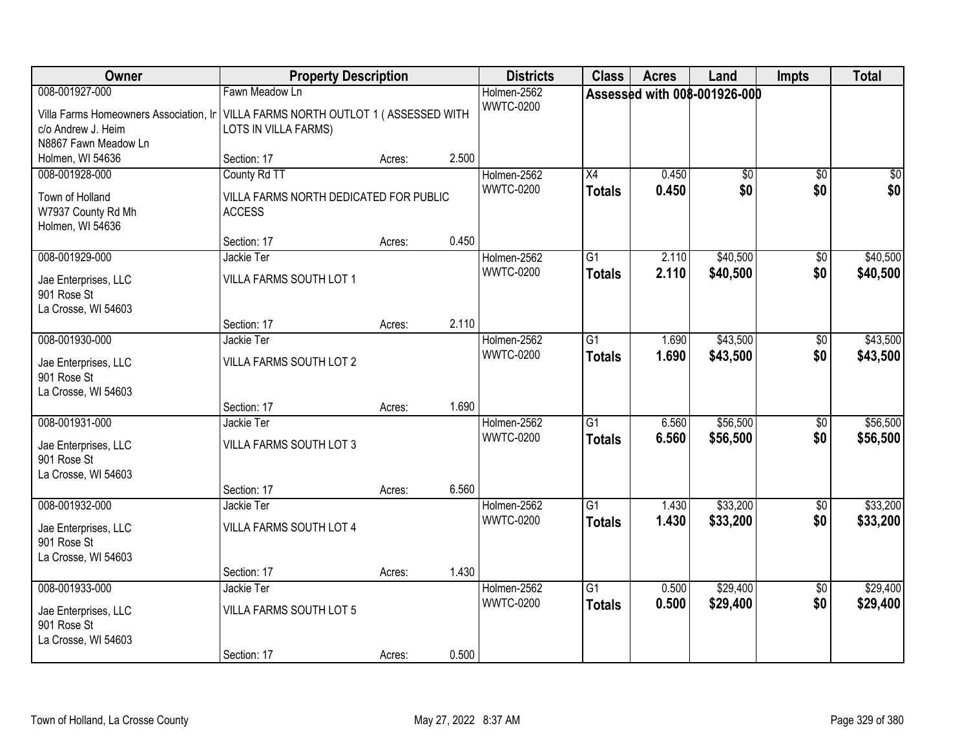| Owner                                                                                                                                              | <b>Property Description</b>                                             |        |       | <b>Districts</b>                | <b>Class</b>                     | <b>Acres</b>   | Land                         | <b>Impts</b>           | <b>Total</b>         |
|----------------------------------------------------------------------------------------------------------------------------------------------------|-------------------------------------------------------------------------|--------|-------|---------------------------------|----------------------------------|----------------|------------------------------|------------------------|----------------------|
| 008-001927-000<br>Villa Farms Homeowners Association, Ir   VILLA FARMS NORTH OUTLOT 1 (ASSESSED WITH<br>c/o Andrew J. Heim<br>N8867 Fawn Meadow Ln | Fawn Meadow Ln<br>LOTS IN VILLA FARMS)                                  |        |       | Holmen-2562<br><b>WWTC-0200</b> |                                  |                | Assessed with 008-001926-000 |                        |                      |
| Holmen, WI 54636                                                                                                                                   | Section: 17                                                             | Acres: | 2.500 |                                 |                                  |                |                              |                        |                      |
| 008-001928-000<br>Town of Holland<br>W7937 County Rd Mh<br>Holmen, WI 54636                                                                        | County Rd TT<br>VILLA FARMS NORTH DEDICATED FOR PUBLIC<br><b>ACCESS</b> |        |       | Holmen-2562<br><b>WWTC-0200</b> | $\overline{X4}$<br><b>Totals</b> | 0.450<br>0.450 | $\overline{50}$<br>\$0       | $\overline{50}$<br>\$0 | $\sqrt{50}$<br>\$0   |
|                                                                                                                                                    | Section: 17                                                             | Acres: | 0.450 |                                 |                                  |                |                              |                        |                      |
| 008-001929-000<br>Jae Enterprises, LLC<br>901 Rose St<br>La Crosse, WI 54603                                                                       | Jackie Ter<br>VILLA FARMS SOUTH LOT 1                                   |        |       | Holmen-2562<br><b>WWTC-0200</b> | G1<br><b>Totals</b>              | 2.110<br>2.110 | \$40,500<br>\$40,500         | \$0<br>\$0             | \$40,500<br>\$40,500 |
|                                                                                                                                                    | Section: 17                                                             | Acres: | 2.110 |                                 |                                  |                |                              |                        |                      |
| 008-001930-000<br>Jae Enterprises, LLC<br>901 Rose St<br>La Crosse, WI 54603                                                                       | Jackie Ter<br>VILLA FARMS SOUTH LOT 2                                   |        |       | Holmen-2562<br><b>WWTC-0200</b> | G1<br><b>Totals</b>              | 1.690<br>1.690 | \$43,500<br>\$43,500         | \$0<br>\$0             | \$43,500<br>\$43,500 |
|                                                                                                                                                    | Section: 17                                                             | Acres: | 1.690 |                                 |                                  |                |                              |                        |                      |
| 008-001931-000<br>Jae Enterprises, LLC<br>901 Rose St<br>La Crosse, WI 54603                                                                       | Jackie Ter<br>VILLA FARMS SOUTH LOT 3                                   |        |       | Holmen-2562<br><b>WWTC-0200</b> | $\overline{G1}$<br><b>Totals</b> | 6.560<br>6.560 | \$56,500<br>\$56,500         | $\overline{50}$<br>\$0 | \$56,500<br>\$56,500 |
| 008-001932-000                                                                                                                                     | Section: 17<br>Jackie Ter                                               | Acres: | 6.560 | Holmen-2562                     | $\overline{G1}$                  |                | \$33,200                     |                        | \$33,200             |
| Jae Enterprises, LLC<br>901 Rose St<br>La Crosse, WI 54603                                                                                         | VILLA FARMS SOUTH LOT 4                                                 |        |       | <b>WWTC-0200</b>                | <b>Totals</b>                    | 1.430<br>1.430 | \$33,200                     | $\overline{60}$<br>\$0 | \$33,200             |
|                                                                                                                                                    | Section: 17                                                             | Acres: | 1.430 |                                 |                                  |                |                              |                        |                      |
| 008-001933-000<br>Jae Enterprises, LLC<br>901 Rose St<br>La Crosse, WI 54603                                                                       | Jackie Ter<br>VILLA FARMS SOUTH LOT 5<br>Section: 17                    | Acres: | 0.500 | Holmen-2562<br><b>WWTC-0200</b> | $\overline{G1}$<br><b>Totals</b> | 0.500<br>0.500 | \$29,400<br>\$29,400         | $\overline{50}$<br>\$0 | \$29,400<br>\$29,400 |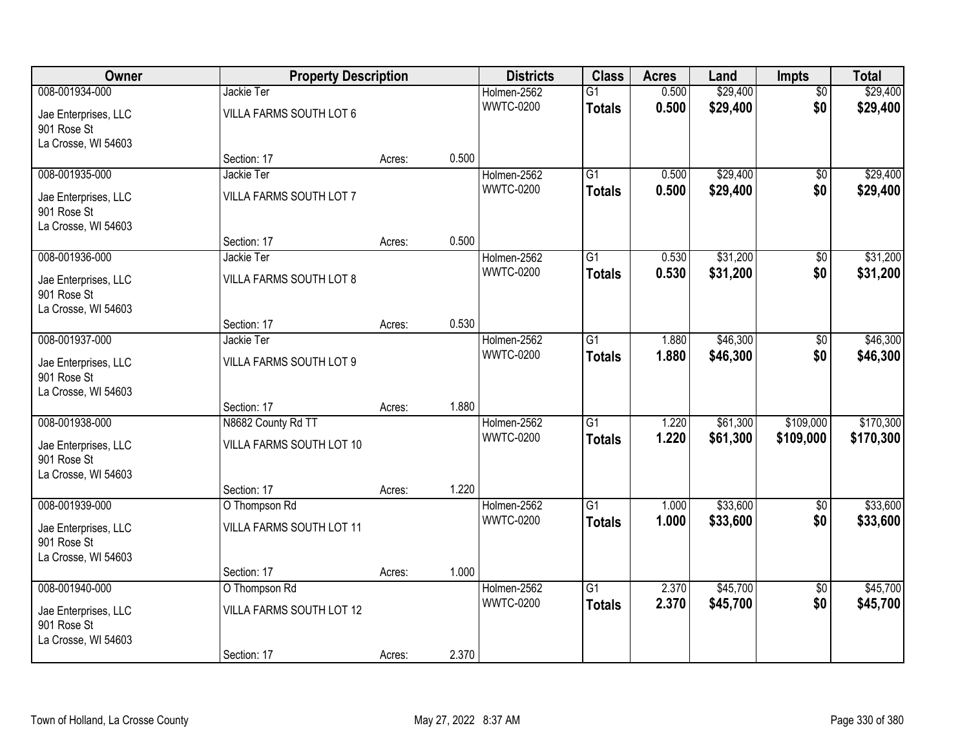| Owner                                  | <b>Property Description</b>           |        |       | <b>Districts</b>                | <b>Class</b>                     | <b>Acres</b>   | Land                 | Impts                  | <b>Total</b>         |
|----------------------------------------|---------------------------------------|--------|-------|---------------------------------|----------------------------------|----------------|----------------------|------------------------|----------------------|
| 008-001934-000<br>Jae Enterprises, LLC | Jackie Ter<br>VILLA FARMS SOUTH LOT 6 |        |       | Holmen-2562<br><b>WWTC-0200</b> | $\overline{G1}$<br><b>Totals</b> | 0.500<br>0.500 | \$29,400<br>\$29,400 | $\overline{60}$<br>\$0 | \$29,400<br>\$29,400 |
| 901 Rose St<br>La Crosse, WI 54603     |                                       |        |       |                                 |                                  |                |                      |                        |                      |
|                                        | Section: 17                           | Acres: | 0.500 |                                 |                                  |                |                      |                        |                      |
| 008-001935-000                         | Jackie Ter                            |        |       | Holmen-2562<br><b>WWTC-0200</b> | $\overline{G1}$                  | 0.500          | \$29,400             | $\overline{50}$        | \$29,400             |
| Jae Enterprises, LLC<br>901 Rose St    | VILLA FARMS SOUTH LOT 7               |        |       |                                 | <b>Totals</b>                    | 0.500          | \$29,400             | \$0                    | \$29,400             |
| La Crosse, WI 54603                    |                                       |        |       |                                 |                                  |                |                      |                        |                      |
|                                        | Section: 17                           | Acres: | 0.500 |                                 |                                  |                |                      |                        |                      |
| 008-001936-000                         | Jackie Ter                            |        |       | Holmen-2562                     | G1                               | 0.530          | \$31,200             | \$0                    | \$31,200             |
| Jae Enterprises, LLC<br>901 Rose St    | VILLA FARMS SOUTH LOT 8               |        |       | <b>WWTC-0200</b>                | <b>Totals</b>                    | 0.530          | \$31,200             | \$0                    | \$31,200             |
| La Crosse, WI 54603                    |                                       |        |       |                                 |                                  |                |                      |                        |                      |
|                                        | Section: 17                           | Acres: | 0.530 |                                 |                                  |                |                      |                        |                      |
| 008-001937-000                         | Jackie Ter                            |        |       | Holmen-2562                     | G1                               | 1.880          | \$46,300             | \$0                    | \$46,300             |
| Jae Enterprises, LLC<br>901 Rose St    | VILLA FARMS SOUTH LOT 9               |        |       | <b>WWTC-0200</b>                | <b>Totals</b>                    | 1.880          | \$46,300             | \$0                    | \$46,300             |
| La Crosse, WI 54603                    |                                       |        |       |                                 |                                  |                |                      |                        |                      |
|                                        | Section: 17                           | Acres: | 1.880 |                                 |                                  |                |                      |                        |                      |
| 008-001938-000                         | N8682 County Rd TT                    |        |       | Holmen-2562                     | $\overline{G1}$                  | 1.220          | \$61,300             | \$109,000              | \$170,300            |
| Jae Enterprises, LLC                   | VILLA FARMS SOUTH LOT 10              |        |       | <b>WWTC-0200</b>                | <b>Totals</b>                    | 1.220          | \$61,300             | \$109,000              | \$170,300            |
| 901 Rose St                            |                                       |        |       |                                 |                                  |                |                      |                        |                      |
| La Crosse, WI 54603                    |                                       |        |       |                                 |                                  |                |                      |                        |                      |
|                                        | Section: 17                           | Acres: | 1.220 |                                 |                                  |                |                      |                        |                      |
| 008-001939-000                         | O Thompson Rd                         |        |       | Holmen-2562                     | $\overline{G1}$                  | 1.000          | \$33,600             | $\sqrt{6}$             | \$33,600             |
| Jae Enterprises, LLC<br>901 Rose St    | VILLA FARMS SOUTH LOT 11              |        |       | <b>WWTC-0200</b>                | <b>Totals</b>                    | 1.000          | \$33,600             | \$0                    | \$33,600             |
| La Crosse, WI 54603                    |                                       |        |       |                                 |                                  |                |                      |                        |                      |
|                                        | Section: 17                           | Acres: | 1.000 |                                 |                                  |                |                      |                        |                      |
| 008-001940-000                         | O Thompson Rd                         |        |       | Holmen-2562                     | $\overline{G1}$                  | 2.370          | \$45,700             | $\overline{50}$        | \$45,700             |
| Jae Enterprises, LLC                   | VILLA FARMS SOUTH LOT 12              |        |       | <b>WWTC-0200</b>                | <b>Totals</b>                    | 2.370          | \$45,700             | \$0                    | \$45,700             |
| 901 Rose St                            |                                       |        |       |                                 |                                  |                |                      |                        |                      |
| La Crosse, WI 54603                    |                                       |        |       |                                 |                                  |                |                      |                        |                      |
|                                        | Section: 17                           | Acres: | 2.370 |                                 |                                  |                |                      |                        |                      |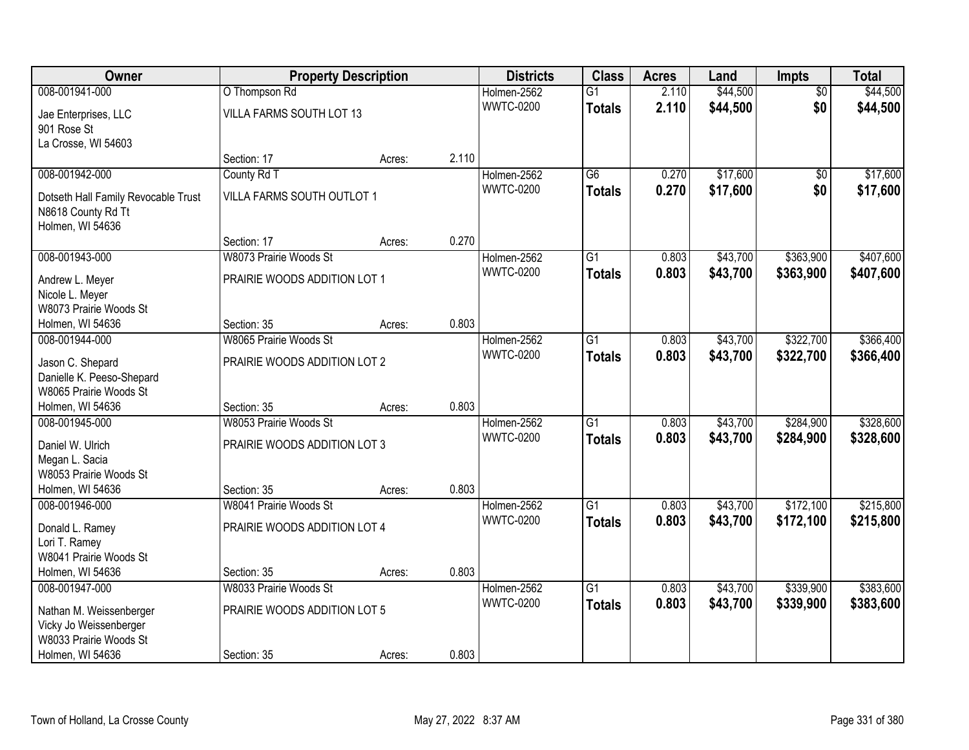| Owner                                         |                                       | <b>Property Description</b> |       | <b>Districts</b>                | <b>Class</b>    | <b>Acres</b> | Land     | <b>Impts</b>    | <b>Total</b> |
|-----------------------------------------------|---------------------------------------|-----------------------------|-------|---------------------------------|-----------------|--------------|----------|-----------------|--------------|
| 008-001941-000                                | O Thompson Rd                         |                             |       | Holmen-2562                     | $\overline{G1}$ | 2.110        | \$44,500 | $\overline{50}$ | \$44,500     |
| Jae Enterprises, LLC                          | VILLA FARMS SOUTH LOT 13              |                             |       | <b>WWTC-0200</b>                | <b>Totals</b>   | 2.110        | \$44,500 | \$0             | \$44,500     |
| 901 Rose St                                   |                                       |                             |       |                                 |                 |              |          |                 |              |
| La Crosse, WI 54603                           |                                       |                             |       |                                 |                 |              |          |                 |              |
|                                               | Section: 17                           | Acres:                      | 2.110 |                                 |                 |              |          |                 |              |
| 008-001942-000                                | County Rd T                           |                             |       | Holmen-2562                     | $\overline{G6}$ | 0.270        | \$17,600 | $\overline{50}$ | \$17,600     |
| Dotseth Hall Family Revocable Trust           | VILLA FARMS SOUTH OUTLOT 1            |                             |       | <b>WWTC-0200</b>                | <b>Totals</b>   | 0.270        | \$17,600 | \$0             | \$17,600     |
| N8618 County Rd Tt                            |                                       |                             |       |                                 |                 |              |          |                 |              |
| Holmen, WI 54636                              |                                       |                             |       |                                 |                 |              |          |                 |              |
|                                               | Section: 17                           | Acres:                      | 0.270 |                                 |                 |              |          |                 |              |
| 008-001943-000                                | W8073 Prairie Woods St                |                             |       | Holmen-2562                     | G1              | 0.803        | \$43,700 | \$363,900       | \$407,600    |
| Andrew L. Meyer                               | PRAIRIE WOODS ADDITION LOT 1          |                             |       | <b>WWTC-0200</b>                | <b>Totals</b>   | 0.803        | \$43,700 | \$363,900       | \$407,600    |
| Nicole L. Meyer                               |                                       |                             |       |                                 |                 |              |          |                 |              |
| W8073 Prairie Woods St                        |                                       |                             |       |                                 |                 |              |          |                 |              |
| Holmen, WI 54636                              | Section: 35                           | Acres:                      | 0.803 |                                 |                 |              |          |                 |              |
| 008-001944-000                                | W8065 Prairie Woods St                |                             |       | Holmen-2562                     | G1              | 0.803        | \$43,700 | \$322,700       | \$366,400    |
|                                               | PRAIRIE WOODS ADDITION LOT 2          |                             |       | <b>WWTC-0200</b>                | <b>Totals</b>   | 0.803        | \$43,700 | \$322,700       | \$366,400    |
| Jason C. Shepard<br>Danielle K. Peeso-Shepard |                                       |                             |       |                                 |                 |              |          |                 |              |
| W8065 Prairie Woods St                        |                                       |                             |       |                                 |                 |              |          |                 |              |
| Holmen, WI 54636                              | Section: 35                           | Acres:                      | 0.803 |                                 |                 |              |          |                 |              |
| 008-001945-000                                | W8053 Prairie Woods St                |                             |       | Holmen-2562                     | $\overline{G1}$ | 0.803        | \$43,700 | \$284,900       | \$328,600    |
|                                               |                                       |                             |       | <b>WWTC-0200</b>                | <b>Totals</b>   | 0.803        | \$43,700 | \$284,900       | \$328,600    |
| Daniel W. Ulrich                              | PRAIRIE WOODS ADDITION LOT 3          |                             |       |                                 |                 |              |          |                 |              |
| Megan L. Sacia<br>W8053 Prairie Woods St      |                                       |                             |       |                                 |                 |              |          |                 |              |
| Holmen, WI 54636                              | Section: 35                           | Acres:                      | 0.803 |                                 |                 |              |          |                 |              |
| 008-001946-000                                | W8041 Prairie Woods St                |                             |       | Holmen-2562                     | $\overline{G1}$ | 0.803        | \$43,700 | \$172,100       | \$215,800    |
|                                               |                                       |                             |       | <b>WWTC-0200</b>                | <b>Totals</b>   | 0.803        | \$43,700 | \$172,100       | \$215,800    |
| Donald L. Ramey                               | PRAIRIE WOODS ADDITION LOT 4          |                             |       |                                 |                 |              |          |                 |              |
| Lori T. Ramey                                 |                                       |                             |       |                                 |                 |              |          |                 |              |
| W8041 Prairie Woods St                        |                                       |                             |       |                                 |                 |              |          |                 |              |
| Holmen, WI 54636                              | Section: 35<br>W8033 Prairie Woods St | Acres:                      | 0.803 |                                 | $\overline{G1}$ |              |          |                 |              |
| 008-001947-000                                |                                       |                             |       | Holmen-2562<br><b>WWTC-0200</b> |                 | 0.803        | \$43,700 | \$339,900       | \$383,600    |
| Nathan M. Weissenberger                       | PRAIRIE WOODS ADDITION LOT 5          |                             |       |                                 | <b>Totals</b>   | 0.803        | \$43,700 | \$339,900       | \$383,600    |
| Vicky Jo Weissenberger                        |                                       |                             |       |                                 |                 |              |          |                 |              |
| W8033 Prairie Woods St                        |                                       |                             |       |                                 |                 |              |          |                 |              |
| Holmen, WI 54636                              | Section: 35                           | Acres:                      | 0.803 |                                 |                 |              |          |                 |              |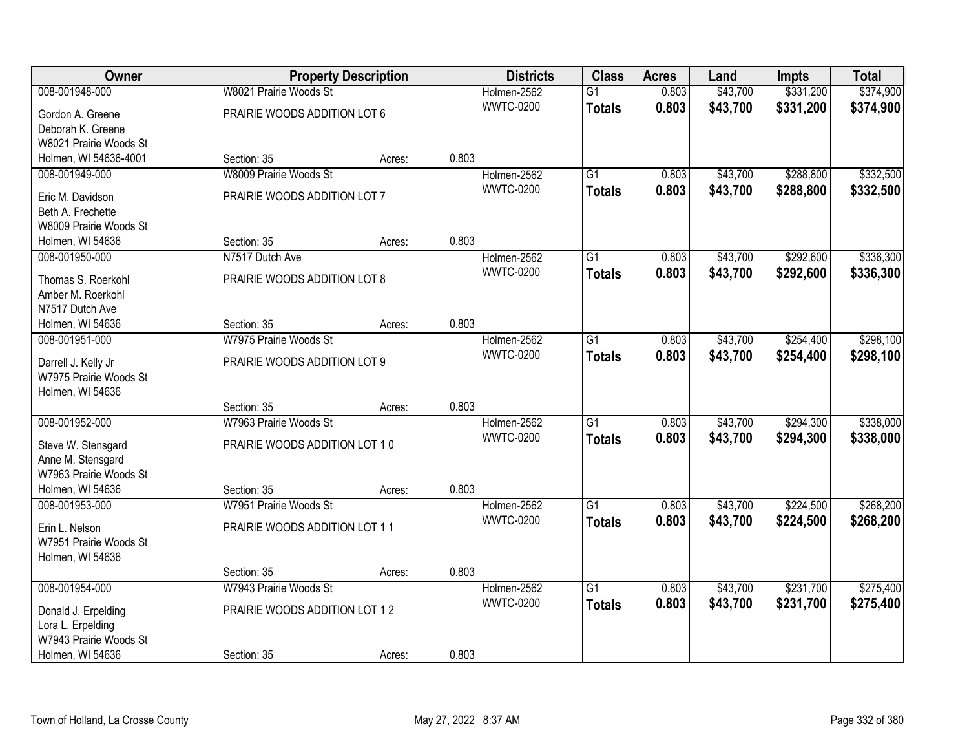| Owner                  |                               | <b>Property Description</b> |       | <b>Districts</b> | <b>Class</b>    | <b>Acres</b> | Land     | <b>Impts</b> | <b>Total</b> |
|------------------------|-------------------------------|-----------------------------|-------|------------------|-----------------|--------------|----------|--------------|--------------|
| 008-001948-000         | W8021 Prairie Woods St        |                             |       | Holmen-2562      | $\overline{G1}$ | 0.803        | \$43,700 | \$331,200    | \$374,900    |
| Gordon A. Greene       | PRAIRIE WOODS ADDITION LOT 6  |                             |       | <b>WWTC-0200</b> | <b>Totals</b>   | 0.803        | \$43,700 | \$331,200    | \$374,900    |
| Deborah K. Greene      |                               |                             |       |                  |                 |              |          |              |              |
| W8021 Prairie Woods St |                               |                             |       |                  |                 |              |          |              |              |
| Holmen, WI 54636-4001  | Section: 35                   | Acres:                      | 0.803 |                  |                 |              |          |              |              |
| 008-001949-000         | W8009 Prairie Woods St        |                             |       | Holmen-2562      | $\overline{G1}$ | 0.803        | \$43,700 | \$288,800    | \$332,500    |
| Eric M. Davidson       | PRAIRIE WOODS ADDITION LOT 7  |                             |       | <b>WWTC-0200</b> | <b>Totals</b>   | 0.803        | \$43,700 | \$288,800    | \$332,500    |
| Beth A. Frechette      |                               |                             |       |                  |                 |              |          |              |              |
| W8009 Prairie Woods St |                               |                             |       |                  |                 |              |          |              |              |
| Holmen, WI 54636       | Section: 35                   | Acres:                      | 0.803 |                  |                 |              |          |              |              |
| 008-001950-000         | N7517 Dutch Ave               |                             |       | Holmen-2562      | $\overline{G1}$ | 0.803        | \$43,700 | \$292,600    | \$336,300    |
|                        |                               |                             |       | <b>WWTC-0200</b> | <b>Totals</b>   | 0.803        | \$43,700 | \$292,600    | \$336,300    |
| Thomas S. Roerkohl     | PRAIRIE WOODS ADDITION LOT 8  |                             |       |                  |                 |              |          |              |              |
| Amber M. Roerkohl      |                               |                             |       |                  |                 |              |          |              |              |
| N7517 Dutch Ave        |                               |                             |       |                  |                 |              |          |              |              |
| Holmen, WI 54636       | Section: 35                   | Acres:                      | 0.803 |                  |                 |              |          |              |              |
| 008-001951-000         | W7975 Prairie Woods St        |                             |       | Holmen-2562      | $\overline{G1}$ | 0.803        | \$43,700 | \$254,400    | \$298,100    |
| Darrell J. Kelly Jr    | PRAIRIE WOODS ADDITION LOT 9  |                             |       | <b>WWTC-0200</b> | <b>Totals</b>   | 0.803        | \$43,700 | \$254,400    | \$298,100    |
| W7975 Prairie Woods St |                               |                             |       |                  |                 |              |          |              |              |
| Holmen, WI 54636       |                               |                             |       |                  |                 |              |          |              |              |
|                        | Section: 35                   | Acres:                      | 0.803 |                  |                 |              |          |              |              |
| 008-001952-000         | W7963 Prairie Woods St        |                             |       | Holmen-2562      | $\overline{G1}$ | 0.803        | \$43,700 | \$294,300    | \$338,000    |
| Steve W. Stensgard     | PRAIRIE WOODS ADDITION LOT 10 |                             |       | <b>WWTC-0200</b> | <b>Totals</b>   | 0.803        | \$43,700 | \$294,300    | \$338,000    |
| Anne M. Stensgard      |                               |                             |       |                  |                 |              |          |              |              |
| W7963 Prairie Woods St |                               |                             |       |                  |                 |              |          |              |              |
| Holmen, WI 54636       | Section: 35                   | Acres:                      | 0.803 |                  |                 |              |          |              |              |
| 008-001953-000         | W7951 Prairie Woods St        |                             |       | Holmen-2562      | $\overline{G1}$ | 0.803        | \$43,700 | \$224,500    | \$268,200    |
|                        |                               |                             |       | <b>WWTC-0200</b> | <b>Totals</b>   | 0.803        | \$43,700 | \$224,500    | \$268,200    |
| Erin L. Nelson         | PRAIRIE WOODS ADDITION LOT 11 |                             |       |                  |                 |              |          |              |              |
| W7951 Prairie Woods St |                               |                             |       |                  |                 |              |          |              |              |
| Holmen, WI 54636       |                               |                             |       |                  |                 |              |          |              |              |
|                        | Section: 35                   | Acres:                      | 0.803 |                  |                 |              |          |              |              |
| 008-001954-000         | W7943 Prairie Woods St        |                             |       | Holmen-2562      | $\overline{G1}$ | 0.803        | \$43,700 | \$231,700    | \$275,400    |
| Donald J. Erpelding    | PRAIRIE WOODS ADDITION LOT 12 |                             |       | <b>WWTC-0200</b> | <b>Totals</b>   | 0.803        | \$43,700 | \$231,700    | \$275,400    |
| Lora L. Erpelding      |                               |                             |       |                  |                 |              |          |              |              |
| W7943 Prairie Woods St |                               |                             |       |                  |                 |              |          |              |              |
| Holmen, WI 54636       | Section: 35                   | Acres:                      | 0.803 |                  |                 |              |          |              |              |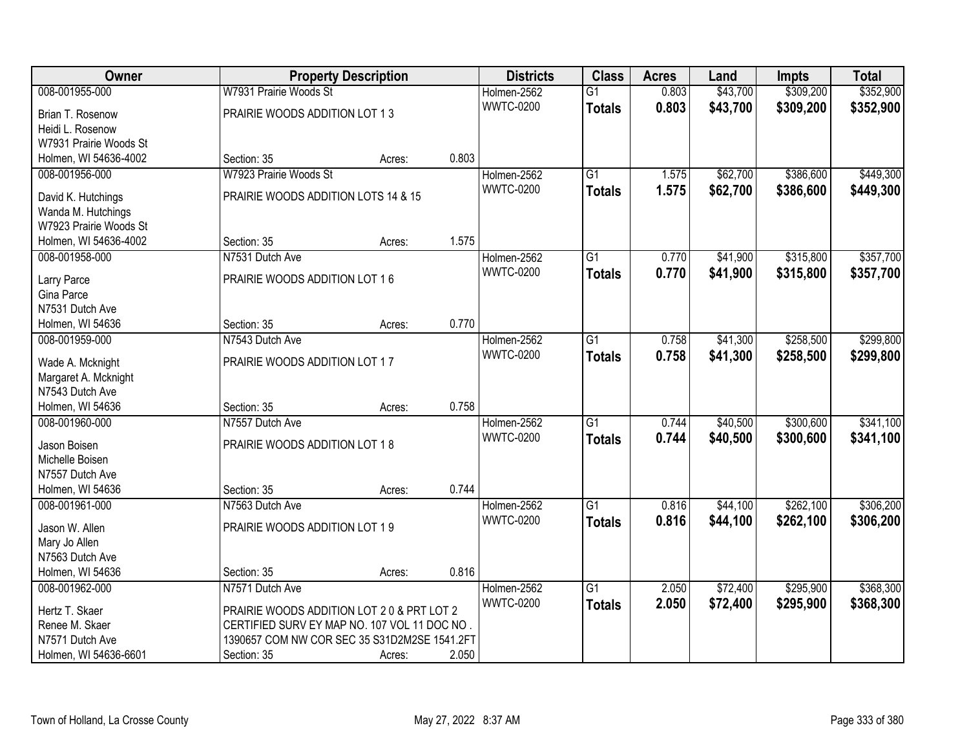| Owner                  |                                              | <b>Property Description</b> |       | <b>Districts</b> | <b>Class</b>    | <b>Acres</b> | Land     | <b>Impts</b> | <b>Total</b> |
|------------------------|----------------------------------------------|-----------------------------|-------|------------------|-----------------|--------------|----------|--------------|--------------|
| 008-001955-000         | W7931 Prairie Woods St                       |                             |       | Holmen-2562      | $\overline{G1}$ | 0.803        | \$43,700 | \$309,200    | \$352,900    |
| Brian T. Rosenow       | PRAIRIE WOODS ADDITION LOT 13                |                             |       | <b>WWTC-0200</b> | <b>Totals</b>   | 0.803        | \$43,700 | \$309,200    | \$352,900    |
| Heidi L. Rosenow       |                                              |                             |       |                  |                 |              |          |              |              |
| W7931 Prairie Woods St |                                              |                             |       |                  |                 |              |          |              |              |
| Holmen, WI 54636-4002  | Section: 35                                  | Acres:                      | 0.803 |                  |                 |              |          |              |              |
| 008-001956-000         | W7923 Prairie Woods St                       |                             |       | Holmen-2562      | $\overline{G1}$ | 1.575        | \$62,700 | \$386,600    | \$449,300    |
|                        |                                              |                             |       | <b>WWTC-0200</b> | <b>Totals</b>   | 1.575        | \$62,700 | \$386,600    | \$449,300    |
| David K. Hutchings     | PRAIRIE WOODS ADDITION LOTS 14 & 15          |                             |       |                  |                 |              |          |              |              |
| Wanda M. Hutchings     |                                              |                             |       |                  |                 |              |          |              |              |
| W7923 Prairie Woods St |                                              |                             |       |                  |                 |              |          |              |              |
| Holmen, WI 54636-4002  | Section: 35                                  | Acres:                      | 1.575 |                  |                 |              |          |              |              |
| 008-001958-000         | N7531 Dutch Ave                              |                             |       | Holmen-2562      | $\overline{G1}$ | 0.770        | \$41,900 | \$315,800    | \$357,700    |
| Larry Parce            | PRAIRIE WOODS ADDITION LOT 16                |                             |       | <b>WWTC-0200</b> | <b>Totals</b>   | 0.770        | \$41,900 | \$315,800    | \$357,700    |
| Gina Parce             |                                              |                             |       |                  |                 |              |          |              |              |
| N7531 Dutch Ave        |                                              |                             |       |                  |                 |              |          |              |              |
| Holmen, WI 54636       | Section: 35                                  | Acres:                      | 0.770 |                  |                 |              |          |              |              |
| 008-001959-000         | N7543 Dutch Ave                              |                             |       | Holmen-2562      | $\overline{G1}$ | 0.758        | \$41,300 | \$258,500    | \$299,800    |
|                        |                                              |                             |       | <b>WWTC-0200</b> | <b>Totals</b>   | 0.758        | \$41,300 | \$258,500    | \$299,800    |
| Wade A. Mcknight       | PRAIRIE WOODS ADDITION LOT 17                |                             |       |                  |                 |              |          |              |              |
| Margaret A. Mcknight   |                                              |                             |       |                  |                 |              |          |              |              |
| N7543 Dutch Ave        |                                              |                             |       |                  |                 |              |          |              |              |
| Holmen, WI 54636       | Section: 35                                  | Acres:                      | 0.758 |                  |                 |              |          |              |              |
| 008-001960-000         | N7557 Dutch Ave                              |                             |       | Holmen-2562      | $\overline{G1}$ | 0.744        | \$40,500 | \$300,600    | \$341,100    |
| Jason Boisen           | PRAIRIE WOODS ADDITION LOT 18                |                             |       | <b>WWTC-0200</b> | <b>Totals</b>   | 0.744        | \$40,500 | \$300,600    | \$341,100    |
| Michelle Boisen        |                                              |                             |       |                  |                 |              |          |              |              |
| N7557 Dutch Ave        |                                              |                             |       |                  |                 |              |          |              |              |
| Holmen, WI 54636       | Section: 35                                  | Acres:                      | 0.744 |                  |                 |              |          |              |              |
| 008-001961-000         | N7563 Dutch Ave                              |                             |       | Holmen-2562      | $\overline{G1}$ | 0.816        | \$44,100 | \$262,100    | \$306,200    |
|                        |                                              |                             |       | <b>WWTC-0200</b> | <b>Totals</b>   | 0.816        | \$44,100 | \$262,100    | \$306,200    |
| Jason W. Allen         | PRAIRIE WOODS ADDITION LOT 19                |                             |       |                  |                 |              |          |              |              |
| Mary Jo Allen          |                                              |                             |       |                  |                 |              |          |              |              |
| N7563 Dutch Ave        |                                              |                             |       |                  |                 |              |          |              |              |
| Holmen, WI 54636       | Section: 35                                  | Acres:                      | 0.816 |                  |                 |              |          |              |              |
| 008-001962-000         | N7571 Dutch Ave                              |                             |       | Holmen-2562      | $\overline{G1}$ | 2.050        | \$72,400 | \$295,900    | \$368,300    |
| Hertz T. Skaer         | PRAIRIE WOODS ADDITION LOT 20 & PRT LOT 2    |                             |       | <b>WWTC-0200</b> | <b>Totals</b>   | 2.050        | \$72,400 | \$295,900    | \$368,300    |
| Renee M. Skaer         | CERTIFIED SURV EY MAP NO. 107 VOL 11 DOC NO. |                             |       |                  |                 |              |          |              |              |
| N7571 Dutch Ave        | 1390657 COM NW COR SEC 35 S31D2M2SE 1541.2FT |                             |       |                  |                 |              |          |              |              |
| Holmen, WI 54636-6601  | Section: 35                                  | Acres:                      | 2.050 |                  |                 |              |          |              |              |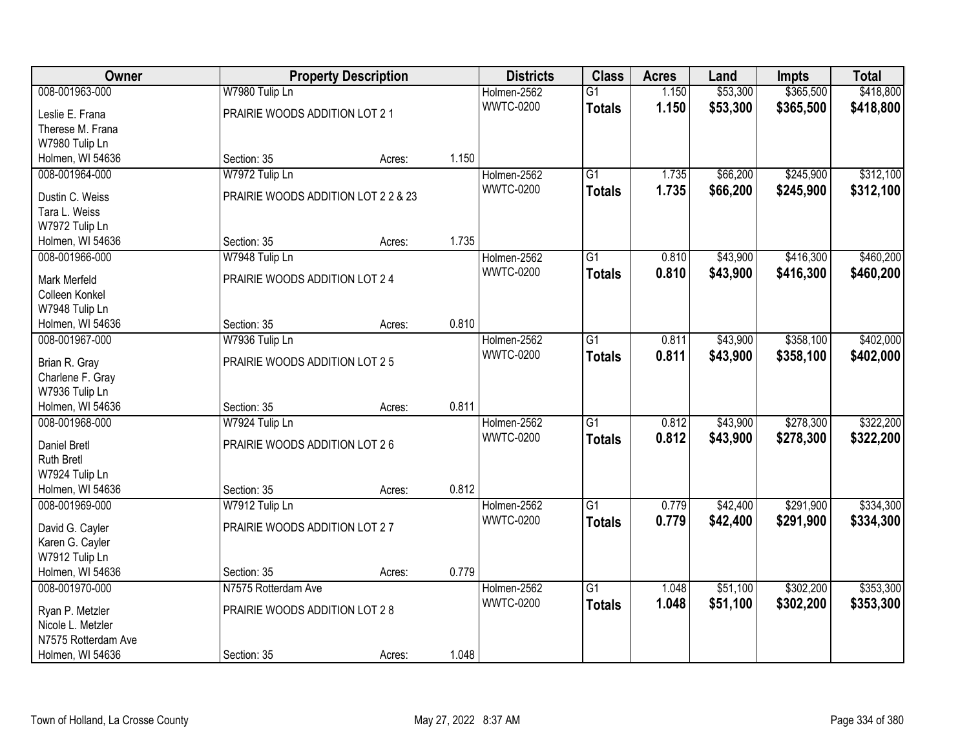| Owner                            |                                     | <b>Property Description</b> |       | <b>Districts</b> | <b>Class</b>    | <b>Acres</b> | Land     | <b>Impts</b> | <b>Total</b> |
|----------------------------------|-------------------------------------|-----------------------------|-------|------------------|-----------------|--------------|----------|--------------|--------------|
| 008-001963-000                   | W7980 Tulip Ln                      |                             |       | Holmen-2562      | $\overline{G1}$ | 1.150        | \$53,300 | \$365,500    | \$418,800    |
| Leslie E. Frana                  | PRAIRIE WOODS ADDITION LOT 21       |                             |       | <b>WWTC-0200</b> | <b>Totals</b>   | 1.150        | \$53,300 | \$365,500    | \$418,800    |
| Therese M. Frana                 |                                     |                             |       |                  |                 |              |          |              |              |
| W7980 Tulip Ln                   |                                     |                             |       |                  |                 |              |          |              |              |
| Holmen, WI 54636                 | Section: 35                         | Acres:                      | 1.150 |                  |                 |              |          |              |              |
| 008-001964-000                   | W7972 Tulip Ln                      |                             |       | Holmen-2562      | $\overline{G1}$ | 1.735        | \$66,200 | \$245,900    | \$312,100    |
| Dustin C. Weiss                  | PRAIRIE WOODS ADDITION LOT 2 2 & 23 |                             |       | <b>WWTC-0200</b> | <b>Totals</b>   | 1.735        | \$66,200 | \$245,900    | \$312,100    |
| Tara L. Weiss                    |                                     |                             |       |                  |                 |              |          |              |              |
| W7972 Tulip Ln                   |                                     |                             |       |                  |                 |              |          |              |              |
| Holmen, WI 54636                 | Section: 35                         | Acres:                      | 1.735 |                  |                 |              |          |              |              |
| 008-001966-000                   | W7948 Tulip Ln                      |                             |       | Holmen-2562      | $\overline{G1}$ | 0.810        | \$43,900 | \$416,300    | \$460,200    |
|                                  |                                     |                             |       | <b>WWTC-0200</b> | <b>Totals</b>   | 0.810        | \$43,900 | \$416,300    | \$460,200    |
| Mark Merfeld                     | PRAIRIE WOODS ADDITION LOT 24       |                             |       |                  |                 |              |          |              |              |
| Colleen Konkel<br>W7948 Tulip Ln |                                     |                             |       |                  |                 |              |          |              |              |
| Holmen, WI 54636                 | Section: 35                         | Acres:                      | 0.810 |                  |                 |              |          |              |              |
| 008-001967-000                   | W7936 Tulip Ln                      |                             |       | Holmen-2562      | $\overline{G1}$ | 0.811        | \$43,900 | \$358,100    | \$402,000    |
|                                  |                                     |                             |       | <b>WWTC-0200</b> | <b>Totals</b>   | 0.811        | \$43,900 | \$358,100    | \$402,000    |
| Brian R. Gray                    | PRAIRIE WOODS ADDITION LOT 25       |                             |       |                  |                 |              |          |              |              |
| Charlene F. Gray                 |                                     |                             |       |                  |                 |              |          |              |              |
| W7936 Tulip Ln                   |                                     |                             |       |                  |                 |              |          |              |              |
| Holmen, WI 54636                 | Section: 35                         | Acres:                      | 0.811 |                  |                 |              |          |              |              |
| 008-001968-000                   | W7924 Tulip Ln                      |                             |       | Holmen-2562      | $\overline{G1}$ | 0.812        | \$43,900 | \$278,300    | \$322,200    |
| Daniel Bretl                     | PRAIRIE WOODS ADDITION LOT 26       |                             |       | <b>WWTC-0200</b> | <b>Totals</b>   | 0.812        | \$43,900 | \$278,300    | \$322,200    |
| <b>Ruth Bretl</b>                |                                     |                             |       |                  |                 |              |          |              |              |
| W7924 Tulip Ln                   |                                     |                             |       |                  |                 |              |          |              |              |
| Holmen, WI 54636                 | Section: 35                         | Acres:                      | 0.812 |                  |                 |              |          |              |              |
| 008-001969-000                   | W7912 Tulip Ln                      |                             |       | Holmen-2562      | $\overline{G1}$ | 0.779        | \$42,400 | \$291,900    | \$334,300    |
| David G. Cayler                  | PRAIRIE WOODS ADDITION LOT 27       |                             |       | <b>WWTC-0200</b> | <b>Totals</b>   | 0.779        | \$42,400 | \$291,900    | \$334,300    |
| Karen G. Cayler                  |                                     |                             |       |                  |                 |              |          |              |              |
| W7912 Tulip Ln                   |                                     |                             |       |                  |                 |              |          |              |              |
| Holmen, WI 54636                 | Section: 35                         | Acres:                      | 0.779 |                  |                 |              |          |              |              |
| 008-001970-000                   | N7575 Rotterdam Ave                 |                             |       | Holmen-2562      | $\overline{G1}$ | 1.048        | \$51,100 | \$302,200    | \$353,300    |
| Ryan P. Metzler                  | PRAIRIE WOODS ADDITION LOT 28       |                             |       | <b>WWTC-0200</b> | <b>Totals</b>   | 1.048        | \$51,100 | \$302,200    | \$353,300    |
| Nicole L. Metzler                |                                     |                             |       |                  |                 |              |          |              |              |
| N7575 Rotterdam Ave              |                                     |                             |       |                  |                 |              |          |              |              |
| Holmen, WI 54636                 | Section: 35                         | Acres:                      | 1.048 |                  |                 |              |          |              |              |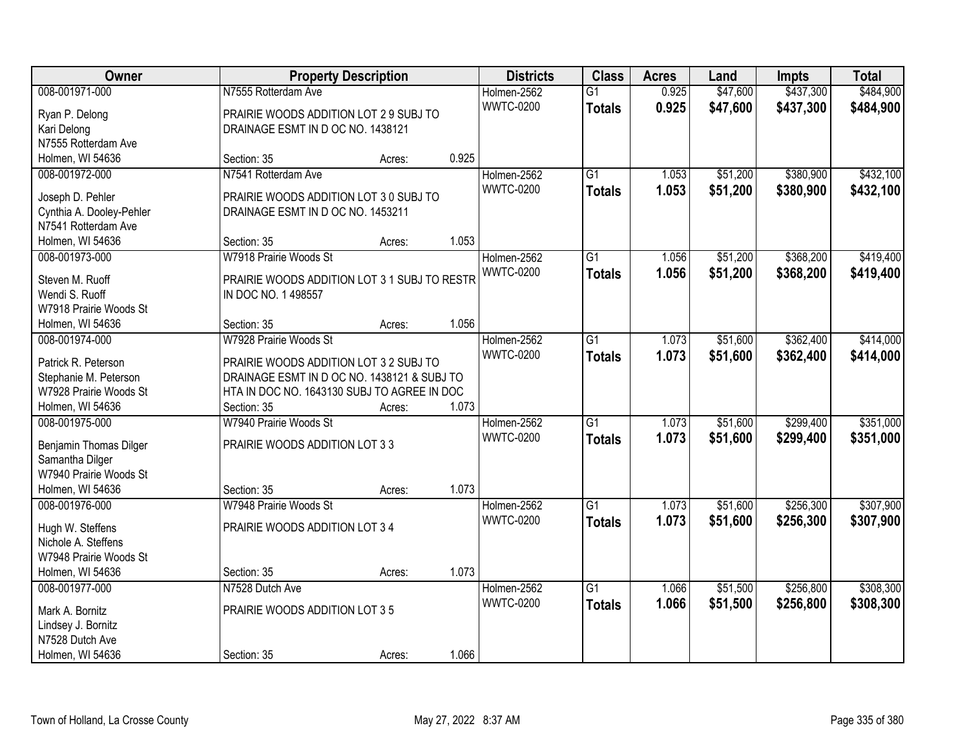| Owner                    |                                              | <b>Property Description</b> |       | <b>Districts</b> | <b>Class</b>    | <b>Acres</b> | Land     | <b>Impts</b> | <b>Total</b> |
|--------------------------|----------------------------------------------|-----------------------------|-------|------------------|-----------------|--------------|----------|--------------|--------------|
| 008-001971-000           | N7555 Rotterdam Ave                          |                             |       | Holmen-2562      | $\overline{G1}$ | 0.925        | \$47,600 | \$437,300    | \$484,900    |
| Ryan P. Delong           | PRAIRIE WOODS ADDITION LOT 2 9 SUBJ TO       |                             |       | <b>WWTC-0200</b> | <b>Totals</b>   | 0.925        | \$47,600 | \$437,300    | \$484,900    |
| Kari Delong              | DRAINAGE ESMT IN D OC NO. 1438121            |                             |       |                  |                 |              |          |              |              |
| N7555 Rotterdam Ave      |                                              |                             |       |                  |                 |              |          |              |              |
| Holmen, WI 54636         | Section: 35                                  | Acres:                      | 0.925 |                  |                 |              |          |              |              |
| 008-001972-000           | N7541 Rotterdam Ave                          |                             |       | Holmen-2562      | $\overline{G1}$ | 1.053        | \$51,200 | \$380,900    | \$432,100    |
|                          |                                              |                             |       | <b>WWTC-0200</b> | <b>Totals</b>   | 1.053        | \$51,200 | \$380,900    | \$432,100    |
| Joseph D. Pehler         | PRAIRIE WOODS ADDITION LOT 3 0 SUBJ TO       |                             |       |                  |                 |              |          |              |              |
| Cynthia A. Dooley-Pehler | DRAINAGE ESMT IN D OC NO. 1453211            |                             |       |                  |                 |              |          |              |              |
| N7541 Rotterdam Ave      |                                              |                             |       |                  |                 |              |          |              |              |
| Holmen, WI 54636         | Section: 35                                  | Acres:                      | 1.053 |                  |                 |              |          |              |              |
| 008-001973-000           | W7918 Prairie Woods St                       |                             |       | Holmen-2562      | G1              | 1.056        | \$51,200 | \$368,200    | \$419,400    |
| Steven M. Ruoff          | PRAIRIE WOODS ADDITION LOT 3 1 SUBJ TO RESTR |                             |       | <b>WWTC-0200</b> | <b>Totals</b>   | 1.056        | \$51,200 | \$368,200    | \$419,400    |
| Wendi S. Ruoff           | IN DOC NO. 1 498557                          |                             |       |                  |                 |              |          |              |              |
| W7918 Prairie Woods St   |                                              |                             |       |                  |                 |              |          |              |              |
| Holmen, WI 54636         | Section: 35                                  | Acres:                      | 1.056 |                  |                 |              |          |              |              |
| 008-001974-000           | W7928 Prairie Woods St                       |                             |       | Holmen-2562      | G1              | 1.073        | \$51,600 | \$362,400    | \$414,000    |
|                          |                                              |                             |       | <b>WWTC-0200</b> | <b>Totals</b>   | 1.073        | \$51,600 | \$362,400    | \$414,000    |
| Patrick R. Peterson      | PRAIRIE WOODS ADDITION LOT 3 2 SUBJ TO       |                             |       |                  |                 |              |          |              |              |
| Stephanie M. Peterson    | DRAINAGE ESMT IN D OC NO. 1438121 & SUBJ TO  |                             |       |                  |                 |              |          |              |              |
| W7928 Prairie Woods St   | HTA IN DOC NO. 1643130 SUBJ TO AGREE IN DOC  |                             |       |                  |                 |              |          |              |              |
| Holmen, WI 54636         | Section: 35                                  | Acres:                      | 1.073 |                  |                 |              |          |              |              |
| 008-001975-000           | W7940 Prairie Woods St                       |                             |       | Holmen-2562      | $\overline{G1}$ | 1.073        | \$51,600 | \$299,400    | \$351,000    |
| Benjamin Thomas Dilger   | PRAIRIE WOODS ADDITION LOT 3 3               |                             |       | <b>WWTC-0200</b> | <b>Totals</b>   | 1.073        | \$51,600 | \$299,400    | \$351,000    |
| Samantha Dilger          |                                              |                             |       |                  |                 |              |          |              |              |
| W7940 Prairie Woods St   |                                              |                             |       |                  |                 |              |          |              |              |
| Holmen, WI 54636         | Section: 35                                  | Acres:                      | 1.073 |                  |                 |              |          |              |              |
| 008-001976-000           | W7948 Prairie Woods St                       |                             |       | Holmen-2562      | $\overline{G1}$ | 1.073        | \$51,600 | \$256,300    | \$307,900    |
|                          |                                              |                             |       | <b>WWTC-0200</b> | <b>Totals</b>   | 1.073        | \$51,600 | \$256,300    | \$307,900    |
| Hugh W. Steffens         | PRAIRIE WOODS ADDITION LOT 3 4               |                             |       |                  |                 |              |          |              |              |
| Nichole A. Steffens      |                                              |                             |       |                  |                 |              |          |              |              |
| W7948 Prairie Woods St   |                                              |                             |       |                  |                 |              |          |              |              |
| Holmen, WI 54636         | Section: 35                                  | Acres:                      | 1.073 |                  |                 |              |          |              |              |
| 008-001977-000           | N7528 Dutch Ave                              |                             |       | Holmen-2562      | $\overline{G1}$ | 1.066        | \$51,500 | \$256,800    | \$308,300    |
| Mark A. Bornitz          | PRAIRIE WOODS ADDITION LOT 3 5               |                             |       | <b>WWTC-0200</b> | <b>Totals</b>   | 1.066        | \$51,500 | \$256,800    | \$308,300    |
| Lindsey J. Bornitz       |                                              |                             |       |                  |                 |              |          |              |              |
| N7528 Dutch Ave          |                                              |                             |       |                  |                 |              |          |              |              |
| Holmen, WI 54636         | Section: 35                                  | Acres:                      | 1.066 |                  |                 |              |          |              |              |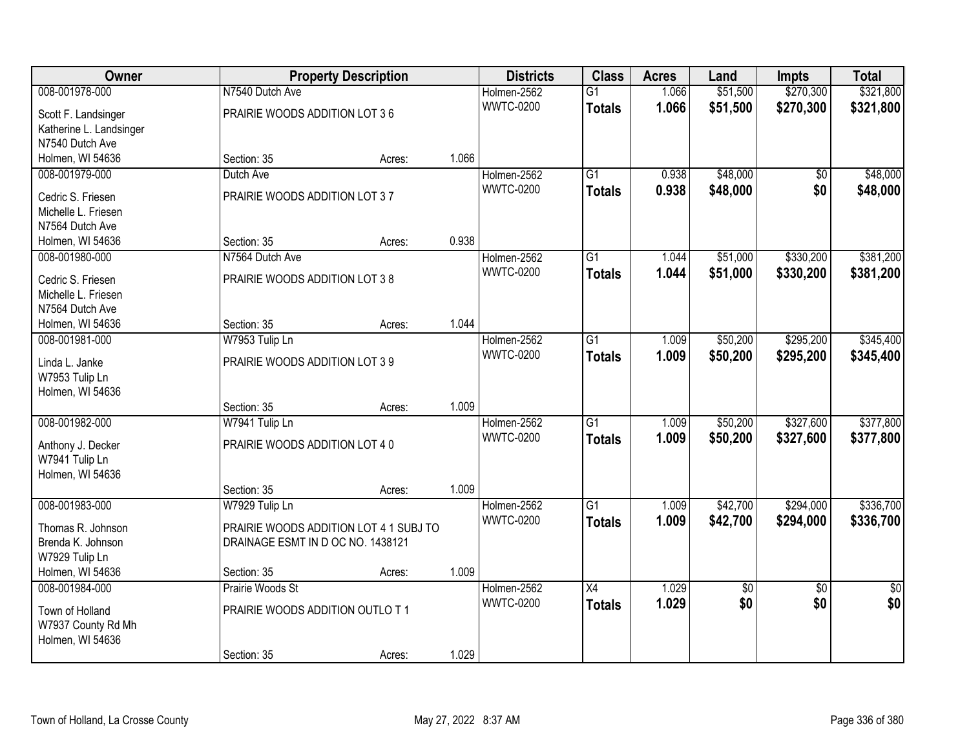| Owner                   |                                        | <b>Property Description</b> |       | <b>Districts</b> | <b>Class</b>    | <b>Acres</b> | Land     | <b>Impts</b>    | <b>Total</b>    |
|-------------------------|----------------------------------------|-----------------------------|-------|------------------|-----------------|--------------|----------|-----------------|-----------------|
| 008-001978-000          | N7540 Dutch Ave                        |                             |       | Holmen-2562      | $\overline{G1}$ | 1.066        | \$51,500 | \$270,300       | \$321,800       |
| Scott F. Landsinger     | PRAIRIE WOODS ADDITION LOT 36          |                             |       | <b>WWTC-0200</b> | <b>Totals</b>   | 1.066        | \$51,500 | \$270,300       | \$321,800       |
| Katherine L. Landsinger |                                        |                             |       |                  |                 |              |          |                 |                 |
| N7540 Dutch Ave         |                                        |                             |       |                  |                 |              |          |                 |                 |
| Holmen, WI 54636        | Section: 35                            | Acres:                      | 1.066 |                  |                 |              |          |                 |                 |
| 008-001979-000          | Dutch Ave                              |                             |       | Holmen-2562      | $\overline{G1}$ | 0.938        | \$48,000 | \$0             | \$48,000        |
| Cedric S. Friesen       | PRAIRIE WOODS ADDITION LOT 37          |                             |       | <b>WWTC-0200</b> | <b>Totals</b>   | 0.938        | \$48,000 | \$0             | \$48,000        |
| Michelle L. Friesen     |                                        |                             |       |                  |                 |              |          |                 |                 |
| N7564 Dutch Ave         |                                        |                             |       |                  |                 |              |          |                 |                 |
| Holmen, WI 54636        | Section: 35                            | Acres:                      | 0.938 |                  |                 |              |          |                 |                 |
| 008-001980-000          | N7564 Dutch Ave                        |                             |       | Holmen-2562      | $\overline{G1}$ | 1.044        | \$51,000 | \$330,200       | \$381,200       |
|                         |                                        |                             |       | <b>WWTC-0200</b> | <b>Totals</b>   | 1.044        | \$51,000 | \$330,200       | \$381,200       |
| Cedric S. Friesen       | PRAIRIE WOODS ADDITION LOT 38          |                             |       |                  |                 |              |          |                 |                 |
| Michelle L. Friesen     |                                        |                             |       |                  |                 |              |          |                 |                 |
| N7564 Dutch Ave         |                                        |                             |       |                  |                 |              |          |                 |                 |
| Holmen, WI 54636        | Section: 35                            | Acres:                      | 1.044 |                  |                 |              |          |                 |                 |
| 008-001981-000          | W7953 Tulip Ln                         |                             |       | Holmen-2562      | $\overline{G1}$ | 1.009        | \$50,200 | \$295,200       | \$345,400       |
| Linda L. Janke          | PRAIRIE WOODS ADDITION LOT 39          |                             |       | <b>WWTC-0200</b> | <b>Totals</b>   | 1.009        | \$50,200 | \$295,200       | \$345,400       |
| W7953 Tulip Ln          |                                        |                             |       |                  |                 |              |          |                 |                 |
| Holmen, WI 54636        |                                        |                             |       |                  |                 |              |          |                 |                 |
|                         | Section: 35                            | Acres:                      | 1.009 |                  |                 |              |          |                 |                 |
| 008-001982-000          | W7941 Tulip Ln                         |                             |       | Holmen-2562      | $\overline{G1}$ | 1.009        | \$50,200 | \$327,600       | \$377,800       |
| Anthony J. Decker       | PRAIRIE WOODS ADDITION LOT 40          |                             |       | <b>WWTC-0200</b> | <b>Totals</b>   | 1.009        | \$50,200 | \$327,600       | \$377,800       |
| W7941 Tulip Ln          |                                        |                             |       |                  |                 |              |          |                 |                 |
| Holmen, WI 54636        |                                        |                             |       |                  |                 |              |          |                 |                 |
|                         | Section: 35                            | Acres:                      | 1.009 |                  |                 |              |          |                 |                 |
| 008-001983-000          | W7929 Tulip Ln                         |                             |       | Holmen-2562      | $\overline{G1}$ | 1.009        | \$42,700 | \$294,000       | \$336,700       |
| Thomas R. Johnson       | PRAIRIE WOODS ADDITION LOT 4 1 SUBJ TO |                             |       | <b>WWTC-0200</b> | <b>Totals</b>   | 1.009        | \$42,700 | \$294,000       | \$336,700       |
| Brenda K. Johnson       | DRAINAGE ESMT IN D OC NO. 1438121      |                             |       |                  |                 |              |          |                 |                 |
| W7929 Tulip Ln          |                                        |                             |       |                  |                 |              |          |                 |                 |
| Holmen, WI 54636        | Section: 35                            | Acres:                      | 1.009 |                  |                 |              |          |                 |                 |
| 008-001984-000          | Prairie Woods St                       |                             |       | Holmen-2562      | $\overline{X4}$ | 1.029        | \$0      | $\overline{30}$ | $\overline{50}$ |
|                         |                                        |                             |       | <b>WWTC-0200</b> | <b>Totals</b>   | 1.029        | \$0      | \$0             | \$0             |
| Town of Holland         | PRAIRIE WOODS ADDITION OUTLO T1        |                             |       |                  |                 |              |          |                 |                 |
| W7937 County Rd Mh      |                                        |                             |       |                  |                 |              |          |                 |                 |
| Holmen, WI 54636        |                                        |                             |       |                  |                 |              |          |                 |                 |
|                         | Section: 35                            | Acres:                      | 1.029 |                  |                 |              |          |                 |                 |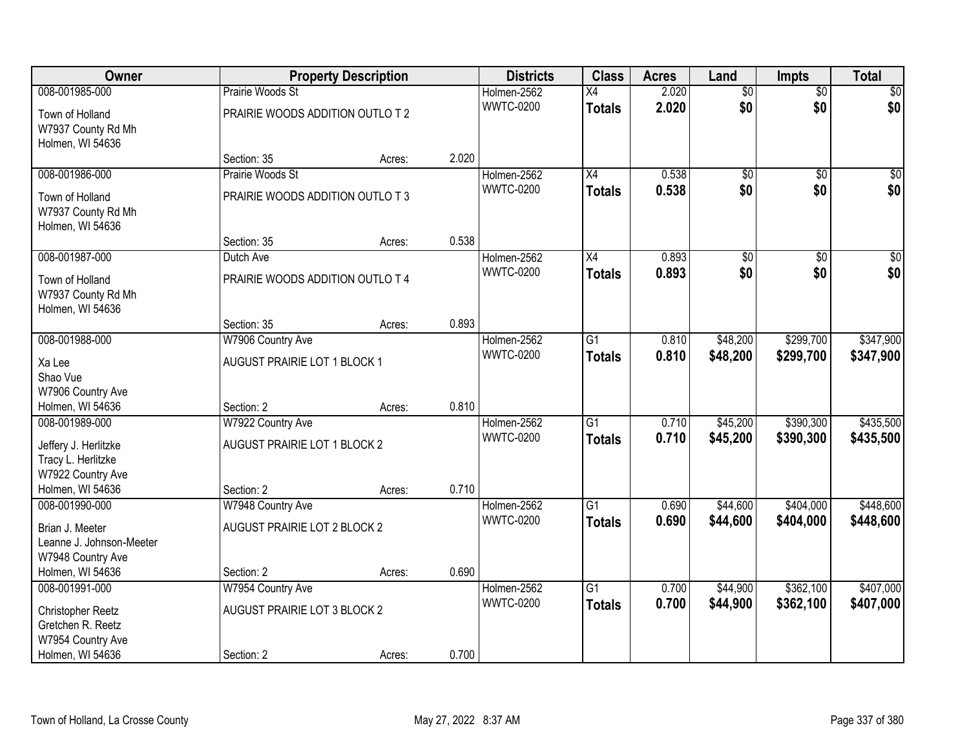| Owner                                   |                                  | <b>Property Description</b> |       | <b>Districts</b>                | <b>Class</b>    | <b>Acres</b> | Land            | <b>Impts</b>    | <b>Total</b>    |
|-----------------------------------------|----------------------------------|-----------------------------|-------|---------------------------------|-----------------|--------------|-----------------|-----------------|-----------------|
| 008-001985-000                          | Prairie Woods St                 |                             |       | Holmen-2562                     | $\overline{X4}$ | 2.020        | $\overline{50}$ | $\overline{50}$ | $\sqrt{50}$     |
| Town of Holland                         | PRAIRIE WOODS ADDITION OUTLO T 2 |                             |       | <b>WWTC-0200</b>                | <b>Totals</b>   | 2.020        | \$0             | \$0             | \$0             |
| W7937 County Rd Mh                      |                                  |                             |       |                                 |                 |              |                 |                 |                 |
| Holmen, WI 54636                        |                                  |                             |       |                                 |                 |              |                 |                 |                 |
|                                         | Section: 35                      | Acres:                      | 2.020 |                                 |                 |              |                 |                 |                 |
| 008-001986-000                          | Prairie Woods St                 |                             |       | Holmen-2562<br><b>WWTC-0200</b> | $\overline{X4}$ | 0.538        | $\overline{50}$ | $\overline{50}$ | $\sqrt{50}$     |
| Town of Holland                         | PRAIRIE WOODS ADDITION OUTLO T3  |                             |       |                                 | <b>Totals</b>   | 0.538        | \$0             | \$0             | \$0             |
| W7937 County Rd Mh                      |                                  |                             |       |                                 |                 |              |                 |                 |                 |
| Holmen, WI 54636                        |                                  |                             |       |                                 |                 |              |                 |                 |                 |
|                                         | Section: 35                      | Acres:                      | 0.538 |                                 |                 |              |                 |                 |                 |
| 008-001987-000                          | Dutch Ave                        |                             |       | Holmen-2562                     | X4              | 0.893        | \$0             | \$0             | $\overline{30}$ |
| Town of Holland                         | PRAIRIE WOODS ADDITION OUTLO T 4 |                             |       | <b>WWTC-0200</b>                | <b>Totals</b>   | 0.893        | \$0             | \$0             | \$0             |
| W7937 County Rd Mh                      |                                  |                             |       |                                 |                 |              |                 |                 |                 |
| Holmen, WI 54636                        |                                  |                             |       |                                 |                 |              |                 |                 |                 |
|                                         | Section: 35                      | Acres:                      | 0.893 |                                 |                 |              |                 |                 |                 |
| 008-001988-000                          | W7906 Country Ave                |                             |       | Holmen-2562                     | G1              | 0.810        | \$48,200        | \$299,700       | \$347,900       |
| Xa Lee                                  | AUGUST PRAIRIE LOT 1 BLOCK 1     |                             |       | <b>WWTC-0200</b>                | <b>Totals</b>   | 0.810        | \$48,200        | \$299,700       | \$347,900       |
| Shao Vue                                |                                  |                             |       |                                 |                 |              |                 |                 |                 |
| W7906 Country Ave                       |                                  |                             |       |                                 |                 |              |                 |                 |                 |
| Holmen, WI 54636                        | Section: 2                       | Acres:                      | 0.810 |                                 |                 |              |                 |                 |                 |
| 008-001989-000                          | W7922 Country Ave                |                             |       | Holmen-2562                     | $\overline{G1}$ | 0.710        | \$45,200        | \$390,300       | \$435,500       |
|                                         |                                  |                             |       | <b>WWTC-0200</b>                | Totals          | 0.710        | \$45,200        | \$390,300       | \$435,500       |
| Jeffery J. Herlitzke                    | AUGUST PRAIRIE LOT 1 BLOCK 2     |                             |       |                                 |                 |              |                 |                 |                 |
| Tracy L. Herlitzke<br>W7922 Country Ave |                                  |                             |       |                                 |                 |              |                 |                 |                 |
| Holmen, WI 54636                        | Section: 2                       | Acres:                      | 0.710 |                                 |                 |              |                 |                 |                 |
| 008-001990-000                          | W7948 Country Ave                |                             |       | Holmen-2562                     | $\overline{G1}$ | 0.690        | \$44,600        | \$404,000       | \$448,600       |
|                                         |                                  |                             |       | <b>WWTC-0200</b>                | <b>Totals</b>   | 0.690        | \$44,600        | \$404,000       | \$448,600       |
| Brian J. Meeter                         | AUGUST PRAIRIE LOT 2 BLOCK 2     |                             |       |                                 |                 |              |                 |                 |                 |
| Leanne J. Johnson-Meeter                |                                  |                             |       |                                 |                 |              |                 |                 |                 |
| W7948 Country Ave                       |                                  |                             | 0.690 |                                 |                 |              |                 |                 |                 |
| Holmen, WI 54636<br>008-001991-000      | Section: 2                       | Acres:                      |       |                                 | $\overline{G1}$ | 0.700        | \$44,900        | \$362,100       | \$407,000       |
|                                         | W7954 Country Ave                |                             |       | Holmen-2562<br><b>WWTC-0200</b> |                 |              |                 |                 |                 |
| Christopher Reetz                       | AUGUST PRAIRIE LOT 3 BLOCK 2     |                             |       |                                 | <b>Totals</b>   | 0.700        | \$44,900        | \$362,100       | \$407,000       |
| Gretchen R. Reetz                       |                                  |                             |       |                                 |                 |              |                 |                 |                 |
| W7954 Country Ave                       |                                  |                             |       |                                 |                 |              |                 |                 |                 |
| Holmen, WI 54636                        | Section: 2                       | Acres:                      | 0.700 |                                 |                 |              |                 |                 |                 |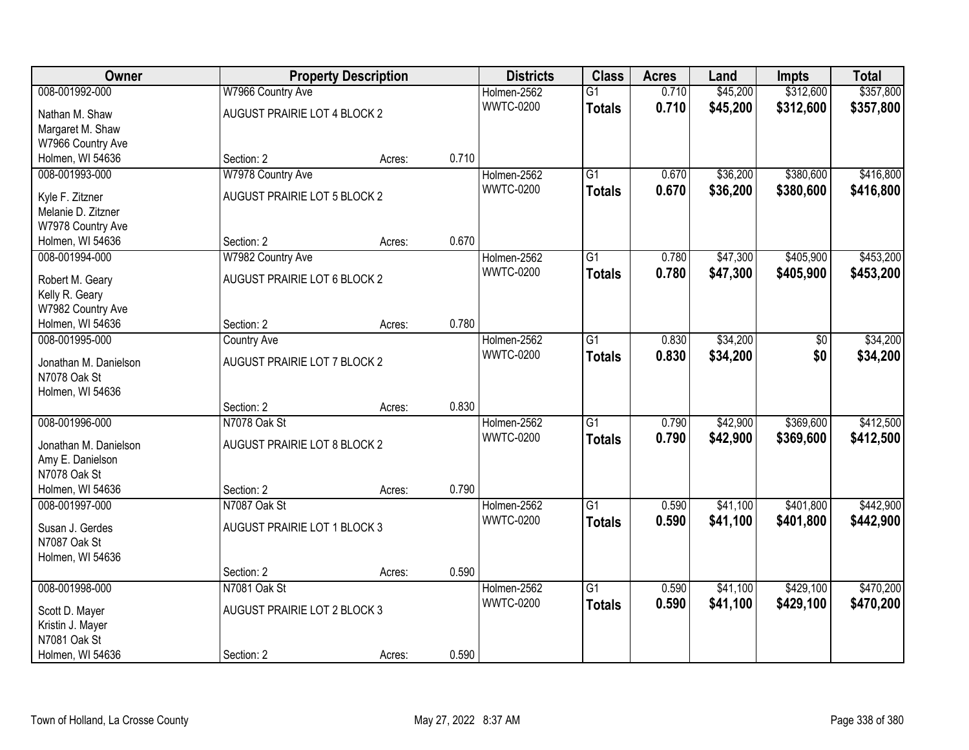| Owner                 |                              | <b>Property Description</b> |       | <b>Districts</b> | <b>Class</b>    | <b>Acres</b> | Land     | <b>Impts</b> | <b>Total</b> |
|-----------------------|------------------------------|-----------------------------|-------|------------------|-----------------|--------------|----------|--------------|--------------|
| 008-001992-000        | W7966 Country Ave            |                             |       | Holmen-2562      | $\overline{G1}$ | 0.710        | \$45,200 | \$312,600    | \$357,800    |
| Nathan M. Shaw        | AUGUST PRAIRIE LOT 4 BLOCK 2 |                             |       | <b>WWTC-0200</b> | <b>Totals</b>   | 0.710        | \$45,200 | \$312,600    | \$357,800    |
| Margaret M. Shaw      |                              |                             |       |                  |                 |              |          |              |              |
| W7966 Country Ave     |                              |                             |       |                  |                 |              |          |              |              |
| Holmen, WI 54636      | Section: 2                   | Acres:                      | 0.710 |                  |                 |              |          |              |              |
| 008-001993-000        | W7978 Country Ave            |                             |       | Holmen-2562      | $\overline{G1}$ | 0.670        | \$36,200 | \$380,600    | \$416,800    |
| Kyle F. Zitzner       | AUGUST PRAIRIE LOT 5 BLOCK 2 |                             |       | <b>WWTC-0200</b> | <b>Totals</b>   | 0.670        | \$36,200 | \$380,600    | \$416,800    |
| Melanie D. Zitzner    |                              |                             |       |                  |                 |              |          |              |              |
| W7978 Country Ave     |                              |                             |       |                  |                 |              |          |              |              |
| Holmen, WI 54636      | Section: 2                   | Acres:                      | 0.670 |                  |                 |              |          |              |              |
| 008-001994-000        | W7982 Country Ave            |                             |       | Holmen-2562      | $\overline{G1}$ | 0.780        | \$47,300 | \$405,900    | \$453,200    |
| Robert M. Geary       | AUGUST PRAIRIE LOT 6 BLOCK 2 |                             |       | <b>WWTC-0200</b> | <b>Totals</b>   | 0.780        | \$47,300 | \$405,900    | \$453,200    |
| Kelly R. Geary        |                              |                             |       |                  |                 |              |          |              |              |
| W7982 Country Ave     |                              |                             |       |                  |                 |              |          |              |              |
| Holmen, WI 54636      | Section: 2                   | Acres:                      | 0.780 |                  |                 |              |          |              |              |
| 008-001995-000        | <b>Country Ave</b>           |                             |       | Holmen-2562      | G1              | 0.830        | \$34,200 | \$0          | \$34,200     |
| Jonathan M. Danielson | AUGUST PRAIRIE LOT 7 BLOCK 2 |                             |       | <b>WWTC-0200</b> | <b>Totals</b>   | 0.830        | \$34,200 | \$0          | \$34,200     |
| N7078 Oak St          |                              |                             |       |                  |                 |              |          |              |              |
| Holmen, WI 54636      |                              |                             |       |                  |                 |              |          |              |              |
|                       | Section: 2                   | Acres:                      | 0.830 |                  |                 |              |          |              |              |
| 008-001996-000        | N7078 Oak St                 |                             |       | Holmen-2562      | $\overline{G1}$ | 0.790        | \$42,900 | \$369,600    | \$412,500    |
| Jonathan M. Danielson | AUGUST PRAIRIE LOT 8 BLOCK 2 |                             |       | <b>WWTC-0200</b> | <b>Totals</b>   | 0.790        | \$42,900 | \$369,600    | \$412,500    |
| Amy E. Danielson      |                              |                             |       |                  |                 |              |          |              |              |
| N7078 Oak St          |                              |                             |       |                  |                 |              |          |              |              |
| Holmen, WI 54636      | Section: 2                   | Acres:                      | 0.790 |                  |                 |              |          |              |              |
| 008-001997-000        | N7087 Oak St                 |                             |       | Holmen-2562      | $\overline{G1}$ | 0.590        | \$41,100 | \$401,800    | \$442,900    |
| Susan J. Gerdes       | AUGUST PRAIRIE LOT 1 BLOCK 3 |                             |       | <b>WWTC-0200</b> | <b>Totals</b>   | 0.590        | \$41,100 | \$401,800    | \$442,900    |
| N7087 Oak St          |                              |                             |       |                  |                 |              |          |              |              |
| Holmen, WI 54636      |                              |                             |       |                  |                 |              |          |              |              |
|                       | Section: 2                   | Acres:                      | 0.590 |                  |                 |              |          |              |              |
| 008-001998-000        | N7081 Oak St                 |                             |       | Holmen-2562      | $\overline{G1}$ | 0.590        | \$41,100 | \$429,100    | \$470,200    |
| Scott D. Mayer        | AUGUST PRAIRIE LOT 2 BLOCK 3 |                             |       | <b>WWTC-0200</b> | <b>Totals</b>   | 0.590        | \$41,100 | \$429,100    | \$470,200    |
| Kristin J. Mayer      |                              |                             |       |                  |                 |              |          |              |              |
| N7081 Oak St          |                              |                             |       |                  |                 |              |          |              |              |
| Holmen, WI 54636      | Section: 2                   | Acres:                      | 0.590 |                  |                 |              |          |              |              |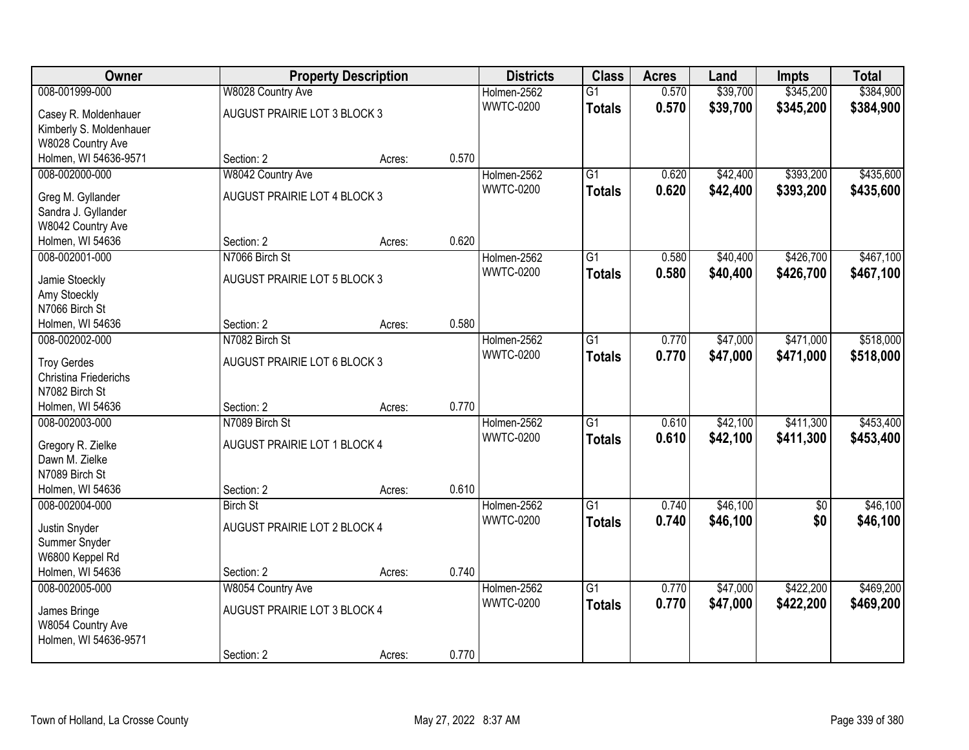| Owner                          |                              | <b>Property Description</b> |       | <b>Districts</b>                | <b>Class</b>    | <b>Acres</b> | Land     | <b>Impts</b>    | <b>Total</b> |
|--------------------------------|------------------------------|-----------------------------|-------|---------------------------------|-----------------|--------------|----------|-----------------|--------------|
| 008-001999-000                 | W8028 Country Ave            |                             |       | Holmen-2562                     | $\overline{G1}$ | 0.570        | \$39,700 | \$345,200       | \$384,900    |
| Casey R. Moldenhauer           | AUGUST PRAIRIE LOT 3 BLOCK 3 |                             |       | <b>WWTC-0200</b>                | <b>Totals</b>   | 0.570        | \$39,700 | \$345,200       | \$384,900    |
| Kimberly S. Moldenhauer        |                              |                             |       |                                 |                 |              |          |                 |              |
| W8028 Country Ave              |                              |                             |       |                                 |                 |              |          |                 |              |
| Holmen, WI 54636-9571          | Section: 2                   | Acres:                      | 0.570 |                                 |                 |              |          |                 |              |
| 008-002000-000                 | W8042 Country Ave            |                             |       | Holmen-2562                     | $\overline{G1}$ | 0.620        | \$42,400 | \$393,200       | \$435,600    |
| Greg M. Gyllander              | AUGUST PRAIRIE LOT 4 BLOCK 3 |                             |       | <b>WWTC-0200</b>                | <b>Totals</b>   | 0.620        | \$42,400 | \$393,200       | \$435,600    |
| Sandra J. Gyllander            |                              |                             |       |                                 |                 |              |          |                 |              |
| W8042 Country Ave              |                              |                             |       |                                 |                 |              |          |                 |              |
| Holmen, WI 54636               | Section: 2                   | Acres:                      | 0.620 |                                 |                 |              |          |                 |              |
| 008-002001-000                 | N7066 Birch St               |                             |       | Holmen-2562                     | $\overline{G1}$ | 0.580        | \$40,400 | \$426,700       | \$467,100    |
|                                |                              |                             |       | <b>WWTC-0200</b>                | <b>Totals</b>   | 0.580        | \$40,400 | \$426,700       | \$467,100    |
| Jamie Stoeckly                 | AUGUST PRAIRIE LOT 5 BLOCK 3 |                             |       |                                 |                 |              |          |                 |              |
| Amy Stoeckly<br>N7066 Birch St |                              |                             |       |                                 |                 |              |          |                 |              |
| Holmen, WI 54636               | Section: 2                   | Acres:                      | 0.580 |                                 |                 |              |          |                 |              |
| 008-002002-000                 | N7082 Birch St               |                             |       | Holmen-2562                     | $\overline{G1}$ | 0.770        | \$47,000 | \$471,000       | \$518,000    |
|                                |                              |                             |       | <b>WWTC-0200</b>                | <b>Totals</b>   | 0.770        | \$47,000 | \$471,000       | \$518,000    |
| <b>Troy Gerdes</b>             | AUGUST PRAIRIE LOT 6 BLOCK 3 |                             |       |                                 |                 |              |          |                 |              |
| Christina Friederichs          |                              |                             |       |                                 |                 |              |          |                 |              |
| N7082 Birch St                 |                              |                             | 0.770 |                                 |                 |              |          |                 |              |
| Holmen, WI 54636               | Section: 2<br>N7089 Birch St | Acres:                      |       |                                 | $\overline{G1}$ | 0.610        |          |                 | \$453,400    |
| 008-002003-000                 |                              |                             |       | Holmen-2562<br><b>WWTC-0200</b> |                 |              | \$42,100 | \$411,300       |              |
| Gregory R. Zielke              | AUGUST PRAIRIE LOT 1 BLOCK 4 |                             |       |                                 | <b>Totals</b>   | 0.610        | \$42,100 | \$411,300       | \$453,400    |
| Dawn M. Zielke                 |                              |                             |       |                                 |                 |              |          |                 |              |
| N7089 Birch St                 |                              |                             |       |                                 |                 |              |          |                 |              |
| Holmen, WI 54636               | Section: 2                   | Acres:                      | 0.610 |                                 |                 |              |          |                 |              |
| 008-002004-000                 | <b>Birch St</b>              |                             |       | Holmen-2562                     | $\overline{G1}$ | 0.740        | \$46,100 | $\overline{50}$ | \$46,100     |
| Justin Snyder                  | AUGUST PRAIRIE LOT 2 BLOCK 4 |                             |       | <b>WWTC-0200</b>                | <b>Totals</b>   | 0.740        | \$46,100 | \$0             | \$46,100     |
| Summer Snyder                  |                              |                             |       |                                 |                 |              |          |                 |              |
| W6800 Keppel Rd                |                              |                             |       |                                 |                 |              |          |                 |              |
| Holmen, WI 54636               | Section: 2                   | Acres:                      | 0.740 |                                 |                 |              |          |                 |              |
| 008-002005-000                 | W8054 Country Ave            |                             |       | Holmen-2562                     | $\overline{G1}$ | 0.770        | \$47,000 | \$422,200       | \$469,200    |
| James Bringe                   | AUGUST PRAIRIE LOT 3 BLOCK 4 |                             |       | <b>WWTC-0200</b>                | <b>Totals</b>   | 0.770        | \$47,000 | \$422,200       | \$469,200    |
| W8054 Country Ave              |                              |                             |       |                                 |                 |              |          |                 |              |
| Holmen, WI 54636-9571          |                              |                             |       |                                 |                 |              |          |                 |              |
|                                | Section: 2                   | Acres:                      | 0.770 |                                 |                 |              |          |                 |              |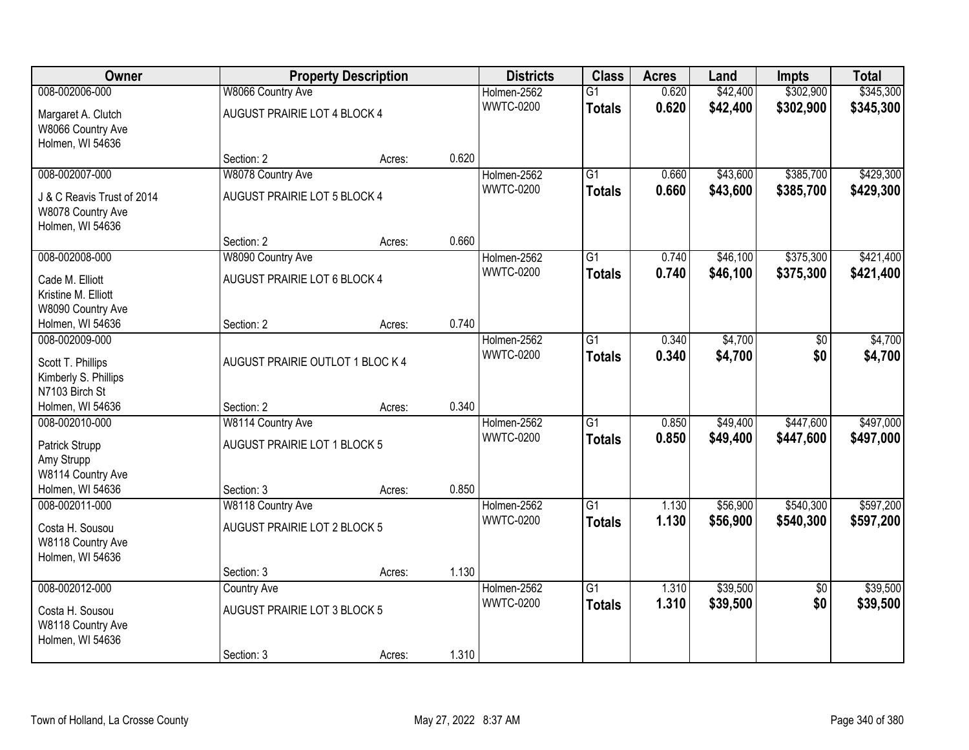| Owner                                                               |                                  | <b>Property Description</b> |       | <b>Districts</b> | <b>Class</b>    | <b>Acres</b> | Land     | <b>Impts</b>    | <b>Total</b> |
|---------------------------------------------------------------------|----------------------------------|-----------------------------|-------|------------------|-----------------|--------------|----------|-----------------|--------------|
| 008-002006-000                                                      | W8066 Country Ave                |                             |       | Holmen-2562      | $\overline{G1}$ | 0.620        | \$42,400 | \$302,900       | \$345,300    |
| Margaret A. Clutch<br>W8066 Country Ave<br>Holmen, WI 54636         | AUGUST PRAIRIE LOT 4 BLOCK 4     |                             |       | <b>WWTC-0200</b> | <b>Totals</b>   | 0.620        | \$42,400 | \$302,900       | \$345,300    |
|                                                                     | Section: 2                       | Acres:                      | 0.620 |                  |                 |              |          |                 |              |
| 008-002007-000                                                      | W8078 Country Ave                |                             |       | Holmen-2562      | $\overline{G1}$ | 0.660        | \$43,600 | \$385,700       | \$429,300    |
| J & C Reavis Trust of 2014<br>W8078 Country Ave<br>Holmen, WI 54636 | AUGUST PRAIRIE LOT 5 BLOCK 4     |                             |       | <b>WWTC-0200</b> | <b>Totals</b>   | 0.660        | \$43,600 | \$385,700       | \$429,300    |
|                                                                     | Section: 2                       | Acres:                      | 0.660 |                  |                 |              |          |                 |              |
| 008-002008-000                                                      | W8090 Country Ave                |                             |       | Holmen-2562      | $\overline{G1}$ | 0.740        | \$46,100 | \$375,300       | \$421,400    |
| Cade M. Elliott<br>Kristine M. Elliott<br>W8090 Country Ave         | AUGUST PRAIRIE LOT 6 BLOCK 4     |                             |       | <b>WWTC-0200</b> | <b>Totals</b>   | 0.740        | \$46,100 | \$375,300       | \$421,400    |
| Holmen, WI 54636                                                    | Section: 2                       | Acres:                      | 0.740 |                  |                 |              |          |                 |              |
| 008-002009-000                                                      |                                  |                             |       | Holmen-2562      | G1              | 0.340        | \$4,700  | \$0             | \$4,700      |
| Scott T. Phillips<br>Kimberly S. Phillips<br>N7103 Birch St         | AUGUST PRAIRIE OUTLOT 1 BLOC K 4 |                             |       | <b>WWTC-0200</b> | <b>Totals</b>   | 0.340        | \$4,700  | \$0             | \$4,700      |
| Holmen, WI 54636                                                    | Section: 2                       | Acres:                      | 0.340 |                  |                 |              |          |                 |              |
| 008-002010-000                                                      | W8114 Country Ave                |                             |       | Holmen-2562      | $\overline{G1}$ | 0.850        | \$49,400 | \$447,600       | \$497,000    |
|                                                                     | AUGUST PRAIRIE LOT 1 BLOCK 5     |                             |       | <b>WWTC-0200</b> | <b>Totals</b>   | 0.850        | \$49,400 | \$447,600       | \$497,000    |
| Patrick Strupp<br>Amy Strupp                                        |                                  |                             |       |                  |                 |              |          |                 |              |
| W8114 Country Ave                                                   |                                  |                             |       |                  |                 |              |          |                 |              |
| Holmen, WI 54636                                                    | Section: 3                       | Acres:                      | 0.850 |                  |                 |              |          |                 |              |
| 008-002011-000                                                      | W8118 Country Ave                |                             |       | Holmen-2562      | $\overline{G1}$ | 1.130        | \$56,900 | \$540,300       | \$597,200    |
| Costa H. Sousou<br>W8118 Country Ave<br>Holmen, WI 54636            | AUGUST PRAIRIE LOT 2 BLOCK 5     |                             |       | <b>WWTC-0200</b> | <b>Totals</b>   | 1.130        | \$56,900 | \$540,300       | \$597,200    |
|                                                                     | Section: 3                       | Acres:                      | 1.130 |                  |                 |              |          |                 |              |
| 008-002012-000                                                      | <b>Country Ave</b>               |                             |       | Holmen-2562      | $\overline{G1}$ | 1.310        | \$39,500 | $\overline{50}$ | \$39,500     |
| Costa H. Sousou<br>W8118 Country Ave<br>Holmen, WI 54636            | AUGUST PRAIRIE LOT 3 BLOCK 5     |                             |       | <b>WWTC-0200</b> | <b>Totals</b>   | 1.310        | \$39,500 | \$0             | \$39,500     |
|                                                                     | Section: 3                       | Acres:                      | 1.310 |                  |                 |              |          |                 |              |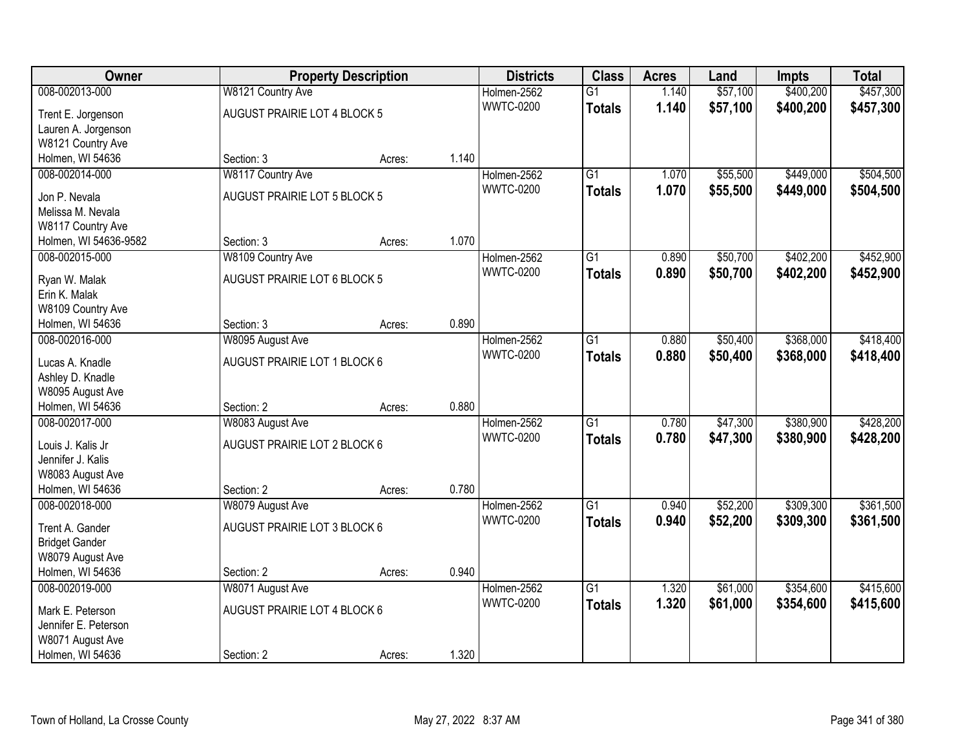| Owner                 |                              | <b>Property Description</b> |       | <b>Districts</b> | <b>Class</b>    | <b>Acres</b> | Land     | <b>Impts</b> | <b>Total</b> |
|-----------------------|------------------------------|-----------------------------|-------|------------------|-----------------|--------------|----------|--------------|--------------|
| 008-002013-000        | W8121 Country Ave            |                             |       | Holmen-2562      | $\overline{G1}$ | 1.140        | \$57,100 | \$400,200    | \$457,300    |
| Trent E. Jorgenson    | AUGUST PRAIRIE LOT 4 BLOCK 5 |                             |       | <b>WWTC-0200</b> | <b>Totals</b>   | 1.140        | \$57,100 | \$400,200    | \$457,300    |
| Lauren A. Jorgenson   |                              |                             |       |                  |                 |              |          |              |              |
| W8121 Country Ave     |                              |                             |       |                  |                 |              |          |              |              |
| Holmen, WI 54636      | Section: 3                   | Acres:                      | 1.140 |                  |                 |              |          |              |              |
| 008-002014-000        | W8117 Country Ave            |                             |       | Holmen-2562      | $\overline{G1}$ | 1.070        | \$55,500 | \$449,000    | \$504,500    |
| Jon P. Nevala         | AUGUST PRAIRIE LOT 5 BLOCK 5 |                             |       | <b>WWTC-0200</b> | <b>Totals</b>   | 1.070        | \$55,500 | \$449,000    | \$504,500    |
| Melissa M. Nevala     |                              |                             |       |                  |                 |              |          |              |              |
| W8117 Country Ave     |                              |                             |       |                  |                 |              |          |              |              |
| Holmen, WI 54636-9582 | Section: 3                   | Acres:                      | 1.070 |                  |                 |              |          |              |              |
| 008-002015-000        | W8109 Country Ave            |                             |       | Holmen-2562      | G1              | 0.890        | \$50,700 | \$402,200    | \$452,900    |
|                       |                              |                             |       | <b>WWTC-0200</b> | <b>Totals</b>   | 0.890        | \$50,700 | \$402,200    | \$452,900    |
| Ryan W. Malak         | AUGUST PRAIRIE LOT 6 BLOCK 5 |                             |       |                  |                 |              |          |              |              |
| Erin K. Malak         |                              |                             |       |                  |                 |              |          |              |              |
| W8109 Country Ave     |                              |                             |       |                  |                 |              |          |              |              |
| Holmen, WI 54636      | Section: 3                   | Acres:                      | 0.890 |                  |                 |              |          |              |              |
| 008-002016-000        | W8095 August Ave             |                             |       | Holmen-2562      | G1              | 0.880        | \$50,400 | \$368,000    | \$418,400    |
| Lucas A. Knadle       | AUGUST PRAIRIE LOT 1 BLOCK 6 |                             |       | <b>WWTC-0200</b> | <b>Totals</b>   | 0.880        | \$50,400 | \$368,000    | \$418,400    |
| Ashley D. Knadle      |                              |                             |       |                  |                 |              |          |              |              |
| W8095 August Ave      |                              |                             |       |                  |                 |              |          |              |              |
| Holmen, WI 54636      | Section: 2                   | Acres:                      | 0.880 |                  |                 |              |          |              |              |
| 008-002017-000        | W8083 August Ave             |                             |       | Holmen-2562      | $\overline{G1}$ | 0.780        | \$47,300 | \$380,900    | \$428,200    |
| Louis J. Kalis Jr     | AUGUST PRAIRIE LOT 2 BLOCK 6 |                             |       | <b>WWTC-0200</b> | <b>Totals</b>   | 0.780        | \$47,300 | \$380,900    | \$428,200    |
| Jennifer J. Kalis     |                              |                             |       |                  |                 |              |          |              |              |
| W8083 August Ave      |                              |                             |       |                  |                 |              |          |              |              |
| Holmen, WI 54636      | Section: 2                   | Acres:                      | 0.780 |                  |                 |              |          |              |              |
| 008-002018-000        | W8079 August Ave             |                             |       | Holmen-2562      | $\overline{G1}$ | 0.940        | \$52,200 | \$309,300    | \$361,500    |
|                       |                              |                             |       | <b>WWTC-0200</b> | <b>Totals</b>   | 0.940        | \$52,200 | \$309,300    | \$361,500    |
| Trent A. Gander       | AUGUST PRAIRIE LOT 3 BLOCK 6 |                             |       |                  |                 |              |          |              |              |
| <b>Bridget Gander</b> |                              |                             |       |                  |                 |              |          |              |              |
| W8079 August Ave      |                              |                             |       |                  |                 |              |          |              |              |
| Holmen, WI 54636      | Section: 2                   | Acres:                      | 0.940 |                  |                 |              |          |              |              |
| 008-002019-000        | W8071 August Ave             |                             |       | Holmen-2562      | $\overline{G1}$ | 1.320        | \$61,000 | \$354,600    | \$415,600    |
| Mark E. Peterson      | AUGUST PRAIRIE LOT 4 BLOCK 6 |                             |       | <b>WWTC-0200</b> | <b>Totals</b>   | 1.320        | \$61,000 | \$354,600    | \$415,600    |
| Jennifer E. Peterson  |                              |                             |       |                  |                 |              |          |              |              |
| W8071 August Ave      |                              |                             |       |                  |                 |              |          |              |              |
| Holmen, WI 54636      | Section: 2                   | Acres:                      | 1.320 |                  |                 |              |          |              |              |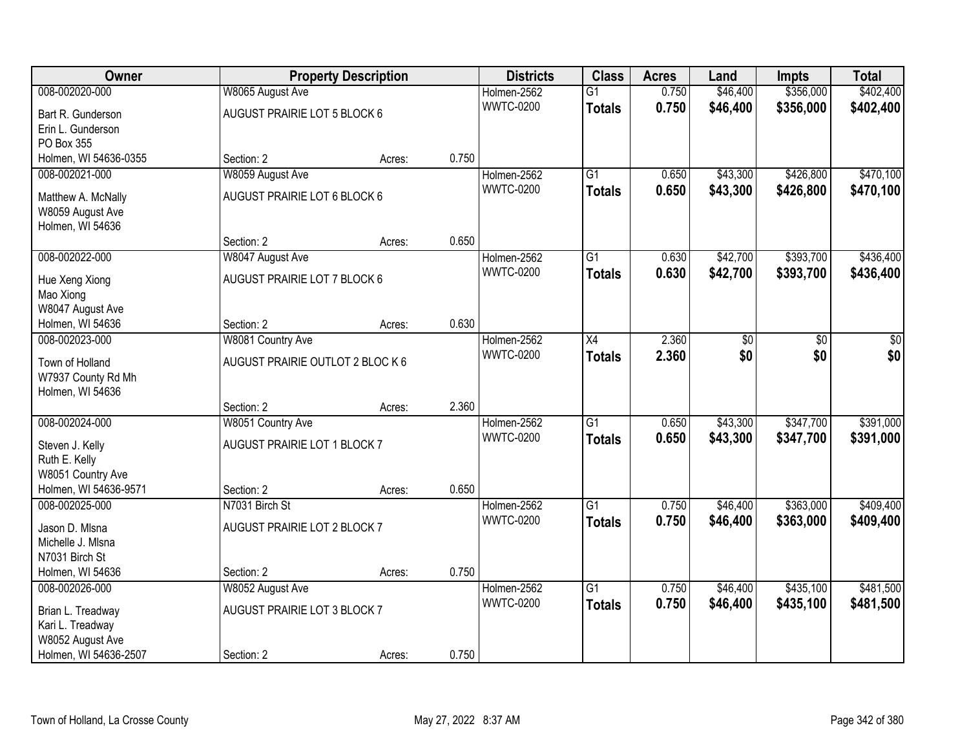| Owner                 |                                  | <b>Property Description</b> |       | <b>Districts</b> | <b>Class</b>    | <b>Acres</b> | Land     | <b>Impts</b> | <b>Total</b> |
|-----------------------|----------------------------------|-----------------------------|-------|------------------|-----------------|--------------|----------|--------------|--------------|
| 008-002020-000        | W8065 August Ave                 |                             |       | Holmen-2562      | $\overline{G1}$ | 0.750        | \$46,400 | \$356,000    | \$402,400    |
| Bart R. Gunderson     | AUGUST PRAIRIE LOT 5 BLOCK 6     |                             |       | <b>WWTC-0200</b> | <b>Totals</b>   | 0.750        | \$46,400 | \$356,000    | \$402,400    |
| Erin L. Gunderson     |                                  |                             |       |                  |                 |              |          |              |              |
| PO Box 355            |                                  |                             |       |                  |                 |              |          |              |              |
| Holmen, WI 54636-0355 | Section: 2                       | Acres:                      | 0.750 |                  |                 |              |          |              |              |
| 008-002021-000        | W8059 August Ave                 |                             |       | Holmen-2562      | $\overline{G1}$ | 0.650        | \$43,300 | \$426,800    | \$470,100    |
| Matthew A. McNally    | AUGUST PRAIRIE LOT 6 BLOCK 6     |                             |       | <b>WWTC-0200</b> | <b>Totals</b>   | 0.650        | \$43,300 | \$426,800    | \$470,100    |
| W8059 August Ave      |                                  |                             |       |                  |                 |              |          |              |              |
| Holmen, WI 54636      |                                  |                             |       |                  |                 |              |          |              |              |
|                       | Section: 2                       | Acres:                      | 0.650 |                  |                 |              |          |              |              |
| 008-002022-000        | W8047 August Ave                 |                             |       | Holmen-2562      | G1              | 0.630        | \$42,700 | \$393,700    | \$436,400    |
| Hue Xeng Xiong        | AUGUST PRAIRIE LOT 7 BLOCK 6     |                             |       | <b>WWTC-0200</b> | <b>Totals</b>   | 0.630        | \$42,700 | \$393,700    | \$436,400    |
| Mao Xiong             |                                  |                             |       |                  |                 |              |          |              |              |
| W8047 August Ave      |                                  |                             |       |                  |                 |              |          |              |              |
| Holmen, WI 54636      | Section: 2                       | Acres:                      | 0.630 |                  |                 |              |          |              |              |
| 008-002023-000        | W8081 Country Ave                |                             |       | Holmen-2562      | X4              | 2.360        | \$0      | \$0          | \$0          |
| Town of Holland       | AUGUST PRAIRIE OUTLOT 2 BLOC K 6 |                             |       | <b>WWTC-0200</b> | <b>Totals</b>   | 2.360        | \$0      | \$0          | \$0          |
| W7937 County Rd Mh    |                                  |                             |       |                  |                 |              |          |              |              |
| Holmen, WI 54636      |                                  |                             |       |                  |                 |              |          |              |              |
|                       | Section: 2                       | Acres:                      | 2.360 |                  |                 |              |          |              |              |
| 008-002024-000        | W8051 Country Ave                |                             |       | Holmen-2562      | $\overline{G1}$ | 0.650        | \$43,300 | \$347,700    | \$391,000    |
| Steven J. Kelly       | AUGUST PRAIRIE LOT 1 BLOCK 7     |                             |       | <b>WWTC-0200</b> | <b>Totals</b>   | 0.650        | \$43,300 | \$347,700    | \$391,000    |
| Ruth E. Kelly         |                                  |                             |       |                  |                 |              |          |              |              |
| W8051 Country Ave     |                                  |                             |       |                  |                 |              |          |              |              |
| Holmen, WI 54636-9571 | Section: 2                       | Acres:                      | 0.650 |                  |                 |              |          |              |              |
| 008-002025-000        | N7031 Birch St                   |                             |       | Holmen-2562      | $\overline{G1}$ | 0.750        | \$46,400 | \$363,000    | \$409,400    |
| Jason D. Misna        | AUGUST PRAIRIE LOT 2 BLOCK 7     |                             |       | <b>WWTC-0200</b> | <b>Totals</b>   | 0.750        | \$46,400 | \$363,000    | \$409,400    |
| Michelle J. MIsna     |                                  |                             |       |                  |                 |              |          |              |              |
| N7031 Birch St        |                                  |                             |       |                  |                 |              |          |              |              |
| Holmen, WI 54636      | Section: 2                       | Acres:                      | 0.750 |                  |                 |              |          |              |              |
| 008-002026-000        | W8052 August Ave                 |                             |       | Holmen-2562      | $\overline{G1}$ | 0.750        | \$46,400 | \$435,100    | \$481,500    |
| Brian L. Treadway     | AUGUST PRAIRIE LOT 3 BLOCK 7     |                             |       | <b>WWTC-0200</b> | <b>Totals</b>   | 0.750        | \$46,400 | \$435,100    | \$481,500    |
| Kari L. Treadway      |                                  |                             |       |                  |                 |              |          |              |              |
| W8052 August Ave      |                                  |                             |       |                  |                 |              |          |              |              |
| Holmen, WI 54636-2507 | Section: 2                       | Acres:                      | 0.750 |                  |                 |              |          |              |              |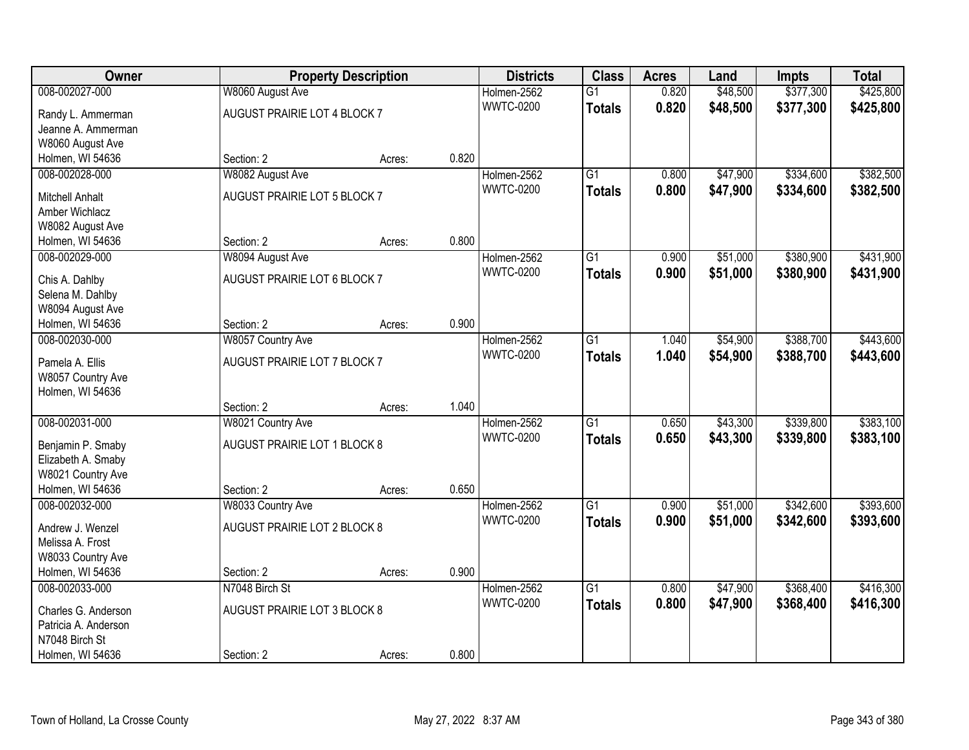| Owner                                |                              | <b>Property Description</b> |       | <b>Districts</b> | <b>Class</b>    | <b>Acres</b> | Land     | <b>Impts</b> | <b>Total</b> |
|--------------------------------------|------------------------------|-----------------------------|-------|------------------|-----------------|--------------|----------|--------------|--------------|
| 008-002027-000                       | W8060 August Ave             |                             |       | Holmen-2562      | $\overline{G1}$ | 0.820        | \$48,500 | \$377,300    | \$425,800    |
| Randy L. Ammerman                    | AUGUST PRAIRIE LOT 4 BLOCK 7 |                             |       | <b>WWTC-0200</b> | <b>Totals</b>   | 0.820        | \$48,500 | \$377,300    | \$425,800    |
| Jeanne A. Ammerman                   |                              |                             |       |                  |                 |              |          |              |              |
| W8060 August Ave                     |                              |                             |       |                  |                 |              |          |              |              |
| Holmen, WI 54636                     | Section: 2                   | Acres:                      | 0.820 |                  |                 |              |          |              |              |
| 008-002028-000                       | W8082 August Ave             |                             |       | Holmen-2562      | G1              | 0.800        | \$47,900 | \$334,600    | \$382,500    |
| <b>Mitchell Anhalt</b>               | AUGUST PRAIRIE LOT 5 BLOCK 7 |                             |       | <b>WWTC-0200</b> | <b>Totals</b>   | 0.800        | \$47,900 | \$334,600    | \$382,500    |
| Amber Wichlacz                       |                              |                             |       |                  |                 |              |          |              |              |
| W8082 August Ave                     |                              |                             |       |                  |                 |              |          |              |              |
| Holmen, WI 54636                     | Section: 2                   | Acres:                      | 0.800 |                  |                 |              |          |              |              |
| 008-002029-000                       | W8094 August Ave             |                             |       | Holmen-2562      | $\overline{G1}$ | 0.900        | \$51,000 | \$380,900    | \$431,900    |
|                                      |                              |                             |       | <b>WWTC-0200</b> | <b>Totals</b>   | 0.900        | \$51,000 | \$380,900    | \$431,900    |
| Chis A. Dahlby                       | AUGUST PRAIRIE LOT 6 BLOCK 7 |                             |       |                  |                 |              |          |              |              |
| Selena M. Dahlby                     |                              |                             |       |                  |                 |              |          |              |              |
| W8094 August Ave<br>Holmen, WI 54636 | Section: 2                   | Acres:                      | 0.900 |                  |                 |              |          |              |              |
| 008-002030-000                       | W8057 Country Ave            |                             |       | Holmen-2562      | $\overline{G1}$ | 1.040        | \$54,900 | \$388,700    | \$443,600    |
|                                      |                              |                             |       | <b>WWTC-0200</b> | <b>Totals</b>   | 1.040        | \$54,900 | \$388,700    | \$443,600    |
| Pamela A. Ellis                      | AUGUST PRAIRIE LOT 7 BLOCK 7 |                             |       |                  |                 |              |          |              |              |
| W8057 Country Ave                    |                              |                             |       |                  |                 |              |          |              |              |
| Holmen, WI 54636                     |                              |                             |       |                  |                 |              |          |              |              |
|                                      | Section: 2                   | Acres:                      | 1.040 |                  |                 |              |          |              |              |
| 008-002031-000                       | W8021 Country Ave            |                             |       | Holmen-2562      | $\overline{G1}$ | 0.650        | \$43,300 | \$339,800    | \$383,100    |
| Benjamin P. Smaby                    | AUGUST PRAIRIE LOT 1 BLOCK 8 |                             |       | <b>WWTC-0200</b> | <b>Totals</b>   | 0.650        | \$43,300 | \$339,800    | \$383,100    |
| Elizabeth A. Smaby                   |                              |                             |       |                  |                 |              |          |              |              |
| W8021 Country Ave                    |                              |                             |       |                  |                 |              |          |              |              |
| Holmen, WI 54636                     | Section: 2                   | Acres:                      | 0.650 |                  |                 |              |          |              |              |
| 008-002032-000                       | W8033 Country Ave            |                             |       | Holmen-2562      | $\overline{G1}$ | 0.900        | \$51,000 | \$342,600    | \$393,600    |
| Andrew J. Wenzel                     | AUGUST PRAIRIE LOT 2 BLOCK 8 |                             |       | <b>WWTC-0200</b> | <b>Totals</b>   | 0.900        | \$51,000 | \$342,600    | \$393,600    |
| Melissa A. Frost                     |                              |                             |       |                  |                 |              |          |              |              |
| W8033 Country Ave                    |                              |                             |       |                  |                 |              |          |              |              |
| Holmen, WI 54636                     | Section: 2                   | Acres:                      | 0.900 |                  |                 |              |          |              |              |
| 008-002033-000                       | N7048 Birch St               |                             |       | Holmen-2562      | $\overline{G1}$ | 0.800        | \$47,900 | \$368,400    | \$416,300    |
| Charles G. Anderson                  | AUGUST PRAIRIE LOT 3 BLOCK 8 |                             |       | <b>WWTC-0200</b> | <b>Totals</b>   | 0.800        | \$47,900 | \$368,400    | \$416,300    |
| Patricia A. Anderson                 |                              |                             |       |                  |                 |              |          |              |              |
| N7048 Birch St                       |                              |                             |       |                  |                 |              |          |              |              |
| Holmen, WI 54636                     | Section: 2                   | Acres:                      | 0.800 |                  |                 |              |          |              |              |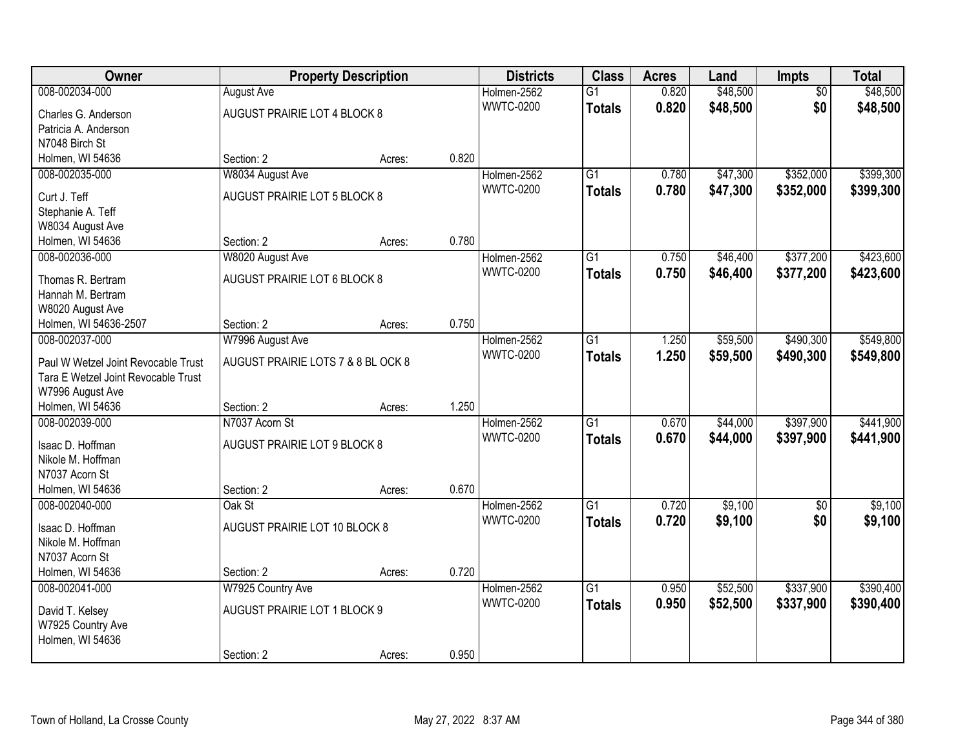| Owner                                 |                                    | <b>Property Description</b> |       | <b>Districts</b>                | <b>Class</b>    | <b>Acres</b> | Land     | <b>Impts</b>    | <b>Total</b> |
|---------------------------------------|------------------------------------|-----------------------------|-------|---------------------------------|-----------------|--------------|----------|-----------------|--------------|
| 008-002034-000                        | <b>August Ave</b>                  |                             |       | Holmen-2562                     | $\overline{G1}$ | 0.820        | \$48,500 | $\overline{50}$ | \$48,500     |
| Charles G. Anderson                   | AUGUST PRAIRIE LOT 4 BLOCK 8       |                             |       | <b>WWTC-0200</b>                | <b>Totals</b>   | 0.820        | \$48,500 | \$0             | \$48,500     |
| Patricia A. Anderson                  |                                    |                             |       |                                 |                 |              |          |                 |              |
| N7048 Birch St                        |                                    |                             |       |                                 |                 |              |          |                 |              |
| Holmen, WI 54636                      | Section: 2                         | Acres:                      | 0.820 |                                 |                 |              |          |                 |              |
| 008-002035-000                        | W8034 August Ave                   |                             |       | Holmen-2562                     | $\overline{G1}$ | 0.780        | \$47,300 | \$352,000       | \$399,300    |
| Curt J. Teff                          | AUGUST PRAIRIE LOT 5 BLOCK 8       |                             |       | <b>WWTC-0200</b>                | <b>Totals</b>   | 0.780        | \$47,300 | \$352,000       | \$399,300    |
| Stephanie A. Teff                     |                                    |                             |       |                                 |                 |              |          |                 |              |
| W8034 August Ave                      |                                    |                             |       |                                 |                 |              |          |                 |              |
| Holmen, WI 54636                      | Section: 2                         | Acres:                      | 0.780 |                                 |                 |              |          |                 |              |
| 008-002036-000                        | W8020 August Ave                   |                             |       | Holmen-2562                     | $\overline{G1}$ | 0.750        | \$46,400 | \$377,200       | \$423,600    |
|                                       |                                    |                             |       | <b>WWTC-0200</b>                | <b>Totals</b>   | 0.750        | \$46,400 | \$377,200       | \$423,600    |
| Thomas R. Bertram                     | AUGUST PRAIRIE LOT 6 BLOCK 8       |                             |       |                                 |                 |              |          |                 |              |
| Hannah M. Bertram                     |                                    |                             |       |                                 |                 |              |          |                 |              |
| W8020 August Ave                      |                                    |                             | 0.750 |                                 |                 |              |          |                 |              |
| Holmen, WI 54636-2507                 | Section: 2                         | Acres:                      |       |                                 |                 |              |          |                 | \$549,800    |
| 008-002037-000                        | W7996 August Ave                   |                             |       | Holmen-2562<br><b>WWTC-0200</b> | G1              | 1.250        | \$59,500 | \$490,300       |              |
| Paul W Wetzel Joint Revocable Trust   | AUGUST PRAIRIE LOTS 7 & 8 BL OCK 8 |                             |       |                                 | <b>Totals</b>   | 1.250        | \$59,500 | \$490,300       | \$549,800    |
| Tara E Wetzel Joint Revocable Trust   |                                    |                             |       |                                 |                 |              |          |                 |              |
| W7996 August Ave                      |                                    |                             |       |                                 |                 |              |          |                 |              |
| Holmen, WI 54636                      | Section: 2                         | Acres:                      | 1.250 |                                 |                 |              |          |                 |              |
| 008-002039-000                        | N7037 Acorn St                     |                             |       | Holmen-2562                     | $\overline{G1}$ | 0.670        | \$44,000 | \$397,900       | \$441,900    |
| Isaac D. Hoffman                      | AUGUST PRAIRIE LOT 9 BLOCK 8       |                             |       | <b>WWTC-0200</b>                | <b>Totals</b>   | 0.670        | \$44,000 | \$397,900       | \$441,900    |
| Nikole M. Hoffman                     |                                    |                             |       |                                 |                 |              |          |                 |              |
| N7037 Acorn St                        |                                    |                             |       |                                 |                 |              |          |                 |              |
| Holmen, WI 54636                      | Section: 2                         | Acres:                      | 0.670 |                                 |                 |              |          |                 |              |
| 008-002040-000                        | Oak St                             |                             |       | Holmen-2562                     | $\overline{G1}$ | 0.720        | \$9,100  | \$0             | \$9,100      |
|                                       | AUGUST PRAIRIE LOT 10 BLOCK 8      |                             |       | <b>WWTC-0200</b>                | <b>Totals</b>   | 0.720        | \$9,100  | \$0             | \$9,100      |
| Isaac D. Hoffman<br>Nikole M. Hoffman |                                    |                             |       |                                 |                 |              |          |                 |              |
| N7037 Acorn St                        |                                    |                             |       |                                 |                 |              |          |                 |              |
| Holmen, WI 54636                      | Section: 2                         | Acres:                      | 0.720 |                                 |                 |              |          |                 |              |
| 008-002041-000                        | W7925 Country Ave                  |                             |       | Holmen-2562                     | $\overline{G1}$ | 0.950        | \$52,500 | \$337,900       | \$390,400    |
|                                       |                                    |                             |       | <b>WWTC-0200</b>                | <b>Totals</b>   | 0.950        | \$52,500 | \$337,900       | \$390,400    |
| David T. Kelsey                       | AUGUST PRAIRIE LOT 1 BLOCK 9       |                             |       |                                 |                 |              |          |                 |              |
| W7925 Country Ave                     |                                    |                             |       |                                 |                 |              |          |                 |              |
| Holmen, WI 54636                      |                                    |                             |       |                                 |                 |              |          |                 |              |
|                                       | Section: 2                         | Acres:                      | 0.950 |                                 |                 |              |          |                 |              |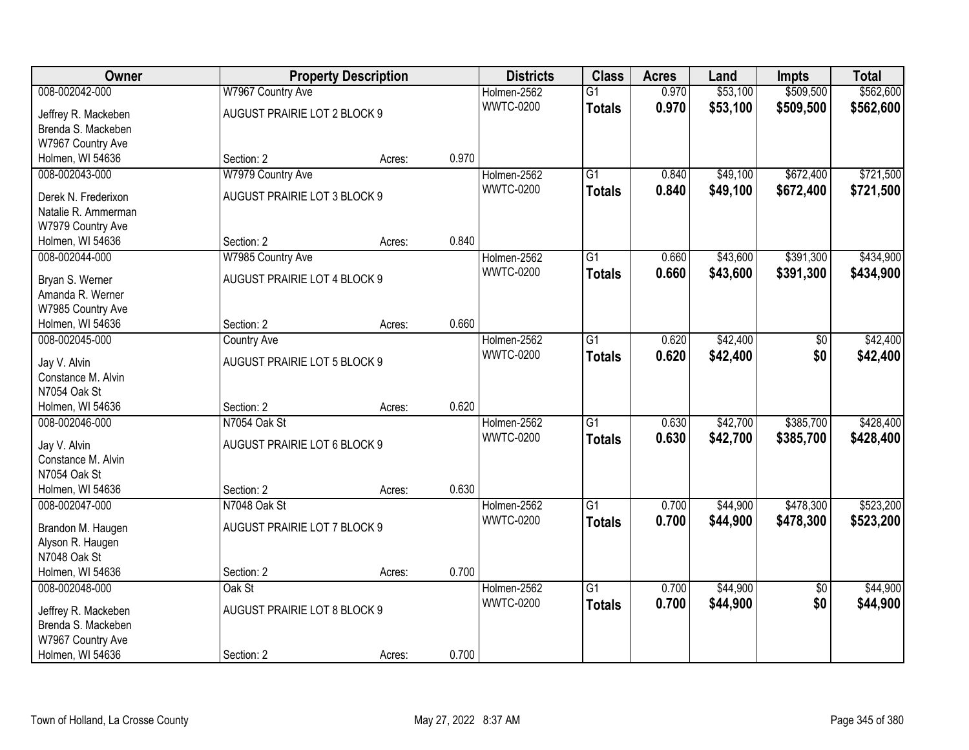| Owner               |                              | <b>Property Description</b> |       | <b>Districts</b> | <b>Class</b>    | <b>Acres</b> | Land     | <b>Impts</b>    | <b>Total</b> |
|---------------------|------------------------------|-----------------------------|-------|------------------|-----------------|--------------|----------|-----------------|--------------|
| 008-002042-000      | W7967 Country Ave            |                             |       | Holmen-2562      | $\overline{G1}$ | 0.970        | \$53,100 | \$509,500       | \$562,600    |
| Jeffrey R. Mackeben | AUGUST PRAIRIE LOT 2 BLOCK 9 |                             |       | <b>WWTC-0200</b> | <b>Totals</b>   | 0.970        | \$53,100 | \$509,500       | \$562,600    |
| Brenda S. Mackeben  |                              |                             |       |                  |                 |              |          |                 |              |
| W7967 Country Ave   |                              |                             |       |                  |                 |              |          |                 |              |
| Holmen, WI 54636    | Section: 2                   | Acres:                      | 0.970 |                  |                 |              |          |                 |              |
| 008-002043-000      | W7979 Country Ave            |                             |       | Holmen-2562      | $\overline{G1}$ | 0.840        | \$49,100 | \$672,400       | \$721,500    |
|                     |                              |                             |       | <b>WWTC-0200</b> | <b>Totals</b>   | 0.840        | \$49,100 | \$672,400       | \$721,500    |
| Derek N. Frederixon | AUGUST PRAIRIE LOT 3 BLOCK 9 |                             |       |                  |                 |              |          |                 |              |
| Natalie R. Ammerman |                              |                             |       |                  |                 |              |          |                 |              |
| W7979 Country Ave   |                              |                             |       |                  |                 |              |          |                 |              |
| Holmen, WI 54636    | Section: 2                   | Acres:                      | 0.840 |                  |                 |              |          |                 |              |
| 008-002044-000      | W7985 Country Ave            |                             |       | Holmen-2562      | G1              | 0.660        | \$43,600 | \$391,300       | \$434,900    |
| Bryan S. Werner     | AUGUST PRAIRIE LOT 4 BLOCK 9 |                             |       | <b>WWTC-0200</b> | <b>Totals</b>   | 0.660        | \$43,600 | \$391,300       | \$434,900    |
| Amanda R. Werner    |                              |                             |       |                  |                 |              |          |                 |              |
| W7985 Country Ave   |                              |                             |       |                  |                 |              |          |                 |              |
| Holmen, WI 54636    | Section: 2                   | Acres:                      | 0.660 |                  |                 |              |          |                 |              |
| 008-002045-000      | <b>Country Ave</b>           |                             |       | Holmen-2562      | G1              | 0.620        | \$42,400 | \$0             | \$42,400     |
|                     |                              |                             |       | <b>WWTC-0200</b> | <b>Totals</b>   | 0.620        | \$42,400 | \$0             | \$42,400     |
| Jay V. Alvin        | AUGUST PRAIRIE LOT 5 BLOCK 9 |                             |       |                  |                 |              |          |                 |              |
| Constance M. Alvin  |                              |                             |       |                  |                 |              |          |                 |              |
| N7054 Oak St        |                              |                             |       |                  |                 |              |          |                 |              |
| Holmen, WI 54636    | Section: 2                   | Acres:                      | 0.620 |                  |                 |              |          |                 |              |
| 008-002046-000      | N7054 Oak St                 |                             |       | Holmen-2562      | $\overline{G1}$ | 0.630        | \$42,700 | \$385,700       | \$428,400    |
| Jay V. Alvin        | AUGUST PRAIRIE LOT 6 BLOCK 9 |                             |       | <b>WWTC-0200</b> | <b>Totals</b>   | 0.630        | \$42,700 | \$385,700       | \$428,400    |
| Constance M. Alvin  |                              |                             |       |                  |                 |              |          |                 |              |
| N7054 Oak St        |                              |                             |       |                  |                 |              |          |                 |              |
| Holmen, WI 54636    | Section: 2                   | Acres:                      | 0.630 |                  |                 |              |          |                 |              |
| 008-002047-000      | N7048 Oak St                 |                             |       | Holmen-2562      | $\overline{G1}$ | 0.700        | \$44,900 | \$478,300       | \$523,200    |
|                     |                              |                             |       | <b>WWTC-0200</b> | <b>Totals</b>   | 0.700        | \$44,900 | \$478,300       | \$523,200    |
| Brandon M. Haugen   | AUGUST PRAIRIE LOT 7 BLOCK 9 |                             |       |                  |                 |              |          |                 |              |
| Alyson R. Haugen    |                              |                             |       |                  |                 |              |          |                 |              |
| N7048 Oak St        |                              |                             |       |                  |                 |              |          |                 |              |
| Holmen, WI 54636    | Section: 2                   | Acres:                      | 0.700 |                  |                 |              |          |                 |              |
| 008-002048-000      | Oak St                       |                             |       | Holmen-2562      | $\overline{G1}$ | 0.700        | \$44,900 | $\overline{50}$ | \$44,900     |
| Jeffrey R. Mackeben | AUGUST PRAIRIE LOT 8 BLOCK 9 |                             |       | <b>WWTC-0200</b> | <b>Totals</b>   | 0.700        | \$44,900 | \$0             | \$44,900     |
| Brenda S. Mackeben  |                              |                             |       |                  |                 |              |          |                 |              |
| W7967 Country Ave   |                              |                             |       |                  |                 |              |          |                 |              |
| Holmen, WI 54636    | Section: 2                   | Acres:                      | 0.700 |                  |                 |              |          |                 |              |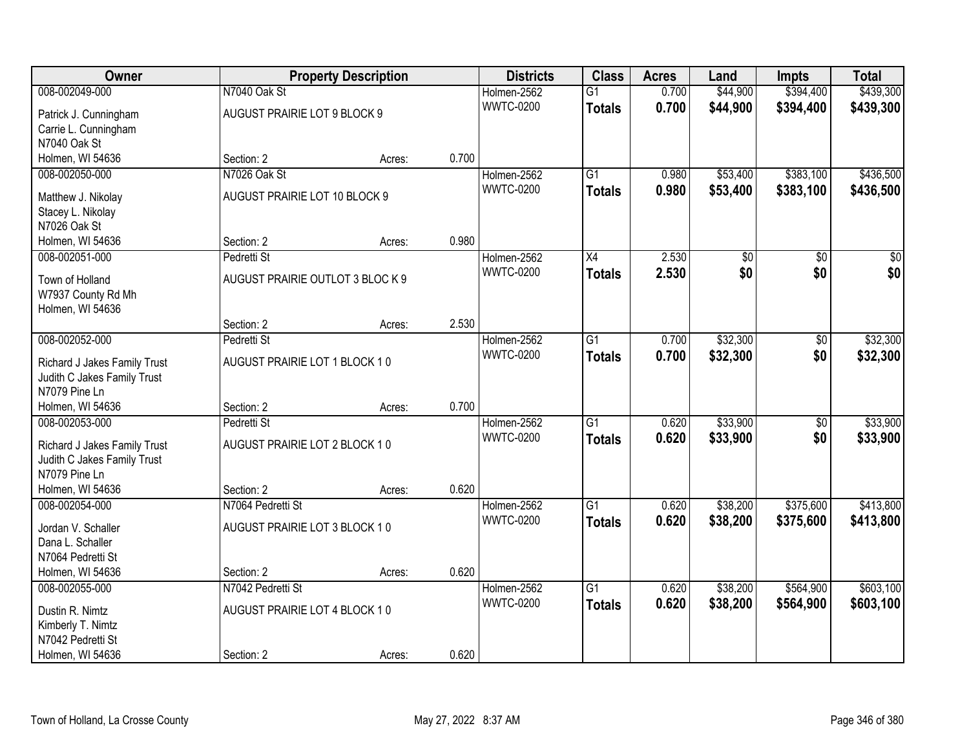| Owner                        |                                  | <b>Property Description</b> |       | <b>Districts</b> | <b>Class</b>    | <b>Acres</b> | Land     | <b>Impts</b>    | <b>Total</b>    |
|------------------------------|----------------------------------|-----------------------------|-------|------------------|-----------------|--------------|----------|-----------------|-----------------|
| 008-002049-000               | N7040 Oak St                     |                             |       | Holmen-2562      | $\overline{G1}$ | 0.700        | \$44,900 | \$394,400       | \$439,300       |
| Patrick J. Cunningham        | AUGUST PRAIRIE LOT 9 BLOCK 9     |                             |       | <b>WWTC-0200</b> | <b>Totals</b>   | 0.700        | \$44,900 | \$394,400       | \$439,300       |
| Carrie L. Cunningham         |                                  |                             |       |                  |                 |              |          |                 |                 |
| N7040 Oak St                 |                                  |                             |       |                  |                 |              |          |                 |                 |
| Holmen, WI 54636             | Section: 2                       | Acres:                      | 0.700 |                  |                 |              |          |                 |                 |
| 008-002050-000               | N7026 Oak St                     |                             |       | Holmen-2562      | $\overline{G1}$ | 0.980        | \$53,400 | \$383,100       | \$436,500       |
| Matthew J. Nikolay           | AUGUST PRAIRIE LOT 10 BLOCK 9    |                             |       | <b>WWTC-0200</b> | <b>Totals</b>   | 0.980        | \$53,400 | \$383,100       | \$436,500       |
| Stacey L. Nikolay            |                                  |                             |       |                  |                 |              |          |                 |                 |
| N7026 Oak St                 |                                  |                             |       |                  |                 |              |          |                 |                 |
| Holmen, WI 54636             | Section: 2                       | Acres:                      | 0.980 |                  |                 |              |          |                 |                 |
| 008-002051-000               | Pedretti St                      |                             |       | Holmen-2562      | X4              | 2.530        | \$0      | \$0             | $\overline{30}$ |
|                              |                                  |                             |       | <b>WWTC-0200</b> | <b>Totals</b>   | 2.530        | \$0      | \$0             | \$0             |
| Town of Holland              | AUGUST PRAIRIE OUTLOT 3 BLOC K 9 |                             |       |                  |                 |              |          |                 |                 |
| W7937 County Rd Mh           |                                  |                             |       |                  |                 |              |          |                 |                 |
| Holmen, WI 54636             | Section: 2                       | Acres:                      | 2.530 |                  |                 |              |          |                 |                 |
| 008-002052-000               | Pedretti St                      |                             |       | Holmen-2562      | G1              | 0.700        | \$32,300 | \$0             | \$32,300        |
|                              |                                  |                             |       | <b>WWTC-0200</b> | <b>Totals</b>   | 0.700        | \$32,300 | \$0             | \$32,300        |
| Richard J Jakes Family Trust | AUGUST PRAIRIE LOT 1 BLOCK 10    |                             |       |                  |                 |              |          |                 |                 |
| Judith C Jakes Family Trust  |                                  |                             |       |                  |                 |              |          |                 |                 |
| N7079 Pine Ln                |                                  |                             |       |                  |                 |              |          |                 |                 |
| Holmen, WI 54636             | Section: 2                       | Acres:                      | 0.700 |                  |                 |              |          |                 |                 |
| 008-002053-000               | Pedretti St                      |                             |       | Holmen-2562      | $\overline{G1}$ | 0.620        | \$33,900 | $\overline{50}$ | \$33,900        |
| Richard J Jakes Family Trust | AUGUST PRAIRIE LOT 2 BLOCK 10    |                             |       | <b>WWTC-0200</b> | <b>Totals</b>   | 0.620        | \$33,900 | \$0             | \$33,900        |
| Judith C Jakes Family Trust  |                                  |                             |       |                  |                 |              |          |                 |                 |
| N7079 Pine Ln                |                                  |                             |       |                  |                 |              |          |                 |                 |
| Holmen, WI 54636             | Section: 2                       | Acres:                      | 0.620 |                  |                 |              |          |                 |                 |
| 008-002054-000               | N7064 Pedretti St                |                             |       | Holmen-2562      | $\overline{G1}$ | 0.620        | \$38,200 | \$375,600       | \$413,800       |
| Jordan V. Schaller           | AUGUST PRAIRIE LOT 3 BLOCK 10    |                             |       | <b>WWTC-0200</b> | <b>Totals</b>   | 0.620        | \$38,200 | \$375,600       | \$413,800       |
| Dana L. Schaller             |                                  |                             |       |                  |                 |              |          |                 |                 |
| N7064 Pedretti St            |                                  |                             |       |                  |                 |              |          |                 |                 |
| Holmen, WI 54636             | Section: 2                       | Acres:                      | 0.620 |                  |                 |              |          |                 |                 |
| 008-002055-000               | N7042 Pedretti St                |                             |       | Holmen-2562      | $\overline{G1}$ | 0.620        | \$38,200 | \$564,900       | \$603,100       |
| Dustin R. Nimtz              | AUGUST PRAIRIE LOT 4 BLOCK 10    |                             |       | <b>WWTC-0200</b> | <b>Totals</b>   | 0.620        | \$38,200 | \$564,900       | \$603,100       |
| Kimberly T. Nimtz            |                                  |                             |       |                  |                 |              |          |                 |                 |
| N7042 Pedretti St            |                                  |                             |       |                  |                 |              |          |                 |                 |
| Holmen, WI 54636             | Section: 2                       | Acres:                      | 0.620 |                  |                 |              |          |                 |                 |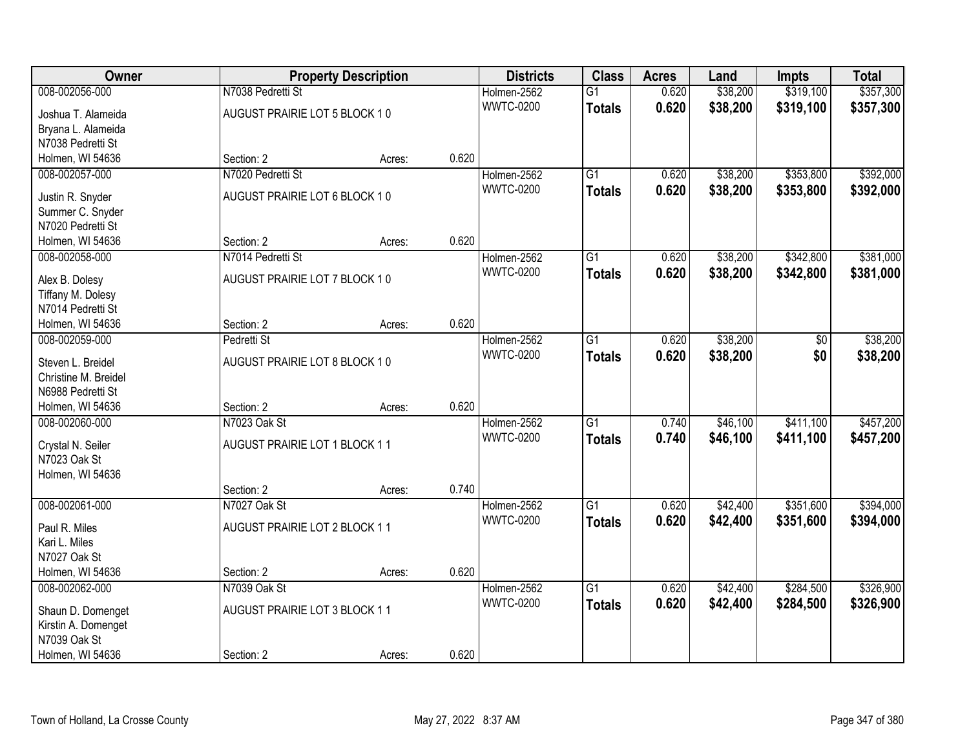| Owner                                  |                               | <b>Property Description</b> |       | <b>Districts</b> | <b>Class</b>    | <b>Acres</b> | Land     | <b>Impts</b> | <b>Total</b> |
|----------------------------------------|-------------------------------|-----------------------------|-------|------------------|-----------------|--------------|----------|--------------|--------------|
| 008-002056-000                         | N7038 Pedretti St             |                             |       | Holmen-2562      | $\overline{G1}$ | 0.620        | \$38,200 | \$319,100    | \$357,300    |
| Joshua T. Alameida                     | AUGUST PRAIRIE LOT 5 BLOCK 10 |                             |       | <b>WWTC-0200</b> | <b>Totals</b>   | 0.620        | \$38,200 | \$319,100    | \$357,300    |
| Bryana L. Alameida                     |                               |                             |       |                  |                 |              |          |              |              |
| N7038 Pedretti St                      |                               |                             |       |                  |                 |              |          |              |              |
| Holmen, WI 54636                       | Section: 2                    | Acres:                      | 0.620 |                  |                 |              |          |              |              |
| 008-002057-000                         | N7020 Pedretti St             |                             |       | Holmen-2562      | $\overline{G1}$ | 0.620        | \$38,200 | \$353,800    | \$392,000    |
| Justin R. Snyder                       | AUGUST PRAIRIE LOT 6 BLOCK 10 |                             |       | <b>WWTC-0200</b> | <b>Totals</b>   | 0.620        | \$38,200 | \$353,800    | \$392,000    |
| Summer C. Snyder                       |                               |                             |       |                  |                 |              |          |              |              |
| N7020 Pedretti St                      |                               |                             |       |                  |                 |              |          |              |              |
| Holmen, WI 54636                       | Section: 2                    | Acres:                      | 0.620 |                  |                 |              |          |              |              |
| 008-002058-000                         | N7014 Pedretti St             |                             |       | Holmen-2562      | G1              | 0.620        | \$38,200 | \$342,800    | \$381,000    |
|                                        |                               |                             |       | <b>WWTC-0200</b> | <b>Totals</b>   | 0.620        | \$38,200 | \$342,800    | \$381,000    |
| Alex B. Dolesy                         | AUGUST PRAIRIE LOT 7 BLOCK 10 |                             |       |                  |                 |              |          |              |              |
| Tiffany M. Dolesy<br>N7014 Pedretti St |                               |                             |       |                  |                 |              |          |              |              |
| Holmen, WI 54636                       | Section: 2                    | Acres:                      | 0.620 |                  |                 |              |          |              |              |
| 008-002059-000                         | Pedretti St                   |                             |       | Holmen-2562      | G1              | 0.620        | \$38,200 | \$0          | \$38,200     |
|                                        |                               |                             |       | <b>WWTC-0200</b> | <b>Totals</b>   | 0.620        | \$38,200 | \$0          | \$38,200     |
| Steven L. Breidel                      | AUGUST PRAIRIE LOT 8 BLOCK 10 |                             |       |                  |                 |              |          |              |              |
| Christine M. Breidel                   |                               |                             |       |                  |                 |              |          |              |              |
| N6988 Pedretti St                      | Section: 2                    |                             | 0.620 |                  |                 |              |          |              |              |
| Holmen, WI 54636<br>008-002060-000     | N7023 Oak St                  | Acres:                      |       | Holmen-2562      | $\overline{G1}$ | 0.740        | \$46,100 | \$411,100    | \$457,200    |
|                                        |                               |                             |       | <b>WWTC-0200</b> |                 | 0.740        |          |              |              |
| Crystal N. Seiler                      | AUGUST PRAIRIE LOT 1 BLOCK 11 |                             |       |                  | <b>Totals</b>   |              | \$46,100 | \$411,100    | \$457,200    |
| N7023 Oak St                           |                               |                             |       |                  |                 |              |          |              |              |
| Holmen, WI 54636                       |                               |                             |       |                  |                 |              |          |              |              |
|                                        | Section: 2                    | Acres:                      | 0.740 |                  |                 |              |          |              |              |
| 008-002061-000                         | N7027 Oak St                  |                             |       | Holmen-2562      | $\overline{G1}$ | 0.620        | \$42,400 | \$351,600    | \$394,000    |
| Paul R. Miles                          | AUGUST PRAIRIE LOT 2 BLOCK 11 |                             |       | <b>WWTC-0200</b> | <b>Totals</b>   | 0.620        | \$42,400 | \$351,600    | \$394,000    |
| Kari L. Miles                          |                               |                             |       |                  |                 |              |          |              |              |
| N7027 Oak St                           |                               |                             |       |                  |                 |              |          |              |              |
| Holmen, WI 54636                       | Section: 2                    | Acres:                      | 0.620 |                  |                 |              |          |              |              |
| 008-002062-000                         | N7039 Oak St                  |                             |       | Holmen-2562      | $\overline{G1}$ | 0.620        | \$42,400 | \$284,500    | \$326,900    |
| Shaun D. Domenget                      | AUGUST PRAIRIE LOT 3 BLOCK 11 |                             |       | <b>WWTC-0200</b> | <b>Totals</b>   | 0.620        | \$42,400 | \$284,500    | \$326,900    |
| Kirstin A. Domenget                    |                               |                             |       |                  |                 |              |          |              |              |
| N7039 Oak St                           |                               |                             |       |                  |                 |              |          |              |              |
| Holmen, WI 54636                       | Section: 2                    | Acres:                      | 0.620 |                  |                 |              |          |              |              |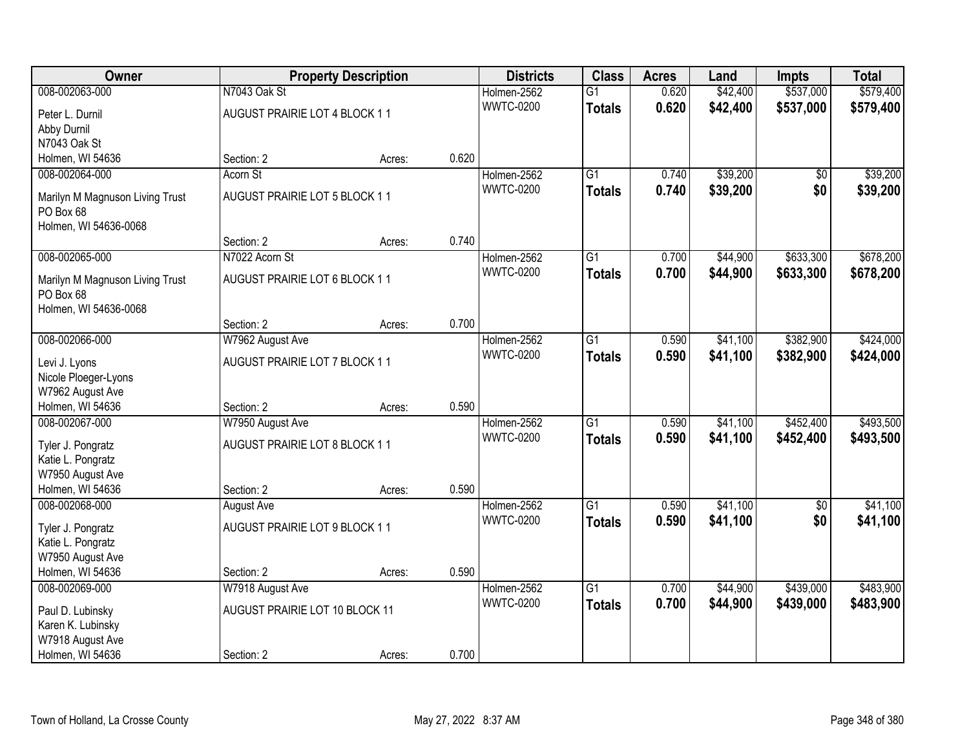| Owner                           |                                | <b>Property Description</b> |       | <b>Districts</b> | <b>Class</b>    | <b>Acres</b> | Land     | <b>Impts</b>    | <b>Total</b> |
|---------------------------------|--------------------------------|-----------------------------|-------|------------------|-----------------|--------------|----------|-----------------|--------------|
| 008-002063-000                  | N7043 Oak St                   |                             |       | Holmen-2562      | $\overline{G1}$ | 0.620        | \$42,400 | \$537,000       | \$579,400    |
| Peter L. Durnil                 | AUGUST PRAIRIE LOT 4 BLOCK 11  |                             |       | <b>WWTC-0200</b> | <b>Totals</b>   | 0.620        | \$42,400 | \$537,000       | \$579,400    |
| Abby Durnil                     |                                |                             |       |                  |                 |              |          |                 |              |
| N7043 Oak St                    |                                |                             |       |                  |                 |              |          |                 |              |
| Holmen, WI 54636                | Section: 2                     | Acres:                      | 0.620 |                  |                 |              |          |                 |              |
| 008-002064-000                  | Acorn St                       |                             |       | Holmen-2562      | $\overline{G1}$ | 0.740        | \$39,200 | $\overline{50}$ | \$39,200     |
| Marilyn M Magnuson Living Trust | AUGUST PRAIRIE LOT 5 BLOCK 11  |                             |       | <b>WWTC-0200</b> | <b>Totals</b>   | 0.740        | \$39,200 | \$0             | \$39,200     |
| PO Box 68                       |                                |                             |       |                  |                 |              |          |                 |              |
| Holmen, WI 54636-0068           |                                |                             |       |                  |                 |              |          |                 |              |
|                                 | Section: 2                     | Acres:                      | 0.740 |                  |                 |              |          |                 |              |
| 008-002065-000                  | N7022 Acorn St                 |                             |       | Holmen-2562      | $\overline{G1}$ | 0.700        | \$44,900 | \$633,300       | \$678,200    |
| Marilyn M Magnuson Living Trust | AUGUST PRAIRIE LOT 6 BLOCK 11  |                             |       | <b>WWTC-0200</b> | <b>Totals</b>   | 0.700        | \$44,900 | \$633,300       | \$678,200    |
| PO Box 68                       |                                |                             |       |                  |                 |              |          |                 |              |
| Holmen, WI 54636-0068           |                                |                             |       |                  |                 |              |          |                 |              |
|                                 | Section: 2                     | Acres:                      | 0.700 |                  |                 |              |          |                 |              |
| 008-002066-000                  | W7962 August Ave               |                             |       | Holmen-2562      | G1              | 0.590        | \$41,100 | \$382,900       | \$424,000    |
| Levi J. Lyons                   | AUGUST PRAIRIE LOT 7 BLOCK 11  |                             |       | <b>WWTC-0200</b> | <b>Totals</b>   | 0.590        | \$41,100 | \$382,900       | \$424,000    |
| Nicole Ploeger-Lyons            |                                |                             |       |                  |                 |              |          |                 |              |
| W7962 August Ave                |                                |                             |       |                  |                 |              |          |                 |              |
| Holmen, WI 54636                | Section: 2                     | Acres:                      | 0.590 |                  |                 |              |          |                 |              |
| 008-002067-000                  | W7950 August Ave               |                             |       | Holmen-2562      | $\overline{G1}$ | 0.590        | \$41,100 | \$452,400       | \$493,500    |
| Tyler J. Pongratz               | AUGUST PRAIRIE LOT 8 BLOCK 11  |                             |       | <b>WWTC-0200</b> | <b>Totals</b>   | 0.590        | \$41,100 | \$452,400       | \$493,500    |
| Katie L. Pongratz               |                                |                             |       |                  |                 |              |          |                 |              |
| W7950 August Ave                |                                |                             |       |                  |                 |              |          |                 |              |
| Holmen, WI 54636                | Section: 2                     | Acres:                      | 0.590 |                  |                 |              |          |                 |              |
| 008-002068-000                  | August Ave                     |                             |       | Holmen-2562      | $\overline{G1}$ | 0.590        | \$41,100 | $\overline{50}$ | \$41,100     |
| Tyler J. Pongratz               | AUGUST PRAIRIE LOT 9 BLOCK 11  |                             |       | <b>WWTC-0200</b> | <b>Totals</b>   | 0.590        | \$41,100 | \$0             | \$41,100     |
| Katie L. Pongratz               |                                |                             |       |                  |                 |              |          |                 |              |
| W7950 August Ave                |                                |                             |       |                  |                 |              |          |                 |              |
| Holmen, WI 54636                | Section: 2                     | Acres:                      | 0.590 |                  |                 |              |          |                 |              |
| 008-002069-000                  | W7918 August Ave               |                             |       | Holmen-2562      | $\overline{G1}$ | 0.700        | \$44,900 | \$439,000       | \$483,900    |
| Paul D. Lubinsky                | AUGUST PRAIRIE LOT 10 BLOCK 11 |                             |       | <b>WWTC-0200</b> | <b>Totals</b>   | 0.700        | \$44,900 | \$439,000       | \$483,900    |
| Karen K. Lubinsky               |                                |                             |       |                  |                 |              |          |                 |              |
| W7918 August Ave                |                                |                             |       |                  |                 |              |          |                 |              |
| Holmen, WI 54636                | Section: 2                     | Acres:                      | 0.700 |                  |                 |              |          |                 |              |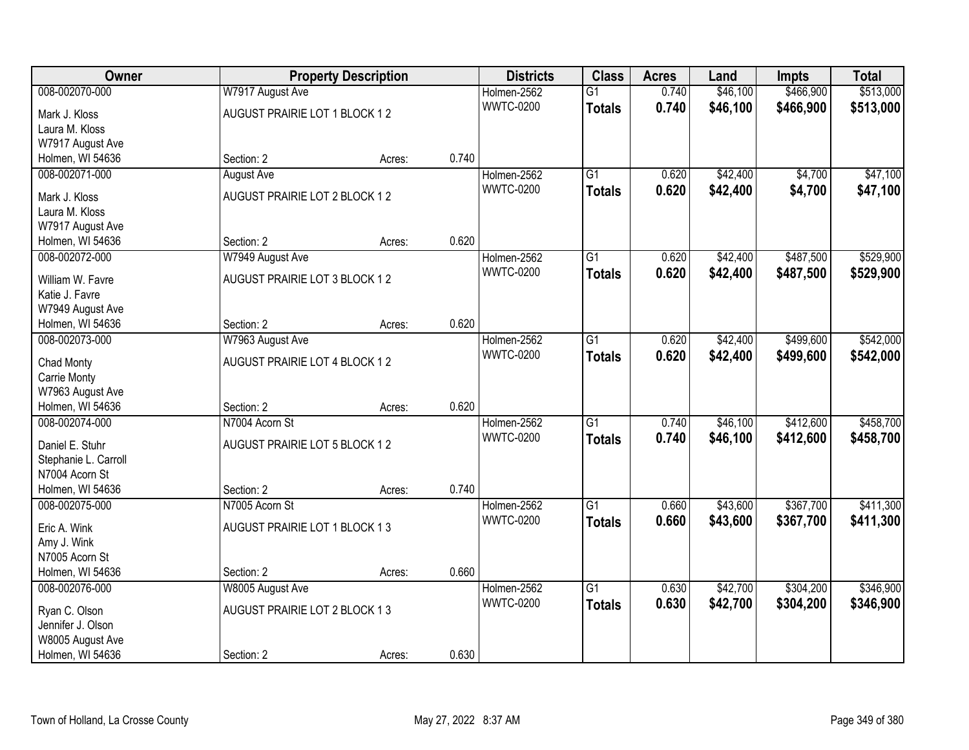| Owner                              |                               | <b>Property Description</b> |       | <b>Districts</b> | <b>Class</b>    | <b>Acres</b> | Land     | <b>Impts</b> | <b>Total</b> |
|------------------------------------|-------------------------------|-----------------------------|-------|------------------|-----------------|--------------|----------|--------------|--------------|
| 008-002070-000                     | W7917 August Ave              |                             |       | Holmen-2562      | $\overline{G1}$ | 0.740        | \$46,100 | \$466,900    | \$513,000    |
| Mark J. Kloss                      | AUGUST PRAIRIE LOT 1 BLOCK 12 |                             |       | <b>WWTC-0200</b> | <b>Totals</b>   | 0.740        | \$46,100 | \$466,900    | \$513,000    |
| Laura M. Kloss                     |                               |                             |       |                  |                 |              |          |              |              |
| W7917 August Ave                   |                               |                             |       |                  |                 |              |          |              |              |
| Holmen, WI 54636                   | Section: 2                    | Acres:                      | 0.740 |                  |                 |              |          |              |              |
| 008-002071-000                     | <b>August Ave</b>             |                             |       | Holmen-2562      | $\overline{G1}$ | 0.620        | \$42,400 | \$4,700      | \$47,100     |
|                                    | AUGUST PRAIRIE LOT 2 BLOCK 12 |                             |       | <b>WWTC-0200</b> | <b>Totals</b>   | 0.620        | \$42,400 | \$4,700      | \$47,100     |
| Mark J. Kloss<br>Laura M. Kloss    |                               |                             |       |                  |                 |              |          |              |              |
| W7917 August Ave                   |                               |                             |       |                  |                 |              |          |              |              |
| Holmen, WI 54636                   | Section: 2                    | Acres:                      | 0.620 |                  |                 |              |          |              |              |
| 008-002072-000                     | W7949 August Ave              |                             |       | Holmen-2562      | G1              | 0.620        | \$42,400 | \$487,500    | \$529,900    |
|                                    |                               |                             |       | <b>WWTC-0200</b> |                 | 0.620        | \$42,400 |              |              |
| William W. Favre                   | AUGUST PRAIRIE LOT 3 BLOCK 12 |                             |       |                  | <b>Totals</b>   |              |          | \$487,500    | \$529,900    |
| Katie J. Favre                     |                               |                             |       |                  |                 |              |          |              |              |
| W7949 August Ave                   |                               |                             |       |                  |                 |              |          |              |              |
| Holmen, WI 54636                   | Section: 2                    | Acres:                      | 0.620 |                  |                 |              |          |              |              |
| 008-002073-000                     | W7963 August Ave              |                             |       | Holmen-2562      | G1              | 0.620        | \$42,400 | \$499,600    | \$542,000    |
| Chad Monty                         | AUGUST PRAIRIE LOT 4 BLOCK 12 |                             |       | <b>WWTC-0200</b> | <b>Totals</b>   | 0.620        | \$42,400 | \$499,600    | \$542,000    |
| <b>Carrie Monty</b>                |                               |                             |       |                  |                 |              |          |              |              |
| W7963 August Ave                   |                               |                             |       |                  |                 |              |          |              |              |
| Holmen, WI 54636                   | Section: 2                    | Acres:                      | 0.620 |                  |                 |              |          |              |              |
| 008-002074-000                     | N7004 Acorn St                |                             |       | Holmen-2562      | $\overline{G1}$ | 0.740        | \$46,100 | \$412,600    | \$458,700    |
|                                    |                               |                             |       | <b>WWTC-0200</b> | <b>Totals</b>   | 0.740        | \$46,100 | \$412,600    | \$458,700    |
| Daniel E. Stuhr                    | AUGUST PRAIRIE LOT 5 BLOCK 12 |                             |       |                  |                 |              |          |              |              |
| Stephanie L. Carroll               |                               |                             |       |                  |                 |              |          |              |              |
| N7004 Acorn St                     |                               |                             |       |                  |                 |              |          |              |              |
| Holmen, WI 54636                   | Section: 2                    | Acres:                      | 0.740 |                  |                 |              |          |              |              |
| 008-002075-000                     | N7005 Acorn St                |                             |       | Holmen-2562      | $\overline{G1}$ | 0.660        | \$43,600 | \$367,700    | \$411,300    |
| Eric A. Wink                       | AUGUST PRAIRIE LOT 1 BLOCK 13 |                             |       | <b>WWTC-0200</b> | <b>Totals</b>   | 0.660        | \$43,600 | \$367,700    | \$411,300    |
| Amy J. Wink                        |                               |                             |       |                  |                 |              |          |              |              |
| N7005 Acorn St                     |                               |                             |       |                  |                 |              |          |              |              |
| Holmen, WI 54636                   | Section: 2                    | Acres:                      | 0.660 |                  |                 |              |          |              |              |
| 008-002076-000                     | W8005 August Ave              |                             |       | Holmen-2562      | $\overline{G1}$ | 0.630        | \$42,700 | \$304,200    | \$346,900    |
|                                    | AUGUST PRAIRIE LOT 2 BLOCK 13 |                             |       | <b>WWTC-0200</b> | <b>Totals</b>   | 0.630        | \$42,700 | \$304,200    | \$346,900    |
| Ryan C. Olson<br>Jennifer J. Olson |                               |                             |       |                  |                 |              |          |              |              |
| W8005 August Ave                   |                               |                             |       |                  |                 |              |          |              |              |
| Holmen, WI 54636                   | Section: 2                    | Acres:                      | 0.630 |                  |                 |              |          |              |              |
|                                    |                               |                             |       |                  |                 |              |          |              |              |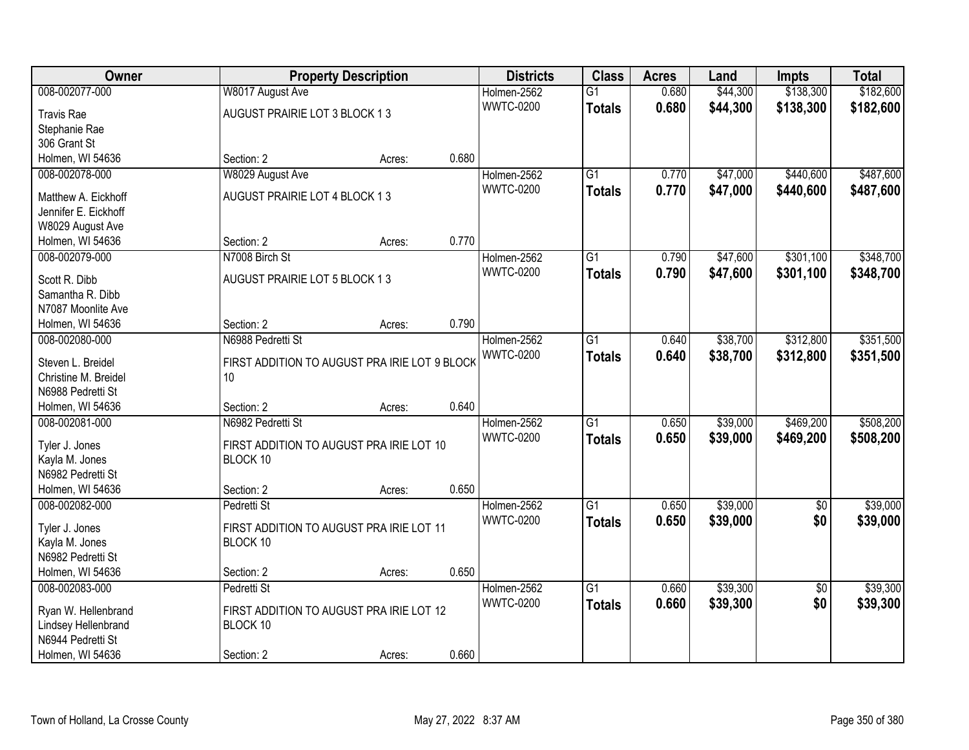| Owner                               |                                               | <b>Property Description</b> |       | <b>Districts</b> | <b>Class</b>    | <b>Acres</b> | Land     | <b>Impts</b>    | <b>Total</b> |
|-------------------------------------|-----------------------------------------------|-----------------------------|-------|------------------|-----------------|--------------|----------|-----------------|--------------|
| 008-002077-000                      | W8017 August Ave                              |                             |       | Holmen-2562      | $\overline{G1}$ | 0.680        | \$44,300 | \$138,300       | \$182,600    |
| <b>Travis Rae</b>                   | AUGUST PRAIRIE LOT 3 BLOCK 13                 |                             |       | <b>WWTC-0200</b> | <b>Totals</b>   | 0.680        | \$44,300 | \$138,300       | \$182,600    |
| Stephanie Rae                       |                                               |                             |       |                  |                 |              |          |                 |              |
| 306 Grant St                        |                                               |                             |       |                  |                 |              |          |                 |              |
| Holmen, WI 54636                    | Section: 2                                    | Acres:                      | 0.680 |                  |                 |              |          |                 |              |
| 008-002078-000                      | W8029 August Ave                              |                             |       | Holmen-2562      | $\overline{G1}$ | 0.770        | \$47,000 | \$440,600       | \$487,600    |
| Matthew A. Eickhoff                 | AUGUST PRAIRIE LOT 4 BLOCK 13                 |                             |       | <b>WWTC-0200</b> | <b>Totals</b>   | 0.770        | \$47,000 | \$440,600       | \$487,600    |
| Jennifer E. Eickhoff                |                                               |                             |       |                  |                 |              |          |                 |              |
| W8029 August Ave                    |                                               |                             |       |                  |                 |              |          |                 |              |
| Holmen, WI 54636                    | Section: 2                                    | Acres:                      | 0.770 |                  |                 |              |          |                 |              |
| 008-002079-000                      | N7008 Birch St                                |                             |       | Holmen-2562      | $\overline{G1}$ | 0.790        | \$47,600 | \$301,100       | \$348,700    |
|                                     |                                               |                             |       | <b>WWTC-0200</b> | <b>Totals</b>   | 0.790        | \$47,600 | \$301,100       | \$348,700    |
| Scott R. Dibb                       | AUGUST PRAIRIE LOT 5 BLOCK 13                 |                             |       |                  |                 |              |          |                 |              |
| Samantha R. Dibb                    |                                               |                             |       |                  |                 |              |          |                 |              |
| N7087 Moonlite Ave                  |                                               |                             |       |                  |                 |              |          |                 |              |
| Holmen, WI 54636                    | Section: 2                                    | Acres:                      | 0.790 |                  |                 |              |          |                 |              |
| 008-002080-000                      | N6988 Pedretti St                             |                             |       | Holmen-2562      | $\overline{G1}$ | 0.640        | \$38,700 | \$312,800       | \$351,500    |
| Steven L. Breidel                   | FIRST ADDITION TO AUGUST PRA IRIE LOT 9 BLOCK |                             |       | <b>WWTC-0200</b> | <b>Totals</b>   | 0.640        | \$38,700 | \$312,800       | \$351,500    |
| Christine M. Breidel                | 10                                            |                             |       |                  |                 |              |          |                 |              |
| N6988 Pedretti St                   |                                               |                             |       |                  |                 |              |          |                 |              |
| Holmen, WI 54636                    | Section: 2                                    | Acres:                      | 0.640 |                  |                 |              |          |                 |              |
| 008-002081-000                      | N6982 Pedretti St                             |                             |       | Holmen-2562      | $\overline{G1}$ | 0.650        | \$39,000 | \$469,200       | \$508,200    |
| Tyler J. Jones                      | FIRST ADDITION TO AUGUST PRA IRIE LOT 10      |                             |       | <b>WWTC-0200</b> | <b>Totals</b>   | 0.650        | \$39,000 | \$469,200       | \$508,200    |
| Kayla M. Jones                      | BLOCK 10                                      |                             |       |                  |                 |              |          |                 |              |
| N6982 Pedretti St                   |                                               |                             |       |                  |                 |              |          |                 |              |
| Holmen, WI 54636                    | Section: 2                                    | Acres:                      | 0.650 |                  |                 |              |          |                 |              |
| 008-002082-000                      | Pedretti St                                   |                             |       | Holmen-2562      | G1              | 0.650        | \$39,000 | $\sqrt{6}$      | \$39,000     |
|                                     |                                               |                             |       | <b>WWTC-0200</b> | <b>Totals</b>   | 0.650        | \$39,000 | \$0             | \$39,000     |
| Tyler J. Jones                      | FIRST ADDITION TO AUGUST PRA IRIE LOT 11      |                             |       |                  |                 |              |          |                 |              |
| Kayla M. Jones<br>N6982 Pedretti St | BLOCK 10                                      |                             |       |                  |                 |              |          |                 |              |
| Holmen, WI 54636                    | Section: 2                                    |                             | 0.650 |                  |                 |              |          |                 |              |
| 008-002083-000                      | Pedretti St                                   | Acres:                      |       | Holmen-2562      | $\overline{G1}$ | 0.660        | \$39,300 |                 | \$39,300     |
|                                     |                                               |                             |       | <b>WWTC-0200</b> |                 | 0.660        |          | $\overline{30}$ |              |
| Ryan W. Hellenbrand                 | FIRST ADDITION TO AUGUST PRA IRIE LOT 12      |                             |       |                  | <b>Totals</b>   |              | \$39,300 | \$0             | \$39,300     |
| Lindsey Hellenbrand                 | BLOCK 10                                      |                             |       |                  |                 |              |          |                 |              |
| N6944 Pedretti St                   |                                               |                             |       |                  |                 |              |          |                 |              |
| Holmen, WI 54636                    | Section: 2                                    | Acres:                      | 0.660 |                  |                 |              |          |                 |              |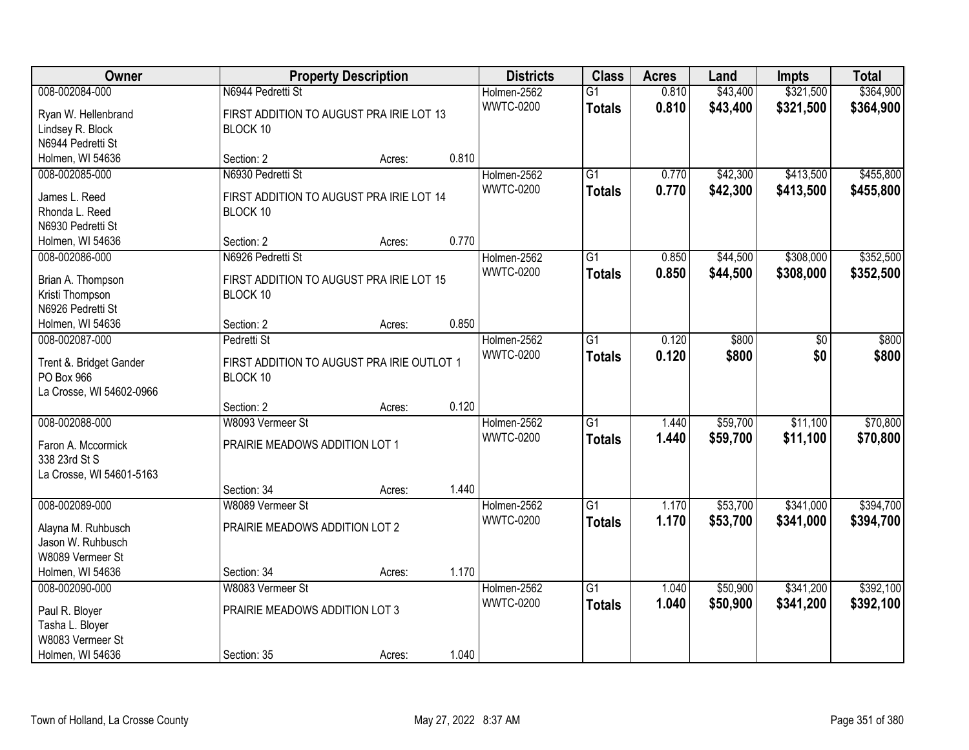| Owner                               |                                            | <b>Property Description</b> |       | <b>Districts</b> | <b>Class</b>    | <b>Acres</b> | Land     | <b>Impts</b> | <b>Total</b> |
|-------------------------------------|--------------------------------------------|-----------------------------|-------|------------------|-----------------|--------------|----------|--------------|--------------|
| 008-002084-000                      | N6944 Pedretti St                          |                             |       | Holmen-2562      | $\overline{G1}$ | 0.810        | \$43,400 | \$321,500    | \$364,900    |
| Ryan W. Hellenbrand                 | FIRST ADDITION TO AUGUST PRA IRIE LOT 13   |                             |       | <b>WWTC-0200</b> | <b>Totals</b>   | 0.810        | \$43,400 | \$321,500    | \$364,900    |
| Lindsey R. Block                    | BLOCK 10                                   |                             |       |                  |                 |              |          |              |              |
| N6944 Pedretti St                   |                                            |                             |       |                  |                 |              |          |              |              |
| Holmen, WI 54636                    | Section: 2                                 | Acres:                      | 0.810 |                  |                 |              |          |              |              |
| 008-002085-000                      | N6930 Pedretti St                          |                             |       | Holmen-2562      | $\overline{G1}$ | 0.770        | \$42,300 | \$413,500    | \$455,800    |
| James L. Reed                       | FIRST ADDITION TO AUGUST PRA IRIE LOT 14   |                             |       | <b>WWTC-0200</b> | <b>Totals</b>   | 0.770        | \$42,300 | \$413,500    | \$455,800    |
| Rhonda L. Reed                      | BLOCK 10                                   |                             |       |                  |                 |              |          |              |              |
| N6930 Pedretti St                   |                                            |                             |       |                  |                 |              |          |              |              |
| Holmen, WI 54636                    | Section: 2                                 | Acres:                      | 0.770 |                  |                 |              |          |              |              |
| 008-002086-000                      | N6926 Pedretti St                          |                             |       | Holmen-2562      | G1              | 0.850        | \$44,500 | \$308,000    | \$352,500    |
|                                     |                                            |                             |       | <b>WWTC-0200</b> | <b>Totals</b>   | 0.850        | \$44,500 | \$308,000    | \$352,500    |
| Brian A. Thompson                   | FIRST ADDITION TO AUGUST PRA IRIE LOT 15   |                             |       |                  |                 |              |          |              |              |
| Kristi Thompson                     | BLOCK 10                                   |                             |       |                  |                 |              |          |              |              |
| N6926 Pedretti St                   |                                            |                             | 0.850 |                  |                 |              |          |              |              |
| Holmen, WI 54636<br>008-002087-000  | Section: 2<br>Pedretti St                  | Acres:                      |       | Holmen-2562      | G1              | 0.120        | \$800    | \$0          | \$800        |
|                                     |                                            |                             |       | <b>WWTC-0200</b> |                 | 0.120        |          | \$0          |              |
| Trent &. Bridget Gander             | FIRST ADDITION TO AUGUST PRA IRIE OUTLOT 1 |                             |       |                  | <b>Totals</b>   |              | \$800    |              | \$800        |
| PO Box 966                          | BLOCK 10                                   |                             |       |                  |                 |              |          |              |              |
| La Crosse, WI 54602-0966            |                                            |                             |       |                  |                 |              |          |              |              |
|                                     | Section: 2                                 | Acres:                      | 0.120 |                  |                 |              |          |              |              |
| 008-002088-000                      | W8093 Vermeer St                           |                             |       | Holmen-2562      | $\overline{G1}$ | 1.440        | \$59,700 | \$11,100     | \$70,800     |
| Faron A. Mccormick                  | PRAIRIE MEADOWS ADDITION LOT 1             |                             |       | <b>WWTC-0200</b> | <b>Totals</b>   | 1.440        | \$59,700 | \$11,100     | \$70,800     |
| 338 23rd St S                       |                                            |                             |       |                  |                 |              |          |              |              |
| La Crosse, WI 54601-5163            |                                            |                             |       |                  |                 |              |          |              |              |
|                                     | Section: 34                                | Acres:                      | 1.440 |                  |                 |              |          |              |              |
| 008-002089-000                      | W8089 Vermeer St                           |                             |       | Holmen-2562      | $\overline{G1}$ | 1.170        | \$53,700 | \$341,000    | \$394,700    |
| Alayna M. Ruhbusch                  | PRAIRIE MEADOWS ADDITION LOT 2             |                             |       | <b>WWTC-0200</b> | <b>Totals</b>   | 1.170        | \$53,700 | \$341,000    | \$394,700    |
| Jason W. Ruhbusch                   |                                            |                             |       |                  |                 |              |          |              |              |
| W8089 Vermeer St                    |                                            |                             |       |                  |                 |              |          |              |              |
| Holmen, WI 54636                    | Section: 34                                | Acres:                      | 1.170 |                  |                 |              |          |              |              |
| 008-002090-000                      | W8083 Vermeer St                           |                             |       | Holmen-2562      | $\overline{G1}$ | 1.040        | \$50,900 | \$341,200    | \$392,100    |
|                                     |                                            |                             |       | <b>WWTC-0200</b> | <b>Totals</b>   | 1.040        | \$50,900 | \$341,200    | \$392,100    |
| Paul R. Bloyer                      | PRAIRIE MEADOWS ADDITION LOT 3             |                             |       |                  |                 |              |          |              |              |
| Tasha L. Bloyer<br>W8083 Vermeer St |                                            |                             |       |                  |                 |              |          |              |              |
| Holmen, WI 54636                    | Section: 35                                |                             | 1.040 |                  |                 |              |          |              |              |
|                                     |                                            | Acres:                      |       |                  |                 |              |          |              |              |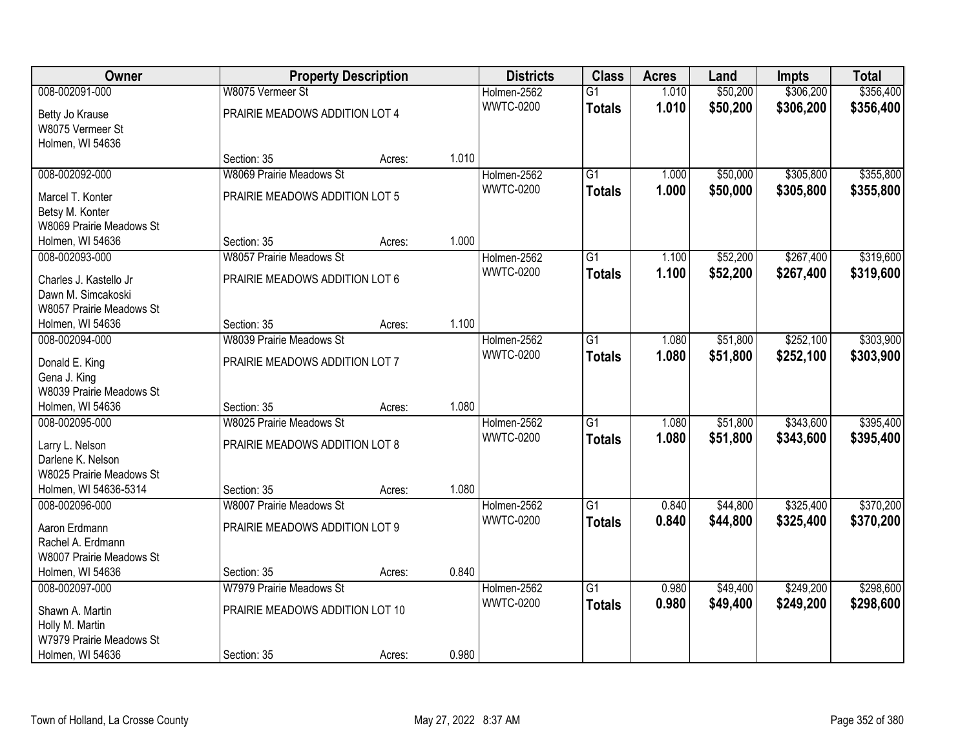| Owner                                       |                                 | <b>Property Description</b> |       | <b>Districts</b> | <b>Class</b>    | <b>Acres</b> | Land     | <b>Impts</b> | <b>Total</b> |
|---------------------------------------------|---------------------------------|-----------------------------|-------|------------------|-----------------|--------------|----------|--------------|--------------|
| 008-002091-000                              | W8075 Vermeer St                |                             |       | Holmen-2562      | $\overline{G1}$ | 1.010        | \$50,200 | \$306,200    | \$356,400    |
| Betty Jo Krause                             | PRAIRIE MEADOWS ADDITION LOT 4  |                             |       | <b>WWTC-0200</b> | <b>Totals</b>   | 1.010        | \$50,200 | \$306,200    | \$356,400    |
| W8075 Vermeer St                            |                                 |                             |       |                  |                 |              |          |              |              |
| Holmen, WI 54636                            |                                 |                             |       |                  |                 |              |          |              |              |
|                                             | Section: 35                     | Acres:                      | 1.010 |                  |                 |              |          |              |              |
| 008-002092-000                              | <b>W8069 Prairie Meadows St</b> |                             |       | Holmen-2562      | $\overline{G1}$ | 1.000        | \$50,000 | \$305,800    | \$355,800    |
|                                             | PRAIRIE MEADOWS ADDITION LOT 5  |                             |       | <b>WWTC-0200</b> | <b>Totals</b>   | 1.000        | \$50,000 | \$305,800    | \$355,800    |
| Marcel T. Konter                            |                                 |                             |       |                  |                 |              |          |              |              |
| Betsy M. Konter<br>W8069 Prairie Meadows St |                                 |                             |       |                  |                 |              |          |              |              |
| Holmen, WI 54636                            | Section: 35                     | Acres:                      | 1.000 |                  |                 |              |          |              |              |
| 008-002093-000                              | W8057 Prairie Meadows St        |                             |       | Holmen-2562      | G1              | 1.100        | \$52,200 | \$267,400    | \$319,600    |
|                                             |                                 |                             |       | <b>WWTC-0200</b> |                 | 1.100        | \$52,200 | \$267,400    | \$319,600    |
| Charles J. Kastello Jr                      | PRAIRIE MEADOWS ADDITION LOT 6  |                             |       |                  | <b>Totals</b>   |              |          |              |              |
| Dawn M. Simcakoski                          |                                 |                             |       |                  |                 |              |          |              |              |
| W8057 Prairie Meadows St                    |                                 |                             |       |                  |                 |              |          |              |              |
| Holmen, WI 54636                            | Section: 35                     | Acres:                      | 1.100 |                  |                 |              |          |              |              |
| 008-002094-000                              | <b>W8039 Prairie Meadows St</b> |                             |       | Holmen-2562      | G1              | 1.080        | \$51,800 | \$252,100    | \$303,900    |
| Donald E. King                              | PRAIRIE MEADOWS ADDITION LOT 7  |                             |       | <b>WWTC-0200</b> | <b>Totals</b>   | 1.080        | \$51,800 | \$252,100    | \$303,900    |
| Gena J. King                                |                                 |                             |       |                  |                 |              |          |              |              |
| W8039 Prairie Meadows St                    |                                 |                             |       |                  |                 |              |          |              |              |
| Holmen, WI 54636                            | Section: 35                     | Acres:                      | 1.080 |                  |                 |              |          |              |              |
| 008-002095-000                              | <b>W8025 Prairie Meadows St</b> |                             |       | Holmen-2562      | $\overline{G1}$ | 1.080        | \$51,800 | \$343,600    | \$395,400    |
|                                             |                                 |                             |       | <b>WWTC-0200</b> | <b>Totals</b>   | 1.080        | \$51,800 | \$343,600    | \$395,400    |
| Larry L. Nelson                             | PRAIRIE MEADOWS ADDITION LOT 8  |                             |       |                  |                 |              |          |              |              |
| Darlene K. Nelson                           |                                 |                             |       |                  |                 |              |          |              |              |
| W8025 Prairie Meadows St                    |                                 |                             |       |                  |                 |              |          |              |              |
| Holmen, WI 54636-5314                       | Section: 35                     | Acres:                      | 1.080 |                  |                 |              |          |              |              |
| 008-002096-000                              | W8007 Prairie Meadows St        |                             |       | Holmen-2562      | $\overline{G1}$ | 0.840        | \$44,800 | \$325,400    | \$370,200    |
| Aaron Erdmann                               | PRAIRIE MEADOWS ADDITION LOT 9  |                             |       | <b>WWTC-0200</b> | <b>Totals</b>   | 0.840        | \$44,800 | \$325,400    | \$370,200    |
| Rachel A. Erdmann                           |                                 |                             |       |                  |                 |              |          |              |              |
| W8007 Prairie Meadows St                    |                                 |                             |       |                  |                 |              |          |              |              |
| Holmen, WI 54636                            | Section: 35                     | Acres:                      | 0.840 |                  |                 |              |          |              |              |
| 008-002097-000                              | W7979 Prairie Meadows St        |                             |       | Holmen-2562      | $\overline{G1}$ | 0.980        | \$49,400 | \$249,200    | \$298,600    |
|                                             | PRAIRIE MEADOWS ADDITION LOT 10 |                             |       | <b>WWTC-0200</b> | <b>Totals</b>   | 0.980        | \$49,400 | \$249,200    | \$298,600    |
| Shawn A. Martin<br>Holly M. Martin          |                                 |                             |       |                  |                 |              |          |              |              |
| W7979 Prairie Meadows St                    |                                 |                             |       |                  |                 |              |          |              |              |
| Holmen, WI 54636                            | Section: 35                     | Acres:                      | 0.980 |                  |                 |              |          |              |              |
|                                             |                                 |                             |       |                  |                 |              |          |              |              |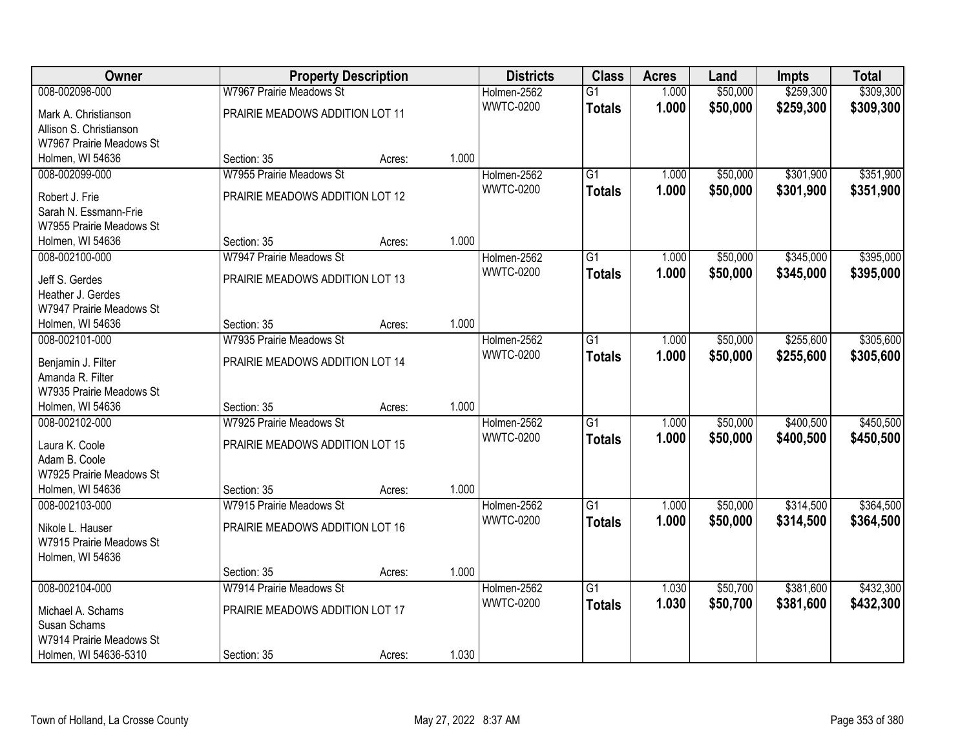| Owner                               |                                 | <b>Property Description</b> |       | <b>Districts</b> | <b>Class</b>    | <b>Acres</b> | Land     | <b>Impts</b> | <b>Total</b> |
|-------------------------------------|---------------------------------|-----------------------------|-------|------------------|-----------------|--------------|----------|--------------|--------------|
| 008-002098-000                      | W7967 Prairie Meadows St        |                             |       | Holmen-2562      | $\overline{G1}$ | 1.000        | \$50,000 | \$259,300    | \$309,300    |
| Mark A. Christianson                | PRAIRIE MEADOWS ADDITION LOT 11 |                             |       | <b>WWTC-0200</b> | <b>Totals</b>   | 1.000        | \$50,000 | \$259,300    | \$309,300    |
| Allison S. Christianson             |                                 |                             |       |                  |                 |              |          |              |              |
| W7967 Prairie Meadows St            |                                 |                             |       |                  |                 |              |          |              |              |
| Holmen, WI 54636                    | Section: 35                     | Acres:                      | 1.000 |                  |                 |              |          |              |              |
| 008-002099-000                      | W7955 Prairie Meadows St        |                             |       | Holmen-2562      | $\overline{G1}$ | 1.000        | \$50,000 | \$301,900    | \$351,900    |
| Robert J. Frie                      | PRAIRIE MEADOWS ADDITION LOT 12 |                             |       | <b>WWTC-0200</b> | <b>Totals</b>   | 1.000        | \$50,000 | \$301,900    | \$351,900    |
| Sarah N. Essmann-Frie               |                                 |                             |       |                  |                 |              |          |              |              |
| W7955 Prairie Meadows St            |                                 |                             |       |                  |                 |              |          |              |              |
| Holmen, WI 54636                    | Section: 35                     | Acres:                      | 1.000 |                  |                 |              |          |              |              |
| 008-002100-000                      | W7947 Prairie Meadows St        |                             |       | Holmen-2562      | $\overline{G1}$ | 1.000        | \$50,000 | \$345,000    | \$395,000    |
|                                     |                                 |                             |       | <b>WWTC-0200</b> | <b>Totals</b>   | 1.000        | \$50,000 | \$345,000    | \$395,000    |
| Jeff S. Gerdes<br>Heather J. Gerdes | PRAIRIE MEADOWS ADDITION LOT 13 |                             |       |                  |                 |              |          |              |              |
| W7947 Prairie Meadows St            |                                 |                             |       |                  |                 |              |          |              |              |
| Holmen, WI 54636                    | Section: 35                     | Acres:                      | 1.000 |                  |                 |              |          |              |              |
| 008-002101-000                      | W7935 Prairie Meadows St        |                             |       | Holmen-2562      | G1              | 1.000        | \$50,000 | \$255,600    | \$305,600    |
|                                     |                                 |                             |       | <b>WWTC-0200</b> | <b>Totals</b>   | 1.000        | \$50,000 | \$255,600    | \$305,600    |
| Benjamin J. Filter                  | PRAIRIE MEADOWS ADDITION LOT 14 |                             |       |                  |                 |              |          |              |              |
| Amanda R. Filter                    |                                 |                             |       |                  |                 |              |          |              |              |
| W7935 Prairie Meadows St            |                                 |                             |       |                  |                 |              |          |              |              |
| Holmen, WI 54636                    | Section: 35                     | Acres:                      | 1.000 |                  |                 |              |          |              |              |
| 008-002102-000                      | W7925 Prairie Meadows St        |                             |       | Holmen-2562      | $\overline{G1}$ | 1.000        | \$50,000 | \$400,500    | \$450,500    |
| Laura K. Coole                      | PRAIRIE MEADOWS ADDITION LOT 15 |                             |       | <b>WWTC-0200</b> | <b>Totals</b>   | 1.000        | \$50,000 | \$400,500    | \$450,500    |
| Adam B. Coole                       |                                 |                             |       |                  |                 |              |          |              |              |
| W7925 Prairie Meadows St            |                                 |                             |       |                  |                 |              |          |              |              |
| Holmen, WI 54636                    | Section: 35                     | Acres:                      | 1.000 |                  |                 |              |          |              |              |
| 008-002103-000                      | W7915 Prairie Meadows St        |                             |       | Holmen-2562      | $\overline{G1}$ | 1.000        | \$50,000 | \$314,500    | \$364,500    |
| Nikole L. Hauser                    | PRAIRIE MEADOWS ADDITION LOT 16 |                             |       | <b>WWTC-0200</b> | <b>Totals</b>   | 1.000        | \$50,000 | \$314,500    | \$364,500    |
| W7915 Prairie Meadows St            |                                 |                             |       |                  |                 |              |          |              |              |
| Holmen, WI 54636                    |                                 |                             |       |                  |                 |              |          |              |              |
|                                     | Section: 35                     | Acres:                      | 1.000 |                  |                 |              |          |              |              |
| 008-002104-000                      | W7914 Prairie Meadows St        |                             |       | Holmen-2562      | $\overline{G1}$ | 1.030        | \$50,700 | \$381,600    | \$432,300    |
| Michael A. Schams                   | PRAIRIE MEADOWS ADDITION LOT 17 |                             |       | <b>WWTC-0200</b> | <b>Totals</b>   | 1.030        | \$50,700 | \$381,600    | \$432,300    |
| Susan Schams                        |                                 |                             |       |                  |                 |              |          |              |              |
| W7914 Prairie Meadows St            |                                 |                             |       |                  |                 |              |          |              |              |
| Holmen, WI 54636-5310               | Section: 35                     | Acres:                      | 1.030 |                  |                 |              |          |              |              |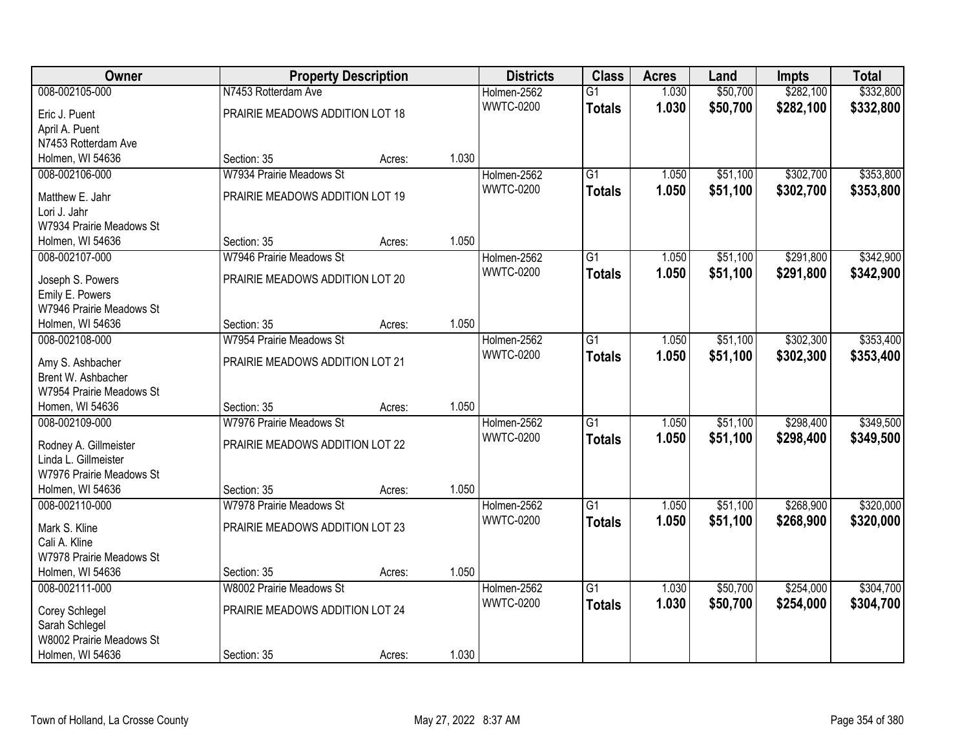| Owner                                    |                                 | <b>Property Description</b> |       | <b>Districts</b> | <b>Class</b>    | <b>Acres</b> | Land     | <b>Impts</b> | <b>Total</b> |
|------------------------------------------|---------------------------------|-----------------------------|-------|------------------|-----------------|--------------|----------|--------------|--------------|
| 008-002105-000                           | N7453 Rotterdam Ave             |                             |       | Holmen-2562      | $\overline{G1}$ | 1.030        | \$50,700 | \$282,100    | \$332,800    |
| Eric J. Puent                            | PRAIRIE MEADOWS ADDITION LOT 18 |                             |       | <b>WWTC-0200</b> | <b>Totals</b>   | 1.030        | \$50,700 | \$282,100    | \$332,800    |
| April A. Puent                           |                                 |                             |       |                  |                 |              |          |              |              |
| N7453 Rotterdam Ave                      |                                 |                             |       |                  |                 |              |          |              |              |
| Holmen, WI 54636                         | Section: 35                     | Acres:                      | 1.030 |                  |                 |              |          |              |              |
| 008-002106-000                           | W7934 Prairie Meadows St        |                             |       | Holmen-2562      | $\overline{G1}$ | 1.050        | \$51,100 | \$302,700    | \$353,800    |
|                                          |                                 |                             |       | <b>WWTC-0200</b> | <b>Totals</b>   | 1.050        | \$51,100 | \$302,700    | \$353,800    |
| Matthew E. Jahr                          | PRAIRIE MEADOWS ADDITION LOT 19 |                             |       |                  |                 |              |          |              |              |
| Lori J. Jahr<br>W7934 Prairie Meadows St |                                 |                             |       |                  |                 |              |          |              |              |
| Holmen, WI 54636                         | Section: 35                     | Acres:                      | 1.050 |                  |                 |              |          |              |              |
| 008-002107-000                           | W7946 Prairie Meadows St        |                             |       | Holmen-2562      | $\overline{G1}$ | 1.050        | \$51,100 | \$291,800    | \$342,900    |
|                                          |                                 |                             |       | <b>WWTC-0200</b> |                 | 1.050        | \$51,100 | \$291,800    |              |
| Joseph S. Powers                         | PRAIRIE MEADOWS ADDITION LOT 20 |                             |       |                  | <b>Totals</b>   |              |          |              | \$342,900    |
| Emily E. Powers                          |                                 |                             |       |                  |                 |              |          |              |              |
| W7946 Prairie Meadows St                 |                                 |                             |       |                  |                 |              |          |              |              |
| Holmen, WI 54636                         | Section: 35                     | Acres:                      | 1.050 |                  |                 |              |          |              |              |
| 008-002108-000                           | W7954 Prairie Meadows St        |                             |       | Holmen-2562      | $\overline{G1}$ | 1.050        | \$51,100 | \$302,300    | \$353,400    |
| Amy S. Ashbacher                         | PRAIRIE MEADOWS ADDITION LOT 21 |                             |       | <b>WWTC-0200</b> | <b>Totals</b>   | 1.050        | \$51,100 | \$302,300    | \$353,400    |
| Brent W. Ashbacher                       |                                 |                             |       |                  |                 |              |          |              |              |
| W7954 Prairie Meadows St                 |                                 |                             |       |                  |                 |              |          |              |              |
| Homen, WI 54636                          | Section: 35                     | Acres:                      | 1.050 |                  |                 |              |          |              |              |
| 008-002109-000                           | W7976 Prairie Meadows St        |                             |       | Holmen-2562      | $\overline{G1}$ | 1.050        | \$51,100 | \$298,400    | \$349,500    |
|                                          |                                 |                             |       | <b>WWTC-0200</b> | <b>Totals</b>   | 1.050        | \$51,100 | \$298,400    | \$349,500    |
| Rodney A. Gillmeister                    | PRAIRIE MEADOWS ADDITION LOT 22 |                             |       |                  |                 |              |          |              |              |
| Linda L. Gillmeister                     |                                 |                             |       |                  |                 |              |          |              |              |
| W7976 Prairie Meadows St                 |                                 |                             |       |                  |                 |              |          |              |              |
| Holmen, WI 54636                         | Section: 35                     | Acres:                      | 1.050 |                  |                 |              |          |              |              |
| 008-002110-000                           | W7978 Prairie Meadows St        |                             |       | Holmen-2562      | $\overline{G1}$ | 1.050        | \$51,100 | \$268,900    | \$320,000    |
| Mark S. Kline                            | PRAIRIE MEADOWS ADDITION LOT 23 |                             |       | <b>WWTC-0200</b> | <b>Totals</b>   | 1.050        | \$51,100 | \$268,900    | \$320,000    |
| Cali A. Kline                            |                                 |                             |       |                  |                 |              |          |              |              |
| W7978 Prairie Meadows St                 |                                 |                             |       |                  |                 |              |          |              |              |
| Holmen, WI 54636                         | Section: 35                     | Acres:                      | 1.050 |                  |                 |              |          |              |              |
| 008-002111-000                           | W8002 Prairie Meadows St        |                             |       | Holmen-2562      | $\overline{G1}$ | 1.030        | \$50,700 | \$254,000    | \$304,700    |
| Corey Schlegel                           | PRAIRIE MEADOWS ADDITION LOT 24 |                             |       | <b>WWTC-0200</b> | <b>Totals</b>   | 1.030        | \$50,700 | \$254,000    | \$304,700    |
| Sarah Schlegel                           |                                 |                             |       |                  |                 |              |          |              |              |
| W8002 Prairie Meadows St                 |                                 |                             |       |                  |                 |              |          |              |              |
| Holmen, WI 54636                         | Section: 35                     | Acres:                      | 1.030 |                  |                 |              |          |              |              |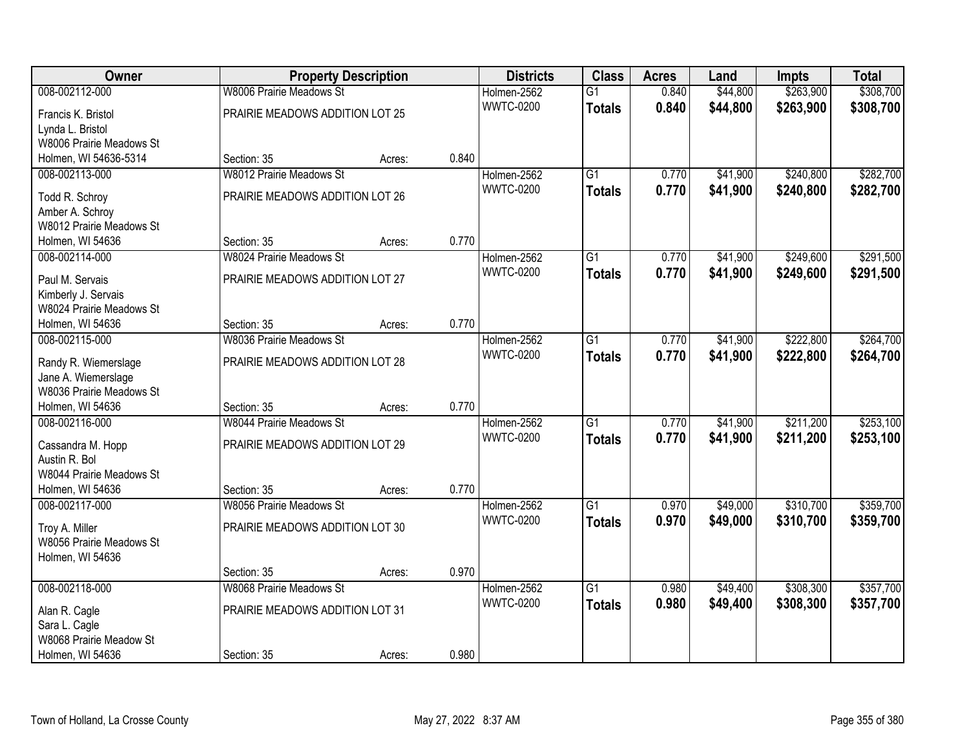| Owner                                           |                                 | <b>Property Description</b> |       | <b>Districts</b> | <b>Class</b>    | <b>Acres</b> | Land     | <b>Impts</b> | <b>Total</b> |
|-------------------------------------------------|---------------------------------|-----------------------------|-------|------------------|-----------------|--------------|----------|--------------|--------------|
| 008-002112-000                                  | <b>W8006 Prairie Meadows St</b> |                             |       | Holmen-2562      | $\overline{G1}$ | 0.840        | \$44,800 | \$263,900    | \$308,700    |
| Francis K. Bristol                              | PRAIRIE MEADOWS ADDITION LOT 25 |                             |       | <b>WWTC-0200</b> | <b>Totals</b>   | 0.840        | \$44,800 | \$263,900    | \$308,700    |
| Lynda L. Bristol                                |                                 |                             |       |                  |                 |              |          |              |              |
| W8006 Prairie Meadows St                        |                                 |                             |       |                  |                 |              |          |              |              |
| Holmen, WI 54636-5314                           | Section: 35                     | Acres:                      | 0.840 |                  |                 |              |          |              |              |
| 008-002113-000                                  | <b>W8012 Prairie Meadows St</b> |                             |       | Holmen-2562      | $\overline{G1}$ | 0.770        | \$41,900 | \$240,800    | \$282,700    |
| Todd R. Schroy                                  | PRAIRIE MEADOWS ADDITION LOT 26 |                             |       | <b>WWTC-0200</b> | <b>Totals</b>   | 0.770        | \$41,900 | \$240,800    | \$282,700    |
| Amber A. Schroy                                 |                                 |                             |       |                  |                 |              |          |              |              |
| W8012 Prairie Meadows St                        |                                 |                             |       |                  |                 |              |          |              |              |
| Holmen, WI 54636                                | Section: 35                     | Acres:                      | 0.770 |                  |                 |              |          |              |              |
| 008-002114-000                                  | W8024 Prairie Meadows St        |                             |       | Holmen-2562      | $\overline{G1}$ | 0.770        | \$41,900 | \$249,600    | \$291,500    |
|                                                 |                                 |                             |       | <b>WWTC-0200</b> | <b>Totals</b>   | 0.770        | \$41,900 | \$249,600    | \$291,500    |
| Paul M. Servais                                 | PRAIRIE MEADOWS ADDITION LOT 27 |                             |       |                  |                 |              |          |              |              |
| Kimberly J. Servais<br>W8024 Prairie Meadows St |                                 |                             |       |                  |                 |              |          |              |              |
| Holmen, WI 54636                                | Section: 35                     | Acres:                      | 0.770 |                  |                 |              |          |              |              |
| 008-002115-000                                  | <b>W8036 Prairie Meadows St</b> |                             |       | Holmen-2562      | $\overline{G1}$ | 0.770        | \$41,900 | \$222,800    | \$264,700    |
|                                                 |                                 |                             |       | <b>WWTC-0200</b> | <b>Totals</b>   | 0.770        | \$41,900 | \$222,800    | \$264,700    |
| Randy R. Wiemerslage                            | PRAIRIE MEADOWS ADDITION LOT 28 |                             |       |                  |                 |              |          |              |              |
| Jane A. Wiemerslage                             |                                 |                             |       |                  |                 |              |          |              |              |
| W8036 Prairie Meadows St                        |                                 |                             |       |                  |                 |              |          |              |              |
| Holmen, WI 54636                                | Section: 35                     | Acres:                      | 0.770 |                  |                 |              |          |              |              |
| 008-002116-000                                  | <b>W8044 Prairie Meadows St</b> |                             |       | Holmen-2562      | $\overline{G1}$ | 0.770        | \$41,900 | \$211,200    | \$253,100    |
| Cassandra M. Hopp                               | PRAIRIE MEADOWS ADDITION LOT 29 |                             |       | <b>WWTC-0200</b> | <b>Totals</b>   | 0.770        | \$41,900 | \$211,200    | \$253,100    |
| Austin R. Bol                                   |                                 |                             |       |                  |                 |              |          |              |              |
| W8044 Prairie Meadows St                        |                                 |                             |       |                  |                 |              |          |              |              |
| Holmen, WI 54636                                | Section: 35                     | Acres:                      | 0.770 |                  |                 |              |          |              |              |
| 008-002117-000                                  | <b>W8056 Prairie Meadows St</b> |                             |       | Holmen-2562      | $\overline{G1}$ | 0.970        | \$49,000 | \$310,700    | \$359,700    |
| Troy A. Miller                                  | PRAIRIE MEADOWS ADDITION LOT 30 |                             |       | <b>WWTC-0200</b> | <b>Totals</b>   | 0.970        | \$49,000 | \$310,700    | \$359,700    |
| W8056 Prairie Meadows St                        |                                 |                             |       |                  |                 |              |          |              |              |
| Holmen, WI 54636                                |                                 |                             |       |                  |                 |              |          |              |              |
|                                                 | Section: 35                     | Acres:                      | 0.970 |                  |                 |              |          |              |              |
| 008-002118-000                                  | <b>W8068 Prairie Meadows St</b> |                             |       | Holmen-2562      | $\overline{G1}$ | 0.980        | \$49,400 | \$308,300    | \$357,700    |
| Alan R. Cagle                                   | PRAIRIE MEADOWS ADDITION LOT 31 |                             |       | <b>WWTC-0200</b> | <b>Totals</b>   | 0.980        | \$49,400 | \$308,300    | \$357,700    |
| Sara L. Cagle                                   |                                 |                             |       |                  |                 |              |          |              |              |
| W8068 Prairie Meadow St                         |                                 |                             |       |                  |                 |              |          |              |              |
| Holmen, WI 54636                                | Section: 35                     | Acres:                      | 0.980 |                  |                 |              |          |              |              |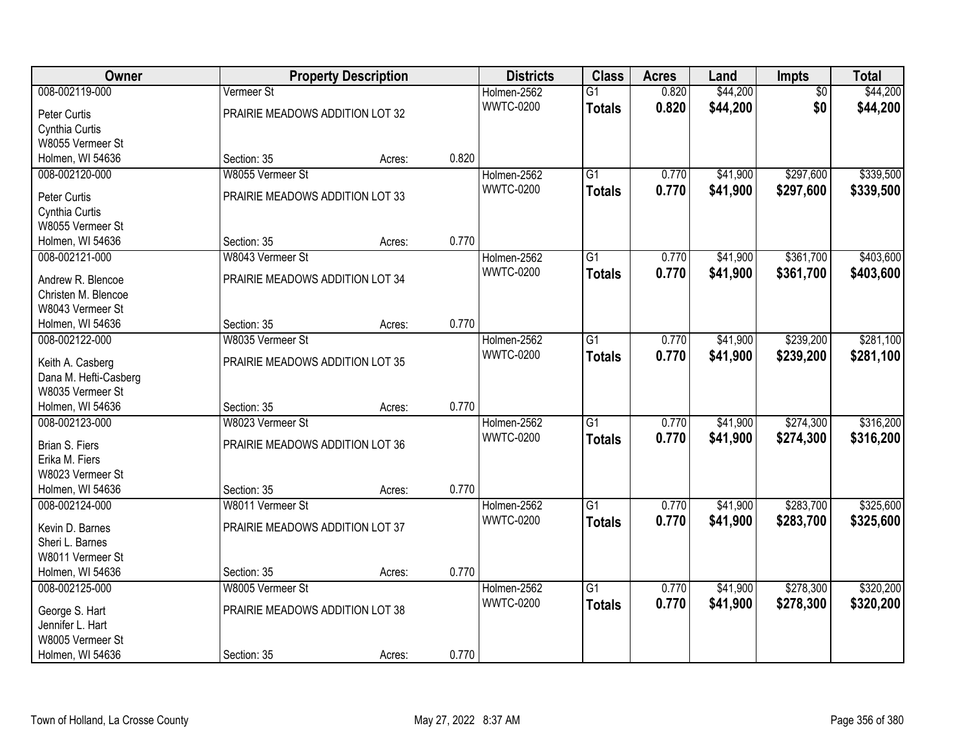| Owner                                     | <b>Property Description</b>     |        |       | <b>Districts</b> | <b>Class</b>    | <b>Acres</b> | Land     | <b>Impts</b>    | <b>Total</b> |
|-------------------------------------------|---------------------------------|--------|-------|------------------|-----------------|--------------|----------|-----------------|--------------|
| 008-002119-000                            | Vermeer St                      |        |       | Holmen-2562      | $\overline{G1}$ | 0.820        | \$44,200 | $\overline{50}$ | \$44,200     |
| Peter Curtis                              | PRAIRIE MEADOWS ADDITION LOT 32 |        |       | <b>WWTC-0200</b> | <b>Totals</b>   | 0.820        | \$44,200 | \$0             | \$44,200     |
| Cynthia Curtis                            |                                 |        |       |                  |                 |              |          |                 |              |
| W8055 Vermeer St                          |                                 |        |       |                  |                 |              |          |                 |              |
| Holmen, WI 54636                          | Section: 35                     | Acres: | 0.820 |                  |                 |              |          |                 |              |
| 008-002120-000                            | W8055 Vermeer St                |        |       | Holmen-2562      | $\overline{G1}$ | 0.770        | \$41,900 | \$297,600       | \$339,500    |
|                                           |                                 |        |       | <b>WWTC-0200</b> | Totals          | 0.770        | \$41,900 | \$297,600       | \$339,500    |
| Peter Curtis                              | PRAIRIE MEADOWS ADDITION LOT 33 |        |       |                  |                 |              |          |                 |              |
| Cynthia Curtis                            |                                 |        |       |                  |                 |              |          |                 |              |
| W8055 Vermeer St                          |                                 |        | 0.770 |                  |                 |              |          |                 |              |
| Holmen, WI 54636                          | Section: 35                     | Acres: |       |                  |                 |              |          |                 |              |
| 008-002121-000                            | W8043 Vermeer St                |        |       | Holmen-2562      | G1              | 0.770        | \$41,900 | \$361,700       | \$403,600    |
| Andrew R. Blencoe                         | PRAIRIE MEADOWS ADDITION LOT 34 |        |       | <b>WWTC-0200</b> | <b>Totals</b>   | 0.770        | \$41,900 | \$361,700       | \$403,600    |
| Christen M. Blencoe                       |                                 |        |       |                  |                 |              |          |                 |              |
| W8043 Vermeer St                          |                                 |        |       |                  |                 |              |          |                 |              |
| Holmen, WI 54636                          | Section: 35                     | Acres: | 0.770 |                  |                 |              |          |                 |              |
| 008-002122-000                            | W8035 Vermeer St                |        |       | Holmen-2562      | G1              | 0.770        | \$41,900 | \$239,200       | \$281,100    |
|                                           |                                 |        |       | <b>WWTC-0200</b> | <b>Totals</b>   | 0.770        | \$41,900 | \$239,200       | \$281,100    |
| Keith A. Casberg                          | PRAIRIE MEADOWS ADDITION LOT 35 |        |       |                  |                 |              |          |                 |              |
| Dana M. Hefti-Casberg<br>W8035 Vermeer St |                                 |        |       |                  |                 |              |          |                 |              |
| Holmen, WI 54636                          | Section: 35                     |        | 0.770 |                  |                 |              |          |                 |              |
| 008-002123-000                            | W8023 Vermeer St                | Acres: |       | Holmen-2562      | $\overline{G1}$ | 0.770        | \$41,900 | \$274,300       | \$316,200    |
|                                           |                                 |        |       | <b>WWTC-0200</b> |                 |              |          |                 |              |
| Brian S. Fiers                            | PRAIRIE MEADOWS ADDITION LOT 36 |        |       |                  | <b>Totals</b>   | 0.770        | \$41,900 | \$274,300       | \$316,200    |
| Erika M. Fiers                            |                                 |        |       |                  |                 |              |          |                 |              |
| W8023 Vermeer St                          |                                 |        |       |                  |                 |              |          |                 |              |
| Holmen, WI 54636                          | Section: 35                     | Acres: | 0.770 |                  |                 |              |          |                 |              |
| 008-002124-000                            | W8011 Vermeer St                |        |       | Holmen-2562      | $\overline{G1}$ | 0.770        | \$41,900 | \$283,700       | \$325,600    |
| Kevin D. Barnes                           | PRAIRIE MEADOWS ADDITION LOT 37 |        |       | <b>WWTC-0200</b> | <b>Totals</b>   | 0.770        | \$41,900 | \$283,700       | \$325,600    |
| Sheri L. Barnes                           |                                 |        |       |                  |                 |              |          |                 |              |
| W8011 Vermeer St                          |                                 |        |       |                  |                 |              |          |                 |              |
| Holmen, WI 54636                          | Section: 35                     | Acres: | 0.770 |                  |                 |              |          |                 |              |
| 008-002125-000                            | W8005 Vermeer St                |        |       | Holmen-2562      | $\overline{G1}$ | 0.770        | \$41,900 | \$278,300       | \$320,200    |
|                                           |                                 |        |       | <b>WWTC-0200</b> | <b>Totals</b>   | 0.770        | \$41,900 | \$278,300       | \$320,200    |
| George S. Hart                            | PRAIRIE MEADOWS ADDITION LOT 38 |        |       |                  |                 |              |          |                 |              |
| Jennifer L. Hart                          |                                 |        |       |                  |                 |              |          |                 |              |
| W8005 Vermeer St                          |                                 |        |       |                  |                 |              |          |                 |              |
| Holmen, WI 54636                          | Section: 35                     | Acres: | 0.770 |                  |                 |              |          |                 |              |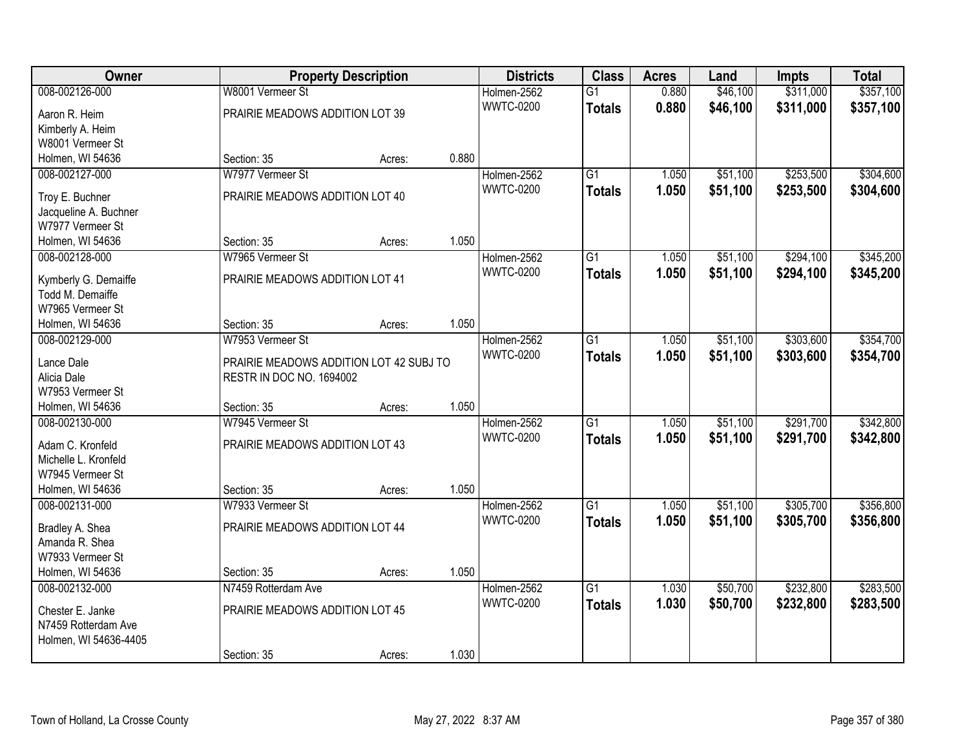| Owner                     |                                                                     | <b>Property Description</b> |       | <b>Districts</b> | <b>Class</b>    | <b>Acres</b> | Land     | Impts     | <b>Total</b> |
|---------------------------|---------------------------------------------------------------------|-----------------------------|-------|------------------|-----------------|--------------|----------|-----------|--------------|
| 008-002126-000            | W8001 Vermeer St                                                    |                             |       | Holmen-2562      | $\overline{G1}$ | 0.880        | \$46,100 | \$311,000 | \$357,100    |
| Aaron R. Heim             | PRAIRIE MEADOWS ADDITION LOT 39                                     |                             |       | <b>WWTC-0200</b> | <b>Totals</b>   | 0.880        | \$46,100 | \$311,000 | \$357,100    |
| Kimberly A. Heim          |                                                                     |                             |       |                  |                 |              |          |           |              |
| W8001 Vermeer St          |                                                                     |                             |       |                  |                 |              |          |           |              |
| Holmen, WI 54636          | Section: 35                                                         | Acres:                      | 0.880 |                  |                 |              |          |           |              |
| 008-002127-000            | W7977 Vermeer St                                                    |                             |       | Holmen-2562      | $\overline{G1}$ | 1.050        | \$51,100 | \$253,500 | \$304,600    |
|                           |                                                                     |                             |       | <b>WWTC-0200</b> | <b>Totals</b>   | 1.050        | \$51,100 | \$253,500 | \$304,600    |
| Troy E. Buchner           | PRAIRIE MEADOWS ADDITION LOT 40                                     |                             |       |                  |                 |              |          |           |              |
| Jacqueline A. Buchner     |                                                                     |                             |       |                  |                 |              |          |           |              |
| W7977 Vermeer St          |                                                                     |                             |       |                  |                 |              |          |           |              |
| Holmen, WI 54636          | Section: 35                                                         | Acres:                      | 1.050 |                  |                 |              |          |           |              |
| 008-002128-000            | W7965 Vermeer St                                                    |                             |       | Holmen-2562      | $\overline{G1}$ | 1.050        | \$51,100 | \$294,100 | \$345,200    |
| Kymberly G. Demaiffe      | PRAIRIE MEADOWS ADDITION LOT 41                                     |                             |       | <b>WWTC-0200</b> | <b>Totals</b>   | 1.050        | \$51,100 | \$294,100 | \$345,200    |
| Todd M. Demaiffe          |                                                                     |                             |       |                  |                 |              |          |           |              |
| W7965 Vermeer St          |                                                                     |                             |       |                  |                 |              |          |           |              |
| Holmen, WI 54636          | Section: 35                                                         | Acres:                      | 1.050 |                  |                 |              |          |           |              |
| 008-002129-000            | W7953 Vermeer St                                                    |                             |       | Holmen-2562      | $\overline{G1}$ | 1.050        | \$51,100 | \$303,600 | \$354,700    |
|                           |                                                                     |                             |       | <b>WWTC-0200</b> | <b>Totals</b>   | 1.050        | \$51,100 | \$303,600 | \$354,700    |
| Lance Dale<br>Alicia Dale | PRAIRIE MEADOWS ADDITION LOT 42 SUBJ TO<br>RESTR IN DOC NO. 1694002 |                             |       |                  |                 |              |          |           |              |
| W7953 Vermeer St          |                                                                     |                             |       |                  |                 |              |          |           |              |
| Holmen, WI 54636          | Section: 35                                                         | Acres:                      | 1.050 |                  |                 |              |          |           |              |
| 008-002130-000            | W7945 Vermeer St                                                    |                             |       | Holmen-2562      | $\overline{G1}$ | 1.050        | \$51,100 | \$291,700 | \$342,800    |
|                           |                                                                     |                             |       | <b>WWTC-0200</b> |                 | 1.050        | \$51,100 |           |              |
| Adam C. Kronfeld          | PRAIRIE MEADOWS ADDITION LOT 43                                     |                             |       |                  | <b>Totals</b>   |              |          | \$291,700 | \$342,800    |
| Michelle L. Kronfeld      |                                                                     |                             |       |                  |                 |              |          |           |              |
| W7945 Vermeer St          |                                                                     |                             |       |                  |                 |              |          |           |              |
| Holmen, WI 54636          | Section: 35                                                         | Acres:                      | 1.050 |                  |                 |              |          |           |              |
| 008-002131-000            | W7933 Vermeer St                                                    |                             |       | Holmen-2562      | $\overline{G1}$ | 1.050        | \$51,100 | \$305,700 | \$356,800    |
| Bradley A. Shea           | PRAIRIE MEADOWS ADDITION LOT 44                                     |                             |       | <b>WWTC-0200</b> | <b>Totals</b>   | 1.050        | \$51,100 | \$305,700 | \$356,800    |
| Amanda R. Shea            |                                                                     |                             |       |                  |                 |              |          |           |              |
| W7933 Vermeer St          |                                                                     |                             |       |                  |                 |              |          |           |              |
| Holmen, WI 54636          | Section: 35                                                         | Acres:                      | 1.050 |                  |                 |              |          |           |              |
| 008-002132-000            | N7459 Rotterdam Ave                                                 |                             |       | Holmen-2562      | $\overline{G1}$ | 1.030        | \$50,700 | \$232,800 | \$283,500    |
|                           |                                                                     |                             |       | <b>WWTC-0200</b> | <b>Totals</b>   | 1.030        | \$50,700 | \$232,800 | \$283,500    |
| Chester E. Janke          | PRAIRIE MEADOWS ADDITION LOT 45                                     |                             |       |                  |                 |              |          |           |              |
| N7459 Rotterdam Ave       |                                                                     |                             |       |                  |                 |              |          |           |              |
| Holmen, WI 54636-4405     |                                                                     |                             |       |                  |                 |              |          |           |              |
|                           | Section: 35                                                         | Acres:                      | 1.030 |                  |                 |              |          |           |              |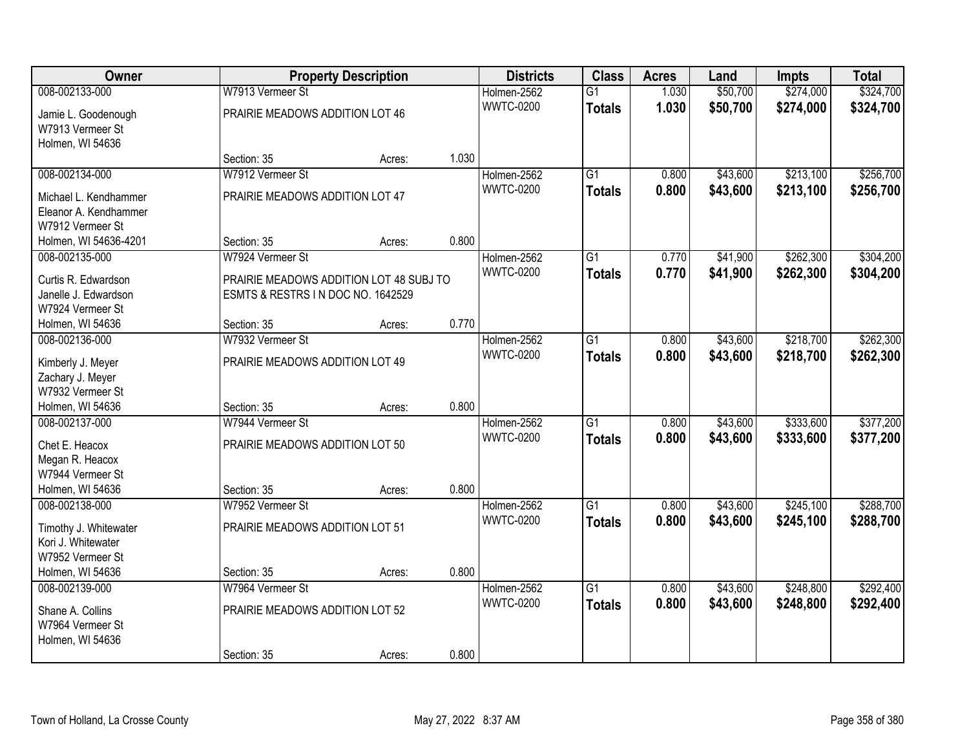| Owner                                       |                                         | <b>Property Description</b> |       | <b>Districts</b> | <b>Class</b>    | <b>Acres</b> | Land     | <b>Impts</b> | <b>Total</b> |
|---------------------------------------------|-----------------------------------------|-----------------------------|-------|------------------|-----------------|--------------|----------|--------------|--------------|
| 008-002133-000                              | W7913 Vermeer St                        |                             |       | Holmen-2562      | $\overline{G1}$ | 1.030        | \$50,700 | \$274,000    | \$324,700    |
| Jamie L. Goodenough                         | PRAIRIE MEADOWS ADDITION LOT 46         |                             |       | <b>WWTC-0200</b> | <b>Totals</b>   | 1.030        | \$50,700 | \$274,000    | \$324,700    |
| W7913 Vermeer St                            |                                         |                             |       |                  |                 |              |          |              |              |
| Holmen, WI 54636                            |                                         |                             |       |                  |                 |              |          |              |              |
|                                             | Section: 35                             | Acres:                      | 1.030 |                  |                 |              |          |              |              |
| 008-002134-000                              | W7912 Vermeer St                        |                             |       | Holmen-2562      | $\overline{G1}$ | 0.800        | \$43,600 | \$213,100    | \$256,700    |
| Michael L. Kendhammer                       | PRAIRIE MEADOWS ADDITION LOT 47         |                             |       | <b>WWTC-0200</b> | <b>Totals</b>   | 0.800        | \$43,600 | \$213,100    | \$256,700    |
| Eleanor A. Kendhammer                       |                                         |                             |       |                  |                 |              |          |              |              |
| W7912 Vermeer St                            |                                         |                             |       |                  |                 |              |          |              |              |
| Holmen, WI 54636-4201                       | Section: 35                             | Acres:                      | 0.800 |                  |                 |              |          |              |              |
| 008-002135-000                              | W7924 Vermeer St                        |                             |       | Holmen-2562      | G1              | 0.770        | \$41,900 | \$262,300    | \$304,200    |
| Curtis R. Edwardson                         | PRAIRIE MEADOWS ADDITION LOT 48 SUBJ TO |                             |       | <b>WWTC-0200</b> | <b>Totals</b>   | 0.770        | \$41,900 | \$262,300    | \$304,200    |
| Janelle J. Edwardson                        | ESMTS & RESTRS IN DOC NO. 1642529       |                             |       |                  |                 |              |          |              |              |
| W7924 Vermeer St                            |                                         |                             |       |                  |                 |              |          |              |              |
| Holmen, WI 54636                            | Section: 35                             | Acres:                      | 0.770 |                  |                 |              |          |              |              |
| 008-002136-000                              | W7932 Vermeer St                        |                             |       | Holmen-2562      | G1              | 0.800        | \$43,600 | \$218,700    | \$262,300    |
|                                             | PRAIRIE MEADOWS ADDITION LOT 49         |                             |       | <b>WWTC-0200</b> | <b>Totals</b>   | 0.800        | \$43,600 | \$218,700    | \$262,300    |
| Kimberly J. Meyer<br>Zachary J. Meyer       |                                         |                             |       |                  |                 |              |          |              |              |
| W7932 Vermeer St                            |                                         |                             |       |                  |                 |              |          |              |              |
| Holmen, WI 54636                            | Section: 35                             | Acres:                      | 0.800 |                  |                 |              |          |              |              |
| 008-002137-000                              | W7944 Vermeer St                        |                             |       | Holmen-2562      | $\overline{G1}$ | 0.800        | \$43,600 | \$333,600    | \$377,200    |
|                                             |                                         |                             |       | <b>WWTC-0200</b> | <b>Totals</b>   | 0.800        | \$43,600 | \$333,600    | \$377,200    |
| Chet E. Heacox<br>Megan R. Heacox           | PRAIRIE MEADOWS ADDITION LOT 50         |                             |       |                  |                 |              |          |              |              |
| W7944 Vermeer St                            |                                         |                             |       |                  |                 |              |          |              |              |
| Holmen, WI 54636                            | Section: 35                             | Acres:                      | 0.800 |                  |                 |              |          |              |              |
| 008-002138-000                              | W7952 Vermeer St                        |                             |       | Holmen-2562      | $\overline{G1}$ | 0.800        | \$43,600 | \$245,100    | \$288,700    |
|                                             |                                         |                             |       | <b>WWTC-0200</b> | <b>Totals</b>   | 0.800        | \$43,600 | \$245,100    | \$288,700    |
| Timothy J. Whitewater<br>Kori J. Whitewater | PRAIRIE MEADOWS ADDITION LOT 51         |                             |       |                  |                 |              |          |              |              |
| W7952 Vermeer St                            |                                         |                             |       |                  |                 |              |          |              |              |
| Holmen, WI 54636                            | Section: 35                             | Acres:                      | 0.800 |                  |                 |              |          |              |              |
| 008-002139-000                              | W7964 Vermeer St                        |                             |       | Holmen-2562      | $\overline{G1}$ | 0.800        | \$43,600 | \$248,800    | \$292,400    |
|                                             |                                         |                             |       | <b>WWTC-0200</b> | <b>Totals</b>   | 0.800        | \$43,600 | \$248,800    | \$292,400    |
| Shane A. Collins                            | PRAIRIE MEADOWS ADDITION LOT 52         |                             |       |                  |                 |              |          |              |              |
| W7964 Vermeer St                            |                                         |                             |       |                  |                 |              |          |              |              |
| Holmen, WI 54636                            | Section: 35                             | Acres:                      | 0.800 |                  |                 |              |          |              |              |
|                                             |                                         |                             |       |                  |                 |              |          |              |              |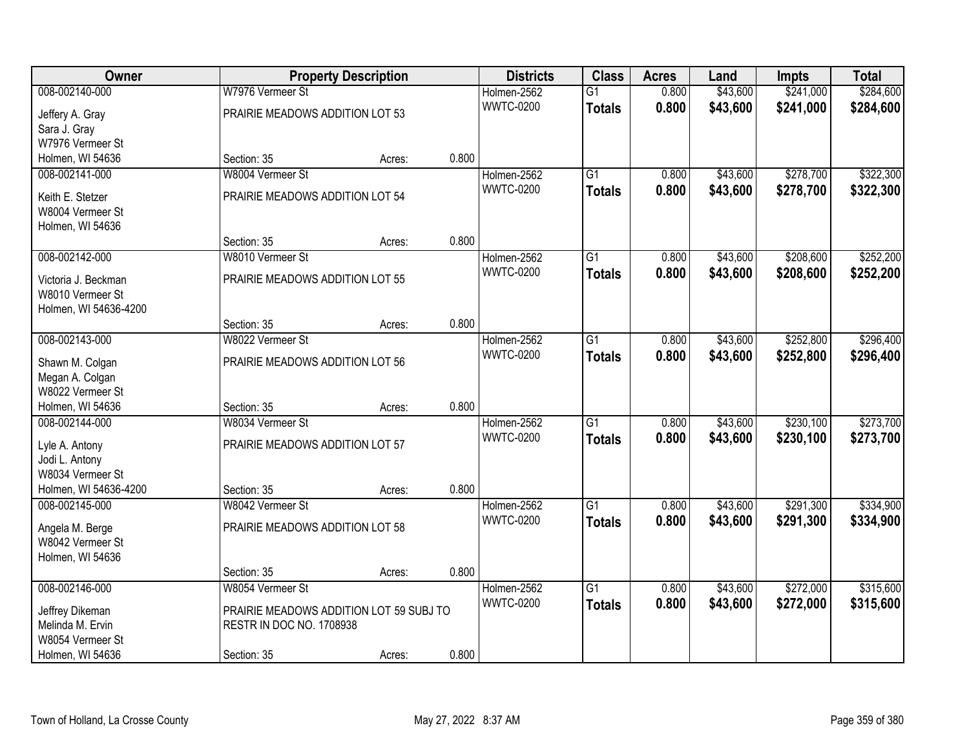| Owner                                   |                                         | <b>Property Description</b> |       | <b>Districts</b>                | <b>Class</b>    | <b>Acres</b> | Land     | <b>Impts</b> | <b>Total</b> |
|-----------------------------------------|-----------------------------------------|-----------------------------|-------|---------------------------------|-----------------|--------------|----------|--------------|--------------|
| 008-002140-000                          | W7976 Vermeer St                        |                             |       | Holmen-2562                     | $\overline{G1}$ | 0.800        | \$43,600 | \$241,000    | \$284,600    |
| Jeffery A. Gray                         | PRAIRIE MEADOWS ADDITION LOT 53         |                             |       | <b>WWTC-0200</b>                | <b>Totals</b>   | 0.800        | \$43,600 | \$241,000    | \$284,600    |
| Sara J. Gray                            |                                         |                             |       |                                 |                 |              |          |              |              |
| W7976 Vermeer St                        |                                         |                             |       |                                 |                 |              |          |              |              |
| Holmen, WI 54636                        | Section: 35                             | Acres:                      | 0.800 |                                 |                 |              |          |              |              |
| 008-002141-000                          | W8004 Vermeer St                        |                             |       | Holmen-2562                     | $\overline{G1}$ | 0.800        | \$43,600 | \$278,700    | \$322,300    |
| Keith E. Stetzer                        | PRAIRIE MEADOWS ADDITION LOT 54         |                             |       | <b>WWTC-0200</b>                | <b>Totals</b>   | 0.800        | \$43,600 | \$278,700    | \$322,300    |
| W8004 Vermeer St                        |                                         |                             |       |                                 |                 |              |          |              |              |
| Holmen, WI 54636                        |                                         |                             |       |                                 |                 |              |          |              |              |
|                                         | Section: 35                             | Acres:                      | 0.800 |                                 |                 |              |          |              |              |
| 008-002142-000                          | W8010 Vermeer St                        |                             |       | Holmen-2562                     | $\overline{G1}$ | 0.800        | \$43,600 | \$208,600    | \$252,200    |
|                                         | PRAIRIE MEADOWS ADDITION LOT 55         |                             |       | <b>WWTC-0200</b>                | <b>Totals</b>   | 0.800        | \$43,600 | \$208,600    | \$252,200    |
| Victoria J. Beckman<br>W8010 Vermeer St |                                         |                             |       |                                 |                 |              |          |              |              |
| Holmen, WI 54636-4200                   |                                         |                             |       |                                 |                 |              |          |              |              |
|                                         | Section: 35                             | Acres:                      | 0.800 |                                 |                 |              |          |              |              |
| 008-002143-000                          | W8022 Vermeer St                        |                             |       | Holmen-2562                     | $\overline{G1}$ | 0.800        | \$43,600 | \$252,800    | \$296,400    |
|                                         |                                         |                             |       | <b>WWTC-0200</b>                | <b>Totals</b>   | 0.800        | \$43,600 | \$252,800    | \$296,400    |
| Shawn M. Colgan                         | PRAIRIE MEADOWS ADDITION LOT 56         |                             |       |                                 |                 |              |          |              |              |
| Megan A. Colgan<br>W8022 Vermeer St     |                                         |                             |       |                                 |                 |              |          |              |              |
| Holmen, WI 54636                        | Section: 35                             | Acres:                      | 0.800 |                                 |                 |              |          |              |              |
| 008-002144-000                          | W8034 Vermeer St                        |                             |       | Holmen-2562                     | $\overline{G1}$ | 0.800        | \$43,600 | \$230,100    | \$273,700    |
|                                         |                                         |                             |       | <b>WWTC-0200</b>                | Totals          | 0.800        | \$43,600 | \$230,100    | \$273,700    |
| Lyle A. Antony                          | PRAIRIE MEADOWS ADDITION LOT 57         |                             |       |                                 |                 |              |          |              |              |
| Jodi L. Antony                          |                                         |                             |       |                                 |                 |              |          |              |              |
| W8034 Vermeer St                        |                                         |                             |       |                                 |                 |              |          |              |              |
| Holmen, WI 54636-4200                   | Section: 35                             | Acres:                      | 0.800 |                                 |                 |              |          |              |              |
| 008-002145-000                          | W8042 Vermeer St                        |                             |       | Holmen-2562<br><b>WWTC-0200</b> | $\overline{G1}$ | 0.800        | \$43,600 | \$291,300    | \$334,900    |
| Angela M. Berge                         | PRAIRIE MEADOWS ADDITION LOT 58         |                             |       |                                 | <b>Totals</b>   | 0.800        | \$43,600 | \$291,300    | \$334,900    |
| W8042 Vermeer St                        |                                         |                             |       |                                 |                 |              |          |              |              |
| Holmen, WI 54636                        |                                         |                             |       |                                 |                 |              |          |              |              |
|                                         | Section: 35                             | Acres:                      | 0.800 |                                 |                 |              |          |              |              |
| 008-002146-000                          | W8054 Vermeer St                        |                             |       | Holmen-2562                     | $\overline{G1}$ | 0.800        | \$43,600 | \$272,000    | \$315,600    |
| Jeffrey Dikeman                         | PRAIRIE MEADOWS ADDITION LOT 59 SUBJ TO |                             |       | <b>WWTC-0200</b>                | <b>Totals</b>   | 0.800        | \$43,600 | \$272,000    | \$315,600    |
| Melinda M. Ervin                        | RESTR IN DOC NO. 1708938                |                             |       |                                 |                 |              |          |              |              |
| W8054 Vermeer St                        |                                         |                             |       |                                 |                 |              |          |              |              |
| Holmen, WI 54636                        | Section: 35                             | Acres:                      | 0.800 |                                 |                 |              |          |              |              |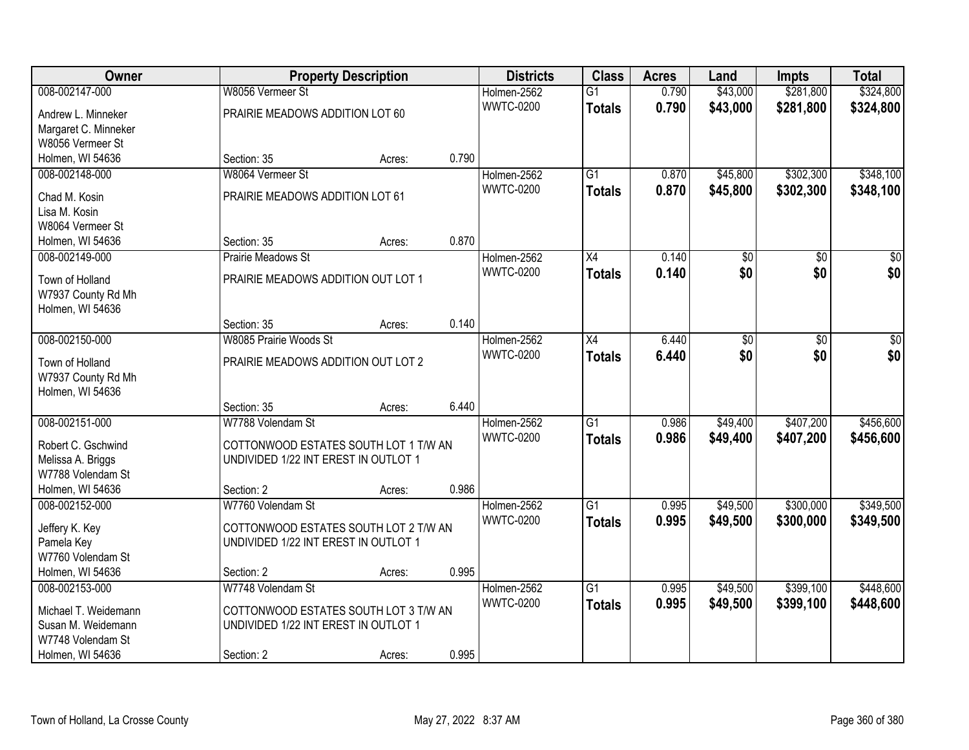| Owner                |                                       | <b>Property Description</b> |       | <b>Districts</b> | <b>Class</b>    | <b>Acres</b> | Land            | <b>Impts</b> | <b>Total</b> |
|----------------------|---------------------------------------|-----------------------------|-------|------------------|-----------------|--------------|-----------------|--------------|--------------|
| 008-002147-000       | W8056 Vermeer St                      |                             |       | Holmen-2562      | $\overline{G1}$ | 0.790        | \$43,000        | \$281,800    | \$324,800    |
| Andrew L. Minneker   | PRAIRIE MEADOWS ADDITION LOT 60       |                             |       | <b>WWTC-0200</b> | <b>Totals</b>   | 0.790        | \$43,000        | \$281,800    | \$324,800    |
| Margaret C. Minneker |                                       |                             |       |                  |                 |              |                 |              |              |
| W8056 Vermeer St     |                                       |                             |       |                  |                 |              |                 |              |              |
| Holmen, WI 54636     | Section: 35                           | Acres:                      | 0.790 |                  |                 |              |                 |              |              |
| 008-002148-000       | W8064 Vermeer St                      |                             |       | Holmen-2562      | $\overline{G1}$ | 0.870        | \$45,800        | \$302,300    | \$348,100    |
| Chad M. Kosin        | PRAIRIE MEADOWS ADDITION LOT 61       |                             |       | <b>WWTC-0200</b> | <b>Totals</b>   | 0.870        | \$45,800        | \$302,300    | \$348,100    |
| Lisa M. Kosin        |                                       |                             |       |                  |                 |              |                 |              |              |
| W8064 Vermeer St     |                                       |                             |       |                  |                 |              |                 |              |              |
| Holmen, WI 54636     | Section: 35                           | Acres:                      | 0.870 |                  |                 |              |                 |              |              |
| 008-002149-000       | <b>Prairie Meadows St</b>             |                             |       | Holmen-2562      | X4              | 0.140        | \$0             | \$0          | \$0          |
|                      |                                       |                             |       | <b>WWTC-0200</b> | <b>Totals</b>   | 0.140        | \$0             | \$0          | \$0          |
| Town of Holland      | PRAIRIE MEADOWS ADDITION OUT LOT 1    |                             |       |                  |                 |              |                 |              |              |
| W7937 County Rd Mh   |                                       |                             |       |                  |                 |              |                 |              |              |
| Holmen, WI 54636     | Section: 35                           | Acres:                      | 0.140 |                  |                 |              |                 |              |              |
| 008-002150-000       | W8085 Prairie Woods St                |                             |       | Holmen-2562      | X4              | 6.440        | $\overline{50}$ | \$0          | \$0          |
|                      |                                       |                             |       | <b>WWTC-0200</b> | <b>Totals</b>   | 6.440        | \$0             | \$0          | \$0          |
| Town of Holland      | PRAIRIE MEADOWS ADDITION OUT LOT 2    |                             |       |                  |                 |              |                 |              |              |
| W7937 County Rd Mh   |                                       |                             |       |                  |                 |              |                 |              |              |
| Holmen, WI 54636     |                                       |                             |       |                  |                 |              |                 |              |              |
|                      | Section: 35                           | Acres:                      | 6.440 |                  |                 |              |                 |              |              |
| 008-002151-000       | W7788 Volendam St                     |                             |       | Holmen-2562      | $\overline{G1}$ | 0.986        | \$49,400        | \$407,200    | \$456,600    |
| Robert C. Gschwind   | COTTONWOOD ESTATES SOUTH LOT 1 T/W AN |                             |       | <b>WWTC-0200</b> | Totals          | 0.986        | \$49,400        | \$407,200    | \$456,600    |
| Melissa A. Briggs    | UNDIVIDED 1/22 INT EREST IN OUTLOT 1  |                             |       |                  |                 |              |                 |              |              |
| W7788 Volendam St    |                                       |                             |       |                  |                 |              |                 |              |              |
| Holmen, WI 54636     | Section: 2                            | Acres:                      | 0.986 |                  |                 |              |                 |              |              |
| 008-002152-000       | W7760 Volendam St                     |                             |       | Holmen-2562      | $\overline{G1}$ | 0.995        | \$49,500        | \$300,000    | \$349,500    |
| Jeffery K. Key       | COTTONWOOD ESTATES SOUTH LOT 2 T/W AN |                             |       | <b>WWTC-0200</b> | <b>Totals</b>   | 0.995        | \$49,500        | \$300,000    | \$349,500    |
| Pamela Key           | UNDIVIDED 1/22 INT EREST IN OUTLOT 1  |                             |       |                  |                 |              |                 |              |              |
| W7760 Volendam St    |                                       |                             |       |                  |                 |              |                 |              |              |
| Holmen, WI 54636     | Section: 2                            | Acres:                      | 0.995 |                  |                 |              |                 |              |              |
| 008-002153-000       | W7748 Volendam St                     |                             |       | Holmen-2562      | $\overline{G1}$ | 0.995        | \$49,500        | \$399,100    | \$448,600    |
| Michael T. Weidemann | COTTONWOOD ESTATES SOUTH LOT 3 T/W AN |                             |       | <b>WWTC-0200</b> | <b>Totals</b>   | 0.995        | \$49,500        | \$399,100    | \$448,600    |
| Susan M. Weidemann   | UNDIVIDED 1/22 INT EREST IN OUTLOT 1  |                             |       |                  |                 |              |                 |              |              |
| W7748 Volendam St    |                                       |                             |       |                  |                 |              |                 |              |              |
| Holmen, WI 54636     | Section: 2                            | Acres:                      | 0.995 |                  |                 |              |                 |              |              |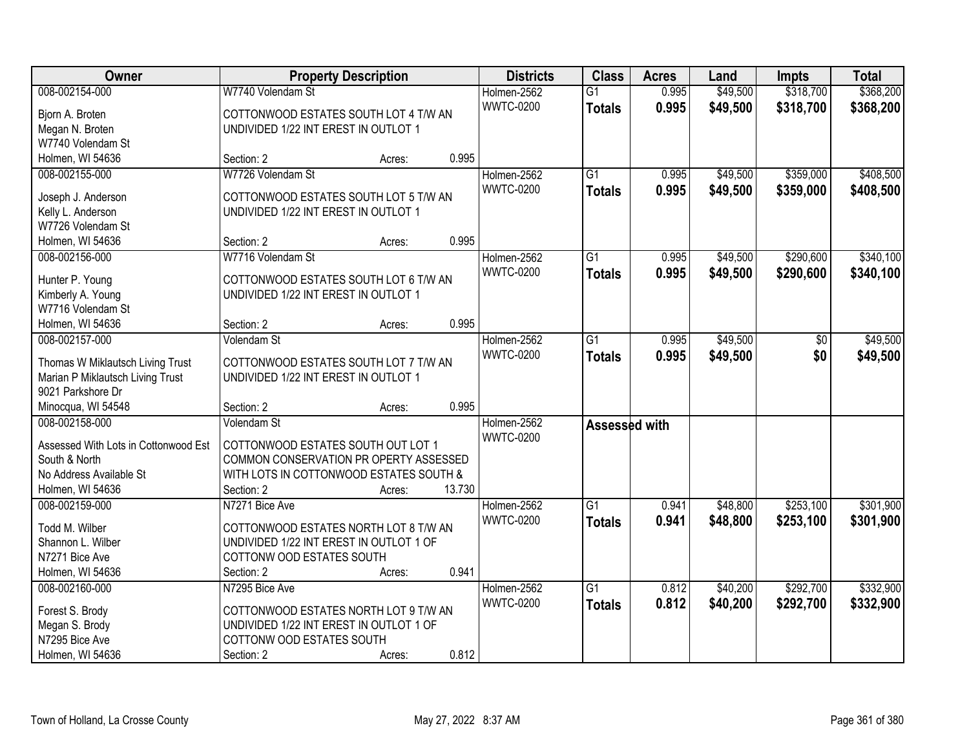| Owner                                |                                         | <b>Property Description</b> |        | <b>Districts</b> | <b>Class</b>    | <b>Acres</b> | Land     | <b>Impts</b> | <b>Total</b> |
|--------------------------------------|-----------------------------------------|-----------------------------|--------|------------------|-----------------|--------------|----------|--------------|--------------|
| 008-002154-000                       | W7740 Volendam St                       |                             |        | Holmen-2562      | $\overline{G1}$ | 0.995        | \$49,500 | \$318,700    | \$368,200    |
| Bjorn A. Broten                      | COTTONWOOD ESTATES SOUTH LOT 4 T/W AN   |                             |        | <b>WWTC-0200</b> | <b>Totals</b>   | 0.995        | \$49,500 | \$318,700    | \$368,200    |
| Megan N. Broten                      | UNDIVIDED 1/22 INT EREST IN OUTLOT 1    |                             |        |                  |                 |              |          |              |              |
| W7740 Volendam St                    |                                         |                             |        |                  |                 |              |          |              |              |
| Holmen, WI 54636                     | Section: 2                              | Acres:                      | 0.995  |                  |                 |              |          |              |              |
| 008-002155-000                       | W7726 Volendam St                       |                             |        | Holmen-2562      | $\overline{G1}$ | 0.995        | \$49,500 | \$359,000    | \$408,500    |
|                                      |                                         |                             |        | <b>WWTC-0200</b> | <b>Totals</b>   | 0.995        | \$49,500 | \$359,000    | \$408,500    |
| Joseph J. Anderson                   | COTTONWOOD ESTATES SOUTH LOT 5 T/W AN   |                             |        |                  |                 |              |          |              |              |
| Kelly L. Anderson                    | UNDIVIDED 1/22 INT EREST IN OUTLOT 1    |                             |        |                  |                 |              |          |              |              |
| W7726 Volendam St                    |                                         |                             |        |                  |                 |              |          |              |              |
| Holmen, WI 54636                     | Section: 2                              | Acres:                      | 0.995  |                  |                 |              |          |              |              |
| 008-002156-000                       | W7716 Volendam St                       |                             |        | Holmen-2562      | $\overline{G1}$ | 0.995        | \$49,500 | \$290,600    | \$340,100    |
| Hunter P. Young                      | COTTONWOOD ESTATES SOUTH LOT 6 T/W AN   |                             |        | <b>WWTC-0200</b> | <b>Totals</b>   | 0.995        | \$49,500 | \$290,600    | \$340,100    |
| Kimberly A. Young                    | UNDIVIDED 1/22 INT EREST IN OUTLOT 1    |                             |        |                  |                 |              |          |              |              |
| W7716 Volendam St                    |                                         |                             |        |                  |                 |              |          |              |              |
| Holmen, WI 54636                     | Section: 2                              | Acres:                      | 0.995  |                  |                 |              |          |              |              |
| 008-002157-000                       | Volendam St                             |                             |        | Holmen-2562      | $\overline{G1}$ | 0.995        | \$49,500 | \$0          | \$49,500     |
|                                      |                                         |                             |        | <b>WWTC-0200</b> |                 | 0.995        | \$49,500 | \$0          |              |
| Thomas W Miklautsch Living Trust     | COTTONWOOD ESTATES SOUTH LOT 7 T/W AN   |                             |        |                  | <b>Totals</b>   |              |          |              | \$49,500     |
| Marian P Miklautsch Living Trust     | UNDIVIDED 1/22 INT EREST IN OUTLOT 1    |                             |        |                  |                 |              |          |              |              |
| 9021 Parkshore Dr                    |                                         |                             |        |                  |                 |              |          |              |              |
| Minocqua, WI 54548                   | Section: 2                              | Acres:                      | 0.995  |                  |                 |              |          |              |              |
| 008-002158-000                       | Volendam St                             |                             |        | Holmen-2562      | Assessed with   |              |          |              |              |
| Assessed With Lots in Cottonwood Est | COTTONWOOD ESTATES SOUTH OUT LOT 1      |                             |        | <b>WWTC-0200</b> |                 |              |          |              |              |
| South & North                        | COMMON CONSERVATION PR OPERTY ASSESSED  |                             |        |                  |                 |              |          |              |              |
| No Address Available St              | WITH LOTS IN COTTONWOOD ESTATES SOUTH & |                             |        |                  |                 |              |          |              |              |
| Holmen, WI 54636                     | Section: 2                              |                             | 13.730 |                  |                 |              |          |              |              |
| 008-002159-000                       | N7271 Bice Ave                          | Acres:                      |        | Holmen-2562      | $\overline{G1}$ | 0.941        | \$48,800 | \$253,100    | \$301,900    |
|                                      |                                         |                             |        |                  |                 |              |          |              |              |
| Todd M. Wilber                       | COTTONWOOD ESTATES NORTH LOT 8 T/W AN   |                             |        | <b>WWTC-0200</b> | <b>Totals</b>   | 0.941        | \$48,800 | \$253,100    | \$301,900    |
| Shannon L. Wilber                    | UNDIVIDED 1/22 INT EREST IN OUTLOT 1 OF |                             |        |                  |                 |              |          |              |              |
| N7271 Bice Ave                       | COTTONW OOD ESTATES SOUTH               |                             |        |                  |                 |              |          |              |              |
| Holmen, WI 54636                     | Section: 2                              | Acres:                      | 0.941  |                  |                 |              |          |              |              |
| 008-002160-000                       | N7295 Bice Ave                          |                             |        | Holmen-2562      | $\overline{G1}$ | 0.812        | \$40,200 | \$292,700    | \$332,900    |
|                                      |                                         |                             |        | <b>WWTC-0200</b> | <b>Totals</b>   | 0.812        | \$40,200 | \$292,700    | \$332,900    |
| Forest S. Brody                      | COTTONWOOD ESTATES NORTH LOT 9 T/W AN   |                             |        |                  |                 |              |          |              |              |
| Megan S. Brody                       | UNDIVIDED 1/22 INT EREST IN OUTLOT 1 OF |                             |        |                  |                 |              |          |              |              |
| N7295 Bice Ave                       | COTTONW OOD ESTATES SOUTH               |                             |        |                  |                 |              |          |              |              |
| Holmen, WI 54636                     | Section: 2                              | Acres:                      | 0.812  |                  |                 |              |          |              |              |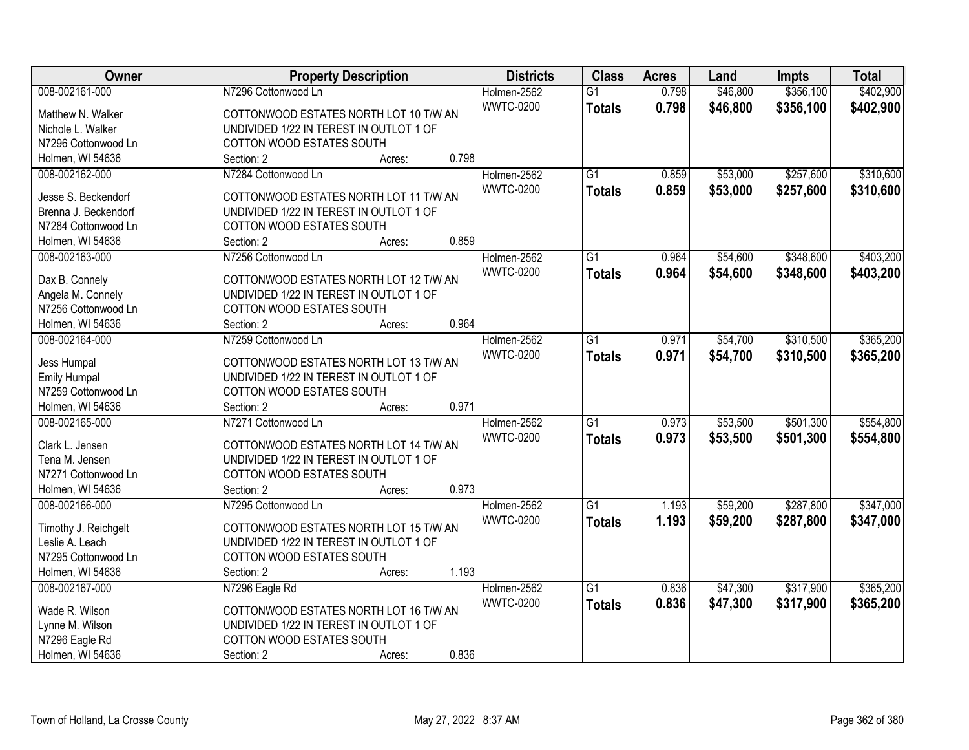| Owner                | <b>Property Description</b>             | <b>Districts</b> | <b>Class</b>    | <b>Acres</b> | Land     | <b>Impts</b> | <b>Total</b> |
|----------------------|-----------------------------------------|------------------|-----------------|--------------|----------|--------------|--------------|
| 008-002161-000       | N7296 Cottonwood Ln                     | Holmen-2562      | $\overline{G1}$ | 0.798        | \$46,800 | \$356,100    | \$402,900    |
| Matthew N. Walker    | COTTONWOOD ESTATES NORTH LOT 10 T/W AN  | <b>WWTC-0200</b> | <b>Totals</b>   | 0.798        | \$46,800 | \$356,100    | \$402,900    |
| Nichole L. Walker    | UNDIVIDED 1/22 IN TEREST IN OUTLOT 1 OF |                  |                 |              |          |              |              |
| N7296 Cottonwood Ln  | COTTON WOOD ESTATES SOUTH               |                  |                 |              |          |              |              |
| Holmen, WI 54636     | 0.798<br>Section: 2<br>Acres:           |                  |                 |              |          |              |              |
| 008-002162-000       | N7284 Cottonwood Ln                     | Holmen-2562      | $\overline{G1}$ | 0.859        | \$53,000 | \$257,600    | \$310,600    |
|                      |                                         | <b>WWTC-0200</b> | <b>Totals</b>   | 0.859        | \$53,000 | \$257,600    | \$310,600    |
| Jesse S. Beckendorf  | COTTONWOOD ESTATES NORTH LOT 11 T/W AN  |                  |                 |              |          |              |              |
| Brenna J. Beckendorf | UNDIVIDED 1/22 IN TEREST IN OUTLOT 1 OF |                  |                 |              |          |              |              |
| N7284 Cottonwood Ln  | <b>COTTON WOOD ESTATES SOUTH</b>        |                  |                 |              |          |              |              |
| Holmen, WI 54636     | 0.859<br>Section: 2<br>Acres:           |                  |                 |              |          |              |              |
| 008-002163-000       | N7256 Cottonwood Ln                     | Holmen-2562      | G1              | 0.964        | \$54,600 | \$348,600    | \$403,200    |
| Dax B. Connely       | COTTONWOOD ESTATES NORTH LOT 12 T/W AN  | <b>WWTC-0200</b> | <b>Totals</b>   | 0.964        | \$54,600 | \$348,600    | \$403,200    |
| Angela M. Connely    | UNDIVIDED 1/22 IN TEREST IN OUTLOT 1 OF |                  |                 |              |          |              |              |
| N7256 Cottonwood Ln  | COTTON WOOD ESTATES SOUTH               |                  |                 |              |          |              |              |
| Holmen, WI 54636     | 0.964<br>Section: 2<br>Acres:           |                  |                 |              |          |              |              |
| 008-002164-000       | N7259 Cottonwood Ln                     | Holmen-2562      | G1              | 0.971        | \$54,700 | \$310,500    | \$365,200    |
|                      |                                         | <b>WWTC-0200</b> |                 | 0.971        |          |              |              |
| Jess Humpal          | COTTONWOOD ESTATES NORTH LOT 13 T/W AN  |                  | <b>Totals</b>   |              | \$54,700 | \$310,500    | \$365,200    |
| <b>Emily Humpal</b>  | UNDIVIDED 1/22 IN TEREST IN OUTLOT 1 OF |                  |                 |              |          |              |              |
| N7259 Cottonwood Ln  | COTTON WOOD ESTATES SOUTH               |                  |                 |              |          |              |              |
| Holmen, WI 54636     | 0.971<br>Section: 2<br>Acres:           |                  |                 |              |          |              |              |
| 008-002165-000       | N7271 Cottonwood Ln                     | Holmen-2562      | $\overline{G1}$ | 0.973        | \$53,500 | \$501,300    | \$554,800    |
| Clark L. Jensen      | COTTONWOOD ESTATES NORTH LOT 14 T/W AN  | <b>WWTC-0200</b> | <b>Totals</b>   | 0.973        | \$53,500 | \$501,300    | \$554,800    |
| Tena M. Jensen       | UNDIVIDED 1/22 IN TEREST IN OUTLOT 1 OF |                  |                 |              |          |              |              |
| N7271 Cottonwood Ln  | COTTON WOOD ESTATES SOUTH               |                  |                 |              |          |              |              |
| Holmen, WI 54636     | 0.973<br>Section: 2                     |                  |                 |              |          |              |              |
|                      | Acres:                                  |                  |                 |              |          |              |              |
| 008-002166-000       | N7295 Cottonwood Ln                     | Holmen-2562      | $\overline{G1}$ | 1.193        | \$59,200 | \$287,800    | \$347,000    |
| Timothy J. Reichgelt | COTTONWOOD ESTATES NORTH LOT 15 T/W AN  | <b>WWTC-0200</b> | <b>Totals</b>   | 1.193        | \$59,200 | \$287,800    | \$347,000    |
| Leslie A. Leach      | UNDIVIDED 1/22 IN TEREST IN OUTLOT 1 OF |                  |                 |              |          |              |              |
| N7295 Cottonwood Ln  | COTTON WOOD ESTATES SOUTH               |                  |                 |              |          |              |              |
| Holmen, WI 54636     | 1.193<br>Section: 2<br>Acres:           |                  |                 |              |          |              |              |
| 008-002167-000       | N7296 Eagle Rd                          | Holmen-2562      | $\overline{G1}$ | 0.836        | \$47,300 | \$317,900    | \$365,200    |
|                      |                                         | <b>WWTC-0200</b> | <b>Totals</b>   | 0.836        | \$47,300 | \$317,900    | \$365,200    |
| Wade R. Wilson       | COTTONWOOD ESTATES NORTH LOT 16 T/W AN  |                  |                 |              |          |              |              |
| Lynne M. Wilson      | UNDIVIDED 1/22 IN TEREST IN OUTLOT 1 OF |                  |                 |              |          |              |              |
| N7296 Eagle Rd       | COTTON WOOD ESTATES SOUTH               |                  |                 |              |          |              |              |
| Holmen, WI 54636     | 0.836<br>Section: 2<br>Acres:           |                  |                 |              |          |              |              |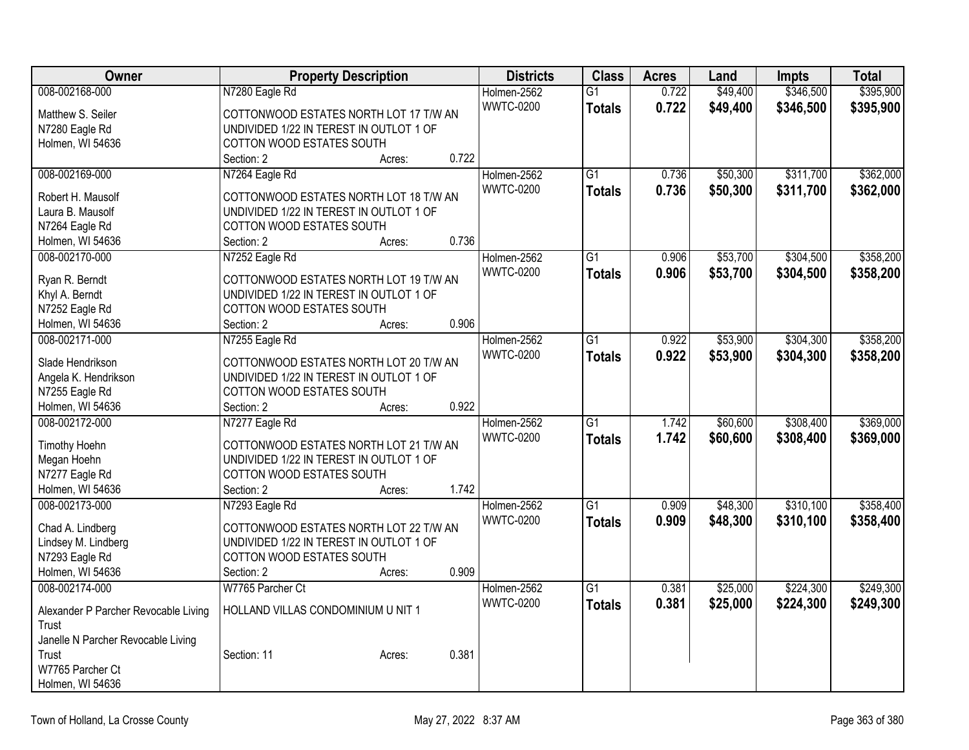| Owner                                | <b>Property Description</b>             | <b>Districts</b> | <b>Class</b>    | <b>Acres</b> | Land     | <b>Impts</b> | <b>Total</b> |
|--------------------------------------|-----------------------------------------|------------------|-----------------|--------------|----------|--------------|--------------|
| 008-002168-000                       | N7280 Eagle Rd                          | Holmen-2562      | $\overline{G1}$ | 0.722        | \$49,400 | \$346,500    | \$395,900    |
| Matthew S. Seiler                    | COTTONWOOD ESTATES NORTH LOT 17 T/W AN  | <b>WWTC-0200</b> | <b>Totals</b>   | 0.722        | \$49,400 | \$346,500    | \$395,900    |
| N7280 Eagle Rd                       | UNDIVIDED 1/22 IN TEREST IN OUTLOT 1 OF |                  |                 |              |          |              |              |
| Holmen, WI 54636                     | COTTON WOOD ESTATES SOUTH               |                  |                 |              |          |              |              |
|                                      | 0.722<br>Section: 2<br>Acres:           |                  |                 |              |          |              |              |
| 008-002169-000                       | N7264 Eagle Rd                          | Holmen-2562      | $\overline{G1}$ | 0.736        | \$50,300 | \$311,700    | \$362,000    |
| Robert H. Mausolf                    | COTTONWOOD ESTATES NORTH LOT 18 T/W AN  | <b>WWTC-0200</b> | <b>Totals</b>   | 0.736        | \$50,300 | \$311,700    | \$362,000    |
| Laura B. Mausolf                     | UNDIVIDED 1/22 IN TEREST IN OUTLOT 1 OF |                  |                 |              |          |              |              |
| N7264 Eagle Rd                       | COTTON WOOD ESTATES SOUTH               |                  |                 |              |          |              |              |
| Holmen, WI 54636                     | 0.736<br>Section: 2<br>Acres:           |                  |                 |              |          |              |              |
| 008-002170-000                       | N7252 Eagle Rd                          | Holmen-2562      | $\overline{G1}$ | 0.906        | \$53,700 | \$304,500    | \$358,200    |
|                                      |                                         | <b>WWTC-0200</b> | <b>Totals</b>   | 0.906        | \$53,700 | \$304,500    | \$358,200    |
| Ryan R. Berndt                       | COTTONWOOD ESTATES NORTH LOT 19 T/W AN  |                  |                 |              |          |              |              |
| Khyl A. Berndt                       | UNDIVIDED 1/22 IN TEREST IN OUTLOT 1 OF |                  |                 |              |          |              |              |
| N7252 Eagle Rd                       | COTTON WOOD ESTATES SOUTH               |                  |                 |              |          |              |              |
| Holmen, WI 54636                     | 0.906<br>Section: 2<br>Acres:           |                  |                 |              |          |              |              |
| 008-002171-000                       | N7255 Eagle Rd                          | Holmen-2562      | $\overline{G1}$ | 0.922        | \$53,900 | \$304,300    | \$358,200    |
| Slade Hendrikson                     | COTTONWOOD ESTATES NORTH LOT 20 T/W AN  | <b>WWTC-0200</b> | <b>Totals</b>   | 0.922        | \$53,900 | \$304,300    | \$358,200    |
| Angela K. Hendrikson                 | UNDIVIDED 1/22 IN TEREST IN OUTLOT 1 OF |                  |                 |              |          |              |              |
| N7255 Eagle Rd                       | COTTON WOOD ESTATES SOUTH               |                  |                 |              |          |              |              |
| Holmen, WI 54636                     | 0.922<br>Section: 2<br>Acres:           |                  |                 |              |          |              |              |
| 008-002172-000                       | N7277 Eagle Rd                          | Holmen-2562      | $\overline{G1}$ | 1.742        | \$60,600 | \$308,400    | \$369,000    |
|                                      |                                         | <b>WWTC-0200</b> | <b>Totals</b>   | 1.742        | \$60,600 | \$308,400    | \$369,000    |
| <b>Timothy Hoehn</b>                 | COTTONWOOD ESTATES NORTH LOT 21 T/W AN  |                  |                 |              |          |              |              |
| Megan Hoehn                          | UNDIVIDED 1/22 IN TEREST IN OUTLOT 1 OF |                  |                 |              |          |              |              |
| N7277 Eagle Rd                       | COTTON WOOD ESTATES SOUTH               |                  |                 |              |          |              |              |
| Holmen, WI 54636                     | 1.742<br>Section: 2<br>Acres:           |                  |                 |              |          |              |              |
| 008-002173-000                       | N7293 Eagle Rd                          | Holmen-2562      | $\overline{G1}$ | 0.909        | \$48,300 | \$310,100    | \$358,400    |
| Chad A. Lindberg                     | COTTONWOOD ESTATES NORTH LOT 22 T/W AN  | <b>WWTC-0200</b> | <b>Totals</b>   | 0.909        | \$48,300 | \$310,100    | \$358,400    |
| Lindsey M. Lindberg                  | UNDIVIDED 1/22 IN TEREST IN OUTLOT 1 OF |                  |                 |              |          |              |              |
| N7293 Eagle Rd                       | COTTON WOOD ESTATES SOUTH               |                  |                 |              |          |              |              |
| Holmen, WI 54636                     | 0.909<br>Section: 2<br>Acres:           |                  |                 |              |          |              |              |
| 008-002174-000                       | W7765 Parcher Ct                        | Holmen-2562      | $\overline{G1}$ | 0.381        | \$25,000 | \$224,300    | \$249,300    |
|                                      |                                         | <b>WWTC-0200</b> | <b>Totals</b>   | 0.381        | \$25,000 | \$224,300    | \$249,300    |
| Alexander P Parcher Revocable Living | HOLLAND VILLAS CONDOMINIUM U NIT 1      |                  |                 |              |          |              |              |
| Trust                                |                                         |                  |                 |              |          |              |              |
| Janelle N Parcher Revocable Living   |                                         |                  |                 |              |          |              |              |
| Trust                                | 0.381<br>Section: 11<br>Acres:          |                  |                 |              |          |              |              |
| W7765 Parcher Ct                     |                                         |                  |                 |              |          |              |              |
| Holmen, WI 54636                     |                                         |                  |                 |              |          |              |              |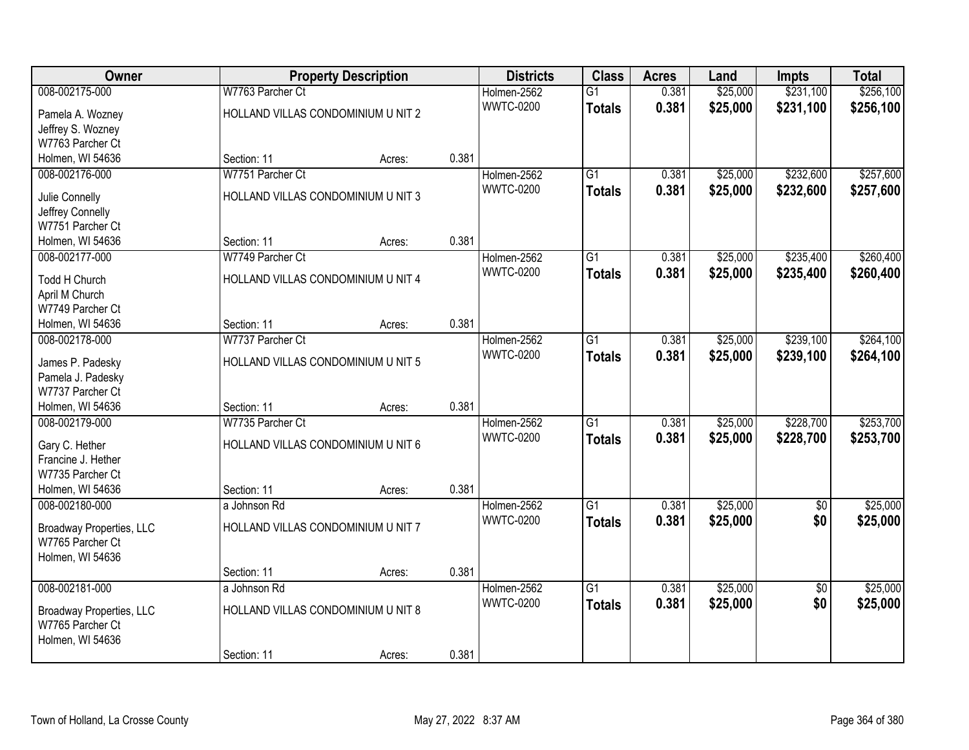| Owner                           |                                    | <b>Property Description</b> |       | <b>Districts</b> | <b>Class</b>    | <b>Acres</b> | Land     | <b>Impts</b>    | <b>Total</b> |
|---------------------------------|------------------------------------|-----------------------------|-------|------------------|-----------------|--------------|----------|-----------------|--------------|
| 008-002175-000                  | W7763 Parcher Ct                   |                             |       | Holmen-2562      | $\overline{G1}$ | 0.381        | \$25,000 | \$231,100       | \$256,100    |
| Pamela A. Wozney                | HOLLAND VILLAS CONDOMINIUM U NIT 2 |                             |       | <b>WWTC-0200</b> | <b>Totals</b>   | 0.381        | \$25,000 | \$231,100       | \$256,100    |
| Jeffrey S. Wozney               |                                    |                             |       |                  |                 |              |          |                 |              |
| W7763 Parcher Ct                |                                    |                             |       |                  |                 |              |          |                 |              |
| Holmen, WI 54636                | Section: 11                        | Acres:                      | 0.381 |                  |                 |              |          |                 |              |
| 008-002176-000                  | W7751 Parcher Ct                   |                             |       | Holmen-2562      | $\overline{G1}$ | 0.381        | \$25,000 | \$232,600       | \$257,600    |
| Julie Connelly                  | HOLLAND VILLAS CONDOMINIUM U NIT 3 |                             |       | <b>WWTC-0200</b> | <b>Totals</b>   | 0.381        | \$25,000 | \$232,600       | \$257,600    |
| Jeffrey Connelly                |                                    |                             |       |                  |                 |              |          |                 |              |
| W7751 Parcher Ct                |                                    |                             |       |                  |                 |              |          |                 |              |
| Holmen, WI 54636                | Section: 11                        | Acres:                      | 0.381 |                  |                 |              |          |                 |              |
| 008-002177-000                  | W7749 Parcher Ct                   |                             |       | Holmen-2562      | G1              | 0.381        | \$25,000 | \$235,400       | \$260,400    |
|                                 |                                    |                             |       | <b>WWTC-0200</b> | <b>Totals</b>   | 0.381        | \$25,000 | \$235,400       | \$260,400    |
| Todd H Church                   | HOLLAND VILLAS CONDOMINIUM U NIT 4 |                             |       |                  |                 |              |          |                 |              |
| April M Church                  |                                    |                             |       |                  |                 |              |          |                 |              |
| W7749 Parcher Ct                |                                    |                             |       |                  |                 |              |          |                 |              |
| Holmen, WI 54636                | Section: 11                        | Acres:                      | 0.381 |                  |                 |              |          |                 |              |
| 008-002178-000                  | W7737 Parcher Ct                   |                             |       | Holmen-2562      | G1              | 0.381        | \$25,000 | \$239,100       | \$264,100    |
| James P. Padesky                | HOLLAND VILLAS CONDOMINIUM U NIT 5 |                             |       | <b>WWTC-0200</b> | <b>Totals</b>   | 0.381        | \$25,000 | \$239,100       | \$264,100    |
| Pamela J. Padesky               |                                    |                             |       |                  |                 |              |          |                 |              |
| W7737 Parcher Ct                |                                    |                             |       |                  |                 |              |          |                 |              |
| Holmen, WI 54636                | Section: 11                        | Acres:                      | 0.381 |                  |                 |              |          |                 |              |
| 008-002179-000                  | W7735 Parcher Ct                   |                             |       | Holmen-2562      | $\overline{G1}$ | 0.381        | \$25,000 | \$228,700       | \$253,700    |
| Gary C. Hether                  | HOLLAND VILLAS CONDOMINIUM U NIT 6 |                             |       | <b>WWTC-0200</b> | <b>Totals</b>   | 0.381        | \$25,000 | \$228,700       | \$253,700    |
| Francine J. Hether              |                                    |                             |       |                  |                 |              |          |                 |              |
| W7735 Parcher Ct                |                                    |                             |       |                  |                 |              |          |                 |              |
| Holmen, WI 54636                | Section: 11                        | Acres:                      | 0.381 |                  |                 |              |          |                 |              |
| 008-002180-000                  | a Johnson Rd                       |                             |       | Holmen-2562      | $\overline{G1}$ | 0.381        | \$25,000 | $\overline{50}$ | \$25,000     |
|                                 |                                    |                             |       | <b>WWTC-0200</b> | <b>Totals</b>   | 0.381        | \$25,000 | \$0             | \$25,000     |
| <b>Broadway Properties, LLC</b> | HOLLAND VILLAS CONDOMINIUM U NIT 7 |                             |       |                  |                 |              |          |                 |              |
| W7765 Parcher Ct                |                                    |                             |       |                  |                 |              |          |                 |              |
| Holmen, WI 54636                |                                    |                             |       |                  |                 |              |          |                 |              |
|                                 | Section: 11                        | Acres:                      | 0.381 |                  |                 |              |          |                 |              |
| 008-002181-000                  | a Johnson Rd                       |                             |       | Holmen-2562      | $\overline{G1}$ | 0.381        | \$25,000 | $\overline{50}$ | \$25,000     |
| <b>Broadway Properties, LLC</b> | HOLLAND VILLAS CONDOMINIUM U NIT 8 |                             |       | <b>WWTC-0200</b> | <b>Totals</b>   | 0.381        | \$25,000 | \$0             | \$25,000     |
| W7765 Parcher Ct                |                                    |                             |       |                  |                 |              |          |                 |              |
| Holmen, WI 54636                |                                    |                             |       |                  |                 |              |          |                 |              |
|                                 | Section: 11                        | Acres:                      | 0.381 |                  |                 |              |          |                 |              |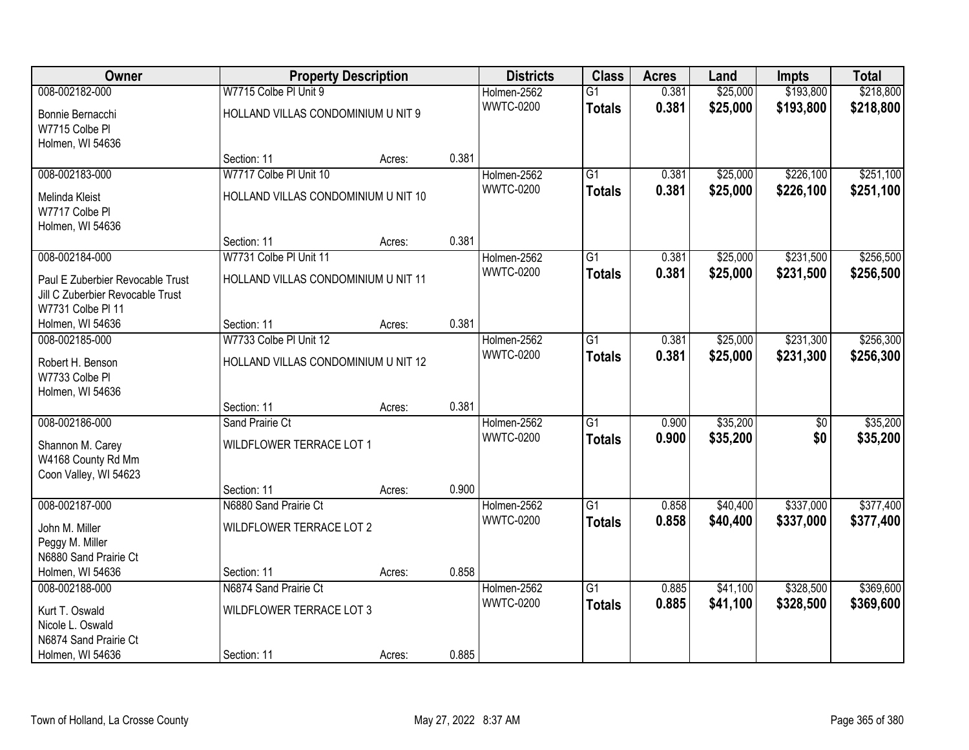| Owner                                  |                                     | <b>Property Description</b> |       | <b>Districts</b> | <b>Class</b>    | <b>Acres</b> | Land     | <b>Impts</b>    | <b>Total</b> |
|----------------------------------------|-------------------------------------|-----------------------------|-------|------------------|-----------------|--------------|----------|-----------------|--------------|
| 008-002182-000                         | W7715 Colbe PI Unit 9               |                             |       | Holmen-2562      | $\overline{G1}$ | 0.381        | \$25,000 | \$193,800       | \$218,800    |
| Bonnie Bernacchi                       | HOLLAND VILLAS CONDOMINIUM U NIT 9  |                             |       | <b>WWTC-0200</b> | <b>Totals</b>   | 0.381        | \$25,000 | \$193,800       | \$218,800    |
| W7715 Colbe Pl                         |                                     |                             |       |                  |                 |              |          |                 |              |
| Holmen, WI 54636                       |                                     |                             |       |                  |                 |              |          |                 |              |
|                                        | Section: 11                         | Acres:                      | 0.381 |                  |                 |              |          |                 |              |
| 008-002183-000                         | W7717 Colbe PI Unit 10              |                             |       | Holmen-2562      | $\overline{G1}$ | 0.381        | \$25,000 | \$226,100       | \$251,100    |
| Melinda Kleist                         | HOLLAND VILLAS CONDOMINIUM U NIT 10 |                             |       | <b>WWTC-0200</b> | <b>Totals</b>   | 0.381        | \$25,000 | \$226,100       | \$251,100    |
| W7717 Colbe PI                         |                                     |                             |       |                  |                 |              |          |                 |              |
| Holmen, WI 54636                       |                                     |                             |       |                  |                 |              |          |                 |              |
|                                        | Section: 11                         | Acres:                      | 0.381 |                  |                 |              |          |                 |              |
| 008-002184-000                         | W7731 Colbe PI Unit 11              |                             |       | Holmen-2562      | $\overline{G1}$ | 0.381        | \$25,000 | \$231,500       | \$256,500    |
| Paul E Zuberbier Revocable Trust       | HOLLAND VILLAS CONDOMINIUM U NIT 11 |                             |       | <b>WWTC-0200</b> | <b>Totals</b>   | 0.381        | \$25,000 | \$231,500       | \$256,500    |
| Jill C Zuberbier Revocable Trust       |                                     |                             |       |                  |                 |              |          |                 |              |
| W7731 Colbe PI 11                      |                                     |                             |       |                  |                 |              |          |                 |              |
| Holmen, WI 54636                       | Section: 11                         | Acres:                      | 0.381 |                  |                 |              |          |                 |              |
| 008-002185-000                         | W7733 Colbe PI Unit 12              |                             |       | Holmen-2562      | G1              | 0.381        | \$25,000 | \$231,300       | \$256,300    |
| Robert H. Benson                       | HOLLAND VILLAS CONDOMINIUM U NIT 12 |                             |       | <b>WWTC-0200</b> | <b>Totals</b>   | 0.381        | \$25,000 | \$231,300       | \$256,300    |
| W7733 Colbe Pl                         |                                     |                             |       |                  |                 |              |          |                 |              |
| Holmen, WI 54636                       |                                     |                             |       |                  |                 |              |          |                 |              |
|                                        | Section: 11                         | Acres:                      | 0.381 |                  |                 |              |          |                 |              |
| 008-002186-000                         | Sand Prairie Ct                     |                             |       | Holmen-2562      | $\overline{G1}$ | 0.900        | \$35,200 | $\overline{50}$ | \$35,200     |
|                                        | WILDFLOWER TERRACE LOT 1            |                             |       | <b>WWTC-0200</b> | <b>Totals</b>   | 0.900        | \$35,200 | \$0             | \$35,200     |
| Shannon M. Carey<br>W4168 County Rd Mm |                                     |                             |       |                  |                 |              |          |                 |              |
| Coon Valley, WI 54623                  |                                     |                             |       |                  |                 |              |          |                 |              |
|                                        | Section: 11                         | Acres:                      | 0.900 |                  |                 |              |          |                 |              |
| 008-002187-000                         | N6880 Sand Prairie Ct               |                             |       | Holmen-2562      | $\overline{G1}$ | 0.858        | \$40,400 | \$337,000       | \$377,400    |
| John M. Miller                         | WILDFLOWER TERRACE LOT 2            |                             |       | <b>WWTC-0200</b> | <b>Totals</b>   | 0.858        | \$40,400 | \$337,000       | \$377,400    |
| Peggy M. Miller                        |                                     |                             |       |                  |                 |              |          |                 |              |
| N6880 Sand Prairie Ct                  |                                     |                             |       |                  |                 |              |          |                 |              |
| Holmen, WI 54636                       | Section: 11                         | Acres:                      | 0.858 |                  |                 |              |          |                 |              |
| 008-002188-000                         | N6874 Sand Prairie Ct               |                             |       | Holmen-2562      | $\overline{G1}$ | 0.885        | \$41,100 | \$328,500       | \$369,600    |
| Kurt T. Oswald                         | WILDFLOWER TERRACE LOT 3            |                             |       | <b>WWTC-0200</b> | <b>Totals</b>   | 0.885        | \$41,100 | \$328,500       | \$369,600    |
| Nicole L. Oswald                       |                                     |                             |       |                  |                 |              |          |                 |              |
| N6874 Sand Prairie Ct                  |                                     |                             |       |                  |                 |              |          |                 |              |
| Holmen, WI 54636                       | Section: 11                         | Acres:                      | 0.885 |                  |                 |              |          |                 |              |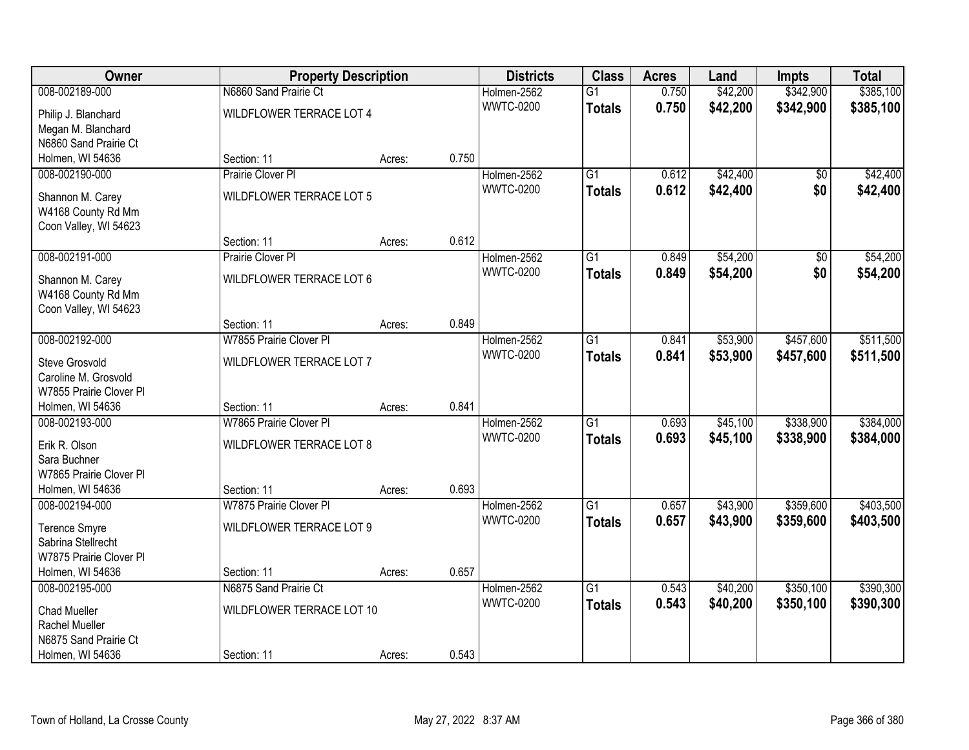| Owner                   |                           | <b>Property Description</b> |       | <b>Districts</b> | <b>Class</b>    | <b>Acres</b> | Land     | <b>Impts</b> | <b>Total</b> |
|-------------------------|---------------------------|-----------------------------|-------|------------------|-----------------|--------------|----------|--------------|--------------|
| 008-002189-000          | N6860 Sand Prairie Ct     |                             |       | Holmen-2562      | $\overline{G1}$ | 0.750        | \$42,200 | \$342,900    | \$385,100    |
| Philip J. Blanchard     | WILDFLOWER TERRACE LOT 4  |                             |       | <b>WWTC-0200</b> | <b>Totals</b>   | 0.750        | \$42,200 | \$342,900    | \$385,100    |
| Megan M. Blanchard      |                           |                             |       |                  |                 |              |          |              |              |
| N6860 Sand Prairie Ct   |                           |                             |       |                  |                 |              |          |              |              |
| Holmen, WI 54636        | Section: 11               | Acres:                      | 0.750 |                  |                 |              |          |              |              |
| 008-002190-000          | Prairie Clover Pl         |                             |       | Holmen-2562      | $\overline{G1}$ | 0.612        | \$42,400 | \$0          | \$42,400     |
| Shannon M. Carey        | WILDFLOWER TERRACE LOT 5  |                             |       | <b>WWTC-0200</b> | <b>Totals</b>   | 0.612        | \$42,400 | \$0          | \$42,400     |
| W4168 County Rd Mm      |                           |                             |       |                  |                 |              |          |              |              |
| Coon Valley, WI 54623   |                           |                             |       |                  |                 |              |          |              |              |
|                         | Section: 11               | Acres:                      | 0.612 |                  |                 |              |          |              |              |
| 008-002191-000          | Prairie Clover PI         |                             |       | Holmen-2562      | $\overline{G1}$ | 0.849        | \$54,200 | \$0          | \$54,200     |
| Shannon M. Carey        | WILDFLOWER TERRACE LOT 6  |                             |       | <b>WWTC-0200</b> | <b>Totals</b>   | 0.849        | \$54,200 | \$0          | \$54,200     |
| W4168 County Rd Mm      |                           |                             |       |                  |                 |              |          |              |              |
| Coon Valley, WI 54623   |                           |                             |       |                  |                 |              |          |              |              |
|                         | Section: 11               | Acres:                      | 0.849 |                  |                 |              |          |              |              |
| 008-002192-000          | W7855 Prairie Clover PI   |                             |       | Holmen-2562      | $\overline{G1}$ | 0.841        | \$53,900 | \$457,600    | \$511,500    |
| Steve Grosvold          | WILDFLOWER TERRACE LOT 7  |                             |       | <b>WWTC-0200</b> | <b>Totals</b>   | 0.841        | \$53,900 | \$457,600    | \$511,500    |
| Caroline M. Grosvold    |                           |                             |       |                  |                 |              |          |              |              |
| W7855 Prairie Clover Pl |                           |                             |       |                  |                 |              |          |              |              |
| Holmen, WI 54636        | Section: 11               | Acres:                      | 0.841 |                  |                 |              |          |              |              |
| 008-002193-000          | W7865 Prairie Clover PI   |                             |       | Holmen-2562      | $\overline{G1}$ | 0.693        | \$45,100 | \$338,900    | \$384,000    |
| Erik R. Olson           | WILDFLOWER TERRACE LOT 8  |                             |       | <b>WWTC-0200</b> | <b>Totals</b>   | 0.693        | \$45,100 | \$338,900    | \$384,000    |
| Sara Buchner            |                           |                             |       |                  |                 |              |          |              |              |
| W7865 Prairie Clover Pl |                           |                             |       |                  |                 |              |          |              |              |
| Holmen, WI 54636        | Section: 11               | Acres:                      | 0.693 |                  |                 |              |          |              |              |
| 008-002194-000          | W7875 Prairie Clover PI   |                             |       | Holmen-2562      | $\overline{G1}$ | 0.657        | \$43,900 | \$359,600    | \$403,500    |
| <b>Terence Smyre</b>    | WILDFLOWER TERRACE LOT 9  |                             |       | <b>WWTC-0200</b> | <b>Totals</b>   | 0.657        | \$43,900 | \$359,600    | \$403,500    |
| Sabrina Stellrecht      |                           |                             |       |                  |                 |              |          |              |              |
| W7875 Prairie Clover Pl |                           |                             |       |                  |                 |              |          |              |              |
| Holmen, WI 54636        | Section: 11               | Acres:                      | 0.657 |                  |                 |              |          |              |              |
| 008-002195-000          | N6875 Sand Prairie Ct     |                             |       | Holmen-2562      | $\overline{G1}$ | 0.543        | \$40,200 | \$350,100    | \$390,300    |
| <b>Chad Mueller</b>     | WILDFLOWER TERRACE LOT 10 |                             |       | <b>WWTC-0200</b> | <b>Totals</b>   | 0.543        | \$40,200 | \$350,100    | \$390,300    |
| Rachel Mueller          |                           |                             |       |                  |                 |              |          |              |              |
| N6875 Sand Prairie Ct   |                           |                             |       |                  |                 |              |          |              |              |
| Holmen, WI 54636        | Section: 11               | Acres:                      | 0.543 |                  |                 |              |          |              |              |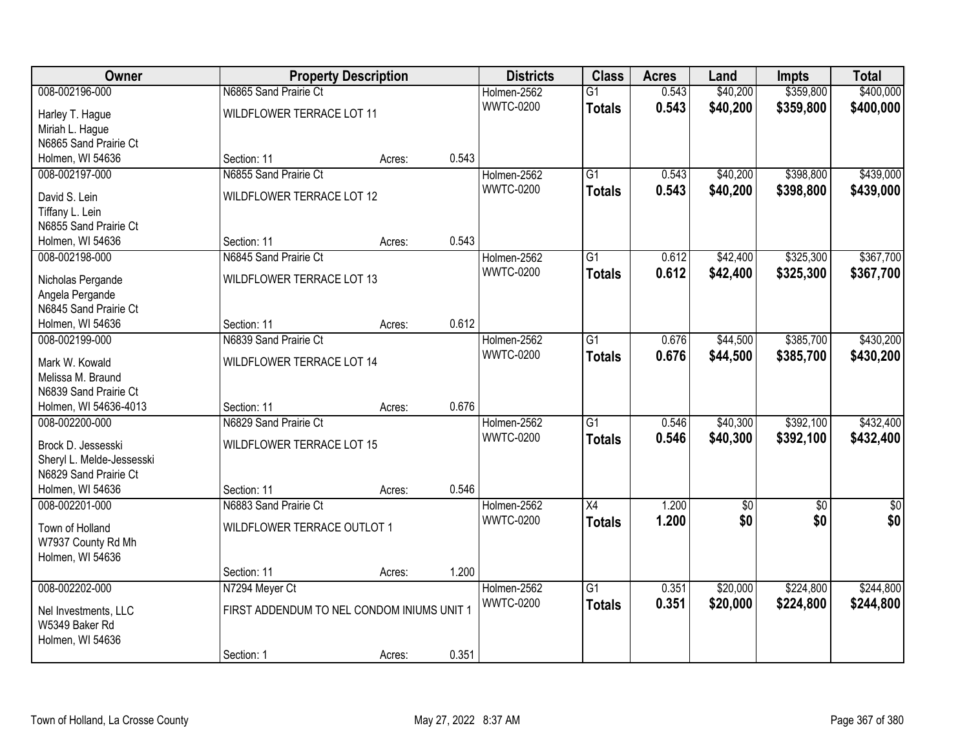| Owner                                  |                                            | <b>Property Description</b> |       | <b>Districts</b> | <b>Class</b>    | <b>Acres</b> | Land            | <b>Impts</b> | <b>Total</b>    |
|----------------------------------------|--------------------------------------------|-----------------------------|-------|------------------|-----------------|--------------|-----------------|--------------|-----------------|
| 008-002196-000                         | N6865 Sand Prairie Ct                      |                             |       | Holmen-2562      | $\overline{G1}$ | 0.543        | \$40,200        | \$359,800    | \$400,000       |
| Harley T. Hague                        | WILDFLOWER TERRACE LOT 11                  |                             |       | <b>WWTC-0200</b> | <b>Totals</b>   | 0.543        | \$40,200        | \$359,800    | \$400,000       |
| Miriah L. Hague                        |                                            |                             |       |                  |                 |              |                 |              |                 |
| N6865 Sand Prairie Ct                  |                                            |                             |       |                  |                 |              |                 |              |                 |
| Holmen, WI 54636                       | Section: 11                                | Acres:                      | 0.543 |                  |                 |              |                 |              |                 |
| 008-002197-000                         | N6855 Sand Prairie Ct                      |                             |       | Holmen-2562      | $\overline{G1}$ | 0.543        | \$40,200        | \$398,800    | \$439,000       |
| David S. Lein                          | WILDFLOWER TERRACE LOT 12                  |                             |       | <b>WWTC-0200</b> | <b>Totals</b>   | 0.543        | \$40,200        | \$398,800    | \$439,000       |
| Tiffany L. Lein                        |                                            |                             |       |                  |                 |              |                 |              |                 |
| N6855 Sand Prairie Ct                  |                                            |                             |       |                  |                 |              |                 |              |                 |
| Holmen, WI 54636                       | Section: 11                                | Acres:                      | 0.543 |                  |                 |              |                 |              |                 |
| 008-002198-000                         | N6845 Sand Prairie Ct                      |                             |       | Holmen-2562      | $\overline{G1}$ | 0.612        | \$42,400        | \$325,300    | \$367,700       |
| Nicholas Pergande                      | WILDFLOWER TERRACE LOT 13                  |                             |       | <b>WWTC-0200</b> | <b>Totals</b>   | 0.612        | \$42,400        | \$325,300    | \$367,700       |
| Angela Pergande                        |                                            |                             |       |                  |                 |              |                 |              |                 |
| N6845 Sand Prairie Ct                  |                                            |                             |       |                  |                 |              |                 |              |                 |
| Holmen, WI 54636                       | Section: 11                                | Acres:                      | 0.612 |                  |                 |              |                 |              |                 |
| 008-002199-000                         | N6839 Sand Prairie Ct                      |                             |       | Holmen-2562      | $\overline{G1}$ | 0.676        | \$44,500        | \$385,700    | \$430,200       |
| Mark W. Kowald                         | WILDFLOWER TERRACE LOT 14                  |                             |       | <b>WWTC-0200</b> | <b>Totals</b>   | 0.676        | \$44,500        | \$385,700    | \$430,200       |
| Melissa M. Braund                      |                                            |                             |       |                  |                 |              |                 |              |                 |
| N6839 Sand Prairie Ct                  |                                            |                             |       |                  |                 |              |                 |              |                 |
| Holmen, WI 54636-4013                  | Section: 11                                | Acres:                      | 0.676 |                  |                 |              |                 |              |                 |
| 008-002200-000                         | N6829 Sand Prairie Ct                      |                             |       | Holmen-2562      | $\overline{G1}$ | 0.546        | \$40,300        | \$392,100    | \$432,400       |
| Brock D. Jessesski                     | WILDFLOWER TERRACE LOT 15                  |                             |       | <b>WWTC-0200</b> | <b>Totals</b>   | 0.546        | \$40,300        | \$392,100    | \$432,400       |
| Sheryl L. Melde-Jessesski              |                                            |                             |       |                  |                 |              |                 |              |                 |
| N6829 Sand Prairie Ct                  |                                            |                             |       |                  |                 |              |                 |              |                 |
| Holmen, WI 54636                       | Section: 11                                | Acres:                      | 0.546 |                  |                 |              |                 |              |                 |
| 008-002201-000                         | N6883 Sand Prairie Ct                      |                             |       | Holmen-2562      | X4              | 1.200        | $\overline{50}$ | $\sqrt{6}$   | $\overline{50}$ |
|                                        |                                            |                             |       | <b>WWTC-0200</b> | <b>Totals</b>   | 1.200        | \$0             | \$0          | \$0             |
| Town of Holland<br>W7937 County Rd Mh  | WILDFLOWER TERRACE OUTLOT 1                |                             |       |                  |                 |              |                 |              |                 |
| Holmen, WI 54636                       |                                            |                             |       |                  |                 |              |                 |              |                 |
|                                        | Section: 11                                | Acres:                      | 1.200 |                  |                 |              |                 |              |                 |
| 008-002202-000                         | N7294 Meyer Ct                             |                             |       | Holmen-2562      | $\overline{G1}$ | 0.351        | \$20,000        | \$224,800    | \$244,800       |
|                                        |                                            |                             |       | <b>WWTC-0200</b> | <b>Totals</b>   | 0.351        | \$20,000        | \$224,800    | \$244,800       |
| Nel Investments, LLC<br>W5349 Baker Rd | FIRST ADDENDUM TO NEL CONDOM INIUMS UNIT 1 |                             |       |                  |                 |              |                 |              |                 |
| Holmen, WI 54636                       |                                            |                             |       |                  |                 |              |                 |              |                 |
|                                        |                                            |                             |       |                  |                 |              |                 |              |                 |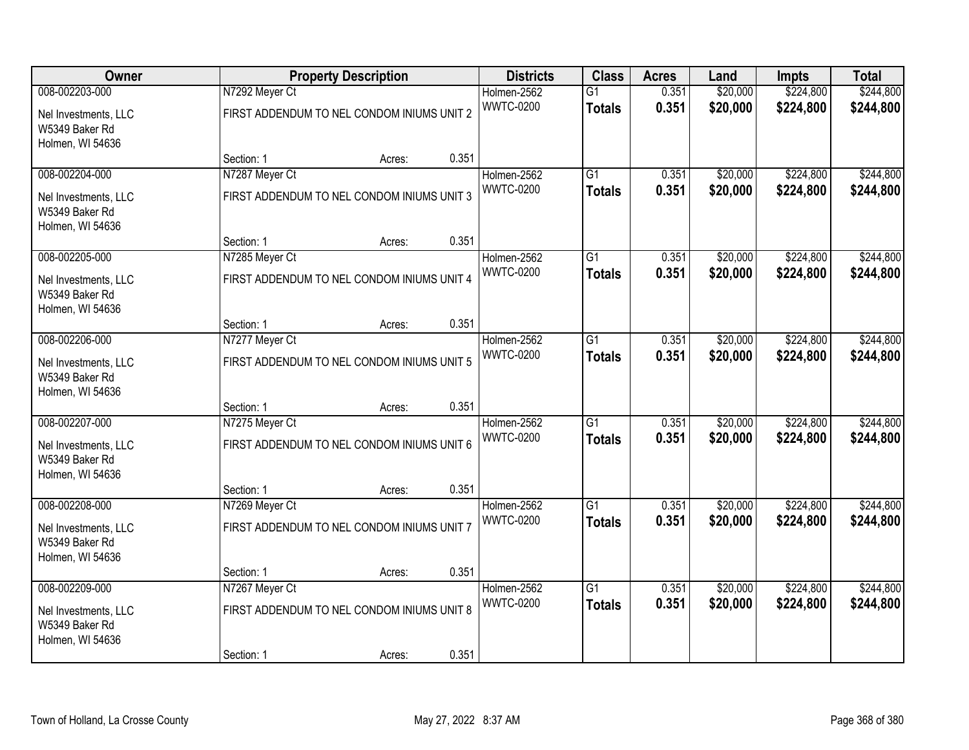| Owner                                                      | <b>Property Description</b> |                                            |       | <b>Districts</b>                | <b>Class</b>    | <b>Acres</b> | Land     | <b>Impts</b> | <b>Total</b> |
|------------------------------------------------------------|-----------------------------|--------------------------------------------|-------|---------------------------------|-----------------|--------------|----------|--------------|--------------|
| 008-002203-000                                             | N7292 Meyer Ct              |                                            |       | Holmen-2562<br><b>WWTC-0200</b> | $\overline{G1}$ | 0.351        | \$20,000 | \$224,800    | \$244,800    |
| Nel Investments, LLC<br>W5349 Baker Rd<br>Holmen, WI 54636 |                             | FIRST ADDENDUM TO NEL CONDOM INIUMS UNIT 2 |       |                                 | <b>Totals</b>   | 0.351        | \$20,000 | \$224,800    | \$244,800    |
|                                                            | Section: 1                  | Acres:                                     | 0.351 |                                 |                 |              |          |              |              |
| 008-002204-000                                             | N7287 Meyer Ct              |                                            |       | Holmen-2562                     | $\overline{G1}$ | 0.351        | \$20,000 | \$224,800    | \$244,800    |
| Nel Investments, LLC<br>W5349 Baker Rd<br>Holmen, WI 54636 |                             | FIRST ADDENDUM TO NEL CONDOM INIUMS UNIT 3 |       | <b>WWTC-0200</b>                | <b>Totals</b>   | 0.351        | \$20,000 | \$224,800    | \$244,800    |
|                                                            | Section: 1                  | Acres:                                     | 0.351 |                                 |                 |              |          |              |              |
| 008-002205-000                                             | N7285 Meyer Ct              |                                            |       | Holmen-2562                     | $\overline{G1}$ | 0.351        | \$20,000 | \$224,800    | \$244,800    |
| Nel Investments, LLC<br>W5349 Baker Rd<br>Holmen, WI 54636 |                             | FIRST ADDENDUM TO NEL CONDOM INIUMS UNIT 4 |       | <b>WWTC-0200</b>                | <b>Totals</b>   | 0.351        | \$20,000 | \$224,800    | \$244,800    |
|                                                            | Section: 1                  | Acres:                                     | 0.351 |                                 |                 |              |          |              |              |
| 008-002206-000                                             | N7277 Meyer Ct              |                                            |       | Holmen-2562                     | G1              | 0.351        | \$20,000 | \$224,800    | \$244,800    |
| Nel Investments, LLC<br>W5349 Baker Rd<br>Holmen, WI 54636 |                             | FIRST ADDENDUM TO NEL CONDOM INIUMS UNIT 5 |       | <b>WWTC-0200</b>                | <b>Totals</b>   | 0.351        | \$20,000 | \$224,800    | \$244,800    |
|                                                            | Section: 1                  | Acres:                                     | 0.351 |                                 |                 |              |          |              |              |
| 008-002207-000                                             | N7275 Meyer Ct              |                                            |       | Holmen-2562                     | $\overline{G1}$ | 0.351        | \$20,000 | \$224,800    | \$244,800    |
| Nel Investments, LLC<br>W5349 Baker Rd<br>Holmen, WI 54636 |                             | FIRST ADDENDUM TO NEL CONDOM INIUMS UNIT 6 |       | <b>WWTC-0200</b>                | <b>Totals</b>   | 0.351        | \$20,000 | \$224,800    | \$244,800    |
|                                                            | Section: 1                  | Acres:                                     | 0.351 |                                 |                 |              |          |              |              |
| 008-002208-000                                             | N7269 Meyer Ct              |                                            |       | Holmen-2562                     | $\overline{G1}$ | 0.351        | \$20,000 | \$224,800    | \$244,800    |
| Nel Investments, LLC<br>W5349 Baker Rd<br>Holmen, WI 54636 |                             | FIRST ADDENDUM TO NEL CONDOM INIUMS UNIT 7 |       | <b>WWTC-0200</b>                | <b>Totals</b>   | 0.351        | \$20,000 | \$224,800    | \$244,800    |
|                                                            | Section: 1                  | Acres:                                     | 0.351 |                                 |                 |              |          |              |              |
| 008-002209-000                                             | N7267 Meyer Ct              |                                            |       | Holmen-2562                     | $\overline{G1}$ | 0.351        | \$20,000 | \$224,800    | \$244,800    |
| Nel Investments, LLC<br>W5349 Baker Rd<br>Holmen, WI 54636 |                             | FIRST ADDENDUM TO NEL CONDOM INIUMS UNIT 8 |       | <b>WWTC-0200</b>                | <b>Totals</b>   | 0.351        | \$20,000 | \$224,800    | \$244,800    |
|                                                            | Section: 1                  | Acres:                                     | 0.351 |                                 |                 |              |          |              |              |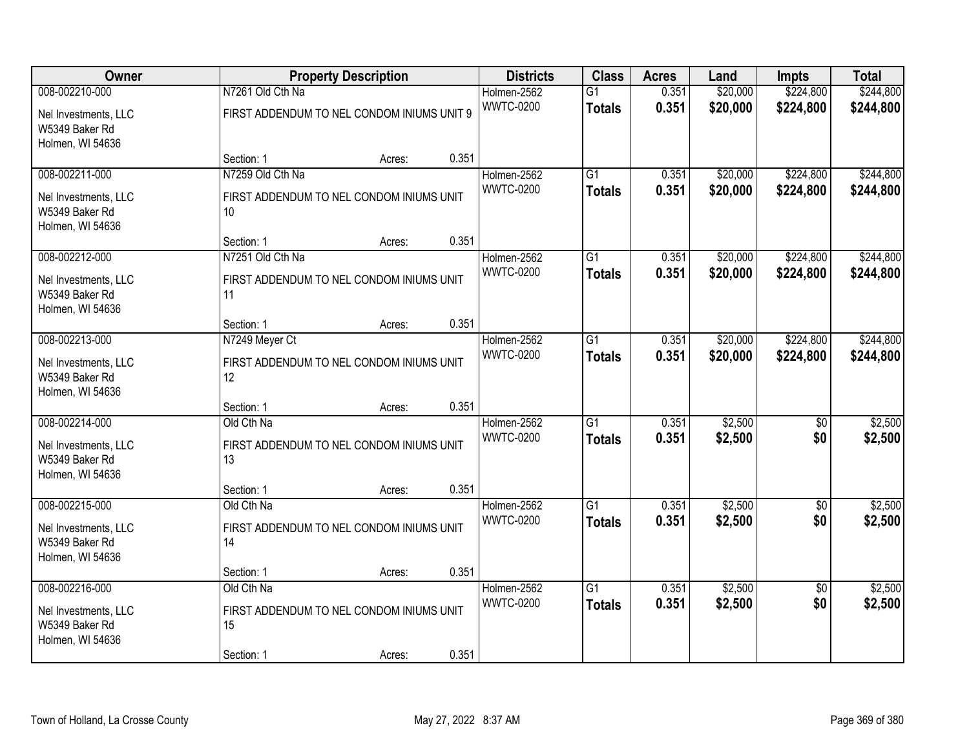| Owner                                                      | <b>Property Description</b>                    |        |       | <b>Districts</b>                | <b>Class</b>    | <b>Acres</b>   | Land                 | <b>Impts</b>           | <b>Total</b>           |
|------------------------------------------------------------|------------------------------------------------|--------|-------|---------------------------------|-----------------|----------------|----------------------|------------------------|------------------------|
| 008-002210-000                                             | N7261 Old Cth Na                               |        |       | Holmen-2562<br><b>WWTC-0200</b> | $\overline{G1}$ | 0.351<br>0.351 | \$20,000<br>\$20,000 | \$224,800<br>\$224,800 | \$244,800<br>\$244,800 |
| Nel Investments, LLC<br>W5349 Baker Rd<br>Holmen, WI 54636 | FIRST ADDENDUM TO NEL CONDOM INIUMS UNIT 9     |        |       |                                 | <b>Totals</b>   |                |                      |                        |                        |
|                                                            | Section: 1                                     | Acres: | 0.351 |                                 |                 |                |                      |                        |                        |
| 008-002211-000                                             | N7259 Old Cth Na                               |        |       | Holmen-2562                     | G1              | 0.351          | \$20,000             | \$224,800              | \$244,800              |
| Nel Investments, LLC<br>W5349 Baker Rd<br>Holmen, WI 54636 | FIRST ADDENDUM TO NEL CONDOM INIUMS UNIT<br>10 |        |       | <b>WWTC-0200</b>                | <b>Totals</b>   | 0.351          | \$20,000             | \$224,800              | \$244,800              |
|                                                            | Section: 1                                     | Acres: | 0.351 |                                 |                 |                |                      |                        |                        |
| 008-002212-000                                             | N7251 Old Cth Na                               |        |       | Holmen-2562                     | $\overline{G1}$ | 0.351          | \$20,000             | \$224,800              | \$244,800              |
| Nel Investments, LLC<br>W5349 Baker Rd<br>Holmen, WI 54636 | FIRST ADDENDUM TO NEL CONDOM INIUMS UNIT<br>11 |        |       | <b>WWTC-0200</b>                | <b>Totals</b>   | 0.351          | \$20,000             | \$224,800              | \$244,800              |
|                                                            | Section: 1                                     | Acres: | 0.351 |                                 |                 |                |                      |                        |                        |
| 008-002213-000                                             | N7249 Meyer Ct                                 |        |       | Holmen-2562                     | $\overline{G1}$ | 0.351          | \$20,000             | \$224,800              | \$244,800              |
| Nel Investments, LLC<br>W5349 Baker Rd<br>Holmen, WI 54636 | FIRST ADDENDUM TO NEL CONDOM INIUMS UNIT<br>12 |        |       | <b>WWTC-0200</b>                | <b>Totals</b>   | 0.351          | \$20,000             | \$224,800              | \$244,800              |
|                                                            | Section: 1                                     | Acres: | 0.351 |                                 |                 |                |                      |                        |                        |
| 008-002214-000                                             | Old Cth Na                                     |        |       | Holmen-2562                     | $\overline{G1}$ | 0.351          | \$2,500              | \$0                    | \$2,500                |
| Nel Investments, LLC<br>W5349 Baker Rd                     | FIRST ADDENDUM TO NEL CONDOM INIUMS UNIT<br>13 |        |       | <b>WWTC-0200</b>                | <b>Totals</b>   | 0.351          | \$2,500              | \$0                    | \$2,500                |
| Holmen, WI 54636                                           |                                                |        |       |                                 |                 |                |                      |                        |                        |
|                                                            | Section: 1                                     | Acres: | 0.351 |                                 |                 |                |                      |                        |                        |
| 008-002215-000                                             | Old Cth Na                                     |        |       | Holmen-2562                     | G1              | 0.351          | \$2,500              | $\sqrt{6}$             | \$2,500                |
| Nel Investments, LLC<br>W5349 Baker Rd<br>Holmen, WI 54636 | FIRST ADDENDUM TO NEL CONDOM INIUMS UNIT<br>14 |        |       | <b>WWTC-0200</b>                | <b>Totals</b>   | 0.351          | \$2,500              | \$0                    | \$2,500                |
|                                                            | Section: 1                                     | Acres: | 0.351 |                                 |                 |                |                      |                        |                        |
| 008-002216-000                                             | Old Cth Na                                     |        |       | Holmen-2562                     | $\overline{G1}$ | 0.351          | \$2,500              | $\overline{50}$        | \$2,500                |
| Nel Investments, LLC<br>W5349 Baker Rd<br>Holmen, WI 54636 | FIRST ADDENDUM TO NEL CONDOM INIUMS UNIT<br>15 |        |       | <b>WWTC-0200</b>                | <b>Totals</b>   | 0.351          | \$2,500              | \$0                    | \$2,500                |
|                                                            | Section: 1                                     | Acres: | 0.351 |                                 |                 |                |                      |                        |                        |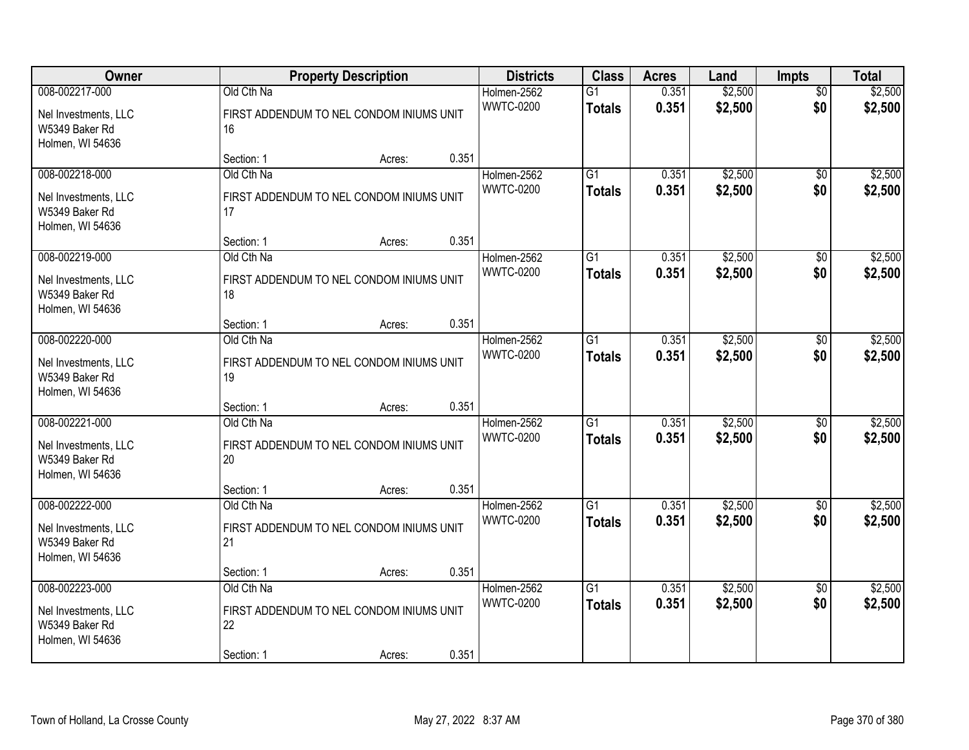| Owner                                                                        | <b>Property Description</b>                  |                                                              |                | <b>Districts</b>                | <b>Class</b>                     | <b>Acres</b>   | Land               | <b>Impts</b>           | <b>Total</b>       |
|------------------------------------------------------------------------------|----------------------------------------------|--------------------------------------------------------------|----------------|---------------------------------|----------------------------------|----------------|--------------------|------------------------|--------------------|
| 008-002217-000<br>Nel Investments, LLC<br>W5349 Baker Rd                     | Old Cth Na<br>16                             | FIRST ADDENDUM TO NEL CONDOM INIUMS UNIT                     |                | Holmen-2562<br><b>WWTC-0200</b> | $\overline{G1}$<br><b>Totals</b> | 0.351<br>0.351 | \$2,500<br>\$2,500 | $\overline{50}$<br>\$0 | \$2,500<br>\$2,500 |
| Holmen, WI 54636                                                             | Section: 1                                   | Acres:                                                       | 0.351          |                                 |                                  |                |                    |                        |                    |
| 008-002218-000<br>Nel Investments, LLC<br>W5349 Baker Rd<br>Holmen, WI 54636 | Old Cth Na<br>17                             | FIRST ADDENDUM TO NEL CONDOM INIUMS UNIT                     |                | Holmen-2562<br><b>WWTC-0200</b> | $\overline{G1}$<br><b>Totals</b> | 0.351<br>0.351 | \$2,500<br>\$2,500 | \$0<br>\$0             | \$2,500<br>\$2,500 |
| 008-002219-000<br>Nel Investments, LLC<br>W5349 Baker Rd                     | Section: 1<br>Old Cth Na<br>18               | Acres:<br>FIRST ADDENDUM TO NEL CONDOM INIUMS UNIT           | 0.351          | Holmen-2562<br><b>WWTC-0200</b> | G1<br><b>Totals</b>              | 0.351<br>0.351 | \$2,500<br>\$2,500 | $\sqrt[6]{3}$<br>\$0   | \$2,500<br>\$2,500 |
| Holmen, WI 54636<br>008-002220-000                                           | Section: 1<br>Old Cth Na                     | Acres:                                                       | 0.351          | Holmen-2562                     | G1                               | 0.351          | \$2,500            | $\sqrt[6]{}$           | \$2,500            |
| Nel Investments, LLC<br>W5349 Baker Rd<br>Holmen, WI 54636                   | 19                                           | FIRST ADDENDUM TO NEL CONDOM INIUMS UNIT                     |                | <b>WWTC-0200</b>                | <b>Totals</b>                    | 0.351          | \$2,500            | \$0                    | \$2,500            |
| 008-002221-000<br>Nel Investments, LLC<br>W5349 Baker Rd<br>Holmen, WI 54636 | Section: 1<br>Old Cth Na<br>20               | Acres:<br>FIRST ADDENDUM TO NEL CONDOM INIUMS UNIT           | 0.351          | Holmen-2562<br><b>WWTC-0200</b> | $\overline{G1}$<br><b>Totals</b> | 0.351<br>0.351 | \$2,500<br>\$2,500 | \$0<br>\$0             | \$2,500<br>\$2,500 |
| 008-002222-000<br>Nel Investments, LLC<br>W5349 Baker Rd<br>Holmen, WI 54636 | Section: 1<br>Old Cth Na<br>21<br>Section: 1 | Acres:<br>FIRST ADDENDUM TO NEL CONDOM INIUMS UNIT<br>Acres: | 0.351<br>0.351 | Holmen-2562<br><b>WWTC-0200</b> | $\overline{G1}$<br><b>Totals</b> | 0.351<br>0.351 | \$2,500<br>\$2,500 | $\sqrt{6}$<br>\$0      | \$2,500<br>\$2,500 |
| 008-002223-000<br>Nel Investments, LLC<br>W5349 Baker Rd<br>Holmen, WI 54636 | Old Cth Na<br>22<br>Section: 1               | FIRST ADDENDUM TO NEL CONDOM INIUMS UNIT<br>Acres:           | 0.351          | Holmen-2562<br><b>WWTC-0200</b> | G1<br><b>Totals</b>              | 0.351<br>0.351 | \$2,500<br>\$2,500 | $\overline{50}$<br>\$0 | \$2,500<br>\$2,500 |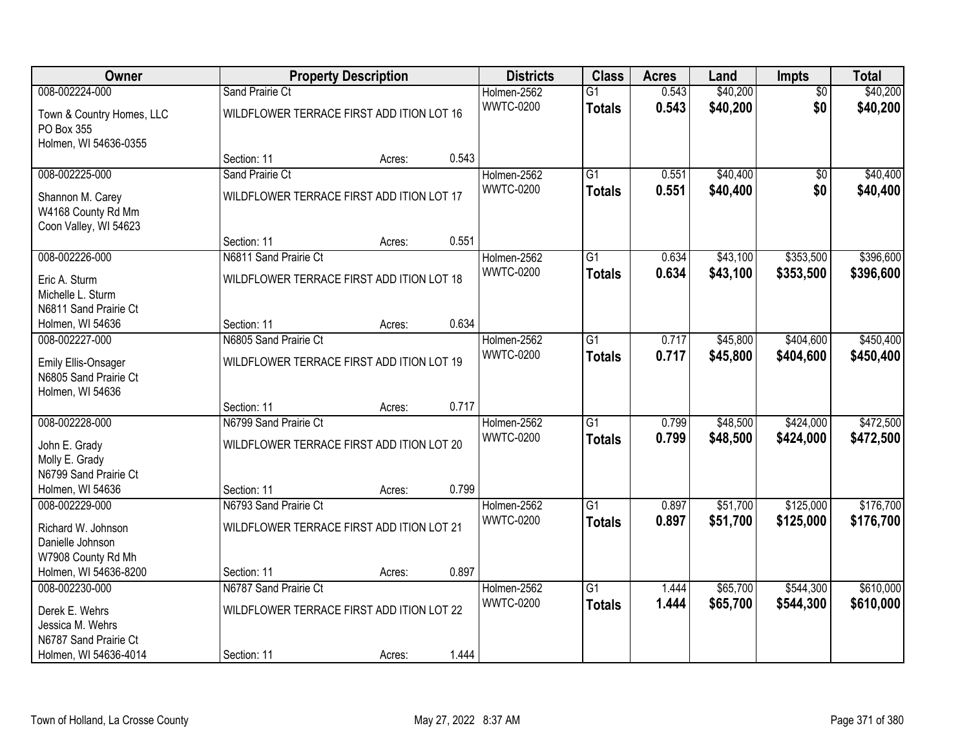| Owner                                                                   | <b>Property Description</b>               |        |       | <b>Districts</b> | <b>Class</b>    | <b>Acres</b> | Land     | <b>Impts</b>    | <b>Total</b> |
|-------------------------------------------------------------------------|-------------------------------------------|--------|-------|------------------|-----------------|--------------|----------|-----------------|--------------|
| 008-002224-000                                                          | Sand Prairie Ct                           |        |       | Holmen-2562      | $\overline{G1}$ | 0.543        | \$40,200 | $\overline{50}$ | \$40,200     |
| Town & Country Homes, LLC<br>PO Box 355<br>Holmen, WI 54636-0355        | WILDFLOWER TERRACE FIRST ADD ITION LOT 16 |        |       | <b>WWTC-0200</b> | <b>Totals</b>   | 0.543        | \$40,200 | \$0             | \$40,200     |
|                                                                         | Section: 11                               | Acres: | 0.543 |                  |                 |              |          |                 |              |
| 008-002225-000                                                          | Sand Prairie Ct                           |        |       | Holmen-2562      | G1              | 0.551        | \$40,400 | \$0             | \$40,400     |
| Shannon M. Carey<br>W4168 County Rd Mm<br>Coon Valley, WI 54623         | WILDFLOWER TERRACE FIRST ADD ITION LOT 17 |        |       | <b>WWTC-0200</b> | <b>Totals</b>   | 0.551        | \$40,400 | \$0             | \$40,400     |
|                                                                         | Section: 11                               | Acres: | 0.551 |                  |                 |              |          |                 |              |
| 008-002226-000                                                          | N6811 Sand Prairie Ct                     |        |       | Holmen-2562      | $\overline{G1}$ | 0.634        | \$43,100 | \$353,500       | \$396,600    |
| Eric A. Sturm<br>Michelle L. Sturm<br>N6811 Sand Prairie Ct             | WILDFLOWER TERRACE FIRST ADD ITION LOT 18 |        |       | <b>WWTC-0200</b> | <b>Totals</b>   | 0.634        | \$43,100 | \$353,500       | \$396,600    |
| Holmen, WI 54636                                                        | Section: 11                               | Acres: | 0.634 |                  |                 |              |          |                 |              |
| 008-002227-000                                                          | N6805 Sand Prairie Ct                     |        |       | Holmen-2562      | $\overline{G1}$ | 0.717        | \$45,800 | \$404,600       | \$450,400    |
| <b>Emily Ellis-Onsager</b><br>N6805 Sand Prairie Ct<br>Holmen, WI 54636 | WILDFLOWER TERRACE FIRST ADD ITION LOT 19 |        |       | <b>WWTC-0200</b> | <b>Totals</b>   | 0.717        | \$45,800 | \$404,600       | \$450,400    |
|                                                                         | Section: 11                               | Acres: | 0.717 |                  |                 |              |          |                 |              |
| 008-002228-000                                                          | N6799 Sand Prairie Ct                     |        |       | Holmen-2562      | $\overline{G1}$ | 0.799        | \$48,500 | \$424,000       | \$472,500    |
| John E. Grady                                                           | WILDFLOWER TERRACE FIRST ADD ITION LOT 20 |        |       | <b>WWTC-0200</b> | <b>Totals</b>   | 0.799        | \$48,500 | \$424,000       | \$472,500    |
| Molly E. Grady                                                          |                                           |        |       |                  |                 |              |          |                 |              |
| N6799 Sand Prairie Ct                                                   |                                           |        |       |                  |                 |              |          |                 |              |
| Holmen, WI 54636                                                        | Section: 11                               | Acres: | 0.799 |                  |                 |              |          |                 |              |
| 008-002229-000                                                          | N6793 Sand Prairie Ct                     |        |       | Holmen-2562      | $\overline{G1}$ | 0.897        | \$51,700 | \$125,000       | \$176,700    |
| Richard W. Johnson<br>Danielle Johnson                                  | WILDFLOWER TERRACE FIRST ADD ITION LOT 21 |        |       | <b>WWTC-0200</b> | <b>Totals</b>   | 0.897        | \$51,700 | \$125,000       | \$176,700    |
| W7908 County Rd Mh                                                      |                                           |        |       |                  |                 |              |          |                 |              |
| Holmen, WI 54636-8200                                                   | Section: 11                               | Acres: | 0.897 |                  |                 |              |          |                 |              |
| 008-002230-000                                                          | N6787 Sand Prairie Ct                     |        |       | Holmen-2562      | $\overline{G1}$ | 1.444        | \$65,700 | \$544,300       | \$610,000    |
| Derek E. Wehrs                                                          | WILDFLOWER TERRACE FIRST ADD ITION LOT 22 |        |       | <b>WWTC-0200</b> | <b>Totals</b>   | 1.444        | \$65,700 | \$544,300       | \$610,000    |
| Jessica M. Wehrs                                                        |                                           |        |       |                  |                 |              |          |                 |              |
| N6787 Sand Prairie Ct                                                   |                                           |        |       |                  |                 |              |          |                 |              |
| Holmen, WI 54636-4014                                                   | Section: 11                               | Acres: | 1.444 |                  |                 |              |          |                 |              |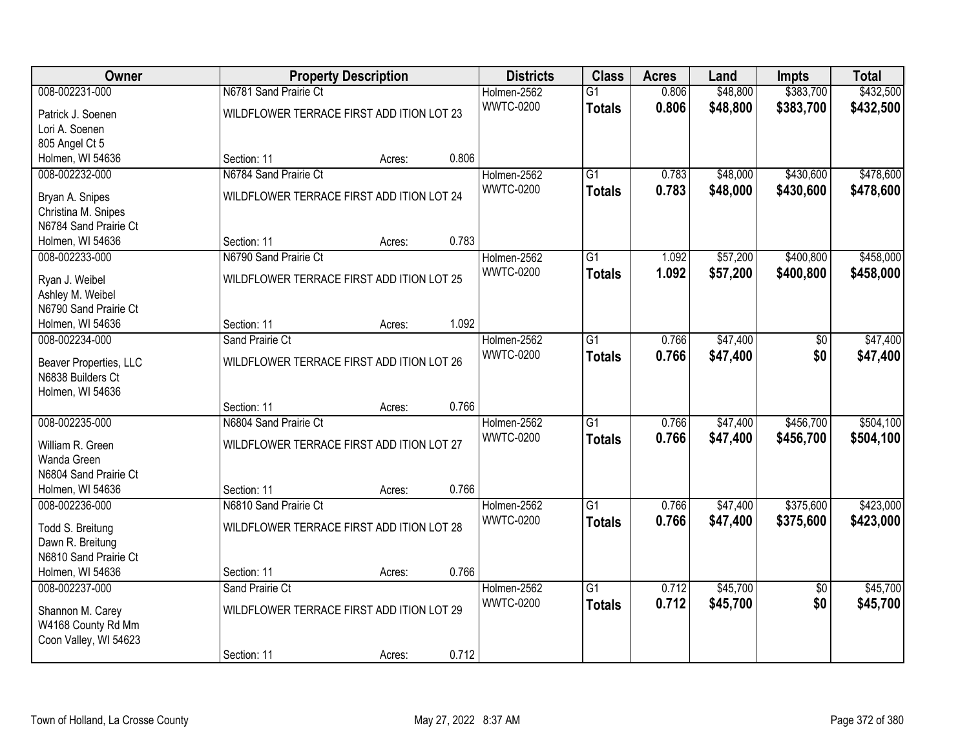| Owner                                     |                                           | <b>Property Description</b> |       | <b>Districts</b>                | <b>Class</b>    | <b>Acres</b> | Land     | <b>Impts</b>    | <b>Total</b> |
|-------------------------------------------|-------------------------------------------|-----------------------------|-------|---------------------------------|-----------------|--------------|----------|-----------------|--------------|
| 008-002231-000                            | N6781 Sand Prairie Ct                     |                             |       | Holmen-2562                     | $\overline{G1}$ | 0.806        | \$48,800 | \$383,700       | \$432,500    |
| Patrick J. Soenen                         | WILDFLOWER TERRACE FIRST ADD ITION LOT 23 |                             |       | <b>WWTC-0200</b>                | <b>Totals</b>   | 0.806        | \$48,800 | \$383,700       | \$432,500    |
| Lori A. Soenen                            |                                           |                             |       |                                 |                 |              |          |                 |              |
| 805 Angel Ct 5                            |                                           |                             |       |                                 |                 |              |          |                 |              |
| Holmen, WI 54636                          | Section: 11                               | Acres:                      | 0.806 |                                 |                 |              |          |                 |              |
| 008-002232-000                            | N6784 Sand Prairie Ct                     |                             |       | Holmen-2562                     | $\overline{G1}$ | 0.783        | \$48,000 | \$430,600       | \$478,600    |
| Bryan A. Snipes                           | WILDFLOWER TERRACE FIRST ADD ITION LOT 24 |                             |       | <b>WWTC-0200</b>                | <b>Totals</b>   | 0.783        | \$48,000 | \$430,600       | \$478,600    |
| Christina M. Snipes                       |                                           |                             |       |                                 |                 |              |          |                 |              |
| N6784 Sand Prairie Ct                     |                                           |                             |       |                                 |                 |              |          |                 |              |
| Holmen, WI 54636                          | Section: 11                               | Acres:                      | 0.783 |                                 |                 |              |          |                 |              |
| 008-002233-000                            | N6790 Sand Prairie Ct                     |                             |       | Holmen-2562                     | $\overline{G1}$ | 1.092        | \$57,200 | \$400,800       | \$458,000    |
|                                           |                                           |                             |       | <b>WWTC-0200</b>                | <b>Totals</b>   | 1.092        | \$57,200 | \$400,800       | \$458,000    |
| Ryan J. Weibel                            | WILDFLOWER TERRACE FIRST ADD ITION LOT 25 |                             |       |                                 |                 |              |          |                 |              |
| Ashley M. Weibel<br>N6790 Sand Prairie Ct |                                           |                             |       |                                 |                 |              |          |                 |              |
| Holmen, WI 54636                          | Section: 11                               | Acres:                      | 1.092 |                                 |                 |              |          |                 |              |
| 008-002234-000                            | Sand Prairie Ct                           |                             |       | Holmen-2562                     | $\overline{G1}$ | 0.766        | \$47,400 | \$0             | \$47,400     |
|                                           |                                           |                             |       | <b>WWTC-0200</b>                | <b>Totals</b>   | 0.766        | \$47,400 | \$0             | \$47,400     |
| Beaver Properties, LLC                    | WILDFLOWER TERRACE FIRST ADD ITION LOT 26 |                             |       |                                 |                 |              |          |                 |              |
| N6838 Builders Ct                         |                                           |                             |       |                                 |                 |              |          |                 |              |
| Holmen, WI 54636                          |                                           |                             |       |                                 |                 |              |          |                 |              |
|                                           | Section: 11                               | Acres:                      | 0.766 |                                 |                 |              |          |                 |              |
| 008-002235-000                            | N6804 Sand Prairie Ct                     |                             |       | Holmen-2562<br><b>WWTC-0200</b> | $\overline{G1}$ | 0.766        | \$47,400 | \$456,700       | \$504,100    |
| William R. Green                          | WILDFLOWER TERRACE FIRST ADD ITION LOT 27 |                             |       |                                 | <b>Totals</b>   | 0.766        | \$47,400 | \$456,700       | \$504,100    |
| Wanda Green                               |                                           |                             |       |                                 |                 |              |          |                 |              |
| N6804 Sand Prairie Ct                     |                                           |                             |       |                                 |                 |              |          |                 |              |
| Holmen, WI 54636                          | Section: 11                               | Acres:                      | 0.766 |                                 |                 |              |          |                 |              |
| 008-002236-000                            | N6810 Sand Prairie Ct                     |                             |       | Holmen-2562                     | $\overline{G1}$ | 0.766        | \$47,400 | \$375,600       | \$423,000    |
| Todd S. Breitung                          | WILDFLOWER TERRACE FIRST ADD ITION LOT 28 |                             |       | <b>WWTC-0200</b>                | <b>Totals</b>   | 0.766        | \$47,400 | \$375,600       | \$423,000    |
| Dawn R. Breitung                          |                                           |                             |       |                                 |                 |              |          |                 |              |
| N6810 Sand Prairie Ct                     |                                           |                             |       |                                 |                 |              |          |                 |              |
| Holmen, WI 54636                          | Section: 11                               | Acres:                      | 0.766 |                                 |                 |              |          |                 |              |
| 008-002237-000                            | Sand Prairie Ct                           |                             |       | Holmen-2562                     | $\overline{G1}$ | 0.712        | \$45,700 | $\overline{50}$ | \$45,700     |
| Shannon M. Carey                          | WILDFLOWER TERRACE FIRST ADD ITION LOT 29 |                             |       | <b>WWTC-0200</b>                | <b>Totals</b>   | 0.712        | \$45,700 | \$0             | \$45,700     |
| W4168 County Rd Mm                        |                                           |                             |       |                                 |                 |              |          |                 |              |
| Coon Valley, WI 54623                     |                                           |                             |       |                                 |                 |              |          |                 |              |
|                                           | Section: 11                               | Acres:                      | 0.712 |                                 |                 |              |          |                 |              |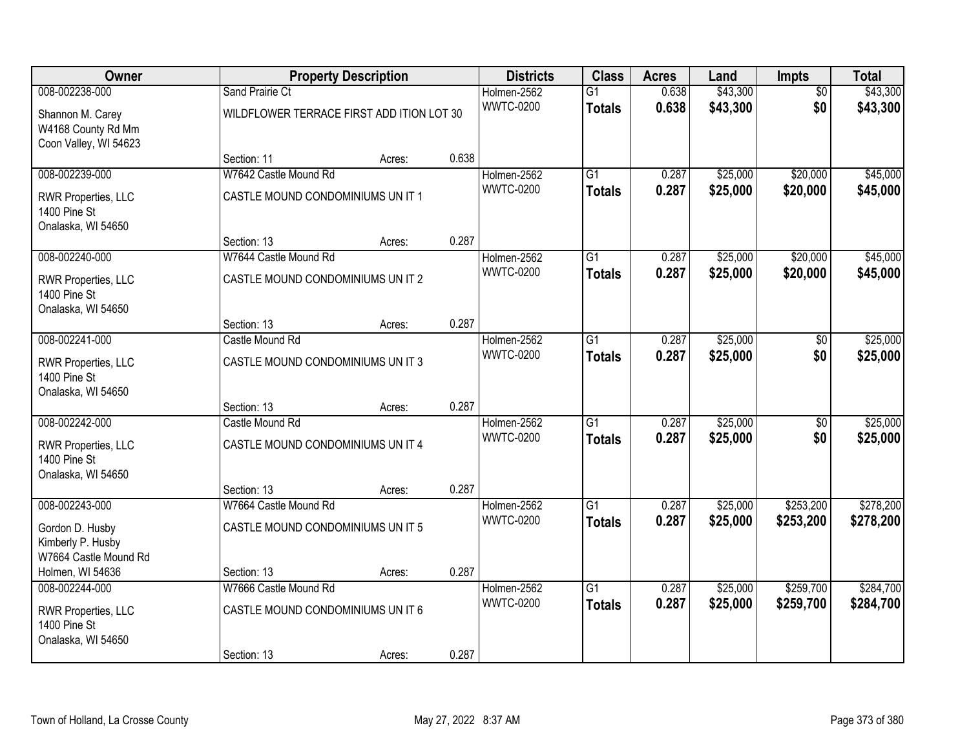| Owner                                                           |                                           | <b>Property Description</b> |       | <b>Districts</b> | <b>Class</b>    | <b>Acres</b> | Land     | <b>Impts</b>    | <b>Total</b> |
|-----------------------------------------------------------------|-------------------------------------------|-----------------------------|-------|------------------|-----------------|--------------|----------|-----------------|--------------|
| 008-002238-000                                                  | Sand Prairie Ct                           | Holmen-2562                 |       |                  | $\overline{G1}$ | 0.638        | \$43,300 | $\overline{50}$ | \$43,300     |
| Shannon M. Carey<br>W4168 County Rd Mm<br>Coon Valley, WI 54623 | WILDFLOWER TERRACE FIRST ADD ITION LOT 30 |                             |       | <b>WWTC-0200</b> | <b>Totals</b>   | 0.638        | \$43,300 | \$0             | \$43,300     |
|                                                                 | Section: 11                               | Acres:                      | 0.638 |                  |                 |              |          |                 |              |
| 008-002239-000                                                  | W7642 Castle Mound Rd                     |                             |       | Holmen-2562      | $\overline{G1}$ | 0.287        | \$25,000 | \$20,000        | \$45,000     |
| RWR Properties, LLC<br>1400 Pine St<br>Onalaska, WI 54650       | CASTLE MOUND CONDOMINIUMS UN IT 1         |                             |       | <b>WWTC-0200</b> | <b>Totals</b>   | 0.287        | \$25,000 | \$20,000        | \$45,000     |
|                                                                 | Section: 13                               | Acres:                      | 0.287 |                  |                 |              |          |                 |              |
| 008-002240-000                                                  | W7644 Castle Mound Rd                     |                             |       | Holmen-2562      | G1              | 0.287        | \$25,000 | \$20,000        | \$45,000     |
| RWR Properties, LLC<br>1400 Pine St<br>Onalaska, WI 54650       | CASTLE MOUND CONDOMINIUMS UN IT 2         |                             |       | <b>WWTC-0200</b> | <b>Totals</b>   | 0.287        | \$25,000 | \$20,000        | \$45,000     |
|                                                                 | Section: 13                               | Acres:                      | 0.287 |                  |                 |              |          |                 |              |
| 008-002241-000                                                  | Castle Mound Rd                           |                             |       | Holmen-2562      | G1              | 0.287        | \$25,000 | \$0             | \$25,000     |
| RWR Properties, LLC<br>1400 Pine St<br>Onalaska, WI 54650       | CASTLE MOUND CONDOMINIUMS UN IT 3         |                             |       | <b>WWTC-0200</b> | <b>Totals</b>   | 0.287        | \$25,000 | \$0             | \$25,000     |
|                                                                 | Section: 13                               | Acres:                      | 0.287 |                  |                 |              |          |                 |              |
| 008-002242-000                                                  | Castle Mound Rd                           |                             |       | Holmen-2562      | $\overline{G1}$ | 0.287        | \$25,000 | $\overline{30}$ | \$25,000     |
| RWR Properties, LLC<br>1400 Pine St<br>Onalaska, WI 54650       | CASTLE MOUND CONDOMINIUMS UN IT 4         |                             |       | <b>WWTC-0200</b> | <b>Totals</b>   | 0.287        | \$25,000 | \$0             | \$25,000     |
|                                                                 | Section: 13                               | Acres:                      | 0.287 |                  |                 |              |          |                 |              |
| 008-002243-000                                                  | W7664 Castle Mound Rd                     |                             |       | Holmen-2562      | $\overline{G1}$ | 0.287        | \$25,000 | \$253,200       | \$278,200    |
| Gordon D. Husby<br>Kimberly P. Husby<br>W7664 Castle Mound Rd   | CASTLE MOUND CONDOMINIUMS UN IT 5         |                             |       | <b>WWTC-0200</b> | <b>Totals</b>   | 0.287        | \$25,000 | \$253,200       | \$278,200    |
| Holmen, WI 54636                                                | Section: 13                               | Acres:                      | 0.287 |                  |                 |              |          |                 |              |
| 008-002244-000                                                  | W7666 Castle Mound Rd                     |                             |       | Holmen-2562      | $\overline{G1}$ | 0.287        | \$25,000 | \$259,700       | \$284,700    |
| RWR Properties, LLC<br>1400 Pine St<br>Onalaska, WI 54650       | CASTLE MOUND CONDOMINIUMS UN IT 6         |                             |       | <b>WWTC-0200</b> | <b>Totals</b>   | 0.287        | \$25,000 | \$259,700       | \$284,700    |
|                                                                 | Section: 13                               | Acres:                      | 0.287 |                  |                 |              |          |                 |              |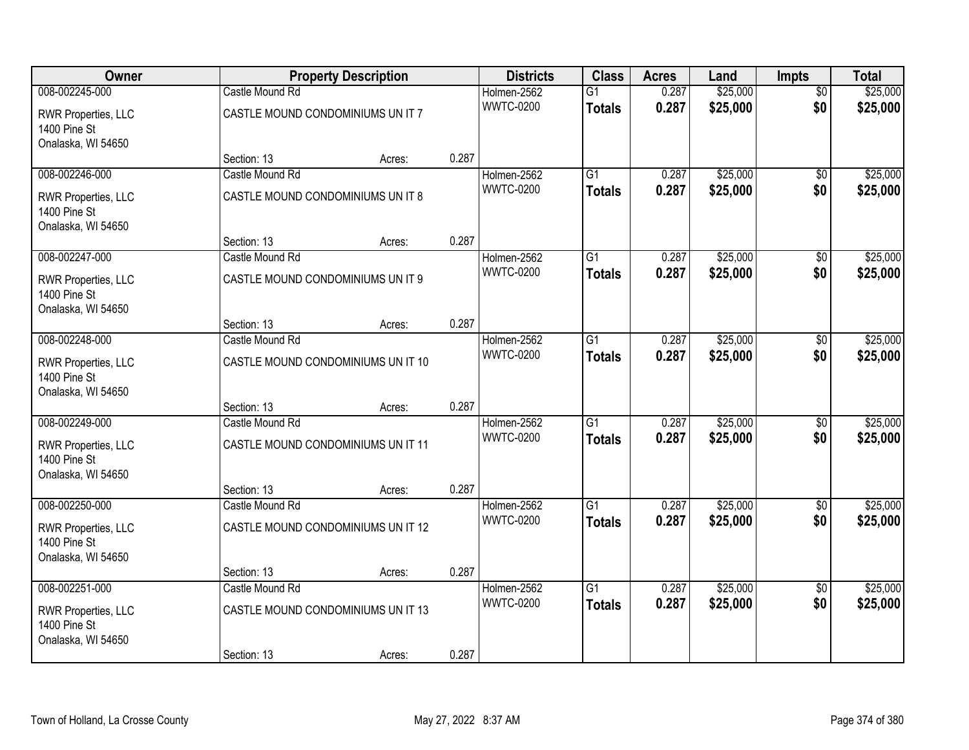| Owner                                                     |                                    | <b>Property Description</b> |       | <b>Districts</b> | <b>Class</b>    | <b>Acres</b> | Land     | <b>Impts</b>    | <b>Total</b> |
|-----------------------------------------------------------|------------------------------------|-----------------------------|-------|------------------|-----------------|--------------|----------|-----------------|--------------|
| 008-002245-000                                            | Castle Mound Rd                    |                             |       | Holmen-2562      | $\overline{G1}$ | 0.287        | \$25,000 | $\overline{50}$ | \$25,000     |
| RWR Properties, LLC<br>1400 Pine St<br>Onalaska, WI 54650 | CASTLE MOUND CONDOMINIUMS UN IT 7  |                             |       | <b>WWTC-0200</b> | <b>Totals</b>   | 0.287        | \$25,000 | \$0             | \$25,000     |
|                                                           | Section: 13                        | Acres:                      | 0.287 |                  |                 |              |          |                 |              |
| 008-002246-000                                            | Castle Mound Rd                    |                             |       | Holmen-2562      | G1              | 0.287        | \$25,000 | \$0             | \$25,000     |
| RWR Properties, LLC<br>1400 Pine St<br>Onalaska, WI 54650 | CASTLE MOUND CONDOMINIUMS UN IT 8  |                             |       | <b>WWTC-0200</b> | <b>Totals</b>   | 0.287        | \$25,000 | \$0             | \$25,000     |
|                                                           | Section: 13                        | Acres:                      | 0.287 |                  |                 |              |          |                 |              |
| 008-002247-000                                            | Castle Mound Rd                    |                             |       | Holmen-2562      | $\overline{G1}$ | 0.287        | \$25,000 | \$0             | \$25,000     |
| RWR Properties, LLC<br>1400 Pine St<br>Onalaska, WI 54650 | CASTLE MOUND CONDOMINIUMS UN IT 9  |                             |       | <b>WWTC-0200</b> | <b>Totals</b>   | 0.287        | \$25,000 | \$0             | \$25,000     |
|                                                           | Section: 13                        | Acres:                      | 0.287 |                  |                 |              |          |                 |              |
| 008-002248-000                                            | Castle Mound Rd                    |                             |       | Holmen-2562      | $\overline{G1}$ | 0.287        | \$25,000 | \$0             | \$25,000     |
| RWR Properties, LLC<br>1400 Pine St<br>Onalaska, WI 54650 | CASTLE MOUND CONDOMINIUMS UN IT 10 |                             |       | <b>WWTC-0200</b> | <b>Totals</b>   | 0.287        | \$25,000 | \$0             | \$25,000     |
|                                                           | Section: 13                        | Acres:                      | 0.287 |                  |                 |              |          |                 |              |
| 008-002249-000                                            | Castle Mound Rd                    |                             |       | Holmen-2562      | $\overline{G1}$ | 0.287        | \$25,000 | \$0             | \$25,000     |
| RWR Properties, LLC<br>1400 Pine St<br>Onalaska, WI 54650 | CASTLE MOUND CONDOMINIUMS UN IT 11 |                             |       | <b>WWTC-0200</b> | <b>Totals</b>   | 0.287        | \$25,000 | \$0             | \$25,000     |
|                                                           | Section: 13                        | Acres:                      | 0.287 |                  |                 |              |          |                 |              |
| 008-002250-000                                            | Castle Mound Rd                    |                             |       | Holmen-2562      | G1              | 0.287        | \$25,000 | $\sqrt{6}$      | \$25,000     |
| RWR Properties, LLC<br>1400 Pine St<br>Onalaska, WI 54650 | CASTLE MOUND CONDOMINIUMS UN IT 12 |                             |       | <b>WWTC-0200</b> | <b>Totals</b>   | 0.287        | \$25,000 | \$0             | \$25,000     |
|                                                           | Section: 13                        | Acres:                      | 0.287 |                  |                 |              |          |                 |              |
| 008-002251-000                                            | Castle Mound Rd                    |                             |       | Holmen-2562      | $\overline{G1}$ | 0.287        | \$25,000 | $\overline{30}$ | \$25,000     |
| RWR Properties, LLC<br>1400 Pine St<br>Onalaska, WI 54650 | CASTLE MOUND CONDOMINIUMS UN IT 13 |                             |       | <b>WWTC-0200</b> | <b>Totals</b>   | 0.287        | \$25,000 | \$0             | \$25,000     |
|                                                           | Section: 13                        | Acres:                      | 0.287 |                  |                 |              |          |                 |              |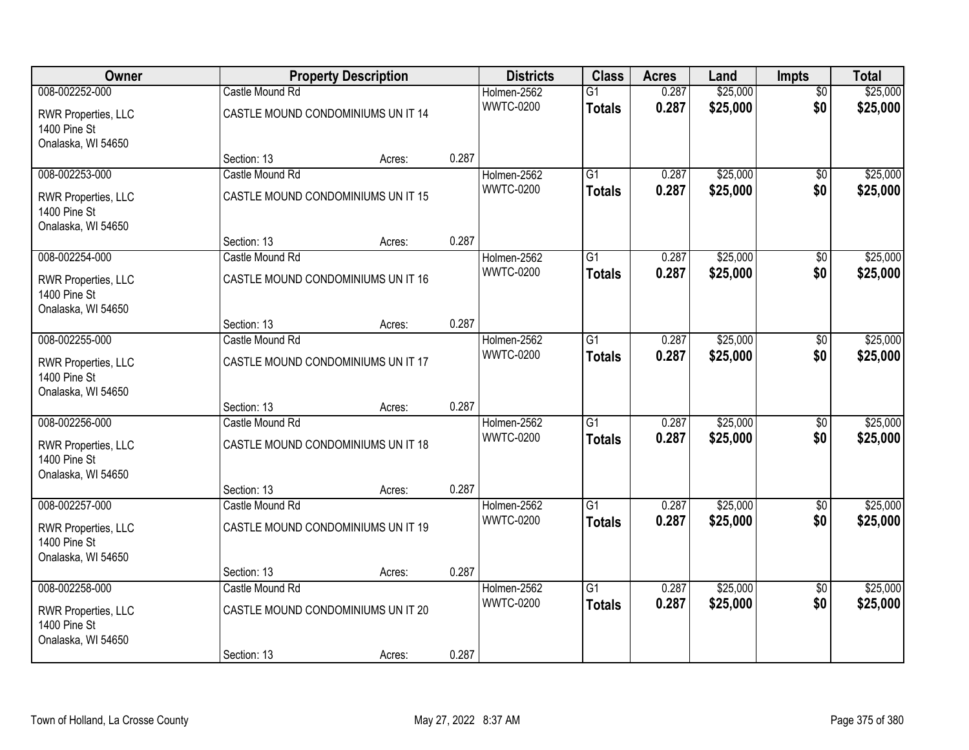| Owner                                                     |                                    | <b>Property Description</b> |       | <b>Districts</b> | <b>Class</b>    | <b>Acres</b> | Land     | <b>Impts</b>    | <b>Total</b> |
|-----------------------------------------------------------|------------------------------------|-----------------------------|-------|------------------|-----------------|--------------|----------|-----------------|--------------|
| 008-002252-000                                            | Castle Mound Rd                    |                             |       | Holmen-2562      | $\overline{G1}$ | 0.287        | \$25,000 | $\overline{50}$ | \$25,000     |
| RWR Properties, LLC<br>1400 Pine St<br>Onalaska, WI 54650 | CASTLE MOUND CONDOMINIUMS UN IT 14 |                             |       | <b>WWTC-0200</b> | <b>Totals</b>   | 0.287        | \$25,000 | \$0             | \$25,000     |
|                                                           | Section: 13                        | Acres:                      | 0.287 |                  |                 |              |          |                 |              |
| 008-002253-000                                            | Castle Mound Rd                    |                             |       | Holmen-2562      | G1              | 0.287        | \$25,000 | \$0             | \$25,000     |
| RWR Properties, LLC<br>1400 Pine St<br>Onalaska, WI 54650 | CASTLE MOUND CONDOMINIUMS UN IT 15 |                             |       | <b>WWTC-0200</b> | <b>Totals</b>   | 0.287        | \$25,000 | \$0             | \$25,000     |
|                                                           | Section: 13                        | Acres:                      | 0.287 |                  |                 |              |          |                 |              |
| 008-002254-000                                            | Castle Mound Rd                    |                             |       | Holmen-2562      | $\overline{G1}$ | 0.287        | \$25,000 | \$0             | \$25,000     |
| RWR Properties, LLC<br>1400 Pine St<br>Onalaska, WI 54650 | CASTLE MOUND CONDOMINIUMS UN IT 16 |                             |       | <b>WWTC-0200</b> | <b>Totals</b>   | 0.287        | \$25,000 | \$0             | \$25,000     |
|                                                           | Section: 13                        | Acres:                      | 0.287 |                  |                 |              |          |                 |              |
| 008-002255-000                                            | Castle Mound Rd                    |                             |       | Holmen-2562      | $\overline{G1}$ | 0.287        | \$25,000 | \$0             | \$25,000     |
| RWR Properties, LLC<br>1400 Pine St<br>Onalaska, WI 54650 | CASTLE MOUND CONDOMINIUMS UN IT 17 |                             |       | <b>WWTC-0200</b> | <b>Totals</b>   | 0.287        | \$25,000 | \$0             | \$25,000     |
|                                                           | Section: 13                        | Acres:                      | 0.287 |                  |                 |              |          |                 |              |
| 008-002256-000                                            | Castle Mound Rd                    |                             |       | Holmen-2562      | $\overline{G1}$ | 0.287        | \$25,000 | \$0             | \$25,000     |
| RWR Properties, LLC<br>1400 Pine St<br>Onalaska, WI 54650 | CASTLE MOUND CONDOMINIUMS UN IT 18 |                             |       | <b>WWTC-0200</b> | <b>Totals</b>   | 0.287        | \$25,000 | \$0             | \$25,000     |
|                                                           | Section: 13                        | Acres:                      | 0.287 |                  |                 |              |          |                 |              |
| 008-002257-000                                            | Castle Mound Rd                    |                             |       | Holmen-2562      | G1              | 0.287        | \$25,000 | $\sqrt{6}$      | \$25,000     |
| RWR Properties, LLC<br>1400 Pine St<br>Onalaska, WI 54650 | CASTLE MOUND CONDOMINIUMS UN IT 19 |                             |       | <b>WWTC-0200</b> | <b>Totals</b>   | 0.287        | \$25,000 | \$0             | \$25,000     |
|                                                           | Section: 13                        | Acres:                      | 0.287 |                  |                 |              |          |                 |              |
| 008-002258-000                                            | Castle Mound Rd                    |                             |       | Holmen-2562      | $\overline{G1}$ | 0.287        | \$25,000 | $\overline{30}$ | \$25,000     |
| RWR Properties, LLC<br>1400 Pine St<br>Onalaska, WI 54650 | CASTLE MOUND CONDOMINIUMS UN IT 20 |                             |       | <b>WWTC-0200</b> | <b>Totals</b>   | 0.287        | \$25,000 | \$0             | \$25,000     |
|                                                           | Section: 13                        | Acres:                      | 0.287 |                  |                 |              |          |                 |              |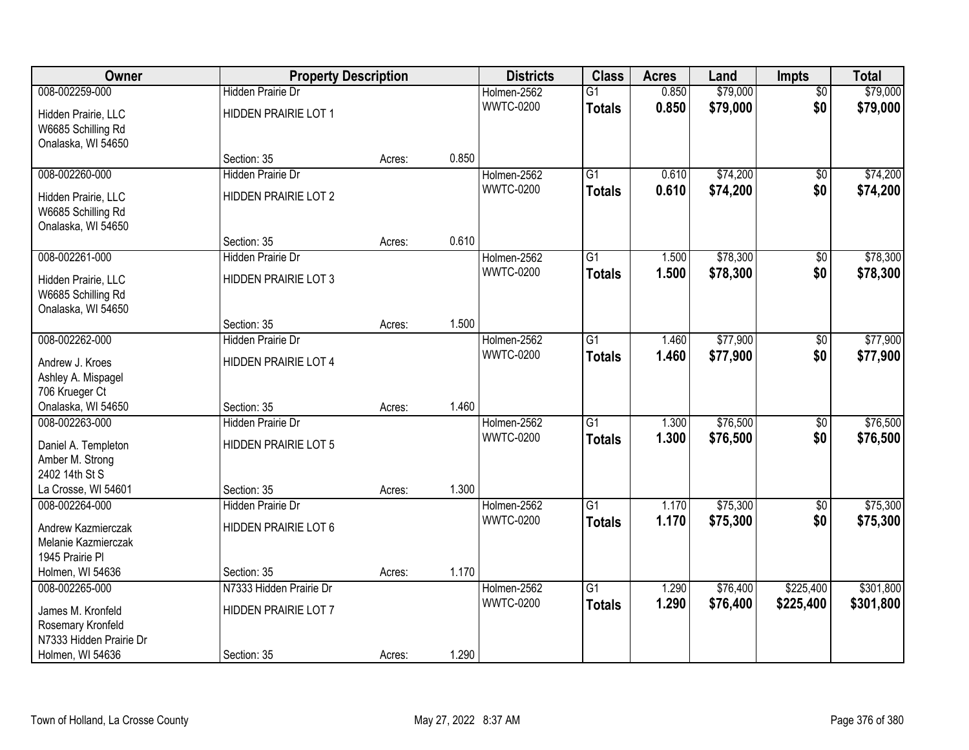| Owner                                                             | <b>Property Description</b> |        |       | <b>Districts</b> | <b>Class</b>    | <b>Acres</b> | Land     | <b>Impts</b>    | <b>Total</b> |
|-------------------------------------------------------------------|-----------------------------|--------|-------|------------------|-----------------|--------------|----------|-----------------|--------------|
| 008-002259-000                                                    | <b>Hidden Prairie Dr</b>    |        |       | Holmen-2562      | $\overline{G1}$ | 0.850        | \$79,000 | $\overline{50}$ | \$79,000     |
| Hidden Prairie, LLC<br>W6685 Schilling Rd<br>Onalaska, WI 54650   | HIDDEN PRAIRIE LOT 1        |        |       | <b>WWTC-0200</b> | <b>Totals</b>   | 0.850        | \$79,000 | \$0             | \$79,000     |
|                                                                   | Section: 35                 | Acres: | 0.850 |                  |                 |              |          |                 |              |
| 008-002260-000                                                    | <b>Hidden Prairie Dr</b>    |        |       | Holmen-2562      | $\overline{G1}$ | 0.610        | \$74,200 | \$0             | \$74,200     |
| Hidden Prairie, LLC<br>W6685 Schilling Rd<br>Onalaska, WI 54650   | HIDDEN PRAIRIE LOT 2        |        |       | <b>WWTC-0200</b> | <b>Totals</b>   | 0.610        | \$74,200 | \$0             | \$74,200     |
|                                                                   | Section: 35                 | Acres: | 0.610 |                  |                 |              |          |                 |              |
| 008-002261-000                                                    | Hidden Prairie Dr           |        |       | Holmen-2562      | $\overline{G1}$ | 1.500        | \$78,300 | \$0             | \$78,300     |
| Hidden Prairie, LLC<br>W6685 Schilling Rd<br>Onalaska, WI 54650   | <b>HIDDEN PRAIRIE LOT 3</b> |        |       | <b>WWTC-0200</b> | <b>Totals</b>   | 1.500        | \$78,300 | \$0             | \$78,300     |
|                                                                   | Section: 35                 | Acres: | 1.500 |                  |                 |              |          |                 |              |
| 008-002262-000                                                    | Hidden Prairie Dr           |        |       | Holmen-2562      | $\overline{G1}$ | 1.460        | \$77,900 | \$0             | \$77,900     |
| Andrew J. Kroes<br>Ashley A. Mispagel                             | HIDDEN PRAIRIE LOT 4        |        |       | <b>WWTC-0200</b> | <b>Totals</b>   | 1.460        | \$77,900 | \$0             | \$77,900     |
| 706 Krueger Ct<br>Onalaska, WI 54650                              | Section: 35                 | Acres: | 1.460 |                  |                 |              |          |                 |              |
| 008-002263-000                                                    | Hidden Prairie Dr           |        |       | Holmen-2562      | $\overline{G1}$ | 1.300        | \$76,500 | $\overline{60}$ | \$76,500     |
|                                                                   | <b>HIDDEN PRAIRIE LOT 5</b> |        |       | <b>WWTC-0200</b> | <b>Totals</b>   | 1.300        | \$76,500 | \$0             | \$76,500     |
| Daniel A. Templeton<br>Amber M. Strong                            |                             |        |       |                  |                 |              |          |                 |              |
| 2402 14th St S                                                    |                             |        |       |                  |                 |              |          |                 |              |
| La Crosse, WI 54601                                               | Section: 35                 | Acres: | 1.300 |                  |                 |              |          |                 |              |
| 008-002264-000                                                    | <b>Hidden Prairie Dr</b>    |        |       | Holmen-2562      | $\overline{G1}$ | 1.170        | \$75,300 | $\sqrt{6}$      | \$75,300     |
| Andrew Kazmierczak<br>Melanie Kazmierczak<br>1945 Prairie Pl      | HIDDEN PRAIRIE LOT 6        |        |       | <b>WWTC-0200</b> | <b>Totals</b>   | 1.170        | \$75,300 | \$0             | \$75,300     |
| Holmen, WI 54636                                                  | Section: 35                 | Acres: | 1.170 |                  |                 |              |          |                 |              |
| 008-002265-000                                                    | N7333 Hidden Prairie Dr     |        |       | Holmen-2562      | $\overline{G1}$ | 1.290        | \$76,400 | \$225,400       | \$301,800    |
| James M. Kronfeld<br>Rosemary Kronfeld<br>N7333 Hidden Prairie Dr | HIDDEN PRAIRIE LOT 7        |        |       | <b>WWTC-0200</b> | <b>Totals</b>   | 1.290        | \$76,400 | \$225,400       | \$301,800    |
| Holmen, WI 54636                                                  | Section: 35                 | Acres: | 1.290 |                  |                 |              |          |                 |              |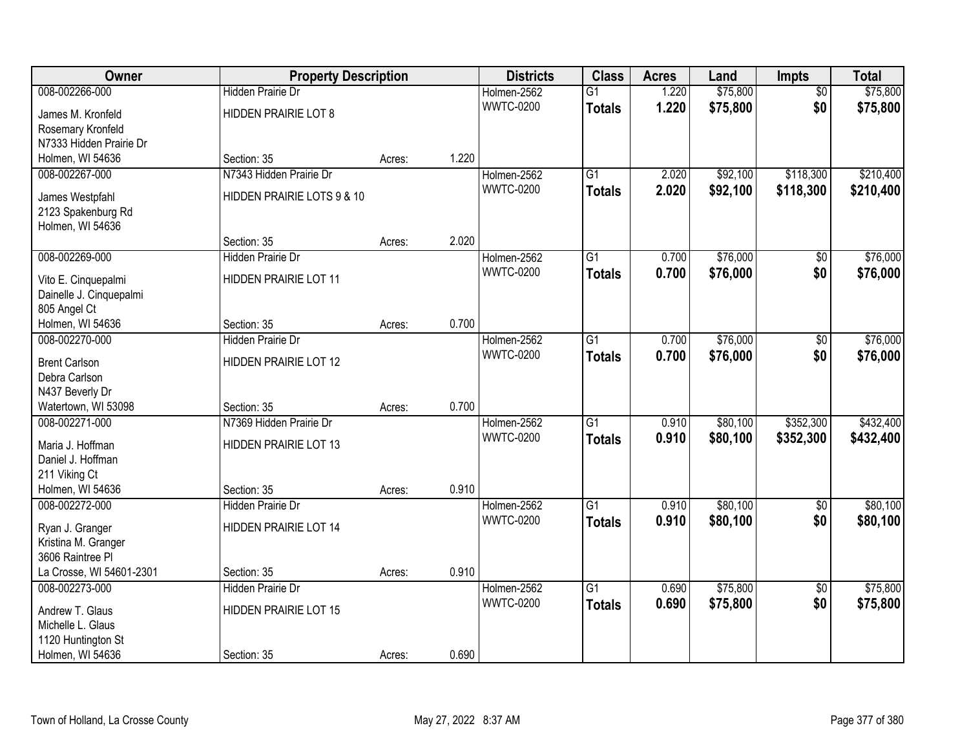| Owner                            | <b>Property Description</b>  |        |       | <b>Districts</b> | <b>Class</b>    | <b>Acres</b> | Land     | <b>Impts</b>    | <b>Total</b> |
|----------------------------------|------------------------------|--------|-------|------------------|-----------------|--------------|----------|-----------------|--------------|
| 008-002266-000                   | <b>Hidden Prairie Dr</b>     |        |       | Holmen-2562      | $\overline{G1}$ | 1.220        | \$75,800 | $\overline{50}$ | \$75,800     |
| James M. Kronfeld                | HIDDEN PRAIRIE LOT 8         |        |       | <b>WWTC-0200</b> | <b>Totals</b>   | 1.220        | \$75,800 | \$0             | \$75,800     |
| Rosemary Kronfeld                |                              |        |       |                  |                 |              |          |                 |              |
| N7333 Hidden Prairie Dr          |                              |        |       |                  |                 |              |          |                 |              |
| Holmen, WI 54636                 | Section: 35                  | Acres: | 1.220 |                  |                 |              |          |                 |              |
| 008-002267-000                   | N7343 Hidden Prairie Dr      |        |       | Holmen-2562      | $\overline{G1}$ | 2.020        | \$92,100 | \$118,300       | \$210,400    |
| James Westpfahl                  | HIDDEN PRAIRIE LOTS 9 & 10   |        |       | <b>WWTC-0200</b> | <b>Totals</b>   | 2.020        | \$92,100 | \$118,300       | \$210,400    |
| 2123 Spakenburg Rd               |                              |        |       |                  |                 |              |          |                 |              |
| Holmen, WI 54636                 |                              |        |       |                  |                 |              |          |                 |              |
|                                  | Section: 35                  | Acres: | 2.020 |                  |                 |              |          |                 |              |
| 008-002269-000                   | Hidden Prairie Dr            |        |       | Holmen-2562      | G1              | 0.700        | \$76,000 | \$0             | \$76,000     |
|                                  |                              |        |       | <b>WWTC-0200</b> | <b>Totals</b>   | 0.700        | \$76,000 | \$0             | \$76,000     |
| Vito E. Cinquepalmi              | HIDDEN PRAIRIE LOT 11        |        |       |                  |                 |              |          |                 |              |
| Dainelle J. Cinquepalmi          |                              |        |       |                  |                 |              |          |                 |              |
| 805 Angel Ct<br>Holmen, WI 54636 | Section: 35                  |        | 0.700 |                  |                 |              |          |                 |              |
| 008-002270-000                   | Hidden Prairie Dr            | Acres: |       | Holmen-2562      | G1              | 0.700        | \$76,000 |                 | \$76,000     |
|                                  |                              |        |       | <b>WWTC-0200</b> |                 | 0.700        |          | \$0             |              |
| <b>Brent Carlson</b>             | HIDDEN PRAIRIE LOT 12        |        |       |                  | <b>Totals</b>   |              | \$76,000 | \$0             | \$76,000     |
| Debra Carlson                    |                              |        |       |                  |                 |              |          |                 |              |
| N437 Beverly Dr                  |                              |        |       |                  |                 |              |          |                 |              |
| Watertown, WI 53098              | Section: 35                  | Acres: | 0.700 |                  |                 |              |          |                 |              |
| 008-002271-000                   | N7369 Hidden Prairie Dr      |        |       | Holmen-2562      | $\overline{G1}$ | 0.910        | \$80,100 | \$352,300       | \$432,400    |
| Maria J. Hoffman                 | HIDDEN PRAIRIE LOT 13        |        |       | <b>WWTC-0200</b> | <b>Totals</b>   | 0.910        | \$80,100 | \$352,300       | \$432,400    |
| Daniel J. Hoffman                |                              |        |       |                  |                 |              |          |                 |              |
| 211 Viking Ct                    |                              |        |       |                  |                 |              |          |                 |              |
| Holmen, WI 54636                 | Section: 35                  | Acres: | 0.910 |                  |                 |              |          |                 |              |
| 008-002272-000                   | <b>Hidden Prairie Dr</b>     |        |       | Holmen-2562      | $\overline{G1}$ | 0.910        | \$80,100 | $\overline{60}$ | \$80,100     |
| Ryan J. Granger                  | HIDDEN PRAIRIE LOT 14        |        |       | <b>WWTC-0200</b> | <b>Totals</b>   | 0.910        | \$80,100 | \$0             | \$80,100     |
| Kristina M. Granger              |                              |        |       |                  |                 |              |          |                 |              |
| 3606 Raintree Pl                 |                              |        |       |                  |                 |              |          |                 |              |
| La Crosse, WI 54601-2301         | Section: 35                  | Acres: | 0.910 |                  |                 |              |          |                 |              |
| 008-002273-000                   | <b>Hidden Prairie Dr</b>     |        |       | Holmen-2562      | $\overline{G1}$ | 0.690        | \$75,800 | $\overline{50}$ | \$75,800     |
|                                  |                              |        |       | <b>WWTC-0200</b> | <b>Totals</b>   | 0.690        | \$75,800 | \$0             | \$75,800     |
| Andrew T. Glaus                  | <b>HIDDEN PRAIRIE LOT 15</b> |        |       |                  |                 |              |          |                 |              |
| Michelle L. Glaus                |                              |        |       |                  |                 |              |          |                 |              |
| 1120 Huntington St               |                              |        |       |                  |                 |              |          |                 |              |
| Holmen, WI 54636                 | Section: 35                  | Acres: | 0.690 |                  |                 |              |          |                 |              |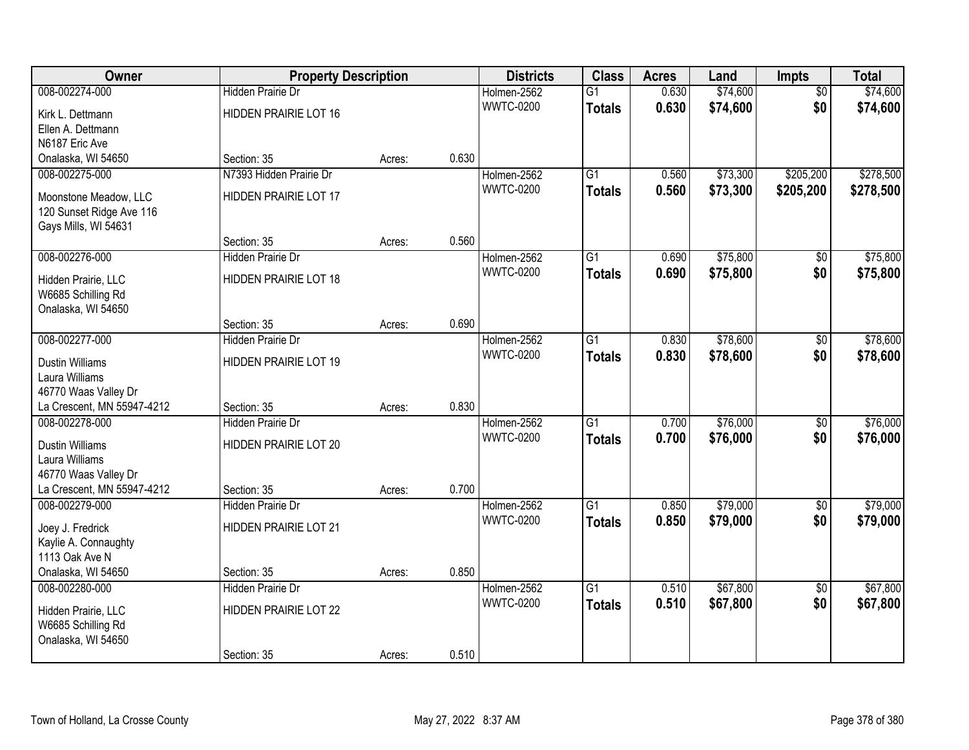| Owner                                  | <b>Property Description</b>             |        |       | <b>Districts</b> | <b>Class</b>    | <b>Acres</b> | Land     | <b>Impts</b>           | <b>Total</b> |
|----------------------------------------|-----------------------------------------|--------|-------|------------------|-----------------|--------------|----------|------------------------|--------------|
| 008-002274-000                         | <b>Hidden Prairie Dr</b>                |        |       | Holmen-2562      | $\overline{G1}$ | 0.630        | \$74,600 | $\overline{50}$        | \$74,600     |
| Kirk L. Dettmann                       | HIDDEN PRAIRIE LOT 16                   |        |       | <b>WWTC-0200</b> | <b>Totals</b>   | 0.630        | \$74,600 | \$0                    | \$74,600     |
| Ellen A. Dettmann                      |                                         |        |       |                  |                 |              |          |                        |              |
| N6187 Eric Ave                         |                                         |        |       |                  |                 |              |          |                        |              |
| Onalaska, WI 54650                     | Section: 35                             | Acres: | 0.630 |                  |                 |              |          |                        |              |
| 008-002275-000                         | N7393 Hidden Prairie Dr                 |        |       | Holmen-2562      | $\overline{G1}$ | 0.560        | \$73,300 | \$205,200              | \$278,500    |
| Moonstone Meadow, LLC                  | HIDDEN PRAIRIE LOT 17                   |        |       | <b>WWTC-0200</b> | <b>Totals</b>   | 0.560        | \$73,300 | \$205,200              | \$278,500    |
| 120 Sunset Ridge Ave 116               |                                         |        |       |                  |                 |              |          |                        |              |
| Gays Mills, WI 54631                   |                                         |        |       |                  |                 |              |          |                        |              |
|                                        | Section: 35                             | Acres: | 0.560 |                  |                 |              |          |                        |              |
| 008-002276-000                         | Hidden Prairie Dr                       |        |       | Holmen-2562      | G1              | 0.690        | \$75,800 | \$0                    | \$75,800     |
| Hidden Prairie, LLC                    | HIDDEN PRAIRIE LOT 18                   |        |       | <b>WWTC-0200</b> | <b>Totals</b>   | 0.690        | \$75,800 | \$0                    | \$75,800     |
| W6685 Schilling Rd                     |                                         |        |       |                  |                 |              |          |                        |              |
| Onalaska, WI 54650                     |                                         |        |       |                  |                 |              |          |                        |              |
|                                        | Section: 35                             | Acres: | 0.690 |                  |                 |              |          |                        |              |
| 008-002277-000                         | Hidden Prairie Dr                       |        |       | Holmen-2562      | G1              | 0.830        | \$78,600 | \$0                    | \$78,600     |
| <b>Dustin Williams</b>                 | <b>HIDDEN PRAIRIE LOT 19</b>            |        |       | <b>WWTC-0200</b> | <b>Totals</b>   | 0.830        | \$78,600 | \$0                    | \$78,600     |
| Laura Williams                         |                                         |        |       |                  |                 |              |          |                        |              |
| 46770 Waas Valley Dr                   |                                         |        |       |                  |                 |              |          |                        |              |
| La Crescent, MN 55947-4212             | Section: 35                             | Acres: | 0.830 |                  |                 |              |          |                        |              |
| 008-002278-000                         | <b>Hidden Prairie Dr</b>                |        |       | Holmen-2562      | $\overline{G1}$ | 0.700        | \$76,000 | $\overline{50}$        | \$76,000     |
|                                        |                                         |        |       | <b>WWTC-0200</b> | <b>Totals</b>   | 0.700        | \$76,000 | \$0                    | \$76,000     |
| <b>Dustin Williams</b>                 | HIDDEN PRAIRIE LOT 20                   |        |       |                  |                 |              |          |                        |              |
| Laura Williams<br>46770 Waas Valley Dr |                                         |        |       |                  |                 |              |          |                        |              |
| La Crescent, MN 55947-4212             | Section: 35                             | Acres: | 0.700 |                  |                 |              |          |                        |              |
| 008-002279-000                         | <b>Hidden Prairie Dr</b>                |        |       | Holmen-2562      | $\overline{G1}$ | 0.850        | \$79,000 | $\overline{60}$        | \$79,000     |
|                                        |                                         |        |       | <b>WWTC-0200</b> | <b>Totals</b>   | 0.850        | \$79,000 | \$0                    | \$79,000     |
| Joey J. Fredrick                       | HIDDEN PRAIRIE LOT 21                   |        |       |                  |                 |              |          |                        |              |
| Kaylie A. Connaughty                   |                                         |        |       |                  |                 |              |          |                        |              |
| 1113 Oak Ave N                         |                                         |        | 0.850 |                  |                 |              |          |                        |              |
| Onalaska, WI 54650<br>008-002280-000   | Section: 35<br><b>Hidden Prairie Dr</b> | Acres: |       | Holmen-2562      | $\overline{G1}$ | 0.510        | \$67,800 |                        | \$67,800     |
|                                        |                                         |        |       | <b>WWTC-0200</b> |                 | 0.510        | \$67,800 | $\overline{50}$<br>\$0 |              |
| Hidden Prairie, LLC                    | <b>HIDDEN PRAIRIE LOT 22</b>            |        |       |                  | <b>Totals</b>   |              |          |                        | \$67,800     |
| W6685 Schilling Rd                     |                                         |        |       |                  |                 |              |          |                        |              |
| Onalaska, WI 54650                     |                                         |        |       |                  |                 |              |          |                        |              |
|                                        | Section: 35                             | Acres: | 0.510 |                  |                 |              |          |                        |              |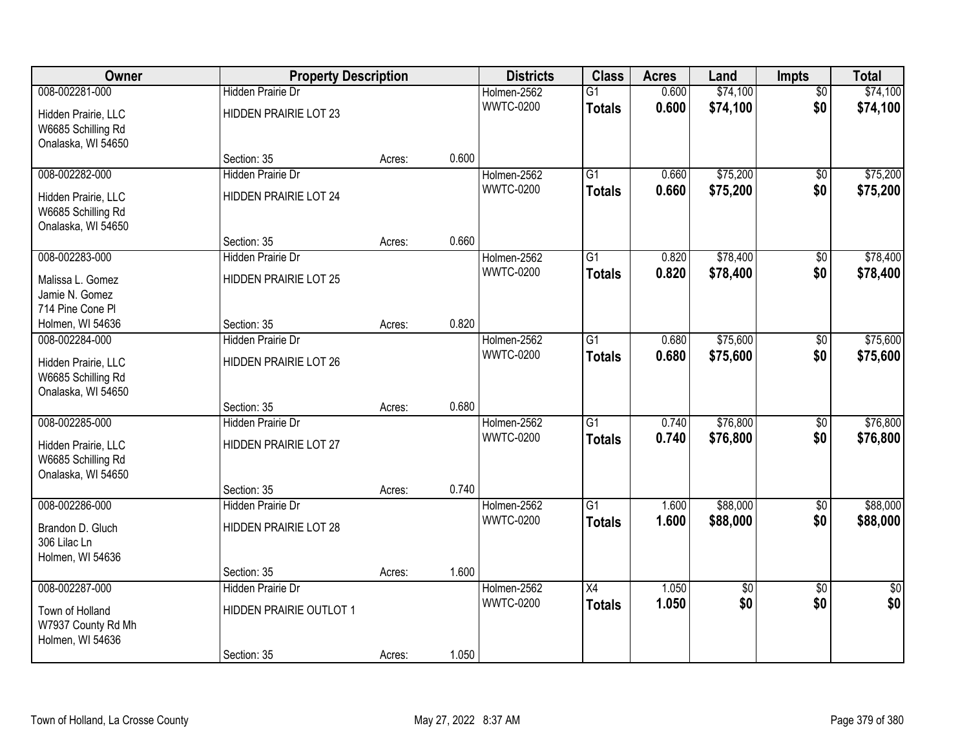| Owner                                                           | <b>Property Description</b>  |        |       | <b>Districts</b> | <b>Class</b>    | <b>Acres</b> | Land     | <b>Impts</b>    | <b>Total</b>    |
|-----------------------------------------------------------------|------------------------------|--------|-------|------------------|-----------------|--------------|----------|-----------------|-----------------|
| 008-002281-000                                                  | <b>Hidden Prairie Dr</b>     |        |       | Holmen-2562      | $\overline{G1}$ | 0.600        | \$74,100 | $\overline{50}$ | \$74,100        |
| Hidden Prairie, LLC<br>W6685 Schilling Rd<br>Onalaska, WI 54650 | <b>HIDDEN PRAIRIE LOT 23</b> |        |       | <b>WWTC-0200</b> | <b>Totals</b>   | 0.600        | \$74,100 | \$0             | \$74,100        |
|                                                                 | Section: 35                  | Acres: | 0.600 |                  |                 |              |          |                 |                 |
| 008-002282-000                                                  | <b>Hidden Prairie Dr</b>     |        |       | Holmen-2562      | $\overline{G1}$ | 0.660        | \$75,200 | $\overline{50}$ | \$75,200        |
| Hidden Prairie, LLC<br>W6685 Schilling Rd<br>Onalaska, WI 54650 | HIDDEN PRAIRIE LOT 24        |        |       | <b>WWTC-0200</b> | <b>Totals</b>   | 0.660        | \$75,200 | \$0             | \$75,200        |
|                                                                 | Section: 35                  | Acres: | 0.660 |                  |                 |              |          |                 |                 |
| 008-002283-000                                                  | Hidden Prairie Dr            |        |       | Holmen-2562      | G1              | 0.820        | \$78,400 | \$0             | \$78,400        |
| Malissa L. Gomez<br>Jamie N. Gomez<br>714 Pine Cone Pl          | <b>HIDDEN PRAIRIE LOT 25</b> |        |       | <b>WWTC-0200</b> | <b>Totals</b>   | 0.820        | \$78,400 | \$0             | \$78,400        |
| Holmen, WI 54636                                                | Section: 35                  | Acres: | 0.820 |                  |                 |              |          |                 |                 |
| 008-002284-000                                                  | Hidden Prairie Dr            |        |       | Holmen-2562      | G1              | 0.680        | \$75,600 | \$0             | \$75,600        |
| Hidden Prairie, LLC<br>W6685 Schilling Rd<br>Onalaska, WI 54650 | <b>HIDDEN PRAIRIE LOT 26</b> |        |       | <b>WWTC-0200</b> | <b>Totals</b>   | 0.680        | \$75,600 | \$0             | \$75,600        |
|                                                                 | Section: 35                  | Acres: | 0.680 |                  |                 |              |          |                 |                 |
| 008-002285-000                                                  | <b>Hidden Prairie Dr</b>     |        |       | Holmen-2562      | $\overline{G1}$ | 0.740        | \$76,800 | $\overline{50}$ | \$76,800        |
| Hidden Prairie, LLC<br>W6685 Schilling Rd<br>Onalaska, WI 54650 | <b>HIDDEN PRAIRIE LOT 27</b> |        |       | <b>WWTC-0200</b> | <b>Totals</b>   | 0.740        | \$76,800 | \$0             | \$76,800        |
|                                                                 | Section: 35                  | Acres: | 0.740 |                  |                 |              |          |                 |                 |
| 008-002286-000                                                  | Hidden Prairie Dr            |        |       | Holmen-2562      | $\overline{G1}$ | 1.600        | \$88,000 | $\overline{50}$ | \$88,000        |
| Brandon D. Gluch<br>306 Lilac Ln<br>Holmen, WI 54636            | HIDDEN PRAIRIE LOT 28        |        |       | <b>WWTC-0200</b> | <b>Totals</b>   | 1.600        | \$88,000 | \$0             | \$88,000        |
|                                                                 | Section: 35                  | Acres: | 1.600 |                  |                 |              |          |                 |                 |
| 008-002287-000                                                  | <b>Hidden Prairie Dr</b>     |        |       | Holmen-2562      | $\overline{X4}$ | 1.050        | \$0      | $\overline{50}$ | $\overline{50}$ |
| Town of Holland<br>W7937 County Rd Mh<br>Holmen, WI 54636       | HIDDEN PRAIRIE OUTLOT 1      |        |       | <b>WWTC-0200</b> | <b>Totals</b>   | 1.050        | \$0      | \$0             | \$0             |
|                                                                 | Section: 35                  | Acres: | 1.050 |                  |                 |              |          |                 |                 |